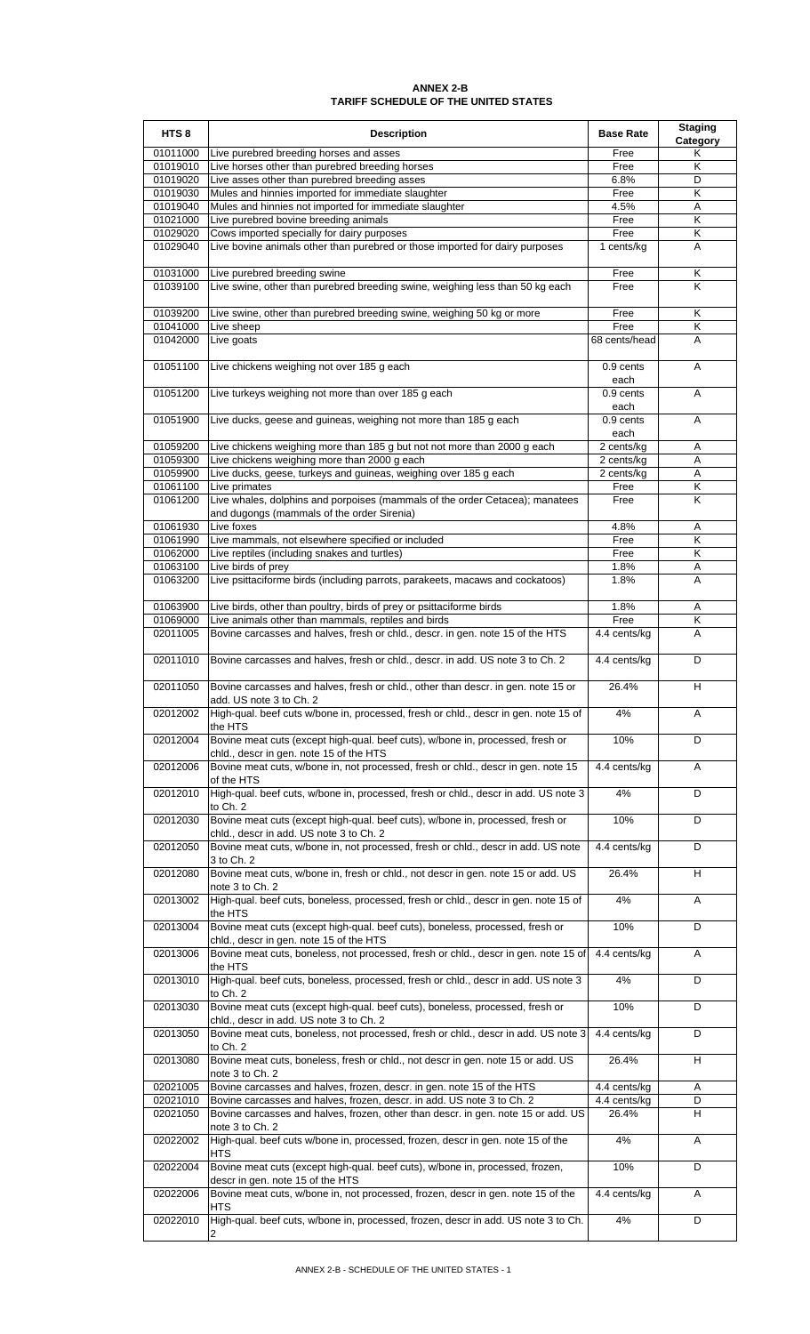## **TARIFF SCHEDULE OF THE UNITED STATES ANNEX 2-B**

| HTS <sub>8</sub>     | <b>Description</b>                                                                                                           | <b>Base Rate</b>   | <b>Staging</b><br>Category |
|----------------------|------------------------------------------------------------------------------------------------------------------------------|--------------------|----------------------------|
| 01011000             | Live purebred breeding horses and asses                                                                                      | Free               | Κ                          |
| 01019010             | Live horses other than purebred breeding horses                                                                              | Free               | Κ                          |
| 01019020             | Live asses other than purebred breeding asses                                                                                | 6.8%               | D                          |
| 01019030<br>01019040 | Mules and hinnies imported for immediate slaughter<br>Mules and hinnies not imported for immediate slaughter                 | Free<br>4.5%       | Κ<br>A                     |
| 01021000             | Live purebred bovine breeding animals                                                                                        | Free               | Κ                          |
| 01029020             | Cows imported specially for dairy purposes                                                                                   | Free               | Κ                          |
| 01029040             | Live bovine animals other than purebred or those imported for dairy purposes                                                 | 1 cents/kg         | A                          |
|                      |                                                                                                                              |                    |                            |
| 01031000             | Live purebred breeding swine                                                                                                 | Free               | Κ                          |
| 01039100             | Live swine, other than purebred breeding swine, weighing less than 50 kg each                                                | Free               | ĸ                          |
| 01039200             | Live swine, other than purebred breeding swine, weighing 50 kg or more                                                       | Free               | Κ                          |
| 01041000             | Live sheep                                                                                                                   | Free               | Κ                          |
| 01042000             | Live goats                                                                                                                   | 68 cents/head      | Α                          |
| 01051100             | Live chickens weighing not over 185 g each                                                                                   | 0.9 cents          | A                          |
|                      |                                                                                                                              | each               |                            |
| 01051200             | Live turkeys weighing not more than over 185 g each                                                                          | $0.9$ cents        | Α                          |
|                      |                                                                                                                              | each               |                            |
| 01051900             | Live ducks, geese and guineas, weighing not more than 185 g each                                                             | 0.9 cents          | A                          |
| 01059200             | Live chickens weighing more than 185 g but not not more than 2000 g each                                                     | each<br>2 cents/kg | Α                          |
| 01059300             | Live chickens weighing more than 2000 g each                                                                                 | 2 cents/kg         | Α                          |
| 01059900             | Live ducks, geese, turkeys and guineas, weighing over 185 g each                                                             | 2 cents/kg         | Α                          |
| 01061100             | Live primates                                                                                                                | Free               | Κ                          |
| 01061200             | Live whales, dolphins and porpoises (mammals of the order Cetacea); manatees                                                 | Free               | K                          |
|                      | and dugongs (mammals of the order Sirenia)<br>Live foxes                                                                     |                    |                            |
| 01061930<br>01061990 | Live mammals, not elsewhere specified or included                                                                            | 4.8%<br>Free       | Α<br>K                     |
| 01062000             | Live reptiles (including snakes and turtles)                                                                                 | Free               | Κ                          |
| 01063100             | Live birds of prey                                                                                                           | 1.8%               | A                          |
| 01063200             | Live psittaciforme birds (including parrots, parakeets, macaws and cockatoos)                                                | 1.8%               | A                          |
|                      |                                                                                                                              |                    |                            |
| 01063900<br>01069000 | Live birds, other than poultry, birds of prey or psittaciforme birds<br>Live animals other than mammals, reptiles and birds  | 1.8%<br>Free       | Α<br>Κ                     |
| 02011005             | Bovine carcasses and halves, fresh or chld., descr. in gen. note 15 of the HTS                                               | 4.4 cents/kg       | A                          |
|                      |                                                                                                                              |                    |                            |
| 02011010             | Bovine carcasses and halves, fresh or chld., descr. in add. US note 3 to Ch. 2                                               | 4.4 cents/kg       | D                          |
| 02011050             |                                                                                                                              | 26.4%              | н                          |
|                      | Bovine carcasses and halves, fresh or chld., other than descr. in gen. note 15 or<br>add. US note 3 to Ch. 2                 |                    |                            |
| 02012002             | High-qual. beef cuts w/bone in, processed, fresh or chld., descr in gen. note 15 of                                          | 4%                 | A                          |
|                      | the HTS                                                                                                                      |                    |                            |
| 02012004             | Bovine meat cuts (except high-qual. beef cuts), w/bone in, processed, fresh or                                               | 10%                | D                          |
| 02012006             | chld., descr in gen. note 15 of the HTS<br>Bovine meat cuts, w/bone in, not processed, fresh or chld., descr in gen. note 15 | 4.4 cents/kg       | Α                          |
|                      | of the HTS                                                                                                                   |                    |                            |
| 02012010             | High-qual. beef cuts, w/bone in, processed, fresh or chld., descr in add. US note 3                                          | 4%                 | D                          |
|                      | to Ch. 2                                                                                                                     |                    |                            |
| 02012030             | Bovine meat cuts (except high-qual. beef cuts), w/bone in, processed, fresh or                                               | 10%                | D                          |
| 02012050             | chld., descr in add. US note 3 to Ch. 2<br>Bovine meat cuts, w/bone in, not processed, fresh or chld., descr in add. US note | 4.4 cents/kg       | D                          |
|                      | 3 to Ch. 2                                                                                                                   |                    |                            |
| 02012080             | Bovine meat cuts, w/bone in, fresh or chld., not descr in gen. note 15 or add. US                                            | 26.4%              | H                          |
|                      | note 3 to Ch. 2                                                                                                              |                    |                            |
| 02013002             | High-qual. beef cuts, boneless, processed, fresh or chld., descr in gen. note 15 of                                          | 4%                 | Α                          |
| 02013004             | the HTS<br>Bovine meat cuts (except high-qual. beef cuts), boneless, processed, fresh or                                     | 10%                | D                          |
|                      | chid., descr in gen. note 15 of the HTS                                                                                      |                    |                            |
| 02013006             | Bovine meat cuts, boneless, not processed, fresh or chld., descr in gen. note 15 of                                          | 4.4 cents/kg       | Α                          |
|                      | the HTS                                                                                                                      |                    |                            |
| 02013010             | High-qual. beef cuts, boneless, processed, fresh or chld., descr in add. US note 3<br>to Ch. 2                               | 4%                 | D                          |
| 02013030             | Bovine meat cuts (except high-qual. beef cuts), boneless, processed, fresh or                                                | 10%                | D                          |
|                      | chld., descr in add. US note 3 to Ch. 2                                                                                      |                    |                            |
| 02013050             | Bovine meat cuts, boneless, not processed, fresh or chld., descr in add. US note 3                                           | 4.4 cents/kg       | D                          |
| 02013080             | to Ch. 2<br>Bovine meat cuts, boneless, fresh or chld., not descr in gen. note 15 or add. US                                 | 26.4%              | н                          |
|                      | note 3 to Ch. 2                                                                                                              |                    |                            |
| 02021005             | Bovine carcasses and halves, frozen, descr. in gen. note 15 of the HTS                                                       | 4.4 cents/kg       | Α                          |
| 02021010             | Bovine carcasses and halves, frozen, descr. in add. US note 3 to Ch. 2                                                       | 4.4 cents/kg       | D                          |
| 02021050             | Bovine carcasses and halves, frozen, other than descr. in gen. note 15 or add. US                                            | 26.4%              | H                          |
| 02022002             | note 3 to Ch. 2<br>High-qual. beef cuts w/bone in, processed, frozen, descr in gen. note 15 of the                           | 4%                 | Α                          |
|                      | HTS                                                                                                                          |                    |                            |
| 02022004             | Bovine meat cuts (except high-qual. beef cuts), w/bone in, processed, frozen,                                                | 10%                | D                          |
|                      | descr in gen. note 15 of the HTS                                                                                             |                    |                            |
| 02022006             | Bovine meat cuts, w/bone in, not processed, frozen, descr in gen. note 15 of the                                             | 4.4 cents/kg       | Α                          |
| 02022010             | HTS<br>High-qual. beef cuts, w/bone in, processed, frozen, descr in add. US note 3 to Ch.                                    | 4%                 | D                          |
|                      |                                                                                                                              |                    |                            |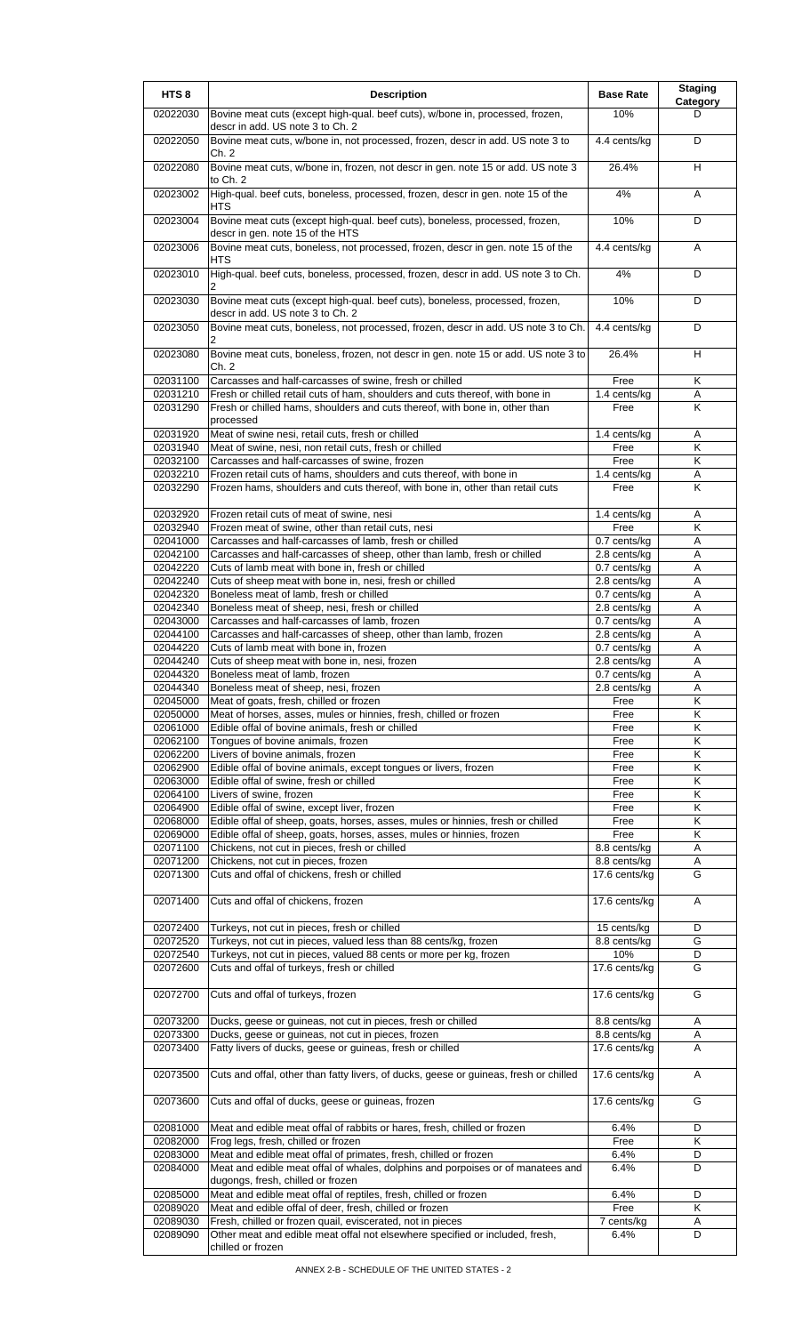| HTS <sub>8</sub>     | <b>Description</b>                                                                                                                       | <b>Base Rate</b>               | <b>Staging</b><br>Category |
|----------------------|------------------------------------------------------------------------------------------------------------------------------------------|--------------------------------|----------------------------|
| 02022030             | Bovine meat cuts (except high-qual. beef cuts), w/bone in, processed, frozen,<br>descr in add. US note 3 to Ch. 2                        | 10%                            | D                          |
| 02022050             | Bovine meat cuts, w/bone in, not processed, frozen, descr in add. US note 3 to<br>Ch. 2                                                  | 4.4 cents/kg                   | D                          |
| 02022080             | Bovine meat cuts, w/bone in, frozen, not descr in gen. note 15 or add. US note 3<br>to Ch. 2                                             | 26.4%                          | H                          |
| 02023002             | High-qual. beef cuts, boneless, processed, frozen, descr in gen. note 15 of the<br>HTS                                                   | 4%                             | A                          |
| 02023004             | Bovine meat cuts (except high-qual. beef cuts), boneless, processed, frozen,<br>descr in gen. note 15 of the HTS                         | 10%                            | D                          |
| 02023006             | Bovine meat cuts, boneless, not processed, frozen, descr in gen. note 15 of the<br>HTS                                                   | 4.4 cents/kg                   | A                          |
| 02023010             | High-qual. beef cuts, boneless, processed, frozen, descr in add. US note 3 to Ch.                                                        | 4%                             | D                          |
| 02023030             | Bovine meat cuts (except high-qual. beef cuts), boneless, processed, frozen,<br>descr in add. US note 3 to Ch. 2                         | 10%                            | D                          |
| 02023050             | Bovine meat cuts, boneless, not processed, frozen, descr in add. US note 3 to Ch.                                                        | 4.4 cents/kg                   | D                          |
| 02023080             | Bovine meat cuts, boneless, frozen, not descr in gen. note 15 or add. US note 3 to<br>Ch. 2                                              | 26.4%                          | н                          |
| 02031100<br>02031210 | Carcasses and half-carcasses of swine, fresh or chilled<br>Fresh or chilled retail cuts of ham, shoulders and cuts thereof, with bone in | Free<br>1.4 cents/kg           | Κ<br>Α                     |
| 02031290             | Fresh or chilled hams, shoulders and cuts thereof, with bone in, other than                                                              | Free                           | K                          |
|                      | processed<br>Meat of swine nesi, retail cuts, fresh or chilled                                                                           |                                |                            |
| 02031920<br>02031940 | Meat of swine, nesi, non retail cuts, fresh or chilled                                                                                   | 1.4 cents/kg<br>Free           | Α<br>K                     |
| 02032100             | Carcasses and half-carcasses of swine, frozen                                                                                            | Free                           | Κ                          |
| 02032210             | Frozen retail cuts of hams, shoulders and cuts thereof, with bone in                                                                     | 1.4 cents/kg                   | Α                          |
| 02032290             | Frozen hams, shoulders and cuts thereof, with bone in, other than retail cuts                                                            | Free                           | $\overline{\mathsf{K}}$    |
| 02032920             | Frozen retail cuts of meat of swine, nesi                                                                                                | 1.4 cents/kg                   | Α                          |
| 02032940             | Frozen meat of swine, other than retail cuts, nesi                                                                                       | Free                           | $\overline{\mathsf{K}}$    |
| 02041000             | Carcasses and half-carcasses of lamb, fresh or chilled                                                                                   | 0.7 cents/kg                   | A                          |
| 02042100             | Carcasses and half-carcasses of sheep, other than lamb, fresh or chilled                                                                 | 2.8 cents/kg                   | Α                          |
| 02042220<br>02042240 | Cuts of lamb meat with bone in, fresh or chilled                                                                                         | 0.7 cents/kg<br>$2.8$ cents/kg | Α                          |
| 02042320             | Cuts of sheep meat with bone in, nesi, fresh or chilled<br>Boneless meat of lamb, fresh or chilled                                       | 0.7 cents/kg                   | Α<br>Α                     |
| 02042340             | Boneless meat of sheep, nesi, fresh or chilled                                                                                           | 2.8 cents/kg                   | A                          |
| 02043000             | Carcasses and half-carcasses of lamb, frozen                                                                                             | 0.7 cents/kg                   | A                          |
| 02044100             | Carcasses and half-carcasses of sheep, other than lamb, frozen                                                                           | 2.8 cents/kg                   | Α                          |
| 02044220             | Cuts of lamb meat with bone in, frozen                                                                                                   | 0.7 cents/kg                   | Α                          |
| 02044240             | Cuts of sheep meat with bone in, nesi, frozen                                                                                            | 2.8 cents/kg                   | A                          |
| 02044320             | Boneless meat of lamb, frozen                                                                                                            | 0.7 cents/kg                   | Α                          |
| 02044340             | Boneless meat of sheep, nesi, frozen                                                                                                     | 2.8 cents/kg                   | A                          |
| 02045000             | Meat of goats, fresh, chilled or frozen                                                                                                  | Free                           | $\overline{\mathsf{K}}$    |
| 02050000             | Meat of horses, asses, mules or hinnies, fresh, chilled or frozen                                                                        | Free                           | Κ                          |
| 02061000<br>02062100 | Edible offal of bovine animals, fresh or chilled<br>Tongues of bovine animals, frozen                                                    | Free                           | Κ<br>Κ                     |
| 02062200             | Livers of bovine animals, frozen                                                                                                         | Free<br>Free                   | Κ                          |
| 02062900             | Edible offal of bovine animals, except tongues or livers, frozen                                                                         | Free                           | Κ                          |
| 02063000             | Edible offal of swine, fresh or chilled                                                                                                  | Free                           | Κ                          |
| 02064100             | Livers of swine, frozen                                                                                                                  | Free                           | Κ                          |
| 02064900             | Edible offal of swine, except liver, frozen                                                                                              | Free                           | Κ                          |
| 02068000             | Edible offal of sheep, goats, horses, asses, mules or hinnies, fresh or chilled                                                          | Free                           | K                          |
| 02069000             | Edible offal of sheep, goats, horses, asses, mules or hinnies, frozen                                                                    | Free                           | Κ                          |
| 02071100             | Chickens, not cut in pieces, fresh or chilled                                                                                            | 8.8 cents/kg                   | A                          |
| 02071200             | Chickens, not cut in pieces, frozen                                                                                                      | 8.8 cents/kg                   | A                          |
| 02071300             | Cuts and offal of chickens, fresh or chilled                                                                                             | 17.6 cents/kg                  | G                          |
| 02071400             | Cuts and offal of chickens, frozen                                                                                                       | 17.6 cents/kg                  | A                          |
| 02072400             | Turkeys, not cut in pieces, fresh or chilled                                                                                             | 15 cents/kg                    | D<br>G                     |
| 02072520<br>02072540 | Turkeys, not cut in pieces, valued less than 88 cents/kg, frozen<br>Turkeys, not cut in pieces, valued 88 cents or more per kg, frozen   | 8.8 cents/kg<br>10%            | D                          |
| 02072600             | Cuts and offal of turkeys, fresh or chilled                                                                                              | 17.6 cents/kg                  | G                          |
| 02072700             | Cuts and offal of turkeys, frozen                                                                                                        | 17.6 cents/kg                  | G                          |
| 02073200             | Ducks, geese or guineas, not cut in pieces, fresh or chilled                                                                             | 8.8 cents/kg                   | Α                          |
| 02073300             | Ducks, geese or guineas, not cut in pieces, frozen                                                                                       | 8.8 cents/kg                   | Α                          |
| 02073400             | Fatty livers of ducks, geese or guineas, fresh or chilled                                                                                | 17.6 cents/kg                  | A                          |
| 02073500             | Cuts and offal, other than fatty livers, of ducks, geese or guineas, fresh or chilled                                                    | 17.6 cents/kg                  | A                          |
| 02073600             | Cuts and offal of ducks, geese or guineas, frozen                                                                                        | 17.6 cents/kg                  | G                          |
| 02081000             | Meat and edible meat offal of rabbits or hares, fresh, chilled or frozen                                                                 | 6.4%                           | D                          |
| 02082000             | Frog legs, fresh, chilled or frozen                                                                                                      | Free                           | Κ                          |
| 02083000             | Meat and edible meat offal of primates, fresh, chilled or frozen                                                                         | 6.4%                           | D                          |
| 02084000             | Meat and edible meat offal of whales, dolphins and porpoises or of manatees and<br>dugongs, fresh, chilled or frozen                     | 6.4%                           | D                          |
| 02085000             | Meat and edible meat offal of reptiles, fresh, chilled or frozen                                                                         | 6.4%                           | D                          |
| 02089020             | Meat and edible offal of deer, fresh, chilled or frozen                                                                                  | Free                           | Κ                          |
| 02089030             | Fresh, chilled or frozen quail, eviscerated, not in pieces                                                                               | 7 cents/kg                     | Α                          |
| 02089090             | Other meat and edible meat offal not elsewhere specified or included, fresh,<br>chilled or frozen                                        | 6.4%                           | D                          |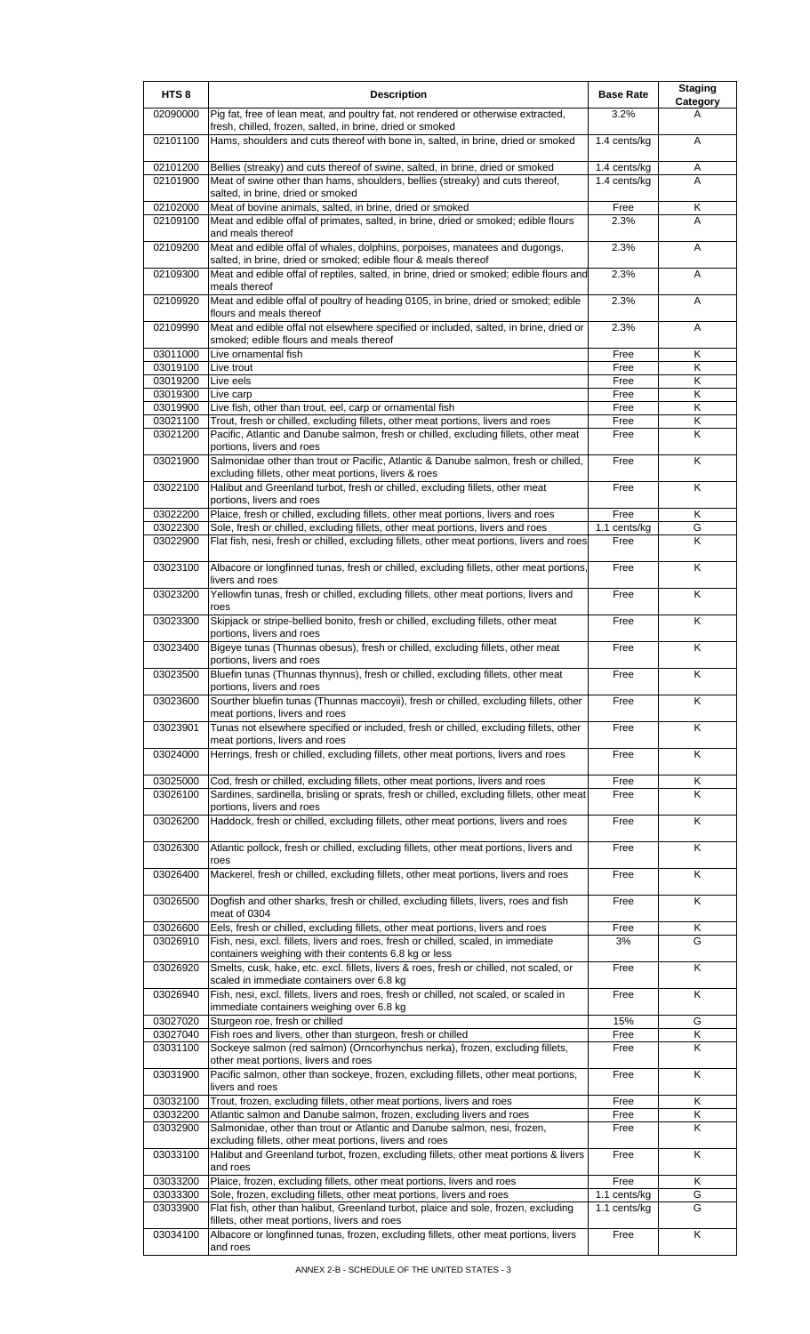| HTS <sub>8</sub>     | <b>Description</b>                                                                                                                                                                                                              | <b>Base Rate</b> | <b>Staging</b><br><b>Category</b> |
|----------------------|---------------------------------------------------------------------------------------------------------------------------------------------------------------------------------------------------------------------------------|------------------|-----------------------------------|
| 02090000             | Pig fat, free of lean meat, and poultry fat, not rendered or otherwise extracted,<br>fresh, chilled, frozen, salted, in brine, dried or smoked                                                                                  | 3.2%             | A                                 |
| 02101100             | Hams, shoulders and cuts thereof with bone in, salted, in brine, dried or smoked                                                                                                                                                | 1.4 cents/kg     | A                                 |
| 02101200             | Bellies (streaky) and cuts thereof of swine, salted, in brine, dried or smoked                                                                                                                                                  | 1.4 cents/kg     | Α                                 |
| 02101900             | Meat of swine other than hams, shoulders, bellies (streaky) and cuts thereof,<br>salted, in brine, dried or smoked                                                                                                              | 1.4 cents/kg     | A                                 |
| 02102000             | Meat of bovine animals, salted, in brine, dried or smoked                                                                                                                                                                       | Free             | Κ                                 |
| 02109100             | Meat and edible offal of primates, salted, in brine, dried or smoked; edible flours<br>and meals thereof                                                                                                                        | 2.3%             | A                                 |
| 02109200             | Meat and edible offal of whales, dolphins, porpoises, manatees and dugongs,<br>salted, in brine, dried or smoked; edible flour & meals thereof                                                                                  | 2.3%             | Α                                 |
| 02109300             | Meat and edible offal of reptiles, salted, in brine, dried or smoked; edible flours and<br>meals thereof                                                                                                                        | 2.3%             | A                                 |
| 02109920             | Meat and edible offal of poultry of heading 0105, in brine, dried or smoked; edible<br>flours and meals thereof                                                                                                                 | 2.3%             | A                                 |
| 02109990             | Meat and edible offal not elsewhere specified or included, salted, in brine, dried or<br>smoked; edible flours and meals thereof                                                                                                | 2.3%             | Α                                 |
| 03011000             | Live ornamental fish                                                                                                                                                                                                            | Free             | Κ                                 |
| 03019100             | Live trout                                                                                                                                                                                                                      | Free             | Κ                                 |
| 03019200             | Live eels                                                                                                                                                                                                                       | Free             | K                                 |
| 03019300             | Live carp                                                                                                                                                                                                                       | Free             | K                                 |
| 03019900             | Live fish, other than trout, eel, carp or ornamental fish                                                                                                                                                                       | Free             | Κ                                 |
| 03021100             | Trout, fresh or chilled, excluding fillets, other meat portions, livers and roes                                                                                                                                                | Free             | Κ                                 |
| 03021200             | Pacific, Atlantic and Danube salmon, fresh or chilled, excluding fillets, other meat<br>portions, livers and roes                                                                                                               | Free             | K                                 |
| 03021900             | Salmonidae other than trout or Pacific, Atlantic & Danube salmon, fresh or chilled,<br>excluding fillets, other meat portions, livers & roes                                                                                    | Free             | Κ                                 |
| 03022100             | Halibut and Greenland turbot, fresh or chilled, excluding fillets, other meat<br>portions, livers and roes                                                                                                                      | Free             | K                                 |
| 03022200             | Plaice, fresh or chilled, excluding fillets, other meat portions, livers and roes                                                                                                                                               | Free             | Κ                                 |
| 03022300             | Sole, fresh or chilled, excluding fillets, other meat portions, livers and roes                                                                                                                                                 | 1.1 cents/kg     | G                                 |
| 03022900             | Flat fish, nesi, fresh or chilled, excluding fillets, other meat portions, livers and roes                                                                                                                                      | Free             | Κ                                 |
| 03023100             | Albacore or longfinned tunas, fresh or chilled, excluding fillets, other meat portions,<br>livers and roes                                                                                                                      | Free             | K                                 |
| 03023200             | Yellowfin tunas, fresh or chilled, excluding fillets, other meat portions, livers and<br>roes                                                                                                                                   | Free             | K                                 |
| 03023300             | Skipjack or stripe-bellied bonito, fresh or chilled, excluding fillets, other meat<br>portions, livers and roes                                                                                                                 | Free             | Κ                                 |
| 03023400             | Bigeye tunas (Thunnas obesus), fresh or chilled, excluding fillets, other meat<br>portions, livers and roes                                                                                                                     | Free             | K                                 |
| 03023500             | Bluefin tunas (Thunnas thynnus), fresh or chilled, excluding fillets, other meat<br>portions, livers and roes                                                                                                                   | Free             | ĸ                                 |
| 03023600             | Sourther bluefin tunas (Thunnas maccoyii), fresh or chilled, excluding fillets, other<br>meat portions, livers and roes                                                                                                         | Free             | Κ                                 |
| 03023901             | Tunas not elsewhere specified or included, fresh or chilled, excluding fillets, other<br>meat portions, livers and roes                                                                                                         | Free             | K                                 |
| 03024000             | Herrings, fresh or chilled, excluding fillets, other meat portions, livers and roes                                                                                                                                             | Free             | Κ                                 |
| 03025000             | Cod, fresh or chilled, excluding fillets, other meat portions, livers and roes                                                                                                                                                  | Free             | Κ                                 |
| 03026100             | Sardines, sardinella, brisling or sprats, fresh or chilled, excluding fillets, other meat<br>portions, livers and roes                                                                                                          | Free             | Κ                                 |
| 03026200             | Haddock, fresh or chilled, excluding fillets, other meat portions, livers and roes                                                                                                                                              | Free             | K                                 |
| 03026300             | Atlantic pollock, fresh or chilled, excluding fillets, other meat portions, livers and<br>roes                                                                                                                                  | Free             | K                                 |
| 03026400             | Mackerel, fresh or chilled, excluding fillets, other meat portions, livers and roes                                                                                                                                             | Free             | K                                 |
| 03026500             | Dogfish and other sharks, fresh or chilled, excluding fillets, livers, roes and fish<br>meat of 0304                                                                                                                            | Free             | K                                 |
| 03026600<br>03026910 | Eels, fresh or chilled, excluding fillets, other meat portions, livers and roes<br>Fish, nesi, excl. fillets, livers and roes, fresh or chilled, scaled, in immediate<br>containers weighing with their contents 6.8 kg or less | Free<br>3%       | Κ<br>G                            |
| 03026920             | Smelts, cusk, hake, etc. excl. fillets, livers & roes, fresh or chilled, not scaled, or<br>scaled in immediate containers over 6.8 kg                                                                                           | Free             | K                                 |
| 03026940             | Fish, nesi, excl. fillets, livers and roes, fresh or chilled, not scaled, or scaled in<br>immediate containers weighing over 6.8 kg                                                                                             | Free             | Κ                                 |
| 03027020             | Sturgeon roe, fresh or chilled                                                                                                                                                                                                  | 15%              | G                                 |
| 03027040             | Fish roes and livers, other than sturgeon, fresh or chilled                                                                                                                                                                     | Free             | Κ                                 |
| 03031100             | Sockeye salmon (red salmon) (Orncorhynchus nerka), frozen, excluding fillets,                                                                                                                                                   | Free             | K                                 |
| 03031900             | other meat portions, livers and roes<br>Pacific salmon, other than sockeye, frozen, excluding fillets, other meat portions,                                                                                                     | Free             | K                                 |
| 03032100             | livers and roes<br>Trout, frozen, excluding fillets, other meat portions, livers and roes                                                                                                                                       | Free             | Κ                                 |
| 03032200             | Atlantic salmon and Danube salmon, frozen, excluding livers and roes                                                                                                                                                            | Free             | Κ                                 |
| 03032900             | Salmonidae, other than trout or Atlantic and Danube salmon, nesi, frozen,<br>excluding fillets, other meat portions, livers and roes                                                                                            | Free             | Κ                                 |
| 03033100             | Halibut and Greenland turbot, frozen, excluding fillets, other meat portions & livers<br>and roes                                                                                                                               | Free             | K                                 |
| 03033200             | Plaice, frozen, excluding fillets, other meat portions, livers and roes                                                                                                                                                         | Free             | Κ                                 |
| 03033300             | Sole, frozen, excluding fillets, other meat portions, livers and roes                                                                                                                                                           | 1.1 cents/kg     | G                                 |
| 03033900             | Flat fish, other than halibut, Greenland turbot, plaice and sole, frozen, excluding<br>fillets, other meat portions, livers and roes                                                                                            | 1.1 cents/kg     | G                                 |
| 03034100             | Albacore or longfinned tunas, frozen, excluding fillets, other meat portions, livers<br>and roes                                                                                                                                | Free             | K                                 |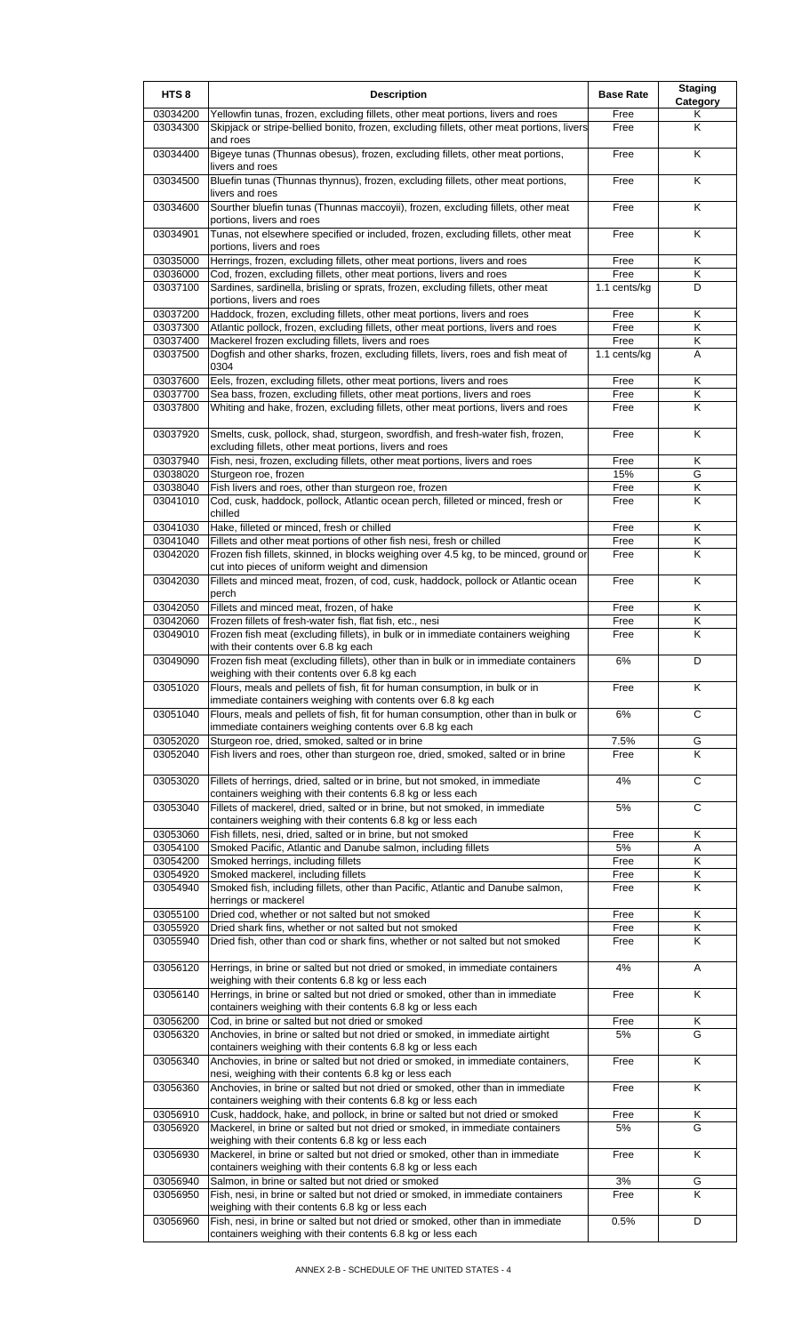| HTS <sub>8</sub>     | <b>Description</b>                                                                                                                                                                                             | <b>Base Rate</b> | <b>Staging</b><br>Category |
|----------------------|----------------------------------------------------------------------------------------------------------------------------------------------------------------------------------------------------------------|------------------|----------------------------|
| 03034200<br>03034300 | Yellowfin tunas, frozen, excluding fillets, other meat portions, livers and roes<br>Skipjack or stripe-bellied bonito, frozen, excluding fillets, other meat portions, livers                                  | Free<br>Free     | Κ<br>K                     |
| 03034400             | and roes<br>Bigeye tunas (Thunnas obesus), frozen, excluding fillets, other meat portions,<br>livers and roes                                                                                                  | Free             | K                          |
| 03034500             | Bluefin tunas (Thunnas thynnus), frozen, excluding fillets, other meat portions,<br>livers and roes                                                                                                            | Free             | K                          |
| 03034600             | Sourther bluefin tunas (Thunnas maccoyii), frozen, excluding fillets, other meat<br>portions, livers and roes                                                                                                  | Free             | Κ                          |
| 03034901             | Tunas, not elsewhere specified or included, frozen, excluding fillets, other meat<br>portions, livers and roes                                                                                                 | Free             | K                          |
| 03035000<br>03036000 | Herrings, frozen, excluding fillets, other meat portions, livers and roes<br>Cod, frozen, excluding fillets, other meat portions, livers and roes                                                              | Free<br>Free     | Κ<br>K                     |
| 03037100             | Sardines, sardinella, brisling or sprats, frozen, excluding fillets, other meat<br>portions, livers and roes                                                                                                   | 1.1 cents/kg     | D                          |
| 03037200             | Haddock, frozen, excluding fillets, other meat portions, livers and roes                                                                                                                                       | Free             | K                          |
| 03037300<br>03037400 | Atlantic pollock, frozen, excluding fillets, other meat portions, livers and roes<br>Mackerel frozen excluding fillets, livers and roes                                                                        | Free<br>Free     | Κ<br>Κ                     |
| 03037500             | Dogfish and other sharks, frozen, excluding fillets, livers, roes and fish meat of<br>0304                                                                                                                     | 1.1 cents/kg     | A                          |
| 03037600             | Eels, frozen, excluding fillets, other meat portions, livers and roes                                                                                                                                          | Free             | Κ                          |
| 03037700<br>03037800 | Sea bass, frozen, excluding fillets, other meat portions, livers and roes<br>Whiting and hake, frozen, excluding fillets, other meat portions, livers and roes                                                 | Free<br>Free     | Κ<br>Κ                     |
| 03037920             | Smelts, cusk, pollock, shad, sturgeon, swordfish, and fresh-water fish, frozen,                                                                                                                                | Free             | Κ                          |
| 03037940             | excluding fillets, other meat portions, livers and roes<br>Fish, nesi, frozen, excluding fillets, other meat portions, livers and roes                                                                         | Free             | Κ                          |
| 03038020             | Sturgeon roe, frozen                                                                                                                                                                                           | 15%              | G                          |
| 03038040             | Fish livers and roes, other than sturgeon roe, frozen                                                                                                                                                          | Free             | Κ                          |
| 03041010             | Cod, cusk, haddock, pollock, Atlantic ocean perch, filleted or minced, fresh or<br>chilled                                                                                                                     | Free             | K                          |
| 03041030             | Hake, filleted or minced, fresh or chilled                                                                                                                                                                     | Free             | Κ                          |
| 03041040<br>03042020 | Fillets and other meat portions of other fish nesi, fresh or chilled<br>Frozen fish fillets, skinned, in blocks weighing over 4.5 kg, to be minced, ground or                                                  | Free<br>Free     | Κ<br>K                     |
| 03042030             | cut into pieces of uniform weight and dimension<br>Fillets and minced meat, frozen, of cod, cusk, haddock, pollock or Atlantic ocean                                                                           | Free             | Κ                          |
| 03042050             | perch<br>Fillets and minced meat, frozen, of hake                                                                                                                                                              | Free             | K                          |
| 03042060             | Frozen fillets of fresh-water fish, flat fish, etc., nesi                                                                                                                                                      | Free             | Κ                          |
| 03049010             | Frozen fish meat (excluding fillets), in bulk or in immediate containers weighing                                                                                                                              | Free             | K                          |
| 03049090             | with their contents over 6.8 kg each<br>Frozen fish meat (excluding fillets), other than in bulk or in immediate containers                                                                                    | 6%               | D                          |
| 03051020             | weighing with their contents over 6.8 kg each<br>Flours, meals and pellets of fish, fit for human consumption, in bulk or in                                                                                   | Free             | K                          |
| 03051040             | immediate containers weighing with contents over 6.8 kg each<br>Flours, meals and pellets of fish, fit for human consumption, other than in bulk or<br>immediate containers weighing contents over 6.8 kg each | 6%               | С                          |
| 03052020             | Sturgeon roe, dried, smoked, salted or in brine                                                                                                                                                                | 7.5%             | G                          |
| 03052040             | Fish livers and roes, other than sturgeon roe, dried, smoked, salted or in brine                                                                                                                               | Free             | Κ                          |
| 03053020             | Fillets of herrings, dried, salted or in brine, but not smoked, in immediate<br>containers weighing with their contents 6.8 kg or less each                                                                    | 4%               | $\mathsf{C}$               |
| 03053040             | Fillets of mackerel, dried, salted or in brine, but not smoked, in immediate<br>containers weighing with their contents 6.8 kg or less each                                                                    | 5%               | C                          |
| 03053060             | Fish fillets, nesi, dried, salted or in brine, but not smoked                                                                                                                                                  | Free             | Κ                          |
| 03054100             | Smoked Pacific, Atlantic and Danube salmon, including fillets                                                                                                                                                  | 5%               | Α                          |
| 03054200<br>03054920 | Smoked herrings, including fillets<br>Smoked mackerel, including fillets                                                                                                                                       | Free<br>Free     | Κ<br>Κ                     |
| 03054940             | Smoked fish, including fillets, other than Pacific, Atlantic and Danube salmon,                                                                                                                                | Free             | Κ                          |
|                      | herrings or mackerel                                                                                                                                                                                           |                  |                            |
| 03055100             | Dried cod, whether or not salted but not smoked                                                                                                                                                                | Free             | Κ                          |
| 03055920<br>03055940 | Dried shark fins, whether or not salted but not smoked<br>Dried fish, other than cod or shark fins, whether or not salted but not smoked                                                                       | Free<br>Free     | Κ<br>K                     |
| 03056120             | Herrings, in brine or salted but not dried or smoked, in immediate containers<br>weighing with their contents 6.8 kg or less each                                                                              | 4%               | A                          |
| 03056140             | Herrings, in brine or salted but not dried or smoked, other than in immediate<br>containers weighing with their contents 6.8 kg or less each                                                                   | Free             | Κ                          |
| 03056200             | Cod, in brine or salted but not dried or smoked                                                                                                                                                                | Free             | Κ                          |
| 03056320             | Anchovies, in brine or salted but not dried or smoked, in immediate airtight<br>containers weighing with their contents 6.8 kg or less each                                                                    | 5%               | G                          |
| 03056340             | Anchovies, in brine or salted but not dried or smoked, in immediate containers,<br>nesi, weighing with their contents 6.8 kg or less each                                                                      | Free             | K                          |
| 03056360             | Anchovies, in brine or salted but not dried or smoked, other than in immediate<br>containers weighing with their contents 6.8 kg or less each                                                                  | Free             | Κ                          |
| 03056910             | Cusk, haddock, hake, and pollock, in brine or salted but not dried or smoked                                                                                                                                   | Free             | Κ                          |
| 03056920             | Mackerel, in brine or salted but not dried or smoked, in immediate containers<br>weighing with their contents 6.8 kg or less each                                                                              | 5%               | G                          |
| 03056930             | Mackerel, in brine or salted but not dried or smoked, other than in immediate<br>containers weighing with their contents 6.8 kg or less each                                                                   | Free             | K                          |
| 03056940<br>03056950 | Salmon, in brine or salted but not dried or smoked<br>Fish, nesi, in brine or salted but not dried or smoked, in immediate containers                                                                          | 3%<br>Free       | G<br>K                     |
| 03056960             | weighing with their contents 6.8 kg or less each<br>Fish, nesi, in brine or salted but not dried or smoked, other than in immediate<br>containers weighing with their contents 6.8 kg or less each             | 0.5%             | D                          |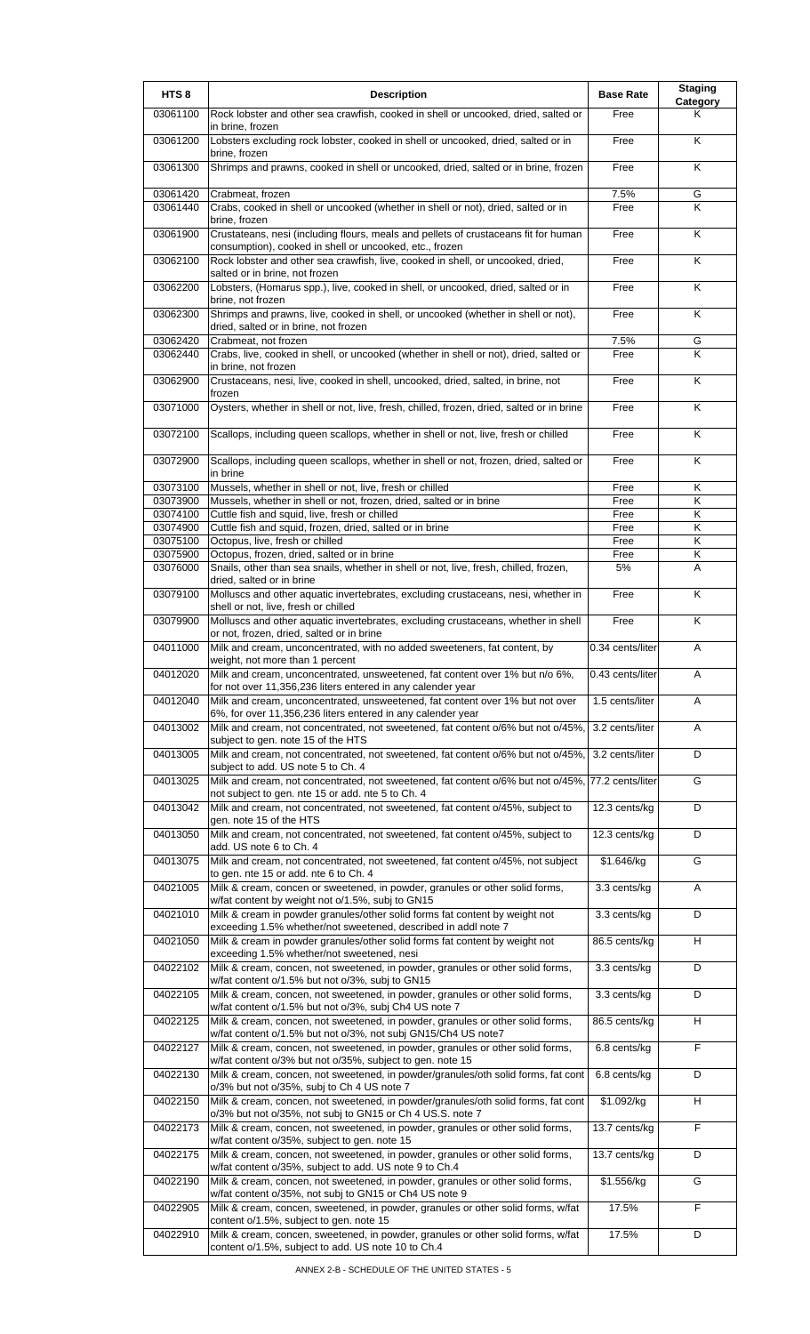| HTS <sub>8</sub>     | <b>Description</b>                                                                                                                                                                                          | <b>Base Rate</b> | <b>Staging</b><br>Category |
|----------------------|-------------------------------------------------------------------------------------------------------------------------------------------------------------------------------------------------------------|------------------|----------------------------|
| 03061100             | Rock lobster and other sea crawfish, cooked in shell or uncooked, dried, salted or<br>in brine, frozen                                                                                                      | Free             | Κ                          |
| 03061200             | Lobsters excluding rock lobster, cooked in shell or uncooked, dried, salted or in<br>brine, frozen                                                                                                          | Free             | K                          |
| 03061300             | Shrimps and prawns, cooked in shell or uncooked, dried, salted or in brine, frozen                                                                                                                          | Free             | K                          |
| 03061420<br>03061440 | Crabmeat, frozen<br>Crabs, cooked in shell or uncooked (whether in shell or not), dried, salted or in                                                                                                       | 7.5%<br>Free     | G<br>K                     |
|                      | brine, frozen                                                                                                                                                                                               |                  |                            |
| 03061900             | Crustateans, nesi (including flours, meals and pellets of crustaceans fit for human<br>consumption), cooked in shell or uncooked, etc., frozen                                                              | Free             | K                          |
| 03062100             | Rock lobster and other sea crawfish, live, cooked in shell, or uncooked, dried,<br>salted or in brine, not frozen                                                                                           | Free             | K                          |
| 03062200             | Lobsters, (Homarus spp.), live, cooked in shell, or uncooked, dried, salted or in<br>brine, not frozen                                                                                                      | Free             | Κ                          |
| 03062300             | Shrimps and prawns, live, cooked in shell, or uncooked (whether in shell or not),<br>dried, salted or in brine, not frozen                                                                                  | Free             | $\overline{\mathsf{K}}$    |
| 03062420<br>03062440 | Crabmeat, not frozen<br>Crabs, live, cooked in shell, or uncooked (whether in shell or not), dried, salted or<br>in brine, not frozen                                                                       | 7.5%<br>Free     | G<br>K                     |
| 03062900             | Crustaceans, nesi, live, cooked in shell, uncooked, dried, salted, in brine, not                                                                                                                            | Free             | Κ                          |
| 03071000             | frozen<br>Oysters, whether in shell or not, live, fresh, chilled, frozen, dried, salted or in brine                                                                                                         | Free             | K                          |
| 03072100             | Scallops, including queen scallops, whether in shell or not, live, fresh or chilled                                                                                                                         | Free             | K                          |
| 03072900             | Scallops, including queen scallops, whether in shell or not, frozen, dried, salted or<br>in brine                                                                                                           | Free             | Κ                          |
| 03073100             | Mussels, whether in shell or not, live, fresh or chilled                                                                                                                                                    | Free             | Κ                          |
| 03073900<br>03074100 | Mussels, whether in shell or not, frozen, dried, salted or in brine<br>Cuttle fish and squid, live, fresh or chilled                                                                                        | Free<br>Free     | Κ<br>Κ                     |
| 03074900             | Cuttle fish and squid, frozen, dried, salted or in brine                                                                                                                                                    | Free             | K                          |
| 03075100             | Octopus, live, fresh or chilled                                                                                                                                                                             | Free             | Κ                          |
| 03075900<br>03076000 | Octopus, frozen, dried, salted or in brine<br>Snails, other than sea snails, whether in shell or not, live, fresh, chilled, frozen,                                                                         | Free<br>5%       | Κ<br>A                     |
| 03079100             | dried, salted or in brine<br>Molluscs and other aquatic invertebrates, excluding crustaceans, nesi, whether in<br>shell or not, live, fresh or chilled                                                      | Free             | K                          |
| 03079900             | Molluscs and other aquatic invertebrates, excluding crustaceans, whether in shell<br>or not, frozen, dried, salted or in brine                                                                              | Free             | Κ                          |
| 04011000             | Milk and cream, unconcentrated, with no added sweeteners, fat content, by<br>weight, not more than 1 percent                                                                                                | 0.34 cents/liter | A                          |
| 04012020             | Milk and cream, unconcentrated, unsweetened, fat content over 1% but n/o 6%,                                                                                                                                | 0.43 cents/liter | A                          |
| 04012040             | for not over 11,356,236 liters entered in any calender year<br>Milk and cream, unconcentrated, unsweetened, fat content over 1% but not over<br>6%, for over 11,356,236 liters entered in any calender year | 1.5 cents/liter  | A                          |
| 04013002             | Milk and cream, not concentrated, not sweetened, fat content o/6% but not o/45%,                                                                                                                            | 3.2 cents/liter  | Α                          |
| 04013005             | subject to gen. note 15 of the HTS<br>Milk and cream, not concentrated, not sweetened, fat content o/6% but not o/45%,<br>subject to add. US note 5 to Ch. 4                                                | 3.2 cents/liter  | D                          |
| 04013025             | Milk and cream, not concentrated, not sweetened, fat content o/6% but not o/45%,<br>not subject to gen. nte 15 or add. nte 5 to Ch. 4                                                                       | 77.2 cents/liter | G                          |
| 04013042             | Milk and cream, not concentrated, not sweetened, fat content o/45%, subject to<br>gen. note 15 of the HTS                                                                                                   | 12.3 cents/kg    | D                          |
| 04013050             | Milk and cream, not concentrated, not sweetened, fat content o/45%, subject to<br>add. US note 6 to Ch. 4                                                                                                   | 12.3 cents/kg    | D                          |
| 04013075             | Milk and cream, not concentrated, not sweetened, fat content o/45%, not subject<br>to gen. nte 15 or add. nte 6 to Ch. 4                                                                                    | \$1.646/kg       | G                          |
| 04021005             | Milk & cream, concen or sweetened, in powder, granules or other solid forms,<br>w/fat content by weight not o/1.5%, subj to GN15                                                                            | 3.3 cents/kg     | Α                          |
| 04021010             | Milk & cream in powder granules/other solid forms fat content by weight not<br>exceeding 1.5% whether/not sweetened, described in addl note 7                                                               | 3.3 cents/kg     | D                          |
| 04021050             | Milk & cream in powder granules/other solid forms fat content by weight not<br>exceeding 1.5% whether/not sweetened, nesi                                                                                   | 86.5 cents/kg    | H.                         |
| 04022102             | Milk & cream, concen, not sweetened, in powder, granules or other solid forms,<br>w/fat content o/1.5% but not o/3%, subj to GN15                                                                           | 3.3 cents/kg     | D                          |
| 04022105             | Milk & cream, concen, not sweetened, in powder, granules or other solid forms,<br>w/fat content o/1.5% but not o/3%, subj Ch4 US note 7                                                                     | 3.3 cents/kg     | D                          |
| 04022125             | Milk & cream, concen, not sweetened, in powder, granules or other solid forms,<br>w/fat content o/1.5% but not o/3%, not subj GN15/Ch4 US note7                                                             | 86.5 cents/kg    | H                          |
| 04022127             | Milk & cream, concen, not sweetened, in powder, granules or other solid forms,<br>w/fat content o/3% but not o/35%, subject to gen. note 15                                                                 | 6.8 cents/kg     | F                          |
| 04022130             | Milk & cream, concen, not sweetened, in powder/granules/oth solid forms, fat cont<br>o/3% but not o/35%, subj to Ch 4 US note 7                                                                             | 6.8 cents/kg     | D                          |
| 04022150             | Milk & cream, concen, not sweetened, in powder/granules/oth solid forms, fat cont<br>o/3% but not o/35%, not subj to GN15 or Ch 4 US.S. note 7                                                              | \$1.092/kg       | H                          |
| 04022173             | Milk & cream, concen, not sweetened, in powder, granules or other solid forms,<br>w/fat content o/35%, subject to gen. note 15                                                                              | 13.7 cents/kg    | F                          |
| 04022175             | Milk & cream, concen, not sweetened, in powder, granules or other solid forms,<br>w/fat content o/35%, subject to add. US note 9 to Ch.4                                                                    | 13.7 cents/kg    | D                          |
| 04022190             | Milk & cream, concen, not sweetened, in powder, granules or other solid forms,<br>w/fat content o/35%, not subj to GN15 or Ch4 US note 9                                                                    | \$1.556/kg       | G                          |
| 04022905             | Milk & cream, concen, sweetened, in powder, granules or other solid forms, w/fat<br>content o/1.5%, subject to gen. note 15                                                                                 | 17.5%            | $\overline{F}$             |
| 04022910             | Milk & cream, concen, sweetened, in powder, granules or other solid forms, w/fat<br>content o/1.5%, subject to add. US note 10 to Ch.4                                                                      | 17.5%            | D                          |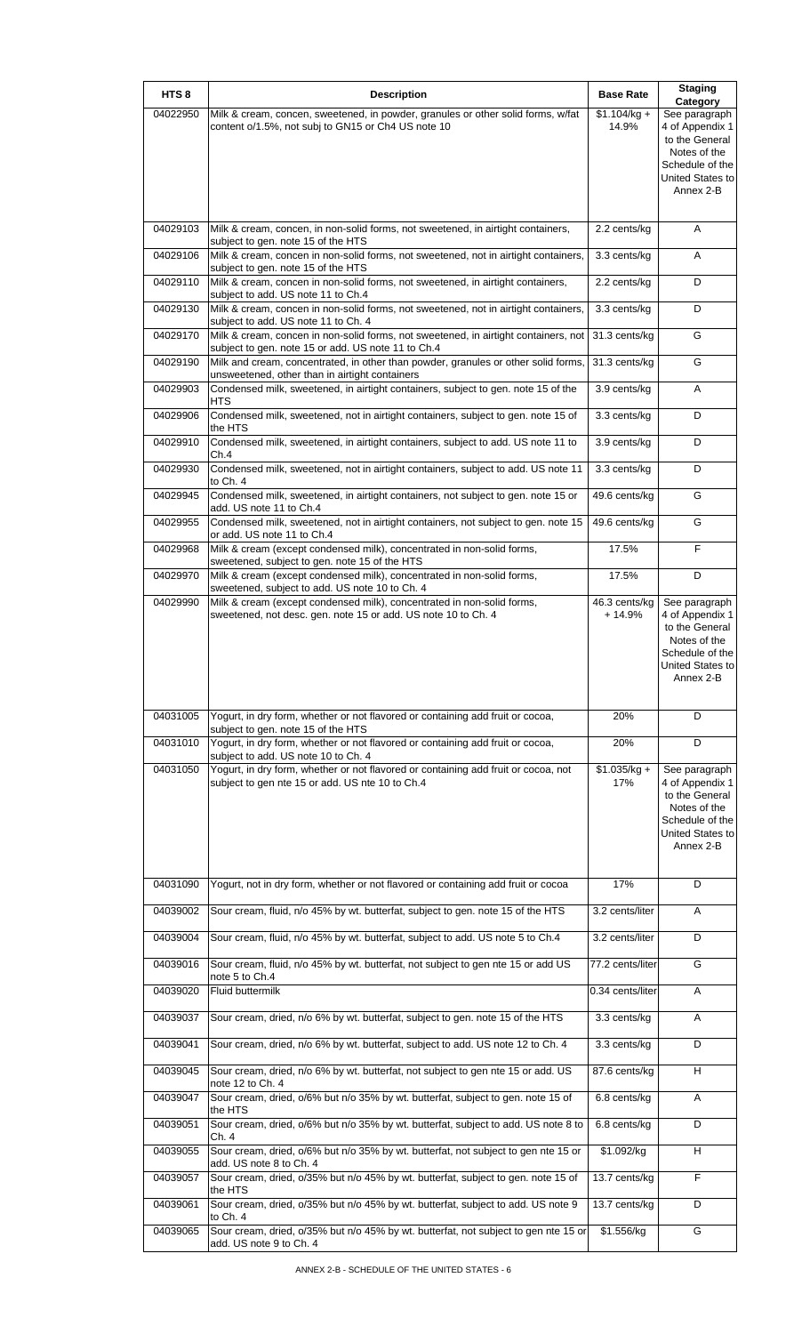| HTS <sub>8</sub> | <b>Description</b>                                                                                                                        | <b>Base Rate</b>          | <b>Staging</b><br>Category                                                                                             |
|------------------|-------------------------------------------------------------------------------------------------------------------------------------------|---------------------------|------------------------------------------------------------------------------------------------------------------------|
| 04022950         | Milk & cream, concen, sweetened, in powder, granules or other solid forms, w/fat<br>content o/1.5%, not subj to GN15 or Ch4 US note 10    | $$1.104/kg +$<br>14.9%    | See paragraph<br>4 of Appendix 1<br>to the General<br>Notes of the<br>Schedule of the<br>United States to<br>Annex 2-B |
| 04029103         | Milk & cream, concen, in non-solid forms, not sweetened, in airtight containers,<br>subject to gen. note 15 of the HTS                    | 2.2 cents/kg              | A                                                                                                                      |
| 04029106         | Milk & cream, concen in non-solid forms, not sweetened, not in airtight containers,<br>subject to gen. note 15 of the HTS                 | 3.3 cents/kg              | Α                                                                                                                      |
| 04029110         | Milk & cream, concen in non-solid forms, not sweetened, in airtight containers,<br>subject to add. US note 11 to Ch.4                     | 2.2 cents/kg              | D                                                                                                                      |
| 04029130         | Milk & cream, concen in non-solid forms, not sweetened, not in airtight containers,<br>subject to add. US note 11 to Ch. 4                | 3.3 cents/kg              | D                                                                                                                      |
| 04029170         | Milk & cream, concen in non-solid forms, not sweetened, in airtight containers, not<br>subject to gen. note 15 or add. US note 11 to Ch.4 | 31.3 cents/kg             | G                                                                                                                      |
| 04029190         | Milk and cream, concentrated, in other than powder, granules or other solid forms,<br>unsweetened, other than in airtight containers      | 31.3 cents/kg             | G                                                                                                                      |
| 04029903         | Condensed milk, sweetened, in airtight containers, subject to gen. note 15 of the<br><b>HTS</b>                                           | 3.9 cents/kg              | Α                                                                                                                      |
| 04029906         | Condensed milk, sweetened, not in airtight containers, subject to gen. note 15 of<br>the HTS                                              | 3.3 cents/kg              | D                                                                                                                      |
| 04029910         | Condensed milk, sweetened, in airtight containers, subject to add. US note 11 to<br>Ch.4                                                  | 3.9 cents/kg              | D                                                                                                                      |
| 04029930         | Condensed milk, sweetened, not in airtight containers, subject to add. US note 11<br>to Ch. 4                                             | 3.3 cents/kg              | D                                                                                                                      |
| 04029945         | Condensed milk, sweetened, in airtight containers, not subject to gen. note 15 or<br>add. US note 11 to Ch.4                              | 49.6 cents/kg             | G                                                                                                                      |
| 04029955         | Condensed milk, sweetened, not in airtight containers, not subject to gen. note 15<br>or add. US note 11 to Ch.4                          | 49.6 cents/kg             | G                                                                                                                      |
| 04029968         | Milk & cream (except condensed milk), concentrated in non-solid forms,<br>sweetened, subject to gen. note 15 of the HTS                   | 17.5%                     | F                                                                                                                      |
| 04029970         | Milk & cream (except condensed milk), concentrated in non-solid forms,<br>sweetened, subject to add. US note 10 to Ch. 4                  | 17.5%                     | D                                                                                                                      |
| 04029990         | Milk & cream (except condensed milk), concentrated in non-solid forms,<br>sweetened, not desc. gen. note 15 or add. US note 10 to Ch. 4   | 46.3 cents/kg<br>$+14.9%$ | See paragraph<br>4 of Appendix 1<br>to the General<br>Notes of the<br>Schedule of the<br>United States to<br>Annex 2-B |
| 04031005         | Yogurt, in dry form, whether or not flavored or containing add fruit or cocoa,<br>subject to gen. note 15 of the HTS                      | 20%                       | D                                                                                                                      |
| 04031010         | Yogurt, in dry form, whether or not flavored or containing add fruit or cocoa,<br>subject to add. US note 10 to Ch. 4                     | 20%                       | D                                                                                                                      |
| 04031050         | Yogurt, in dry form, whether or not flavored or containing add fruit or cocoa, not<br>subject to gen nte 15 or add. US nte 10 to Ch.4     | $$1.035/kq +$<br>17%      | See paragraph<br>4 of Appendix 1<br>to the General<br>Notes of the<br>Schedule of the<br>United States to<br>Annex 2-B |
| 04031090         | Yogurt, not in dry form, whether or not flavored or containing add fruit or cocoa                                                         | 17%                       | D                                                                                                                      |
| 04039002         | Sour cream, fluid, n/o 45% by wt. butterfat, subject to gen. note 15 of the HTS                                                           | 3.2 cents/liter           | A                                                                                                                      |
| 04039004         | Sour cream, fluid, n/o 45% by wt. butterfat, subject to add. US note 5 to Ch.4                                                            | 3.2 cents/liter           | D                                                                                                                      |
| 04039016         | Sour cream, fluid, n/o 45% by wt. butterfat, not subject to gen nte 15 or add US<br>note 5 to Ch.4                                        | 77.2 cents/liter          | G                                                                                                                      |
| 04039020         | Fluid buttermilk                                                                                                                          | 0.34 cents/liter          | A                                                                                                                      |
| 04039037         | Sour cream, dried, n/o 6% by wt. butterfat, subject to gen. note 15 of the HTS                                                            | 3.3 cents/kg              | A                                                                                                                      |
| 04039041         | Sour cream, dried, n/o 6% by wt. butterfat, subject to add. US note 12 to Ch. 4                                                           | 3.3 cents/kg              | D                                                                                                                      |
| 04039045         | Sour cream, dried, n/o 6% by wt. butterfat, not subject to gen nte 15 or add. US<br>note 12 to Ch. 4                                      | 87.6 cents/kg             | H                                                                                                                      |
| 04039047         | Sour cream, dried, o/6% but n/o 35% by wt. butterfat, subject to gen. note 15 of<br>the HTS                                               | 6.8 cents/kg              | A                                                                                                                      |
| 04039051         | Sour cream, dried, o/6% but n/o 35% by wt. butterfat, subject to add. US note 8 to<br>Ch. 4                                               | 6.8 cents/kg              | D                                                                                                                      |
| 04039055         | Sour cream, dried, o/6% but n/o 35% by wt. butterfat, not subject to gen nte 15 or<br>add. US note 8 to Ch. 4                             | \$1.092/kg                | H                                                                                                                      |
| 04039057         | Sour cream, dried, o/35% but n/o 45% by wt. butterfat, subject to gen. note 15 of<br>the HTS                                              | 13.7 cents/kg             | $\overline{F}$                                                                                                         |
| 04039061         | Sour cream, dried, o/35% but n/o 45% by wt. butterfat, subject to add. US note 9<br>to Ch. 4                                              | 13.7 cents/kg             | D                                                                                                                      |
| 04039065         | Sour cream, dried, o/35% but n/o 45% by wt. butterfat, not subject to gen nte 15 or<br>add. US note 9 to Ch. 4                            | \$1.556/kg                | G                                                                                                                      |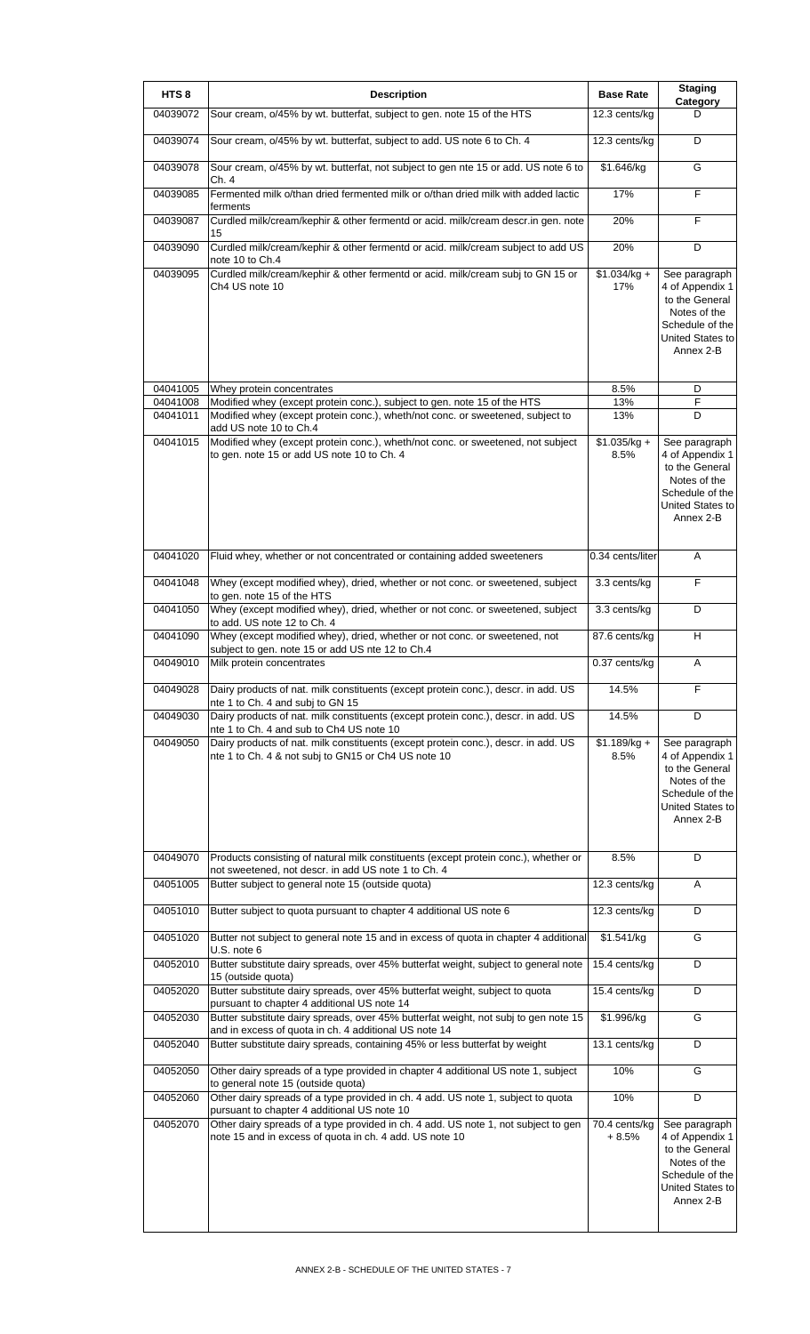| HTS <sub>8</sub>     | <b>Description</b>                                                                                                                            | <b>Base Rate</b>         | <b>Staging</b><br>Category                                                                                             |
|----------------------|-----------------------------------------------------------------------------------------------------------------------------------------------|--------------------------|------------------------------------------------------------------------------------------------------------------------|
| 04039072             | Sour cream, o/45% by wt. butterfat, subject to gen. note 15 of the HTS                                                                        | 12.3 cents/kg            | D                                                                                                                      |
| 04039074             | Sour cream, o/45% by wt. butterfat, subject to add. US note 6 to Ch. 4                                                                        | 12.3 cents/kg            | D                                                                                                                      |
| 04039078             | Sour cream, o/45% by wt. butterfat, not subject to gen nte 15 or add. US note 6 to<br>Ch. 4                                                   | \$1.646/kg               | G                                                                                                                      |
| 04039085             | Fermented milk o/than dried fermented milk or o/than dried milk with added lactic<br>ferments                                                 | 17%                      | F                                                                                                                      |
| 04039087             | Curdled milk/cream/kephir & other fermentd or acid. milk/cream descr.in gen. note<br>15                                                       | 20%                      | F                                                                                                                      |
| 04039090             | Curdled milk/cream/kephir & other fermentd or acid. milk/cream subject to add US<br>note 10 to Ch.4                                           | 20%                      | D                                                                                                                      |
| 04039095             | Curdled milk/cream/kephir & other fermentd or acid. milk/cream subj to GN 15 or<br>Ch4 US note 10                                             | $$1.034/kg +$<br>17%     | See paragraph<br>4 of Appendix 1<br>to the General<br>Notes of the<br>Schedule of the<br>United States to<br>Annex 2-B |
| 04041005<br>04041008 | Whey protein concentrates<br>Modified whey (except protein conc.), subject to gen. note 15 of the HTS                                         | 8.5%<br>13%              | D<br>F                                                                                                                 |
| 04041011             | Modified whey (except protein conc.), wheth/not conc. or sweetened, subject to<br>add US note 10 to Ch.4                                      | 13%                      | D                                                                                                                      |
| 04041015             | Modified whey (except protein conc.), wheth/not conc. or sweetened, not subject<br>to gen. note 15 or add US note 10 to Ch. 4                 | $$1.035/kg +$<br>8.5%    | See paragraph<br>4 of Appendix 1<br>to the General<br>Notes of the<br>Schedule of the<br>United States to<br>Annex 2-B |
| 04041020             | Fluid whey, whether or not concentrated or containing added sweeteners                                                                        | 0.34 cents/liter         | A                                                                                                                      |
| 04041048             | Whey (except modified whey), dried, whether or not conc. or sweetened, subject<br>to gen. note 15 of the HTS                                  | 3.3 cents/kg             | F                                                                                                                      |
| 04041050             | Whey (except modified whey), dried, whether or not conc. or sweetened, subject<br>to add. US note 12 to Ch. 4                                 | 3.3 cents/kg             | D                                                                                                                      |
| 04041090             | Whey (except modified whey), dried, whether or not conc. or sweetened, not<br>subject to gen. note 15 or add US nte 12 to Ch.4                | 87.6 cents/kg            | H                                                                                                                      |
| 04049010             | Milk protein concentrates                                                                                                                     | $0.37$ cents/kg          | Α                                                                                                                      |
| 04049028             | Dairy products of nat. milk constituents (except protein conc.), descr. in add. US<br>nte 1 to Ch. 4 and subj to GN 15                        | 14.5%                    | F                                                                                                                      |
| 04049030             | Dairy products of nat. milk constituents (except protein conc.), descr. in add. US<br>nte 1 to Ch. 4 and sub to Ch4 US note 10                | 14.5%                    | D                                                                                                                      |
| 04049050             | Dairy products of nat. milk constituents (except protein conc.), descr. in add. US<br>nte 1 to Ch. 4 & not subj to GN15 or Ch4 US note 10     | $$1.189/kg +$<br>8.5%    | See paragraph<br>4 of Appendix 1<br>to the General<br>Notes of the<br>Schedule of the<br>United States to<br>Annex 2-B |
| 04049070             | Products consisting of natural milk constituents (except protein conc.), whether or<br>not sweetened, not descr. in add US note 1 to Ch. 4    | 8.5%                     | D                                                                                                                      |
| 04051005             | Butter subject to general note 15 (outside quota)                                                                                             | 12.3 cents/kg            | A                                                                                                                      |
| 04051010             | Butter subject to quota pursuant to chapter 4 additional US note 6                                                                            | 12.3 cents/kg            | D                                                                                                                      |
| 04051020             | Butter not subject to general note 15 and in excess of quota in chapter 4 additional<br>U.S. note 6                                           | \$1.541/kg               | G                                                                                                                      |
| 04052010             | Butter substitute dairy spreads, over 45% butterfat weight, subject to general note<br>15 (outside quota)                                     | 15.4 cents/kg            | D                                                                                                                      |
| 04052020             | Butter substitute dairy spreads, over 45% butterfat weight, subject to quota<br>pursuant to chapter 4 additional US note 14                   | 15.4 cents/kg            | D                                                                                                                      |
| 04052030             | Butter substitute dairy spreads, over 45% butterfat weight, not subj to gen note 15<br>and in excess of quota in ch. 4 additional US note 14  | \$1.996/kg               | G                                                                                                                      |
| 04052040             | Butter substitute dairy spreads, containing 45% or less butterfat by weight                                                                   | 13.1 cents/kg            | D                                                                                                                      |
| 04052050             | Other dairy spreads of a type provided in chapter 4 additional US note 1, subject<br>to general note 15 (outside quota)                       | 10%                      | G                                                                                                                      |
| 04052060             | Other dairy spreads of a type provided in ch. 4 add. US note 1, subject to quota<br>pursuant to chapter 4 additional US note 10               | 10%                      | D                                                                                                                      |
| 04052070             | Other dairy spreads of a type provided in ch. 4 add. US note 1, not subject to gen<br>note 15 and in excess of quota in ch. 4 add. US note 10 | 70.4 cents/kg<br>$+8.5%$ | See paragraph<br>4 of Appendix 1<br>to the General<br>Notes of the<br>Schedule of the<br>United States to<br>Annex 2-B |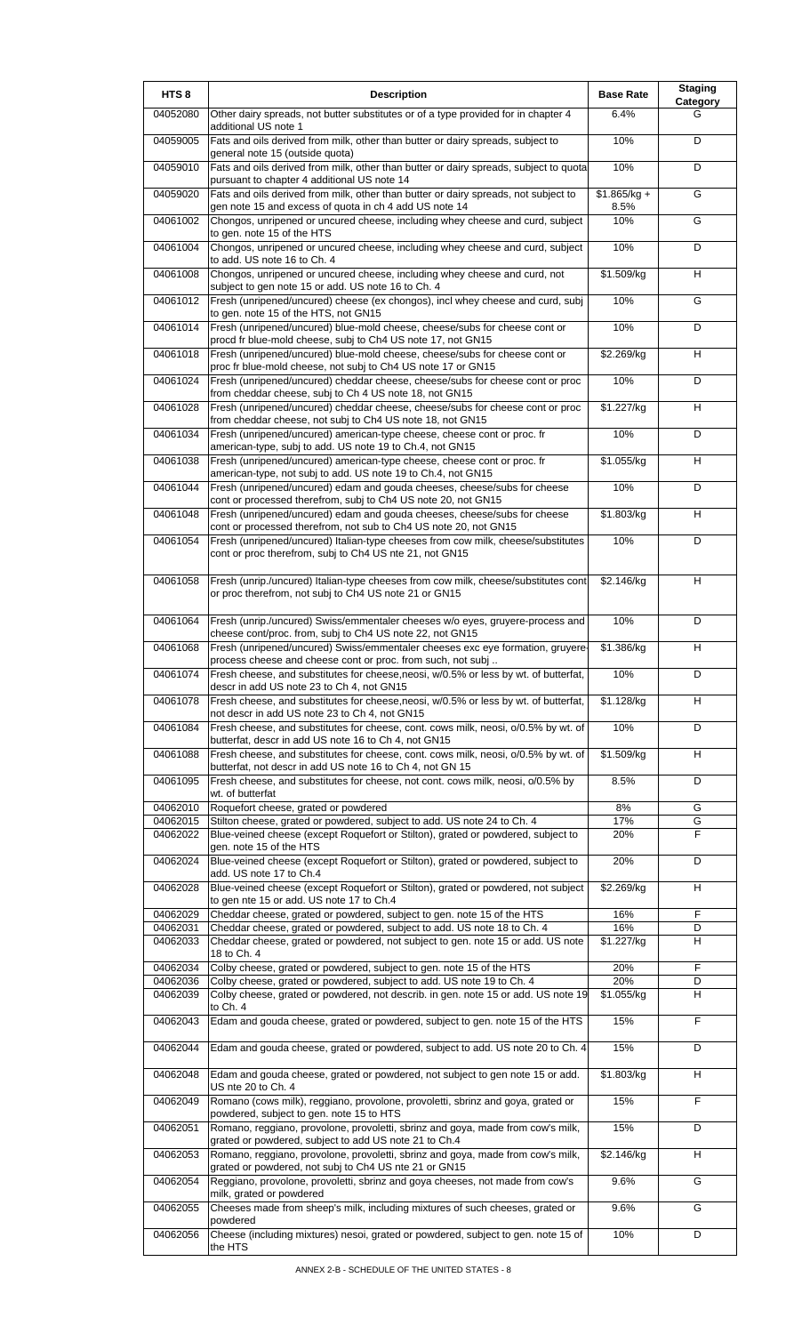| HTS <sub>8</sub>     | <b>Description</b>                                                                                                                                          | <b>Base Rate</b>      | <b>Staging</b><br>Category |
|----------------------|-------------------------------------------------------------------------------------------------------------------------------------------------------------|-----------------------|----------------------------|
| 04052080             | Other dairy spreads, not butter substitutes or of a type provided for in chapter 4<br>additional US note 1                                                  | 6.4%                  | G                          |
| 04059005             | Fats and oils derived from milk, other than butter or dairy spreads, subject to<br>general note 15 (outside quota)                                          | 10%                   | D                          |
| 04059010             | Fats and oils derived from milk, other than butter or dairy spreads, subject to quota<br>pursuant to chapter 4 additional US note 14                        | 10%                   | D                          |
| 04059020             | Fats and oils derived from milk, other than butter or dairy spreads, not subject to<br>gen note 15 and excess of quota in ch 4 add US note 14               | $$1.865/kg +$<br>8.5% | G                          |
| 04061002             | Chongos, unripened or uncured cheese, including whey cheese and curd, subject<br>to gen. note 15 of the HTS                                                 | 10%                   | G                          |
| 04061004             | Chongos, unripened or uncured cheese, including whey cheese and curd, subject                                                                               | 10%                   | D                          |
| 04061008             | to add. US note 16 to Ch. 4<br>Chongos, unripened or uncured cheese, including whey cheese and curd, not                                                    | \$1.509/kg            | H                          |
| 04061012             | subject to gen note 15 or add. US note 16 to Ch. 4<br>Fresh (unripened/uncured) cheese (ex chongos), incl whey cheese and curd, subj                        | 10%                   | G                          |
| 04061014             | to gen. note 15 of the HTS, not GN15<br>Fresh (unripened/uncured) blue-mold cheese, cheese/subs for cheese cont or                                          | 10%                   | D                          |
| 04061018             | procd fr blue-mold cheese, subj to Ch4 US note 17, not GN15<br>Fresh (unripened/uncured) blue-mold cheese, cheese/subs for cheese cont or                   | \$2.269/kg            | H                          |
| 04061024             | proc fr blue-mold cheese, not subj to Ch4 US note 17 or GN15<br>Fresh (unripened/uncured) cheddar cheese, cheese/subs for cheese cont or proc               | 10%                   | D                          |
| 04061028             | from cheddar cheese, subj to Ch 4 US note 18, not GN15<br>Fresh (unripened/uncured) cheddar cheese, cheese/subs for cheese cont or proc                     | \$1.227/kg            | H                          |
| 04061034             | from cheddar cheese, not subj to Ch4 US note 18, not GN15<br>Fresh (unripened/uncured) american-type cheese, cheese cont or proc. fr                        | 10%                   | D                          |
| 04061038             | american-type, subj to add. US note 19 to Ch.4, not GN15<br>Fresh (unripened/uncured) american-type cheese, cheese cont or proc. fr                         | \$1.055/kg            | н                          |
| 04061044             | american-type, not subj to add. US note 19 to Ch.4, not GN15<br>Fresh (unripened/uncured) edam and gouda cheeses, cheese/subs for cheese                    | 10%                   | D                          |
| 04061048             | cont or processed therefrom, subj to Ch4 US note 20, not GN15<br>Fresh (unripened/uncured) edam and gouda cheeses, cheese/subs for cheese                   | \$1.803/kg            | H                          |
| 04061054             | cont or processed therefrom, not sub to Ch4 US note 20, not GN15<br>Fresh (unripened/uncured) Italian-type cheeses from cow milk, cheese/substitutes        | 10%                   | D                          |
|                      | cont or proc therefrom, subj to Ch4 US nte 21, not GN15                                                                                                     |                       |                            |
| 04061058             | Fresh (unrip./uncured) Italian-type cheeses from cow milk, cheese/substitutes cont<br>or proc therefrom, not subj to Ch4 US note 21 or GN15                 | \$2.146/kg            | H                          |
| 04061064             | Fresh (unrip./uncured) Swiss/emmentaler cheeses w/o eyes, gruyere-process and<br>cheese cont/proc. from, subj to Ch4 US note 22, not GN15                   | 10%                   | D                          |
| 04061068             | Fresh (unripened/uncured) Swiss/emmentaler cheeses exc eye formation, gruyere-<br>process cheese and cheese cont or proc. from such, not subj               | \$1.386/kg            | H                          |
| 04061074             | Fresh cheese, and substitutes for cheese, neosi, w/0.5% or less by wt. of butterfat,<br>descr in add US note 23 to Ch 4, not GN15                           | $10\%$                | D                          |
| 04061078             | Fresh cheese, and substitutes for cheese, neosi, w/0.5% or less by wt. of butterfat,<br>not descr in add US note 23 to Ch 4, not GN15                       | \$1.128/kg            | н                          |
| 04061084             | Fresh cheese, and substitutes for cheese, cont. cows milk, neosi, o/0.5% by wt. of<br>butterfat, descr in add US note 16 to Ch 4, not GN15                  | 10%                   | D                          |
| 04061088             | Fresh cheese, and substitutes for cheese, cont. cows milk, neosi, o/0.5% by wt. of<br>butterfat, not descr in add US note 16 to Ch 4, not GN 15             | \$1.509/kg            | H                          |
| 04061095             | Fresh cheese, and substitutes for cheese, not cont. cows milk, neosi, o/0.5% by<br>wt. of butterfat                                                         | 8.5%                  | D                          |
| 04062010             | Roquefort cheese, grated or powdered                                                                                                                        | 8%                    | G                          |
| 04062015<br>04062022 | Stilton cheese, grated or powdered, subject to add. US note 24 to Ch. 4<br>Blue-veined cheese (except Roquefort or Stilton), grated or powdered, subject to | 17%<br>20%            | G<br>F                     |
|                      | gen. note 15 of the HTS                                                                                                                                     |                       |                            |
| 04062024             | Blue-veined cheese (except Roquefort or Stilton), grated or powdered, subject to<br>add. US note 17 to Ch.4                                                 | 20%                   | D                          |
| 04062028             | Blue-veined cheese (except Roquefort or Stilton), grated or powdered, not subject<br>to gen nte 15 or add. US note 17 to Ch.4                               | \$2.269/kg            | н                          |
| 04062029<br>04062031 | Cheddar cheese, grated or powdered, subject to gen. note 15 of the HTS<br>Cheddar cheese, grated or powdered, subject to add. US note 18 to Ch. 4           | 16%<br>16%            | F<br>D                     |
| 04062033             | Cheddar cheese, grated or powdered, not subject to gen. note 15 or add. US note<br>18 to Ch. 4                                                              | \$1.227/kg            | н                          |
| 04062034             | Colby cheese, grated or powdered, subject to gen. note 15 of the HTS                                                                                        | 20%                   | F                          |
| 04062036<br>04062039 | Colby cheese, grated or powdered, subject to add. US note 19 to Ch. 4<br>Colby cheese, grated or powdered, not describ. in gen. note 15 or add. US note 19  | 20%<br>\$1.055/kg     | D<br>H                     |
|                      | to Ch. 4                                                                                                                                                    |                       |                            |
| 04062043             | Edam and gouda cheese, grated or powdered, subject to gen. note 15 of the HTS                                                                               | 15%                   | F                          |
| 04062044             | Edam and gouda cheese, grated or powdered, subject to add. US note 20 to Ch. 4                                                                              | 15%                   | D                          |
| 04062048             | Edam and gouda cheese, grated or powdered, not subject to gen note 15 or add.<br>US nte 20 to Ch. 4                                                         | \$1.803/kg            | H                          |
| 04062049             | Romano (cows milk), reggiano, provolone, provoletti, sbrinz and goya, grated or<br>powdered, subject to gen. note 15 to HTS                                 | 15%                   | F                          |
| 04062051             | Romano, reggiano, provolone, provoletti, sbrinz and goya, made from cow's milk,<br>grated or powdered, subject to add US note 21 to Ch.4                    | 15%                   | D                          |
| 04062053             | Romano, reggiano, provolone, provoletti, sbrinz and goya, made from cow's milk,<br>grated or powdered, not subj to Ch4 US nte 21 or GN15                    | \$2.146/kg            | H                          |
| 04062054             | Reggiano, provolone, provoletti, sbrinz and goya cheeses, not made from cow's<br>milk, grated or powdered                                                   | 9.6%                  | G                          |
| 04062055             | Cheeses made from sheep's milk, including mixtures of such cheeses, grated or<br>powdered                                                                   | 9.6%                  | G                          |
| 04062056             | Cheese (including mixtures) nesoi, grated or powdered, subject to gen. note 15 of<br>the HTS                                                                | 10%                   | D                          |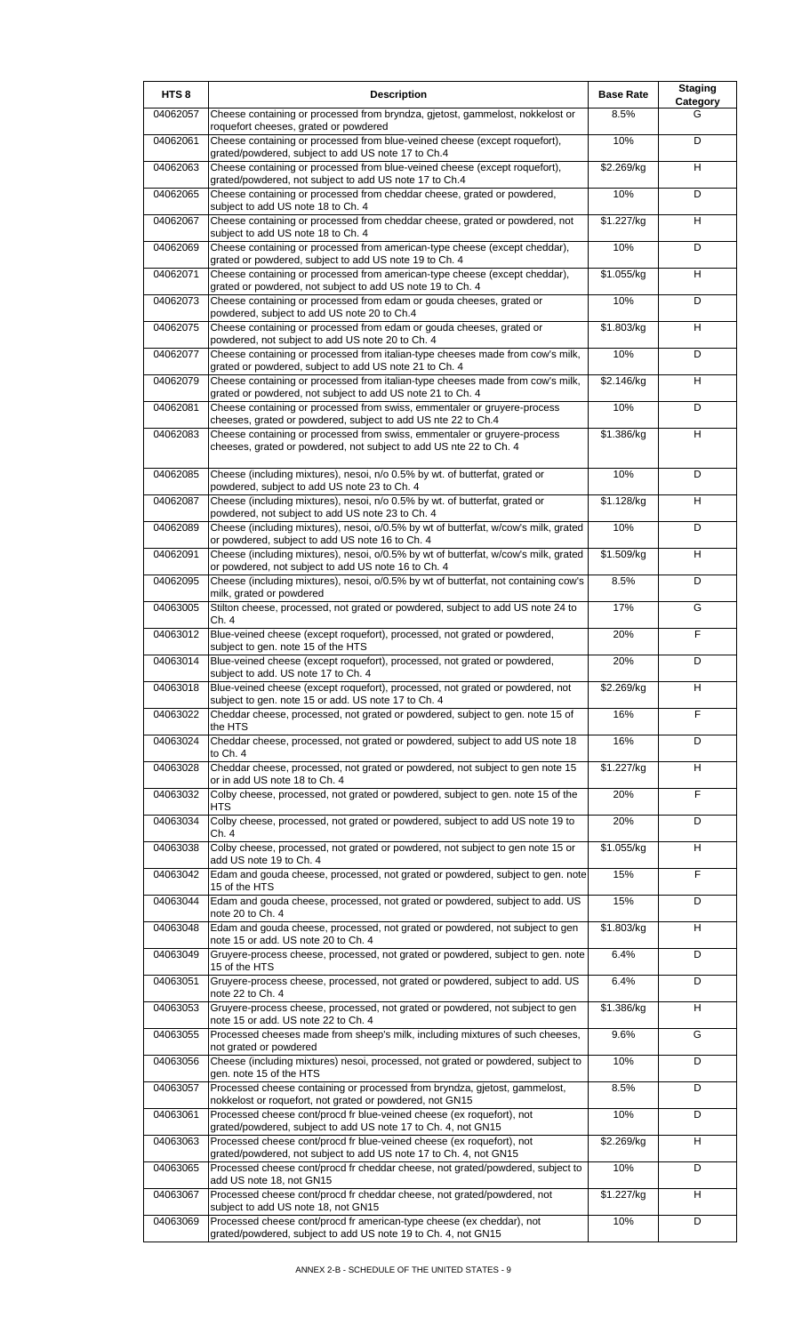| HTS <sub>8</sub> | <b>Description</b>                                                                                                                                                                                              | <b>Base Rate</b> | <b>Staging</b><br>Category |
|------------------|-----------------------------------------------------------------------------------------------------------------------------------------------------------------------------------------------------------------|------------------|----------------------------|
| 04062057         | Cheese containing or processed from bryndza, gjetost, gammelost, nokkelost or<br>roquefort cheeses, grated or powdered                                                                                          | 8.5%             | G                          |
| 04062061         | Cheese containing or processed from blue-veined cheese (except roquefort),<br>grated/powdered, subject to add US note 17 to Ch.4                                                                                | 10%              | D                          |
| 04062063         | Cheese containing or processed from blue-veined cheese (except roquefort),<br>grated/powdered, not subject to add US note 17 to Ch.4                                                                            | \$2.269/kg       | H                          |
| 04062065         | Cheese containing or processed from cheddar cheese, grated or powdered,<br>subject to add US note 18 to Ch. 4                                                                                                   | 10%              | D                          |
| 04062067         | Cheese containing or processed from cheddar cheese, grated or powdered, not<br>subject to add US note 18 to Ch. 4                                                                                               | \$1.227/kg       | H                          |
| 04062069         | Cheese containing or processed from american-type cheese (except cheddar),                                                                                                                                      | 10%              | D                          |
| 04062071         | grated or powdered, subject to add US note 19 to Ch. 4<br>Cheese containing or processed from american-type cheese (except cheddar),<br>grated or powdered, not subject to add US note 19 to Ch. 4              | \$1.055/kg       | H                          |
| 04062073         | Cheese containing or processed from edam or gouda cheeses, grated or<br>powdered, subject to add US note 20 to Ch.4                                                                                             | 10%              | D                          |
| 04062075         | Cheese containing or processed from edam or gouda cheeses, grated or<br>powdered, not subject to add US note 20 to Ch. 4                                                                                        | \$1.803/kg       | H                          |
| 04062077         | Cheese containing or processed from italian-type cheeses made from cow's milk,<br>grated or powdered, subject to add US note 21 to Ch. 4                                                                        | 10%              | D                          |
| 04062079         | Cheese containing or processed from italian-type cheeses made from cow's milk,                                                                                                                                  | \$2.146/kg       | H                          |
| 04062081         | grated or powdered, not subject to add US note 21 to Ch. 4<br>Cheese containing or processed from swiss, emmentaler or gruyere-process                                                                          | 10%              | D                          |
| 04062083         | cheeses, grated or powdered, subject to add US nte 22 to Ch.4<br>Cheese containing or processed from swiss, emmentaler or gruyere-process<br>cheeses, grated or powdered, not subject to add US nte 22 to Ch. 4 | \$1.386/kg       | H                          |
|                  |                                                                                                                                                                                                                 | 10%              | D                          |
| 04062085         | Cheese (including mixtures), nesoi, n/o 0.5% by wt. of butterfat, grated or<br>powdered, subject to add US note 23 to Ch. 4                                                                                     |                  |                            |
| 04062087         | Cheese (including mixtures), nesoi, n/o 0.5% by wt. of butterfat, grated or<br>powdered, not subject to add US note 23 to Ch. 4                                                                                 | \$1.128/kg       | H                          |
| 04062089         | Cheese (including mixtures), nesoi, o/0.5% by wt of butterfat, w/cow's milk, grated<br>or powdered, subject to add US note 16 to Ch. 4                                                                          | 10%              | D                          |
| 04062091         | Cheese (including mixtures), nesoi, o/0.5% by wt of butterfat, w/cow's milk, grated<br>or powdered, not subject to add US note 16 to Ch. 4                                                                      | \$1.509/kg       | H                          |
| 04062095         | Cheese (including mixtures), nesoi, o/0.5% by wt of butterfat, not containing cow's<br>milk, grated or powdered                                                                                                 | 8.5%             | D                          |
| 04063005         | Stilton cheese, processed, not grated or powdered, subject to add US note 24 to<br>Ch. 4                                                                                                                        | 17%              | G                          |
| 04063012         | Blue-veined cheese (except roquefort), processed, not grated or powdered,<br>subject to gen. note 15 of the HTS                                                                                                 | 20%              | F                          |
| 04063014         | Blue-veined cheese (except roquefort), processed, not grated or powdered,<br>subject to add. US note 17 to Ch. 4                                                                                                | 20%              | D                          |
| 04063018         | Blue-veined cheese (except roquefort), processed, not grated or powdered, not<br>subject to gen. note 15 or add. US note 17 to Ch. 4                                                                            | \$2.269/kg       | н                          |
| 04063022         | Cheddar cheese, processed, not grated or powdered, subject to gen. note 15 of<br>the HTS                                                                                                                        | 16%              | F                          |
| 04063024         | Cheddar cheese, processed, not grated or powdered, subject to add US note 18<br>to Ch. 4                                                                                                                        | 16%              | D                          |
| 04063028         | Cheddar cheese, processed, not grated or powdered, not subject to gen note 15<br>or in add US note 18 to Ch. 4                                                                                                  | \$1.227/kg       | H                          |
| 04063032         | Colby cheese, processed, not grated or powdered, subject to gen. note 15 of the<br>HTS                                                                                                                          | 20%              | F                          |
| 04063034         | Colby cheese, processed, not grated or powdered, subject to add US note 19 to<br>Ch. 4                                                                                                                          | 20%              | D                          |
| 04063038         | Colby cheese, processed, not grated or powdered, not subject to gen note 15 or<br>add US note 19 to Ch. 4                                                                                                       | \$1.055/kg       | H                          |
| 04063042         | Edam and gouda cheese, processed, not grated or powdered, subject to gen. note<br>15 of the HTS                                                                                                                 | 15%              | F                          |
| 04063044         | Edam and gouda cheese, processed, not grated or powdered, subject to add. US<br>note 20 to Ch. 4                                                                                                                | 15%              | D                          |
| 04063048         | Edam and gouda cheese, processed, not grated or powdered, not subject to gen<br>note 15 or add. US note 20 to Ch. 4                                                                                             | \$1.803/kg       | H                          |
| 04063049         | Gruyere-process cheese, processed, not grated or powdered, subject to gen. note                                                                                                                                 | 6.4%             | D                          |
| 04063051         | 15 of the HTS<br>Gruyere-process cheese, processed, not grated or powdered, subject to add. US<br>note 22 to Ch. 4                                                                                              | 6.4%             | D                          |
| 04063053         | Gruyere-process cheese, processed, not grated or powdered, not subject to gen                                                                                                                                   | \$1.386/kg       | H                          |
| 04063055         | note 15 or add. US note 22 to Ch. 4<br>Processed cheeses made from sheep's milk, including mixtures of such cheeses,                                                                                            | 9.6%             | G                          |
| 04063056         | not grated or powdered<br>Cheese (including mixtures) nesoi, processed, not grated or powdered, subject to                                                                                                      | 10%              | D                          |
| 04063057         | gen. note 15 of the HTS<br>Processed cheese containing or processed from bryndza, gjetost, gammelost,                                                                                                           | 8.5%             | D                          |
| 04063061         | nokkelost or roquefort, not grated or powdered, not GN15<br>Processed cheese cont/procd fr blue-veined cheese (ex roquefort), not                                                                               | 10%              | D                          |
| 04063063         | grated/powdered, subject to add US note 17 to Ch. 4, not GN15<br>Processed cheese cont/procd fr blue-veined cheese (ex roquefort), not                                                                          | \$2.269/kg       | н                          |
| 04063065         | grated/powdered, not subject to add US note 17 to Ch. 4, not GN15<br>Processed cheese cont/procd fr cheddar cheese, not grated/powdered, subject to                                                             | 10%              | D                          |
| 04063067         | add US note 18, not GN15<br>Processed cheese cont/procd fr cheddar cheese, not grated/powdered, not                                                                                                             | \$1.227/kg       | H                          |
| 04063069         | subject to add US note 18, not GN15<br>Processed cheese cont/procd fr american-type cheese (ex cheddar), not                                                                                                    | 10%              | D                          |
|                  | grated/powdered, subject to add US note 19 to Ch. 4, not GN15                                                                                                                                                   |                  |                            |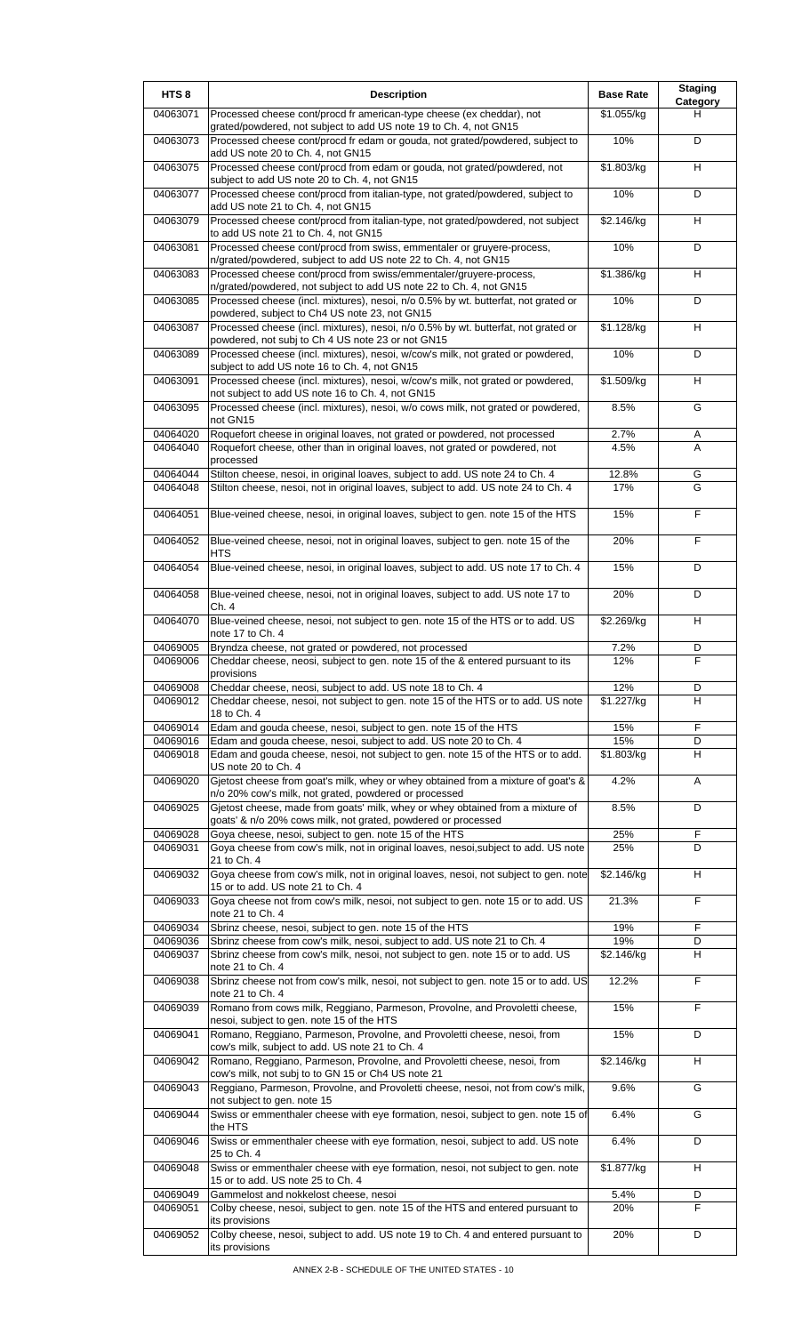| HTS <sub>8</sub>     | <b>Description</b>                                                                                                                                           | <b>Base Rate</b>  | <b>Staging</b><br>Category |
|----------------------|--------------------------------------------------------------------------------------------------------------------------------------------------------------|-------------------|----------------------------|
| 04063071             | Processed cheese cont/procd fr american-type cheese (ex cheddar), not<br>grated/powdered, not subject to add US note 19 to Ch. 4, not GN15                   | \$1.055/kg        | н                          |
| 04063073             | Processed cheese cont/procd fr edam or gouda, not grated/powdered, subject to<br>add US note 20 to Ch. 4, not GN15                                           | 10%               | D                          |
| 04063075             | Processed cheese cont/procd from edam or gouda, not grated/powdered, not<br>subject to add US note 20 to Ch. 4, not GN15                                     | \$1.803/kg        | H                          |
| 04063077             | Processed cheese cont/procd from italian-type, not grated/powdered, subject to<br>add US note 21 to Ch. 4, not GN15                                          | 10%               | D                          |
| 04063079             | Processed cheese cont/procd from italian-type, not grated/powdered, not subject<br>to add US note 21 to Ch. 4, not GN15                                      | \$2.146/kg        | H                          |
| 04063081             | Processed cheese cont/procd from swiss, emmentaler or gruyere-process,<br>n/grated/powdered, subject to add US note 22 to Ch. 4, not GN15                    | 10%               | D                          |
| 04063083             | Processed cheese cont/procd from swiss/emmentaler/gruyere-process,<br>n/grated/powdered, not subject to add US note 22 to Ch. 4, not GN15                    | \$1.386/kg        | H                          |
| 04063085             | Processed cheese (incl. mixtures), nesoi, n/o 0.5% by wt. butterfat, not grated or<br>powdered, subject to Ch4 US note 23, not GN15                          | 10%               | D                          |
| 04063087             | Processed cheese (incl. mixtures), nesoi, n/o 0.5% by wt. butterfat, not grated or<br>powdered, not subj to Ch 4 US note 23 or not GN15                      | \$1.128/kg        | H                          |
| 04063089             | Processed cheese (incl. mixtures), nesoi, w/cow's milk, not grated or powdered,<br>subject to add US note 16 to Ch. 4, not GN15                              | 10%               | D                          |
| 04063091             | Processed cheese (incl. mixtures), nesoi, w/cow's milk, not grated or powdered,<br>not subject to add US note 16 to Ch. 4, not GN15                          | \$1.509/kg        | H                          |
| 04063095             | Processed cheese (incl. mixtures), nesoi, w/o cows milk, not grated or powdered,<br>not GN15                                                                 | 8.5%              | G                          |
| 04064020             | Roquefort cheese in original loaves, not grated or powdered, not processed                                                                                   | 2.7%              | Α                          |
| 04064040             | Roquefort cheese, other than in original loaves, not grated or powdered, not<br>processed                                                                    | 4.5%              | A                          |
| 04064044             | Stilton cheese, nesoi, in original loaves, subject to add. US note 24 to Ch. 4                                                                               | 12.8%             | G                          |
| 04064048             | Stilton cheese, nesoi, not in original loaves, subject to add. US note 24 to Ch. 4                                                                           | 17%               | G                          |
| 04064051             | Blue-veined cheese, nesoi, in original loaves, subject to gen. note 15 of the HTS                                                                            | 15%               | F                          |
| 04064052             | Blue-veined cheese, nesoi, not in original loaves, subject to gen. note 15 of the<br>HTS                                                                     | 20%               | F                          |
| 04064054             | Blue-veined cheese, nesoi, in original loaves, subject to add. US note 17 to Ch. 4                                                                           | 15%               | D                          |
| 04064058             | Blue-veined cheese, nesoi, not in original loaves, subject to add. US note 17 to<br>Ch. 4                                                                    | 20%               | D                          |
| 04064070             | Blue-veined cheese, nesoi, not subject to gen. note 15 of the HTS or to add. US<br>note 17 to Ch. 4                                                          | \$2.269/kg        | H                          |
| 04069005             | Bryndza cheese, not grated or powdered, not processed                                                                                                        | 7.2%              | D                          |
| 04069006             | Cheddar cheese, neosi, subject to gen. note 15 of the & entered pursuant to its<br>provisions                                                                | 12%               | F                          |
| 04069008             | Cheddar cheese, neosi, subject to add. US note 18 to Ch. 4                                                                                                   | 12%               | D                          |
| 04069012             | Cheddar cheese, nesoi, not subject to gen. note 15 of the HTS or to add. US note<br>18 to Ch. 4                                                              | \$1.227/kg        | н                          |
| 04069014             | Edam and gouda cheese, nesoi, subject to gen. note 15 of the HTS                                                                                             | 15%               | F                          |
| 04069016<br>04069018 | Edam and gouda cheese, nesoi, subject to add. US note 20 to Ch. 4<br>Edam and gouda cheese, nesoi, not subject to gen. note 15 of the HTS or to add.         | 15%<br>\$1.803/kg | D<br>H                     |
| 04069020             | US note 20 to Ch. 4<br>Gjetost cheese from goat's milk, whey or whey obtained from a mixture of goat's &                                                     | 4.2%              | A                          |
| 04069025             | n/o 20% cow's milk, not grated, powdered or processed<br>Gjetost cheese, made from goats' milk, whey or whey obtained from a mixture of                      | 8.5%              | D                          |
|                      | goats' & n/o 20% cows milk, not grated, powdered or processed                                                                                                |                   |                            |
| 04069028             | Goya cheese, nesoi, subject to gen. note 15 of the HTS                                                                                                       | 25%               | F                          |
| 04069031             | Goya cheese from cow's milk, not in original loaves, nesoi, subject to add. US note<br>21 to Ch. 4                                                           | 25%               | D                          |
| 04069032             | Goya cheese from cow's milk, not in original loaves, nesoi, not subject to gen. note<br>15 or to add. US note 21 to Ch. 4                                    | \$2.146/kg        | H                          |
| 04069033             | Goya cheese not from cow's milk, nesoi, not subject to gen. note 15 or to add. US<br>note 21 to Ch. 4                                                        | 21.3%             | F                          |
| 04069034             | Sbrinz cheese, nesoi, subject to gen. note 15 of the HTS                                                                                                     | 19%               | F                          |
| 04069036<br>04069037 | Sbrinz cheese from cow's milk, nesoi, subject to add. US note 21 to Ch. 4<br>Sbrinz cheese from cow's milk, nesoi, not subject to gen. note 15 or to add. US | 19%<br>\$2.146/kg | D<br>н                     |
| 04069038             | note 21 to Ch. 4<br>Sbrinz cheese not from cow's milk, nesoi, not subject to gen. note 15 or to add. US                                                      | 12.2%             | F                          |
| 04069039             | note 21 to Ch. 4<br>Romano from cows milk, Reggiano, Parmeson, Provolne, and Provoletti cheese,                                                              | 15%               | F                          |
| 04069041             | nesoi, subject to gen. note 15 of the HTS<br>Romano, Reggiano, Parmeson, Provolne, and Provoletti cheese, nesoi, from                                        | 15%               | D                          |
| 04069042             | cow's milk, subject to add. US note 21 to Ch. 4<br>Romano, Reggiano, Parmeson, Provolne, and Provoletti cheese, nesoi, from                                  | \$2.146/kg        | H                          |
| 04069043             | cow's milk, not subj to to GN 15 or Ch4 US note 21<br>Reggiano, Parmeson, Provolne, and Provoletti cheese, nesoi, not from cow's milk,                       | 9.6%              | G                          |
| 04069044             | not subject to gen. note 15<br>Swiss or emmenthaler cheese with eye formation, nesoi, subject to gen. note 15 of                                             | 6.4%              | G                          |
| 04069046             | the HTS<br>Swiss or emmenthaler cheese with eye formation, nesoi, subject to add. US note                                                                    | 6.4%              | D                          |
|                      | 25 to Ch. 4                                                                                                                                                  |                   | H                          |
| 04069048             | Swiss or emmenthaler cheese with eye formation, nesoi, not subject to gen. note<br>15 or to add. US note 25 to Ch. 4                                         | \$1.877/kg        |                            |
| 04069049<br>04069051 | Gammelost and nokkelost cheese, nesoi<br>Colby cheese, nesoi, subject to gen. note 15 of the HTS and entered pursuant to                                     | 5.4%<br>20%       | D<br>F                     |
| 04069052             | its provisions<br>Colby cheese, nesoi, subject to add. US note 19 to Ch. 4 and entered pursuant to                                                           | 20%               | D                          |
|                      | its provisions                                                                                                                                               |                   |                            |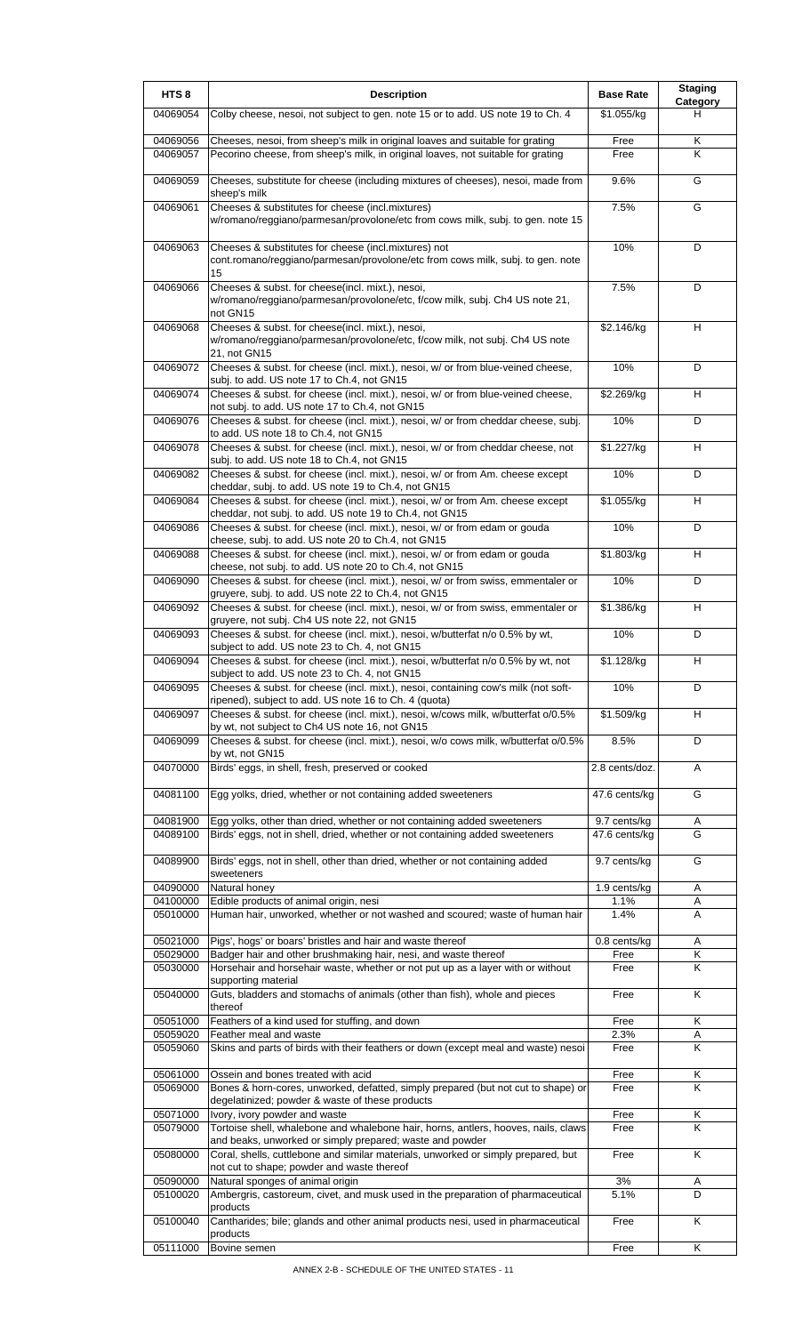| HTS <sub>8</sub>     | <b>Description</b>                                                                                                                                                               | <b>Base Rate</b>              | <b>Staging</b><br>Category |
|----------------------|----------------------------------------------------------------------------------------------------------------------------------------------------------------------------------|-------------------------------|----------------------------|
| 04069054             | Colby cheese, nesoi, not subject to gen. note 15 or to add. US note 19 to Ch. 4                                                                                                  | \$1.055/kg                    | н                          |
| 04069056<br>04069057 | Cheeses, nesoi, from sheep's milk in original loaves and suitable for grating<br>Pecorino cheese, from sheep's milk, in original loaves, not suitable for grating                | Free<br>Free                  | Κ<br>ĸ                     |
|                      |                                                                                                                                                                                  |                               | G                          |
| 04069059             | Cheeses, substitute for cheese (including mixtures of cheeses), nesoi, made from<br>sheep's milk                                                                                 | 9.6%                          |                            |
| 04069061             | Cheeses & substitutes for cheese (incl.mixtures)<br>w/romano/reggiano/parmesan/provolone/etc from cows milk, subj. to gen. note 15                                               | 7.5%                          | G                          |
| 04069063             | Cheeses & substitutes for cheese (incl.mixtures) not<br>cont.romano/reggiano/parmesan/provolone/etc from cows milk, subj. to gen. note<br>15                                     | 10%                           | D                          |
| 04069066             | Cheeses & subst. for cheese(incl. mixt.), nesoi,<br>w/romano/reggiano/parmesan/provolone/etc, f/cow milk, subj. Ch4 US note 21,<br>not GN15                                      | 7.5%                          | D                          |
| 04069068             | Cheeses & subst. for cheese(incl. mixt.), nesoi,<br>w/romano/reggiano/parmesan/provolone/etc, f/cow milk, not subj. Ch4 US note<br>21, not GN15                                  | \$2.146/kg                    | H                          |
| 04069072             | Cheeses & subst. for cheese (incl. mixt.), nesoi, w/ or from blue-veined cheese,                                                                                                 | 10%                           | D                          |
| 04069074             | subj. to add. US note 17 to Ch.4, not GN15<br>Cheeses & subst. for cheese (incl. mixt.), nesoi, w/ or from blue-veined cheese,<br>not subj. to add. US note 17 to Ch.4, not GN15 | \$2.269/kg                    | н                          |
| 04069076             | Cheeses & subst. for cheese (incl. mixt.), nesoi, w/ or from cheddar cheese, subj.<br>to add. US note 18 to Ch.4, not GN15                                                       | 10%                           | D                          |
| 04069078             | Cheeses & subst. for cheese (incl. mixt.), nesoi, w/ or from cheddar cheese, not<br>subj. to add. US note 18 to Ch.4, not GN15                                                   | \$1.227/kg                    | H                          |
| 04069082             | Cheeses & subst. for cheese (incl. mixt.), nesoi, w/ or from Am. cheese except<br>cheddar, subj. to add. US note 19 to Ch.4, not GN15                                            | 10%                           | D                          |
| 04069084             | Cheeses & subst. for cheese (incl. mixt.), nesoi, w/ or from Am. cheese except<br>cheddar, not subj. to add. US note 19 to Ch.4, not GN15                                        | \$1.055/kg                    | H                          |
| 04069086             | Cheeses & subst. for cheese (incl. mixt.), nesoi, w/ or from edam or gouda<br>cheese, subj. to add. US note 20 to Ch.4, not GN15                                                 | 10%                           | D                          |
| 04069088             | Cheeses & subst. for cheese (incl. mixt.), nesoi, w/ or from edam or gouda<br>cheese, not subj. to add. US note 20 to Ch.4, not GN15                                             | \$1.803/kg                    | H                          |
| 04069090             | Cheeses & subst. for cheese (incl. mixt.), nesoi, w/ or from swiss, emmentaler or<br>gruyere, subj. to add. US note 22 to Ch.4, not GN15                                         | 10%                           | D                          |
| 04069092             | Cheeses & subst. for cheese (incl. mixt.), nesoi, w/ or from swiss, emmentaler or<br>gruyere, not subj. Ch4 US note 22, not GN15                                                 | \$1.386/kg                    | н                          |
| 04069093             | Cheeses & subst. for cheese (incl. mixt.), nesoi, w/butterfat n/o 0.5% by wt,<br>subject to add. US note 23 to Ch. 4, not GN15                                                   | 10%                           | D                          |
| 04069094             | Cheeses & subst. for cheese (incl. mixt.), nesoi, w/butterfat n/o 0.5% by wt, not<br>subject to add. US note 23 to Ch. 4, not GN15                                               | \$1.128/kg                    | H                          |
| 04069095             | Cheeses & subst. for cheese (incl. mixt.), nesoi, containing cow's milk (not soft-<br>ripened), subject to add. US note 16 to Ch. 4 (quota)                                      | 10%                           | D                          |
| 04069097             | Cheeses & subst. for cheese (incl. mixt.), nesoi, w/cows milk, w/butterfat o/0.5%<br>by wt, not subject to Ch4 US note 16, not GN15                                              | \$1.509/kg                    | н                          |
| 04069099             | Cheeses & subst. for cheese (incl. mixt.), nesoi, w/o cows milk, w/butterfat o/0.5%<br>by wt, not GN15                                                                           | 8.5%                          | D                          |
| 04070000             | Birds' eggs, in shell, fresh, preserved or cooked                                                                                                                                | 2.8 cents/doz.                | Α                          |
| 04081100             | Egg yolks, dried, whether or not containing added sweeteners                                                                                                                     | 47.6 cents/kg                 | G                          |
| 04081900<br>04089100 | Egg yolks, other than dried, whether or not containing added sweeteners<br>Birds' eggs, not in shell, dried, whether or not containing added sweeteners                          | 9.7 cents/kg<br>47.6 cents/kg | A<br>G                     |
| 04089900             | Birds' eggs, not in shell, other than dried, whether or not containing added<br>sweeteners                                                                                       | 9.7 cents/kg                  | G                          |
| 04090000<br>04100000 | Natural honey<br>Edible products of animal origin, nesi                                                                                                                          | 1.9 cents/kg<br>1.1%          | Α<br>Α                     |
| 05010000             | Human hair, unworked, whether or not washed and scoured; waste of human hair                                                                                                     | 1.4%                          | A                          |
| 05021000             | Pigs', hogs' or boars' bristles and hair and waste thereof                                                                                                                       | 0.8 cents/kg                  | Α                          |
| 05029000<br>05030000 | Badger hair and other brushmaking hair, nesi, and waste thereof<br>Horsehair and horsehair waste, whether or not put up as a layer with or without                               | Free<br>Free                  | Κ<br>Κ                     |
| 05040000             | supporting material<br>Guts, bladders and stomachs of animals (other than fish), whole and pieces<br>thereof                                                                     | Free                          | K                          |
| 05051000<br>05059020 | Feathers of a kind used for stuffing, and down<br>Feather meal and waste                                                                                                         | Free<br>2.3%                  | Κ<br>Α                     |
| 05059060             | Skins and parts of birds with their feathers or down (except meal and waste) nesoi                                                                                               | Free                          | Κ                          |
| 05061000             | Ossein and bones treated with acid                                                                                                                                               | Free                          | Κ                          |
| 05069000             | Bones & horn-cores, unworked, defatted, simply prepared (but not cut to shape) or<br>degelatinized; powder & waste of these products                                             | Free                          | Κ                          |
| 05071000<br>05079000 | Ivory, ivory powder and waste<br>Tortoise shell, whalebone and whalebone hair, horns, antlers, hooves, nails, claws                                                              | Free<br>Free                  | Κ<br>K                     |
| 05080000             | and beaks, unworked or simply prepared; waste and powder<br>Coral, shells, cuttlebone and similar materials, unworked or simply prepared, but                                    | Free                          | K                          |
| 05090000             | not cut to shape; powder and waste thereof<br>Natural sponges of animal origin                                                                                                   | 3%                            | Α                          |
| 05100020             | Ambergris, castoreum, civet, and musk used in the preparation of pharmaceutical<br>products                                                                                      | 5.1%                          | D                          |
| 05100040             | Cantharides; bile; glands and other animal products nesi, used in pharmaceutical                                                                                                 | Free                          | Κ                          |
| 05111000             | products<br>Bovine semen                                                                                                                                                         | Free                          | Κ                          |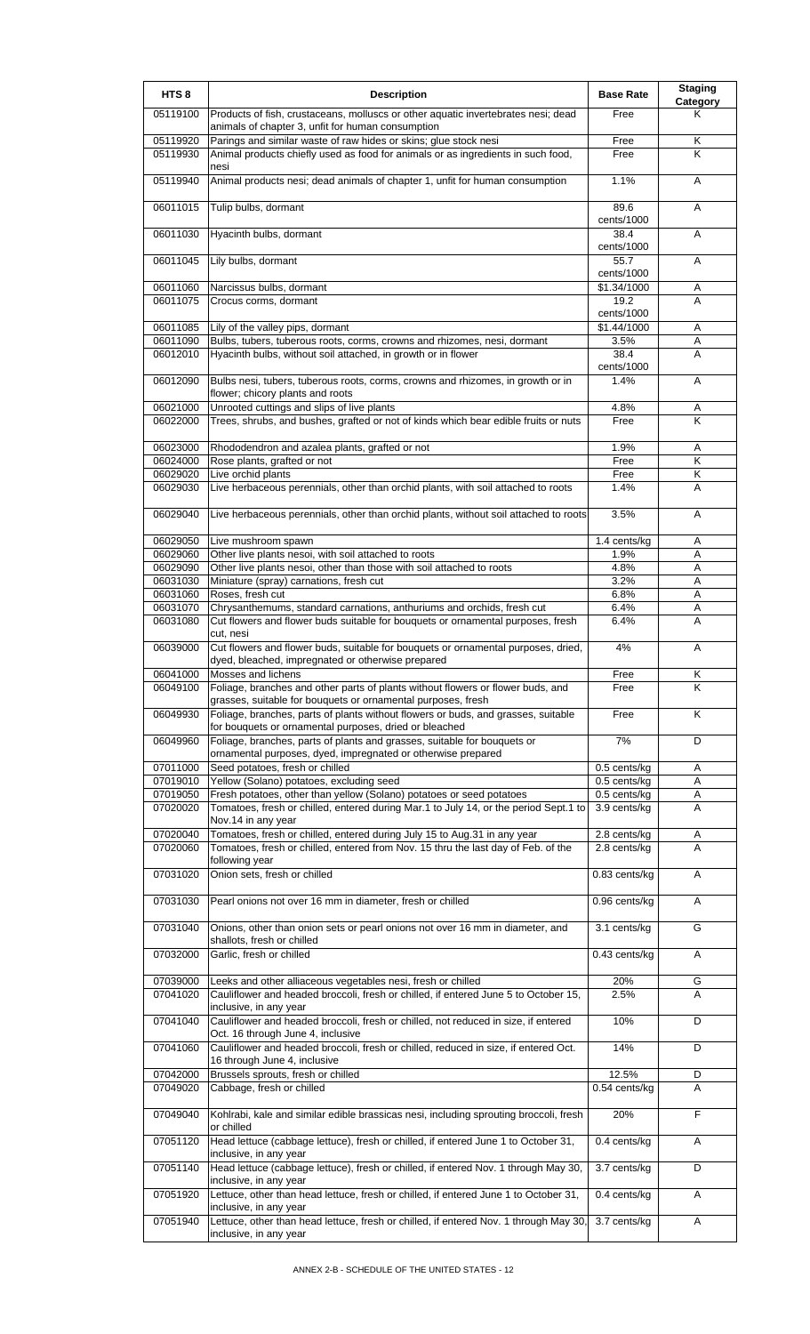| HTS <sub>8</sub>     | <b>Description</b>                                                                                                                                  | <b>Base Rate</b>             | <b>Staging</b><br>Category |
|----------------------|-----------------------------------------------------------------------------------------------------------------------------------------------------|------------------------------|----------------------------|
| 05119100             | Products of fish, crustaceans, molluscs or other aquatic invertebrates nesi; dead<br>animals of chapter 3, unfit for human consumption              | Free                         | Κ                          |
| 05119920             | Parings and similar waste of raw hides or skins; glue stock nesi                                                                                    | Free                         | Κ                          |
| 05119930             | Animal products chiefly used as food for animals or as ingredients in such food,<br>nesi                                                            | Free                         | K                          |
| 05119940             | Animal products nesi; dead animals of chapter 1, unfit for human consumption                                                                        | 1.1%                         | A                          |
| 06011015             | Tulip bulbs, dormant                                                                                                                                | 89.6<br>cents/1000           | Α                          |
| 06011030             | Hyacinth bulbs, dormant                                                                                                                             | 38.4<br>cents/1000           | A                          |
| 06011045             | Lily bulbs, dormant                                                                                                                                 | 55.7<br>cents/1000           | A                          |
| 06011060             | Narcissus bulbs, dormant                                                                                                                            | \$1.34/1000                  | Α                          |
| 06011075             | Crocus corms, dormant                                                                                                                               | 19.2<br>cents/1000           | A                          |
| 06011085             | Lily of the valley pips, dormant                                                                                                                    | \$1.44/1000                  | Α                          |
| 06011090<br>06012010 | Bulbs, tubers, tuberous roots, corms, crowns and rhizomes, nesi, dormant<br>Hyacinth bulbs, without soil attached, in growth or in flower           | 3.5%<br>38.4                 | Α<br>A                     |
|                      |                                                                                                                                                     | cents/1000                   |                            |
| 06012090             | Bulbs nesi, tubers, tuberous roots, corms, crowns and rhizomes, in growth or in<br>flower; chicory plants and roots                                 | 1.4%                         | Α                          |
| 06021000             | Unrooted cuttings and slips of live plants                                                                                                          | 4.8%                         | Α                          |
| 06022000             | Trees, shrubs, and bushes, grafted or not of kinds which bear edible fruits or nuts                                                                 | Free                         | K                          |
| 06023000<br>06024000 | Rhododendron and azalea plants, grafted or not<br>Rose plants, grafted or not                                                                       | 1.9%<br>Free                 | Α<br>Κ                     |
| 06029020             | Live orchid plants                                                                                                                                  | Free                         | Κ                          |
| 06029030             | Live herbaceous perennials, other than orchid plants, with soil attached to roots                                                                   | 1.4%                         | A                          |
| 06029040             | Live herbaceous perennials, other than orchid plants, without soil attached to roots                                                                | 3.5%                         | A                          |
| 06029050             | Live mushroom spawn                                                                                                                                 | 1.4 cents/kg                 | Α                          |
| 06029060             | Other live plants nesoi, with soil attached to roots                                                                                                | 1.9%                         | Α                          |
| 06029090             | Other live plants nesoi, other than those with soil attached to roots                                                                               | 4.8%                         | Α                          |
| 06031030<br>06031060 | Miniature (spray) carnations, fresh cut<br>Roses, fresh cut                                                                                         | 3.2%<br>6.8%                 | Α<br>A                     |
| 06031070             | Chrysanthemums, standard carnations, anthuriums and orchids, fresh cut                                                                              | 6.4%                         | A                          |
| 06031080             | Cut flowers and flower buds suitable for bouquets or ornamental purposes, fresh                                                                     | 6.4%                         | A                          |
| 06039000             | cut, nesi<br>Cut flowers and flower buds, suitable for bouquets or ornamental purposes, dried,<br>dyed, bleached, impregnated or otherwise prepared | 4%                           | A                          |
| 06041000             | Mosses and lichens                                                                                                                                  | Free                         | Κ                          |
| 06049100             | Foliage, branches and other parts of plants without flowers or flower buds, and<br>grasses, suitable for bouquets or ornamental purposes, fresh     | Free                         | K                          |
| 06049930             | Foliage, branches, parts of plants without flowers or buds, and grasses, suitable<br>for bouquets or ornamental purposes, dried or bleached         | Free                         | K                          |
| 06049960             | Foliage, branches, parts of plants and grasses, suitable for bouquets or<br>ornamental purposes, dyed, impregnated or otherwise prepared            | 7%                           | D                          |
| 07011000             | Seed potatoes, fresh or chilled                                                                                                                     | 0.5 cents/kg                 | Α                          |
| 07019010<br>07019050 | Yellow (Solano) potatoes, excluding seed<br>Fresh potatoes, other than yellow (Solano) potatoes or seed potatoes                                    | 0.5 cents/kg<br>0.5 cents/kg | Α<br>Α                     |
| 07020020             | Tomatoes, fresh or chilled, entered during Mar.1 to July 14, or the period Sept.1 to<br>Nov.14 in any year                                          | 3.9 cents/kg                 | A                          |
| 07020040             | Tomatoes, fresh or chilled, entered during July 15 to Aug.31 in any year                                                                            | 2.8 cents/kg                 | Α                          |
| 07020060             | Tomatoes, fresh or chilled, entered from Nov. 15 thru the last day of Feb. of the<br>following year                                                 | 2.8 cents/kg                 | A                          |
| 07031020             | Onion sets, fresh or chilled                                                                                                                        | 0.83 cents/kg                | Α                          |
| 07031030             | Pearl onions not over 16 mm in diameter, fresh or chilled                                                                                           | 0.96 cents/kg                | A                          |
| 07031040             | Onions, other than onion sets or pearl onions not over 16 mm in diameter, and<br>shallots, fresh or chilled                                         | 3.1 cents/kg                 | G                          |
| 07032000             | Garlic, fresh or chilled                                                                                                                            | 0.43 cents/kg                | Α                          |
| 07039000             | Leeks and other alliaceous vegetables nesi, fresh or chilled                                                                                        | 20%                          | G                          |
| 07041020             | Cauliflower and headed broccoli, fresh or chilled, if entered June 5 to October 15,<br>inclusive, in any year                                       | 2.5%                         | A                          |
| 07041040             | Cauliflower and headed broccoli, fresh or chilled, not reduced in size, if entered<br>Oct. 16 through June 4, inclusive                             | 10%                          | D                          |
| 07041060             | Cauliflower and headed broccoli, fresh or chilled, reduced in size, if entered Oct.<br>16 through June 4, inclusive                                 | 14%                          | D                          |
| 07042000             | Brussels sprouts, fresh or chilled                                                                                                                  | 12.5%                        | D                          |
| 07049020             | Cabbage, fresh or chilled                                                                                                                           | 0.54 cents/kg                | A                          |
| 07049040             | Kohlrabi, kale and similar edible brassicas nesi, including sprouting broccoli, fresh<br>or chilled                                                 | 20%                          | F                          |
| 07051120             | Head lettuce (cabbage lettuce), fresh or chilled, if entered June 1 to October 31,<br>inclusive, in any year                                        | 0.4 cents/kg                 | Α                          |
| 07051140             | Head lettuce (cabbage lettuce), fresh or chilled, if entered Nov. 1 through May 30,<br>inclusive, in any year                                       | 3.7 cents/kg                 | D                          |
| 07051920             | Lettuce, other than head lettuce, fresh or chilled, if entered June 1 to October 31,<br>inclusive, in any year                                      | 0.4 cents/kg                 | A                          |
| 07051940             | Lettuce, other than head lettuce, fresh or chilled, if entered Nov. 1 through May 30,<br>inclusive, in any year                                     | 3.7 cents/kg                 | Α                          |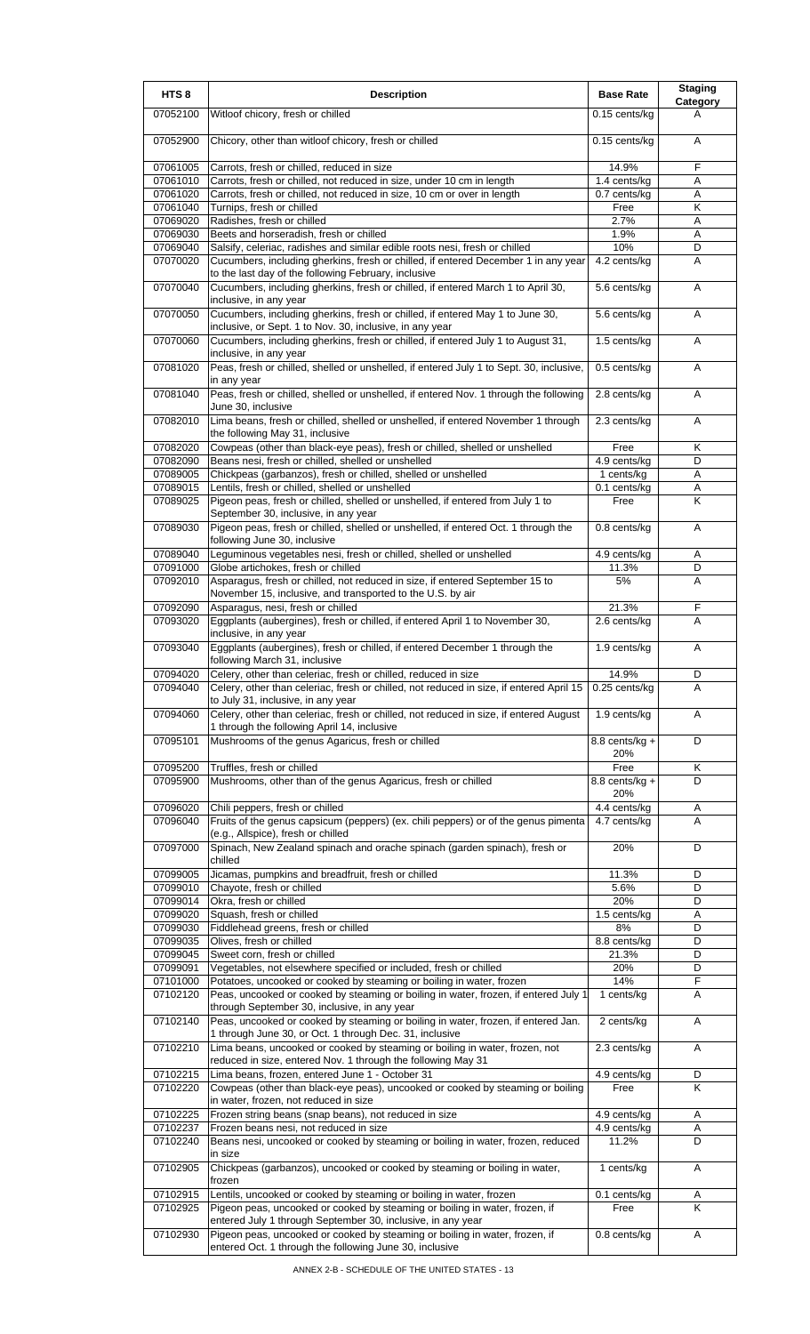| HTS <sub>8</sub>     | <b>Description</b>                                                                                                                                                                                                | <b>Base Rate</b>             | <b>Staging</b><br>Category |
|----------------------|-------------------------------------------------------------------------------------------------------------------------------------------------------------------------------------------------------------------|------------------------------|----------------------------|
| 07052100             | Witloof chicory, fresh or chilled                                                                                                                                                                                 | 0.15 cents/kg                | A                          |
| 07052900             | Chicory, other than witloof chicory, fresh or chilled                                                                                                                                                             | 0.15 cents/kg                | A                          |
| 07061005             | Carrots, fresh or chilled, reduced in size                                                                                                                                                                        | 14.9%                        | F                          |
| 07061010             | Carrots, fresh or chilled, not reduced in size, under 10 cm in length                                                                                                                                             | 1.4 cents/kg                 | Α                          |
| 07061020<br>07061040 | Carrots, fresh or chilled, not reduced in size, 10 cm or over in length<br>Turnips, fresh or chilled                                                                                                              | 0.7 cents/kg                 | A<br>Κ                     |
| 07069020             | Radishes, fresh or chilled                                                                                                                                                                                        | Free<br>2.7%                 | Α                          |
| 07069030             | Beets and horseradish, fresh or chilled                                                                                                                                                                           | 1.9%                         | A                          |
| 07069040             | Salsify, celeriac, radishes and similar edible roots nesi, fresh or chilled                                                                                                                                       | 10%                          | D                          |
| 07070020             | Cucumbers, including gherkins, fresh or chilled, if entered December 1 in any year<br>to the last day of the following February, inclusive                                                                        | 4.2 cents/kg                 | A                          |
| 07070040             | Cucumbers, including gherkins, fresh or chilled, if entered March 1 to April 30,<br>inclusive, in any year                                                                                                        | 5.6 cents/kg                 | Α                          |
| 07070050             | Cucumbers, including gherkins, fresh or chilled, if entered May 1 to June 30,<br>inclusive, or Sept. 1 to Nov. 30, inclusive, in any year                                                                         | 5.6 cents/kg                 | A                          |
| 07070060             | Cucumbers, including gherkins, fresh or chilled, if entered July 1 to August 31,<br>inclusive, in any year                                                                                                        | 1.5 cents/kg                 | Α                          |
| 07081020             | Peas, fresh or chilled, shelled or unshelled, if entered July 1 to Sept. 30, inclusive,<br>in any year                                                                                                            | 0.5 cents/kg                 | Α                          |
| 07081040             | Peas, fresh or chilled, shelled or unshelled, if entered Nov. 1 through the following<br>June 30, inclusive                                                                                                       | 2.8 cents/kg                 | Α                          |
| 07082010             | Lima beans, fresh or chilled, shelled or unshelled, if entered November 1 through<br>the following May 31, inclusive                                                                                              | 2.3 cents/kg                 | A                          |
| 07082020             | Cowpeas (other than black-eye peas), fresh or chilled, shelled or unshelled                                                                                                                                       | Free                         | Κ                          |
| 07082090<br>07089005 | Beans nesi, fresh or chilled, shelled or unshelled<br>Chickpeas (garbanzos), fresh or chilled, shelled or unshelled                                                                                               | 4.9 cents/kg<br>1 cents/kg   | D<br>Α                     |
| 07089015             | Lentils, fresh or chilled, shelled or unshelled                                                                                                                                                                   | 0.1 cents/kg                 | Α                          |
| 07089025             | Pigeon peas, fresh or chilled, shelled or unshelled, if entered from July 1 to<br>September 30, inclusive, in any year                                                                                            | Free                         | K                          |
| 07089030             | Pigeon peas, fresh or chilled, shelled or unshelled, if entered Oct. 1 through the<br>following June 30, inclusive                                                                                                | 0.8 cents/kg                 | Α                          |
| 07089040<br>07091000 | Leguminous vegetables nesi, fresh or chilled, shelled or unshelled<br>Globe artichokes, fresh or chilled                                                                                                          | 4.9 cents/kg<br>11.3%        | Α<br>D                     |
| 07092010             | Asparagus, fresh or chilled, not reduced in size, if entered September 15 to<br>November 15, inclusive, and transported to the U.S. by air                                                                        | 5%                           | Α                          |
| 07092090<br>07093020 | Asparagus, nesi, fresh or chilled<br>Eggplants (aubergines), fresh or chilled, if entered April 1 to November 30,<br>inclusive, in any year                                                                       | 21.3%<br>2.6 cents/kg        | F<br>Α                     |
| 07093040             | Eggplants (aubergines), fresh or chilled, if entered December 1 through the<br>following March 31, inclusive                                                                                                      | 1.9 cents/kg                 | A                          |
| 07094020             | Celery, other than celeriac, fresh or chilled, reduced in size                                                                                                                                                    | 14.9%                        | υ                          |
| 07094040             | Celery, other than celeriac, fresh or chilled, not reduced in size, if entered April 15                                                                                                                           |                              |                            |
|                      |                                                                                                                                                                                                                   | $0.25$ cents/kg              | A                          |
| 07094060             | to July 31, inclusive, in any year<br>Celery, other than celeriac, fresh or chilled, not reduced in size, if entered August                                                                                       | 1.9 cents/kg                 | Α                          |
| 07095101             | 1 through the following April 14, inclusive<br>Mushrooms of the genus Agaricus, fresh or chilled                                                                                                                  | 8.8 cents/kg $+$             | D                          |
|                      |                                                                                                                                                                                                                   | 20%                          |                            |
| 07095200<br>07095900 | Truffles, fresh or chilled<br>Mushrooms, other than of the genus Agaricus, fresh or chilled                                                                                                                       | Free<br>8.8 cents/kg +       | K<br>D                     |
|                      |                                                                                                                                                                                                                   | 20%                          |                            |
| 07096020<br>07096040 | Chili peppers, fresh or chilled<br>Fruits of the genus capsicum (peppers) (ex. chili peppers) or of the genus pimenta                                                                                             | 4.4 cents/kg<br>4.7 cents/kg | Α<br>A                     |
| 07097000             | (e.g., Allspice), fresh or chilled<br>Spinach, New Zealand spinach and orache spinach (garden spinach), fresh or                                                                                                  | 20%                          | D                          |
| 07099005             | chilled<br>Jicamas, pumpkins and breadfruit, fresh or chilled                                                                                                                                                     | 11.3%                        | D                          |
| 07099010             | Chayote, fresh or chilled                                                                                                                                                                                         | 5.6%                         | D                          |
| 07099014             | Okra, fresh or chilled                                                                                                                                                                                            | 20%                          | D                          |
| 07099020             | Squash, fresh or chilled                                                                                                                                                                                          | 1.5 cents/kg                 | A<br>D                     |
| 07099030<br>07099035 | Fiddlehead greens, fresh or chilled<br>Olives, fresh or chilled                                                                                                                                                   | 8%<br>8.8 cents/kg           | D                          |
| 07099045             | Sweet corn, fresh or chilled                                                                                                                                                                                      | 21.3%                        | D                          |
| 07099091             | Vegetables, not elsewhere specified or included, fresh or chilled                                                                                                                                                 | 20%                          | D                          |
| 07101000<br>07102120 | Potatoes, uncooked or cooked by steaming or boiling in water, frozen<br>Peas, uncooked or cooked by steaming or boiling in water, frozen, if entered July 1                                                       | 14%<br>1 cents/kg            | F<br>Α                     |
| 07102140             | through September 30, inclusive, in any year<br>Peas, uncooked or cooked by steaming or boiling in water, frozen, if entered Jan.                                                                                 | 2 cents/kg                   | A                          |
| 07102210             | 1 through June 30, or Oct. 1 through Dec. 31, inclusive<br>Lima beans, uncooked or cooked by steaming or boiling in water, frozen, not                                                                            | 2.3 cents/kg                 | Α                          |
| 07102215             | reduced in size, entered Nov. 1 through the following May 31<br>Lima beans, frozen, entered June 1 - October 31                                                                                                   | 4.9 cents/kg                 | D                          |
| 07102220             | Cowpeas (other than black-eye peas), uncooked or cooked by steaming or boiling<br>in water, frozen, not reduced in size                                                                                           | Free                         | K                          |
| 07102225             | Frozen string beans (snap beans), not reduced in size                                                                                                                                                             | 4.9 cents/kg                 | Α                          |
| 07102237             | Frozen beans nesi, not reduced in size                                                                                                                                                                            | 4.9 cents/kg                 | A                          |
| 07102240             | Beans nesi, uncooked or cooked by steaming or boiling in water, frozen, reduced<br>in size                                                                                                                        | 11.2%                        | D                          |
| 07102905             | Chickpeas (garbanzos), uncooked or cooked by steaming or boiling in water,<br>frozen                                                                                                                              | 1 cents/kg                   | Α                          |
| 07102915<br>07102925 | Lentils, uncooked or cooked by steaming or boiling in water, frozen<br>Pigeon peas, uncooked or cooked by steaming or boiling in water, frozen, if<br>entered July 1 through September 30, inclusive, in any year | $0.1$ cents/kg<br>Free       | Α<br>Κ                     |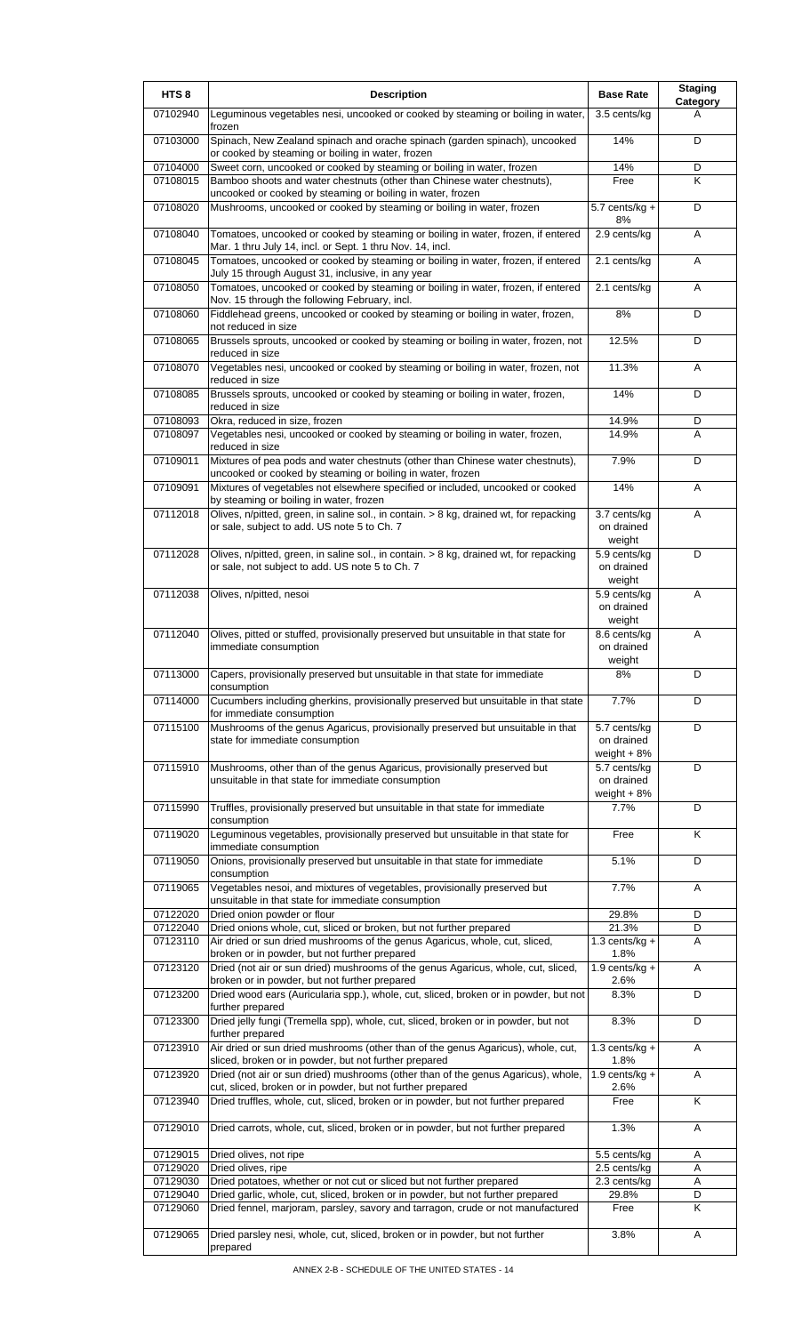| HTS <sub>8</sub>     | <b>Description</b>                                                                                                                              | <b>Base Rate</b>                           | <b>Staging</b><br>Category |
|----------------------|-------------------------------------------------------------------------------------------------------------------------------------------------|--------------------------------------------|----------------------------|
| 07102940             | Leguminous vegetables nesi, uncooked or cooked by steaming or boiling in water,<br>frozen                                                       | 3.5 cents/kg                               | A                          |
| 07103000             | Spinach, New Zealand spinach and orache spinach (garden spinach), uncooked<br>or cooked by steaming or boiling in water, frozen                 | 14%                                        | D                          |
| 07104000             | Sweet corn, uncooked or cooked by steaming or boiling in water, frozen                                                                          | 14%                                        | D                          |
| 07108015             | Bamboo shoots and water chestnuts (other than Chinese water chestnuts),<br>uncooked or cooked by steaming or boiling in water, frozen           | Free                                       | K                          |
| 07108020             | Mushrooms, uncooked or cooked by steaming or boiling in water, frozen                                                                           | $5.7$ cents/kg +<br>8%                     | D                          |
| 07108040             | Tomatoes, uncooked or cooked by steaming or boiling in water, frozen, if entered<br>Mar. 1 thru July 14, incl. or Sept. 1 thru Nov. 14, incl.   | 2.9 cents/kg                               | A                          |
| 07108045             | Tomatoes, uncooked or cooked by steaming or boiling in water, frozen, if entered<br>July 15 through August 31, inclusive, in any year           | 2.1 cents/kg                               | A                          |
| 07108050             | Tomatoes, uncooked or cooked by steaming or boiling in water, frozen, if entered<br>Nov. 15 through the following February, incl.               | 2.1 cents/kg                               | A                          |
| 07108060             | Fiddlehead greens, uncooked or cooked by steaming or boiling in water, frozen,<br>not reduced in size                                           | 8%                                         | D                          |
| 07108065             | Brussels sprouts, uncooked or cooked by steaming or boiling in water, frozen, not<br>reduced in size                                            | 12.5%                                      | D                          |
| 07108070             | Vegetables nesi, uncooked or cooked by steaming or boiling in water, frozen, not<br>reduced in size                                             | 11.3%                                      | Α                          |
| 07108085             | Brussels sprouts, uncooked or cooked by steaming or boiling in water, frozen,<br>reduced in size                                                | 14%                                        | D                          |
| 07108093             | Okra, reduced in size, frozen                                                                                                                   | 14.9%                                      | D                          |
| 07108097             | Vegetables nesi, uncooked or cooked by steaming or boiling in water, frozen,                                                                    | 14.9%                                      | A                          |
| 07109011             | reduced in size<br>Mixtures of pea pods and water chestnuts (other than Chinese water chestnuts),                                               | 7.9%                                       | D                          |
| 07109091             | uncooked or cooked by steaming or boiling in water, frozen<br>Mixtures of vegetables not elsewhere specified or included, uncooked or cooked    | 14%                                        | A                          |
|                      | by steaming or boiling in water, frozen                                                                                                         |                                            |                            |
| 07112018             | Olives, n/pitted, green, in saline sol., in contain. > 8 kg, drained wt, for repacking<br>or sale, subject to add. US note 5 to Ch. 7           | 3.7 cents/kg<br>on drained<br>weight       | A                          |
| 07112028             | Olives, n/pitted, green, in saline sol., in contain. > 8 kg, drained wt, for repacking<br>or sale, not subject to add. US note 5 to Ch. 7       | 5.9 cents/kg<br>on drained                 | D                          |
| 07112038             | Olives, n/pitted, nesoi                                                                                                                         | weight<br>5.9 cents/kg                     | A                          |
|                      |                                                                                                                                                 | on drained<br>weight                       |                            |
| 07112040             | Olives, pitted or stuffed, provisionally preserved but unsuitable in that state for<br>immediate consumption                                    | 8.6 cents/kg<br>on drained<br>weight       | A                          |
| 07113000             | Capers, provisionally preserved but unsuitable in that state for immediate<br>consumption                                                       | 8%                                         | D                          |
| 07114000             | Cucumbers including gherkins, provisionally preserved but unsuitable in that state<br>for immediate consumption                                 | 7.7%                                       | D                          |
| 07115100             | Mushrooms of the genus Agaricus, provisionally preserved but unsuitable in that<br>state for immediate consumption                              | 5.7 cents/kg<br>on drained<br>weight $+8%$ | D                          |
| 07115910             | Mushrooms, other than of the genus Agaricus, provisionally preserved but<br>unsuitable in that state for immediate consumption                  | 5.7 cents/kg<br>on drained<br>weight $+8%$ | D                          |
| 07115990             | Truffles, provisionally preserved but unsuitable in that state for immediate<br>consumption                                                     | 7.7%                                       | D                          |
| 07119020             | Leguminous vegetables, provisionally preserved but unsuitable in that state for<br>immediate consumption                                        | Free                                       | K                          |
| 07119050             | Onions, provisionally preserved but unsuitable in that state for immediate<br>consumption                                                       | 5.1%                                       | D                          |
| 07119065             | Vegetables nesoi, and mixtures of vegetables, provisionally preserved but<br>unsuitable in that state for immediate consumption                 | 7.7%                                       | Α                          |
| 07122020             | Dried onion powder or flour                                                                                                                     | 29.8%                                      | D                          |
| 07122040             | Dried onions whole, cut, sliced or broken, but not further prepared                                                                             | 21.3%                                      | D                          |
| 07123110             | Air dried or sun dried mushrooms of the genus Agaricus, whole, cut, sliced,<br>broken or in powder, but not further prepared                    | 1.3 cents/kg $+$<br>1.8%                   | Α                          |
| 07123120             | Dried (not air or sun dried) mushrooms of the genus Agaricus, whole, cut, sliced,<br>broken or in powder, but not further prepared              | 1.9 cents/kg $+$<br>2.6%                   | A                          |
| 07123200             | Dried wood ears (Auricularia spp.), whole, cut, sliced, broken or in powder, but not<br>further prepared                                        | 8.3%                                       | D                          |
| 07123300             | Dried jelly fungi (Tremella spp), whole, cut, sliced, broken or in powder, but not<br>further prepared                                          | 8.3%                                       | D                          |
| 07123910             | Air dried or sun dried mushrooms (other than of the genus Agaricus), whole, cut,<br>sliced, broken or in powder, but not further prepared       | $1.3$ cents/kg +<br>1.8%                   | A                          |
| 07123920             | Dried (not air or sun dried) mushrooms (other than of the genus Agaricus), whole,<br>cut, sliced, broken or in powder, but not further prepared | $1.9$ cents/kg +<br>2.6%                   | A                          |
| 07123940             | Dried truffles, whole, cut, sliced, broken or in powder, but not further prepared                                                               | Free                                       | $\overline{\mathsf{K}}$    |
| 07129010             | Dried carrots, whole, cut, sliced, broken or in powder, but not further prepared                                                                | 1.3%                                       | Α                          |
| 07129015<br>07129020 | Dried olives, not ripe<br>Dried olives, ripe                                                                                                    | 5.5 cents/kg<br>2.5 cents/kg               | Α<br>Α                     |
| 07129030             | Dried potatoes, whether or not cut or sliced but not further prepared                                                                           | 2.3 cents/kg                               | A                          |
| 07129040             | Dried garlic, whole, cut, sliced, broken or in powder, but not further prepared                                                                 | 29.8%                                      | D                          |
| 07129060             | Dried fennel, marjoram, parsley, savory and tarragon, crude or not manufactured                                                                 | Free                                       | K                          |
| 07129065             | Dried parsley nesi, whole, cut, sliced, broken or in powder, but not further<br>prepared                                                        | 3.8%                                       | Α                          |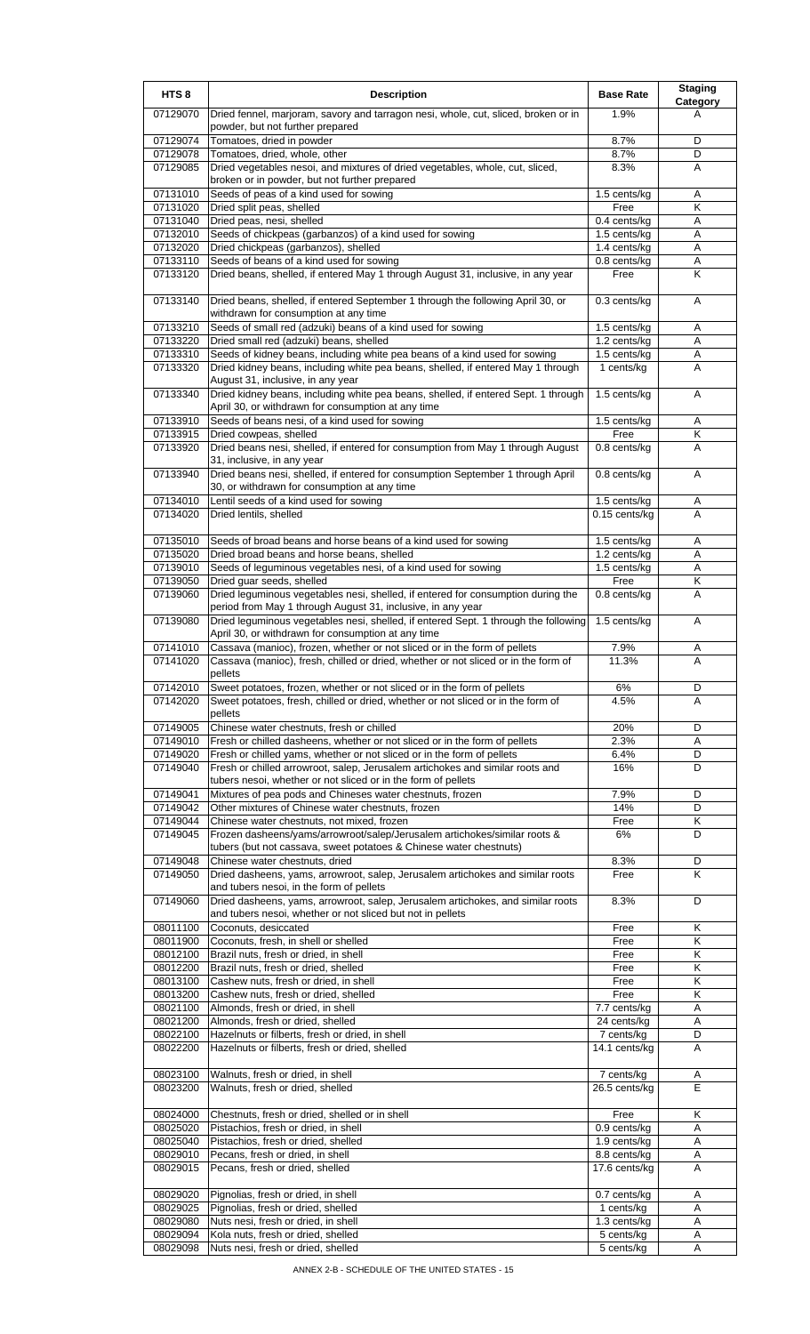| HTS <sub>8</sub>     | <b>Description</b>                                                                                                                                      | <b>Base Rate</b>              | <b>Staging</b><br><b>Category</b> |
|----------------------|---------------------------------------------------------------------------------------------------------------------------------------------------------|-------------------------------|-----------------------------------|
| 07129070             | Dried fennel, marjoram, savory and tarragon nesi, whole, cut, sliced, broken or in<br>powder, but not further prepared                                  | 1.9%                          | A                                 |
| 07129074             | Tomatoes, dried in powder                                                                                                                               | 8.7%                          | D                                 |
| 07129078             | Tomatoes, dried, whole, other                                                                                                                           | 8.7%                          | D                                 |
| 07129085             | Dried vegetables nesoi, and mixtures of dried vegetables, whole, cut, sliced,<br>broken or in powder, but not further prepared                          | 8.3%                          | A                                 |
| 07131010             | Seeds of peas of a kind used for sowing                                                                                                                 | $1.5$ cents/kg                | Α                                 |
| 07131020             | Dried split peas, shelled                                                                                                                               | Free                          | Κ                                 |
| 07131040             | Dried peas, nesi, shelled                                                                                                                               | 0.4 cents/kg                  | A                                 |
| 07132010             | Seeds of chickpeas (garbanzos) of a kind used for sowing                                                                                                | 1.5 cents/kg                  | Α                                 |
| 07132020             | Dried chickpeas (garbanzos), shelled                                                                                                                    | 1.4 cents/kg                  | Α                                 |
| 07133110<br>07133120 | Seeds of beans of a kind used for sowing<br>Dried beans, shelled, if entered May 1 through August 31, inclusive, in any year                            | 0.8 cents/kg<br>Free          | Α<br>Κ                            |
| 07133140             | Dried beans, shelled, if entered September 1 through the following April 30, or<br>withdrawn for consumption at any time                                | 0.3 cents/kg                  | Α                                 |
| 07133210             | Seeds of small red (adzuki) beans of a kind used for sowing                                                                                             | 1.5 cents/kg                  | Α                                 |
| 07133220             | Dried small red (adzuki) beans, shelled                                                                                                                 | 1.2 cents/kg                  | Α                                 |
| 07133310             | Seeds of kidney beans, including white pea beans of a kind used for sowing                                                                              | 1.5 cents/kg                  | A                                 |
| 07133320             | Dried kidney beans, including white pea beans, shelled, if entered May 1 through                                                                        | 1 cents/kg                    | Α                                 |
| 07133340             | August 31, inclusive, in any year<br>Dried kidney beans, including white pea beans, shelled, if entered Sept. 1 through                                 | 1.5 cents/kg                  | A                                 |
|                      | April 30, or withdrawn for consumption at any time                                                                                                      |                               |                                   |
| 07133910<br>07133915 | Seeds of beans nesi, of a kind used for sowing<br>Dried cowpeas, shelled                                                                                | 1.5 cents/kg<br>Free          | A<br>Κ                            |
| 07133920             | Dried beans nesi, shelled, if entered for consumption from May 1 through August                                                                         | 0.8 cents/kg                  | A                                 |
|                      | 31, inclusive, in any year                                                                                                                              |                               |                                   |
| 07133940             | Dried beans nesi, shelled, if entered for consumption September 1 through April<br>30, or withdrawn for consumption at any time                         | 0.8 cents/kg                  | A                                 |
| 07134010<br>07134020 | Lentil seeds of a kind used for sowing<br>Dried lentils, shelled                                                                                        | 1.5 cents/kg<br>0.15 cents/kg | Α<br>A                            |
|                      |                                                                                                                                                         |                               |                                   |
| 07135010             | Seeds of broad beans and horse beans of a kind used for sowing                                                                                          | 1.5 cents/kg                  | Α<br>A                            |
| 07135020<br>07139010 | Dried broad beans and horse beans, shelled<br>Seeds of leguminous vegetables nesi, of a kind used for sowing                                            | 1.2 cents/kg<br>1.5 cents/kg  | Α                                 |
| 07139050             | Dried guar seeds, shelled                                                                                                                               | Free                          | Κ                                 |
| 07139060             | Dried leguminous vegetables nesi, shelled, if entered for consumption during the<br>period from May 1 through August 31, inclusive, in any year         | 0.8 cents/kg                  | Α                                 |
| 07139080             | Dried leguminous vegetables nesi, shelled, if entered Sept. 1 through the following<br>April 30, or withdrawn for consumption at any time               | 1.5 cents/kg                  | Α                                 |
| 07141010             | Cassava (manioc), frozen, whether or not sliced or in the form of pellets                                                                               | 7.9%                          | A                                 |
| 07141020             | Cassava (manioc), fresh, chilled or dried, whether or not sliced or in the form of<br>pellets                                                           | 11.3%                         | Α                                 |
| 07142010             | Sweet potatoes, frozen, whether or not sliced or in the form of pellets                                                                                 | 6%                            | D                                 |
| 07142020             | Sweet potatoes, fresh, chilled or dried, whether or not sliced or in the form of<br>pellets                                                             | 4.5%                          | A                                 |
| 07149005             | Chinese water chestnuts, fresh or chilled                                                                                                               | 20%                           | D                                 |
| 07149010             | Fresh or chilled dasheens, whether or not sliced or in the form of pellets                                                                              | 2.3%                          | Α                                 |
| 07149020<br>07149040 | Fresh or chilled yams, whether or not sliced or in the form of pellets<br>Fresh or chilled arrowroot, salep, Jerusalem artichokes and similar roots and | 6.4%<br>16%                   | D<br>D                            |
|                      | tubers nesoi, whether or not sliced or in the form of pellets                                                                                           |                               |                                   |
| 07149041             | Mixtures of pea pods and Chineses water chestnuts, frozen                                                                                               | 7.9%                          | D                                 |
| 07149042             | Other mixtures of Chinese water chestnuts, frozen                                                                                                       | 14%                           | D                                 |
| 07149044             | Chinese water chestnuts, not mixed, frozen                                                                                                              | Free                          | Κ                                 |
| 07149045             | Frozen dasheens/yams/arrowroot/salep/Jerusalem artichokes/similar roots &<br>tubers (but not cassava, sweet potatoes & Chinese water chestnuts)         | 6%                            | D                                 |
| 07149048             | Chinese water chestnuts, dried                                                                                                                          | 8.3%                          | D                                 |
| 07149050             | Dried dasheens, yams, arrowroot, salep, Jerusalem artichokes and similar roots<br>and tubers nesoi, in the form of pellets                              | Free                          | Κ                                 |
| 07149060             | Dried dasheens, yams, arrowroot, salep, Jerusalem artichokes, and similar roots<br>and tubers nesoi, whether or not sliced but not in pellets           | 8.3%                          | D                                 |
| 08011100             | Coconuts, desiccated                                                                                                                                    | Free                          | Κ                                 |
| 08011900             | Coconuts, fresh, in shell or shelled                                                                                                                    | Free                          | Κ                                 |
| 08012100             | Brazil nuts, fresh or dried, in shell                                                                                                                   | Free                          | Κ                                 |
| 08012200             | Brazil nuts, fresh or dried, shelled                                                                                                                    | Free                          | $\overline{\mathsf{K}}$           |
| 08013100<br>08013200 | Cashew nuts, fresh or dried, in shell<br>Cashew nuts, fresh or dried, shelled                                                                           | Free<br>Free                  | Κ<br>Κ                            |
| 08021100             | Almonds, fresh or dried, in shell                                                                                                                       | 7.7 cents/kg                  | A                                 |
| 08021200             | Almonds, fresh or dried, shelled                                                                                                                        | 24 cents/kg                   | Α                                 |
| 08022100             | Hazelnuts or filberts, fresh or dried, in shell                                                                                                         | 7 cents/kg                    | D                                 |
| 08022200             | Hazelnuts or filberts, fresh or dried, shelled                                                                                                          | 14.1 cents/kg                 | A                                 |
| 08023100<br>08023200 | Walnuts, fresh or dried, in shell<br>Walnuts, fresh or dried, shelled                                                                                   | 7 cents/kg<br>26.5 cents/kg   | Α<br>E                            |
| 08024000             | Chestnuts, fresh or dried, shelled or in shell                                                                                                          | Free                          | Κ                                 |
| 08025020             | Pistachios, fresh or dried, in shell                                                                                                                    | 0.9 cents/kg                  | Α                                 |
| 08025040             | Pistachios, fresh or dried, shelled                                                                                                                     | 1.9 cents/kg                  | Α                                 |
| 08029010             | Pecans, fresh or dried, in shell                                                                                                                        | 8.8 cents/kg                  | A                                 |
| 08029015             | Pecans, fresh or dried, shelled                                                                                                                         | 17.6 cents/kg                 | A                                 |
| 08029020             | Pignolias, fresh or dried, in shell                                                                                                                     | 0.7 cents/kg                  | Α                                 |
| 08029025             | Pignolias, fresh or dried, shelled                                                                                                                      | 1 cents/kg                    | Α                                 |
| 08029080<br>08029094 | Nuts nesi, fresh or dried, in shell<br>Kola nuts, fresh or dried, shelled                                                                               | 1.3 cents/kg<br>5 cents/kg    | A<br>A                            |
| 08029098             | Nuts nesi, fresh or dried, shelled                                                                                                                      | 5 cents/kg                    | Α                                 |
|                      |                                                                                                                                                         |                               |                                   |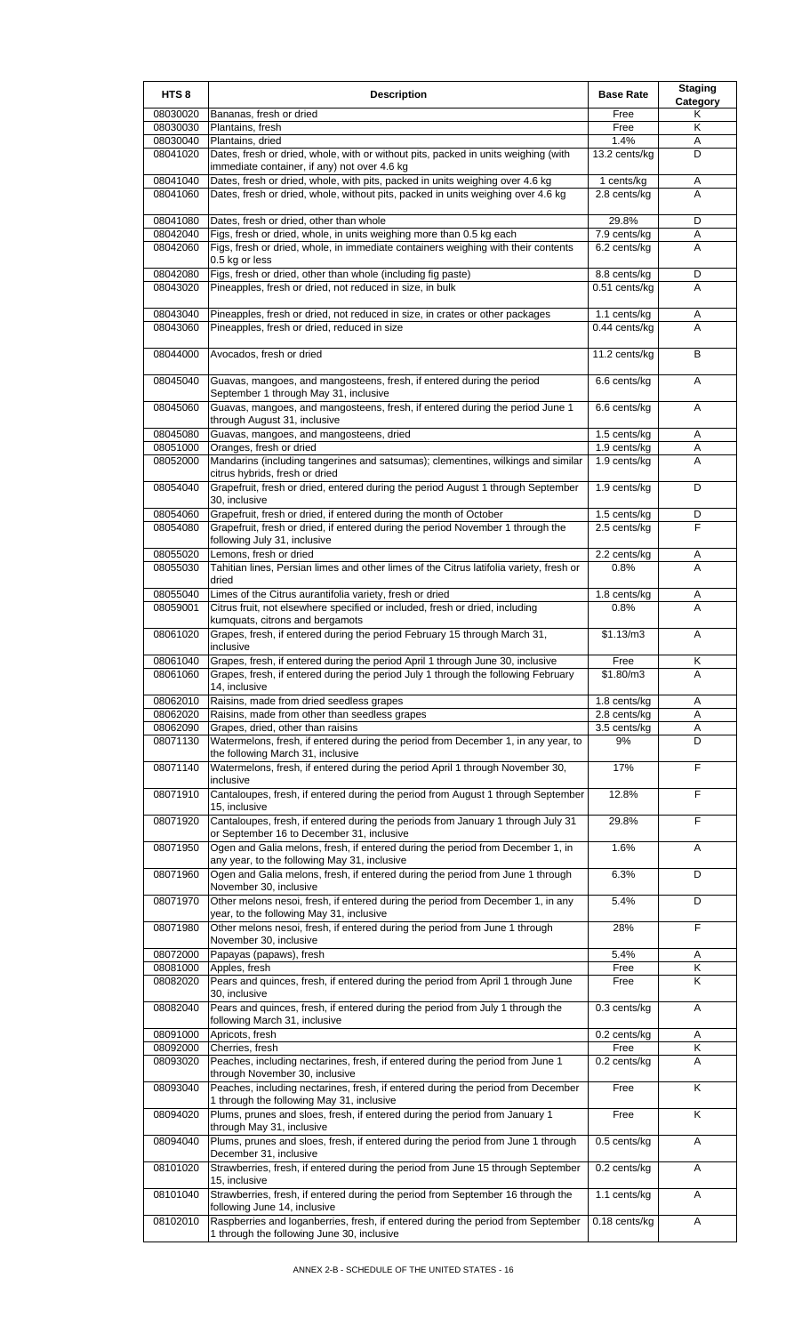| HTS <sub>8</sub>     | <b>Description</b>                                                                                                                                                | <b>Base Rate</b>                | <b>Staging</b><br>Category |
|----------------------|-------------------------------------------------------------------------------------------------------------------------------------------------------------------|---------------------------------|----------------------------|
| 08030020             | Bananas, fresh or dried                                                                                                                                           | Free                            | Κ                          |
| 08030030<br>08030040 | Plantains, fresh<br>Plantains, dried                                                                                                                              | Free<br>1.4%                    | Κ<br>Α                     |
| 08041020             | Dates, fresh or dried, whole, with or without pits, packed in units weighing (with<br>immediate container, if any) not over 4.6 kg                                | 13.2 cents/kg                   | D                          |
| 08041040<br>08041060 | Dates, fresh or dried, whole, with pits, packed in units weighing over 4.6 kg<br>Dates, fresh or dried, whole, without pits, packed in units weighing over 4.6 kg | 1 cents/kg<br>2.8 cents/kg      | Α<br>A                     |
| 08041080             | Dates, fresh or dried, other than whole                                                                                                                           | 29.8%                           | D                          |
| 08042040             | Figs, fresh or dried, whole, in units weighing more than 0.5 kg each                                                                                              | $7.9$ cents/kg                  | Α                          |
| 08042060             | Figs, fresh or dried, whole, in immediate containers weighing with their contents<br>0.5 kg or less                                                               | 6.2 cents/kg                    | A                          |
| 08042080<br>08043020 | Figs, fresh or dried, other than whole (including fig paste)<br>Pineapples, fresh or dried, not reduced in size, in bulk                                          | 8.8 cents/kg<br>$0.51$ cents/kg | D<br>A                     |
| 08043040             | Pineapples, fresh or dried, not reduced in size, in crates or other packages                                                                                      | 1.1 cents/kg                    | Α                          |
| 08043060             | Pineapples, fresh or dried, reduced in size                                                                                                                       | 0.44 cents/kg                   | A                          |
| 08044000             | Avocados, fresh or dried                                                                                                                                          | 11.2 cents/kg                   | В                          |
| 08045040             | Guavas, mangoes, and mangosteens, fresh, if entered during the period<br>September 1 through May 31, inclusive                                                    | 6.6 cents/kg                    | Α                          |
| 08045060             | Guavas, mangoes, and mangosteens, fresh, if entered during the period June 1<br>through August 31, inclusive                                                      | 6.6 cents/kg                    | Α                          |
| 08045080             | Guavas, mangoes, and mangosteens, dried                                                                                                                           | 1.5 cents/kg                    | Α                          |
| 08051000<br>08052000 | Oranges, fresh or dried<br>Mandarins (including tangerines and satsumas); clementines, wilkings and similar                                                       | 1.9 cents/kg<br>1.9 cents/kg    | Α<br>A                     |
|                      | citrus hybrids, fresh or dried                                                                                                                                    |                                 |                            |
| 08054040             | Grapefruit, fresh or dried, entered during the period August 1 through September<br>30, inclusive                                                                 | 1.9 cents/kg                    | D                          |
| 08054060             | Grapefruit, fresh or dried, if entered during the month of October                                                                                                | 1.5 cents/kg                    | D<br>F                     |
| 08054080             | Grapefruit, fresh or dried, if entered during the period November 1 through the<br>following July 31, inclusive                                                   | 2.5 cents/kg                    |                            |
| 08055020             | Lemons, fresh or dried                                                                                                                                            | 2.2 cents/kg                    | Α                          |
| 08055030             | Tahitian lines, Persian limes and other limes of the Citrus latifolia variety, fresh or<br>dried                                                                  | 0.8%                            | A                          |
| 08055040<br>08059001 | Limes of the Citrus aurantifolia variety, fresh or dried<br>Citrus fruit, not elsewhere specified or included, fresh or dried, including                          | 1.8 cents/kg<br>0.8%            | A<br>A                     |
| 08061020             | kumquats, citrons and bergamots<br>Grapes, fresh, if entered during the period February 15 through March 31,                                                      | \$1.13/m3                       | Α                          |
| 08061040             | inclusive<br>Grapes, fresh, if entered during the period April 1 through June 30, inclusive                                                                       | Free                            | Κ                          |
| 08061060             | Grapes, fresh, if entered during the period July 1 through the following February                                                                                 | \$1.80/m3                       | A                          |
|                      | 14. inclusive                                                                                                                                                     |                                 |                            |
| 08062010<br>08062020 | Raisins, made from dried seedless grapes<br>Raisins, made from other than seedless grapes                                                                         | $1.8$ cents/kg<br>2.8 cents/kg  | Α<br>Α                     |
| 08062090             | Grapes, dried, other than raisins                                                                                                                                 | 3.5 cents/kg                    | Α                          |
| 08071130             | Watermelons, fresh, if entered during the period from December 1, in any year, to<br>the following March 31, inclusive                                            | 9%                              | D                          |
| 08071140             | Watermelons, fresh, if entered during the period April 1 through November 30,<br>inclusive                                                                        | 17%                             | F                          |
| 08071910             | Cantaloupes, fresh, if entered during the period from August 1 through September<br>15, inclusive                                                                 | 12.8%                           | F                          |
| 08071920             | Cantaloupes, fresh, if entered during the periods from January 1 through July 31<br>or September 16 to December 31, inclusive                                     | 29.8%                           | F                          |
| 08071950             | Ogen and Galia melons, fresh, if entered during the period from December 1, in<br>any year, to the following May 31, inclusive                                    | 1.6%                            | Α                          |
| 08071960             | Ogen and Galia melons, fresh, if entered during the period from June 1 through<br>November 30, inclusive                                                          | 6.3%                            | D                          |
| 08071970             | Other melons nesoi, fresh, if entered during the period from December 1, in any<br>year, to the following May 31, inclusive                                       | 5.4%                            | D                          |
| 08071980             | Other melons nesoi, fresh, if entered during the period from June 1 through<br>November 30, inclusive                                                             | 28%                             | F                          |
| 08072000             | Papayas (papaws), fresh                                                                                                                                           | 5.4%                            | A                          |
| 08081000<br>08082020 | Apples, fresh<br>Pears and quinces, fresh, if entered during the period from April 1 through June                                                                 | Free<br>Free                    | Κ<br>K                     |
| 08082040             | 30, inclusive<br>Pears and quinces, fresh, if entered during the period from July 1 through the<br>following March 31, inclusive                                  | 0.3 cents/kg                    | Α                          |
| 08091000             | Apricots, fresh                                                                                                                                                   | 0.2 cents/kg                    | Α                          |
| 08092000             | Cherries, fresh                                                                                                                                                   | Free                            | Κ                          |
| 08093020             | Peaches, including nectarines, fresh, if entered during the period from June 1<br>through November 30, inclusive                                                  | 0.2 cents/kg                    | Α                          |
| 08093040             | Peaches, including nectarines, fresh, if entered during the period from December<br>1 through the following May 31, inclusive                                     | Free                            | K                          |
| 08094020             | Plums, prunes and sloes, fresh, if entered during the period from January 1<br>through May 31, inclusive                                                          | Free                            | Κ                          |
| 08094040             | Plums, prunes and sloes, fresh, if entered during the period from June 1 through<br>December 31, inclusive                                                        | 0.5 cents/kg                    | Α                          |
| 08101020             | Strawberries, fresh, if entered during the period from June 15 through September<br>15, inclusive                                                                 | 0.2 cents/kg                    | A                          |
| 08101040             | Strawberries, fresh, if entered during the period from September 16 through the<br>following June 14, inclusive                                                   | 1.1 cents/kg                    | Α                          |
| 08102010             | Raspberries and loganberries, fresh, if entered during the period from September<br>1 through the following June 30, inclusive                                    | 0.18 cents/kg                   | A                          |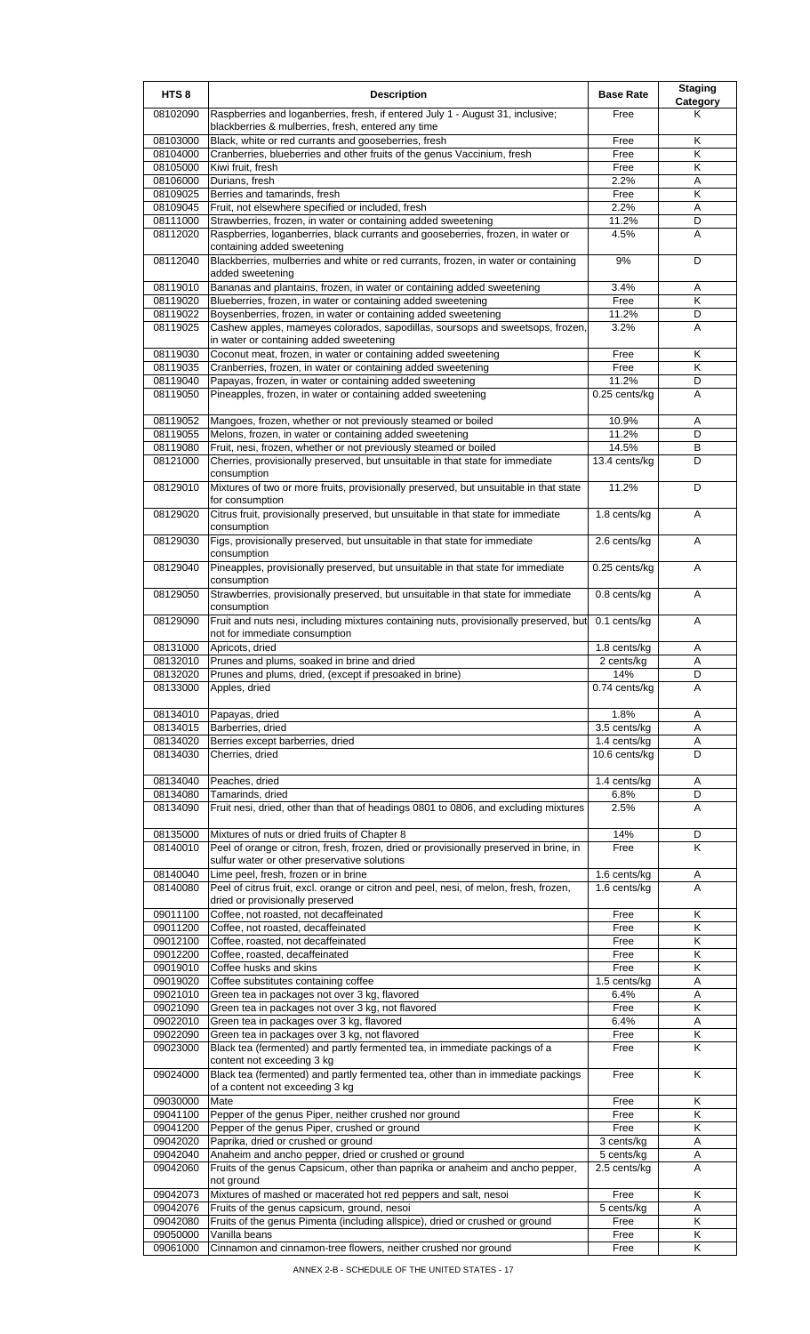| HTS <sub>8</sub>     | <b>Description</b>                                                                                                                      | <b>Base Rate</b>           | <b>Staging</b><br>Category |
|----------------------|-----------------------------------------------------------------------------------------------------------------------------------------|----------------------------|----------------------------|
| 08102090             | Raspberries and loganberries, fresh, if entered July 1 - August 31, inclusive;<br>blackberries & mulberries, fresh, entered any time    | Free                       | Κ                          |
| 08103000             | Black, white or red currants and gooseberries, fresh                                                                                    | Free                       | Κ                          |
| 08104000             | Cranberries, blueberries and other fruits of the genus Vaccinium, fresh                                                                 | Free                       | Κ                          |
| 08105000             | Kiwi fruit, fresh                                                                                                                       | Free                       | Κ                          |
| 08106000             | Durians, fresh                                                                                                                          | 2.2%                       | A<br>K                     |
| 08109025<br>08109045 | Berries and tamarinds, fresh<br>Fruit, not elsewhere specified or included, fresh                                                       | Free<br>2.2%               | Α                          |
| 08111000             | Strawberries, frozen, in water or containing added sweetening                                                                           | 11.2%                      | D                          |
| 08112020             | Raspberries, loganberries, black currants and gooseberries, frozen, in water or                                                         | 4.5%                       | A                          |
| 08112040             | containing added sweetening<br>Blackberries, mulberries and white or red currants, frozen, in water or containing                       | 9%                         | D                          |
| 08119010             | added sweetening<br>Bananas and plantains, frozen, in water or containing added sweetening                                              | 3.4%                       | Α                          |
| 08119020             | Blueberries, frozen, in water or containing added sweetening                                                                            | Free                       | K                          |
| 08119022             | Boysenberries, frozen, in water or containing added sweetening                                                                          | 11.2%                      | D                          |
| 08119025             | Cashew apples, mameyes colorados, sapodillas, soursops and sweetsops, frozen,<br>in water or containing added sweetening                | 3.2%                       | A                          |
| 08119030             | Coconut meat, frozen, in water or containing added sweetening                                                                           | Free                       | Κ                          |
| 08119035             | Cranberries, frozen, in water or containing added sweetening                                                                            | Free                       | Κ                          |
| 08119040<br>08119050 | Papayas, frozen, in water or containing added sweetening<br>Pineapples, frozen, in water or containing added sweetening                 | 11.2%<br>0.25 cents/kg     | D<br>A                     |
| 08119052             | Mangoes, frozen, whether or not previously steamed or boiled                                                                            | 10.9%                      | Α                          |
| 08119055             | Melons, frozen, in water or containing added sweetening                                                                                 | 11.2%                      | D                          |
| 08119080             | Fruit, nesi, frozen, whether or not previously steamed or boiled                                                                        | 14.5%                      | В                          |
| 08121000             | Cherries, provisionally preserved, but unsuitable in that state for immediate<br>consumption                                            | 13.4 cents/kg              | D                          |
| 08129010             | Mixtures of two or more fruits, provisionally preserved, but unsuitable in that state<br>for consumption                                | 11.2%                      | D                          |
| 08129020             | Citrus fruit, provisionally preserved, but unsuitable in that state for immediate<br>consumption                                        | 1.8 cents/kg               | A                          |
| 08129030             | Figs, provisionally preserved, but unsuitable in that state for immediate<br>consumption                                                | 2.6 cents/kg               | Α                          |
| 08129040             | Pineapples, provisionally preserved, but unsuitable in that state for immediate<br>consumption                                          | 0.25 cents/kg              | A                          |
| 08129050             | Strawberries, provisionally preserved, but unsuitable in that state for immediate<br>consumption                                        | 0.8 cents/kg               | A                          |
| 08129090             | Fruit and nuts nesi, including mixtures containing nuts, provisionally preserved, but<br>not for immediate consumption                  | 0.1 cents/kg               | A                          |
| 08131000<br>08132010 | Apricots, dried                                                                                                                         | 1.8 cents/kg<br>2 cents/kg | Α<br>A                     |
| 08132020             | Prunes and plums, soaked in brine and dried<br>Prunes and plums, dried, (except if presoaked in brine)                                  | 14%                        | υ                          |
| 08133000             | Apples, dried                                                                                                                           | 0.74 cents/kg              | A                          |
| 08134010             | Papayas, dried                                                                                                                          | 1.8%                       | Α                          |
| 08134015             | Barberries, dried                                                                                                                       | 3.5 cents/kg               | A                          |
| 08134020             | Berries except barberries, dried                                                                                                        | 1.4 cents/kg               | Α                          |
| 08134030             | Cherries, dried                                                                                                                         | 10.6 cents/kg              | D                          |
| 08134040             | Peaches, dried                                                                                                                          | 1.4 cents/kg               | Α                          |
| 08134080             | Tamarinds, dried                                                                                                                        | 6.8%                       | D                          |
| 08134090             | Fruit nesi, dried, other than that of headings 0801 to 0806, and excluding mixtures                                                     | 2.5%                       | A                          |
| 08135000<br>08140010 | Mixtures of nuts or dried fruits of Chapter 8<br>Peel of orange or citron, fresh, frozen, dried or provisionally preserved in brine, in | 14%<br>Free                | D<br>K                     |
|                      | sulfur water or other preservative solutions                                                                                            |                            |                            |
| 08140040             | Lime peel, fresh, frozen or in brine                                                                                                    | 1.6 cents/kg               | Α                          |
| 08140080             | Peel of citrus fruit, excl. orange or citron and peel, nesi, of melon, fresh, frozen,<br>dried or provisionally preserved               | $1.6$ cents/kg             | A                          |
| 09011100             | Coffee, not roasted, not decaffeinated                                                                                                  | Free                       | Κ                          |
| 09011200             | Coffee, not roasted, decaffeinated                                                                                                      | Free                       | Κ                          |
| 09012100             | Coffee, roasted, not decaffeinated                                                                                                      | Free                       | K                          |
| 09012200<br>09019010 | Coffee, roasted, decaffeinated<br>Coffee husks and skins                                                                                | Free<br>Free               | Κ<br>Κ                     |
| 09019020             | Coffee substitutes containing coffee                                                                                                    | 1.5 cents/kg               | Α                          |
| 09021010             | Green tea in packages not over 3 kg, flavored                                                                                           | 6.4%                       | A                          |
| 09021090             | Green tea in packages not over 3 kg, not flavored                                                                                       | Free                       | K                          |
| 09022010<br>09022090 | Green tea in packages over 3 kg, flavored<br>Green tea in packages over 3 kg, not flavored                                              | 6.4%<br>Free               | Α<br>Κ                     |
| 09023000             | Black tea (fermented) and partly fermented tea, in immediate packings of a<br>content not exceeding 3 kg                                | Free                       | Κ                          |
| 09024000             | Black tea (fermented) and partly fermented tea, other than in immediate packings<br>of a content not exceeding 3 kg                     | Free                       | Κ                          |
| 09030000             | Mate                                                                                                                                    | Free                       | K                          |
| 09041100             | Pepper of the genus Piper, neither crushed nor ground                                                                                   | Free                       | Κ                          |
| 09041200<br>09042020 | Pepper of the genus Piper, crushed or ground<br>Paprika, dried or crushed or ground                                                     | Free                       | K                          |
| 09042040             | Anaheim and ancho pepper, dried or crushed or ground                                                                                    | 3 cents/kg<br>5 cents/kg   | Α<br>A                     |
| 09042060             | Fruits of the genus Capsicum, other than paprika or anaheim and ancho pepper,<br>not ground                                             | 2.5 cents/kg               | Α                          |
| 09042073             | Mixtures of mashed or macerated hot red peppers and salt, nesoi                                                                         | Free                       | K                          |
| 09042076             | Fruits of the genus capsicum, ground, nesoi                                                                                             | 5 cents/kg                 | Α                          |
| 09042080             | Fruits of the genus Pimenta (including allspice), dried or crushed or ground                                                            | Free                       | Κ                          |
| 09050000<br>09061000 | Vanilla beans<br>Cinnamon and cinnamon-tree flowers, neither crushed nor ground                                                         | Free<br>Free               | Κ<br>Κ                     |
|                      |                                                                                                                                         |                            |                            |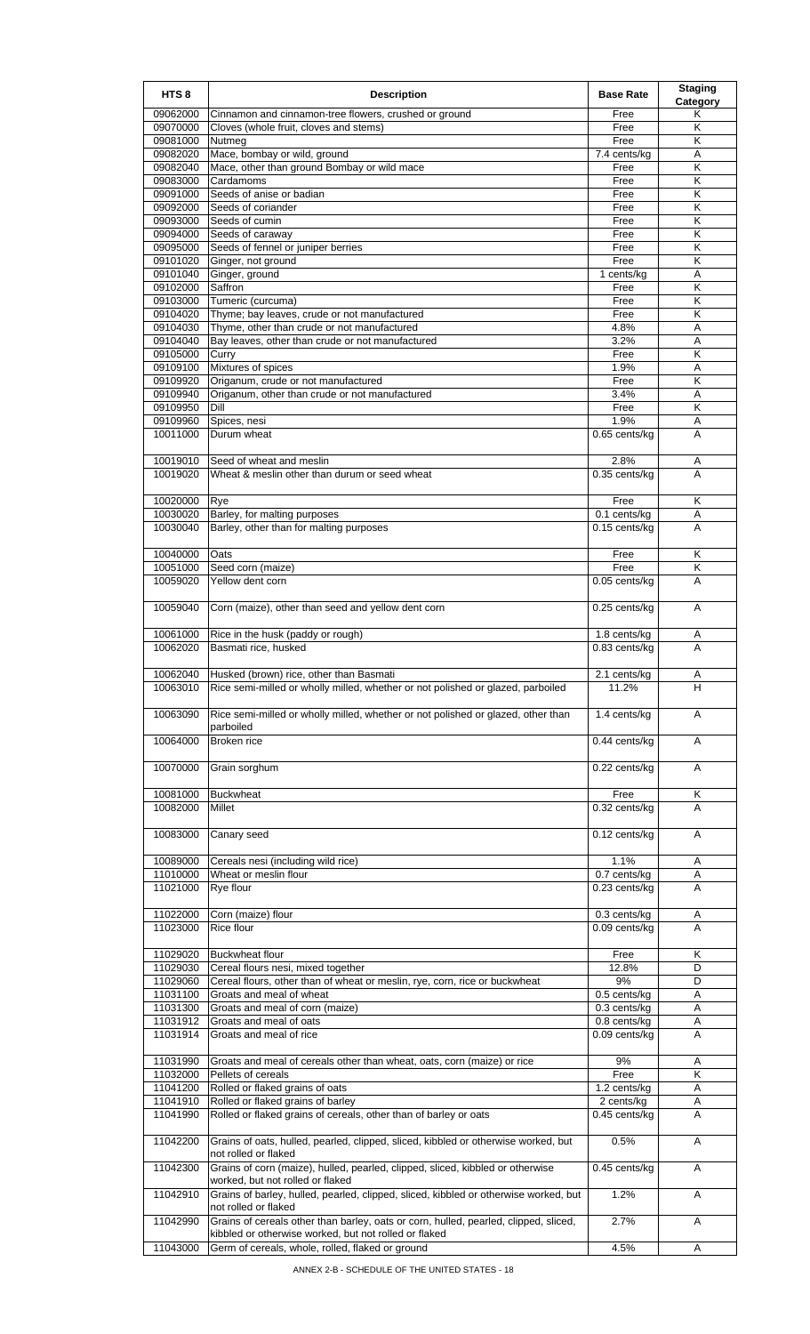| HTS <sub>8</sub>     | <b>Description</b>                                                                                           | <b>Base Rate</b>              | <b>Staging</b><br>Category   |
|----------------------|--------------------------------------------------------------------------------------------------------------|-------------------------------|------------------------------|
| 09062000             | Cinnamon and cinnamon-tree flowers, crushed or ground                                                        | Free                          | Κ                            |
| 09070000             | Cloves (whole fruit, cloves and stems)                                                                       | Free                          | Κ                            |
| 09081000<br>09082020 | Nutmeg<br>Mace, bombay or wild, ground                                                                       | Free<br>7.4 cents/kg          | Κ<br>Α                       |
| 09082040             | Mace, other than ground Bombay or wild mace                                                                  | Free                          | Κ                            |
| 09083000             | Cardamoms                                                                                                    | Free                          | K                            |
| 09091000             | Seeds of anise or badian                                                                                     | Free                          | Κ                            |
| 09092000             | Seeds of coriander                                                                                           | Free                          | Κ                            |
| 09093000<br>09094000 | Seeds of cumin<br>Seeds of caraway                                                                           | Free<br>Free                  | K<br>Κ                       |
| 09095000             | Seeds of fennel or juniper berries                                                                           | Free                          | Κ                            |
| 09101020             | Ginger, not ground                                                                                           | Free                          | Κ                            |
| 09101040             | Ginger, ground                                                                                               | 1 cents/kg                    | Α                            |
| 09102000<br>09103000 | Saffron<br>Tumeric (curcuma)                                                                                 | Free<br>Free                  | K<br>$\overline{\mathsf{K}}$ |
| 09104020             | Thyme; bay leaves, crude or not manufactured                                                                 | Free                          | Κ                            |
| 09104030             | Thyme, other than crude or not manufactured                                                                  | 4.8%                          | Α                            |
| 09104040             | Bay leaves, other than crude or not manufactured                                                             | 3.2%                          | A                            |
| 09105000<br>09109100 | Curry<br>Mixtures of spices                                                                                  | Free<br>1.9%                  | Κ<br>Α                       |
| 09109920             | Origanum, crude or not manufactured                                                                          | Free                          | $\overline{\mathsf{K}}$      |
| 09109940             | Origanum, other than crude or not manufactured                                                               | 3.4%                          | Α                            |
| 09109950             | Dill                                                                                                         | Free                          | K                            |
| 09109960             | Spices, nesi                                                                                                 | 1.9%                          | A                            |
| 10011000             | Durum wheat                                                                                                  | 0.65 cents/kg                 | A                            |
| 10019010             | Seed of wheat and meslin                                                                                     | 2.8%                          | Α                            |
| 10019020             | Wheat & meslin other than durum or seed wheat                                                                | 0.35 cents/kg                 | A                            |
| 10020000             |                                                                                                              | Free                          | Κ                            |
| 10030020             | Rye<br>Barley, for malting purposes                                                                          | 0.1 cents/kg                  | A                            |
| 10030040             | Barley, other than for malting purposes                                                                      | 0.15 cents/kg                 | A                            |
|                      |                                                                                                              |                               |                              |
| 10040000             | Oats                                                                                                         | Free                          | K                            |
| 10051000<br>10059020 | Seed corn (maize)<br>Yellow dent corn                                                                        | Free<br>0.05 cents/kg         | Κ<br>A                       |
|                      |                                                                                                              |                               |                              |
| 10059040             | Corn (maize), other than seed and yellow dent corn                                                           | 0.25 cents/kg                 | A                            |
| 10061000             | Rice in the husk (paddy or rough)                                                                            | $1.8$ cents/kg                | Α                            |
| 10062020             | Basmati rice, husked                                                                                         | 0.83 cents/kg                 | A                            |
|                      | 10062040 Husked (brown) rice, other than Basmati                                                             |                               |                              |
| 10063010             | Rice semi-milled or wholly milled, whether or not polished or glazed, parboiled                              | 2.1 cents/kg<br>11.2%         | A<br>H                       |
|                      |                                                                                                              |                               |                              |
| 10063090             | Rice semi-milled or wholly milled, whether or not polished or glazed, other than                             | 1.4 cents/kg                  | A                            |
| 10064000             | parboiled<br>Broken rice                                                                                     | 0.44 cents/kg                 | Α                            |
|                      |                                                                                                              |                               |                              |
| 10070000             | Grain sorghum                                                                                                | 0.22 cents/kg                 | A                            |
| 10081000             | <b>Buckwheat</b>                                                                                             | Free                          | Κ                            |
| 10082000             | Millet                                                                                                       | 0.32 cents/kg                 | A                            |
|                      |                                                                                                              |                               |                              |
| 10083000             | Canary seed                                                                                                  | 0.12 cents/kg                 | Α                            |
| 10089000             | Cereals nesi (including wild rice)                                                                           | 1.1%                          | Α                            |
| 11010000             | Wheat or meslin flour                                                                                        | 0.7 cents/kg                  | Α                            |
| 11021000             | Rye flour                                                                                                    | 0.23 cents/kg                 | A                            |
|                      |                                                                                                              |                               |                              |
| 11022000<br>11023000 | Corn (maize) flour<br>Rice flour                                                                             | 0.3 cents/kg<br>0.09 cents/kg | Α<br>A                       |
|                      |                                                                                                              |                               |                              |
| 11029020             | <b>Buckwheat flour</b>                                                                                       | Free                          | K                            |
| 11029030             | Cereal flours nesi, mixed together                                                                           | 12.8%<br>9%                   | D                            |
| 11029060<br>11031100 | Cereal flours, other than of wheat or meslin, rye, corn, rice or buckwheat<br>Groats and meal of wheat       | 0.5 cents/kg                  | D<br>Α                       |
| 11031300             | Groats and meal of corn (maize)                                                                              | 0.3 cents/kg                  | Α                            |
| 11031912             | Groats and meal of oats                                                                                      | 0.8 cents/kg                  | Α                            |
| 11031914             | Groats and meal of rice                                                                                      | 0.09 cents/kg                 | A                            |
| 11031990             | Groats and meal of cereals other than wheat, oats, corn (maize) or rice                                      | 9%                            | Α                            |
| 11032000             | Pellets of cereals                                                                                           | Free                          | Κ                            |
| 11041200             | Rolled or flaked grains of oats                                                                              | 1.2 cents/kg                  | A                            |
| 11041910             | Rolled or flaked grains of barley                                                                            | 2 cents/kg                    | A                            |
| 11041990             | Rolled or flaked grains of cereals, other than of barley or oats                                             | 0.45 cents/kg                 | A                            |
| 11042200             | Grains of oats, hulled, pearled, clipped, sliced, kibbled or otherwise worked, but                           | 0.5%                          | A                            |
| 11042300             | not rolled or flaked<br>Grains of corn (maize), hulled, pearled, clipped, sliced, kibbled or otherwise       | 0.45 cents/kg                 | A                            |
|                      | worked, but not rolled or flaked                                                                             |                               |                              |
| 11042910             | Grains of barley, hulled, pearled, clipped, sliced, kibbled or otherwise worked, but                         | 1.2%                          | Α                            |
| 11042990             | not rolled or flaked<br>Grains of cereals other than barley, oats or corn, hulled, pearled, clipped, sliced, | 2.7%                          | Α                            |
|                      | kibbled or otherwise worked, but not rolled or flaked                                                        |                               |                              |
| 11043000             | Germ of cereals, whole, rolled, flaked or ground                                                             | 4.5%                          | Α                            |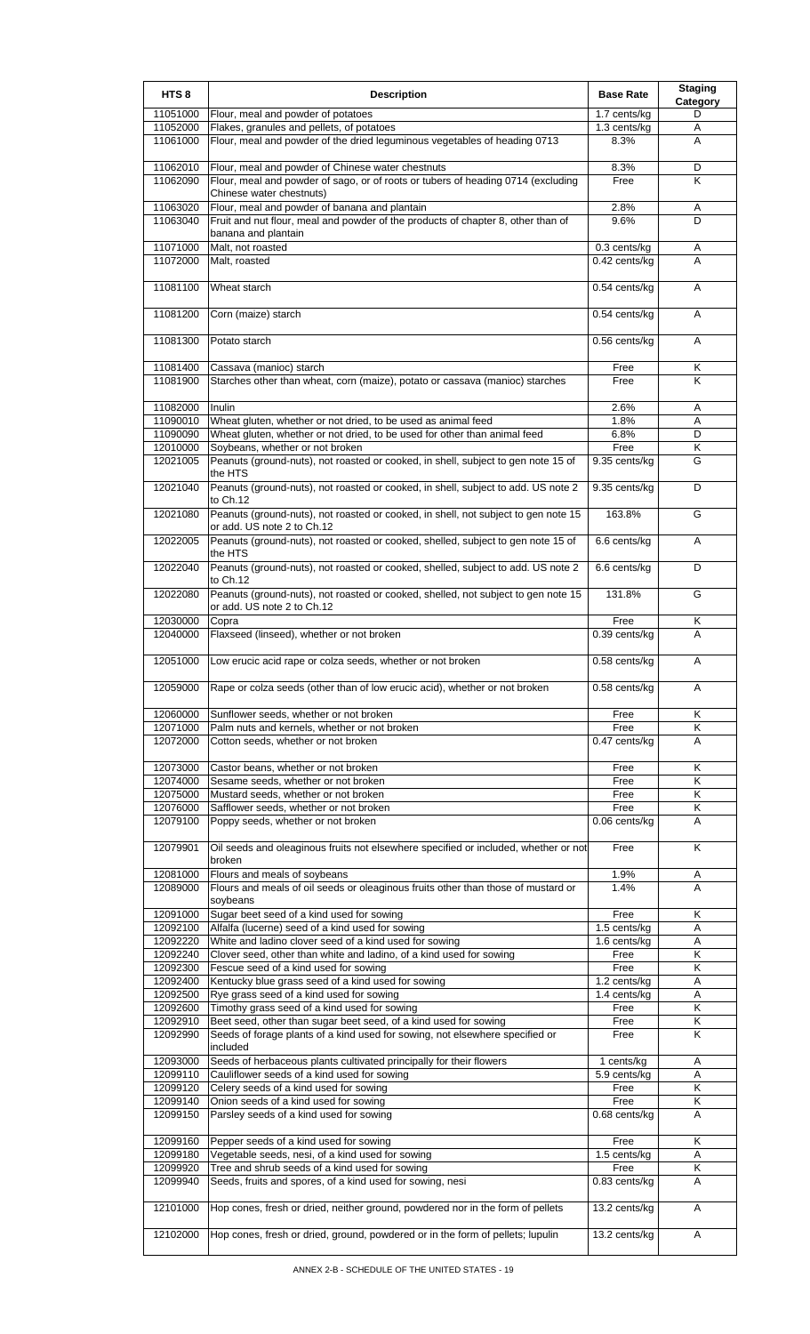| HTS <sub>8</sub>     | <b>Description</b>                                                                                             | <b>Base Rate</b>              | <b>Staging</b><br>Category   |
|----------------------|----------------------------------------------------------------------------------------------------------------|-------------------------------|------------------------------|
| 11051000             | Flour, meal and powder of potatoes                                                                             | 1.7 cents/kg                  | D                            |
| 11052000             | Flakes, granules and pellets, of potatoes                                                                      | 1.3 cents/kg                  | Α                            |
| 11061000             | Flour, meal and powder of the dried leguminous vegetables of heading 0713                                      | 8.3%                          | A                            |
| 11062010             | Flour, meal and powder of Chinese water chestnuts                                                              | 8.3%                          | D                            |
| 11062090             | Flour, meal and powder of sago, or of roots or tubers of heading 0714 (excluding                               | Free                          | K                            |
|                      | Chinese water chestnuts)                                                                                       |                               |                              |
| 11063020             | Flour, meal and powder of banana and plantain                                                                  | 2.8%                          | Α                            |
| 11063040             | Fruit and nut flour, meal and powder of the products of chapter 8, other than of                               | 9.6%                          | D                            |
|                      | banana and plantain                                                                                            |                               |                              |
| 11071000<br>11072000 | Malt, not roasted<br>Malt, roasted                                                                             | 0.3 cents/kg<br>0.42 cents/kg | A<br>A                       |
|                      |                                                                                                                |                               |                              |
| 11081100             | Wheat starch                                                                                                   | 0.54 cents/kg                 | Α                            |
|                      |                                                                                                                |                               |                              |
| 11081200             | Corn (maize) starch                                                                                            | 0.54 cents/kg                 | A                            |
|                      |                                                                                                                |                               |                              |
| 11081300             | Potato starch                                                                                                  | 0.56 cents/kg                 | A                            |
| 11081400             | Cassava (manioc) starch                                                                                        | Free                          | Κ                            |
| 11081900             | Starches other than wheat, corn (maize), potato or cassava (manioc) starches                                   | Free                          | K                            |
|                      |                                                                                                                |                               |                              |
| 11082000             | Inulin                                                                                                         | 2.6%                          | Α                            |
| 11090010             | Wheat gluten, whether or not dried, to be used as animal feed                                                  | 1.8%                          | A                            |
| 11090090<br>12010000 | Wheat gluten, whether or not dried, to be used for other than animal feed<br>Soybeans, whether or not broken   | 6.8%<br>Free                  | D<br>Κ                       |
| 12021005             | Peanuts (ground-nuts), not roasted or cooked, in shell, subject to gen note 15 of                              | 9.35 cents/kg                 | G                            |
|                      | the HTS                                                                                                        |                               |                              |
| 12021040             | Peanuts (ground-nuts), not roasted or cooked, in shell, subject to add. US note 2                              | 9.35 cents/kg                 | D                            |
|                      | to Ch.12                                                                                                       |                               |                              |
| 12021080             | Peanuts (ground-nuts), not roasted or cooked, in shell, not subject to gen note 15                             | 163.8%                        | G                            |
| 12022005             | or add. US note 2 to Ch.12<br>Peanuts (ground-nuts), not roasted or cooked, shelled, subject to gen note 15 of | 6.6 cents/kg                  | A                            |
|                      | the HTS                                                                                                        |                               |                              |
| 12022040             | Peanuts (ground-nuts), not roasted or cooked, shelled, subject to add. US note 2                               | 6.6 cents/kg                  | D                            |
|                      | to Ch.12                                                                                                       |                               |                              |
| 12022080             | Peanuts (ground-nuts), not roasted or cooked, shelled, not subject to gen note 15                              | 131.8%                        | G                            |
|                      | or add. US note 2 to Ch.12                                                                                     |                               |                              |
| 12030000<br>12040000 | Copra<br>Flaxseed (linseed), whether or not broken                                                             | Free<br>0.39 cents/kg         | Κ<br>A                       |
|                      |                                                                                                                |                               |                              |
| 12051000             | Low erucic acid rape or colza seeds, whether or not broken                                                     | 0.58 cents/kg                 | Α                            |
|                      |                                                                                                                |                               |                              |
| 12059000             | Rape or colza seeds (other than of low erucic acid), whether or not broken                                     | 0.58 cents/kg                 | A                            |
|                      |                                                                                                                |                               |                              |
| 12060000<br>12071000 | Sunflower seeds, whether or not broken<br>Palm nuts and kernels, whether or not broken                         | Free<br>Free                  | Κ<br>K                       |
| 12072000             | Cotton seeds, whether or not broken                                                                            | 0.47 cents/kg                 | A                            |
|                      |                                                                                                                |                               |                              |
| 12073000             | Castor beans, whether or not broken                                                                            | Free                          | Κ                            |
| 12074000             | Sesame seeds, whether or not broken                                                                            | Free                          | Κ                            |
| 12075000             | Mustard seeds, whether or not broken                                                                           | Free                          | K<br>Κ                       |
| 12076000<br>12079100 | Safflower seeds, whether or not broken<br>Poppy seeds, whether or not broken                                   | Free<br>0.06 cents/kg         | A                            |
|                      |                                                                                                                |                               |                              |
| 12079901             | Oil seeds and oleaginous fruits not elsewhere specified or included, whether or not                            | Free                          | K                            |
|                      | broken                                                                                                         |                               |                              |
| 12081000             | Flours and meals of soybeans                                                                                   | 1.9%                          | Α                            |
| 12089000             | Flours and meals of oil seeds or oleaginous fruits other than those of mustard or<br>soybeans                  | 1.4%                          | A                            |
| 12091000             | Sugar beet seed of a kind used for sowing                                                                      | Free                          | Κ                            |
| 12092100             | Alfalfa (lucerne) seed of a kind used for sowing                                                               | 1.5 cents/kg                  | A                            |
| 12092220             | White and ladino clover seed of a kind used for sowing                                                         | 1.6 cents/kg                  | A                            |
| 12092240             | Clover seed, other than white and ladino, of a kind used for sowing                                            | Free                          | Κ                            |
| 12092300             | Fescue seed of a kind used for sowing                                                                          | Free                          | $\overline{\mathsf{K}}$      |
| 12092400             | Kentucky blue grass seed of a kind used for sowing                                                             | 1.2 cents/kg                  | A                            |
| 12092500<br>12092600 | Rye grass seed of a kind used for sowing<br>Timothy grass seed of a kind used for sowing                       | 1.4 cents/kg<br>Free          | Α<br>Κ                       |
| 12092910             | Beet seed, other than sugar beet seed, of a kind used for sowing                                               | Free                          | Κ                            |
| 12092990             | Seeds of forage plants of a kind used for sowing, not elsewhere specified or                                   | Free                          | Κ                            |
|                      | included                                                                                                       |                               |                              |
| 12093000             | Seeds of herbaceous plants cultivated principally for their flowers                                            | 1 cents/kg                    | A                            |
| 12099110<br>12099120 | Cauliflower seeds of a kind used for sowing                                                                    | 5.9 cents/kg<br>Free          | Α<br>$\overline{\mathsf{K}}$ |
| 12099140             | Celery seeds of a kind used for sowing<br>Onion seeds of a kind used for sowing                                | Free                          | Κ                            |
| 12099150             | Parsley seeds of a kind used for sowing                                                                        | 0.68 cents/kg                 | A                            |
|                      |                                                                                                                |                               |                              |
| 12099160             | Pepper seeds of a kind used for sowing                                                                         | Free                          | Κ                            |
| 12099180             | Vegetable seeds, nesi, of a kind used for sowing                                                               | 1.5 cents/kg                  | A                            |
| 12099920<br>12099940 | Tree and shrub seeds of a kind used for sowing<br>Seeds, fruits and spores, of a kind used for sowing, nesi    | Free<br>0.83 cents/kg         | Κ<br>A                       |
|                      |                                                                                                                |                               |                              |
| 12101000             | Hop cones, fresh or dried, neither ground, powdered nor in the form of pellets                                 | 13.2 cents/kg                 | A                            |
|                      |                                                                                                                |                               |                              |
| 12102000             | Hop cones, fresh or dried, ground, powdered or in the form of pellets; lupulin                                 | 13.2 cents/kg                 | A                            |
|                      |                                                                                                                |                               |                              |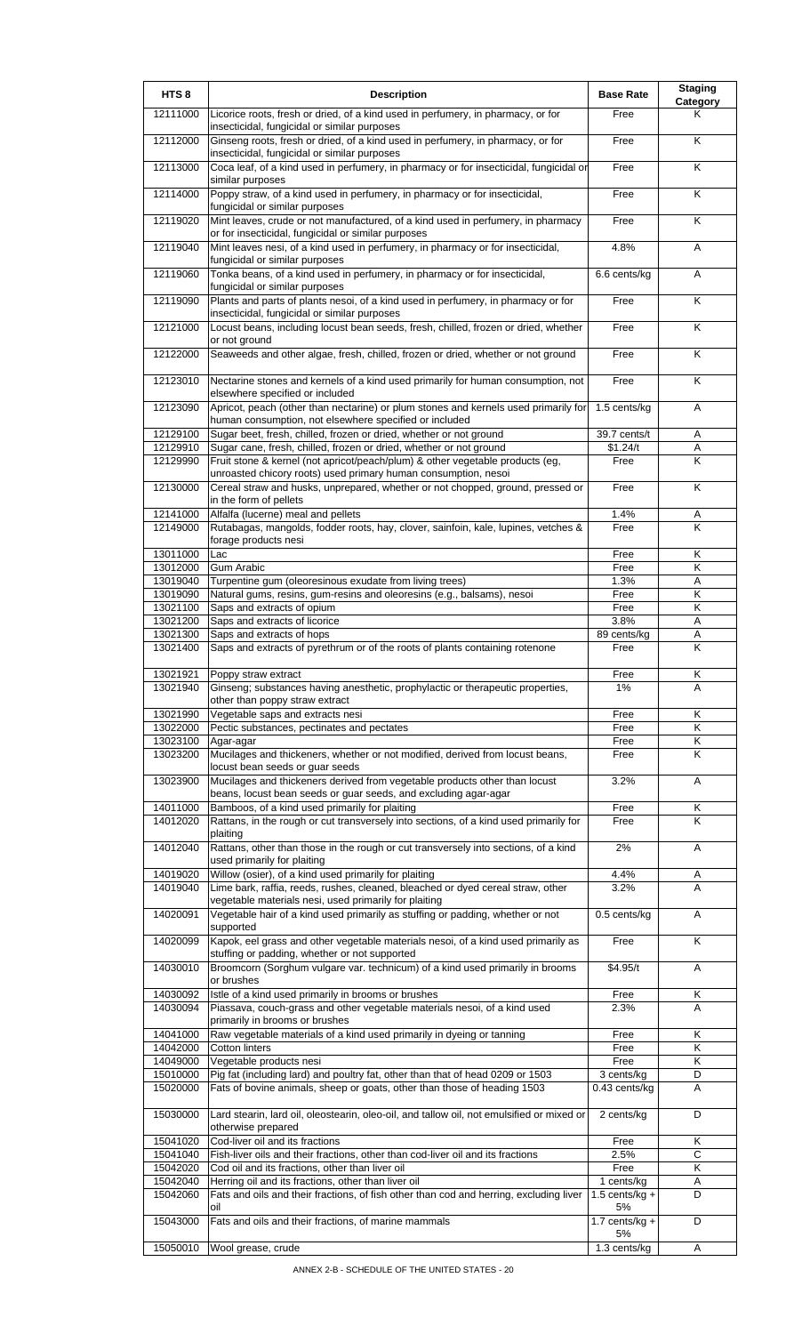| HTS <sub>8</sub>     | <b>Description</b>                                                                                                                                                               | <b>Base Rate</b>                  | <b>Staging</b><br>Category |
|----------------------|----------------------------------------------------------------------------------------------------------------------------------------------------------------------------------|-----------------------------------|----------------------------|
| 12111000             | Licorice roots, fresh or dried, of a kind used in perfumery, in pharmacy, or for<br>insecticidal, fungicidal or similar purposes                                                 | Free                              | Κ                          |
| 12112000             | Ginseng roots, fresh or dried, of a kind used in perfumery, in pharmacy, or for<br>insecticidal, fungicidal or similar purposes                                                  | Free                              | K                          |
| 12113000             | Coca leaf, of a kind used in perfumery, in pharmacy or for insecticidal, fungicidal or<br>similar purposes                                                                       | Free                              | K                          |
| 12114000             | Poppy straw, of a kind used in perfumery, in pharmacy or for insecticidal,<br>fungicidal or similar purposes                                                                     | Free                              | $\overline{\mathsf{K}}$    |
| 12119020             | Mint leaves, crude or not manufactured, of a kind used in perfumery, in pharmacy<br>or for insecticidal, fungicidal or similar purposes                                          | Free                              | K                          |
| 12119040             | Mint leaves nesi, of a kind used in perfumery, in pharmacy or for insecticidal,<br>fungicidal or similar purposes                                                                | 4.8%                              | A                          |
| 12119060             | Tonka beans, of a kind used in perfumery, in pharmacy or for insecticidal,<br>fungicidal or similar purposes                                                                     | 6.6 cents/kg                      | A                          |
| 12119090             | Plants and parts of plants nesoi, of a kind used in perfumery, in pharmacy or for<br>insecticidal, fungicidal or similar purposes                                                | Free                              | K                          |
| 12121000             | Locust beans, including locust bean seeds, fresh, chilled, frozen or dried, whether<br>or not ground                                                                             | Free                              | Κ                          |
| 12122000             | Seaweeds and other algae, fresh, chilled, frozen or dried, whether or not ground                                                                                                 | Free                              | ĸ                          |
| 12123010             | Nectarine stones and kernels of a kind used primarily for human consumption, not<br>elsewhere specified or included                                                              | Free                              | K                          |
| 12123090             | Apricot, peach (other than nectarine) or plum stones and kernels used primarily for<br>human consumption, not elsewhere specified or included                                    | 1.5 cents/kg                      | A                          |
| 12129100             | Sugar beet, fresh, chilled, frozen or dried, whether or not ground                                                                                                               | 39.7 cents/t                      | Α                          |
| 12129910             | Sugar cane, fresh, chilled, frozen or dried, whether or not ground                                                                                                               | \$1.24/t                          | Α                          |
| 12129990             | Fruit stone & kernel (not apricot/peach/plum) & other vegetable products (eg,                                                                                                    | Free                              | Κ                          |
| 12130000             | unroasted chicory roots) used primary human consumption, nesoi<br>Cereal straw and husks, unprepared, whether or not chopped, ground, pressed or                                 | Free                              | K                          |
| 12141000             | in the form of pellets<br>Alfalfa (lucerne) meal and pellets                                                                                                                     | 1.4%                              | Α                          |
| 12149000             | Rutabagas, mangolds, fodder roots, hay, clover, sainfoin, kale, lupines, vetches &<br>forage products nesi                                                                       | Free                              | K                          |
| 13011000             | Lac                                                                                                                                                                              | Free                              | Κ                          |
| 13012000             | Gum Arabic                                                                                                                                                                       | Free                              | Κ                          |
| 13019040<br>13019090 | Turpentine gum (oleoresinous exudate from living trees)                                                                                                                          | 1.3%<br>Free                      | Α<br>Κ                     |
| 13021100             | Natural gums, resins, gum-resins and oleoresins (e.g., balsams), nesoi<br>Saps and extracts of opium                                                                             | Free                              | Κ                          |
| 13021200             | Saps and extracts of licorice                                                                                                                                                    | 3.8%                              | A                          |
| 13021300             | Saps and extracts of hops                                                                                                                                                        | 89 cents/kg                       | Α                          |
| 13021400             | Saps and extracts of pyrethrum or of the roots of plants containing rotenone                                                                                                     | Free                              | $\overline{\mathsf{K}}$    |
| 13021921             | Poppy straw extract                                                                                                                                                              | Free                              | ĸ                          |
| 13021940             | Ginseng; substances having anesthetic, prophylactic or therapeutic properties,                                                                                                   | 1%                                | Α                          |
|                      | other than poppy straw extract                                                                                                                                                   |                                   |                            |
| 13021990             | Vegetable saps and extracts nesi                                                                                                                                                 | Free                              | K                          |
| 13022000             | Pectic substances, pectinates and pectates                                                                                                                                       | Free                              | Κ                          |
| 13023100<br>13023200 | Agar-agar<br>Mucilages and thickeners, whether or not modified, derived from locust beans,                                                                                       | Free<br>Free                      | Κ<br>Κ                     |
| 13023900             | locust bean seeds or guar seeds<br>Mucilages and thickeners derived from vegetable products other than locust<br>beans, locust bean seeds or guar seeds, and excluding agar-agar | 3.2%                              | A                          |
| 14011000             | Bamboos, of a kind used primarily for plaiting                                                                                                                                   | Free                              | Κ                          |
| 14012020             | Rattans, in the rough or cut transversely into sections, of a kind used primarily for<br>plaiting                                                                                | Free                              | Κ                          |
| 14012040             | Rattans, other than those in the rough or cut transversely into sections, of a kind<br>used primarily for plaiting                                                               | 2%                                | A                          |
| 14019020             | Willow (osier), of a kind used primarily for plaiting                                                                                                                            | 4.4%                              | Α                          |
| 14019040             | Lime bark, raffia, reeds, rushes, cleaned, bleached or dyed cereal straw, other<br>vegetable materials nesi, used primarily for plaiting                                         | 3.2%                              | A                          |
| 14020091             | Vegetable hair of a kind used primarily as stuffing or padding, whether or not<br>supported                                                                                      | 0.5 cents/kg                      | Α                          |
| 14020099             | Kapok, eel grass and other vegetable materials nesoi, of a kind used primarily as<br>stuffing or padding, whether or not supported                                               | Free                              | K                          |
| 14030010             | Broomcorn (Sorghum vulgare var. technicum) of a kind used primarily in brooms<br>or brushes                                                                                      | \$4.95/t                          | A                          |
| 14030092             | Istle of a kind used primarily in brooms or brushes                                                                                                                              | Free                              | Κ                          |
| 14030094             | Piassava, couch-grass and other vegetable materials nesoi, of a kind used<br>primarily in brooms or brushes                                                                      | 2.3%                              | Α                          |
| 14041000             | Raw vegetable materials of a kind used primarily in dyeing or tanning                                                                                                            | Free                              | Κ                          |
| 14042000             | <b>Cotton linters</b>                                                                                                                                                            | Free                              | Κ                          |
| 14049000             | Vegetable products nesi                                                                                                                                                          | Free                              | Κ                          |
| 15010000             | Pig fat (including lard) and poultry fat, other than that of head 0209 or 1503                                                                                                   | 3 cents/kg                        | D                          |
| 15020000             | Fats of bovine animals, sheep or goats, other than those of heading 1503                                                                                                         | 0.43 cents/kg                     | Α                          |
| 15030000             | Lard stearin, lard oil, oleostearin, oleo-oil, and tallow oil, not emulsified or mixed or<br>otherwise prepared                                                                  | 2 cents/kg                        | D                          |
| 15041020             | Cod-liver oil and its fractions                                                                                                                                                  | Free                              | Κ                          |
| 15041040             | Fish-liver oils and their fractions, other than cod-liver oil and its fractions                                                                                                  | 2.5%                              | C                          |
| 15042020             | Cod oil and its fractions, other than liver oil                                                                                                                                  | Free                              | κ                          |
| 15042040             | Herring oil and its fractions, other than liver oil                                                                                                                              | 1 cents/kg                        | Α                          |
| 15042060             | Fats and oils and their fractions, of fish other than cod and herring, excluding liver<br>oil                                                                                    | $1.5$ cents/kg +<br>5%            | D                          |
| 15043000             | Fats and oils and their fractions, of marine mammals                                                                                                                             | $\overline{1.7}$ cents/kg +<br>5% | D                          |
| 15050010             | Wool grease, crude                                                                                                                                                               | 1.3 cents/kg                      | Α                          |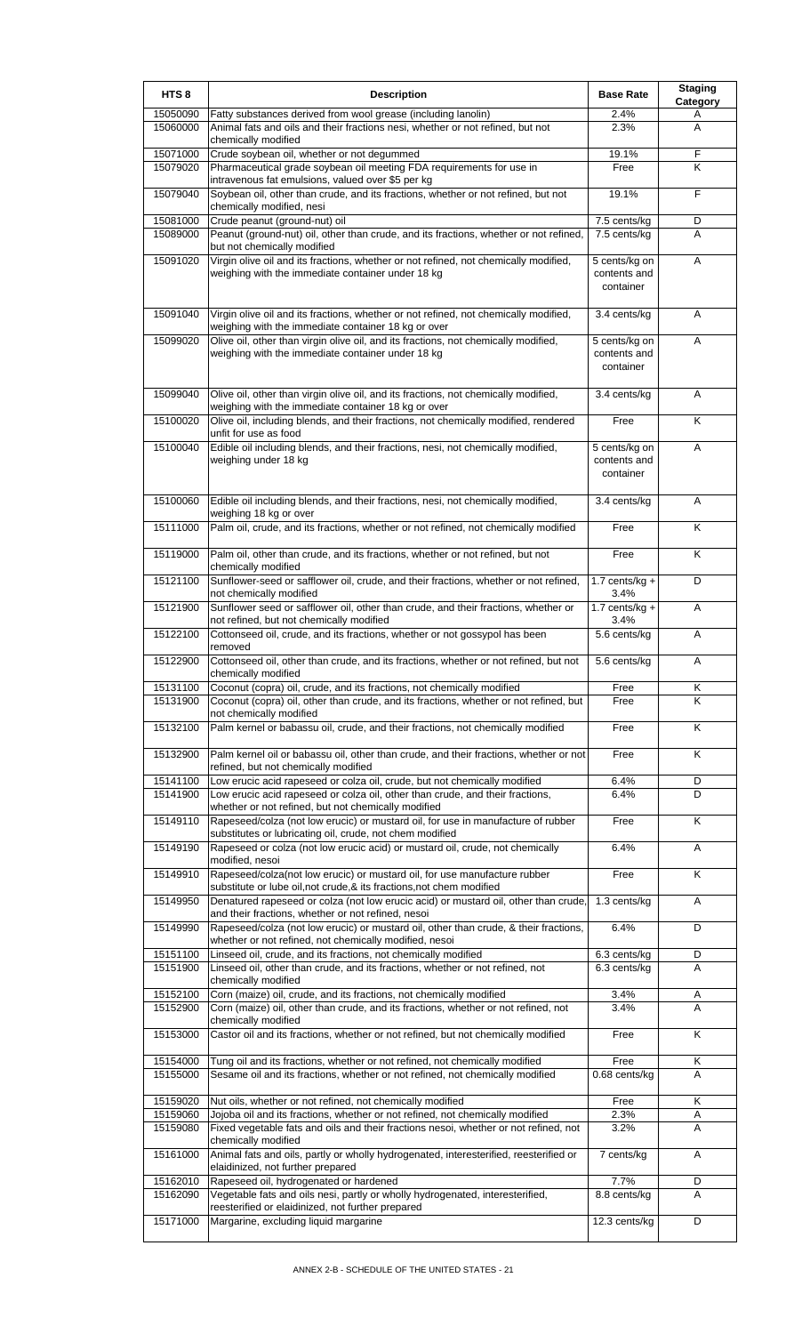| HTS <sub>8</sub>     | <b>Description</b>                                                                                                                                                    | <b>Base Rate</b>                           | <b>Staging</b><br>Category |
|----------------------|-----------------------------------------------------------------------------------------------------------------------------------------------------------------------|--------------------------------------------|----------------------------|
| 15050090             | Fatty substances derived from wool grease (including lanolin)                                                                                                         | 2.4%                                       | A                          |
| 15060000             | Animal fats and oils and their fractions nesi, whether or not refined, but not<br>chemically modified                                                                 | 2.3%                                       | A                          |
| 15071000             | Crude soybean oil, whether or not degummed                                                                                                                            | 19.1%                                      | F                          |
| 15079020             | Pharmaceutical grade soybean oil meeting FDA requirements for use in<br>intravenous fat emulsions, valued over \$5 per kg                                             | Free                                       | Κ                          |
| 15079040             | Soybean oil, other than crude, and its fractions, whether or not refined, but not<br>chemically modified, nesi                                                        | 19.1%                                      | $\overline{F}$             |
| 15081000             | Crude peanut (ground-nut) oil                                                                                                                                         | 7.5 cents/kg                               | D                          |
| 15089000             | Peanut (ground-nut) oil, other than crude, and its fractions, whether or not refined,<br>but not chemically modified                                                  | 7.5 cents/kg                               | A                          |
| 15091020             | Virgin olive oil and its fractions, whether or not refined, not chemically modified,<br>weighing with the immediate container under 18 kg                             | 5 cents/kg on<br>contents and<br>container | A                          |
| 15091040             | Virgin olive oil and its fractions, whether or not refined, not chemically modified,<br>weighing with the immediate container 18 kg or over                           | 3.4 cents/kg                               | Α                          |
| 15099020             | Olive oil, other than virgin olive oil, and its fractions, not chemically modified,<br>weighing with the immediate container under 18 kg                              | 5 cents/kg on<br>contents and<br>container | A                          |
| 15099040             | Olive oil, other than virgin olive oil, and its fractions, not chemically modified,<br>weighing with the immediate container 18 kg or over                            | 3.4 cents/kg                               | A                          |
| 15100020             | Olive oil, including blends, and their fractions, not chemically modified, rendered<br>unfit for use as food                                                          | Free                                       | K                          |
| 15100040             | Edible oil including blends, and their fractions, nesi, not chemically modified,<br>weighing under 18 kg                                                              | 5 cents/kg on<br>contents and<br>container | A                          |
| 15100060             | Edible oil including blends, and their fractions, nesi, not chemically modified,<br>weighing 18 kg or over                                                            | 3.4 cents/kg                               | Α                          |
| 15111000             | Palm oil, crude, and its fractions, whether or not refined, not chemically modified                                                                                   | Free                                       | Κ                          |
| 15119000             | Palm oil, other than crude, and its fractions, whether or not refined, but not<br>chemically modified                                                                 | Free                                       | Κ                          |
| 15121100             | Sunflower-seed or safflower oil, crude, and their fractions, whether or not refined,<br>not chemically modified                                                       | 1.7 cents/kg $+$<br>3.4%                   | D                          |
| 15121900             | Sunflower seed or safflower oil, other than crude, and their fractions, whether or<br>not refined, but not chemically modified                                        | 1.7 cents/kg $+$<br>3.4%                   | A                          |
| 15122100             | Cottonseed oil, crude, and its fractions, whether or not gossypol has been<br>removed                                                                                 | 5.6 cents/kg                               | Α                          |
| 15122900             | Cottonseed oil, other than crude, and its fractions, whether or not refined, but not<br>chemically modified                                                           | 5.6 cents/kg                               | Α                          |
| 15131100<br>15131900 | Coconut (copra) oil, crude, and its fractions, not chemically modified<br>Coconut (copra) oil, other than crude, and its fractions, whether or not refined, but       | Free<br>Free                               | Κ<br>K                     |
| 15132100             | not chemically modified<br>Palm kernel or babassu oil, crude, and their fractions, not chemically modified                                                            | Free                                       | K                          |
| 15132900             | Palm kernel oil or babassu oil, other than crude, and their fractions, whether or not                                                                                 | Free                                       | K                          |
|                      | refined, but not chemically modified                                                                                                                                  |                                            |                            |
| 15141100             | Low erucic acid rapeseed or colza oil, crude, but not chemically modified                                                                                             | 6.4%                                       | D                          |
| 15141900             | Low erucic acid rapeseed or colza oil, other than crude, and their fractions,<br>whether or not refined, but not chemically modified                                  | 6.4%                                       | D                          |
| 15149110             | Rapeseed/colza (not low erucic) or mustard oil, for use in manufacture of rubber<br>substitutes or lubricating oil, crude, not chem modified                          | Free                                       | K                          |
| 15149190             | Rapeseed or colza (not low erucic acid) or mustard oil, crude, not chemically<br>modified, nesoi                                                                      | 6.4%                                       | A                          |
| 15149910             | Rapeseed/colza(not low erucic) or mustard oil, for use manufacture rubber<br>substitute or lube oil, not crude, & its fractions, not chem modified                    | Free                                       | Κ                          |
| 15149950             | Denatured rapeseed or colza (not low erucic acid) or mustard oil, other than crude,<br>and their fractions, whether or not refined, nesoi                             | 1.3 cents/kg                               | Α                          |
| 15149990             | Rapeseed/colza (not low erucic) or mustard oil, other than crude, & their fractions,<br>whether or not refined, not chemically modified, nesoi                        | 6.4%                                       | D                          |
| 15151100             | Linseed oil, crude, and its fractions, not chemically modified                                                                                                        | 6.3 cents/kg                               | D                          |
| 15151900             | Linseed oil, other than crude, and its fractions, whether or not refined, not<br>chemically modified                                                                  | 6.3 cents/kg                               | A                          |
| 15152100<br>15152900 | Corn (maize) oil, crude, and its fractions, not chemically modified<br>Corn (maize) oil, other than crude, and its fractions, whether or not refined, not             | 3.4%<br>3.4%                               | A<br>A                     |
| 15153000             | chemically modified<br>Castor oil and its fractions, whether or not refined, but not chemically modified                                                              | Free                                       | Κ                          |
| 15154000             | Tung oil and its fractions, whether or not refined, not chemically modified                                                                                           | Free                                       | Κ                          |
| 15155000             | Sesame oil and its fractions, whether or not refined, not chemically modified                                                                                         | 0.68 cents/kg                              | A                          |
| 15159020             | Nut oils, whether or not refined, not chemically modified                                                                                                             | Free                                       | Κ                          |
| 15159060<br>15159080 | Jojoba oil and its fractions, whether or not refined, not chemically modified<br>Fixed vegetable fats and oils and their fractions nesoi, whether or not refined, not | 2.3%<br>3.2%                               | Α<br>A                     |
| 15161000             | chemically modified<br>Animal fats and oils, partly or wholly hydrogenated, interesterified, reesterified or                                                          | 7 cents/kg                                 | Α                          |
| 15162010             | elaidinized, not further prepared<br>Rapeseed oil, hydrogenated or hardened                                                                                           | 7.7%                                       | D                          |
| 15162090             | Vegetable fats and oils nesi, partly or wholly hydrogenated, interesterified,<br>reesterified or elaidinized, not further prepared                                    | 8.8 cents/kg                               | A                          |
| 15171000             | Margarine, excluding liquid margarine                                                                                                                                 | 12.3 cents/kg                              | D                          |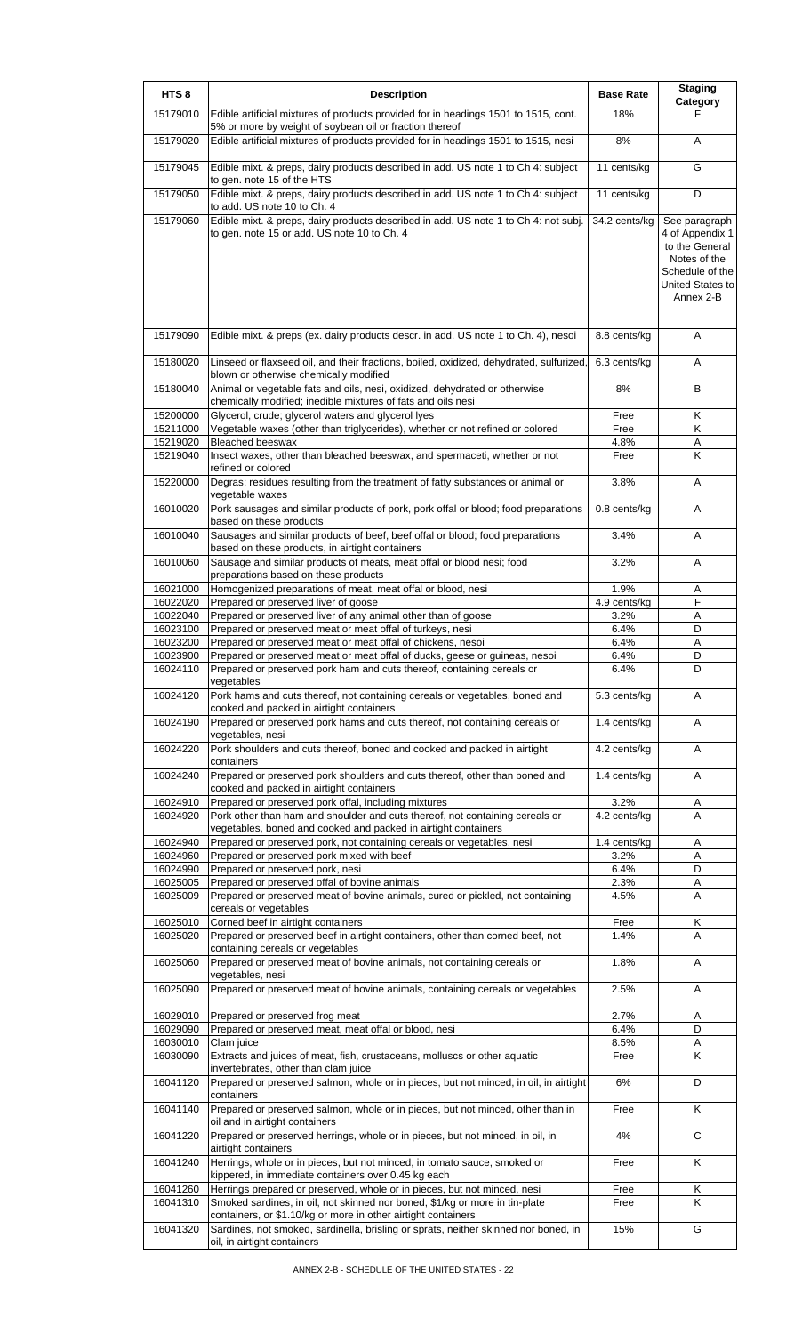| HTS <sub>8</sub>     | <b>Description</b>                                                                                                                                                                                     | <b>Base Rate</b>     | <b>Staging</b><br>Category                                                                                             |
|----------------------|--------------------------------------------------------------------------------------------------------------------------------------------------------------------------------------------------------|----------------------|------------------------------------------------------------------------------------------------------------------------|
| 15179010             | Edible artificial mixtures of products provided for in headings 1501 to 1515, cont.<br>5% or more by weight of soybean oil or fraction thereof                                                         | 18%                  | F                                                                                                                      |
| 15179020             | Edible artificial mixtures of products provided for in headings 1501 to 1515, nesi                                                                                                                     | 8%                   | A                                                                                                                      |
| 15179045             | Edible mixt. & preps, dairy products described in add. US note 1 to Ch 4: subject<br>to gen. note 15 of the HTS                                                                                        | 11 cents/kg          | G                                                                                                                      |
| 15179050             | Edible mixt. & preps, dairy products described in add. US note 1 to Ch 4: subject<br>to add. US note 10 to Ch. 4                                                                                       | 11 cents/kg          | D                                                                                                                      |
| 15179060             | Edible mixt. & preps, dairy products described in add. US note 1 to Ch 4: not subj.<br>to gen. note 15 or add. US note 10 to Ch. 4                                                                     | 34.2 cents/kg        | See paragraph<br>4 of Appendix 1<br>to the General<br>Notes of the<br>Schedule of the<br>United States to<br>Annex 2-B |
| 15179090             | Edible mixt. & preps (ex. dairy products descr. in add. US note 1 to Ch. 4), nesoi                                                                                                                     | 8.8 cents/kg         | Α                                                                                                                      |
| 15180020             | Linseed or flaxseed oil, and their fractions, boiled, oxidized, dehydrated, sulfurized,<br>blown or otherwise chemically modified                                                                      | 6.3 cents/kg         | A                                                                                                                      |
| 15180040             | Animal or vegetable fats and oils, nesi, oxidized, dehydrated or otherwise<br>chemically modified; inedible mixtures of fats and oils nesi                                                             | 8%                   | в                                                                                                                      |
| 15200000             | Glycerol, crude; glycerol waters and glycerol lyes                                                                                                                                                     | Free                 | Κ                                                                                                                      |
| 15211000             | Vegetable waxes (other than triglycerides), whether or not refined or colored                                                                                                                          | Free                 | Κ                                                                                                                      |
| 15219020<br>15219040 | <b>Bleached beeswax</b><br>Insect waxes, other than bleached beeswax, and spermaceti, whether or not                                                                                                   | 4.8%<br>Free         | Α<br>Κ                                                                                                                 |
|                      | refined or colored                                                                                                                                                                                     | 3.8%                 |                                                                                                                        |
| 15220000             | Degras; residues resulting from the treatment of fatty substances or animal or<br>vegetable waxes                                                                                                      |                      | A                                                                                                                      |
| 16010020             | Pork sausages and similar products of pork, pork offal or blood; food preparations<br>based on these products                                                                                          | $0.8$ cents/kg       | Α                                                                                                                      |
| 16010040             | Sausages and similar products of beef, beef offal or blood; food preparations<br>based on these products, in airtight containers                                                                       | 3.4%                 | A                                                                                                                      |
| 16010060             | Sausage and similar products of meats, meat offal or blood nesi; food<br>preparations based on these products                                                                                          | 3.2%                 | A                                                                                                                      |
| 16021000             | Homogenized preparations of meat, meat offal or blood, nesi<br>Prepared or preserved liver of goose                                                                                                    | 1.9%                 | Α<br>F                                                                                                                 |
| 16022020<br>16022040 | Prepared or preserved liver of any animal other than of goose                                                                                                                                          | 4.9 cents/kg<br>3.2% | Α                                                                                                                      |
| 16023100             | Prepared or preserved meat or meat offal of turkeys, nesi                                                                                                                                              | 6.4%                 | D                                                                                                                      |
| 16023200             | Prepared or preserved meat or meat offal of chickens, nesoi                                                                                                                                            | 6.4%                 | Α                                                                                                                      |
| 16023900             | Prepared or preserved meat or meat offal of ducks, geese or guineas, nesoi                                                                                                                             | 6.4%                 | D                                                                                                                      |
| 16024110             | Prepared or preserved pork ham and cuts thereof, containing cereals or<br>vegetables                                                                                                                   | 6.4%                 | D                                                                                                                      |
| 16024120             | Pork hams and cuts thereof, not containing cereals or vegetables, boned and<br>cooked and packed in airtight containers                                                                                | 5.3 cents/kg         | A                                                                                                                      |
| 16024190             | Prepared or preserved pork hams and cuts thereof, not containing cereals or<br>vegetables, nesi                                                                                                        | 1.4 cents/kg         | Α                                                                                                                      |
| 16024220             | Pork shoulders and cuts thereof, boned and cooked and packed in airtight<br>containers                                                                                                                 | 4.2 cents/kg         | A                                                                                                                      |
| 16024240             | Prepared or preserved pork shoulders and cuts thereof, other than boned and<br>cooked and packed in airtight containers                                                                                | 1.4 cents/kg         | A                                                                                                                      |
| 16024910<br>16024920 | Prepared or preserved pork offal, including mixtures<br>Pork other than ham and shoulder and cuts thereof, not containing cereals or<br>vegetables, boned and cooked and packed in airtight containers | 3.2%<br>4.2 cents/kg | Α<br>A                                                                                                                 |
| 16024940             | Prepared or preserved pork, not containing cereals or vegetables, nesi                                                                                                                                 | 1.4 cents/kg         | Α                                                                                                                      |
| 16024960             | Prepared or preserved pork mixed with beef                                                                                                                                                             | 3.2%<br>6.4%         | A<br>D                                                                                                                 |
| 16024990<br>16025005 | Prepared or preserved pork, nesi<br>Prepared or preserved offal of bovine animals                                                                                                                      | 2.3%                 | Α                                                                                                                      |
| 16025009             | Prepared or preserved meat of bovine animals, cured or pickled, not containing<br>cereals or vegetables                                                                                                | 4.5%                 | A                                                                                                                      |
| 16025010<br>16025020 | Corned beef in airtight containers<br>Prepared or preserved beef in airtight containers, other than corned beef, not                                                                                   | Free<br>1.4%         | Κ<br>Α                                                                                                                 |
| 16025060             | containing cereals or vegetables<br>Prepared or preserved meat of bovine animals, not containing cereals or                                                                                            | 1.8%                 | Α                                                                                                                      |
| 16025090             | vegetables, nesi<br>Prepared or preserved meat of bovine animals, containing cereals or vegetables                                                                                                     | 2.5%                 | Α                                                                                                                      |
| 16029010             | Prepared or preserved frog meat                                                                                                                                                                        | 2.7%                 | Α                                                                                                                      |
| 16029090             | Prepared or preserved meat, meat offal or blood, nesi                                                                                                                                                  | 6.4%                 | D                                                                                                                      |
| 16030010             | Clam juice                                                                                                                                                                                             | 8.5%                 | Α                                                                                                                      |
| 16030090             | Extracts and juices of meat, fish, crustaceans, molluscs or other aquatic<br>invertebrates, other than clam juice                                                                                      | Free                 | K                                                                                                                      |
| 16041120             | Prepared or preserved salmon, whole or in pieces, but not minced, in oil, in airtight<br>containers                                                                                                    | 6%                   | D                                                                                                                      |
| 16041140             | Prepared or preserved salmon, whole or in pieces, but not minced, other than in<br>oil and in airtight containers                                                                                      | Free                 | K                                                                                                                      |
| 16041220             | Prepared or preserved herrings, whole or in pieces, but not minced, in oil, in<br>airtight containers                                                                                                  | 4%                   | С                                                                                                                      |
| 16041240             | Herrings, whole or in pieces, but not minced, in tomato sauce, smoked or<br>kippered, in immediate containers over 0.45 kg each                                                                        | Free                 | K                                                                                                                      |
| 16041260<br>16041310 | Herrings prepared or preserved, whole or in pieces, but not minced, nesi<br>Smoked sardines, in oil, not skinned nor boned, \$1/kg or more in tin-plate                                                | Free<br>Free         | Κ<br>K                                                                                                                 |
| 16041320             | containers, or \$1.10/kg or more in other airtight containers<br>Sardines, not smoked, sardinella, brisling or sprats, neither skinned nor boned, in                                                   | 15%                  | G                                                                                                                      |
|                      | oil, in airtight containers                                                                                                                                                                            |                      |                                                                                                                        |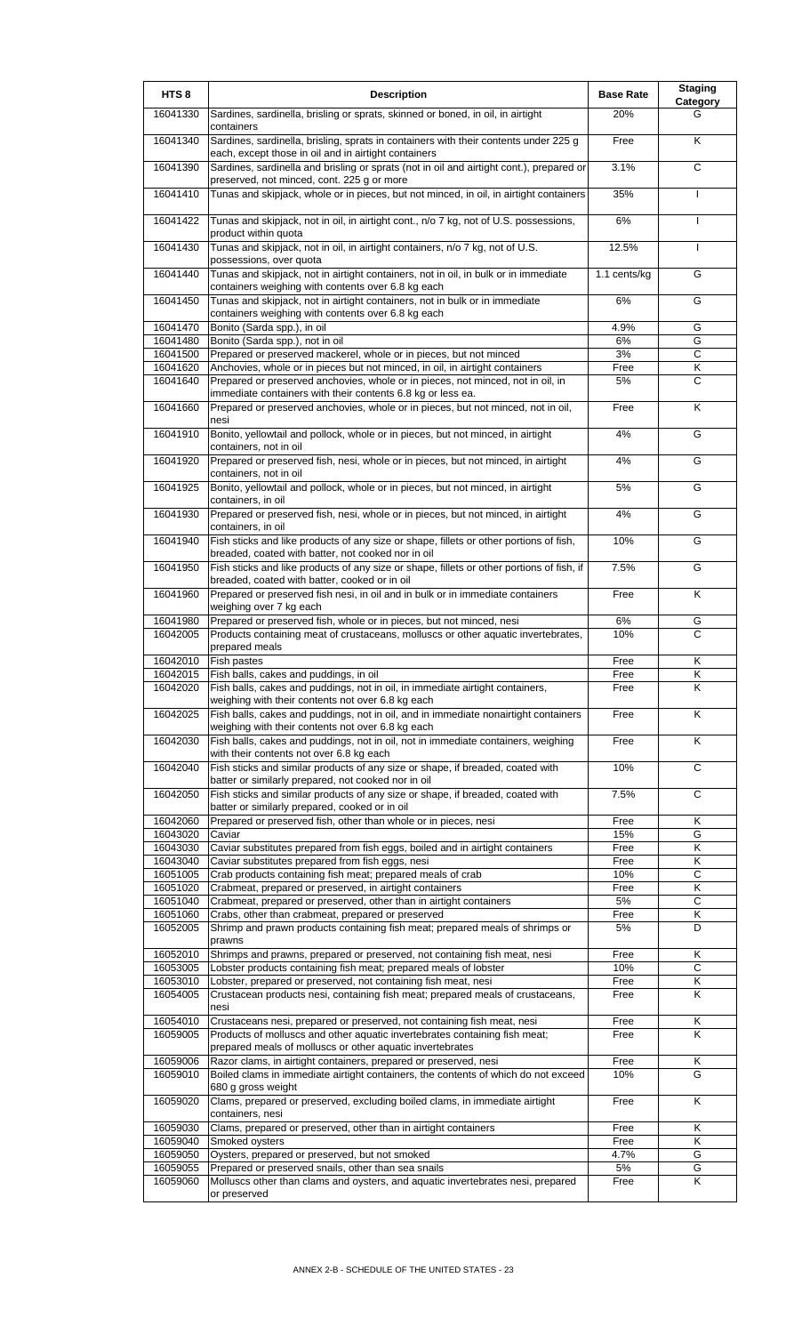| HTS <sub>8</sub> | <b>Description</b>                                                                                                                             | <b>Base Rate</b> | <b>Staging</b><br>Category |
|------------------|------------------------------------------------------------------------------------------------------------------------------------------------|------------------|----------------------------|
| 16041330         | Sardines, sardinella, brisling or sprats, skinned or boned, in oil, in airtight<br>containers                                                  | 20%              | G                          |
| 16041340         | Sardines, sardinella, brisling, sprats in containers with their contents under 225 g<br>each, except those in oil and in airtight containers   | Free             | K                          |
| 16041390         | Sardines, sardinella and brisling or sprats (not in oil and airtight cont.), prepared or<br>preserved, not minced, cont. 225 g or more         | 3.1%             | $\overline{c}$             |
| 16041410         | Tunas and skipjack, whole or in pieces, but not minced, in oil, in airtight containers                                                         | 35%              |                            |
| 16041422         | Tunas and skipjack, not in oil, in airtight cont., n/o 7 kg, not of U.S. possessions,<br>product within quota                                  | 6%               | I                          |
| 16041430         | Tunas and skipjack, not in oil, in airtight containers, n/o 7 kg, not of U.S.<br>possessions, over quota                                       | 12.5%            | $\mathbf{I}$               |
| 16041440         | Tunas and skipjack, not in airtight containers, not in oil, in bulk or in immediate<br>containers weighing with contents over 6.8 kg each      | 1.1 cents/kg     | G                          |
| 16041450         | Tunas and skipjack, not in airtight containers, not in bulk or in immediate<br>containers weighing with contents over 6.8 kg each              | 6%               | G                          |
| 16041470         | Bonito (Sarda spp.), in oil                                                                                                                    | 4.9%             | G                          |
| 16041480         | Bonito (Sarda spp.), not in oil                                                                                                                | 6%               | G                          |
| 16041500         | Prepared or preserved mackerel, whole or in pieces, but not minced                                                                             | 3%               | $\mathsf{C}$               |
| 16041620         | Anchovies, whole or in pieces but not minced, in oil, in airtight containers                                                                   | Free             | Κ                          |
| 16041640         | Prepared or preserved anchovies, whole or in pieces, not minced, not in oil, in<br>immediate containers with their contents 6.8 kg or less ea. | 5%               | C                          |
| 16041660         | Prepared or preserved anchovies, whole or in pieces, but not minced, not in oil,<br>nesi                                                       | Free             | K                          |
| 16041910         | Bonito, yellowtail and pollock, whole or in pieces, but not minced, in airtight<br>containers, not in oil                                      | 4%               | G                          |
| 16041920         | Prepared or preserved fish, nesi, whole or in pieces, but not minced, in airtight<br>containers, not in oil                                    | 4%               | G                          |
| 16041925         | Bonito, yellowtail and pollock, whole or in pieces, but not minced, in airtight<br>containers, in oil                                          | 5%               | G                          |
| 16041930         | Prepared or preserved fish, nesi, whole or in pieces, but not minced, in airtight<br>containers, in oil                                        | 4%               | G                          |
| 16041940         | Fish sticks and like products of any size or shape, fillets or other portions of fish,<br>breaded, coated with batter, not cooked nor in oil   | 10%              | G                          |
| 16041950         | Fish sticks and like products of any size or shape, fillets or other portions of fish, if<br>breaded, coated with batter, cooked or in oil     | 7.5%             | G                          |
| 16041960         | Prepared or preserved fish nesi, in oil and in bulk or in immediate containers<br>weighing over 7 kg each                                      | Free             | K                          |
| 16041980         | Prepared or preserved fish, whole or in pieces, but not minced, nesi                                                                           | 6%               | G                          |
| 16042005         | Products containing meat of crustaceans, molluscs or other aquatic invertebrates,                                                              | 10%              | C                          |
|                  | prepared meals                                                                                                                                 |                  |                            |
| 16042010         | Fish pastes                                                                                                                                    | Free             | Κ                          |
| 16042015         | Fish balls, cakes and puddings, in oil                                                                                                         | Free             | Κ                          |
| 16042020         | Fish balls, cakes and puddings, not in oil, in immediate airtight containers,<br>weighing with their contents not over 6.8 kg each             | Free             | K                          |
| 16042025         | Fish balls, cakes and puddings, not in oil, and in immediate nonairtight containers<br>weighing with their contents not over 6.8 kg each       | Free             | Κ                          |
| 16042030         | Fish balls, cakes and puddings, not in oil, not in immediate containers, weighing<br>with their contents not over 6.8 kg each                  | Free             | K                          |
| 16042040         | Fish sticks and similar products of any size or shape, if breaded, coated with<br>batter or similarly prepared, not cooked nor in oil          | 10%              | $\overline{c}$             |
| 16042050         | Fish sticks and similar products of any size or shape, if breaded, coated with<br>batter or similarly prepared, cooked or in oil               | 7.5%             | $\mathsf{C}$               |
| 16042060         | Prepared or preserved fish, other than whole or in pieces, nesi                                                                                | Free             | Κ                          |
| 16043020         | Caviar                                                                                                                                         | 15%              | G                          |
| 16043030         | Caviar substitutes prepared from fish eggs, boiled and in airtight containers                                                                  | Free             | Κ                          |
| 16043040         | Caviar substitutes prepared from fish eggs, nesi                                                                                               | Free             | Κ                          |
| 16051005         | Crab products containing fish meat; prepared meals of crab                                                                                     | 10%              | $\mathsf{C}$               |
| 16051020         | Crabmeat, prepared or preserved, in airtight containers                                                                                        | Free             | Κ                          |
| 16051040         | Crabmeat, prepared or preserved, other than in airtight containers                                                                             | 5%               | $\mathsf{C}$               |
| 16051060         | Crabs, other than crabmeat, prepared or preserved                                                                                              | Free             | Κ                          |
| 16052005         | Shrimp and prawn products containing fish meat; prepared meals of shrimps or<br>prawns                                                         | 5%               | D                          |
| 16052010         | Shrimps and prawns, prepared or preserved, not containing fish meat, nesi                                                                      | Free             | Κ                          |
| 16053005         | Lobster products containing fish meat; prepared meals of lobster                                                                               | 10%              | С                          |
| 16053010         | Lobster, prepared or preserved, not containing fish meat, nesi                                                                                 | Free             | Κ                          |
| 16054005         | Crustacean products nesi, containing fish meat; prepared meals of crustaceans,<br>nesi                                                         | Free             | K                          |
| 16054010         | Crustaceans nesi, prepared or preserved, not containing fish meat, nesi                                                                        | Free             | Κ                          |
| 16059005         | Products of molluscs and other aquatic invertebrates containing fish meat;<br>prepared meals of molluscs or other aquatic invertebrates        | Free             | $\overline{\mathsf{K}}$    |
| 16059006         | Razor clams, in airtight containers, prepared or preserved, nesi                                                                               | Free             | Κ                          |
| 16059010         | Boiled clams in immediate airtight containers, the contents of which do not exceed<br>680 g gross weight                                       | 10%              | G                          |
| 16059020         | Clams, prepared or preserved, excluding boiled clams, in immediate airtight<br>containers, nesi                                                | Free             | K                          |
| 16059030         | Clams, prepared or preserved, other than in airtight containers                                                                                | Free             | Κ                          |
| 16059040         | Smoked oysters                                                                                                                                 | Free             | Κ                          |
| 16059050         | Oysters, prepared or preserved, but not smoked                                                                                                 | 4.7%             | G                          |
| 16059055         | Prepared or preserved snails, other than sea snails                                                                                            | 5%               | G                          |
| 16059060         | Molluscs other than clams and oysters, and aquatic invertebrates nesi, prepared                                                                | Free             | K                          |
|                  | or preserved                                                                                                                                   |                  |                            |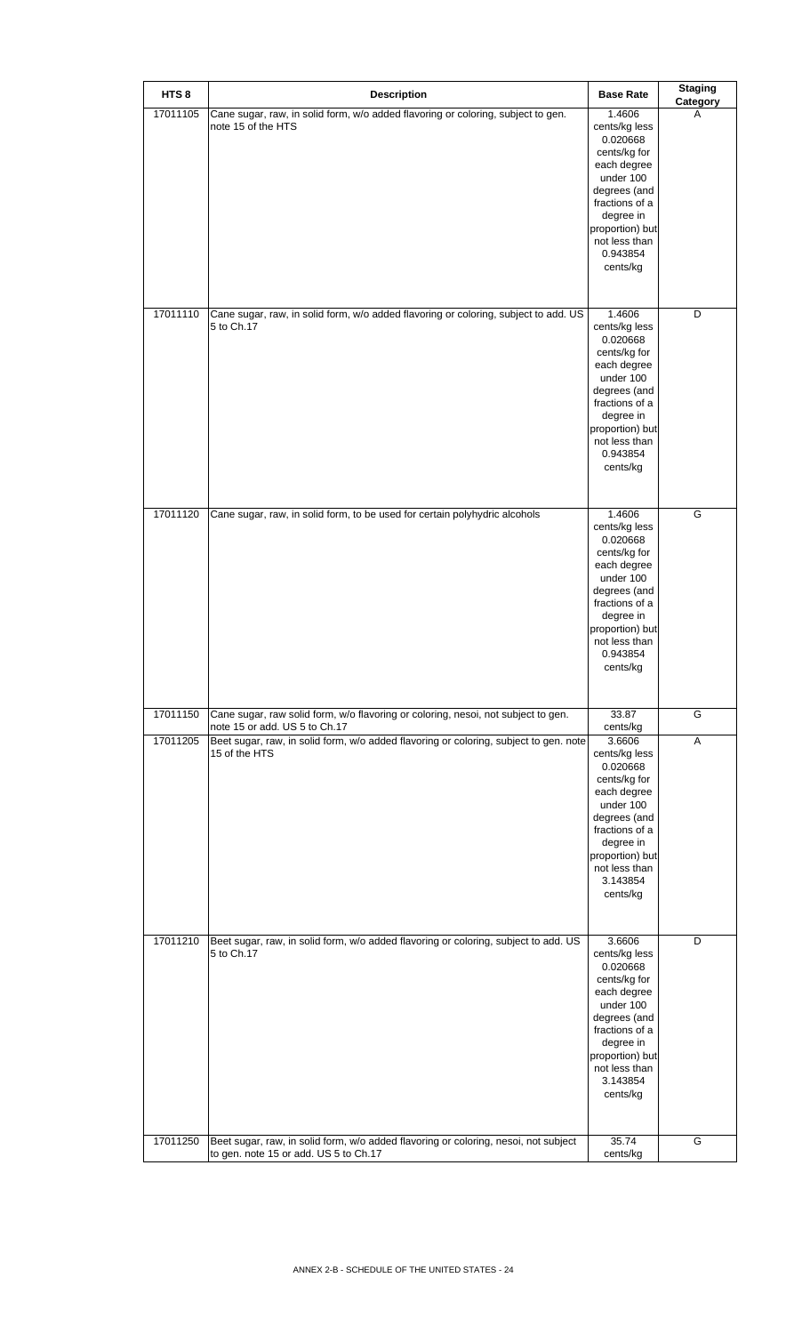| HTS <sub>8</sub> | <b>Description</b>                                                                                                           | <b>Base Rate</b>                                                                                                                                                                           | <b>Staging</b><br>Category |
|------------------|------------------------------------------------------------------------------------------------------------------------------|--------------------------------------------------------------------------------------------------------------------------------------------------------------------------------------------|----------------------------|
| 17011105         | Cane sugar, raw, in solid form, w/o added flavoring or coloring, subject to gen.<br>note 15 of the HTS                       | 1.4606<br>cents/kg less<br>0.020668<br>cents/kg for<br>each degree<br>under 100<br>degrees (and<br>fractions of a<br>degree in<br>proportion) but<br>not less than<br>0.943854<br>cents/kg | A                          |
| 17011110         | Cane sugar, raw, in solid form, w/o added flavoring or coloring, subject to add. US<br>5 to Ch.17                            | 1.4606<br>cents/kg less<br>0.020668<br>cents/kg for<br>each degree<br>under 100<br>degrees (and<br>fractions of a<br>degree in<br>proportion) but<br>not less than<br>0.943854<br>cents/kg | D                          |
| 17011120         | Cane sugar, raw, in solid form, to be used for certain polyhydric alcohols                                                   | 1.4606<br>cents/kg less<br>0.020668<br>cents/kg for<br>each degree<br>under 100<br>degrees (and<br>fractions of a<br>degree in<br>proportion) but<br>not less than<br>0.943854<br>cents/kg | G                          |
| 17011150         | Cane sugar, raw solid form, w/o flavoring or coloring, nesoi, not subject to gen.<br>note 15 or add. US 5 to Ch.17           | 33.87<br>cents/kg                                                                                                                                                                          | G                          |
| 17011205         | Beet sugar, raw, in solid form, w/o added flavoring or coloring, subject to gen. note<br>15 of the HTS                       | 3.6606<br>cents/kg less<br>0.020668<br>cents/kg for<br>each degree<br>under 100<br>degrees (and<br>fractions of a<br>degree in<br>proportion) but<br>not less than<br>3.143854<br>cents/kg | Α                          |
| 17011210         | Beet sugar, raw, in solid form, w/o added flavoring or coloring, subject to add. US<br>5 to Ch.17                            | 3.6606<br>cents/kg less<br>0.020668<br>cents/kg for<br>each degree<br>under 100<br>degrees (and<br>fractions of a<br>degree in<br>proportion) but<br>not less than<br>3.143854<br>cents/kg | D                          |
| 17011250         | Beet sugar, raw, in solid form, w/o added flavoring or coloring, nesoi, not subject<br>to gen. note 15 or add. US 5 to Ch.17 | 35.74<br>cents/kg                                                                                                                                                                          | G                          |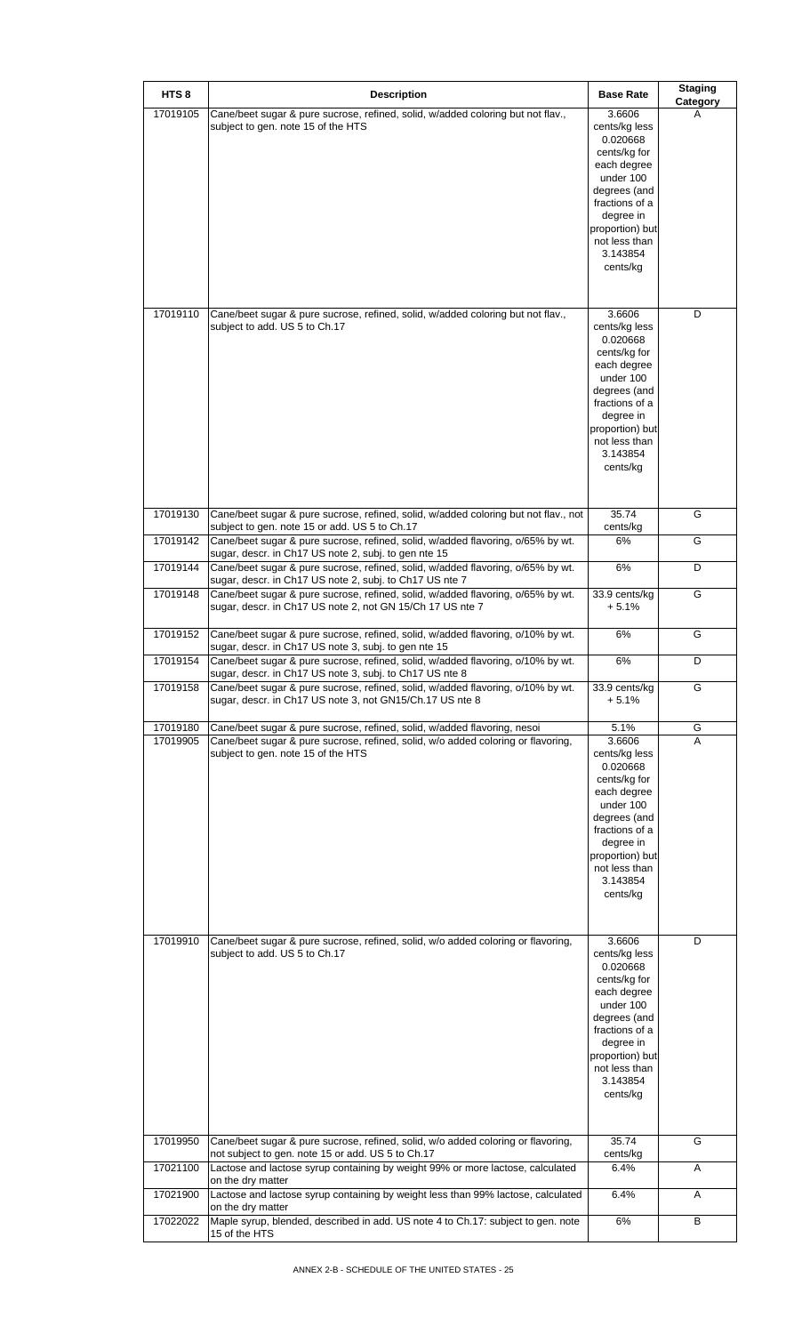| HTS <sub>8</sub>     | <b>Description</b>                                                                                                                                           | <b>Base Rate</b>                        | <b>Staging</b><br>Category |
|----------------------|--------------------------------------------------------------------------------------------------------------------------------------------------------------|-----------------------------------------|----------------------------|
| 17019105             | Cane/beet sugar & pure sucrose, refined, solid, w/added coloring but not flav.,<br>subject to gen. note 15 of the HTS                                        | 3.6606<br>cents/kg less                 | A                          |
|                      |                                                                                                                                                              | 0.020668<br>cents/kg for<br>each degree |                            |
|                      |                                                                                                                                                              | under 100<br>degrees (and               |                            |
|                      |                                                                                                                                                              | fractions of a<br>degree in             |                            |
|                      |                                                                                                                                                              | proportion) but<br>not less than        |                            |
|                      |                                                                                                                                                              | 3.143854<br>cents/kg                    |                            |
|                      |                                                                                                                                                              |                                         |                            |
| 17019110             | Cane/beet sugar & pure sucrose, refined, solid, w/added coloring but not flav.,<br>subject to add. US 5 to Ch.17                                             | 3.6606<br>cents/kg less                 | D                          |
|                      |                                                                                                                                                              | 0.020668<br>cents/kg for                |                            |
|                      |                                                                                                                                                              | each degree<br>under 100                |                            |
|                      |                                                                                                                                                              | degrees (and<br>fractions of a          |                            |
|                      |                                                                                                                                                              | degree in<br>proportion) but            |                            |
|                      |                                                                                                                                                              | not less than<br>3.143854               |                            |
|                      |                                                                                                                                                              | cents/kg                                |                            |
| 17019130             | Cane/beet sugar & pure sucrose, refined, solid, w/added coloring but not flav., not<br>subject to gen. note 15 or add. US 5 to Ch.17                         | 35.74<br>cents/kg                       | G                          |
| 17019142             | Cane/beet sugar & pure sucrose, refined, solid, w/added flavoring, o/65% by wt.<br>sugar, descr. in Ch17 US note 2, subj. to gen nte 15                      | 6%                                      | G                          |
| 17019144             | Cane/beet sugar & pure sucrose, refined, solid, w/added flavoring, o/65% by wt.<br>sugar, descr. in Ch17 US note 2, subj. to Ch17 US nte 7                   | 6%                                      | D                          |
| 17019148             | Cane/beet sugar & pure sucrose, refined, solid, w/added flavoring, o/65% by wt.<br>sugar, descr. in Ch17 US note 2, not GN 15/Ch 17 US nte 7                 | 33.9 cents/kg<br>$+5.1%$                | G                          |
| 17019152             | Cane/beet sugar & pure sucrose, refined, solid, w/added flavoring, o/10% by wt.<br>sugar, descr. in Ch17 US note 3, subj. to gen nte 15                      | 6%                                      | G                          |
| 17019154             | Cane/beet sugar & pure sucrose, refined, solid, w/added flavoring, o/10% by wt.<br>sugar, descr. in Ch17 US note 3, subj. to Ch17 US nte 8                   | 6%                                      | D                          |
| 17019158             | Cane/beet sugar & pure sucrose, refined, solid, w/added flavoring, o/10% by wt.<br>sugar, descr. in Ch17 US note 3, not GN15/Ch.17 US nte 8                  | 33.9 cents/kg<br>$+5.1%$                | G                          |
| 17019180<br>17019905 | Cane/beet sugar & pure sucrose, refined, solid, w/added flavoring, nesoi<br>Cane/beet sugar & pure sucrose, refined, solid, w/o added coloring or flavoring, | 5.1%<br>3.6606                          | G<br>A                     |
|                      | subject to gen. note 15 of the HTS                                                                                                                           | cents/kg less<br>0.020668               |                            |
|                      |                                                                                                                                                              | cents/kg for<br>each degree             |                            |
|                      |                                                                                                                                                              | under 100<br>degrees (and               |                            |
|                      |                                                                                                                                                              | fractions of a<br>degree in             |                            |
|                      |                                                                                                                                                              | proportion) but<br>not less than        |                            |
|                      |                                                                                                                                                              | 3.143854<br>cents/kg                    |                            |
|                      |                                                                                                                                                              |                                         |                            |
| 17019910             | Cane/beet sugar & pure sucrose, refined, solid, w/o added coloring or flavoring,<br>subject to add. US 5 to Ch.17                                            | 3.6606<br>cents/kg less                 | D                          |
|                      |                                                                                                                                                              | 0.020668<br>cents/kg for                |                            |
|                      |                                                                                                                                                              | each degree<br>under 100                |                            |
|                      |                                                                                                                                                              | degrees (and                            |                            |
|                      |                                                                                                                                                              | fractions of a<br>degree in             |                            |
|                      |                                                                                                                                                              | proportion) but<br>not less than        |                            |
|                      |                                                                                                                                                              | 3.143854<br>cents/kg                    |                            |
| 17019950             | Cane/beet sugar & pure sucrose, refined, solid, w/o added coloring or flavoring,                                                                             | 35.74                                   | G                          |
| 17021100             | not subject to gen. note 15 or add. US 5 to Ch.17<br>Lactose and lactose syrup containing by weight 99% or more lactose, calculated                          | cents/kg<br>6.4%                        | Α                          |
| 17021900             | on the dry matter<br>Lactose and lactose syrup containing by weight less than 99% lactose, calculated                                                        | 6.4%                                    | Α                          |
| 17022022             | on the dry matter<br>Maple syrup, blended, described in add. US note 4 to Ch.17: subject to gen. note                                                        | 6%                                      | В                          |
|                      | 15 of the HTS                                                                                                                                                |                                         |                            |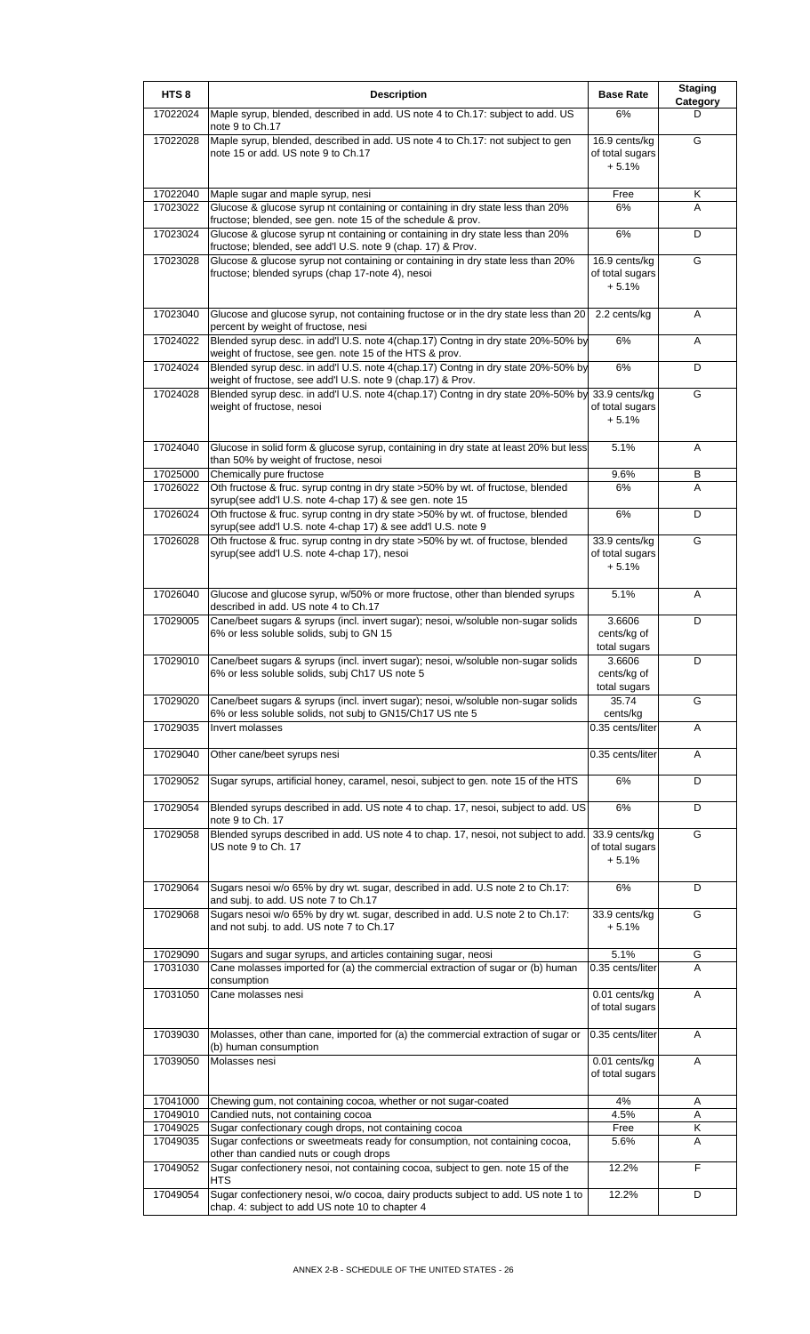| HTS <sub>8</sub>     | <b>Description</b>                                                                                                                              | <b>Base Rate</b>                            | <b>Staging</b><br>Category |
|----------------------|-------------------------------------------------------------------------------------------------------------------------------------------------|---------------------------------------------|----------------------------|
| 17022024             | Maple syrup, blended, described in add. US note 4 to Ch.17: subject to add. US<br>note 9 to Ch.17                                               | 6%                                          | D                          |
| 17022028             | Maple syrup, blended, described in add. US note 4 to Ch.17: not subject to gen<br>note 15 or add. US note 9 to Ch.17                            | 16.9 cents/kg<br>of total sugars<br>$+5.1%$ | G                          |
| 17022040             | Maple sugar and maple syrup, nesi                                                                                                               | Free                                        | Κ                          |
| 17023022             | Glucose & glucose syrup nt containing or containing in dry state less than 20%                                                                  | 6%                                          | A                          |
|                      | fructose; blended, see gen. note 15 of the schedule & prov.                                                                                     |                                             |                            |
| 17023024             | Glucose & glucose syrup nt containing or containing in dry state less than 20%<br>fructose; blended, see add'l U.S. note 9 (chap. 17) & Prov.   | 6%                                          | D                          |
| 17023028             | Glucose & glucose syrup not containing or containing in dry state less than 20%<br>fructose; blended syrups (chap 17-note 4), nesoi             | 16.9 cents/kg<br>of total sugars<br>$+5.1%$ | G                          |
| 17023040             | Glucose and glucose syrup, not containing fructose or in the dry state less than 20<br>percent by weight of fructose, nesi                      | 2.2 cents/kg                                | Α                          |
| 17024022             | Blended syrup desc. in add'l U.S. note 4(chap.17) Contng in dry state 20%-50% by<br>weight of fructose, see gen. note 15 of the HTS & prov.     | 6%                                          | Α                          |
| 17024024             | Blended syrup desc. in add'l U.S. note 4(chap.17) Contng in dry state 20%-50% by<br>weight of fructose, see add'l U.S. note 9 (chap.17) & Prov. | 6%                                          | D                          |
| 17024028             | Blended syrup desc. in add'l U.S. note 4(chap.17) Contng in dry state 20%-50% by<br>weight of fructose, nesoi                                   | 33.9 cents/kg<br>of total sugars<br>$+5.1%$ | G                          |
| 17024040             | Glucose in solid form & glucose syrup, containing in dry state at least 20% but less<br>than 50% by weight of fructose, nesoi                   | 5.1%                                        | A                          |
| 17025000<br>17026022 | Chemically pure fructose<br>Oth fructose & fruc. syrup contng in dry state >50% by wt. of fructose, blended                                     | 9.6%<br>6%                                  | В<br>A                     |
|                      | syrup(see add'l U.S. note 4-chap 17) & see gen. note 15                                                                                         |                                             |                            |
| 17026024             | Oth fructose & fruc. syrup contng in dry state >50% by wt. of fructose, blended<br>syrup(see add'l U.S. note 4-chap 17) & see add'l U.S. note 9 | 6%                                          | D                          |
| 17026028             | Oth fructose & fruc. syrup contng in dry state >50% by wt. of fructose, blended<br>syrup(see add'l U.S. note 4-chap 17), nesoi                  | 33.9 cents/kg<br>of total sugars<br>$+5.1%$ | G                          |
| 17026040             | Glucose and glucose syrup, w/50% or more fructose, other than blended syrups<br>described in add. US note 4 to Ch.17                            | 5.1%                                        | A                          |
| 17029005             | Cane/beet sugars & syrups (incl. invert sugar); nesoi, w/soluble non-sugar solids<br>6% or less soluble solids, subj to GN 15                   | 3.6606<br>cents/kg of<br>total sugars       | D                          |
| 17029010             | Cane/beet sugars & syrups (incl. invert sugar); nesoi, w/soluble non-sugar solids<br>6% or less soluble solids, subj Ch17 US note 5             | 3.6606<br>cents/kg of<br>total sugars       | D                          |
| 17029020             | Cane/beet sugars & syrups (incl. invert sugar); nesoi, w/soluble non-sugar solids<br>6% or less soluble solids, not subj to GN15/Ch17 US nte 5  | 35.74<br>cents/kg                           | G                          |
| 17029035             | Invert molasses                                                                                                                                 | 0.35 cents/liter                            | A                          |
| 17029040             | Other cane/beet syrups nesi                                                                                                                     | 0.35 cents/liter                            | Α                          |
| 17029052             | Sugar syrups, artificial honey, caramel, nesoi, subject to gen. note 15 of the HTS                                                              | 6%                                          | D                          |
| 17029054             | Blended syrups described in add. US note 4 to chap. 17, nesoi, subject to add. US<br>note 9 to Ch. 17                                           | 6%                                          | D                          |
| 17029058             | Blended syrups described in add. US note 4 to chap. 17, nesoi, not subject to add.<br>US note 9 to Ch. 17                                       | 33.9 cents/kg<br>of total sugars<br>$+5.1%$ | G                          |
| 17029064             | Sugars nesoi w/o 65% by dry wt. sugar, described in add. U.S note 2 to Ch.17:<br>and subj. to add. US note 7 to Ch.17                           | 6%                                          | D                          |
| 17029068             | Sugars nesoi w/o 65% by dry wt. sugar, described in add. U.S note 2 to Ch.17:<br>and not subj. to add. US note 7 to Ch.17                       | 33.9 cents/kg<br>$+5.1%$                    | G                          |
| 17029090             | Sugars and sugar syrups, and articles containing sugar, neosi                                                                                   | 5.1%                                        | G                          |
| 17031030             | Cane molasses imported for (a) the commercial extraction of sugar or (b) human                                                                  | 0.35 cents/liter                            | A                          |
| 17031050             | consumption<br>Cane molasses nesi                                                                                                               | 0.01 cents/kg<br>of total sugars            | A                          |
| 17039030             | Molasses, other than cane, imported for (a) the commercial extraction of sugar or                                                               | 0.35 cents/liter                            | A                          |
| 17039050             | (b) human consumption<br>Molasses nesi                                                                                                          | 0.01 cents/kg<br>of total sugars            | Α                          |
|                      |                                                                                                                                                 |                                             |                            |
| 17041000<br>17049010 | Chewing gum, not containing cocoa, whether or not sugar-coated<br>Candied nuts, not containing cocoa                                            | 4%<br>4.5%                                  | Α<br>Α                     |
| 17049025             | Sugar confectionary cough drops, not containing cocoa                                                                                           | Free                                        | Κ                          |
| 17049035             | Sugar confections or sweetmeats ready for consumption, not containing cocoa,<br>other than candied nuts or cough drops                          | 5.6%                                        | A                          |
| 17049052             | Sugar confectionery nesoi, not containing cocoa, subject to gen. note 15 of the<br>HTS                                                          | 12.2%                                       | F                          |
| 17049054             | Sugar confectionery nesoi, w/o cocoa, dairy products subject to add. US note 1 to<br>chap. 4: subject to add US note 10 to chapter 4            | 12.2%                                       | D                          |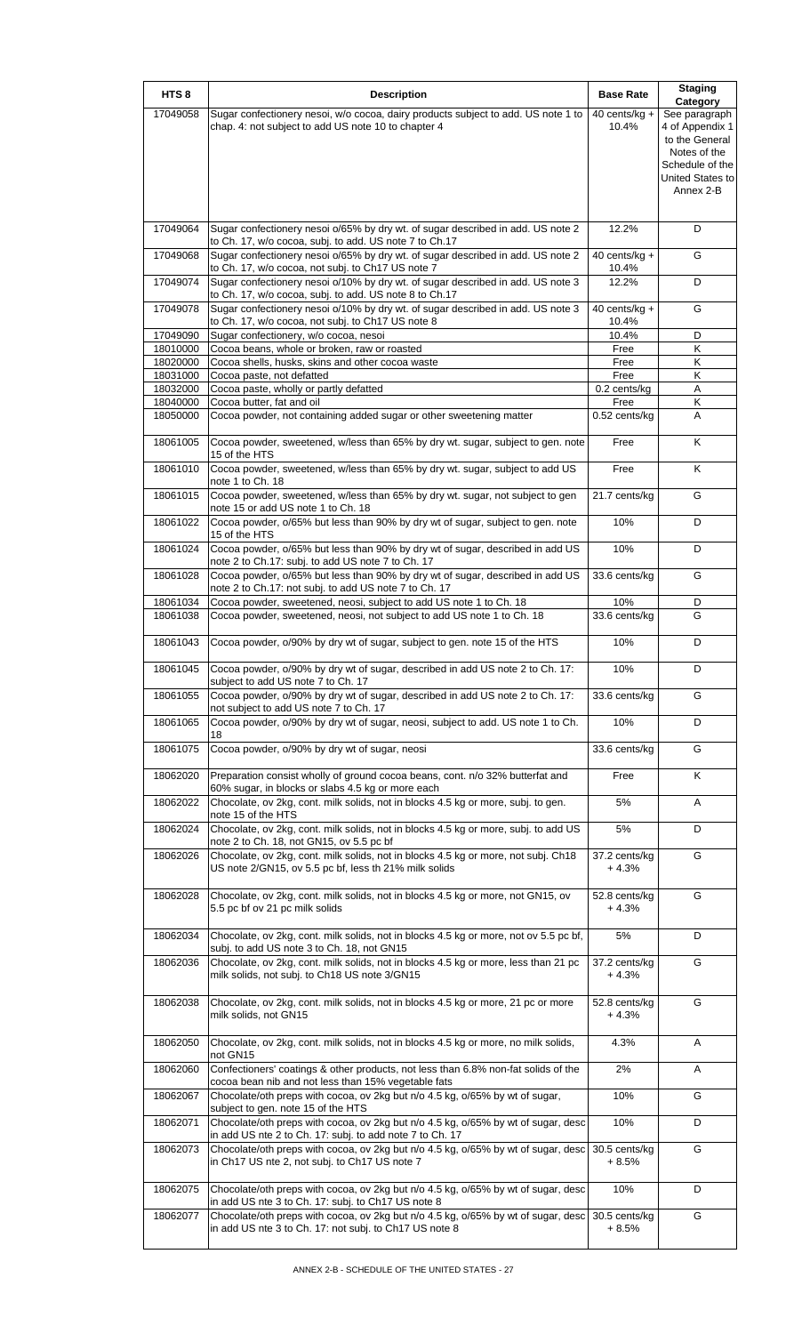| HTS <sub>8</sub>     | <b>Description</b>                                                                                                                            | <b>Base Rate</b>          | <b>Staging</b><br>Category                          |
|----------------------|-----------------------------------------------------------------------------------------------------------------------------------------------|---------------------------|-----------------------------------------------------|
| 17049058             | Sugar confectionery nesoi, w/o cocoa, dairy products subject to add. US note 1 to<br>chap. 4: not subject to add US note 10 to chapter 4      | 40 cents/kg +<br>10.4%    | See paragraph<br>4 of Appendix 1<br>to the General  |
|                      |                                                                                                                                               |                           | Notes of the<br>Schedule of the<br>United States to |
|                      |                                                                                                                                               |                           | Annex 2-B                                           |
| 17049064             | Sugar confectionery nesoi o/65% by dry wt. of sugar described in add. US note 2<br>to Ch. 17, w/o cocoa, subj. to add. US note 7 to Ch.17     | 12.2%                     | D                                                   |
| 17049068             | Sugar confectionery nesoi o/65% by dry wt. of sugar described in add. US note 2<br>to Ch. 17, w/o cocoa, not subj. to Ch17 US note 7          | 40 cents/ $kg +$<br>10.4% | G                                                   |
| 17049074             | Sugar confectionery nesoi o/10% by dry wt. of sugar described in add. US note 3<br>to Ch. 17, w/o cocoa, subj. to add. US note 8 to Ch.17     | 12.2%                     | D                                                   |
| 17049078             | Sugar confectionery nesoi o/10% by dry wt. of sugar described in add. US note 3<br>to Ch. 17, w/o cocoa, not subj. to Ch17 US note 8          | 40 cents/kg $+$<br>10.4%  | G                                                   |
| 17049090             | Sugar confectionery, w/o cocoa, nesoi                                                                                                         | 10.4%                     | D                                                   |
| 18010000             | Cocoa beans, whole or broken, raw or roasted                                                                                                  | Free                      | Κ                                                   |
| 18020000             | Cocoa shells, husks, skins and other cocoa waste                                                                                              | Free                      | Κ                                                   |
| 18031000             | Cocoa paste, not defatted                                                                                                                     | Free                      | Κ                                                   |
| 18032000             | Cocoa paste, wholly or partly defatted                                                                                                        | 0.2 cents/kg              | Α                                                   |
| 18040000             | Cocoa butter, fat and oil                                                                                                                     | Free                      | Κ                                                   |
| 18050000             | Cocoa powder, not containing added sugar or other sweetening matter                                                                           | 0.52 cents/kg             | Α                                                   |
| 18061005             | Cocoa powder, sweetened, w/less than 65% by dry wt. sugar, subject to gen. note<br>15 of the HTS                                              | Free                      | $\overline{\mathsf{K}}$                             |
| 18061010             | Cocoa powder, sweetened, w/less than 65% by dry wt. sugar, subject to add US<br>note 1 to Ch. 18                                              | Free                      | Κ                                                   |
| 18061015             | Cocoa powder, sweetened, w/less than 65% by dry wt. sugar, not subject to gen<br>note 15 or add US note 1 to Ch. 18                           | 21.7 cents/kg             | G                                                   |
| 18061022             | Cocoa powder, o/65% but less than 90% by dry wt of sugar, subject to gen. note<br>15 of the HTS                                               | 10%                       | D                                                   |
| 18061024             | Cocoa powder, o/65% but less than 90% by dry wt of sugar, described in add US<br>note 2 to Ch.17: subj. to add US note 7 to Ch. 17            | 10%                       | D                                                   |
| 18061028             | Cocoa powder, o/65% but less than 90% by dry wt of sugar, described in add US<br>note 2 to Ch.17: not subj. to add US note 7 to Ch. 17        | 33.6 cents/kg             | G                                                   |
| 18061034<br>18061038 | Cocoa powder, sweetened, neosi, subject to add US note 1 to Ch. 18<br>Cocoa powder, sweetened, neosi, not subject to add US note 1 to Ch. 18  | 10%<br>33.6 cents/kg      | D<br>G                                              |
| 18061043             | Cocoa powder, o/90% by dry wt of sugar, subject to gen. note 15 of the HTS                                                                    | 10%                       | D                                                   |
| 18061045             | Cocoa powder, o/90% by dry wt of sugar, described in add US note 2 to Ch. 17:<br>subject to add US note 7 to Ch. 17                           | 10%                       | D                                                   |
| 18061055             | Cocoa powder, o/90% by dry wt of sugar, described in add US note 2 to Ch. 17:<br>not subject to add US note 7 to Ch. 17                       | 33.6 cents/kg             | G                                                   |
| 18061065             | Cocoa powder, o/90% by dry wt of sugar, neosi, subject to add. US note 1 to Ch.<br>18                                                         | 10%                       | D                                                   |
| 18061075             | Cocoa powder, o/90% by dry wt of sugar, neosi                                                                                                 | 33.6 cents/kg             | G                                                   |
| 18062020             | Preparation consist wholly of ground cocoa beans, cont. n/o 32% butterfat and<br>60% sugar, in blocks or slabs 4.5 kg or more each            | Free                      | Κ                                                   |
| 18062022             | Chocolate, ov 2kg, cont. milk solids, not in blocks 4.5 kg or more, subj. to gen.<br>note 15 of the HTS                                       | 5%                        | Α                                                   |
| 18062024             | Chocolate, ov 2kg, cont. milk solids, not in blocks 4.5 kg or more, subj. to add US<br>note 2 to Ch. 18, not GN15, ov 5.5 pc bf               | 5%                        | D                                                   |
| 18062026             | Chocolate, ov 2kg, cont. milk solids, not in blocks 4.5 kg or more, not subj. Ch18<br>US note 2/GN15, ov 5.5 pc bf, less th 21% milk solids   | 37.2 cents/kg<br>+4.3%    | G                                                   |
| 18062028             | Chocolate, ov 2kg, cont. milk solids, not in blocks 4.5 kg or more, not GN15, ov<br>5.5 pc bf ov 21 pc milk solids                            | 52.8 cents/kg<br>+4.3%    | G                                                   |
| 18062034             | Chocolate, ov 2kg, cont. milk solids, not in blocks 4.5 kg or more, not ov 5.5 pc bf,<br>subj. to add US note 3 to Ch. 18, not GN15           | 5%                        | D                                                   |
| 18062036             | Chocolate, ov 2kg, cont. milk solids, not in blocks 4.5 kg or more, less than 21 pc<br>milk solids, not subj. to Ch18 US note 3/GN15          | 37.2 cents/kg<br>+4.3%    | G                                                   |
| 18062038             | Chocolate, ov 2kg, cont. milk solids, not in blocks 4.5 kg or more, 21 pc or more<br>milk solids, not GN15                                    | 52.8 cents/kg<br>+4.3%    | G                                                   |
| 18062050             | Chocolate, ov 2kg, cont. milk solids, not in blocks 4.5 kg or more, no milk solids,<br>not GN15                                               | 4.3%                      | Α                                                   |
| 18062060             | Confectioners' coatings & other products, not less than 6.8% non-fat solids of the<br>cocoa bean nib and not less than 15% vegetable fats     | 2%                        | Α                                                   |
| 18062067             | Chocolate/oth preps with cocoa, ov 2kg but n/o 4.5 kg, o/65% by wt of sugar,<br>subject to gen. note 15 of the HTS                            | 10%                       | G                                                   |
| 18062071             | Chocolate/oth preps with cocoa, ov 2kg but n/o 4.5 kg, o/65% by wt of sugar, desc<br>in add US nte 2 to Ch. 17: subj. to add note 7 to Ch. 17 | 10%                       | D                                                   |
| 18062073             | Chocolate/oth preps with cocoa, ov 2kg but n/o 4.5 kg, o/65% by wt of sugar, desc<br>in Ch17 US nte 2, not subj. to Ch17 US note 7            | 30.5 cents/kg<br>$+8.5%$  | G                                                   |
| 18062075             | Chocolate/oth preps with cocoa, ov 2kg but n/o 4.5 kg, o/65% by wt of sugar, desc<br>in add US nte 3 to Ch. 17: subj. to Ch17 US note 8       | 10%                       | D                                                   |
| 18062077             | Chocolate/oth preps with cocoa, ov 2kg but n/o 4.5 kg, o/65% by wt of sugar, desc<br>in add US nte 3 to Ch. 17: not subj. to Ch17 US note 8   | 30.5 cents/kg<br>+ 8.5%   | G                                                   |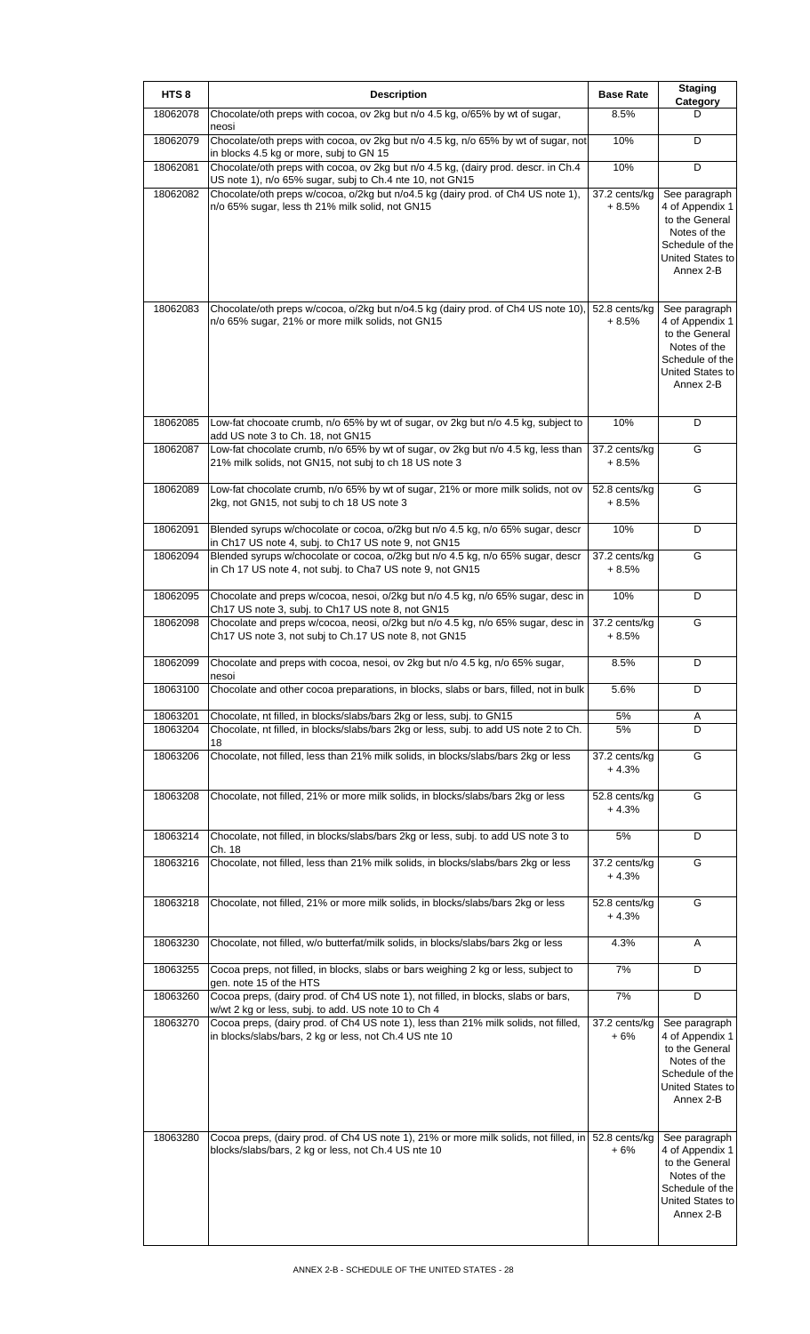| HTS <sub>8</sub>     | <b>Description</b>                                                                                                                                                   | <b>Base Rate</b>         | <b>Staging</b><br>Category                                                                                             |
|----------------------|----------------------------------------------------------------------------------------------------------------------------------------------------------------------|--------------------------|------------------------------------------------------------------------------------------------------------------------|
| 18062078             | Chocolate/oth preps with cocoa, ov 2kg but n/o 4.5 kg, o/65% by wt of sugar,<br>neosi                                                                                | 8.5%                     | D                                                                                                                      |
| 18062079             | Chocolate/oth preps with cocoa, ov 2kg but n/o 4.5 kg, n/o 65% by wt of sugar, not<br>in blocks 4.5 kg or more, subj to GN 15                                        | 10%                      | D                                                                                                                      |
| 18062081             | Chocolate/oth preps with cocoa, ov 2kg but n/o 4.5 kg, (dairy prod. descr. in Ch.4<br>US note 1), n/o 65% sugar, subj to Ch.4 nte 10, not GN15                       | 10%                      | D                                                                                                                      |
| 18062082             | Chocolate/oth preps w/cocoa, o/2kg but n/o4.5 kg (dairy prod. of Ch4 US note 1),<br>n/o 65% sugar, less th 21% milk solid, not GN15                                  | 37.2 cents/kg<br>$+8.5%$ | See paragraph<br>4 of Appendix 1<br>to the General<br>Notes of the<br>Schedule of the<br>United States to<br>Annex 2-B |
| 18062083             | Chocolate/oth preps w/cocoa, o/2kg but n/o4.5 kg (dairy prod. of Ch4 US note 10),<br>n/o 65% sugar, 21% or more milk solids, not GN15                                | 52.8 cents/kg<br>$+8.5%$ | See paragraph<br>4 of Appendix 1<br>to the General<br>Notes of the<br>Schedule of the<br>United States to<br>Annex 2-B |
| 18062085             | Low-fat chocoate crumb, n/o 65% by wt of sugar, ov 2kg but n/o 4.5 kg, subject to<br>add US note 3 to Ch. 18, not GN15                                               | 10%                      | D                                                                                                                      |
| 18062087             | Low-fat chocolate crumb, n/o 65% by wt of sugar, ov 2kg but n/o 4.5 kg, less than<br>21% milk solids, not GN15, not subj to ch 18 US note 3                          | 37.2 cents/kg<br>+ 8.5%  | G                                                                                                                      |
| 18062089             | Low-fat chocolate crumb, n/o 65% by wt of sugar, 21% or more milk solids, not ov<br>2kg, not GN15, not subj to ch 18 US note 3                                       | 52.8 cents/kg<br>+ 8.5%  | G                                                                                                                      |
| 18062091             | Blended syrups w/chocolate or cocoa, o/2kg but n/o 4.5 kg, n/o 65% sugar, descr<br>in Ch17 US note 4, subj. to Ch17 US note 9, not GN15                              | 10%                      | D                                                                                                                      |
| 18062094             | Blended syrups w/chocolate or cocoa, o/2kg but n/o 4.5 kg, n/o 65% sugar, descr<br>in Ch 17 US note 4, not subj. to Cha7 US note 9, not GN15                         | 37.2 cents/kg<br>+ 8.5%  | G                                                                                                                      |
| 18062095             | Chocolate and preps w/cocoa, nesoi, o/2kg but n/o 4.5 kg, n/o 65% sugar, desc in<br>Ch17 US note 3, subj. to Ch17 US note 8, not GN15                                | 10%                      | D                                                                                                                      |
| 18062098             | Chocolate and preps w/cocoa, neosi, o/2kg but n/o 4.5 kg, n/o 65% sugar, desc in<br>Ch17 US note 3, not subj to Ch.17 US note 8, not GN15                            | 37.2 cents/kg<br>+ 8.5%  | G                                                                                                                      |
| 18062099             | Chocolate and preps with cocoa, nesoi, ov 2kg but n/o 4.5 kg, n/o 65% sugar,<br>nesoi                                                                                | 8.5%                     | D                                                                                                                      |
| 18063100             | Chocolate and other cocoa preparations, in blocks, slabs or bars, filled, not in bulk                                                                                | 5.6%                     | D                                                                                                                      |
| 18063201<br>18063204 | Chocolate, nt filled, in blocks/slabs/bars 2kg or less, subj. to GN15<br>Chocolate, nt filled, in blocks/slabs/bars 2kg or less, subj. to add US note 2 to Ch.<br>18 | 5%<br>5%                 | Α<br>D                                                                                                                 |
| 18063206             | Chocolate, not filled, less than 21% milk solids, in blocks/slabs/bars 2kg or less                                                                                   | 37.2 cents/kg<br>+ 4.3%  | G                                                                                                                      |
| 18063208             | Chocolate, not filled, 21% or more milk solids, in blocks/slabs/bars 2kg or less                                                                                     | 52.8 cents/kg<br>+ 4.3%  | G                                                                                                                      |
| 18063214             | Chocolate, not filled, in blocks/slabs/bars 2kg or less, subj. to add US note 3 to<br>Ch. 18                                                                         | 5%                       | D                                                                                                                      |
| 18063216             | Chocolate, not filled, less than 21% milk solids, in blocks/slabs/bars 2kg or less                                                                                   | 37.2 cents/kg<br>$+4.3%$ | G                                                                                                                      |
| 18063218             | Chocolate, not filled, 21% or more milk solids, in blocks/slabs/bars 2kg or less                                                                                     | 52.8 cents/kg<br>+4.3%   | G                                                                                                                      |
| 18063230             | Chocolate, not filled, w/o butterfat/milk solids, in blocks/slabs/bars 2kg or less                                                                                   | 4.3%                     | Α                                                                                                                      |
| 18063255             | Cocoa preps, not filled, in blocks, slabs or bars weighing 2 kg or less, subject to<br>gen. note 15 of the HTS                                                       | 7%                       | D                                                                                                                      |
| 18063260             | Cocoa preps, (dairy prod. of Ch4 US note 1), not filled, in blocks, slabs or bars,<br>w/wt 2 kg or less, subj. to add. US note 10 to Ch 4                            | 7%                       | D                                                                                                                      |
| 18063270             | Cocoa preps, (dairy prod. of Ch4 US note 1), less than 21% milk solids, not filled,<br>in blocks/slabs/bars, 2 kg or less, not Ch.4 US nte 10                        | 37.2 cents/kg<br>$+6%$   | See paragraph<br>4 of Appendix 1<br>to the General<br>Notes of the<br>Schedule of the<br>United States to<br>Annex 2-B |
| 18063280             | Cocoa preps, (dairy prod. of Ch4 US note 1), 21% or more milk solids, not filled, in 52.8 cents/kg<br>blocks/slabs/bars, 2 kg or less, not Ch.4 US nte 10            | $+6%$                    | See paragraph<br>4 of Appendix 1<br>to the General<br>Notes of the<br>Schedule of the<br>United States to<br>Annex 2-B |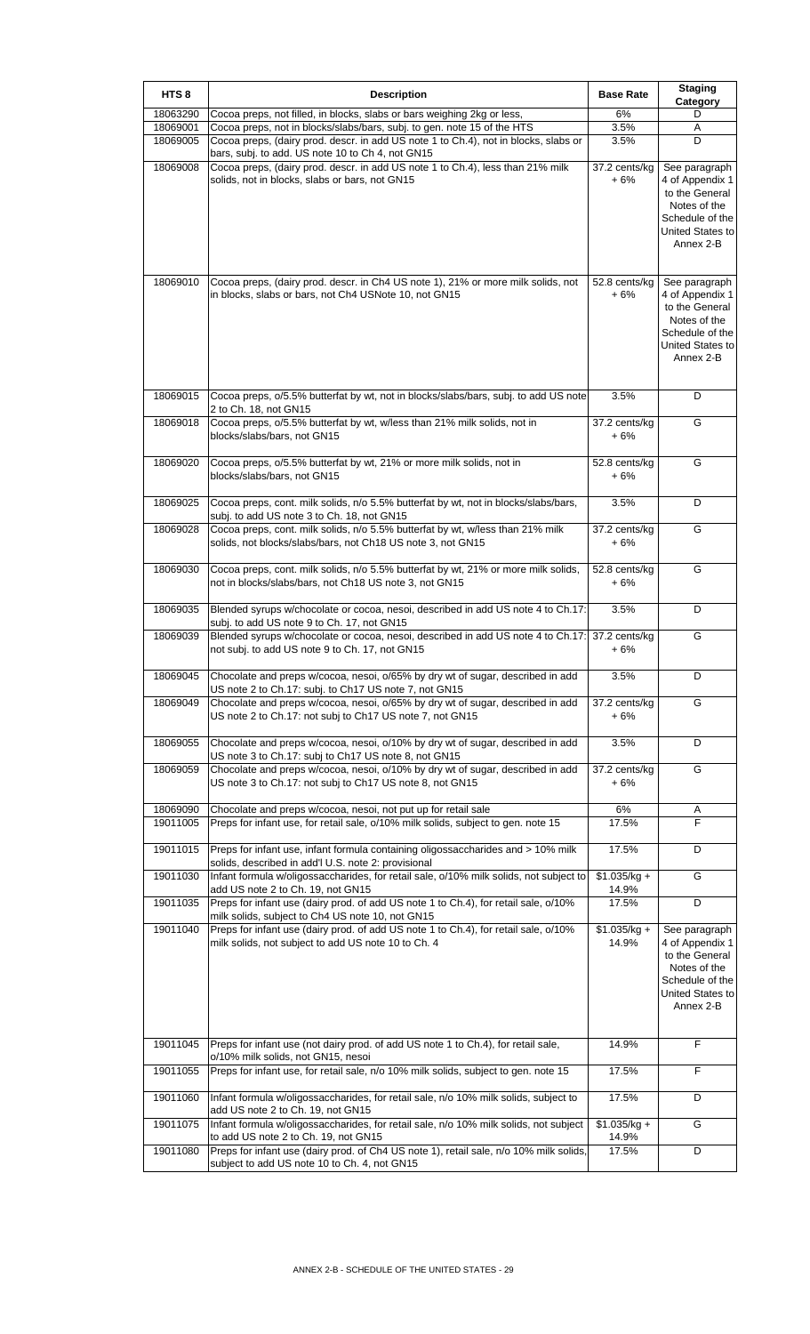| HTS <sub>8</sub>     | <b>Description</b>                                                                                                                                                                   | <b>Base Rate</b>       | <b>Staging</b><br>Category                                                                                             |
|----------------------|--------------------------------------------------------------------------------------------------------------------------------------------------------------------------------------|------------------------|------------------------------------------------------------------------------------------------------------------------|
| 18063290             | Cocoa preps, not filled, in blocks, slabs or bars weighing 2kg or less,                                                                                                              | 6%                     | D                                                                                                                      |
| 18069001<br>18069005 | Cocoa preps, not in blocks/slabs/bars, subj. to gen. note 15 of the HTS<br>Cocoa preps, (dairy prod. descr. in add US note 1 to Ch.4), not in blocks, slabs or                       | 3.5%<br>3.5%           | Α<br>D                                                                                                                 |
| 18069008             | bars, subj. to add. US note 10 to Ch 4, not GN15<br>Cocoa preps, (dairy prod. descr. in add US note 1 to Ch.4), less than 21% milk<br>solids, not in blocks, slabs or bars, not GN15 | 37.2 cents/kg<br>$+6%$ | See paragraph<br>4 of Appendix 1<br>to the General<br>Notes of the<br>Schedule of the<br>United States to<br>Annex 2-B |
| 18069010             | Cocoa preps, (dairy prod. descr. in Ch4 US note 1), 21% or more milk solids, not<br>in blocks, slabs or bars, not Ch4 USNote 10, not GN15                                            | 52.8 cents/kg<br>$+6%$ | See paragraph<br>4 of Appendix 1<br>to the General<br>Notes of the<br>Schedule of the<br>United States to<br>Annex 2-B |
| 18069015             | Cocoa preps, o/5.5% butterfat by wt, not in blocks/slabs/bars, subj. to add US note<br>2 to Ch. 18, not GN15                                                                         | 3.5%                   | D                                                                                                                      |
| 18069018             | Cocoa preps, o/5.5% butterfat by wt, w/less than 21% milk solids, not in<br>blocks/slabs/bars, not GN15                                                                              | 37.2 cents/kg<br>$+6%$ | G                                                                                                                      |
| 18069020             | Cocoa preps, o/5.5% butterfat by wt, 21% or more milk solids, not in<br>blocks/slabs/bars, not GN15                                                                                  | 52.8 cents/kg<br>+ 6%  | G                                                                                                                      |
| 18069025             | Cocoa preps, cont. milk solids, n/o 5.5% butterfat by wt, not in blocks/slabs/bars,<br>subj. to add US note 3 to Ch. 18, not GN15                                                    | 3.5%                   | D                                                                                                                      |
| 18069028             | Cocoa preps, cont. milk solids, n/o 5.5% butterfat by wt, w/less than 21% milk<br>solids, not blocks/slabs/bars, not Ch18 US note 3, not GN15                                        | 37.2 cents/kg<br>$+6%$ | G                                                                                                                      |
| 18069030             | Cocoa preps, cont. milk solids, n/o 5.5% butterfat by wt, 21% or more milk solids,<br>not in blocks/slabs/bars, not Ch18 US note 3, not GN15                                         | 52.8 cents/kg<br>$+6%$ | G                                                                                                                      |
| 18069035             | Blended syrups w/chocolate or cocoa, nesoi, described in add US note 4 to Ch.17:<br>subj. to add US note 9 to Ch. 17, not GN15                                                       | 3.5%                   | D                                                                                                                      |
| 18069039             | Blended syrups w/chocolate or cocoa, nesoi, described in add US note 4 to Ch.17:<br>not subj. to add US note 9 to Ch. 17, not GN15                                                   | 37.2 cents/kg<br>$+6%$ | G                                                                                                                      |
| 18069045             | Chocolate and preps w/cocoa, nesoi, o/65% by dry wt of sugar, described in add<br>US note 2 to Ch.17: subj. to Ch17 US note 7, not GN15                                              | 3.5%                   | D                                                                                                                      |
| 18069049             | Chocolate and preps w/cocoa, nesoi, o/65% by dry wt of sugar, described in add<br>US note 2 to Ch.17: not subj to Ch17 US note 7, not GN15                                           | 37.2 cents/kg<br>+ 6%  | G                                                                                                                      |
| 18069055             | Chocolate and preps w/cocoa, nesoi, o/10% by dry wt of sugar, described in add<br>US note 3 to Ch.17: subj to Ch17 US note 8, not GN15                                               | 3.5%                   | D                                                                                                                      |
| 18069059             | Chocolate and preps w/cocoa, nesoi, o/10% by dry wt of sugar, described in add<br>US note 3 to Ch.17: not subj to Ch17 US note 8, not GN15                                           | 37.2 cents/kg<br>$+6%$ | G                                                                                                                      |
| 18069090             | Chocolate and preps w/cocoa, nesoi, not put up for retail sale                                                                                                                       | 6%                     | Α                                                                                                                      |
| 19011005             | Preps for infant use, for retail sale, o/10% milk solids, subject to gen. note 15                                                                                                    | 17.5%                  | F                                                                                                                      |
| 19011015             | Preps for infant use, infant formula containing oligossaccharides and > 10% milk<br>solids, described in add'l U.S. note 2: provisional                                              | 17.5%                  | D                                                                                                                      |
| 19011030             | Infant formula w/oligossaccharides, for retail sale, o/10% milk solids, not subject to<br>add US note 2 to Ch. 19, not GN15                                                          | $$1.035/kg +$<br>14.9% | G                                                                                                                      |
| 19011035             | Preps for infant use (dairy prod. of add US note 1 to Ch.4), for retail sale, o/10%<br>milk solids, subject to Ch4 US note 10, not GN15                                              | 17.5%                  | D                                                                                                                      |
| 19011040             | Preps for infant use (dairy prod. of add US note 1 to Ch.4), for retail sale, o/10%<br>milk solids, not subject to add US note 10 to Ch. 4                                           | $$1.035/kg +$<br>14.9% | See paragraph<br>4 of Appendix 1<br>to the General<br>Notes of the<br>Schedule of the<br>United States to<br>Annex 2-B |
| 19011045             | Preps for infant use (not dairy prod. of add US note 1 to Ch.4), for retail sale,<br>o/10% milk solids, not GN15, nesoi                                                              | 14.9%                  | F                                                                                                                      |
| 19011055             | Preps for infant use, for retail sale, n/o 10% milk solids, subject to gen. note 15                                                                                                  | 17.5%                  | F                                                                                                                      |
| 19011060             | Infant formula w/oligossaccharides, for retail sale, n/o 10% milk solids, subject to<br>add US note 2 to Ch. 19, not GN15                                                            | 17.5%                  | D                                                                                                                      |
| 19011075             | Infant formula w/oligossaccharides, for retail sale, n/o 10% milk solids, not subject<br>to add US note 2 to Ch. 19, not GN15                                                        | $$1.035/kg +$<br>14.9% | G                                                                                                                      |
| 19011080             | Preps for infant use (dairy prod. of Ch4 US note 1), retail sale, n/o 10% milk solids,<br>subject to add US note 10 to Ch. 4, not GN15                                               | 17.5%                  | D                                                                                                                      |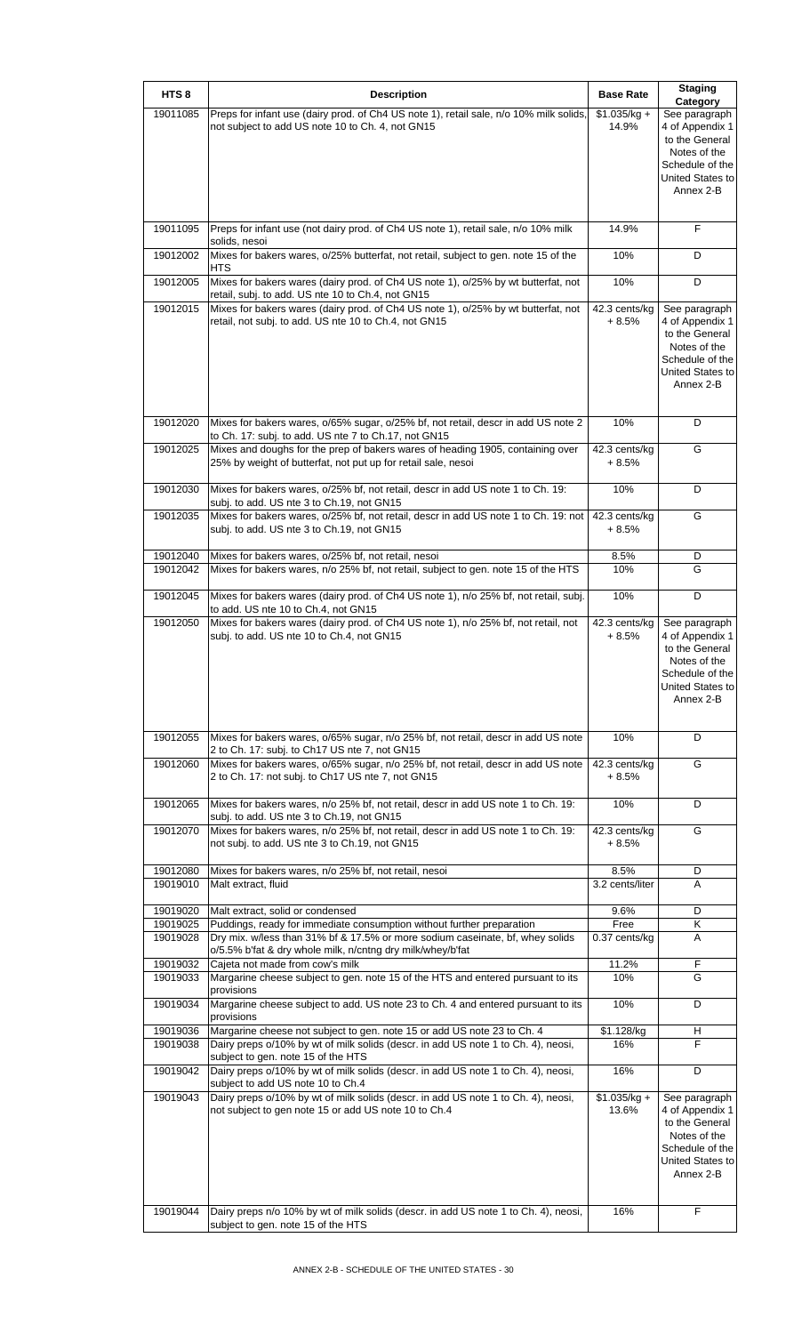| HTS <sub>8</sub> | <b>Description</b>                                                                                                                              | <b>Base Rate</b>         | <b>Staging</b>                      |
|------------------|-------------------------------------------------------------------------------------------------------------------------------------------------|--------------------------|-------------------------------------|
|                  |                                                                                                                                                 |                          | Category                            |
| 19011085         | Preps for infant use (dairy prod. of Ch4 US note 1), retail sale, n/o 10% milk solids,<br>not subject to add US note 10 to Ch. 4, not GN15      | $$1.035/kg +$<br>14.9%   | See paragraph<br>4 of Appendix 1    |
|                  |                                                                                                                                                 |                          | to the General                      |
|                  |                                                                                                                                                 |                          | Notes of the<br>Schedule of the     |
|                  |                                                                                                                                                 |                          | United States to                    |
|                  |                                                                                                                                                 |                          | Annex 2-B                           |
|                  |                                                                                                                                                 |                          |                                     |
| 19011095         | Preps for infant use (not dairy prod. of Ch4 US note 1), retail sale, n/o 10% milk                                                              | 14.9%                    | F                                   |
| 19012002         | solids, nesoi<br>Mixes for bakers wares, o/25% butterfat, not retail, subject to gen. note 15 of the                                            | 10%                      | D                                   |
|                  | <b>HTS</b>                                                                                                                                      |                          |                                     |
| 19012005         | Mixes for bakers wares (dairy prod. of Ch4 US note 1), o/25% by wt butterfat, not<br>retail, subj. to add. US nte 10 to Ch.4, not GN15          | 10%                      | D                                   |
| 19012015         | Mixes for bakers wares (dairy prod. of Ch4 US note 1), o/25% by wt butterfat, not                                                               | 42.3 cents/kg            | See paragraph                       |
|                  | retail, not subj. to add. US nte 10 to Ch.4, not GN15                                                                                           | $+8.5%$                  | 4 of Appendix 1<br>to the General   |
|                  |                                                                                                                                                 |                          | Notes of the                        |
|                  |                                                                                                                                                 |                          | Schedule of the<br>United States to |
|                  |                                                                                                                                                 |                          | Annex 2-B                           |
|                  |                                                                                                                                                 |                          |                                     |
| 19012020         | Mixes for bakers wares, o/65% sugar, o/25% bf, not retail, descr in add US note 2                                                               | 10%                      | D                                   |
|                  | to Ch. 17: subj. to add. US nte 7 to Ch.17, not GN15                                                                                            |                          |                                     |
| 19012025         | Mixes and doughs for the prep of bakers wares of heading 1905, containing over<br>25% by weight of butterfat, not put up for retail sale, nesoi | 42.3 cents/kg<br>$+8.5%$ | G                                   |
|                  |                                                                                                                                                 |                          |                                     |
| 19012030         | Mixes for bakers wares, o/25% bf, not retail, descr in add US note 1 to Ch. 19:<br>subj. to add. US nte 3 to Ch.19, not GN15                    | 10%                      | D                                   |
| 19012035         | Mixes for bakers wares, o/25% bf, not retail, descr in add US note 1 to Ch. 19: not                                                             | 42.3 cents/kg            | G                                   |
|                  | subj. to add. US nte 3 to Ch.19, not GN15                                                                                                       | + 8.5%                   |                                     |
| 19012040         | Mixes for bakers wares, o/25% bf, not retail, nesoi                                                                                             | 8.5%                     | D                                   |
| 19012042         | Mixes for bakers wares, n/o 25% bf, not retail, subject to gen. note 15 of the HTS                                                              | 10%                      | G                                   |
| 19012045         | Mixes for bakers wares (dairy prod. of Ch4 US note 1), n/o 25% bf, not retail, subj.                                                            | 10%                      | D                                   |
|                  | to add. US nte 10 to Ch.4, not GN15                                                                                                             |                          |                                     |
| 19012050         | Mixes for bakers wares (dairy prod. of Ch4 US note 1), n/o 25% bf, not retail, not                                                              | 42.3 cents/kg            | See paragraph                       |
|                  | subj. to add. US nte 10 to Ch.4, not GN15                                                                                                       | $+8.5%$                  | 4 of Appendix 1<br>to the General   |
|                  |                                                                                                                                                 |                          | Notes of the                        |
|                  |                                                                                                                                                 |                          | Schedule of the<br>United States to |
|                  |                                                                                                                                                 |                          | Annex 2-B                           |
|                  |                                                                                                                                                 |                          |                                     |
| 19012055         | Mixes for bakers wares, o/65% sugar, n/o 25% bf, not retail, descr in add US note                                                               | 10%                      | D                                   |
| 19012060         | 2 to Ch. 17: subj. to Ch17 US nte 7, not GN15<br>Mixes for bakers wares, o/65% sugar, n/o 25% bf, not retail, descr in add US note              | 42.3 cents/kg            | G                                   |
|                  | 2 to Ch. 17: not subj. to Ch17 US nte 7, not GN15                                                                                               | + 8.5%                   |                                     |
| 19012065         | Mixes for bakers wares, n/o 25% bf, not retail, descr in add US note 1 to Ch. 19:                                                               | 10%                      | D                                   |
|                  | subj. to add. US nte 3 to Ch.19, not GN15                                                                                                       |                          |                                     |
| 19012070         | Mixes for bakers wares, n/o 25% bf, not retail, descr in add US note 1 to Ch. 19:                                                               | 42.3 cents/kg            | G                                   |
|                  | not subj. to add. US nte 3 to Ch.19, not GN15                                                                                                   | $+8.5%$                  |                                     |
| 19012080         | Mixes for bakers wares, n/o 25% bf, not retail, nesoi                                                                                           | 8.5%                     | D                                   |
| 19019010         | Malt extract, fluid                                                                                                                             | 3.2 cents/liter          | A                                   |
| 19019020         | Malt extract, solid or condensed                                                                                                                | 9.6%                     | D                                   |
| 19019025         | Puddings, ready for immediate consumption without further preparation                                                                           | Free                     | Κ                                   |
| 19019028         | Dry mix. w/less than 31% bf & 17.5% or more sodium caseinate, bf, whey solids<br>o/5.5% b'fat & dry whole milk, n/cntng dry milk/whey/b'fat     | 0.37 cents/kg            | A                                   |
| 19019032         | Cajeta not made from cow's milk                                                                                                                 | 11.2%                    | F                                   |
| 19019033         | Margarine cheese subject to gen. note 15 of the HTS and entered pursuant to its<br>provisions                                                   | 10%                      | G                                   |
| 19019034         | Margarine cheese subject to add. US note 23 to Ch. 4 and entered pursuant to its                                                                | 10%                      | D                                   |
| 19019036         | provisions<br>Margarine cheese not subject to gen. note 15 or add US note 23 to Ch. 4                                                           | \$1.128/kg               | н                                   |
| 19019038         | Dairy preps o/10% by wt of milk solids (descr. in add US note 1 to Ch. 4), neosi,                                                               | 16%                      | F                                   |
|                  | subject to gen. note 15 of the HTS                                                                                                              |                          |                                     |
| 19019042         | Dairy preps o/10% by wt of milk solids (descr. in add US note 1 to Ch. 4), neosi,<br>subject to add US note 10 to Ch.4                          | 16%                      | D                                   |
| 19019043         | Dairy preps o/10% by wt of milk solids (descr. in add US note 1 to Ch. 4), neosi,                                                               | $$1.035/kg +$            | See paragraph                       |
|                  | not subject to gen note 15 or add US note 10 to Ch.4                                                                                            | 13.6%                    | 4 of Appendix 1<br>to the General   |
|                  |                                                                                                                                                 |                          | Notes of the                        |
|                  |                                                                                                                                                 |                          | Schedule of the<br>United States to |
|                  |                                                                                                                                                 |                          | Annex 2-B                           |
|                  |                                                                                                                                                 |                          |                                     |
| 19019044         | Dairy preps n/o 10% by wt of milk solids (descr. in add US note 1 to Ch. 4), neosi,                                                             | 16%                      | F                                   |
|                  | subject to gen. note 15 of the HTS                                                                                                              |                          |                                     |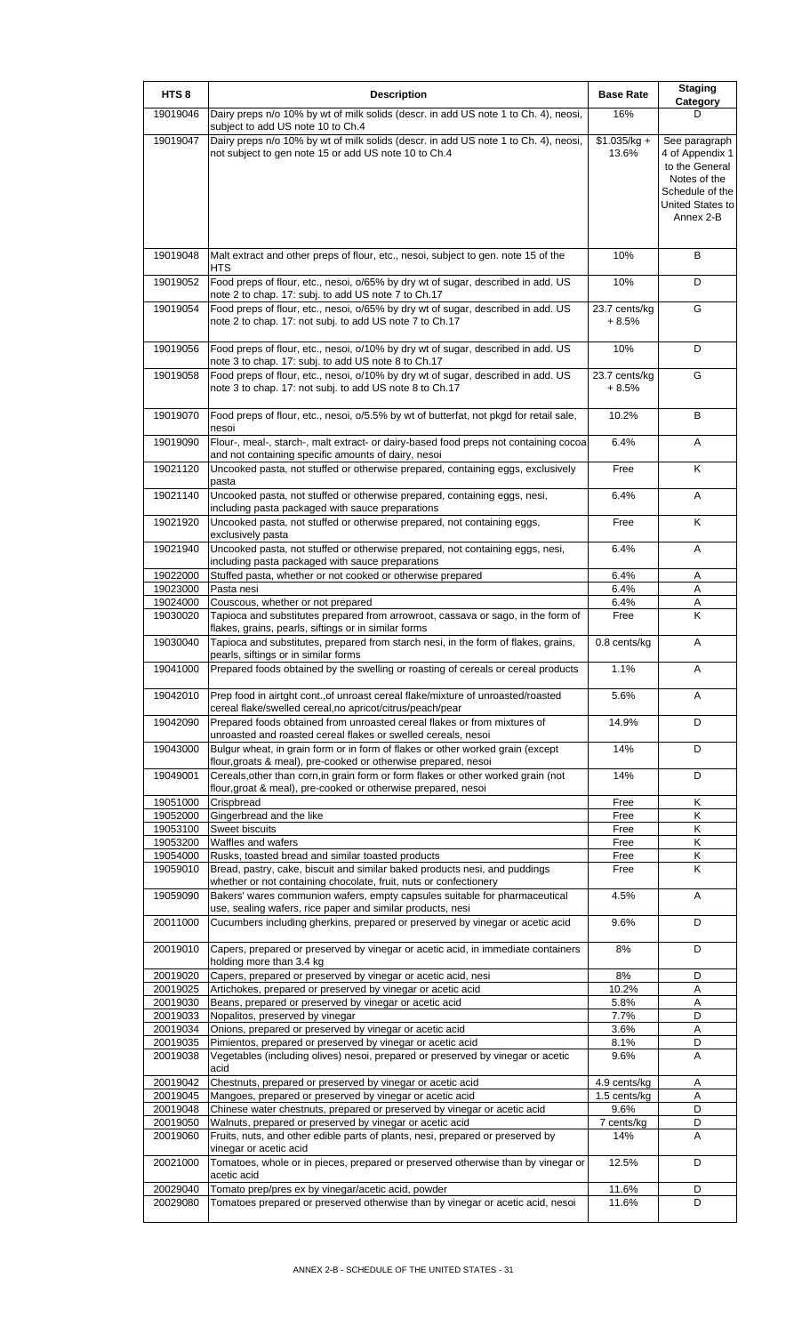| HTS <sub>8</sub>     | <b>Description</b>                                                                                                                                                                                   | <b>Base Rate</b>         | <b>Staging</b><br>Category                                                                                             |
|----------------------|------------------------------------------------------------------------------------------------------------------------------------------------------------------------------------------------------|--------------------------|------------------------------------------------------------------------------------------------------------------------|
| 19019046             | Dairy preps n/o 10% by wt of milk solids (descr. in add US note 1 to Ch. 4), neosi,<br>subject to add US note 10 to Ch.4                                                                             | 16%                      | D                                                                                                                      |
| 19019047             | Dairy preps n/o 10% by wt of milk solids (descr. in add US note 1 to Ch. 4), neosi,<br>not subject to gen note 15 or add US note 10 to Ch.4                                                          | $$1.035/kg +$<br>13.6%   | See paragraph<br>4 of Appendix 1<br>to the General<br>Notes of the<br>Schedule of the<br>United States to<br>Annex 2-B |
| 19019048             | Malt extract and other preps of flour, etc., nesoi, subject to gen. note 15 of the<br>HTS                                                                                                            | 10%                      | B                                                                                                                      |
| 19019052             | Food preps of flour, etc., nesoi, o/65% by dry wt of sugar, described in add. US<br>note 2 to chap. 17: subj. to add US note 7 to Ch.17                                                              | 10%                      | D                                                                                                                      |
| 19019054             | Food preps of flour, etc., nesoi, o/65% by dry wt of sugar, described in add. US<br>note 2 to chap. 17: not subj. to add US note 7 to Ch.17                                                          | 23.7 cents/kg<br>$+8.5%$ | G                                                                                                                      |
| 19019056             | Food preps of flour, etc., nesoi, o/10% by dry wt of sugar, described in add. US<br>note 3 to chap. 17: subj. to add US note 8 to Ch.17                                                              | 10%                      | D                                                                                                                      |
| 19019058             | Food preps of flour, etc., nesoi, o/10% by dry wt of sugar, described in add. US<br>note 3 to chap. 17: not subj. to add US note 8 to Ch.17                                                          | 23.7 cents/kg<br>+ 8.5%  | G                                                                                                                      |
| 19019070             | Food preps of flour, etc., nesoi, o/5.5% by wt of butterfat, not pkgd for retail sale,<br>nesoi                                                                                                      | 10.2%                    | В                                                                                                                      |
| 19019090             | Flour-, meal-, starch-, malt extract- or dairy-based food preps not containing cocoa<br>and not containing specific amounts of dairy, nesoi                                                          | 6.4%                     | Α                                                                                                                      |
| 19021120             | Uncooked pasta, not stuffed or otherwise prepared, containing eggs, exclusively<br>pasta                                                                                                             | Free                     | Κ                                                                                                                      |
| 19021140             | Uncooked pasta, not stuffed or otherwise prepared, containing eggs, nesi,<br>including pasta packaged with sauce preparations                                                                        | 6.4%                     | Α                                                                                                                      |
| 19021920             | Uncooked pasta, not stuffed or otherwise prepared, not containing eggs,<br>exclusively pasta                                                                                                         | Free                     | Κ                                                                                                                      |
| 19021940             | Uncooked pasta, not stuffed or otherwise prepared, not containing eggs, nesi,<br>including pasta packaged with sauce preparations                                                                    | 6.4%                     | Α                                                                                                                      |
| 19022000             | Stuffed pasta, whether or not cooked or otherwise prepared                                                                                                                                           | 6.4%                     | Α                                                                                                                      |
| 19023000             | Pasta nesi                                                                                                                                                                                           | 6.4%                     | Α                                                                                                                      |
| 19024000             | Couscous, whether or not prepared                                                                                                                                                                    | 6.4%                     | Α                                                                                                                      |
| 19030020             | Tapioca and substitutes prepared from arrowroot, cassava or sago, in the form of<br>flakes, grains, pearls, siftings or in similar forms                                                             | Free                     | K                                                                                                                      |
| 19030040             | Tapioca and substitutes, prepared from starch nesi, in the form of flakes, grains,<br>pearls, siftings or in similar forms                                                                           | 0.8 cents/kg             | Α                                                                                                                      |
| 19041000             | Prepared foods obtained by the swelling or roasting of cereals or cereal products                                                                                                                    | 1.1%                     | А                                                                                                                      |
| 19042010             | Prep food in airtght cont., of unroast cereal flake/mixture of unroasted/roasted<br>cereal flake/swelled cereal, no apricot/citrus/peach/pear                                                        | 5.6%                     | Α                                                                                                                      |
| 19042090             | Prepared foods obtained from unroasted cereal flakes or from mixtures of<br>unroasted and roasted cereal flakes or swelled cereals, nesoi                                                            | 14.9%                    | D                                                                                                                      |
| 19043000             | Bulgur wheat, in grain form or in form of flakes or other worked grain (except<br>flour, groats & meal), pre-cooked or otherwise prepared, nesoi                                                     | 14%                      | D                                                                                                                      |
| 19049001             | Cereals, other than corn, in grain form or form flakes or other worked grain (not<br>flour, groat & meal), pre-cooked or otherwise prepared, nesoi                                                   | 14%                      | D                                                                                                                      |
| 19051000             | Crispbread                                                                                                                                                                                           | Free                     | Κ                                                                                                                      |
| 19052000             | Gingerbread and the like                                                                                                                                                                             | Free                     | Κ                                                                                                                      |
| 19053100             | Sweet biscuits                                                                                                                                                                                       | Free                     | Κ                                                                                                                      |
| 19053200             | Waffles and wafers                                                                                                                                                                                   | Free                     | Κ                                                                                                                      |
| 19054000<br>19059010 | Rusks, toasted bread and similar toasted products<br>Bread, pastry, cake, biscuit and similar baked products nesi, and puddings<br>whether or not containing chocolate, fruit, nuts or confectionery | Free<br>Free             | Κ<br>K                                                                                                                 |
| 19059090             | Bakers' wares communion wafers, empty capsules suitable for pharmaceutical<br>use, sealing wafers, rice paper and similar products, nesi                                                             | 4.5%                     | A                                                                                                                      |
| 20011000             | Cucumbers including gherkins, prepared or preserved by vinegar or acetic acid                                                                                                                        | 9.6%                     | D                                                                                                                      |
| 20019010             | Capers, prepared or preserved by vinegar or acetic acid, in immediate containers<br>holding more than 3.4 kg                                                                                         | 8%                       | D                                                                                                                      |
| 20019020<br>20019025 | Capers, prepared or preserved by vinegar or acetic acid, nesi                                                                                                                                        | 8%<br>10.2%              | D<br>A                                                                                                                 |
| 20019030             | Artichokes, prepared or preserved by vinegar or acetic acid<br>Beans, prepared or preserved by vinegar or acetic acid                                                                                | 5.8%                     | Α                                                                                                                      |
| 20019033             | Nopalitos, preserved by vinegar                                                                                                                                                                      | 7.7%                     | D                                                                                                                      |
| 20019034             | Onions, prepared or preserved by vinegar or acetic acid                                                                                                                                              | 3.6%                     | Α                                                                                                                      |
| 20019035             | Pimientos, prepared or preserved by vinegar or acetic acid                                                                                                                                           | 8.1%                     | D                                                                                                                      |
| 20019038             | Vegetables (including olives) nesoi, prepared or preserved by vinegar or acetic<br>acid                                                                                                              | 9.6%                     | A                                                                                                                      |
| 20019042             | Chestnuts, prepared or preserved by vinegar or acetic acid                                                                                                                                           | 4.9 cents/kg             | A                                                                                                                      |
| 20019045             | Mangoes, prepared or preserved by vinegar or acetic acid                                                                                                                                             | 1.5 cents/kg             | Α                                                                                                                      |
| 20019048             | Chinese water chestnuts, prepared or preserved by vinegar or acetic acid                                                                                                                             | 9.6%                     | D                                                                                                                      |
| 20019050             | Walnuts, prepared or preserved by vinegar or acetic acid                                                                                                                                             | 7 cents/kg               | D                                                                                                                      |
| 20019060             | Fruits, nuts, and other edible parts of plants, nesi, prepared or preserved by<br>vinegar or acetic acid                                                                                             | 14%                      | A                                                                                                                      |
| 20021000             | Tomatoes, whole or in pieces, prepared or preserved otherwise than by vinegar or<br>acetic acid                                                                                                      | 12.5%                    | D                                                                                                                      |
| 20029040             | Tomato prep/pres ex by vinegar/acetic acid, powder                                                                                                                                                   | 11.6%                    | D                                                                                                                      |
| 20029080             | Tomatoes prepared or preserved otherwise than by vinegar or acetic acid, nesoi                                                                                                                       | 11.6%                    | D                                                                                                                      |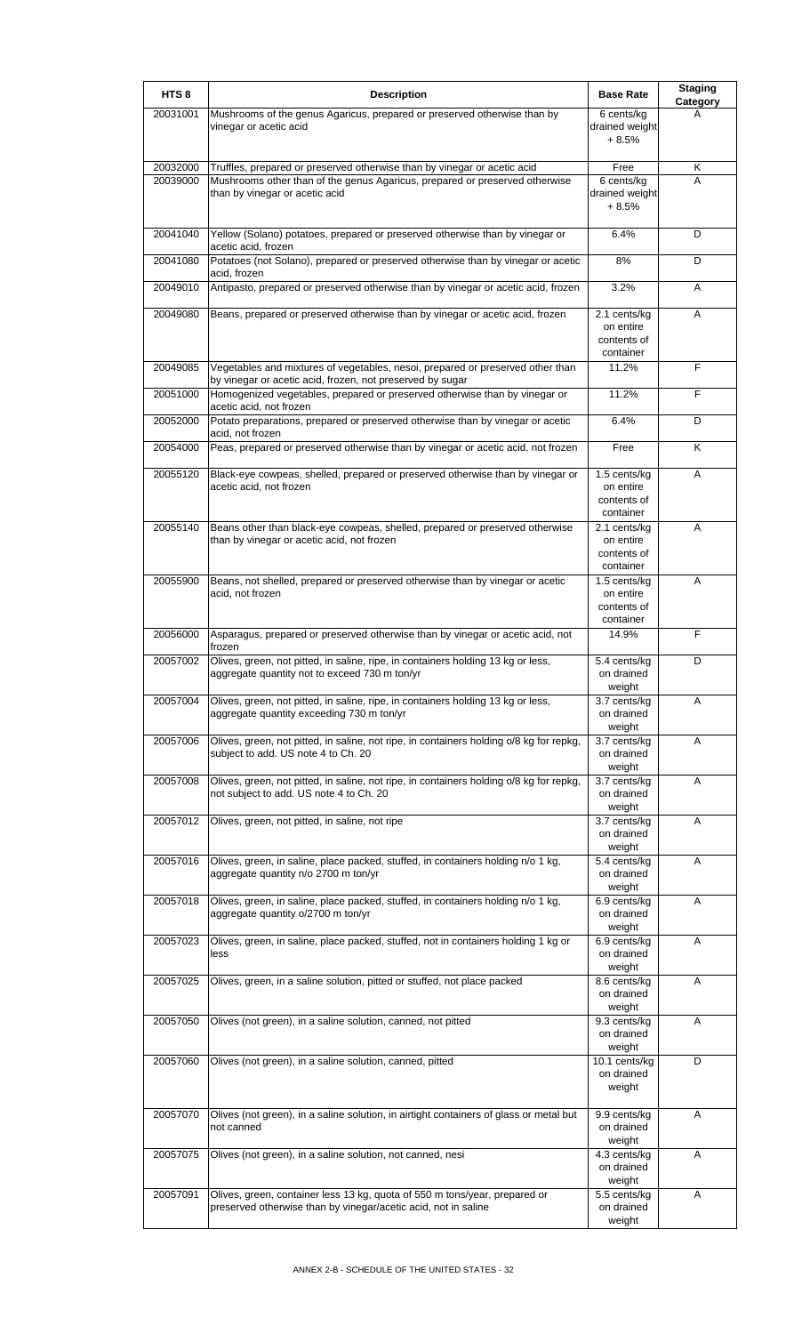| HTS <sub>8</sub> | <b>Description</b>                                                                                                                           | <b>Base Rate</b>                                      | <b>Staging</b><br>Category |
|------------------|----------------------------------------------------------------------------------------------------------------------------------------------|-------------------------------------------------------|----------------------------|
| 20031001         | Mushrooms of the genus Agaricus, prepared or preserved otherwise than by<br>vinegar or acetic acid                                           | 6 cents/kg<br>drained weight<br>$+8.5%$               | А                          |
| 20032000         | Truffles, prepared or preserved otherwise than by vinegar or acetic acid                                                                     | Free                                                  | Κ                          |
| 20039000         | Mushrooms other than of the genus Agaricus, prepared or preserved otherwise<br>than by vinegar or acetic acid                                | 6 cents/kg<br>drained weight<br>$+8.5%$               | A                          |
| 20041040         | Yellow (Solano) potatoes, prepared or preserved otherwise than by vinegar or<br>acetic acid, frozen                                          | 6.4%                                                  | D                          |
| 20041080         | Potatoes (not Solano), prepared or preserved otherwise than by vinegar or acetic<br>acid, frozen                                             | 8%                                                    | D                          |
| 20049010         | Antipasto, prepared or preserved otherwise than by vinegar or acetic acid, frozen                                                            | 3.2%                                                  | A                          |
| 20049080         | Beans, prepared or preserved otherwise than by vinegar or acetic acid, frozen                                                                | 2.1 cents/kg<br>on entire<br>contents of<br>container | A                          |
| 20049085         | Vegetables and mixtures of vegetables, nesoi, prepared or preserved other than<br>by vinegar or acetic acid, frozen, not preserved by sugar  | 11.2%                                                 | F                          |
| 20051000         | Homogenized vegetables, prepared or preserved otherwise than by vinegar or<br>acetic acid, not frozen                                        | 11.2%                                                 | F                          |
| 20052000         | Potato preparations, prepared or preserved otherwise than by vinegar or acetic<br>acid, not frozen                                           | 6.4%                                                  | D                          |
| 20054000         | Peas, prepared or preserved otherwise than by vinegar or acetic acid, not frozen                                                             | Free                                                  | Κ                          |
| 20055120         | Black-eye cowpeas, shelled, prepared or preserved otherwise than by vinegar or<br>acetic acid, not frozen                                    | 1.5 cents/kg<br>on entire<br>contents of<br>container | A                          |
| 20055140         | Beans other than black-eye cowpeas, shelled, prepared or preserved otherwise<br>than by vinegar or acetic acid, not frozen                   | 2.1 cents/kg<br>on entire<br>contents of<br>container | A                          |
| 20055900         | Beans, not shelled, prepared or preserved otherwise than by vinegar or acetic<br>acid, not frozen                                            | 1.5 cents/kg<br>on entire<br>contents of<br>container | A                          |
| 20056000         | Asparagus, prepared or preserved otherwise than by vinegar or acetic acid, not<br>frozen                                                     | 14.9%                                                 | F                          |
| 20057002         | Olives, green, not pitted, in saline, ripe, in containers holding 13 kg or less,<br>aggregate quantity not to exceed 730 m ton/yr            | 5.4 cents/kg<br>on drained<br>weight                  | D                          |
| 20057004         | Olives, green, not pitted, in saline, ripe, in containers holding 13 kg or less,<br>aggregate quantity exceeding 730 m ton/yr                | 3.7 cents/kg<br>on drained<br>weight                  | A                          |
| 20057006         | Olives, green, not pitted, in saline, not ripe, in containers holding o/8 kg for repkg,<br>subject to add. US note 4 to Ch. 20               | 3.7 cents/kg<br>on drained<br>weight                  | A                          |
| 20057008         | Olives, green, not pitted, in saline, not ripe, in containers holding o/8 kg for repkg,<br>not subject to add. US note 4 to Ch. 20           | $3.7$ cents/kg<br>on drained<br>weight                | A                          |
| 20057012         | Olives, green, not pitted, in saline, not ripe                                                                                               | 3.7 cents/kg<br>on drained<br>weight                  | Α                          |
| 20057016         | Olives, green, in saline, place packed, stuffed, in containers holding n/o 1 kg,<br>aggregate quantity n/o 2700 m ton/yr                     | 5.4 cents/kg<br>on drained<br>weight                  | A                          |
| 20057018         | Olives, green, in saline, place packed, stuffed, in containers holding n/o 1 kg,<br>aggregate quantity o/2700 m ton/yr                       | 6.9 cents/kg<br>on drained<br>weight                  | A                          |
| 20057023         | Olives, green, in saline, place packed, stuffed, not in containers holding 1 kg or<br>less                                                   | 6.9 cents/kg<br>on drained<br>weight                  | A                          |
| 20057025         | Olives, green, in a saline solution, pitted or stuffed, not place packed                                                                     | 8.6 cents/kg<br>on drained<br>weight                  | A                          |
| 20057050         | Olives (not green), in a saline solution, canned, not pitted                                                                                 | 9.3 cents/kg<br>on drained<br>weight                  | A                          |
| 20057060         | Olives (not green), in a saline solution, canned, pitted                                                                                     | 10.1 cents/kg<br>on drained<br>weight                 | D                          |
| 20057070         | Olives (not green), in a saline solution, in airtight containers of glass or metal but<br>not canned                                         | 9.9 cents/kg<br>on drained<br>weight                  | A                          |
| 20057075         | Olives (not green), in a saline solution, not canned, nesi                                                                                   | 4.3 cents/kg<br>on drained<br>weight                  | Α                          |
| 20057091         | Olives, green, container less 13 kg, quota of 550 m tons/year, prepared or<br>preserved otherwise than by vinegar/acetic acid, not in saline | 5.5 cents/kg<br>on drained<br>weight                  | A                          |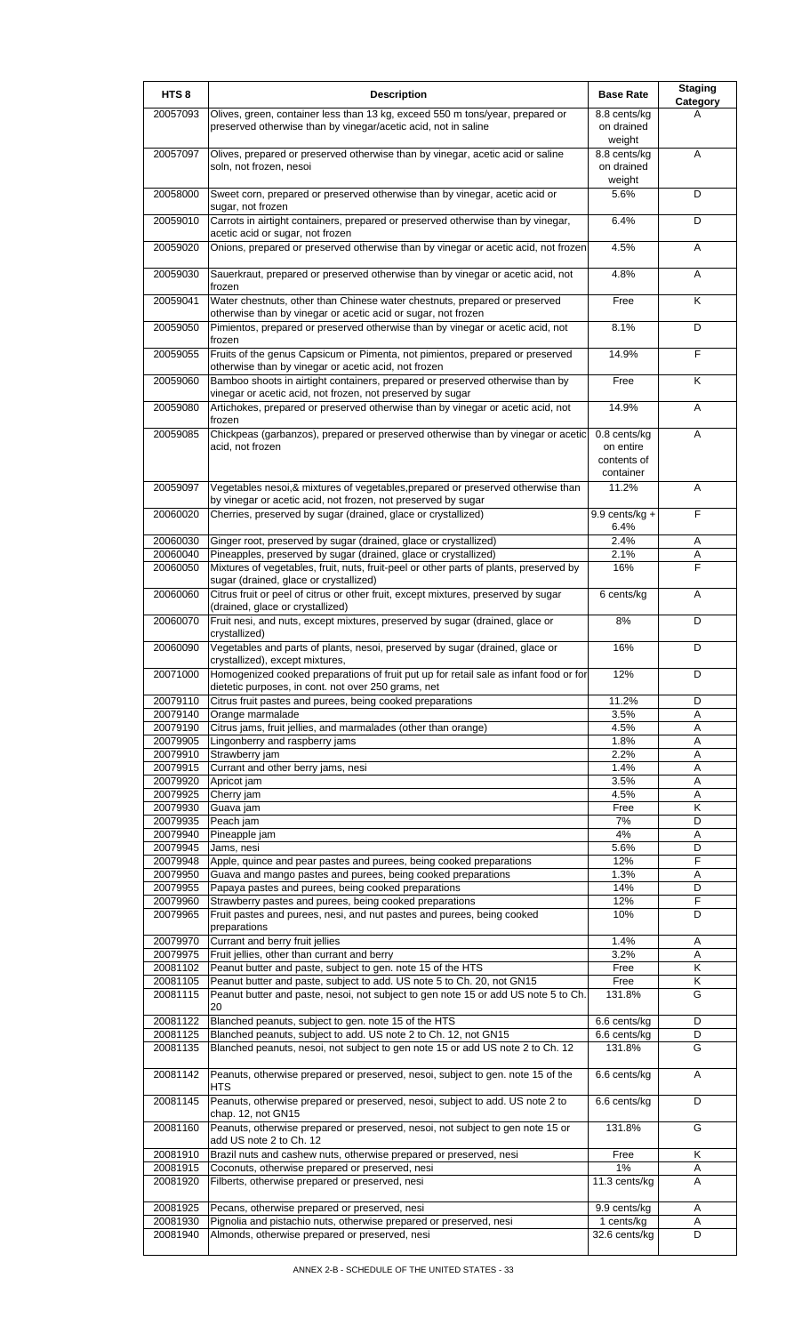| HTS <sub>8</sub>     | <b>Description</b>                                                                                                                                | <b>Base Rate</b>                                      | <b>Staging</b><br>Category |
|----------------------|---------------------------------------------------------------------------------------------------------------------------------------------------|-------------------------------------------------------|----------------------------|
| 20057093             | Olives, green, container less than 13 kg, exceed 550 m tons/year, prepared or<br>preserved otherwise than by vinegar/acetic acid, not in saline   | 8.8 cents/kg<br>on drained                            |                            |
| 20057097             | Olives, prepared or preserved otherwise than by vinegar, acetic acid or saline<br>soln, not frozen, nesoi                                         | weight<br>8.8 cents/kg<br>on drained                  | A                          |
| 20058000             | Sweet corn, prepared or preserved otherwise than by vinegar, acetic acid or                                                                       | weight<br>5.6%                                        | D                          |
| 20059010             | sugar, not frozen<br>Carrots in airtight containers, prepared or preserved otherwise than by vinegar,<br>acetic acid or sugar, not frozen         | 6.4%                                                  | D                          |
| 20059020             | Onions, prepared or preserved otherwise than by vinegar or acetic acid, not frozen                                                                | 4.5%                                                  | A                          |
| 20059030             | Sauerkraut, prepared or preserved otherwise than by vinegar or acetic acid, not<br>frozen                                                         | 4.8%                                                  | A                          |
| 20059041             | Water chestnuts, other than Chinese water chestnuts, prepared or preserved<br>otherwise than by vinegar or acetic acid or sugar, not frozen       | Free                                                  | K                          |
| 20059050             | Pimientos, prepared or preserved otherwise than by vinegar or acetic acid, not<br>frozen                                                          | 8.1%                                                  | D                          |
| 20059055             | Fruits of the genus Capsicum or Pimenta, not pimientos, prepared or preserved<br>otherwise than by vinegar or acetic acid, not frozen             | 14.9%                                                 | F                          |
| 20059060             | Bamboo shoots in airtight containers, prepared or preserved otherwise than by<br>vinegar or acetic acid, not frozen, not preserved by sugar       | Free                                                  | Κ                          |
| 20059080             | Artichokes, prepared or preserved otherwise than by vinegar or acetic acid, not<br>frozen                                                         | 14.9%                                                 | A                          |
| 20059085             | Chickpeas (garbanzos), prepared or preserved otherwise than by vinegar or acetic<br>acid, not frozen                                              | 0.8 cents/kg<br>on entire<br>contents of<br>container | A                          |
| 20059097             | Vegetables nesoi, & mixtures of vegetables, prepared or preserved otherwise than<br>by vinegar or acetic acid, not frozen, not preserved by sugar | 11.2%                                                 | A                          |
| 20060020             | Cherries, preserved by sugar (drained, glace or crystallized)                                                                                     | 9.9 cents/kg $+$<br>6.4%                              | F                          |
| 20060030             | Ginger root, preserved by sugar (drained, glace or crystallized)                                                                                  | 2.4%                                                  | Α                          |
| 20060040             | Pineapples, preserved by sugar (drained, glace or crystallized)                                                                                   | 2.1%                                                  | A                          |
| 20060050             | Mixtures of vegetables, fruit, nuts, fruit-peel or other parts of plants, preserved by<br>sugar (drained, glace or crystallized)                  | 16%                                                   | F                          |
| 20060060             | Citrus fruit or peel of citrus or other fruit, except mixtures, preserved by sugar<br>(drained, glace or crystallized)                            | 6 cents/kg                                            | A                          |
| 20060070             | Fruit nesi, and nuts, except mixtures, preserved by sugar (drained, glace or<br>crystallized)                                                     | 8%                                                    | D                          |
| 20060090             | Vegetables and parts of plants, nesoi, preserved by sugar (drained, glace or<br>crystallized), except mixtures,                                   | 16%                                                   | D                          |
| 20071000             | Homogenized cooked preparations of fruit put up for retail sale as infant food or for<br>dietetic purposes, in cont. not over 250 grams, net      | 12%                                                   | D                          |
| 20079110<br>20079140 | Citrus fruit pastes and purees, being cooked preparations<br>Orange marmalade                                                                     | 11.2%<br>3.5%                                         | D<br>A                     |
| 20079190             | Citrus jams, fruit jellies, and marmalades (other than orange)                                                                                    | 4.5%                                                  | A                          |
| 20079905             | Lingonberry and raspberry jams                                                                                                                    | 1.8%                                                  | Α                          |
| 20079910             | Strawberry jam                                                                                                                                    | 2.2%                                                  | Α                          |
| 20079915             | Currant and other berry jams, nesi                                                                                                                | 1.4%                                                  | Α                          |
| 20079920<br>20079925 | Apricot jam<br>Cherry jam                                                                                                                         | 3.5%<br>4.5%                                          | Α<br>Α                     |
| 20079930             | Guava jam                                                                                                                                         | Free                                                  | K                          |
| 20079935             | Peach jam                                                                                                                                         | 7%                                                    | D                          |
| 20079940             | Pineapple jam                                                                                                                                     | 4%                                                    | Α                          |
| 20079945<br>20079948 | Jams, nesi<br>Apple, quince and pear pastes and purees, being cooked preparations                                                                 | 5.6%<br>12%                                           | D<br>F                     |
| 20079950             | Guava and mango pastes and purees, being cooked preparations                                                                                      | 1.3%                                                  | Α                          |
| 20079955             | Papaya pastes and purees, being cooked preparations                                                                                               | 14%                                                   | D                          |
| 20079960             | Strawberry pastes and purees, being cooked preparations                                                                                           | 12%                                                   | F                          |
| 20079965             | Fruit pastes and purees, nesi, and nut pastes and purees, being cooked<br>preparations                                                            | 10%                                                   | D                          |
| 20079970             | Currant and berry fruit jellies                                                                                                                   | 1.4%                                                  | Α                          |
| 20079975<br>20081102 | Fruit jellies, other than currant and berry<br>Peanut butter and paste, subject to gen. note 15 of the HTS                                        | 3.2%<br>Free                                          | Α<br>K                     |
| 20081105             | Peanut butter and paste, subject to add. US note 5 to Ch. 20, not GN15                                                                            | Free                                                  | Κ                          |
| 20081115             | Peanut butter and paste, nesoi, not subject to gen note 15 or add US note 5 to Ch.<br>20                                                          | 131.8%                                                | G                          |
| 20081122             | Blanched peanuts, subject to gen. note 15 of the HTS                                                                                              | 6.6 cents/kg                                          | D                          |
| 20081125<br>20081135 | Blanched peanuts, subject to add. US note 2 to Ch. 12, not GN15<br>Blanched peanuts, nesoi, not subject to gen note 15 or add US note 2 to Ch. 12 | 6.6 cents/kg<br>131.8%                                | D<br>G                     |
| 20081142             | Peanuts, otherwise prepared or preserved, nesoi, subject to gen. note 15 of the<br><b>HTS</b>                                                     | 6.6 cents/kg                                          | A                          |
| 20081145             | Peanuts, otherwise prepared or preserved, nesoi, subject to add. US note 2 to                                                                     | 6.6 cents/kg                                          | D                          |
| 20081160             | chap. 12, not GN15<br>Peanuts, otherwise prepared or preserved, nesoi, not subject to gen note 15 or<br>add US note 2 to Ch. 12                   | 131.8%                                                | G                          |
| 20081910             | Brazil nuts and cashew nuts, otherwise prepared or preserved, nesi                                                                                | Free                                                  | K                          |
| 20081915<br>20081920 | Coconuts, otherwise prepared or preserved, nesi<br>Filberts, otherwise prepared or preserved, nesi                                                | 1%<br>11.3 cents/kg                                   | Α<br>A                     |
| 20081925             | Pecans, otherwise prepared or preserved, nesi                                                                                                     | 9.9 cents/kg                                          | Α                          |
| 20081930             | Pignolia and pistachio nuts, otherwise prepared or preserved, nesi                                                                                | 1 cents/kg                                            | Α                          |
| 20081940             | Almonds, otherwise prepared or preserved, nesi                                                                                                    | 32.6 cents/kg                                         | D                          |
|                      |                                                                                                                                                   |                                                       |                            |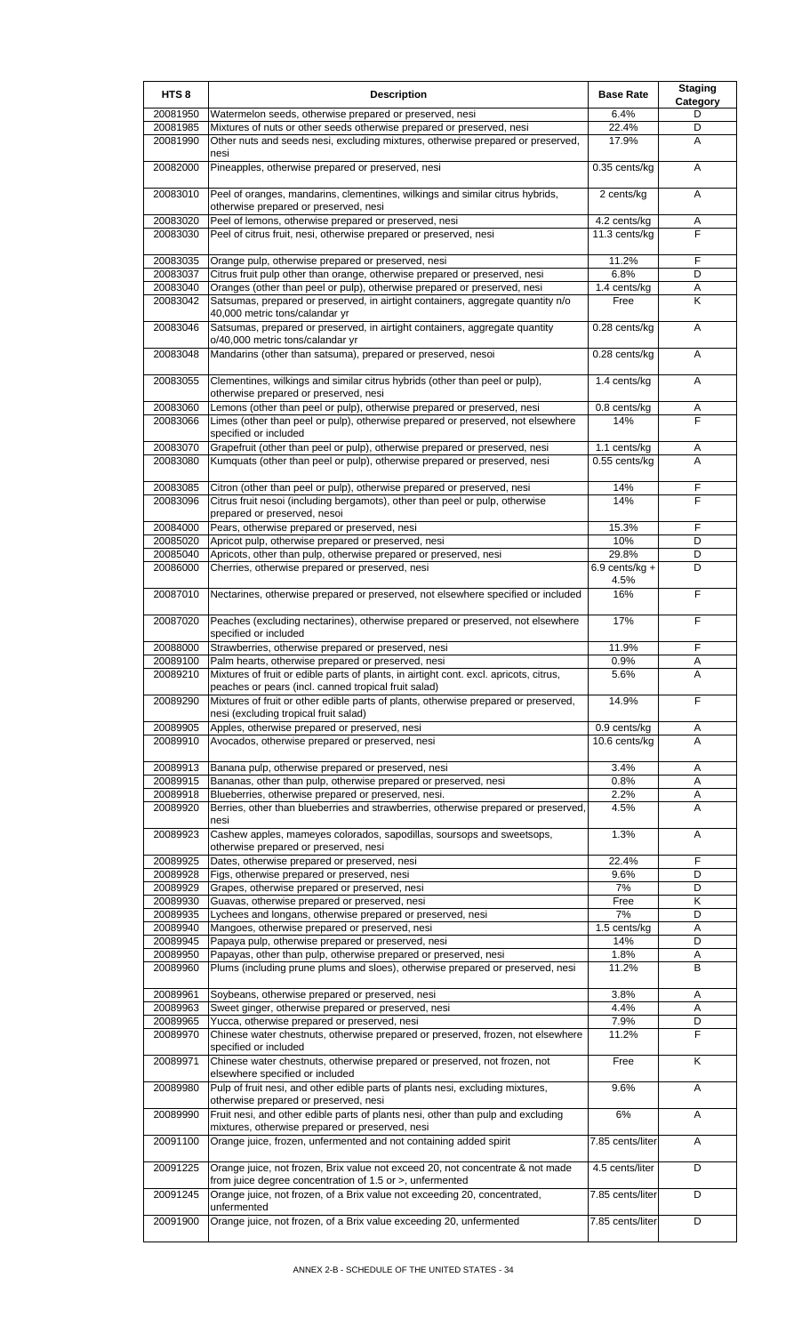| HTS <sub>8</sub>     | <b>Description</b>                                                                                                                                       | <b>Base Rate</b>          | <b>Staging</b><br>Category |
|----------------------|----------------------------------------------------------------------------------------------------------------------------------------------------------|---------------------------|----------------------------|
| 20081950             | Watermelon seeds, otherwise prepared or preserved, nesi                                                                                                  | 6.4%                      | D                          |
| 20081985             | Mixtures of nuts or other seeds otherwise prepared or preserved, nesi                                                                                    | 22.4%                     | D                          |
| 20081990             | Other nuts and seeds nesi, excluding mixtures, otherwise prepared or preserved,                                                                          | 17.9%                     | A                          |
|                      | nesi                                                                                                                                                     |                           |                            |
| 20082000             | Pineapples, otherwise prepared or preserved, nesi                                                                                                        | 0.35 cents/kg             | A                          |
| 20083010             | Peel of oranges, mandarins, clementines, wilkings and similar citrus hybrids,                                                                            | 2 cents/kg                | Α                          |
|                      | otherwise prepared or preserved, nesi                                                                                                                    |                           |                            |
| 20083020             | Peel of lemons, otherwise prepared or preserved, nesi                                                                                                    | 4.2 cents/kg              | Α                          |
| 20083030             | Peel of citrus fruit, nesi, otherwise prepared or preserved, nesi                                                                                        | 11.3 cents/kg             | F                          |
|                      |                                                                                                                                                          |                           |                            |
| 20083035<br>20083037 | Orange pulp, otherwise prepared or preserved, nesi<br>Citrus fruit pulp other than orange, otherwise prepared or preserved, nesi                         | 11.2%<br>6.8%             | F<br>D                     |
| 20083040             | Oranges (other than peel or pulp), otherwise prepared or preserved, nesi                                                                                 | 1.4 cents/kg              | Α                          |
| 20083042             | Satsumas, prepared or preserved, in airtight containers, aggregate quantity n/o                                                                          | Free                      | K                          |
|                      | 40,000 metric tons/calandar yr                                                                                                                           |                           |                            |
| 20083046             | Satsumas, prepared or preserved, in airtight containers, aggregate quantity                                                                              | 0.28 cents/kg             | Α                          |
|                      | o/40,000 metric tons/calandar yr                                                                                                                         |                           |                            |
| 20083048             | Mandarins (other than satsuma), prepared or preserved, nesoi                                                                                             | 0.28 cents/kg             | Α                          |
| 20083055             | Clementines, wilkings and similar citrus hybrids (other than peel or pulp),                                                                              | 1.4 cents/kg              | Α                          |
|                      | otherwise prepared or preserved, nesi                                                                                                                    |                           |                            |
| 20083060             | Lemons (other than peel or pulp), otherwise prepared or preserved, nesi                                                                                  | $0.8$ cents/kg            | Α                          |
| 20083066             | Limes (other than peel or pulp), otherwise prepared or preserved, not elsewhere                                                                          | 14%                       | F                          |
|                      | specified or included                                                                                                                                    |                           |                            |
| 20083070             | Grapefruit (other than peel or pulp), otherwise prepared or preserved, nesi<br>Kumquats (other than peel or pulp), otherwise prepared or preserved, nesi | 1.1 cents/kg              | A<br>A                     |
| 20083080             |                                                                                                                                                          | 0.55 cents/kg             |                            |
| 20083085             | Citron (other than peel or pulp), otherwise prepared or preserved, nesi                                                                                  | 14%                       | F                          |
| 20083096             | Citrus fruit nesoi (including bergamots), other than peel or pulp, otherwise                                                                             | 14%                       | F                          |
|                      | prepared or preserved, nesoi                                                                                                                             |                           |                            |
| 20084000             | Pears, otherwise prepared or preserved, nesi                                                                                                             | 15.3%                     | F                          |
| 20085020             | Apricot pulp, otherwise prepared or preserved, nesi                                                                                                      | 10%                       | D                          |
| 20085040<br>20086000 | Apricots, other than pulp, otherwise prepared or preserved, nesi<br>Cherries, otherwise prepared or preserved, nesi                                      | 29.8%<br>6.9 cents/kg $+$ | D<br>D                     |
|                      |                                                                                                                                                          | 4.5%                      |                            |
| 20087010             | Nectarines, otherwise prepared or preserved, not elsewhere specified or included                                                                         | 16%                       | F                          |
|                      |                                                                                                                                                          |                           |                            |
| 20087020             | Peaches (excluding nectarines), otherwise prepared or preserved, not elsewhere                                                                           | 17%                       | F                          |
|                      | specified or included                                                                                                                                    |                           |                            |
| 20088000<br>20089100 | Strawberries, otherwise prepared or preserved, nesi<br>Palm hearts, otherwise prepared or preserved, nesi                                                | 11.9%<br>0.9%             | F<br>Α                     |
| 20089210             | Mixtures of fruit or edible parts of plants, in airtight cont. excl. apricots, citrus,                                                                   | 5.6%                      | Α                          |
|                      | peaches or pears (incl. canned tropical fruit salad)                                                                                                     |                           |                            |
| 20089290             | Mixtures of fruit or other edible parts of plants, otherwise prepared or preserved,                                                                      | 14.9%                     | F                          |
|                      | nesi (excluding tropical fruit salad)                                                                                                                    |                           |                            |
| 20089905             | Apples, otherwise prepared or preserved, nesi                                                                                                            | 0.9 cents/kg              | Α                          |
| 20089910             | Avocados, otherwise prepared or preserved, nesi                                                                                                          | 10.6 cents/kg             | A                          |
| 20089913             | Banana pulp, otherwise prepared or preserved, nesi                                                                                                       | 3.4%                      | Α                          |
| 20089915             | Bananas, other than pulp, otherwise prepared or preserved, nesi                                                                                          | 0.8%                      | Α                          |
| 20089918             | Blueberries, otherwise prepared or preserved, nesi.                                                                                                      | 2.2%                      | Α                          |
| 20089920             | Berries, other than blueberries and strawberries, otherwise prepared or preserved,                                                                       | 4.5%                      | A                          |
|                      | nesi                                                                                                                                                     |                           |                            |
| 20089923             | Cashew apples, mameyes colorados, sapodillas, soursops and sweetsops,<br>otherwise prepared or preserved, nesi                                           | 1.3%                      | Α                          |
| 20089925             | Dates, otherwise prepared or preserved, nesi                                                                                                             | 22.4%                     | F                          |
| 20089928             | Figs, otherwise prepared or preserved, nesi                                                                                                              | 9.6%                      | D                          |
| 20089929             | Grapes, otherwise prepared or preserved, nesi                                                                                                            | 7%                        | D                          |
| 20089930             | Guavas, otherwise prepared or preserved, nesi                                                                                                            | Free                      | Κ                          |
| 20089935             | Lychees and longans, otherwise prepared or preserved, nesi                                                                                               | 7%                        | D                          |
| 20089940<br>20089945 | Mangoes, otherwise prepared or preserved, nesi<br>Papaya pulp, otherwise prepared or preserved, nesi                                                     | $1.5$ cents/kg<br>14%     | Α<br>D                     |
| 20089950             | Papayas, other than pulp, otherwise prepared or preserved, nesi                                                                                          | 1.8%                      | Α                          |
| 20089960             | Plums (including prune plums and sloes), otherwise prepared or preserved, nesi                                                                           | 11.2%                     | в                          |
|                      |                                                                                                                                                          |                           |                            |
| 20089961             | Soybeans, otherwise prepared or preserved, nesi                                                                                                          | 3.8%                      | Α                          |
| 20089963             | Sweet ginger, otherwise prepared or preserved, nesi<br>Yucca, otherwise prepared or preserved, nesi                                                      | 4.4%<br>7.9%              | Α<br>D                     |
| 20089965<br>20089970 | Chinese water chestnuts, otherwise prepared or preserved, frozen, not elsewhere                                                                          | 11.2%                     | F                          |
|                      | specified or included                                                                                                                                    |                           |                            |
| 20089971             | Chinese water chestnuts, otherwise prepared or preserved, not frozen, not                                                                                | Free                      | Κ                          |
|                      | elsewhere specified or included                                                                                                                          |                           |                            |
| 20089980             | Pulp of fruit nesi, and other edible parts of plants nesi, excluding mixtures,                                                                           | 9.6%                      | A                          |
| 20089990             | otherwise prepared or preserved, nesi<br>Fruit nesi, and other edible parts of plants nesi, other than pulp and excluding                                | 6%                        | Α                          |
|                      | mixtures, otherwise prepared or preserved, nesi                                                                                                          |                           |                            |
| 20091100             | Orange juice, frozen, unfermented and not containing added spirit                                                                                        | 7.85 cents/liter          | Α                          |
|                      |                                                                                                                                                          |                           |                            |
| 20091225             | Orange juice, not frozen, Brix value not exceed 20, not concentrate & not made                                                                           | 4.5 cents/liter           | D                          |
|                      | from juice degree concentration of 1.5 or >, unfermented                                                                                                 |                           |                            |
| 20091245             | Orange juice, not frozen, of a Brix value not exceeding 20, concentrated,<br>unfermented                                                                 | 7.85 cents/liter          | D                          |
| 20091900             | Orange juice, not frozen, of a Brix value exceeding 20, unfermented                                                                                      | 7.85 cents/liter          | D                          |
|                      |                                                                                                                                                          |                           |                            |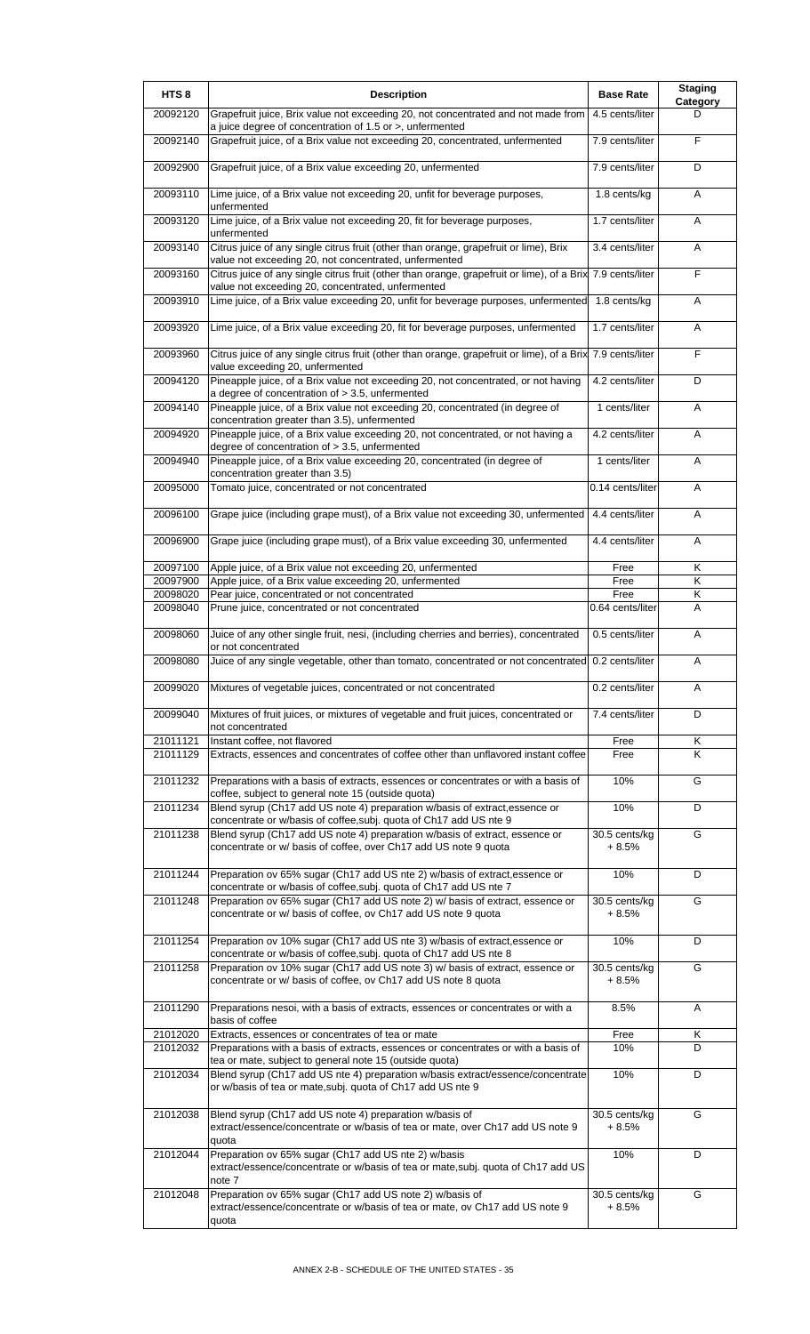| HTS <sub>8</sub>     | <b>Description</b>                                                                                                                                                                                                    | <b>Base Rate</b>         | <b>Staging</b><br>Category |
|----------------------|-----------------------------------------------------------------------------------------------------------------------------------------------------------------------------------------------------------------------|--------------------------|----------------------------|
| 20092120             | Grapefruit juice, Brix value not exceeding 20, not concentrated and not made from<br>a juice degree of concentration of 1.5 or >, unfermented                                                                         | 4.5 cents/liter          | D.                         |
| 20092140             | Grapefruit juice, of a Brix value not exceeding 20, concentrated, unfermented                                                                                                                                         | 7.9 cents/liter          | F                          |
| 20092900             | Grapefruit juice, of a Brix value exceeding 20, unfermented                                                                                                                                                           | 7.9 cents/liter          | D                          |
| 20093110             | Lime juice, of a Brix value not exceeding 20, unfit for beverage purposes,<br>unfermented                                                                                                                             | 1.8 cents/kg             | A                          |
| 20093120             | Lime juice, of a Brix value not exceeding 20, fit for beverage purposes,<br>unfermented                                                                                                                               | 1.7 cents/liter          | A                          |
| 20093140             | Citrus juice of any single citrus fruit (other than orange, grapefruit or lime), Brix<br>value not exceeding 20, not concentrated, unfermented                                                                        | 3.4 cents/liter          | Α                          |
| 20093160             | Citrus juice of any single citrus fruit (other than orange, grapefruit or lime), of a Brix 7.9 cents/liter<br>value not exceeding 20, concentrated, unfermented                                                       |                          | F                          |
| 20093910             | Lime juice, of a Brix value exceeding 20, unfit for beverage purposes, unfermented                                                                                                                                    | 1.8 cents/kg             | A                          |
| 20093920             | Lime juice, of a Brix value exceeding 20, fit for beverage purposes, unfermented                                                                                                                                      | 1.7 cents/liter          | Α                          |
| 20093960             | Citrus juice of any single citrus fruit (other than orange, grapefruit or lime), of a Brix 7.9 cents/liter<br>value exceeding 20, unfermented                                                                         |                          | F                          |
| 20094120             | Pineapple juice, of a Brix value not exceeding 20, not concentrated, or not having<br>a degree of concentration of $>$ 3.5, unfermented                                                                               | 4.2 cents/liter          | D                          |
| 20094140             | Pineapple juice, of a Brix value not exceeding 20, concentrated (in degree of<br>concentration greater than 3.5), unfermented                                                                                         | 1 cents/liter            | A                          |
| 20094920             | Pineapple juice, of a Brix value exceeding 20, not concentrated, or not having a<br>degree of concentration of $> 3.5$ , unfermented                                                                                  | 4.2 cents/liter          | A                          |
| 20094940             | Pineapple juice, of a Brix value exceeding 20, concentrated (in degree of<br>concentration greater than 3.5)                                                                                                          | 1 cents/liter            | Α                          |
| 20095000             | Tomato juice, concentrated or not concentrated                                                                                                                                                                        | 0.14 cents/liter         | A                          |
| 20096100             | Grape juice (including grape must), of a Brix value not exceeding 30, unfermented                                                                                                                                     | 4.4 cents/liter          | A                          |
| 20096900             | Grape juice (including grape must), of a Brix value exceeding 30, unfermented                                                                                                                                         | 4.4 cents/liter          | Α                          |
| 20097100             | Apple juice, of a Brix value not exceeding 20, unfermented                                                                                                                                                            | Free                     | Κ                          |
| 20097900             | Apple juice, of a Brix value exceeding 20, unfermented                                                                                                                                                                | Free                     | Κ                          |
| 20098020<br>20098040 | Pear juice, concentrated or not concentrated<br>Prune juice, concentrated or not concentrated                                                                                                                         | Free<br>0.64 cents/liter | Κ<br>A                     |
| 20098060             | Juice of any other single fruit, nesi, (including cherries and berries), concentrated                                                                                                                                 | 0.5 cents/liter          | A                          |
| 20098080             | or not concentrated<br>Juice of any single vegetable, other than tomato, concentrated or not concentrated 0.2 cents/liter                                                                                             |                          | Α                          |
| 20099020             | Mixtures of vegetable juices, concentrated or not concentrated                                                                                                                                                        | 0.2 cents/liter          | A                          |
| 20099040             | Mixtures of fruit juices, or mixtures of vegetable and fruit juices, concentrated or<br>not concentrated                                                                                                              | 7.4 cents/liter          | D                          |
| 21011121             | Instant coffee, not flavored                                                                                                                                                                                          | Free                     | Κ                          |
| 21011129             | Extracts, essences and concentrates of coffee other than unflavored instant coffee                                                                                                                                    | Free                     | Κ                          |
| 21011232             | Preparations with a basis of extracts, essences or concentrates or with a basis of<br>coffee, subject to general note 15 (outside quota)                                                                              | 10%                      | G                          |
| 21011234             | Blend syrup (Ch17 add US note 4) preparation w/basis of extract, essence or<br>concentrate or w/basis of coffee, subj. quota of Ch17 add US nte 9                                                                     | 10%                      | D                          |
| 21011238             | Blend syrup (Ch17 add US note 4) preparation w/basis of extract, essence or<br>concentrate or w/ basis of coffee, over Ch17 add US note 9 quota                                                                       | 30.5 cents/kg<br>+ 8.5%  | G                          |
| 21011244             | Preparation ov 65% sugar (Ch17 add US nte 2) w/basis of extract, essence or                                                                                                                                           | 10%                      | D                          |
| 21011248             | concentrate or w/basis of coffee, subj. quota of Ch17 add US nte 7<br>Preparation ov 65% sugar (Ch17 add US note 2) w/ basis of extract, essence or<br>concentrate or w/ basis of coffee, ov Ch17 add US note 9 quota | 30.5 cents/kg<br>+ 8.5%  | G                          |
| 21011254             | Preparation ov 10% sugar (Ch17 add US nte 3) w/basis of extract, essence or                                                                                                                                           | 10%                      | D                          |
| 21011258             | concentrate or w/basis of coffee, subj. quota of Ch17 add US nte 8<br>Preparation ov 10% sugar (Ch17 add US note 3) w/ basis of extract, essence or<br>concentrate or w/ basis of coffee, ov Ch17 add US note 8 quota | 30.5 cents/kg<br>+ 8.5%  | G                          |
| 21011290             | Preparations nesoi, with a basis of extracts, essences or concentrates or with a                                                                                                                                      | 8.5%                     | Α                          |
| 21012020             | basis of coffee<br>Extracts, essences or concentrates of tea or mate                                                                                                                                                  | Free                     | Κ                          |
| 21012032             | Preparations with a basis of extracts, essences or concentrates or with a basis of<br>tea or mate, subject to general note 15 (outside quota)                                                                         | 10%                      | D                          |
| 21012034             | Blend syrup (Ch17 add US nte 4) preparation w/basis extract/essence/concentrate<br>or w/basis of tea or mate, subj. quota of Ch17 add US nte 9                                                                        | 10%                      | D                          |
| 21012038             | Blend syrup (Ch17 add US note 4) preparation w/basis of<br>extract/essence/concentrate or w/basis of tea or mate, over Ch17 add US note 9                                                                             | 30.5 cents/kg<br>+ 8.5%  | G                          |
| 21012044             | quota<br>Preparation ov 65% sugar (Ch17 add US nte 2) w/basis                                                                                                                                                         | 10%                      | D                          |
|                      | extract/essence/concentrate or w/basis of tea or mate, subj. quota of Ch17 add US<br>note 7                                                                                                                           |                          |                            |
| 21012048             | Preparation ov 65% sugar (Ch17 add US note 2) w/basis of<br>extract/essence/concentrate or w/basis of tea or mate, ov Ch17 add US note 9<br>quota                                                                     | 30.5 cents/kg<br>+ 8.5%  | G                          |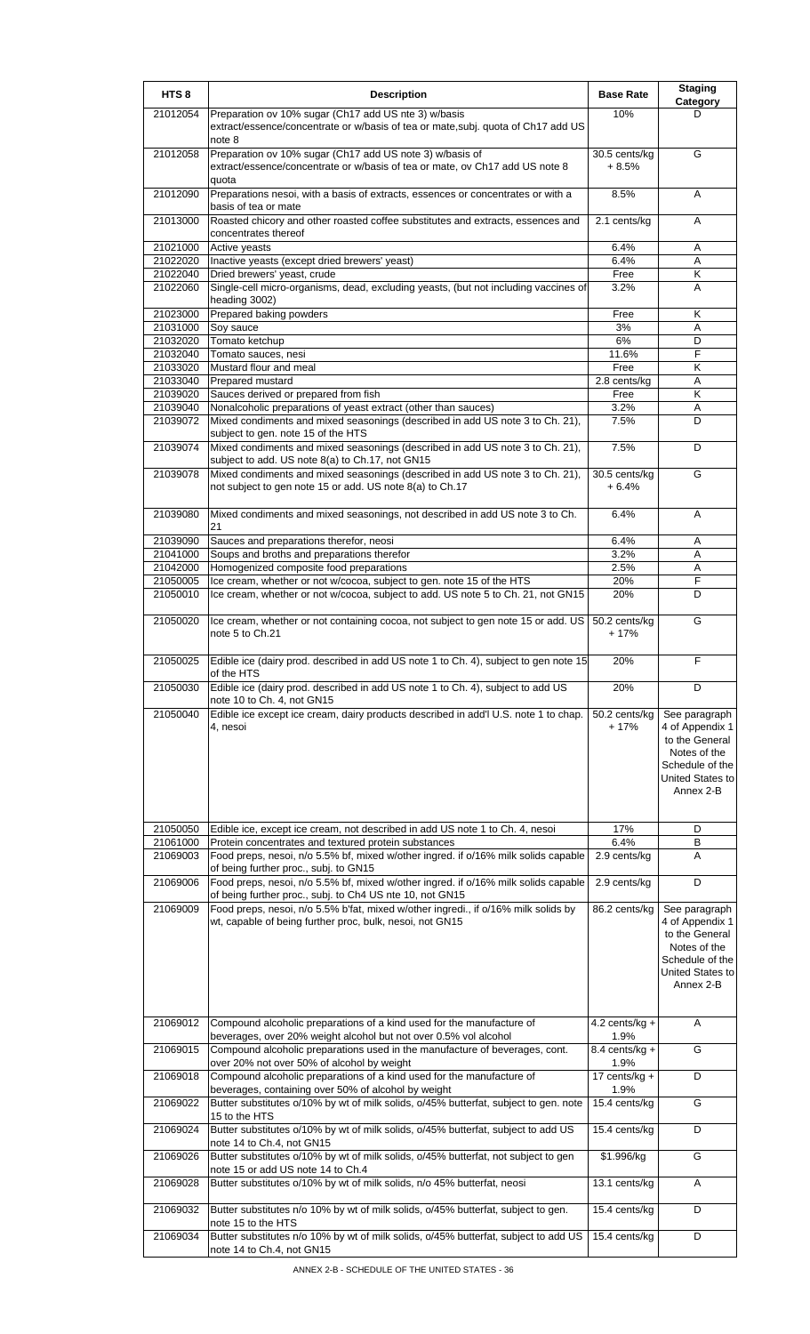| HTS <sub>8</sub>     | <b>Description</b>                                                                                                                                        | <b>Base Rate</b>         | <b>Staging</b><br>Category                                                                                             |
|----------------------|-----------------------------------------------------------------------------------------------------------------------------------------------------------|--------------------------|------------------------------------------------------------------------------------------------------------------------|
| 21012054             | Preparation ov 10% sugar (Ch17 add US nte 3) w/basis<br>extract/essence/concentrate or w/basis of tea or mate, subj. quota of Ch17 add US<br>note 8       | 10%                      | D                                                                                                                      |
| 21012058             | Preparation ov 10% sugar (Ch17 add US note 3) w/basis of<br>extract/essence/concentrate or w/basis of tea or mate, ov Ch17 add US note 8<br>quota         | 30.5 cents/ka<br>$+8.5%$ | G                                                                                                                      |
| 21012090             | Preparations nesoi, with a basis of extracts, essences or concentrates or with a<br>basis of tea or mate                                                  | 8.5%                     | A                                                                                                                      |
| 21013000             | Roasted chicory and other roasted coffee substitutes and extracts, essences and<br>concentrates thereof                                                   | 2.1 cents/kg             | A                                                                                                                      |
| 21021000             | Active yeasts                                                                                                                                             | 6.4%                     | Α                                                                                                                      |
| 21022020             | Inactive yeasts (except dried brewers' yeast)                                                                                                             | 6.4%                     | Α                                                                                                                      |
| 21022040             | Dried brewers' yeast, crude                                                                                                                               | Free                     | Κ                                                                                                                      |
| 21022060             | Single-cell micro-organisms, dead, excluding yeasts, (but not including vaccines of<br>heading 3002)                                                      | 3.2%                     | A                                                                                                                      |
| 21023000             | Prepared baking powders                                                                                                                                   | Free                     | Κ                                                                                                                      |
| 21031000             | Soy sauce                                                                                                                                                 | 3%                       | Α                                                                                                                      |
| 21032020             | Tomato ketchup                                                                                                                                            | 6%                       | D                                                                                                                      |
| 21032040             | Tomato sauces, nesi                                                                                                                                       | 11.6%                    | F                                                                                                                      |
| 21033020             | Mustard flour and meal                                                                                                                                    | Free                     | Κ                                                                                                                      |
| 21033040             | Prepared mustard                                                                                                                                          | 2.8 cents/kg             | Α                                                                                                                      |
| 21039020             | Sauces derived or prepared from fish                                                                                                                      | Free                     | K                                                                                                                      |
| 21039040             | Nonalcoholic preparations of yeast extract (other than sauces)                                                                                            | 3.2%                     | A                                                                                                                      |
| 21039072             | Mixed condiments and mixed seasonings (described in add US note 3 to Ch. 21),<br>subject to gen. note 15 of the HTS                                       | 7.5%                     | D                                                                                                                      |
| 21039074             | Mixed condiments and mixed seasonings (described in add US note 3 to Ch. 21),<br>subject to add. US note 8(a) to Ch.17, not GN15                          | 7.5%                     | D                                                                                                                      |
| 21039078             | Mixed condiments and mixed seasonings (described in add US note 3 to Ch. 21),<br>not subject to gen note 15 or add. US note 8(a) to Ch.17                 | 30.5 cents/kg<br>$+6.4%$ | G                                                                                                                      |
| 21039080             | Mixed condiments and mixed seasonings, not described in add US note 3 to Ch.<br>21                                                                        | 6.4%                     | A                                                                                                                      |
| 21039090             | Sauces and preparations therefor, neosi                                                                                                                   | 6.4%                     | Α                                                                                                                      |
| 21041000             | Soups and broths and preparations therefor                                                                                                                | 3.2%                     | Α                                                                                                                      |
| 21042000             | Homogenized composite food preparations                                                                                                                   | 2.5%                     | Α                                                                                                                      |
| 21050005<br>21050010 | Ice cream, whether or not w/cocoa, subject to gen. note 15 of the HTS<br>Ice cream, whether or not w/cocoa, subject to add. US note 5 to Ch. 21, not GN15 | 20%<br>20%               | F<br>D                                                                                                                 |
| 21050020             | Ice cream, whether or not containing cocoa, not subject to gen note 15 or add. US<br>note 5 to Ch.21                                                      | 50.2 cents/kg<br>$+17%$  | G                                                                                                                      |
| 21050025             | Edible ice (dairy prod. described in add US note 1 to Ch. 4), subject to gen note 15<br>of the HTS                                                        | 20%                      | F                                                                                                                      |
| 21050030             | Edible ice (dairy prod. described in add US note 1 to Ch. 4), subject to add US<br>note 10 to Ch. 4, not GN15                                             | 20%                      | D                                                                                                                      |
| 21050040             | Edible ice except ice cream, dairy products described in add'l U.S. note 1 to chap.<br>4. nesoi                                                           | 50.2 cents/kg<br>$+17%$  | See paragraph<br>4 of Appendix 1<br>to the General<br>Notes of the<br>Schedule of the<br>United States to<br>Annex 2-B |
| 21050050             | Edible ice, except ice cream, not described in add US note 1 to Ch. 4, nesoi                                                                              | 17%                      | D                                                                                                                      |
| 21061000             | Protein concentrates and textured protein substances                                                                                                      | 6.4%                     | В                                                                                                                      |
| 21069003             | Food preps, nesoi, n/o 5.5% bf, mixed w/other ingred. if o/16% milk solids capable<br>of being further proc., subj. to GN15                               | 2.9 cents/kg             | Α                                                                                                                      |
| 21069006             | Food preps, nesoi, n/o 5.5% bf, mixed w/other ingred. if o/16% milk solids capable<br>of being further proc., subj. to Ch4 US nte 10, not GN15            | 2.9 cents/kg             | D                                                                                                                      |
| 21069009             | Food preps, nesoi, n/o 5.5% b'fat, mixed w/other ingredi., if o/16% milk solids by<br>wt, capable of being further proc, bulk, nesoi, not GN15            | 86.2 cents/kg            | See paragraph<br>4 of Appendix 1<br>to the General<br>Notes of the<br>Schedule of the<br>United States to<br>Annex 2-B |
| 21069012             | Compound alcoholic preparations of a kind used for the manufacture of<br>beverages, over 20% weight alcohol but not over 0.5% vol alcohol                 | 4.2 cents/kg $+$<br>1.9% | Α                                                                                                                      |
| 21069015             | Compound alcoholic preparations used in the manufacture of beverages, cont.<br>over 20% not over 50% of alcohol by weight                                 | 8.4 cents/kg +<br>1.9%   | G                                                                                                                      |
| 21069018             | Compound alcoholic preparations of a kind used for the manufacture of<br>beverages, containing over 50% of alcohol by weight                              | 17 cents/kg +<br>1.9%    | D                                                                                                                      |
| 21069022             | Butter substitutes o/10% by wt of milk solids, o/45% butterfat, subject to gen. note<br>15 to the HTS                                                     | 15.4 cents/kg            | G                                                                                                                      |
| 21069024             | Butter substitutes o/10% by wt of milk solids, o/45% butterfat, subject to add US<br>note 14 to Ch.4, not GN15                                            | 15.4 cents/kg            | D                                                                                                                      |
| 21069026             | Butter substitutes o/10% by wt of milk solids, o/45% butterfat, not subject to gen<br>note 15 or add US note 14 to Ch.4                                   | \$1.996/kg               | G                                                                                                                      |
| 21069028             | Butter substitutes o/10% by wt of milk solids, n/o 45% butterfat, neosi                                                                                   | 13.1 cents/kg            | Α                                                                                                                      |
| 21069032             | Butter substitutes n/o 10% by wt of milk solids, o/45% butterfat, subject to gen.<br>note 15 to the HTS                                                   | 15.4 cents/kg            | D                                                                                                                      |
| 21069034             | Butter substitutes n/o 10% by wt of milk solids, o/45% butterfat, subject to add US<br>note 14 to Ch.4, not GN15                                          | 15.4 cents/kg            | D                                                                                                                      |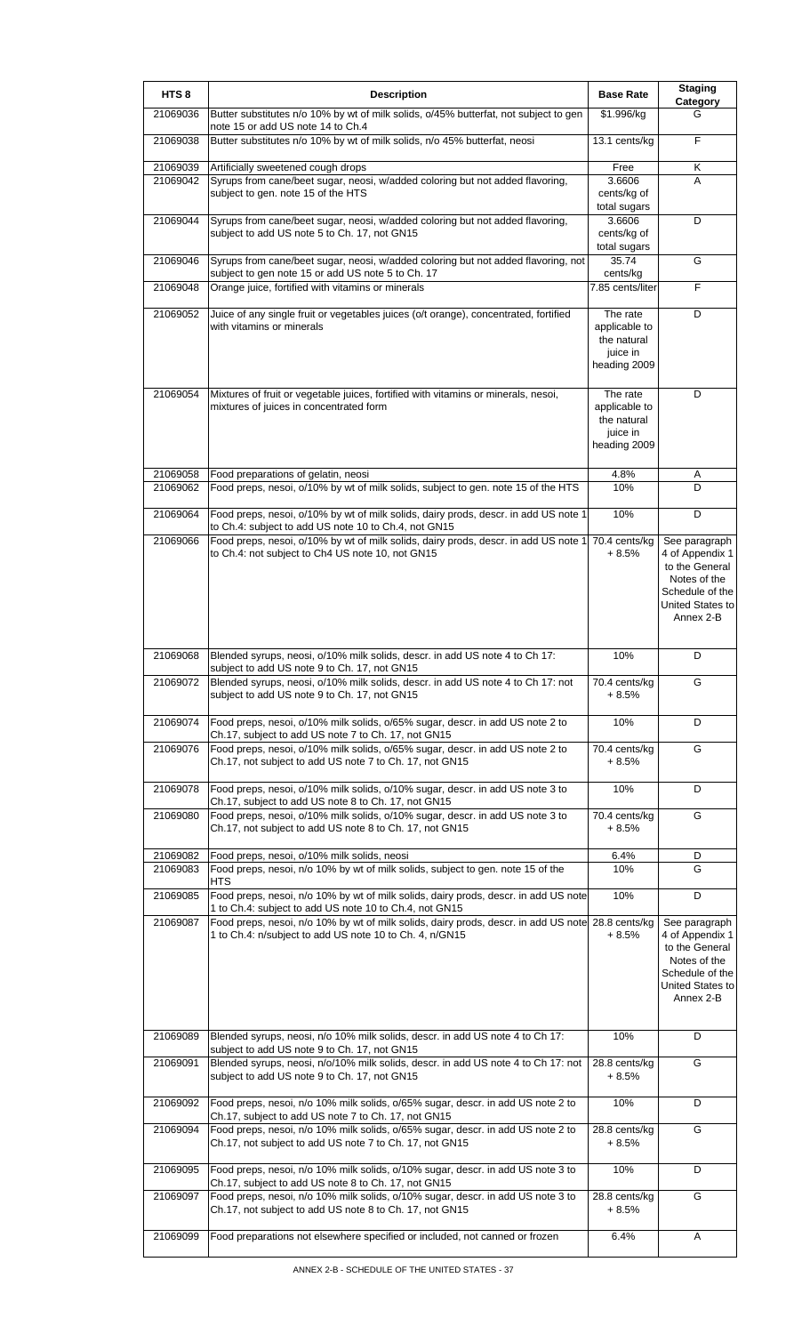| HTS <sub>8</sub> | <b>Description</b>                                                                                                                                           | <b>Base Rate</b>                                                     | <b>Staging</b><br><b>Category</b>                                                                                      |
|------------------|--------------------------------------------------------------------------------------------------------------------------------------------------------------|----------------------------------------------------------------------|------------------------------------------------------------------------------------------------------------------------|
| 21069036         | Butter substitutes n/o 10% by wt of milk solids, o/45% butterfat, not subject to gen<br>note 15 or add US note 14 to Ch.4                                    | \$1.996/kg                                                           | G                                                                                                                      |
| 21069038         | Butter substitutes n/o 10% by wt of milk solids, n/o 45% butterfat, neosi                                                                                    | 13.1 cents/kg                                                        | F                                                                                                                      |
| 21069039         | Artificially sweetened cough drops                                                                                                                           | Free                                                                 | Κ                                                                                                                      |
| 21069042         | Syrups from cane/beet sugar, neosi, w/added coloring but not added flavoring,<br>subject to gen. note 15 of the HTS                                          | 3.6606<br>cents/kg of<br>total sugars                                | Α                                                                                                                      |
| 21069044         | Syrups from cane/beet sugar, neosi, w/added coloring but not added flavoring,<br>subject to add US note 5 to Ch. 17, not GN15                                | 3.6606<br>cents/kg of<br>total sugars                                | D                                                                                                                      |
| 21069046         | Syrups from cane/beet sugar, neosi, w/added coloring but not added flavoring, not<br>subject to gen note 15 or add US note 5 to Ch. 17                       | 35.74<br>cents/kg                                                    | G                                                                                                                      |
| 21069048         | Orange juice, fortified with vitamins or minerals                                                                                                            | 7.85 cents/liter                                                     | F                                                                                                                      |
| 21069052         | Juice of any single fruit or vegetables juices (o/t orange), concentrated, fortified<br>with vitamins or minerals                                            | The rate<br>applicable to<br>the natural<br>juice in<br>heading 2009 | D                                                                                                                      |
| 21069054         | Mixtures of fruit or vegetable juices, fortified with vitamins or minerals, nesoi,<br>mixtures of juices in concentrated form                                | The rate<br>applicable to<br>the natural<br>juice in<br>heading 2009 | D                                                                                                                      |
| 21069058         | Food preparations of gelatin, neosi                                                                                                                          | 4.8%                                                                 | Α                                                                                                                      |
| 21069062         | Food preps, nesoi, o/10% by wt of milk solids, subject to gen. note 15 of the HTS                                                                            | 10%                                                                  | D                                                                                                                      |
| 21069064         | Food preps, nesoi, o/10% by wt of milk solids, dairy prods, descr. in add US note 1<br>to Ch.4: subject to add US note 10 to Ch.4, not GN15                  | 10%                                                                  | D                                                                                                                      |
| 21069066         | Food preps, nesoi, o/10% by wt of milk solids, dairy prods, descr. in add US note 1<br>to Ch.4: not subject to Ch4 US note 10, not GN15                      | 70.4 cents/kg<br>$+8.5%$                                             | See paragraph<br>4 of Appendix 1<br>to the General<br>Notes of the<br>Schedule of the<br>United States to<br>Annex 2-B |
| 21069068         | Blended syrups, neosi, o/10% milk solids, descr. in add US note 4 to Ch 17:<br>subject to add US note 9 to Ch. 17, not GN15                                  | 10%                                                                  | D                                                                                                                      |
| 21069072         | Blended syrups, neosi, o/10% milk solids, descr. in add US note 4 to Ch 17: not<br>subject to add US note 9 to Ch. 17, not GN15                              | 70.4 cents/kg<br>+ 8.5%                                              | G                                                                                                                      |
| 21069074         | Food preps, nesoi, o/10% milk solids, o/65% sugar, descr. in add US note 2 to<br>Ch.17, subject to add US note 7 to Ch. 17, not GN15                         | 10%                                                                  | D                                                                                                                      |
| 21069076         | Food preps, nesoi, o/10% milk solids, o/65% sugar, descr. in add US note 2 to<br>Ch.17, not subject to add US note 7 to Ch. 17, not GN15                     | 70.4 cents/kg<br>+ 8.5%                                              | G                                                                                                                      |
| 21069078         | Food preps, nesoi, o/10% milk solids, o/10% sugar, descr. in add US note 3 to<br>Ch.17, subject to add US note 8 to Ch. 17, not GN15                         | 10%                                                                  | D                                                                                                                      |
| 21069080         | Food preps, nesoi, o/10% milk solids, o/10% sugar, descr. in add US note 3 to<br>Ch.17, not subject to add US note 8 to Ch. 17, not GN15                     | 70.4 cents/kg<br>$+8.5%$                                             | G                                                                                                                      |
| 21069082         | Food preps, nesoi, o/10% milk solids, neosi                                                                                                                  | 6.4%                                                                 | D                                                                                                                      |
| 21069083         | Food preps, nesoi, n/o 10% by wt of milk solids, subject to gen. note 15 of the<br>HTS                                                                       | 10%                                                                  | G                                                                                                                      |
| 21069085         | Food preps, nesoi, n/o 10% by wt of milk solids, dairy prods, descr. in add US note<br>1 to Ch.4: subject to add US note 10 to Ch.4, not GN15                | 10%                                                                  | D                                                                                                                      |
| 21069087         | Food preps, nesoi, n/o 10% by wt of milk solids, dairy prods, descr. in add US note 28.8 cents/kg<br>1 to Ch.4: n/subject to add US note 10 to Ch. 4, n/GN15 | + 8.5%                                                               | See paragraph<br>4 of Appendix 1<br>to the General<br>Notes of the<br>Schedule of the<br>United States to<br>Annex 2-B |
| 21069089         | Blended syrups, neosi, n/o 10% milk solids, descr. in add US note 4 to Ch 17:<br>subject to add US note 9 to Ch. 17, not GN15                                | 10%                                                                  | D                                                                                                                      |
| 21069091         | Blended syrups, neosi, n/o/10% milk solids, descr. in add US note 4 to Ch 17: not<br>subject to add US note 9 to Ch. 17, not GN15                            | 28.8 cents/kg<br>+ 8.5%                                              | G                                                                                                                      |
| 21069092         | Food preps, nesoi, n/o 10% milk solids, o/65% sugar, descr. in add US note 2 to<br>Ch.17, subject to add US note 7 to Ch. 17, not GN15                       | 10%                                                                  | D                                                                                                                      |
| 21069094         | Food preps, nesoi, n/o 10% milk solids, o/65% sugar, descr. in add US note 2 to<br>Ch.17, not subject to add US note 7 to Ch. 17, not GN15                   | 28.8 cents/kg<br>$+8.5%$                                             | G                                                                                                                      |
| 21069095         | Food preps, nesoi, n/o 10% milk solids, o/10% sugar, descr. in add US note 3 to<br>Ch.17, subject to add US note 8 to Ch. 17, not GN15                       | 10%                                                                  | D                                                                                                                      |
| 21069097         | Food preps, nesoi, n/o 10% milk solids, o/10% sugar, descr. in add US note 3 to<br>Ch.17, not subject to add US note 8 to Ch. 17, not GN15                   | 28.8 cents/kg<br>$+8.5%$                                             | G                                                                                                                      |
| 21069099         | Food preparations not elsewhere specified or included, not canned or frozen                                                                                  | 6.4%                                                                 | Α                                                                                                                      |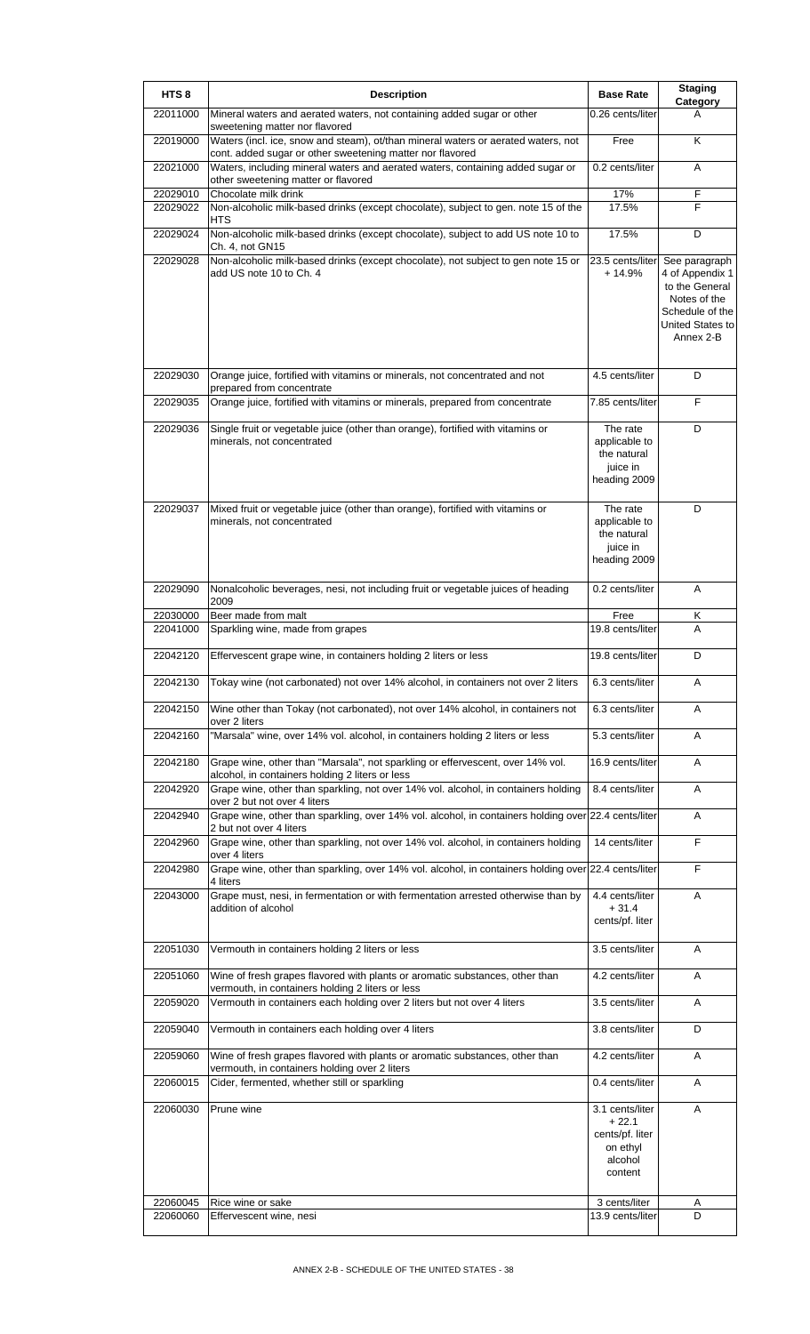| HTS <sub>8</sub>     | <b>Description</b>                                                                                                                             | <b>Base Rate</b>                                                                | <b>Staging</b><br>Category                                                                                             |
|----------------------|------------------------------------------------------------------------------------------------------------------------------------------------|---------------------------------------------------------------------------------|------------------------------------------------------------------------------------------------------------------------|
| 22011000             | Mineral waters and aerated waters, not containing added sugar or other<br>sweetening matter nor flavored                                       | 0.26 cents/liter                                                                | А                                                                                                                      |
| 22019000             | Waters (incl. ice, snow and steam), ot/than mineral waters or aerated waters, not<br>cont. added sugar or other sweetening matter nor flavored | Free                                                                            | Κ                                                                                                                      |
| 22021000             | Waters, including mineral waters and aerated waters, containing added sugar or<br>other sweetening matter or flavored                          | 0.2 cents/liter                                                                 | Α                                                                                                                      |
| 22029010             | Chocolate milk drink                                                                                                                           | 17%                                                                             | F                                                                                                                      |
| 22029022             | Non-alcoholic milk-based drinks (except chocolate), subject to gen. note 15 of the<br>HTS                                                      | 17.5%                                                                           | F                                                                                                                      |
| 22029024             | Non-alcoholic milk-based drinks (except chocolate), subject to add US note 10 to<br>Ch. 4, not GN15                                            | 17.5%                                                                           | D                                                                                                                      |
| 22029028             | Non-alcoholic milk-based drinks (except chocolate), not subject to gen note 15 or<br>add US note 10 to Ch. 4                                   | 23.5 cents/liter<br>$+14.9%$                                                    | See paragraph<br>4 of Appendix 1<br>to the General<br>Notes of the<br>Schedule of the<br>United States to<br>Annex 2-B |
| 22029030             | Orange juice, fortified with vitamins or minerals, not concentrated and not<br>prepared from concentrate                                       | 4.5 cents/liter                                                                 | D                                                                                                                      |
| 22029035             | Orange juice, fortified with vitamins or minerals, prepared from concentrate                                                                   | 7.85 cents/liter                                                                | F                                                                                                                      |
| 22029036             | Single fruit or vegetable juice (other than orange), fortified with vitamins or<br>minerals, not concentrated                                  | The rate<br>applicable to<br>the natural<br>juice in<br>heading 2009            | D                                                                                                                      |
| 22029037             | Mixed fruit or vegetable juice (other than orange), fortified with vitamins or<br>minerals, not concentrated                                   | The rate<br>applicable to<br>the natural<br>juice in<br>heading 2009            | D                                                                                                                      |
| 22029090             | Nonalcoholic beverages, nesi, not including fruit or vegetable juices of heading<br>2009                                                       | 0.2 cents/liter                                                                 | Α                                                                                                                      |
| 22030000             | Beer made from malt                                                                                                                            | Free                                                                            | Κ                                                                                                                      |
| 22041000             | Sparkling wine, made from grapes                                                                                                               | 19.8 cents/liter                                                                | A                                                                                                                      |
| 22042120             | Effervescent grape wine, in containers holding 2 liters or less                                                                                | 19.8 cents/liter                                                                | D                                                                                                                      |
| 22042130             | Tokay wine (not carbonated) not over 14% alcohol, in containers not over 2 liters                                                              | 6.3 cents/liter                                                                 | A                                                                                                                      |
| 22042150             | Wine other than Tokay (not carbonated), not over 14% alcohol, in containers not<br>over 2 liters                                               | 6.3 cents/liter                                                                 | Α                                                                                                                      |
| 22042160             | "Marsala" wine, over 14% vol. alcohol, in containers holding 2 liters or less                                                                  | 5.3 cents/liter                                                                 | A                                                                                                                      |
| 22042180             | Grape wine, other than "Marsala", not sparkling or effervescent, over 14% vol.<br>alcohol, in containers holding 2 liters or less              | 16.9 cents/liter                                                                | Α                                                                                                                      |
| 22042920             | Grape wine, other than sparkling, not over 14% vol. alcohol, in containers holding<br>over 2 but not over 4 liters                             | 8.4 cents/liter                                                                 | Α                                                                                                                      |
| 22042940             | Grape wine, other than sparkling, over 14% vol. alcohol, in containers holding over 22.4 cents/liter<br>2 but not over 4 liters                |                                                                                 | A                                                                                                                      |
| 22042960             | Grape wine, other than sparkling, not over 14% vol. alcohol, in containers holding<br>over 4 liters                                            | 14 cents/liter                                                                  | F                                                                                                                      |
| 22042980             | Grape wine, other than sparkling, over 14% vol. alcohol, in containers holding over 22.4 cents/liter<br>4 liters                               |                                                                                 | $\overline{F}$                                                                                                         |
| 22043000             | Grape must, nesi, in fermentation or with fermentation arrested otherwise than by<br>addition of alcohol                                       | 4.4 cents/liter<br>$+31.4$<br>cents/pf. liter                                   | Α                                                                                                                      |
| 22051030             | Vermouth in containers holding 2 liters or less                                                                                                | 3.5 cents/liter                                                                 | Α                                                                                                                      |
| 22051060             | Wine of fresh grapes flavored with plants or aromatic substances, other than<br>vermouth, in containers holding 2 liters or less               | 4.2 cents/liter                                                                 | Α                                                                                                                      |
| 22059020             | Vermouth in containers each holding over 2 liters but not over 4 liters                                                                        | 3.5 cents/liter                                                                 | Α                                                                                                                      |
| 22059040             | Vermouth in containers each holding over 4 liters                                                                                              | 3.8 cents/liter                                                                 | D                                                                                                                      |
| 22059060             | Wine of fresh grapes flavored with plants or aromatic substances, other than<br>vermouth, in containers holding over 2 liters                  | 4.2 cents/liter                                                                 | Α                                                                                                                      |
| 22060015             | Cider, fermented, whether still or sparkling                                                                                                   | 0.4 cents/liter                                                                 | Α                                                                                                                      |
| 22060030             | Prune wine                                                                                                                                     | 3.1 cents/liter<br>$+22.1$<br>cents/pf. liter<br>on ethyl<br>alcohol<br>content | A                                                                                                                      |
| 22060045<br>22060060 | Rice wine or sake<br>Effervescent wine, nesi                                                                                                   | 3 cents/liter<br>13.9 cents/liter                                               | Α<br>D                                                                                                                 |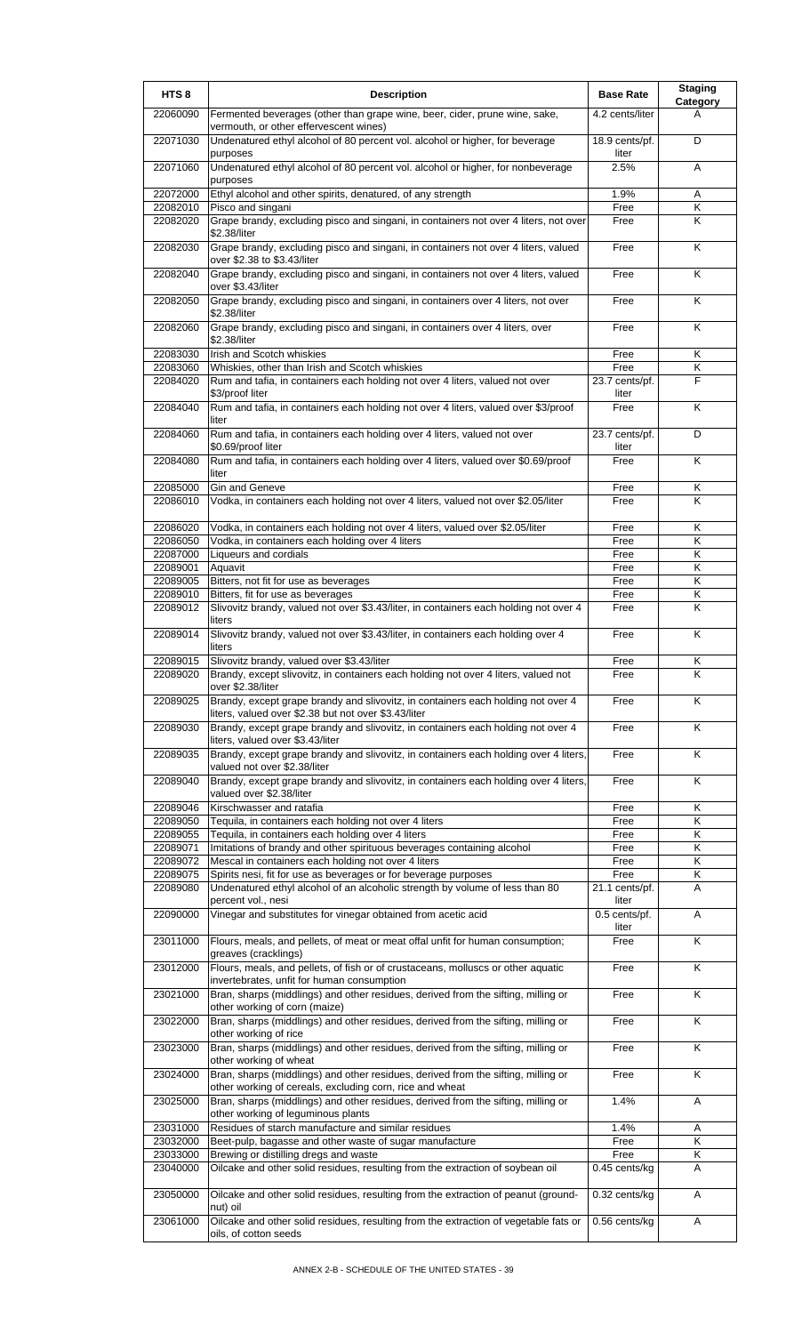| HTS <sub>8</sub>     | <b>Description</b>                                                                                                                              | <b>Base Rate</b>        | <b>Staging</b><br>Category |
|----------------------|-------------------------------------------------------------------------------------------------------------------------------------------------|-------------------------|----------------------------|
| 22060090             | Fermented beverages (other than grape wine, beer, cider, prune wine, sake,<br>vermouth, or other effervescent wines)                            | 4.2 cents/liter         | A                          |
| 22071030             | Undenatured ethyl alcohol of 80 percent vol. alcohol or higher, for beverage<br>purposes                                                        | 18.9 cents/pf.<br>liter | D                          |
| 22071060             | Undenatured ethyl alcohol of 80 percent vol. alcohol or higher, for nonbeverage<br>purposes                                                     | 2.5%                    | A                          |
| 22072000             | Ethyl alcohol and other spirits, denatured, of any strength                                                                                     | 1.9%                    | Α                          |
| 22082010             | Pisco and singani                                                                                                                               | Free                    | Κ                          |
| 22082020             | Grape brandy, excluding pisco and singani, in containers not over 4 liters, not over<br>\$2.38/liter                                            | Free                    | Κ                          |
| 22082030             | Grape brandy, excluding pisco and singani, in containers not over 4 liters, valued<br>over \$2.38 to \$3.43/liter                               | Free                    | Κ                          |
| 22082040             | Grape brandy, excluding pisco and singani, in containers not over 4 liters, valued<br>over \$3.43/liter                                         | Free                    | Κ                          |
| 22082050             | Grape brandy, excluding pisco and singani, in containers over 4 liters, not over<br>\$2.38/liter                                                | Free                    | Κ                          |
| 22082060             | Grape brandy, excluding pisco and singani, in containers over 4 liters, over<br>\$2.38/liter                                                    | Free                    | K                          |
| 22083030             | Irish and Scotch whiskies                                                                                                                       | Free                    | Κ                          |
| 22083060             | Whiskies, other than Irish and Scotch whiskies                                                                                                  | Free                    | Κ<br>F                     |
| 22084020             | Rum and tafia, in containers each holding not over 4 liters, valued not over<br>\$3/proof liter                                                 | 23.7 cents/pf.<br>liter |                            |
| 22084040             | Rum and tafia, in containers each holding not over 4 liters, valued over \$3/proof<br>liter                                                     | Free                    | K                          |
| 22084060             | Rum and tafia, in containers each holding over 4 liters, valued not over<br>\$0.69/proof liter                                                  | 23.7 cents/pf.<br>liter | D                          |
| 22084080             | Rum and tafia, in containers each holding over 4 liters, valued over \$0.69/proof<br>liter                                                      | Free                    | Κ                          |
| 22085000             | <b>Gin and Geneve</b>                                                                                                                           | Free                    | Κ                          |
| 22086010             | Vodka, in containers each holding not over 4 liters, valued not over \$2.05/liter                                                               | Free                    | K                          |
| 22086020             | Vodka, in containers each holding not over 4 liters, valued over \$2.05/liter                                                                   | Free                    | Κ                          |
| 22086050             | Vodka, in containers each holding over 4 liters                                                                                                 | Free                    | Κ                          |
| 22087000             | Liqueurs and cordials                                                                                                                           | Free                    | Κ                          |
| 22089001<br>22089005 | Aquavit<br>Bitters, not fit for use as beverages                                                                                                | Free<br>Free            | K<br>Κ                     |
| 22089010             | Bitters, fit for use as beverages                                                                                                               | Free                    | Κ                          |
| 22089012             | Slivovitz brandy, valued not over \$3.43/liter, in containers each holding not over 4                                                           | Free                    | K                          |
| 22089014             | liters<br>Slivovitz brandy, valued not over \$3.43/liter, in containers each holding over 4                                                     | Free                    | Κ                          |
| 22089015             | liters<br>Slivovitz brandy, valued over \$3.43/liter                                                                                            | Free                    | Κ                          |
| 22089020             | Brandy, except slivovitz, in containers each holding not over 4 liters, valued not                                                              | Free                    | Κ                          |
| 22089025             | over \$2.38/liter<br>Brandy, except grape brandy and slivovitz, in containers each holding not over 4                                           | Free                    | K                          |
| 22089030             | liters, valued over \$2.38 but not over \$3.43/liter<br>Brandy, except grape brandy and slivovitz, in containers each holding not over 4        | Free                    | Κ                          |
| 22089035             | liters, valued over \$3.43/liter<br>Brandy, except grape brandy and slivovitz, in containers each holding over 4 liters,                        | Free                    | Κ                          |
| 22089040             | valued not over \$2.38/liter<br>Brandy, except grape brandy and slivovitz, in containers each holding over 4 liters,                            | Free                    | Κ                          |
|                      | valued over \$2.38/liter<br>Kirschwasser and ratafia                                                                                            |                         | Κ                          |
| 22089046<br>22089050 | Tequila, in containers each holding not over 4 liters                                                                                           | Free<br>Free            | Κ                          |
| 22089055             | Tequila, in containers each holding over 4 liters                                                                                               | Free                    | Κ                          |
| 22089071             | Imitations of brandy and other spirituous beverages containing alcohol                                                                          | Free                    | Κ                          |
| 22089072             | Mescal in containers each holding not over 4 liters                                                                                             | Free                    | K                          |
| 22089075<br>22089080 | Spirits nesi, fit for use as beverages or for beverage purposes<br>Undenatured ethyl alcohol of an alcoholic strength by volume of less than 80 | Free<br>21.1 cents/pf.  | Κ<br>A                     |
| 22090000             | percent vol., nesi<br>Vinegar and substitutes for vinegar obtained from acetic acid                                                             | liter<br>0.5 cents/pf.  | Α                          |
| 23011000             | Flours, meals, and pellets, of meat or meat offal unfit for human consumption;                                                                  | liter<br>Free           | K                          |
|                      | greaves (cracklings)                                                                                                                            |                         |                            |
| 23012000             | Flours, meals, and pellets, of fish or of crustaceans, molluscs or other aquatic<br>invertebrates, unfit for human consumption                  | Free                    | Κ                          |
| 23021000             | Bran, sharps (middlings) and other residues, derived from the sifting, milling or<br>other working of corn (maize)                              | Free                    | K                          |
| 23022000             | Bran, sharps (middlings) and other residues, derived from the sifting, milling or<br>other working of rice                                      | Free                    | Κ                          |
| 23023000             | Bran, sharps (middlings) and other residues, derived from the sifting, milling or<br>other working of wheat                                     | Free                    | Κ                          |
| 23024000             | Bran, sharps (middlings) and other residues, derived from the sifting, milling or<br>other working of cereals, excluding corn, rice and wheat   | Free                    | K                          |
| 23025000             | Bran, sharps (middlings) and other residues, derived from the sifting, milling or<br>other working of leguminous plants                         | 1.4%                    | Α                          |
| 23031000             | Residues of starch manufacture and similar residues                                                                                             | 1.4%                    | Α                          |
| 23032000             | Beet-pulp, bagasse and other waste of sugar manufacture                                                                                         | Free                    | Κ                          |
| 23033000<br>23040000 | Brewing or distilling dregs and waste<br>Oilcake and other solid residues, resulting from the extraction of soybean oil                         | Free<br>0.45 cents/kg   | Κ<br>Α                     |
| 23050000             | Oilcake and other solid residues, resulting from the extraction of peanut (ground-                                                              | 0.32 cents/kg           | Α                          |
| 23061000             | nut) oil<br>Oilcake and other solid residues, resulting from the extraction of vegetable fats or                                                | 0.56 cents/kg           | Α                          |
|                      | oils, of cotton seeds                                                                                                                           |                         |                            |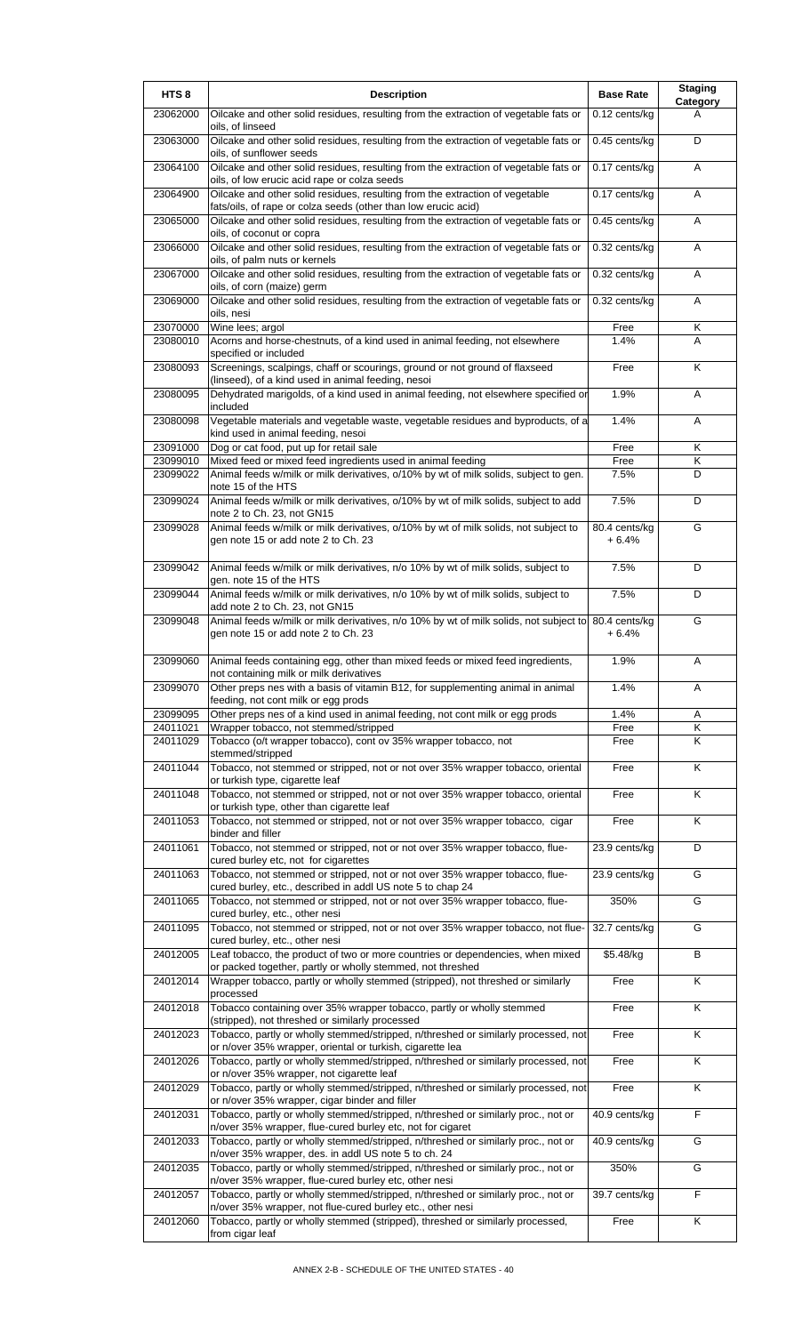| HTS <sub>8</sub> | <b>Description</b>                                                                                                                                              | <b>Base Rate</b>         | <b>Staging</b><br>Category |
|------------------|-----------------------------------------------------------------------------------------------------------------------------------------------------------------|--------------------------|----------------------------|
| 23062000         | Oilcake and other solid residues, resulting from the extraction of vegetable fats or<br>oils, of linseed                                                        | 0.12 cents/kg            | A                          |
| 23063000         | Oilcake and other solid residues, resulting from the extraction of vegetable fats or<br>oils, of sunflower seeds                                                | 0.45 cents/kg            | D                          |
| 23064100         | Oilcake and other solid residues, resulting from the extraction of vegetable fats or<br>oils, of low erucic acid rape or colza seeds                            | 0.17 cents/kg            | A                          |
| 23064900         | Oilcake and other solid residues, resulting from the extraction of vegetable<br>fats/oils, of rape or colza seeds (other than low erucic acid)                  | 0.17 cents/kg            | A                          |
| 23065000         | Oilcake and other solid residues, resulting from the extraction of vegetable fats or<br>oils, of coconut or copra                                               | 0.45 cents/kg            | A                          |
| 23066000         | Oilcake and other solid residues, resulting from the extraction of vegetable fats or<br>oils, of palm nuts or kernels                                           | 0.32 cents/kg            | Α                          |
| 23067000         | Oilcake and other solid residues, resulting from the extraction of vegetable fats or<br>oils, of corn (maize) germ                                              | 0.32 cents/kg            | A                          |
| 23069000         | Oilcake and other solid residues, resulting from the extraction of vegetable fats or<br>oils, nesi                                                              | 0.32 cents/kg            | Α                          |
| 23070000         | Wine lees; argol                                                                                                                                                | Free                     | Κ                          |
| 23080010         | Acorns and horse-chestnuts, of a kind used in animal feeding, not elsewhere<br>specified or included                                                            | 1.4%                     | A                          |
| 23080093         | Screenings, scalpings, chaff or scourings, ground or not ground of flaxseed<br>(linseed), of a kind used in animal feeding, nesoi                               | Free                     | K                          |
| 23080095         | Dehydrated marigolds, of a kind used in animal feeding, not elsewhere specified or<br>included                                                                  | 1.9%                     | Α                          |
| 23080098         | Vegetable materials and vegetable waste, vegetable residues and byproducts, of a<br>kind used in animal feeding, nesoi                                          | 1.4%                     | Α                          |
| 23091000         | Dog or cat food, put up for retail sale                                                                                                                         | Free                     | Κ                          |
| 23099010         | Mixed feed or mixed feed ingredients used in animal feeding                                                                                                     | Free                     | Κ                          |
| 23099022         | Animal feeds w/milk or milk derivatives, o/10% by wt of milk solids, subject to gen.<br>note 15 of the HTS                                                      | 7.5%                     | D                          |
| 23099024         | Animal feeds w/milk or milk derivatives, o/10% by wt of milk solids, subject to add<br>note 2 to Ch. 23, not GN15                                               | 7.5%                     | D                          |
| 23099028         | Animal feeds w/milk or milk derivatives, o/10% by wt of milk solids, not subject to<br>gen note 15 or add note 2 to Ch. 23                                      | 80.4 cents/kg<br>$+6.4%$ | G                          |
| 23099042         | Animal feeds w/milk or milk derivatives, n/o 10% by wt of milk solids, subject to<br>gen. note 15 of the HTS                                                    | 7.5%                     | D                          |
| 23099044         | Animal feeds w/milk or milk derivatives, n/o 10% by wt of milk solids, subject to<br>add note 2 to Ch. 23, not GN15                                             | 7.5%                     | D                          |
| 23099048         | Animal feeds w/milk or milk derivatives, n/o 10% by wt of milk solids, not subject to                                                                           | 80.4 cents/kg            | G                          |
| 23099060         | gen note 15 or add note 2 to Ch. 23<br>Animal feeds containing egg, other than mixed feeds or mixed feed ingredients,                                           | $+6.4%$<br>1.9%          | Α                          |
| 23099070         | not containing milk or milk derivatives<br>Other preps nes with a basis of vitamin B12, for supplementing animal in animal                                      | 1.4%                     | A                          |
| 23099095         | feeding, not cont milk or egg prods<br>Other preps nes of a kind used in animal feeding, not cont milk or egg prods                                             | 1.4%                     | Α                          |
| 24011021         | Wrapper tobacco, not stemmed/stripped                                                                                                                           | Free                     | Κ                          |
| 24011029         | Tobacco (o/t wrapper tobacco), cont ov 35% wrapper tobacco, not<br>stemmed/stripped                                                                             | Free                     | K                          |
| 24011044         | Tobacco, not stemmed or stripped, not or not over 35% wrapper tobacco, oriental<br>or turkish type, cigarette leaf                                              | Free                     | K                          |
| 24011048         | Tobacco, not stemmed or stripped, not or not over 35% wrapper tobacco, oriental<br>or turkish type, other than cigarette leaf                                   | Free                     | Κ                          |
| 24011053         | Tobacco, not stemmed or stripped, not or not over 35% wrapper tobacco, cigar<br>binder and filler                                                               | Free                     | Κ                          |
| 24011061         | Tobacco, not stemmed or stripped, not or not over 35% wrapper tobacco, flue-<br>cured burley etc, not for cigarettes                                            | 23.9 cents/kg            | D                          |
| 24011063         | Tobacco, not stemmed or stripped, not or not over 35% wrapper tobacco, flue-<br>cured burley, etc., described in addl US note 5 to chap 24                      | 23.9 cents/kg            | G                          |
| 24011065         | Tobacco, not stemmed or stripped, not or not over 35% wrapper tobacco, flue-<br>cured burley, etc., other nesi                                                  | 350%                     | G                          |
| 24011095         | Tobacco, not stemmed or stripped, not or not over 35% wrapper tobacco, not flue-<br>cured burley, etc., other nesi                                              | 32.7 cents/kg            | G                          |
| 24012005         | Leaf tobacco, the product of two or more countries or dependencies, when mixed<br>or packed together, partly or wholly stemmed, not threshed                    | \$5.48/kg                | B                          |
| 24012014         | Wrapper tobacco, partly or wholly stemmed (stripped), not threshed or similarly<br>processed                                                                    | Free                     | K                          |
| 24012018         | Tobacco containing over 35% wrapper tobacco, partly or wholly stemmed<br>(stripped), not threshed or similarly processed                                        | Free                     | Κ                          |
| 24012023         | Tobacco, partly or wholly stemmed/stripped, n/threshed or similarly processed, not<br>or n/over 35% wrapper, oriental or turkish, cigarette lea                 | Free                     | K                          |
| 24012026         | Tobacco, partly or wholly stemmed/stripped, n/threshed or similarly processed, not<br>or n/over 35% wrapper, not cigarette leaf                                 | Free                     | K                          |
| 24012029         | Tobacco, partly or wholly stemmed/stripped, n/threshed or similarly processed, not<br>or n/over 35% wrapper, cigar binder and filler                            | Free                     | Κ                          |
| 24012031         | Tobacco, partly or wholly stemmed/stripped, n/threshed or similarly proc., not or<br>n/over 35% wrapper, flue-cured burley etc, not for cigaret                 | 40.9 cents/kg            | F                          |
| 24012033         | Tobacco, partly or wholly stemmed/stripped, n/threshed or similarly proc., not or<br>n/over 35% wrapper, des. in addl US note 5 to ch. 24                       | 40.9 cents/kg            | G                          |
| 24012035         | Tobacco, partly or wholly stemmed/stripped, n/threshed or similarly proc., not or<br>n/over 35% wrapper, flue-cured burley etc, other nesi                      | 350%                     | G                          |
| 24012057         | Tobacco, partly or wholly stemmed/stripped, n/threshed or similarly proc., not or                                                                               | 39.7 cents/kg            | F                          |
| 24012060         | n/over 35% wrapper, not flue-cured burley etc., other nesi<br>Tobacco, partly or wholly stemmed (stripped), threshed or similarly processed,<br>from cigar leaf | Free                     | K                          |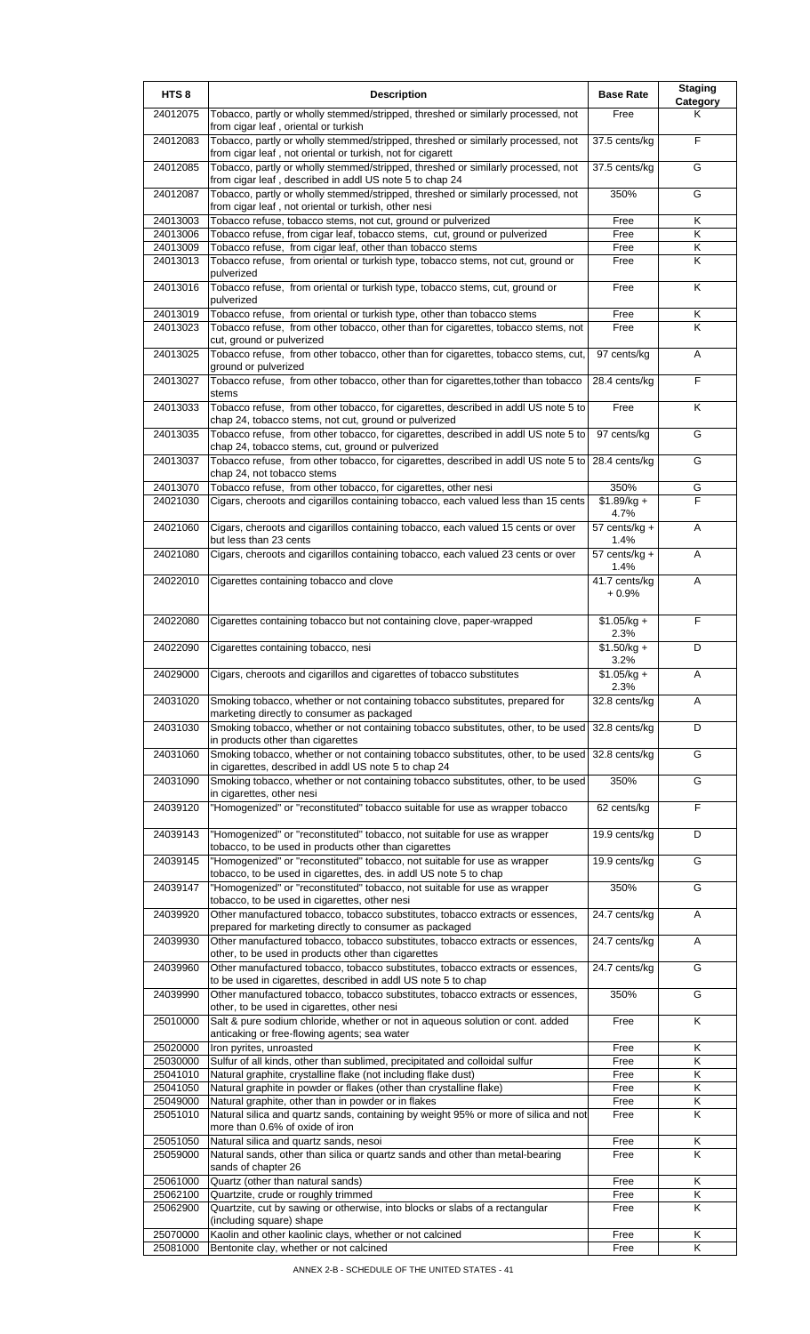| HTS <sub>8</sub>     | <b>Description</b>                                                                                                                              | <b>Base Rate</b>        | <b>Staging</b><br>Category |
|----------------------|-------------------------------------------------------------------------------------------------------------------------------------------------|-------------------------|----------------------------|
| 24012075             | Tobacco, partly or wholly stemmed/stripped, threshed or similarly processed, not<br>from cigar leaf, oriental or turkish                        | Free                    | Κ                          |
| 24012083             | Tobacco, partly or wholly stemmed/stripped, threshed or similarly processed, not<br>from cigar leaf, not oriental or turkish, not for cigarett  | 37.5 cents/kg           | E                          |
| 24012085             | Tobacco, partly or wholly stemmed/stripped, threshed or similarly processed, not<br>from cigar leaf, described in addl US note 5 to chap 24     | 37.5 cents/kg           | G                          |
| 24012087             | Tobacco, partly or wholly stemmed/stripped, threshed or similarly processed, not<br>from cigar leaf, not oriental or turkish, other nesi        | 350%                    | G                          |
| 24013003             | Tobacco refuse, tobacco stems, not cut, ground or pulverized                                                                                    | Free                    | Κ                          |
| 24013006             | Tobacco refuse, from cigar leaf, tobacco stems, cut, ground or pulverized                                                                       | Free                    | Κ                          |
| 24013009<br>24013013 | Tobacco refuse, from cigar leaf, other than tobacco stems<br>Tobacco refuse, from oriental or turkish type, tobacco stems, not cut, ground or   | Free<br>Free            | Κ<br>K                     |
| 24013016             | pulverized<br>Tobacco refuse, from oriental or turkish type, tobacco stems, cut, ground or                                                      | Free                    | Κ                          |
| 24013019             | pulverized<br>Tobacco refuse, from oriental or turkish type, other than tobacco stems                                                           | Free                    | Κ                          |
| 24013023             | Tobacco refuse, from other tobacco, other than for cigarettes, tobacco stems, not<br>cut, ground or pulverized                                  | Free                    | K                          |
| 24013025             | Tobacco refuse, from other tobacco, other than for cigarettes, tobacco stems, cut,<br>ground or pulverized                                      | 97 cents/kg             | A                          |
| 24013027             | Tobacco refuse, from other tobacco, other than for cigarettes, to ther than tobacco<br>stems                                                    | 28.4 cents/kg           | F                          |
| 24013033             | Tobacco refuse, from other tobacco, for cigarettes, described in addl US note 5 to<br>chap 24, tobacco stems, not cut, ground or pulverized     | Free                    | Κ                          |
| 24013035             | Tobacco refuse, from other tobacco, for cigarettes, described in addl US note 5 to<br>chap 24, tobacco stems, cut, ground or pulverized         | 97 cents/kg             | G                          |
| 24013037             | Tobacco refuse, from other tobacco, for cigarettes, described in addl US note 5 to<br>chap 24, not tobacco stems                                | 28.4 cents/kg           | G                          |
| 24013070             | Tobacco refuse, from other tobacco, for cigarettes, other nesi                                                                                  | 350%                    | G                          |
| 24021030             | Cigars, cheroots and cigarillos containing tobacco, each valued less than 15 cents                                                              | $$1.89/kg +$<br>4.7%    | F                          |
| 24021060             | Cigars, cheroots and cigarillos containing tobacco, each valued 15 cents or over<br>but less than 23 cents                                      | 57 cents/kg +<br>1.4%   | A                          |
| 24021080             | Cigars, cheroots and cigarillos containing tobacco, each valued 23 cents or over                                                                | 57 cents/kg +<br>1.4%   | A                          |
| 24022010             | Cigarettes containing tobacco and clove                                                                                                         | 41.7 cents/kg<br>+ 0.9% | Α                          |
| 24022080             | Cigarettes containing tobacco but not containing clove, paper-wrapped                                                                           | $$1.05/kg +$<br>2.3%    | F                          |
| 24022090             | Cigarettes containing tobacco, nesi                                                                                                             | $$1.50/kg +$<br>3.2%    | D                          |
| 24029000             | Cigars, cheroots and cigarillos and cigarettes of tobacco substitutes                                                                           | $$1.05/kg +$<br>2.3%    | Α                          |
| 24031020             | Smoking tobacco, whether or not containing tobacco substitutes, prepared for<br>marketing directly to consumer as packaged                      | 32.8 cents/kg           | Α                          |
| 24031030             | Smoking tobacco, whether or not containing tobacco substitutes, other, to be used<br>in products other than cigarettes                          | 32.8 cents/kg           | D                          |
| 24031060             | Smoking tobacco, whether or not containing tobacco substitutes, other, to be used<br>in cigarettes, described in addl US note 5 to chap 24      | 32.8 cents/kg           | G                          |
| 24031090             | Smoking tobacco, whether or not containing tobacco substitutes, other, to be used<br>in cigarettes, other nesi                                  | 350%                    | G                          |
| 24039120             | "Homogenized" or "reconstituted" tobacco suitable for use as wrapper tobacco                                                                    | 62 cents/kg             | F                          |
| 24039143             | "Homogenized" or "reconstituted" tobacco, not suitable for use as wrapper<br>tobacco, to be used in products other than cigarettes              | 19.9 cents/kg           | D                          |
| 24039145             | "Homogenized" or "reconstituted" tobacco, not suitable for use as wrapper<br>tobacco, to be used in cigarettes, des. in addl US note 5 to chap  | 19.9 cents/kg           | G                          |
| 24039147             | "Homogenized" or "reconstituted" tobacco, not suitable for use as wrapper<br>tobacco, to be used in cigarettes, other nesi                      | 350%                    | G                          |
| 24039920             | Other manufactured tobacco, tobacco substitutes, tobacco extracts or essences,<br>prepared for marketing directly to consumer as packaged       | 24.7 cents/kg           | Α                          |
| 24039930             | Other manufactured tobacco, tobacco substitutes, tobacco extracts or essences,<br>other, to be used in products other than cigarettes           | 24.7 cents/kg           | Α                          |
| 24039960             | Other manufactured tobacco, tobacco substitutes, tobacco extracts or essences,<br>to be used in cigarettes, described in addl US note 5 to chap | 24.7 cents/kg           | G                          |
| 24039990             | Other manufactured tobacco, tobacco substitutes, tobacco extracts or essences,<br>other, to be used in cigarettes, other nesi                   | 350%                    | G                          |
| 25010000             | Salt & pure sodium chloride, whether or not in aqueous solution or cont. added<br>anticaking or free-flowing agents; sea water                  | Free                    | K                          |
| 25020000             | Iron pyrites, unroasted                                                                                                                         | Free                    | Κ                          |
| 25030000<br>25041010 | Sulfur of all kinds, other than sublimed, precipitated and colloidal sulfur<br>Natural graphite, crystalline flake (not including flake dust)   | Free<br>Free            | Κ<br>Κ                     |
| 25041050             | Natural graphite in powder or flakes (other than crystalline flake)                                                                             | Free                    | Κ                          |
| 25049000             | Natural graphite, other than in powder or in flakes                                                                                             | Free                    | Κ                          |
| 25051010             | Natural silica and quartz sands, containing by weight 95% or more of silica and not<br>more than 0.6% of oxide of iron                          | Free                    | Κ                          |
| 25051050             | Natural silica and quartz sands, nesoi                                                                                                          | Free                    | Κ                          |
| 25059000             | Natural sands, other than silica or quartz sands and other than metal-bearing                                                                   | Free                    | K                          |
| 25061000             | sands of chapter 26<br>Quartz (other than natural sands)                                                                                        | Free                    | Κ                          |
| 25062100             | Quartzite, crude or roughly trimmed                                                                                                             | Free                    | Κ                          |
| 25062900             | Quartzite, cut by sawing or otherwise, into blocks or slabs of a rectangular<br>(including square) shape                                        | Free                    | Κ                          |
| 25070000             | Kaolin and other kaolinic clays, whether or not calcined                                                                                        | Free                    | Κ                          |
| 25081000             | Bentonite clay, whether or not calcined                                                                                                         | Free                    | K                          |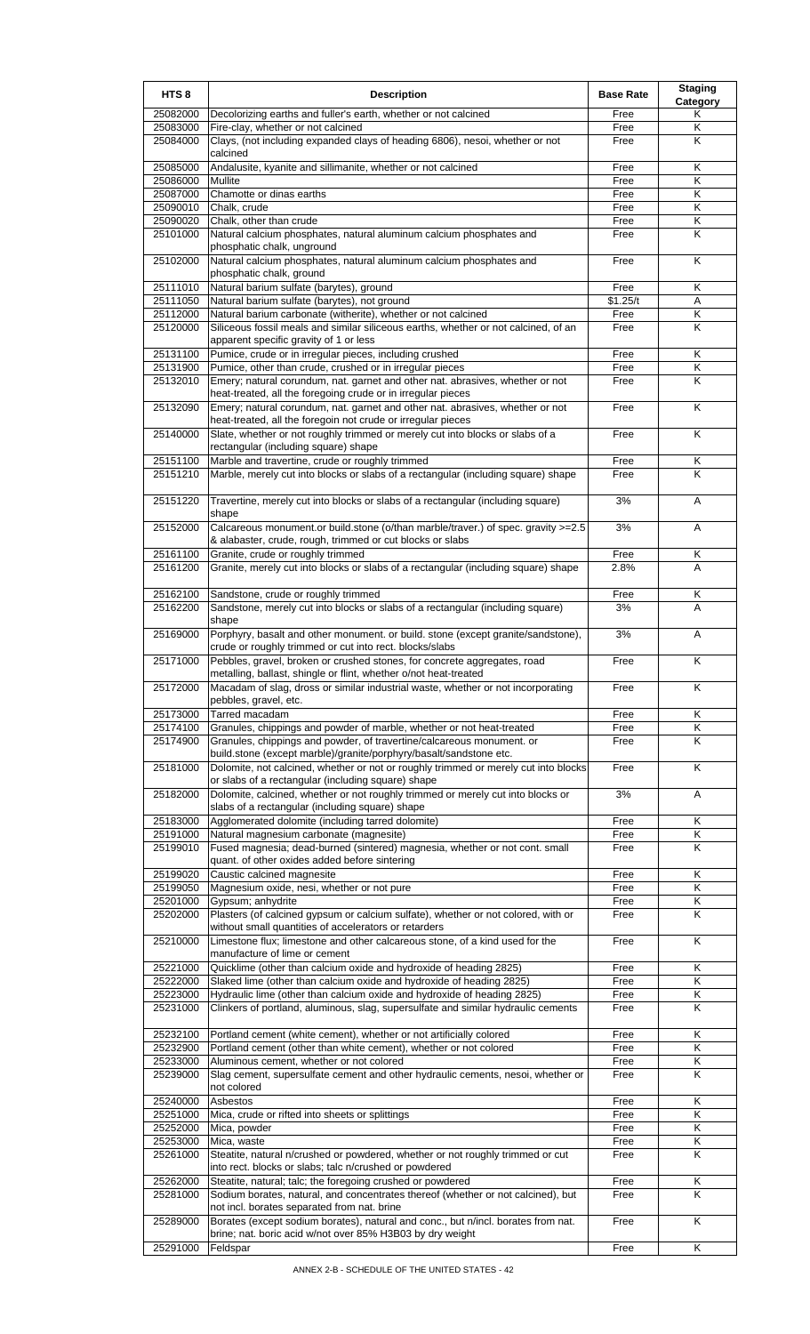| HTS <sub>8</sub>     | <b>Description</b>                                                                                                                                        | <b>Base Rate</b> | <b>Staging</b><br>Category |
|----------------------|-----------------------------------------------------------------------------------------------------------------------------------------------------------|------------------|----------------------------|
| 25082000             | Decolorizing earths and fuller's earth, whether or not calcined                                                                                           | Free             | Κ                          |
| 25083000<br>25084000 | Fire-clay, whether or not calcined<br>Clays, (not including expanded clays of heading 6806), nesoi, whether or not                                        | Free<br>Free     | Κ<br>K                     |
|                      | calcined                                                                                                                                                  |                  |                            |
| 25085000             | Andalusite, kyanite and sillimanite, whether or not calcined                                                                                              | Free             | Κ                          |
| 25086000<br>25087000 | Mullite<br>Chamotte or dinas earths                                                                                                                       | Free<br>Free     | K<br>Κ                     |
| 25090010             | Chalk, crude                                                                                                                                              | Free             | Κ                          |
| 25090020             | Chalk, other than crude                                                                                                                                   | Free             | Κ                          |
| 25101000             | Natural calcium phosphates, natural aluminum calcium phosphates and<br>phosphatic chalk, unground                                                         | Free             | Κ                          |
| 25102000             | Natural calcium phosphates, natural aluminum calcium phosphates and<br>phosphatic chalk, ground                                                           | Free             | Κ                          |
| 25111010             | Natural barium sulfate (barytes), ground                                                                                                                  | Free             | Κ                          |
| 25111050<br>25112000 | Natural barium sulfate (barytes), not ground<br>Natural barium carbonate (witherite), whether or not calcined                                             | \$1.25/t<br>Free | Α<br>Κ                     |
| 25120000             | Siliceous fossil meals and similar siliceous earths, whether or not calcined, of an<br>apparent specific gravity of 1 or less                             | Free             | Κ                          |
| 25131100             | Pumice, crude or in irregular pieces, including crushed                                                                                                   | Free             | Κ                          |
| 25131900<br>25132010 | Pumice, other than crude, crushed or in irregular pieces<br>Emery; natural corundum, nat. garnet and other nat. abrasives, whether or not                 | Free<br>Free     | Κ<br>Κ                     |
|                      | heat-treated, all the foregoing crude or in irregular pieces                                                                                              |                  |                            |
| 25132090             | Emery; natural corundum, nat. garnet and other nat. abrasives, whether or not<br>heat-treated, all the foregoin not crude or irregular pieces             | Free             | Κ                          |
| 25140000             | Slate, whether or not roughly trimmed or merely cut into blocks or slabs of a                                                                             | Free             | K                          |
|                      | rectangular (including square) shape<br>Marble and travertine, crude or roughly trimmed                                                                   |                  |                            |
| 25151100<br>25151210 | Marble, merely cut into blocks or slabs of a rectangular (including square) shape                                                                         | Free<br>Free     | Κ<br>K                     |
| 25151220             | Travertine, merely cut into blocks or slabs of a rectangular (including square)                                                                           | 3%               | Α                          |
| 25152000             | shape<br>Calcareous monument.or build.stone (o/than marble/traver.) of spec. gravity >=2.5                                                                | 3%               | Α                          |
| 25161100             | & alabaster, crude, rough, trimmed or cut blocks or slabs<br>Granite, crude or roughly trimmed                                                            | Free             | Κ                          |
| 25161200             | Granite, merely cut into blocks or slabs of a rectangular (including square) shape                                                                        | 2.8%             | A                          |
| 25162100             | Sandstone, crude or roughly trimmed                                                                                                                       | Free             | Κ                          |
| 25162200             | Sandstone, merely cut into blocks or slabs of a rectangular (including square)<br>shape                                                                   | 3%               | A                          |
| 25169000             | Porphyry, basalt and other monument. or build. stone (except granite/sandstone),<br>crude or roughly trimmed or cut into rect. blocks/slabs               | 3%               | Α                          |
| 25171000             | Pebbles, gravel, broken or crushed stones, for concrete aggregates, road<br>metalling, ballast, shingle or flint, whether o/not heat-treated              | Free             | Κ                          |
| 25172000             | Macadam of slag, dross or similar industrial waste, whether or not incorporating<br>pebbles, gravel, etc.                                                 | Free             | K                          |
| 25173000             | Tarred macadam                                                                                                                                            | Free             | Κ                          |
| 25174100<br>25174900 | Granules, chippings and powder of marble, whether or not heat-treated<br>Granules, chippings and powder, of travertine/calcareous monument. or            | Free<br>Free     | Κ<br>Κ                     |
| 25181000             | build.stone (except marble)/granite/porphyry/basalt/sandstone etc.<br>Dolomite, not calcined, whether or not or roughly trimmed or merely cut into blocks | Free             | K                          |
| 25182000             | or slabs of a rectangular (including square) shape<br>Dolomite, calcined, whether or not roughly trimmed or merely cut into blocks or                     | 3%               | A                          |
|                      | slabs of a rectangular (including square) shape                                                                                                           |                  |                            |
| 25183000<br>25191000 | Agglomerated dolomite (including tarred dolomite)<br>Natural magnesium carbonate (magnesite)                                                              | Free<br>Free     | Κ<br>Κ                     |
| 25199010             | Fused magnesia; dead-burned (sintered) magnesia, whether or not cont. small<br>quant. of other oxides added before sintering                              | Free             | K                          |
| 25199020             | Caustic calcined magnesite                                                                                                                                | Free             | Κ                          |
| 25199050<br>25201000 | Magnesium oxide, nesi, whether or not pure<br>Gypsum; anhydrite                                                                                           | Free<br>Free     | K<br>Κ                     |
| 25202000             | Plasters (of calcined gypsum or calcium sulfate), whether or not colored, with or<br>without small quantities of accelerators or retarders                | Free             | Κ                          |
| 25210000             | Limestone flux; limestone and other calcareous stone, of a kind used for the<br>manufacture of lime or cement                                             | Free             | K                          |
| 25221000             | Quicklime (other than calcium oxide and hydroxide of heading 2825)                                                                                        | Free             | Κ                          |
| 25222000<br>25223000 | Slaked lime (other than calcium oxide and hydroxide of heading 2825)<br>Hydraulic lime (other than calcium oxide and hydroxide of heading 2825)           | Free<br>Free     | K<br>Κ                     |
| 25231000             | Clinkers of portland, aluminous, slag, supersulfate and similar hydraulic cements                                                                         | Free             | Κ                          |
| 25232100             | Portland cement (white cement), whether or not artificially colored                                                                                       | Free             | Κ                          |
| 25232900             | Portland cement (other than white cement), whether or not colored                                                                                         | Free             | Κ                          |
| 25233000<br>25239000 | Aluminous cement, whether or not colored<br>Slag cement, supersulfate cement and other hydraulic cements, nesoi, whether or                               | Free<br>Free     | Κ<br>Κ                     |
|                      | not colored                                                                                                                                               |                  |                            |
| 25240000<br>25251000 | Asbestos<br>Mica, crude or rifted into sheets or splittings                                                                                               | Free<br>Free     | Κ<br>Κ                     |
| 25252000             | Mica, powder                                                                                                                                              | Free             | Κ                          |
| 25253000             | Mica, waste                                                                                                                                               | Free             | Κ                          |
| 25261000             | Steatite, natural n/crushed or powdered, whether or not roughly trimmed or cut<br>into rect. blocks or slabs; talc n/crushed or powdered                  | Free             | Κ                          |
| 25262000             | Steatite, natural; talc; the foregoing crushed or powdered                                                                                                | Free             | Κ                          |
| 25281000             | Sodium borates, natural, and concentrates thereof (whether or not calcined), but<br>not incl. borates separated from nat. brine                           | Free             | Κ                          |
| 25289000             | Borates (except sodium borates), natural and conc., but n/incl. borates from nat.<br>brine; nat. boric acid w/not over 85% H3B03 by dry weight            | Free             | K                          |
| 25291000             | Feldspar                                                                                                                                                  | Free             | Κ                          |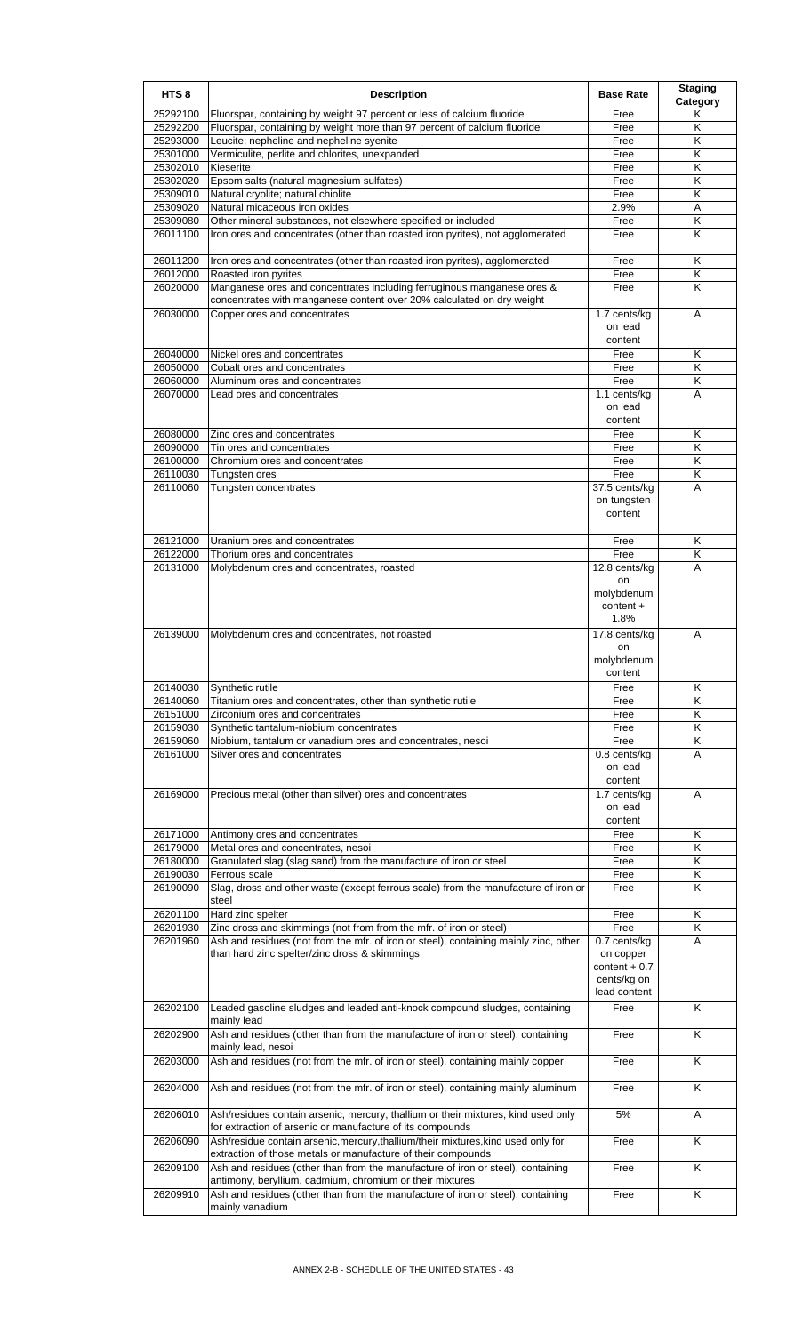| HTS <sub>8</sub>     | <b>Description</b>                                                                                                                                | <b>Base Rate</b>               | <b>Staging</b><br>Category |
|----------------------|---------------------------------------------------------------------------------------------------------------------------------------------------|--------------------------------|----------------------------|
| 25292100             | Fluorspar, containing by weight 97 percent or less of calcium fluoride                                                                            | Free                           | Κ                          |
| 25292200<br>25293000 | Fluorspar, containing by weight more than 97 percent of calcium fluoride<br>Leucite; nepheline and nepheline syenite                              | Free<br>Free                   | Κ<br>Κ                     |
| 25301000             | Vermiculite, perlite and chlorites, unexpanded                                                                                                    | Free                           | K                          |
| 25302010             | Kieserite                                                                                                                                         | Free                           | Κ                          |
| 25302020             | Epsom salts (natural magnesium sulfates)                                                                                                          | Free                           | Κ                          |
| 25309010             | Natural cryolite; natural chiolite                                                                                                                | Free                           | K                          |
| 25309020             | Natural micaceous iron oxides                                                                                                                     | 2.9%                           | Α                          |
| 25309080             | Other mineral substances, not elsewhere specified or included                                                                                     | Free                           | Κ                          |
| 26011100             | Iron ores and concentrates (other than roasted iron pyrites), not agglomerated                                                                    | Free                           | K                          |
| 26011200             | Iron ores and concentrates (other than roasted iron pyrites), agglomerated                                                                        | Free                           | Κ                          |
| 26012000             | Roasted iron pyrites                                                                                                                              | Free                           | Κ                          |
| 26020000             | Manganese ores and concentrates including ferruginous manganese ores &                                                                            | Free                           | K                          |
| 26030000             | concentrates with manganese content over 20% calculated on dry weight<br>Copper ores and concentrates                                             | 1.7 cents/kg                   | A                          |
|                      |                                                                                                                                                   | on lead                        |                            |
|                      |                                                                                                                                                   | content                        |                            |
| 26040000             | Nickel ores and concentrates                                                                                                                      | Free                           | K                          |
| 26050000             | Cobalt ores and concentrates                                                                                                                      | Free                           | Κ                          |
| 26060000<br>26070000 | Aluminum ores and concentrates                                                                                                                    | Free                           | K<br>Α                     |
|                      | Lead ores and concentrates                                                                                                                        | 1.1 cents/kg<br>on lead        |                            |
|                      |                                                                                                                                                   | content                        |                            |
| 26080000             | Zinc ores and concentrates                                                                                                                        | Free                           | Κ                          |
| 26090000             | Tin ores and concentrates                                                                                                                         | Free                           | K                          |
| 26100000             | Chromium ores and concentrates                                                                                                                    | Free                           | Κ                          |
| 26110030             | Tungsten ores                                                                                                                                     | Free                           | Κ                          |
| 26110060             | Tungsten concentrates                                                                                                                             | 37.5 cents/kg                  | A                          |
|                      |                                                                                                                                                   | on tungsten                    |                            |
|                      |                                                                                                                                                   | content                        |                            |
| 26121000             | Uranium ores and concentrates                                                                                                                     | Free                           | Κ                          |
| 26122000             | Thorium ores and concentrates                                                                                                                     | Free                           | Κ                          |
| 26131000             | Molybdenum ores and concentrates, roasted                                                                                                         | 12.8 cents/kg                  | A                          |
|                      |                                                                                                                                                   | on                             |                            |
|                      |                                                                                                                                                   | molybdenum                     |                            |
|                      |                                                                                                                                                   | content +                      |                            |
|                      |                                                                                                                                                   | 1.8%                           |                            |
| 26139000             | Molybdenum ores and concentrates, not roasted                                                                                                     | 17.8 cents/kg                  | A                          |
|                      |                                                                                                                                                   | on<br>molybdenum               |                            |
|                      |                                                                                                                                                   | content                        |                            |
| 26140030             | Synthetic rutile                                                                                                                                  | Free                           | Κ                          |
| 26140060             | Titanium ores and concentrates, other than synthetic rutile                                                                                       | Free                           | Κ                          |
| 26151000             | Zirconium ores and concentrates                                                                                                                   | Free                           | Κ                          |
| 26159030             | Synthetic tantalum-niobium concentrates                                                                                                           | Free                           | K                          |
| 26159060             | Niobium, tantalum or vanadium ores and concentrates, nesoi                                                                                        | Free                           | Κ                          |
| 26161000             | Silver ores and concentrates                                                                                                                      | 0.8 cents/kg<br>on lead        | A                          |
|                      |                                                                                                                                                   | content                        |                            |
| 26169000             | Precious metal (other than silver) ores and concentrates                                                                                          | 1.7 cents/kg                   | Α                          |
|                      |                                                                                                                                                   | on lead                        |                            |
|                      |                                                                                                                                                   | content                        |                            |
| 26171000             | Antimony ores and concentrates                                                                                                                    | Free                           | Κ                          |
| 26179000             | Metal ores and concentrates, nesoi                                                                                                                | Free                           | Κ                          |
| 26180000             | Granulated slag (slag sand) from the manufacture of iron or steel                                                                                 | Free                           | Κ                          |
| 26190030<br>26190090 | Ferrous scale<br>Slag, dross and other waste (except ferrous scale) from the manufacture of iron or                                               | Free<br>Free                   | Κ<br>Κ                     |
|                      | steel                                                                                                                                             |                                |                            |
| 26201100             | Hard zinc spelter                                                                                                                                 | Free                           | Κ                          |
| 26201930             | Zinc dross and skimmings (not from from the mfr. of iron or steel)                                                                                | Free                           | Κ                          |
| 26201960             | Ash and residues (not from the mfr. of iron or steel), containing mainly zinc, other                                                              | 0.7 cents/kg                   | Α                          |
|                      | than hard zinc spelter/zinc dross & skimmings                                                                                                     | on copper                      |                            |
|                      |                                                                                                                                                   | $content + 0.7$<br>cents/kg on |                            |
|                      |                                                                                                                                                   | lead content                   |                            |
| 26202100             | Leaded gasoline sludges and leaded anti-knock compound sludges, containing                                                                        | Free                           | K                          |
|                      | mainly lead                                                                                                                                       |                                |                            |
| 26202900             | Ash and residues (other than from the manufacture of iron or steel), containing                                                                   | Free                           | Κ                          |
|                      | mainly lead, nesoi                                                                                                                                |                                |                            |
| 26203000             | Ash and residues (not from the mfr. of iron or steel), containing mainly copper                                                                   | Free                           | K                          |
| 26204000             | Ash and residues (not from the mfr. of iron or steel), containing mainly aluminum                                                                 | Free                           | Κ                          |
|                      |                                                                                                                                                   |                                |                            |
| 26206010             | Ash/residues contain arsenic, mercury, thallium or their mixtures, kind used only<br>for extraction of arsenic or manufacture of its compounds    | 5%                             | Α                          |
| 26206090             | Ash/residue contain arsenic, mercury, thallium/their mixtures, kind used only for<br>extraction of those metals or manufacture of their compounds | Free                           | Κ                          |
| 26209100             | Ash and residues (other than from the manufacture of iron or steel), containing                                                                   | Free                           | Κ                          |
| 26209910             | antimony, beryllium, cadmium, chromium or their mixtures<br>Ash and residues (other than from the manufacture of iron or steel), containing       | Free                           | K                          |
|                      | mainly vanadium                                                                                                                                   |                                |                            |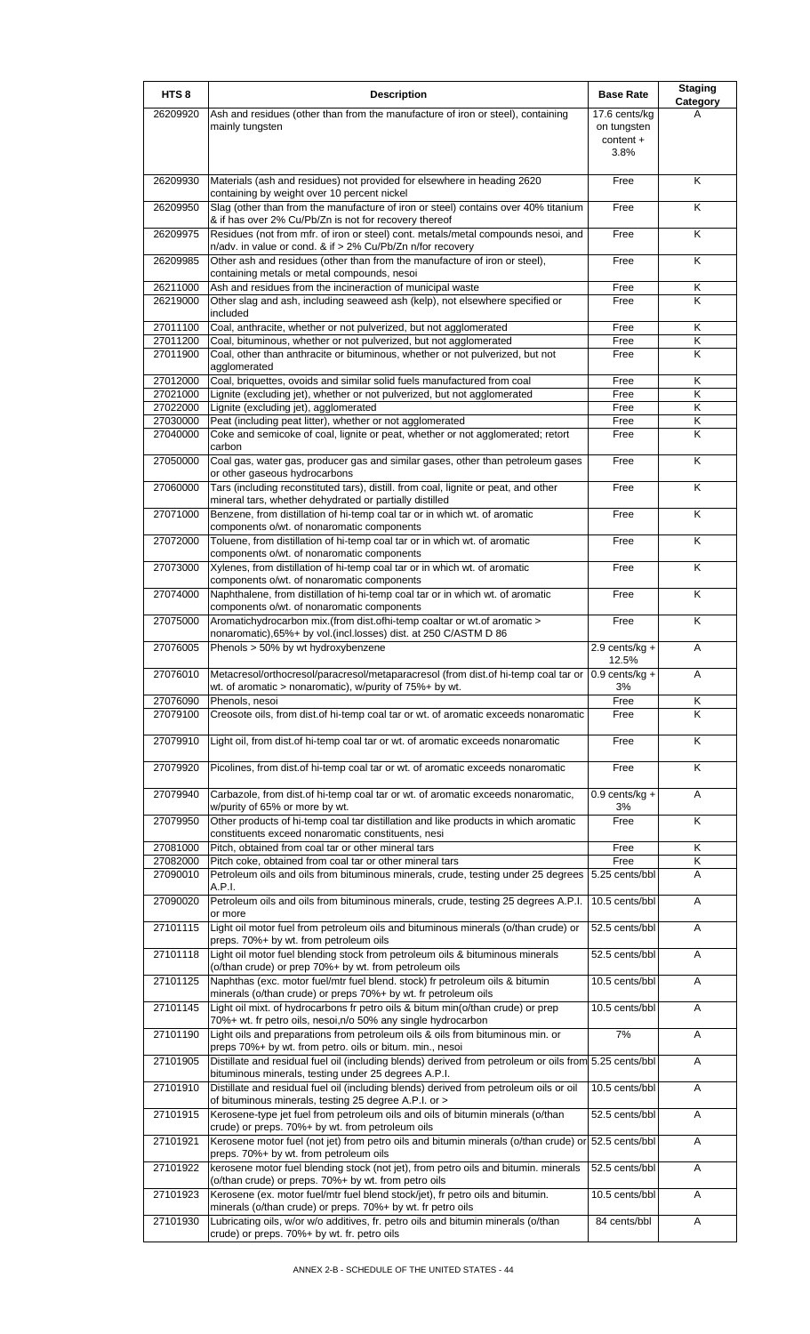| HTS <sub>8</sub>     | <b>Description</b>                                                                                                                                                                                            | <b>Base Rate</b>                                  | <b>Staging</b><br>Category   |
|----------------------|---------------------------------------------------------------------------------------------------------------------------------------------------------------------------------------------------------------|---------------------------------------------------|------------------------------|
| 26209920             | Ash and residues (other than from the manufacture of iron or steel), containing<br>mainly tungsten                                                                                                            | 17.6 cents/kg<br>on tungsten<br>content +<br>3.8% | А                            |
| 26209930             | Materials (ash and residues) not provided for elsewhere in heading 2620                                                                                                                                       | Free                                              | K                            |
| 26209950             | containing by weight over 10 percent nickel<br>Slag (other than from the manufacture of iron or steel) contains over 40% titanium<br>& if has over 2% Cu/Pb/Zn is not for recovery thereof                    | Free                                              | K                            |
| 26209975             | Residues (not from mfr. of iron or steel) cont. metals/metal compounds nesoi, and                                                                                                                             | Free                                              | K                            |
| 26209985             | n/adv. in value or cond. & if > 2% Cu/Pb/Zn n/for recovery<br>Other ash and residues (other than from the manufacture of iron or steel),<br>containing metals or metal compounds, nesoi                       | Free                                              | K                            |
| 26211000<br>26219000 | Ash and residues from the incineraction of municipal waste<br>Other slag and ash, including seaweed ash (kelp), not elsewhere specified or<br>included                                                        | Free<br>Free                                      | Κ<br>K                       |
| 27011100             | Coal, anthracite, whether or not pulverized, but not agglomerated                                                                                                                                             | Free                                              | Κ                            |
| 27011200<br>27011900 | Coal, bituminous, whether or not pulverized, but not agglomerated<br>Coal, other than anthracite or bituminous, whether or not pulverized, but not                                                            | Free<br>Free                                      | Κ<br>K                       |
| 27012000             | agglomerated<br>Coal, briquettes, ovoids and similar solid fuels manufactured from coal                                                                                                                       | Free                                              | Κ                            |
| 27021000             | Lignite (excluding jet), whether or not pulverized, but not agglomerated                                                                                                                                      | Free                                              | $\overline{\mathsf{K}}$      |
| 27022000<br>27030000 | Lignite (excluding jet), agglomerated<br>Peat (including peat litter), whether or not agglomerated                                                                                                            | Free<br>Free                                      | K<br>Κ                       |
| 27040000             | Coke and semicoke of coal, lignite or peat, whether or not agglomerated; retort                                                                                                                               | Free                                              | K                            |
| 27050000             | carbon<br>Coal gas, water gas, producer gas and similar gases, other than petroleum gases<br>or other gaseous hydrocarbons                                                                                    | Free                                              | K                            |
| 27060000             | Tars (including reconstituted tars), distill. from coal, lignite or peat, and other<br>mineral tars, whether dehydrated or partially distilled                                                                | Free                                              | K                            |
| 27071000             | Benzene, from distillation of hi-temp coal tar or in which wt. of aromatic<br>components o/wt. of nonaromatic components                                                                                      | Free                                              | K                            |
| 27072000             | Toluene, from distillation of hi-temp coal tar or in which wt. of aromatic<br>components o/wt. of nonaromatic components                                                                                      | Free                                              | K                            |
| 27073000             | Xylenes, from distillation of hi-temp coal tar or in which wt. of aromatic<br>components o/wt. of nonaromatic components                                                                                      | Free                                              | K                            |
| 27074000             | Naphthalene, from distillation of hi-temp coal tar or in which wt. of aromatic<br>components o/wt. of nonaromatic components                                                                                  | Free                                              | K                            |
| 27075000             | Aromatichydrocarbon mix.(from dist.ofhi-temp coaltar or wt.of aromatic ><br>nonaromatic), 65%+ by vol. (incl.losses) dist. at 250 C/ASTM D 86                                                                 | Free                                              | K                            |
| 27076005             | Phenols > 50% by wt hydroxybenzene                                                                                                                                                                            | $2.9$ cents/kg +<br>12.5%                         | A                            |
| 27076010             | Metacresol/orthocresol/paracresol/metaparacresol (from dist.of hi-temp coal tar or   0.9 cents/kg +<br>wt. of aromatic $>$ nonaromatic), w/purity of $75\%$ + by wt.                                          | 3%                                                | A                            |
| 27076090             | Phenols, nesoi                                                                                                                                                                                                | Free                                              | Κ                            |
| 27079100             | Creosote oils, from dist of hi-temp coal tar or wt. of aromatic exceeds nonaromatic                                                                                                                           | Free                                              | Κ                            |
| 27079910             | Light oil, from dist.of hi-temp coal tar or wt. of aromatic exceeds nonaromatic                                                                                                                               | Free                                              | K                            |
| 27079920             | Picolines, from dist.of hi-temp coal tar or wt. of aromatic exceeds nonaromatic                                                                                                                               | Free                                              | Κ                            |
| 27079940             | Carbazole, from dist.of hi-temp coal tar or wt. of aromatic exceeds nonaromatic,<br>w/purity of 65% or more by wt.                                                                                            | $0.9$ cents/kg +<br>3%                            | Α<br>$\overline{\mathsf{K}}$ |
| 27079950             | Other products of hi-temp coal tar distillation and like products in which aromatic<br>constituents exceed nonaromatic constituents, nesi                                                                     | Free                                              |                              |
| 27081000<br>27082000 | Pitch, obtained from coal tar or other mineral tars<br>Pitch coke, obtained from coal tar or other mineral tars                                                                                               | Free<br>Free                                      | Κ<br>Κ                       |
| 27090010             | Petroleum oils and oils from bituminous minerals, crude, testing under 25 degrees<br>A.P.I.                                                                                                                   | 5.25 cents/bbl                                    | A                            |
| 27090020             | Petroleum oils and oils from bituminous minerals, crude, testing 25 degrees A.P.I.<br>or more                                                                                                                 | 10.5 cents/bbl                                    | Α                            |
| 27101115<br>27101118 | Light oil motor fuel from petroleum oils and bituminous minerals (o/than crude) or<br>preps. 70%+ by wt. from petroleum oils<br>Light oil motor fuel blending stock from petroleum oils & bituminous minerals | 52.5 cents/bbl<br>52.5 cents/bbl                  | A<br>Α                       |
| 27101125             | (o/than crude) or prep 70%+ by wt. from petroleum oils<br>Naphthas (exc. motor fuel/mtr fuel blend. stock) fr petroleum oils & bitumin                                                                        | 10.5 cents/bbl                                    | A                            |
| 27101145             | minerals (o/than crude) or preps 70%+ by wt. fr petroleum oils<br>Light oil mixt. of hydrocarbons fr petro oils & bitum min(o/than crude) or prep                                                             | 10.5 cents/bbl                                    | Α                            |
| 27101190             | 70%+ wt. fr petro oils, nesoi, n/o 50% any single hydrocarbon<br>Light oils and preparations from petroleum oils & oils from bituminous min. or                                                               | 7%                                                | A                            |
| 27101905             | preps 70%+ by wt. from petro. oils or bitum. min., nesoi<br>Distillate and residual fuel oil (including blends) derived from petroleum or oils from 5.25 cents/bbl                                            |                                                   | A                            |
| 27101910             | bituminous minerals, testing under 25 degrees A.P.I.<br>Distillate and residual fuel oil (including blends) derived from petroleum oils or oil                                                                | 10.5 cents/bbl                                    | Α                            |
| 27101915             | of bituminous minerals, testing 25 degree A.P.I. or ><br>Kerosene-type jet fuel from petroleum oils and oils of bitumin minerals (o/than                                                                      | 52.5 cents/bbl                                    | Α                            |
| 27101921             | crude) or preps. 70%+ by wt. from petroleum oils<br>Kerosene motor fuel (not jet) from petro oils and bitumin minerals (o/than crude) or 52.5 cents/bbl                                                       |                                                   | Α                            |
| 27101922             | preps. 70%+ by wt. from petroleum oils<br>kerosene motor fuel blending stock (not jet), from petro oils and bitumin. minerals                                                                                 | 52.5 cents/bbl                                    | Α                            |
| 27101923             | (o/than crude) or preps. 70%+ by wt. from petro oils<br>Kerosene (ex. motor fuel/mtr fuel blend stock/jet), fr petro oils and bitumin.                                                                        | 10.5 cents/bbl                                    | Α                            |
| 27101930             | minerals (o/than crude) or preps. 70%+ by wt. fr petro oils<br>Lubricating oils, w/or w/o additives, fr. petro oils and bitumin minerals (o/than                                                              | 84 cents/bbl                                      | Α                            |
|                      | crude) or preps. 70%+ by wt. fr. petro oils                                                                                                                                                                   |                                                   |                              |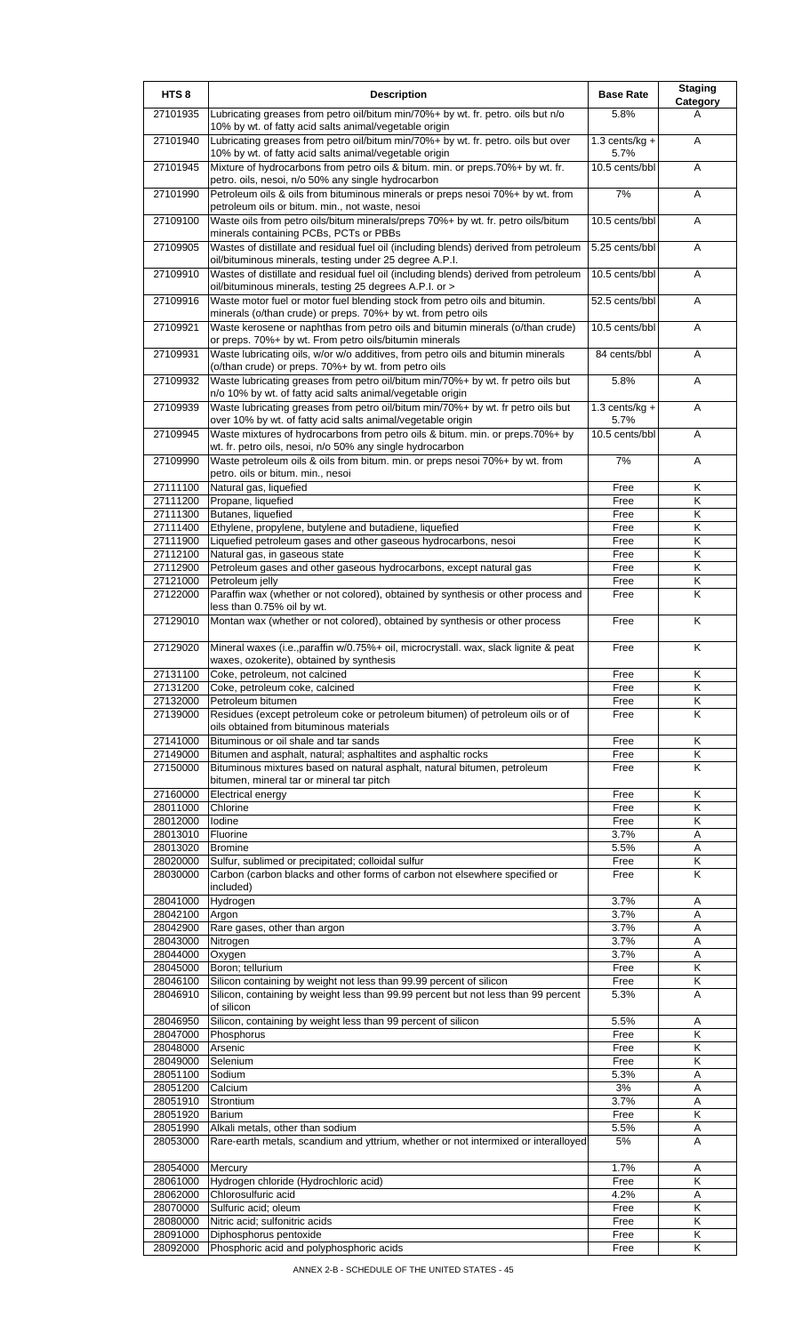| HTS <sub>8</sub>     | <b>Description</b>                                                                                                                                                                                     | <b>Base Rate</b>         | <b>Staging</b><br>Category |
|----------------------|--------------------------------------------------------------------------------------------------------------------------------------------------------------------------------------------------------|--------------------------|----------------------------|
| 27101935             | Lubricating greases from petro oil/bitum min/70%+ by wt. fr. petro. oils but n/o<br>10% by wt. of fatty acid salts animal/vegetable origin                                                             | 5.8%                     | A                          |
| 27101940             | Lubricating greases from petro oil/bitum min/70%+ by wt. fr. petro. oils but over<br>10% by wt. of fatty acid salts animal/vegetable origin                                                            | $1.3$ cents/kg +<br>5.7% | A                          |
| 27101945             | Mixture of hydrocarbons from petro oils & bitum. min. or preps.70%+ by wt. fr.<br>petro. oils, nesoi, n/o 50% any single hydrocarbon                                                                   | 10.5 cents/bbl           | Α                          |
| 27101990             | Petroleum oils & oils from bituminous minerals or preps nesoi 70%+ by wt. from<br>petroleum oils or bitum. min., not waste, nesoi                                                                      | 7%                       | A                          |
| 27109100             | Waste oils from petro oils/bitum minerals/preps 70%+ by wt. fr. petro oils/bitum<br>minerals containing PCBs, PCTs or PBBs                                                                             | 10.5 cents/bbl           | Α                          |
| 27109905             | Wastes of distillate and residual fuel oil (including blends) derived from petroleum                                                                                                                   | 5.25 cents/bbl           | Α                          |
| 27109910             | oil/bituminous minerals, testing under 25 degree A.P.I.<br>Wastes of distillate and residual fuel oil (including blends) derived from petroleum                                                        | 10.5 cents/bbl           | Α                          |
| 27109916             | oil/bituminous minerals, testing 25 degrees A.P.I. or ><br>Waste motor fuel or motor fuel blending stock from petro oils and bitumin.<br>minerals (o/than crude) or preps. 70%+ by wt. from petro oils | 52.5 cents/bbl           | A                          |
| 27109921             | Waste kerosene or naphthas from petro oils and bitumin minerals (o/than crude)<br>or preps. 70%+ by wt. From petro oils/bitumin minerals                                                               | 10.5 cents/bbl           | Α                          |
| 27109931             | Waste lubricating oils, w/or w/o additives, from petro oils and bitumin minerals<br>(o/than crude) or preps. 70%+ by wt. from petro oils                                                               | 84 cents/bbl             | A                          |
| 27109932             | Waste lubricating greases from petro oil/bitum min/70%+ by wt. fr petro oils but<br>n/o 10% by wt. of fatty acid salts animal/vegetable origin                                                         | 5.8%                     | Α                          |
| 27109939             | Waste lubricating greases from petro oil/bitum min/70%+ by wt. fr petro oils but                                                                                                                       | $1.3$ cents/kg +<br>5.7% | A                          |
| 27109945             | over 10% by wt. of fatty acid salts animal/vegetable origin<br>Waste mixtures of hydrocarbons from petro oils & bitum. min. or preps.70%+ by                                                           | 10.5 cents/bbl           | A                          |
| 27109990             | wt. fr. petro oils, nesoi, n/o 50% any single hydrocarbon<br>Waste petroleum oils & oils from bitum. min. or preps nesoi 70%+ by wt. from                                                              | 7%                       | Α                          |
| 27111100             | petro. oils or bitum. min., nesoi<br>Natural gas, liquefied                                                                                                                                            | Free                     | K                          |
| 27111200             | Propane, liquefied                                                                                                                                                                                     | Free                     | κ                          |
| 27111300             | Butanes, liquefied                                                                                                                                                                                     | Free                     | Κ                          |
| 27111400             | Ethylene, propylene, butylene and butadiene, liquefied                                                                                                                                                 | Free                     | $\overline{\mathsf{K}}$    |
| 27111900             | Liquefied petroleum gases and other gaseous hydrocarbons, nesoi                                                                                                                                        | Free                     | κ                          |
| 27112100             | Natural gas, in gaseous state                                                                                                                                                                          | Free                     | Κ                          |
| 27112900             | Petroleum gases and other gaseous hydrocarbons, except natural gas                                                                                                                                     | Free                     | Κ                          |
| 27121000             | Petroleum jelly                                                                                                                                                                                        | Free                     | Κ                          |
| 27122000             | Paraffin wax (whether or not colored), obtained by synthesis or other process and<br>less than 0.75% oil by wt.                                                                                        | Free                     | Κ                          |
| 27129010             | Montan wax (whether or not colored), obtained by synthesis or other process                                                                                                                            | Free                     | Κ                          |
| 27129020             | Mineral waxes (i.e., paraffin w/0.75%+ oil, microcrystall. wax, slack lignite & peat<br>waxes, ozokerite), obtained by synthesis                                                                       | Free                     | Κ                          |
| 27131100             | Coke, petroleum, not calcined                                                                                                                                                                          | Free                     | ĸ                          |
| 27131200             | Coke, petroleum coke, calcined                                                                                                                                                                         | Free                     | Κ                          |
| 27132000             | Petroleum bitumen                                                                                                                                                                                      | Free                     | Κ                          |
| 27139000             | Residues (except petroleum coke or petroleum bitumen) of petroleum oils or of<br>oils obtained from bituminous materials                                                                               | Free                     | K                          |
| 27141000             | Bituminous or oil shale and tar sands                                                                                                                                                                  | Free                     | K                          |
| 27149000<br>27150000 | Bitumen and asphalt, natural; asphaltites and asphaltic rocks<br>Bituminous mixtures based on natural asphalt, natural bitumen, petroleum                                                              | Free<br>Free             | Κ<br>K                     |
|                      | bitumen, mineral tar or mineral tar pitch                                                                                                                                                              |                          |                            |
| 27160000<br>28011000 | <b>Electrical energy</b><br>Chlorine                                                                                                                                                                   | Free                     | Κ<br>Κ                     |
| 28012000             | Iodine                                                                                                                                                                                                 | Free                     | Κ                          |
|                      |                                                                                                                                                                                                        | Free                     |                            |
| 28013010<br>28013020 | Fluorine<br><b>Bromine</b>                                                                                                                                                                             | 3.7%<br>5.5%             | Α<br>Α                     |
| 28020000             | Sulfur, sublimed or precipitated; colloidal sulfur                                                                                                                                                     | Free                     | $\overline{\mathsf{K}}$    |
| 28030000             | Carbon (carbon blacks and other forms of carbon not elsewhere specified or                                                                                                                             | Free                     | Κ                          |
|                      | included)                                                                                                                                                                                              | 3.7%                     | A                          |
| 28041000<br>28042100 | Hydrogen<br>Argon                                                                                                                                                                                      | 3.7%                     | Α                          |
| 28042900             | Rare gases, other than argon                                                                                                                                                                           | 3.7%                     | A                          |
| 28043000             | Nitrogen                                                                                                                                                                                               | 3.7%                     | Α                          |
| 28044000             | Oxygen                                                                                                                                                                                                 | 3.7%                     | Α                          |
| 28045000             | Boron; tellurium                                                                                                                                                                                       | Free                     | Κ                          |
| 28046100             | Silicon containing by weight not less than 99.99 percent of silicon                                                                                                                                    | Free                     | Κ                          |
| 28046910             | Silicon, containing by weight less than 99.99 percent but not less than 99 percent<br>of silicon                                                                                                       | 5.3%                     | A                          |
| 28046950             | Silicon, containing by weight less than 99 percent of silicon                                                                                                                                          | 5.5%                     | Α                          |
| 28047000             | Phosphorus                                                                                                                                                                                             | Free                     | Κ                          |
| 28048000             | Arsenic                                                                                                                                                                                                | Free                     | Κ                          |
| 28049000             | Selenium                                                                                                                                                                                               | Free                     | Κ                          |
| 28051100             | Sodium                                                                                                                                                                                                 | 5.3%                     | Α                          |
| 28051200             | Calcium                                                                                                                                                                                                | 3%                       | Α                          |
| 28051910             | Strontium                                                                                                                                                                                              | 3.7%                     | A                          |
| 28051920             | <b>Barium</b>                                                                                                                                                                                          | Free                     | Κ                          |
| 28051990<br>28053000 | Alkali metals, other than sodium<br>Rare-earth metals, scandium and yttrium, whether or not intermixed or interalloyed                                                                                 | 5.5%<br>5%               | Α<br>A                     |
| 28054000             | Mercury                                                                                                                                                                                                | 1.7%                     | Α                          |
| 28061000             | Hydrogen chloride (Hydrochloric acid)                                                                                                                                                                  | Free                     | Κ                          |
| 28062000             | Chlorosulfuric acid                                                                                                                                                                                    | 4.2%                     | Α                          |
| 28070000             | Sulfuric acid; oleum                                                                                                                                                                                   | Free                     | Κ                          |
| 28080000             | Nitric acid: sulfonitric acids                                                                                                                                                                         | Free                     | Κ                          |
| 28091000             | Diphosphorus pentoxide                                                                                                                                                                                 | Free                     | Κ                          |
| 28092000             | Phosphoric acid and polyphosphoric acids                                                                                                                                                               | Free                     | Κ                          |
|                      |                                                                                                                                                                                                        |                          |                            |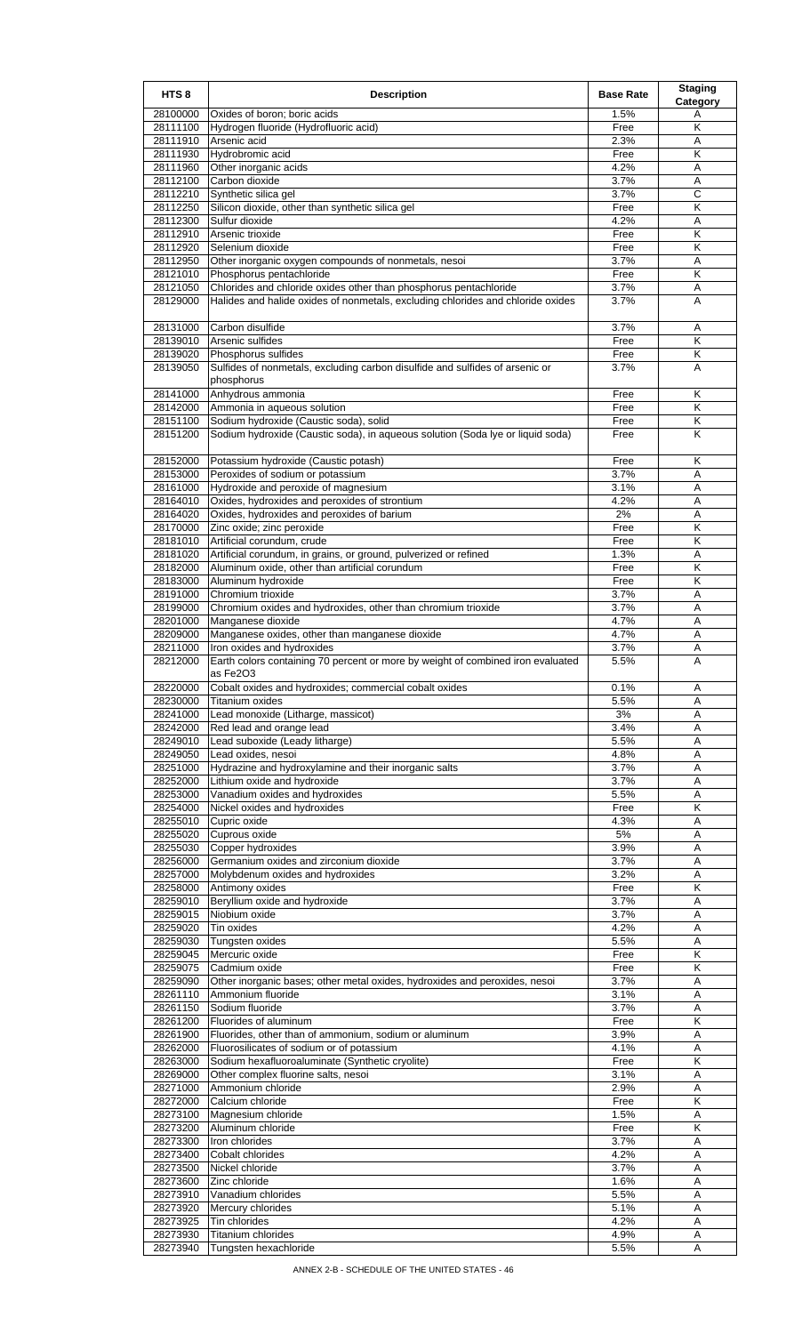| HTS <sub>8</sub>     | <b>Description</b>                                                                                  | <b>Base Rate</b> | <b>Staging</b><br>Category   |
|----------------------|-----------------------------------------------------------------------------------------------------|------------------|------------------------------|
| 28100000             | Oxides of boron; boric acids                                                                        | 1.5%             | Α                            |
| 28111100             | Hydrogen fluoride (Hydrofluoric acid)                                                               | Free             | Κ                            |
| 28111910<br>28111930 | Arsenic acid<br>Hydrobromic acid                                                                    | 2.3%<br>Free     | Α<br>Κ                       |
| 28111960             | Other inorganic acids                                                                               | 4.2%             | Α                            |
| 28112100             | Carbon dioxide                                                                                      | 3.7%             | A                            |
| 28112210             | Synthetic silica gel                                                                                | 3.7%             | С                            |
| 28112250             | Silicon dioxide, other than synthetic silica gel                                                    | Free             | Κ                            |
| 28112300             | Sulfur dioxide                                                                                      | 4.2%             | Α                            |
| 28112910<br>28112920 | Arsenic trioxide<br>Selenium dioxide                                                                | Free<br>Free     | Κ<br>Κ                       |
| 28112950             | Other inorganic oxygen compounds of nonmetals, nesoi                                                | 3.7%             | Α                            |
| 28121010             | Phosphorus pentachloride                                                                            | Free             | Κ                            |
| 28121050             | Chlorides and chloride oxides other than phosphorus pentachloride                                   | 3.7%             | Α                            |
| 28129000             | Halides and halide oxides of nonmetals, excluding chlorides and chloride oxides                     | 3.7%             | A                            |
| 28131000             | Carbon disulfide                                                                                    | 3.7%             | Α                            |
| 28139010             | Arsenic sulfides                                                                                    | Free             | K                            |
| 28139020<br>28139050 | Phosphorus sulfides<br>Sulfides of nonmetals, excluding carbon disulfide and sulfides of arsenic or | Free<br>3.7%     | Κ<br>A                       |
|                      | phosphorus                                                                                          |                  |                              |
| 28141000             | Anhydrous ammonia                                                                                   | Free             | Κ                            |
| 28142000<br>28151100 | Ammonia in aqueous solution<br>Sodium hydroxide (Caustic soda), solid                               | Free<br>Free     | Κ<br>Κ                       |
| 28151200             | Sodium hydroxide (Caustic soda), in aqueous solution (Soda Iye or liquid soda)                      | Free             | K                            |
|                      |                                                                                                     |                  |                              |
| 28152000<br>28153000 | Potassium hydroxide (Caustic potash)<br>Peroxides of sodium or potassium                            | Free<br>3.7%     | Κ<br>Α                       |
| 28161000             | Hydroxide and peroxide of magnesium                                                                 | 3.1%             | Α                            |
| 28164010             | Oxides, hydroxides and peroxides of strontium                                                       | 4.2%             | Α                            |
| 28164020             | Oxides, hydroxides and peroxides of barium                                                          | 2%               | A                            |
| 28170000             | Zinc oxide; zinc peroxide                                                                           | Free             | Κ                            |
| 28181010<br>28181020 | Artificial corundum, crude<br>Artificial corundum, in grains, or ground, pulverized or refined      | Free<br>1.3%     | Κ<br>Α                       |
| 28182000             | Aluminum oxide, other than artificial corundum                                                      | Free             | Κ                            |
| 28183000             | Aluminum hydroxide                                                                                  | Free             | Κ                            |
| 28191000             | Chromium trioxide                                                                                   | 3.7%             | A                            |
| 28199000             | Chromium oxides and hydroxides, other than chromium trioxide                                        | 3.7%             | Α                            |
| 28201000             | Manganese dioxide                                                                                   | 4.7%             | Α                            |
| 28209000<br>28211000 | Manganese oxides, other than manganese dioxide<br>Iron oxides and hydroxides                        | 4.7%<br>3.7%     | A<br>Α                       |
| 28212000             | Earth colors containing 70 percent or more by weight of combined iron evaluated                     | 5.5%             | A                            |
|                      | as Fe2O3                                                                                            |                  |                              |
| 28220000             | Cobalt oxides and hydroxides; commercial cobalt oxides                                              | 0.1%             | Α                            |
| 28230000             | <b>Titanium oxides</b>                                                                              | 5.5%             | A                            |
| 28241000<br>28242000 | Lead monoxide (Litharge, massicot)<br>Red lead and orange lead                                      | 3%<br>3.4%       | A<br>A                       |
| 28249010             | Lead suboxide (Leady litharge)                                                                      | 5.5%             | Α                            |
| 28249050             | Lead oxides, nesoi                                                                                  | 4.8%             | A                            |
| 28251000             | Hydrazine and hydroxylamine and their inorganic salts                                               | 3.7%             | Α                            |
| 28252000             | Lithium oxide and hydroxide                                                                         | 3.7%             | Α                            |
| 28253000<br>28254000 | Vanadium oxides and hydroxides<br>Nickel oxides and hydroxides                                      | 5.5%<br>Free     | A<br>K                       |
| 28255010             | Cupric oxide                                                                                        | 4.3%             | Α                            |
| 28255020             | Cuprous oxide                                                                                       | 5%               | Α                            |
| 28255030             | Copper hydroxides                                                                                   | 3.9%             | A                            |
| 28256000             | Germanium oxides and zirconium dioxide                                                              | 3.7%             | Α                            |
| 28257000             | Molybdenum oxides and hydroxides                                                                    | 3.2%             | A                            |
| 28258000<br>28259010 | Antimony oxides<br>Beryllium oxide and hydroxide                                                    | Free<br>3.7%     | Κ<br>Α                       |
| 28259015             | Niobium oxide                                                                                       | 3.7%             | A                            |
| 28259020             | Tin oxides                                                                                          | 4.2%             | A                            |
| 28259030             | Tungsten oxides                                                                                     | 5.5%             | Α                            |
| 28259045<br>28259075 | Mercuric oxide                                                                                      | Free             | K<br>$\overline{\mathsf{K}}$ |
| 28259090             | Cadmium oxide<br>Other inorganic bases; other metal oxides, hydroxides and peroxides, nesoi         | Free<br>3.7%     | Α                            |
| 28261110             | Ammonium fluoride                                                                                   | 3.1%             | Α                            |
| 28261150             | Sodium fluoride                                                                                     | 3.7%             | A                            |
| 28261200             | Fluorides of aluminum                                                                               | Free             | Κ                            |
| 28261900             | Fluorides, other than of ammonium, sodium or aluminum                                               | 3.9%             | Α                            |
| 28262000<br>28263000 | Fluorosilicates of sodium or of potassium<br>Sodium hexafluoroaluminate (Synthetic cryolite)        | 4.1%<br>Free     | A<br>Κ                       |
| 28269000             | Other complex fluorine salts, nesoi                                                                 | 3.1%             | Α                            |
| 28271000             | Ammonium chloride                                                                                   | 2.9%             | A                            |
| 28272000             | Calcium chloride                                                                                    | Free             | K                            |
| 28273100             | Magnesium chloride                                                                                  | 1.5%             | Α                            |
| 28273200<br>28273300 | Aluminum chloride<br>Iron chlorides                                                                 | Free<br>3.7%     | Κ<br>Α                       |
| 28273400             | Cobalt chlorides                                                                                    | 4.2%             | A                            |
| 28273500             | Nickel chloride                                                                                     | 3.7%             | A                            |
| 28273600             | Zinc chloride                                                                                       | 1.6%             | A                            |
| 28273910             | Vanadium chlorides                                                                                  | 5.5%             | Α                            |
| 28273920             | Mercury chlorides                                                                                   | 5.1%             | A                            |
| 28273925<br>28273930 | Tin chlorides<br>Titanium chlorides                                                                 | 4.2%<br>4.9%     | Α<br>Α                       |
| 28273940             | Tungsten hexachloride                                                                               | 5.5%             | Α                            |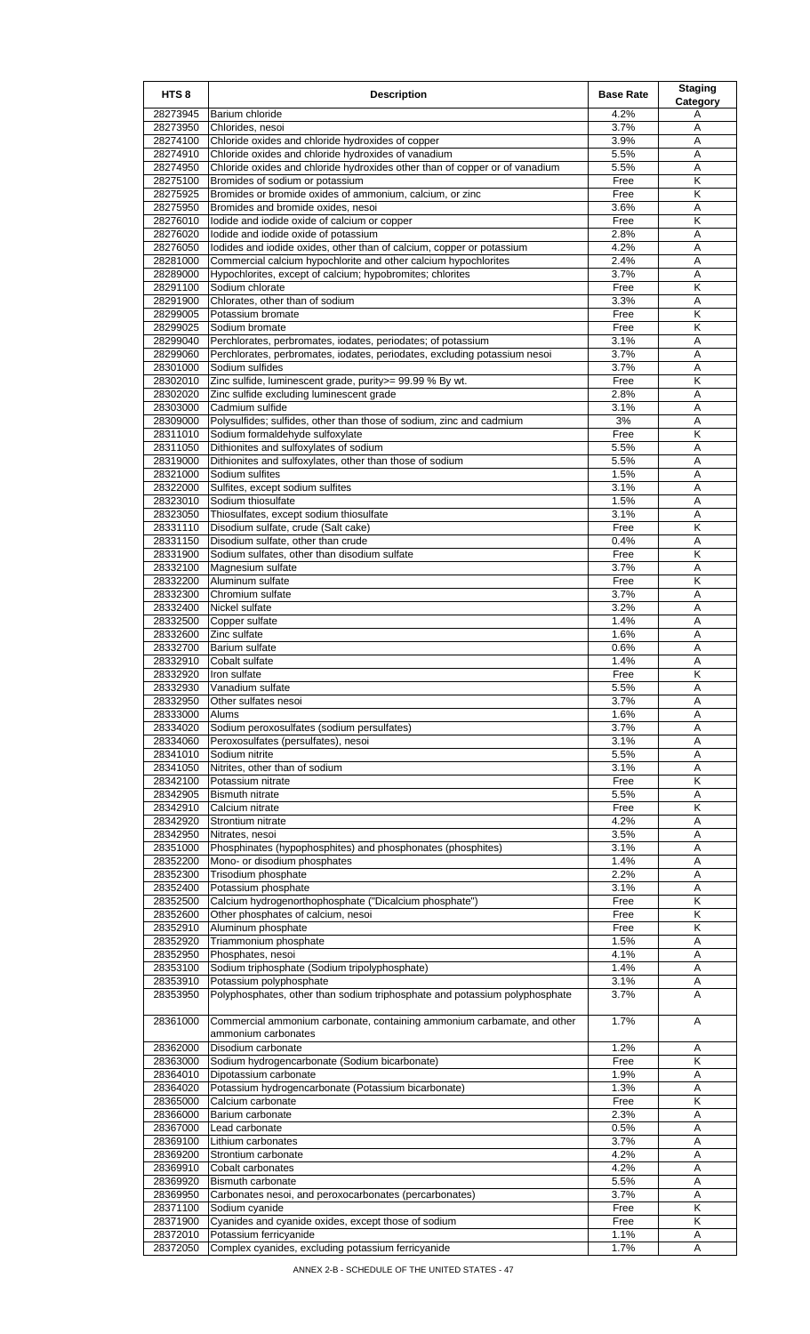| HTS <sub>8</sub>     | <b>Description</b>                                                                                                                       | <b>Base Rate</b> | <b>Staging</b><br>Category   |
|----------------------|------------------------------------------------------------------------------------------------------------------------------------------|------------------|------------------------------|
| 28273945             | Barium chloride                                                                                                                          | 4.2%             | Α                            |
| 28273950             | Chlorides, nesoi                                                                                                                         | 3.7%             | A                            |
| 28274100             | Chloride oxides and chloride hydroxides of copper                                                                                        | 3.9%             | Α<br>A                       |
| 28274910<br>28274950 | Chloride oxides and chloride hydroxides of vanadium<br>Chloride oxides and chloride hydroxides other than of copper or of vanadium       | 5.5%<br>5.5%     | Α                            |
| 28275100             | Bromides of sodium or potassium                                                                                                          | Free             | K                            |
| 28275925             | Bromides or bromide oxides of ammonium, calcium, or zinc                                                                                 | Free             | Κ                            |
| 28275950             | Bromides and bromide oxides, nesoi                                                                                                       | 3.6%             | Α                            |
| 28276010             | lodide and iodide oxide of calcium or copper                                                                                             | Free             | K                            |
| 28276020             | lodide and iodide oxide of potassium                                                                                                     | 2.8%             | Α                            |
| 28276050<br>28281000 | lodides and iodide oxides, other than of calcium, copper or potassium<br>Commercial calcium hypochlorite and other calcium hypochlorites | 4.2%<br>2.4%     | Α<br>A                       |
| 28289000             | Hypochlorites, except of calcium; hypobromites; chlorites                                                                                | 3.7%             | Α                            |
| 28291100             | Sodium chlorate                                                                                                                          | Free             | K                            |
| 28291900             | Chlorates, other than of sodium                                                                                                          | 3.3%             | A                            |
| 28299005             | Potassium bromate                                                                                                                        | Free             | K                            |
| 28299025<br>28299040 | Sodium bromate<br>Perchlorates, perbromates, iodates, periodates; of potassium                                                           | Free<br>3.1%     | Κ<br>A                       |
| 28299060             | Perchlorates, perbromates, iodates, periodates, excluding potassium nesoi                                                                | 3.7%             | Α                            |
| 28301000             | Sodium sulfides                                                                                                                          | 3.7%             | Α                            |
| 28302010             | Zinc sulfide, luminescent grade, purity>= 99.99 % By wt.                                                                                 | Free             | Κ                            |
| 28302020             | Zinc sulfide excluding luminescent grade                                                                                                 | 2.8%             | A                            |
| 28303000<br>28309000 | Cadmium sulfide<br>Polysulfides; sulfides, other than those of sodium, zinc and cadmium                                                  | 3.1%<br>3%       | Α<br>Α                       |
| 28311010             | Sodium formaldehyde sulfoxylate                                                                                                          | Free             | Κ                            |
| 28311050             | Dithionites and sulfoxylates of sodium                                                                                                   | 5.5%             | Α                            |
| 28319000             | Dithionites and sulfoxylates, other than those of sodium                                                                                 | 5.5%             | A                            |
| 28321000             | Sodium sulfites                                                                                                                          | 1.5%             | Α                            |
| 28322000             | Sulfites, except sodium sulfites                                                                                                         | 3.1%             | A                            |
| 28323010<br>28323050 | Sodium thiosulfate<br>Thiosulfates, except sodium thiosulfate                                                                            | 1.5%<br>3.1%     | Α<br>A                       |
| 28331110             | Disodium sulfate, crude (Salt cake)                                                                                                      | Free             | Κ                            |
| 28331150             | Disodium sulfate, other than crude                                                                                                       | 0.4%             | Α                            |
| 28331900             | Sodium sulfates, other than disodium sulfate                                                                                             | Free             | K                            |
| 28332100             | Magnesium sulfate                                                                                                                        | 3.7%             | Α                            |
| 28332200<br>28332300 | Aluminum sulfate<br>Chromium sulfate                                                                                                     | Free<br>3.7%     | Κ<br>A                       |
| 28332400             | Nickel sulfate                                                                                                                           | 3.2%             | Α                            |
| 28332500             | Copper sulfate                                                                                                                           | 1.4%             | Α                            |
| 28332600             | Zinc sulfate                                                                                                                             | 1.6%             | Α                            |
| 28332700             | <b>Barium sulfate</b>                                                                                                                    | 0.6%             | Α                            |
| 28332910<br>28332920 | Cobalt sulfate<br>Iron sulfate                                                                                                           | 1.4%<br>Free     | Α<br>$\overline{\mathsf{K}}$ |
| 28332930             | Vanadium sulfate                                                                                                                         | 5.5%             | Α                            |
| 28332950             | Other sulfates nesoi                                                                                                                     | 3.7%             | Α                            |
| 28333000             | Alums                                                                                                                                    | 1.6%             | Α                            |
| 28334020             | Sodium peroxosulfates (sodium persulfates)                                                                                               | 3.7%             | A                            |
| 28334060             | Peroxosulfates (persulfates), nesoi                                                                                                      | 3.1%<br>5.5%     | A                            |
| 28341010<br>28341050 | Sodium nitrite<br>Nitrites, other than of sodium                                                                                         | 3.1%             | Α<br>Α                       |
| 28342100             | Potassium nitrate                                                                                                                        | Free             | Κ                            |
| 28342905             | <b>Bismuth nitrate</b>                                                                                                                   | 5.5%             | Α                            |
| 28342910             | Calcium nitrate                                                                                                                          | Free             | Κ                            |
| 28342920<br>28342950 | Strontium nitrate<br>Nitrates, nesoi                                                                                                     | 4.2%<br>3.5%     | Α<br>Α                       |
| 28351000             | Phosphinates (hypophosphites) and phosphonates (phosphites)                                                                              | 3.1%             | A                            |
| 28352200             | Mono- or disodium phosphates                                                                                                             | 1.4%             | Α                            |
| 28352300             | Trisodium phosphate                                                                                                                      | 2.2%             | Α                            |
| 28352400             | Potassium phosphate                                                                                                                      | 3.1%             | A                            |
| 28352500<br>28352600 | Calcium hydrogenorthophosphate ("Dicalcium phosphate")<br>Other phosphates of calcium, nesoi                                             | Free<br>Free     | Κ<br>Κ                       |
| 28352910             | Aluminum phosphate                                                                                                                       | Free             | Κ                            |
| 28352920             | Triammonium phosphate                                                                                                                    | 1.5%             | Α                            |
| 28352950             | Phosphates, nesoi                                                                                                                        | 4.1%             | Α                            |
| 28353100             | Sodium triphosphate (Sodium tripolyphosphate)                                                                                            | 1.4%             | A                            |
| 28353910<br>28353950 | Potassium polyphosphate<br>Polyphosphates, other than sodium triphosphate and potassium polyphosphate                                    | 3.1%<br>3.7%     | Α<br>A                       |
| 28361000             | Commercial ammonium carbonate, containing ammonium carbamate, and other                                                                  | 1.7%             | A                            |
| 28362000             | ammonium carbonates<br>Disodium carbonate                                                                                                | 1.2%             | Α                            |
| 28363000             | Sodium hydrogencarbonate (Sodium bicarbonate)                                                                                            | Free             | $\overline{\mathsf{K}}$      |
| 28364010             | Dipotassium carbonate                                                                                                                    | 1.9%             | Α                            |
| 28364020             | Potassium hydrogencarbonate (Potassium bicarbonate)                                                                                      | 1.3%             | Α                            |
| 28365000<br>28366000 | Calcium carbonate<br>Barium carbonate                                                                                                    | Free<br>2.3%     | Κ<br>Α                       |
| 28367000             | Lead carbonate                                                                                                                           | 0.5%             | Α                            |
| 28369100             | Lithium carbonates                                                                                                                       | 3.7%             | Α                            |
| 28369200             | Strontium carbonate                                                                                                                      | 4.2%             | Α                            |
| 28369910             | Cobalt carbonates                                                                                                                        | 4.2%             | Α                            |
| 28369920<br>28369950 | <b>Bismuth carbonate</b>                                                                                                                 | 5.5%             | A                            |
| 28371100             | Carbonates nesoi, and peroxocarbonates (percarbonates)<br>Sodium cyanide                                                                 | 3.7%<br>Free     | Α<br>Κ                       |
| 28371900             | Cyanides and cyanide oxides, except those of sodium                                                                                      | Free             | Κ                            |
| 28372010             | Potassium ferricyanide                                                                                                                   | 1.1%             | Α                            |
| 28372050             | Complex cyanides, excluding potassium ferricyanide                                                                                       | 1.7%             | A                            |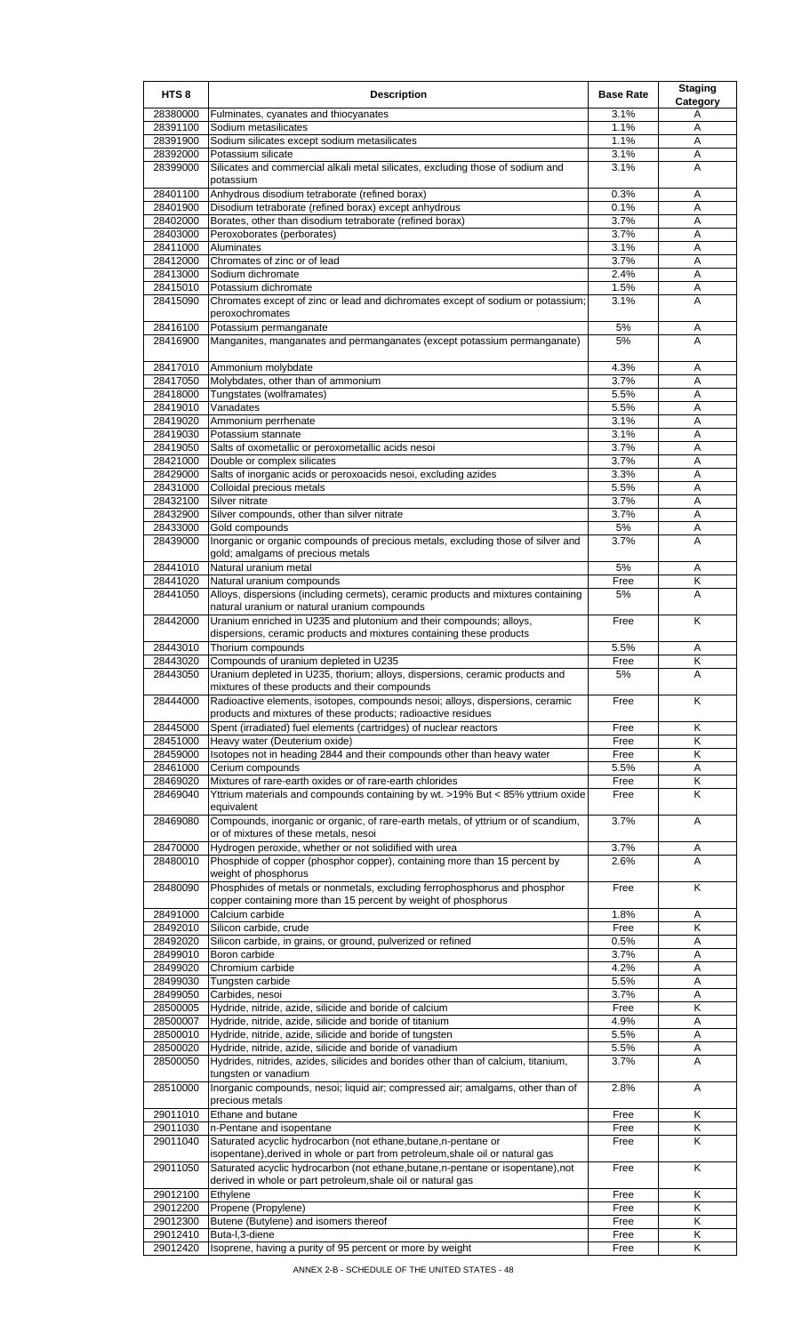| HTS <sub>8</sub>     | <b>Description</b>                                                                                                                                | <b>Base Rate</b> | <b>Staging</b><br>Category |
|----------------------|---------------------------------------------------------------------------------------------------------------------------------------------------|------------------|----------------------------|
| 28380000             | Fulminates, cyanates and thiocyanates                                                                                                             | 3.1%             | Α                          |
| 28391100             | Sodium metasilicates                                                                                                                              | 1.1%             | A                          |
| 28391900<br>28392000 | Sodium silicates except sodium metasilicates<br>Potassium silicate                                                                                | 1.1%<br>3.1%     | A<br>Α                     |
| 28399000             | Silicates and commercial alkali metal silicates, excluding those of sodium and<br>potassium                                                       | 3.1%             | Α                          |
| 28401100             | Anhydrous disodium tetraborate (refined borax)                                                                                                    | 0.3%             | Α                          |
| 28401900             | Disodium tetraborate (refined borax) except anhydrous                                                                                             | 0.1%             | A                          |
| 28402000             | Borates, other than disodium tetraborate (refined borax)                                                                                          | 3.7%             | Α                          |
| 28403000<br>28411000 | Peroxoborates (perborates)<br>Aluminates                                                                                                          | 3.7%<br>3.1%     | Α<br>Α                     |
| 28412000             | Chromates of zinc or of lead                                                                                                                      | 3.7%             | Α                          |
| 28413000             | Sodium dichromate                                                                                                                                 | 2.4%             | A                          |
| 28415010             | Potassium dichromate                                                                                                                              | 1.5%             | Α                          |
| 28415090             | Chromates except of zinc or lead and dichromates except of sodium or potassium;<br>peroxochromates                                                | 3.1%             | Α                          |
| 28416100<br>28416900 | Potassium permanganate<br>Manganites, manganates and permanganates (except potassium permanganate)                                                | 5%<br>5%         | A<br>A                     |
| 28417010             |                                                                                                                                                   | 4.3%             |                            |
| 28417050             | Ammonium molybdate<br>Molybdates, other than of ammonium                                                                                          | 3.7%             | Α<br>A                     |
| 28418000             | Tungstates (wolframates)                                                                                                                          | 5.5%             | Α                          |
| 28419010             | Vanadates                                                                                                                                         | 5.5%             | Α                          |
| 28419020             | Ammonium perrhenate                                                                                                                               | 3.1%             | A                          |
| 28419030             | Potassium stannate                                                                                                                                | 3.1%             | Α                          |
| 28419050<br>28421000 | Salts of oxometallic or peroxometallic acids nesoi<br>Double or complex silicates                                                                 | 3.7%<br>3.7%     | Α<br>A                     |
| 28429000             | Salts of inorganic acids or peroxoacids nesoi, excluding azides                                                                                   | 3.3%             | Α                          |
| 28431000             | Colloidal precious metals                                                                                                                         | 5.5%             | Α                          |
| 28432100             | Silver nitrate                                                                                                                                    | 3.7%             | Α                          |
| 28432900             | Silver compounds, other than silver nitrate                                                                                                       | 3.7%             | A                          |
| 28433000             | Gold compounds                                                                                                                                    | 5%<br>3.7%       | Α                          |
| 28439000             | Inorganic or organic compounds of precious metals, excluding those of silver and<br>gold; amalgams of precious metals                             |                  | A                          |
| 28441010             | Natural uranium metal                                                                                                                             | 5%               | Α                          |
| 28441020<br>28441050 | Natural uranium compounds<br>Alloys, dispersions (including cermets), ceramic products and mixtures containing                                    | Free<br>5%       | κ<br>Α                     |
| 28442000             | natural uranium or natural uranium compounds<br>Uranium enriched in U235 and plutonium and their compounds; alloys,                               | Free             | Κ                          |
|                      | dispersions, ceramic products and mixtures containing these products                                                                              |                  |                            |
| 28443010             | Thorium compounds                                                                                                                                 | 5.5%             | Α                          |
| 28443020             | Compounds of uranium depleted in U235                                                                                                             | Free             | Κ                          |
| 28443050             | Uranium depleted in U235, thorium; alloys, dispersions, ceramic products and<br>mixtures of these products and their compounds                    | 5%               | A                          |
| 28444000             | Radioactive elements, isotopes, compounds nesoi; alloys, dispersions, ceramic<br>products and mixtures of these products; radioactive residues    | Free             | Κ                          |
| 28445000             | Spent (irradiated) fuel elements (cartridges) of nuclear reactors                                                                                 | Free             | Κ                          |
| 28451000<br>28459000 | Heavy water (Deuterium oxide)<br>Isotopes not in heading 2844 and their compounds other than heavy water                                          | Free<br>Free     | κ<br>Κ                     |
| 28461000             | Cerium compounds                                                                                                                                  | 5.5%             | Α                          |
| 28469020             | Mixtures of rare-earth oxides or of rare-earth chlorides                                                                                          | Free             | Κ                          |
| 28469040             | Yttrium materials and compounds containing by wt. >19% But < 85% yttrium oxide<br>equivalent                                                      | Free             | Κ                          |
| 28469080             | Compounds, inorganic or organic, of rare-earth metals, of yttrium or of scandium,<br>or of mixtures of these metals, nesoi                        | 3.7%             | Α                          |
| 28470000             | Hydrogen peroxide, whether or not solidified with urea                                                                                            | 3.7%             | Α                          |
| 28480010             | Phosphide of copper (phosphor copper), containing more than 15 percent by<br>weight of phosphorus                                                 | 2.6%             | A                          |
| 28480090             | Phosphides of metals or nonmetals, excluding ferrophosphorus and phosphor<br>copper containing more than 15 percent by weight of phosphorus       | Free             | K                          |
| 28491000             | Calcium carbide                                                                                                                                   | 1.8%             | Α                          |
| 28492010             | Silicon carbide, crude                                                                                                                            | Free             | Κ                          |
| 28492020             | Silicon carbide, in grains, or ground, pulverized or refined                                                                                      | 0.5%             | Α                          |
| 28499010             | Boron carbide                                                                                                                                     | 3.7%             | Α                          |
| 28499020             | Chromium carbide                                                                                                                                  | 4.2%             | A                          |
| 28499030<br>28499050 | Tungsten carbide<br>Carbides, nesoi                                                                                                               | 5.5%<br>3.7%     | Α<br>Α                     |
| 28500005             | Hydride, nitride, azide, silicide and boride of calcium                                                                                           | Free             | Κ                          |
| 28500007             | Hydride, nitride, azide, silicide and boride of titanium                                                                                          | 4.9%             | Α                          |
| 28500010             | Hydride, nitride, azide, silicide and boride of tungsten                                                                                          | 5.5%             | Α                          |
| 28500020             | Hydride, nitride, azide, silicide and boride of vanadium                                                                                          | 5.5%             | Α                          |
| 28500050             | Hydrides, nitrides, azides, silicides and borides other than of calcium, titanium,<br>tungsten or vanadium                                        | 3.7%             | A                          |
| 28510000             | Inorganic compounds, nesoi; liquid air; compressed air; amalgams, other than of<br>precious metals                                                | 2.8%             | Α                          |
| 29011010             | Ethane and butane                                                                                                                                 | Free             | Κ                          |
| 29011030             | n-Pentane and isopentane                                                                                                                          | Free             | Κ                          |
| 29011040             | Saturated acyclic hydrocarbon (not ethane, butane, n-pentane or<br>isopentane), derived in whole or part from petroleum, shale oil or natural gas | Free             | Κ                          |
| 29011050             | Saturated acyclic hydrocarbon (not ethane, butane, n-pentane or isopentane), not<br>derived in whole or part petroleum, shale oil or natural gas  | Free             | Κ                          |
| 29012100<br>29012200 | Ethylene<br>Propene (Propylene)                                                                                                                   | Free<br>Free     | Κ<br>Κ                     |
| 29012300             | Butene (Butylene) and isomers thereof                                                                                                             | Free             | Κ                          |
| 29012410             | Buta-I,3-diene                                                                                                                                    | Free             | Κ                          |
| 29012420             | Isoprene, having a purity of 95 percent or more by weight                                                                                         | Free             | Κ                          |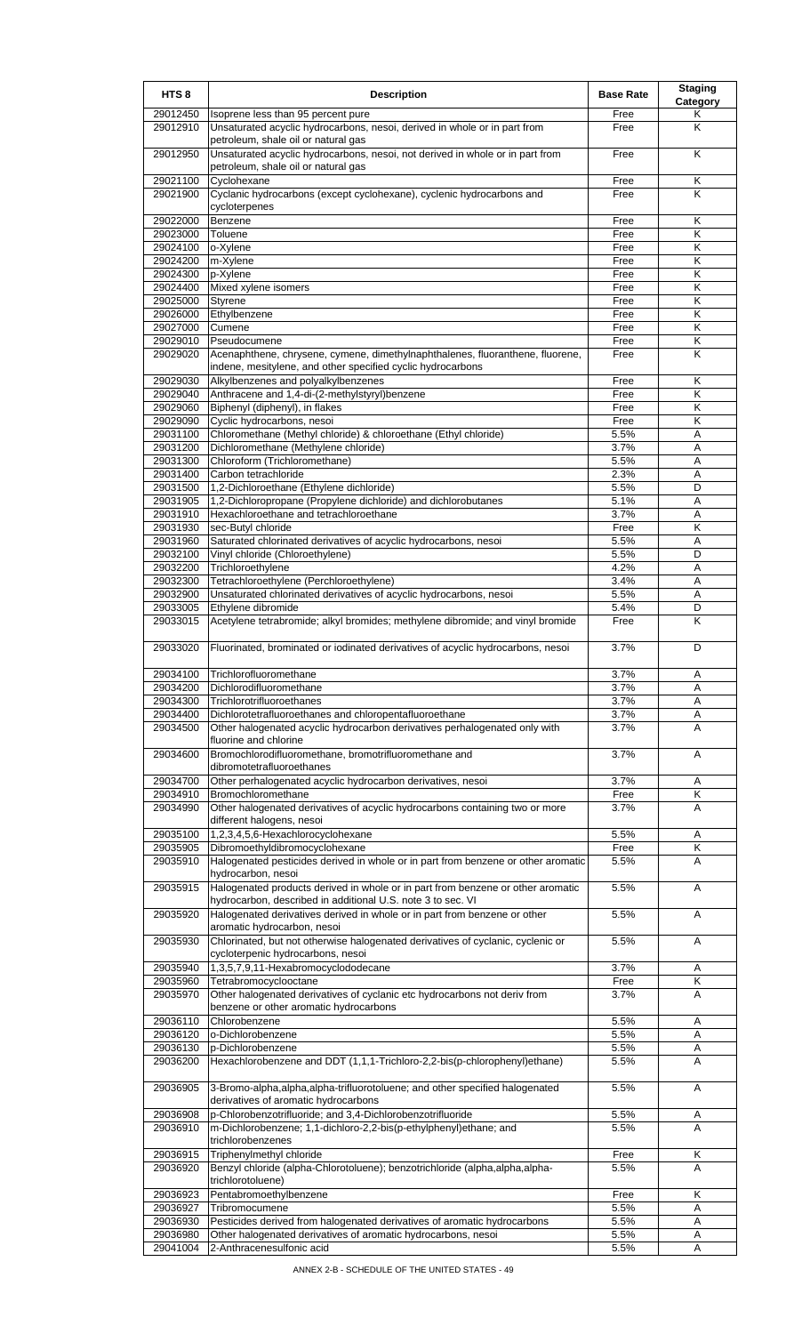| HTS <sub>8</sub>     | <b>Description</b>                                                                                                                                                                  | <b>Base Rate</b> | <b>Staging</b><br>Category   |
|----------------------|-------------------------------------------------------------------------------------------------------------------------------------------------------------------------------------|------------------|------------------------------|
| 29012450<br>29012910 | Isoprene less than 95 percent pure<br>Unsaturated acyclic hydrocarbons, nesoi, derived in whole or in part from                                                                     | Free             | Κ<br>K                       |
|                      | petroleum, shale oil or natural gas                                                                                                                                                 | Free             |                              |
| 29012950             | Unsaturated acyclic hydrocarbons, nesoi, not derived in whole or in part from<br>petroleum, shale oil or natural gas                                                                | Free             | K                            |
| 29021100             | Cyclohexane                                                                                                                                                                         | Free             | K                            |
| 29021900             | Cyclanic hydrocarbons (except cyclohexane), cyclenic hydrocarbons and<br>cycloterpenes                                                                                              | Free             | K                            |
| 29022000             | Benzene                                                                                                                                                                             | Free             | Κ                            |
| 29023000             | Toluene                                                                                                                                                                             | Free             | K                            |
| 29024100             | o-Xylene                                                                                                                                                                            | Free             | Κ                            |
| 29024200             | m-Xylene                                                                                                                                                                            | Free             | $\overline{\mathsf{K}}$      |
| 29024300<br>29024400 | p-Xylene<br>Mixed xylene isomers                                                                                                                                                    | Free<br>Free     | K<br>Κ                       |
| 29025000             | <b>Styrene</b>                                                                                                                                                                      | Free             | Κ                            |
| 29026000             | Ethylbenzene                                                                                                                                                                        | Free             | K                            |
| 29027000             | Cumene                                                                                                                                                                              | Free             | Κ                            |
| 29029010             | Pseudocumene                                                                                                                                                                        | Free             | Κ                            |
| 29029020<br>29029030 | Acenaphthene, chrysene, cymene, dimethylnaphthalenes, fluoranthene, fluorene,<br>indene, mesitylene, and other specified cyclic hydrocarbons<br>Alkylbenzenes and polyalkylbenzenes | Free<br>Free     | K<br>K                       |
| 29029040             | Anthracene and 1,4-di-(2-methylstyryl)benzene                                                                                                                                       | Free             | K                            |
| 29029060             | Biphenyl (diphenyl), in flakes                                                                                                                                                      | Free             | Κ                            |
| 29029090             | Cyclic hydrocarbons, nesoi                                                                                                                                                          | Free             | Κ                            |
| 29031100             | Chloromethane (Methyl chloride) & chloroethane (Ethyl chloride)                                                                                                                     | 5.5%             | A                            |
| 29031200             | Dichloromethane (Methylene chloride)                                                                                                                                                | 3.7%             | Α                            |
| 29031300<br>29031400 | Chloroform (Trichloromethane)<br>Carbon tetrachloride                                                                                                                               | 5.5%<br>2.3%     | Α<br>A                       |
| 29031500             | 1,2-Dichloroethane (Ethylene dichloride)                                                                                                                                            | 5.5%             | D                            |
| 29031905             | 1,2-Dichloropropane (Propylene dichloride) and dichlorobutanes                                                                                                                      | 5.1%             | A                            |
| 29031910             | Hexachloroethane and tetrachloroethane                                                                                                                                              | 3.7%             | A                            |
| 29031930             | sec-Butyl chloride                                                                                                                                                                  | Free             | Κ                            |
| 29031960             | Saturated chlorinated derivatives of acyclic hydrocarbons, nesoi                                                                                                                    | 5.5%             | Α                            |
| 29032100<br>29032200 | Vinyl chloride (Chloroethylene)<br>Trichloroethylene                                                                                                                                | 5.5%<br>4.2%     | D<br>Α                       |
| 29032300             | Tetrachloroethylene (Perchloroethylene)                                                                                                                                             | 3.4%             | Α                            |
| 29032900             | Unsaturated chlorinated derivatives of acyclic hydrocarbons, nesoi                                                                                                                  | 5.5%             | A                            |
| 29033005             | Ethylene dibromide                                                                                                                                                                  | 5.4%             | D                            |
| 29033015             | Acetylene tetrabromide; alkyl bromides; methylene dibromide; and vinyl bromide                                                                                                      | Free             | Κ                            |
| 29033020             | Fluorinated, brominated or iodinated derivatives of acyclic hydrocarbons, nesoi                                                                                                     | 3.7%             | D                            |
| 29034200             | 29034100 Trichlorofluoromethane<br>Dichlorodifluoromethane                                                                                                                          | 3.7%<br>3.7%     | A<br>A                       |
| 29034300             | Trichlorotrifluoroethanes                                                                                                                                                           | 3.7%             | Α                            |
| 29034400             | Dichlorotetrafluoroethanes and chloropentafluoroethane                                                                                                                              | 3.7%             | Α                            |
| 29034500             | Other halogenated acyclic hydrocarbon derivatives perhalogenated only with<br>fluorine and chlorine                                                                                 | 3.7%             | A                            |
| 29034600             | Bromochlorodifluoromethane, bromotrifluoromethane and<br>dibromotetrafluoroethanes                                                                                                  | 3.7%             | A                            |
| 29034700             | Other perhalogenated acyclic hydrocarbon derivatives, nesoi                                                                                                                         | 3.7%             | Α                            |
| 29034910             | Bromochloromethane                                                                                                                                                                  | Free             | Κ                            |
| 29034990             | Other halogenated derivatives of acyclic hydrocarbons containing two or more<br>different halogens, nesoi                                                                           | 3.7%             | A                            |
| 29035100             | 1,2,3,4,5,6-Hexachlorocyclohexane                                                                                                                                                   | 5.5%             | A<br>$\overline{\mathsf{K}}$ |
| 29035905<br>29035910 | Dibromoethyldibromocyclohexane<br>Halogenated pesticides derived in whole or in part from benzene or other aromatic                                                                 | Free<br>5.5%     | A                            |
| 29035915             | hydrocarbon, nesoi<br>Halogenated products derived in whole or in part from benzene or other aromatic                                                                               | 5.5%             | A                            |
| 29035920             | hydrocarbon, described in additional U.S. note 3 to sec. VI<br>Halogenated derivatives derived in whole or in part from benzene or other                                            | 5.5%             | Α                            |
| 29035930             | aromatic hydrocarbon, nesoi<br>Chlorinated, but not otherwise halogenated derivatives of cyclanic, cyclenic or<br>cycloterpenic hydrocarbons, nesoi                                 | 5.5%             | A                            |
| 29035940             | 1,3,5,7,9,11-Hexabromocyclododecane                                                                                                                                                 | 3.7%             | A                            |
| 29035960             | Tetrabromocyclooctane                                                                                                                                                               | Free             | $\overline{\mathsf{K}}$      |
| 29035970             | Other halogenated derivatives of cyclanic etc hydrocarbons not deriv from<br>benzene or other aromatic hydrocarbons                                                                 | 3.7%             | A                            |
| 29036110             | Chlorobenzene                                                                                                                                                                       | 5.5%             | Α                            |
| 29036120             | o-Dichlorobenzene                                                                                                                                                                   | 5.5%             | Α                            |
| 29036130<br>29036200 | p-Dichlorobenzene<br>Hexachlorobenzene and DDT (1,1,1-Trichloro-2,2-bis(p-chlorophenyl)ethane)                                                                                      | 5.5%<br>5.5%     | Α<br>A                       |
| 29036905             | 3-Bromo-alpha, alpha, alpha-trifluorotoluene; and other specified halogenated<br>derivatives of aromatic hydrocarbons                                                               | 5.5%             | A                            |
| 29036908             | p-Chlorobenzotrifluoride; and 3,4-Dichlorobenzotrifluoride                                                                                                                          | 5.5%             | Α                            |
| 29036910             | m-Dichlorobenzene; 1,1-dichloro-2,2-bis(p-ethylphenyl)ethane; and<br>trichlorobenzenes                                                                                              | 5.5%             | A                            |
| 29036915             | Triphenylmethyl chloride                                                                                                                                                            | Free             | Κ                            |
| 29036920             | Benzyl chloride (alpha-Chlorotoluene); benzotrichloride (alpha,alpha,alpha-<br>trichlorotoluene)                                                                                    | 5.5%             | A                            |
| 29036923             | Pentabromoethylbenzene                                                                                                                                                              | Free             | Κ                            |
| 29036927<br>29036930 | Tribromocumene<br>Pesticides derived from halogenated derivatives of aromatic hydrocarbons                                                                                          | 5.5%<br>5.5%     | Α<br>Α                       |
| 29036980             | Other halogenated derivatives of aromatic hydrocarbons, nesoi                                                                                                                       | 5.5%             | A                            |
| 29041004             | 2-Anthracenesulfonic acid                                                                                                                                                           | 5.5%             | Α                            |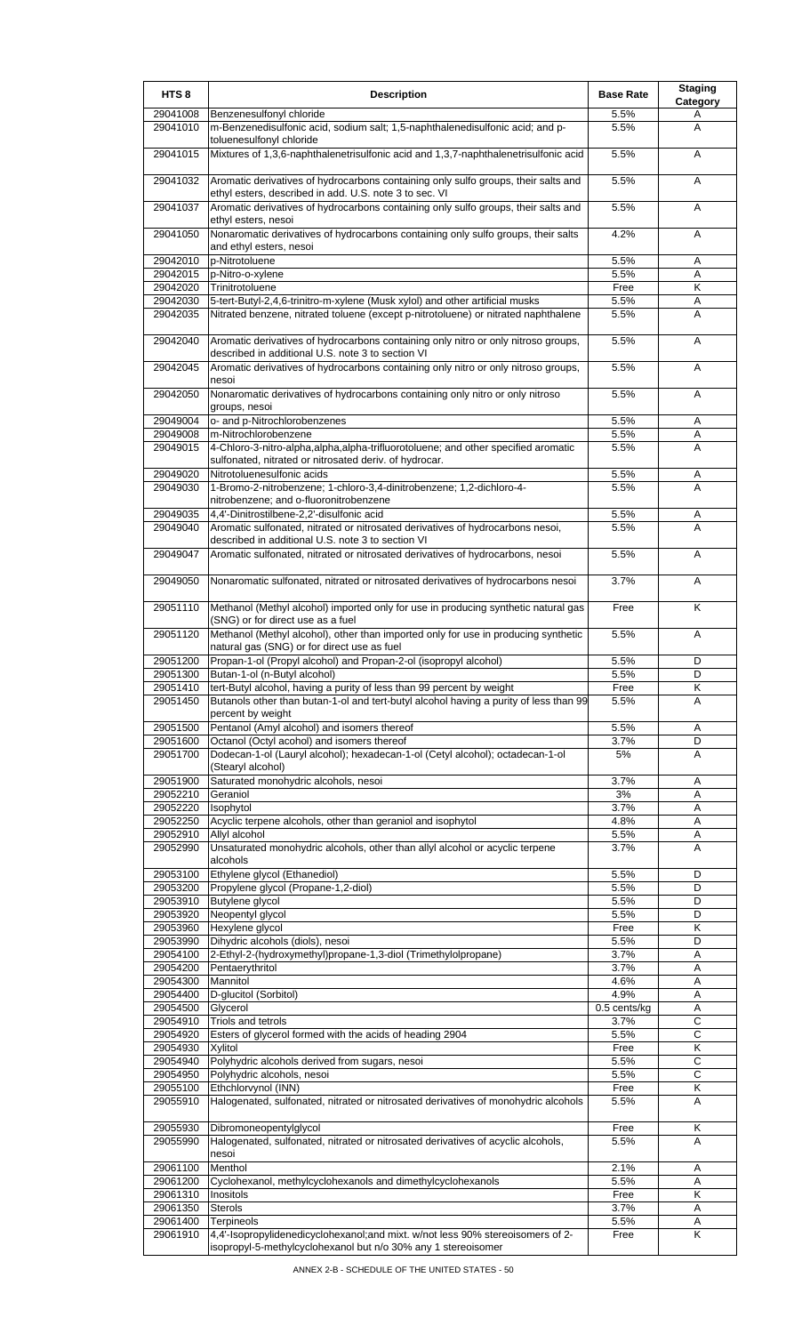| HTS <sub>8</sub>     | <b>Description</b>                                                                                                                               | <b>Base Rate</b> | <b>Staging</b><br>Category |
|----------------------|--------------------------------------------------------------------------------------------------------------------------------------------------|------------------|----------------------------|
| 29041008             | Benzenesulfonyl chloride                                                                                                                         | 5.5%             | A                          |
| 29041010             | m-Benzenedisulfonic acid, sodium salt; 1,5-naphthalenedisulfonic acid; and p-<br>toluenesulfonyl chloride                                        | 5.5%             | Α                          |
| 29041015             | Mixtures of 1,3,6-naphthalenetrisulfonic acid and 1,3,7-naphthalenetrisulfonic acid                                                              | 5.5%             | A                          |
| 29041032             | Aromatic derivatives of hydrocarbons containing only sulfo groups, their salts and<br>ethyl esters, described in add. U.S. note 3 to sec. VI     | 5.5%             | A                          |
| 29041037             | Aromatic derivatives of hydrocarbons containing only sulfo groups, their salts and<br>ethyl esters, nesoi                                        | 5.5%             | Α                          |
| 29041050             | Nonaromatic derivatives of hydrocarbons containing only sulfo groups, their salts<br>and ethyl esters, nesoi                                     | 4.2%             | A                          |
| 29042010             | p-Nitrotoluene                                                                                                                                   | 5.5%             | Α                          |
| 29042015<br>29042020 | p-Nitro-o-xylene                                                                                                                                 | 5.5%             | Α<br>Κ                     |
| 29042030             | Trinitrotoluene<br>5-tert-Butyl-2,4,6-trinitro-m-xylene (Musk xylol) and other artificial musks                                                  | Free<br>5.5%     | Α                          |
| 29042035             | Nitrated benzene, nitrated toluene (except p-nitrotoluene) or nitrated naphthalene                                                               | 5.5%             | A                          |
| 29042040             | Aromatic derivatives of hydrocarbons containing only nitro or only nitroso groups,<br>described in additional U.S. note 3 to section VI          | 5.5%             | A                          |
| 29042045             | Aromatic derivatives of hydrocarbons containing only nitro or only nitroso groups,<br>nesoi                                                      | 5.5%             | A                          |
| 29042050             | Nonaromatic derivatives of hydrocarbons containing only nitro or only nitroso<br>groups, nesoi                                                   | 5.5%             | A                          |
| 29049004             | o- and p-Nitrochlorobenzenes                                                                                                                     | 5.5%             | Α                          |
| 29049008             | m-Nitrochlorobenzene                                                                                                                             | 5.5%             | Α                          |
| 29049015             | 4-Chloro-3-nitro-alpha,alpha,alpha-trifluorotoluene; and other specified aromatic<br>sulfonated, nitrated or nitrosated deriv. of hydrocar.      | 5.5%             | A                          |
| 29049020             | Nitrotoluenesulfonic acids                                                                                                                       | 5.5%             | Α                          |
| 29049030             | 1-Bromo-2-nitrobenzene; 1-chloro-3,4-dinitrobenzene; 1,2-dichloro-4-<br>nitrobenzene; and o-fluoronitrobenzene                                   | 5.5%             | A                          |
| 29049035             | 4,4'-Dinitrostilbene-2,2'-disulfonic acid                                                                                                        | 5.5%             | Α                          |
| 29049040             | Aromatic sulfonated, nitrated or nitrosated derivatives of hydrocarbons nesoi,<br>described in additional U.S. note 3 to section VI              | 5.5%             | A                          |
| 29049047             | Aromatic sulfonated, nitrated or nitrosated derivatives of hydrocarbons, nesoi                                                                   | 5.5%             | A                          |
| 29049050             | Nonaromatic sulfonated, nitrated or nitrosated derivatives of hydrocarbons nesoi                                                                 | 3.7%             | Α                          |
| 29051110             | Methanol (Methyl alcohol) imported only for use in producing synthetic natural gas<br>(SNG) or for direct use as a fuel                          | Free             | Κ                          |
| 29051120             | Methanol (Methyl alcohol), other than imported only for use in producing synthetic<br>natural gas (SNG) or for direct use as fuel                | 5.5%             | A                          |
| 29051200             | Propan-1-ol (Propyl alcohol) and Propan-2-ol (isopropyl alcohol)                                                                                 | 5.5%             | D                          |
| 29051300<br>29051410 | (Butan-1-ol (n-Butyl alcohol)<br>tert-Butyl alcohol, having a purity of less than 99 percent by weight                                           | 5.5%<br>Free     | D<br>Κ                     |
| 29051450             | Butanols other than butan-1-ol and tert-butyl alcohol having a purity of less than 99<br>percent by weight                                       | 5.5%             | A                          |
| 29051500             | Pentanol (Amyl alcohol) and isomers thereof                                                                                                      | 5.5%             | Α                          |
| 29051600<br>29051700 | Octanol (Octyl acohol) and isomers thereof<br>Dodecan-1-ol (Lauryl alcohol); hexadecan-1-ol (Cetyl alcohol); octadecan-1-ol                      | 3.7%<br>5%       | D<br>A                     |
|                      | (Stearyl alcohol)                                                                                                                                |                  |                            |
| 29051900             | Saturated monohydric alcohols, nesoi                                                                                                             | 3.7%             | Α                          |
| 29052210<br>29052220 | Geraniol<br>Isophytol                                                                                                                            | 3%<br>3.7%       | Α<br>Α                     |
| 29052250             | Acyclic terpene alcohols, other than geraniol and isophytol                                                                                      | 4.8%             | Α                          |
| 29052910             | Allyl alcohol                                                                                                                                    | 5.5%             | Α                          |
| 29052990             | Unsaturated monohydric alcohols, other than allyl alcohol or acyclic terpene<br>alcohols                                                         | 3.7%             | A                          |
| 29053100             | Ethylene glycol (Ethanediol)                                                                                                                     | 5.5%             | D                          |
| 29053200             | Propylene glycol (Propane-1,2-diol)                                                                                                              | 5.5%             | D                          |
| 29053910<br>29053920 | Butylene glycol<br>Neopentyl glycol                                                                                                              | 5.5%<br>5.5%     | D<br>D                     |
| 29053960             | Hexylene glycol                                                                                                                                  | Free             | Κ                          |
| 29053990             | Dihydric alcohols (diols), nesoi                                                                                                                 | 5.5%             | D                          |
| 29054100             | 2-Ethyl-2-(hydroxymethyl)propane-1,3-diol (Trimethylolpropane)                                                                                   | 3.7%             | Α                          |
| 29054200             | Pentaerythritol                                                                                                                                  | 3.7%             | Α                          |
| 29054300<br>29054400 | Mannitol<br>D-glucitol (Sorbitol)                                                                                                                | 4.6%<br>4.9%     | A<br>Α                     |
| 29054500             | Glycerol                                                                                                                                         | 0.5 cents/kg     | Α                          |
| 29054910             | Triols and tetrols                                                                                                                               | 3.7%             | C                          |
| 29054920             | Esters of glycerol formed with the acids of heading 2904                                                                                         | 5.5%             | C                          |
| 29054930             | Xylitol                                                                                                                                          | Free             | Κ                          |
| 29054940<br>29054950 | Polyhydric alcohols derived from sugars, nesoi<br>Polyhydric alcohols, nesoi                                                                     | 5.5%<br>5.5%     | C<br>$\overline{C}$        |
| 29055100             | Ethchlorvynol (INN)                                                                                                                              | Free             | Κ                          |
| 29055910             | Halogenated, sulfonated, nitrated or nitrosated derivatives of monohydric alcohols                                                               | 5.5%             | A                          |
| 29055930             | Dibromoneopentylglycol                                                                                                                           | Free             | Κ                          |
| 29055990             | Halogenated, sulfonated, nitrated or nitrosated derivatives of acyclic alcohols,<br>nesoi                                                        | 5.5%             | A                          |
| 29061100             | Menthol                                                                                                                                          | 2.1%             | Α                          |
| 29061200<br>29061310 | Cyclohexanol, methylcyclohexanols and dimethylcyclohexanols<br>Inositols                                                                         | 5.5%<br>Free     | Α<br>K                     |
| 29061350             | <b>Sterols</b>                                                                                                                                   | 3.7%             | Α                          |
| 29061400             | Terpineols                                                                                                                                       | 5.5%             | Α                          |
| 29061910             | 4,4'-Isopropylidenedicyclohexanol; and mixt. w/not less 90% stereoisomers of 2-<br>isopropyl-5-methylcyclohexanol but n/o 30% any 1 stereoisomer | Free             | K                          |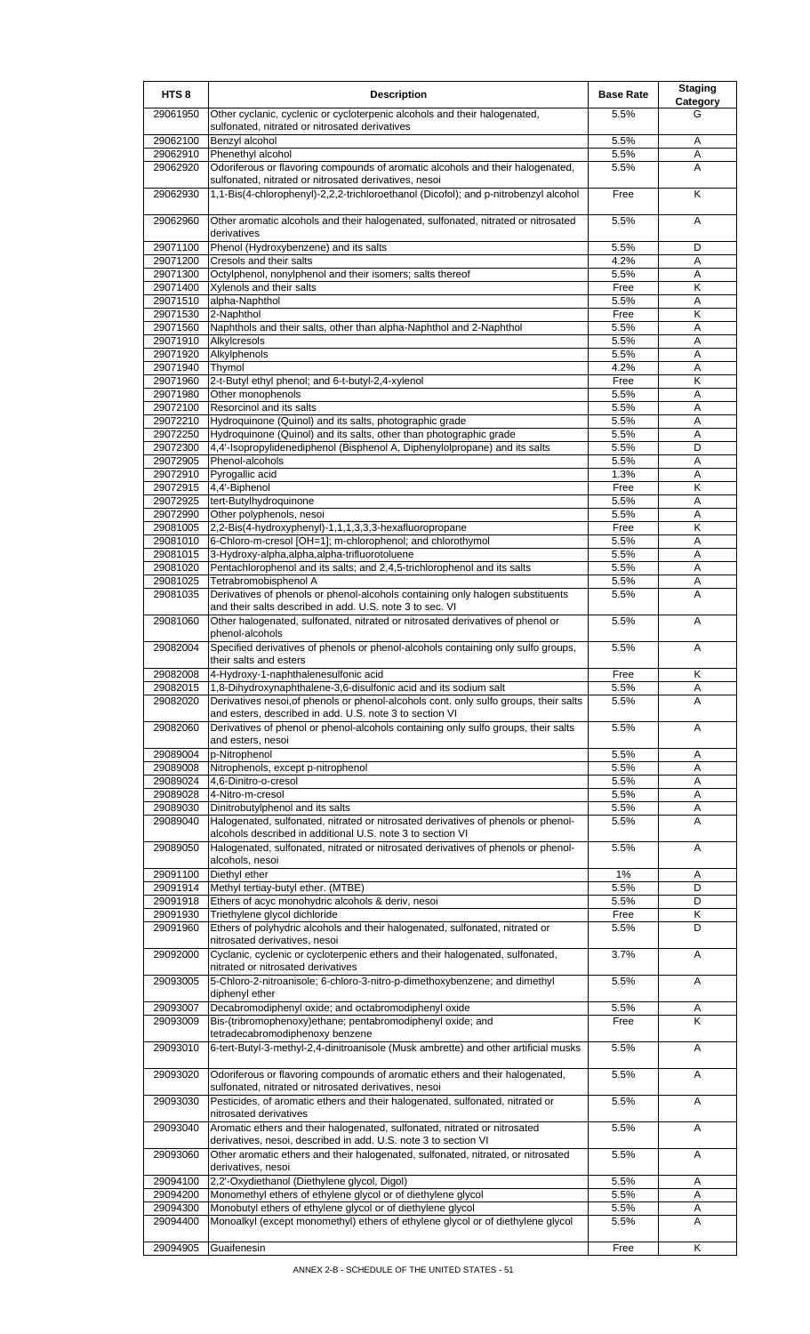| HTS <sub>8</sub>     | <b>Description</b>                                                                                                                                  | <b>Base Rate</b> | <b>Staging</b><br>Category |
|----------------------|-----------------------------------------------------------------------------------------------------------------------------------------------------|------------------|----------------------------|
| 29061950             | Other cyclanic, cyclenic or cycloterpenic alcohols and their halogenated,<br>sulfonated, nitrated or nitrosated derivatives                         | 5.5%             | G                          |
| 29062100             | Benzyl alcohol                                                                                                                                      | 5.5%             | Α                          |
| 29062910             | Phenethyl alcohol                                                                                                                                   | 5.5%             | Α                          |
| 29062920             | Odoriferous or flavoring compounds of aromatic alcohols and their halogenated,<br>sulfonated, nitrated or nitrosated derivatives, nesoi             | 5.5%             | A                          |
| 29062930             | 1,1-Bis(4-chlorophenyl)-2,2,2-trichloroethanol (Dicofol); and p-nitrobenzyl alcohol                                                                 | Free             | Κ                          |
| 29062960             | Other aromatic alcohols and their halogenated, sulfonated, nitrated or nitrosated<br>derivatives                                                    | 5.5%             | A                          |
| 29071100             | Phenol (Hydroxybenzene) and its salts                                                                                                               | 5.5%             | D                          |
| 29071200             | Cresols and their salts                                                                                                                             | 4.2%             | A                          |
| 29071300             | Octylphenol, nonylphenol and their isomers; salts thereof                                                                                           | 5.5%             | Α                          |
| 29071400             | Xylenols and their salts                                                                                                                            | Free             | Κ                          |
| 29071510             | alpha-Naphthol                                                                                                                                      | 5.5%             | A                          |
| 29071530<br>29071560 | 2-Naphthol<br>Naphthols and their salts, other than alpha-Naphthol and 2-Naphthol                                                                   | Free<br>5.5%     | K<br>Α                     |
| 29071910             | Alkylcresols                                                                                                                                        | 5.5%             | Α                          |
| 29071920             | Alkylphenols                                                                                                                                        | 5.5%             | Α                          |
| 29071940             | Thymol                                                                                                                                              | 4.2%             | Α                          |
| 29071960             | 2-t-Butyl ethyl phenol; and 6-t-butyl-2,4-xylenol                                                                                                   | Free             | Κ                          |
| 29071980             | Other monophenols                                                                                                                                   | 5.5%             | A                          |
| 29072100             | Resorcinol and its salts                                                                                                                            | 5.5%             | Α                          |
| 29072210<br>29072250 | Hydroquinone (Quinol) and its salts, photographic grade<br>Hydroquinone (Quinol) and its salts, other than photographic grade                       | 5.5%<br>5.5%     | A<br>Α                     |
| 29072300             | 4,4'-Isopropylidenediphenol (Bisphenol A, Diphenylolpropane) and its salts                                                                          | 5.5%             | D                          |
| 29072905             | Phenol-alcohols                                                                                                                                     | 5.5%             | Α                          |
| 29072910             | Pyrogallic acid                                                                                                                                     | 1.3%             | Α                          |
| 29072915             | 4,4'-Biphenol                                                                                                                                       | Free             | K                          |
| 29072925             | tert-Butylhydroquinone                                                                                                                              | 5.5%             | Α                          |
| 29072990             | Other polyphenols, nesoi                                                                                                                            | 5.5%             | A                          |
| 29081005             | 2,2-Bis(4-hydroxyphenyl)-1,1,1,3,3,3-hexafluoropropane                                                                                              | Free             | Κ                          |
| 29081010<br>29081015 | 6-Chloro-m-cresol [OH=1]; m-chlorophenol; and chlorothymol<br>3-Hydroxy-alpha,alpha,alpha-trifluorotoluene                                          | 5.5%<br>5.5%     | A<br>A                     |
| 29081020             | Pentachlorophenol and its salts; and 2,4,5-trichlorophenol and its salts                                                                            | 5.5%             | Α                          |
| 29081025             | Tetrabromobisphenol A                                                                                                                               | 5.5%             | Α                          |
| 29081035             | Derivatives of phenols or phenol-alcohols containing only halogen substituents<br>and their salts described in add. U.S. note 3 to sec. VI          | 5.5%             | A                          |
| 29081060             | Other halogenated, sulfonated, nitrated or nitrosated derivatives of phenol or<br>phenol-alcohols                                                   | 5.5%             | Α                          |
| 29082004             | Specified derivatives of phenols or phenol-alcohols containing only sulfo groups,<br>their salts and esters                                         | 5.5%             | A                          |
| 29082008             | 4-Hydroxy-1-naphthalenesulfonic acid                                                                                                                | Free             | Κ                          |
| 29082015             | 1,8-Dihydroxynaphthalene-3,6-disulfonic acid and its sodium salt                                                                                    | 5.5%             | Α                          |
| 29082020             | Derivatives nesoi, of phenols or phenol-alcohols cont. only sulfo groups, their salts<br>and esters, described in add. U.S. note 3 to section VI    | 5.5%             | A                          |
| 29082060             | Derivatives of phenol or phenol-alcohols containing only sulfo groups, their salts<br>and esters, nesoi                                             | 5.5%             | A                          |
| 29089004             | p-Nitrophenol                                                                                                                                       | 5.5%             | Α                          |
| 29089008             | Nitrophenols, except p-nitrophenol                                                                                                                  | 5.5%             | A                          |
| 29089024             | 4,6-Dinitro-o-cresol                                                                                                                                | 5.5%             | Α                          |
| 29089028             | 4-Nitro-m-cresol                                                                                                                                    | 5.5%             | A                          |
| 29089030<br>29089040 | Dinitrobutylphenol and its salts<br>Halogenated, sulfonated, nitrated or nitrosated derivatives of phenols or phenol-                               | 5.5%<br>5.5%     | Α<br>A                     |
| 29089050             | alcohols described in additional U.S. note 3 to section VI<br>Halogenated, sulfonated, nitrated or nitrosated derivatives of phenols or phenol-     | 5.5%             | Α                          |
| 29091100             | alcohols, nesoi<br>Diethyl ether                                                                                                                    | 1%               |                            |
| 29091914             | Methyl tertiay-butyl ether. (MTBE)                                                                                                                  | 5.5%             | Α<br>D                     |
| 29091918             | Ethers of acyc monohydric alcohols & deriv, nesoi                                                                                                   | 5.5%             | D                          |
| 29091930             | Triethylene glycol dichloride                                                                                                                       | Free             | K                          |
| 29091960             | Ethers of polyhydric alcohols and their halogenated, sulfonated, nitrated or                                                                        | 5.5%             | D                          |
| 29092000             | nitrosated derivatives, nesoi<br>Cyclanic, cyclenic or cycloterpenic ethers and their halogenated, sulfonated,                                      | 3.7%             | Α                          |
| 29093005             | nitrated or nitrosated derivatives<br>5-Chloro-2-nitroanisole; 6-chloro-3-nitro-p-dimethoxybenzene; and dimethyl                                    | 5.5%             | A                          |
| 29093007             | diphenyl ether<br>Decabromodiphenyl oxide; and octabromodiphenyl oxide                                                                              | 5.5%             | A                          |
| 29093009             | Bis-(tribromophenoxy)ethane; pentabromodiphenyl oxide; and                                                                                          | Free             | K                          |
| 29093010             | tetradecabromodiphenoxy benzene<br>6-tert-Butyl-3-methyl-2,4-dinitroanisole (Musk ambrette) and other artificial musks                              | 5.5%             | A                          |
| 29093020             | Odoriferous or flavoring compounds of aromatic ethers and their halogenated,                                                                        | 5.5%             | Α                          |
| 29093030             | sulfonated, nitrated or nitrosated derivatives, nesoi<br>Pesticides, of aromatic ethers and their halogenated, sulfonated, nitrated or              | 5.5%             | Α                          |
| 29093040             | nitrosated derivatives<br>Aromatic ethers and their halogenated, sulfonated, nitrated or nitrosated                                                 | 5.5%             | A                          |
| 29093060             | derivatives, nesoi, described in add. U.S. note 3 to section VI<br>Other aromatic ethers and their halogenated, sulfonated, nitrated, or nitrosated | 5.5%             | Α                          |
|                      | derivatives, nesoi                                                                                                                                  |                  |                            |
| 29094100             | 2,2'-Oxydiethanol (Diethylene glycol, Digol)                                                                                                        | 5.5%             | Α                          |
| 29094200             | Monomethyl ethers of ethylene glycol or of diethylene glycol                                                                                        | 5.5%             | Α                          |
| 29094300             | Monobutyl ethers of ethylene glycol or of diethylene glycol                                                                                         | 5.5%             | Α<br>A                     |
| 29094400             | Monoalkyl (except monomethyl) ethers of ethylene glycol or of diethylene glycol                                                                     | 5.5%             |                            |
| 29094905             | Guaifenesin                                                                                                                                         | Free             | K                          |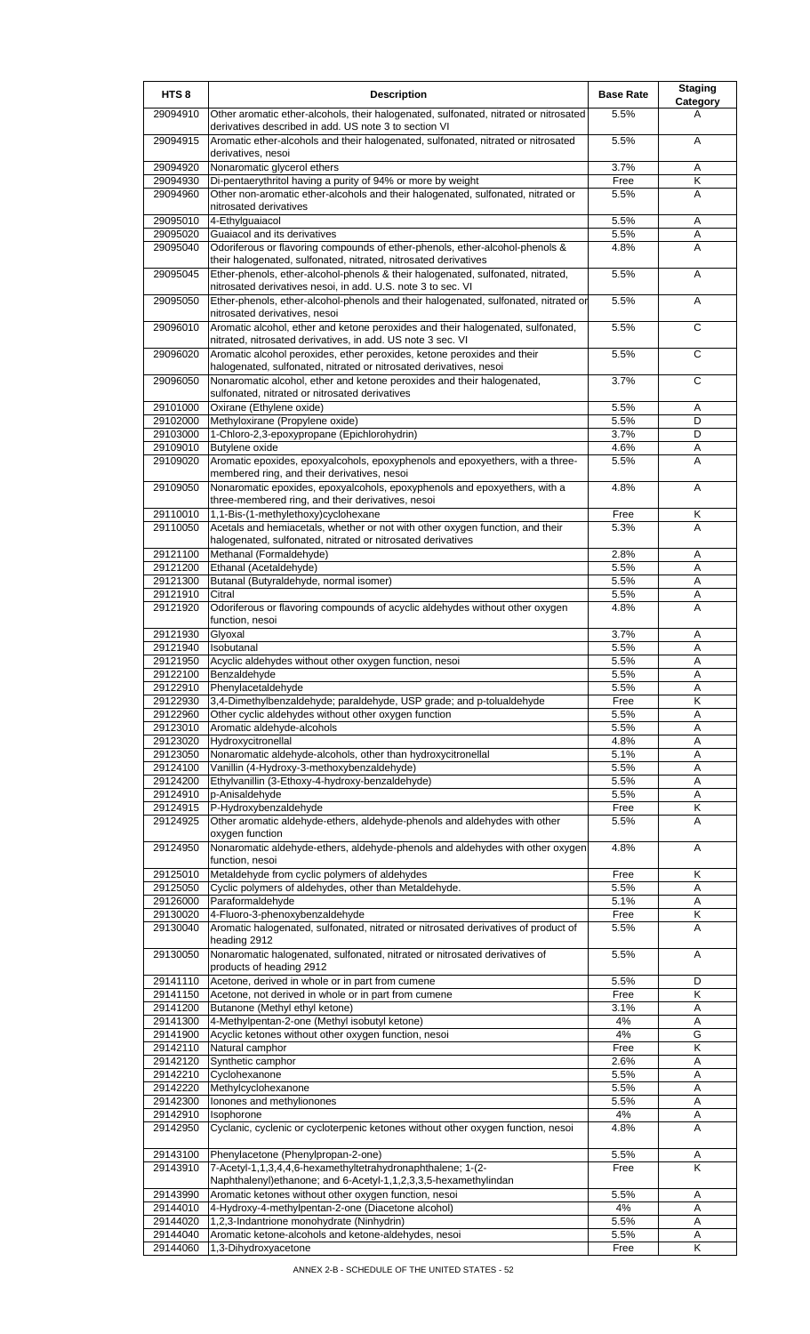| HTS <sub>8</sub>     | <b>Description</b>                                                                                                                              | <b>Base Rate</b> | <b>Staging</b><br>Category |
|----------------------|-------------------------------------------------------------------------------------------------------------------------------------------------|------------------|----------------------------|
| 29094910             | Other aromatic ether-alcohols, their halogenated, sulfonated, nitrated or nitrosated<br>derivatives described in add. US note 3 to section VI   | 5.5%             | А                          |
| 29094915             | Aromatic ether-alcohols and their halogenated, sulfonated, nitrated or nitrosated<br>derivatives, nesoi                                         | 5.5%             | A                          |
| 29094920             | Nonaromatic glycerol ethers                                                                                                                     | 3.7%             | Α                          |
| 29094930             | Di-pentaerythritol having a purity of 94% or more by weight                                                                                     | Free             | Κ                          |
| 29094960             | Other non-aromatic ether-alcohols and their halogenated, sulfonated, nitrated or<br>nitrosated derivatives                                      | 5.5%             | A                          |
| 29095010             | 4-Ethylguaiacol                                                                                                                                 | 5.5%             | A                          |
| 29095020             | Guaiacol and its derivatives                                                                                                                    | 5.5%             | Α                          |
| 29095040             | Odoriferous or flavoring compounds of ether-phenols, ether-alcohol-phenols &<br>their halogenated, sulfonated, nitrated, nitrosated derivatives | 4.8%             | A                          |
| 29095045             | Ether-phenols, ether-alcohol-phenols & their halogenated, sulfonated, nitrated,<br>nitrosated derivatives nesoi, in add. U.S. note 3 to sec. VI | 5.5%             | A                          |
| 29095050             | Ether-phenols, ether-alcohol-phenols and their halogenated, sulfonated, nitrated or<br>nitrosated derivatives, nesoi                            | 5.5%             | A                          |
| 29096010             | Aromatic alcohol, ether and ketone peroxides and their halogenated, sulfonated,<br>nitrated, nitrosated derivatives, in add. US note 3 sec. VI  | 5.5%             | $\overline{c}$             |
| 29096020             | Aromatic alcohol peroxides, ether peroxides, ketone peroxides and their<br>halogenated, sulfonated, nitrated or nitrosated derivatives, nesoi   | 5.5%             | C                          |
| 29096050             | Nonaromatic alcohol, ether and ketone peroxides and their halogenated,<br>sulfonated, nitrated or nitrosated derivatives                        | 3.7%             | С                          |
| 29101000             | Oxirane (Ethylene oxide)                                                                                                                        | 5.5%             | Α<br>D                     |
| 29102000<br>29103000 | Methyloxirane (Propylene oxide)<br>1-Chloro-2,3-epoxypropane (Epichlorohydrin)                                                                  | 5.5%<br>3.7%     | D                          |
| 29109010             | <b>Butylene</b> oxide                                                                                                                           | 4.6%             | Α                          |
| 29109020             | Aromatic epoxides, epoxyalcohols, epoxyphenols and epoxyethers, with a three-<br>membered ring, and their derivatives, nesoi                    | 5.5%             | A                          |
| 29109050             | Nonaromatic epoxides, epoxyalcohols, epoxyphenols and epoxyethers, with a<br>three-membered ring, and their derivatives, nesoi                  | 4.8%             | A                          |
| 29110010             | 1,1-Bis-(1-methylethoxy)cyclohexane                                                                                                             | Free             | Κ                          |
| 29110050             | Acetals and hemiacetals, whether or not with other oxygen function, and their<br>halogenated, sulfonated, nitrated or nitrosated derivatives    | 5.3%             | A                          |
| 29121100             | Methanal (Formaldehyde)                                                                                                                         | 2.8%             | Α                          |
| 29121200             | Ethanal (Acetaldehyde)                                                                                                                          | 5.5%             | A                          |
| 29121300             | Butanal (Butyraldehyde, normal isomer)                                                                                                          | 5.5%             | Α                          |
| 29121910<br>29121920 | Citral<br>Odoriferous or flavoring compounds of acyclic aldehydes without other oxygen                                                          | 5.5%<br>4.8%     | Α<br>A                     |
|                      | function, nesoi                                                                                                                                 |                  |                            |
| 29121930             | Glyoxal                                                                                                                                         | 3.7%             | A                          |
| 29121940             | Isobutanal                                                                                                                                      | 5.5%             | A                          |
| 29121950             | Acyclic aldehydes without other oxygen function, nesoi<br>Benzaldehyde                                                                          | 5.5%<br>5.5%     | Α                          |
| 29122100<br>29122910 | Phenylacetaldehyde                                                                                                                              | 5.5%             | Α<br>A                     |
| 29122930             | 3,4-Dimethylbenzaldehyde; paraldehyde, USP grade; and p-tolualdehyde                                                                            | Free             | Κ                          |
| 29122960             | Other cyclic aldehydes without other oxygen function                                                                                            | 5.5%             | Α                          |
| 29123010<br>29123020 | Aromatic aldehyde-alcohols<br>Hydroxycitronellal                                                                                                | 5.5%<br>4.8%     | A<br>A                     |
| 29123050             | Nonaromatic aldehyde-alcohols, other than hydroxycitronellal                                                                                    | 5.1%             | A                          |
| 29124100             | Vanillin (4-Hydroxy-3-methoxybenzaldehyde)                                                                                                      | 5.5%             | Α                          |
| 29124200             | Ethylvanillin (3-Ethoxy-4-hydroxy-benzaldehyde)                                                                                                 | 5.5%             | Α                          |
| 29124910             | p-Anisaldehyde                                                                                                                                  | 5.5%             | Α                          |
| 29124915<br>29124925 | P-Hydroxybenzaldehyde<br>Other aromatic aldehyde-ethers, aldehyde-phenols and aldehydes with other                                              | Free<br>5.5%     | Κ<br>A                     |
| 29124950             | oxygen function<br>Nonaromatic aldehyde-ethers, aldehyde-phenols and aldehydes with other oxygen                                                | 4.8%             | Α                          |
| 29125010             | function, nesoi<br>Metaldehyde from cyclic polymers of aldehydes                                                                                | Free             | Κ                          |
| 29125050             | Cyclic polymers of aldehydes, other than Metaldehyde.                                                                                           | 5.5%             | Α                          |
| 29126000             | Paraformaldehyde                                                                                                                                | 5.1%             | Α                          |
| 29130020             | 4-Fluoro-3-phenoxybenzaldehyde                                                                                                                  | Free             | Κ                          |
| 29130040             | Aromatic halogenated, sulfonated, nitrated or nitrosated derivatives of product of<br>heading 2912                                              | 5.5%             | A                          |
| 29130050             | Nonaromatic halogenated, sulfonated, nitrated or nitrosated derivatives of<br>products of heading 2912                                          | 5.5%             | A                          |
| 29141110             | Acetone, derived in whole or in part from cumene                                                                                                | 5.5%             | D                          |
| 29141150<br>29141200 | Acetone, not derived in whole or in part from cumene<br>Butanone (Methyl ethyl ketone)                                                          | Free<br>3.1%     | Κ<br>Α                     |
| 29141300             | 4-Methylpentan-2-one (Methyl isobutyl ketone)                                                                                                   | 4%               | Α                          |
| 29141900             | Acyclic ketones without other oxygen function, nesoi                                                                                            | 4%               | G                          |
| 29142110             | Natural camphor                                                                                                                                 | Free             | Κ                          |
| 29142120             | Synthetic camphor                                                                                                                               | 2.6%             | A                          |
| 29142210<br>29142220 | Cyclohexanone<br>Methylcyclohexanone                                                                                                            | 5.5%<br>5.5%     | Α<br>Α                     |
| 29142300             | Ionones and methylionones                                                                                                                       | 5.5%             | Α                          |
| 29142910             | Isophorone                                                                                                                                      | 4%               | Α                          |
| 29142950             | Cyclanic, cyclenic or cycloterpenic ketones without other oxygen function, nesoi                                                                | 4.8%             | A                          |
| 29143100             | Phenylacetone (Phenylpropan-2-one)                                                                                                              | 5.5%             | Α                          |
| 29143910             | 7-Acetyl-1,1,3,4,4,6-hexamethyltetrahydronaphthalene; 1-(2-<br>Naphthalenyl) ethanone; and 6-Acetyl-1,1,2,3,3,5-hexamethylindan                 | Free             | K                          |
| 29143990             | Aromatic ketones without other oxygen function, nesoi                                                                                           | 5.5%             | Α                          |
| 29144010             | 4-Hydroxy-4-methylpentan-2-one (Diacetone alcohol)                                                                                              | 4%               | Α                          |
| 29144020<br>29144040 | 1,2,3-Indantrione monohydrate (Ninhydrin)<br>Aromatic ketone-alcohols and ketone-aldehydes, nesoi                                               | 5.5%<br>5.5%     | Α<br>Α                     |
| 29144060             | 1,3-Dihydroxyacetone                                                                                                                            | Free             | Κ                          |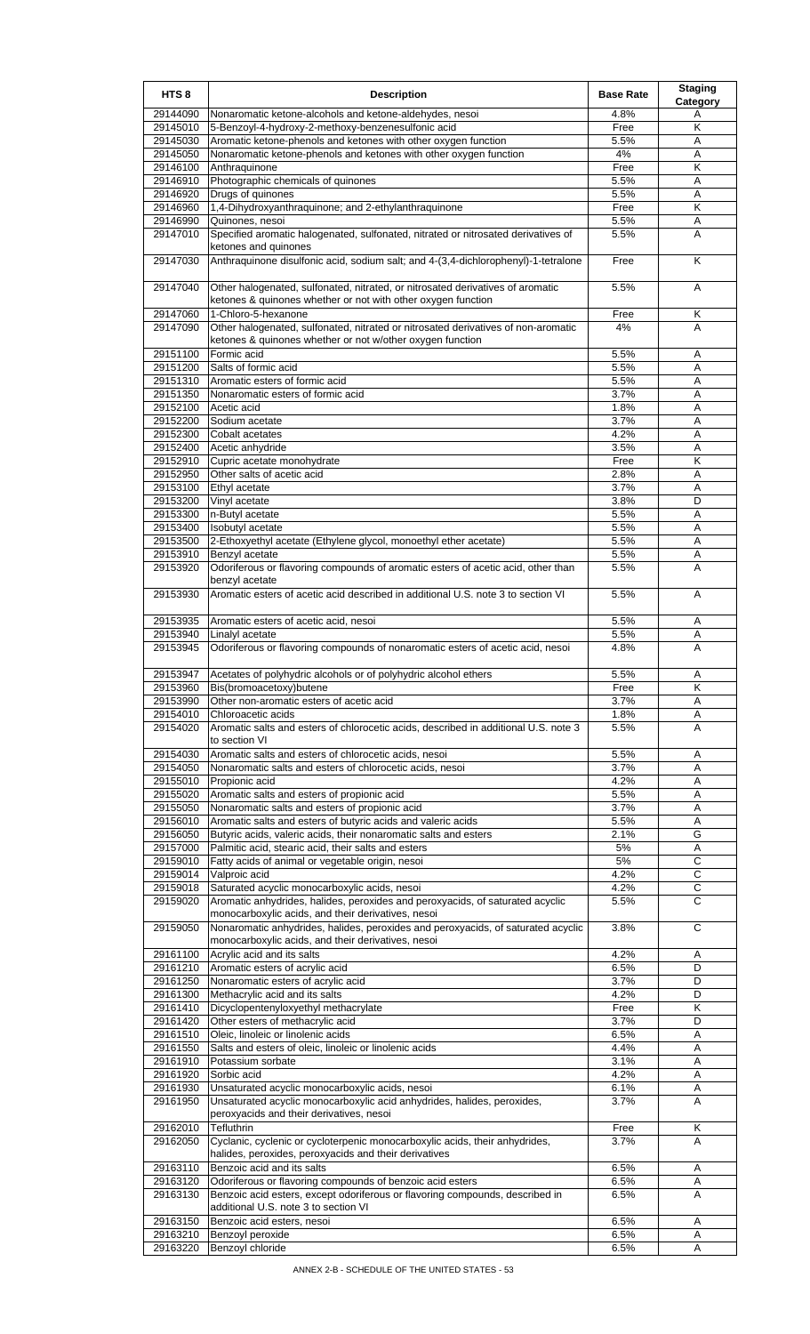| HTS <sub>8</sub>     | <b>Description</b>                                                                                                                     | <b>Base Rate</b> | <b>Staging</b><br><b>Category</b> |
|----------------------|----------------------------------------------------------------------------------------------------------------------------------------|------------------|-----------------------------------|
| 29144090             | Nonaromatic ketone-alcohols and ketone-aldehydes, nesoi                                                                                | 4.8%             | Α                                 |
| 29145010             | 5-Benzoyl-4-hydroxy-2-methoxy-benzenesulfonic acid                                                                                     | Free             | Κ                                 |
| 29145030             | Aromatic ketone-phenols and ketones with other oxygen function                                                                         | 5.5%             | A                                 |
| 29145050             | Nonaromatic ketone-phenols and ketones with other oxygen function                                                                      | 4%               | Α                                 |
| 29146100             | Anthraquinone                                                                                                                          | Free             | Κ                                 |
| 29146910             | Photographic chemicals of quinones                                                                                                     | 5.5%             | Α                                 |
| 29146920             | Drugs of quinones                                                                                                                      | 5.5%             | Α<br>K                            |
| 29146960<br>29146990 | 1,4-Dihydroxyanthraquinone; and 2-ethylanthraquinone<br>Quinones, nesoi                                                                | Free<br>5.5%     | Α                                 |
| 29147010             | Specified aromatic halogenated, sulfonated, nitrated or nitrosated derivatives of                                                      | 5.5%             | Α                                 |
|                      | ketones and quinones                                                                                                                   |                  |                                   |
| 29147030             | Anthraquinone disulfonic acid, sodium salt; and 4-(3,4-dichlorophenyl)-1-tetralone                                                     | Free             | Κ                                 |
| 29147040             | Other halogenated, sulfonated, nitrated, or nitrosated derivatives of aromatic                                                         | 5.5%             | A                                 |
| 29147060             | ketones & quinones whether or not with other oxygen function<br>1-Chloro-5-hexanone                                                    | Free             | Κ                                 |
| 29147090             | Other halogenated, sulfonated, nitrated or nitrosated derivatives of non-aromatic                                                      | 4%               | A                                 |
|                      | ketones & quinones whether or not w/other oxygen function                                                                              |                  |                                   |
| 29151100             | Formic acid                                                                                                                            | 5.5%             | Α                                 |
| 29151200             | Salts of formic acid                                                                                                                   | 5.5%             | Α                                 |
| 29151310             | Aromatic esters of formic acid                                                                                                         | 5.5%             | Α                                 |
| 29151350             | Nonaromatic esters of formic acid                                                                                                      | 3.7%             | A                                 |
| 29152100             | Acetic acid                                                                                                                            | 1.8%             | Α                                 |
| 29152200             | Sodium acetate                                                                                                                         | 3.7%             | Α                                 |
| 29152300             | <b>Cobalt</b> acetates                                                                                                                 | 4.2%             | Α                                 |
| 29152400             | Acetic anhydride                                                                                                                       | 3.5%             | Α                                 |
| 29152910             | Cupric acetate monohydrate<br>Other salts of acetic acid                                                                               | Free             | Κ                                 |
| 29152950<br>29153100 | Ethyl acetate                                                                                                                          | 2.8%<br>3.7%     | Α<br>Α                            |
| 29153200             | Vinyl acetate                                                                                                                          | 3.8%             | D                                 |
| 29153300             | n-Butyl acetate                                                                                                                        | 5.5%             | Α                                 |
| 29153400             | Isobutyl acetate                                                                                                                       | 5.5%             | Α                                 |
| 29153500             | 2-Ethoxyethyl acetate (Ethylene glycol, monoethyl ether acetate)                                                                       | 5.5%             | Α                                 |
| 29153910             | Benzyl acetate                                                                                                                         | 5.5%             | Α                                 |
| 29153920             | Odoriferous or flavoring compounds of aromatic esters of acetic acid, other than                                                       | 5.5%             | A                                 |
| 29153930             | benzyl acetate<br>Aromatic esters of acetic acid described in additional U.S. note 3 to section VI                                     | 5.5%             | A                                 |
|                      |                                                                                                                                        | 5.5%             |                                   |
| 29153935<br>29153940 | Aromatic esters of acetic acid, nesoi<br>Linalyl acetate                                                                               | 5.5%             | Α<br>Α                            |
| 29153945             | Odoriferous or flavoring compounds of nonaromatic esters of acetic acid, nesoi                                                         | 4.8%             | Α                                 |
|                      |                                                                                                                                        |                  |                                   |
|                      | 29153947 Acetates of polyhydric alcohols or of polyhydric alcohol ethers                                                               | 5.5%             | Α                                 |
| 29153960             | Bis(bromoacetoxy)butene                                                                                                                | Free             | Κ                                 |
| 29153990             | Other non-aromatic esters of acetic acid                                                                                               | 3.7%             | Α                                 |
| 29154010<br>29154020 | Chloroacetic acids<br>Aromatic salts and esters of chlorocetic acids, described in additional U.S. note 3                              | 1.8%<br>5.5%     | Α<br>A                            |
| 29154030             | to section VI<br>Aromatic salts and esters of chlorocetic acids, nesoi                                                                 | 5.5%             | Α                                 |
| 29154050             | Nonaromatic salts and esters of chlorocetic acids, nesoi                                                                               | 3.7%             | Α                                 |
| 29155010             | Propionic acid                                                                                                                         | 4.2%             | Α                                 |
| 29155020             | Aromatic salts and esters of propionic acid                                                                                            | 5.5%             | Α                                 |
| 29155050             | Nonaromatic salts and esters of propionic acid                                                                                         | 3.7%             | A                                 |
| 29156010             | Aromatic salts and esters of butyric acids and valeric acids                                                                           | 5.5%             | Α                                 |
| 29156050             | Butyric acids, valeric acids, their nonaromatic salts and esters                                                                       | 2.1%             | G                                 |
| 29157000             | Palmitic acid, stearic acid, their salts and esters                                                                                    | 5%               | Α                                 |
| 29159010             | Fatty acids of animal or vegetable origin, nesoi                                                                                       | 5%               | C                                 |
| 29159014             | Valproic acid                                                                                                                          | 4.2%             | C                                 |
| 29159018             | Saturated acyclic monocarboxylic acids, nesoi                                                                                          | 4.2%             | C                                 |
| 29159020             | Aromatic anhydrides, halides, peroxides and peroxyacids, of saturated acyclic<br>monocarboxylic acids, and their derivatives, nesoi    | 5.5%             | C                                 |
| 29159050             | Nonaromatic anhydrides, halides, peroxides and peroxyacids, of saturated acyclic<br>monocarboxylic acids, and their derivatives, nesoi | 3.8%             | C                                 |
| 29161100             | Acrylic acid and its salts                                                                                                             | 4.2%             | Α                                 |
| 29161210             | Aromatic esters of acrylic acid                                                                                                        | 6.5%             | D                                 |
| 29161250             | Nonaromatic esters of acrylic acid                                                                                                     | 3.7%             | D                                 |
| 29161300             | Methacrylic acid and its salts                                                                                                         | 4.2%             | D                                 |
| 29161410             | Dicyclopentenyloxyethyl methacrylate                                                                                                   | Free             | Κ                                 |
| 29161420<br>29161510 | Other esters of methacrylic acid<br>Oleic, linoleic or linolenic acids                                                                 | 3.7%<br>6.5%     | D<br>Α                            |
| 29161550             | Salts and esters of oleic, linoleic or linolenic acids                                                                                 | 4.4%             | A                                 |
| 29161910             | Potassium sorbate                                                                                                                      | 3.1%             | A                                 |
| 29161920             | Sorbic acid                                                                                                                            | 4.2%             | Α                                 |
| 29161930             | Unsaturated acyclic monocarboxylic acids, nesoi                                                                                        | 6.1%             | Α                                 |
| 29161950             | Unsaturated acyclic monocarboxylic acid anhydrides, halides, peroxides,<br>peroxyacids and their derivatives, nesoi                    | 3.7%             | Α                                 |
| 29162010             | Tefluthrin                                                                                                                             | Free             | Κ                                 |
| 29162050             | Cyclanic, cyclenic or cycloterpenic monocarboxylic acids, their anhydrides,                                                            | 3.7%             | A                                 |
|                      | halides, peroxides, peroxyacids and their derivatives                                                                                  |                  |                                   |
| 29163110             | Benzoic acid and its salts                                                                                                             | 6.5%             | Α                                 |
| 29163120             | Odoriferous or flavoring compounds of benzoic acid esters                                                                              | 6.5%             | Α                                 |
| 29163130             | Benzoic acid esters, except odoriferous or flavoring compounds, described in<br>additional U.S. note 3 to section VI                   | 6.5%             | Α                                 |
| 29163150             | Benzoic acid esters, nesoi                                                                                                             | 6.5%             | Α                                 |
| 29163210             | Benzoyl peroxide                                                                                                                       | 6.5%             | Α                                 |
| 29163220             | Benzoyl chloride                                                                                                                       | 6.5%             | Α                                 |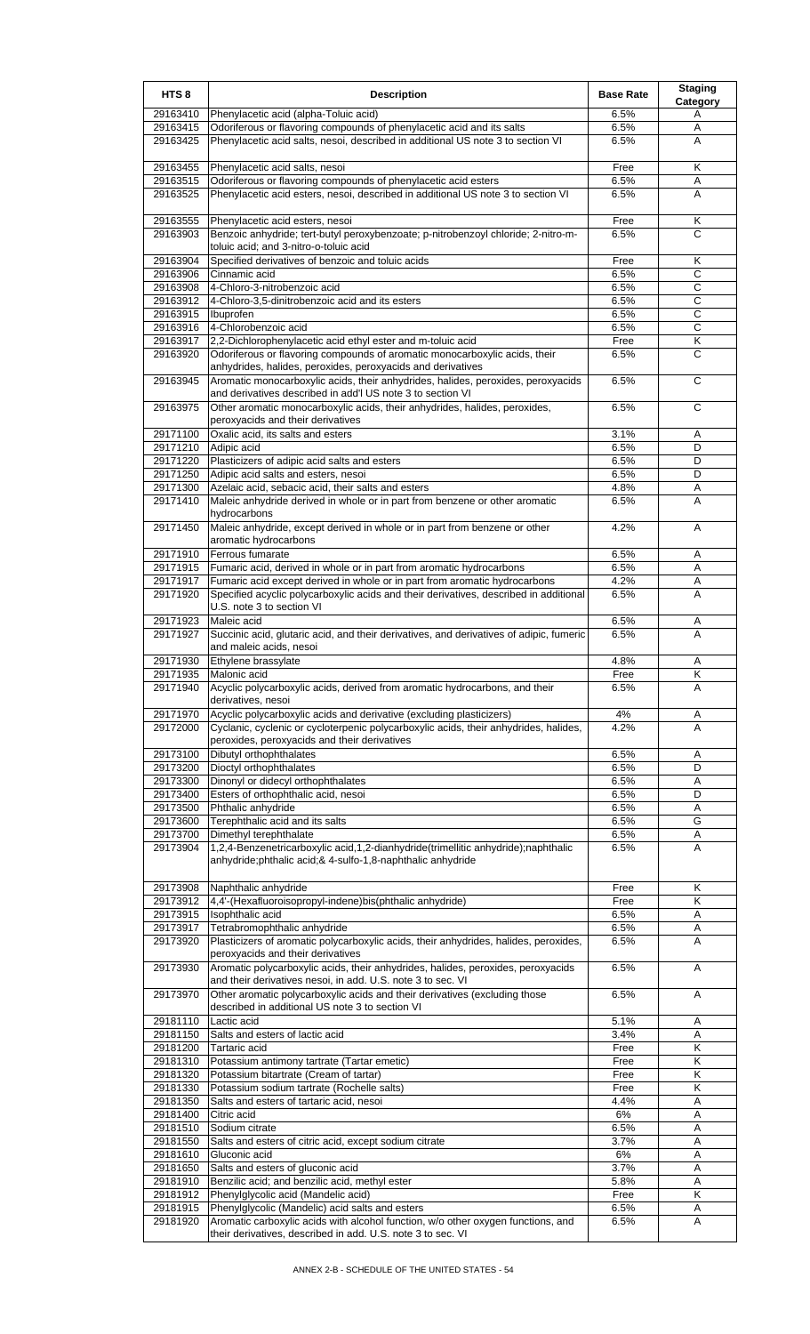| HTS <sub>8</sub>     | <b>Description</b>                                                                                                                                 | <b>Base Rate</b> | <b>Staging</b><br>Category |
|----------------------|----------------------------------------------------------------------------------------------------------------------------------------------------|------------------|----------------------------|
| 29163410             | Phenylacetic acid (alpha-Toluic acid)                                                                                                              | 6.5%             | Α                          |
| 29163415             | Odoriferous or flavoring compounds of phenylacetic acid and its salts                                                                              | 6.5%             | Α                          |
| 29163425             | Phenylacetic acid salts, nesoi, described in additional US note 3 to section VI                                                                    | 6.5%             | A                          |
| 29163455             | Phenylacetic acid salts, nesoi                                                                                                                     | Free             | K                          |
| 29163515             | Odoriferous or flavoring compounds of phenylacetic acid esters                                                                                     | 6.5%             | Α                          |
| 29163525             | Phenylacetic acid esters, nesoi, described in additional US note 3 to section VI                                                                   | 6.5%             | A                          |
|                      |                                                                                                                                                    |                  |                            |
| 29163555<br>29163903 | Phenylacetic acid esters, nesoi<br>Benzoic anhydride; tert-butyl peroxybenzoate; p-nitrobenzoyl chloride; 2-nitro-m-                               | Free<br>6.5%     | Κ<br>C                     |
|                      | toluic acid; and 3-nitro-o-toluic acid                                                                                                             |                  |                            |
| 29163904             | Specified derivatives of benzoic and toluic acids                                                                                                  | Free             | Κ                          |
| 29163906             | Cinnamic acid                                                                                                                                      | 6.5%             | C                          |
| 29163908<br>29163912 | 4-Chloro-3-nitrobenzoic acid<br>4-Chloro-3,5-dinitrobenzoic acid and its esters                                                                    | 6.5%<br>6.5%     | C<br>C                     |
| 29163915             | Ibuprofen                                                                                                                                          | 6.5%             | $\overline{c}$             |
| 29163916             | 4-Chlorobenzoic acid                                                                                                                               | 6.5%             | С                          |
| 29163917             | 2,2-Dichlorophenylacetic acid ethyl ester and m-toluic acid                                                                                        | Free             | Κ                          |
| 29163920             | Odoriferous or flavoring compounds of aromatic monocarboxylic acids, their<br>anhydrides, halides, peroxides, peroxyacids and derivatives          | 6.5%             | C                          |
| 29163945             | Aromatic monocarboxylic acids, their anhydrides, halides, peroxides, peroxyacids                                                                   | 6.5%             | C                          |
|                      | and derivatives described in add'I US note 3 to section VI                                                                                         |                  |                            |
| 29163975             | Other aromatic monocarboxylic acids, their anhydrides, halides, peroxides,                                                                         | 6.5%             | C                          |
| 29171100             | peroxyacids and their derivatives<br>Oxalic acid, its salts and esters                                                                             | 3.1%             | Α                          |
| 29171210             | Adipic acid                                                                                                                                        | 6.5%             | D                          |
| 29171220             | Plasticizers of adipic acid salts and esters                                                                                                       | 6.5%             | D                          |
| 29171250             | Adipic acid salts and esters, nesoi                                                                                                                | 6.5%             | D                          |
| 29171300<br>29171410 | Azelaic acid, sebacic acid, their salts and esters                                                                                                 | 4.8%<br>6.5%     | Α<br>A                     |
|                      | Maleic anhydride derived in whole or in part from benzene or other aromatic<br>hydrocarbons                                                        |                  |                            |
| 29171450             | Maleic anhydride, except derived in whole or in part from benzene or other                                                                         | 4.2%             | A                          |
|                      | aromatic hydrocarbons                                                                                                                              |                  |                            |
| 29171910             | Ferrous fumarate                                                                                                                                   | 6.5%             | Α                          |
| 29171915<br>29171917 | Fumaric acid, derived in whole or in part from aromatic hydrocarbons<br>Fumaric acid except derived in whole or in part from aromatic hydrocarbons | 6.5%<br>4.2%     | Α<br>Α                     |
| 29171920             | Specified acyclic polycarboxylic acids and their derivatives, described in additional                                                              | 6.5%             | A                          |
|                      | U.S. note 3 to section VI                                                                                                                          |                  |                            |
| 29171923             | Maleic acid                                                                                                                                        | 6.5%             | Α                          |
| 29171927             | Succinic acid, glutaric acid, and their derivatives, and derivatives of adipic, fumeric<br>and maleic acids, nesoi                                 | 6.5%             | A                          |
| 29171930             | Ethylene brassylate                                                                                                                                | 4.8%             | A                          |
| 29171935             | Malonic acid                                                                                                                                       | <b>Free</b>      | K                          |
| 29171940             | Acyclic polycarboxylic acids, derived from aromatic hydrocarbons, and their<br>derivatives, nesoi                                                  | 6.5%             | A                          |
| 29171970             | Acyclic polycarboxylic acids and derivative (excluding plasticizers)                                                                               | 4%               | Α                          |
| 29172000             | Cyclanic, cyclenic or cycloterpenic polycarboxylic acids, their anhydrides, halides,                                                               | 4.2%             | A                          |
|                      | peroxides, peroxyacids and their derivatives                                                                                                       |                  |                            |
| 29173100<br>29173200 | Dibutyl orthophthalates<br>Dioctyl orthophthalates                                                                                                 | 6.5%<br>6.5%     | Α<br>D                     |
| 29173300             | Dinonyl or didecyl orthophthalates                                                                                                                 | 6.5%             | Α                          |
| 29173400             | Esters of orthophthalic acid, nesoi                                                                                                                | 6.5%             | D                          |
| 29173500             | Phthalic anhydride                                                                                                                                 | 6.5%             | Α                          |
| 29173600<br>29173700 | Terephthalic acid and its salts                                                                                                                    | 6.5%<br>6.5%     | G                          |
| 29173904             | Dimethyl terephthalate<br>1,2,4-Benzenetricarboxylic acid,1,2-dianhydride(trimellitic anhydride);naphthalic                                        | 6.5%             | Α<br>A                     |
|                      | anhydride;phthalic acid;& 4-sulfo-1,8-naphthalic anhydride                                                                                         |                  |                            |
|                      |                                                                                                                                                    |                  |                            |
| 29173908<br>29173912 | Naphthalic anhydride<br>4,4'-(Hexafluoroisopropyl-indene)bis(phthalic anhydride)                                                                   | Free<br>Free     | Κ<br>Κ                     |
| 29173915             | Isophthalic acid                                                                                                                                   | 6.5%             | Α                          |
| 29173917             | Tetrabromophthalic anhydride                                                                                                                       | 6.5%             | Α                          |
| 29173920             | Plasticizers of aromatic polycarboxylic acids, their anhydrides, halides, peroxides,                                                               | 6.5%             | A                          |
| 29173930             | peroxyacids and their derivatives<br>Aromatic polycarboxylic acids, their anhydrides, halides, peroxides, peroxyacids                              | 6.5%             | Α                          |
|                      | and their derivatives nesoi, in add. U.S. note 3 to sec. VI                                                                                        |                  |                            |
| 29173970             | Other aromatic polycarboxylic acids and their derivatives (excluding those                                                                         | 6.5%             | Α                          |
|                      | described in additional US note 3 to section VI                                                                                                    |                  |                            |
| 29181110<br>29181150 | Lactic acid<br>Salts and esters of lactic acid                                                                                                     | 5.1%<br>3.4%     | Α                          |
| 29181200             | Tartaric acid                                                                                                                                      | Free             | Α<br>K                     |
| 29181310             | Potassium antimony tartrate (Tartar emetic)                                                                                                        | Free             | Κ                          |
| 29181320             | Potassium bitartrate (Cream of tartar)                                                                                                             | Free             | Κ                          |
| 29181330             | Potassium sodium tartrate (Rochelle salts)<br>Salts and esters of tartaric acid, nesoi                                                             | Free             | Κ                          |
| 29181350<br>29181400 | Citric acid                                                                                                                                        | 4.4%<br>6%       | Α<br>Α                     |
| 29181510             | Sodium citrate                                                                                                                                     | 6.5%             | Α                          |
| 29181550             | Salts and esters of citric acid, except sodium citrate                                                                                             | 3.7%             | A                          |
| 29181610             | Gluconic acid                                                                                                                                      | 6%               | Α                          |
| 29181650<br>29181910 | Salts and esters of gluconic acid<br>Benzilic acid; and benzilic acid, methyl ester                                                                | 3.7%<br>5.8%     | Α<br>A                     |
| 29181912             | Phenylglycolic acid (Mandelic acid)                                                                                                                | Free             | Κ                          |
| 29181915             | Phenylglycolic (Mandelic) acid salts and esters                                                                                                    | 6.5%             | A                          |
| 29181920             | Aromatic carboxylic acids with alcohol function, w/o other oxygen functions, and<br>their derivatives, described in add. U.S. note 3 to sec. VI    | 6.5%             | A                          |
|                      |                                                                                                                                                    |                  |                            |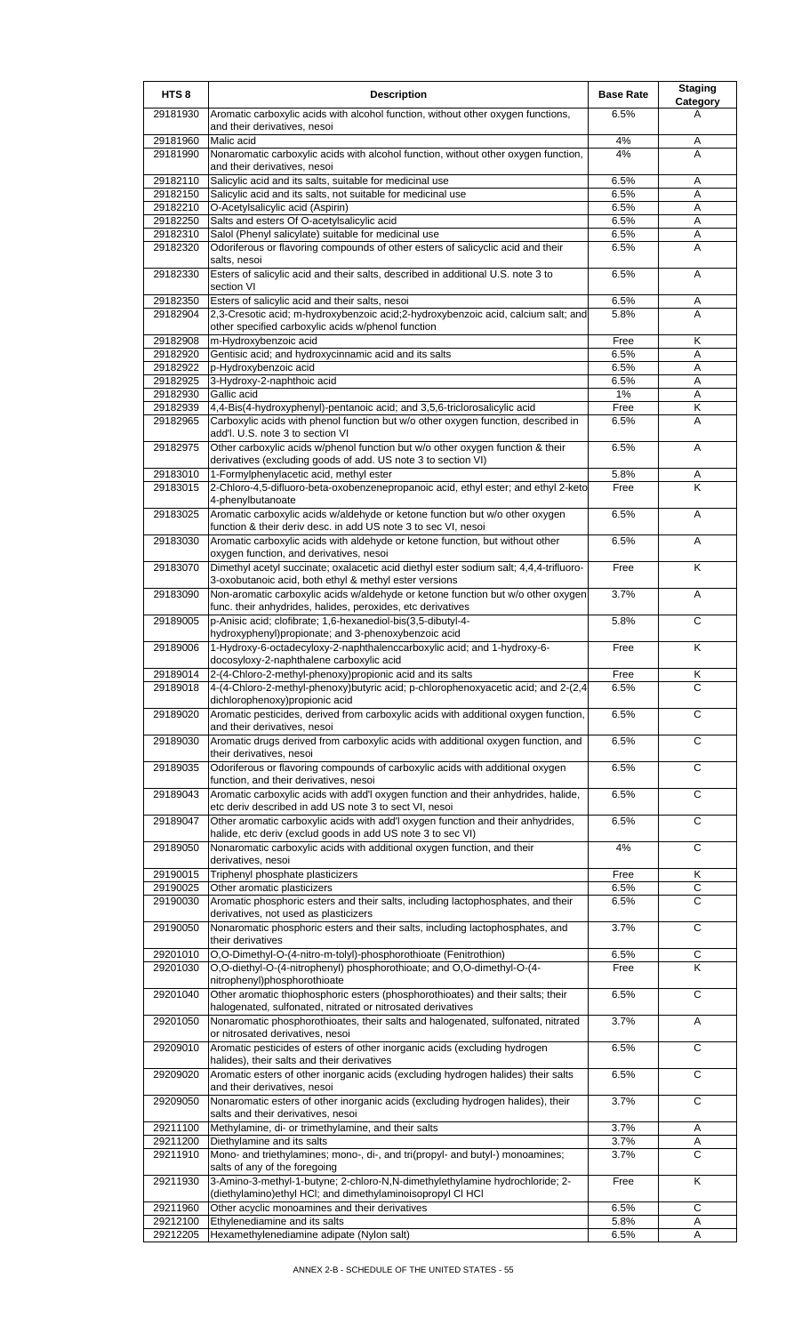| HTS <sub>8</sub>     | <b>Description</b>                                                                                                                                             | <b>Base Rate</b> | <b>Staging</b><br><b>Category</b> |
|----------------------|----------------------------------------------------------------------------------------------------------------------------------------------------------------|------------------|-----------------------------------|
| 29181930             | Aromatic carboxylic acids with alcohol function, without other oxygen functions,<br>and their derivatives, nesoi                                               | 6.5%             | A                                 |
| 29181960             | Malic acid                                                                                                                                                     | 4%               | Α                                 |
| 29181990             | Nonaromatic carboxylic acids with alcohol function, without other oxygen function,<br>and their derivatives, nesoi                                             | 4%               | A                                 |
| 29182110             | Salicylic acid and its salts, suitable for medicinal use                                                                                                       | 6.5%             | Α                                 |
| 29182150             | Salicylic acid and its salts, not suitable for medicinal use                                                                                                   | 6.5%             | A                                 |
| 29182210<br>29182250 | O-Acetylsalicylic acid (Aspirin)<br>Salts and esters Of O-acetylsalicylic acid                                                                                 | 6.5%<br>6.5%     | Α<br>Α                            |
| 29182310             | Salol (Phenyl salicylate) suitable for medicinal use                                                                                                           | 6.5%             | Α                                 |
| 29182320             | Odoriferous or flavoring compounds of other esters of salicyclic acid and their                                                                                | 6.5%             | A                                 |
|                      | salts, nesoi                                                                                                                                                   |                  |                                   |
| 29182330             | Esters of salicylic acid and their salts, described in additional U.S. note 3 to<br>section VI                                                                 | 6.5%             | A                                 |
| 29182350             | Esters of salicylic acid and their salts, nesoi                                                                                                                | 6.5%             | Α                                 |
| 29182904             | 2,3-Cresotic acid; m-hydroxybenzoic acid;2-hydroxybenzoic acid, calcium salt; and<br>other specified carboxylic acids w/phenol function                        | 5.8%             | A                                 |
| 29182908             | m-Hydroxybenzoic acid                                                                                                                                          | Free             | K                                 |
| 29182920             | Gentisic acid; and hydroxycinnamic acid and its salts                                                                                                          | 6.5%             | Α                                 |
| 29182922             | p-Hydroxybenzoic acid                                                                                                                                          | 6.5%             | Α                                 |
| 29182925             | 3-Hydroxy-2-naphthoic acid                                                                                                                                     | 6.5%             | A                                 |
| 29182930             | Gallic acid                                                                                                                                                    | 1%               | A                                 |
| 29182939<br>29182965 | 4,4-Bis(4-hydroxyphenyl)-pentanoic acid; and 3,5,6-triclorosalicylic acid<br>Carboxylic acids with phenol function but w/o other oxygen function, described in | Free<br>6.5%     | Κ<br>A                            |
| 29182975             | add'l. U.S. note 3 to section VI<br>Other carboxylic acids w/phenol function but w/o other oxygen function & their                                             | 6.5%             | Α                                 |
|                      | derivatives (excluding goods of add. US note 3 to section VI)                                                                                                  |                  |                                   |
| 29183010             | 1-Formylphenylacetic acid, methyl ester                                                                                                                        | 5.8%             | Α                                 |
| 29183015             | 2-Chloro-4,5-difluoro-beta-oxobenzenepropanoic acid, ethyl ester; and ethyl 2-keto<br>4-phenylbutanoate                                                        | Free             | K                                 |
| 29183025             | Aromatic carboxylic acids w/aldehyde or ketone function but w/o other oxygen<br>function & their deriv desc. in add US note 3 to sec VI, nesoi                 | 6.5%             | A                                 |
| 29183030             | Aromatic carboxylic acids with aldehyde or ketone function, but without other<br>oxygen function, and derivatives, nesoi                                       | 6.5%             | Α                                 |
| 29183070             | Dimethyl acetyl succinate; oxalacetic acid diethyl ester sodium salt; 4,4,4-trifluoro-<br>3-oxobutanoic acid, both ethyl & methyl ester versions               | Free             | K                                 |
| 29183090             | Non-aromatic carboxylic acids w/aldehyde or ketone function but w/o other oxygen<br>func. their anhydrides, halides, peroxides, etc derivatives                | 3.7%             | A                                 |
| 29189005             | p-Anisic acid; clofibrate; 1,6-hexanediol-bis(3,5-dibutyl-4-<br>hydroxyphenyl)propionate; and 3-phenoxybenzoic acid                                            | 5.8%             | C                                 |
| 29189006             | 1-Hydroxy-6-octadecyloxy-2-naphthalenccarboxylic acid; and 1-hydroxy-6-                                                                                        | Free             | K                                 |
| 29189014             | docosyloxy-2-naphthalene carboxylic acid<br>2-(4-Chloro-2-methyl-phenoxy)propionic acid and its salts                                                          | Free             | Κ                                 |
| 29189018             | 4-(4-Chloro-2-methyl-phenoxy)butyric acid; p-chlorophenoxyacetic acid; and 2-(2,4)<br>dichlorophenoxy) propionic acid                                          | 6.5%             | C                                 |
| 29189020             | Aromatic pesticides, derived from carboxylic acids with additional oxygen function,<br>and their derivatives, nesoi                                            | 6.5%             | C                                 |
| 29189030             | Aromatic drugs derived from carboxylic acids with additional oxygen function, and<br>their derivatives, nesoi                                                  | 6.5%             | $\overline{c}$                    |
| 29189035             | Odoriferous or flavoring compounds of carboxylic acids with additional oxygen<br>function, and their derivatives, nesoi                                        | 6.5%             | C                                 |
| 29189043             | Aromatic carboxylic acids with add'l oxygen function and their anhydrides, halide,<br>etc deriv described in add US note 3 to sect VI, nesoi                   | 6.5%             | C                                 |
| 29189047             | Other aromatic carboxylic acids with add'l oxygen function and their anhydrides,<br>halide, etc deriv (exclud goods in add US note 3 to sec VI)                | 6.5%             | $\overline{c}$                    |
| 29189050             | Nonaromatic carboxylic acids with additional oxygen function, and their                                                                                        | 4%               | $\overline{c}$                    |
| 29190015             | derivatives, nesoi<br>Triphenyl phosphate plasticizers                                                                                                         | Free             | Κ                                 |
| 29190025             | Other aromatic plasticizers                                                                                                                                    | 6.5%             | C                                 |
| 29190030             | Aromatic phosphoric esters and their salts, including lactophosphates, and their                                                                               | 6.5%             | C                                 |
| 29190050             | derivatives, not used as plasticizers<br>Nonaromatic phosphoric esters and their salts, including lactophosphates, and                                         | 3.7%             | $\overline{c}$                    |
|                      | their derivatives                                                                                                                                              |                  |                                   |
| 29201010<br>29201030 | O,O-Dimethyl-O-(4-nitro-m-tolyl)-phosphorothioate (Fenitrothion)<br>O,O-diethyl-O-(4-nitrophenyl) phosphorothioate; and O,O-dimethyl-O-(4-                     | 6.5%<br>Free     | C<br>K                            |
| 29201040             | nitrophenyl)phosphorothioate<br>Other aromatic thiophosphoric esters (phosphorothioates) and their salts; their                                                | 6.5%             | C                                 |
| 29201050             | halogenated, sulfonated, nitrated or nitrosated derivatives<br>Nonaromatic phosphorothioates, their salts and halogenated, sulfonated, nitrated                | 3.7%             | Α                                 |
| 29209010             | or nitrosated derivatives, nesoi<br>Aromatic pesticides of esters of other inorganic acids (excluding hydrogen                                                 | 6.5%             | C                                 |
| 29209020             | halides), their salts and their derivatives<br>Aromatic esters of other inorganic acids (excluding hydrogen halides) their salts                               | 6.5%             | $\overline{c}$                    |
| 29209050             | and their derivatives, nesoi<br>Nonaromatic esters of other inorganic acids (excluding hydrogen halides), their                                                | 3.7%             | C                                 |
| 29211100             | salts and their derivatives, nesoi<br>Methylamine, di- or trimethylamine, and their salts                                                                      | 3.7%             |                                   |
| 29211200             | Diethylamine and its salts                                                                                                                                     | 3.7%             | Α<br>Α                            |
| 29211910             | Mono- and triethylamines; mono-, di-, and tri(propyl- and butyl-) monoamines;<br>salts of any of the foregoing                                                 | 3.7%             | $\overline{C}$                    |
| 29211930             | 3-Amino-3-methyl-1-butyne; 2-chloro-N,N-dimethylethylamine hydrochloride; 2-<br>(diethylamino) ethyl HCI; and dimethylaminoisopropyl CI HCI                    | Free             | $\overline{\mathsf{K}}$           |
| 29211960             | Other acyclic monoamines and their derivatives                                                                                                                 | 6.5%             | $\mathsf C$                       |
| 29212100             | Ethylenediamine and its salts                                                                                                                                  | 5.8%             | Α                                 |
| 29212205             | Hexamethylenediamine adipate (Nylon salt)                                                                                                                      | 6.5%             | A                                 |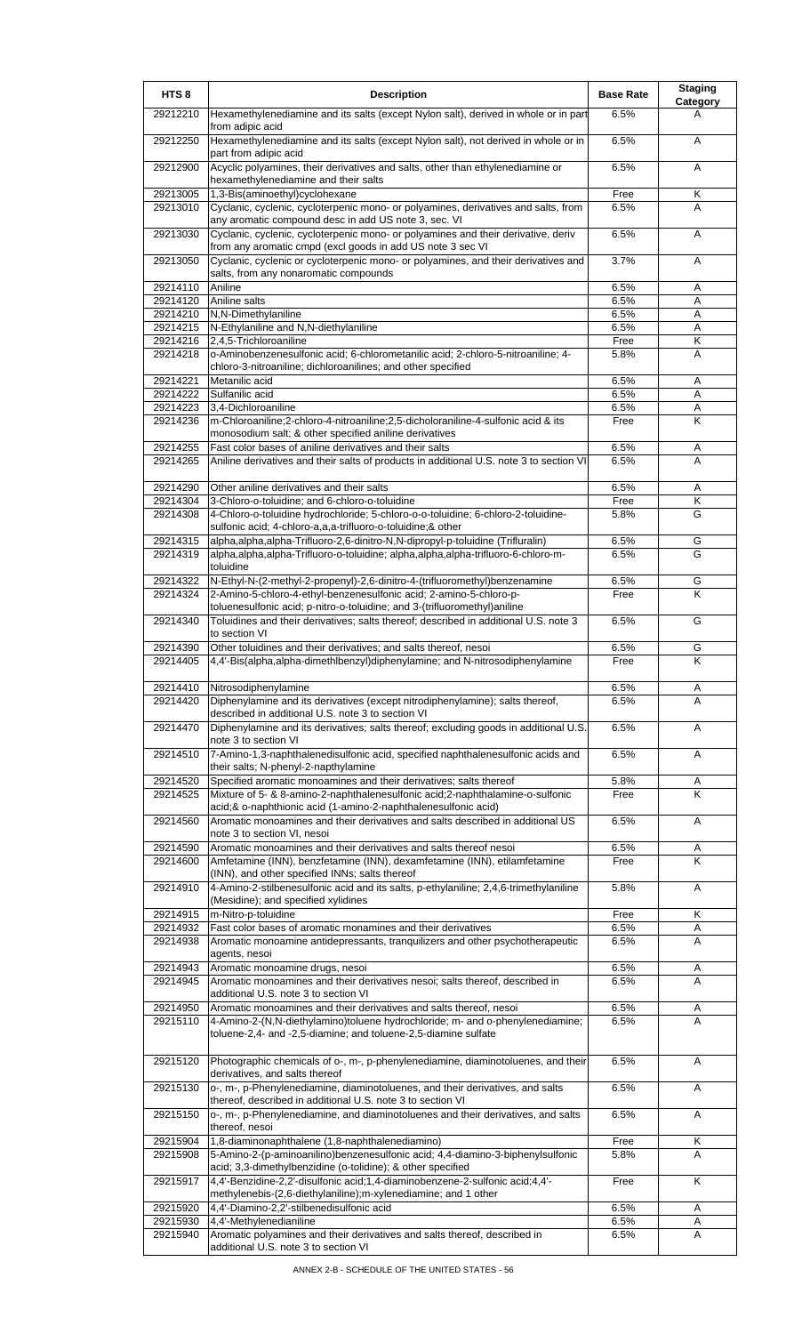| HTS <sub>8</sub>     | <b>Description</b>                                                                                                                                             | <b>Base Rate</b> | <b>Staging</b><br>Category |
|----------------------|----------------------------------------------------------------------------------------------------------------------------------------------------------------|------------------|----------------------------|
| 29212210             | Hexamethylenediamine and its salts (except Nylon salt), derived in whole or in part<br>from adipic acid                                                        | 6.5%             | A                          |
| 29212250             | Hexamethylenediamine and its salts (except Nylon salt), not derived in whole or in<br>part from adipic acid                                                    | 6.5%             | A                          |
| 29212900             | Acyclic polyamines, their derivatives and salts, other than ethylenediamine or<br>hexamethylenediamine and their salts                                         | 6.5%             | Α                          |
| 29213005             | 1,3-Bis(aminoethyl)cyclohexane                                                                                                                                 | Free             | Κ                          |
| 29213010             | Cyclanic, cyclenic, cycloterpenic mono- or polyamines, derivatives and salts, from<br>any aromatic compound desc in add US note 3, sec. VI                     | 6.5%             | A                          |
| 29213030             | Cyclanic, cyclenic, cycloterpenic mono- or polyamines and their derivative, deriv<br>from any aromatic cmpd (excl goods in add US note 3 sec VI                | 6.5%             | Α                          |
| 29213050             | Cyclanic, cyclenic or cycloterpenic mono- or polyamines, and their derivatives and<br>salts, from any nonaromatic compounds                                    | 3.7%             | A                          |
| 29214110             | Aniline                                                                                                                                                        | 6.5%             | Α                          |
| 29214120<br>29214210 | Aniline salts<br>N,N-Dimethylaniline                                                                                                                           | 6.5%<br>6.5%     | A<br>A                     |
| 29214215             | N-Ethylaniline and N,N-diethylaniline                                                                                                                          | 6.5%             | Α                          |
| 29214216             | 2,4,5-Trichloroaniline                                                                                                                                         | Free             | Κ                          |
| 29214218             | o-Aminobenzenesulfonic acid; 6-chlorometanilic acid; 2-chloro-5-nitroaniline; 4-<br>chloro-3-nitroaniline; dichloroanilines; and other specified               | 5.8%             | A                          |
| 29214221<br>29214222 | Metanilic acid<br>Sulfanilic acid                                                                                                                              | 6.5%<br>6.5%     | Α<br>A                     |
| 29214223             | 3,4-Dichloroaniline                                                                                                                                            | 6.5%             | Α                          |
| 29214236             | m-Chloroaniline;2-chloro-4-nitroaniline;2,5-dicholoraniline-4-sulfonic acid & its<br>monosodium salt; & other specified aniline derivatives                    | Free             | Κ                          |
| 29214255             | Fast color bases of aniline derivatives and their salts                                                                                                        | 6.5%             | A                          |
| 29214265             | Aniline derivatives and their salts of products in additional U.S. note 3 to section VI                                                                        | 6.5%             | A                          |
| 29214290             | Other aniline derivatives and their salts                                                                                                                      | 6.5%             | Α                          |
| 29214304<br>29214308 | 3-Chloro-o-toluidine; and 6-chloro-o-toluidine<br>4-Chloro-o-toluidine hydrochloride; 5-chloro-o-o-toluidine; 6-chloro-2-toluidine-                            | Free<br>5.8%     | Κ<br>G                     |
| 29214315             | sulfonic acid; 4-chloro-a,a,a-trifluoro-o-toluidine;& other<br>alpha, alpha, alpha-Trifluoro-2, 6-dinitro-N, N-dipropyl-p-toluidine (Trifluralin)              | 6.5%             | G                          |
| 29214319             | alpha,alpha,alpha-Trifluoro-o-toluidine; alpha,alpha,alpha-trifluoro-6-chloro-m-<br>toluidine                                                                  | 6.5%             | G                          |
| 29214322             | N-Ethyl-N-(2-methyl-2-propenyl)-2,6-dinitro-4-(trifluoromethyl)benzenamine                                                                                     | 6.5%             | G                          |
| 29214324             | 2-Amino-5-chloro-4-ethyl-benzenesulfonic acid; 2-amino-5-chloro-p-<br>toluenesulfonic acid; p-nitro-o-toluidine; and 3-(trifluoromethyl)aniline                | Free             | Κ                          |
| 29214340             | Toluidines and their derivatives; salts thereof; described in additional U.S. note 3<br>to section VI                                                          | 6.5%             | G                          |
| 29214390             | Other toluidines and their derivatives; and salts thereof, nesoi                                                                                               | 6.5%             | G<br>Κ                     |
| 29214405             | 4,4'-Bis(alpha,alpha-dimethlbenzyl)diphenylamine; and N-nitrosodiphenylamine                                                                                   | Free             |                            |
| 29214410             | Nitrosodiphenylamine                                                                                                                                           | 6.5%             | A                          |
| 29214420             | Diphenylamine and its derivatives (except nitrodiphenylamine); salts thereof,<br>described in additional U.S. note 3 to section VI                             | 6.5%             | A                          |
| 29214470             | Diphenylamine and its derivatives; salts thereof; excluding goods in additional U.S.<br>note 3 to section VI                                                   | 6.5%             | A                          |
| 29214510             | 7-Amino-1,3-naphthalenedisulfonic acid, specified naphthalenesulfonic acids and<br>their salts; N-phenyl-2-napthylamine                                        | 6.5%             | Α                          |
| 29214520             | Specified aromatic monoamines and their derivatives; salts thereof                                                                                             | 5.8%             | Α                          |
| 29214525             | Mixture of 5- & 8-amino-2-naphthalenesulfonic acid;2-naphthalamine-o-sulfonic<br>acid;& o-naphthionic acid (1-amino-2-naphthalenesulfonic acid)                | Free             | K                          |
| 29214560             | Aromatic monoamines and their derivatives and salts described in additional US<br>note 3 to section VI, nesoi                                                  | 6.5%             | A                          |
| 29214590             | Aromatic monoamines and their derivatives and salts thereof nesoi                                                                                              | 6.5%             | Α                          |
| 29214600             | Amfetamine (INN), benzfetamine (INN), dexamfetamine (INN), etilamfetamine<br>(INN), and other specified INNs; salts thereof                                    | Free             | K                          |
| 29214910             | 4-Amino-2-stilbenesulfonic acid and its salts, p-ethylaniline; 2,4,6-trimethylaniline<br>(Mesidine); and specified xylidines                                   | 5.8%             | A                          |
| 29214915             | m-Nitro-p-toluidine                                                                                                                                            | Free             | Κ                          |
| 29214932<br>29214938 | Fast color bases of aromatic monamines and their derivatives<br>Aromatic monoamine antidepressants, tranquilizers and other psychotherapeutic<br>agents, nesoi | 6.5%<br>6.5%     | Α<br>A                     |
| 29214943             | Aromatic monoamine drugs, nesoi                                                                                                                                | 6.5%             | Α                          |
| 29214945             | Aromatic monoamines and their derivatives nesoi; salts thereof, described in                                                                                   | 6.5%             | A                          |
| 29214950             | additional U.S. note 3 to section VI<br>Aromatic monoamines and their derivatives and salts thereof, nesoi                                                     | 6.5%             | A                          |
| 29215110             | 4-Amino-2-(N,N-diethylamino)toluene hydrochloride; m- and o-phenylenediamine;<br>toluene-2,4- and -2,5-diamine; and toluene-2,5-diamine sulfate                | 6.5%             | A                          |
| 29215120             | Photographic chemicals of o-, m-, p-phenylenediamine, diaminotoluenes, and their                                                                               | 6.5%             | A                          |
| 29215130             | derivatives, and salts thereof<br>o-, m-, p-Phenylenediamine, diaminotoluenes, and their derivatives, and salts                                                | 6.5%             | Α                          |
| 29215150             | thereof, described in additional U.S. note 3 to section VI<br>o-, m-, p-Phenylenediamine, and diaminotoluenes and their derivatives, and salts                 | 6.5%             | A                          |
| 29215904             | thereof, nesoi<br>1,8-diaminonaphthalene (1,8-naphthalenediamino)                                                                                              | Free             | Κ                          |
| 29215908             | 5-Amino-2-(p-aminoanilino)benzenesulfonic acid; 4,4-diamino-3-biphenylsulfonic                                                                                 | 5.8%             | A                          |
| 29215917             | acid; 3,3-dimethylbenzidine (o-tolidine); & other specified<br>4,4'-Benzidine-2,2'-disulfonic acid;1,4-diaminobenzene-2-sulfonic acid;4,4'-                    | Free             | K                          |
| 29215920             | methylenebis-(2,6-diethylaniline); m-xylenediamine; and 1 other<br>4,4'-Diamino-2,2'-stilbenedisulfonic acid                                                   | 6.5%             | Α                          |
| 29215930             | 4,4'-Methylenedianiline                                                                                                                                        | 6.5%             | Α                          |
| 29215940             | Aromatic polyamines and their derivatives and salts thereof, described in<br>additional U.S. note 3 to section VI                                              | 6.5%             | A                          |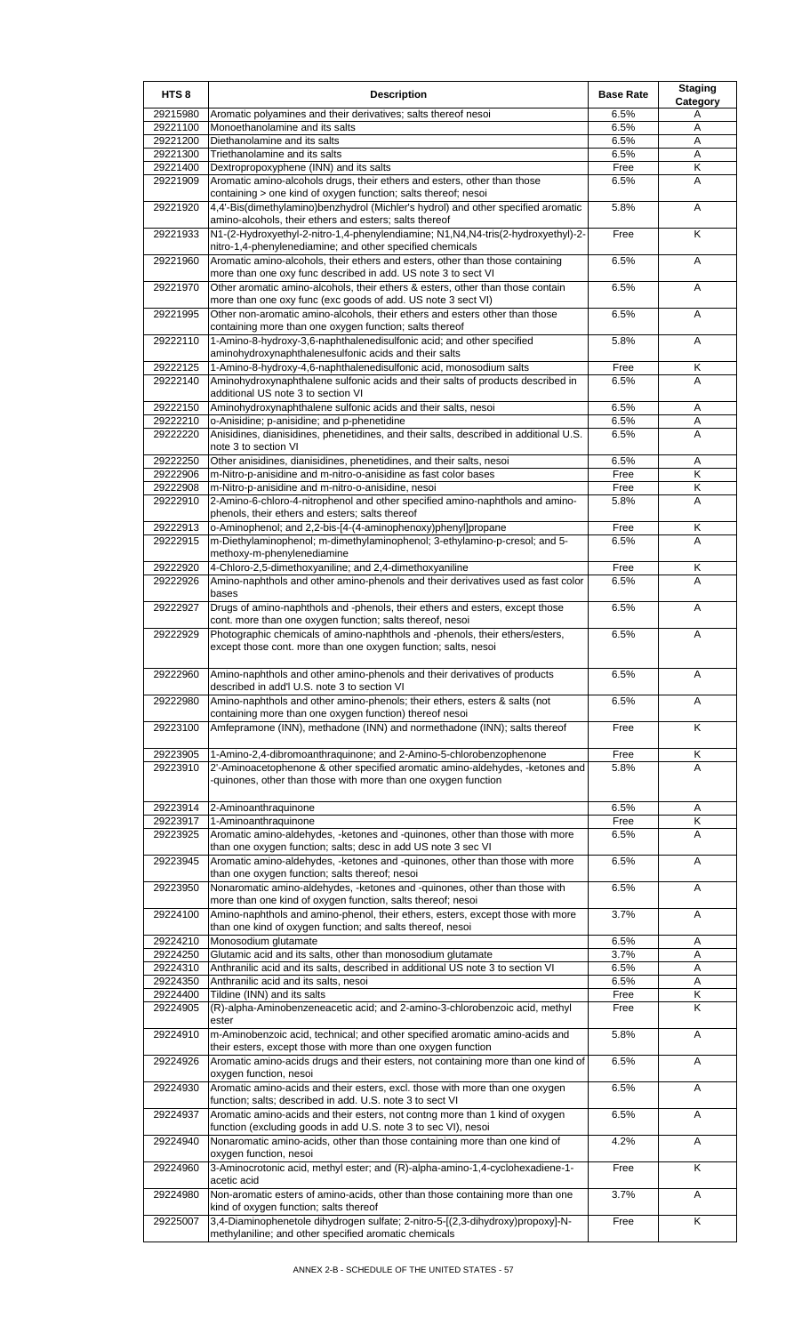| HTS <sub>8</sub>     | <b>Description</b>                                                                                                                              | <b>Base Rate</b> | <b>Staging</b><br>Category |
|----------------------|-------------------------------------------------------------------------------------------------------------------------------------------------|------------------|----------------------------|
| 29215980             | Aromatic polyamines and their derivatives; salts thereof nesoi                                                                                  | 6.5%             | Α                          |
| 29221100             | Monoethanolamine and its salts                                                                                                                  | 6.5%             | A                          |
| 29221200<br>29221300 | Diethanolamine and its salts<br>Triethanolamine and its salts                                                                                   | 6.5%<br>6.5%     | Α<br>Α                     |
| 29221400             | Dextropropoxyphene (INN) and its salts                                                                                                          | Free             | Κ                          |
| 29221909             | Aromatic amino-alcohols drugs, their ethers and esters, other than those<br>containing > one kind of oxygen function; salts thereof; nesoi      | 6.5%             | A                          |
| 29221920             | 4,4'-Bis(dimethylamino)benzhydrol (Michler's hydrol) and other specified aromatic<br>amino-alcohols, their ethers and esters; salts thereof     | 5.8%             | A                          |
| 29221933             | N1-(2-Hydroxyethyl-2-nitro-1,4-phenylendiamine; N1, N4, N4-tris(2-hydroxyethyl)-2-<br>nitro-1,4-phenylenediamine; and other specified chemicals | Free             | Κ                          |
| 29221960             | Aromatic amino-alcohols, their ethers and esters, other than those containing<br>more than one oxy func described in add. US note 3 to sect VI  | 6.5%             | A                          |
| 29221970             | Other aromatic amino-alcohols, their ethers & esters, other than those contain<br>more than one oxy func (exc goods of add. US note 3 sect VI)  | 6.5%             | Α                          |
| 29221995             | Other non-aromatic amino-alcohols, their ethers and esters other than those<br>containing more than one oxygen function; salts thereof          | 6.5%             | A                          |
| 29222110             | 1-Amino-8-hydroxy-3,6-naphthalenedisulfonic acid; and other specified<br>aminohydroxynaphthalenesulfonic acids and their salts                  | 5.8%             | A                          |
| 29222125             | 1-Amino-8-hydroxy-4,6-naphthalenedisulfonic acid, monosodium salts                                                                              | Free             | Κ                          |
| 29222140             | Aminohydroxynaphthalene sulfonic acids and their salts of products described in<br>additional US note 3 to section VI                           | 6.5%             | A                          |
| 29222150             | Aminohydroxynaphthalene sulfonic acids and their salts, nesoi                                                                                   | 6.5%             | Α                          |
| 29222210             | o-Anisidine; p-anisidine; and p-phenetidine                                                                                                     | 6.5%             | Α                          |
| 29222220             | Anisidines, dianisidines, phenetidines, and their salts, described in additional U.S.<br>note 3 to section VI                                   | 6.5%             | A                          |
| 29222250<br>29222906 | Other anisidines, dianisidines, phenetidines, and their salts, nesoi<br>m-Nitro-p-anisidine and m-nitro-o-anisidine as fast color bases         | 6.5%<br>Free     | Α<br>K                     |
| 29222908             | m-Nitro-p-anisidine and m-nitro-o-anisidine, nesoi                                                                                              | Free             | Κ                          |
| 29222910             | 2-Amino-6-chloro-4-nitrophenol and other specified amino-naphthols and amino-<br>phenols, their ethers and esters; salts thereof                | 5.8%             | A                          |
| 29222913             | o-Aminophenol; and 2,2-bis-[4-(4-aminophenoxy)phenyl]propane                                                                                    | Free             | Κ                          |
| 29222915             | m-Diethylaminophenol; m-dimethylaminophenol; 3-ethylamino-p-cresol; and 5-<br>methoxy-m-phenylenediamine                                        | 6.5%             | A                          |
| 29222920             | 4-Chloro-2,5-dimethoxyaniline; and 2,4-dimethoxyaniline                                                                                         | Free             | Κ                          |
| 29222926             | Amino-naphthols and other amino-phenols and their derivatives used as fast color<br>bases                                                       | 6.5%             | A                          |
| 29222927             | Drugs of amino-naphthols and -phenols, their ethers and esters, except those<br>cont. more than one oxygen function; salts thereof, nesoi       | 6.5%             | A                          |
| 29222929             | Photographic chemicals of amino-naphthols and -phenols, their ethers/esters,<br>except those cont. more than one oxygen function; salts, nesoi  | 6.5%             | A                          |
| 29222960             | Amino-naphthols and other amino-phenols and their derivatives of products<br>described in add'l U.S. note 3 to section VI                       | 6.5%             | $\mathsf{A}$               |
| 29222980             | Amino-naphthols and other amino-phenols; their ethers, esters & salts (not<br>containing more than one oxygen function) thereof nesoi           | 6.5%             | Α                          |
| 29223100             | Amfepramone (INN), methadone (INN) and normethadone (INN); salts thereof                                                                        | Free             | K                          |
| 29223905             | 1-Amino-2,4-dibromoanthraquinone; and 2-Amino-5-chlorobenzophenone                                                                              | Free             | Κ                          |
| 29223910             | 2'-Aminoacetophenone & other specified aromatic amino-aldehydes, -ketones and<br>quinones, other than those with more than one oxygen function  | 5.8%             | A                          |
| 29223914             | 2-Aminoanthraquinone                                                                                                                            | 6.5%             | A                          |
| 29223917             | 1-Aminoanthraquinone                                                                                                                            | Free             | Κ                          |
| 29223925             | Aromatic amino-aldehydes, -ketones and -quinones, other than those with more<br>than one oxygen function; salts; desc in add US note 3 sec VI   | 6.5%             | A                          |
| 29223945             | Aromatic amino-aldehydes, -ketones and -quinones, other than those with more<br>than one oxygen function; salts thereof; nesoi                  | 6.5%             | Α                          |
| 29223950             | Nonaromatic amino-aldehydes, -ketones and -quinones, other than those with<br>more than one kind of oxygen function, salts thereof; nesoi       | 6.5%             | Α                          |
| 29224100             | Amino-naphthols and amino-phenol, their ethers, esters, except those with more<br>than one kind of oxygen function; and salts thereof, nesoi    | 3.7%             | Α                          |
| 29224210<br>29224250 | Monosodium glutamate<br>Glutamic acid and its salts, other than monosodium glutamate                                                            | 6.5%<br>3.7%     | Α<br>A                     |
| 29224310             | Anthranilic acid and its salts, described in additional US note 3 to section VI                                                                 | 6.5%             | Α                          |
| 29224350             | Anthranilic acid and its salts, nesoi                                                                                                           | 6.5%             | Α                          |
| 29224400             | Tildine (INN) and its salts                                                                                                                     | Free             | Κ                          |
| 29224905             | (R)-alpha-Aminobenzeneacetic acid; and 2-amino-3-chlorobenzoic acid, methyl<br>ester                                                            | Free             | Κ                          |
| 29224910             | m-Aminobenzoic acid, technical; and other specified aromatic amino-acids and<br>their esters, except those with more than one oxygen function   | 5.8%             | Α                          |
| 29224926             | Aromatic amino-acids drugs and their esters, not containing more than one kind of<br>oxygen function, nesoi                                     | 6.5%             | A                          |
| 29224930             | Aromatic amino-acids and their esters, excl. those with more than one oxygen<br>function; salts; described in add. U.S. note 3 to sect VI       | 6.5%             | Α                          |
| 29224937             | Aromatic amino-acids and their esters, not contng more than 1 kind of oxygen<br>function (excluding goods in add U.S. note 3 to sec VI), nesoi  | 6.5%             | Α                          |
| 29224940             | Nonaromatic amino-acids, other than those containing more than one kind of<br>oxygen function, nesoi                                            | 4.2%             | Α                          |
| 29224960             | 3-Aminocrotonic acid, methyl ester; and (R)-alpha-amino-1,4-cyclohexadiene-1-<br>acetic acid                                                    | Free             | K                          |
| 29224980             | Non-aromatic esters of amino-acids, other than those containing more than one<br>kind of oxygen function; salts thereof                         | 3.7%             | Α                          |
| 29225007             | 3,4-Diaminophenetole dihydrogen sulfate; 2-nitro-5-[(2,3-dihydroxy)propoxy]-N-<br>methylaniline; and other specified aromatic chemicals         | Free             | K                          |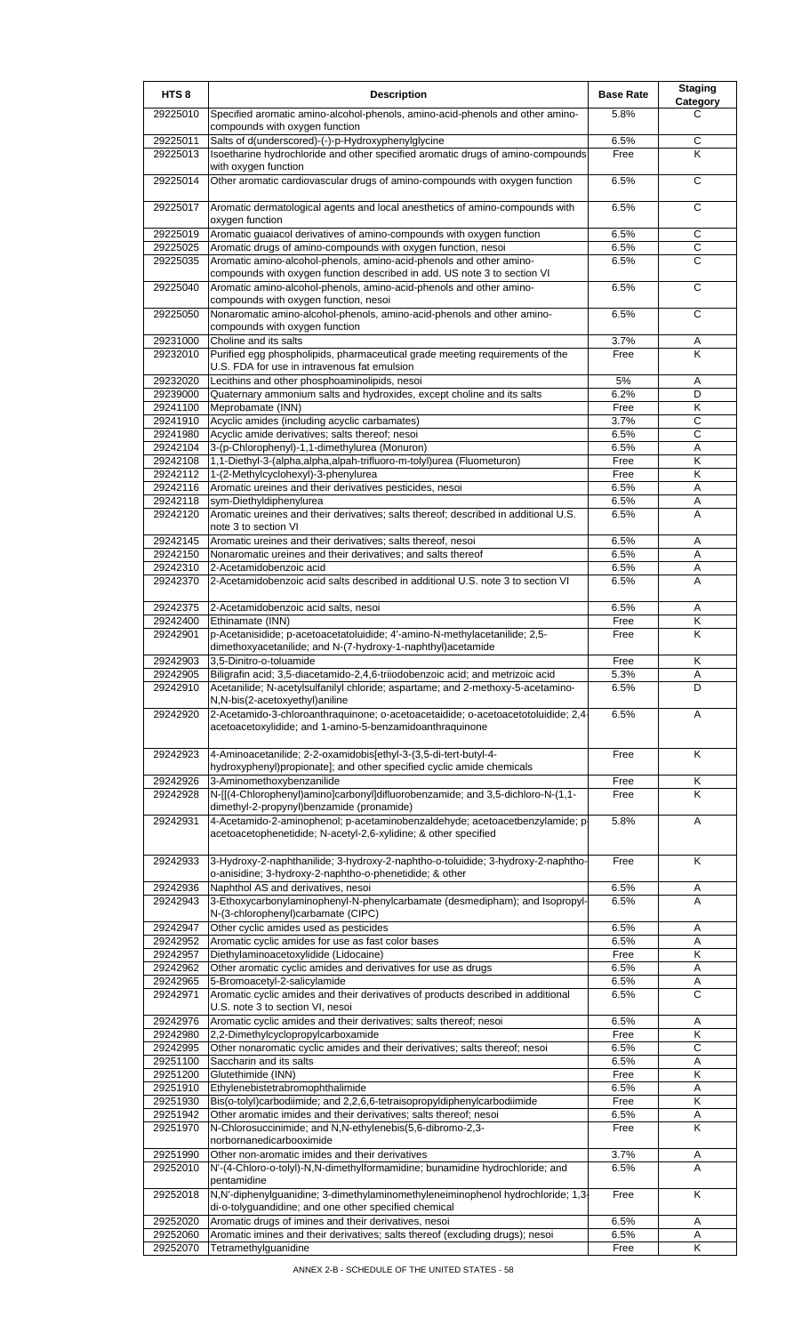| HTS <sub>8</sub>     | <b>Description</b>                                                                                                                              | <b>Base Rate</b> | <b>Staging</b><br>Category |
|----------------------|-------------------------------------------------------------------------------------------------------------------------------------------------|------------------|----------------------------|
| 29225010             | Specified aromatic amino-alcohol-phenols, amino-acid-phenols and other amino-<br>compounds with oxygen function                                 | 5.8%             | C                          |
| 29225011             | Salts of d(underscored)-(-)-p-Hydroxyphenylglycine                                                                                              | 6.5%             | C                          |
| 29225013             | Isoetharine hydrochloride and other specified aromatic drugs of amino-compounds<br>with oxygen function                                         | Free             | Κ                          |
| 29225014             | Other aromatic cardiovascular drugs of amino-compounds with oxygen function                                                                     | 6.5%             | C                          |
| 29225017             | Aromatic dermatological agents and local anesthetics of amino-compounds with<br>oxygen function                                                 | 6.5%             | С                          |
| 29225019             | Aromatic guaiacol derivatives of amino-compounds with oxygen function                                                                           | 6.5%             | $\mathsf C$                |
| 29225025             | Aromatic drugs of amino-compounds with oxygen function, nesoi                                                                                   | 6.5%<br>6.5%     | С<br>C                     |
| 29225035             | Aromatic amino-alcohol-phenols, amino-acid-phenols and other amino-<br>compounds with oxygen function described in add. US note 3 to section VI |                  |                            |
| 29225040             | Aromatic amino-alcohol-phenols, amino-acid-phenols and other amino-<br>compounds with oxygen function, nesoi                                    | 6.5%             | C                          |
| 29225050             | Nonaromatic amino-alcohol-phenols, amino-acid-phenols and other amino-<br>compounds with oxygen function                                        | 6.5%             | $\overline{c}$             |
| 29231000             | Choline and its salts                                                                                                                           | 3.7%             | Α                          |
| 29232010             | Purified egg phospholipids, pharmaceutical grade meeting requirements of the<br>U.S. FDA for use in intravenous fat emulsion                    | Free             | K                          |
| 29232020             | Lecithins and other phosphoaminolipids, nesoi                                                                                                   | 5%               | Α                          |
| 29239000             | Quaternary ammonium salts and hydroxides, except choline and its salts                                                                          | 6.2%             | D<br>Κ                     |
| 29241100<br>29241910 | Meprobamate (INN)<br>Acyclic amides (including acyclic carbamates)                                                                              | Free<br>3.7%     | С                          |
| 29241980             | Acyclic amide derivatives; salts thereof; nesoi                                                                                                 | 6.5%             | $\overline{c}$             |
| 29242104             | 3-(p-Chlorophenyl)-1,1-dimethylurea (Monuron)                                                                                                   | 6.5%             | Α                          |
| 29242108             | 1,1-Diethyl-3-(alpha,alpha,alpah-trifluoro-m-tolyl)urea (Fluometuron)                                                                           | Free             | Κ                          |
| 29242112             | 1-(2-Methylcyclohexyl)-3-phenylurea                                                                                                             | Free             | Κ                          |
| 29242116             | Aromatic ureines and their derivatives pesticides, nesoi                                                                                        | 6.5%             | Α                          |
| 29242118<br>29242120 | sym-Diethyldiphenylurea<br>Aromatic ureines and their derivatives; salts thereof; described in additional U.S.                                  | 6.5%<br>6.5%     | Α<br>A                     |
|                      | note 3 to section VI                                                                                                                            |                  |                            |
| 29242145             | Aromatic ureines and their derivatives; salts thereof, nesoi                                                                                    | 6.5%             | Α                          |
| 29242150             | Nonaromatic ureines and their derivatives; and salts thereof                                                                                    | 6.5%             | Α                          |
| 29242310             | 2-Acetamidobenzoic acid<br>2-Acetamidobenzoic acid salts described in additional U.S. note 3 to section VI                                      | 6.5%             | Α                          |
| 29242370             |                                                                                                                                                 | 6.5%             | A                          |
| 29242375<br>29242400 | 2-Acetamidobenzoic acid salts, nesoi<br>Ethinamate (INN)                                                                                        | 6.5%<br>Free     | Α<br>κ                     |
| 29242901             | p-Acetanisidide; p-acetoacetatoluidide; 4'-amino-N-methylacetanilide; 2,5-                                                                      | Free             | Κ                          |
| 29242903             | dimethoxyacetanilide; and N-(7-hydroxy-1-naphthyl)acetamide<br>3,5-Dinitro-o-toluamide                                                          | Free             | Κ                          |
| 29242905             | Biligrafin acid; 3,5-diacetamido-2,4,6-triiodobenzoic acid; and metrizoic acid                                                                  | 5.3%             | A                          |
| 29242910             | Acetanilide; N-acetylsulfanilyl chloride; aspartame; and 2-methoxy-5-acetamino-<br>N,N-bis(2-acetoxyethyl)aniline                               | 6.5%             | D                          |
| 29242920             | 2-Acetamido-3-chloroanthraquinone; o-acetoacetaidide; o-acetoacetotoluidide; 2,4                                                                | 6.5%             | Α                          |
|                      | acetoacetoxylidide; and 1-amino-5-benzamidoanthraquinone                                                                                        |                  |                            |
| 29242923             | 4-Aminoacetanilide; 2-2-oxamidobis[ethyl-3-(3,5-di-tert-butyl-4-                                                                                | Free             | K                          |
| 29242926             | hydroxyphenyl)propionate]; and other specified cyclic amide chemicals<br>3-Aminomethoxybenzanilide                                              | Free             | Κ                          |
| 29242928             | N-[[(4-Chlorophenyl)amino]carbonyl]difluorobenzamide; and 3,5-dichloro-N-(1,1-                                                                  | Free             | κ                          |
|                      | dimethyl-2-propynyl)benzamide (pronamide)                                                                                                       |                  |                            |
| 29242931             | 4-Acetamido-2-aminophenol; p-acetaminobenzaldehyde; acetoacetbenzylamide; p<br>acetoacetophenetidide; N-acetyl-2,6-xylidine; & other specified  | 5.8%             | Α                          |
| 29242933             | 3-Hydroxy-2-naphthanilide; 3-hydroxy-2-naphtho-o-toluidide; 3-hydroxy-2-naphtho-                                                                | Free             | Κ                          |
| 29242936             | o-anisidine; 3-hydroxy-2-naphtho-o-phenetidide; & other<br>Naphthol AS and derivatives, nesoi                                                   | 6.5%             |                            |
| 29242943             | 3-Ethoxycarbonylaminophenyl-N-phenylcarbamate (desmedipham); and Isopropyl-                                                                     | 6.5%             | A<br>A                     |
|                      | N-(3-chlorophenyl)carbamate (CIPC)                                                                                                              |                  |                            |
| 29242947             | Other cyclic amides used as pesticides                                                                                                          | 6.5%             | Α                          |
| 29242952             | Aromatic cyclic amides for use as fast color bases                                                                                              | 6.5%             | Α                          |
| 29242957<br>29242962 | Diethylaminoacetoxylidide (Lidocaine)<br>Other aromatic cyclic amides and derivatives for use as drugs                                          | Free<br>6.5%     | Κ<br>Α                     |
| 29242965             | 5-Bromoacetyl-2-salicylamide                                                                                                                    | 6.5%             | Α                          |
| 29242971             | Aromatic cyclic amides and their derivatives of products described in additional<br>U.S. note 3 to section VI, nesoi                            | 6.5%             | С                          |
| 29242976             | Aromatic cyclic amides and their derivatives; salts thereof; nesoi                                                                              | 6.5%             | Α                          |
| 29242980             | 2,2-Dimethylcyclopropylcarboxamide                                                                                                              | Free             | Κ                          |
| 29242995             | Other nonaromatic cyclic amides and their derivatives; salts thereof; nesoi                                                                     | 6.5%             | $\overline{C}$             |
| 29251100<br>29251200 | Saccharin and its salts<br>Glutethimide (INN)                                                                                                   | 6.5%<br>Free     | Α<br>Κ                     |
| 29251910             | Ethylenebistetrabromophthalimide                                                                                                                | 6.5%             | Α                          |
| 29251930             | Bis(o-tolyl)carbodiimide; and 2,2,6,6-tetraisopropyldiphenylcarbodiimide                                                                        | Free             | Κ                          |
| 29251942             | Other aromatic imides and their derivatives; salts thereof; nesoi                                                                               | 6.5%             | Α                          |
| 29251970             | N-Chlorosuccinimide; and N,N-ethylenebis(5,6-dibromo-2,3-<br>norbornanedicarbooximide                                                           | Free             | K                          |
| 29251990             | Other non-aromatic imides and their derivatives                                                                                                 | 3.7%             | Α                          |
| 29252010             | N'-(4-Chloro-o-tolyl)-N,N-dimethylformamidine; bunamidine hydrochloride; and<br>pentamidine                                                     | 6.5%             | A                          |
| 29252018             | N,N'-diphenylguanidine; 3-dimethylaminomethyleneiminophenol hydrochloride; 1,3<br>di-o-tolyguandidine; and one other specified chemical         | Free             | Κ                          |
| 29252020             | Aromatic drugs of imines and their derivatives, nesoi                                                                                           | 6.5%             | Α                          |
| 29252060             | Aromatic imines and their derivatives; salts thereof (excluding drugs); nesoi                                                                   | 6.5%             | A                          |
| 29252070             | Tetramethylguanidine                                                                                                                            | Free             | Κ                          |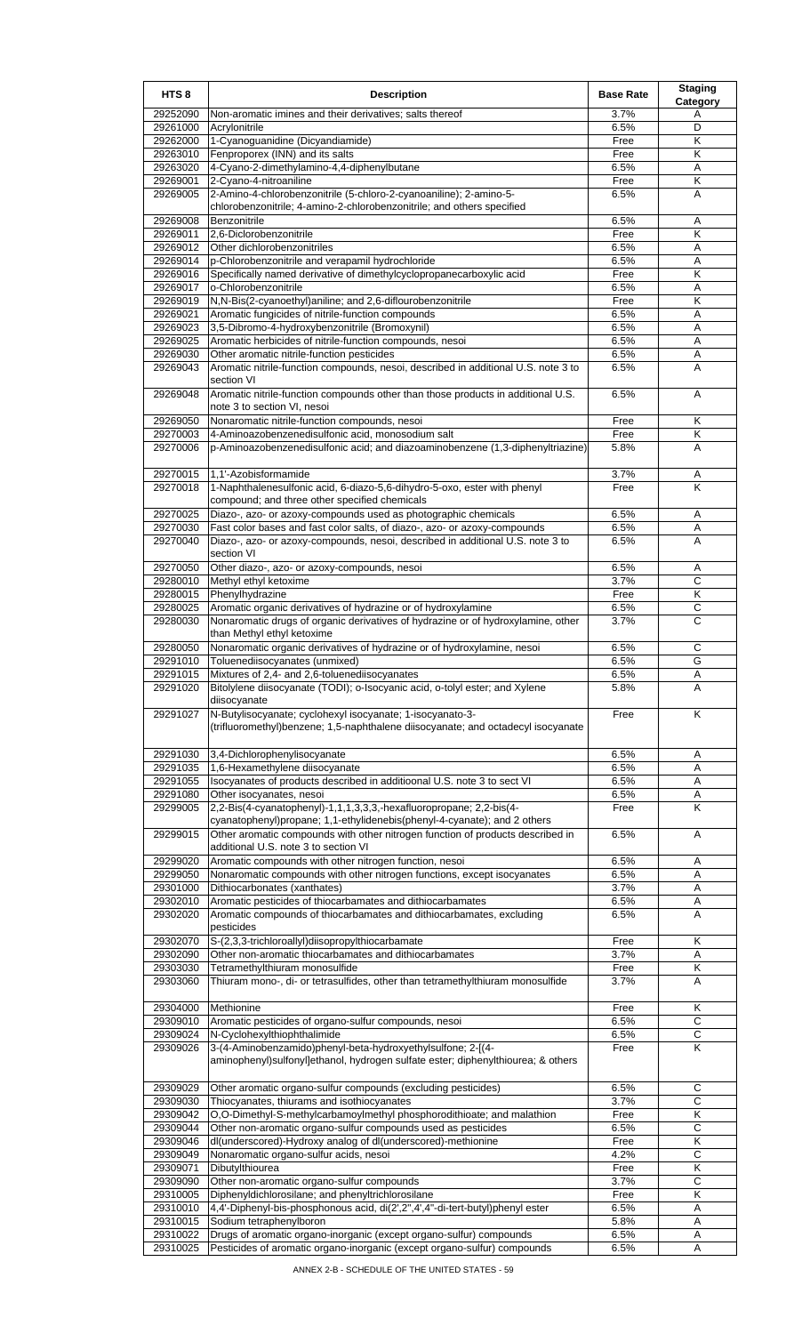| HTS <sub>8</sub>     | <b>Description</b>                                                                                                                 | <b>Base Rate</b> | <b>Staging</b><br>Category |
|----------------------|------------------------------------------------------------------------------------------------------------------------------------|------------------|----------------------------|
| 29252090             | Non-aromatic imines and their derivatives; salts thereof                                                                           | 3.7%             | Α                          |
| 29261000             | Acrylonitrile                                                                                                                      | 6.5%             | D                          |
| 29262000             | 1-Cyanoguanidine (Dicyandiamide)                                                                                                   | Free             | Κ                          |
| 29263010<br>29263020 | Fenproporex (INN) and its salts<br>4-Cyano-2-dimethylamino-4,4-diphenylbutane                                                      | Free<br>6.5%     | Κ<br>Α                     |
| 29269001             | 2-Cyano-4-nitroaniline                                                                                                             | Free             | Κ                          |
| 29269005             | 2-Amino-4-chlorobenzonitrile (5-chloro-2-cyanoaniline); 2-amino-5-                                                                 | 6.5%             | A                          |
|                      | chlorobenzonitrile; 4-amino-2-chlorobenzonitrile; and others specified                                                             |                  |                            |
| 29269008             | Benzonitrile                                                                                                                       | 6.5%             | Α                          |
| 29269011             | 2,6-Diclorobenzonitrile                                                                                                            | Free             | Κ                          |
| 29269012<br>29269014 | Other dichlorobenzonitriles<br>p-Chlorobenzonitrile and verapamil hydrochloride                                                    | 6.5%<br>6.5%     | Α<br>A                     |
| 29269016             | Specifically named derivative of dimethylcyclopropanecarboxylic acid                                                               | Free             | Κ                          |
| 29269017             | o-Chlorobenzonitrile                                                                                                               | 6.5%             | Α                          |
| 29269019             | N,N-Bis(2-cyanoethyl)aniline; and 2,6-diflourobenzonitrile                                                                         | Free             | Κ                          |
| 29269021             | Aromatic fungicides of nitrile-function compounds                                                                                  | 6.5%             | Α                          |
| 29269023             | 3,5-Dibromo-4-hydroxybenzonitrile (Bromoxynil)                                                                                     | 6.5%             | Α                          |
| 29269025             | Aromatic herbicides of nitrile-function compounds, nesoi                                                                           | 6.5%             | Α                          |
| 29269030<br>29269043 | Other aromatic nitrile-function pesticides<br>Aromatic nitrile-function compounds, nesoi, described in additional U.S. note 3 to   | 6.5%<br>6.5%     | A<br>A                     |
|                      | section VI                                                                                                                         |                  |                            |
| 29269048             | Aromatic nitrile-function compounds other than those products in additional U.S.                                                   | 6.5%             | A                          |
|                      | note 3 to section VI, nesoi                                                                                                        |                  |                            |
| 29269050             | Nonaromatic nitrile-function compounds, nesoi                                                                                      | Free             | Κ                          |
| 29270003             | 4-Aminoazobenzenedisulfonic acid, monosodium salt                                                                                  | Free             | Κ                          |
| 29270006             | p-Aminoazobenzenedisulfonic acid; and diazoaminobenzene (1,3-diphenyltriazine)                                                     | 5.8%             | A                          |
| 29270015             | 1,1'-Azobisformamide                                                                                                               | 3.7%             |                            |
| 29270018             | 1-Naphthalenesulfonic acid, 6-diazo-5,6-dihydro-5-oxo, ester with phenyl                                                           | Free             | Α<br>Κ                     |
|                      | compound; and three other specified chemicals                                                                                      |                  |                            |
| 29270025             | Diazo-, azo- or azoxy-compounds used as photographic chemicals                                                                     | 6.5%             | Α                          |
| 29270030             | Fast color bases and fast color salts, of diazo-, azo- or azoxy-compounds                                                          | 6.5%             | Α                          |
| 29270040             | Diazo-, azo- or azoxy-compounds, nesoi, described in additional U.S. note 3 to                                                     | 6.5%             | A                          |
|                      | section VI                                                                                                                         |                  |                            |
| 29270050             | Other diazo-, azo- or azoxy-compounds, nesoi                                                                                       | 6.5%             | Α                          |
| 29280010<br>29280015 | Methyl ethyl ketoxime<br>Phenylhydrazine                                                                                           | 3.7%<br>Free     | С<br>K                     |
| 29280025             | Aromatic organic derivatives of hydrazine or of hydroxylamine                                                                      | 6.5%             | C                          |
| 29280030             | Nonaromatic drugs of organic derivatives of hydrazine or of hydroxylamine, other                                                   | 3.7%             | C                          |
|                      | than Methyl ethyl ketoxime                                                                                                         |                  |                            |
| 29280050             | Nonaromatic organic derivatives of hydrazine or of hydroxylamine, nesoi                                                            | 6.5%             | C                          |
| 29291010             | Toluenediisocyanates (unmixed)                                                                                                     | 6.5%             | G                          |
| 29291015<br>29291020 | Mixtures of 2,4- and 2,6-toluenediisocyanates<br>Bitolylene diisocyanate (TODI); o-Isocyanic acid, o-tolyl ester; and Xylene       | 6.5%<br>5.8%     | Α                          |
|                      | diisocyanate                                                                                                                       |                  |                            |
| 29291027             | N-Butylisocyanate; cyclohexyl isocyanate; 1-isocyanato-3-                                                                          | Free             | K                          |
|                      | (trifluoromethyl)benzene; 1,5-naphthalene diisocyanate; and octadecyl isocyanate                                                   |                  |                            |
|                      |                                                                                                                                    |                  |                            |
| 29291030             | 3,4-Dichlorophenylisocyanate                                                                                                       | 6.5%             | Α                          |
| 29291035             | 1,6-Hexamethylene diisocyanate                                                                                                     | 6.5%             | Α                          |
| 29291055<br>29291080 | Isocyanates of products described in additioonal U.S. note 3 to sect VI<br>Other isocyanates, nesoi                                | 6.5%<br>6.5%     | Α<br>Α                     |
| 29299005             | 2,2-Bis(4-cyanatophenyl)-1,1,1,3,3,3,-hexafluoropropane; 2,2-bis(4-                                                                | Free             | Κ                          |
|                      | cyanatophenyl)propane; 1,1-ethylidenebis(phenyl-4-cyanate); and 2 others                                                           |                  |                            |
| 29299015             | Other aromatic compounds with other nitrogen function of products described in                                                     | 6.5%             | Α                          |
|                      | additional U.S. note 3 to section VI                                                                                               |                  |                            |
| 29299020             | Aromatic compounds with other nitrogen function, nesoi                                                                             | 6.5%             | Α                          |
| 29299050<br>29301000 | Nonaromatic compounds with other nitrogen functions, except isocyanates<br>Dithiocarbonates (xanthates)                            | 6.5%<br>3.7%     | Α<br>Α                     |
| 29302010             | Aromatic pesticides of thiocarbamates and dithiocarbamates                                                                         | 6.5%             | Α                          |
| 29302020             | Aromatic compounds of thiocarbamates and dithiocarbamates, excluding                                                               | 6.5%             | A                          |
|                      | pesticides                                                                                                                         |                  |                            |
| 29302070             | S-(2,3,3-trichloroallyl)diisopropylthiocarbamate                                                                                   | Free             | Κ                          |
| 29302090             | Other non-aromatic thiocarbamates and dithiocarbamates                                                                             | 3.7%             | Α                          |
| 29303030<br>29303060 | Tetramethylthiuram monosulfide                                                                                                     | Free<br>3.7%     | Κ<br>Α                     |
|                      | Thiuram mono-, di- or tetrasulfides, other than tetramethylthiuram monosulfide                                                     |                  |                            |
| 29304000             | Methionine                                                                                                                         | Free             | Κ                          |
| 29309010             | Aromatic pesticides of organo-sulfur compounds, nesoi                                                                              | 6.5%             | $\mathsf C$                |
| 29309024             | N-Cyclohexylthiophthalimide                                                                                                        | 6.5%             | С                          |
| 29309026             | 3-(4-Aminobenzamido)phenyl-beta-hydroxyethylsulfone; 2-[(4-                                                                        | Free             | K                          |
|                      | aminophenyl)sulfonyl]ethanol, hydrogen sulfate ester; diphenylthiourea; & others                                                   |                  |                            |
| 29309029             | Other aromatic organo-sulfur compounds (excluding pesticides)                                                                      | 6.5%             | С                          |
| 29309030             | Thiocyanates, thiurams and isothiocyanates                                                                                         | 3.7%             | $\overline{C}$             |
| 29309042             | O,O-Dimethyl-S-methylcarbamoylmethyl phosphorodithioate; and malathion                                                             | Free             | Κ                          |
| 29309044             | Other non-aromatic organo-sulfur compounds used as pesticides                                                                      | 6.5%             | C                          |
| 29309046             | dl(underscored)-Hydroxy analog of dl(underscored)-methionine                                                                       | Free             | Κ                          |
| 29309049             | Nonaromatic organo-sulfur acids, nesoi                                                                                             | 4.2%             | С                          |
| 29309071             | Dibutylthiourea                                                                                                                    | Free             | Κ                          |
| 29309090<br>29310005 | Other non-aromatic organo-sulfur compounds                                                                                         | 3.7%             | С<br>Κ                     |
| 29310010             | Diphenyldichlorosilane; and phenyltrichlorosilane<br>4,4'-Diphenyl-bis-phosphonous acid, di(2',2",4',4"-di-tert-butyl)phenyl ester | Free<br>6.5%     | Α                          |
| 29310015             | Sodium tetraphenylboron                                                                                                            | 5.8%             | Α                          |
| 29310022             | Drugs of aromatic organo-inorganic (except organo-sulfur) compounds                                                                | 6.5%             | Α                          |
| 29310025             | Pesticides of aromatic organo-inorganic (except organo-sulfur) compounds                                                           | 6.5%             | Α                          |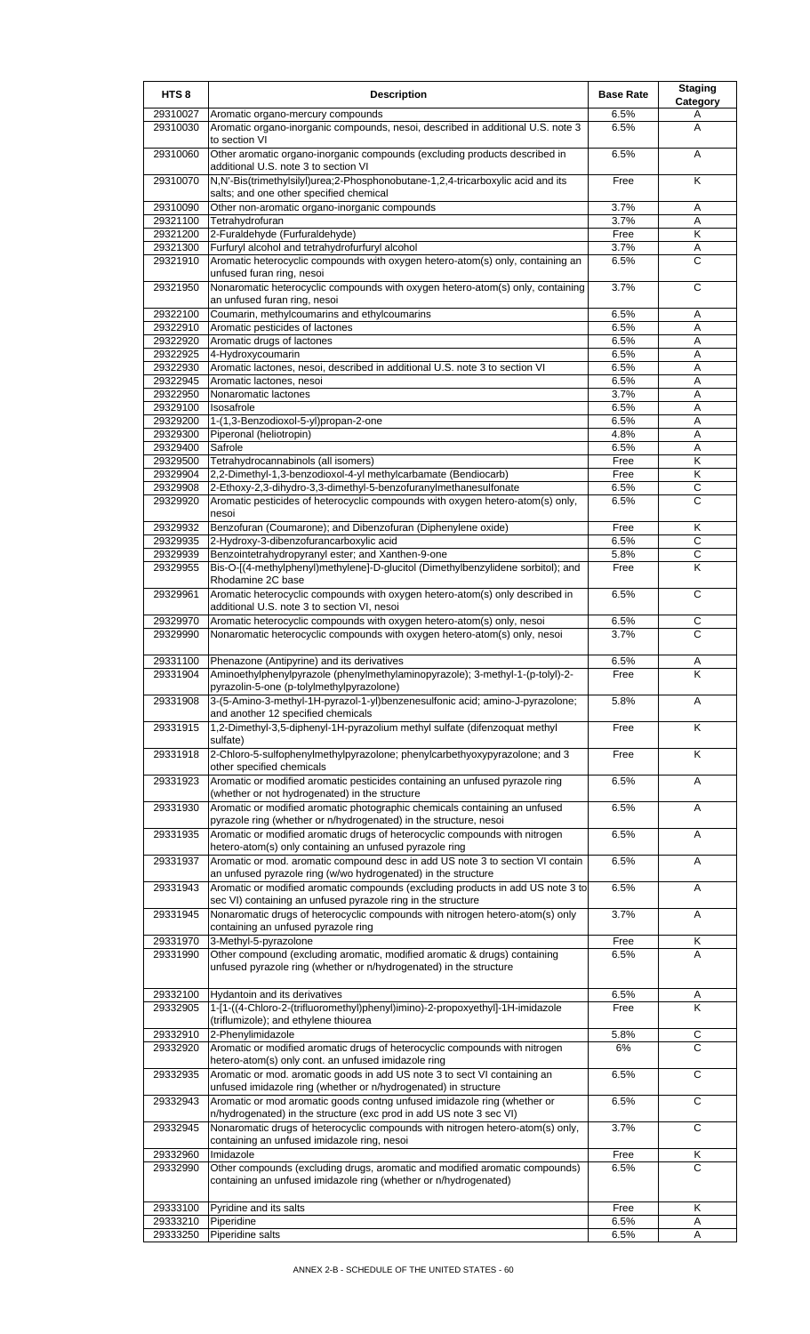| HTS <sub>8</sub>     | <b>Description</b>                                                                                                                              | <b>Base Rate</b> | <b>Staging</b><br>Category |
|----------------------|-------------------------------------------------------------------------------------------------------------------------------------------------|------------------|----------------------------|
| 29310027             | Aromatic organo-mercury compounds                                                                                                               | 6.5%             | A                          |
| 29310030             | Aromatic organo-inorganic compounds, nesoi, described in additional U.S. note 3<br>to section VI                                                | 6.5%             | A                          |
| 29310060             | Other aromatic organo-inorganic compounds (excluding products described in<br>additional U.S. note 3 to section VI                              | 6.5%             | Α                          |
| 29310070             | N,N'-Bis(trimethylsilyl)urea;2-Phosphonobutane-1,2,4-tricarboxylic acid and its<br>salts; and one other specified chemical                      | Free             | K                          |
| 29310090             | Other non-aromatic organo-inorganic compounds                                                                                                   | 3.7%             | Α                          |
| 29321100             | Tetrahydrofuran                                                                                                                                 | 3.7%             | A                          |
| 29321200             | 2-Furaldehyde (Furfuraldehyde)                                                                                                                  | Free             | K                          |
| 29321300<br>29321910 | Furfuryl alcohol and tetrahydrofurfuryl alcohol<br>Aromatic heterocyclic compounds with oxygen hetero-atom(s) only, containing an               | 3.7%<br>6.5%     | Α<br>C                     |
|                      | unfused furan ring, nesoi                                                                                                                       |                  |                            |
| 29321950             | Nonaromatic heterocyclic compounds with oxygen hetero-atom(s) only, containing<br>an unfused furan ring, nesoi                                  | 3.7%             | С                          |
| 29322100<br>29322910 | Coumarin, methylcoumarins and ethylcoumarins<br>Aromatic pesticides of lactones                                                                 | 6.5%<br>6.5%     | A<br>Α                     |
| 29322920             | Aromatic drugs of lactones                                                                                                                      | 6.5%             | Α                          |
| 29322925             | 4-Hydroxycoumarin                                                                                                                               | 6.5%             | Α                          |
| 29322930             | Aromatic lactones, nesoi, described in additional U.S. note 3 to section VI                                                                     | 6.5%             | Α                          |
| 29322945             | Aromatic lactones, nesoi                                                                                                                        | 6.5%             | A                          |
| 29322950             | Nonaromatic lactones                                                                                                                            | 3.7%             | Α                          |
| 29329100             | Isosafrole                                                                                                                                      | 6.5%             | Α                          |
| 29329200             | 1-(1,3-Benzodioxol-5-yl)propan-2-one                                                                                                            | 6.5%             | A                          |
| 29329300<br>29329400 | Piperonal (heliotropin)<br>Safrole                                                                                                              | 4.8%<br>6.5%     | A<br>Α                     |
| 29329500             | Tetrahydrocannabinols (all isomers)                                                                                                             | Free             | Κ                          |
| 29329904             | 2,2-Dimethyl-1,3-benzodioxol-4-yl methylcarbamate (Bendiocarb)                                                                                  | Free             | K                          |
| 29329908             | 2-Ethoxy-2,3-dihydro-3,3-dimethyl-5-benzofuranylmethanesulfonate                                                                                | 6.5%             | $\mathsf{C}$               |
| 29329920             | Aromatic pesticides of heterocyclic compounds with oxygen hetero-atom(s) only,<br>nesoi                                                         | 6.5%             | C                          |
| 29329932             | Benzofuran (Coumarone); and Dibenzofuran (Diphenylene oxide)                                                                                    | Free             | Κ                          |
| 29329935             | 2-Hydroxy-3-dibenzofurancarboxylic acid                                                                                                         | 6.5%             | С                          |
| 29329939             | Benzointetrahydropyranyl ester; and Xanthen-9-one                                                                                               | 5.8%             | $\mathsf{C}$               |
| 29329955             | Bis-O-[(4-methylphenyl)methylene]-D-glucitol (Dimethylbenzylidene sorbitol); and<br>Rhodamine 2C base                                           | Free             | K                          |
| 29329961             | Aromatic heterocyclic compounds with oxygen hetero-atom(s) only described in<br>additional U.S. note 3 to section VI, nesoi                     | 6.5%             | C                          |
| 29329970             | Aromatic heterocyclic compounds with oxygen hetero-atom(s) only, nesoi                                                                          | 6.5%             | C                          |
| 29329990             | Nonaromatic heterocyclic compounds with oxygen hetero-atom(s) only, nesoi                                                                       | 3.7%             | $\mathsf{C}$               |
| 29331100             | Phenazone (Antipyrine) and its derivatives                                                                                                      | 6.5%             | A                          |
| 29331904             | Aminoethylphenylpyrazole (phenylmethylaminopyrazole); 3-methyl-1-(p-tolyl)-2-<br>pyrazolin-5-one (p-tolylmethylpyrazolone)                      | ⊦ree             | Κ                          |
| 29331908             | 3-(5-Amino-3-methyl-1H-pyrazol-1-yl)benzenesulfonic acid; amino-J-pyrazolone;<br>and another 12 specified chemicals                             | 5.8%             | Α                          |
| 29331915             | 1,2-Dimethyl-3,5-diphenyl-1H-pyrazolium methyl sulfate (difenzoquat methyl<br>sulfate)                                                          | Free             | Κ                          |
| 29331918             | 2-Chloro-5-sulfophenylmethylpyrazolone; phenylcarbethyoxypyrazolone; and 3<br>other specified chemicals                                         | Free             | K                          |
| 29331923             | Aromatic or modified aromatic pesticides containing an unfused pyrazole ring<br>(whether or not hydrogenated) in the structure                  | 6.5%             | Α                          |
| 29331930             | Aromatic or modified aromatic photographic chemicals containing an unfused<br>pyrazole ring (whether or n/hydrogenated) in the structure, nesoi | 6.5%             | A                          |
| 29331935             | Aromatic or modified aromatic drugs of heterocyclic compounds with nitrogen<br>hetero-atom(s) only containing an unfused pyrazole ring          | 6.5%             | Α                          |
| 29331937             | Aromatic or mod. aromatic compound desc in add US note 3 to section VI contain<br>an unfused pyrazole ring (w/wo hydrogenated) in the structure | 6.5%             | A                          |
| 29331943             | Aromatic or modified aromatic compounds (excluding products in add US note 3 to<br>sec VI) containing an unfused pyrazole ring in the structure | 6.5%             | Α                          |
| 29331945             | Nonaromatic drugs of heterocyclic compounds with nitrogen hetero-atom(s) only<br>containing an unfused pyrazole ring                            | 3.7%             | Α                          |
| 29331970             | 3-Methyl-5-pyrazolone                                                                                                                           | Free             | Κ                          |
| 29331990             | Other compound (excluding aromatic, modified aromatic & drugs) containing<br>unfused pyrazole ring (whether or n/hydrogenated) in the structure | 6.5%             | A                          |
| 29332100             | Hydantoin and its derivatives                                                                                                                   | 6.5%             | A                          |
| 29332905             | 1-[1-((4-Chloro-2-(trifluoromethyl)phenyl)imino)-2-propoxyethyl]-1H-imidazole                                                                   | Free             | K                          |
|                      | (triflumizole); and ethylene thiourea                                                                                                           |                  |                            |
| 29332910<br>29332920 | 2-Phenylimidazole                                                                                                                               | 5.8%<br>6%       | C<br>$\overline{c}$        |
|                      | Aromatic or modified aromatic drugs of heterocyclic compounds with nitrogen<br>hetero-atom(s) only cont. an unfused imidazole ring              |                  |                            |
| 29332935             | Aromatic or mod. aromatic goods in add US note 3 to sect VI containing an<br>unfused imidazole ring (whether or n/hydrogenated) in structure    | 6.5%             | C                          |
| 29332943             | Aromatic or mod aromatic goods contng unfused imidazole ring (whether or<br>n/hydrogenated) in the structure (exc prod in add US note 3 sec VI) | 6.5%             | C                          |
| 29332945             | Nonaromatic drugs of heterocyclic compounds with nitrogen hetero-atom(s) only,<br>containing an unfused imidazole ring, nesoi                   | 3.7%             | C                          |
| 29332960             | Imidazole                                                                                                                                       | Free             | Κ                          |
| 29332990             | Other compounds (excluding drugs, aromatic and modified aromatic compounds)<br>containing an unfused imidazole ring (whether or n/hydrogenated) | 6.5%             | C                          |
| 29333100             | Pyridine and its salts                                                                                                                          | Free             | Κ                          |
| 29333210             | Piperidine                                                                                                                                      | 6.5%             | Α                          |
| 29333250             | Piperidine salts                                                                                                                                | 6.5%             | A                          |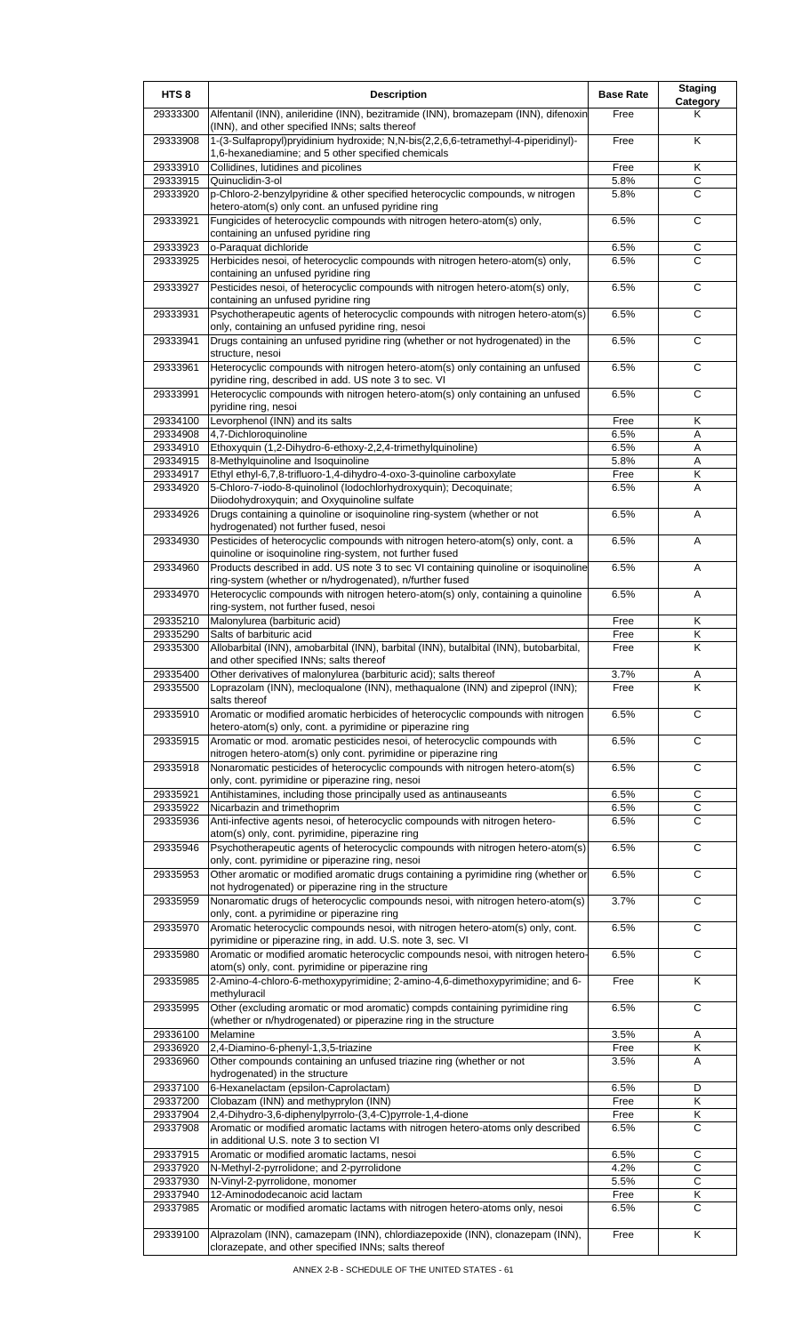| HTS <sub>8</sub>     | <b>Description</b>                                                                                                                                              | <b>Base Rate</b> | <b>Staging</b><br><b>Category</b> |
|----------------------|-----------------------------------------------------------------------------------------------------------------------------------------------------------------|------------------|-----------------------------------|
| 29333300             | Alfentanil (INN), anileridine (INN), bezitramide (INN), bromazepam (INN), difenoxin<br>(INN), and other specified INNs; salts thereof                           | Free             | Κ                                 |
| 29333908             | 1-(3-Sulfapropyl)pryidinium hydroxide; N,N-bis(2,2,6,6-tetramethyl-4-piperidinyl)-<br>1,6-hexanediamine; and 5 other specified chemicals                        | Free             | K                                 |
| 29333910             | Collidines, lutidines and picolines                                                                                                                             | Free             | K                                 |
| 29333915             | Quinuclidin-3-ol                                                                                                                                                | 5.8%             | C                                 |
| 29333920             | p-Chloro-2-benzylpyridine & other specified heterocyclic compounds, w nitrogen<br>hetero-atom(s) only cont. an unfused pyridine ring                            | 5.8%             | C                                 |
| 29333921             | Fungicides of heterocyclic compounds with nitrogen hetero-atom(s) only,<br>containing an unfused pyridine ring                                                  | 6.5%             | $\mathsf C$                       |
| 29333923             | o-Paraquat dichloride                                                                                                                                           | 6.5%             | C                                 |
| 29333925             | Herbicides nesoi, of heterocyclic compounds with nitrogen hetero-atom(s) only,<br>containing an unfused pyridine ring                                           | 6.5%             | C                                 |
| 29333927             | Pesticides nesoi, of heterocyclic compounds with nitrogen hetero-atom(s) only,<br>containing an unfused pyridine ring                                           | 6.5%             | С                                 |
| 29333931             | Psychotherapeutic agents of heterocyclic compounds with nitrogen hetero-atom(s)<br>only, containing an unfused pyridine ring, nesoi                             | 6.5%             | C                                 |
| 29333941             | Drugs containing an unfused pyridine ring (whether or not hydrogenated) in the<br>structure, nesoi                                                              | 6.5%             | C                                 |
| 29333961             | Heterocyclic compounds with nitrogen hetero-atom(s) only containing an unfused<br>pyridine ring, described in add. US note 3 to sec. VI                         | 6.5%             | C                                 |
| 29333991             | Heterocyclic compounds with nitrogen hetero-atom(s) only containing an unfused<br>pyridine ring, nesoi                                                          | 6.5%             | $\overline{c}$                    |
| 29334100             | Levorphenol (INN) and its salts                                                                                                                                 | Free             | K                                 |
| 29334908             | 4,7-Dichloroquinoline                                                                                                                                           | 6.5%             | A                                 |
| 29334910<br>29334915 | Ethoxyquin (1,2-Dihydro-6-ethoxy-2,2,4-trimethylquinoline)<br>8-Methylquinoline and Isoquinoline                                                                | 6.5%<br>5.8%     | A                                 |
| 29334917             | Ethyl ethyl-6,7,8-trifluoro-1,4-dihydro-4-oxo-3-quinoline carboxylate                                                                                           | Free             | Α<br>Κ                            |
| 29334920             | 5-Chloro-7-iodo-8-quinolinol (lodochlorhydroxyquin); Decoquinate;<br>Diiodohydroxyquin; and Oxyquinoline sulfate                                                | 6.5%             | A                                 |
| 29334926             | Drugs containing a quinoline or isoquinoline ring-system (whether or not                                                                                        | 6.5%             | A                                 |
| 29334930             | hydrogenated) not further fused, nesoi<br>Pesticides of heterocyclic compounds with nitrogen hetero-atom(s) only, cont. a                                       | 6.5%             | Α                                 |
| 29334960             | quinoline or isoquinoline ring-system, not further fused<br>Products described in add. US note 3 to sec VI containing quinoline or isoquinoline                 | 6.5%             | Α                                 |
| 29334970             | ring-system (whether or n/hydrogenated), n/further fused<br>Heterocyclic compounds with nitrogen hetero-atom(s) only, containing a quinoline                    | 6.5%             | A                                 |
| 29335210             | ring-system, not further fused, nesoi<br>Malonylurea (barbituric acid)                                                                                          | Free             | Κ                                 |
| 29335290             | Salts of barbituric acid                                                                                                                                        | Free             | Κ                                 |
| 29335300             | Allobarbital (INN), amobarbital (INN), barbital (INN), butalbital (INN), butobarbital,<br>and other specified INNs; salts thereof                               | Free             | Κ                                 |
| 29335400             | Other derivatives of malonylurea (barbituric acid); salts thereof                                                                                               | 3.7%             |                                   |
| 29335500             | Loprazolam (INN), mecloqualone (INN), methaqualone (INN) and zipeprol (INN);                                                                                    | Free             | K                                 |
| 29335910             | salts thereof<br>Aromatic or modified aromatic herbicides of heterocyclic compounds with nitrogen<br>hetero-atom(s) only, cont. a pyrimidine or piperazine ring | 6.5%             | C                                 |
| 29335915             | Aromatic or mod. aromatic pesticides nesoi, of heterocyclic compounds with<br>nitrogen hetero-atom(s) only cont. pyrimidine or piperazine ring                  | 6.5%             | $\overline{c}$                    |
| 29335918             | Nonaromatic pesticides of heterocyclic compounds with nitrogen hetero-atom(s)<br>only, cont. pyrimidine or piperazine ring, nesoi                               | 6.5%             | C                                 |
| 29335921             | Antihistamines, including those principally used as antinauseants                                                                                               | 6.5%             | C                                 |
| 29335922             | Nicarbazin and trimethoprim                                                                                                                                     | 6.5%             | $\mathsf C$                       |
| 29335936             | Anti-infective agents nesoi, of heterocyclic compounds with nitrogen hetero-                                                                                    | 6.5%             | C                                 |
| 29335946             | atom(s) only, cont. pyrimidine, piperazine ring<br>Psychotherapeutic agents of heterocyclic compounds with nitrogen hetero-atom(s)                              | 6.5%             | $\overline{c}$                    |
| 29335953             | only, cont. pyrimidine or piperazine ring, nesoi<br>Other aromatic or modified aromatic drugs containing a pyrimidine ring (whether or                          | 6.5%             | C                                 |
| 29335959             | not hydrogenated) or piperazine ring in the structure<br>Nonaromatic drugs of heterocyclic compounds nesoi, with nitrogen hetero-atom(s)                        | 3.7%             | C                                 |
| 29335970             | only, cont. a pyrimidine or piperazine ring<br>Aromatic heterocyclic compounds nesoi, with nitrogen hetero-atom(s) only, cont.                                  | 6.5%             | C                                 |
| 29335980             | pyrimidine or piperazine ring, in add. U.S. note 3, sec. VI<br>Aromatic or modified aromatic heterocyclic compounds nesoi, with nitrogen hetero-                | 6.5%             | C                                 |
| 29335985             | atom(s) only, cont. pyrimidine or piperazine ring<br>2-Amino-4-chloro-6-methoxypyrimidine; 2-amino-4,6-dimethoxypyrimidine; and 6-                              | Free             | Κ                                 |
| 29335995             | methyluracil<br>Other (excluding aromatic or mod aromatic) compds containing pyrimidine ring                                                                    | 6.5%             | $\mathsf{C}$                      |
| 29336100             | (whether or n/hydrogenated) or piperazine ring in the structure                                                                                                 | 3.5%             |                                   |
| 29336920             | Melamine<br>2,4-Diamino-6-phenyl-1,3,5-triazine                                                                                                                 | Free             | Α<br>Κ                            |
| 29336960             | Other compounds containing an unfused triazine ring (whether or not                                                                                             | 3.5%             | A                                 |
| 29337100             | hydrogenated) in the structure<br>6-Hexanelactam (epsilon-Caprolactam)                                                                                          | 6.5%             | D                                 |
| 29337200             | Clobazam (INN) and methyprylon (INN)                                                                                                                            | Free             | Κ                                 |
| 29337904             | 2,4-Dihydro-3,6-diphenylpyrrolo-(3,4-C)pyrrole-1,4-dione                                                                                                        | Free             | Κ                                 |
| 29337908             | Aromatic or modified aromatic lactams with nitrogen hetero-atoms only described<br>in additional U.S. note 3 to section VI                                      | 6.5%             | C                                 |
| 29337915             | Aromatic or modified aromatic lactams, nesoi                                                                                                                    | 6.5%             | $\overline{C}$                    |
| 29337920             | N-Methyl-2-pyrrolidone; and 2-pyrrolidone                                                                                                                       | 4.2%             | C                                 |
| 29337930<br>29337940 | N-Vinyl-2-pyrrolidone, monomer<br>12-Aminododecanoic acid lactam                                                                                                | 5.5%<br>Free     | $\overline{c}$<br>Κ               |
| 29337985             | Aromatic or modified aromatic lactams with nitrogen hetero-atoms only, nesoi                                                                                    | 6.5%             | C                                 |
| 29339100             | Alprazolam (INN), camazepam (INN), chlordiazepoxide (INN), clonazepam (INN),<br>clorazepate, and other specified INNs; salts thereof                            | Free             | K                                 |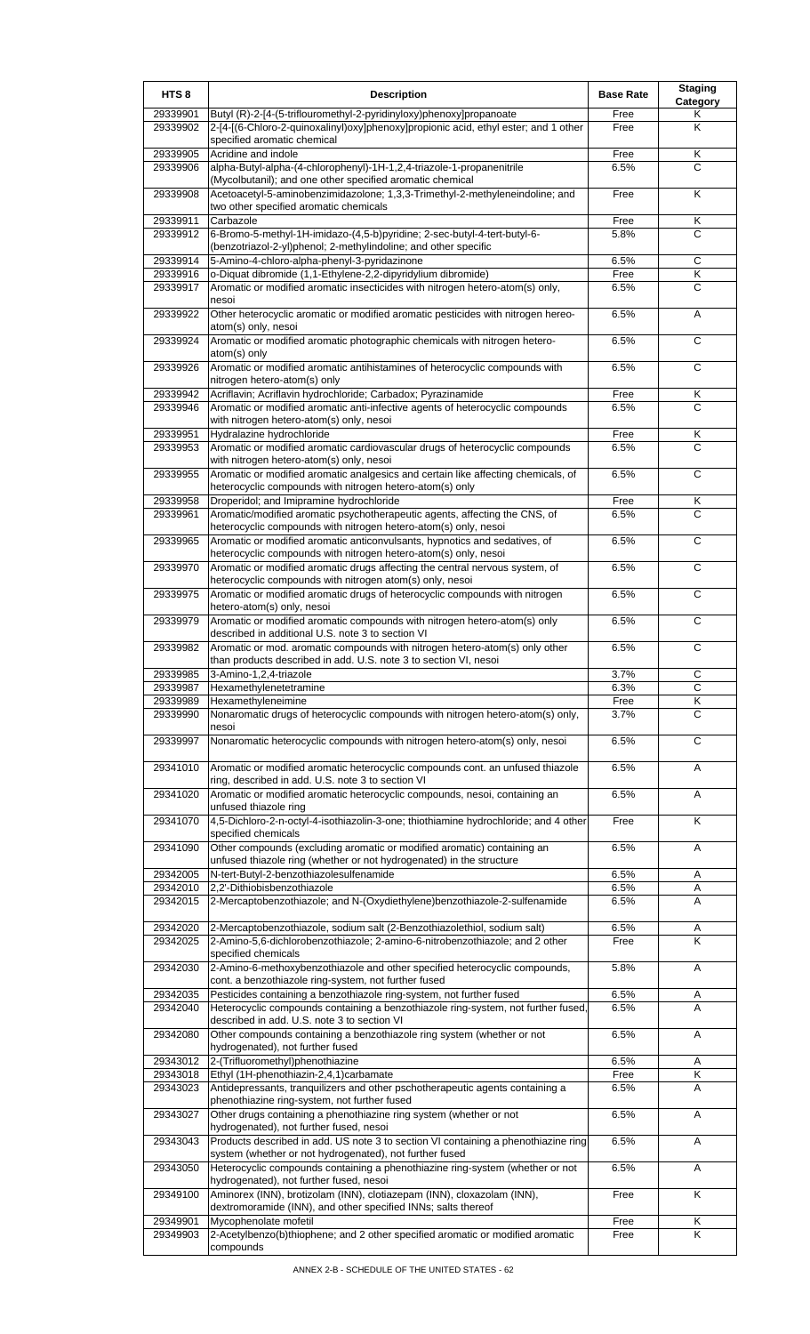| HTS <sub>8</sub>     | <b>Description</b>                                                                                                                                         | <b>Base Rate</b> | <b>Staging</b><br>Category |
|----------------------|------------------------------------------------------------------------------------------------------------------------------------------------------------|------------------|----------------------------|
| 29339901<br>29339902 | Butyl (R)-2-[4-(5-triflouromethyl-2-pyridinyloxy)phenoxy]propanoate<br>2-[4-[(6-Chloro-2-quinoxalinyl)oxy]phenoxy]propionic acid, ethyl ester; and 1 other | Free<br>Free     | Κ<br>Κ                     |
|                      | specified aromatic chemical                                                                                                                                |                  |                            |
| 29339905<br>29339906 | Acridine and indole<br>alpha-Butyl-alpha-(4-chlorophenyl)-1H-1,2,4-triazole-1-propanenitrile                                                               | Free<br>6.5%     | Κ<br>C                     |
|                      | (Mycolbutanil); and one other specified aromatic chemical                                                                                                  |                  |                            |
| 29339908             | Acetoacetyl-5-aminobenzimidazolone; 1,3,3-Trimethyl-2-methyleneindoline; and<br>two other specified aromatic chemicals                                     | Free             | K                          |
| 29339911<br>29339912 | Carbazole<br>6-Bromo-5-methyl-1H-imidazo-(4,5-b)pyridine; 2-sec-butyl-4-tert-butyl-6-                                                                      | Free<br>5.8%     | Κ<br>$\mathsf{C}$          |
|                      | (benzotriazol-2-yl)phenol; 2-methylindoline; and other specific                                                                                            |                  |                            |
| 29339914             | 5-Amino-4-chloro-alpha-phenyl-3-pyridazinone                                                                                                               | 6.5%             | $\overline{c}$             |
| 29339916<br>29339917 | o-Diquat dibromide (1,1-Ethylene-2,2-dipyridylium dibromide)<br>Aromatic or modified aromatic insecticides with nitrogen hetero-atom(s) only,              | Free<br>6.5%     | Κ<br>C                     |
|                      | nesoi                                                                                                                                                      |                  |                            |
| 29339922             | Other heterocyclic aromatic or modified aromatic pesticides with nitrogen hereo-<br>atom(s) only, nesoi                                                    | 6.5%             | A                          |
| 29339924             | Aromatic or modified aromatic photographic chemicals with nitrogen hetero-<br>atom(s) only                                                                 | 6.5%             | С                          |
| 29339926             | Aromatic or modified aromatic antihistamines of heterocyclic compounds with<br>nitrogen hetero-atom(s) only                                                | 6.5%             | C                          |
| 29339942             | Acriflavin; Acriflavin hydrochloride; Carbadox; Pyrazinamide                                                                                               | Free             | Κ                          |
| 29339946             | Aromatic or modified aromatic anti-infective agents of heterocyclic compounds<br>with nitrogen hetero-atom(s) only, nesoi                                  | 6.5%             | C                          |
| 29339951             | Hydralazine hydrochloride                                                                                                                                  | Free             | Κ                          |
| 29339953             | Aromatic or modified aromatic cardiovascular drugs of heterocyclic compounds<br>with nitrogen hetero-atom(s) only, nesoi                                   | 6.5%             | C                          |
| 29339955             | Aromatic or modified aromatic analgesics and certain like affecting chemicals, of<br>heterocyclic compounds with nitrogen hetero-atom(s) only              | 6.5%             | C                          |
| 29339958             | Droperidol; and Imipramine hydrochloride                                                                                                                   | Free             | Κ                          |
| 29339961             | Aromatic/modified aromatic psychotherapeutic agents, affecting the CNS, of<br>heterocyclic compounds with nitrogen hetero-atom(s) only, nesoi              | 6.5%             | C                          |
| 29339965             | Aromatic or modified aromatic anticonvulsants, hypnotics and sedatives, of<br>heterocyclic compounds with nitrogen hetero-atom(s) only, nesoi              | 6.5%             | C                          |
| 29339970             | Aromatic or modified aromatic drugs affecting the central nervous system, of                                                                               | 6.5%             | $\mathsf{C}$               |
| 29339975             | heterocyclic compounds with nitrogen atom(s) only, nesoi<br>Aromatic or modified aromatic drugs of heterocyclic compounds with nitrogen                    | 6.5%             | C                          |
| 29339979             | hetero-atom(s) only, nesoi<br>Aromatic or modified aromatic compounds with nitrogen hetero-atom(s) only                                                    | 6.5%             | C                          |
| 29339982             | described in additional U.S. note 3 to section VI<br>Aromatic or mod. aromatic compounds with nitrogen hetero-atom(s) only other                           | 6.5%             | $\overline{c}$             |
| 29339985             | than products described in add. U.S. note 3 to section VI, nesoi<br>3-Amino-1,2,4-triazole                                                                 | 3.7%             | ◡                          |
| 29339987             | Hexamethylenetetramine                                                                                                                                     | 6.3%             | $\mathsf{C}$               |
| 29339989             | Hexamethyleneimine                                                                                                                                         | Free             | Κ                          |
| 29339990             | Nonaromatic drugs of heterocyclic compounds with nitrogen hetero-atom(s) only,<br>nesoi                                                                    | 3.7%             | $\overline{c}$             |
| 29339997             | Nonaromatic heterocyclic compounds with nitrogen hetero-atom(s) only, nesoi                                                                                | 6.5%             | C                          |
| 29341010             | Aromatic or modified aromatic heterocyclic compounds cont. an unfused thiazole<br>ring, described in add. U.S. note 3 to section VI                        | 6.5%             | Α                          |
| 29341020             | Aromatic or modified aromatic heterocyclic compounds, nesoi, containing an<br>unfused thiazole ring                                                        | 6.5%             | Α                          |
| 29341070             | 4,5-Dichloro-2-n-octyl-4-isothiazolin-3-one; thiothiamine hydrochloride; and 4 other<br>specified chemicals                                                | Free             | Κ                          |
| 29341090             | Other compounds (excluding aromatic or modified aromatic) containing an<br>unfused thiazole ring (whether or not hydrogenated) in the structure            | 6.5%             | A                          |
| 29342005             | N-tert-Butyl-2-benzothiazolesulfenamide                                                                                                                    | 6.5%             | Α                          |
| 29342010<br>29342015 | 2,2'-Dithiobisbenzothiazole<br>2-Mercaptobenzothiazole; and N-(Oxydiethylene)benzothiazole-2-sulfenamide                                                   | 6.5%<br>6.5%     | Α<br>A                     |
|                      |                                                                                                                                                            |                  |                            |
| 29342020             | 2-Mercaptobenzothiazole, sodium salt (2-Benzothiazolethiol, sodium salt)                                                                                   | 6.5%             | Α                          |
| 29342025             | 2-Amino-5,6-dichlorobenzothiazole; 2-amino-6-nitrobenzothiazole; and 2 other<br>specified chemicals                                                        | Free             | K                          |
| 29342030             | 2-Amino-6-methoxybenzothiazole and other specified heterocyclic compounds,<br>cont. a benzothiazole ring-system, not further fused                         | 5.8%             | A                          |
| 29342035<br>29342040 | Pesticides containing a benzothiazole ring-system, not further fused<br>Heterocyclic compounds containing a benzothiazole ring-system, not further fused,  | 6.5%<br>6.5%     | A<br>A                     |
| 29342080             | described in add. U.S. note 3 to section VI<br>Other compounds containing a benzothiazole ring system (whether or not                                      | 6.5%             |                            |
|                      | hydrogenated), not further fused                                                                                                                           |                  | Α                          |
| 29343012<br>29343018 | 2-(Trifluoromethyl)phenothiazine<br>Ethyl (1H-phenothiazin-2,4,1)carbamate                                                                                 | 6.5%<br>Free     | Α<br>Κ                     |
| 29343023             | Antidepressants, tranquilizers and other pschotherapeutic agents containing a<br>phenothiazine ring-system, not further fused                              | 6.5%             | A                          |
| 29343027             | Other drugs containing a phenothiazine ring system (whether or not<br>hydrogenated), not further fused, nesoi                                              | 6.5%             | Α                          |
| 29343043             | Products described in add. US note 3 to section VI containing a phenothiazine ring<br>system (whether or not hydrogenated), not further fused              | 6.5%             | A                          |
| 29343050             | Heterocyclic compounds containing a phenothiazine ring-system (whether or not<br>hydrogenated), not further fused, nesoi                                   | 6.5%             | A                          |
| 29349100             | Aminorex (INN), brotizolam (INN), clotiazepam (INN), cloxazolam (INN),<br>dextromoramide (INN), and other specified INNs; salts thereof                    | Free             | K                          |
| 29349901             | Mycophenolate mofetil                                                                                                                                      | Free             | Κ                          |
| 29349903             | 2-Acetylbenzo(b)thiophene; and 2 other specified aromatic or modified aromatic<br>compounds                                                                | Free             | K                          |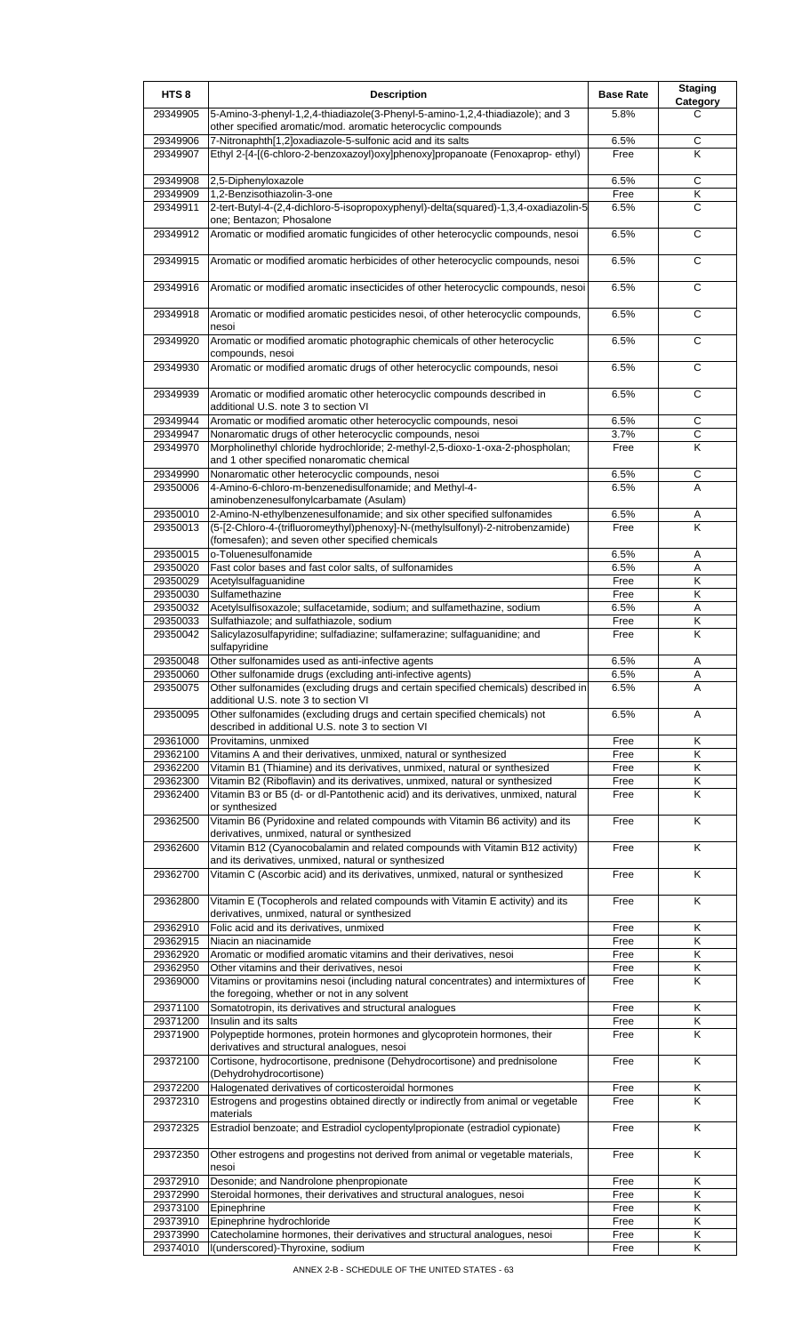| HTS <sub>8</sub>     | <b>Description</b>                                                                                                                              | <b>Base Rate</b> | <b>Staging</b><br>Category   |
|----------------------|-------------------------------------------------------------------------------------------------------------------------------------------------|------------------|------------------------------|
| 29349905             | 5-Amino-3-phenyl-1,2,4-thiadiazole(3-Phenyl-5-amino-1,2,4-thiadiazole); and 3<br>other specified aromatic/mod. aromatic heterocyclic compounds  | 5.8%             | C                            |
| 29349906             | 7-Nitronaphth[1,2]oxadiazole-5-sulfonic acid and its salts                                                                                      | 6.5%             | C                            |
| 29349907             | Ethyl 2-[4-[(6-chloro-2-benzoxazoyl)oxy]phenoxy]propanoate (Fenoxaprop-ethyl)                                                                   | Free             | K                            |
| 29349908             | 2,5-Diphenyloxazole                                                                                                                             | 6.5%             | C                            |
| 29349909<br>29349911 | 1,2-Benzisothiazolin-3-one<br>2-tert-Butyl-4-(2,4-dichloro-5-isopropoxyphenyl)-delta(squared)-1,3,4-oxadiazolin-5                               | Free<br>6.5%     | Κ<br>С                       |
| 29349912             | one; Bentazon; Phosalone<br>Aromatic or modified aromatic fungicides of other heterocyclic compounds, nesoi                                     | 6.5%             | $\mathsf{C}$                 |
| 29349915             | Aromatic or modified aromatic herbicides of other heterocyclic compounds, nesoi                                                                 | 6.5%             | C                            |
| 29349916             | Aromatic or modified aromatic insecticides of other heterocyclic compounds, nesoi                                                               | 6.5%             | C                            |
| 29349918             | Aromatic or modified aromatic pesticides nesoi, of other heterocyclic compounds,<br>nesoi                                                       | 6.5%             | $\overline{c}$               |
| 29349920             | Aromatic or modified aromatic photographic chemicals of other heterocyclic<br>compounds, nesoi                                                  | 6.5%             | C                            |
| 29349930             | Aromatic or modified aromatic drugs of other heterocyclic compounds, nesoi                                                                      | 6.5%             | C                            |
| 29349939             | Aromatic or modified aromatic other heterocyclic compounds described in<br>additional U.S. note 3 to section VI                                 | 6.5%             | C                            |
| 29349944             | Aromatic or modified aromatic other heterocyclic compounds, nesoi                                                                               | 6.5%             | C                            |
| 29349947<br>29349970 | Nonaromatic drugs of other heterocyclic compounds, nesoi<br>Morpholinethyl chloride hydrochloride; 2-methyl-2,5-dioxo-1-oxa-2-phospholan;       | 3.7%<br>Free     | $\overline{C}$<br>Κ          |
| 29349990             | and 1 other specified nonaromatic chemical<br>Nonaromatic other heterocyclic compounds, nesoi                                                   | 6.5%             | С                            |
| 29350006             | 4-Amino-6-chloro-m-benzenedisulfonamide; and Methyl-4-                                                                                          | 6.5%             | A                            |
| 29350010             | aminobenzenesulfonylcarbamate (Asulam)<br>2-Amino-N-ethylbenzenesulfonamide; and six other specified sulfonamides                               | 6.5%             | Α                            |
| 29350013             | (5-[2-Chloro-4-(trifluoromeythyl)phenoxy]-N-(methylsulfonyl)-2-nitrobenzamide)<br>(fomesafen); and seven other specified chemicals              | Free             | K                            |
| 29350015             | o-Toluenesulfonamide                                                                                                                            | 6.5%             | Α                            |
| 29350020             | Fast color bases and fast color salts, of sulfonamides                                                                                          | 6.5%             | Α                            |
| 29350029<br>29350030 | Acetylsulfaguanidine<br>Sulfamethazine                                                                                                          | Free<br>Free     | Κ<br>$\overline{\mathsf{K}}$ |
| 29350032             | Acetylsulfisoxazole; sulfacetamide, sodium; and sulfamethazine, sodium                                                                          | 6.5%             | Α                            |
| 29350033             | Sulfathiazole; and sulfathiazole, sodium                                                                                                        | Free             | Κ                            |
| 29350042             | Salicylazosulfapyridine; sulfadiazine; sulfamerazine; sulfaguanidine; and<br>sulfapyridine                                                      | Free             | Κ                            |
| 29350048<br>29350060 | Other sulfonamides used as anti-infective agents<br>Other sulfonamide drugs (excluding anti-infective agents)                                   | 6.5%<br>6.5%     | Α<br>A                       |
| 29350075             | Other sulfonamides (excluding drugs and certain specified chemicals) described in<br>additional U.S. note 3 to section VI                       | 6.5%             | A                            |
| 29350095             | Other sulfonamides (excluding drugs and certain specified chemicals) not<br>described in additional U.S. note 3 to section VI                   | 6.5%             | A                            |
| 29361000             | Provitamins, unmixed                                                                                                                            | Free             | Κ                            |
| 29362100<br>29362200 | Vitamins A and their derivatives, unmixed, natural or synthesized<br>Vitamin B1 (Thiamine) and its derivatives, unmixed, natural or synthesized | Free<br>Free     | Κ<br>Κ                       |
| 29362300             | Vitamin B2 (Riboflavin) and its derivatives, unmixed, natural or synthesized                                                                    | Free             | Κ                            |
| 29362400             | Vitamin B3 or B5 (d- or dl-Pantothenic acid) and its derivatives, unmixed, natural<br>or synthesized                                            | Free             | Κ                            |
| 29362500             | Vitamin B6 (Pyridoxine and related compounds with Vitamin B6 activity) and its<br>derivatives, unmixed, natural or synthesized                  | Free             | Κ                            |
| 29362600             | Vitamin B12 (Cyanocobalamin and related compounds with Vitamin B12 activity)<br>and its derivatives, unmixed, natural or synthesized            | Free             | K                            |
| 29362700             | Vitamin C (Ascorbic acid) and its derivatives, unmixed, natural or synthesized                                                                  | Free             | Κ                            |
| 29362800             | Vitamin E (Tocopherols and related compounds with Vitamin E activity) and its<br>derivatives, unmixed, natural or synthesized                   | Free             | K                            |
| 29362910<br>29362915 | Folic acid and its derivatives, unmixed<br>Niacin an niacinamide                                                                                | Free<br>Free     | Κ<br>Κ                       |
| 29362920             | Aromatic or modified aromatic vitamins and their derivatives, nesoi                                                                             | Free             | Κ                            |
| 29362950<br>29369000 | Other vitamins and their derivatives, nesoi<br>Vitamins or provitamins nesoi (including natural concentrates) and intermixtures of              | Free<br>Free     | Κ<br>K                       |
| 29371100             | the foregoing, whether or not in any solvent<br>Somatotropin, its derivatives and structural analogues                                          | Free             | Κ                            |
| 29371200             | Insulin and its salts                                                                                                                           | Free             | Κ                            |
| 29371900             | Polypeptide hormones, protein hormones and glycoprotein hormones, their<br>derivatives and structural analogues, nesoi                          | Free             | Κ                            |
| 29372100             | Cortisone, hydrocortisone, prednisone (Dehydrocortisone) and prednisolone<br>(Dehydrohydrocortisone)                                            | Free             | Κ                            |
| 29372200<br>29372310 | Halogenated derivatives of corticosteroidal hormones<br>Estrogens and progestins obtained directly or indirectly from animal or vegetable       | Free<br>Free     | Κ<br>Κ                       |
| 29372325             | materials<br>Estradiol benzoate; and Estradiol cyclopentylpropionate (estradiol cypionate)                                                      | Free             | K                            |
| 29372350             | Other estrogens and progestins not derived from animal or vegetable materials,<br>nesoi                                                         | Free             | Κ                            |
| 29372910             | Desonide; and Nandrolone phenpropionate                                                                                                         | Free             | Κ                            |
| 29372990             | Steroidal hormones, their derivatives and structural analogues, nesoi                                                                           | Free             | Κ                            |
| 29373100             | Epinephrine                                                                                                                                     | Free             | Κ                            |
| 29373910<br>29373990 | Epinephrine hydrochloride<br>Catecholamine hormones, their derivatives and structural analogues, nesoi                                          | Free<br>Free     | Κ<br>Κ                       |
| 29374010             | I(underscored)-Thyroxine, sodium                                                                                                                | Free             | Κ                            |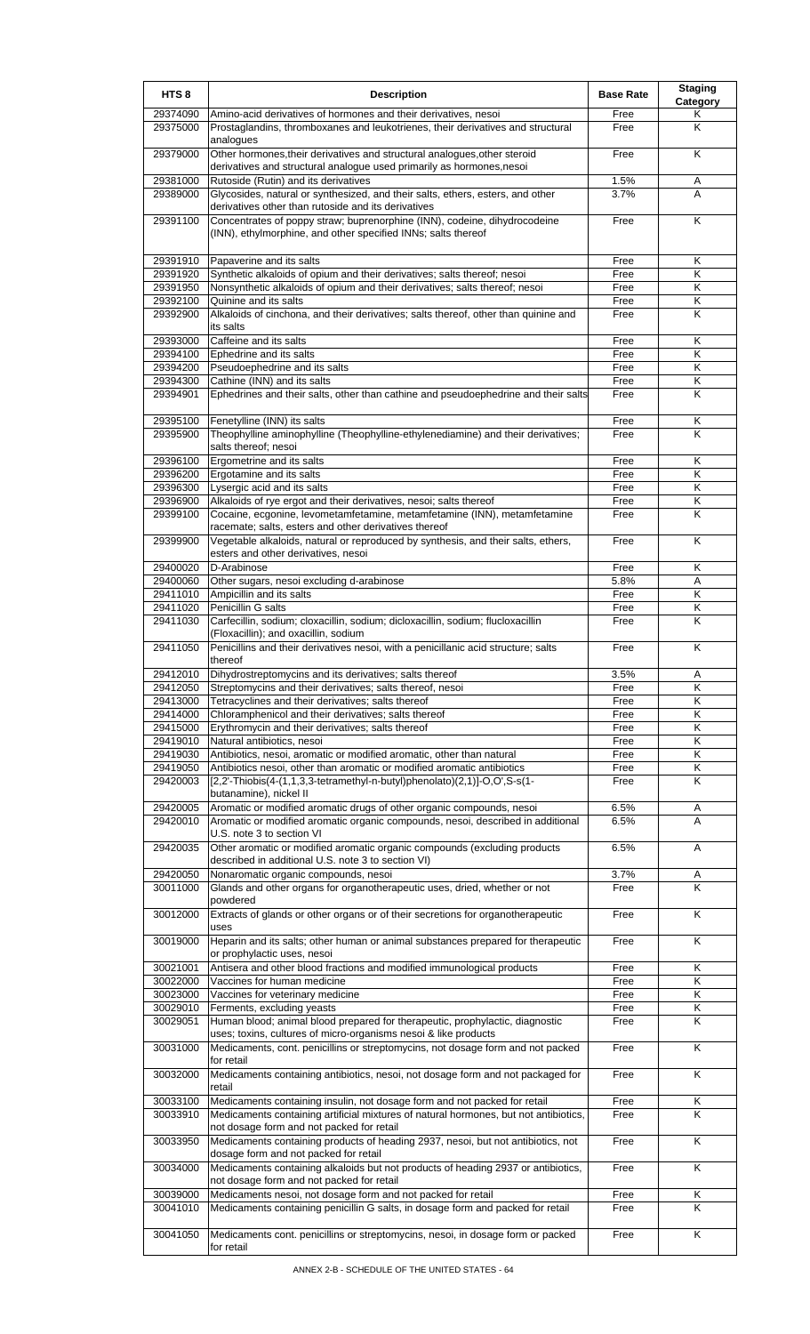| HTS <sub>8</sub>     | <b>Description</b>                                                                                                                                                      | <b>Base Rate</b> | <b>Staging</b><br>Category   |
|----------------------|-------------------------------------------------------------------------------------------------------------------------------------------------------------------------|------------------|------------------------------|
| 29374090             | Amino-acid derivatives of hormones and their derivatives, nesoi                                                                                                         | Free             | Κ                            |
| 29375000             | Prostaglandins, thromboxanes and leukotrienes, their derivatives and structural<br>analogues                                                                            | Free             | Κ                            |
| 29379000             | Other hormones, their derivatives and structural analogues, other steroid<br>derivatives and structural analogue used primarily as hormones, nesoi                      | Free             | K                            |
| 29381000             | Rutoside (Rutin) and its derivatives                                                                                                                                    | 1.5%             | Α                            |
| 29389000             | Glycosides, natural or synthesized, and their salts, ethers, esters, and other<br>derivatives other than rutoside and its derivatives                                   | 3.7%             | A                            |
| 29391100             | Concentrates of poppy straw; buprenorphine (INN), codeine, dihydrocodeine<br>(INN), ethylmorphine, and other specified INNs; salts thereof                              | Free             | K                            |
| 29391910             | Papaverine and its salts                                                                                                                                                | Free             | K                            |
| 29391920             | Synthetic alkaloids of opium and their derivatives; salts thereof; nesoi                                                                                                | Free             | Κ                            |
| 29391950             | Nonsynthetic alkaloids of opium and their derivatives; salts thereof; nesoi<br>Quinine and its salts                                                                    | Free             | Κ                            |
| 29392100<br>29392900 | Alkaloids of cinchona, and their derivatives; salts thereof, other than quinine and                                                                                     | Free<br>Free     | Κ<br>K                       |
|                      | its salts                                                                                                                                                               |                  |                              |
| 29393000             | Caffeine and its salts                                                                                                                                                  | Free             | Κ                            |
| 29394100<br>29394200 | Ephedrine and its salts<br>Pseudoephedrine and its salts                                                                                                                | Free<br>Free     | K<br>Κ                       |
| 29394300             | Cathine (INN) and its salts                                                                                                                                             | Free             | Κ                            |
| 29394901             | Ephedrines and their salts, other than cathine and pseudoephedrine and their salts                                                                                      | Free             | K                            |
|                      |                                                                                                                                                                         |                  |                              |
| 29395100<br>29395900 | Fenetylline (INN) its salts<br>Theophylline aminophylline (Theophylline-ethylenediamine) and their derivatives;                                                         | Free<br>Free     | Κ<br>K                       |
|                      | salts thereof; nesoi                                                                                                                                                    |                  |                              |
| 29396100             | Ergometrine and its salts                                                                                                                                               | Free             | Κ                            |
| 29396200<br>29396300 | Ergotamine and its salts<br>Lysergic acid and its salts                                                                                                                 | Free<br>Free     | K<br>Κ                       |
| 29396900             | Alkaloids of rye ergot and their derivatives, nesoi; salts thereof                                                                                                      | Free             | Κ                            |
| 29399100             | Cocaine, ecgonine, levometamfetamine, metamfetamine (INN), metamfetamine                                                                                                | Free             | K                            |
|                      | racemate; salts, esters and other derivatives thereof                                                                                                                   |                  |                              |
| 29399900             | Vegetable alkaloids, natural or reproduced by synthesis, and their salts, ethers,<br>esters and other derivatives, nesoi                                                | Free             | K                            |
| 29400020             | D-Arabinose                                                                                                                                                             | Free             | K                            |
| 29400060             | Other sugars, nesoi excluding d-arabinose                                                                                                                               | 5.8%             | Α                            |
| 29411010<br>29411020 | Ampicillin and its salts<br>Penicillin G salts                                                                                                                          | Free<br>Free     | Κ<br>Κ                       |
| 29411030             | Carfecillin, sodium; cloxacillin, sodium; dicloxacillin, sodium; flucloxacillin                                                                                         | Free             | K                            |
| 29411050             | (Floxacillin); and oxacillin, sodium<br>Penicillins and their derivatives nesoi, with a penicillanic acid structure; salts                                              | Free             | K                            |
|                      | thereof                                                                                                                                                                 |                  |                              |
| 29412010<br>29412050 | Dihydrostreptomycins and its derivatives; salts thereof<br>Streptomycins and their derivatives; salts thereof, nesoi                                                    | 3.5%<br>Free     | A<br>K                       |
| 29413000             | Tetracyclines and their derivatives; salts thereof                                                                                                                      | Free             | Κ                            |
| 29414000             | Chloramphenicol and their derivatives; salts thereof                                                                                                                    | Free             | Κ                            |
| 29415000             | Erythromycin and their derivatives; salts thereof                                                                                                                       | Free             | K                            |
| 29419010             | Natural antibiotics, nesoi                                                                                                                                              | Free             | Κ                            |
| 29419030<br>29419050 | Antibiotics, nesoi, aromatic or modified aromatic, other than natural<br>Antibiotics nesoi, other than aromatic or modified aromatic antibiotics                        | Free<br>Free     | Κ<br>$\overline{\mathsf{K}}$ |
| 29420003             | [2,2'-Thiobis(4-(1,1,3,3-tetramethyl-n-butyl)phenolato)(2,1)]-O,O',S-s(1-                                                                                               | Free             | K                            |
| 29420005             | butanamine), nickel II<br>Aromatic or modified aromatic drugs of other organic compounds, nesoi                                                                         | 6.5%             | Α                            |
| 29420010             | Aromatic or modified aromatic organic compounds, nesoi, described in additional<br>U.S. note 3 to section VI                                                            | 6.5%             | A                            |
| 29420035             | Other aromatic or modified aromatic organic compounds (excluding products<br>described in additional U.S. note 3 to section VI)                                         | 6.5%             | A                            |
| 29420050             | Nonaromatic organic compounds, nesoi                                                                                                                                    | 3.7%             | A                            |
| 30011000             | Glands and other organs for organotherapeutic uses, dried, whether or not<br>powdered                                                                                   | Free             | Κ                            |
| 30012000             | Extracts of glands or other organs or of their secretions for organotherapeutic                                                                                         | Free             | K                            |
| 30019000             | uses<br>Heparin and its salts; other human or animal substances prepared for therapeutic                                                                                | Free             | Κ                            |
| 30021001             | or prophylactic uses, nesoi                                                                                                                                             | Free             | K                            |
| 30022000             | Antisera and other blood fractions and modified immunological products<br>Vaccines for human medicine                                                                   | Free             | $\overline{\mathsf{K}}$      |
| 30023000             | Vaccines for veterinary medicine                                                                                                                                        | Free             | Κ                            |
| 30029010             | Ferments, excluding yeasts                                                                                                                                              | Free             | Κ                            |
| 30029051             | Human blood; animal blood prepared for therapeutic, prophylactic, diagnostic<br>uses; toxins, cultures of micro-organisms nesoi & like products                         | Free             | K                            |
| 30031000             | Medicaments, cont. penicillins or streptomycins, not dosage form and not packed<br>for retail                                                                           | Free             | K                            |
| 30032000             | Medicaments containing antibiotics, nesoi, not dosage form and not packaged for<br>retail                                                                               | Free             | K                            |
| 30033100<br>30033910 | Medicaments containing insulin, not dosage form and not packed for retail<br>Medicaments containing artificial mixtures of natural hormones, but not antibiotics,       | Free<br>Free     | Κ<br>K                       |
| 30033950             | not dosage form and not packed for retail<br>Medicaments containing products of heading 2937, nesoi, but not antibiotics, not                                           | Free             | K                            |
| 30034000             | dosage form and not packed for retail<br>Medicaments containing alkaloids but not products of heading 2937 or antibiotics,<br>not dosage form and not packed for retail | Free             | K                            |
| 30039000             | Medicaments nesoi, not dosage form and not packed for retail                                                                                                            | Free             | Κ                            |
| 30041010             | Medicaments containing penicillin G salts, in dosage form and packed for retail                                                                                         | Free             | Κ                            |
| 30041050             | Medicaments cont. penicillins or streptomycins, nesoi, in dosage form or packed<br>for retail                                                                           | Free             | K                            |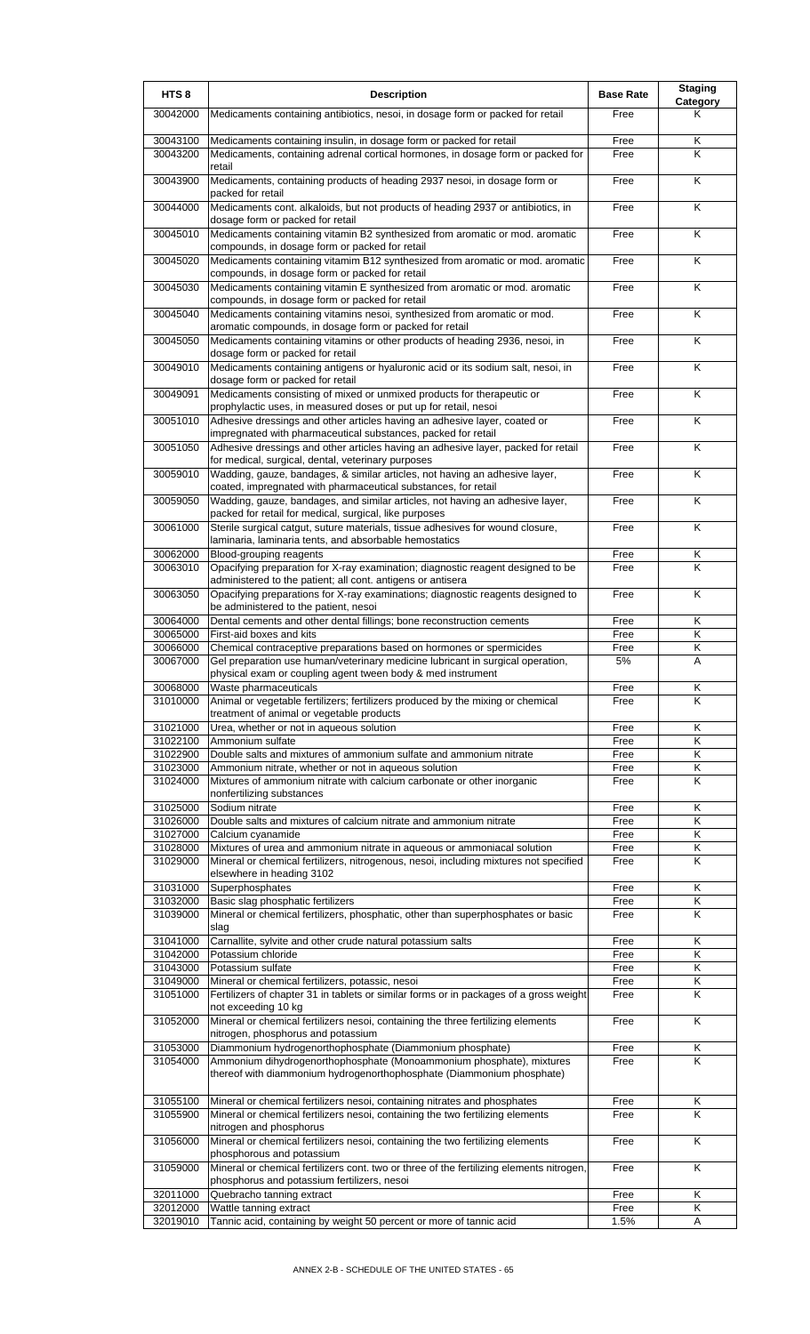| HTS <sub>8</sub>     | <b>Description</b>                                                                                                                                                                                        | <b>Base Rate</b> | <b>Staging</b><br>Category |
|----------------------|-----------------------------------------------------------------------------------------------------------------------------------------------------------------------------------------------------------|------------------|----------------------------|
| 30042000             | Medicaments containing antibiotics, nesoi, in dosage form or packed for retail                                                                                                                            | Free             | Κ                          |
| 30043100<br>30043200 | Medicaments containing insulin, in dosage form or packed for retail<br>Medicaments, containing adrenal cortical hormones, in dosage form or packed for                                                    | Free<br>Free     | Κ<br>Κ                     |
| 30043900             | retail<br>Medicaments, containing products of heading 2937 nesoi, in dosage form or                                                                                                                       | Free             | K                          |
| 30044000             | packed for retail<br>Medicaments cont. alkaloids, but not products of heading 2937 or antibiotics, in                                                                                                     | Free             | $\overline{\mathsf{K}}$    |
| 30045010             | dosage form or packed for retail<br>Medicaments containing vitamin B2 synthesized from aromatic or mod. aromatic                                                                                          | Free             | K                          |
| 30045020             | compounds, in dosage form or packed for retail<br>Medicaments containing vitamim B12 synthesized from aromatic or mod. aromatic<br>compounds, in dosage form or packed for retail                         | Free             | K                          |
| 30045030             | Medicaments containing vitamin E synthesized from aromatic or mod. aromatic<br>compounds, in dosage form or packed for retail                                                                             | Free             | $\overline{\mathsf{K}}$    |
| 30045040             | Medicaments containing vitamins nesoi, synthesized from aromatic or mod.<br>aromatic compounds, in dosage form or packed for retail                                                                       | Free             | $\overline{\mathsf{K}}$    |
| 30045050             | Medicaments containing vitamins or other products of heading 2936, nesoi, in<br>dosage form or packed for retail                                                                                          | Free             | K                          |
| 30049010             | Medicaments containing antigens or hyaluronic acid or its sodium salt, nesoi, in<br>dosage form or packed for retail                                                                                      | Free             | K                          |
| 30049091             | Medicaments consisting of mixed or unmixed products for therapeutic or<br>prophylactic uses, in measured doses or put up for retail, nesoi                                                                | Free             | K                          |
| 30051010             | Adhesive dressings and other articles having an adhesive layer, coated or<br>impregnated with pharmaceutical substances, packed for retail                                                                | Free             | K                          |
| 30051050             | Adhesive dressings and other articles having an adhesive layer, packed for retail<br>for medical, surgical, dental, veterinary purposes                                                                   | Free             | K                          |
| 30059010             | Wadding, gauze, bandages, & similar articles, not having an adhesive layer,<br>coated, impregnated with pharmaceutical substances, for retail                                                             | Free             | K                          |
| 30059050             | Wadding, gauze, bandages, and similar articles, not having an adhesive layer,<br>packed for retail for medical, surgical, like purposes                                                                   | Free             | Κ                          |
| 30061000             | Sterile surgical catgut, suture materials, tissue adhesives for wound closure,<br>laminaria, laminaria tents, and absorbable hemostatics                                                                  | Free             | K                          |
| 30062000<br>30063010 | Blood-grouping reagents<br>Opacifying preparation for X-ray examination; diagnostic reagent designed to be                                                                                                | Free<br>Free     | Κ<br>K                     |
| 30063050             | administered to the patient; all cont. antigens or antisera<br>Opacifying preparations for X-ray examinations; diagnostic reagents designed to                                                            | Free             | K                          |
| 30064000             | be administered to the patient, nesoi<br>Dental cements and other dental fillings; bone reconstruction cements                                                                                            | Free             | Κ                          |
| 30065000             | First-aid boxes and kits                                                                                                                                                                                  | Free             | Κ                          |
| 30066000             | Chemical contraceptive preparations based on hormones or spermicides                                                                                                                                      | Free             | K                          |
| 30067000             | Gel preparation use human/veterinary medicine lubricant in surgical operation,<br>physical exam or coupling agent tween body & med instrument                                                             | 5%               | Α                          |
| 30068000<br>31010000 | Waste pharmaceuticals<br>Animal or vegetable fertilizers; fertilizers produced by the mixing or chemical                                                                                                  | Free<br>Free     | Κ<br>K                     |
| 31021000             | treatment of animal or vegetable products<br>Urea, whether or not in aqueous solution                                                                                                                     | Free             | Κ                          |
| 31022100             | Ammonium sulfate                                                                                                                                                                                          | Free             | K                          |
| 31022900             | Double salts and mixtures of ammonium sulfate and ammonium nitrate                                                                                                                                        | Free             | Κ                          |
| 31023000<br>31024000 | Ammonium nitrate, whether or not in aqueous solution<br>Mixtures of ammonium nitrate with calcium carbonate or other inorganic                                                                            | Free<br>Free     | Κ<br>K                     |
| 31025000             | nonfertilizing substances<br>Sodium nitrate                                                                                                                                                               | Free             | K                          |
| 31026000             | Double salts and mixtures of calcium nitrate and ammonium nitrate                                                                                                                                         | Free             | K                          |
| 31027000             | Calcium cyanamide                                                                                                                                                                                         | Free             | Κ                          |
| 31028000             | Mixtures of urea and ammonium nitrate in aqueous or ammoniacal solution                                                                                                                                   | Free             | Κ                          |
| 31029000             | Mineral or chemical fertilizers, nitrogenous, nesoi, including mixtures not specified<br>elsewhere in heading 3102                                                                                        | Free             | K                          |
| 31031000<br>31032000 | Superphosphates<br>Basic slag phosphatic fertilizers                                                                                                                                                      | Free<br>Free     | Κ<br>K                     |
| 31039000             | Mineral or chemical fertilizers, phosphatic, other than superphosphates or basic<br>slag                                                                                                                  | Free             | Κ                          |
| 31041000             | Carnallite, sylvite and other crude natural potassium salts                                                                                                                                               | Free             | K                          |
| 31042000             | Potassium chloride                                                                                                                                                                                        | Free             | Κ                          |
| 31043000             | Potassium sulfate                                                                                                                                                                                         | Free             | Κ                          |
| 31049000<br>31051000 | Mineral or chemical fertilizers, potassic, nesoi<br>Fertilizers of chapter 31 in tablets or similar forms or in packages of a gross weight                                                                | Free<br>Free     | Κ<br>K                     |
| 31052000             | not exceeding 10 kg<br>Mineral or chemical fertilizers nesoi, containing the three fertilizing elements                                                                                                   | Free             | K                          |
|                      | nitrogen, phosphorus and potassium                                                                                                                                                                        |                  |                            |
| 31053000<br>31054000 | Diammonium hydrogenorthophosphate (Diammonium phosphate)<br>Ammonium dihydrogenorthophosphate (Monoammonium phosphate), mixtures<br>thereof with diammonium hydrogenorthophosphate (Diammonium phosphate) | Free<br>Free     | Κ<br>K                     |
| 31055100<br>31055900 | Mineral or chemical fertilizers nesoi, containing nitrates and phosphates<br>Mineral or chemical fertilizers nesoi, containing the two fertilizing elements                                               | Free<br>Free     | Κ<br>K                     |
| 31056000             | nitrogen and phosphorus<br>Mineral or chemical fertilizers nesoi, containing the two fertilizing elements                                                                                                 | Free             | K                          |
| 31059000             | phosphorous and potassium<br>Mineral or chemical fertilizers cont. two or three of the fertilizing elements nitrogen,                                                                                     | Free             | K                          |
| 32011000             | phosphorus and potassium fertilizers, nesoi<br>Quebracho tanning extract                                                                                                                                  | Free             | Κ                          |
| 32012000             | Wattle tanning extract                                                                                                                                                                                    | Free             | Κ                          |
| 32019010             | Tannic acid, containing by weight 50 percent or more of tannic acid                                                                                                                                       | 1.5%             | Α                          |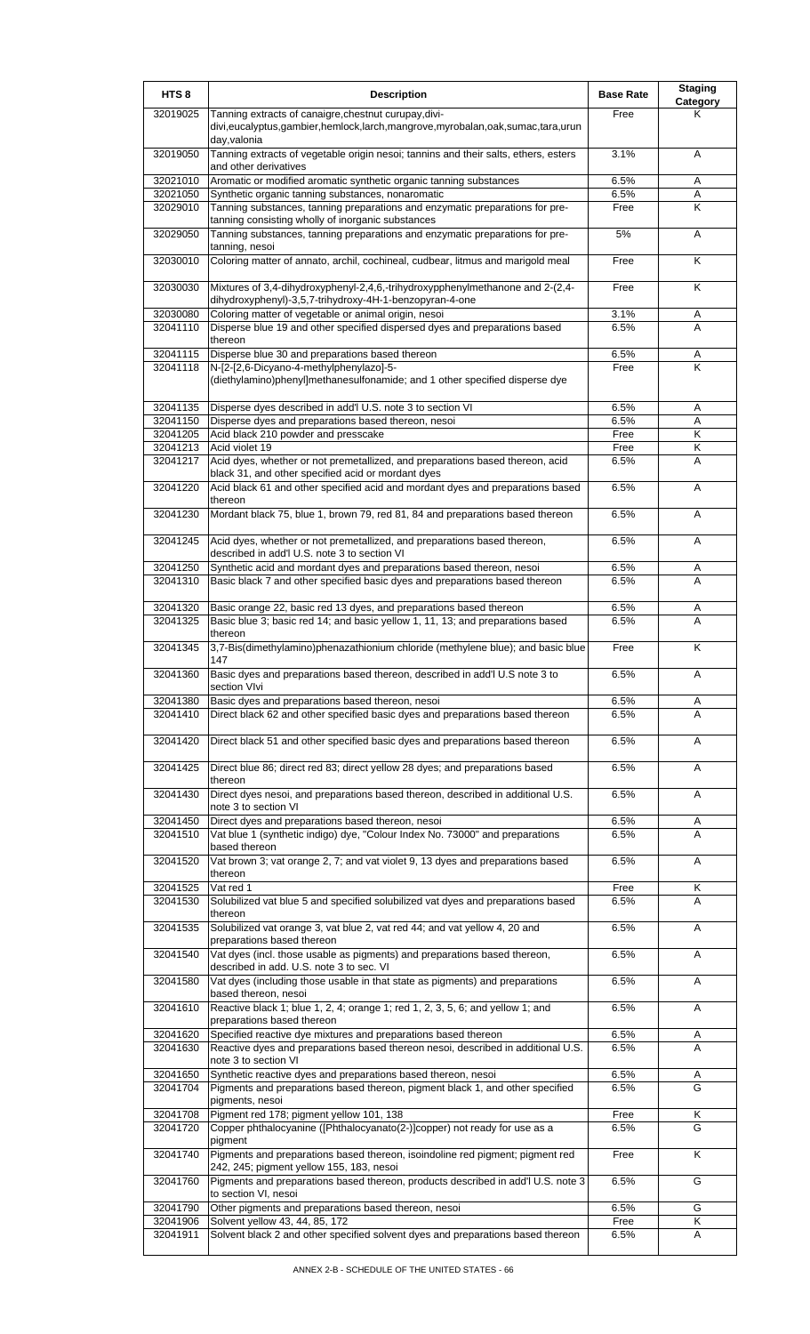| HTS <sub>8</sub>     | <b>Description</b>                                                                                                                            | <b>Base Rate</b> | <b>Staging</b><br>Category   |
|----------------------|-----------------------------------------------------------------------------------------------------------------------------------------------|------------------|------------------------------|
| 32019025             | Tanning extracts of canaigre, chestnut curupay, divi-<br>divi,eucalyptus,gambier,hemlock,larch,mangrove,myrobalan,oak,sumac,tara,urun         | Free             | κ                            |
| 32019050             | day,valonia<br>Tanning extracts of vegetable origin nesoi; tannins and their salts, ethers, esters<br>and other derivatives                   | 3.1%             | A                            |
| 32021010             | Aromatic or modified aromatic synthetic organic tanning substances                                                                            | 6.5%             | Α                            |
| 32021050             | Synthetic organic tanning substances, nonaromatic                                                                                             | 6.5%             | A                            |
| 32029010             | Tanning substances, tanning preparations and enzymatic preparations for pre-<br>tanning consisting wholly of inorganic substances             | Free             | Κ                            |
| 32029050             | Tanning substances, tanning preparations and enzymatic preparations for pre-<br>tanning, nesoi                                                | 5%               | A                            |
| 32030010             | Coloring matter of annato, archil, cochineal, cudbear, litmus and marigold meal                                                               | Free             | K                            |
| 32030030             | Mixtures of 3,4-dihydroxyphenyl-2,4,6,-trihydroxypphenylmethanone and 2-(2,4-<br>dihydroxyphenyl)-3,5,7-trihydroxy-4H-1-benzopyran-4-one      | Free             | K                            |
| 32030080<br>32041110 | Coloring matter of vegetable or animal origin, nesoi<br>Disperse blue 19 and other specified dispersed dyes and preparations based<br>thereon | 3.1%<br>6.5%     | Α<br>A                       |
| 32041115             | Disperse blue 30 and preparations based thereon                                                                                               | 6.5%             | Α                            |
| 32041118             | N-[2-[2,6-Dicyano-4-methylphenylazo]-5-                                                                                                       | Free             | K                            |
|                      | (diethylamino)phenyl]methanesulfonamide; and 1 other specified disperse dye                                                                   |                  |                              |
| 32041135             | Disperse dyes described in add'l U.S. note 3 to section VI                                                                                    | 6.5%             | Α                            |
| 32041150             | Disperse dyes and preparations based thereon, nesoi                                                                                           | 6.5%             | Α                            |
| 32041205<br>32041213 | Acid black 210 powder and presscake<br>Acid violet 19                                                                                         | Free<br>Free     | $\overline{\mathsf{K}}$<br>Κ |
| 32041217             | Acid dyes, whether or not premetallized, and preparations based thereon, acid                                                                 | 6.5%             | A                            |
|                      | black 31, and other specified acid or mordant dyes                                                                                            |                  |                              |
| 32041220             | Acid black 61 and other specified acid and mordant dyes and preparations based<br>thereon                                                     | 6.5%             | A                            |
| 32041230             | Mordant black 75, blue 1, brown 79, red 81, 84 and preparations based thereon                                                                 | 6.5%             | A                            |
| 32041245             | Acid dyes, whether or not premetallized, and preparations based thereon,<br>described in add'l U.S. note 3 to section VI                      | 6.5%             | A                            |
| 32041250             | Synthetic acid and mordant dyes and preparations based thereon, nesoi                                                                         | 6.5%             | Α                            |
| 32041310             | Basic black 7 and other specified basic dyes and preparations based thereon                                                                   | 6.5%             | A                            |
| 32041320             | Basic orange 22, basic red 13 dyes, and preparations based thereon                                                                            | 6.5%             | Α                            |
| 32041325             | Basic blue 3; basic red 14; and basic yellow 1, 11, 13; and preparations based<br>thereon                                                     | 6.5%             | A                            |
| 32041345             | 3,7-Bis(dimethylamino)phenazathionium chloride (methylene blue); and basic blue<br>147                                                        | Free             | K                            |
| 32041360             | Basic dyes and preparations based thereon, described in add'l U.S note 3 to<br>section VIvi                                                   | 6.5%             | A                            |
| 32041380             | Basic dyes and preparations based thereon, nesoi                                                                                              | 6.5%             | Α                            |
| 32041410             | Direct black 62 and other specified basic dyes and preparations based thereon                                                                 | 6.5%             | A                            |
| 32041420             | Direct black 51 and other specified basic dyes and preparations based thereon                                                                 | 6.5%             | Α                            |
| 32041425             | Direct blue 86; direct red 83; direct yellow 28 dyes; and preparations based<br>thereon                                                       | 6.5%             | Α                            |
| 32041430             | Direct dyes nesoi, and preparations based thereon, described in additional U.S.<br>note 3 to section VI                                       | 6.5%             | Α                            |
| 32041450             | Direct dyes and preparations based thereon, nesoi                                                                                             | 6.5%             | Α                            |
| 32041510             | Vat blue 1 (synthetic indigo) dye, "Colour Index No. 73000" and preparations<br>based thereon                                                 | 6.5%             | A                            |
| 32041520             | Vat brown 3; vat orange 2, 7; and vat violet 9, 13 dyes and preparations based<br>thereon                                                     | 6.5%             | A                            |
| 32041525<br>32041530 | Vat red 1<br>Solubilized vat blue 5 and specified solubilized vat dyes and preparations based                                                 | Free<br>6.5%     | Κ<br>A                       |
|                      | thereon                                                                                                                                       |                  |                              |
| 32041535             | Solubilized vat orange 3, vat blue 2, vat red 44; and vat yellow 4, 20 and<br>preparations based thereon                                      | 6.5%             | Α                            |
| 32041540             | Vat dyes (incl. those usable as pigments) and preparations based thereon,<br>described in add. U.S. note 3 to sec. VI                         | 6.5%             | Α                            |
| 32041580             | Vat dyes (including those usable in that state as pigments) and preparations<br>based thereon, nesoi                                          | 6.5%             | Α                            |
| 32041610             | Reactive black 1; blue 1, 2, 4; orange 1; red 1, 2, 3, 5, 6; and yellow 1; and<br>preparations based thereon                                  | 6.5%             | Α                            |
| 32041620             | Specified reactive dye mixtures and preparations based thereon                                                                                | 6.5%             | Α                            |
| 32041630             | Reactive dyes and preparations based thereon nesoi, described in additional U.S.<br>note 3 to section VI                                      | 6.5%             | A                            |
| 32041650             | Synthetic reactive dyes and preparations based thereon, nesoi                                                                                 | 6.5%             | Α                            |
| 32041704             | Pigments and preparations based thereon, pigment black 1, and other specified<br>pigments, nesoi                                              | 6.5%             | G                            |
| 32041708             | Pigment red 178; pigment yellow 101, 138                                                                                                      | Free             | Κ                            |
| 32041720             | Copper phthalocyanine ([Phthalocyanato(2-)]copper) not ready for use as a<br>pigment                                                          | 6.5%             | G                            |
| 32041740             | Pigments and preparations based thereon, isoindoline red pigment; pigment red<br>242, 245; pigment yellow 155, 183, nesoi                     | Free             | Κ                            |
| 32041760             | Pigments and preparations based thereon, products described in add'l U.S. note 3<br>to section VI, nesoi                                      | 6.5%             | G                            |
| 32041790             | Other pigments and preparations based thereon, nesoi                                                                                          | 6.5%             | G                            |
| 32041906             | Solvent yellow 43, 44, 85, 172                                                                                                                | Free             | Κ                            |
| 32041911             | Solvent black 2 and other specified solvent dyes and preparations based thereon                                                               | 6.5%             | Α                            |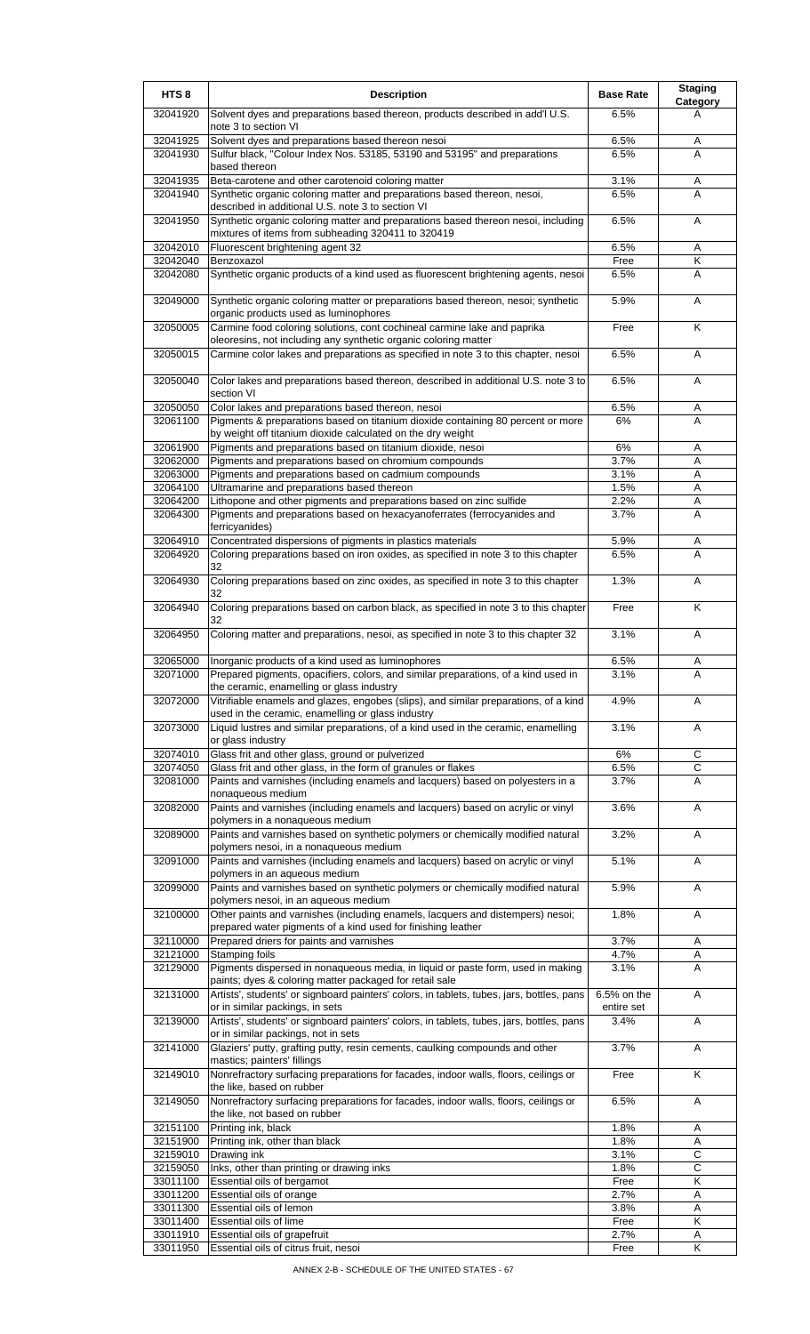| HTS <sub>8</sub>     | <b>Description</b>                                                                                                                                    | <b>Base Rate</b>          | <b>Staging</b><br>Category |
|----------------------|-------------------------------------------------------------------------------------------------------------------------------------------------------|---------------------------|----------------------------|
| 32041920             | Solvent dyes and preparations based thereon, products described in add'l U.S.<br>note 3 to section VI                                                 | 6.5%                      | A                          |
| 32041925             | Solvent dyes and preparations based thereon nesoi                                                                                                     | 6.5%                      | Α                          |
| 32041930             | Sulfur black, "Colour Index Nos. 53185, 53190 and 53195" and preparations<br>based thereon                                                            | 6.5%                      | A                          |
| 32041935             | Beta-carotene and other carotenoid coloring matter                                                                                                    | 3.1%                      | Α                          |
| 32041940             | Synthetic organic coloring matter and preparations based thereon, nesoi,<br>described in additional U.S. note 3 to section VI                         | 6.5%                      | A                          |
| 32041950             | Synthetic organic coloring matter and preparations based thereon nesoi, including<br>mixtures of items from subheading 320411 to 320419               | 6.5%                      | Α                          |
| 32042010             | Fluorescent brightening agent 32                                                                                                                      | 6.5%                      | Α                          |
| 32042040<br>32042080 | Benzoxazol<br>Synthetic organic products of a kind used as fluorescent brightening agents, nesoi                                                      | Free<br>6.5%              | Κ<br>A                     |
| 32049000             | Synthetic organic coloring matter or preparations based thereon, nesoi; synthetic                                                                     | 5.9%                      | A                          |
| 32050005             | organic products used as luminophores<br>Carmine food coloring solutions, cont cochineal carmine lake and paprika                                     | Free                      | Κ                          |
| 32050015             | oleoresins, not including any synthetic organic coloring matter<br>Carmine color lakes and preparations as specified in note 3 to this chapter, nesoi | 6.5%                      | A                          |
| 32050040             | Color lakes and preparations based thereon, described in additional U.S. note 3 to                                                                    | 6.5%                      | A                          |
| 32050050             | section VI<br>Color lakes and preparations based thereon, nesoi                                                                                       | 6.5%                      |                            |
| 32061100             | Pigments & preparations based on titanium dioxide containing 80 percent or more                                                                       | 6%                        | Α<br>A                     |
|                      | by weight off titanium dioxide calculated on the dry weight                                                                                           |                           |                            |
| 32061900             | Pigments and preparations based on titanium dioxide, nesoi                                                                                            | 6%                        | Α                          |
| 32062000             | Pigments and preparations based on chromium compounds                                                                                                 | 3.7%                      | Α                          |
| 32063000<br>32064100 | Pigments and preparations based on cadmium compounds<br>Ultramarine and preparations based thereon                                                    | 3.1%<br>1.5%              | Α<br>A                     |
| 32064200             | Lithopone and other pigments and preparations based on zinc sulfide                                                                                   | 2.2%                      | Α                          |
| 32064300             | Pigments and preparations based on hexacyanoferrates (ferrocyanides and                                                                               | 3.7%                      | A                          |
|                      | ferricyanides)                                                                                                                                        |                           |                            |
| 32064910<br>32064920 | Concentrated dispersions of pigments in plastics materials<br>Coloring preparations based on iron oxides, as specified in note 3 to this chapter      | 5.9%<br>6.5%              | Α<br>A                     |
| 32064930             | 32<br>Coloring preparations based on zinc oxides, as specified in note 3 to this chapter                                                              | 1.3%                      | Α                          |
| 32064940             | 32<br>Coloring preparations based on carbon black, as specified in note 3 to this chapter                                                             | Free                      | K                          |
| 32064950             | 32<br>Coloring matter and preparations, nesoi, as specified in note 3 to this chapter 32                                                              | 3.1%                      | A                          |
| 32065000             | Inorganic products of a kind used as luminophores                                                                                                     | 6.5%                      |                            |
| 32071000             | Prepared pigments, opacifiers, colors, and similar preparations, of a kind used in<br>the ceramic, enamelling or glass industry                       | $3.1\%$                   | Α<br>Α                     |
| 32072000             | Vitrifiable enamels and glazes, engobes (slips), and similar preparations, of a kind<br>used in the ceramic, enamelling or glass industry             | 4.9%                      | Α                          |
| 32073000             | Liquid lustres and similar preparations, of a kind used in the ceramic, enamelling<br>or glass industry                                               | 3.1%                      | A                          |
| 32074010<br>32074050 | Glass frit and other glass, ground or pulverized<br>Glass frit and other glass, in the form of granules or flakes                                     | 6%<br>6.5%                | С<br>C                     |
| 32081000             | Paints and varnishes (including enamels and lacquers) based on polyesters in a                                                                        | 3.7%                      | A                          |
| 32082000             | nonaqueous medium<br>Paints and varnishes (including enamels and lacquers) based on acrylic or vinyl                                                  | 3.6%                      | Α                          |
| 32089000             | polymers in a nonaqueous medium<br>Paints and varnishes based on synthetic polymers or chemically modified natural                                    | 3.2%                      | Α                          |
| 32091000             | polymers nesoi, in a nonaqueous medium<br>Paints and varnishes (including enamels and lacquers) based on acrylic or vinyl                             | 5.1%                      | Α                          |
| 32099000             | polymers in an aqueous medium<br>Paints and varnishes based on synthetic polymers or chemically modified natural                                      | 5.9%                      | Α                          |
| 32100000             | polymers nesoi, in an aqueous medium<br>Other paints and varnishes (including enamels, lacquers and distempers) nesoi;                                | 1.8%                      | Α                          |
|                      | prepared water pigments of a kind used for finishing leather                                                                                          | 3.7%                      |                            |
| 32110000<br>32121000 | Prepared driers for paints and varnishes<br>Stamping foils                                                                                            | 4.7%                      | Α<br>Α                     |
| 32129000             | Pigments dispersed in nonaqueous media, in liquid or paste form, used in making<br>paints; dyes & coloring matter packaged for retail sale            | 3.1%                      | A                          |
| 32131000             | Artists', students' or signboard painters' colors, in tablets, tubes, jars, bottles, pans<br>or in similar packings, in sets                          | 6.5% on the<br>entire set | Α                          |
| 32139000             | Artists', students' or signboard painters' colors, in tablets, tubes, jars, bottles, pans<br>or in similar packings, not in sets                      | 3.4%                      | A                          |
| 32141000             | Glaziers' putty, grafting putty, resin cements, caulking compounds and other<br>mastics; painters' fillings                                           | 3.7%                      | Α                          |
| 32149010             | Nonrefractory surfacing preparations for facades, indoor walls, floors, ceilings or<br>the like, based on rubber                                      | Free                      | Κ                          |
| 32149050             | Nonrefractory surfacing preparations for facades, indoor walls, floors, ceilings or<br>the like, not based on rubber                                  | 6.5%                      | Α                          |
| 32151100             | Printing ink, black                                                                                                                                   | 1.8%                      | Α                          |
| 32151900             | Printing ink, other than black                                                                                                                        | 1.8%                      | Α                          |
| 32159010             | Drawing ink                                                                                                                                           | 3.1%                      | C                          |
| 32159050             | Inks, other than printing or drawing inks                                                                                                             | 1.8%                      | С                          |
| 33011100<br>33011200 | Essential oils of bergamot<br>Essential oils of orange                                                                                                | Free<br>2.7%              | Κ<br>Α                     |
| 33011300             | Essential oils of lemon                                                                                                                               | 3.8%                      | Α                          |
| 33011400             | Essential oils of lime                                                                                                                                | Free                      | Κ                          |
| 33011910             | Essential oils of grapefruit                                                                                                                          | 2.7%                      | A                          |
| 33011950             | Essential oils of citrus fruit, nesoi                                                                                                                 | Free                      | Κ                          |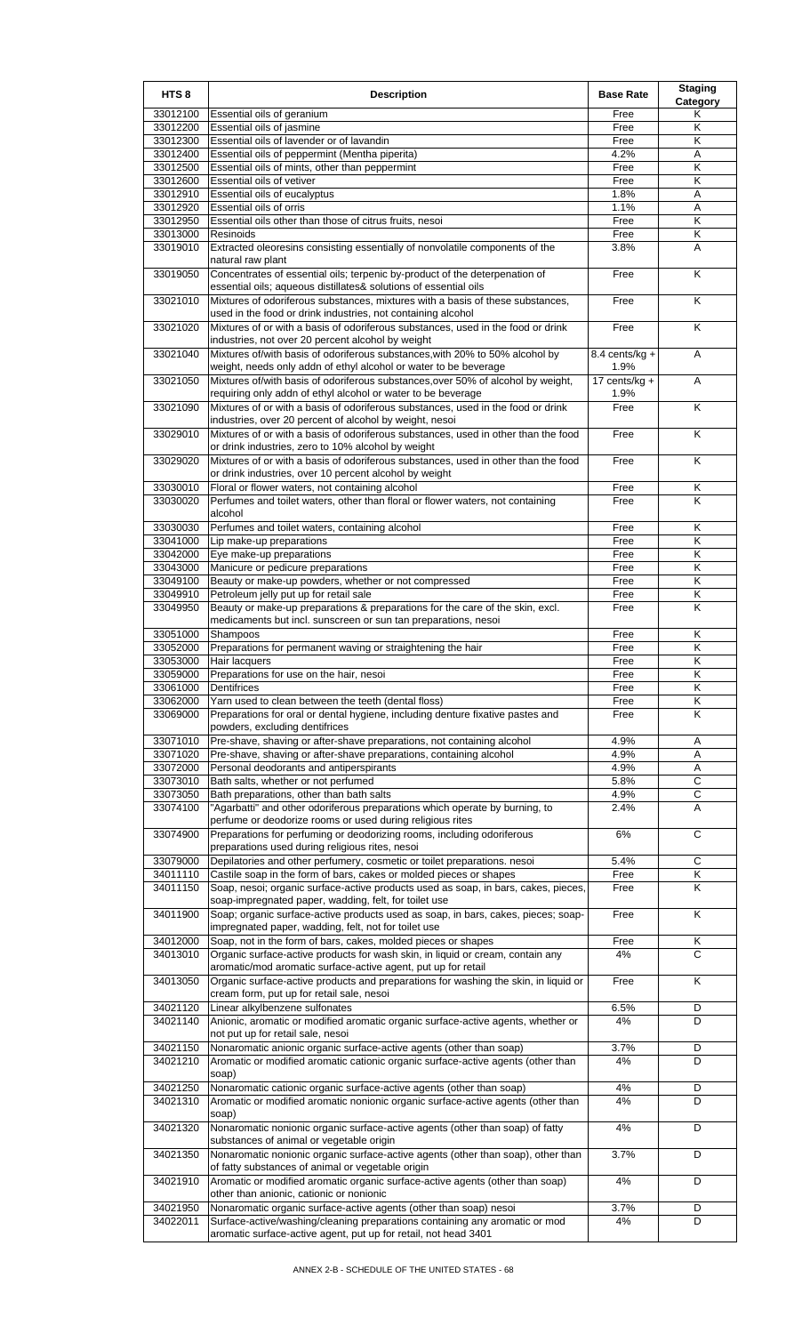| HTS <sub>8</sub>     | <b>Description</b>                                                                                                                                 | <b>Base Rate</b>         | <b>Staging</b><br>Category |
|----------------------|----------------------------------------------------------------------------------------------------------------------------------------------------|--------------------------|----------------------------|
| 33012100             | Essential oils of geranium                                                                                                                         | Free                     | Κ                          |
| 33012200             | Essential oils of jasmine                                                                                                                          | Free                     | Κ                          |
| 33012300             | Essential oils of lavender or of lavandin                                                                                                          | Free                     | Κ                          |
| 33012400             | Essential oils of peppermint (Mentha piperita)                                                                                                     | 4.2%                     | Α                          |
| 33012500             | Essential oils of mints, other than peppermint                                                                                                     | Free                     | Κ                          |
| 33012600             | Essential oils of vetiver                                                                                                                          | Free                     | K                          |
| 33012910             | Essential oils of eucalyptus                                                                                                                       | 1.8%                     | Α                          |
| 33012920             | Essential oils of orris                                                                                                                            | 1.1%                     | A                          |
| 33012950             | Essential oils other than those of citrus fruits, nesoi                                                                                            | Free                     | Κ                          |
| 33013000             | Resinoids                                                                                                                                          | Free                     | Κ                          |
| 33019010             | Extracted oleoresins consisting essentially of nonvolatile components of the<br>natural raw plant                                                  | 3.8%                     | A                          |
| 33019050             | Concentrates of essential oils; terpenic by-product of the deterpenation of                                                                        | Free                     | K                          |
| 33021010             | essential oils; aqueous distillates& solutions of essential oils<br>Mixtures of odoriferous substances, mixtures with a basis of these substances, | Free                     | $\overline{\mathsf{K}}$    |
| 33021020             | used in the food or drink industries, not containing alcohol<br>Mixtures of or with a basis of odoriferous substances, used in the food or drink   | Free                     | K                          |
| 33021040             | industries, not over 20 percent alcohol by weight<br>Mixtures of/with basis of odoriferous substances, with 20% to 50% alcohol by                  | 8.4 cents/kg $+$         | A                          |
|                      | weight, needs only addn of ethyl alcohol or water to be beverage                                                                                   | 1.9%                     |                            |
| 33021050             | Mixtures of/with basis of odoriferous substances, over 50% of alcohol by weight,<br>requiring only addn of ethyl alcohol or water to be beverage   | 17 cents/ $kg +$<br>1.9% | A                          |
| 33021090             | Mixtures of or with a basis of odoriferous substances, used in the food or drink<br>industries, over 20 percent of alcohol by weight, nesoi        | Free                     | Κ                          |
| 33029010             | Mixtures of or with a basis of odoriferous substances, used in other than the food<br>or drink industries, zero to 10% alcohol by weight           | Free                     | K                          |
| 33029020             | Mixtures of or with a basis of odoriferous substances, used in other than the food<br>or drink industries, over 10 percent alcohol by weight       | Free                     | K                          |
| 33030010             | Floral or flower waters, not containing alcohol                                                                                                    | Free                     | Κ                          |
| 33030020             | Perfumes and toilet waters, other than floral or flower waters, not containing<br>alcohol                                                          | Free                     | K                          |
| 33030030             | Perfumes and toilet waters, containing alcohol                                                                                                     | Free                     | Κ                          |
| 33041000             | Lip make-up preparations                                                                                                                           | Free                     | Κ                          |
| 33042000             | Eye make-up preparations                                                                                                                           | Free                     | K                          |
| 33043000             | Manicure or pedicure preparations                                                                                                                  | Free                     | K                          |
| 33049100             | Beauty or make-up powders, whether or not compressed                                                                                               | Free                     | Κ                          |
| 33049910             | Petroleum jelly put up for retail sale                                                                                                             | Free                     | Κ                          |
| 33049950             | Beauty or make-up preparations & preparations for the care of the skin, excl.                                                                      | Free                     | K                          |
|                      | medicaments but incl. sunscreen or sun tan preparations, nesoi                                                                                     |                          |                            |
| 33051000             | Shampoos                                                                                                                                           | Free                     | K                          |
| 33052000             | Preparations for permanent waving or straightening the hair                                                                                        | Free                     | Κ                          |
| 33053000             | Hair lacquers                                                                                                                                      | Free                     | Κ                          |
| 33059000             | Preparations for use on the hair, nesoi                                                                                                            | Free                     | $\overline{\mathsf{K}}$    |
| 33061000             | Dentifrices                                                                                                                                        | Free                     | Κ                          |
| 33062000             | Yarn used to clean between the teeth (dental floss)                                                                                                | Free                     | Κ                          |
| 33069000             | Preparations for oral or dental hygiene, including denture fixative pastes and<br>powders, excluding dentifrices                                   | Free                     | K                          |
| 33071010             | Pre-shave, shaving or after-shave preparations, not containing alcohol                                                                             | 4.9%                     | Α                          |
| 33071020             | Pre-shave, shaving or after-shave preparations, containing alcohol                                                                                 | 4.9%                     | Α                          |
| 33072000             | Personal deodorants and antiperspirants                                                                                                            | 4.9%                     | Α                          |
| 33073010             | Bath salts, whether or not perfumed                                                                                                                | 5.8%                     | С                          |
| 33073050             | Bath preparations, other than bath salts                                                                                                           | 4.9%                     | $\mathsf C$                |
| 33074100             | "Agarbatti" and other odoriferous preparations which operate by burning, to                                                                        | 2.4%                     | Α                          |
| 33074900             | perfume or deodorize rooms or used during religious rites<br>Preparations for perfuming or deodorizing rooms, including odoriferous                | 6%                       | С                          |
|                      | preparations used during religious rites, nesoi                                                                                                    |                          |                            |
| 33079000<br>34011110 | Depilatories and other perfumery, cosmetic or toilet preparations. nesoi<br>Castile soap in the form of bars, cakes or molded pieces or shapes     | 5.4%<br>Free             | С<br>Κ                     |
| 34011150             | Soap, nesoi; organic surface-active products used as soap, in bars, cakes, pieces,                                                                 | Free                     | K                          |
| 34011900             | soap-impregnated paper, wadding, felt, for toilet use<br>Soap; organic surface-active products used as soap, in bars, cakes, pieces; soap-         | Free                     | K                          |
| 34012000             | impregnated paper, wadding, felt, not for toilet use<br>Soap, not in the form of bars, cakes, molded pieces or shapes                              | Free                     | Κ                          |
| 34013010             | Organic surface-active products for wash skin, in liquid or cream, contain any<br>aromatic/mod aromatic surface-active agent, put up for retail    | 4%                       | C                          |
| 34013050             | Organic surface-active products and preparations for washing the skin, in liquid or<br>cream form, put up for retail sale, nesoi                   | Free                     | Κ                          |
| 34021120             | Linear alkylbenzene sulfonates                                                                                                                     | 6.5%                     | D                          |
| 34021140             | Anionic, aromatic or modified aromatic organic surface-active agents, whether or<br>not put up for retail sale, nesoi                              | 4%                       | D                          |
| 34021150             | Nonaromatic anionic organic surface-active agents (other than soap)                                                                                | 3.7%                     | D                          |
| 34021210             | Aromatic or modified aromatic cationic organic surface-active agents (other than<br>soap)                                                          | 4%                       | D                          |
| 34021250             | Nonaromatic cationic organic surface-active agents (other than soap)                                                                               | 4%                       | D                          |
| 34021310             | Aromatic or modified aromatic nonionic organic surface-active agents (other than<br>soap)                                                          | 4%                       | D                          |
| 34021320             | Nonaromatic nonionic organic surface-active agents (other than soap) of fatty<br>substances of animal or vegetable origin                          | 4%                       | D                          |
| 34021350             | Nonaromatic nonionic organic surface-active agents (other than soap), other than<br>of fatty substances of animal or vegetable origin              | 3.7%                     | D                          |
| 34021910             | Aromatic or modified aromatic organic surface-active agents (other than soap)                                                                      | 4%                       | D                          |
| 34021950             | other than anionic, cationic or nonionic<br>Nonaromatic organic surface-active agents (other than soap) nesoi                                      | 3.7%                     | D                          |
| 34022011             | Surface-active/washing/cleaning preparations containing any aromatic or mod<br>aromatic surface-active agent, put up for retail, not head 3401     | 4%                       | D                          |
|                      |                                                                                                                                                    |                          |                            |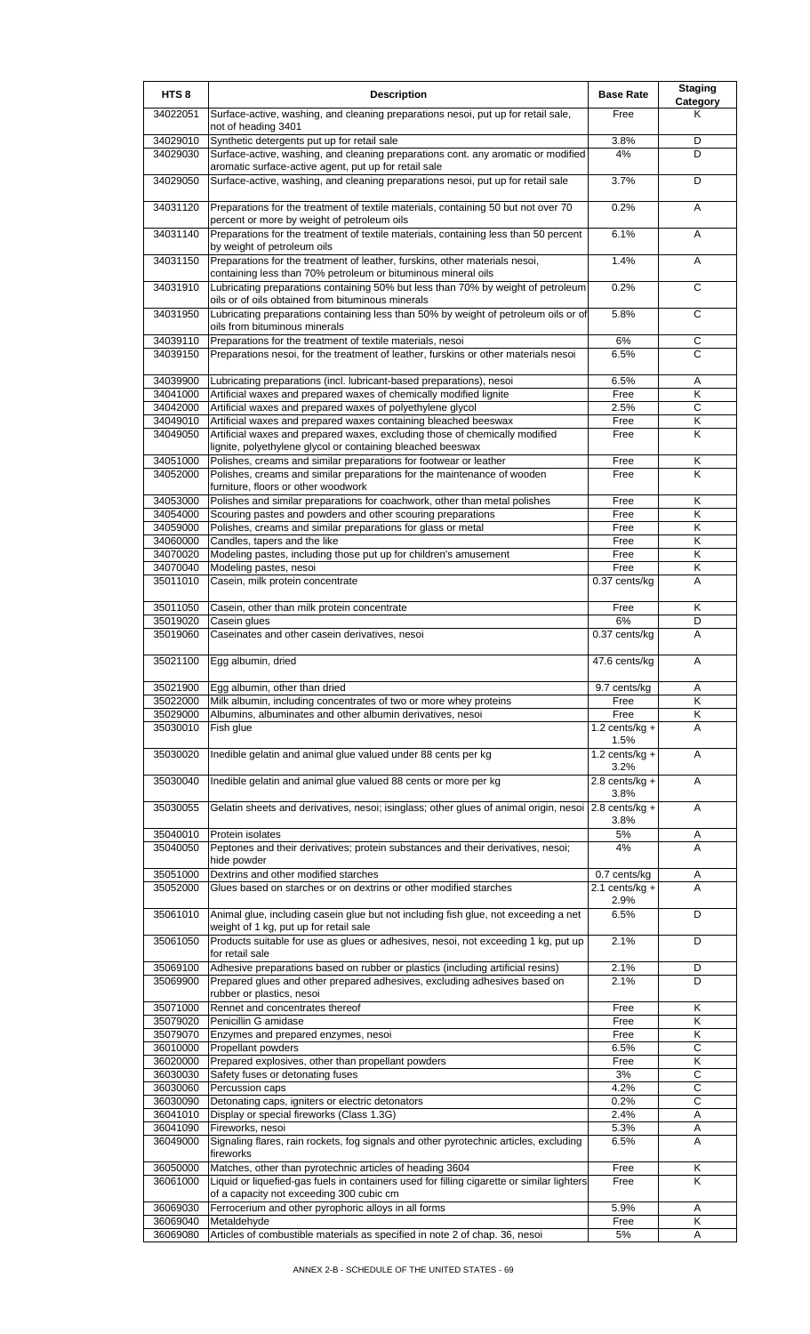| HTS <sub>8</sub>     | <b>Description</b>                                                                                                                           | <b>Base Rate</b>            | <b>Staging</b><br><b>Category</b> |
|----------------------|----------------------------------------------------------------------------------------------------------------------------------------------|-----------------------------|-----------------------------------|
| 34022051             | Surface-active, washing, and cleaning preparations nesoi, put up for retail sale,<br>not of heading 3401                                     | Free                        | Κ                                 |
| 34029010             | Synthetic detergents put up for retail sale                                                                                                  | 3.8%                        | D                                 |
| 34029030             | Surface-active, washing, and cleaning preparations cont. any aromatic or modified                                                            | 4%                          | D                                 |
| 34029050             | aromatic surface-active agent, put up for retail sale<br>Surface-active, washing, and cleaning preparations nesoi, put up for retail sale    | 3.7%                        | D                                 |
| 34031120             | Preparations for the treatment of textile materials, containing 50 but not over 70                                                           | 0.2%                        | A                                 |
|                      | percent or more by weight of petroleum oils                                                                                                  |                             |                                   |
| 34031140             | Preparations for the treatment of textile materials, containing less than 50 percent<br>by weight of petroleum oils                          | 6.1%                        | A                                 |
| 34031150             | Preparations for the treatment of leather, furskins, other materials nesoi,<br>containing less than 70% petroleum or bituminous mineral oils | 1.4%                        | Α                                 |
| 34031910             | Lubricating preparations containing 50% but less than 70% by weight of petroleum<br>oils or of oils obtained from bituminous minerals        | 0.2%                        | C                                 |
| 34031950             | Lubricating preparations containing less than 50% by weight of petroleum oils or of                                                          | 5.8%                        | $\overline{c}$                    |
| 34039110             | oils from bituminous minerals<br>Preparations for the treatment of textile materials, nesoi                                                  | 6%                          | $\mathsf C$                       |
| 34039150             | Preparations nesoi, for the treatment of leather, furskins or other materials nesoi                                                          | 6.5%                        | C                                 |
|                      |                                                                                                                                              |                             |                                   |
| 34039900             | Lubricating preparations (incl. lubricant-based preparations), nesoi                                                                         | 6.5%                        | Α                                 |
| 34041000<br>34042000 | Artificial waxes and prepared waxes of chemically modified lignite<br>Artificial waxes and prepared waxes of polyethylene glycol             | Free<br>2.5%                | Κ<br>$\overline{C}$               |
| 34049010             | Artificial waxes and prepared waxes containing bleached beeswax                                                                              | Free                        | Κ                                 |
| 34049050             | Artificial waxes and prepared waxes, excluding those of chemically modified                                                                  | Free                        | Κ                                 |
|                      | lignite, polyethylene glycol or containing bleached beeswax                                                                                  |                             |                                   |
| 34051000             | Polishes, creams and similar preparations for footwear or leather                                                                            | Free                        | Κ                                 |
| 34052000             | Polishes, creams and similar preparations for the maintenance of wooden<br>furniture, floors or other woodwork                               | Free                        | K                                 |
| 34053000             | Polishes and similar preparations for coachwork, other than metal polishes                                                                   | Free                        | Κ                                 |
| 34054000             | Scouring pastes and powders and other scouring preparations                                                                                  | Free                        | Κ                                 |
| 34059000             | Polishes, creams and similar preparations for glass or metal                                                                                 | Free                        | K                                 |
| 34060000             | Candles, tapers and the like                                                                                                                 | Free                        | κ                                 |
| 34070020             | Modeling pastes, including those put up for children's amusement                                                                             | Free                        | Κ                                 |
| 34070040<br>35011010 | Modeling pastes, nesoi<br>Casein, milk protein concentrate                                                                                   | Free<br>0.37 cents/kg       | Κ<br>A                            |
|                      |                                                                                                                                              |                             |                                   |
| 35011050             | Casein, other than milk protein concentrate                                                                                                  | Free                        | Κ                                 |
| 35019020<br>35019060 | Casein glues<br>Caseinates and other casein derivatives, nesoi                                                                               | 6%<br>0.37 cents/kg         | D<br>A                            |
|                      |                                                                                                                                              |                             |                                   |
| 35021100             | Egg albumin, dried                                                                                                                           | 47.6 cents/kg               | A                                 |
| 35021900             | Egg albumin, other than dried                                                                                                                | 9.7 cents/kg                | Α                                 |
| 35022000             | Milk albumin, including concentrates of two or more whey proteins                                                                            | Free                        | Κ                                 |
| 35029000<br>35030010 | Albumins, albuminates and other albumin derivatives, nesoi<br>Fish glue                                                                      | Free<br>1.2 cents/ $kg +$   | Κ<br>A                            |
|                      |                                                                                                                                              | 1.5%                        |                                   |
| 35030020             | Inedible gelatin and animal glue valued under 88 cents per kg                                                                                | 1.2 cents/kg $+$<br>3.2%    | A                                 |
| 35030040             | Inedible gelatin and animal glue valued 88 cents or more per kg                                                                              | $\overline{2.8}$ cents/kg + | A                                 |
| 35030055             | Gelatin sheets and derivatives, nesoi; isinglass; other glues of animal origin, nesoi 2.8 cents/kg +                                         | 3.8%                        | A                                 |
|                      |                                                                                                                                              | 3.8%                        |                                   |
| 35040010<br>35040050 | Protein isolates<br>Peptones and their derivatives; protein substances and their derivatives, nesoi;                                         | $5\%$<br>4%                 | A<br>A                            |
|                      | hide powder                                                                                                                                  |                             |                                   |
| 35051000             | Dextrins and other modified starches                                                                                                         | 0.7 cents/kg                | Α                                 |
| 35052000             | Glues based on starches or on dextrins or other modified starches                                                                            | 2.1 cents/kg $+$<br>2.9%    | A                                 |
| 35061010             | Animal glue, including casein glue but not including fish glue, not exceeding a net                                                          | 6.5%                        | D                                 |
| 35061050             | weight of 1 kg, put up for retail sale<br>Products suitable for use as glues or adhesives, nesoi, not exceeding 1 kg, put up                 | 2.1%                        | D                                 |
|                      | for retail sale                                                                                                                              |                             |                                   |
| 35069100             | Adhesive preparations based on rubber or plastics (including artificial resins)                                                              | 2.1%                        | D                                 |
| 35069900             | Prepared glues and other prepared adhesives, excluding adhesives based on<br>rubber or plastics, nesoi                                       | 2.1%                        | D                                 |
| 35071000             | Rennet and concentrates thereof                                                                                                              | Free                        | Κ                                 |
| 35079020             | Penicillin G amidase                                                                                                                         | Free                        | K                                 |
| 35079070             | Enzymes and prepared enzymes, nesoi                                                                                                          | Free                        | Κ                                 |
| 36010000             | Propellant powders                                                                                                                           | 6.5%                        | C                                 |
| 36020000             | Prepared explosives, other than propellant powders                                                                                           | Free                        | Κ                                 |
| 36030030<br>36030060 | Safety fuses or detonating fuses<br>Percussion caps                                                                                          | 3%<br>4.2%                  | $\overline{c}$<br>С               |
| 36030090             | Detonating caps, igniters or electric detonators                                                                                             | 0.2%                        | $\overline{c}$                    |
| 36041010             | Display or special fireworks (Class 1.3G)                                                                                                    | 2.4%                        | Α                                 |
| 36041090             | Fireworks, nesoi                                                                                                                             | 5.3%                        | Α                                 |
| 36049000             | Signaling flares, rain rockets, fog signals and other pyrotechnic articles, excluding<br>fireworks                                           | 6.5%                        | A                                 |
| 36050000             | Matches, other than pyrotechnic articles of heading 3604                                                                                     | Free                        | κ                                 |
| 36061000             | Liquid or liquefied-gas fuels in containers used for filling cigarette or similar lighters                                                   | Free                        | Κ                                 |
|                      | of a capacity not exceeding 300 cubic cm                                                                                                     |                             |                                   |
| 36069030             | Ferrocerium and other pyrophoric alloys in all forms                                                                                         | 5.9%                        | Α                                 |
| 36069040<br>36069080 | Metaldehyde<br>Articles of combustible materials as specified in note 2 of chap. 36, nesoi                                                   | Free<br>5%                  | Κ<br>A                            |
|                      |                                                                                                                                              |                             |                                   |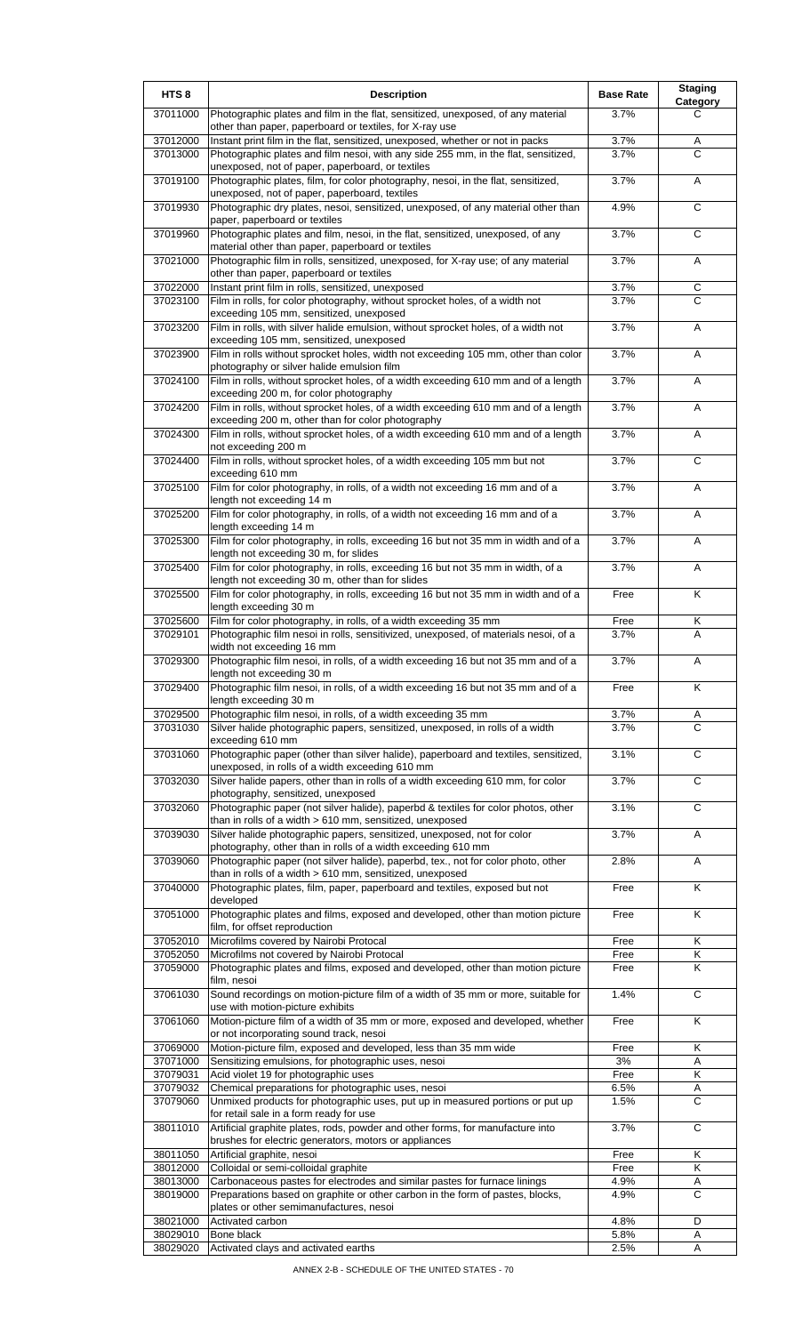| HTS <sub>8</sub>     | <b>Description</b>                                                                                                                                         | <b>Base Rate</b> | <b>Staging</b><br>Category |
|----------------------|------------------------------------------------------------------------------------------------------------------------------------------------------------|------------------|----------------------------|
| 37011000             | Photographic plates and film in the flat, sensitized, unexposed, of any material<br>other than paper, paperboard or textiles, for X-ray use                | 3.7%             | C                          |
| 37012000             | Instant print film in the flat, sensitized, unexposed, whether or not in packs                                                                             | 3.7%             | Α                          |
| 37013000             | Photographic plates and film nesoi, with any side 255 mm, in the flat, sensitized,<br>unexposed, not of paper, paperboard, or textiles                     | 3.7%             | C                          |
| 37019100             | Photographic plates, film, for color photography, nesoi, in the flat, sensitized,<br>unexposed, not of paper, paperboard, textiles                         | 3.7%             | Α                          |
| 37019930             | Photographic dry plates, nesoi, sensitized, unexposed, of any material other than<br>paper, paperboard or textiles                                         | 4.9%             | C                          |
| 37019960             | Photographic plates and film, nesoi, in the flat, sensitized, unexposed, of any<br>material other than paper, paperboard or textiles                       | 3.7%             | C                          |
| 37021000             | Photographic film in rolls, sensitized, unexposed, for X-ray use; of any material<br>other than paper, paperboard or textiles                              | 3.7%             | A                          |
| 37022000<br>37023100 | Instant print film in rolls, sensitized, unexposed<br>Film in rolls, for color photography, without sprocket holes, of a width not                         | 3.7%<br>3.7%     | $\mathsf C$<br>C           |
| 37023200             | exceeding 105 mm, sensitized, unexposed<br>Film in rolls, with silver halide emulsion, without sprocket holes, of a width not                              | 3.7%             | Α                          |
| 37023900             | exceeding 105 mm, sensitized, unexposed<br>Film in rolls without sprocket holes, width not exceeding 105 mm, other than color                              | 3.7%             | Α                          |
| 37024100             | photography or silver halide emulsion film<br>Film in rolls, without sprocket holes, of a width exceeding 610 mm and of a length                           | 3.7%             | Α                          |
| 37024200             | exceeding 200 m, for color photography<br>Film in rolls, without sprocket holes, of a width exceeding 610 mm and of a length                               | 3.7%             | A                          |
|                      | exceeding 200 m, other than for color photography                                                                                                          |                  |                            |
| 37024300             | Film in rolls, without sprocket holes, of a width exceeding 610 mm and of a length<br>not exceeding 200 m                                                  | 3.7%             | Α                          |
| 37024400             | Film in rolls, without sprocket holes, of a width exceeding 105 mm but not<br>exceeding 610 mm                                                             | 3.7%             | C                          |
| 37025100             | Film for color photography, in rolls, of a width not exceeding 16 mm and of a<br>length not exceeding 14 m                                                 | 3.7%             | Α                          |
| 37025200             | Film for color photography, in rolls, of a width not exceeding 16 mm and of a<br>length exceeding 14 m                                                     | 3.7%             | Α                          |
| 37025300             | Film for color photography, in rolls, exceeding 16 but not 35 mm in width and of a<br>length not exceeding 30 m, for slides                                | 3.7%             | A                          |
| 37025400             | Film for color photography, in rolls, exceeding 16 but not 35 mm in width, of a<br>length not exceeding 30 m, other than for slides                        | 3.7%             | Α                          |
| 37025500             | Film for color photography, in rolls, exceeding 16 but not 35 mm in width and of a<br>length exceeding 30 m                                                | Free             | K                          |
| 37025600             | Film for color photography, in rolls, of a width exceeding 35 mm                                                                                           | Free             | Κ                          |
| 37029101             | Photographic film nesoi in rolls, sensitivized, unexposed, of materials nesoi, of a<br>width not exceeding 16 mm                                           | 3.7%             | Α                          |
| 37029300             | Photographic film nesoi, in rolls, of a width exceeding 16 but not 35 mm and of a<br>length not exceeding 30 m                                             | 3.7%             | Α                          |
| 37029400             | Photographic film nesoi, in rolls, of a width exceeding 16 but not 35 mm and of a<br>length exceeding 30 m                                                 | Free             | Κ                          |
| 37029500             | Photographic film nesoi, in rolls, of a width exceeding 35 mm                                                                                              | 3.7%             | Α                          |
| 37031030             | Silver halide photographic papers, sensitized, unexposed, in rolls of a width<br>exceeding 610 mm                                                          | 3.7%             | C                          |
| 37031060             | Photographic paper (other than silver halide), paperboard and textiles, sensitized,<br>unexposed, in rolls of a width exceeding 610 mm                     | 3.1%             | C                          |
| 37032030             | Silver halide papers, other than in rolls of a width exceeding 610 mm, for color<br>photography, sensitized, unexposed                                     | 3.7%             | C                          |
| 37032060             | Photographic paper (not silver halide), paperbd & textiles for color photos, other<br>than in rolls of a width > 610 mm, sensitized, unexposed             | 3.1%             | C                          |
| 37039030             | Silver halide photographic papers, sensitized, unexposed, not for color<br>photography, other than in rolls of a width exceeding 610 mm                    | 3.7%             | Α                          |
| 37039060             | Photographic paper (not silver halide), paperbd, tex., not for color photo, other<br>than in rolls of a width > 610 mm, sensitized, unexposed              | 2.8%             | Α                          |
| 37040000             | Photographic plates, film, paper, paperboard and textiles, exposed but not<br>developed                                                                    | Free             | K                          |
| 37051000             | Photographic plates and films, exposed and developed, other than motion picture<br>film, for offset reproduction                                           | Free             | Κ                          |
| 37052010             | Microfilms covered by Nairobi Protocal                                                                                                                     | Free             | Κ                          |
| 37052050<br>37059000 | Microfilms not covered by Nairobi Protocal<br>Photographic plates and films, exposed and developed, other than motion picture                              | Free<br>Free     | Κ<br>Κ                     |
| 37061030             | film, nesoi<br>Sound recordings on motion-picture film of a width of 35 mm or more, suitable for                                                           | 1.4%             | $\overline{c}$             |
| 37061060             | use with motion-picture exhibits<br>Motion-picture film of a width of 35 mm or more, exposed and developed, whether                                        | Free             | K                          |
| 37069000             | or not incorporating sound track, nesoi<br>Motion-picture film, exposed and developed, less than 35 mm wide                                                | Free             | Κ                          |
| 37071000             | Sensitizing emulsions, for photographic uses, nesoi                                                                                                        | 3%               | A                          |
| 37079031             | Acid violet 19 for photographic uses                                                                                                                       | Free             | Κ                          |
| 37079032<br>37079060 | Chemical preparations for photographic uses, nesoi<br>Unmixed products for photographic uses, put up in measured portions or put up                        | 6.5%<br>1.5%     | Α<br>$\overline{C}$        |
| 38011010             | for retail sale in a form ready for use<br>Artificial graphite plates, rods, powder and other forms, for manufacture into                                  | 3.7%             | C                          |
| 38011050             | brushes for electric generators, motors or appliances<br>Artificial graphite, nesoi                                                                        | Free             | K                          |
| 38012000             | Colloidal or semi-colloidal graphite                                                                                                                       | Free             | Κ                          |
| 38013000<br>38019000 | Carbonaceous pastes for electrodes and similar pastes for furnace linings<br>Preparations based on graphite or other carbon in the form of pastes, blocks, | 4.9%<br>4.9%     | Α<br>C                     |
| 38021000             | plates or other semimanufactures, nesoi<br>Activated carbon                                                                                                | 4.8%             | D                          |
| 38029010             | Bone black                                                                                                                                                 | 5.8%             | Α                          |
| 38029020             | Activated clays and activated earths                                                                                                                       | 2.5%             | Α                          |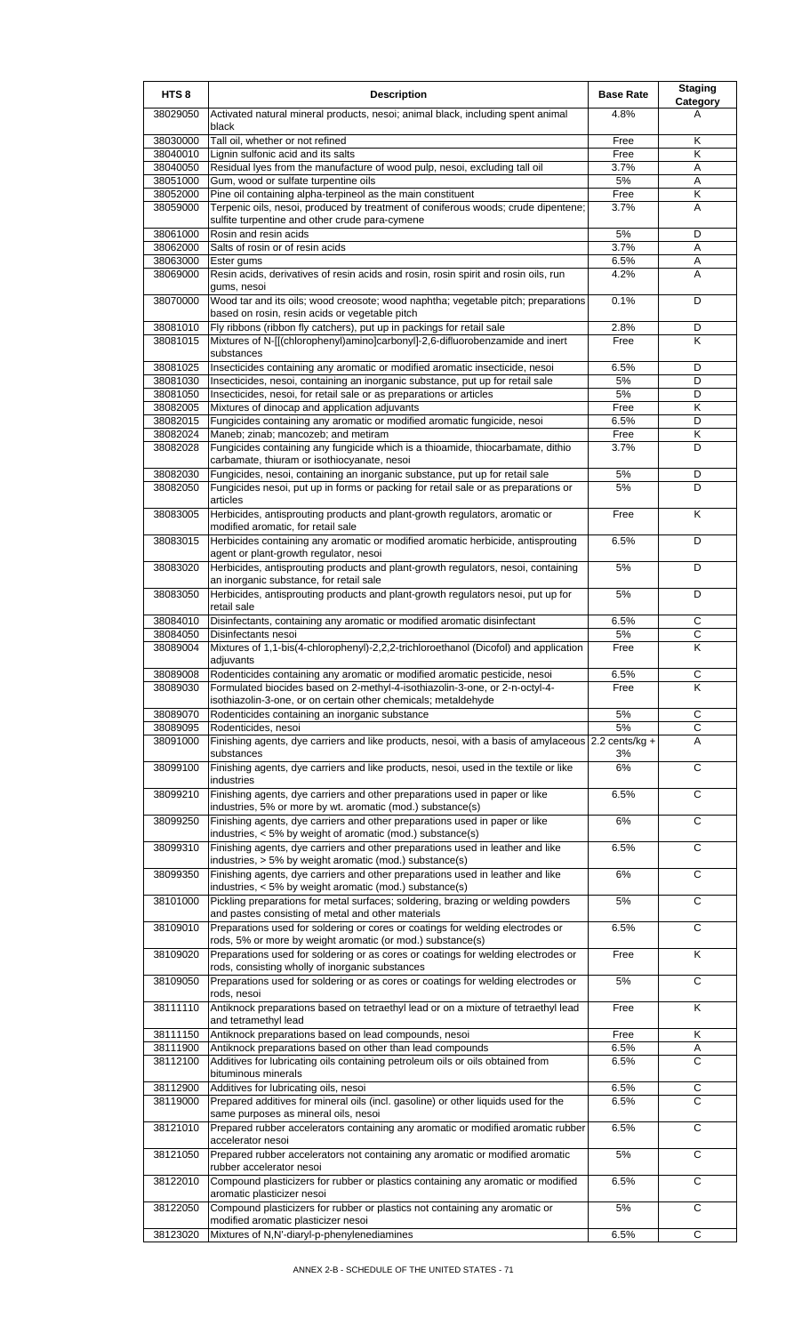| HTS <sub>8</sub>     | <b>Description</b>                                                                                                                               | <b>Base Rate</b>       | <b>Staging</b><br><b>Category</b> |
|----------------------|--------------------------------------------------------------------------------------------------------------------------------------------------|------------------------|-----------------------------------|
| 38029050             | Activated natural mineral products, nesoi; animal black, including spent animal<br>black                                                         | 4.8%                   | A                                 |
| 38030000             | Tall oil, whether or not refined                                                                                                                 | Free                   | Κ                                 |
| 38040010             | Lignin sulfonic acid and its salts                                                                                                               | Free                   | Κ                                 |
| 38040050             | Residual lyes from the manufacture of wood pulp, nesoi, excluding tall oil                                                                       | 3.7%                   | Α                                 |
| 38051000             | Gum, wood or sulfate turpentine oils                                                                                                             | 5%                     | A                                 |
| 38052000             | Pine oil containing alpha-terpineol as the main constituent                                                                                      | Free                   | Κ                                 |
| 38059000             | Terpenic oils, nesoi, produced by treatment of coniferous woods; crude dipentene;<br>sulfite turpentine and other crude para-cymene              | 3.7%                   | A                                 |
| 38061000             | Rosin and resin acids                                                                                                                            | 5%                     | D                                 |
| 38062000             | Salts of rosin or of resin acids                                                                                                                 | 3.7%                   | Α                                 |
| 38063000<br>38069000 | Ester gums<br>Resin acids, derivatives of resin acids and rosin, rosin spirit and rosin oils, run<br>gums, nesoi                                 | 6.5%<br>4.2%           | Α<br>A                            |
| 38070000             | Wood tar and its oils; wood creosote; wood naphtha; vegetable pitch; preparations<br>based on rosin, resin acids or vegetable pitch              | 0.1%                   | D                                 |
| 38081010             | Fly ribbons (ribbon fly catchers), put up in packings for retail sale                                                                            | 2.8%                   | D                                 |
| 38081015             | Mixtures of N-[[(chlorophenyl)amino]carbonyl]-2,6-difluorobenzamide and inert<br>substances                                                      | Free                   | Κ                                 |
| 38081025             | Insecticides containing any aromatic or modified aromatic insecticide, nesoi                                                                     | 6.5%                   | D                                 |
| 38081030             | Insecticides, nesoi, containing an inorganic substance, put up for retail sale                                                                   | 5%                     | D                                 |
| 38081050             | Insecticides, nesoi, for retail sale or as preparations or articles                                                                              | 5%                     | D                                 |
| 38082005             | Mixtures of dinocap and application adjuvants                                                                                                    | Free                   | Κ                                 |
| 38082015             | Fungicides containing any aromatic or modified aromatic fungicide, nesoi                                                                         | 6.5%                   | D                                 |
| 38082024<br>38082028 | Maneb; zinab; mancozeb; and metiram<br>Fungicides containing any fungicide which is a thioamide, thiocarbamate, dithio                           | Free<br>3.7%           | Κ<br>D                            |
| 38082030             | carbamate, thiuram or isothiocyanate, nesoi<br>Fungicides, nesoi, containing an inorganic substance, put up for retail sale                      | 5%                     | D                                 |
| 38082050             | Fungicides nesoi, put up in forms or packing for retail sale or as preparations or                                                               | 5%                     | D                                 |
|                      | articles                                                                                                                                         |                        |                                   |
| 38083005             | Herbicides, antisprouting products and plant-growth regulators, aromatic or<br>modified aromatic, for retail sale                                | Free                   | K                                 |
| 38083015             | Herbicides containing any aromatic or modified aromatic herbicide, antisprouting<br>agent or plant-growth regulator, nesoi                       | 6.5%                   | D                                 |
| 38083020             | Herbicides, antisprouting products and plant-growth regulators, nesoi, containing<br>an inorganic substance, for retail sale                     | 5%                     | D                                 |
| 38083050             | Herbicides, antisprouting products and plant-growth regulators nesoi, put up for<br>retail sale                                                  | 5%                     | D                                 |
| 38084010             | Disinfectants, containing any aromatic or modified aromatic disinfectant                                                                         | 6.5%                   | С                                 |
| 38084050<br>38089004 | Disinfectants nesoi<br>Mixtures of 1,1-bis(4-chlorophenyl)-2,2,2-trichloroethanol (Dicofol) and application                                      | 5%<br>Free             | $\overline{C}$<br>K               |
|                      | adjuvants                                                                                                                                        |                        |                                   |
| 38089008             | Rodenticides containing any aromatic or modified aromatic pesticide, nesoi                                                                       | 6.5%                   |                                   |
| 38089030             | Formulated biocides based on 2-methyl-4-isothiazolin-3-one, or 2-n-octyl-4-<br>isothiazolin-3-one, or on certain other chemicals; metaldehyde    | Free                   | Κ                                 |
| 38089070             | Rodenticides containing an inorganic substance                                                                                                   | 5%                     | C                                 |
| 38089095             | Rodenticides, nesoi                                                                                                                              | 5%                     | $\overline{c}$                    |
| 38091000             | Finishing agents, dye carriers and like products, nesoi, with a basis of amylaceous<br>substances                                                | $2.2$ cents/kg +<br>3% | Α                                 |
| 38099100             | Finishing agents, dye carriers and like products, nesoi, used in the textile or like<br>industries                                               | 6%                     | C                                 |
| 38099210             | Finishing agents, dye carriers and other preparations used in paper or like<br>industries, 5% or more by wt. aromatic (mod.) substance(s)        | 6.5%                   | C                                 |
| 38099250             | Finishing agents, dye carriers and other preparations used in paper or like<br>industries, < 5% by weight of aromatic (mod.) substance(s)        | 6%                     | $\overline{c}$                    |
| 38099310             | Finishing agents, dye carriers and other preparations used in leather and like<br>industries, > 5% by weight aromatic (mod.) substance(s)        | 6.5%                   | $\overline{C}$                    |
| 38099350             | Finishing agents, dye carriers and other preparations used in leather and like<br>industries, < 5% by weight aromatic (mod.) substance(s)        | 6%                     | C                                 |
| 38101000             | Pickling preparations for metal surfaces; soldering, brazing or welding powders<br>and pastes consisting of metal and other materials            | 5%                     | C                                 |
| 38109010             | Preparations used for soldering or cores or coatings for welding electrodes or<br>rods, 5% or more by weight aromatic (or mod.) substance(s)     | 6.5%                   | C                                 |
| 38109020             | Preparations used for soldering or as cores or coatings for welding electrodes or<br>rods, consisting wholly of inorganic substances             | Free                   | Κ                                 |
| 38109050             | Preparations used for soldering or as cores or coatings for welding electrodes or<br>rods, nesoi                                                 | 5%                     | $\overline{c}$                    |
| 38111110             | Antiknock preparations based on tetraethyl lead or on a mixture of tetraethyl lead<br>and tetramethyl lead                                       | Free                   | K                                 |
| 38111150             | Antiknock preparations based on lead compounds, nesoi                                                                                            | Free                   | Κ                                 |
| 38111900<br>38112100 | Antiknock preparations based on other than lead compounds<br>Additives for lubricating oils containing petroleum oils or oils obtained from      | 6.5%<br>6.5%           | A<br>$\overline{c}$               |
|                      | bituminous minerals                                                                                                                              |                        |                                   |
| 38112900<br>38119000 | Additives for lubricating oils, nesoi<br>Prepared additives for mineral oils (incl. gasoline) or other liquids used for the                      | 6.5%<br>6.5%           | С<br>C                            |
| 38121010             | same purposes as mineral oils, nesoi<br>Prepared rubber accelerators containing any aromatic or modified aromatic rubber                         | 6.5%                   | C                                 |
| 38121050             | accelerator nesoi<br>Prepared rubber accelerators not containing any aromatic or modified aromatic                                               | 5%                     | $\overline{c}$                    |
| 38122010             | rubber accelerator nesoi<br>Compound plasticizers for rubber or plastics containing any aromatic or modified                                     | 6.5%                   | $\overline{c}$                    |
| 38122050             | aromatic plasticizer nesoi<br>Compound plasticizers for rubber or plastics not containing any aromatic or<br>modified aromatic plasticizer nesoi | 5%                     | C                                 |
| 38123020             | Mixtures of N,N'-diaryl-p-phenylenediamines                                                                                                      | 6.5%                   | C                                 |
|                      |                                                                                                                                                  |                        |                                   |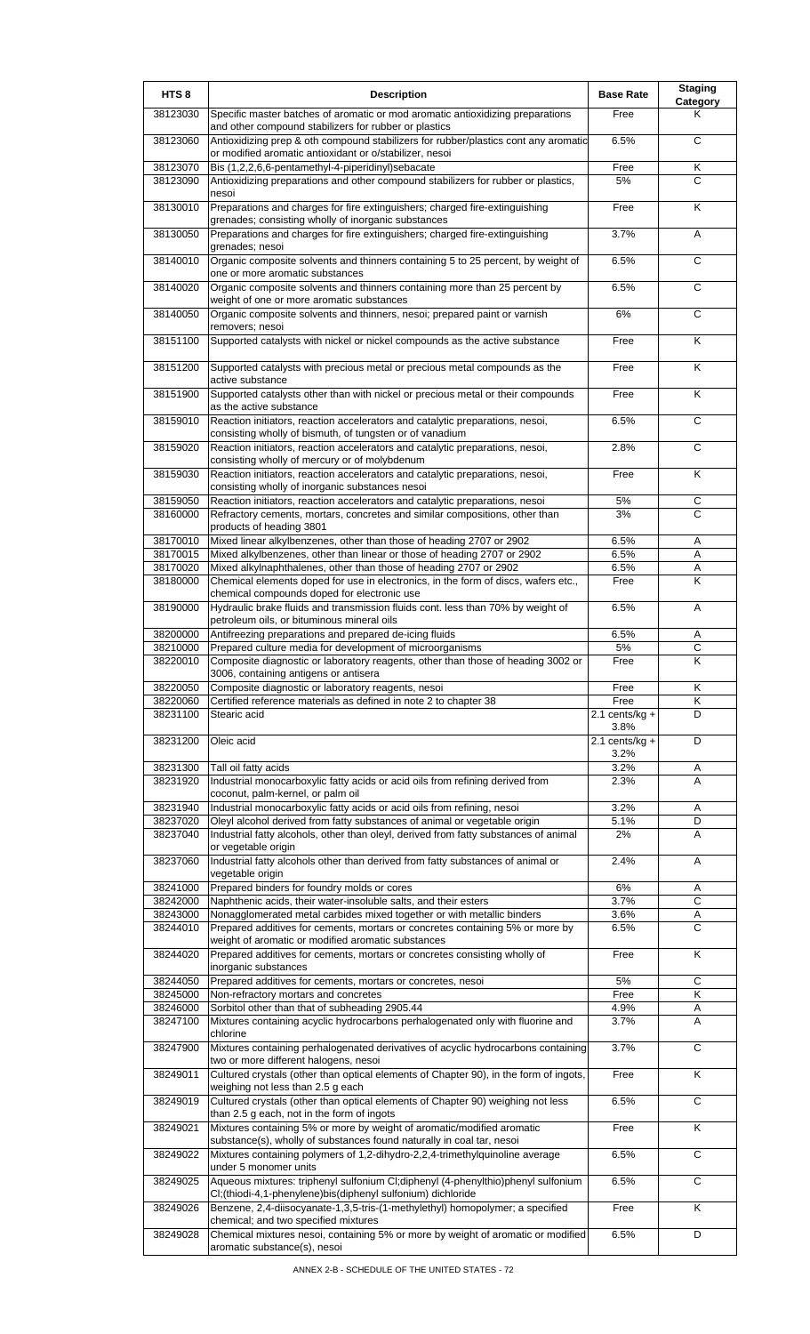| HTS <sub>8</sub>     | <b>Description</b>                                                                                                                                   | <b>Base Rate</b>          | <b>Staging</b><br>Category |
|----------------------|------------------------------------------------------------------------------------------------------------------------------------------------------|---------------------------|----------------------------|
| 38123030             | Specific master batches of aromatic or mod aromatic antioxidizing preparations<br>and other compound stabilizers for rubber or plastics              | Free                      | Κ                          |
| 38123060             | Antioxidizing prep & oth compound stabilizers for rubber/plastics cont any aromatic<br>or modified aromatic antioxidant or o/stabilizer, nesoi       | 6.5%                      | C                          |
| 38123070             | Bis (1,2,2,6,6-pentamethyl-4-piperidinyl)sebacate                                                                                                    | Free                      | Κ                          |
| 38123090             | Antioxidizing preparations and other compound stabilizers for rubber or plastics,<br>nesoi                                                           | 5%                        | C                          |
| 38130010             | Preparations and charges for fire extinguishers; charged fire-extinguishing<br>grenades; consisting wholly of inorganic substances                   | Free                      | K                          |
| 38130050             | Preparations and charges for fire extinguishers; charged fire-extinguishing<br>grenades; nesoi                                                       | 3.7%                      | A                          |
| 38140010             | Organic composite solvents and thinners containing 5 to 25 percent, by weight of<br>one or more aromatic substances                                  | 6.5%                      | $\mathsf{C}$               |
| 38140020             | Organic composite solvents and thinners containing more than 25 percent by<br>weight of one or more aromatic substances                              | 6.5%                      | C                          |
| 38140050             | Organic composite solvents and thinners, nesoi; prepared paint or varnish<br>removers; nesoi                                                         | 6%                        | C                          |
| 38151100             | Supported catalysts with nickel or nickel compounds as the active substance                                                                          | Free                      | K                          |
| 38151200             | Supported catalysts with precious metal or precious metal compounds as the<br>active substance                                                       | Free                      | Κ                          |
| 38151900             | Supported catalysts other than with nickel or precious metal or their compounds<br>as the active substance                                           | Free                      | $\overline{\mathsf{K}}$    |
| 38159010             | Reaction initiators, reaction accelerators and catalytic preparations, nesoi,<br>consisting wholly of bismuth, of tungsten or of vanadium            | 6.5%                      | C                          |
| 38159020             | Reaction initiators, reaction accelerators and catalytic preparations, nesoi,<br>consisting wholly of mercury or of molybdenum                       | 2.8%                      | C                          |
| 38159030             | Reaction initiators, reaction accelerators and catalytic preparations, nesoi,<br>consisting wholly of inorganic substances nesoi                     | Free                      | K                          |
| 38159050             | Reaction initiators, reaction accelerators and catalytic preparations, nesoi                                                                         | 5%                        | C                          |
| 38160000             | Refractory cements, mortars, concretes and similar compositions, other than<br>products of heading 3801                                              | 3%                        | C                          |
| 38170010             | Mixed linear alkylbenzenes, other than those of heading 2707 or 2902                                                                                 | 6.5%                      | Α                          |
| 38170015             | Mixed alkylbenzenes, other than linear or those of heading 2707 or 2902                                                                              | 6.5%                      | Α                          |
| 38170020             | Mixed alkylnaphthalenes, other than those of heading 2707 or 2902                                                                                    | 6.5%                      | Α<br>Κ                     |
| 38180000             | Chemical elements doped for use in electronics, in the form of discs, wafers etc.,<br>chemical compounds doped for electronic use                    | Free<br>6.5%              | A                          |
| 38190000             | Hydraulic brake fluids and transmission fluids cont. less than 70% by weight of<br>petroleum oils, or bituminous mineral oils                        |                           |                            |
| 38200000<br>38210000 | Antifreezing preparations and prepared de-icing fluids<br>Prepared culture media for development of microorganisms                                   | 6.5%<br>5%                | Α<br>C                     |
| 38220010             | Composite diagnostic or laboratory reagents, other than those of heading 3002 or                                                                     | Free                      | K                          |
|                      | 3006, containing antigens or antisera                                                                                                                |                           |                            |
| 38220050             | Composite diagnostic or laboratory reagents, nesoi                                                                                                   | Free                      | Κ                          |
| 38220060             | Certified reference materials as defined in note 2 to chapter 38                                                                                     | Free                      | K                          |
| 38231100             | Stearic acid                                                                                                                                         | $2.1$ cents/kg +<br>3.8%  | D                          |
| 38231200             | Oleic acid                                                                                                                                           | 2.1 cents/ $kg +$<br>3.2% | D                          |
| 38231300             | Tall oil fatty acids                                                                                                                                 | 3.2%                      | Α                          |
| 38231920             | Industrial monocarboxylic fatty acids or acid oils from refining derived from<br>coconut, palm-kernel, or palm oil                                   | 2.3%                      | A                          |
| 38231940<br>38237020 | Industrial monocarboxylic fatty acids or acid oils from refining, nesoi<br>Oleyl alcohol derived from fatty substances of animal or vegetable origin | 3.2%<br>5.1%              | Α<br>D                     |
| 38237040             | Industrial fatty alcohols, other than oleyl, derived from fatty substances of animal<br>or vegetable origin                                          | 2%                        | Α                          |
| 38237060             | Industrial fatty alcohols other than derived from fatty substances of animal or                                                                      | 2.4%                      | A                          |
| 38241000             | vegetable origin<br>Prepared binders for foundry molds or cores                                                                                      | 6%                        | Α                          |
| 38242000             | Naphthenic acids, their water-insoluble salts, and their esters                                                                                      | 3.7%                      | $\mathsf{C}$               |
| 38243000             | Nonagglomerated metal carbides mixed together or with metallic binders                                                                               | 3.6%                      | Α                          |
| 38244010             | Prepared additives for cements, mortars or concretes containing 5% or more by<br>weight of aromatic or modified aromatic substances                  | 6.5%                      | $\overline{C}$             |
| 38244020             | Prepared additives for cements, mortars or concretes consisting wholly of<br>inorganic substances                                                    | Free                      | K                          |
| 38244050             | Prepared additives for cements, mortars or concretes, nesoi                                                                                          | 5%                        | C                          |
| 38245000             | Non-refractory mortars and concretes                                                                                                                 | Free                      | Κ                          |
| 38246000<br>38247100 | Sorbitol other than that of subheading 2905.44<br>Mixtures containing acyclic hydrocarbons perhalogenated only with fluorine and                     | 4.9%<br>3.7%              | A<br>A                     |
| 38247900             | chlorine<br>Mixtures containing perhalogenated derivatives of acyclic hydrocarbons containing                                                        | 3.7%                      | C                          |
|                      | two or more different halogens, nesoi                                                                                                                |                           |                            |
| 38249011             | Cultured crystals (other than optical elements of Chapter 90), in the form of ingots,<br>weighing not less than 2.5 g each                           | Free                      | Κ                          |
| 38249019             | Cultured crystals (other than optical elements of Chapter 90) weighing not less<br>than 2.5 g each, not in the form of ingots                        | 6.5%                      | C                          |
| 38249021             | Mixtures containing 5% or more by weight of aromatic/modified aromatic<br>substance(s), wholly of substances found naturally in coal tar, nesoi      | Free                      | K                          |
| 38249022             | Mixtures containing polymers of 1,2-dihydro-2,2,4-trimethylquinoline average<br>under 5 monomer units                                                | 6.5%                      | $\overline{c}$             |
| 38249025             | Aqueous mixtures: triphenyl sulfonium Cl;diphenyl (4-phenylthio)phenyl sulfonium<br>CI; (thiodi-4,1-phenylene) bis (diphenyl sulfonium) dichloride   | 6.5%                      | $\overline{c}$             |
| 38249026             | Benzene, 2,4-diisocyanate-1,3,5-tris-(1-methylethyl) homopolymer; a specified<br>chemical; and two specified mixtures                                | Free                      | K                          |
| 38249028             | Chemical mixtures nesoi, containing 5% or more by weight of aromatic or modified<br>aromatic substance(s), nesoi                                     | 6.5%                      | D                          |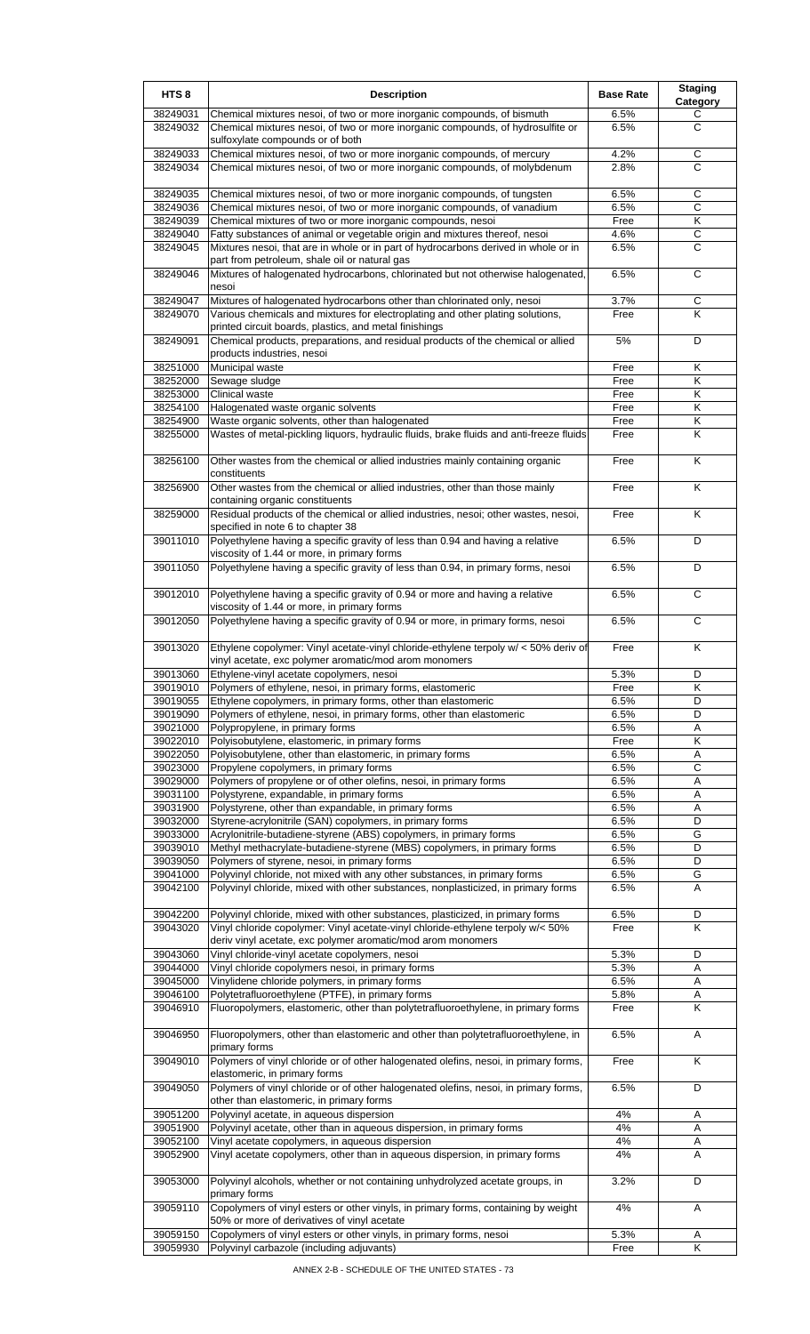| HTS <sub>8</sub>     | <b>Description</b>                                                                                                                           | <b>Base Rate</b> | <b>Staging</b><br>Category |
|----------------------|----------------------------------------------------------------------------------------------------------------------------------------------|------------------|----------------------------|
| 38249031             | Chemical mixtures nesoi, of two or more inorganic compounds, of bismuth                                                                      | 6.5%             | С                          |
| 38249032             | Chemical mixtures nesoi, of two or more inorganic compounds, of hydrosulfite or                                                              | 6.5%             | С                          |
| 38249033             | sulfoxylate compounds or of both<br>Chemical mixtures nesoi, of two or more inorganic compounds, of mercury                                  | 4.2%             | C                          |
| 38249034             | Chemical mixtures nesoi, of two or more inorganic compounds, of molybdenum                                                                   | 2.8%             | C                          |
|                      |                                                                                                                                              |                  |                            |
| 38249035             | Chemical mixtures nesoi, of two or more inorganic compounds, of tungsten                                                                     | 6.5%             | C                          |
| 38249036             | Chemical mixtures nesoi, of two or more inorganic compounds, of vanadium                                                                     | 6.5%             | С                          |
| 38249039<br>38249040 | Chemical mixtures of two or more inorganic compounds, nesoi<br>Fatty substances of animal or vegetable origin and mixtures thereof, nesoi    | Free<br>4.6%     | Κ<br>$\overline{C}$        |
| 38249045             | Mixtures nesoi, that are in whole or in part of hydrocarbons derived in whole or in                                                          | 6.5%             | С                          |
|                      | part from petroleum, shale oil or natural gas                                                                                                |                  |                            |
| 38249046             | Mixtures of halogenated hydrocarbons, chlorinated but not otherwise halogenated,<br>nesoi                                                    | 6.5%             | C                          |
| 38249047             | Mixtures of halogenated hydrocarbons other than chlorinated only, nesoi                                                                      | 3.7%             | C                          |
| 38249070             | Various chemicals and mixtures for electroplating and other plating solutions,                                                               | Free             | ĸ                          |
|                      | printed circuit boards, plastics, and metal finishings                                                                                       |                  |                            |
| 38249091             | Chemical products, preparations, and residual products of the chemical or allied<br>products industries, nesoi                               | 5%               | D                          |
| 38251000             | Municipal waste                                                                                                                              | Free             | Κ                          |
| 38252000             | Sewage sludge                                                                                                                                | Free             | Κ                          |
| 38253000             | Clinical waste                                                                                                                               | Free             | $\overline{\mathsf{K}}$    |
| 38254100             | Halogenated waste organic solvents                                                                                                           | Free             | Κ                          |
| 38254900<br>38255000 | Waste organic solvents, other than halogenated<br>Wastes of metal-pickling liquors, hydraulic fluids, brake fluids and anti-freeze fluids    | Free<br>Free     | Κ<br>K                     |
|                      |                                                                                                                                              |                  |                            |
| 38256100             | Other wastes from the chemical or allied industries mainly containing organic<br>constituents                                                | Free             | Κ                          |
| 38256900             | Other wastes from the chemical or allied industries, other than those mainly                                                                 | Free             | K                          |
| 38259000             | containing organic constituents<br>Residual products of the chemical or allied industries, nesoi; other wastes, nesoi,                       | Free             | K                          |
| 39011010             | specified in note 6 to chapter 38<br>Polyethylene having a specific gravity of less than 0.94 and having a relative                          | 6.5%             | D                          |
| 39011050             | viscosity of 1.44 or more, in primary forms<br>Polyethylene having a specific gravity of less than 0.94, in primary forms, nesoi             | 6.5%             | D                          |
|                      |                                                                                                                                              |                  |                            |
| 39012010             | Polyethylene having a specific gravity of 0.94 or more and having a relative<br>viscosity of 1.44 or more, in primary forms                  | 6.5%             | C                          |
| 39012050             | Polyethylene having a specific gravity of 0.94 or more, in primary forms, nesoi                                                              | 6.5%             | C                          |
| 39013020             | Ethylene copolymer: Vinyl acetate-vinyl chloride-ethylene terpoly w/ < 50% deriv of<br>vinyl acetate, exc polymer aromatic/mod arom monomers | Free             | Κ                          |
| 39013060             | Ethylene-vinyl acetate copolymers, nesoi                                                                                                     | 5.3%             | D                          |
| 39019010             | Polymers of ethylene, nesoi, in primary forms, elastomeric                                                                                   | Free             | K                          |
| 39019055             | Ethylene copolymers, in primary forms, other than elastomeric                                                                                | 6.5%             | D                          |
| 39019090             | Polymers of ethylene, nesoi, in primary forms, other than elastomeric                                                                        | 6.5%             | D                          |
| 39021000<br>39022010 | Polypropylene, in primary forms<br>Polyisobutylene, elastomeric, in primary forms                                                            | 6.5%<br>Free     | Α<br>Κ                     |
| 39022050             | Polyisobutylene, other than elastomeric, in primary forms                                                                                    | 6.5%             | Α                          |
| 39023000             | Propylene copolymers, in primary forms                                                                                                       | 6.5%             | C                          |
| 39029000             | Polymers of propylene or of other olefins, nesoi, in primary forms                                                                           | 6.5%             | Α                          |
| 39031100             | Polystyrene, expandable, in primary forms                                                                                                    | 6.5%             | Α                          |
| 39031900             | Polystyrene, other than expandable, in primary forms                                                                                         | 6.5%             | Α                          |
| 39032000<br>39033000 | Styrene-acrylonitrile (SAN) copolymers, in primary forms<br>Acrylonitrile-butadiene-styrene (ABS) copolymers, in primary forms               | 6.5%<br>6.5%     | D<br>G                     |
| 39039010             | Methyl methacrylate-butadiene-styrene (MBS) copolymers, in primary forms                                                                     | 6.5%             | D                          |
| 39039050             | Polymers of styrene, nesoi, in primary forms                                                                                                 | 6.5%             | D                          |
| 39041000             | Polyvinyl chloride, not mixed with any other substances, in primary forms                                                                    | 6.5%             | G                          |
| 39042100             | Polyvinyl chloride, mixed with other substances, nonplasticized, in primary forms                                                            | 6.5%             | A                          |
| 39042200             | Polyvinyl chloride, mixed with other substances, plasticized, in primary forms                                                               | 6.5%             | D                          |
| 39043020             | Vinyl chloride copolymer: Vinyl acetate-vinyl chloride-ethylene terpoly w/< 50%                                                              | Free             | Κ                          |
| 39043060             | deriv vinyl acetate, exc polymer aromatic/mod arom monomers<br>Vinyl chloride-vinyl acetate copolymers, nesoi                                | 5.3%             | D                          |
| 39044000             | Vinyl chloride copolymers nesoi, in primary forms                                                                                            | 5.3%             | Α                          |
| 39045000             | Vinylidene chloride polymers, in primary forms                                                                                               | 6.5%             | Α                          |
| 39046100             | Polytetrafluoroethylene (PTFE), in primary forms                                                                                             | 5.8%             | Α                          |
| 39046910             | Fluoropolymers, elastomeric, other than polytetrafluoroethylene, in primary forms                                                            | Free             | Κ                          |
| 39046950             | Fluoropolymers, other than elastomeric and other than polytetrafluoroethylene, in<br>primary forms                                           | 6.5%             | Α                          |
| 39049010             | Polymers of vinyl chloride or of other halogenated olefins, nesoi, in primary forms,                                                         | Free             | Κ                          |
| 39049050             | elastomeric, in primary forms<br>Polymers of vinyl chloride or of other halogenated olefins, nesoi, in primary forms,                        | 6.5%             | D                          |
| 39051200             | other than elastomeric, in primary forms<br>Polyvinyl acetate, in aqueous dispersion                                                         | 4%               | Α                          |
| 39051900             | Polyvinyl acetate, other than in aqueous dispersion, in primary forms                                                                        | 4%               | Α                          |
| 39052100             | Vinyl acetate copolymers, in aqueous dispersion                                                                                              | 4%               | Α                          |
| 39052900             | Vinyl acetate copolymers, other than in aqueous dispersion, in primary forms                                                                 | 4%               | A                          |
| 39053000             | Polyvinyl alcohols, whether or not containing unhydrolyzed acetate groups, in<br>primary forms                                               | 3.2%             | D                          |
| 39059110             | Copolymers of vinyl esters or other vinyls, in primary forms, containing by weight<br>50% or more of derivatives of vinyl acetate            | 4%               | Α                          |
| 39059150             | Copolymers of vinyl esters or other vinyls, in primary forms, nesoi                                                                          | 5.3%             | Α                          |
| 39059930             | Polyvinyl carbazole (including adjuvants)                                                                                                    | Free             | Κ                          |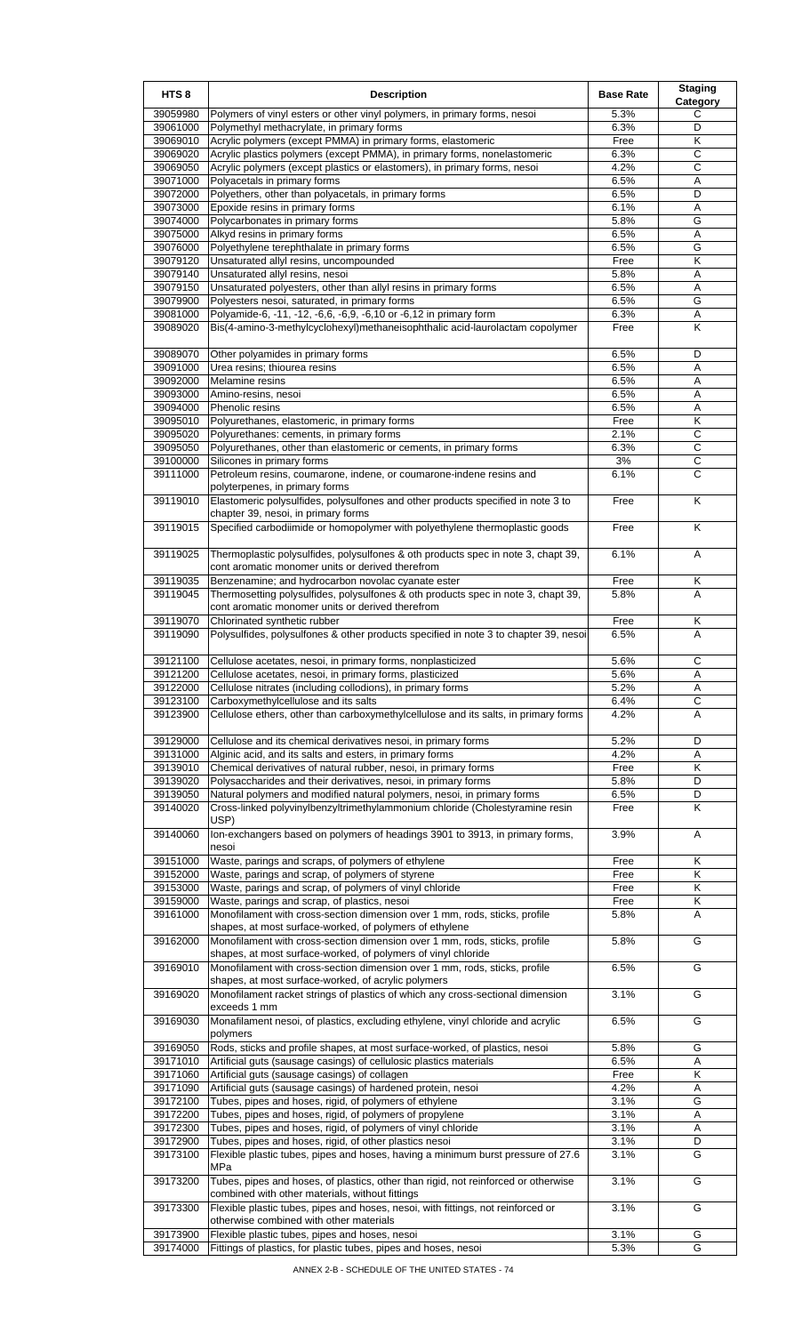| HTS <sub>8</sub>     | <b>Description</b>                                                                                                                                     | <b>Base Rate</b> | <b>Staging</b><br>Category |
|----------------------|--------------------------------------------------------------------------------------------------------------------------------------------------------|------------------|----------------------------|
| 39059980             | Polymers of vinyl esters or other vinyl polymers, in primary forms, nesoi                                                                              | 5.3%             | С                          |
| 39061000             | Polymethyl methacrylate, in primary forms                                                                                                              | 6.3%             | D                          |
| 39069010             | Acrylic polymers (except PMMA) in primary forms, elastomeric                                                                                           | Free             | Κ                          |
| 39069020<br>39069050 | Acrylic plastics polymers (except PMMA), in primary forms, nonelastomeric<br>Acrylic polymers (except plastics or elastomers), in primary forms, nesoi | 6.3%<br>4.2%     | C<br>С                     |
| 39071000             | Polyacetals in primary forms                                                                                                                           | 6.5%             | Α                          |
| 39072000             | Polyethers, other than polyacetals, in primary forms                                                                                                   | 6.5%             | D                          |
| 39073000             | Epoxide resins in primary forms                                                                                                                        | 6.1%             | Α                          |
| 39074000             | Polycarbonates in primary forms                                                                                                                        | 5.8%             | G                          |
| 39075000             | Alkyd resins in primary forms                                                                                                                          | 6.5%             | Α                          |
| 39076000             | Polyethylene terephthalate in primary forms                                                                                                            | 6.5%             | G                          |
| 39079120             | Unsaturated allyl resins, uncompounded                                                                                                                 | Free             | Κ                          |
| 39079140<br>39079150 | Unsaturated allyl resins, nesoi<br>Unsaturated polyesters, other than allyl resins in primary forms                                                    | 5.8%<br>6.5%     | Α<br>Α                     |
| 39079900             | Polyesters nesoi, saturated, in primary forms                                                                                                          | 6.5%             | G                          |
| 39081000             | Polyamide-6, -11, -12, -6,6, -6,9, -6,10 or -6,12 in primary form                                                                                      | 6.3%             | Α                          |
| 39089020             | Bis(4-amino-3-methylcyclohexyl)methaneisophthalic acid-laurolactam copolymer                                                                           | Free             | Κ                          |
| 39089070             | Other polyamides in primary forms                                                                                                                      | 6.5%             | D                          |
| 39091000             | Urea resins; thiourea resins                                                                                                                           | 6.5%             | Α                          |
| 39092000             | Melamine resins                                                                                                                                        | 6.5%             | Α                          |
| 39093000             | Amino-resins, nesoi                                                                                                                                    | 6.5%             | Α                          |
| 39094000<br>39095010 | Phenolic resins                                                                                                                                        | 6.5%<br>Free     | Α<br>Κ                     |
| 39095020             | Polyurethanes, elastomeric, in primary forms<br>Polyurethanes: cements, in primary forms                                                               | 2.1%             | C                          |
| 39095050             | Polyurethanes, other than elastomeric or cements, in primary forms                                                                                     | 6.3%             | С                          |
| 39100000             | Silicones in primary forms                                                                                                                             | 3%               | C                          |
| 39111000             | Petroleum resins, coumarone, indene, or coumarone-indene resins and<br>polyterpenes, in primary forms                                                  | 6.1%             | C                          |
| 39119010             | Elastomeric polysulfides, polysulfones and other products specified in note 3 to<br>chapter 39, nesoi, in primary forms                                | Free             | K                          |
| 39119015             | Specified carbodiimide or homopolymer with polyethylene thermoplastic goods                                                                            | Free             | Κ                          |
| 39119025             | Thermoplastic polysulfides, polysulfones & oth products spec in note 3, chapt 39,<br>cont aromatic monomer units or derived therefrom                  | 6.1%             | A                          |
| 39119035             | Benzenamine; and hydrocarbon novolac cyanate ester                                                                                                     | Free             | Κ                          |
| 39119045             | Thermosetting polysulfides, polysulfones & oth products spec in note 3, chapt 39,<br>cont aromatic monomer units or derived therefrom                  | 5.8%             | A                          |
| 39119070             | Chlorinated synthetic rubber                                                                                                                           | Free             | Κ                          |
| 39119090             | Polysulfides, polysulfones & other products specified in note 3 to chapter 39, nesoi                                                                   | 6.5%             | A                          |
| 39121100             | Cellulose acetates, nesoi, in primary forms, nonplasticized                                                                                            | 5.6%             | $\overline{C}$             |
| 39121200             | Cellulose acetates, nesoi, in primary forms, plasticized                                                                                               | 5.6%             | A                          |
| 39122000             | Cellulose nitrates (including collodions), in primary forms                                                                                            | 5.2%             | Α                          |
| 39123100             | Carboxymethylcellulose and its salts                                                                                                                   | 6.4%             | С                          |
| 39123900             | Cellulose ethers, other than carboxymethylcellulose and its salts, in primary forms                                                                    | 4.2%             | Α                          |
| 39129000             | Cellulose and its chemical derivatives nesoi, in primary forms                                                                                         | 5.2%             | D                          |
| 39131000             | Alginic acid, and its salts and esters, in primary forms                                                                                               | 4.2%             | Α                          |
| 39139010             | Chemical derivatives of natural rubber, nesoi, in primary forms                                                                                        | Free             | Κ                          |
| 39139020             | Polysaccharides and their derivatives, nesoi, in primary forms                                                                                         | 5.8%             | D                          |
| 39139050             | Natural polymers and modified natural polymers, nesoi, in primary forms                                                                                | 6.5%             | D                          |
| 39140020             | Cross-linked polyvinylbenzyltrimethylammonium chloride (Cholestyramine resin                                                                           | Free             | Κ                          |
| 39140060             | USP)<br>Ion-exchangers based on polymers of headings 3901 to 3913, in primary forms,                                                                   | 3.9%             | Α                          |
| 39151000             | nesoi<br>Waste, parings and scraps, of polymers of ethylene                                                                                            | Free             | Κ                          |
| 39152000             | Waste, parings and scrap, of polymers of styrene                                                                                                       | Free             | Κ                          |
| 39153000             | Waste, parings and scrap, of polymers of vinyl chloride                                                                                                | Free             | Κ                          |
| 39159000             | Waste, parings and scrap, of plastics, nesoi                                                                                                           | Free             | Κ                          |
| 39161000             | Monofilament with cross-section dimension over 1 mm, rods, sticks, profile<br>shapes, at most surface-worked, of polymers of ethylene                  | 5.8%             | Α                          |
| 39162000             | Monofilament with cross-section dimension over 1 mm, rods, sticks, profile<br>shapes, at most surface-worked, of polymers of vinyl chloride            | 5.8%             | G                          |
| 39169010             | Monofilament with cross-section dimension over 1 mm, rods, sticks, profile<br>shapes, at most surface-worked, of acrylic polymers                      | 6.5%             | G                          |
| 39169020             | Monofilament racket strings of plastics of which any cross-sectional dimension<br>exceeds 1 mm                                                         | 3.1%             | G                          |
| 39169030             | Monafilament nesoi, of plastics, excluding ethylene, vinyl chloride and acrylic<br>polymers                                                            | 6.5%             | G                          |
| 39169050             | Rods, sticks and profile shapes, at most surface-worked, of plastics, nesoi                                                                            | 5.8%             | G                          |
| 39171010             | Artificial guts (sausage casings) of cellulosic plastics materials                                                                                     | 6.5%             | Α                          |
| 39171060             | Artificial guts (sausage casings) of collagen                                                                                                          | Free             | Κ                          |
| 39171090             | Artificial guts (sausage casings) of hardened protein, nesoi                                                                                           | 4.2%             | Α                          |
| 39172100             | Tubes, pipes and hoses, rigid, of polymers of ethylene                                                                                                 | 3.1%<br>3.1%     | G                          |
| 39172200<br>39172300 | Tubes, pipes and hoses, rigid, of polymers of propylene                                                                                                | 3.1%             | Α<br>A                     |
| 39172900             | Tubes, pipes and hoses, rigid, of polymers of vinyl chloride<br>Tubes, pipes and hoses, rigid, of other plastics nesoi                                 | 3.1%             | D                          |
| 39173100             | Flexible plastic tubes, pipes and hoses, having a minimum burst pressure of 27.6                                                                       | 3.1%             | G                          |
|                      | MPa                                                                                                                                                    |                  |                            |
| 39173200             | Tubes, pipes and hoses, of plastics, other than rigid, not reinforced or otherwise<br>combined with other materials, without fittings                  | 3.1%             | G                          |
| 39173300             | Flexible plastic tubes, pipes and hoses, nesoi, with fittings, not reinforced or<br>otherwise combined with other materials                            | 3.1%             | G                          |
| 39173900             | Flexible plastic tubes, pipes and hoses, nesoi                                                                                                         | 3.1%             | G                          |
| 39174000             | Fittings of plastics, for plastic tubes, pipes and hoses, nesoi                                                                                        | 5.3%             | G                          |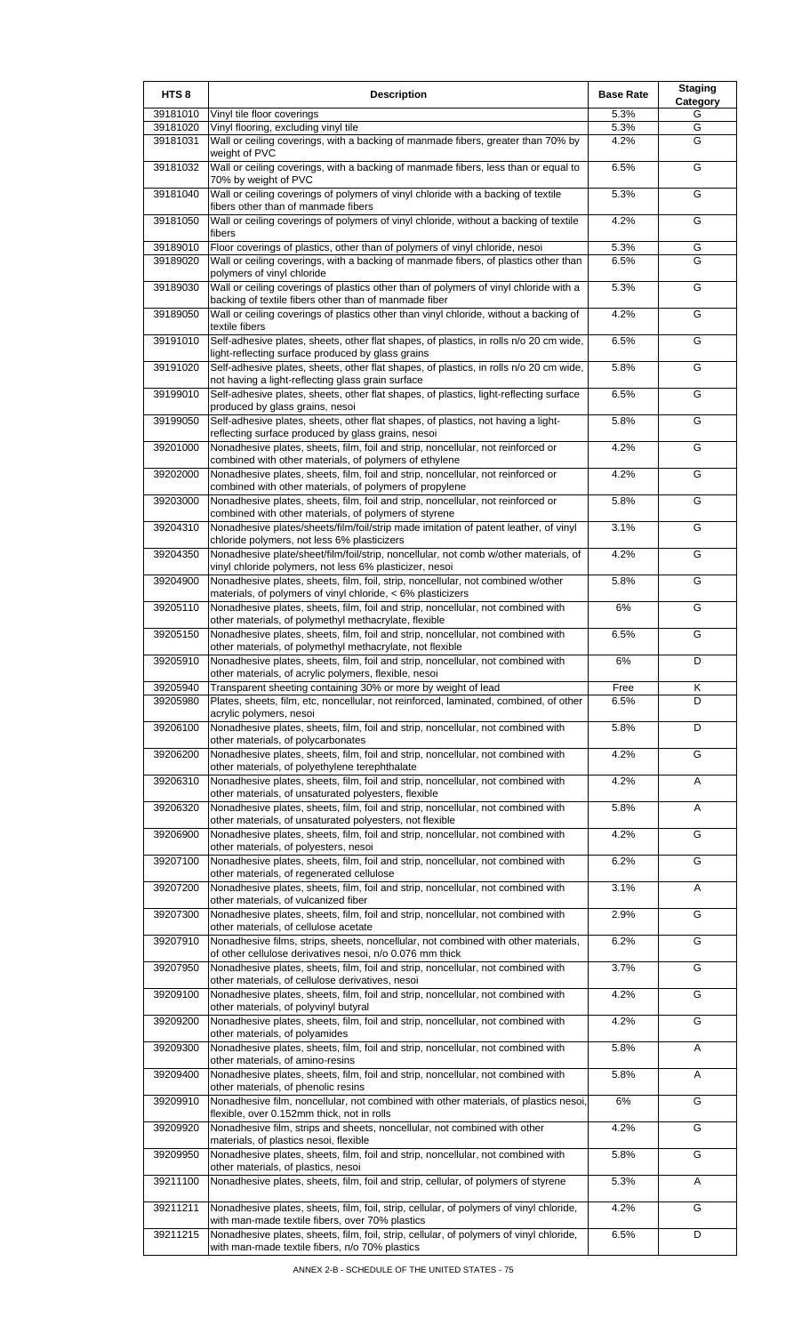| HTS <sub>8</sub>     | <b>Description</b>                                                                                                                                                                                     | <b>Base Rate</b> | <b>Staging</b><br><b>Category</b> |
|----------------------|--------------------------------------------------------------------------------------------------------------------------------------------------------------------------------------------------------|------------------|-----------------------------------|
| 39181010             | Vinyl tile floor coverings                                                                                                                                                                             | 5.3%             | G                                 |
| 39181020<br>39181031 | Vinyl flooring, excluding vinyl tile<br>Wall or ceiling coverings, with a backing of manmade fibers, greater than 70% by                                                                               | 5.3%<br>4.2%     | G<br>G                            |
|                      | weight of PVC                                                                                                                                                                                          |                  |                                   |
| 39181032             | Wall or ceiling coverings, with a backing of manmade fibers, less than or equal to<br>70% by weight of PVC                                                                                             | 6.5%             | G                                 |
| 39181040             | Wall or ceiling coverings of polymers of vinyl chloride with a backing of textile<br>fibers other than of manmade fibers                                                                               | 5.3%             | G                                 |
| 39181050             | Wall or ceiling coverings of polymers of vinyl chloride, without a backing of textile<br>fibers                                                                                                        | 4.2%             | G                                 |
| 39189010             | Floor coverings of plastics, other than of polymers of vinyl chloride, nesoi                                                                                                                           | 5.3%             | G                                 |
| 39189020             | Wall or ceiling coverings, with a backing of manmade fibers, of plastics other than<br>polymers of vinyl chloride                                                                                      | 6.5%             | G                                 |
| 39189030             | Wall or ceiling coverings of plastics other than of polymers of vinyl chloride with a<br>backing of textile fibers other than of manmade fiber                                                         | 5.3%             | G                                 |
| 39189050             | Wall or ceiling coverings of plastics other than vinyl chloride, without a backing of<br>textile fibers                                                                                                | 4.2%             | G                                 |
| 39191010             | Self-adhesive plates, sheets, other flat shapes, of plastics, in rolls n/o 20 cm wide,<br>light-reflecting surface produced by glass grains                                                            | 6.5%             | G                                 |
| 39191020             | Self-adhesive plates, sheets, other flat shapes, of plastics, in rolls n/o 20 cm wide,<br>not having a light-reflecting glass grain surface                                                            | 5.8%             | G                                 |
| 39199010             | Self-adhesive plates, sheets, other flat shapes, of plastics, light-reflecting surface<br>produced by glass grains, nesoi                                                                              | 6.5%             | G                                 |
| 39199050             | Self-adhesive plates, sheets, other flat shapes, of plastics, not having a light-<br>reflecting surface produced by glass grains, nesoi                                                                | 5.8%             | G                                 |
| 39201000             | Nonadhesive plates, sheets, film, foil and strip, noncellular, not reinforced or<br>combined with other materials, of polymers of ethylene                                                             | 4.2%             | G                                 |
| 39202000             | Nonadhesive plates, sheets, film, foil and strip, noncellular, not reinforced or<br>combined with other materials, of polymers of propylene                                                            | 4.2%             | G                                 |
| 39203000             | Nonadhesive plates, sheets, film, foil and strip, noncellular, not reinforced or<br>combined with other materials, of polymers of styrene                                                              | 5.8%             | G                                 |
| 39204310             | Nonadhesive plates/sheets/film/foil/strip made imitation of patent leather, of vinyl<br>chloride polymers, not less 6% plasticizers                                                                    | 3.1%             | G                                 |
| 39204350             | Nonadhesive plate/sheet/film/foil/strip, noncellular, not comb w/other materials, of                                                                                                                   | 4.2%             | G                                 |
| 39204900             | vinyl chloride polymers, not less 6% plasticizer, nesoi<br>Nonadhesive plates, sheets, film, foil, strip, noncellular, not combined w/other                                                            | 5.8%             | G                                 |
| 39205110             | materials, of polymers of vinyl chloride, < 6% plasticizers<br>Nonadhesive plates, sheets, film, foil and strip, noncellular, not combined with                                                        | $6\%$            | G                                 |
| 39205150             | other materials, of polymethyl methacrylate, flexible<br>Nonadhesive plates, sheets, film, foil and strip, noncellular, not combined with<br>other materials, of polymethyl methacrylate, not flexible | 6.5%             | G                                 |
| 39205910             | Nonadhesive plates, sheets, film, foil and strip, noncellular, not combined with<br>other materials, of acrylic polymers, flexible, nesoi                                                              | $6\%$            | D                                 |
| 39205940             | Transparent sheeting containing 30% or more by weight of lead                                                                                                                                          | Free             | Κ                                 |
| 39205980             | Plates, sheets, film, etc, noncellular, not reinforced, laminated, combined, of other<br>acrylic polymers, nesoi                                                                                       | 6.5%             | D.                                |
| 39206100             | Nonadhesive plates, sheets, film, foil and strip, noncellular, not combined with<br>other materials, of polycarbonates                                                                                 | 5.8%             | D                                 |
| 39206200             | Nonadhesive plates, sheets, film, foil and strip, noncellular, not combined with<br>other materials, of polyethylene terephthalate                                                                     | 4.2%             | G                                 |
| 39206310             | Nonadhesive plates, sheets, film, foil and strip, noncellular, not combined with<br>other materials, of unsaturated polyesters, flexible                                                               | 4.2%             | Α                                 |
| 39206320             | Nonadhesive plates, sheets, film, foil and strip, noncellular, not combined with<br>other materials, of unsaturated polyesters, not flexible                                                           | 5.8%             | Α                                 |
| 39206900             | Nonadhesive plates, sheets, film, foil and strip, noncellular, not combined with<br>other materials, of polyesters, nesoi                                                                              | 4.2%             | G                                 |
| 39207100             | Nonadhesive plates, sheets, film, foil and strip, noncellular, not combined with<br>other materials, of regenerated cellulose                                                                          | 6.2%             | G                                 |
| 39207200             | Nonadhesive plates, sheets, film, foil and strip, noncellular, not combined with<br>other materials, of vulcanized fiber                                                                               | 3.1%             | Α                                 |
| 39207300             | Nonadhesive plates, sheets, film, foil and strip, noncellular, not combined with<br>other materials, of cellulose acetate                                                                              | 2.9%             | G                                 |
| 39207910             | Nonadhesive films, strips, sheets, noncellular, not combined with other materials,<br>of other cellulose derivatives nesoi, n/o 0.076 mm thick                                                         | 6.2%             | G                                 |
| 39207950             | Nonadhesive plates, sheets, film, foil and strip, noncellular, not combined with<br>other materials, of cellulose derivatives, nesoi                                                                   | 3.7%             | G                                 |
| 39209100             | Nonadhesive plates, sheets, film, foil and strip, noncellular, not combined with<br>other materials, of polyvinyl butyral                                                                              | 4.2%             | G                                 |
| 39209200             | Nonadhesive plates, sheets, film, foil and strip, noncellular, not combined with<br>other materials, of polyamides                                                                                     | 4.2%             | G                                 |
| 39209300             | Nonadhesive plates, sheets, film, foil and strip, noncellular, not combined with<br>other materials, of amino-resins                                                                                   | 5.8%             | A                                 |
| 39209400             | Nonadhesive plates, sheets, film, foil and strip, noncellular, not combined with<br>other materials, of phenolic resins                                                                                | 5.8%             | Α                                 |
| 39209910             | Nonadhesive film, noncellular, not combined with other materials, of plastics nesoi,<br>flexible, over 0.152mm thick, not in rolls                                                                     | 6%               | G                                 |
| 39209920             | Nonadhesive film, strips and sheets, noncellular, not combined with other<br>materials, of plastics nesoi, flexible                                                                                    | 4.2%             | G                                 |
| 39209950             | Nonadhesive plates, sheets, film, foil and strip, noncellular, not combined with<br>other materials, of plastics, nesoi                                                                                | 5.8%             | G                                 |
| 39211100             | Nonadhesive plates, sheets, film, foil and strip, cellular, of polymers of styrene                                                                                                                     | 5.3%             | A                                 |
| 39211211             | Nonadhesive plates, sheets, film, foil, strip, cellular, of polymers of vinyl chloride,<br>with man-made textile fibers, over 70% plastics                                                             | 4.2%             | G                                 |
| 39211215             | Nonadhesive plates, sheets, film, foil, strip, cellular, of polymers of vinyl chloride,<br>with man-made textile fibers, n/o 70% plastics                                                              | 6.5%             | D                                 |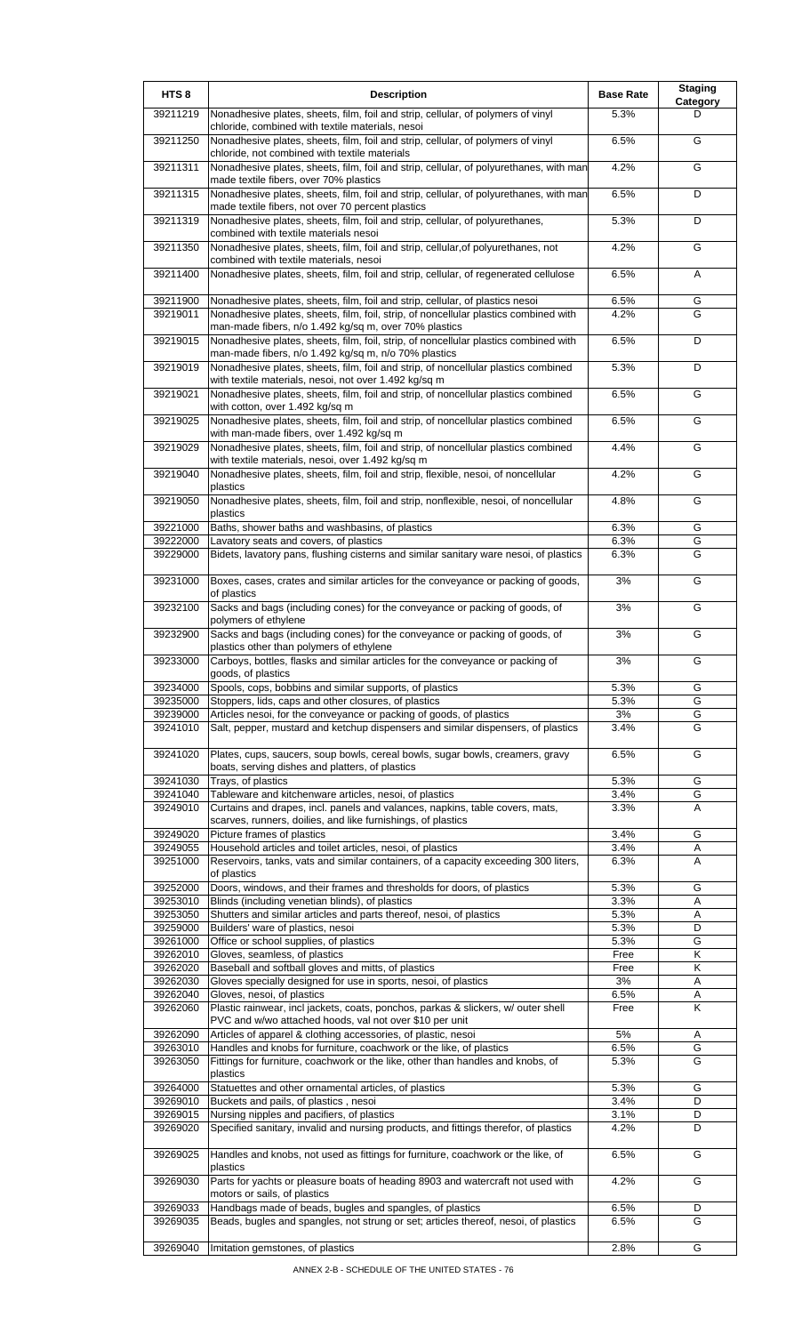| HTS <sub>8</sub>     | <b>Description</b>                                                                                                                                                    | <b>Base Rate</b> | <b>Staging</b><br>Category |
|----------------------|-----------------------------------------------------------------------------------------------------------------------------------------------------------------------|------------------|----------------------------|
| 39211219             | Nonadhesive plates, sheets, film, foil and strip, cellular, of polymers of vinyl                                                                                      | 5.3%             | D                          |
| 39211250             | chloride, combined with textile materials, nesoi<br>Nonadhesive plates, sheets, film, foil and strip, cellular, of polymers of vinyl                                  | 6.5%             | G                          |
| 39211311             | chloride, not combined with textile materials<br>Nonadhesive plates, sheets, film, foil and strip, cellular, of polyurethanes, with man                               | 4.2%             | G                          |
| 39211315             | made textile fibers, over 70% plastics<br>Nonadhesive plates, sheets, film, foil and strip, cellular, of polyurethanes, with man                                      | 6.5%             | D                          |
| 39211319             | made textile fibers, not over 70 percent plastics<br>Nonadhesive plates, sheets, film, foil and strip, cellular, of polyurethanes,                                    | 5.3%             | D                          |
| 39211350             | combined with textile materials nesoi<br>Nonadhesive plates, sheets, film, foil and strip, cellular, of polyurethanes, not                                            | 4.2%             | G                          |
| 39211400             | combined with textile materials, nesoi<br>Nonadhesive plates, sheets, film, foil and strip, cellular, of regenerated cellulose                                        | 6.5%             | A                          |
|                      |                                                                                                                                                                       |                  |                            |
| 39211900<br>39219011 | Nonadhesive plates, sheets, film, foil and strip, cellular, of plastics nesoi<br>Nonadhesive plates, sheets, film, foil, strip, of noncellular plastics combined with | 6.5%<br>4.2%     | G<br>G                     |
| 39219015             | man-made fibers, n/o 1.492 kg/sq m, over 70% plastics<br>Nonadhesive plates, sheets, film, foil, strip, of noncellular plastics combined with                         | 6.5%             | D                          |
|                      | man-made fibers, n/o 1.492 kg/sq m, n/o 70% plastics                                                                                                                  |                  |                            |
| 39219019             | Nonadhesive plates, sheets, film, foil and strip, of noncellular plastics combined<br>with textile materials, nesoi, not over 1.492 kg/sq m                           | 5.3%             | D                          |
| 39219021             | Nonadhesive plates, sheets, film, foil and strip, of noncellular plastics combined<br>with cotton, over 1.492 kg/sq m                                                 | 6.5%             | G                          |
| 39219025             | Nonadhesive plates, sheets, film, foil and strip, of noncellular plastics combined<br>with man-made fibers, over 1.492 kg/sq m                                        | 6.5%             | G                          |
| 39219029             | Nonadhesive plates, sheets, film, foil and strip, of noncellular plastics combined<br>with textile materials, nesoi, over 1.492 kg/sq m                               | 4.4%             | G                          |
| 39219040             | Nonadhesive plates, sheets, film, foil and strip, flexible, nesoi, of noncellular<br>plastics                                                                         | 4.2%             | G                          |
| 39219050             | Nonadhesive plates, sheets, film, foil and strip, nonflexible, nesoi, of noncellular                                                                                  | 4.8%             | G                          |
| 39221000             | plastics<br>Baths, shower baths and washbasins, of plastics                                                                                                           | 6.3%             | G                          |
| 39222000<br>39229000 | Lavatory seats and covers, of plastics<br>Bidets, lavatory pans, flushing cisterns and similar sanitary ware nesoi, of plastics                                       | 6.3%<br>6.3%     | G<br>G                     |
|                      |                                                                                                                                                                       |                  |                            |
| 39231000             | Boxes, cases, crates and similar articles for the conveyance or packing of goods,<br>of plastics                                                                      | 3%               | G                          |
| 39232100             | Sacks and bags (including cones) for the conveyance or packing of goods, of<br>polymers of ethylene                                                                   | 3%               | G                          |
| 39232900             | Sacks and bags (including cones) for the conveyance or packing of goods, of<br>plastics other than polymers of ethylene                                               | 3%               | G                          |
| 39233000             | Carboys, bottles, flasks and similar articles for the conveyance or packing of<br>goods, of plastics                                                                  | 3%               | G                          |
| 39234000             | Spools, cops, bobbins and similar supports, of plastics                                                                                                               | 5.3%             | G                          |
| 39235000<br>39239000 | Stoppers, lids, caps and other closures, of plastics<br>Articles nesoi, for the conveyance or packing of goods, of plastics                                           | 5.3%<br>3%       | G<br>G                     |
| 39241010             | Salt, pepper, mustard and ketchup dispensers and similar dispensers, of plastics                                                                                      | 3.4%             | G                          |
| 39241020             | Plates, cups, saucers, soup bowls, cereal bowls, sugar bowls, creamers, gravy<br>boats, serving dishes and platters, of plastics                                      | 6.5%             | G                          |
| 39241030             | Trays, of plastics                                                                                                                                                    | 5.3%             | G                          |
| 39241040             | Tableware and kitchenware articles, nesoi, of plastics                                                                                                                | 3.4%             | G                          |
| 39249010             | Curtains and drapes, incl. panels and valances, napkins, table covers, mats,<br>scarves, runners, doilies, and like furnishings, of plastics                          | 3.3%             | Α                          |
| 39249020             | Picture frames of plastics                                                                                                                                            | 3.4%             | G                          |
| 39249055             | Household articles and toilet articles, nesoi, of plastics                                                                                                            | 3.4%             | Α                          |
| 39251000             | Reservoirs, tanks, vats and similar containers, of a capacity exceeding 300 liters,<br>of plastics                                                                    | 6.3%             | A                          |
| 39252000             | Doors, windows, and their frames and thresholds for doors, of plastics                                                                                                | 5.3%             | G                          |
| 39253010             | Blinds (including venetian blinds), of plastics                                                                                                                       | 3.3%             | Α                          |
| 39253050<br>39259000 | Shutters and similar articles and parts thereof, nesoi, of plastics<br>Builders' ware of plastics, nesoi                                                              | 5.3%<br>5.3%     | Α<br>D                     |
| 39261000             | Office or school supplies, of plastics                                                                                                                                | 5.3%             | G                          |
| 39262010             | Gloves, seamless, of plastics                                                                                                                                         | Free             | Κ                          |
| 39262020             | Baseball and softball gloves and mitts, of plastics                                                                                                                   | Free             | Κ                          |
| 39262030<br>39262040 | Gloves specially designed for use in sports, nesoi, of plastics<br>Gloves, nesoi, of plastics                                                                         | 3%<br>6.5%       | Α<br>Α                     |
| 39262060             | Plastic rainwear, incl jackets, coats, ponchos, parkas & slickers, w/ outer shell                                                                                     | Free             | Κ                          |
| 39262090             | PVC and w/wo attached hoods, val not over \$10 per unit<br>Articles of apparel & clothing accessories, of plastic, nesoi                                              | 5%               | Α                          |
| 39263010             | Handles and knobs for furniture, coachwork or the like, of plastics                                                                                                   | 6.5%             | G                          |
| 39263050             | Fittings for furniture, coachwork or the like, other than handles and knobs, of<br>plastics                                                                           | 5.3%             | G                          |
| 39264000             | Statuettes and other ornamental articles, of plastics                                                                                                                 | 5.3%             | G                          |
| 39269010             | Buckets and pails, of plastics, nesoi                                                                                                                                 | 3.4%             | D                          |
| 39269015<br>39269020 | Nursing nipples and pacifiers, of plastics<br>Specified sanitary, invalid and nursing products, and fittings therefor, of plastics                                    | 3.1%<br>4.2%     | D<br>D                     |
| 39269025             | Handles and knobs, not used as fittings for furniture, coachwork or the like, of                                                                                      | 6.5%             | G                          |
| 39269030             | plastics<br>Parts for yachts or pleasure boats of heading 8903 and watercraft not used with                                                                           | 4.2%             | G                          |
| 39269033             | motors or sails, of plastics<br>Handbags made of beads, bugles and spangles, of plastics                                                                              | 6.5%             | D                          |
| 39269035             | Beads, bugles and spangles, not strung or set; articles thereof, nesoi, of plastics                                                                                   | 6.5%             | G                          |
| 39269040             | Imitation gemstones, of plastics                                                                                                                                      | 2.8%             | G                          |
|                      |                                                                                                                                                                       |                  |                            |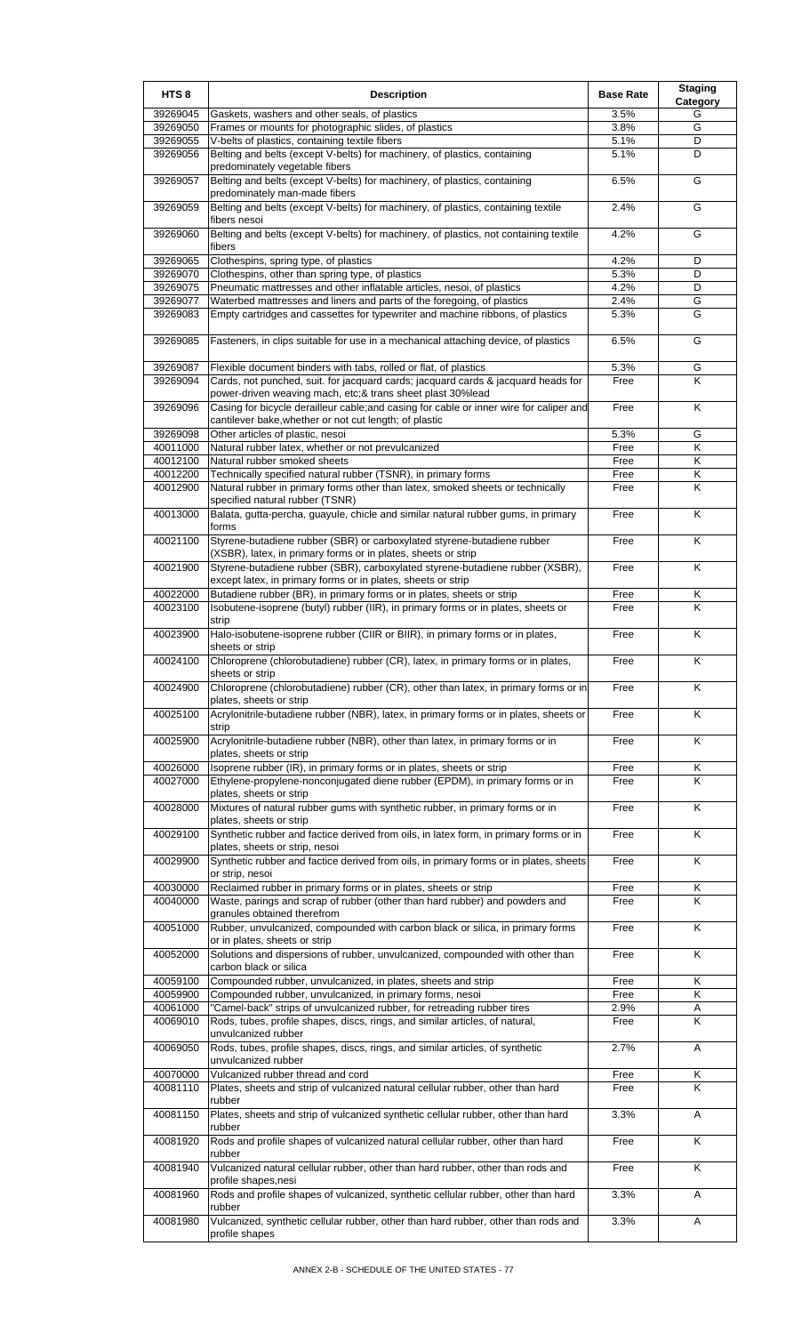| HTS <sub>8</sub>     | <b>Description</b>                                                                                                                                    | <b>Base Rate</b> | <b>Staging</b><br>Category |
|----------------------|-------------------------------------------------------------------------------------------------------------------------------------------------------|------------------|----------------------------|
| 39269045             | Gaskets, washers and other seals, of plastics                                                                                                         | 3.5%             | G                          |
| 39269050             | Frames or mounts for photographic slides, of plastics                                                                                                 | 3.8%             | G                          |
| 39269055<br>39269056 | V-belts of plastics, containing textile fibers<br>Belting and belts (except V-belts) for machinery, of plastics, containing                           | 5.1%<br>5.1%     | D<br>D                     |
| 39269057             | predominately vegetable fibers<br>Belting and belts (except V-belts) for machinery, of plastics, containing<br>predominately man-made fibers          | 6.5%             | G                          |
| 39269059             | Belting and belts (except V-belts) for machinery, of plastics, containing textile<br>fibers nesoi                                                     | 2.4%             | G                          |
| 39269060             | Belting and belts (except V-belts) for machinery, of plastics, not containing textile<br>fibers                                                       | 4.2%             | G                          |
| 39269065             | Clothespins, spring type, of plastics                                                                                                                 | 4.2%             | D                          |
| 39269070<br>39269075 | Clothespins, other than spring type, of plastics<br>Pneumatic mattresses and other inflatable articles, nesoi, of plastics                            | 5.3%<br>4.2%     | D<br>D                     |
| 39269077             | Waterbed mattresses and liners and parts of the foregoing, of plastics                                                                                | 2.4%             | G                          |
| 39269083             | Empty cartridges and cassettes for typewriter and machine ribbons, of plastics                                                                        | 5.3%             | G                          |
| 39269085             | Fasteners, in clips suitable for use in a mechanical attaching device, of plastics                                                                    | 6.5%             | G                          |
| 39269087             | Flexible document binders with tabs, rolled or flat, of plastics                                                                                      | 5.3%             | G                          |
| 39269094             | Cards, not punched, suit. for jacquard cards; jacquard cards & jacquard heads for                                                                     | Free             | K                          |
| 39269096             | power-driven weaving mach, etc;& trans sheet plast 30%lead<br>Casing for bicycle derailleur cable; and casing for cable or inner wire for caliper and | Free             | K                          |
|                      | cantilever bake, whether or not cut length; of plastic                                                                                                |                  |                            |
| 39269098<br>40011000 | Other articles of plastic, nesoi<br>Natural rubber latex, whether or not prevulcanized                                                                | 5.3%<br>Free     | G<br>Κ                     |
| 40012100             | Natural rubber smoked sheets                                                                                                                          | Free             | Κ                          |
| 40012200             | Technically specified natural rubber (TSNR), in primary forms                                                                                         | Free             | Κ                          |
| 40012900             | Natural rubber in primary forms other than latex, smoked sheets or technically<br>specified natural rubber (TSNR)                                     | Free             | K                          |
| 40013000             | Balata, gutta-percha, guayule, chicle and similar natural rubber gums, in primary<br>forms                                                            | Free             | K                          |
| 40021100             | Styrene-butadiene rubber (SBR) or carboxylated styrene-butadiene rubber<br>(XSBR), latex, in primary forms or in plates, sheets or strip              | Free             | K                          |
| 40021900             | Styrene-butadiene rubber (SBR), carboxylated styrene-butadiene rubber (XSBR),<br>except latex, in primary forms or in plates, sheets or strip         | Free             | K                          |
| 40022000             | Butadiene rubber (BR), in primary forms or in plates, sheets or strip                                                                                 | Free             | Κ                          |
| 40023100             | Isobutene-isoprene (butyl) rubber (IIR), in primary forms or in plates, sheets or<br>strip                                                            | Free             | K                          |
| 40023900             | Halo-isobutene-isoprene rubber (CIIR or BIIR), in primary forms or in plates,<br>sheets or strip                                                      | Free             | K                          |
| 40024100             | Chloroprene (chlorobutadiene) rubber (CR), latex, in primary forms or in plates,<br>sheets or strip                                                   | Free             | Κ                          |
| 40024900             | Chloroprene (chlorobutadiene) rubber (CR), other than latex, in primary forms or in<br>plates, sheets or strip                                        | Free             | K                          |
| 40025100             | Acrylonitrile-butadiene rubber (NBR), latex, in primary forms or in plates, sheets or<br>strip                                                        | Free             | K                          |
| 40025900             | Acrylonitrile-butadiene rubber (NBR), other than latex, in primary forms or in<br>plates, sheets or strip                                             | Free             | Κ                          |
| 40026000             | Isoprene rubber (IR), in primary forms or in plates, sheets or strip                                                                                  | Free             | Κ                          |
| 40027000             | Ethylene-propylene-nonconjugated diene rubber (EPDM), in primary forms or in<br>plates, sheets or strip                                               | Free             | K                          |
| 40028000             | Mixtures of natural rubber gums with synthetic rubber, in primary forms or in<br>plates, sheets or strip                                              | Free             | K                          |
| 40029100             | Synthetic rubber and factice derived from oils, in latex form, in primary forms or in<br>plates, sheets or strip, nesoi                               | Free             | K                          |
| 40029900             | Synthetic rubber and factice derived from oils, in primary forms or in plates, sheets<br>or strip, nesoi                                              | Free             | K                          |
| 40030000             | Reclaimed rubber in primary forms or in plates, sheets or strip                                                                                       | Free             | Κ                          |
| 40040000             | Waste, parings and scrap of rubber (other than hard rubber) and powders and<br>granules obtained therefrom                                            | Free             | K                          |
| 40051000             | Rubber, unvulcanized, compounded with carbon black or silica, in primary forms<br>or in plates, sheets or strip                                       | Free             | K                          |
| 40052000             | Solutions and dispersions of rubber, unvulcanized, compounded with other than<br>carbon black or silica                                               | Free             | Κ                          |
| 40059100<br>40059900 | Compounded rubber, unvulcanized, in plates, sheets and strip<br>Compounded rubber, unvulcanized, in primary forms, nesoi                              | Free<br>Free     | K<br>Κ                     |
| 40061000             | "Camel-back" strips of unvulcanized rubber, for retreading rubber tires                                                                               | 2.9%             | Α                          |
| 40069010             | Rods, tubes, profile shapes, discs, rings, and similar articles, of natural,<br>unvulcanized rubber                                                   | Free             | K                          |
| 40069050             | Rods, tubes, profile shapes, discs, rings, and similar articles, of synthetic<br>unvulcanized rubber                                                  | 2.7%             | A                          |
| 40070000             | Vulcanized rubber thread and cord                                                                                                                     | Free             | Κ                          |
| 40081110             | Plates, sheets and strip of vulcanized natural cellular rubber, other than hard<br>rubber                                                             | Free             | Κ                          |
| 40081150             | Plates, sheets and strip of vulcanized synthetic cellular rubber, other than hard<br>rubber                                                           | 3.3%             | Α                          |
| 40081920             | Rods and profile shapes of vulcanized natural cellular rubber, other than hard<br>rubber                                                              | Free             | K                          |
| 40081940             | Vulcanized natural cellular rubber, other than hard rubber, other than rods and<br>profile shapes, nesi                                               | Free             | K                          |
| 40081960             | Rods and profile shapes of vulcanized, synthetic cellular rubber, other than hard<br>rubber                                                           | 3.3%             | Α                          |
| 40081980             | Vulcanized, synthetic cellular rubber, other than hard rubber, other than rods and<br>profile shapes                                                  | 3.3%             | Α                          |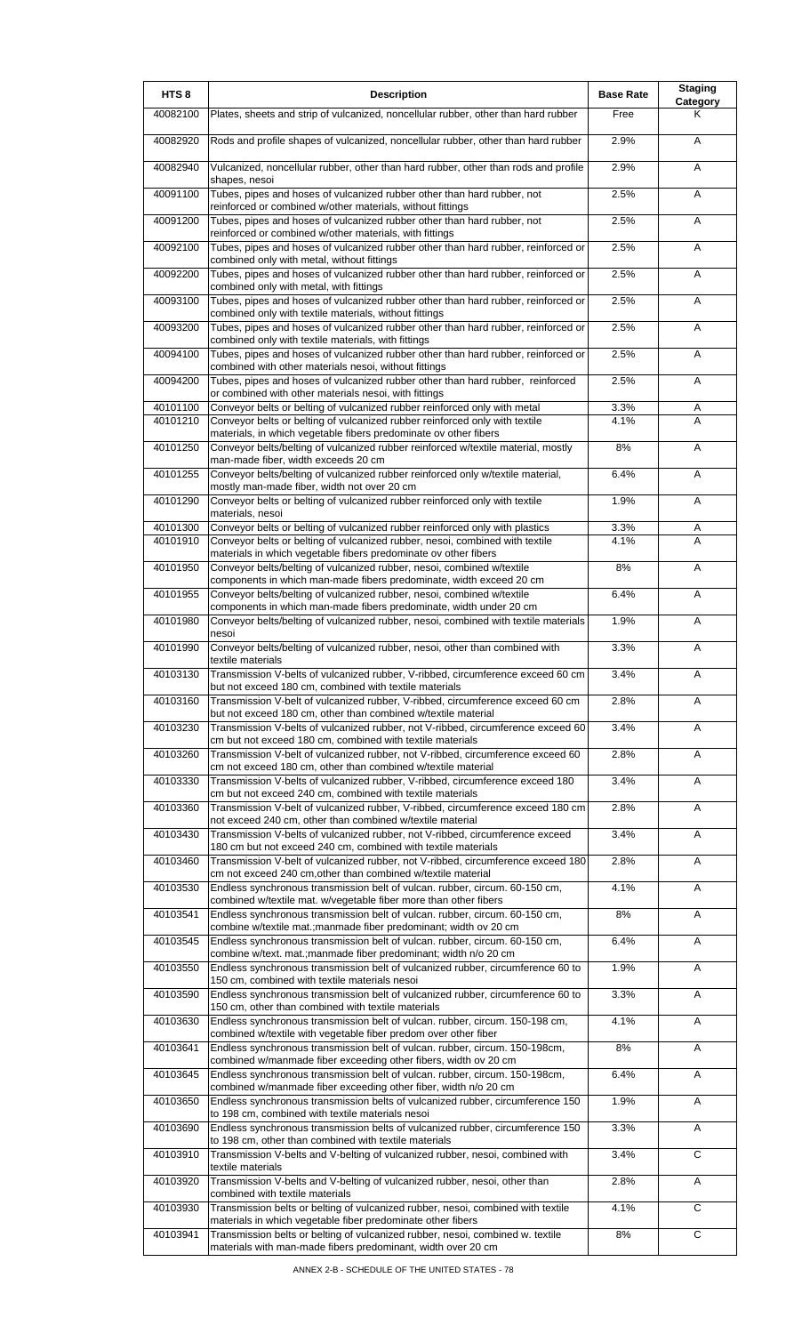| HTS <sub>8</sub> | <b>Description</b>                                                                                                                                        | <b>Base Rate</b> | <b>Staging</b><br>Category |
|------------------|-----------------------------------------------------------------------------------------------------------------------------------------------------------|------------------|----------------------------|
| 40082100         | Plates, sheets and strip of vulcanized, noncellular rubber, other than hard rubber                                                                        | Free             | Κ                          |
| 40082920         | Rods and profile shapes of vulcanized, noncellular rubber, other than hard rubber                                                                         | 2.9%             | A                          |
| 40082940         | Vulcanized, noncellular rubber, other than hard rubber, other than rods and profile<br>shapes, nesoi                                                      | 2.9%             | A                          |
| 40091100         | Tubes, pipes and hoses of vulcanized rubber other than hard rubber, not                                                                                   | 2.5%             | A                          |
| 40091200         | reinforced or combined w/other materials, without fittings<br>Tubes, pipes and hoses of vulcanized rubber other than hard rubber, not                     | 2.5%             | A                          |
| 40092100         | reinforced or combined w/other materials, with fittings<br>Tubes, pipes and hoses of vulcanized rubber other than hard rubber, reinforced or              | 2.5%             | A                          |
| 40092200         | combined only with metal, without fittings<br>Tubes, pipes and hoses of vulcanized rubber other than hard rubber, reinforced or                           | 2.5%             | A                          |
| 40093100         | combined only with metal, with fittings<br>Tubes, pipes and hoses of vulcanized rubber other than hard rubber, reinforced or                              | 2.5%             | A                          |
| 40093200         | combined only with textile materials, without fittings<br>Tubes, pipes and hoses of vulcanized rubber other than hard rubber, reinforced or               | 2.5%             | A                          |
| 40094100         | combined only with textile materials, with fittings<br>Tubes, pipes and hoses of vulcanized rubber other than hard rubber, reinforced or                  | 2.5%             | A                          |
| 40094200         | combined with other materials nesoi, without fittings<br>Tubes, pipes and hoses of vulcanized rubber other than hard rubber, reinforced                   | 2.5%             | Α                          |
| 40101100         | or combined with other materials nesoi, with fittings<br>Conveyor belts or belting of vulcanized rubber reinforced only with metal                        | 3.3%             | Α                          |
| 40101210         | Conveyor belts or belting of vulcanized rubber reinforced only with textile                                                                               | 4.1%             | A                          |
| 40101250         | materials, in which vegetable fibers predominate ov other fibers<br>Conveyor belts/belting of vulcanized rubber reinforced w/textile material, mostly     | 8%               | A                          |
| 40101255         | man-made fiber, width exceeds 20 cm<br>Conveyor belts/belting of vulcanized rubber reinforced only w/textile material,                                    | 6.4%             | A                          |
| 40101290         | mostly man-made fiber, width not over 20 cm<br>Conveyor belts or belting of vulcanized rubber reinforced only with textile                                | 1.9%             | A                          |
| 40101300         | materials, nesoi<br>Conveyor belts or belting of vulcanized rubber reinforced only with plastics                                                          | 3.3%             | Α                          |
| 40101910         | Conveyor belts or belting of vulcanized rubber, nesoi, combined with textile                                                                              | 4.1%             | A                          |
| 40101950         | materials in which vegetable fibers predominate ov other fibers<br>Conveyor belts/belting of vulcanized rubber, nesoi, combined w/textile                 | 8%               | A                          |
| 40101955         | components in which man-made fibers predominate, width exceed 20 cm<br>Conveyor belts/belting of vulcanized rubber, nesoi, combined w/textile             | 6.4%             | A                          |
| 40101980         | components in which man-made fibers predominate, width under 20 cm<br>Conveyor belts/belting of vulcanized rubber, nesoi, combined with textile materials | 1.9%             | A                          |
| 40101990         | nesoi<br>Conveyor belts/belting of vulcanized rubber, nesoi, other than combined with                                                                     | 3.3%             | A                          |
|                  | textile materials                                                                                                                                         |                  |                            |
| 40103130         | Transmission V-belts of vulcanized rubber, V-ribbed, circumference exceed 60 cm<br>but not exceed 180 cm, combined with textile materials                 | 3.4%             | A                          |
| 40103160         | Transmission V-belt of vulcanized rubber, V-ribbed, circumference exceed 60 cm<br>but not exceed 180 cm, other than combined w/textile material           | 2.8%             | A                          |
| 40103230         | Transmission V-belts of vulcanized rubber, not V-ribbed, circumference exceed 60<br>cm but not exceed 180 cm, combined with textile materials             | 3.4%             | Α                          |
| 40103260         | Transmission V-belt of vulcanized rubber, not V-ribbed, circumference exceed 60<br>cm not exceed 180 cm, other than combined w/textile material           | 2.8%             | Α                          |
| 40103330         | Transmission V-belts of vulcanized rubber, V-ribbed, circumference exceed 180<br>cm but not exceed 240 cm, combined with textile materials                | 3.4%             | Α                          |
| 40103360         | Transmission V-belt of vulcanized rubber, V-ribbed, circumference exceed 180 cm<br>not exceed 240 cm, other than combined w/textile material              | 2.8%             | Α                          |
| 40103430         | Transmission V-belts of vulcanized rubber, not V-ribbed, circumference exceed                                                                             | 3.4%             | Α                          |
| 40103460         | 180 cm but not exceed 240 cm, combined with textile materials<br>Transmission V-belt of vulcanized rubber, not V-ribbed, circumference exceed 180         | 2.8%             | Α                          |
| 40103530         | cm not exceed 240 cm, other than combined w/textile material<br>Endless synchronous transmission belt of vulcan. rubber, circum. 60-150 cm,               | 4.1%             | Α                          |
| 40103541         | combined w/textile mat. w/vegetable fiber more than other fibers<br>Endless synchronous transmission belt of vulcan. rubber, circum. 60-150 cm,           | 8%               | Α                          |
| 40103545         | combine w/textile mat.; manmade fiber predominant; width ov 20 cm<br>Endless synchronous transmission belt of vulcan. rubber, circum. 60-150 cm,          | 6.4%             | Α                          |
| 40103550         | combine w/text. mat.; manmade fiber predominant; width n/o 20 cm<br>Endless synchronous transmission belt of vulcanized rubber, circumference 60 to       | 1.9%             | Α                          |
|                  | 150 cm, combined with textile materials nesoi                                                                                                             |                  |                            |
| 40103590         | Endless synchronous transmission belt of vulcanized rubber, circumference 60 to<br>150 cm, other than combined with textile materials                     | 3.3%             | A                          |
| 40103630         | Endless synchronous transmission belt of vulcan. rubber, circum. 150-198 cm,<br>combined w/textile with vegetable fiber predom over other fiber           | 4.1%             | Α                          |
| 40103641         | Endless synchronous transmission belt of vulcan. rubber, circum. 150-198cm,<br>combined w/manmade fiber exceeding other fibers, width ov 20 cm            | 8%               | Α                          |
| 40103645         | Endless synchronous transmission belt of vulcan. rubber, circum. 150-198cm,<br>combined w/manmade fiber exceeding other fiber, width n/o 20 cm            | 6.4%             | Α                          |
| 40103650         | Endless synchronous transmission belts of vulcanized rubber, circumference 150<br>to 198 cm, combined with textile materials nesoi                        | 1.9%             | Α                          |
| 40103690         | Endless synchronous transmission belts of vulcanized rubber, circumference 150<br>to 198 cm, other than combined with textile materials                   | 3.3%             | A                          |
| 40103910         | Transmission V-belts and V-belting of vulcanized rubber, nesoi, combined with                                                                             | 3.4%             | C                          |
| 40103920         | textile materials<br>Transmission V-belts and V-belting of vulcanized rubber, nesoi, other than                                                           | 2.8%             | Α                          |
| 40103930         | combined with textile materials<br>Transmission belts or belting of vulcanized rubber, nesoi, combined with textile                                       | 4.1%             | C                          |
| 40103941         | materials in which vegetable fiber predominate other fibers<br>Transmission belts or belting of vulcanized rubber, nesoi, combined w. textile             | 8%               | C                          |
|                  | materials with man-made fibers predominant, width over 20 cm                                                                                              |                  |                            |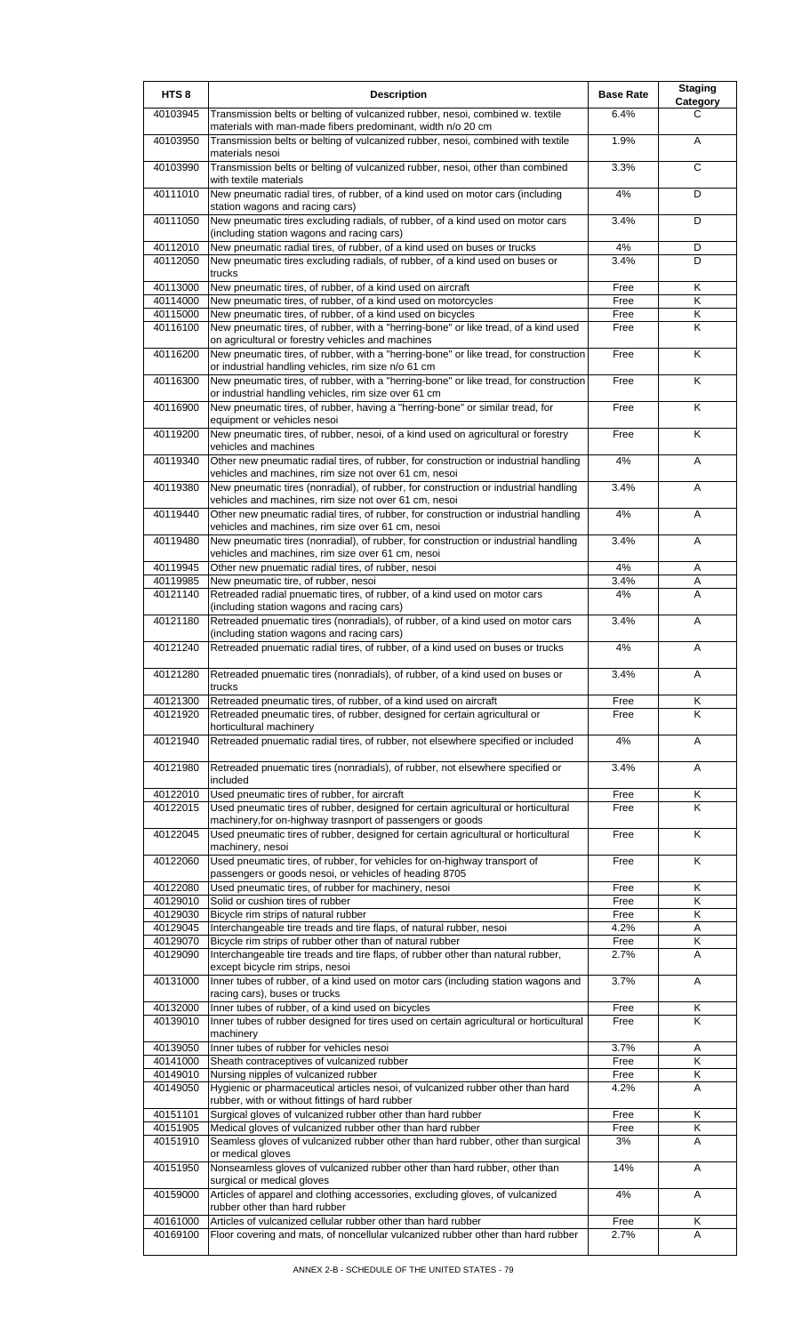| HTS <sub>8</sub>     | <b>Description</b>                                                                                                                                       | <b>Base Rate</b> | <b>Staging</b><br>Category   |
|----------------------|----------------------------------------------------------------------------------------------------------------------------------------------------------|------------------|------------------------------|
| 40103945             | Transmission belts or belting of vulcanized rubber, nesoi, combined w. textile<br>materials with man-made fibers predominant, width n/o 20 cm            | 6.4%             | С                            |
| 40103950             | Transmission belts or belting of vulcanized rubber, nesoi, combined with textile                                                                         | 1.9%             | A                            |
| 40103990             | materials nesoi<br>Transmission belts or belting of vulcanized rubber, nesoi, other than combined<br>with textile materials                              | 3.3%             | C                            |
| 40111010             | New pneumatic radial tires, of rubber, of a kind used on motor cars (including<br>station wagons and racing cars)                                        | 4%               | D                            |
| 40111050             | New pneumatic tires excluding radials, of rubber, of a kind used on motor cars<br>(including station wagons and racing cars)                             | 3.4%             | D                            |
| 40112010<br>40112050 | New pneumatic radial tires, of rubber, of a kind used on buses or trucks<br>New pneumatic tires excluding radials, of rubber, of a kind used on buses or | $4\%$<br>3.4%    | D<br>D                       |
|                      | trucks                                                                                                                                                   |                  |                              |
| 40113000<br>40114000 | New pneumatic tires, of rubber, of a kind used on aircraft<br>New pneumatic tires, of rubber, of a kind used on motorcycles                              | Free<br>Free     | Κ<br>$\overline{\mathsf{K}}$ |
| 40115000             | New pneumatic tires, of rubber, of a kind used on bicycles                                                                                               | Free             | Κ                            |
| 40116100             | New pneumatic tires, of rubber, with a "herring-bone" or like tread, of a kind used<br>on agricultural or forestry vehicles and machines                 | Free             | K                            |
| 40116200             | New pneumatic tires, of rubber, with a "herring-bone" or like tread, for construction<br>or industrial handling vehicles, rim size n/o 61 cm             | Free             | K                            |
| 40116300             | New pneumatic tires, of rubber, with a "herring-bone" or like tread, for construction<br>or industrial handling vehicles, rim size over 61 cm            | Free             | Κ                            |
| 40116900             | New pneumatic tires, of rubber, having a "herring-bone" or similar tread, for<br>equipment or vehicles nesoi                                             | Free             | K                            |
| 40119200             | New pneumatic tires, of rubber, nesoi, of a kind used on agricultural or forestry<br>vehicles and machines                                               | Free             | K                            |
| 40119340             | Other new pneumatic radial tires, of rubber, for construction or industrial handling<br>vehicles and machines, rim size not over 61 cm, nesoi            | 4%               | A                            |
| 40119380             | New pneumatic tires (nonradial), of rubber, for construction or industrial handling<br>vehicles and machines, rim size not over 61 cm, nesoi             | 3.4%             | A                            |
| 40119440             | Other new pneumatic radial tires, of rubber, for construction or industrial handling<br>vehicles and machines, rim size over 61 cm, nesoi                | 4%               | A                            |
| 40119480             | New pneumatic tires (nonradial), of rubber, for construction or industrial handling<br>vehicles and machines, rim size over 61 cm, nesoi                 | 3.4%             | A                            |
| 40119945             | Other new pnuematic radial tires, of rubber, nesoi                                                                                                       | 4%               | Α                            |
| 40119985             | New pneumatic tire, of rubber, nesoi                                                                                                                     | 3.4%             | Α                            |
| 40121140             | Retreaded radial pnuematic tires, of rubber, of a kind used on motor cars<br>(including station wagons and racing cars)                                  | 4%               | A                            |
| 40121180             | Retreaded pnuematic tires (nonradials), of rubber, of a kind used on motor cars<br>(including station wagons and racing cars)                            | 3.4%             | A                            |
| 40121240             | Retreaded pnuematic radial tires, of rubber, of a kind used on buses or trucks                                                                           | 4%               | A                            |
| 40121280             | Retreaded pnuematic tires (nonradials), of rubber, of a kind used on buses or<br>trucks                                                                  | 3.4%             | A                            |
| 40121300<br>40121920 | Retreaded pneumatic tires, of rubber, of a kind used on aircraft<br>Retreaded pneumatic tires, of rubber, designed for certain agricultural or           | Free<br>Free     | Κ<br>Κ                       |
|                      | horticultural machinery                                                                                                                                  |                  |                              |
| 40121940             | Retreaded pnuematic radial tires, of rubber, not elsewhere specified or included                                                                         | 4%               | A                            |
| 40121980             | Retreaded pnuematic tires (nonradials), of rubber, not elsewhere specified or<br>included                                                                | 3.4%             | A                            |
| 40122010<br>40122015 | Used pneumatic tires of rubber, for aircraft<br>Used pneumatic tires of rubber, designed for certain agricultural or horticultural                       | Free<br>Free     | Κ<br>Κ                       |
| 40122045             | machinery, for on-highway trasnport of passengers or goods<br>Used pneumatic tires of rubber, designed for certain agricultural or horticultural         | Free             | Κ                            |
| 40122060             | machinery, nesoi<br>Used pneumatic tires, of rubber, for vehicles for on-highway transport of                                                            | Free             | Κ                            |
|                      | passengers or goods nesoi, or vehicles of heading 8705                                                                                                   |                  |                              |
| 40122080<br>40129010 | Used pneumatic tires, of rubber for machinery, nesoi<br>Solid or cushion tires of rubber                                                                 | Free<br>Free     | Κ<br>Κ                       |
| 40129030             | Bicycle rim strips of natural rubber                                                                                                                     | Free             | Κ                            |
| 40129045             | Interchangeable tire treads and tire flaps, of natural rubber, nesoi                                                                                     | 4.2%             | Α                            |
| 40129070             | Bicycle rim strips of rubber other than of natural rubber                                                                                                | Free             | Κ                            |
| 40129090             | Interchangeable tire treads and tire flaps, of rubber other than natural rubber,<br>except bicycle rim strips, nesoi                                     | 2.7%             | Α                            |
| 40131000             | Inner tubes of rubber, of a kind used on motor cars (including station wagons and<br>racing cars), buses or trucks                                       | 3.7%             | A                            |
| 40132000             | Inner tubes of rubber, of a kind used on bicycles                                                                                                        | Free             | Κ                            |
| 40139010             | Inner tubes of rubber designed for tires used on certain agricultural or horticultural<br>machinery                                                      | Free             | K                            |
| 40139050<br>40141000 | Inner tubes of rubber for vehicles nesoi<br>Sheath contraceptives of vulcanized rubber                                                                   | 3.7%<br>Free     | Α<br>K                       |
| 40149010             | Nursing nipples of vulcanized rubber                                                                                                                     | Free             | Κ                            |
| 40149050             | Hygienic or pharmaceutical articles nesoi, of vulcanized rubber other than hard<br>rubber, with or without fittings of hard rubber                       | 4.2%             | A                            |
| 40151101             | Surgical gloves of vulcanized rubber other than hard rubber                                                                                              | Free             | Κ                            |
| 40151905             | Medical gloves of vulcanized rubber other than hard rubber                                                                                               | Free             | Κ                            |
| 40151910             | Seamless gloves of vulcanized rubber other than hard rubber, other than surgical<br>or medical gloves                                                    | 3%               | A                            |
| 40151950             | Nonseamless gloves of vulcanized rubber other than hard rubber, other than<br>surgical or medical gloves                                                 | 14%              | Α                            |
| 40159000             | Articles of apparel and clothing accessories, excluding gloves, of vulcanized<br>rubber other than hard rubber                                           | 4%               | Α                            |
| 40161000<br>40169100 | Articles of vulcanized cellular rubber other than hard rubber<br>Floor covering and mats, of noncellular vulcanized rubber other than hard rubber        | Free<br>2.7%     | Κ<br>A                       |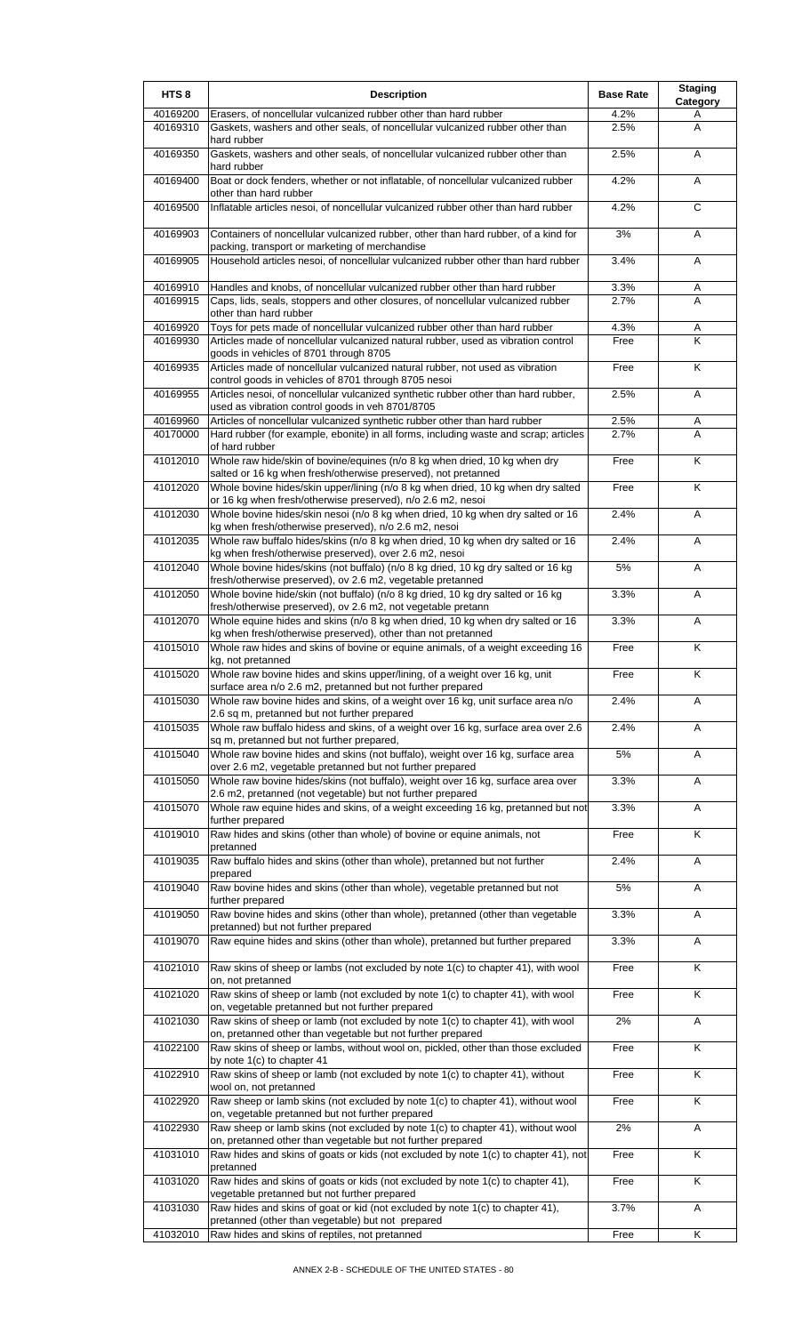| HTS <sub>8</sub>     | <b>Description</b>                                                                                                                                                 | <b>Base Rate</b> | <b>Staging</b><br>Category |
|----------------------|--------------------------------------------------------------------------------------------------------------------------------------------------------------------|------------------|----------------------------|
| 40169200<br>40169310 | Erasers, of noncellular vulcanized rubber other than hard rubber<br>Gaskets, washers and other seals, of noncellular vulcanized rubber other than                  | 4.2%<br>2.5%     | A<br>A                     |
| 40169350             | hard rubber<br>Gaskets, washers and other seals, of noncellular vulcanized rubber other than<br>hard rubber                                                        | 2.5%             | A                          |
| 40169400             | Boat or dock fenders, whether or not inflatable, of noncellular vulcanized rubber<br>other than hard rubber                                                        | 4.2%             | A                          |
| 40169500             | Inflatable articles nesoi, of noncellular vulcanized rubber other than hard rubber                                                                                 | 4.2%             | C                          |
| 40169903             | Containers of noncellular vulcanized rubber, other than hard rubber, of a kind for<br>packing, transport or marketing of merchandise                               | 3%               | A                          |
| 40169905             | Household articles nesoi, of noncellular vulcanized rubber other than hard rubber                                                                                  | 3.4%             | A                          |
| 40169910<br>40169915 | Handles and knobs, of noncellular vulcanized rubber other than hard rubber<br>Caps, lids, seals, stoppers and other closures, of noncellular vulcanized rubber     | 3.3%<br>2.7%     | A<br>A                     |
| 40169920             | other than hard rubber<br>Toys for pets made of noncellular vulcanized rubber other than hard rubber                                                               | 4.3%             | Α                          |
| 40169930             | Articles made of noncellular vulcanized natural rubber, used as vibration control<br>goods in vehicles of 8701 through 8705                                        | Free             | Κ                          |
| 40169935             | Articles made of noncellular vulcanized natural rubber, not used as vibration<br>control goods in vehicles of 8701 through 8705 nesoi                              | Free             | K                          |
| 40169955             | Articles nesoi, of noncellular vulcanized synthetic rubber other than hard rubber,<br>used as vibration control goods in veh 8701/8705                             | 2.5%             | A                          |
| 40169960<br>40170000 | Articles of noncellular vulcanized synthetic rubber other than hard rubber<br>Hard rubber (for example, ebonite) in all forms, including waste and scrap; articles | 2.5%<br>2.7%     | Α<br>A                     |
|                      | of hard rubber                                                                                                                                                     |                  |                            |
| 41012010             | Whole raw hide/skin of bovine/equines (n/o 8 kg when dried, 10 kg when dry<br>salted or 16 kg when fresh/otherwise preserved), not pretanned                       | Free             | K                          |
| 41012020             | Whole bovine hides/skin upper/lining (n/o 8 kg when dried, 10 kg when dry salted<br>or 16 kg when fresh/otherwise preserved), n/o 2.6 m2, nesoi                    | Free             | K                          |
| 41012030             | Whole bovine hides/skin nesoi (n/o 8 kg when dried, 10 kg when dry salted or 16<br>kg when fresh/otherwise preserved), n/o 2.6 m2, nesoi                           | 2.4%             | A                          |
| 41012035             | Whole raw buffalo hides/skins (n/o 8 kg when dried, 10 kg when dry salted or 16<br>kg when fresh/otherwise preserved), over 2.6 m2, nesoi                          | 2.4%             | Α                          |
| 41012040             | Whole bovine hides/skins (not buffalo) (n/o 8 kg dried, 10 kg dry salted or 16 kg<br>fresh/otherwise preserved), ov 2.6 m2, vegetable pretanned                    | 5%               | Α                          |
| 41012050             | Whole bovine hide/skin (not buffalo) (n/o 8 kg dried, 10 kg dry salted or 16 kg<br>fresh/otherwise preserved), ov 2.6 m2, not vegetable pretann                    | 3.3%             | A                          |
| 41012070             | Whole equine hides and skins (n/o 8 kg when dried, 10 kg when dry salted or 16<br>kg when fresh/otherwise preserved), other than not pretanned                     | 3.3%             | Α                          |
| 41015010             | Whole raw hides and skins of bovine or equine animals, of a weight exceeding 16<br>kg, not pretanned                                                               | Free             | K                          |
| 41015020             | Whole raw bovine hides and skins upper/lining, of a weight over 16 kg, unit<br>surface area n/o 2.6 m2, pretanned but not further prepared                         | Free             | Κ                          |
| 41015030             | Whole raw bovine hides and skins, of a weight over 16 kg, unit surface area n/o<br>2.6 sq m, pretanned but not further prepared                                    | 2.4%             | Α                          |
| 41015035             | Whole raw buffalo hidess and skins, of a weight over 16 kg, surface area over 2.6<br>sq m, pretanned but not further prepared,                                     | 2.4%             | Α                          |
| 41015040             | Whole raw bovine hides and skins (not buffalo), weight over 16 kg, surface area<br>over 2.6 m2, vegetable pretanned but not further prepared                       | 5%               | Α                          |
| 41015050             | Whole raw bovine hides/skins (not buffalo), weight over 16 kg, surface area over<br>2.6 m2, pretanned (not vegetable) but not further prepared                     | 3.3%             | Α                          |
| 41015070             | Whole raw equine hides and skins, of a weight exceeding 16 kg, pretanned but not<br>further prepared                                                               | 3.3%             | Α                          |
| 41019010             | Raw hides and skins (other than whole) of bovine or equine animals, not<br>pretanned                                                                               | Free             | Κ                          |
| 41019035             | Raw buffalo hides and skins (other than whole), pretanned but not further<br>prepared                                                                              | 2.4%             | Α                          |
| 41019040             | Raw bovine hides and skins (other than whole), vegetable pretanned but not<br>further prepared                                                                     | 5%               | A                          |
| 41019050             | Raw bovine hides and skins (other than whole), pretanned (other than vegetable<br>pretanned) but not further prepared                                              | 3.3%             | Α                          |
| 41019070             | Raw equine hides and skins (other than whole), pretanned but further prepared                                                                                      | 3.3%             | Α                          |
| 41021010             | Raw skins of sheep or lambs (not excluded by note 1(c) to chapter 41), with wool<br>on, not pretanned                                                              | Free             | K                          |
| 41021020             | Raw skins of sheep or lamb (not excluded by note 1(c) to chapter 41), with wool<br>on, vegetable pretanned but not further prepared                                | Free             | Κ                          |
| 41021030             | Raw skins of sheep or lamb (not excluded by note 1(c) to chapter 41), with wool<br>on, pretanned other than vegetable but not further prepared                     | 2%               | Α                          |
| 41022100             | Raw skins of sheep or lambs, without wool on, pickled, other than those excluded<br>by note 1(c) to chapter 41                                                     | Free             | Κ                          |
| 41022910             | Raw skins of sheep or lamb (not excluded by note 1(c) to chapter 41), without<br>wool on, not pretanned                                                            | Free             | K                          |
| 41022920             | Raw sheep or lamb skins (not excluded by note 1(c) to chapter 41), without wool<br>on, vegetable pretanned but not further prepared                                | Free             | K                          |
| 41022930             | Raw sheep or lamb skins (not excluded by note 1(c) to chapter 41), without wool<br>on, pretanned other than vegetable but not further prepared                     | 2%               | Α                          |
| 41031010             | Raw hides and skins of goats or kids (not excluded by note 1(c) to chapter 41), not<br>pretanned                                                                   | Free             | Κ                          |
| 41031020             | Raw hides and skins of goats or kids (not excluded by note 1(c) to chapter 41),<br>vegetable pretanned but not further prepared                                    | Free             | Κ                          |
| 41031030             | Raw hides and skins of goat or kid (not excluded by note 1(c) to chapter 41),<br>pretanned (other than vegetable) but not prepared                                 | 3.7%             | Α                          |
| 41032010             | Raw hides and skins of reptiles, not pretanned                                                                                                                     | Free             | Κ                          |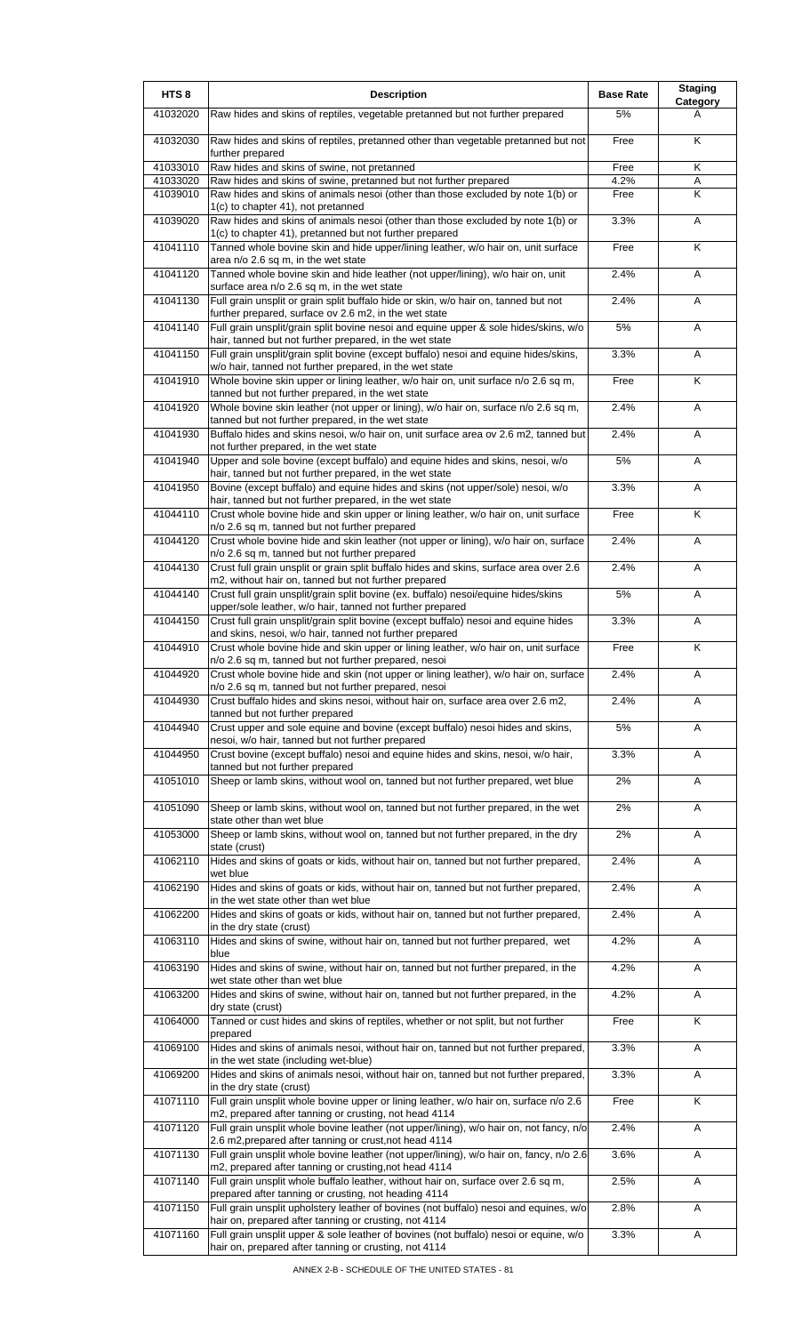| HTS <sub>8</sub>     | <b>Description</b>                                                                                                                                                    | <b>Base Rate</b> | <b>Staging</b><br>Category |
|----------------------|-----------------------------------------------------------------------------------------------------------------------------------------------------------------------|------------------|----------------------------|
| 41032020             | Raw hides and skins of reptiles, vegetable pretanned but not further prepared                                                                                         | 5%               | A                          |
| 41032030             | Raw hides and skins of reptiles, pretanned other than vegetable pretanned but not<br>further prepared                                                                 | Free             | K                          |
| 41033010             | Raw hides and skins of swine, not pretanned                                                                                                                           | Free             | Κ                          |
| 41033020<br>41039010 | Raw hides and skins of swine, pretanned but not further prepared<br>Raw hides and skins of animals nesoi (other than those excluded by note 1(b) or                   | 4.2%<br>Free     | Α<br>K                     |
| 41039020             | 1(c) to chapter 41), not pretanned<br>Raw hides and skins of animals nesoi (other than those excluded by note 1(b) or                                                 | 3.3%             | Α                          |
| 41041110             | 1(c) to chapter 41), pretanned but not further prepared<br>Tanned whole bovine skin and hide upper/lining leather, w/o hair on, unit surface                          | Free             | K                          |
| 41041120             | area n/o 2.6 sq m, in the wet state<br>Tanned whole bovine skin and hide leather (not upper/lining), w/o hair on, unit<br>surface area n/o 2.6 sq m, in the wet state | 2.4%             | A                          |
| 41041130             | Full grain unsplit or grain split buffalo hide or skin, w/o hair on, tanned but not<br>further prepared, surface ov 2.6 m2, in the wet state                          | 2.4%             | Α                          |
| 41041140             | Full grain unsplit/grain split bovine nesoi and equine upper & sole hides/skins, w/o<br>hair, tanned but not further prepared, in the wet state                       | 5%               | A                          |
| 41041150             | Full grain unsplit/grain split bovine (except buffalo) nesoi and equine hides/skins,<br>w/o hair, tanned not further prepared, in the wet state                       | 3.3%             | A                          |
| 41041910             | Whole bovine skin upper or lining leather, w/o hair on, unit surface n/o 2.6 sq m,<br>tanned but not further prepared, in the wet state                               | Free             | K                          |
| 41041920             | Whole bovine skin leather (not upper or lining), w/o hair on, surface n/o 2.6 sq m,<br>tanned but not further prepared, in the wet state                              | 2.4%             | A                          |
| 41041930             | Buffalo hides and skins nesoi, w/o hair on, unit surface area ov 2.6 m2, tanned but<br>not further prepared, in the wet state                                         | 2.4%             | A                          |
| 41041940             | Upper and sole bovine (except buffalo) and equine hides and skins, nesoi, w/o<br>hair, tanned but not further prepared, in the wet state                              | 5%               | Α                          |
| 41041950             | Bovine (except buffalo) and equine hides and skins (not upper/sole) nesoi, w/o<br>hair, tanned but not further prepared, in the wet state                             | 3.3%             | Α                          |
| 41044110             | Crust whole bovine hide and skin upper or lining leather, w/o hair on, unit surface<br>n/o 2.6 sq m, tanned but not further prepared                                  | Free             | K                          |
| 41044120             | Crust whole bovine hide and skin leather (not upper or lining), w/o hair on, surface<br>n/o 2.6 sq m, tanned but not further prepared                                 | 2.4%             | Α                          |
| 41044130             | Crust full grain unsplit or grain split buffalo hides and skins, surface area over 2.6<br>m2, without hair on, tanned but not further prepared                        | 2.4%             | A                          |
| 41044140             | Crust full grain unsplit/grain split bovine (ex. buffalo) nesoi/equine hides/skins<br>upper/sole leather, w/o hair, tanned not further prepared                       | 5%               | A                          |
| 41044150             | Crust full grain unsplit/grain split bovine (except buffalo) nesoi and equine hides<br>and skins, nesoi, w/o hair, tanned not further prepared                        | 3.3%             | A                          |
| 41044910             | Crust whole bovine hide and skin upper or lining leather, w/o hair on, unit surface<br>n/o 2.6 sq m, tanned but not further prepared, nesoi                           | Free             | $\overline{\mathsf{K}}$    |
| 41044920             | Crust whole bovine hide and skin (not upper or lining leather), w/o hair on, surface<br>n/o 2.6 sq m, tanned but not further prepared, nesoi                          | 2.4%             | A                          |
| 41044930             | Crust buffalo hides and skins nesoi, without hair on, surface area over 2.6 m2,<br>tanned but not further prepared                                                    | 2.4%             | A                          |
| 41044940             | Crust upper and sole equine and bovine (except buffalo) nesoi hides and skins,<br>nesoi, w/o hair, tanned but not further prepared                                    | 5%               | Α                          |
| 41044950             | Crust bovine (except buffalo) nesoi and equine hides and skins, nesoi, w/o hair,<br>tanned but not further prepared                                                   | 3.3%             | Α                          |
| 41051010             | Sheep or lamb skins, without wool on, tanned but not further prepared, wet blue                                                                                       | 2%               | Α                          |
| 41051090             | Sheep or lamb skins, without wool on, tanned but not further prepared, in the wet<br>state other than wet blue                                                        | 2%               | Α                          |
| 41053000             | Sheep or lamb skins, without wool on, tanned but not further prepared, in the dry<br>state (crust)                                                                    | 2%               | Α                          |
| 41062110             | Hides and skins of goats or kids, without hair on, tanned but not further prepared,<br>wet blue                                                                       | 2.4%             | Α                          |
| 41062190             | Hides and skins of goats or kids, without hair on, tanned but not further prepared,<br>in the wet state other than wet blue                                           | 2.4%             | Α                          |
| 41062200             | Hides and skins of goats or kids, without hair on, tanned but not further prepared,<br>in the dry state (crust)                                                       | 2.4%             | Α                          |
| 41063110             | Hides and skins of swine, without hair on, tanned but not further prepared, wet<br>blue                                                                               | 4.2%             | A                          |
| 41063190             | Hides and skins of swine, without hair on, tanned but not further prepared, in the<br>wet state other than wet blue                                                   | 4.2%             | Α                          |
| 41063200             | Hides and skins of swine, without hair on, tanned but not further prepared, in the<br>dry state (crust)                                                               | 4.2%             | A                          |
| 41064000             | Tanned or cust hides and skins of reptiles, whether or not split, but not further<br>prepared                                                                         | Free             | Κ                          |
| 41069100             | Hides and skins of animals nesoi, without hair on, tanned but not further prepared,<br>in the wet state (including wet-blue)                                          | 3.3%             | Α                          |
| 41069200             | Hides and skins of animals nesoi, without hair on, tanned but not further prepared,<br>in the dry state (crust)                                                       | 3.3%             | Α                          |
| 41071110             | Full grain unsplit whole bovine upper or lining leather, w/o hair on, surface n/o 2.6<br>m2, prepared after tanning or crusting, not head 4114                        | Free             | Κ                          |
| 41071120             | Full grain unsplit whole bovine leather (not upper/lining), w/o hair on, not fancy, n/o<br>2.6 m2, prepared after tanning or crust, not head 4114                     | 2.4%             | A                          |
| 41071130             | Full grain unsplit whole bovine leather (not upper/lining), w/o hair on, fancy, n/o 2.6<br>m2, prepared after tanning or crusting, not head 4114                      | 3.6%             | Α                          |
| 41071140             | Full grain unsplit whole buffalo leather, without hair on, surface over 2.6 sq m,<br>prepared after tanning or crusting, not heading 4114                             | 2.5%             | A                          |
| 41071150             | Full grain unsplit upholstery leather of bovines (not buffalo) nesoi and equines, w/o<br>hair on, prepared after tanning or crusting, not 4114                        | 2.8%             | Α                          |
| 41071160             | Full grain unsplit upper & sole leather of bovines (not buffalo) nesoi or equine, w/o<br>hair on, prepared after tanning or crusting, not 4114                        | 3.3%             | Α                          |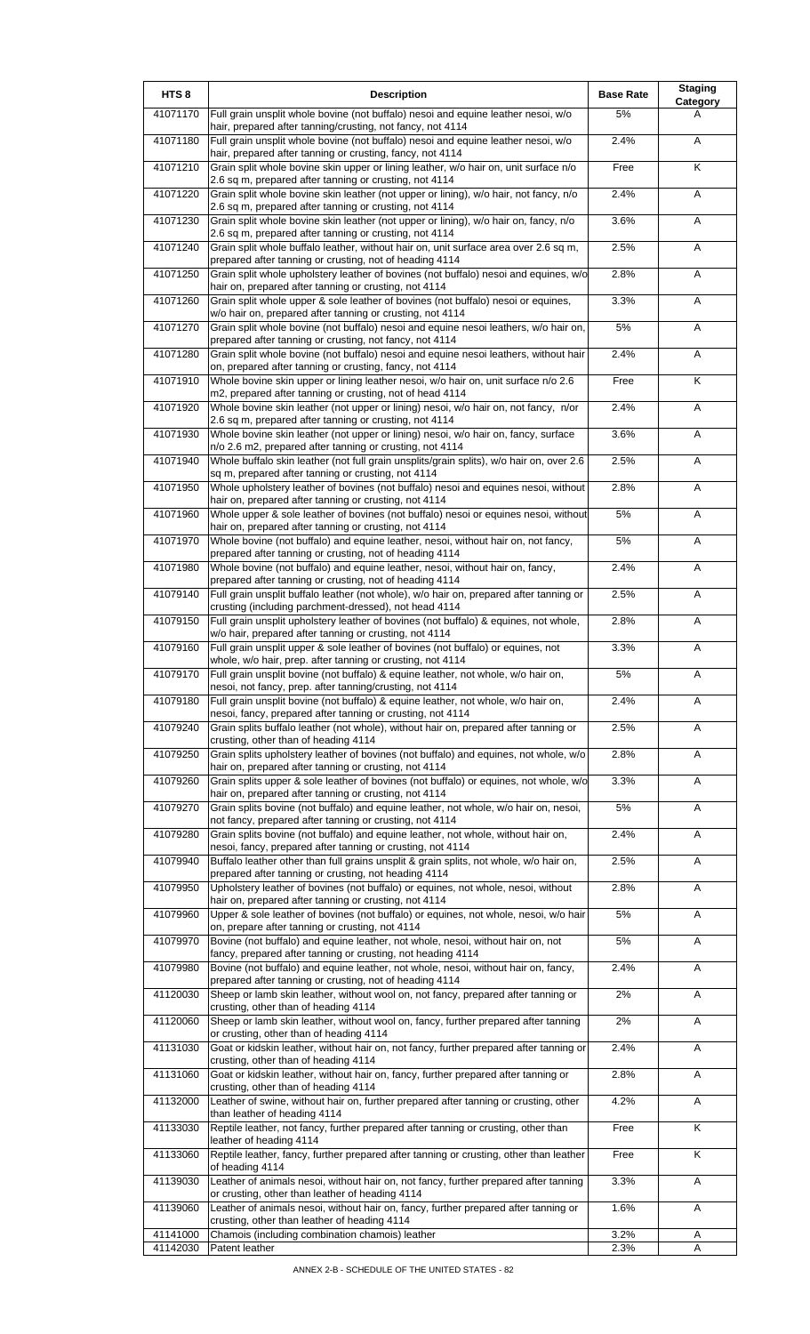| HTS <sub>8</sub> | <b>Description</b>                                                                                                                                 | <b>Base Rate</b> | <b>Staging</b><br>Category |
|------------------|----------------------------------------------------------------------------------------------------------------------------------------------------|------------------|----------------------------|
| 41071170         | Full grain unsplit whole bovine (not buffalo) nesoi and equine leather nesoi, w/o<br>hair, prepared after tanning/crusting, not fancy, not 4114    | 5%               | A                          |
| 41071180         | Full grain unsplit whole bovine (not buffalo) nesoi and equine leather nesoi, w/o<br>hair, prepared after tanning or crusting, fancy, not 4114     | 2.4%             | Α                          |
| 41071210         | Grain split whole bovine skin upper or lining leather, w/o hair on, unit surface n/o<br>2.6 sq m, prepared after tanning or crusting, not 4114     | Free             | Κ                          |
| 41071220         | Grain split whole bovine skin leather (not upper or lining), w/o hair, not fancy, n/o                                                              | 2.4%             | Α                          |
| 41071230         | 2.6 sq m, prepared after tanning or crusting, not 4114<br>Grain split whole bovine skin leather (not upper or lining), w/o hair on, fancy, n/o     | 3.6%             | Α                          |
| 41071240         | 2.6 sq m, prepared after tanning or crusting, not 4114<br>Grain split whole buffalo leather, without hair on, unit surface area over 2.6 sq m,     | 2.5%             | Α                          |
| 41071250         | prepared after tanning or crusting, not of heading 4114<br>Grain split whole upholstery leather of bovines (not buffalo) nesoi and equines, w/o    | 2.8%             | Α                          |
| 41071260         | hair on, prepared after tanning or crusting, not 4114<br>Grain split whole upper & sole leather of bovines (not buffalo) nesoi or equines,         | 3.3%             | Α                          |
| 41071270         | w/o hair on, prepared after tanning or crusting, not 4114<br>Grain split whole bovine (not buffalo) nesoi and equine nesoi leathers, w/o hair on,  | $5\%$            | Α                          |
| 41071280         | prepared after tanning or crusting, not fancy, not 4114<br>Grain split whole bovine (not buffalo) nesoi and equine nesoi leathers, without hair    | 2.4%             | Α                          |
| 41071910         | on, prepared after tanning or crusting, fancy, not 4114<br>Whole bovine skin upper or lining leather nesoi, w/o hair on, unit surface n/o 2.6      | Free             | Κ                          |
|                  | m2, prepared after tanning or crusting, not of head 4114                                                                                           |                  |                            |
| 41071920         | Whole bovine skin leather (not upper or lining) nesoi, w/o hair on, not fancy, n/or<br>2.6 sq m, prepared after tanning or crusting, not 4114      | 2.4%             | Α                          |
| 41071930         | Whole bovine skin leather (not upper or lining) nesoi, w/o hair on, fancy, surface<br>n/o 2.6 m2, prepared after tanning or crusting, not 4114     | 3.6%             | A                          |
| 41071940         | Whole buffalo skin leather (not full grain unsplits/grain splits), w/o hair on, over 2.6<br>sq m, prepared after tanning or crusting, not 4114     | 2.5%             | Α                          |
| 41071950         | Whole upholstery leather of bovines (not buffalo) nesoi and equines nesoi, without<br>hair on, prepared after tanning or crusting, not 4114        | 2.8%             | Α                          |
| 41071960         | Whole upper & sole leather of bovines (not buffalo) nesoi or equines nesoi, without<br>hair on, prepared after tanning or crusting, not 4114       | 5%               | Α                          |
| 41071970         | Whole bovine (not buffalo) and equine leather, nesoi, without hair on, not fancy,<br>prepared after tanning or crusting, not of heading 4114       | 5%               | Α                          |
| 41071980         | Whole bovine (not buffalo) and equine leather, nesoi, without hair on, fancy,<br>prepared after tanning or crusting, not of heading 4114           | 2.4%             | Α                          |
| 41079140         | Full grain unsplit buffalo leather (not whole), w/o hair on, prepared after tanning or                                                             | 2.5%             | Α                          |
| 41079150         | crusting (including parchment-dressed), not head 4114<br>Full grain unsplit upholstery leather of bovines (not buffalo) & equines, not whole,      | 2.8%             | Α                          |
| 41079160         | w/o hair, prepared after tanning or crusting, not 4114<br>Full grain unsplit upper & sole leather of bovines (not buffalo) or equines, not         | 3.3%             | A                          |
| 41079170         | whole, w/o hair, prep. after tanning or crusting, not 4114<br>Full grain unsplit bovine (not buffalo) & equine leather, not whole, w/o hair on,    | 5%               | A                          |
| 41079180         | nesoi, not fancy, prep. after tanning/crusting, not 4114<br>Full grain unsplit bovine (not buffalo) & equine leather, not whole, w/o hair on,      | 2.4%             | Α                          |
| 41079240         | nesoi, fancy, prepared after tanning or crusting, not 4114<br>Grain splits buffalo leather (not whole), without hair on, prepared after tanning or | 2.5%             | Α                          |
| 41079250         | crusting, other than of heading 4114<br>Grain splits upholstery leather of bovines (not buffalo) and equines, not whole, w/o                       | 2.8%             | Α                          |
| 41079260         | hair on, prepared after tanning or crusting, not 4114<br>Grain splits upper & sole leather of bovines (not buffalo) or equines, not whole, w/o     | 3.3%             | Α                          |
|                  | hair on, prepared after tanning or crusting, not 4114                                                                                              | 5%               |                            |
| 41079270         | Grain splits bovine (not buffalo) and equine leather, not whole, w/o hair on, nesoi,<br>not fancy, prepared after tanning or crusting, not 4114    |                  | Α                          |
| 41079280         | Grain splits bovine (not buffalo) and equine leather, not whole, without hair on,<br>nesoi, fancy, prepared after tanning or crusting, not 4114    | 2.4%             | Α                          |
| 41079940         | Buffalo leather other than full grains unsplit & grain splits, not whole, w/o hair on,<br>prepared after tanning or crusting, not heading 4114     | 2.5%             | Α                          |
| 41079950         | Upholstery leather of bovines (not buffalo) or equines, not whole, nesoi, without<br>hair on, prepared after tanning or crusting, not 4114         | 2.8%             | Α                          |
| 41079960         | Upper & sole leather of bovines (not buffalo) or equines, not whole, nesoi, w/o hair<br>on, prepare after tanning or crusting, not 4114            | 5%               | Α                          |
| 41079970         | Bovine (not buffalo) and equine leather, not whole, nesoi, without hair on, not<br>fancy, prepared after tanning or crusting, not heading 4114     | $5\%$            | Α                          |
| 41079980         | Bovine (not buffalo) and equine leather, not whole, nesoi, without hair on, fancy,<br>prepared after tanning or crusting, not of heading 4114      | 2.4%             | Α                          |
| 41120030         | Sheep or lamb skin leather, without wool on, not fancy, prepared after tanning or<br>crusting, other than of heading 4114                          | 2%               | Α                          |
| 41120060         | Sheep or lamb skin leather, without wool on, fancy, further prepared after tanning<br>or crusting, other than of heading 4114                      | 2%               | Α                          |
| 41131030         | Goat or kidskin leather, without hair on, not fancy, further prepared after tanning or                                                             | 2.4%             | Α                          |
| 41131060         | crusting, other than of heading 4114<br>Goat or kidskin leather, without hair on, fancy, further prepared after tanning or                         | 2.8%             | Α                          |
| 41132000         | crusting, other than of heading 4114<br>Leather of swine, without hair on, further prepared after tanning or crusting, other                       | 4.2%             | Α                          |
| 41133030         | than leather of heading 4114<br>Reptile leather, not fancy, further prepared after tanning or crusting, other than                                 | Free             | Κ                          |
| 41133060         | leather of heading 4114<br>Reptile leather, fancy, further prepared after tanning or crusting, other than leather                                  | Free             | Κ                          |
| 41139030         | of heading 4114<br>Leather of animals nesoi, without hair on, not fancy, further prepared after tanning                                            | 3.3%             | Α                          |
| 41139060         | or crusting, other than leather of heading 4114<br>Leather of animals nesoi, without hair on, fancy, further prepared after tanning or             | 1.6%             | A                          |
| 41141000         | crusting, other than leather of heading 4114<br>Chamois (including combination chamois) leather                                                    | 3.2%             | Α                          |
| 41142030         | Patent leather                                                                                                                                     | 2.3%             | Α                          |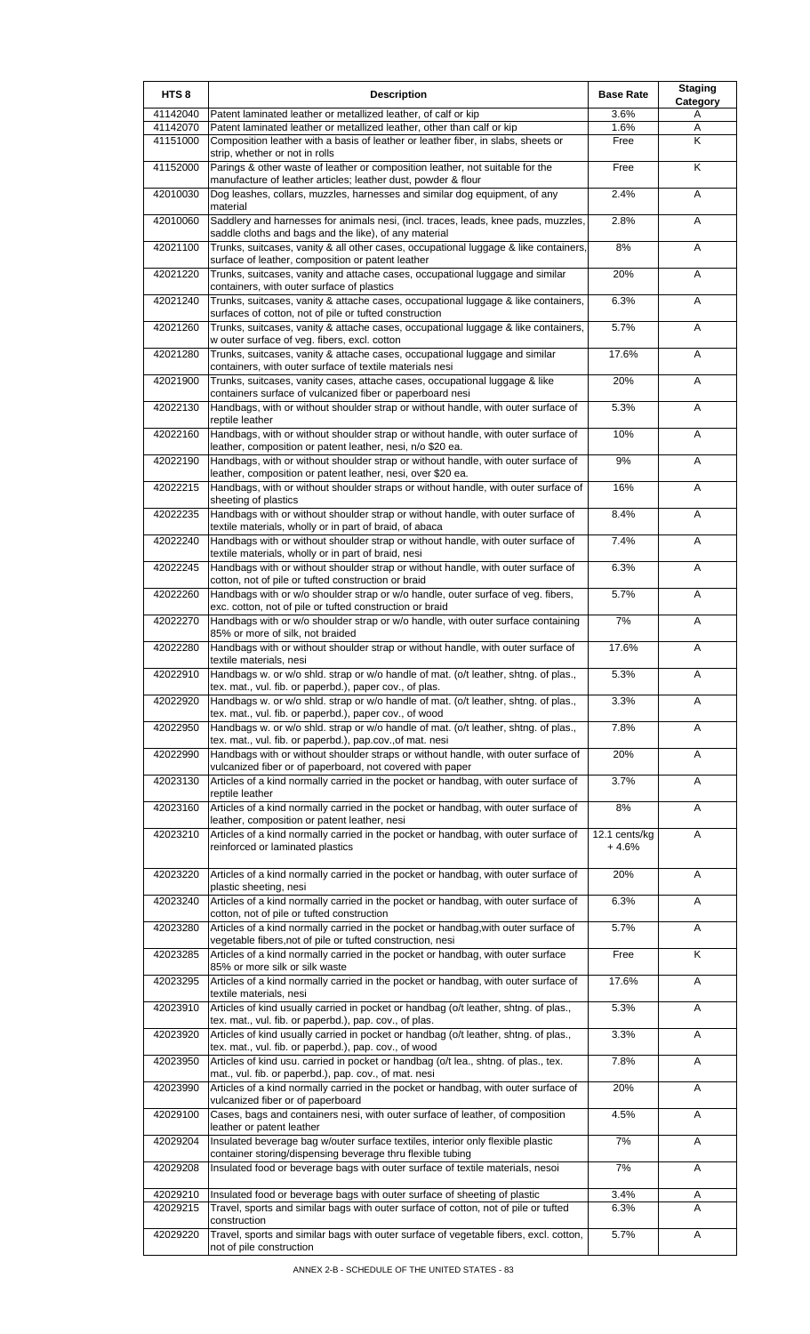| HTS <sub>8</sub>     | <b>Description</b>                                                                                                                                          | <b>Base Rate</b>         | <b>Staging</b><br>Category |
|----------------------|-------------------------------------------------------------------------------------------------------------------------------------------------------------|--------------------------|----------------------------|
| 41142040             | Patent laminated leather or metallized leather, of calf or kip                                                                                              | 3.6%                     | Α                          |
| 41142070<br>41151000 | Patent laminated leather or metallized leather, other than calf or kip<br>Composition leather with a basis of leather or leather fiber, in slabs, sheets or | 1.6%<br>Free             | Α<br>K                     |
|                      | strip, whether or not in rolls                                                                                                                              |                          |                            |
| 41152000             | Parings & other waste of leather or composition leather, not suitable for the<br>manufacture of leather articles; leather dust, powder & flour              | Free                     | K                          |
| 42010030             | Dog leashes, collars, muzzles, harnesses and similar dog equipment, of any                                                                                  | 2.4%                     | A                          |
| 42010060             | material<br>Saddlery and harnesses for animals nesi, (incl. traces, leads, knee pads, muzzles,                                                              | 2.8%                     | A                          |
| 42021100             | saddle cloths and bags and the like), of any material<br>Trunks, suitcases, vanity & all other cases, occupational luggage & like containers,               | 8%                       | Α                          |
| 42021220             | surface of leather, composition or patent leather<br>Trunks, suitcases, vanity and attache cases, occupational luggage and similar                          | 20%                      | A                          |
| 42021240             | containers, with outer surface of plastics<br>Trunks, suitcases, vanity & attache cases, occupational luggage & like containers,                            | 6.3%                     | A                          |
|                      | surfaces of cotton, not of pile or tufted construction                                                                                                      |                          |                            |
| 42021260             | Trunks, suitcases, vanity & attache cases, occupational luggage & like containers,<br>w outer surface of veg. fibers, excl. cotton                          | 5.7%                     | Α                          |
| 42021280             | Trunks, suitcases, vanity & attache cases, occupational luggage and similar<br>containers, with outer surface of textile materials nesi                     | 17.6%                    | A                          |
| 42021900             | Trunks, suitcases, vanity cases, attache cases, occupational luggage & like<br>containers surface of vulcanized fiber or paperboard nesi                    | 20%                      | A                          |
| 42022130             | Handbags, with or without shoulder strap or without handle, with outer surface of<br>reptile leather                                                        | 5.3%                     | A                          |
| 42022160             | Handbags, with or without shoulder strap or without handle, with outer surface of<br>leather, composition or patent leather, nesi, n/o \$20 ea.             | 10%                      | A                          |
| 42022190             | Handbags, with or without shoulder strap or without handle, with outer surface of<br>leather, composition or patent leather, nesi, over \$20 ea.            | 9%                       | Α                          |
| 42022215             | Handbags, with or without shoulder straps or without handle, with outer surface of                                                                          | 16%                      | A                          |
| 42022235             | sheeting of plastics<br>Handbags with or without shoulder strap or without handle, with outer surface of                                                    | 8.4%                     | A                          |
| 42022240             | textile materials, wholly or in part of braid, of abaca<br>Handbags with or without shoulder strap or without handle, with outer surface of                 | 7.4%                     | Α                          |
| 42022245             | textile materials, wholly or in part of braid, nesi<br>Handbags with or without shoulder strap or without handle, with outer surface of                     | 6.3%                     | Α                          |
| 42022260             | cotton, not of pile or tufted construction or braid<br>Handbags with or w/o shoulder strap or w/o handle, outer surface of veg. fibers,                     | 5.7%                     | A                          |
| 42022270             | exc. cotton, not of pile or tufted construction or braid<br>Handbags with or w/o shoulder strap or w/o handle, with outer surface containing                | 7%                       | Α                          |
| 42022280             | 85% or more of silk, not braided<br>Handbags with or without shoulder strap or without handle, with outer surface of                                        | 17.6%                    | A                          |
|                      | textile materials, nesi                                                                                                                                     |                          |                            |
| 42022910             | Handbags w. or w/o shid. strap or w/o handle of mat. (o/t leather, shtng. of plas.,<br>tex. mat., vul. fib. or paperbd.), paper cov., of plas.              | 5.3%                     | A                          |
| 42022920             | Handbags w. or w/o shld. strap or w/o handle of mat. (o/t leather, shtng. of plas.,<br>tex. mat., vul. fib. or paperbd.), paper cov., of wood               | 3.3%                     | Α                          |
| 42022950             | Handbags w. or w/o shld. strap or w/o handle of mat. (o/t leather, shtng. of plas.,<br>tex. mat., vul. fib. or paperbd.), pap.cov., of mat. nesi            | 7.8%                     | A                          |
| 42022990             | Handbags with or without shoulder straps or without handle, with outer surface of<br>vulcanized fiber or of paperboard, not covered with paper              | 20%                      | Α                          |
| 42023130             | Articles of a kind normally carried in the pocket or handbag, with outer surface of<br>reptile leather                                                      | 3.7%                     | Α                          |
| 42023160             | Articles of a kind normally carried in the pocket or handbag, with outer surface of<br>leather, composition or patent leather, nesi                         | 8%                       | Α                          |
| 42023210             | Articles of a kind normally carried in the pocket or handbag, with outer surface of<br>reinforced or laminated plastics                                     | 12.1 cents/kg<br>$+4.6%$ | Α                          |
| 42023220             | Articles of a kind normally carried in the pocket or handbag, with outer surface of                                                                         | 20%                      | Α                          |
| 42023240             | plastic sheeting, nesi<br>Articles of a kind normally carried in the pocket or handbag, with outer surface of                                               | 6.3%                     | Α                          |
|                      | cotton, not of pile or tufted construction                                                                                                                  |                          |                            |
| 42023280             | Articles of a kind normally carried in the pocket or handbag, with outer surface of<br>vegetable fibers, not of pile or tufted construction, nesi           | 5.7%                     | A                          |
| 42023285             | Articles of a kind normally carried in the pocket or handbag, with outer surface<br>85% or more silk or silk waste                                          | Free                     | K                          |
| 42023295             | Articles of a kind normally carried in the pocket or handbag, with outer surface of<br>textile materials, nesi                                              | 17.6%                    | Α                          |
| 42023910             | Articles of kind usually carried in pocket or handbag (o/t leather, shtng. of plas.,<br>tex. mat., vul. fib. or paperbd.), pap. cov., of plas.              | 5.3%                     | Α                          |
| 42023920             | Articles of kind usually carried in pocket or handbag (o/t leather, shtng. of plas.,<br>tex. mat., vul. fib. or paperbd.), pap. cov., of wood               | 3.3%                     | Α                          |
| 42023950             | Articles of kind usu. carried in pocket or handbag (o/t lea., shtng. of plas., tex.<br>mat., vul. fib. or paperbd.), pap. cov., of mat. nesi                | 7.8%                     | A                          |
| 42023990             | Articles of a kind normally carried in the pocket or handbag, with outer surface of<br>vulcanized fiber or of paperboard                                    | 20%                      | Α                          |
| 42029100             | Cases, bags and containers nesi, with outer surface of leather, of composition<br>leather or patent leather                                                 | 4.5%                     | Α                          |
| 42029204             | Insulated beverage bag w/outer surface textiles, interior only flexible plastic<br>container storing/dispensing beverage thru flexible tubing               | 7%                       | Α                          |
| 42029208             | Insulated food or beverage bags with outer surface of textile materials, nesoi                                                                              | 7%                       | Α                          |
| 42029210             | Insulated food or beverage bags with outer surface of sheeting of plastic                                                                                   | 3.4%                     | Α                          |
| 42029215             | Travel, sports and similar bags with outer surface of cotton, not of pile or tufted                                                                         | 6.3%                     | A                          |
| 42029220             | construction<br>Travel, sports and similar bags with outer surface of vegetable fibers, excl. cotton,<br>not of pile construction                           | 5.7%                     | Α                          |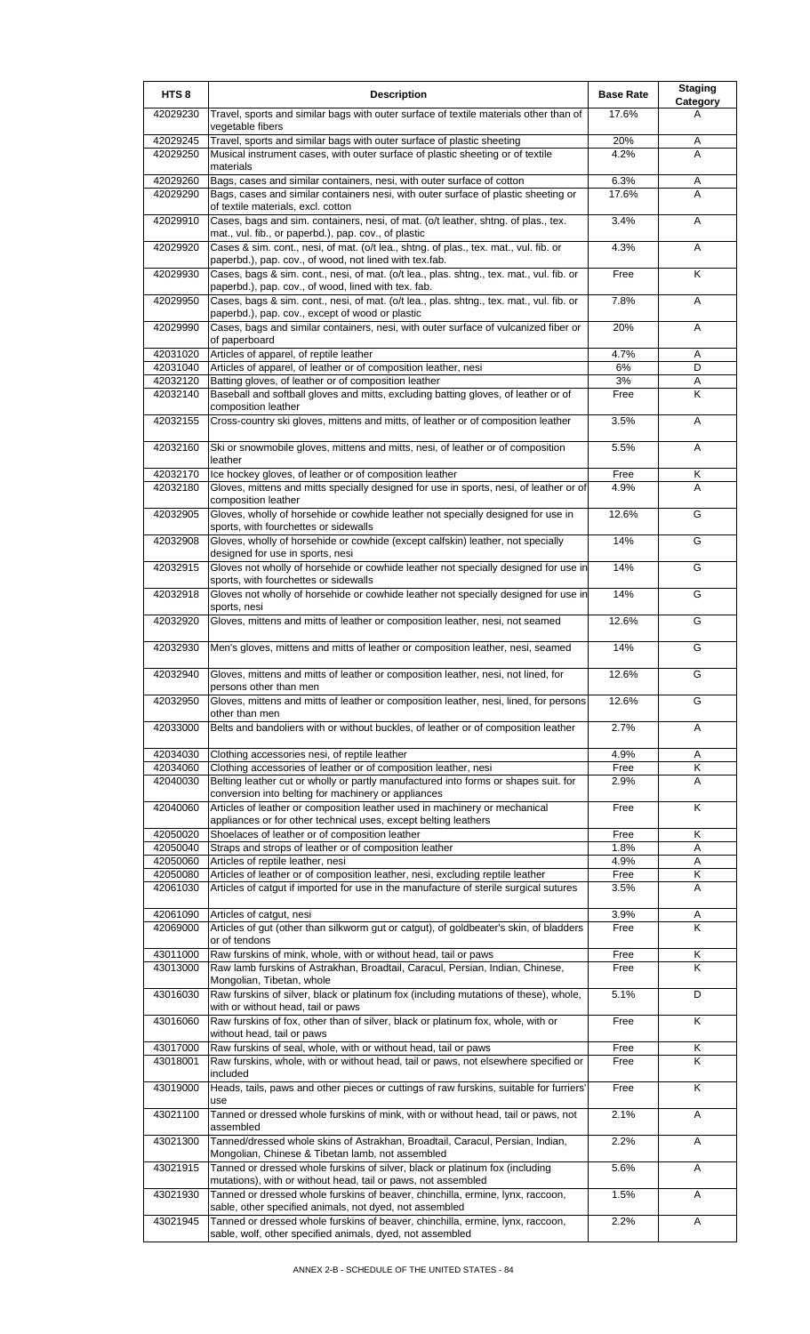| HTS <sub>8</sub>     | <b>Description</b>                                                                                                                                      | <b>Base Rate</b> | <b>Staging</b><br>Category |
|----------------------|---------------------------------------------------------------------------------------------------------------------------------------------------------|------------------|----------------------------|
| 42029230             | Travel, sports and similar bags with outer surface of textile materials other than of<br>vegetable fibers                                               | 17.6%            | A                          |
| 42029245             | Travel, sports and similar bags with outer surface of plastic sheeting                                                                                  | 20%              | A                          |
| 42029250             | Musical instrument cases, with outer surface of plastic sheeting or of textile<br>materials                                                             | 4.2%             | A                          |
| 42029260             | Bags, cases and similar containers, nesi, with outer surface of cotton                                                                                  | 6.3%             | Α                          |
| 42029290             | Bags, cases and similar containers nesi, with outer surface of plastic sheeting or<br>of textile materials, excl. cotton                                | 17.6%            | A                          |
| 42029910             | Cases, bags and sim. containers, nesi, of mat. (o/t leather, shtng. of plas., tex.<br>mat., vul. fib., or paperbd.), pap. cov., of plastic              | 3.4%             | A                          |
| 42029920             | Cases & sim. cont., nesi, of mat. (o/t lea., shtng. of plas., tex. mat., vul. fib. or                                                                   | 4.3%             | A                          |
| 42029930             | paperbd.), pap. cov., of wood, not lined with tex.fab.<br>Cases, bags & sim. cont., nesi, of mat. (o/t lea., plas. shtng., tex. mat., vul. fib. or      | Free             | K                          |
| 42029950             | paperbd.), pap. cov., of wood, lined with tex. fab.<br>Cases, bags & sim. cont., nesi, of mat. (o/t lea., plas. shtng., tex. mat., vul. fib. or         | 7.8%             | A                          |
| 42029990             | paperbd.), pap. cov., except of wood or plastic<br>Cases, bags and similar containers, nesi, with outer surface of vulcanized fiber or<br>of paperboard | 20%              | A                          |
| 42031020             | Articles of apparel, of reptile leather                                                                                                                 | 4.7%             | Α                          |
| 42031040             | Articles of apparel, of leather or of composition leather, nesi                                                                                         | 6%               | D                          |
| 42032120             | Batting gloves, of leather or of composition leather                                                                                                    | 3%               | A                          |
| 42032140             | Baseball and softball gloves and mitts, excluding batting gloves, of leather or of<br>composition leather                                               | Free             | K                          |
| 42032155             | Cross-country ski gloves, mittens and mitts, of leather or of composition leather                                                                       | 3.5%             | A                          |
| 42032160             | Ski or snowmobile gloves, mittens and mitts, nesi, of leather or of composition<br>leather                                                              | 5.5%             | A                          |
| 42032170             | Ice hockey gloves, of leather or of composition leather                                                                                                 | Free             | Κ                          |
| 42032180             | Gloves, mittens and mitts specially designed for use in sports, nesi, of leather or of<br>composition leather                                           | 4.9%             | A                          |
| 42032905             | Gloves, wholly of horsehide or cowhide leather not specially designed for use in<br>sports, with fourchettes or sidewalls                               | 12.6%            | G                          |
| 42032908             | Gloves, wholly of horsehide or cowhide (except calfskin) leather, not specially<br>designed for use in sports, nesi                                     | 14%              | G                          |
| 42032915             | Gloves not wholly of horsehide or cowhide leather not specially designed for use in<br>sports, with fourchettes or sidewalls                            | 14%              | G                          |
| 42032918             | Gloves not wholly of horsehide or cowhide leather not specially designed for use in<br>sports, nesi                                                     | 14%              | G                          |
| 42032920             | Gloves, mittens and mitts of leather or composition leather, nesi, not seamed                                                                           | 12.6%            | G                          |
| 42032930             | Men's gloves, mittens and mitts of leather or composition leather, nesi, seamed                                                                         | 14%              | G                          |
| 42032940             | Gloves, mittens and mitts of leather or composition leather, nesi, not lined, for<br>persons other than men                                             | 12.6%            | G                          |
| 42032950             | Gloves, mittens and mitts of leather or composition leather, nesi, lined, for persons<br>other than men                                                 | 12.6%            | G                          |
| 42033000             | Belts and bandoliers with or without buckles, of leather or of composition leather                                                                      | 2.7%             | A                          |
| 42034030             | Clothing accessories nesi, of reptile leather                                                                                                           | 4.9%             | Α                          |
| 42034060             | Clothing accessories of leather or of composition leather, nesi                                                                                         | Free             | Κ                          |
| 42040030             | Belting leather cut or wholly or partly manufactured into forms or shapes suit. for<br>conversion into belting for machinery or appliances              | 2.9%             | Α                          |
| 42040060             | Articles of leather or composition leather used in machinery or mechanical<br>appliances or for other technical uses, except belting leathers           | Free             | Κ                          |
| 42050020<br>42050040 | Shoelaces of leather or of composition leather<br>Straps and strops of leather or of composition leather                                                | Free<br>1.8%     | Κ<br>Α                     |
| 42050060             | Articles of reptile leather, nesi                                                                                                                       | 4.9%             | Α                          |
| 42050080             | Articles of leather or of composition leather, nesi, excluding reptile leather                                                                          | Free             | Κ                          |
| 42061030             | Articles of catgut if imported for use in the manufacture of sterile surgical sutures                                                                   | 3.5%             | A                          |
| 42061090<br>42069000 | Articles of catgut, nesi<br>Articles of gut (other than silkworm gut or catgut), of goldbeater's skin, of bladders                                      | 3.9%<br>Free     | A<br>K                     |
|                      | or of tendons                                                                                                                                           |                  |                            |
| 43011000<br>43013000 | Raw furskins of mink, whole, with or without head, tail or paws<br>Raw lamb furskins of Astrakhan, Broadtail, Caracul, Persian, Indian, Chinese,        | Free<br>Free     | Κ<br>K                     |
| 43016030             | Mongolian, Tibetan, whole<br>Raw furskins of silver, black or platinum fox (including mutations of these), whole,                                       | 5.1%             | D                          |
| 43016060             | with or without head, tail or paws<br>Raw furskins of fox, other than of silver, black or platinum fox, whole, with or                                  | Free             | K                          |
| 43017000             | without head, tail or paws<br>Raw furskins of seal, whole, with or without head, tail or paws                                                           | Free             | Κ                          |
| 43018001             | Raw furskins, whole, with or without head, tail or paws, not elsewhere specified or<br>included                                                         | Free             | K                          |
| 43019000             | Heads, tails, paws and other pieces or cuttings of raw furskins, suitable for furriers'<br>use                                                          | Free             | K                          |
| 43021100             | Tanned or dressed whole furskins of mink, with or without head, tail or paws, not<br>assembled                                                          | 2.1%             | Α                          |
| 43021300             | Tanned/dressed whole skins of Astrakhan, Broadtail, Caracul, Persian, Indian,<br>Mongolian, Chinese & Tibetan lamb, not assembled                       | 2.2%             | Α                          |
| 43021915             | Tanned or dressed whole furskins of silver, black or platinum fox (including<br>mutations), with or without head, tail or paws, not assembled           | 5.6%             | Α                          |
| 43021930             | Tanned or dressed whole furskins of beaver, chinchilla, ermine, lynx, raccoon,<br>sable, other specified animals, not dyed, not assembled               | 1.5%             | Α                          |
| 43021945             | Tanned or dressed whole furskins of beaver, chinchilla, ermine, lynx, raccoon,<br>sable, wolf, other specified animals, dyed, not assembled             | 2.2%             | A                          |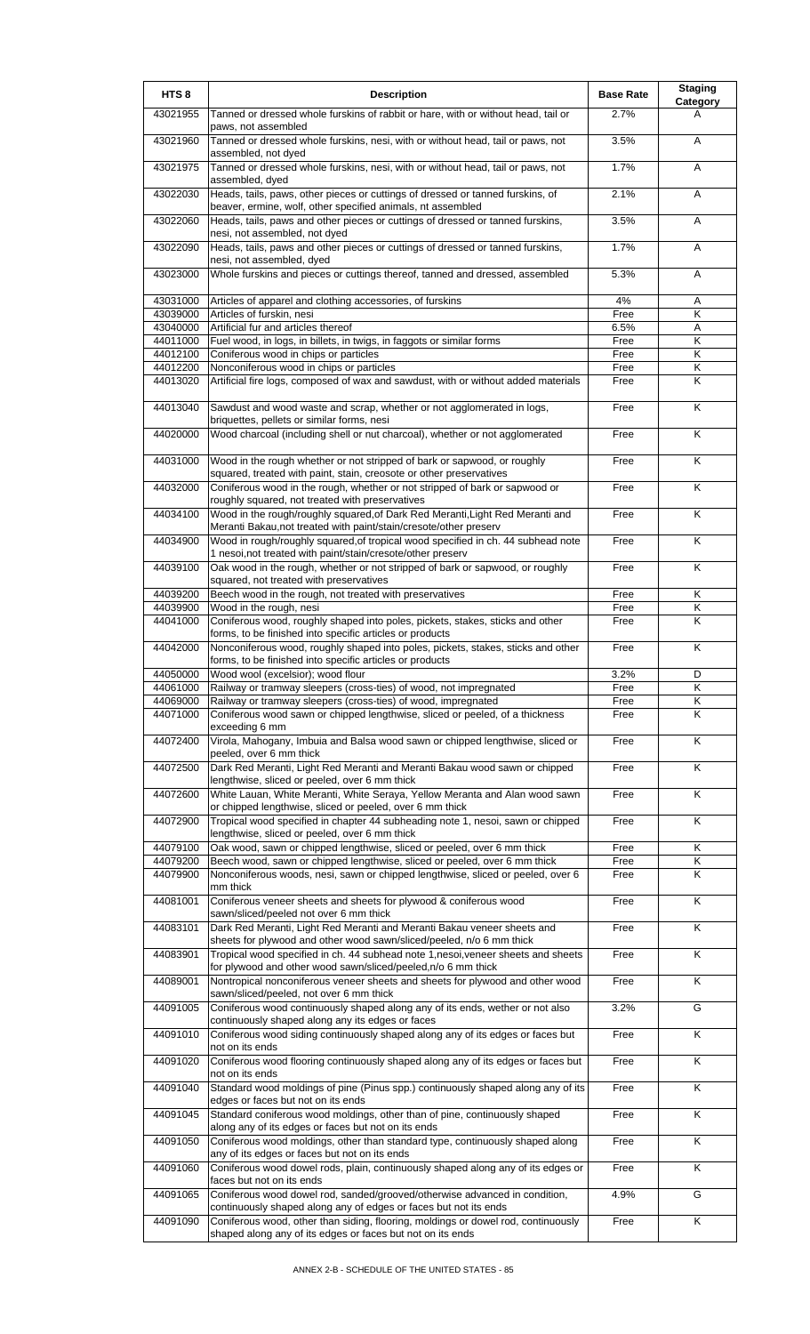| HTS <sub>8</sub>     | <b>Description</b>                                                                                                                                 | <b>Base Rate</b> | <b>Staging</b><br>Category |
|----------------------|----------------------------------------------------------------------------------------------------------------------------------------------------|------------------|----------------------------|
| 43021955             | Tanned or dressed whole furskins of rabbit or hare, with or without head, tail or<br>paws, not assembled                                           | 2.7%             | А                          |
| 43021960             | Tanned or dressed whole furskins, nesi, with or without head, tail or paws, not<br>assembled, not dyed                                             | 3.5%             | A                          |
| 43021975             | Tanned or dressed whole furskins, nesi, with or without head, tail or paws, not<br>assembled, dyed                                                 | 1.7%             | A                          |
| 43022030             | Heads, tails, paws, other pieces or cuttings of dressed or tanned furskins, of<br>beaver, ermine, wolf, other specified animals, nt assembled      | 2.1%             | A                          |
| 43022060             | Heads, tails, paws and other pieces or cuttings of dressed or tanned furskins,<br>nesi, not assembled, not dyed                                    | 3.5%             | A                          |
| 43022090             | Heads, tails, paws and other pieces or cuttings of dressed or tanned furskins,<br>nesi, not assembled, dyed                                        | 1.7%             | Α                          |
| 43023000             | Whole furskins and pieces or cuttings thereof, tanned and dressed, assembled                                                                       | 5.3%             | A                          |
| 43031000             | Articles of apparel and clothing accessories, of furskins                                                                                          | 4%               | Α                          |
| 43039000<br>43040000 | Articles of furskin, nesi<br>Artificial fur and articles thereof                                                                                   | Free<br>6.5%     | Κ<br>Α                     |
| 44011000             | Fuel wood, in logs, in billets, in twigs, in faggots or similar forms                                                                              | Free             | Κ                          |
| 44012100             | Coniferous wood in chips or particles                                                                                                              | Free             | Κ                          |
| 44012200             | Nonconiferous wood in chips or particles                                                                                                           | Free             | Κ                          |
| 44013020             | Artificial fire logs, composed of wax and sawdust, with or without added materials                                                                 | Free             | κ                          |
| 44013040             | Sawdust and wood waste and scrap, whether or not agglomerated in logs,                                                                             |                  | K                          |
|                      | briquettes, pellets or similar forms, nesi                                                                                                         | Free             |                            |
| 44020000             | Wood charcoal (including shell or nut charcoal), whether or not agglomerated                                                                       | Free             | K                          |
| 44031000             | Wood in the rough whether or not stripped of bark or sapwood, or roughly<br>squared, treated with paint, stain, creosote or other preservatives    | Free             | K                          |
| 44032000             | Coniferous wood in the rough, whether or not stripped of bark or sapwood or<br>roughly squared, not treated with preservatives                     | Free             | $\overline{\mathsf{K}}$    |
| 44034100             | Wood in the rough/roughly squared, of Dark Red Meranti, Light Red Meranti and<br>Meranti Bakau, not treated with paint/stain/cresote/other preserv | Free             | K                          |
| 44034900             | Wood in rough/roughly squared, of tropical wood specified in ch. 44 subhead note<br>1 nesoi, not treated with paint/stain/cresote/other preserv    | Free             | K                          |
| 44039100             | Oak wood in the rough, whether or not stripped of bark or sapwood, or roughly<br>squared, not treated with preservatives                           | Free             | Κ                          |
| 44039200             | Beech wood in the rough, not treated with preservatives                                                                                            | Free             | Κ                          |
| 44039900             | Wood in the rough, nesi                                                                                                                            | Free             | Κ                          |
| 44041000             | Coniferous wood, roughly shaped into poles, pickets, stakes, sticks and other<br>forms, to be finished into specific articles or products          | Free             | Κ                          |
| 44042000             | Nonconiferous wood, roughly shaped into poles, pickets, stakes, sticks and other<br>forms, to be finished into specific articles or products       | Free             | K                          |
| 44050000             | Wood wool (excelsior); wood flour                                                                                                                  | 3.2%             | D                          |
| 44061000             | Railway or tramway sleepers (cross-ties) of wood, not impregnated                                                                                  | Free             | Κ                          |
| 44069000<br>44071000 | Railway or tramway sleepers (cross-ties) of wood, impregnated<br>Coniferous wood sawn or chipped lengthwise, sliced or peeled, of a thickness      | Free<br>Free     | Κ<br>Κ                     |
| 44072400             | exceeding 6 mm<br>Virola, Mahogany, Imbuia and Balsa wood sawn or chipped lengthwise, sliced or                                                    | Free             | $\overline{\mathsf{K}}$    |
| 44072500             | peeled, over 6 mm thick<br>Dark Red Meranti, Light Red Meranti and Meranti Bakau wood sawn or chipped                                              | Free             | Κ                          |
| 44072600             | lengthwise, sliced or peeled, over 6 mm thick<br>White Lauan, White Meranti, White Seraya, Yellow Meranta and Alan wood sawn                       | Free             | Κ                          |
| 44072900             | or chipped lengthwise, sliced or peeled, over 6 mm thick<br>Tropical wood specified in chapter 44 subheading note 1, nesoi, sawn or chipped        | Free             | K                          |
| 44079100             | lengthwise, sliced or peeled, over 6 mm thick<br>Oak wood, sawn or chipped lengthwise, sliced or peeled, over 6 mm thick                           | Free             | Κ                          |
| 44079200             | Beech wood, sawn or chipped lengthwise, sliced or peeled, over 6 mm thick                                                                          | Free             | Κ                          |
| 44079900             | Nonconiferous woods, nesi, sawn or chipped lengthwise, sliced or peeled, over 6<br>mm thick                                                        | Free             | Κ                          |
| 44081001             | Coniferous veneer sheets and sheets for plywood & coniferous wood<br>sawn/sliced/peeled not over 6 mm thick                                        | Free             | Κ                          |
| 44083101             | Dark Red Meranti, Light Red Meranti and Meranti Bakau veneer sheets and<br>sheets for plywood and other wood sawn/sliced/peeled, n/o 6 mm thick    | Free             | K                          |
| 44083901             | Tropical wood specified in ch. 44 subhead note 1,nesoi, veneer sheets and sheets<br>for plywood and other wood sawn/sliced/peeled, n/o 6 mm thick  | Free             | Κ                          |
| 44089001             | Nontropical nonconiferous veneer sheets and sheets for plywood and other wood<br>sawn/sliced/peeled, not over 6 mm thick                           | Free             | K                          |
| 44091005             | Coniferous wood continuously shaped along any of its ends, wether or not also<br>continuously shaped along any its edges or faces                  | 3.2%             | G                          |
| 44091010             | Coniferous wood siding continuously shaped along any of its edges or faces but<br>not on its ends                                                  | Free             | $\overline{\mathsf{K}}$    |
| 44091020             | Coniferous wood flooring continuously shaped along any of its edges or faces but<br>not on its ends                                                | Free             | K                          |
| 44091040             | Standard wood moldings of pine (Pinus spp.) continuously shaped along any of its<br>edges or faces but not on its ends                             | Free             | Κ                          |
| 44091045             | Standard coniferous wood moldings, other than of pine, continuously shaped<br>along any of its edges or faces but not on its ends                  | Free             | Κ                          |
| 44091050             | Coniferous wood moldings, other than standard type, continuously shaped along<br>any of its edges or faces but not on its ends                     | Free             | Κ                          |
| 44091060             | Coniferous wood dowel rods, plain, continuously shaped along any of its edges or<br>faces but not on its ends                                      | Free             | Κ                          |
| 44091065             | Coniferous wood dowel rod, sanded/grooved/otherwise advanced in condition,<br>continuously shaped along any of edges or faces but not its ends     | 4.9%             | G                          |
| 44091090             | Coniferous wood, other than siding, flooring, moldings or dowel rod, continuously<br>shaped along any of its edges or faces but not on its ends    | Free             | K                          |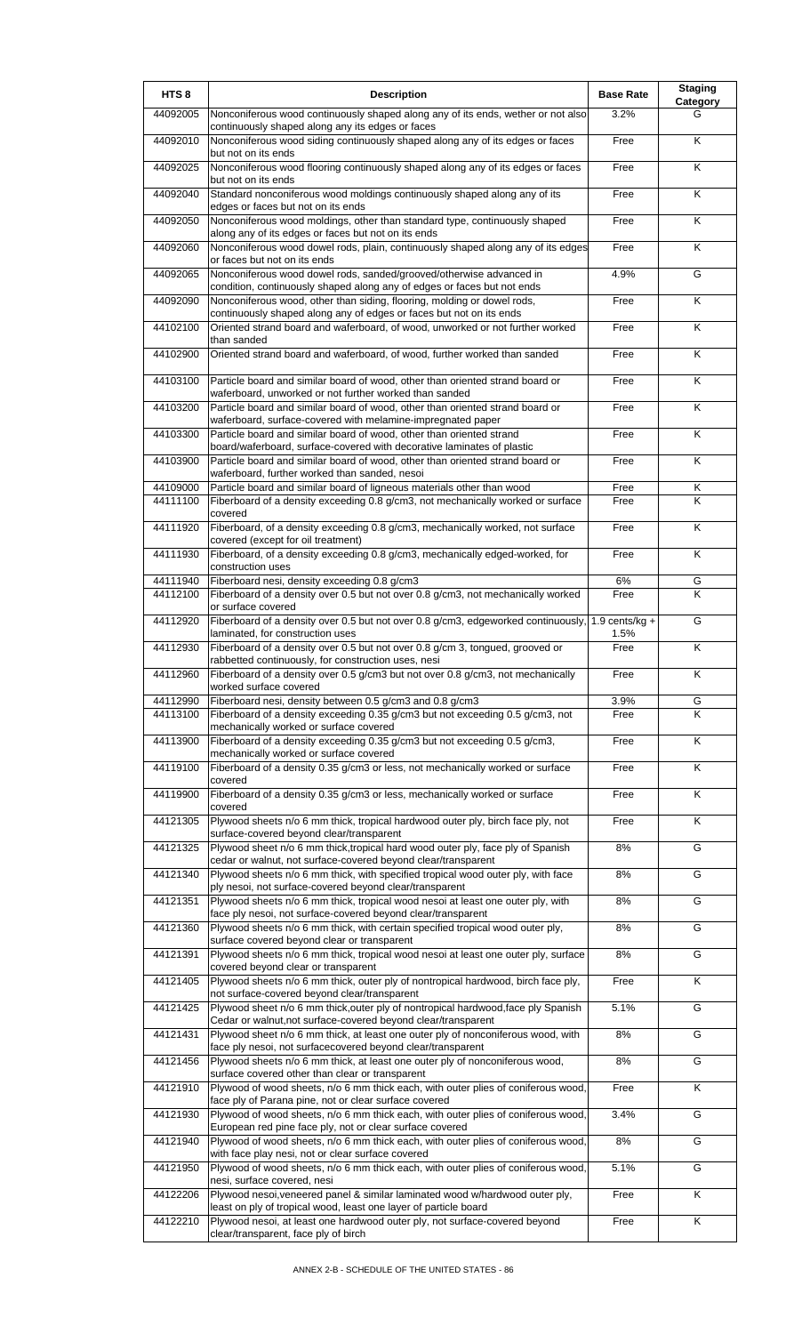| HTS <sub>8</sub>     | <b>Description</b>                                                                                                                                                                     | <b>Base Rate</b> | <b>Staging</b><br>Category |
|----------------------|----------------------------------------------------------------------------------------------------------------------------------------------------------------------------------------|------------------|----------------------------|
| 44092005             | Nonconiferous wood continuously shaped along any of its ends, wether or not also<br>continuously shaped along any its edges or faces                                                   | 3.2%             | G                          |
| 44092010             | Nonconiferous wood siding continuously shaped along any of its edges or faces<br>but not on its ends                                                                                   | Free             | K                          |
| 44092025             | Nonconiferous wood flooring continuously shaped along any of its edges or faces<br>but not on its ends                                                                                 | Free             | K                          |
| 44092040             | Standard nonconiferous wood moldings continuously shaped along any of its<br>edges or faces but not on its ends                                                                        | Free             | K                          |
| 44092050             | Nonconiferous wood moldings, other than standard type, continuously shaped<br>along any of its edges or faces but not on its ends                                                      | Free             | K                          |
| 44092060             | Nonconiferous wood dowel rods, plain, continuously shaped along any of its edges<br>or faces but not on its ends                                                                       | Free             | K                          |
| 44092065             | Nonconiferous wood dowel rods, sanded/grooved/otherwise advanced in<br>condition, continuously shaped along any of edges or faces but not ends                                         | 4.9%             | G                          |
| 44092090             | Nonconiferous wood, other than siding, flooring, molding or dowel rods,<br>continuously shaped along any of edges or faces but not on its ends                                         | Free             | Κ                          |
| 44102100             | Oriented strand board and waferboard, of wood, unworked or not further worked<br>than sanded                                                                                           | Free             | K                          |
| 44102900             | Oriented strand board and waferboard, of wood, further worked than sanded                                                                                                              | Free             | Κ                          |
| 44103100             | Particle board and similar board of wood, other than oriented strand board or<br>waferboard, unworked or not further worked than sanded                                                | Free             | Κ                          |
| 44103200             | Particle board and similar board of wood, other than oriented strand board or<br>waferboard, surface-covered with melamine-impregnated paper                                           | Free             | $\overline{\mathsf{K}}$    |
| 44103300             | Particle board and similar board of wood, other than oriented strand<br>board/waferboard, surface-covered with decorative laminates of plastic                                         | Free             | K                          |
| 44103900             | Particle board and similar board of wood, other than oriented strand board or                                                                                                          | Free             | Κ                          |
| 44109000             | waferboard, further worked than sanded, nesoi<br>Particle board and similar board of ligneous materials other than wood                                                                | Free             | Κ                          |
| 44111100             | Fiberboard of a density exceeding 0.8 g/cm3, not mechanically worked or surface<br>covered                                                                                             | Free             | K                          |
| 44111920             | Fiberboard, of a density exceeding 0.8 g/cm3, mechanically worked, not surface<br>covered (except for oil treatment)                                                                   | Free             | K                          |
| 44111930             | Fiberboard, of a density exceeding 0.8 g/cm3, mechanically edged-worked, for<br>construction uses                                                                                      | Free             | K                          |
| 44111940<br>44112100 | Fiberboard nesi, density exceeding 0.8 g/cm3<br>Fiberboard of a density over 0.5 but not over 0.8 g/cm3, not mechanically worked                                                       | 6%<br>Free       | G<br>K                     |
| 44112920             | or surface covered<br>Fiberboard of a density over 0.5 but not over 0.8 g/cm3, edgeworked continuously,                                                                                | $1.9$ cents/kg + | G                          |
|                      | laminated, for construction uses                                                                                                                                                       | 1.5%             |                            |
| 44112930             | Fiberboard of a density over 0.5 but not over 0.8 g/cm 3, tongued, grooved or<br>rabbetted continuously, for construction uses, nesi                                                   | Free             | $\overline{\mathsf{K}}$    |
| 44112960             | Fiberboard of a density over 0.5 g/cm3 but not over 0.8 g/cm3, not mechanically<br>worked surface covered                                                                              | Free             | Κ                          |
| 44112990<br>44113100 | Fiberboard nesi, density between 0.5 g/cm3 and 0.8 g/cm3<br>Fiberboard of a density exceeding 0.35 g/cm3 but not exceeding 0.5 g/cm3, not                                              | 3.9%<br>Free     | G<br>Κ                     |
| 44113900             | mechanically worked or surface covered<br>Fiberboard of a density exceeding 0.35 g/cm3 but not exceeding 0.5 g/cm3,                                                                    | Free             | $\overline{\mathsf{K}}$    |
| 44119100             | mechanically worked or surface covered<br>Fiberboard of a density 0.35 g/cm3 or less, not mechanically worked or surface                                                               | Free             | Κ                          |
| 44119900             | covered<br>Fiberboard of a density 0.35 g/cm3 or less, mechanically worked or surface                                                                                                  | Free             | Κ                          |
| 44121305             | covered<br>Plywood sheets n/o 6 mm thick, tropical hardwood outer ply, birch face ply, not                                                                                             | Free             | Κ                          |
| 44121325             | surface-covered beyond clear/transparent<br>Plywood sheet n/o 6 mm thick, tropical hard wood outer ply, face ply of Spanish                                                            | 8%               | G                          |
| 44121340             | cedar or walnut, not surface-covered beyond clear/transparent<br>Plywood sheets n/o 6 mm thick, with specified tropical wood outer ply, with face                                      | 8%               | G                          |
| 44121351             | ply nesoi, not surface-covered beyond clear/transparent<br>Plywood sheets n/o 6 mm thick, tropical wood nesoi at least one outer ply, with                                             | 8%               | G                          |
| 44121360             | face ply nesoi, not surface-covered beyond clear/transparent                                                                                                                           | 8%               | G                          |
|                      | Plywood sheets n/o 6 mm thick, with certain specified tropical wood outer ply,<br>surface covered beyond clear or transparent                                                          |                  |                            |
| 44121391             | Plywood sheets n/o 6 mm thick, tropical wood nesoi at least one outer ply, surface<br>covered beyond clear or transparent                                                              | 8%               | G                          |
| 44121405             | Plywood sheets n/o 6 mm thick, outer ply of nontropical hardwood, birch face ply,<br>not surface-covered beyond clear/transparent                                                      | Free             | Κ                          |
| 44121425             | Plywood sheet n/o 6 mm thick, outer ply of nontropical hardwood, face ply Spanish<br>Cedar or walnut, not surface-covered beyond clear/transparent                                     | 5.1%             | G                          |
| 44121431             | Plywood sheet n/o 6 mm thick, at least one outer ply of nonconiferous wood, with<br>face ply nesoi, not surfacecovered beyond clear/transparent                                        | 8%               | G                          |
| 44121456             | Plywood sheets n/o 6 mm thick, at least one outer ply of nonconiferous wood,<br>surface covered other than clear or transparent                                                        | 8%               | G                          |
| 44121910             | Plywood of wood sheets, n/o 6 mm thick each, with outer plies of coniferous wood,<br>face ply of Parana pine, not or clear surface covered                                             | Free             | Κ                          |
| 44121930             | Plywood of wood sheets, n/o 6 mm thick each, with outer plies of coniferous wood,<br>European red pine face ply, not or clear surface covered                                          | 3.4%             | G                          |
| 44121940             | Plywood of wood sheets, n/o 6 mm thick each, with outer plies of coniferous wood,                                                                                                      | 8%               | G                          |
| 44121950             | with face play nesi, not or clear surface covered<br>Plywood of wood sheets, n/o 6 mm thick each, with outer plies of coniferous wood,<br>nesi, surface covered, nesi                  | 5.1%             | G                          |
| 44122206             | Plywood nesoi, veneered panel & similar laminated wood w/hardwood outer ply,                                                                                                           | Free             | Κ                          |
| 44122210             | least on ply of tropical wood, least one layer of particle board<br>Plywood nesoi, at least one hardwood outer ply, not surface-covered beyond<br>clear/transparent, face ply of birch | Free             | Κ                          |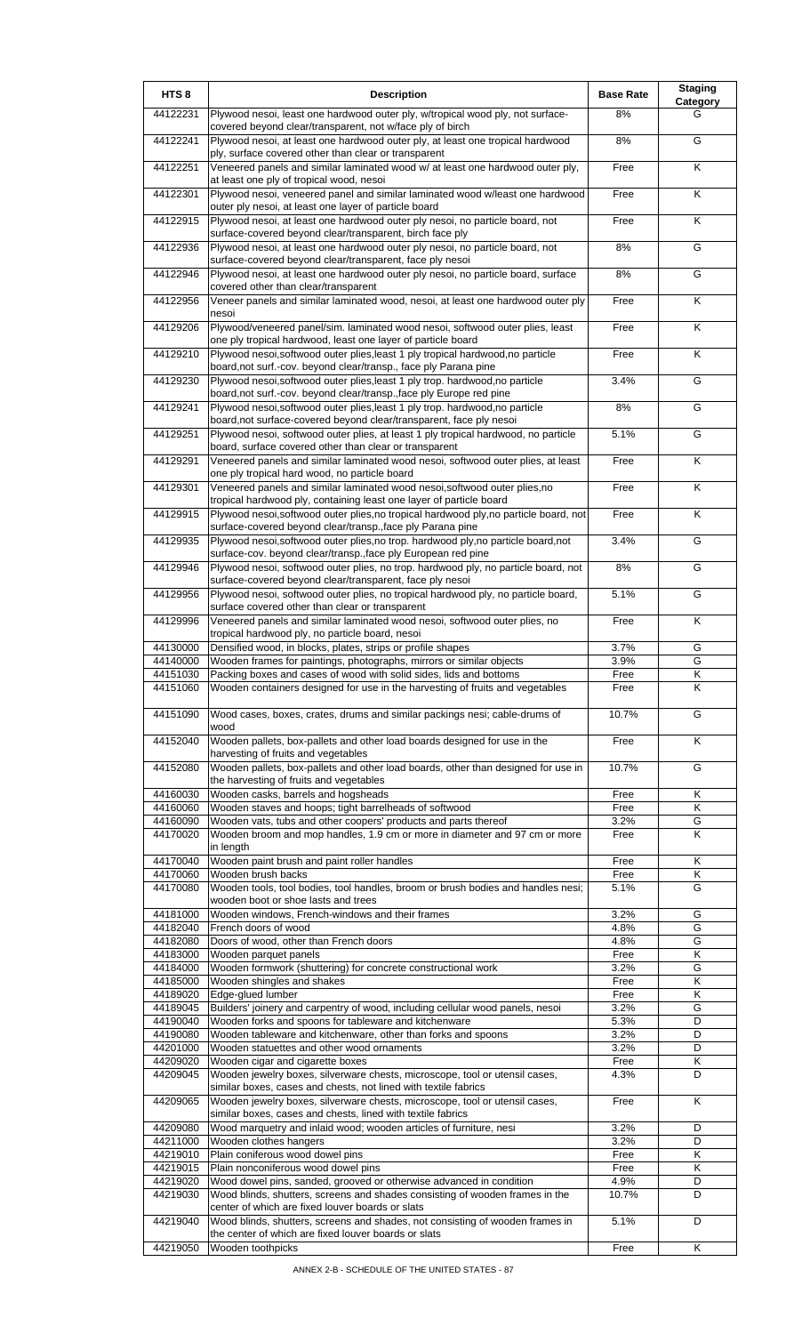| HTS <sub>8</sub>     | <b>Description</b>                                                                                                                                  | <b>Base Rate</b> | <b>Staging</b><br>Category |
|----------------------|-----------------------------------------------------------------------------------------------------------------------------------------------------|------------------|----------------------------|
| 44122231             | Plywood nesoi, least one hardwood outer ply, w/tropical wood ply, not surface-<br>covered beyond clear/transparent, not w/face ply of birch         | 8%               | G                          |
| 44122241             | Plywood nesoi, at least one hardwood outer ply, at least one tropical hardwood<br>ply, surface covered other than clear or transparent              | 8%               | G                          |
| 44122251             | Veneered panels and similar laminated wood w/ at least one hardwood outer ply,                                                                      | Free             | K                          |
| 44122301             | at least one ply of tropical wood, nesoi<br>Plywood nesoi, veneered panel and similar laminated wood w/least one hardwood                           | Free             | K                          |
| 44122915             | outer ply nesoi, at least one layer of particle board<br>Plywood nesoi, at least one hardwood outer ply nesoi, no particle board, not               | Free             | K                          |
| 44122936             | surface-covered beyond clear/transparent, birch face ply<br>Plywood nesoi, at least one hardwood outer ply nesoi, no particle board, not            | 8%               | G                          |
| 44122946             | surface-covered beyond clear/transparent, face ply nesoi<br>Plywood nesoi, at least one hardwood outer ply nesoi, no particle board, surface        | 8%               | G                          |
| 44122956             | covered other than clear/transparent<br>Veneer panels and similar laminated wood, nesoi, at least one hardwood outer ply                            | Free             | K                          |
| 44129206             | nesoi<br>Plywood/veneered panel/sim. laminated wood nesoi, softwood outer plies, least                                                              | Free             | K                          |
| 44129210             | one ply tropical hardwood, least one layer of particle board<br>Plywood nesoi, softwood outer plies, least 1 ply tropical hardwood, no particle     | Free             | K                          |
| 44129230             | board, not surf.-cov. beyond clear/transp., face ply Parana pine<br>Plywood nesoi, softwood outer plies, least 1 ply trop. hardwood, no particle    | 3.4%             | G                          |
|                      | board, not surf.-cov. beyond clear/transp., face ply Europe red pine                                                                                |                  |                            |
| 44129241             | Plywood nesoi, softwood outer plies, least 1 ply trop. hardwood, no particle<br>board, not surface-covered beyond clear/transparent, face ply nesoi | 8%               | G                          |
| 44129251             | Plywood nesoi, softwood outer plies, at least 1 ply tropical hardwood, no particle<br>board, surface covered other than clear or transparent        | 5.1%             | G                          |
| 44129291             | Veneered panels and similar laminated wood nesoi, softwood outer plies, at least<br>one ply tropical hard wood, no particle board                   | Free             | Κ                          |
| 44129301             | Veneered panels and similar laminated wood nesoi, softwood outer plies, no<br>tropical hardwood ply, containing least one layer of particle board   | Free             | $\overline{\mathsf{K}}$    |
| 44129915             | Plywood nesoi, softwood outer plies, no tropical hardwood ply, no particle board, not<br>surface-covered beyond clear/transp., face ply Parana pine | Free             | K                          |
| 44129935             | Plywood nesoi, softwood outer plies, no trop. hardwood ply, no particle board, not<br>surface-cov. beyond clear/transp., face ply European red pine | 3.4%             | G                          |
| 44129946             | Plywood nesoi, softwood outer plies, no trop. hardwood ply, no particle board, not                                                                  | 8%               | G                          |
| 44129956             | surface-covered beyond clear/transparent, face ply nesoi<br>Plywood nesoi, softwood outer plies, no tropical hardwood ply, no particle board,       | 5.1%             | G                          |
| 44129996             | surface covered other than clear or transparent<br>Veneered panels and similar laminated wood nesoi, softwood outer plies, no                       | Free             | Κ                          |
| 44130000             | tropical hardwood ply, no particle board, nesoi<br>Densified wood, in blocks, plates, strips or profile shapes                                      | 3.7%             | G                          |
| 44140000             | Wooden frames for paintings, photographs, mirrors or similar objects                                                                                | 3.9%             | G                          |
| 44151030<br>44151060 | Packing boxes and cases of wood with solid sides, lids and bottoms<br>Wooden containers designed for use in the harvesting of fruits and vegetables | Free<br>Free     | ĸ<br>ĸ                     |
| 44151090             | Wood cases, boxes, crates, drums and similar packings nesi; cable-drums of                                                                          | 10.7%            | G                          |
| 44152040             | wood<br>Wooden pallets, box-pallets and other load boards designed for use in the                                                                   | Free             | $\overline{\mathsf{K}}$    |
| 44152080             | harvesting of fruits and vegetables<br>Wooden pallets, box-pallets and other load boards, other than designed for use in                            | 10.7%            | G                          |
|                      | the harvesting of fruits and vegetables                                                                                                             |                  |                            |
| 44160030<br>44160060 | Wooden casks, barrels and hogsheads<br>Wooden staves and hoops; tight barrelheads of softwood                                                       | Free<br>Free     | Κ<br>K                     |
| 44160090             | Wooden vats, tubs and other coopers' products and parts thereof                                                                                     | 3.2%             | G                          |
| 44170020             | Wooden broom and mop handles, 1.9 cm or more in diameter and 97 cm or more<br>in length                                                             | Free             | Κ                          |
| 44170040<br>44170060 | Wooden paint brush and paint roller handles<br>Wooden brush backs                                                                                   | Free<br>Free     | K<br>Κ                     |
| 44170080             | Wooden tools, tool bodies, tool handles, broom or brush bodies and handles nesi;<br>wooden boot or shoe lasts and trees                             | 5.1%             | G                          |
| 44181000             | Wooden windows, French-windows and their frames                                                                                                     | 3.2%             | G                          |
| 44182040             | French doors of wood                                                                                                                                | 4.8%             | G                          |
| 44182080             | Doors of wood, other than French doors                                                                                                              | 4.8%             | G                          |
| 44183000<br>44184000 | Wooden parquet panels<br>Wooden formwork (shuttering) for concrete constructional work                                                              | Free<br>3.2%     | Κ<br>G                     |
| 44185000             | Wooden shingles and shakes                                                                                                                          | Free             | K                          |
| 44189020             | Edge-glued lumber                                                                                                                                   | Free             | Κ                          |
| 44189045             | Builders' joinery and carpentry of wood, including cellular wood panels, nesoi                                                                      | 3.2%             | G                          |
| 44190040             | Wooden forks and spoons for tableware and kitchenware                                                                                               | 5.3%             | D                          |
| 44190080<br>44201000 | Wooden tableware and kitchenware, other than forks and spoons<br>Wooden statuettes and other wood ornaments                                         | 3.2%<br>3.2%     | D<br>D                     |
| 44209020             | Wooden cigar and cigarette boxes                                                                                                                    | Free             | Κ                          |
| 44209045             | Wooden jewelry boxes, silverware chests, microscope, tool or utensil cases,                                                                         | 4.3%             | D                          |
| 44209065             | similar boxes, cases and chests, not lined with textile fabrics<br>Wooden jewelry boxes, silverware chests, microscope, tool or utensil cases,      | Free             | K                          |
|                      | similar boxes, cases and chests, lined with textile fabrics                                                                                         |                  |                            |
| 44209080             | Wood marquetry and inlaid wood; wooden articles of furniture, nesi                                                                                  | 3.2%<br>3.2%     | D<br>D                     |
| 44211000<br>44219010 | Wooden clothes hangers<br>Plain coniferous wood dowel pins                                                                                          | Free             | K                          |
| 44219015             | Plain nonconiferous wood dowel pins                                                                                                                 | Free             | Κ                          |
| 44219020             | Wood dowel pins, sanded, grooved or otherwise advanced in condition                                                                                 | 4.9%             | D                          |
| 44219030             | Wood blinds, shutters, screens and shades consisting of wooden frames in the<br>center of which are fixed louver boards or slats                    | 10.7%            | D                          |
| 44219040             | Wood blinds, shutters, screens and shades, not consisting of wooden frames in<br>the center of which are fixed louver boards or slats               | 5.1%             | D                          |
| 44219050             | Wooden toothpicks                                                                                                                                   | Free             | Κ                          |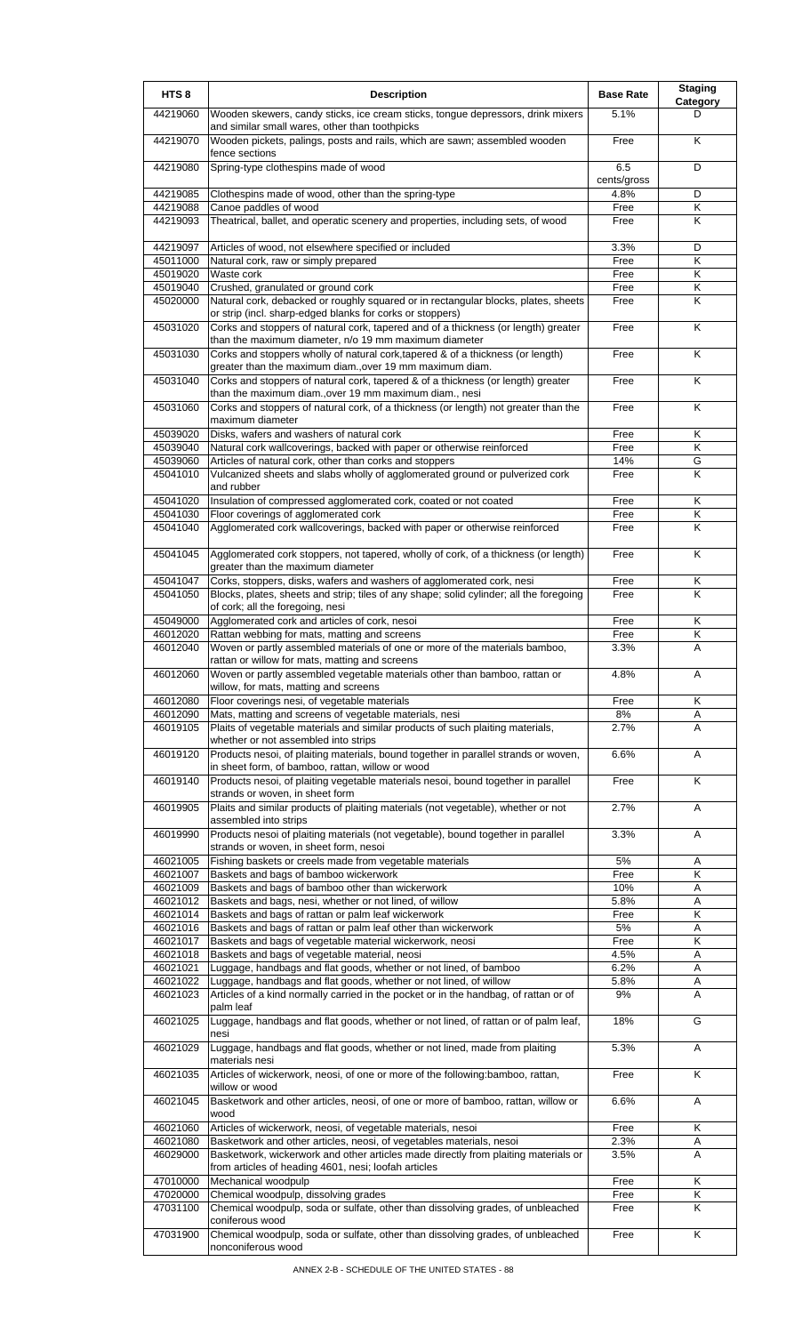| HTS <sub>8</sub>     | <b>Description</b>                                                                                                                                                                                        | <b>Base Rate</b>   | <b>Staging</b><br><b>Category</b> |
|----------------------|-----------------------------------------------------------------------------------------------------------------------------------------------------------------------------------------------------------|--------------------|-----------------------------------|
| 44219060             | Wooden skewers, candy sticks, ice cream sticks, tongue depressors, drink mixers<br>and similar small wares, other than toothpicks                                                                         | 5.1%               | D                                 |
| 44219070             | Wooden pickets, palings, posts and rails, which are sawn; assembled wooden<br>fence sections                                                                                                              | Free               | K                                 |
| 44219080             | Spring-type clothespins made of wood                                                                                                                                                                      | 6.5<br>cents/gross | D                                 |
| 44219085             | Clothespins made of wood, other than the spring-type                                                                                                                                                      | 4.8%               | D                                 |
| 44219088<br>44219093 | Canoe paddles of wood<br>Theatrical, ballet, and operatic scenery and properties, including sets, of wood                                                                                                 | Free<br>Free       | Κ<br>Κ                            |
| 44219097             | Articles of wood, not elsewhere specified or included                                                                                                                                                     | 3.3%               | D                                 |
| 45011000<br>45019020 | Natural cork, raw or simply prepared<br>Waste cork                                                                                                                                                        | Free<br>Free       | Κ<br>Κ                            |
| 45019040             | Crushed, granulated or ground cork                                                                                                                                                                        | Free               | Κ                                 |
| 45020000             | Natural cork, debacked or roughly squared or in rectangular blocks, plates, sheets<br>or strip (incl. sharp-edged blanks for corks or stoppers)                                                           | Free               | K                                 |
| 45031020             | Corks and stoppers of natural cork, tapered and of a thickness (or length) greater<br>than the maximum diameter, n/o 19 mm maximum diameter                                                               | Free               | K                                 |
| 45031030             | Corks and stoppers wholly of natural cork, tapered & of a thickness (or length)<br>greater than the maximum diam., over 19 mm maximum diam.                                                               | Free               | Κ                                 |
| 45031040             | Corks and stoppers of natural cork, tapered & of a thickness (or length) greater<br>than the maximum diam., over 19 mm maximum diam., nesi                                                                | Free               | K                                 |
| 45031060             | Corks and stoppers of natural cork, of a thickness (or length) not greater than the<br>maximum diameter                                                                                                   | Free               | Κ                                 |
| 45039020<br>45039040 | Disks, wafers and washers of natural cork<br>Natural cork wallcoverings, backed with paper or otherwise reinforced                                                                                        | Free<br>Free       | Κ<br>Κ                            |
| 45039060             | Articles of natural cork, other than corks and stoppers                                                                                                                                                   | 14%                | G                                 |
| 45041010             | Vulcanized sheets and slabs wholly of agglomerated ground or pulverized cork<br>and rubber                                                                                                                | Free               | Κ                                 |
| 45041020             | Insulation of compressed agglomerated cork, coated or not coated                                                                                                                                          | Free               | Κ                                 |
| 45041030<br>45041040 | Floor coverings of agglomerated cork<br>Agglomerated cork wallcoverings, backed with paper or otherwise reinforced                                                                                        | Free<br>Free       | Κ<br>K                            |
| 45041045             | Agglomerated cork stoppers, not tapered, wholly of cork, of a thickness (or length)<br>greater than the maximum diameter                                                                                  | Free               | K                                 |
| 45041047             | Corks, stoppers, disks, wafers and washers of agglomerated cork, nesi                                                                                                                                     | Free               | Κ                                 |
| 45041050             | Blocks, plates, sheets and strip; tiles of any shape; solid cylinder; all the foregoing<br>of cork; all the foregoing, nesi                                                                               | Free               | K                                 |
| 45049000             | Agglomerated cork and articles of cork, nesoi                                                                                                                                                             | Free               | Κ<br>Κ                            |
| 46012020<br>46012040 | Rattan webbing for mats, matting and screens<br>Woven or partly assembled materials of one or more of the materials bamboo,                                                                               | Free<br>3.3%       | Α                                 |
| 46012060             | rattan or willow for mats, matting and screens<br>Woven or partly assembled vegetable materials other than bamboo, rattan or                                                                              | 4.8%               | A                                 |
| 46012080             | willow, for mats, matting and screens<br>Floor coverings nesi, of vegetable materials                                                                                                                     | Free               | Κ                                 |
| 46012090             | Mats, matting and screens of vegetable materials, nesi                                                                                                                                                    | 8%                 | Α                                 |
| 46019105             | Plaits of vegetable materials and similar products of such plaiting materials,<br>whether or not assembled into strips                                                                                    | 2.7%               | A                                 |
| 46019120             | Products nesoi, of plaiting materials, bound together in parallel strands or woven,<br>in sheet form, of bamboo, rattan, willow or wood                                                                   | 6.6%               | Α<br>Κ                            |
| 46019140<br>46019905 | Products nesoi, of plaiting vegetable materials nesoi, bound together in parallel<br>strands or woven, in sheet form<br>Plaits and similar products of plaiting materials (not vegetable), whether or not | Free<br>2.7%       | Α                                 |
| 46019990             | assembled into strips<br>Products nesoi of plaiting materials (not vegetable), bound together in parallel                                                                                                 | 3.3%               | Α                                 |
| 46021005             | strands or woven, in sheet form, nesoi<br>Fishing baskets or creels made from vegetable materials                                                                                                         | 5%                 | Α                                 |
| 46021007             | Baskets and bags of bamboo wickerwork                                                                                                                                                                     | Free               | Κ                                 |
| 46021009             | Baskets and bags of bamboo other than wickerwork                                                                                                                                                          | 10%                | Α                                 |
| 46021012<br>46021014 | Baskets and bags, nesi, whether or not lined, of willow<br>Baskets and bags of rattan or palm leaf wickerwork                                                                                             | 5.8%<br>Free       | Α<br>Κ                            |
| 46021016             | Baskets and bags of rattan or palm leaf other than wickerwork                                                                                                                                             | $5\%$              | Α                                 |
| 46021017             | Baskets and bags of vegetable material wickerwork, neosi                                                                                                                                                  | Free               | Κ                                 |
| 46021018<br>46021021 | Baskets and bags of vegetable material, neosi<br>Luggage, handbags and flat goods, whether or not lined, of bamboo                                                                                        | 4.5%<br>6.2%       | Α<br>Α                            |
| 46021022             | Luggage, handbags and flat goods, whether or not lined, of willow                                                                                                                                         | 5.8%               | Α                                 |
| 46021023             | Articles of a kind normally carried in the pocket or in the handbag, of rattan or of<br>palm leaf                                                                                                         | 9%                 | A                                 |
| 46021025             | Luggage, handbags and flat goods, whether or not lined, of rattan or of palm leaf,<br>nesi                                                                                                                | 18%                | G                                 |
| 46021029             | Luggage, handbags and flat goods, whether or not lined, made from plaiting<br>materials nesi                                                                                                              | 5.3%               | Α                                 |
| 46021035             | Articles of wickerwork, neosi, of one or more of the following:bamboo, rattan,<br>willow or wood                                                                                                          | Free               | Κ                                 |
| 46021045             | Basketwork and other articles, neosi, of one or more of bamboo, rattan, willow or<br>wood                                                                                                                 | 6.6%               | Α                                 |
| 46021060<br>46021080 | Articles of wickerwork, neosi, of vegetable materials, nesoi<br>Basketwork and other articles, neosi, of vegetables materials, nesoi                                                                      | Free<br>2.3%       | Κ<br>Α                            |
| 46029000             | Basketwork, wickerwork and other articles made directly from plaiting materials or                                                                                                                        | 3.5%               | A                                 |
|                      | from articles of heading 4601, nesi; loofah articles                                                                                                                                                      |                    |                                   |
| 47010000<br>47020000 | Mechanical woodpulp<br>Chemical woodpulp, dissolving grades                                                                                                                                               | Free<br>Free       | Κ<br>Κ                            |
| 47031100             | Chemical woodpulp, soda or sulfate, other than dissolving grades, of unbleached                                                                                                                           | Free               | Κ                                 |
| 47031900             | coniferous wood<br>Chemical woodpulp, soda or sulfate, other than dissolving grades, of unbleached                                                                                                        | Free               | Κ                                 |
|                      | nonconiferous wood                                                                                                                                                                                        |                    |                                   |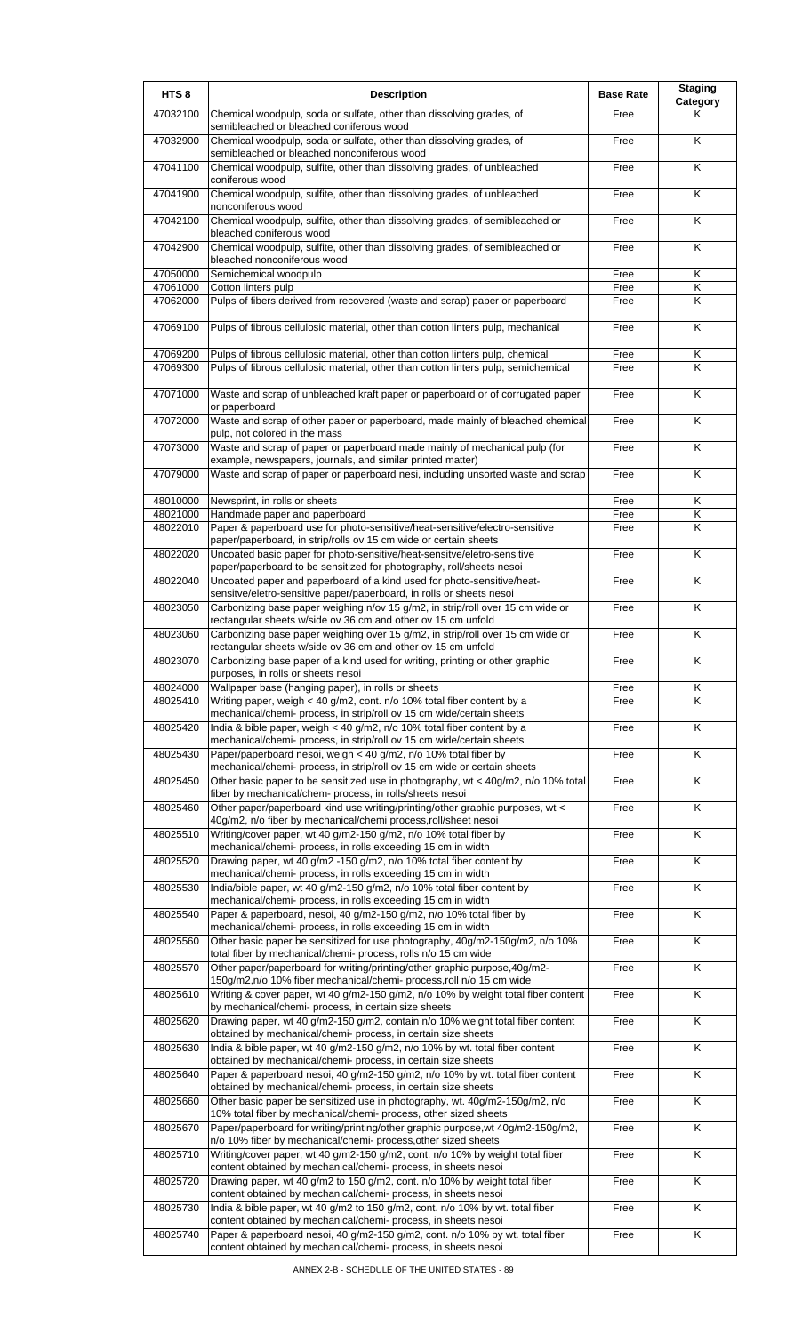| HTS <sub>8</sub>     | <b>Description</b>                                                                                                                                                   | <b>Base Rate</b> | <b>Staging</b><br>Category |
|----------------------|----------------------------------------------------------------------------------------------------------------------------------------------------------------------|------------------|----------------------------|
| 47032100             | Chemical woodpulp, soda or sulfate, other than dissolving grades, of<br>semibleached or bleached coniferous wood                                                     | Free             | Κ                          |
| 47032900             | Chemical woodpulp, soda or sulfate, other than dissolving grades, of<br>semibleached or bleached nonconiferous wood                                                  | Free             | K                          |
| 47041100             | Chemical woodpulp, sulfite, other than dissolving grades, of unbleached<br>coniferous wood                                                                           | Free             | K                          |
| 47041900             | Chemical woodpulp, sulfite, other than dissolving grades, of unbleached                                                                                              | Free             | K                          |
| 47042100             | nonconiferous wood<br>Chemical woodpulp, sulfite, other than dissolving grades, of semibleached or                                                                   | Free             | K                          |
| 47042900             | bleached coniferous wood<br>Chemical woodpulp, sulfite, other than dissolving grades, of semibleached or                                                             | Free             | Κ                          |
| 47050000             | bleached nonconiferous wood<br>Semichemical woodpulp                                                                                                                 | Free             | K                          |
| 47061000             | Cotton linters pulp                                                                                                                                                  | Free             | Κ                          |
| 47062000             | Pulps of fibers derived from recovered (waste and scrap) paper or paperboard                                                                                         | Free             | K                          |
| 47069100             | Pulps of fibrous cellulosic material, other than cotton linters pulp, mechanical                                                                                     | Free             | K                          |
| 47069200<br>47069300 | Pulps of fibrous cellulosic material, other than cotton linters pulp, chemical<br>Pulps of fibrous cellulosic material, other than cotton linters pulp, semichemical | Free<br>Free     | Κ<br>Κ                     |
| 47071000             | Waste and scrap of unbleached kraft paper or paperboard or of corrugated paper                                                                                       | Free             | K                          |
|                      | or paperboard                                                                                                                                                        |                  |                            |
| 47072000             | Waste and scrap of other paper or paperboard, made mainly of bleached chemical<br>pulp, not colored in the mass                                                      | Free             | K                          |
| 47073000             | Waste and scrap of paper or paperboard made mainly of mechanical pulp (for<br>example, newspapers, journals, and similar printed matter)                             | Free             | K                          |
| 47079000             | Waste and scrap of paper or paperboard nesi, including unsorted waste and scrap                                                                                      | Free             | K                          |
| 48010000             | Newsprint, in rolls or sheets                                                                                                                                        | Free             | Κ                          |
| 48021000<br>48022010 | Handmade paper and paperboard<br>Paper & paperboard use for photo-sensitive/heat-sensitive/electro-sensitive                                                         | Free<br>Free     | Κ<br>Κ                     |
|                      | paper/paperboard, in strip/rolls ov 15 cm wide or certain sheets                                                                                                     |                  |                            |
| 48022020             | Uncoated basic paper for photo-sensitive/heat-sensitve/eletro-sensitive<br>paper/paperboard to be sensitized for photography, roll/sheets nesoi                      | Free             | K                          |
| 48022040             | Uncoated paper and paperboard of a kind used for photo-sensitive/heat-<br>sensitve/eletro-sensitive paper/paperboard, in rolls or sheets nesoi                       | Free             | Κ                          |
| 48023050             | Carbonizing base paper weighing n/ov 15 g/m2, in strip/roll over 15 cm wide or<br>rectangular sheets w/side ov 36 cm and other ov 15 cm unfold                       | Free             | K                          |
| 48023060             | Carbonizing base paper weighing over 15 g/m2, in strip/roll over 15 cm wide or                                                                                       | Free             | K                          |
| 48023070             | rectangular sheets w/side ov 36 cm and other ov 15 cm unfold<br>Carbonizing base paper of a kind used for writing, printing or other graphic                         | Free             | Κ                          |
| 48024000             | purposes, in rolls or sheets nesoi<br>Wallpaper base (hanging paper), in rolls or sheets                                                                             | Free             | Κ                          |
| 48025410             | Writing paper, weigh < 40 g/m2, cont. n/o 10% total fiber content by a                                                                                               | Free             | Κ                          |
| 48025420             | mechanical/chemi- process, in strip/roll ov 15 cm wide/certain sheets<br>India & bible paper, weigh < 40 g/m2, n/o 10% total fiber content by a                      | Free             | Κ                          |
|                      | mechanical/chemi- process, in strip/roll ov 15 cm wide/certain sheets                                                                                                |                  |                            |
| 48025430             | Paper/paperboard nesoi, weigh < 40 g/m2, n/o 10% total fiber by<br>mechanical/chemi- process, in strip/roll ov 15 cm wide or certain sheets                          | Free             | K                          |
| 48025450             | Other basic paper to be sensitized use in photography, wt < 40g/m2, n/o 10% total<br>fiber by mechanical/chem- process, in rolls/sheets nesoi                        | Free             | Κ                          |
| 48025460             | Other paper/paperboard kind use writing/printing/other graphic purposes, wt <<br>40g/m2, n/o fiber by mechanical/chemi process, roll/sheet nesoi                     | Free             | K                          |
| 48025510             | Writing/cover paper, wt 40 g/m2-150 g/m2, n/o 10% total fiber by<br>mechanical/chemi- process, in rolls exceeding 15 cm in width                                     | Free             | K                          |
| 48025520             | Drawing paper, wt 40 g/m2 -150 g/m2, n/o 10% total fiber content by<br>mechanical/chemi- process, in rolls exceeding 15 cm in width                                  | Free             | $\overline{\mathsf{K}}$    |
| 48025530             | India/bible paper, wt 40 g/m2-150 g/m2, n/o 10% total fiber content by<br>mechanical/chemi- process, in rolls exceeding 15 cm in width                               | Free             | K                          |
| 48025540             | Paper & paperboard, nesoi, 40 g/m2-150 g/m2, n/o 10% total fiber by                                                                                                  | Free             | K                          |
| 48025560             | mechanical/chemi- process, in rolls exceeding 15 cm in width<br>Other basic paper be sensitized for use photography, 40g/m2-150g/m2, n/o 10%                         | Free             | K                          |
| 48025570             | total fiber by mechanical/chemi- process, rolls n/o 15 cm wide<br>Other paper/paperboard for writing/printing/other graphic purpose, 40g/m2-                         | Free             | K                          |
| 48025610             | 150g/m2,n/o 10% fiber mechanical/chemi- process,roll n/o 15 cm wide<br>Writing & cover paper, wt 40 g/m2-150 g/m2, n/o 10% by weight total fiber content             | Free             | Κ                          |
| 48025620             | by mechanical/chemi- process, in certain size sheets<br>Drawing paper, wt 40 g/m2-150 g/m2, contain n/o 10% weight total fiber content                               | Free             | Κ                          |
| 48025630             | obtained by mechanical/chemi- process, in certain size sheets<br>India & bible paper, wt 40 g/m2-150 g/m2, n/o 10% by wt. total fiber content                        | Free             | K                          |
| 48025640             | obtained by mechanical/chemi- process, in certain size sheets<br>Paper & paperboard nesoi, 40 g/m2-150 g/m2, n/o 10% by wt. total fiber content                      | Free             | Κ                          |
| 48025660             | obtained by mechanical/chemi- process, in certain size sheets<br>Other basic paper be sensitized use in photography, wt. 40g/m2-150g/m2, n/o                         | Free             | $\overline{\mathsf{x}}$    |
|                      | 10% total fiber by mechanical/chemi- process, other sized sheets                                                                                                     |                  | K                          |
| 48025670             | Paper/paperboard for writing/printing/other graphic purpose, wt 40g/m2-150g/m2,<br>n/o 10% fiber by mechanical/chemi- process, other sized sheets                    | Free             |                            |
| 48025710             | Writing/cover paper, wt 40 g/m2-150 g/m2, cont. n/o 10% by weight total fiber<br>content obtained by mechanical/chemi- process, in sheets nesoi                      | Free             | Κ                          |
| 48025720             | Drawing paper, wt 40 g/m2 to 150 g/m2, cont. n/o 10% by weight total fiber<br>content obtained by mechanical/chemi- process, in sheets nesoi                         | Free             | K                          |
| 48025730             | India & bible paper, wt 40 g/m2 to 150 g/m2, cont. n/o 10% by wt. total fiber<br>content obtained by mechanical/chemi- process, in sheets nesoi                      | Free             | K                          |
| 48025740             | Paper & paperboard nesoi, 40 g/m2-150 g/m2, cont. n/o 10% by wt. total fiber<br>content obtained by mechanical/chemi- process, in sheets nesoi                       | Free             | K                          |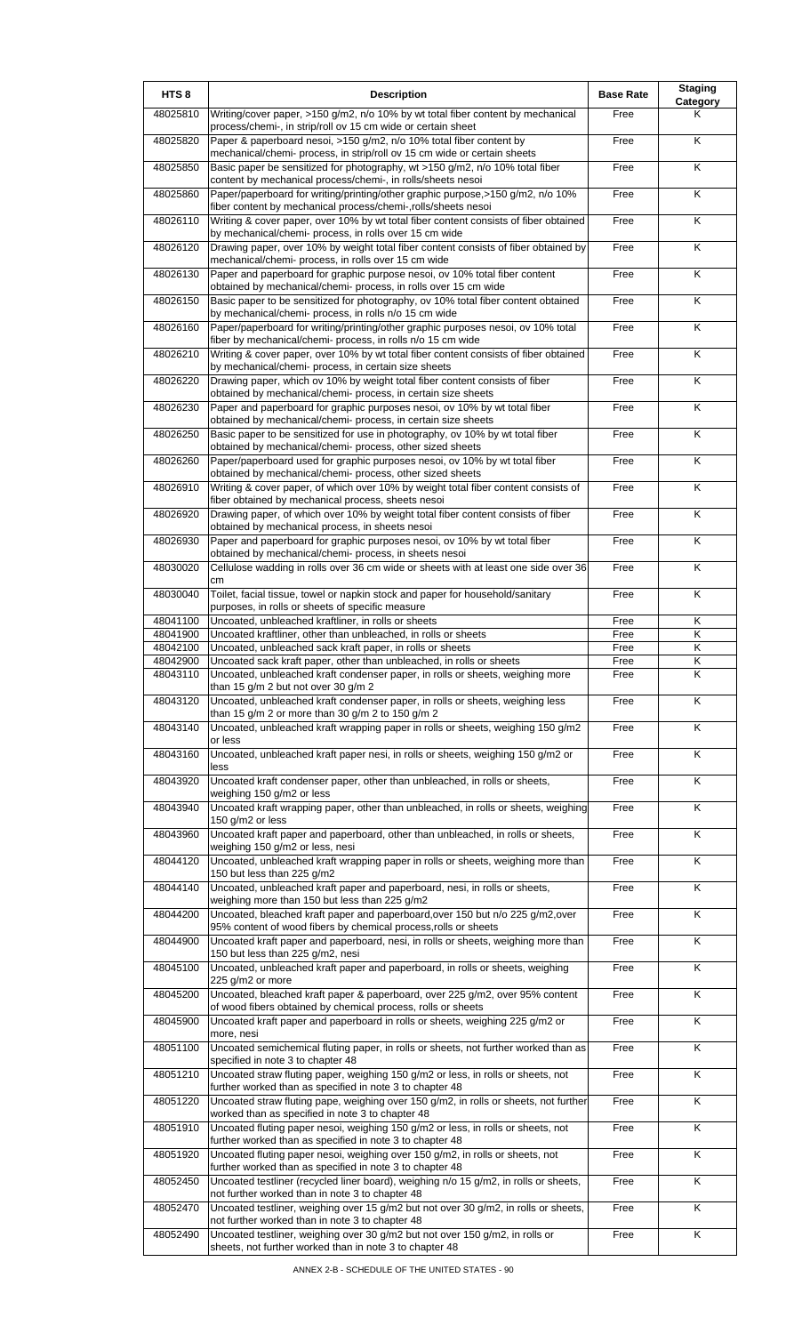| HTS <sub>8</sub> | <b>Description</b>                                                                                                                                       | <b>Base Rate</b> | <b>Staging</b><br>Category |
|------------------|----------------------------------------------------------------------------------------------------------------------------------------------------------|------------------|----------------------------|
| 48025810         | Writing/cover paper, >150 g/m2, n/o 10% by wt total fiber content by mechanical<br>process/chemi-, in strip/roll ov 15 cm wide or certain sheet          | Free             | Κ                          |
| 48025820         | Paper & paperboard nesoi, >150 g/m2, n/o 10% total fiber content by                                                                                      | Free             | K                          |
| 48025850         | mechanical/chemi- process, in strip/roll ov 15 cm wide or certain sheets<br>Basic paper be sensitized for photography, wt >150 g/m2, n/o 10% total fiber | Free             | K                          |
| 48025860         | content by mechanical process/chemi-, in rolls/sheets nesoi<br>Paper/paperboard for writing/printing/other graphic purpose,>150 g/m2, n/o 10%            | Free             | $\overline{\mathsf{K}}$    |
| 48026110         | fiber content by mechanical process/chemi-,rolls/sheets nesoi<br>Writing & cover paper, over 10% by wt total fiber content consists of fiber obtained    | Free             | K                          |
| 48026120         | by mechanical/chemi- process, in rolls over 15 cm wide<br>Drawing paper, over 10% by weight total fiber content consists of fiber obtained by            | Free             | K                          |
| 48026130         | mechanical/chemi- process, in rolls over 15 cm wide<br>Paper and paperboard for graphic purpose nesoi, ov 10% total fiber content                        | Free             | Κ                          |
| 48026150         | obtained by mechanical/chemi- process, in rolls over 15 cm wide<br>Basic paper to be sensitized for photography, ov 10% total fiber content obtained     | Free             | K                          |
|                  | by mechanical/chemi- process, in rolls n/o 15 cm wide                                                                                                    |                  |                            |
| 48026160         | Paper/paperboard for writing/printing/other graphic purposes nesoi, ov 10% total<br>fiber by mechanical/chemi- process, in rolls n/o 15 cm wide          | Free             | K                          |
| 48026210         | Writing & cover paper, over 10% by wt total fiber content consists of fiber obtained<br>by mechanical/chemi- process, in certain size sheets             | Free             | K                          |
| 48026220         | Drawing paper, which ov 10% by weight total fiber content consists of fiber<br>obtained by mechanical/chemi- process, in certain size sheets             | Free             | K                          |
| 48026230         | Paper and paperboard for graphic purposes nesoi, ov 10% by wt total fiber<br>obtained by mechanical/chemi- process, in certain size sheets               | Free             | K                          |
| 48026250         | Basic paper to be sensitized for use in photography, ov 10% by wt total fiber<br>obtained by mechanical/chemi- process, other sized sheets               | Free             | K                          |
| 48026260         | Paper/paperboard used for graphic purposes nesoi, ov 10% by wt total fiber                                                                               | Free             | Κ                          |
| 48026910         | obtained by mechanical/chemi- process, other sized sheets<br>Writing & cover paper, of which over 10% by weight total fiber content consists of          | Free             | $\overline{\mathsf{K}}$    |
| 48026920         | fiber obtained by mechanical process, sheets nesoi<br>Drawing paper, of which over 10% by weight total fiber content consists of fiber                   | Free             | K                          |
| 48026930         | obtained by mechanical process, in sheets nesoi<br>Paper and paperboard for graphic purposes nesoi, ov 10% by wt total fiber                             | Free             | K                          |
| 48030020         | obtained by mechanical/chemi- process, in sheets nesoi<br>Cellulose wadding in rolls over 36 cm wide or sheets with at least one side over 36            | Free             | Κ                          |
| 48030040         | cm<br>Toilet, facial tissue, towel or napkin stock and paper for household/sanitary                                                                      | Free             | K                          |
| 48041100         | purposes, in rolls or sheets of specific measure<br>Uncoated, unbleached kraftliner, in rolls or sheets                                                  | Free             | Κ                          |
| 48041900         | Uncoated kraftliner, other than unbleached, in rolls or sheets                                                                                           | Free             | K                          |
| 48042100         | Uncoated, unbleached sack kraft paper, in rolls or sheets                                                                                                | Free             | $\overline{\mathsf{K}}$    |
| 48042900         | Uncoated sack kraft paper, other than unbleached, in rolls or sheets                                                                                     | Free             | Κ                          |
| 48043110         | Uncoated, unbleached kraft condenser paper, in rolls or sheets, weighing more<br>than 15 $q/m$ 2 but not over 30 $q/m$ 2                                 | Free             | ĸ                          |
| 48043120         | Uncoated, unbleached kraft condenser paper, in rolls or sheets, weighing less<br>than 15 g/m 2 or more than 30 g/m 2 to 150 g/m 2                        | Free             | Κ                          |
| 48043140         | Uncoated, unbleached kraft wrapping paper in rolls or sheets, weighing 150 g/m2<br>or less                                                               | Free             | K                          |
| 48043160         | Uncoated, unbleached kraft paper nesi, in rolls or sheets, weighing 150 g/m2 or                                                                          | Free             | K                          |
| 48043920         | less<br>Uncoated kraft condenser paper, other than unbleached, in rolls or sheets,                                                                       | Free             | K                          |
| 48043940         | weighing 150 g/m2 or less<br>Uncoated kraft wrapping paper, other than unbleached, in rolls or sheets, weighing                                          | Free             | Κ                          |
| 48043960         | 150 g/m2 or less<br>Uncoated kraft paper and paperboard, other than unbleached, in rolls or sheets,                                                      | Free             | Κ                          |
| 48044120         | weighing 150 g/m2 or less, nesi<br>Uncoated, unbleached kraft wrapping paper in rolls or sheets, weighing more than                                      | Free             | $\overline{\mathsf{x}}$    |
| 48044140         | 150 but less than 225 g/m2<br>Uncoated, unbleached kraft paper and paperboard, nesi, in rolls or sheets,                                                 | Free             | K                          |
| 48044200         | weighing more than 150 but less than 225 g/m2<br>Uncoated, bleached kraft paper and paperboard, over 150 but n/o 225 g/m2, over                          | Free             | Κ                          |
| 48044900         | 95% content of wood fibers by chemical process, rolls or sheets<br>Uncoated kraft paper and paperboard, nesi, in rolls or sheets, weighing more than     | Free             | Κ                          |
| 48045100         | 150 but less than 225 g/m2, nesi<br>Uncoated, unbleached kraft paper and paperboard, in rolls or sheets, weighing                                        | Free             | K                          |
|                  | 225 g/m2 or more                                                                                                                                         |                  |                            |
| 48045200         | Uncoated, bleached kraft paper & paperboard, over 225 g/m2, over 95% content<br>of wood fibers obtained by chemical process, rolls or sheets             | Free             | Κ                          |
| 48045900         | Uncoated kraft paper and paperboard in rolls or sheets, weighing 225 g/m2 or<br>more, nesi                                                               | Free             | K                          |
| 48051100         | Uncoated semichemical fluting paper, in rolls or sheets, not further worked than as<br>specified in note 3 to chapter 48                                 | Free             | Κ                          |
| 48051210         | Uncoated straw fluting paper, weighing 150 g/m2 or less, in rolls or sheets, not<br>further worked than as specified in note 3 to chapter 48             | Free             | Κ                          |
| 48051220         | Uncoated straw fluting pape, weighing over 150 g/m2, in rolls or sheets, not further<br>worked than as specified in note 3 to chapter 48                 | Free             | $\overline{\mathsf{K}}$    |
| 48051910         | Uncoated fluting paper nesoi, weighing 150 g/m2 or less, in rolls or sheets, not<br>further worked than as specified in note 3 to chapter 48             | Free             | Κ                          |
| 48051920         | Uncoated fluting paper nesoi, weighing over 150 g/m2, in rolls or sheets, not                                                                            | Free             | K                          |
| 48052450         | further worked than as specified in note 3 to chapter 48<br>Uncoated testliner (recycled liner board), weighing n/o 15 g/m2, in rolls or sheets,         | Free             | $\overline{\mathsf{x}}$    |
| 48052470         | not further worked than in note 3 to chapter 48<br>Uncoated testliner, weighing over 15 g/m2 but not over 30 g/m2, in rolls or sheets,                   | Free             | Κ                          |
| 48052490         | not further worked than in note 3 to chapter 48<br>Uncoated testliner, weighing over 30 g/m2 but not over 150 g/m2, in rolls or                          | Free             | Κ                          |
|                  | sheets, not further worked than in note 3 to chapter 48                                                                                                  |                  |                            |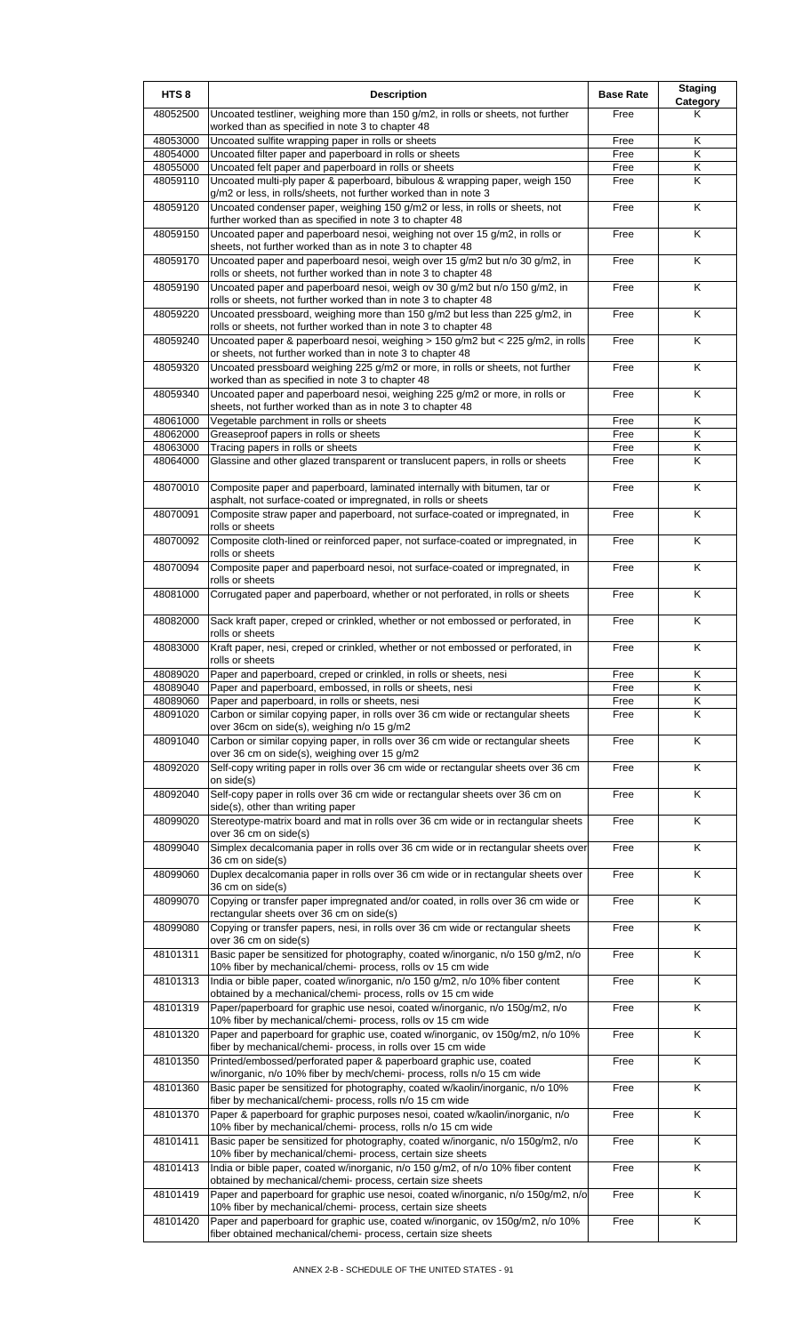| Uncoated testliner, weighing more than 150 g/m2, in rolls or sheets, not further<br>48052500<br>Free<br>Κ<br>worked than as specified in note 3 to chapter 48<br>Κ<br>48053000<br>Uncoated sulfite wrapping paper in rolls or sheets<br>Free<br>Uncoated filter paper and paperboard in rolls or sheets<br>K<br>48054000<br>Free<br>Uncoated felt paper and paperboard in rolls or sheets<br>Κ<br>48055000<br>Free<br>K<br>48059110<br>Uncoated multi-ply paper & paperboard, bibulous & wrapping paper, weigh 150<br>Free<br>g/m2 or less, in rolls/sheets, not further worked than in note 3<br>48059120<br>Uncoated condenser paper, weighing 150 g/m2 or less, in rolls or sheets, not<br>K<br>Free<br>further worked than as specified in note 3 to chapter 48<br>K<br>48059150<br>Uncoated paper and paperboard nesoi, weighing not over 15 g/m2, in rolls or<br>Free<br>sheets, not further worked than as in note 3 to chapter 48<br>K<br>48059170<br>Uncoated paper and paperboard nesoi, weigh over 15 g/m2 but n/o 30 g/m2, in<br>Free<br>rolls or sheets, not further worked than in note 3 to chapter 48<br>48059190<br>Κ<br>Uncoated paper and paperboard nesoi, weigh ov 30 g/m2 but n/o 150 g/m2, in<br>Free<br>rolls or sheets, not further worked than in note 3 to chapter 48<br>$\overline{\mathsf{K}}$<br>Uncoated pressboard, weighing more than 150 g/m2 but less than 225 g/m2, in<br>Free<br>48059220<br>rolls or sheets, not further worked than in note 3 to chapter 48<br>Uncoated paper & paperboard nesoi, weighing > 150 g/m2 but < 225 g/m2, in rolls<br>K<br>48059240<br>Free<br>or sheets, not further worked than in note 3 to chapter 48<br>Free<br>Κ<br>48059320<br>Uncoated pressboard weighing 225 g/m2 or more, in rolls or sheets, not further<br>worked than as specified in note 3 to chapter 48<br>48059340<br>Uncoated paper and paperboard nesoi, weighing 225 g/m2 or more, in rolls or<br>Free<br>K<br>sheets, not further worked than as in note 3 to chapter 48<br>48061000<br>Vegetable parchment in rolls or sheets<br>Free<br>Κ<br>$\overline{\mathsf{K}}$<br>48062000<br>Greaseproof papers in rolls or sheets<br>Free<br>$\overline{\mathsf{K}}$<br>48063000<br>Tracing papers in rolls or sheets<br>Free<br>Glassine and other glazed transparent or translucent papers, in rolls or sheets<br>Κ<br>48064000<br>Free<br>$\overline{\mathsf{K}}$<br>48070010<br>Composite paper and paperboard, laminated internally with bitumen, tar or<br>Free<br>asphalt, not surface-coated or impregnated, in rolls or sheets<br>48070091<br>Free<br>K<br>Composite straw paper and paperboard, not surface-coated or impregnated, in<br>rolls or sheets<br>48070092<br>Composite cloth-lined or reinforced paper, not surface-coated or impregnated, in<br>Free<br>K<br>rolls or sheets<br>K<br>48070094<br>Composite paper and paperboard nesoi, not surface-coated or impregnated, in<br>Free<br>rolls or sheets<br>Corrugated paper and paperboard, whether or not perforated, in rolls or sheets<br>K<br>48081000<br>Free<br>48082000<br>Sack kraft paper, creped or crinkled, whether or not embossed or perforated, in<br>K<br>Free<br>rolls or sheets<br>Kraft paper, nesi, creped or crinkled, whether or not embossed or perforated, in<br>K<br>48083000<br>Free<br>rolls or sheets<br>48089020<br>Paper and paperboard, creped or crinkled, in rolls or sheets, nesi<br>Free<br>ĸ<br>K<br>48089040<br>Paper and paperboard, embossed, in rolls or sheets, nesi<br>Free<br>48089060<br>Paper and paperboard, in rolls or sheets, nesi<br>Κ<br>Free<br>48091020<br>Carbon or similar copying paper, in rolls over 36 cm wide or rectangular sheets<br>K<br>Free<br>over 36cm on side(s), weighing n/o 15 g/m2<br>48091040<br>Carbon or similar copying paper, in rolls over 36 cm wide or rectangular sheets<br>K<br>Free<br>over 36 cm on side(s), weighing over 15 g/m2<br>Self-copy writing paper in rolls over 36 cm wide or rectangular sheets over 36 cm<br>$\overline{\mathsf{K}}$<br>48092020<br>Free<br>on side(s)<br>48092040<br>Self-copy paper in rolls over 36 cm wide or rectangular sheets over 36 cm on<br>Free<br>Κ<br>side(s), other than writing paper<br>Stereotype-matrix board and mat in rolls over 36 cm wide or in rectangular sheets<br>K<br>48099020<br>Free<br>over 36 cm on side(s)<br>48099040<br>Simplex decalcomania paper in rolls over 36 cm wide or in rectangular sheets over<br>Free<br>Κ<br>36 cm on side(s)<br>48099060<br>Duplex decalcomania paper in rolls over 36 cm wide or in rectangular sheets over<br>Free<br>Κ<br>36 cm on side(s)<br>Copying or transfer paper impregnated and/or coated, in rolls over 36 cm wide or<br>48099070<br>Free<br>Κ<br>rectangular sheets over 36 cm on side(s)<br>Copying or transfer papers, nesi, in rolls over 36 cm wide or rectangular sheets<br>K<br>48099080<br>Free<br>over 36 cm on side(s)<br>48101311<br>Basic paper be sensitized for photography, coated w/inorganic, n/o 150 g/m2, n/o<br>Κ<br>Free<br>10% fiber by mechanical/chemi- process, rolls ov 15 cm wide<br>48101313<br>India or bible paper, coated w/inorganic, n/o 150 g/m2, n/o 10% fiber content<br>Κ<br>Free<br>obtained by a mechanical/chemi- process, rolls ov 15 cm wide<br>48101319<br>Paper/paperboard for graphic use nesoi, coated w/inorganic, n/o 150g/m2, n/o<br>K<br>Free<br>10% fiber by mechanical/chemi- process, rolls ov 15 cm wide<br>Free<br>Κ<br>48101320<br>Paper and paperboard for graphic use, coated w/inorganic, ov 150g/m2, n/o 10%<br>fiber by mechanical/chemi- process, in rolls over 15 cm wide<br>48101350<br>Printed/embossed/perforated paper & paperboard graphic use, coated<br>Free<br>K<br>w/inorganic, n/o 10% fiber by mech/chemi- process, rolls n/o 15 cm wide<br>48101360<br>Basic paper be sensitized for photography, coated w/kaolin/inorganic, n/o 10%<br>K<br>Free<br>fiber by mechanical/chemi- process, rolls n/o 15 cm wide<br>K<br>Paper & paperboard for graphic purposes nesoi, coated w/kaolin/inorganic, n/o<br>48101370<br>Free<br>10% fiber by mechanical/chemi- process, rolls n/o 15 cm wide<br>K<br>48101411<br>Basic paper be sensitized for photography, coated w/inorganic, n/o 150g/m2, n/o<br>Free<br>10% fiber by mechanical/chemi- process, certain size sheets<br>48101413<br>India or bible paper, coated w/inorganic, n/o 150 g/m2, of n/o 10% fiber content<br>K<br>Free<br>obtained by mechanical/chemi- process, certain size sheets<br>$\overline{\mathsf{K}}$<br>48101419<br>Paper and paperboard for graphic use nesoi, coated w/inorganic, n/o 150g/m2, n/o<br>Free<br>10% fiber by mechanical/chemi- process, certain size sheets<br>Paper and paperboard for graphic use, coated w/inorganic, ov 150g/m2, n/o 10%<br>48101420<br>Free<br>Κ | HTS <sub>8</sub> | <b>Description</b>                                            | <b>Base Rate</b> | <b>Staging</b><br>Category |
|----------------------------------------------------------------------------------------------------------------------------------------------------------------------------------------------------------------------------------------------------------------------------------------------------------------------------------------------------------------------------------------------------------------------------------------------------------------------------------------------------------------------------------------------------------------------------------------------------------------------------------------------------------------------------------------------------------------------------------------------------------------------------------------------------------------------------------------------------------------------------------------------------------------------------------------------------------------------------------------------------------------------------------------------------------------------------------------------------------------------------------------------------------------------------------------------------------------------------------------------------------------------------------------------------------------------------------------------------------------------------------------------------------------------------------------------------------------------------------------------------------------------------------------------------------------------------------------------------------------------------------------------------------------------------------------------------------------------------------------------------------------------------------------------------------------------------------------------------------------------------------------------------------------------------------------------------------------------------------------------------------------------------------------------------------------------------------------------------------------------------------------------------------------------------------------------------------------------------------------------------------------------------------------------------------------------------------------------------------------------------------------------------------------------------------------------------------------------------------------------------------------------------------------------------------------------------------------------------------------------------------------------------------------------------------------------------------------------------------------------------------------------------------------------------------------------------------------------------------------------------------------------------------------------------------------------------------------------------------------------------------------------------------------------------------------------------------------------------------------------------------------------------------------------------------------------------------------------------------------------------------------------------------------------------------------------------------------------------------------------------------------------------------------------------------------------------------------------------------------------------------------------------------------------------------------------------------------------------------------------------------------------------------------------------------------------------------------------------------------------------------------------------------------------------------------------------------------------------------------------------------------------------------------------------------------------------------------------------------------------------------------------------------------------------------------------------------------------------------------------------------------------------------------------------------------------------------------------------------------------------------------------------------------------------------------------------------------------------------------------------------------------------------------------------------------------------------------------------------------------------------------------------------------------------------------------------------------------------------------------------------------------------------------------------------------------------------------------------------------------------------------------------------------------------------------------------------------------------------------------------------------------------------------------------------------------------------------------------------------------------------------------------------------------------------------------------------------------------------------------------------------------------------------------------------------------------------------------------------------------------------------------------------------------------------------------------------------------------------------------------------------------------------------------------------------------------------------------------------------------------------------------------------------------------------------------------------------------------------------------------------------------------------------------------------------------------------------------------------------------------------------------------------------------------------------------------------------------------------------------------------------------------------------------------------------------------------------------------------------------------------------------------------------------------------------------------------------------------------------------------------------------------------------------------------------------------------------------------------------------------------------------------------------------------------------------------------------------------------------------------------------------------------------------------------------------------------------------------------------------------------------------------------------------------------------------------------------------------------------------------------------------------------------------------------------------------------------------------------------------------------------------------------------------------------------------------------------------|------------------|---------------------------------------------------------------|------------------|----------------------------|
|                                                                                                                                                                                                                                                                                                                                                                                                                                                                                                                                                                                                                                                                                                                                                                                                                                                                                                                                                                                                                                                                                                                                                                                                                                                                                                                                                                                                                                                                                                                                                                                                                                                                                                                                                                                                                                                                                                                                                                                                                                                                                                                                                                                                                                                                                                                                                                                                                                                                                                                                                                                                                                                                                                                                                                                                                                                                                                                                                                                                                                                                                                                                                                                                                                                                                                                                                                                                                                                                                                                                                                                                                                                                                                                                                                                                                                                                                                                                                                                                                                                                                                                                                                                                                                                                                                                                                                                                                                                                                                                                                                                                                                                                                                                                                                                                                                                                                                                                                                                                                                                                                                                                                                                                                                                                                                                                                                                                                                                                                                                                                                                                                                                                                                                                                                                                                                                                                                                                                                                                                                                                                                                                                                                                                                                                                                                                                                                                                                                                                                                                                                                                                                                                                                                                                                                                                                              |                  |                                                               |                  |                            |
|                                                                                                                                                                                                                                                                                                                                                                                                                                                                                                                                                                                                                                                                                                                                                                                                                                                                                                                                                                                                                                                                                                                                                                                                                                                                                                                                                                                                                                                                                                                                                                                                                                                                                                                                                                                                                                                                                                                                                                                                                                                                                                                                                                                                                                                                                                                                                                                                                                                                                                                                                                                                                                                                                                                                                                                                                                                                                                                                                                                                                                                                                                                                                                                                                                                                                                                                                                                                                                                                                                                                                                                                                                                                                                                                                                                                                                                                                                                                                                                                                                                                                                                                                                                                                                                                                                                                                                                                                                                                                                                                                                                                                                                                                                                                                                                                                                                                                                                                                                                                                                                                                                                                                                                                                                                                                                                                                                                                                                                                                                                                                                                                                                                                                                                                                                                                                                                                                                                                                                                                                                                                                                                                                                                                                                                                                                                                                                                                                                                                                                                                                                                                                                                                                                                                                                                                                                              |                  |                                                               |                  |                            |
|                                                                                                                                                                                                                                                                                                                                                                                                                                                                                                                                                                                                                                                                                                                                                                                                                                                                                                                                                                                                                                                                                                                                                                                                                                                                                                                                                                                                                                                                                                                                                                                                                                                                                                                                                                                                                                                                                                                                                                                                                                                                                                                                                                                                                                                                                                                                                                                                                                                                                                                                                                                                                                                                                                                                                                                                                                                                                                                                                                                                                                                                                                                                                                                                                                                                                                                                                                                                                                                                                                                                                                                                                                                                                                                                                                                                                                                                                                                                                                                                                                                                                                                                                                                                                                                                                                                                                                                                                                                                                                                                                                                                                                                                                                                                                                                                                                                                                                                                                                                                                                                                                                                                                                                                                                                                                                                                                                                                                                                                                                                                                                                                                                                                                                                                                                                                                                                                                                                                                                                                                                                                                                                                                                                                                                                                                                                                                                                                                                                                                                                                                                                                                                                                                                                                                                                                                                              |                  |                                                               |                  |                            |
|                                                                                                                                                                                                                                                                                                                                                                                                                                                                                                                                                                                                                                                                                                                                                                                                                                                                                                                                                                                                                                                                                                                                                                                                                                                                                                                                                                                                                                                                                                                                                                                                                                                                                                                                                                                                                                                                                                                                                                                                                                                                                                                                                                                                                                                                                                                                                                                                                                                                                                                                                                                                                                                                                                                                                                                                                                                                                                                                                                                                                                                                                                                                                                                                                                                                                                                                                                                                                                                                                                                                                                                                                                                                                                                                                                                                                                                                                                                                                                                                                                                                                                                                                                                                                                                                                                                                                                                                                                                                                                                                                                                                                                                                                                                                                                                                                                                                                                                                                                                                                                                                                                                                                                                                                                                                                                                                                                                                                                                                                                                                                                                                                                                                                                                                                                                                                                                                                                                                                                                                                                                                                                                                                                                                                                                                                                                                                                                                                                                                                                                                                                                                                                                                                                                                                                                                                                              |                  |                                                               |                  |                            |
|                                                                                                                                                                                                                                                                                                                                                                                                                                                                                                                                                                                                                                                                                                                                                                                                                                                                                                                                                                                                                                                                                                                                                                                                                                                                                                                                                                                                                                                                                                                                                                                                                                                                                                                                                                                                                                                                                                                                                                                                                                                                                                                                                                                                                                                                                                                                                                                                                                                                                                                                                                                                                                                                                                                                                                                                                                                                                                                                                                                                                                                                                                                                                                                                                                                                                                                                                                                                                                                                                                                                                                                                                                                                                                                                                                                                                                                                                                                                                                                                                                                                                                                                                                                                                                                                                                                                                                                                                                                                                                                                                                                                                                                                                                                                                                                                                                                                                                                                                                                                                                                                                                                                                                                                                                                                                                                                                                                                                                                                                                                                                                                                                                                                                                                                                                                                                                                                                                                                                                                                                                                                                                                                                                                                                                                                                                                                                                                                                                                                                                                                                                                                                                                                                                                                                                                                                                              |                  |                                                               |                  |                            |
|                                                                                                                                                                                                                                                                                                                                                                                                                                                                                                                                                                                                                                                                                                                                                                                                                                                                                                                                                                                                                                                                                                                                                                                                                                                                                                                                                                                                                                                                                                                                                                                                                                                                                                                                                                                                                                                                                                                                                                                                                                                                                                                                                                                                                                                                                                                                                                                                                                                                                                                                                                                                                                                                                                                                                                                                                                                                                                                                                                                                                                                                                                                                                                                                                                                                                                                                                                                                                                                                                                                                                                                                                                                                                                                                                                                                                                                                                                                                                                                                                                                                                                                                                                                                                                                                                                                                                                                                                                                                                                                                                                                                                                                                                                                                                                                                                                                                                                                                                                                                                                                                                                                                                                                                                                                                                                                                                                                                                                                                                                                                                                                                                                                                                                                                                                                                                                                                                                                                                                                                                                                                                                                                                                                                                                                                                                                                                                                                                                                                                                                                                                                                                                                                                                                                                                                                                                              |                  |                                                               |                  |                            |
|                                                                                                                                                                                                                                                                                                                                                                                                                                                                                                                                                                                                                                                                                                                                                                                                                                                                                                                                                                                                                                                                                                                                                                                                                                                                                                                                                                                                                                                                                                                                                                                                                                                                                                                                                                                                                                                                                                                                                                                                                                                                                                                                                                                                                                                                                                                                                                                                                                                                                                                                                                                                                                                                                                                                                                                                                                                                                                                                                                                                                                                                                                                                                                                                                                                                                                                                                                                                                                                                                                                                                                                                                                                                                                                                                                                                                                                                                                                                                                                                                                                                                                                                                                                                                                                                                                                                                                                                                                                                                                                                                                                                                                                                                                                                                                                                                                                                                                                                                                                                                                                                                                                                                                                                                                                                                                                                                                                                                                                                                                                                                                                                                                                                                                                                                                                                                                                                                                                                                                                                                                                                                                                                                                                                                                                                                                                                                                                                                                                                                                                                                                                                                                                                                                                                                                                                                                              |                  |                                                               |                  |                            |
|                                                                                                                                                                                                                                                                                                                                                                                                                                                                                                                                                                                                                                                                                                                                                                                                                                                                                                                                                                                                                                                                                                                                                                                                                                                                                                                                                                                                                                                                                                                                                                                                                                                                                                                                                                                                                                                                                                                                                                                                                                                                                                                                                                                                                                                                                                                                                                                                                                                                                                                                                                                                                                                                                                                                                                                                                                                                                                                                                                                                                                                                                                                                                                                                                                                                                                                                                                                                                                                                                                                                                                                                                                                                                                                                                                                                                                                                                                                                                                                                                                                                                                                                                                                                                                                                                                                                                                                                                                                                                                                                                                                                                                                                                                                                                                                                                                                                                                                                                                                                                                                                                                                                                                                                                                                                                                                                                                                                                                                                                                                                                                                                                                                                                                                                                                                                                                                                                                                                                                                                                                                                                                                                                                                                                                                                                                                                                                                                                                                                                                                                                                                                                                                                                                                                                                                                                                              |                  |                                                               |                  |                            |
|                                                                                                                                                                                                                                                                                                                                                                                                                                                                                                                                                                                                                                                                                                                                                                                                                                                                                                                                                                                                                                                                                                                                                                                                                                                                                                                                                                                                                                                                                                                                                                                                                                                                                                                                                                                                                                                                                                                                                                                                                                                                                                                                                                                                                                                                                                                                                                                                                                                                                                                                                                                                                                                                                                                                                                                                                                                                                                                                                                                                                                                                                                                                                                                                                                                                                                                                                                                                                                                                                                                                                                                                                                                                                                                                                                                                                                                                                                                                                                                                                                                                                                                                                                                                                                                                                                                                                                                                                                                                                                                                                                                                                                                                                                                                                                                                                                                                                                                                                                                                                                                                                                                                                                                                                                                                                                                                                                                                                                                                                                                                                                                                                                                                                                                                                                                                                                                                                                                                                                                                                                                                                                                                                                                                                                                                                                                                                                                                                                                                                                                                                                                                                                                                                                                                                                                                                                              |                  |                                                               |                  |                            |
|                                                                                                                                                                                                                                                                                                                                                                                                                                                                                                                                                                                                                                                                                                                                                                                                                                                                                                                                                                                                                                                                                                                                                                                                                                                                                                                                                                                                                                                                                                                                                                                                                                                                                                                                                                                                                                                                                                                                                                                                                                                                                                                                                                                                                                                                                                                                                                                                                                                                                                                                                                                                                                                                                                                                                                                                                                                                                                                                                                                                                                                                                                                                                                                                                                                                                                                                                                                                                                                                                                                                                                                                                                                                                                                                                                                                                                                                                                                                                                                                                                                                                                                                                                                                                                                                                                                                                                                                                                                                                                                                                                                                                                                                                                                                                                                                                                                                                                                                                                                                                                                                                                                                                                                                                                                                                                                                                                                                                                                                                                                                                                                                                                                                                                                                                                                                                                                                                                                                                                                                                                                                                                                                                                                                                                                                                                                                                                                                                                                                                                                                                                                                                                                                                                                                                                                                                                              |                  |                                                               |                  |                            |
|                                                                                                                                                                                                                                                                                                                                                                                                                                                                                                                                                                                                                                                                                                                                                                                                                                                                                                                                                                                                                                                                                                                                                                                                                                                                                                                                                                                                                                                                                                                                                                                                                                                                                                                                                                                                                                                                                                                                                                                                                                                                                                                                                                                                                                                                                                                                                                                                                                                                                                                                                                                                                                                                                                                                                                                                                                                                                                                                                                                                                                                                                                                                                                                                                                                                                                                                                                                                                                                                                                                                                                                                                                                                                                                                                                                                                                                                                                                                                                                                                                                                                                                                                                                                                                                                                                                                                                                                                                                                                                                                                                                                                                                                                                                                                                                                                                                                                                                                                                                                                                                                                                                                                                                                                                                                                                                                                                                                                                                                                                                                                                                                                                                                                                                                                                                                                                                                                                                                                                                                                                                                                                                                                                                                                                                                                                                                                                                                                                                                                                                                                                                                                                                                                                                                                                                                                                              |                  |                                                               |                  |                            |
|                                                                                                                                                                                                                                                                                                                                                                                                                                                                                                                                                                                                                                                                                                                                                                                                                                                                                                                                                                                                                                                                                                                                                                                                                                                                                                                                                                                                                                                                                                                                                                                                                                                                                                                                                                                                                                                                                                                                                                                                                                                                                                                                                                                                                                                                                                                                                                                                                                                                                                                                                                                                                                                                                                                                                                                                                                                                                                                                                                                                                                                                                                                                                                                                                                                                                                                                                                                                                                                                                                                                                                                                                                                                                                                                                                                                                                                                                                                                                                                                                                                                                                                                                                                                                                                                                                                                                                                                                                                                                                                                                                                                                                                                                                                                                                                                                                                                                                                                                                                                                                                                                                                                                                                                                                                                                                                                                                                                                                                                                                                                                                                                                                                                                                                                                                                                                                                                                                                                                                                                                                                                                                                                                                                                                                                                                                                                                                                                                                                                                                                                                                                                                                                                                                                                                                                                                                              |                  |                                                               |                  |                            |
|                                                                                                                                                                                                                                                                                                                                                                                                                                                                                                                                                                                                                                                                                                                                                                                                                                                                                                                                                                                                                                                                                                                                                                                                                                                                                                                                                                                                                                                                                                                                                                                                                                                                                                                                                                                                                                                                                                                                                                                                                                                                                                                                                                                                                                                                                                                                                                                                                                                                                                                                                                                                                                                                                                                                                                                                                                                                                                                                                                                                                                                                                                                                                                                                                                                                                                                                                                                                                                                                                                                                                                                                                                                                                                                                                                                                                                                                                                                                                                                                                                                                                                                                                                                                                                                                                                                                                                                                                                                                                                                                                                                                                                                                                                                                                                                                                                                                                                                                                                                                                                                                                                                                                                                                                                                                                                                                                                                                                                                                                                                                                                                                                                                                                                                                                                                                                                                                                                                                                                                                                                                                                                                                                                                                                                                                                                                                                                                                                                                                                                                                                                                                                                                                                                                                                                                                                                              |                  |                                                               |                  |                            |
|                                                                                                                                                                                                                                                                                                                                                                                                                                                                                                                                                                                                                                                                                                                                                                                                                                                                                                                                                                                                                                                                                                                                                                                                                                                                                                                                                                                                                                                                                                                                                                                                                                                                                                                                                                                                                                                                                                                                                                                                                                                                                                                                                                                                                                                                                                                                                                                                                                                                                                                                                                                                                                                                                                                                                                                                                                                                                                                                                                                                                                                                                                                                                                                                                                                                                                                                                                                                                                                                                                                                                                                                                                                                                                                                                                                                                                                                                                                                                                                                                                                                                                                                                                                                                                                                                                                                                                                                                                                                                                                                                                                                                                                                                                                                                                                                                                                                                                                                                                                                                                                                                                                                                                                                                                                                                                                                                                                                                                                                                                                                                                                                                                                                                                                                                                                                                                                                                                                                                                                                                                                                                                                                                                                                                                                                                                                                                                                                                                                                                                                                                                                                                                                                                                                                                                                                                                              |                  |                                                               |                  |                            |
|                                                                                                                                                                                                                                                                                                                                                                                                                                                                                                                                                                                                                                                                                                                                                                                                                                                                                                                                                                                                                                                                                                                                                                                                                                                                                                                                                                                                                                                                                                                                                                                                                                                                                                                                                                                                                                                                                                                                                                                                                                                                                                                                                                                                                                                                                                                                                                                                                                                                                                                                                                                                                                                                                                                                                                                                                                                                                                                                                                                                                                                                                                                                                                                                                                                                                                                                                                                                                                                                                                                                                                                                                                                                                                                                                                                                                                                                                                                                                                                                                                                                                                                                                                                                                                                                                                                                                                                                                                                                                                                                                                                                                                                                                                                                                                                                                                                                                                                                                                                                                                                                                                                                                                                                                                                                                                                                                                                                                                                                                                                                                                                                                                                                                                                                                                                                                                                                                                                                                                                                                                                                                                                                                                                                                                                                                                                                                                                                                                                                                                                                                                                                                                                                                                                                                                                                                                              |                  |                                                               |                  |                            |
|                                                                                                                                                                                                                                                                                                                                                                                                                                                                                                                                                                                                                                                                                                                                                                                                                                                                                                                                                                                                                                                                                                                                                                                                                                                                                                                                                                                                                                                                                                                                                                                                                                                                                                                                                                                                                                                                                                                                                                                                                                                                                                                                                                                                                                                                                                                                                                                                                                                                                                                                                                                                                                                                                                                                                                                                                                                                                                                                                                                                                                                                                                                                                                                                                                                                                                                                                                                                                                                                                                                                                                                                                                                                                                                                                                                                                                                                                                                                                                                                                                                                                                                                                                                                                                                                                                                                                                                                                                                                                                                                                                                                                                                                                                                                                                                                                                                                                                                                                                                                                                                                                                                                                                                                                                                                                                                                                                                                                                                                                                                                                                                                                                                                                                                                                                                                                                                                                                                                                                                                                                                                                                                                                                                                                                                                                                                                                                                                                                                                                                                                                                                                                                                                                                                                                                                                                                              |                  |                                                               |                  |                            |
|                                                                                                                                                                                                                                                                                                                                                                                                                                                                                                                                                                                                                                                                                                                                                                                                                                                                                                                                                                                                                                                                                                                                                                                                                                                                                                                                                                                                                                                                                                                                                                                                                                                                                                                                                                                                                                                                                                                                                                                                                                                                                                                                                                                                                                                                                                                                                                                                                                                                                                                                                                                                                                                                                                                                                                                                                                                                                                                                                                                                                                                                                                                                                                                                                                                                                                                                                                                                                                                                                                                                                                                                                                                                                                                                                                                                                                                                                                                                                                                                                                                                                                                                                                                                                                                                                                                                                                                                                                                                                                                                                                                                                                                                                                                                                                                                                                                                                                                                                                                                                                                                                                                                                                                                                                                                                                                                                                                                                                                                                                                                                                                                                                                                                                                                                                                                                                                                                                                                                                                                                                                                                                                                                                                                                                                                                                                                                                                                                                                                                                                                                                                                                                                                                                                                                                                                                                              |                  |                                                               |                  |                            |
|                                                                                                                                                                                                                                                                                                                                                                                                                                                                                                                                                                                                                                                                                                                                                                                                                                                                                                                                                                                                                                                                                                                                                                                                                                                                                                                                                                                                                                                                                                                                                                                                                                                                                                                                                                                                                                                                                                                                                                                                                                                                                                                                                                                                                                                                                                                                                                                                                                                                                                                                                                                                                                                                                                                                                                                                                                                                                                                                                                                                                                                                                                                                                                                                                                                                                                                                                                                                                                                                                                                                                                                                                                                                                                                                                                                                                                                                                                                                                                                                                                                                                                                                                                                                                                                                                                                                                                                                                                                                                                                                                                                                                                                                                                                                                                                                                                                                                                                                                                                                                                                                                                                                                                                                                                                                                                                                                                                                                                                                                                                                                                                                                                                                                                                                                                                                                                                                                                                                                                                                                                                                                                                                                                                                                                                                                                                                                                                                                                                                                                                                                                                                                                                                                                                                                                                                                                              |                  |                                                               |                  |                            |
|                                                                                                                                                                                                                                                                                                                                                                                                                                                                                                                                                                                                                                                                                                                                                                                                                                                                                                                                                                                                                                                                                                                                                                                                                                                                                                                                                                                                                                                                                                                                                                                                                                                                                                                                                                                                                                                                                                                                                                                                                                                                                                                                                                                                                                                                                                                                                                                                                                                                                                                                                                                                                                                                                                                                                                                                                                                                                                                                                                                                                                                                                                                                                                                                                                                                                                                                                                                                                                                                                                                                                                                                                                                                                                                                                                                                                                                                                                                                                                                                                                                                                                                                                                                                                                                                                                                                                                                                                                                                                                                                                                                                                                                                                                                                                                                                                                                                                                                                                                                                                                                                                                                                                                                                                                                                                                                                                                                                                                                                                                                                                                                                                                                                                                                                                                                                                                                                                                                                                                                                                                                                                                                                                                                                                                                                                                                                                                                                                                                                                                                                                                                                                                                                                                                                                                                                                                              |                  |                                                               |                  |                            |
|                                                                                                                                                                                                                                                                                                                                                                                                                                                                                                                                                                                                                                                                                                                                                                                                                                                                                                                                                                                                                                                                                                                                                                                                                                                                                                                                                                                                                                                                                                                                                                                                                                                                                                                                                                                                                                                                                                                                                                                                                                                                                                                                                                                                                                                                                                                                                                                                                                                                                                                                                                                                                                                                                                                                                                                                                                                                                                                                                                                                                                                                                                                                                                                                                                                                                                                                                                                                                                                                                                                                                                                                                                                                                                                                                                                                                                                                                                                                                                                                                                                                                                                                                                                                                                                                                                                                                                                                                                                                                                                                                                                                                                                                                                                                                                                                                                                                                                                                                                                                                                                                                                                                                                                                                                                                                                                                                                                                                                                                                                                                                                                                                                                                                                                                                                                                                                                                                                                                                                                                                                                                                                                                                                                                                                                                                                                                                                                                                                                                                                                                                                                                                                                                                                                                                                                                                                              |                  |                                                               |                  |                            |
|                                                                                                                                                                                                                                                                                                                                                                                                                                                                                                                                                                                                                                                                                                                                                                                                                                                                                                                                                                                                                                                                                                                                                                                                                                                                                                                                                                                                                                                                                                                                                                                                                                                                                                                                                                                                                                                                                                                                                                                                                                                                                                                                                                                                                                                                                                                                                                                                                                                                                                                                                                                                                                                                                                                                                                                                                                                                                                                                                                                                                                                                                                                                                                                                                                                                                                                                                                                                                                                                                                                                                                                                                                                                                                                                                                                                                                                                                                                                                                                                                                                                                                                                                                                                                                                                                                                                                                                                                                                                                                                                                                                                                                                                                                                                                                                                                                                                                                                                                                                                                                                                                                                                                                                                                                                                                                                                                                                                                                                                                                                                                                                                                                                                                                                                                                                                                                                                                                                                                                                                                                                                                                                                                                                                                                                                                                                                                                                                                                                                                                                                                                                                                                                                                                                                                                                                                                              |                  |                                                               |                  |                            |
|                                                                                                                                                                                                                                                                                                                                                                                                                                                                                                                                                                                                                                                                                                                                                                                                                                                                                                                                                                                                                                                                                                                                                                                                                                                                                                                                                                                                                                                                                                                                                                                                                                                                                                                                                                                                                                                                                                                                                                                                                                                                                                                                                                                                                                                                                                                                                                                                                                                                                                                                                                                                                                                                                                                                                                                                                                                                                                                                                                                                                                                                                                                                                                                                                                                                                                                                                                                                                                                                                                                                                                                                                                                                                                                                                                                                                                                                                                                                                                                                                                                                                                                                                                                                                                                                                                                                                                                                                                                                                                                                                                                                                                                                                                                                                                                                                                                                                                                                                                                                                                                                                                                                                                                                                                                                                                                                                                                                                                                                                                                                                                                                                                                                                                                                                                                                                                                                                                                                                                                                                                                                                                                                                                                                                                                                                                                                                                                                                                                                                                                                                                                                                                                                                                                                                                                                                                              |                  |                                                               |                  |                            |
|                                                                                                                                                                                                                                                                                                                                                                                                                                                                                                                                                                                                                                                                                                                                                                                                                                                                                                                                                                                                                                                                                                                                                                                                                                                                                                                                                                                                                                                                                                                                                                                                                                                                                                                                                                                                                                                                                                                                                                                                                                                                                                                                                                                                                                                                                                                                                                                                                                                                                                                                                                                                                                                                                                                                                                                                                                                                                                                                                                                                                                                                                                                                                                                                                                                                                                                                                                                                                                                                                                                                                                                                                                                                                                                                                                                                                                                                                                                                                                                                                                                                                                                                                                                                                                                                                                                                                                                                                                                                                                                                                                                                                                                                                                                                                                                                                                                                                                                                                                                                                                                                                                                                                                                                                                                                                                                                                                                                                                                                                                                                                                                                                                                                                                                                                                                                                                                                                                                                                                                                                                                                                                                                                                                                                                                                                                                                                                                                                                                                                                                                                                                                                                                                                                                                                                                                                                              |                  |                                                               |                  |                            |
|                                                                                                                                                                                                                                                                                                                                                                                                                                                                                                                                                                                                                                                                                                                                                                                                                                                                                                                                                                                                                                                                                                                                                                                                                                                                                                                                                                                                                                                                                                                                                                                                                                                                                                                                                                                                                                                                                                                                                                                                                                                                                                                                                                                                                                                                                                                                                                                                                                                                                                                                                                                                                                                                                                                                                                                                                                                                                                                                                                                                                                                                                                                                                                                                                                                                                                                                                                                                                                                                                                                                                                                                                                                                                                                                                                                                                                                                                                                                                                                                                                                                                                                                                                                                                                                                                                                                                                                                                                                                                                                                                                                                                                                                                                                                                                                                                                                                                                                                                                                                                                                                                                                                                                                                                                                                                                                                                                                                                                                                                                                                                                                                                                                                                                                                                                                                                                                                                                                                                                                                                                                                                                                                                                                                                                                                                                                                                                                                                                                                                                                                                                                                                                                                                                                                                                                                                                              |                  |                                                               |                  |                            |
|                                                                                                                                                                                                                                                                                                                                                                                                                                                                                                                                                                                                                                                                                                                                                                                                                                                                                                                                                                                                                                                                                                                                                                                                                                                                                                                                                                                                                                                                                                                                                                                                                                                                                                                                                                                                                                                                                                                                                                                                                                                                                                                                                                                                                                                                                                                                                                                                                                                                                                                                                                                                                                                                                                                                                                                                                                                                                                                                                                                                                                                                                                                                                                                                                                                                                                                                                                                                                                                                                                                                                                                                                                                                                                                                                                                                                                                                                                                                                                                                                                                                                                                                                                                                                                                                                                                                                                                                                                                                                                                                                                                                                                                                                                                                                                                                                                                                                                                                                                                                                                                                                                                                                                                                                                                                                                                                                                                                                                                                                                                                                                                                                                                                                                                                                                                                                                                                                                                                                                                                                                                                                                                                                                                                                                                                                                                                                                                                                                                                                                                                                                                                                                                                                                                                                                                                                                              |                  |                                                               |                  |                            |
|                                                                                                                                                                                                                                                                                                                                                                                                                                                                                                                                                                                                                                                                                                                                                                                                                                                                                                                                                                                                                                                                                                                                                                                                                                                                                                                                                                                                                                                                                                                                                                                                                                                                                                                                                                                                                                                                                                                                                                                                                                                                                                                                                                                                                                                                                                                                                                                                                                                                                                                                                                                                                                                                                                                                                                                                                                                                                                                                                                                                                                                                                                                                                                                                                                                                                                                                                                                                                                                                                                                                                                                                                                                                                                                                                                                                                                                                                                                                                                                                                                                                                                                                                                                                                                                                                                                                                                                                                                                                                                                                                                                                                                                                                                                                                                                                                                                                                                                                                                                                                                                                                                                                                                                                                                                                                                                                                                                                                                                                                                                                                                                                                                                                                                                                                                                                                                                                                                                                                                                                                                                                                                                                                                                                                                                                                                                                                                                                                                                                                                                                                                                                                                                                                                                                                                                                                                              |                  |                                                               |                  |                            |
|                                                                                                                                                                                                                                                                                                                                                                                                                                                                                                                                                                                                                                                                                                                                                                                                                                                                                                                                                                                                                                                                                                                                                                                                                                                                                                                                                                                                                                                                                                                                                                                                                                                                                                                                                                                                                                                                                                                                                                                                                                                                                                                                                                                                                                                                                                                                                                                                                                                                                                                                                                                                                                                                                                                                                                                                                                                                                                                                                                                                                                                                                                                                                                                                                                                                                                                                                                                                                                                                                                                                                                                                                                                                                                                                                                                                                                                                                                                                                                                                                                                                                                                                                                                                                                                                                                                                                                                                                                                                                                                                                                                                                                                                                                                                                                                                                                                                                                                                                                                                                                                                                                                                                                                                                                                                                                                                                                                                                                                                                                                                                                                                                                                                                                                                                                                                                                                                                                                                                                                                                                                                                                                                                                                                                                                                                                                                                                                                                                                                                                                                                                                                                                                                                                                                                                                                                                              |                  |                                                               |                  |                            |
|                                                                                                                                                                                                                                                                                                                                                                                                                                                                                                                                                                                                                                                                                                                                                                                                                                                                                                                                                                                                                                                                                                                                                                                                                                                                                                                                                                                                                                                                                                                                                                                                                                                                                                                                                                                                                                                                                                                                                                                                                                                                                                                                                                                                                                                                                                                                                                                                                                                                                                                                                                                                                                                                                                                                                                                                                                                                                                                                                                                                                                                                                                                                                                                                                                                                                                                                                                                                                                                                                                                                                                                                                                                                                                                                                                                                                                                                                                                                                                                                                                                                                                                                                                                                                                                                                                                                                                                                                                                                                                                                                                                                                                                                                                                                                                                                                                                                                                                                                                                                                                                                                                                                                                                                                                                                                                                                                                                                                                                                                                                                                                                                                                                                                                                                                                                                                                                                                                                                                                                                                                                                                                                                                                                                                                                                                                                                                                                                                                                                                                                                                                                                                                                                                                                                                                                                                                              |                  |                                                               |                  |                            |
|                                                                                                                                                                                                                                                                                                                                                                                                                                                                                                                                                                                                                                                                                                                                                                                                                                                                                                                                                                                                                                                                                                                                                                                                                                                                                                                                                                                                                                                                                                                                                                                                                                                                                                                                                                                                                                                                                                                                                                                                                                                                                                                                                                                                                                                                                                                                                                                                                                                                                                                                                                                                                                                                                                                                                                                                                                                                                                                                                                                                                                                                                                                                                                                                                                                                                                                                                                                                                                                                                                                                                                                                                                                                                                                                                                                                                                                                                                                                                                                                                                                                                                                                                                                                                                                                                                                                                                                                                                                                                                                                                                                                                                                                                                                                                                                                                                                                                                                                                                                                                                                                                                                                                                                                                                                                                                                                                                                                                                                                                                                                                                                                                                                                                                                                                                                                                                                                                                                                                                                                                                                                                                                                                                                                                                                                                                                                                                                                                                                                                                                                                                                                                                                                                                                                                                                                                                              |                  |                                                               |                  |                            |
|                                                                                                                                                                                                                                                                                                                                                                                                                                                                                                                                                                                                                                                                                                                                                                                                                                                                                                                                                                                                                                                                                                                                                                                                                                                                                                                                                                                                                                                                                                                                                                                                                                                                                                                                                                                                                                                                                                                                                                                                                                                                                                                                                                                                                                                                                                                                                                                                                                                                                                                                                                                                                                                                                                                                                                                                                                                                                                                                                                                                                                                                                                                                                                                                                                                                                                                                                                                                                                                                                                                                                                                                                                                                                                                                                                                                                                                                                                                                                                                                                                                                                                                                                                                                                                                                                                                                                                                                                                                                                                                                                                                                                                                                                                                                                                                                                                                                                                                                                                                                                                                                                                                                                                                                                                                                                                                                                                                                                                                                                                                                                                                                                                                                                                                                                                                                                                                                                                                                                                                                                                                                                                                                                                                                                                                                                                                                                                                                                                                                                                                                                                                                                                                                                                                                                                                                                                              |                  |                                                               |                  |                            |
|                                                                                                                                                                                                                                                                                                                                                                                                                                                                                                                                                                                                                                                                                                                                                                                                                                                                                                                                                                                                                                                                                                                                                                                                                                                                                                                                                                                                                                                                                                                                                                                                                                                                                                                                                                                                                                                                                                                                                                                                                                                                                                                                                                                                                                                                                                                                                                                                                                                                                                                                                                                                                                                                                                                                                                                                                                                                                                                                                                                                                                                                                                                                                                                                                                                                                                                                                                                                                                                                                                                                                                                                                                                                                                                                                                                                                                                                                                                                                                                                                                                                                                                                                                                                                                                                                                                                                                                                                                                                                                                                                                                                                                                                                                                                                                                                                                                                                                                                                                                                                                                                                                                                                                                                                                                                                                                                                                                                                                                                                                                                                                                                                                                                                                                                                                                                                                                                                                                                                                                                                                                                                                                                                                                                                                                                                                                                                                                                                                                                                                                                                                                                                                                                                                                                                                                                                                              |                  |                                                               |                  |                            |
|                                                                                                                                                                                                                                                                                                                                                                                                                                                                                                                                                                                                                                                                                                                                                                                                                                                                                                                                                                                                                                                                                                                                                                                                                                                                                                                                                                                                                                                                                                                                                                                                                                                                                                                                                                                                                                                                                                                                                                                                                                                                                                                                                                                                                                                                                                                                                                                                                                                                                                                                                                                                                                                                                                                                                                                                                                                                                                                                                                                                                                                                                                                                                                                                                                                                                                                                                                                                                                                                                                                                                                                                                                                                                                                                                                                                                                                                                                                                                                                                                                                                                                                                                                                                                                                                                                                                                                                                                                                                                                                                                                                                                                                                                                                                                                                                                                                                                                                                                                                                                                                                                                                                                                                                                                                                                                                                                                                                                                                                                                                                                                                                                                                                                                                                                                                                                                                                                                                                                                                                                                                                                                                                                                                                                                                                                                                                                                                                                                                                                                                                                                                                                                                                                                                                                                                                                                              |                  |                                                               |                  |                            |
|                                                                                                                                                                                                                                                                                                                                                                                                                                                                                                                                                                                                                                                                                                                                                                                                                                                                                                                                                                                                                                                                                                                                                                                                                                                                                                                                                                                                                                                                                                                                                                                                                                                                                                                                                                                                                                                                                                                                                                                                                                                                                                                                                                                                                                                                                                                                                                                                                                                                                                                                                                                                                                                                                                                                                                                                                                                                                                                                                                                                                                                                                                                                                                                                                                                                                                                                                                                                                                                                                                                                                                                                                                                                                                                                                                                                                                                                                                                                                                                                                                                                                                                                                                                                                                                                                                                                                                                                                                                                                                                                                                                                                                                                                                                                                                                                                                                                                                                                                                                                                                                                                                                                                                                                                                                                                                                                                                                                                                                                                                                                                                                                                                                                                                                                                                                                                                                                                                                                                                                                                                                                                                                                                                                                                                                                                                                                                                                                                                                                                                                                                                                                                                                                                                                                                                                                                                              |                  |                                                               |                  |                            |
|                                                                                                                                                                                                                                                                                                                                                                                                                                                                                                                                                                                                                                                                                                                                                                                                                                                                                                                                                                                                                                                                                                                                                                                                                                                                                                                                                                                                                                                                                                                                                                                                                                                                                                                                                                                                                                                                                                                                                                                                                                                                                                                                                                                                                                                                                                                                                                                                                                                                                                                                                                                                                                                                                                                                                                                                                                                                                                                                                                                                                                                                                                                                                                                                                                                                                                                                                                                                                                                                                                                                                                                                                                                                                                                                                                                                                                                                                                                                                                                                                                                                                                                                                                                                                                                                                                                                                                                                                                                                                                                                                                                                                                                                                                                                                                                                                                                                                                                                                                                                                                                                                                                                                                                                                                                                                                                                                                                                                                                                                                                                                                                                                                                                                                                                                                                                                                                                                                                                                                                                                                                                                                                                                                                                                                                                                                                                                                                                                                                                                                                                                                                                                                                                                                                                                                                                                                              |                  |                                                               |                  |                            |
|                                                                                                                                                                                                                                                                                                                                                                                                                                                                                                                                                                                                                                                                                                                                                                                                                                                                                                                                                                                                                                                                                                                                                                                                                                                                                                                                                                                                                                                                                                                                                                                                                                                                                                                                                                                                                                                                                                                                                                                                                                                                                                                                                                                                                                                                                                                                                                                                                                                                                                                                                                                                                                                                                                                                                                                                                                                                                                                                                                                                                                                                                                                                                                                                                                                                                                                                                                                                                                                                                                                                                                                                                                                                                                                                                                                                                                                                                                                                                                                                                                                                                                                                                                                                                                                                                                                                                                                                                                                                                                                                                                                                                                                                                                                                                                                                                                                                                                                                                                                                                                                                                                                                                                                                                                                                                                                                                                                                                                                                                                                                                                                                                                                                                                                                                                                                                                                                                                                                                                                                                                                                                                                                                                                                                                                                                                                                                                                                                                                                                                                                                                                                                                                                                                                                                                                                                                              |                  |                                                               |                  |                            |
|                                                                                                                                                                                                                                                                                                                                                                                                                                                                                                                                                                                                                                                                                                                                                                                                                                                                                                                                                                                                                                                                                                                                                                                                                                                                                                                                                                                                                                                                                                                                                                                                                                                                                                                                                                                                                                                                                                                                                                                                                                                                                                                                                                                                                                                                                                                                                                                                                                                                                                                                                                                                                                                                                                                                                                                                                                                                                                                                                                                                                                                                                                                                                                                                                                                                                                                                                                                                                                                                                                                                                                                                                                                                                                                                                                                                                                                                                                                                                                                                                                                                                                                                                                                                                                                                                                                                                                                                                                                                                                                                                                                                                                                                                                                                                                                                                                                                                                                                                                                                                                                                                                                                                                                                                                                                                                                                                                                                                                                                                                                                                                                                                                                                                                                                                                                                                                                                                                                                                                                                                                                                                                                                                                                                                                                                                                                                                                                                                                                                                                                                                                                                                                                                                                                                                                                                                                              |                  |                                                               |                  |                            |
|                                                                                                                                                                                                                                                                                                                                                                                                                                                                                                                                                                                                                                                                                                                                                                                                                                                                                                                                                                                                                                                                                                                                                                                                                                                                                                                                                                                                                                                                                                                                                                                                                                                                                                                                                                                                                                                                                                                                                                                                                                                                                                                                                                                                                                                                                                                                                                                                                                                                                                                                                                                                                                                                                                                                                                                                                                                                                                                                                                                                                                                                                                                                                                                                                                                                                                                                                                                                                                                                                                                                                                                                                                                                                                                                                                                                                                                                                                                                                                                                                                                                                                                                                                                                                                                                                                                                                                                                                                                                                                                                                                                                                                                                                                                                                                                                                                                                                                                                                                                                                                                                                                                                                                                                                                                                                                                                                                                                                                                                                                                                                                                                                                                                                                                                                                                                                                                                                                                                                                                                                                                                                                                                                                                                                                                                                                                                                                                                                                                                                                                                                                                                                                                                                                                                                                                                                                              |                  |                                                               |                  |                            |
|                                                                                                                                                                                                                                                                                                                                                                                                                                                                                                                                                                                                                                                                                                                                                                                                                                                                                                                                                                                                                                                                                                                                                                                                                                                                                                                                                                                                                                                                                                                                                                                                                                                                                                                                                                                                                                                                                                                                                                                                                                                                                                                                                                                                                                                                                                                                                                                                                                                                                                                                                                                                                                                                                                                                                                                                                                                                                                                                                                                                                                                                                                                                                                                                                                                                                                                                                                                                                                                                                                                                                                                                                                                                                                                                                                                                                                                                                                                                                                                                                                                                                                                                                                                                                                                                                                                                                                                                                                                                                                                                                                                                                                                                                                                                                                                                                                                                                                                                                                                                                                                                                                                                                                                                                                                                                                                                                                                                                                                                                                                                                                                                                                                                                                                                                                                                                                                                                                                                                                                                                                                                                                                                                                                                                                                                                                                                                                                                                                                                                                                                                                                                                                                                                                                                                                                                                                              |                  |                                                               |                  |                            |
|                                                                                                                                                                                                                                                                                                                                                                                                                                                                                                                                                                                                                                                                                                                                                                                                                                                                                                                                                                                                                                                                                                                                                                                                                                                                                                                                                                                                                                                                                                                                                                                                                                                                                                                                                                                                                                                                                                                                                                                                                                                                                                                                                                                                                                                                                                                                                                                                                                                                                                                                                                                                                                                                                                                                                                                                                                                                                                                                                                                                                                                                                                                                                                                                                                                                                                                                                                                                                                                                                                                                                                                                                                                                                                                                                                                                                                                                                                                                                                                                                                                                                                                                                                                                                                                                                                                                                                                                                                                                                                                                                                                                                                                                                                                                                                                                                                                                                                                                                                                                                                                                                                                                                                                                                                                                                                                                                                                                                                                                                                                                                                                                                                                                                                                                                                                                                                                                                                                                                                                                                                                                                                                                                                                                                                                                                                                                                                                                                                                                                                                                                                                                                                                                                                                                                                                                                                              |                  |                                                               |                  |                            |
|                                                                                                                                                                                                                                                                                                                                                                                                                                                                                                                                                                                                                                                                                                                                                                                                                                                                                                                                                                                                                                                                                                                                                                                                                                                                                                                                                                                                                                                                                                                                                                                                                                                                                                                                                                                                                                                                                                                                                                                                                                                                                                                                                                                                                                                                                                                                                                                                                                                                                                                                                                                                                                                                                                                                                                                                                                                                                                                                                                                                                                                                                                                                                                                                                                                                                                                                                                                                                                                                                                                                                                                                                                                                                                                                                                                                                                                                                                                                                                                                                                                                                                                                                                                                                                                                                                                                                                                                                                                                                                                                                                                                                                                                                                                                                                                                                                                                                                                                                                                                                                                                                                                                                                                                                                                                                                                                                                                                                                                                                                                                                                                                                                                                                                                                                                                                                                                                                                                                                                                                                                                                                                                                                                                                                                                                                                                                                                                                                                                                                                                                                                                                                                                                                                                                                                                                                                              |                  |                                                               |                  |                            |
|                                                                                                                                                                                                                                                                                                                                                                                                                                                                                                                                                                                                                                                                                                                                                                                                                                                                                                                                                                                                                                                                                                                                                                                                                                                                                                                                                                                                                                                                                                                                                                                                                                                                                                                                                                                                                                                                                                                                                                                                                                                                                                                                                                                                                                                                                                                                                                                                                                                                                                                                                                                                                                                                                                                                                                                                                                                                                                                                                                                                                                                                                                                                                                                                                                                                                                                                                                                                                                                                                                                                                                                                                                                                                                                                                                                                                                                                                                                                                                                                                                                                                                                                                                                                                                                                                                                                                                                                                                                                                                                                                                                                                                                                                                                                                                                                                                                                                                                                                                                                                                                                                                                                                                                                                                                                                                                                                                                                                                                                                                                                                                                                                                                                                                                                                                                                                                                                                                                                                                                                                                                                                                                                                                                                                                                                                                                                                                                                                                                                                                                                                                                                                                                                                                                                                                                                                                              |                  |                                                               |                  |                            |
|                                                                                                                                                                                                                                                                                                                                                                                                                                                                                                                                                                                                                                                                                                                                                                                                                                                                                                                                                                                                                                                                                                                                                                                                                                                                                                                                                                                                                                                                                                                                                                                                                                                                                                                                                                                                                                                                                                                                                                                                                                                                                                                                                                                                                                                                                                                                                                                                                                                                                                                                                                                                                                                                                                                                                                                                                                                                                                                                                                                                                                                                                                                                                                                                                                                                                                                                                                                                                                                                                                                                                                                                                                                                                                                                                                                                                                                                                                                                                                                                                                                                                                                                                                                                                                                                                                                                                                                                                                                                                                                                                                                                                                                                                                                                                                                                                                                                                                                                                                                                                                                                                                                                                                                                                                                                                                                                                                                                                                                                                                                                                                                                                                                                                                                                                                                                                                                                                                                                                                                                                                                                                                                                                                                                                                                                                                                                                                                                                                                                                                                                                                                                                                                                                                                                                                                                                                              |                  |                                                               |                  |                            |
|                                                                                                                                                                                                                                                                                                                                                                                                                                                                                                                                                                                                                                                                                                                                                                                                                                                                                                                                                                                                                                                                                                                                                                                                                                                                                                                                                                                                                                                                                                                                                                                                                                                                                                                                                                                                                                                                                                                                                                                                                                                                                                                                                                                                                                                                                                                                                                                                                                                                                                                                                                                                                                                                                                                                                                                                                                                                                                                                                                                                                                                                                                                                                                                                                                                                                                                                                                                                                                                                                                                                                                                                                                                                                                                                                                                                                                                                                                                                                                                                                                                                                                                                                                                                                                                                                                                                                                                                                                                                                                                                                                                                                                                                                                                                                                                                                                                                                                                                                                                                                                                                                                                                                                                                                                                                                                                                                                                                                                                                                                                                                                                                                                                                                                                                                                                                                                                                                                                                                                                                                                                                                                                                                                                                                                                                                                                                                                                                                                                                                                                                                                                                                                                                                                                                                                                                                                              |                  |                                                               |                  |                            |
|                                                                                                                                                                                                                                                                                                                                                                                                                                                                                                                                                                                                                                                                                                                                                                                                                                                                                                                                                                                                                                                                                                                                                                                                                                                                                                                                                                                                                                                                                                                                                                                                                                                                                                                                                                                                                                                                                                                                                                                                                                                                                                                                                                                                                                                                                                                                                                                                                                                                                                                                                                                                                                                                                                                                                                                                                                                                                                                                                                                                                                                                                                                                                                                                                                                                                                                                                                                                                                                                                                                                                                                                                                                                                                                                                                                                                                                                                                                                                                                                                                                                                                                                                                                                                                                                                                                                                                                                                                                                                                                                                                                                                                                                                                                                                                                                                                                                                                                                                                                                                                                                                                                                                                                                                                                                                                                                                                                                                                                                                                                                                                                                                                                                                                                                                                                                                                                                                                                                                                                                                                                                                                                                                                                                                                                                                                                                                                                                                                                                                                                                                                                                                                                                                                                                                                                                                                              |                  |                                                               |                  |                            |
|                                                                                                                                                                                                                                                                                                                                                                                                                                                                                                                                                                                                                                                                                                                                                                                                                                                                                                                                                                                                                                                                                                                                                                                                                                                                                                                                                                                                                                                                                                                                                                                                                                                                                                                                                                                                                                                                                                                                                                                                                                                                                                                                                                                                                                                                                                                                                                                                                                                                                                                                                                                                                                                                                                                                                                                                                                                                                                                                                                                                                                                                                                                                                                                                                                                                                                                                                                                                                                                                                                                                                                                                                                                                                                                                                                                                                                                                                                                                                                                                                                                                                                                                                                                                                                                                                                                                                                                                                                                                                                                                                                                                                                                                                                                                                                                                                                                                                                                                                                                                                                                                                                                                                                                                                                                                                                                                                                                                                                                                                                                                                                                                                                                                                                                                                                                                                                                                                                                                                                                                                                                                                                                                                                                                                                                                                                                                                                                                                                                                                                                                                                                                                                                                                                                                                                                                                                              |                  |                                                               |                  |                            |
|                                                                                                                                                                                                                                                                                                                                                                                                                                                                                                                                                                                                                                                                                                                                                                                                                                                                                                                                                                                                                                                                                                                                                                                                                                                                                                                                                                                                                                                                                                                                                                                                                                                                                                                                                                                                                                                                                                                                                                                                                                                                                                                                                                                                                                                                                                                                                                                                                                                                                                                                                                                                                                                                                                                                                                                                                                                                                                                                                                                                                                                                                                                                                                                                                                                                                                                                                                                                                                                                                                                                                                                                                                                                                                                                                                                                                                                                                                                                                                                                                                                                                                                                                                                                                                                                                                                                                                                                                                                                                                                                                                                                                                                                                                                                                                                                                                                                                                                                                                                                                                                                                                                                                                                                                                                                                                                                                                                                                                                                                                                                                                                                                                                                                                                                                                                                                                                                                                                                                                                                                                                                                                                                                                                                                                                                                                                                                                                                                                                                                                                                                                                                                                                                                                                                                                                                                                              |                  | fiber obtained mechanical/chemi- process, certain size sheets |                  |                            |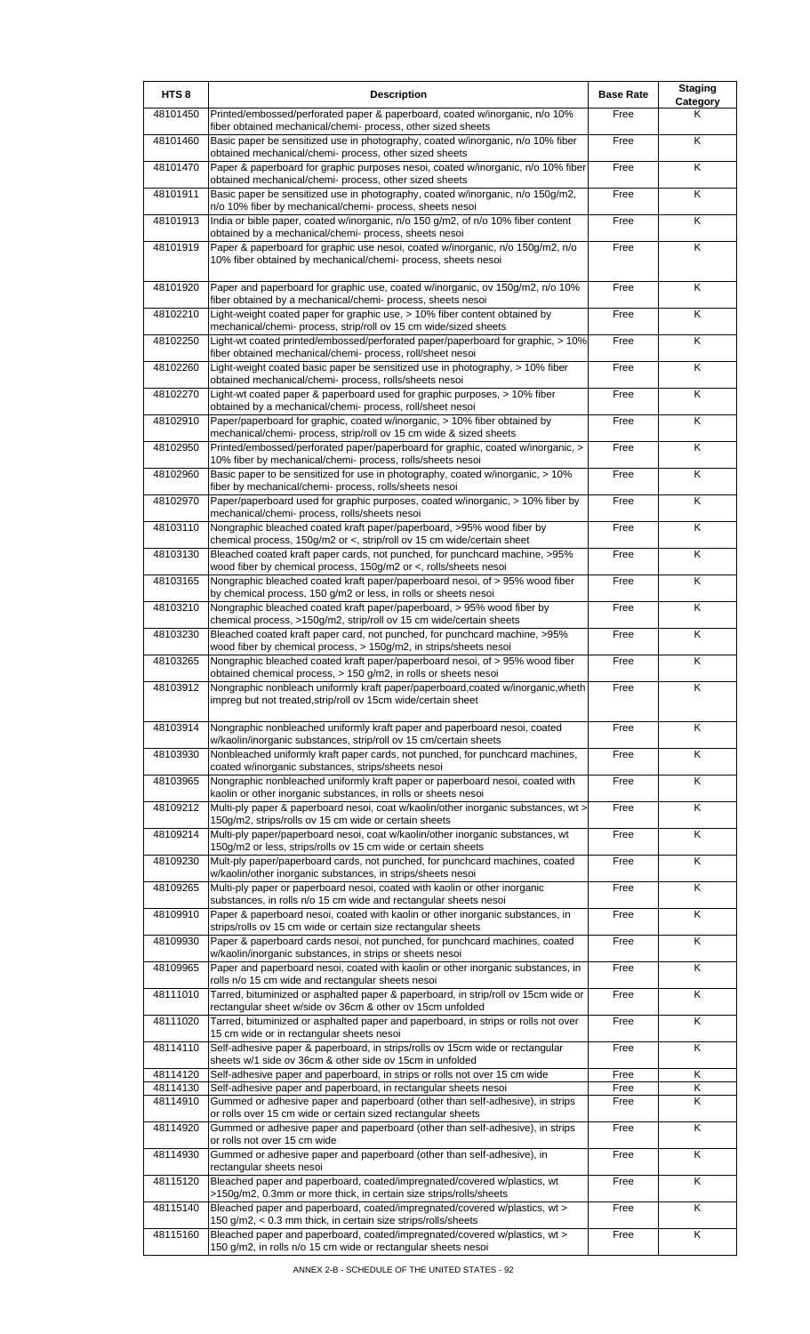| HTS <sub>8</sub>     | <b>Description</b>                                                                                                                                                                                                   | <b>Base Rate</b> | <b>Staging</b><br>Category |
|----------------------|----------------------------------------------------------------------------------------------------------------------------------------------------------------------------------------------------------------------|------------------|----------------------------|
| 48101450             | Printed/embossed/perforated paper & paperboard, coated w/inorganic, n/o 10%<br>fiber obtained mechanical/chemi- process, other sized sheets                                                                          | Free             | Κ                          |
| 48101460             | Basic paper be sensitized use in photography, coated w/inorganic, n/o 10% fiber<br>obtained mechanical/chemi- process, other sized sheets                                                                            | Free             | K                          |
| 48101470             | Paper & paperboard for graphic purposes nesoi, coated w/inorganic, n/o 10% fiber<br>obtained mechanical/chemi- process, other sized sheets                                                                           | Free             | Κ                          |
| 48101911             | Basic paper be sensitized use in photography, coated w/inorganic, n/o 150g/m2,<br>n/o 10% fiber by mechanical/chemi- process, sheets nesoi                                                                           | Free             | $\overline{\mathsf{K}}$    |
| 48101913             | India or bible paper, coated w/inorganic, n/o 150 g/m2, of n/o 10% fiber content<br>obtained by a mechanical/chemi- process, sheets nesoi                                                                            | Free             | K                          |
| 48101919             | Paper & paperboard for graphic use nesoi, coated w/inorganic, n/o 150g/m2, n/o<br>10% fiber obtained by mechanical/chemi- process, sheets nesoi                                                                      | Free             | K                          |
| 48101920             | Paper and paperboard for graphic use, coated w/inorganic, ov 150g/m2, n/o 10%<br>fiber obtained by a mechanical/chemi- process, sheets nesoi                                                                         | Free             | K                          |
| 48102210             | Light-weight coated paper for graphic use, > 10% fiber content obtained by<br>mechanical/chemi- process, strip/roll ov 15 cm wide/sized sheets                                                                       | Free             | $\overline{\mathsf{K}}$    |
| 48102250             | Light-wt coated printed/embossed/perforated paper/paperboard for graphic, > 10%<br>fiber obtained mechanical/chemi- process, roll/sheet nesoi                                                                        | Free             | Κ                          |
| 48102260             | Light-weight coated basic paper be sensitized use in photography, > 10% fiber<br>obtained mechanical/chemi- process, rolls/sheets nesoi                                                                              | Free             | $\overline{\mathsf{K}}$    |
| 48102270             | Light-wt coated paper & paperboard used for graphic purposes, > 10% fiber<br>obtained by a mechanical/chemi- process, roll/sheet nesoi                                                                               | Free             | $\overline{\mathsf{K}}$    |
| 48102910             | Paper/paperboard for graphic, coated w/inorganic, > 10% fiber obtained by                                                                                                                                            | Free             | Κ                          |
| 48102950             | mechanical/chemi- process, strip/roll ov 15 cm wide & sized sheets<br>Printed/embossed/perforated paper/paperboard for graphic, coated w/inorganic, >                                                                | Free             | K                          |
| 48102960             | 10% fiber by mechanical/chemi- process, rolls/sheets nesoi<br>Basic paper to be sensitized for use in photography, coated w/inorganic, > 10%                                                                         | Free             | K                          |
| 48102970             | fiber by mechanical/chemi- process, rolls/sheets nesoi<br>Paper/paperboard used for graphic purposes, coated w/inorganic, > 10% fiber by                                                                             | Free             | K                          |
| 48103110             | mechanical/chemi- process, rolls/sheets nesoi<br>Nongraphic bleached coated kraft paper/paperboard, >95% wood fiber by                                                                                               | Free             | Κ                          |
| 48103130             | chemical process, 150g/m2 or <, strip/roll ov 15 cm wide/certain sheet<br>Bleached coated kraft paper cards, not punched, for punchcard machine, >95%                                                                | Free             | K                          |
| 48103165             | wood fiber by chemical process, 150g/m2 or <, rolls/sheets nesoi<br>Nongraphic bleached coated kraft paper/paperboard nesoi, of > 95% wood fiber                                                                     | Free             | Κ                          |
| 48103210             | by chemical process, 150 g/m2 or less, in rolls or sheets nesoi<br>Nongraphic bleached coated kraft paper/paperboard, > 95% wood fiber by                                                                            | Free             | K                          |
| 48103230             | chemical process, >150g/m2, strip/roll ov 15 cm wide/certain sheets<br>Bleached coated kraft paper card, not punched, for punchcard machine, >95%                                                                    | Free             | K                          |
| 48103265             | wood fiber by chemical process, > 150g/m2, in strips/sheets nesoi<br>Nongraphic bleached coated kraft paper/paperboard nesoi, of > 95% wood fiber                                                                    | Free             | K                          |
| 48103912             | obtained chemical process, > 150 g/m2, in rolls or sheets nesoi<br>Nongraphic nonbleach uniformly kraft paper/paperboard, coated w/inorganic, wheth<br>impreg but not treated, strip/roll ov 15cm wide/certain sheet | Free             | K                          |
| 48103914             | Nongraphic nonbleached uniformly kraft paper and paperboard nesoi, coated                                                                                                                                            | Free             | K                          |
| 48103930             | w/kaolin/inorganic substances, strip/roll ov 15 cm/certain sheets<br>Nonbleached uniformly kraft paper cards, not punched, for punchcard machines,                                                                   | Free             | Κ                          |
| 48103965             | coated w/inorganic substances, strips/sheets nesoi<br>Nongraphic nonbleached uniformly kraft paper or paperboard nesoi, coated with                                                                                  | Free             | Κ                          |
| 48109212             | kaolin or other inorganic substances, in rolls or sheets nesoi<br>Multi-ply paper & paperboard nesoi, coat w/kaolin/other inorganic substances, wt >                                                                 | Free             | K                          |
| 48109214             | 150g/m2, strips/rolls ov 15 cm wide or certain sheets<br>Multi-ply paper/paperboard nesoi, coat w/kaolin/other inorganic substances, wt                                                                              | Free             | $\overline{\mathsf{x}}$    |
| 48109230             | 150g/m2 or less, strips/rolls ov 15 cm wide or certain sheets<br>Mult-ply paper/paperboard cards, not punched, for punchcard machines, coated                                                                        | Free             | $\overline{\mathsf{K}}$    |
| 48109265             | w/kaolin/other inorganic substances, in strips/sheets nesoi<br>Multi-ply paper or paperboard nesoi, coated with kaolin or other inorganic                                                                            | Free             | K                          |
| 48109910             | substances, in rolls n/o 15 cm wide and rectangular sheets nesoi<br>Paper & paperboard nesoi, coated with kaolin or other inorganic substances, in                                                                   | Free             | K                          |
| 48109930             | strips/rolls ov 15 cm wide or certain size rectangular sheets<br>Paper & paperboard cards nesoi, not punched, for punchcard machines, coated                                                                         | Free             | $\overline{\mathsf{K}}$    |
| 48109965             | w/kaolin/inorganic substances, in strips or sheets nesoi<br>Paper and paperboard nesoi, coated with kaolin or other inorganic substances, in                                                                         | Free             | K                          |
| 48111010             | rolls n/o 15 cm wide and rectangular sheets nesoi<br>Tarred, bituminized or asphalted paper & paperboard, in strip/roll ov 15cm wide or                                                                              | Free             | $\overline{\mathsf{K}}$    |
| 48111020             | rectangular sheet w/side ov 36cm & other ov 15cm unfolded<br>Tarred, bituminized or asphalted paper and paperboard, in strips or rolls not over                                                                      | Free             | Κ                          |
| 48114110             | 15 cm wide or in rectangular sheets nesoi<br>Self-adhesive paper & paperboard, in strips/rolls ov 15cm wide or rectangular                                                                                           | Free             | K                          |
| 48114120             | sheets w/1 side ov 36cm & other side ov 15cm in unfolded<br>Self-adhesive paper and paperboard, in strips or rolls not over 15 cm wide                                                                               | Free             | $\overline{\mathsf{K}}$    |
| 48114130<br>48114910 | Self-adhesive paper and paperboard, in rectangular sheets nesoi<br>Gummed or adhesive paper and paperboard (other than self-adhesive), in strips                                                                     | Free<br>Free     | Κ<br>Κ                     |
| 48114920             | or rolls over 15 cm wide or certain sized rectangular sheets<br>Gummed or adhesive paper and paperboard (other than self-adhesive), in strips                                                                        | Free             | K                          |
| 48114930             | or rolls not over 15 cm wide<br>Gummed or adhesive paper and paperboard (other than self-adhesive), in                                                                                                               | Free             | Κ                          |
| 48115120             | rectangular sheets nesoi<br>Bleached paper and paperboard, coated/impregnated/covered w/plastics, wt                                                                                                                 | Free             | K                          |
| 48115140             | >150g/m2, 0.3mm or more thick, in certain size strips/rolls/sheets<br>Bleached paper and paperboard, coated/impregnated/covered w/plastics, wt >                                                                     | Free             | Κ                          |
| 48115160             | 150 g/m2, < 0.3 mm thick, in certain size strips/rolls/sheets<br>Bleached paper and paperboard, coated/impregnated/covered w/plastics, wt >                                                                          | Free             | K                          |
|                      | 150 g/m2, in rolls n/o 15 cm wide or rectangular sheets nesoi                                                                                                                                                        |                  |                            |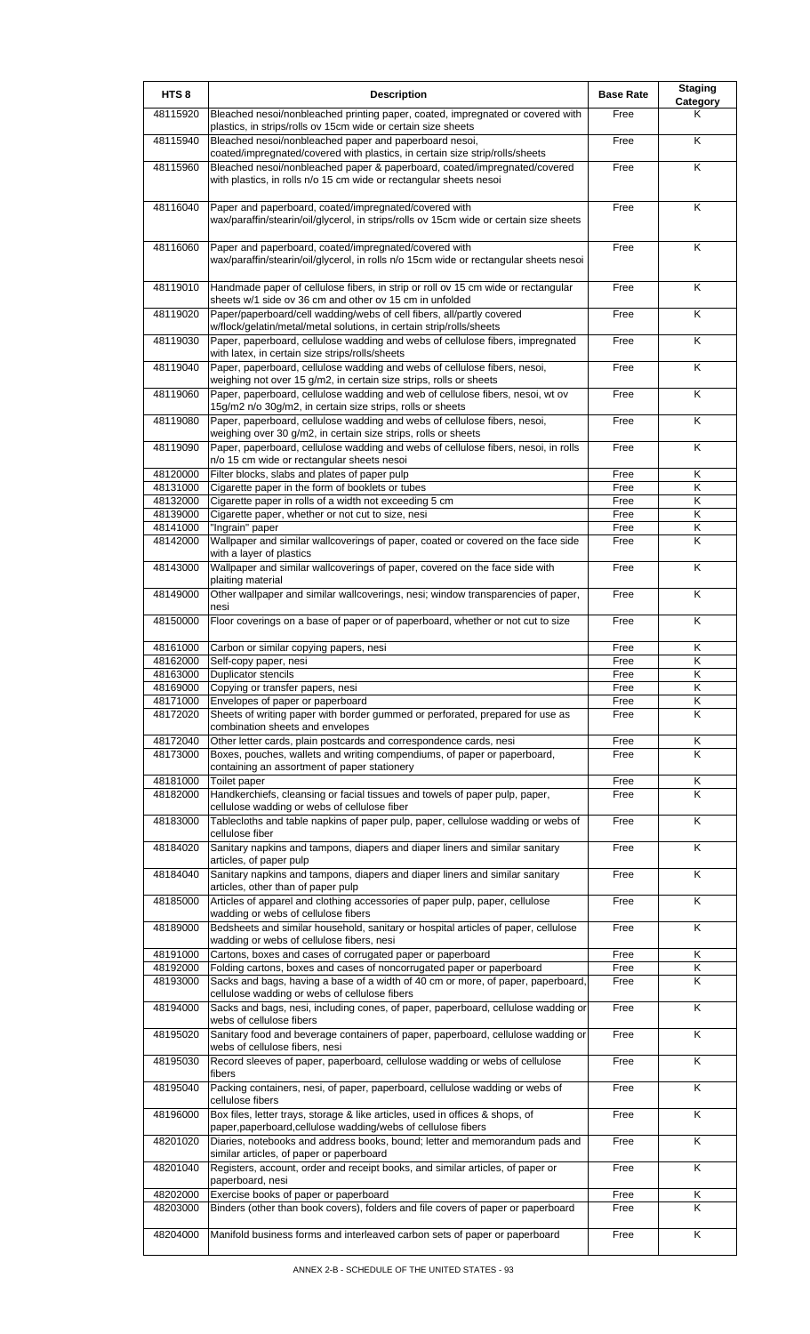| HTS <sub>8</sub>     | <b>Description</b>                                                                                                                                        | <b>Base Rate</b> | <b>Staging</b><br>Category |
|----------------------|-----------------------------------------------------------------------------------------------------------------------------------------------------------|------------------|----------------------------|
| 48115920             | Bleached nesoi/nonbleached printing paper, coated, impregnated or covered with<br>plastics, in strips/rolls ov 15cm wide or certain size sheets           | Free             | Κ                          |
| 48115940             | Bleached nesoi/nonbleached paper and paperboard nesoi,<br>coated/impregnated/covered with plastics, in certain size strip/rolls/sheets                    | Free             | K                          |
| 48115960             | Bleached nesoi/nonbleached paper & paperboard, coated/impregnated/covered<br>with plastics, in rolls n/o 15 cm wide or rectangular sheets nesoi           | Free             | K                          |
| 48116040             | Paper and paperboard, coated/impregnated/covered with<br>wax/paraffin/stearin/oil/glycerol, in strips/rolls ov 15cm wide or certain size sheets           | Free             | K                          |
| 48116060             | Paper and paperboard, coated/impregnated/covered with<br>wax/paraffin/stearin/oil/glycerol, in rolls n/o 15cm wide or rectangular sheets nesoi            | Free             | K                          |
| 48119010             | Handmade paper of cellulose fibers, in strip or roll ov 15 cm wide or rectangular<br>sheets w/1 side ov 36 cm and other ov 15 cm in unfolded              | Free             | K                          |
| 48119020             | Paper/paperboard/cell wadding/webs of cell fibers, all/partly covered<br>w/flock/gelatin/metal/metal solutions, in certain strip/rolls/sheets             | Free             | K                          |
| 48119030             | Paper, paperboard, cellulose wadding and webs of cellulose fibers, impregnated<br>with latex, in certain size strips/rolls/sheets                         | Free             | K                          |
| 48119040             | Paper, paperboard, cellulose wadding and webs of cellulose fibers, nesoi,<br>weighing not over 15 g/m2, in certain size strips, rolls or sheets           | Free             | Κ                          |
| 48119060             | Paper, paperboard, cellulose wadding and web of cellulose fibers, nesoi, wt ov<br>15g/m2 n/o 30g/m2, in certain size strips, rolls or sheets              | Free             | K                          |
| 48119080             | Paper, paperboard, cellulose wadding and webs of cellulose fibers, nesoi,<br>weighing over 30 g/m2, in certain size strips, rolls or sheets               | Free             | K                          |
| 48119090             | Paper, paperboard, cellulose wadding and webs of cellulose fibers, nesoi, in rolls<br>n/o 15 cm wide or rectangular sheets nesoi                          | Free             | K                          |
| 48120000             | Filter blocks, slabs and plates of paper pulp                                                                                                             | Free             | Κ                          |
| 48131000             | Cigarette paper in the form of booklets or tubes                                                                                                          | Free             | Κ                          |
| 48132000             | Cigarette paper in rolls of a width not exceeding 5 cm                                                                                                    | Free             | Κ                          |
| 48139000             | Cigarette paper, whether or not cut to size, nesi                                                                                                         | Free             | Κ                          |
| 48141000             | "Ingrain" paper                                                                                                                                           | Free             | Κ                          |
| 48142000             | Wallpaper and similar wallcoverings of paper, coated or covered on the face side<br>with a layer of plastics                                              | Free             | Κ                          |
| 48143000             | Wallpaper and similar wallcoverings of paper, covered on the face side with<br>plaiting material                                                          | Free             | K                          |
| 48149000             | Other wallpaper and similar wallcoverings, nesi; window transparencies of paper,<br>nesi                                                                  | Free             | K                          |
| 48150000             | Floor coverings on a base of paper or of paperboard, whether or not cut to size                                                                           | Free             | K                          |
| 48161000             | Carbon or similar copying papers, nesi                                                                                                                    | Free             | Κ                          |
| 48162000             | Self-copy paper, nesi                                                                                                                                     | Free             | Κ                          |
| 48163000             | Duplicator stencils                                                                                                                                       | Free             | ĸ                          |
| 48169000             | Copying or transfer papers, nesi                                                                                                                          | Free             | K                          |
| 48171000             | Envelopes of paper or paperboard                                                                                                                          | Free             | Κ                          |
| 48172020             | Sheets of writing paper with border gummed or perforated, prepared for use as<br>combination sheets and envelopes                                         | Free             | K                          |
| 48172040             | Other letter cards, plain postcards and correspondence cards, nesi                                                                                        | Free             | Κ                          |
| 48173000             | Boxes, pouches, wallets and writing compendiums, of paper or paperboard,                                                                                  | Free             | K                          |
|                      | containing an assortment of paper stationery                                                                                                              |                  |                            |
| 48181000<br>48182000 | Toilet paper<br>Handkerchiefs, cleansing or facial tissues and towels of paper pulp, paper,                                                               | Free<br>Free     | Κ<br>Κ                     |
| 48183000             | cellulose wadding or webs of cellulose fiber<br>Tablecloths and table napkins of paper pulp, paper, cellulose wadding or webs of                          | Free             | K                          |
| 48184020             | cellulose fiber<br>Sanitary napkins and tampons, diapers and diaper liners and similar sanitary                                                           | Free             | K                          |
| 48184040             | articles, of paper pulp<br>Sanitary napkins and tampons, diapers and diaper liners and similar sanitary                                                   | Free             | K                          |
| 48185000             | articles, other than of paper pulp<br>Articles of apparel and clothing accessories of paper pulp, paper, cellulose                                        | Free             | K                          |
| 48189000             | wadding or webs of cellulose fibers<br>Bedsheets and similar household, sanitary or hospital articles of paper, cellulose                                 | Free             | K                          |
|                      | wadding or webs of cellulose fibers, nesi                                                                                                                 |                  |                            |
| 48191000             | Cartons, boxes and cases of corrugated paper or paperboard                                                                                                | Free             | Κ                          |
| 48192000<br>48193000 | Folding cartons, boxes and cases of noncorrugated paper or paperboard<br>Sacks and bags, having a base of a width of 40 cm or more, of paper, paperboard, | Free<br>Free     | Κ<br>K                     |
| 48194000             | cellulose wadding or webs of cellulose fibers<br>Sacks and bags, nesi, including cones, of paper, paperboard, cellulose wadding or                        | Free             | K                          |
| 48195020             | webs of cellulose fibers<br>Sanitary food and beverage containers of paper, paperboard, cellulose wadding or                                              | Free             | K                          |
| 48195030             | webs of cellulose fibers, nesi<br>Record sleeves of paper, paperboard, cellulose wadding or webs of cellulose                                             | Free             | K                          |
| 48195040             | fibers<br>Packing containers, nesi, of paper, paperboard, cellulose wadding or webs of                                                                    | Free             | K                          |
| 48196000             | cellulose fibers<br>Box files, letter trays, storage & like articles, used in offices & shops, of                                                         | Free             | K                          |
| 48201020             | paper, paperboard, cellulose wadding/webs of cellulose fibers<br>Diaries, notebooks and address books, bound; letter and memorandum pads and              | Free             | K                          |
| 48201040             | similar articles, of paper or paperboard<br>Registers, account, order and receipt books, and similar articles, of paper or                                | Free             | Κ                          |
| 48202000             | paperboard, nesi<br>Exercise books of paper or paperboard                                                                                                 | Free             | Κ                          |
| 48203000             | Binders (other than book covers), folders and file covers of paper or paperboard                                                                          | Free             | Κ                          |
| 48204000             | Manifold business forms and interleaved carbon sets of paper or paperboard                                                                                | Free             | K                          |
|                      |                                                                                                                                                           |                  |                            |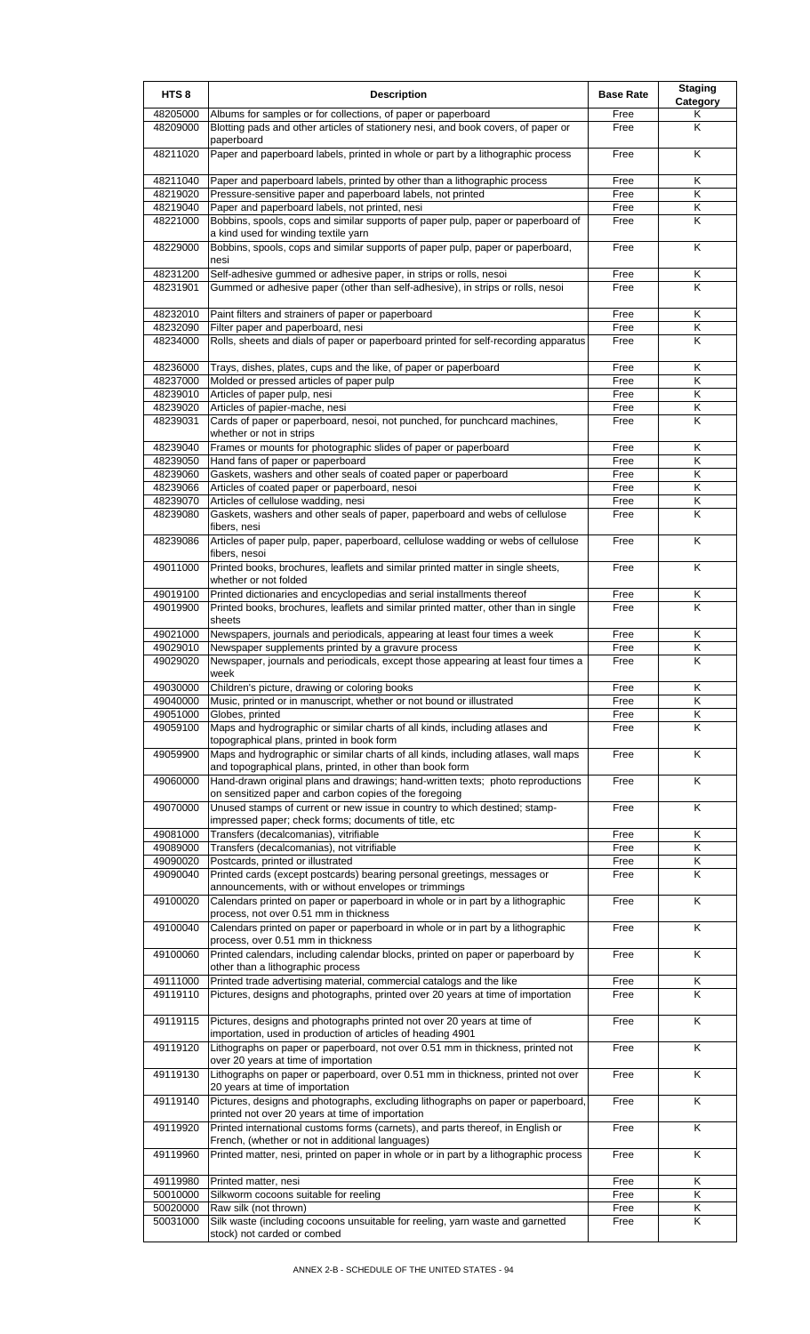| HTS <sub>8</sub>     | <b>Description</b>                                                                                                                           | <b>Base Rate</b> | <b>Staging</b><br>Category |
|----------------------|----------------------------------------------------------------------------------------------------------------------------------------------|------------------|----------------------------|
| 48205000             | Albums for samples or for collections, of paper or paperboard                                                                                | Free             | Κ                          |
| 48209000             | Blotting pads and other articles of stationery nesi, and book covers, of paper or<br>paperboard                                              | Free             | Κ                          |
| 48211020             | Paper and paperboard labels, printed in whole or part by a lithographic process                                                              | Free             | K                          |
| 48211040             | Paper and paperboard labels, printed by other than a lithographic process                                                                    | Free             | Κ                          |
| 48219020             | Pressure-sensitive paper and paperboard labels, not printed                                                                                  | Free             | K                          |
| 48219040             | Paper and paperboard labels, not printed, nesi                                                                                               | Free             | Κ                          |
| 48221000             | Bobbins, spools, cops and similar supports of paper pulp, paper or paperboard of                                                             | Free             | Κ                          |
| 48229000             | a kind used for winding textile yarn<br>Bobbins, spools, cops and similar supports of paper pulp, paper or paperboard,                       | Free             | K                          |
|                      | nesi                                                                                                                                         |                  |                            |
| 48231200             | Self-adhesive gummed or adhesive paper, in strips or rolls, nesoi                                                                            | Free             | Κ                          |
| 48231901             | Gummed or adhesive paper (other than self-adhesive), in strips or rolls, nesoi                                                               | Free             | K                          |
| 48232010             | Paint filters and strainers of paper or paperboard                                                                                           | Free             | Κ                          |
| 48232090             | Filter paper and paperboard, nesi                                                                                                            | Free             | Κ                          |
| 48234000             | Rolls, sheets and dials of paper or paperboard printed for self-recording apparatus                                                          | Free             | Κ                          |
| 48236000             | Trays, dishes, plates, cups and the like, of paper or paperboard                                                                             | Free             | Κ                          |
| 48237000             | Molded or pressed articles of paper pulp                                                                                                     | Free             | K                          |
| 48239010             | Articles of paper pulp, nesi                                                                                                                 | Free             | $\overline{\mathsf{K}}$    |
| 48239020             | Articles of papier-mache, nesi                                                                                                               | Free             | Κ                          |
| 48239031             | Cards of paper or paperboard, nesoi, not punched, for punchcard machines,<br>whether or not in strips                                        | Free             | K                          |
| 48239040             | Frames or mounts for photographic slides of paper or paperboard                                                                              | Free             | K                          |
| 48239050             | Hand fans of paper or paperboard                                                                                                             | Free             | Κ                          |
| 48239060             | Gaskets, washers and other seals of coated paper or paperboard                                                                               | Free             | Κ                          |
| 48239066             | Articles of coated paper or paperboard, nesoi                                                                                                | Free             | Κ                          |
| 48239070             | Articles of cellulose wadding, nesi                                                                                                          | Free             | Κ                          |
| 48239080             | Gaskets, washers and other seals of paper, paperboard and webs of cellulose<br>fibers, nesi                                                  | Free             | K                          |
| 48239086             | Articles of paper pulp, paper, paperboard, cellulose wadding or webs of cellulose<br>fibers, nesoi                                           | Free             | K                          |
| 49011000             | Printed books, brochures, leaflets and similar printed matter in single sheets,<br>whether or not folded                                     | Free             | K                          |
| 49019100             | Printed dictionaries and encyclopedias and serial installments thereof                                                                       | Free             | Κ                          |
| 49019900             | Printed books, brochures, leaflets and similar printed matter, other than in single                                                          | Free             | K                          |
| 49021000             | sheets                                                                                                                                       |                  | K                          |
| 49029010             | Newspapers, journals and periodicals, appearing at least four times a week<br>Newspaper supplements printed by a gravure process             | Free<br>Free     | $\overline{\mathsf{K}}$    |
| 49029020             | Newspaper, journals and periodicals, except those appearing at least four times a<br>week                                                    | Free             | Κ                          |
| 49030000             | Children's picture, drawing or coloring books                                                                                                | Free             | Κ                          |
| 49040000             | Music, printed or in manuscript, whether or not bound or illustrated                                                                         | Free             | Κ                          |
| 49051000             | Globes, printed                                                                                                                              | Free             | K                          |
| 49059100             | Maps and hydrographic or similar charts of all kinds, including atlases and<br>topographical plans, printed in book form                     | Free             | K                          |
| 49059900             | Maps and hydrographic or similar charts of all kinds, including atlases, wall maps                                                           | Free             | K                          |
| 49060000             | and topographical plans, printed, in other than book form<br>Hand-drawn original plans and drawings; hand-written texts; photo reproductions | Free             | K                          |
| 49070000             | on sensitized paper and carbon copies of the foregoing<br>Unused stamps of current or new issue in country to which destined; stamp-         | Free             | K                          |
|                      | impressed paper; check forms; documents of title, etc                                                                                        |                  |                            |
| 49081000             | Transfers (decalcomanias), vitrifiable                                                                                                       | Free             | Κ                          |
| 49089000             | Transfers (decalcomanias), not vitrifiable                                                                                                   | Free             | Κ                          |
| 49090020<br>49090040 | Postcards, printed or illustrated                                                                                                            | Free<br>Free     | Κ<br>K                     |
|                      | Printed cards (except postcards) bearing personal greetings, messages or<br>announcements, with or without envelopes or trimmings            |                  |                            |
| 49100020             | Calendars printed on paper or paperboard in whole or in part by a lithographic<br>process, not over 0.51 mm in thickness                     | Free             | K                          |
| 49100040             | Calendars printed on paper or paperboard in whole or in part by a lithographic<br>process, over 0.51 mm in thickness                         | Free             | K                          |
| 49100060             | Printed calendars, including calendar blocks, printed on paper or paperboard by<br>other than a lithographic process                         | Free             | K                          |
| 49111000             | Printed trade advertising material, commercial catalogs and the like                                                                         | Free             | Κ                          |
| 49119110             | Pictures, designs and photographs, printed over 20 years at time of importation                                                              | Free             | K                          |
| 49119115             | Pictures, designs and photographs printed not over 20 years at time of<br>importation, used in production of articles of heading 4901        | Free             | K                          |
| 49119120             | Lithographs on paper or paperboard, not over 0.51 mm in thickness, printed not<br>over 20 years at time of importation                       | Free             | K                          |
| 49119130             | Lithographs on paper or paperboard, over 0.51 mm in thickness, printed not over<br>20 years at time of importation                           | Free             | K                          |
| 49119140             | Pictures, designs and photographs, excluding lithographs on paper or paperboard,<br>printed not over 20 years at time of importation         | Free             | $\overline{\mathsf{K}}$    |
| 49119920             | Printed international customs forms (carnets), and parts thereof, in English or<br>French, (whether or not in additional languages)          | Free             | Κ                          |
| 49119960             | Printed matter, nesi, printed on paper in whole or in part by a lithographic process                                                         | Free             | K                          |
| 49119980             | Printed matter, nesi                                                                                                                         | Free             | Κ                          |
| 50010000             | Silkworm cocoons suitable for reeling                                                                                                        | Free             | K                          |
| 50020000             | Raw silk (not thrown)                                                                                                                        | Free             | Κ                          |
| 50031000             | Silk waste (including cocoons unsuitable for reeling, yarn waste and garnetted<br>stock) not carded or combed                                | Free             | Κ                          |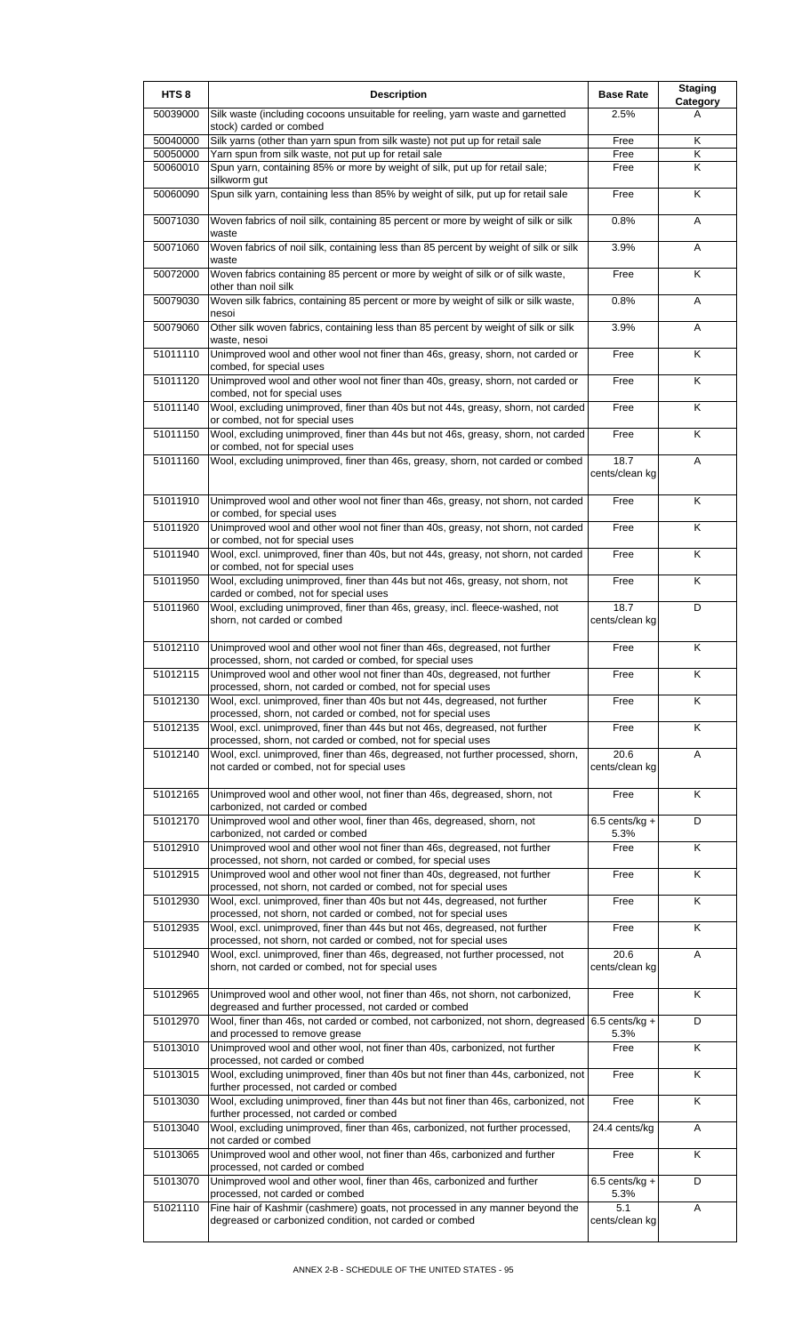| HTS <sub>8</sub> | <b>Description</b>                                                                                                                                                                                         | <b>Base Rate</b>         | <b>Staging</b><br>Category |
|------------------|------------------------------------------------------------------------------------------------------------------------------------------------------------------------------------------------------------|--------------------------|----------------------------|
| 50039000         | Silk waste (including cocoons unsuitable for reeling, yarn waste and garnetted<br>stock) carded or combed                                                                                                  | 2.5%                     | A                          |
| 50040000         | Silk yarns (other than yarn spun from silk waste) not put up for retail sale                                                                                                                               | Free                     | Κ                          |
| 50050000         | Yarn spun from silk waste, not put up for retail sale                                                                                                                                                      | Free                     | K                          |
| 50060010         | Spun yarn, containing 85% or more by weight of silk, put up for retail sale;<br>silkworm gut                                                                                                               | Free                     | Κ                          |
| 50060090         | Spun silk yarn, containing less than 85% by weight of silk, put up for retail sale                                                                                                                         | Free                     | K                          |
| 50071030         | Woven fabrics of noil silk, containing 85 percent or more by weight of silk or silk<br>waste                                                                                                               | 0.8%                     | A                          |
| 50071060         | Woven fabrics of noil silk, containing less than 85 percent by weight of silk or silk<br>waste                                                                                                             | 3.9%                     | Α                          |
| 50072000         | Woven fabrics containing 85 percent or more by weight of silk or of silk waste,<br>other than noil silk                                                                                                    | Free                     | K                          |
| 50079030         | Woven silk fabrics, containing 85 percent or more by weight of silk or silk waste,<br>nesoi                                                                                                                | 0.8%                     | A                          |
| 50079060         | Other silk woven fabrics, containing less than 85 percent by weight of silk or silk<br>waste, nesoi                                                                                                        | 3.9%                     | A                          |
| 51011110         | Unimproved wool and other wool not finer than 46s, greasy, shorn, not carded or<br>combed, for special uses                                                                                                | Free                     | K                          |
| 51011120         | Unimproved wool and other wool not finer than 40s, greasy, shorn, not carded or<br>combed, not for special uses                                                                                            | Free                     | K                          |
| 51011140         | Wool, excluding unimproved, finer than 40s but not 44s, greasy, shorn, not carded<br>or combed, not for special uses                                                                                       | Free                     | K                          |
| 51011150         | Wool, excluding unimproved, finer than 44s but not 46s, greasy, shorn, not carded<br>or combed, not for special uses                                                                                       | Free                     | K                          |
| 51011160         | Wool, excluding unimproved, finer than 46s, greasy, shorn, not carded or combed                                                                                                                            | 18.7<br>cents/clean kg   | Α                          |
| 51011910         | Unimproved wool and other wool not finer than 46s, greasy, not shorn, not carded<br>or combed, for special uses                                                                                            | Free                     | Κ                          |
| 51011920         | Unimproved wool and other wool not finer than 40s, greasy, not shorn, not carded<br>or combed, not for special uses                                                                                        | Free                     | K                          |
| 51011940         | Wool, excl. unimproved, finer than 40s, but not 44s, greasy, not shorn, not carded<br>or combed, not for special uses                                                                                      | Free                     | K                          |
| 51011950         | Wool, excluding unimproved, finer than 44s but not 46s, greasy, not shorn, not                                                                                                                             | Free                     | Κ                          |
| 51011960         | carded or combed, not for special uses<br>Wool, excluding unimproved, finer than 46s, greasy, incl. fleece-washed, not<br>shorn, not carded or combed                                                      | 18.7<br>cents/clean kg   | D                          |
| 51012110         | Unimproved wool and other wool not finer than 46s, degreased, not further<br>processed, shorn, not carded or combed, for special uses                                                                      | Free                     | K                          |
| 51012115         | Unimproved wool and other wool not finer than 40s, degreased, not further<br>processed, shorn, not carded or combed, not for special uses                                                                  | Free                     | ĸ                          |
| 51012130         | Wool, excl. unimproved, finer than 40s but not 44s, degreased, not further                                                                                                                                 | Free                     | Κ                          |
| 51012135         | processed, shorn, not carded or combed, not for special uses<br>Wool, excl. unimproved, finer than 44s but not 46s, degreased, not further<br>processed, shorn, not carded or combed, not for special uses | Free                     | K                          |
| 51012140         | Wool, excl. unimproved, finer than 46s, degreased, not further processed, shorn,<br>not carded or combed, not for special uses                                                                             | 20.6<br>cents/clean kg   | Α                          |
| 51012165         | Unimproved wool and other wool, not finer than 46s, degreased, shorn, not                                                                                                                                  | Free                     | Κ                          |
| 51012170         | carbonized, not carded or combed<br>Unimproved wool and other wool, finer than 46s, degreased, shorn, not                                                                                                  | 6.5 cents/kg $+$         | D                          |
| 51012910         | carbonized, not carded or combed<br>Unimproved wool and other wool not finer than 46s, degreased, not further                                                                                              | 5.3%<br>Free             | $\overline{\mathsf{K}}$    |
| 51012915         | processed, not shorn, not carded or combed, for special uses<br>Unimproved wool and other wool not finer than 40s, degreased, not further                                                                  | Free                     | Κ                          |
| 51012930         | processed, not shorn, not carded or combed, not for special uses<br>Wool, excl. unimproved, finer than 40s but not 44s, degreased, not further                                                             | Free                     | K                          |
| 51012935         | processed, not shorn, not carded or combed, not for special uses<br>Wool, excl. unimproved, finer than 44s but not 46s, degreased, not further                                                             | Free                     | $\overline{\mathsf{K}}$    |
| 51012940         | processed, not shorn, not carded or combed, not for special uses<br>Wool, excl. unimproved, finer than 46s, degreased, not further processed, not<br>shorn, not carded or combed, not for special uses     | 20.6<br>cents/clean kg   | A                          |
| 51012965         | Unimproved wool and other wool, not finer than 46s, not shorn, not carbonized,                                                                                                                             | Free                     | Κ                          |
| 51012970         | degreased and further processed, not carded or combed<br>Wool, finer than 46s, not carded or combed, not carbonized, not shorn, degreased 6.5 cents/kg +<br>and processed to remove grease                 | 5.3%                     | D                          |
| 51013010         | Unimproved wool and other wool, not finer than 40s, carbonized, not further<br>processed, not carded or combed                                                                                             | Free                     | K                          |
| 51013015         | Wool, excluding unimproved, finer than 40s but not finer than 44s, carbonized, not<br>further processed, not carded or combed                                                                              | Free                     | K                          |
| 51013030         | Wool, excluding unimproved, finer than 44s but not finer than 46s, carbonized, not<br>further processed, not carded or combed                                                                              | Free                     | $\overline{\mathsf{K}}$    |
| 51013040         | Wool, excluding unimproved, finer than 46s, carbonized, not further processed,<br>not carded or combed                                                                                                     | 24.4 cents/kg            | Α                          |
| 51013065         | Unimproved wool and other wool, not finer than 46s, carbonized and further<br>processed, not carded or combed                                                                                              | Free                     | K                          |
| 51013070         | Unimproved wool and other wool, finer than 46s, carbonized and further<br>processed, not carded or combed                                                                                                  | $6.5$ cents/kg +<br>5.3% | D                          |
| 51021110         | Fine hair of Kashmir (cashmere) goats, not processed in any manner beyond the                                                                                                                              | 5.1                      | Α                          |
|                  | degreased or carbonized condition, not carded or combed                                                                                                                                                    | cents/clean kg           |                            |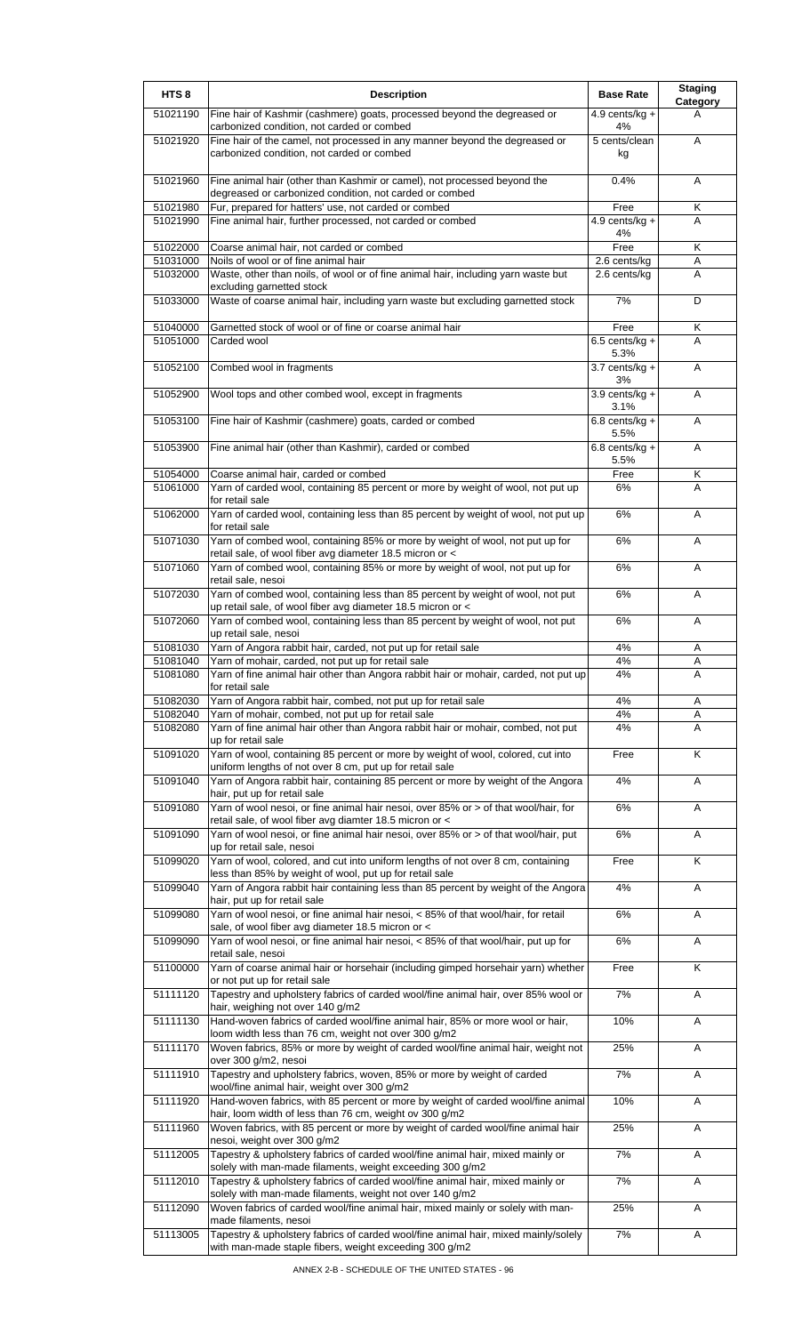| HTS <sub>8</sub>     | <b>Description</b>                                                                                                                             | <b>Base Rate</b>                 | <b>Staging</b><br><b>Category</b> |
|----------------------|------------------------------------------------------------------------------------------------------------------------------------------------|----------------------------------|-----------------------------------|
| 51021190             | Fine hair of Kashmir (cashmere) goats, processed beyond the degreased or<br>carbonized condition, not carded or combed                         | 4.9 cents/kg $+$<br>4%           | A                                 |
| 51021920             | Fine hair of the camel, not processed in any manner beyond the degreased or<br>carbonized condition, not carded or combed                      | 5 cents/clean<br>kg              | A                                 |
| 51021960             | Fine animal hair (other than Kashmir or camel), not processed beyond the<br>degreased or carbonized condition, not carded or combed            | 0.4%                             | A                                 |
| 51021980             | Fur, prepared for hatters' use, not carded or combed                                                                                           | Free                             | Κ                                 |
| 51021990             | Fine animal hair, further processed, not carded or combed                                                                                      | 4.9 cents/kg $+$<br>4%           | A                                 |
| 51022000             | Coarse animal hair, not carded or combed                                                                                                       | Free                             | Κ                                 |
| 51031000             | Noils of wool or of fine animal hair                                                                                                           | $2.6$ cents/kg                   | Α                                 |
| 51032000             | Waste, other than noils, of wool or of fine animal hair, including yarn waste but<br>excluding garnetted stock                                 | 2.6 cents/kg                     | A                                 |
| 51033000             | Waste of coarse animal hair, including yarn waste but excluding garnetted stock                                                                | 7%                               | D                                 |
| 51040000<br>51051000 | Garnetted stock of wool or of fine or coarse animal hair<br>Carded wool                                                                        | Free<br>$6.5$ cents/kg +         | Κ<br>A                            |
| 51052100             | Combed wool in fragments                                                                                                                       | 5.3%<br>$3.7$ cents/kg +         | Α                                 |
| 51052900             | Wool tops and other combed wool, except in fragments                                                                                           | 3%<br>$3.9$ cents/kg +           | A                                 |
| 51053100             | Fine hair of Kashmir (cashmere) goats, carded or combed                                                                                        | 3.1%<br>$6.8$ cents/kg +         | A                                 |
| 51053900             | Fine animal hair (other than Kashmir), carded or combed                                                                                        | 5.5%<br>$6.8$ cents/kg +<br>5.5% | A                                 |
| 51054000             | Coarse animal hair, carded or combed                                                                                                           | Free                             | Κ                                 |
| 51061000             | Yarn of carded wool, containing 85 percent or more by weight of wool, not put up<br>for retail sale                                            | 6%                               | A                                 |
| 51062000             | Yarn of carded wool, containing less than 85 percent by weight of wool, not put up<br>for retail sale                                          | 6%                               | A                                 |
| 51071030             | Yarn of combed wool, containing 85% or more by weight of wool, not put up for<br>retail sale, of wool fiber avg diameter 18.5 micron or <      | 6%                               | A                                 |
| 51071060             | Yarn of combed wool, containing 85% or more by weight of wool, not put up for<br>retail sale, nesoi                                            | 6%                               | A                                 |
| 51072030             | Yarn of combed wool, containing less than 85 percent by weight of wool, not put<br>up retail sale, of wool fiber avg diameter 18.5 micron or < | 6%                               | A                                 |
| 51072060             | Yarn of combed wool, containing less than 85 percent by weight of wool, not put<br>up retail sale, nesoi                                       | 6%                               | A                                 |
| 51081030             | Yarn of Angora rabbit hair, carded, not put up for retail sale                                                                                 | 4%                               | Α                                 |
| 51081040             | Yarn of mohair, carded, not put up for retail sale                                                                                             | 4%                               | A                                 |
| 51081080             | Yarn of fine animal hair other than Angora rabbit hair or mohair, carded, not put up<br>for retail sale                                        | 4%                               | A                                 |
| 51082030             | Yarn of Angora rabbit hair, combed, not put up for retail sale                                                                                 | 4%                               | Α                                 |
| 51082040             | Yarn of mohair, combed, not put up for retail sale                                                                                             | 4%                               | Α                                 |
| 51082080             | Yarn of fine animal hair other than Angora rabbit hair or mohair, combed, not put<br>up for retail sale                                        | 4%                               | A                                 |
| 51091020             | Yarn of wool, containing 85 percent or more by weight of wool, colored, cut into<br>uniform lengths of not over 8 cm, put up for retail sale   | Free                             | Κ                                 |
| 51091040             | Yarn of Angora rabbit hair, containing 85 percent or more by weight of the Angora<br>hair, put up for retail sale                              | 4%                               | Α                                 |
| 51091080             | Yarn of wool nesoi, or fine animal hair nesoi, over 85% or > of that wool/hair, for<br>retail sale, of wool fiber avg diamter 18.5 micron or < | 6%                               | Α                                 |
| 51091090             | Yarn of wool nesoi, or fine animal hair nesoi, over 85% or > of that wool/hair, put<br>up for retail sale, nesoi                               | $6\%$                            | Α                                 |
| 51099020             | Yarn of wool, colored, and cut into uniform lengths of not over 8 cm, containing<br>less than 85% by weight of wool, put up for retail sale    | Free                             | Κ                                 |
| 51099040             | Yarn of Angora rabbit hair containing less than 85 percent by weight of the Angora<br>hair, put up for retail sale                             | 4%                               | A                                 |
| 51099080             | Yarn of wool nesoi, or fine animal hair nesoi, < 85% of that wool/hair, for retail<br>sale, of wool fiber avg diameter 18.5 micron or <        | 6%                               | Α                                 |
| 51099090             | Yarn of wool nesoi, or fine animal hair nesoi, < 85% of that wool/hair, put up for<br>retail sale, nesoi                                       | 6%                               | Α                                 |
| 51100000             | Yarn of coarse animal hair or horsehair (including gimped horsehair yarn) whether<br>or not put up for retail sale                             | Free                             | Κ                                 |
| 51111120             | Tapestry and upholstery fabrics of carded wool/fine animal hair, over 85% wool or<br>hair, weighing not over 140 g/m2                          | 7%                               | Α                                 |
| 51111130             | Hand-woven fabrics of carded wool/fine animal hair, 85% or more wool or hair,<br>loom width less than 76 cm, weight not over 300 g/m2          | 10%                              | Α                                 |
| 51111170             | Woven fabrics, 85% or more by weight of carded wool/fine animal hair, weight not<br>over 300 g/m2, nesoi                                       | 25%                              | Α                                 |
| 51111910             | Tapestry and upholstery fabrics, woven, 85% or more by weight of carded<br>wool/fine animal hair, weight over 300 g/m2                         | 7%                               | Α                                 |
| 51111920             | Hand-woven fabrics, with 85 percent or more by weight of carded wool/fine animal<br>hair, loom width of less than 76 cm, weight ov 300 g/m2    | 10%                              | Α                                 |
| 51111960             | Woven fabrics, with 85 percent or more by weight of carded wool/fine animal hair<br>nesoi, weight over 300 g/m2                                | 25%                              | Α                                 |
| 51112005             | Tapestry & upholstery fabrics of carded wool/fine animal hair, mixed mainly or<br>solely with man-made filaments, weight exceeding 300 g/m2    | 7%                               | Α                                 |
| 51112010             | Tapestry & upholstery fabrics of carded wool/fine animal hair, mixed mainly or<br>solely with man-made filaments, weight not over 140 g/m2     | 7%                               | Α                                 |
| 51112090             | Woven fabrics of carded wool/fine animal hair, mixed mainly or solely with man-<br>made filaments, nesoi                                       | 25%                              | Α                                 |
| 51113005             | Tapestry & upholstery fabrics of carded wool/fine animal hair, mixed mainly/solely<br>with man-made staple fibers, weight exceeding 300 g/m2   | 7%                               | Α                                 |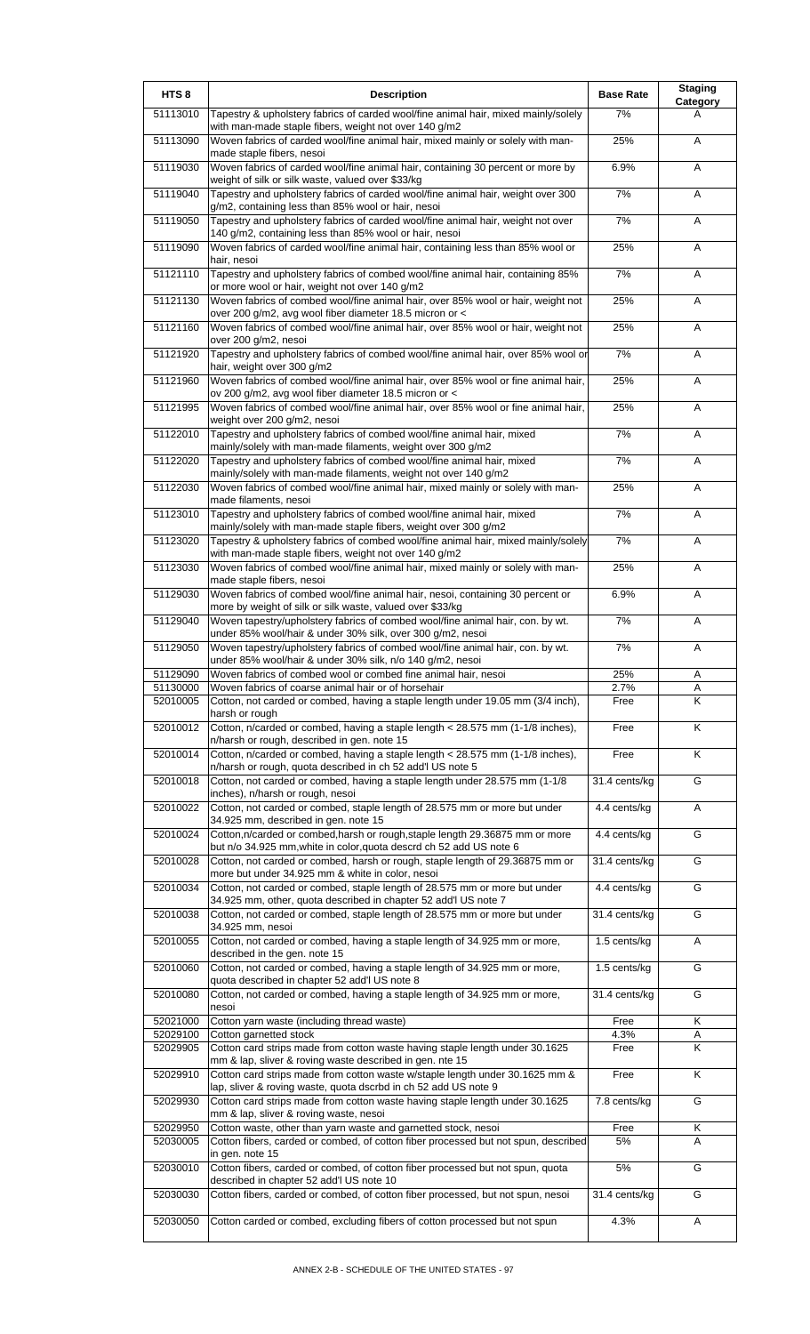| HTS <sub>8</sub>     | <b>Description</b>                                                                                                                              | <b>Base Rate</b> | <b>Staging</b><br>Category |
|----------------------|-------------------------------------------------------------------------------------------------------------------------------------------------|------------------|----------------------------|
| 51113010             | Tapestry & upholstery fabrics of carded wool/fine animal hair, mixed mainly/solely<br>with man-made staple fibers, weight not over 140 g/m2     | 7%               | A                          |
| 51113090             | Woven fabrics of carded wool/fine animal hair, mixed mainly or solely with man-<br>made staple fibers, nesoi                                    | 25%              | A                          |
| 51119030             | Woven fabrics of carded wool/fine animal hair, containing 30 percent or more by<br>weight of silk or silk waste, valued over \$33/kg            | 6.9%             | Α                          |
| 51119040             | Tapestry and upholstery fabrics of carded wool/fine animal hair, weight over 300<br>g/m2, containing less than 85% wool or hair, nesoi          | 7%               | Α                          |
| 51119050             | Tapestry and upholstery fabrics of carded wool/fine animal hair, weight not over<br>140 g/m2, containing less than 85% wool or hair, nesoi      | 7%               | A                          |
| 51119090             | Woven fabrics of carded wool/fine animal hair, containing less than 85% wool or<br>hair, nesoi                                                  | 25%              | A                          |
| 51121110             | Tapestry and upholstery fabrics of combed wool/fine animal hair, containing 85%<br>or more wool or hair, weight not over 140 g/m2               | 7%               | A                          |
| 51121130             | Woven fabrics of combed wool/fine animal hair, over 85% wool or hair, weight not<br>over 200 g/m2, avg wool fiber diameter 18.5 micron or <     | 25%              | A                          |
| 51121160             | Woven fabrics of combed wool/fine animal hair, over 85% wool or hair, weight not<br>over 200 g/m2, nesoi                                        | 25%              | A                          |
| 51121920             | Tapestry and upholstery fabrics of combed wool/fine animal hair, over 85% wool or<br>hair, weight over 300 g/m2                                 | 7%               | A                          |
| 51121960             | Woven fabrics of combed wool/fine animal hair, over 85% wool or fine animal hair,<br>ov 200 g/m2, avg wool fiber diameter 18.5 micron or <      | 25%              | Α                          |
| 51121995             | Woven fabrics of combed wool/fine animal hair, over 85% wool or fine animal hair,<br>weight over 200 g/m2, nesoi                                | 25%              | A                          |
| 51122010             | Tapestry and upholstery fabrics of combed wool/fine animal hair, mixed<br>mainly/solely with man-made filaments, weight over 300 g/m2           | 7%               | A                          |
| 51122020             | Tapestry and upholstery fabrics of combed wool/fine animal hair, mixed<br>mainly/solely with man-made filaments, weight not over 140 g/m2       | 7%               | Α                          |
| 51122030             | Woven fabrics of combed wool/fine animal hair, mixed mainly or solely with man-<br>made filaments, nesoi                                        | 25%              | Α                          |
| 51123010             | Tapestry and upholstery fabrics of combed wool/fine animal hair, mixed<br>mainly/solely with man-made staple fibers, weight over 300 g/m2       | 7%               | Α                          |
| 51123020             | Tapestry & upholstery fabrics of combed wool/fine animal hair, mixed mainly/solely<br>with man-made staple fibers, weight not over 140 g/m2     | 7%               | Α                          |
| 51123030             | Woven fabrics of combed wool/fine animal hair, mixed mainly or solely with man-<br>made staple fibers, nesoi                                    | 25%              | Α                          |
| 51129030             | Woven fabrics of combed wool/fine animal hair, nesoi, containing 30 percent or<br>more by weight of silk or silk waste, valued over \$33/kg     | 6.9%             | A                          |
| 51129040             | Woven tapestry/upholstery fabrics of combed wool/fine animal hair, con. by wt.<br>under 85% wool/hair & under 30% silk, over 300 g/m2, nesoi    | 7%               | Α                          |
| 51129050             | Woven tapestry/upholstery fabrics of combed wool/fine animal hair, con. by wt.<br>under 85% wool/hair & under 30% silk, n/o 140 g/m2, nesoi     | 7%               | Α                          |
| 51129090             | Woven fabrics of combed wool or combed fine animal hair, nesoi                                                                                  | 25%              | A                          |
| 51130000<br>52010005 | Woven fabrics of coarse animal hair or of horsehair<br>Cotton, not carded or combed, having a staple length under 19.05 mm (3/4 inch),          | 2.7%<br>Free     | Α<br>K                     |
| 52010012             | harsh or rough<br>Cotton, n/carded or combed, having a staple length < 28.575 mm (1-1/8 inches),                                                | Free             | K                          |
| 52010014             | n/harsh or rough, described in gen. note 15<br>Cotton, n/carded or combed, having a staple length < 28.575 mm (1-1/8 inches),                   | Free             | K                          |
| 52010018             | n/harsh or rough, quota described in ch 52 add'l US note 5<br>Cotton, not carded or combed, having a staple length under 28.575 mm (1-1/8       | 31.4 cents/kg    | G                          |
| 52010022             | inches), n/harsh or rough, nesoi<br>Cotton, not carded or combed, staple length of 28.575 mm or more but under                                  | 4.4 cents/kg     | Α                          |
| 52010024             | 34.925 mm, described in gen. note 15<br>Cotton, n/carded or combed, harsh or rough, staple length 29.36875 mm or more                           | 4.4 cents/kg     | G                          |
|                      | but n/o 34.925 mm, white in color, quota descrd ch 52 add US note 6                                                                             |                  |                            |
| 52010028             | Cotton, not carded or combed, harsh or rough, staple length of 29.36875 mm or<br>more but under 34.925 mm & white in color, nesoi               | 31.4 cents/kg    | G                          |
| 52010034             | Cotton, not carded or combed, staple length of 28.575 mm or more but under<br>34.925 mm, other, quota described in chapter 52 add'l US note 7   | 4.4 cents/kg     | G                          |
| 52010038             | Cotton, not carded or combed, staple length of 28.575 mm or more but under<br>34.925 mm, nesoi                                                  | 31.4 cents/kg    | G                          |
| 52010055             | Cotton, not carded or combed, having a staple length of 34.925 mm or more,<br>described in the gen. note 15                                     | 1.5 cents/kg     | A                          |
| 52010060             | Cotton, not carded or combed, having a staple length of 34.925 mm or more,<br>quota described in chapter 52 add'l US note 8                     | 1.5 cents/kg     | G                          |
| 52010080             | Cotton, not carded or combed, having a staple length of 34.925 mm or more,<br>nesoi                                                             | 31.4 cents/kg    | G                          |
| 52021000<br>52029100 | Cotton yarn waste (including thread waste)<br>Cotton garnetted stock                                                                            | Free<br>4.3%     | Κ<br>Α                     |
| 52029905             | Cotton card strips made from cotton waste having staple length under 30.1625                                                                    | Free             | Κ                          |
| 52029910             | mm & lap, sliver & roving waste described in gen. nte 15<br>Cotton card strips made from cotton waste w/staple length under 30.1625 mm &        | Free             | K                          |
| 52029930             | lap, sliver & roving waste, quota dscrbd in ch 52 add US note 9<br>Cotton card strips made from cotton waste having staple length under 30.1625 | 7.8 cents/kg     | G                          |
| 52029950             | mm & lap, sliver & roving waste, nesoi<br>Cotton waste, other than yarn waste and garnetted stock, nesoi                                        | Free             | Κ                          |
| 52030005             | Cotton fibers, carded or combed, of cotton fiber processed but not spun, described                                                              | 5%               | A                          |
| 52030010             | in gen. note 15<br>Cotton fibers, carded or combed, of cotton fiber processed but not spun, quota                                               | 5%               | G                          |
| 52030030             | described in chapter 52 add'l US note 10<br>Cotton fibers, carded or combed, of cotton fiber processed, but not spun, nesoi                     | 31.4 cents/kg    | G                          |
| 52030050             | Cotton carded or combed, excluding fibers of cotton processed but not spun                                                                      | 4.3%             | Α                          |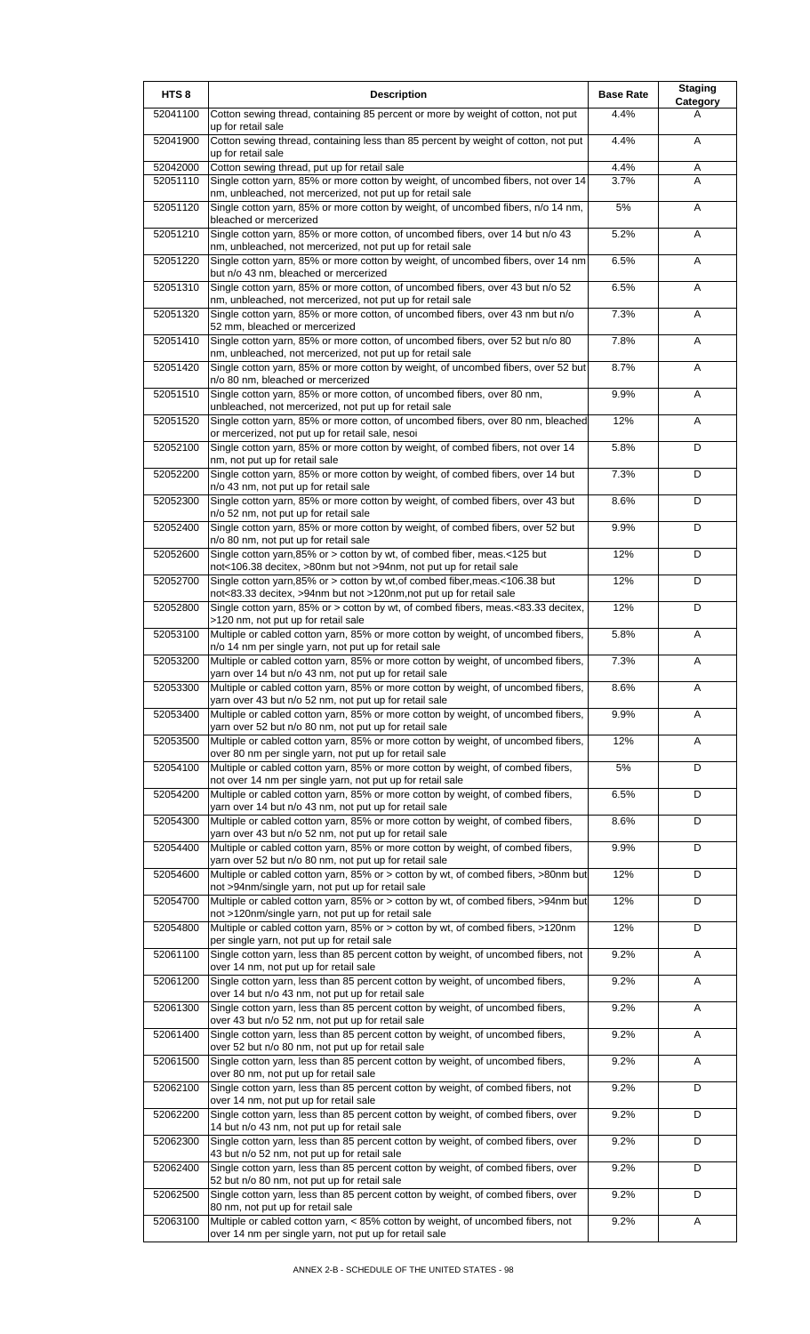| HTS <sub>8</sub>     | <b>Description</b>                                                                                                                                 | <b>Base Rate</b> | <b>Staging</b><br>Category |
|----------------------|----------------------------------------------------------------------------------------------------------------------------------------------------|------------------|----------------------------|
| 52041100             | Cotton sewing thread, containing 85 percent or more by weight of cotton, not put<br>up for retail sale                                             | 4.4%             | A                          |
| 52041900             | Cotton sewing thread, containing less than 85 percent by weight of cotton, not put<br>up for retail sale                                           | 4.4%             | A                          |
| 52042000<br>52051110 | Cotton sewing thread, put up for retail sale<br>Single cotton yarn, 85% or more cotton by weight, of uncombed fibers, not over 14                  | 4.4%<br>3.7%     | Α<br>A                     |
|                      | nm, unbleached, not mercerized, not put up for retail sale                                                                                         |                  |                            |
| 52051120             | Single cotton yarn, 85% or more cotton by weight, of uncombed fibers, n/o 14 nm,<br>bleached or mercerized                                         | $5\%$            | Α                          |
| 52051210             | Single cotton yarn, 85% or more cotton, of uncombed fibers, over 14 but n/o 43<br>nm, unbleached, not mercerized, not put up for retail sale       | 5.2%             | Α                          |
| 52051220             | Single cotton yarn, 85% or more cotton by weight, of uncombed fibers, over 14 nm<br>but n/o 43 nm, bleached or mercerized                          | 6.5%             | Α                          |
| 52051310             | Single cotton yarn, 85% or more cotton, of uncombed fibers, over 43 but n/o 52<br>nm, unbleached, not mercerized, not put up for retail sale       | 6.5%             | Α                          |
| 52051320             | Single cotton yarn, 85% or more cotton, of uncombed fibers, over 43 nm but n/o<br>52 mm, bleached or mercerized                                    | 7.3%             | A                          |
| 52051410             | Single cotton yarn, 85% or more cotton, of uncombed fibers, over 52 but n/o 80<br>nm, unbleached, not mercerized, not put up for retail sale       | 7.8%             | Α                          |
| 52051420             | Single cotton yarn, 85% or more cotton by weight, of uncombed fibers, over 52 but<br>n/o 80 nm, bleached or mercerized                             | 8.7%             | A                          |
| 52051510             | Single cotton yarn, 85% or more cotton, of uncombed fibers, over 80 nm,                                                                            | 9.9%             | Α                          |
| 52051520             | unbleached, not mercerized, not put up for retail sale<br>Single cotton yarn, 85% or more cotton, of uncombed fibers, over 80 nm, bleached         | 12%              | Α                          |
| 52052100             | or mercerized, not put up for retail sale, nesoi<br>Single cotton yarn, 85% or more cotton by weight, of combed fibers, not over 14                | 5.8%             | D                          |
| 52052200             | nm, not put up for retail sale<br>Single cotton yarn, 85% or more cotton by weight, of combed fibers, over 14 but                                  | 7.3%             | D                          |
| 52052300             | n/o 43 nm, not put up for retail sale<br>Single cotton yarn, 85% or more cotton by weight, of combed fibers, over 43 but                           | 8.6%             | D                          |
| 52052400             | n/o 52 nm, not put up for retail sale<br>Single cotton yarn, 85% or more cotton by weight, of combed fibers, over 52 but                           | 9.9%             | D                          |
|                      | n/o 80 nm, not put up for retail sale                                                                                                              |                  |                            |
| 52052600             | Single cotton yarn, 85% or > cotton by wt, of combed fiber, meas.<125 but<br>not<106.38 decitex, >80nm but not >94nm, not put up for retail sale   | 12%              | D                          |
| 52052700             | Single cotton yarn, 85% or > cotton by wt, of combed fiber, meas.<106.38 but<br>not<83.33 decitex, >94nm but not >120nm,not put up for retail sale | 12%              | D                          |
| 52052800             | Single cotton yarn, 85% or > cotton by wt, of combed fibers, meas.<83.33 decitex,<br>>120 nm, not put up for retail sale                           | 12%              | D                          |
| 52053100             | Multiple or cabled cotton yarn, 85% or more cotton by weight, of uncombed fibers,<br>n/o 14 nm per single yarn, not put up for retail sale         | 5.8%             | Α                          |
| 52053200             | Multiple or cabled cotton yarn, 85% or more cotton by weight, of uncombed fibers,<br>yarn over 14 but n/o 43 nm, not put up for retail sale        | 7.3%             | Α                          |
| 52053300             | Multiple or cabled cotton yarn, 85% or more cotton by weight, of uncombed fibers,<br>yarn over 43 but n/o 52 nm, not put up for retail sale        | 8.6%             | A                          |
| 52053400             | Multiple or cabled cotton yarn, 85% or more cotton by weight, of uncombed fibers,<br>yarn over 52 but n/o 80 nm, not put up for retail sale        | 9.9%             | Α                          |
| 52053500             | Multiple or cabled cotton yarn, 85% or more cotton by weight, of uncombed fibers,                                                                  | 12%              | A                          |
| 52054100             | over 80 nm per single yarn, not put up for retail sale<br>Multiple or cabled cotton yarn, 85% or more cotton by weight, of combed fibers,          | 5%               | D                          |
| 52054200             | not over 14 nm per single yarn, not put up for retail sale<br>Multiple or cabled cotton yarn, 85% or more cotton by weight, of combed fibers,      | 6.5%             | D                          |
| 52054300             | yarn over 14 but n/o 43 nm, not put up for retail sale<br>Multiple or cabled cotton yarn, 85% or more cotton by weight, of combed fibers,          | 8.6%             | D                          |
| 52054400             | yarn over 43 but n/o 52 nm, not put up for retail sale<br>Multiple or cabled cotton yarn, 85% or more cotton by weight, of combed fibers,          | 9.9%             | D                          |
| 52054600             | yarn over 52 but n/o 80 nm, not put up for retail sale<br>Multiple or cabled cotton yarn, 85% or > cotton by wt, of combed fibers, >80nm but       | 12%              | D                          |
| 52054700             | not >94nm/single yarn, not put up for retail sale<br>Multiple or cabled cotton yarn, 85% or > cotton by wt, of combed fibers, >94nm but            | 12%              | D                          |
| 52054800             | not >120nm/single yarn, not put up for retail sale<br>Multiple or cabled cotton yarn, 85% or > cotton by wt, of combed fibers, >120nm              | 12%              | D                          |
|                      | per single yarn, not put up for retail sale                                                                                                        |                  |                            |
| 52061100             | Single cotton yarn, less than 85 percent cotton by weight, of uncombed fibers, not<br>over 14 nm, not put up for retail sale                       | 9.2%             | Α                          |
| 52061200             | Single cotton yarn, less than 85 percent cotton by weight, of uncombed fibers,<br>over 14 but n/o 43 nm, not put up for retail sale                | 9.2%             | A                          |
| 52061300             | Single cotton yarn, less than 85 percent cotton by weight, of uncombed fibers,<br>over 43 but n/o 52 nm, not put up for retail sale                | 9.2%             | Α                          |
| 52061400             | Single cotton yarn, less than 85 percent cotton by weight, of uncombed fibers,<br>over 52 but n/o 80 nm, not put up for retail sale                | 9.2%             | Α                          |
| 52061500             | Single cotton yarn, less than 85 percent cotton by weight, of uncombed fibers,<br>over 80 nm, not put up for retail sale                           | 9.2%             | Α                          |
| 52062100             | Single cotton yarn, less than 85 percent cotton by weight, of combed fibers, not<br>over 14 nm, not put up for retail sale                         | 9.2%             | D                          |
| 52062200             | Single cotton yarn, less than 85 percent cotton by weight, of combed fibers, over<br>14 but n/o 43 nm, not put up for retail sale                  | 9.2%             | D                          |
| 52062300             | Single cotton yarn, less than 85 percent cotton by weight, of combed fibers, over                                                                  | 9.2%             | D                          |
| 52062400             | 43 but n/o 52 nm, not put up for retail sale<br>Single cotton yarn, less than 85 percent cotton by weight, of combed fibers, over                  | 9.2%             | D                          |
| 52062500             | 52 but n/o 80 nm, not put up for retail sale<br>Single cotton yarn, less than 85 percent cotton by weight, of combed fibers, over                  | 9.2%             | D                          |
| 52063100             | 80 nm, not put up for retail sale<br>Multiple or cabled cotton yarn, < 85% cotton by weight, of uncombed fibers, not                               | 9.2%             | A                          |
|                      | over 14 nm per single yarn, not put up for retail sale                                                                                             |                  |                            |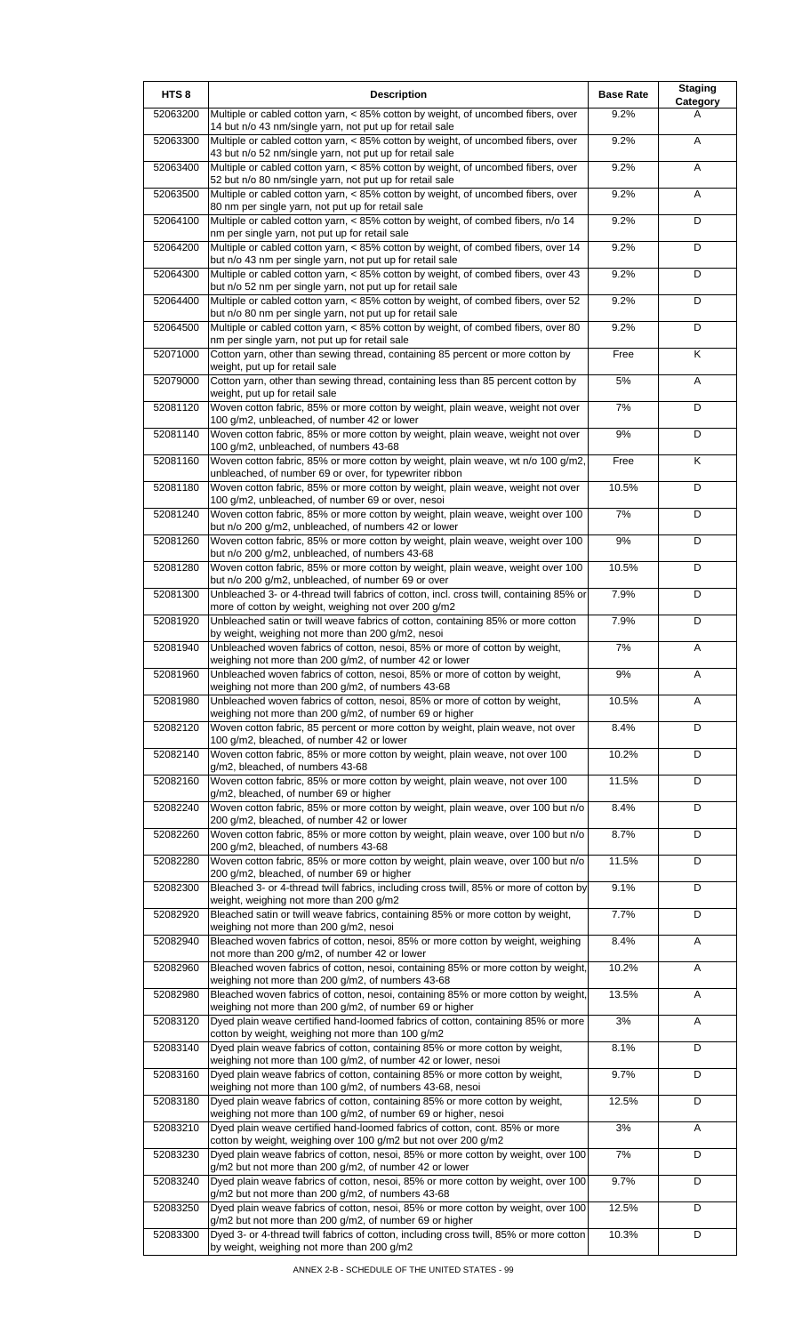| HTS <sub>8</sub> | <b>Description</b>                                                                                                                                  | <b>Base Rate</b> | <b>Staging</b><br>Category |
|------------------|-----------------------------------------------------------------------------------------------------------------------------------------------------|------------------|----------------------------|
| 52063200         | Multiple or cabled cotton yarn, < 85% cotton by weight, of uncombed fibers, over<br>14 but n/o 43 nm/single yarn, not put up for retail sale        | 9.2%             | A                          |
| 52063300         | Multiple or cabled cotton yarn, < 85% cotton by weight, of uncombed fibers, over                                                                    | 9.2%             | A                          |
| 52063400         | 43 but n/o 52 nm/single yarn, not put up for retail sale<br>Multiple or cabled cotton yarn, < 85% cotton by weight, of uncombed fibers, over        | 9.2%             | Α                          |
| 52063500         | 52 but n/o 80 nm/single yarn, not put up for retail sale<br>Multiple or cabled cotton yarn, < 85% cotton by weight, of uncombed fibers, over        | 9.2%             | Α                          |
| 52064100         | 80 nm per single yarn, not put up for retail sale<br>Multiple or cabled cotton yarn, < 85% cotton by weight, of combed fibers, n/o 14               | 9.2%             | D                          |
| 52064200         | nm per single yarn, not put up for retail sale<br>Multiple or cabled cotton yarn, < 85% cotton by weight, of combed fibers, over 14                 | 9.2%             | D                          |
| 52064300         | but n/o 43 nm per single yarn, not put up for retail sale<br>Multiple or cabled cotton yarn, < 85% cotton by weight, of combed fibers, over 43      | 9.2%             | D                          |
| 52064400         | but n/o 52 nm per single yarn, not put up for retail sale<br>Multiple or cabled cotton yarn, < 85% cotton by weight, of combed fibers, over 52      | 9.2%             | D                          |
| 52064500         | but n/o 80 nm per single yarn, not put up for retail sale<br>Multiple or cabled cotton yarn, < 85% cotton by weight, of combed fibers, over 80      | 9.2%             | D                          |
| 52071000         | nm per single yarn, not put up for retail sale<br>Cotton yarn, other than sewing thread, containing 85 percent or more cotton by                    | Free             | K                          |
| 52079000         | weight, put up for retail sale<br>Cotton yarn, other than sewing thread, containing less than 85 percent cotton by                                  | 5%               | Α                          |
| 52081120         | weight, put up for retail sale<br>Woven cotton fabric, 85% or more cotton by weight, plain weave, weight not over                                   | 7%               | D                          |
| 52081140         | 100 g/m2, unbleached, of number 42 or lower<br>Woven cotton fabric, 85% or more cotton by weight, plain weave, weight not over                      | 9%               | D                          |
| 52081160         | 100 g/m2, unbleached, of numbers 43-68<br>Woven cotton fabric, 85% or more cotton by weight, plain weave, wt n/o 100 g/m2,                          | Free             | Κ                          |
| 52081180         | unbleached, of number 69 or over, for typewriter ribbon<br>Woven cotton fabric, 85% or more cotton by weight, plain weave, weight not over          | 10.5%            | D                          |
| 52081240         | 100 g/m2, unbleached, of number 69 or over, nesoi<br>Woven cotton fabric, 85% or more cotton by weight, plain weave, weight over 100                | 7%               | D                          |
| 52081260         | but n/o 200 g/m2, unbleached, of numbers 42 or lower<br>Woven cotton fabric, 85% or more cotton by weight, plain weave, weight over 100             | 9%               | D                          |
| 52081280         | but n/o 200 g/m2, unbleached, of numbers 43-68<br>Woven cotton fabric, 85% or more cotton by weight, plain weave, weight over 100                   | 10.5%            | D                          |
| 52081300         | but n/o 200 g/m2, unbleached, of number 69 or over<br>Unbleached 3- or 4-thread twill fabrics of cotton, incl. cross twill, containing 85% or       | 7.9%             | D                          |
|                  | more of cotton by weight, weighing not over 200 g/m2                                                                                                |                  |                            |
| 52081920         | Unbleached satin or twill weave fabrics of cotton, containing 85% or more cotton<br>by weight, weighing not more than 200 g/m2, nesoi               | 7.9%             | D                          |
| 52081940         | Unbleached woven fabrics of cotton, nesoi, 85% or more of cotton by weight,<br>weighing not more than 200 g/m2, of number 42 or lower               | 7%               | Α                          |
| 52081960         | Unbleached woven fabrics of cotton, nesoi, 85% or more of cotton by weight,<br>weighing not more than 200 g/m2, of numbers 43-68                    | 9%               | A                          |
| 52081980         | Unbleached woven fabrics of cotton, nesoi, 85% or more of cotton by weight,<br>weighing not more than 200 g/m2, of number 69 or higher              | 10.5%            | Α                          |
| 52082120         | Woven cotton fabric, 85 percent or more cotton by weight, plain weave, not over<br>100 g/m2, bleached, of number 42 or lower                        | 8.4%             | D                          |
| 52082140         | Woven cotton fabric, 85% or more cotton by weight, plain weave, not over 100<br>g/m2, bleached, of numbers 43-68                                    | 10.2%            | D                          |
| 52082160         | Woven cotton fabric, 85% or more cotton by weight, plain weave, not over 100<br>g/m2, bleached, of number 69 or higher                              | 11.5%            | D                          |
| 52082240         | Woven cotton fabric, 85% or more cotton by weight, plain weave, over 100 but n/o<br>200 g/m2, bleached, of number 42 or lower                       | 8.4%             | D                          |
| 52082260         | Woven cotton fabric, 85% or more cotton by weight, plain weave, over 100 but n/o<br>200 g/m2, bleached, of numbers 43-68                            | 8.7%             | D                          |
| 52082280         | Woven cotton fabric, 85% or more cotton by weight, plain weave, over 100 but n/o<br>200 g/m2, bleached, of number 69 or higher                      | 11.5%            | D                          |
| 52082300         | Bleached 3- or 4-thread twill fabrics, including cross twill, 85% or more of cotton by<br>weight, weighing not more than 200 g/m2                   | 9.1%             | D                          |
| 52082920         | Bleached satin or twill weave fabrics, containing 85% or more cotton by weight,<br>weighing not more than 200 g/m2, nesoi                           | 7.7%             | D                          |
| 52082940         | Bleached woven fabrics of cotton, nesoi, 85% or more cotton by weight, weighing<br>not more than 200 g/m2, of number 42 or lower                    | 8.4%             | Α                          |
| 52082960         | Bleached woven fabrics of cotton, nesoi, containing 85% or more cotton by weight,<br>weighing not more than 200 g/m2, of numbers 43-68              | 10.2%            | Α                          |
| 52082980         | Bleached woven fabrics of cotton, nesoi, containing 85% or more cotton by weight,<br>weighing not more than 200 g/m2, of number 69 or higher        | 13.5%            | A                          |
| 52083120         | Dyed plain weave certified hand-loomed fabrics of cotton, containing 85% or more                                                                    | 3%               | Α                          |
| 52083140         | cotton by weight, weighing not more than 100 g/m2<br>Dyed plain weave fabrics of cotton, containing 85% or more cotton by weight,                   | 8.1%             | D                          |
| 52083160         | weighing not more than 100 g/m2, of number 42 or lower, nesoi<br>Dyed plain weave fabrics of cotton, containing 85% or more cotton by weight,       | 9.7%             | D                          |
| 52083180         | weighing not more than 100 g/m2, of numbers 43-68, nesoi<br>Dyed plain weave fabrics of cotton, containing 85% or more cotton by weight,            | 12.5%            | D                          |
| 52083210         | weighing not more than 100 g/m2, of number 69 or higher, nesoi<br>Dyed plain weave certified hand-loomed fabrics of cotton, cont. 85% or more       | 3%               | Α                          |
| 52083230         | cotton by weight, weighing over 100 g/m2 but not over 200 g/m2<br>Dyed plain weave fabrics of cotton, nesoi, 85% or more cotton by weight, over 100 | 7%               | D                          |
| 52083240         | g/m2 but not more than 200 g/m2, of number 42 or lower<br>Dyed plain weave fabrics of cotton, nesoi, 85% or more cotton by weight, over 100         | 9.7%             | D                          |
| 52083250         | g/m2 but not more than 200 g/m2, of numbers 43-68<br>Dyed plain weave fabrics of cotton, nesoi, 85% or more cotton by weight, over 100              | 12.5%            | D                          |
| 52083300         | g/m2 but not more than 200 g/m2, of number 69 or higher<br>Dyed 3- or 4-thread twill fabrics of cotton, including cross twill, 85% or more cotton   | 10.3%            | D                          |
|                  | by weight, weighing not more than 200 g/m2                                                                                                          |                  |                            |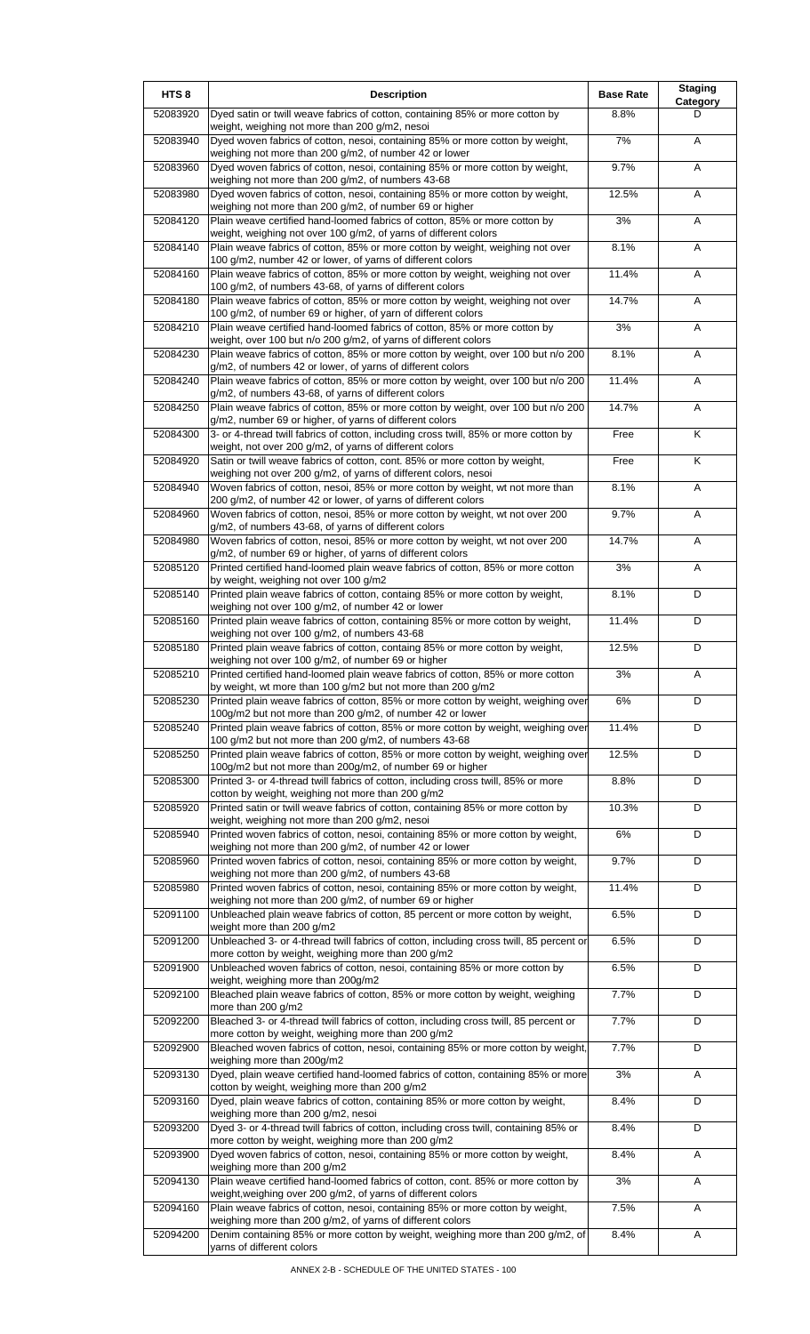| HTS <sub>8</sub> | <b>Description</b>                                                                                                                                   | <b>Base Rate</b> | <b>Staging</b><br>Category |
|------------------|------------------------------------------------------------------------------------------------------------------------------------------------------|------------------|----------------------------|
| 52083920         | Dyed satin or twill weave fabrics of cotton, containing 85% or more cotton by<br>weight, weighing not more than 200 g/m2, nesoi                      | 8.8%             | D                          |
| 52083940         | Dyed woven fabrics of cotton, nesoi, containing 85% or more cotton by weight,<br>weighing not more than 200 g/m2, of number 42 or lower              | 7%               | A                          |
| 52083960         | Dyed woven fabrics of cotton, nesoi, containing 85% or more cotton by weight,<br>weighing not more than 200 g/m2, of numbers 43-68                   | 9.7%             | A                          |
| 52083980         | Dyed woven fabrics of cotton, nesoi, containing 85% or more cotton by weight,<br>weighing not more than 200 g/m2, of number 69 or higher             | 12.5%            | A                          |
| 52084120         | Plain weave certified hand-loomed fabrics of cotton, 85% or more cotton by                                                                           | 3%               | Α                          |
| 52084140         | weight, weighing not over 100 g/m2, of yarns of different colors<br>Plain weave fabrics of cotton, 85% or more cotton by weight, weighing not over   | 8.1%             | Α                          |
| 52084160         | 100 g/m2, number 42 or lower, of yarns of different colors<br>Plain weave fabrics of cotton, 85% or more cotton by weight, weighing not over         | 11.4%            | A                          |
| 52084180         | 100 g/m2, of numbers 43-68, of yarns of different colors<br>Plain weave fabrics of cotton, 85% or more cotton by weight, weighing not over           | 14.7%            | Α                          |
| 52084210         | 100 g/m2, of number 69 or higher, of yarn of different colors<br>Plain weave certified hand-loomed fabrics of cotton, 85% or more cotton by          | 3%               | A                          |
| 52084230         | weight, over 100 but n/o 200 g/m2, of yarns of different colors<br>Plain weave fabrics of cotton, 85% or more cotton by weight, over 100 but n/o 200 | 8.1%             | Α                          |
| 52084240         | g/m2, of numbers 42 or lower, of yarns of different colors<br>Plain weave fabrics of cotton, 85% or more cotton by weight, over 100 but n/o 200      | 11.4%            | Α                          |
| 52084250         | g/m2, of numbers 43-68, of yarns of different colors<br>Plain weave fabrics of cotton, 85% or more cotton by weight, over 100 but n/o 200            | 14.7%            | A                          |
| 52084300         | g/m2, number 69 or higher, of yarns of different colors<br>3- or 4-thread twill fabrics of cotton, including cross twill, 85% or more cotton by      | Free             | K                          |
| 52084920         | weight, not over 200 g/m2, of yarns of different colors<br>Satin or twill weave fabrics of cotton, cont. 85% or more cotton by weight,               | Free             | K                          |
| 52084940         | weighing not over 200 g/m2, of yarns of different colors, nesoi<br>Woven fabrics of cotton, nesoi, 85% or more cotton by weight, wt not more than    | 8.1%             | Α                          |
| 52084960         | 200 g/m2, of number 42 or lower, of yarns of different colors<br>Woven fabrics of cotton, nesoi, 85% or more cotton by weight, wt not over 200       | 9.7%             | A                          |
|                  | g/m2, of numbers 43-68, of yarns of different colors                                                                                                 |                  |                            |
| 52084980         | Woven fabrics of cotton, nesoi, 85% or more cotton by weight, wt not over 200<br>g/m2, of number 69 or higher, of yarns of different colors          | 14.7%            | Α                          |
| 52085120         | Printed certified hand-loomed plain weave fabrics of cotton, 85% or more cotton<br>by weight, weighing not over 100 g/m2                             | 3%               | A                          |
| 52085140         | Printed plain weave fabrics of cotton, containg 85% or more cotton by weight,<br>weighing not over 100 g/m2, of number 42 or lower                   | 8.1%             | D                          |
| 52085160         | Printed plain weave fabrics of cotton, containing 85% or more cotton by weight,<br>weighing not over 100 g/m2, of numbers 43-68                      | 11.4%            | D                          |
| 52085180         | Printed plain weave fabrics of cotton, containg 85% or more cotton by weight,<br>weighing not over 100 g/m2, of number 69 or higher                  | 12.5%            | D                          |
| 52085210         | Printed certified hand-loomed plain weave fabrics of cotton, 85% or more cotton<br>by weight, wt more than 100 g/m2 but not more than 200 g/m2       | 3%               | A                          |
| 52085230         | Printed plain weave fabrics of cotton, 85% or more cotton by weight, weighing over<br>100g/m2 but not more than 200 g/m2, of number 42 or lower      | 6%               | D                          |
| 52085240         | Printed plain weave fabrics of cotton, 85% or more cotton by weight, weighing over<br>100 g/m2 but not more than 200 g/m2, of numbers 43-68          | 11.4%            | D                          |
| 52085250         | Printed plain weave fabrics of cotton, 85% or more cotton by weight, weighing over<br>100g/m2 but not more than 200g/m2, of number 69 or higher      | 12.5%            | D                          |
| 52085300         | Printed 3- or 4-thread twill fabrics of cotton, including cross twill, 85% or more<br>cotton by weight, weighing not more than 200 g/m2              | 8.8%             | D                          |
| 52085920         | Printed satin or twill weave fabrics of cotton, containing 85% or more cotton by<br>weight, weighing not more than 200 g/m2, nesoi                   | 10.3%            | D                          |
| 52085940         | Printed woven fabrics of cotton, nesoi, containing 85% or more cotton by weight,                                                                     | $6\%$            | D                          |
| 52085960         | weighing not more than 200 g/m2, of number 42 or lower<br>Printed woven fabrics of cotton, nesoi, containing 85% or more cotton by weight,           | 9.7%             | D                          |
| 52085980         | weighing not more than 200 g/m2, of numbers 43-68<br>Printed woven fabrics of cotton, nesoi, containing 85% or more cotton by weight,                | 11.4%            | D                          |
| 52091100         | weighing not more than 200 g/m2, of number 69 or higher<br>Unbleached plain weave fabrics of cotton, 85 percent or more cotton by weight,            | 6.5%             | D                          |
| 52091200         | weight more than 200 g/m2<br>Unbleached 3- or 4-thread twill fabrics of cotton, including cross twill, 85 percent or                                 | 6.5%             | D                          |
| 52091900         | more cotton by weight, weighing more than 200 g/m2<br>Unbleached woven fabrics of cotton, nesoi, containing 85% or more cotton by                    | 6.5%             | D                          |
| 52092100         | weight, weighing more than 200g/m2<br>Bleached plain weave fabrics of cotton, 85% or more cotton by weight, weighing                                 | 7.7%             | D                          |
| 52092200         | more than 200 g/m2<br>Bleached 3- or 4-thread twill fabrics of cotton, including cross twill, 85 percent or                                          | 7.7%             | D                          |
| 52092900         | more cotton by weight, weighing more than 200 g/m2<br>Bleached woven fabrics of cotton, nesoi, containing 85% or more cotton by weight,              | 7.7%             | D                          |
| 52093130         | weighing more than 200g/m2<br>Dyed, plain weave certified hand-loomed fabrics of cotton, containing 85% or more                                      | 3%               | A                          |
| 52093160         | cotton by weight, weighing more than 200 g/m2<br>Dyed, plain weave fabrics of cotton, containing 85% or more cotton by weight,                       | 8.4%             | D                          |
| 52093200         | weighing more than 200 g/m2, nesoi<br>Dyed 3- or 4-thread twill fabrics of cotton, including cross twill, containing 85% or                          | 8.4%             | D                          |
| 52093900         | more cotton by weight, weighing more than 200 g/m2<br>Dyed woven fabrics of cotton, nesoi, containing 85% or more cotton by weight,                  | 8.4%             | Α                          |
|                  | weighing more than 200 g/m2                                                                                                                          | 3%               |                            |
| 52094130         | Plain weave certified hand-loomed fabrics of cotton, cont. 85% or more cotton by<br>weight, weighing over 200 g/m2, of yarns of different colors     |                  | Α                          |
| 52094160         | Plain weave fabrics of cotton, nesoi, containing 85% or more cotton by weight,<br>weighing more than 200 g/m2, of yarns of different colors          | 7.5%             | Α                          |
| 52094200         | Denim containing 85% or more cotton by weight, weighing more than 200 g/m2, of<br>yarns of different colors                                          | 8.4%             | Α                          |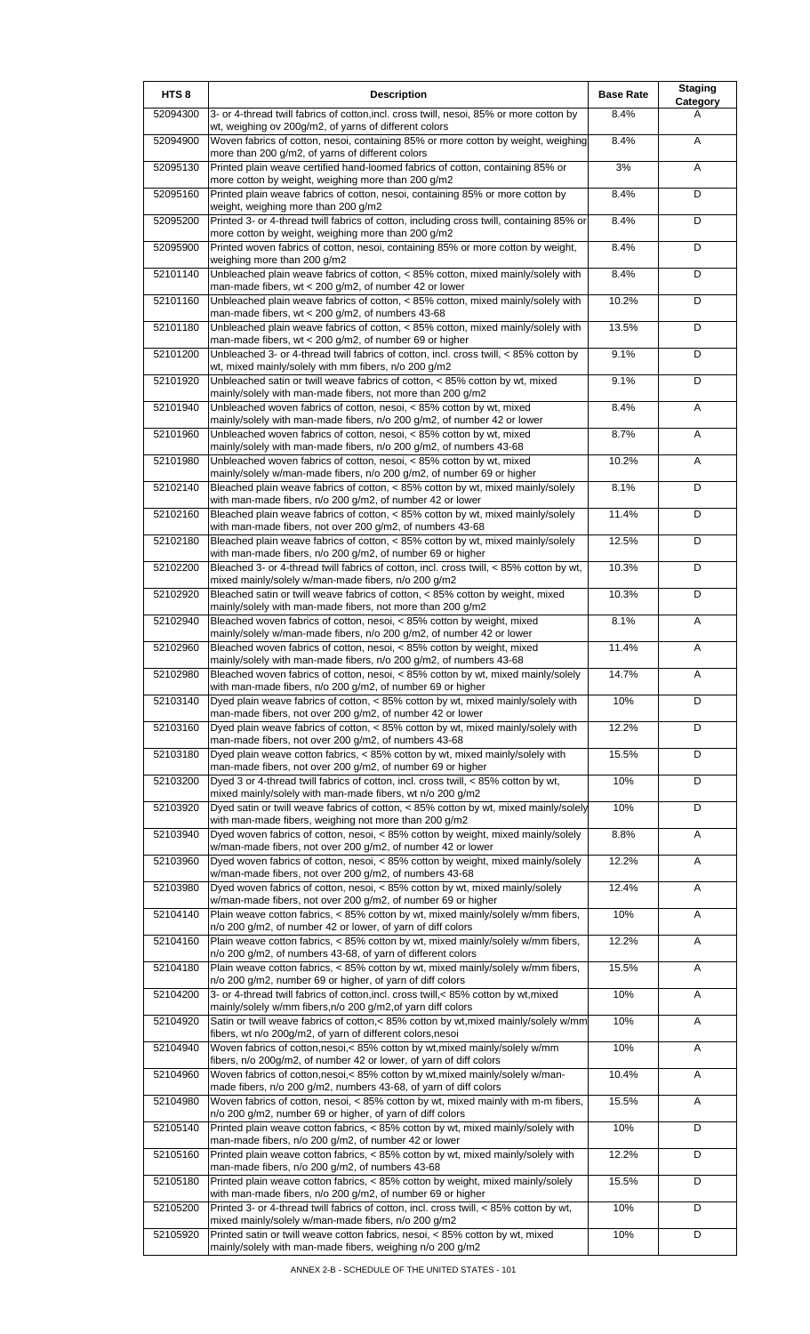| HTS <sub>8</sub> | <b>Description</b>                                                                                                                                    | <b>Base Rate</b> | <b>Staging</b><br>Category |
|------------------|-------------------------------------------------------------------------------------------------------------------------------------------------------|------------------|----------------------------|
| 52094300         | 3- or 4-thread twill fabrics of cotton, incl. cross twill, nesoi, 85% or more cotton by<br>wt, weighing ov 200g/m2, of yarns of different colors      | 8.4%             | A                          |
| 52094900         | Woven fabrics of cotton, nesoi, containing 85% or more cotton by weight, weighing<br>more than 200 g/m2, of yarns of different colors                 | 8.4%             | Α                          |
| 52095130         | Printed plain weave certified hand-loomed fabrics of cotton, containing 85% or                                                                        | 3%               | Α                          |
| 52095160         | more cotton by weight, weighing more than 200 g/m2<br>Printed plain weave fabrics of cotton, nesoi, containing 85% or more cotton by                  | 8.4%             | D                          |
| 52095200         | weight, weighing more than 200 g/m2<br>Printed 3- or 4-thread twill fabrics of cotton, including cross twill, containing 85% or                       | 8.4%             | D                          |
| 52095900         | more cotton by weight, weighing more than 200 g/m2<br>Printed woven fabrics of cotton, nesoi, containing 85% or more cotton by weight,                | 8.4%             | D                          |
| 52101140         | weighing more than 200 g/m2<br>Unbleached plain weave fabrics of cotton, < 85% cotton, mixed mainly/solely with                                       | 8.4%             | D                          |
| 52101160         | man-made fibers, wt $<$ 200 g/m2, of number 42 or lower<br>Unbleached plain weave fabrics of cotton, < 85% cotton, mixed mainly/solely with           | 10.2%            | D                          |
|                  | man-made fibers, $wt < 200$ g/m2, of numbers 43-68                                                                                                    |                  | D                          |
| 52101180         | Unbleached plain weave fabrics of cotton, < 85% cotton, mixed mainly/solely with<br>man-made fibers, wt < 200 g/m2, of number 69 or higher            | 13.5%            |                            |
| 52101200         | Unbleached 3- or 4-thread twill fabrics of cotton, incl. cross twill, < 85% cotton by<br>wt, mixed mainly/solely with mm fibers, n/o 200 g/m2         | 9.1%             | D                          |
| 52101920         | Unbleached satin or twill weave fabrics of cotton, < 85% cotton by wt, mixed<br>mainly/solely with man-made fibers, not more than 200 g/m2            | 9.1%             | D                          |
| 52101940         | Unbleached woven fabrics of cotton, nesoi, < 85% cotton by wt, mixed<br>mainly/solely with man-made fibers, n/o 200 g/m2, of number 42 or lower       | 8.4%             | Α                          |
| 52101960         | Unbleached woven fabrics of cotton, nesoi, < 85% cotton by wt, mixed<br>mainly/solely with man-made fibers, n/o 200 g/m2, of numbers 43-68            | 8.7%             | A                          |
| 52101980         | Unbleached woven fabrics of cotton, nesoi, < 85% cotton by wt, mixed<br>mainly/solely w/man-made fibers, n/o 200 g/m2, of number 69 or higher         | 10.2%            | Α                          |
| 52102140         | Bleached plain weave fabrics of cotton, < 85% cotton by wt, mixed mainly/solely                                                                       | 8.1%             | D                          |
| 52102160         | with man-made fibers, n/o 200 g/m2, of number 42 or lower<br>Bleached plain weave fabrics of cotton, < 85% cotton by wt, mixed mainly/solely          | 11.4%            | D                          |
| 52102180         | with man-made fibers, not over 200 g/m2, of numbers 43-68<br>Bleached plain weave fabrics of cotton, < 85% cotton by wt, mixed mainly/solely          | 12.5%            | D                          |
| 52102200         | with man-made fibers, n/o 200 g/m2, of number 69 or higher<br>Bleached 3- or 4-thread twill fabrics of cotton, incl. cross twill, < 85% cotton by wt, | 10.3%            | D                          |
| 52102920         | mixed mainly/solely w/man-made fibers, n/o 200 g/m2<br>Bleached satin or twill weave fabrics of cotton, < 85% cotton by weight, mixed                 | 10.3%            | D                          |
| 52102940         | mainly/solely with man-made fibers, not more than 200 g/m2<br>Bleached woven fabrics of cotton, nesoi, < 85% cotton by weight, mixed                  | 8.1%             | Α                          |
|                  | mainly/solely w/man-made fibers, n/o 200 g/m2, of number 42 or lower                                                                                  |                  |                            |
| 52102960         | Bleached woven fabrics of cotton, nesoi, < 85% cotton by weight, mixed<br>mainly/solely with man-made fibers, n/o 200 g/m2, of numbers 43-68          | 11.4%            | A                          |
| 52102980         | Bleached woven fabrics of cotton, nesoi, < 85% cotton by wt, mixed mainly/solely<br>with man-made fibers, n/o 200 g/m2, of number 69 or higher        | 14.7%            | A                          |
| 52103140         | Dyed plain weave fabrics of cotton, < 85% cotton by wt, mixed mainly/solely with<br>man-made fibers, not over 200 g/m2, of number 42 or lower         | 10%              | D                          |
| 52103160         | Dyed plain weave fabrics of cotton, < 85% cotton by wt, mixed mainly/solely with<br>man-made fibers, not over 200 g/m2, of numbers 43-68              | 12.2%            | D                          |
| 52103180         | Dyed plain weave cotton fabrics, < 85% cotton by wt, mixed mainly/solely with<br>man-made fibers, not over 200 g/m2, of number 69 or higher           | 15.5%            | D                          |
| 52103200         | Dyed 3 or 4-thread twill fabrics of cotton, incl. cross twill, < 85% cotton by wt,<br>mixed mainly/solely with man-made fibers, wt n/o 200 g/m2       | 10%              | D                          |
| 52103920         | Dyed satin or twill weave fabrics of cotton, < 85% cotton by wt, mixed mainly/solely                                                                  | 10%              | D                          |
| 52103940         | with man-made fibers, weighing not more than 200 g/m2<br>Dyed woven fabrics of cotton, nesoi, < 85% cotton by weight, mixed mainly/solely             | 8.8%             | Α                          |
| 52103960         | w/man-made fibers, not over 200 g/m2, of number 42 or lower<br>Dyed woven fabrics of cotton, nesoi, < 85% cotton by weight, mixed mainly/solely       | 12.2%            | A                          |
| 52103980         | w/man-made fibers, not over 200 g/m2, of numbers 43-68<br>Dyed woven fabrics of cotton, nesoi, < 85% cotton by wt, mixed mainly/solely                | 12.4%            | Α                          |
| 52104140         | w/man-made fibers, not over 200 g/m2, of number 69 or higher<br>Plain weave cotton fabrics, < 85% cotton by wt, mixed mainly/solely w/mm fibers,      | 10%              | A                          |
| 52104160         | n/o 200 g/m2, of number 42 or lower, of yarn of diff colors<br>Plain weave cotton fabrics, < 85% cotton by wt, mixed mainly/solely w/mm fibers,       | 12.2%            | Α                          |
| 52104180         | n/o 200 g/m2, of numbers 43-68, of yarn of different colors<br>Plain weave cotton fabrics, < 85% cotton by wt, mixed mainly/solely w/mm fibers,       | 15.5%            | Α                          |
|                  | n/o 200 g/m2, number 69 or higher, of yarn of diff colors                                                                                             |                  |                            |
| 52104200         | 3- or 4-thread twill fabrics of cotton, incl. cross twill, < 85% cotton by wt, mixed<br>mainly/solely w/mm fibers, n/o 200 g/m2, of yarn diff colors  | 10%              | A                          |
| 52104920         | Satin or twill weave fabrics of cotton,< 85% cotton by wt, mixed mainly/solely w/mm<br>fibers, wt n/o 200g/m2, of yarn of different colors, nesoi     | 10%              | A                          |
| 52104940         | Woven fabrics of cotton, nesoi, < 85% cotton by wt, mixed mainly/solely w/mm<br>fibers, n/o 200g/m2, of number 42 or lower, of yarn of diff colors    | 10%              | Α                          |
| 52104960         | Woven fabrics of cotton, nesoi, < 85% cotton by wt, mixed mainly/solely w/man-<br>made fibers, n/o 200 g/m2, numbers 43-68, of yarn of diff colors    | 10.4%            | Α                          |
| 52104980         | Woven fabrics of cotton, nesoi, < 85% cotton by wt, mixed mainly with m-m fibers,<br>n/o 200 g/m2, number 69 or higher, of yarn of diff colors        | 15.5%            | Α                          |
| 52105140         | Printed plain weave cotton fabrics, < 85% cotton by wt, mixed mainly/solely with<br>man-made fibers, n/o 200 g/m2, of number 42 or lower              | 10%              | D                          |
| 52105160         | Printed plain weave cotton fabrics, < 85% cotton by wt, mixed mainly/solely with                                                                      | 12.2%            | D                          |
| 52105180         | man-made fibers, n/o 200 g/m2, of numbers 43-68<br>Printed plain weave cotton fabrics, < 85% cotton by weight, mixed mainly/solely                    | 15.5%            | D                          |
| 52105200         | with man-made fibers, n/o 200 g/m2, of number 69 or higher<br>Printed 3- or 4-thread twill fabrics of cotton, incl. cross twill, < 85% cotton by wt,  | 10%              | D                          |
| 52105920         | mixed mainly/solely w/man-made fibers, n/o 200 g/m2<br>Printed satin or twill weave cotton fabrics, nesoi, < 85% cotton by wt, mixed                  | 10%              | D                          |
|                  | mainly/solely with man-made fibers, weighing n/o 200 g/m2                                                                                             |                  |                            |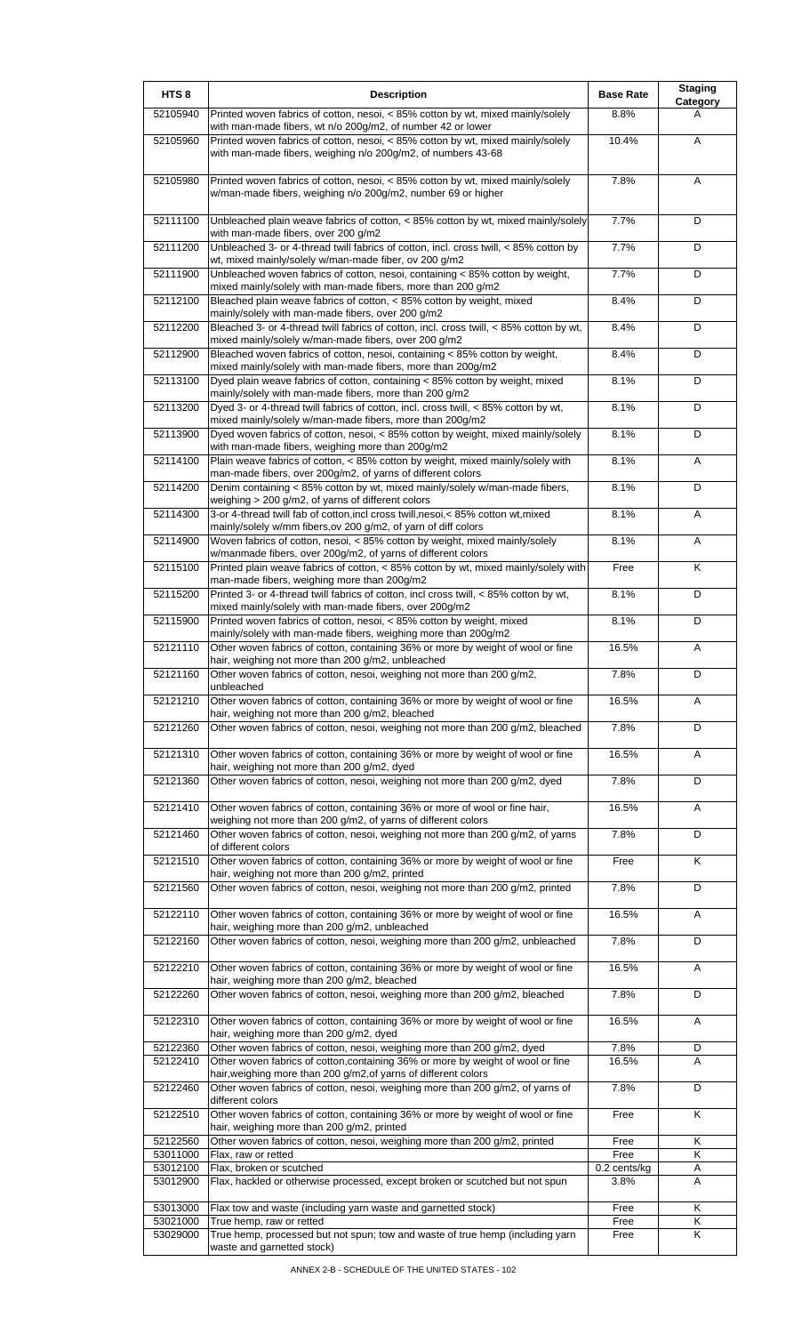| HTS <sub>8</sub>     | <b>Description</b>                                                                                                                                                                             | <b>Base Rate</b>     | <b>Staging</b><br>Category |
|----------------------|------------------------------------------------------------------------------------------------------------------------------------------------------------------------------------------------|----------------------|----------------------------|
| 52105940             | Printed woven fabrics of cotton, nesoi, < 85% cotton by wt, mixed mainly/solely<br>with man-made fibers, wt n/o 200g/m2, of number 42 or lower                                                 | 8.8%                 | A                          |
| 52105960             | Printed woven fabrics of cotton, nesoi, < 85% cotton by wt, mixed mainly/solely<br>with man-made fibers, weighing n/o 200g/m2, of numbers 43-68                                                | 10.4%                | A                          |
| 52105980             | Printed woven fabrics of cotton, nesoi, < 85% cotton by wt, mixed mainly/solely<br>w/man-made fibers, weighing n/o 200g/m2, number 69 or higher                                                | 7.8%                 | Α                          |
| 52111100             | Unbleached plain weave fabrics of cotton, < 85% cotton by wt, mixed mainly/solely<br>with man-made fibers, over 200 g/m2                                                                       | 7.7%                 | D                          |
| 52111200             | Unbleached 3- or 4-thread twill fabrics of cotton, incl. cross twill, < 85% cotton by<br>wt, mixed mainly/solely w/man-made fiber, ov 200 g/m2                                                 | 7.7%                 | D                          |
| 52111900             | Unbleached woven fabrics of cotton, nesoi, containing < 85% cotton by weight,<br>mixed mainly/solely with man-made fibers, more than 200 g/m2                                                  | 7.7%                 | D                          |
| 52112100             | Bleached plain weave fabrics of cotton, < 85% cotton by weight, mixed<br>mainly/solely with man-made fibers, over 200 g/m2                                                                     | 8.4%                 | D                          |
| 52112200             | Bleached 3- or 4-thread twill fabrics of cotton, incl. cross twill, < 85% cotton by wt,<br>mixed mainly/solely w/man-made fibers, over 200 g/m2                                                | 8.4%                 | D                          |
| 52112900             | Bleached woven fabrics of cotton, nesoi, containing < 85% cotton by weight,<br>mixed mainly/solely with man-made fibers, more than 200g/m2                                                     | 8.4%                 | D                          |
| 52113100             | Dyed plain weave fabrics of cotton, containing < 85% cotton by weight, mixed<br>mainly/solely with man-made fibers, more than 200 g/m2                                                         | 8.1%                 | D                          |
| 52113200             | Dyed 3- or 4-thread twill fabrics of cotton, incl. cross twill, < 85% cotton by wt,<br>mixed mainly/solely w/man-made fibers, more than 200g/m2                                                | 8.1%                 | D                          |
| 52113900             | Dyed woven fabrics of cotton, nesoi, < 85% cotton by weight, mixed mainly/solely<br>with man-made fibers, weighing more than 200g/m2                                                           | 8.1%                 | D                          |
| 52114100             | Plain weave fabrics of cotton, < 85% cotton by weight, mixed mainly/solely with<br>man-made fibers, over 200g/m2, of yarns of different colors                                                 | 8.1%                 | Α                          |
| 52114200             | Denim containing < 85% cotton by wt, mixed mainly/solely w/man-made fibers,<br>weighing > 200 g/m2, of yarns of different colors                                                               | 8.1%                 | D                          |
| 52114300             | 3-or 4-thread twill fab of cotton, incl cross twill, nesoi, < 85% cotton wt, mixed<br>mainly/solely w/mm fibers, ov 200 g/m2, of yarn of diff colors                                           | 8.1%                 | A                          |
| 52114900             | Woven fabrics of cotton, nesoi, < 85% cotton by weight, mixed mainly/solely<br>w/manmade fibers, over 200g/m2, of yarns of different colors                                                    | 8.1%                 | Α                          |
| 52115100             | Printed plain weave fabrics of cotton, < 85% cotton by wt, mixed mainly/solely with                                                                                                            | Free                 | Κ                          |
| 52115200             | man-made fibers, weighing more than 200g/m2<br>Printed 3- or 4-thread twill fabrics of cotton, incl cross twill, < 85% cotton by wt,<br>mixed mainly/solely with man-made fibers, over 200g/m2 | 8.1%                 | D                          |
| 52115900             | Printed woven fabrics of cotton, nesoi, < 85% cotton by weight, mixed                                                                                                                          | 8.1%                 | D                          |
| 52121110             | mainly/solely with man-made fibers, weighing more than 200g/m2<br>Other woven fabrics of cotton, containing 36% or more by weight of wool or fine                                              | 16.5%                | Α                          |
| 52121160             | hair, weighing not more than 200 g/m2, unbleached<br>Other woven fabrics of cotton, nesoi, weighing not more than 200 g/m2,                                                                    | 7.8%                 | D                          |
| 52121210             | unbleached<br>Other woven fabrics of cotton, containing 36% or more by weight of wool or fine                                                                                                  | 16.5%                | A                          |
| 52121260             | hair, weighing not more than 200 g/m2, bleached<br>Other woven fabrics of cotton, nesoi, weighing not more than 200 g/m2, bleached                                                             | 7.8%                 | D                          |
| 52121310             | Other woven fabrics of cotton, containing 36% or more by weight of wool or fine<br>hair, weighing not more than 200 g/m2, dyed                                                                 | 16.5%                | Α                          |
| 52121360             | Other woven fabrics of cotton, nesoi, weighing not more than 200 g/m2, dyed                                                                                                                    | 7.8%                 | D                          |
| 52121410             | Other woven fabrics of cotton, containing 36% or more of wool or fine hair,<br>weighing not more than 200 g/m2, of yarns of different colors                                                   | 16.5%                | Α                          |
| 52121460             | Other woven fabrics of cotton, nesoi, weighing not more than 200 g/m2, of yarns<br>of different colors                                                                                         | 7.8%                 | D                          |
| 52121510             | Other woven fabrics of cotton, containing 36% or more by weight of wool or fine<br>hair, weighing not more than 200 g/m2, printed                                                              | Free                 | K                          |
| 52121560             | Other woven fabrics of cotton, nesoi, weighing not more than 200 g/m2, printed                                                                                                                 | 7.8%                 | D                          |
| 52122110             | Other woven fabrics of cotton, containing 36% or more by weight of wool or fine<br>hair, weighing more than 200 g/m2, unbleached                                                               | 16.5%                | Α                          |
| 52122160             | Other woven fabrics of cotton, nesoi, weighing more than 200 g/m2, unbleached                                                                                                                  | 7.8%                 | D                          |
| 52122210             | Other woven fabrics of cotton, containing 36% or more by weight of wool or fine<br>hair, weighing more than 200 g/m2, bleached                                                                 | 16.5%                | Α                          |
| 52122260             | Other woven fabrics of cotton, nesoi, weighing more than 200 g/m2, bleached                                                                                                                    | 7.8%                 | D                          |
| 52122310             | Other woven fabrics of cotton, containing 36% or more by weight of wool or fine<br>hair, weighing more than 200 g/m2, dyed                                                                     | 16.5%                | A                          |
| 52122360<br>52122410 | Other woven fabrics of cotton, nesoi, weighing more than 200 g/m2, dyed<br>Other woven fabrics of cotton, containing 36% or more by weight of wool or fine                                     | 7.8%<br>16.5%        | D<br>A                     |
| 52122460             | hair, weighing more than 200 g/m2, of yarns of different colors<br>Other woven fabrics of cotton, nesoi, weighing more than 200 g/m2, of yarns of                                              | 7.8%                 | D                          |
| 52122510             | different colors<br>Other woven fabrics of cotton, containing 36% or more by weight of wool or fine                                                                                            | Free                 | K                          |
| 52122560             | hair, weighing more than 200 g/m2, printed<br>Other woven fabrics of cotton, nesoi, weighing more than 200 g/m2, printed                                                                       | Free                 | Κ                          |
| 53011000<br>53012100 | Flax, raw or retted<br>Flax, broken or scutched                                                                                                                                                | Free<br>0.2 cents/kg | K<br>Α                     |
| 53012900             | Flax, hackled or otherwise processed, except broken or scutched but not spun                                                                                                                   | 3.8%                 | A                          |
| 53013000             | Flax tow and waste (including yarn waste and garnetted stock)                                                                                                                                  | Free                 | Κ                          |
| 53021000             | True hemp, raw or retted                                                                                                                                                                       | Free                 | Κ                          |
| 53029000             | True hemp, processed but not spun; tow and waste of true hemp (including yarn<br>waste and garnetted stock)                                                                                    | Free                 | K                          |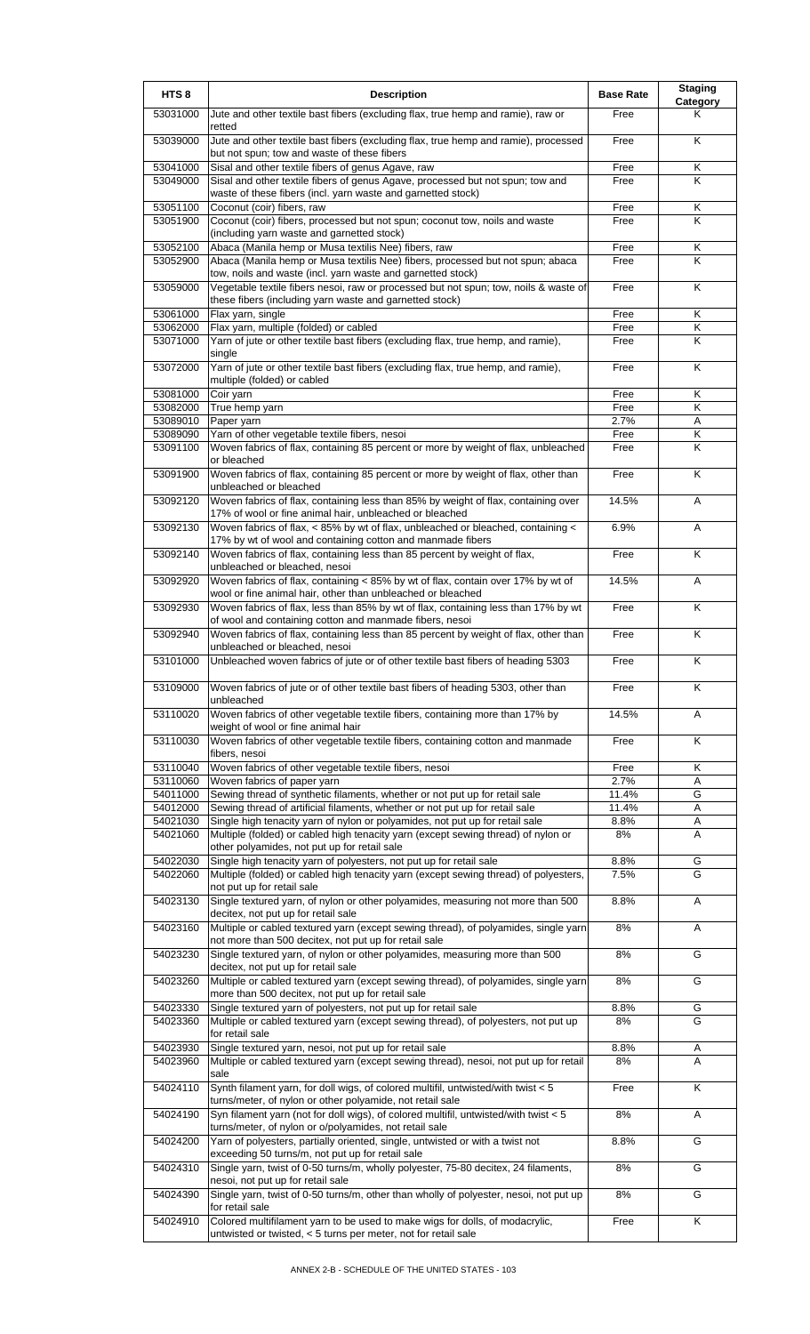| HTS <sub>8</sub>     | <b>Description</b>                                                                                                                                          | <b>Base Rate</b> | <b>Staging</b><br>Category |
|----------------------|-------------------------------------------------------------------------------------------------------------------------------------------------------------|------------------|----------------------------|
| 53031000             | Jute and other textile bast fibers (excluding flax, true hemp and ramie), raw or<br>retted                                                                  | Free             | Κ                          |
| 53039000             | Jute and other textile bast fibers (excluding flax, true hemp and ramie), processed<br>but not spun; tow and waste of these fibers                          | Free             | K                          |
| 53041000<br>53049000 | Sisal and other textile fibers of genus Agave, raw<br>Sisal and other textile fibers of genus Agave, processed but not spun; tow and                        | Free<br>Free     | Κ<br>Κ                     |
|                      | waste of these fibers (incl. yarn waste and garnetted stock)                                                                                                |                  |                            |
| 53051100<br>53051900 | Coconut (coir) fibers, raw<br>Coconut (coir) fibers, processed but not spun; coconut tow, noils and waste                                                   | Free<br>Free     | Κ<br>K                     |
| 53052100             | (including yarn waste and garnetted stock)<br>Abaca (Manila hemp or Musa textilis Nee) fibers, raw                                                          | Free             | Κ                          |
| 53052900             | Abaca (Manila hemp or Musa textilis Nee) fibers, processed but not spun; abaca                                                                              | Free             | K                          |
| 53059000             | tow, noils and waste (incl. yarn waste and garnetted stock)<br>Vegetable textile fibers nesoi, raw or processed but not spun; tow, noils & waste of         | Free             | Κ                          |
| 53061000             | these fibers (including yarn waste and garnetted stock)<br>Flax yarn, single                                                                                | Free             | Κ                          |
| 53062000<br>53071000 | Flax yarn, multiple (folded) or cabled<br>Yarn of jute or other textile bast fibers (excluding flax, true hemp, and ramie),                                 | Free<br>Free     | Κ<br>Κ                     |
|                      | single                                                                                                                                                      |                  |                            |
| 53072000             | Yarn of jute or other textile bast fibers (excluding flax, true hemp, and ramie),<br>multiple (folded) or cabled                                            | Free             | K                          |
| 53081000<br>53082000 | Coir yarn<br>True hemp yarn                                                                                                                                 | Free<br>Free     | Κ<br>K                     |
| 53089010             | Paper yarn                                                                                                                                                  | 2.7%             | Α                          |
| 53089090             | Yarn of other vegetable textile fibers, nesoi                                                                                                               | Free             | Κ                          |
| 53091100             | Woven fabrics of flax, containing 85 percent or more by weight of flax, unbleached<br>or bleached                                                           | Free             | K                          |
| 53091900             | Woven fabrics of flax, containing 85 percent or more by weight of flax, other than<br>unbleached or bleached                                                | Free             | K                          |
| 53092120             | Woven fabrics of flax, containing less than 85% by weight of flax, containing over<br>17% of wool or fine animal hair, unbleached or bleached               | 14.5%            | A                          |
| 53092130             | Woven fabrics of flax, < 85% by wt of flax, unbleached or bleached, containing <<br>17% by wt of wool and containing cotton and manmade fibers              | 6.9%             | A                          |
| 53092140             | Woven fabrics of flax, containing less than 85 percent by weight of flax,<br>unbleached or bleached, nesoi                                                  | Free             | K                          |
| 53092920             | Woven fabrics of flax, containing < 85% by wt of flax, contain over 17% by wt of<br>wool or fine animal hair, other than unbleached or bleached             | 14.5%            | Α                          |
| 53092930             | Woven fabrics of flax, less than 85% by wt of flax, containing less than 17% by wt<br>of wool and containing cotton and manmade fibers, nesoi               | Free             | K                          |
| 53092940             | Woven fabrics of flax, containing less than 85 percent by weight of flax, other than<br>unbleached or bleached, nesoi                                       | Free             | Κ                          |
| 53101000             | Unbleached woven fabrics of jute or of other textile bast fibers of heading 5303                                                                            | Free             | Κ                          |
| 53109000             | Woven fabrics of jute or of other textile bast fibers of heading 5303, other than<br>unbleached                                                             | Free             | K                          |
| 53110020             | Woven fabrics of other vegetable textile fibers, containing more than 17% by<br>weight of wool or fine animal hair                                          | 14.5%            | Α                          |
| 53110030             | Woven fabrics of other vegetable textile fibers, containing cotton and manmade<br>fibers, nesoi                                                             | Free             | K                          |
| 53110040             | Woven fabrics of other vegetable textile fibers, nesoi                                                                                                      | Free             | Κ                          |
| 53110060             | Woven fabrics of paper yarn                                                                                                                                 | 2.7%             | A                          |
| 54011000<br>54012000 | Sewing thread of synthetic filaments, whether or not put up for retail sale<br>Sewing thread of artificial filaments, whether or not put up for retail sale | 11.4%<br>11.4%   | G<br>Α                     |
| 54021030             | Single high tenacity yarn of nylon or polyamides, not put up for retail sale                                                                                | 8.8%             | Α                          |
| 54021060             | Multiple (folded) or cabled high tenacity yarn (except sewing thread) of nylon or<br>other polyamides, not put up for retail sale                           | 8%               | A                          |
| 54022030<br>54022060 | Single high tenacity yarn of polyesters, not put up for retail sale<br>Multiple (folded) or cabled high tenacity yarn (except sewing thread) of polyesters, | 8.8%<br>7.5%     | G<br>G                     |
|                      | not put up for retail sale<br>Single textured yarn, of nylon or other polyamides, measuring not more than 500                                               |                  |                            |
| 54023130             | decitex, not put up for retail sale                                                                                                                         | 8.8%             | A                          |
| 54023160             | Multiple or cabled textured yarn (except sewing thread), of polyamides, single yarn<br>not more than 500 decitex, not put up for retail sale                | 8%               | Α                          |
| 54023230             | Single textured yarn, of nylon or other polyamides, measuring more than 500<br>decitex, not put up for retail sale                                          | 8%               | G                          |
| 54023260             | Multiple or cabled textured yarn (except sewing thread), of polyamides, single yarn<br>more than 500 decitex, not put up for retail sale                    | 8%               | G                          |
| 54023330             | Single textured yarn of polyesters, not put up for retail sale                                                                                              | 8.8%             | G                          |
| 54023360             | Multiple or cabled textured yarn (except sewing thread), of polyesters, not put up<br>for retail sale                                                       | 8%               | G                          |
| 54023930<br>54023960 | Single textured yarn, nesoi, not put up for retail sale<br>Multiple or cabled textured yarn (except sewing thread), nesoi, not put up for retail            | 8.8%<br>8%       | Α<br>A                     |
| 54024110             | sale<br>Synth filament yarn, for doll wigs, of colored multifil, untwisted/with twist < 5                                                                   | Free             | Κ                          |
| 54024190             | turns/meter, of nylon or other polyamide, not retail sale<br>Syn filament yarn (not for doll wigs), of colored multifil, untwisted/with twist < 5           | 8%               | Α                          |
| 54024200             | turns/meter, of nylon or o/polyamides, not retail sale<br>Yarn of polyesters, partially oriented, single, untwisted or with a twist not                     | 8.8%             | G                          |
| 54024310             | exceeding 50 turns/m, not put up for retail sale<br>Single yarn, twist of 0-50 turns/m, wholly polyester, 75-80 decitex, 24 filaments,                      | 8%               | G                          |
|                      | nesoi, not put up for retail sale<br>Single yarn, twist of 0-50 turns/m, other than wholly of polyester, nesoi, not put up                                  |                  | G                          |
| 54024390             | for retail sale                                                                                                                                             | 8%               |                            |
| 54024910             | Colored multifilament yarn to be used to make wigs for dolls, of modacrylic,<br>untwisted or twisted, < 5 turns per meter, not for retail sale              | Free             | K                          |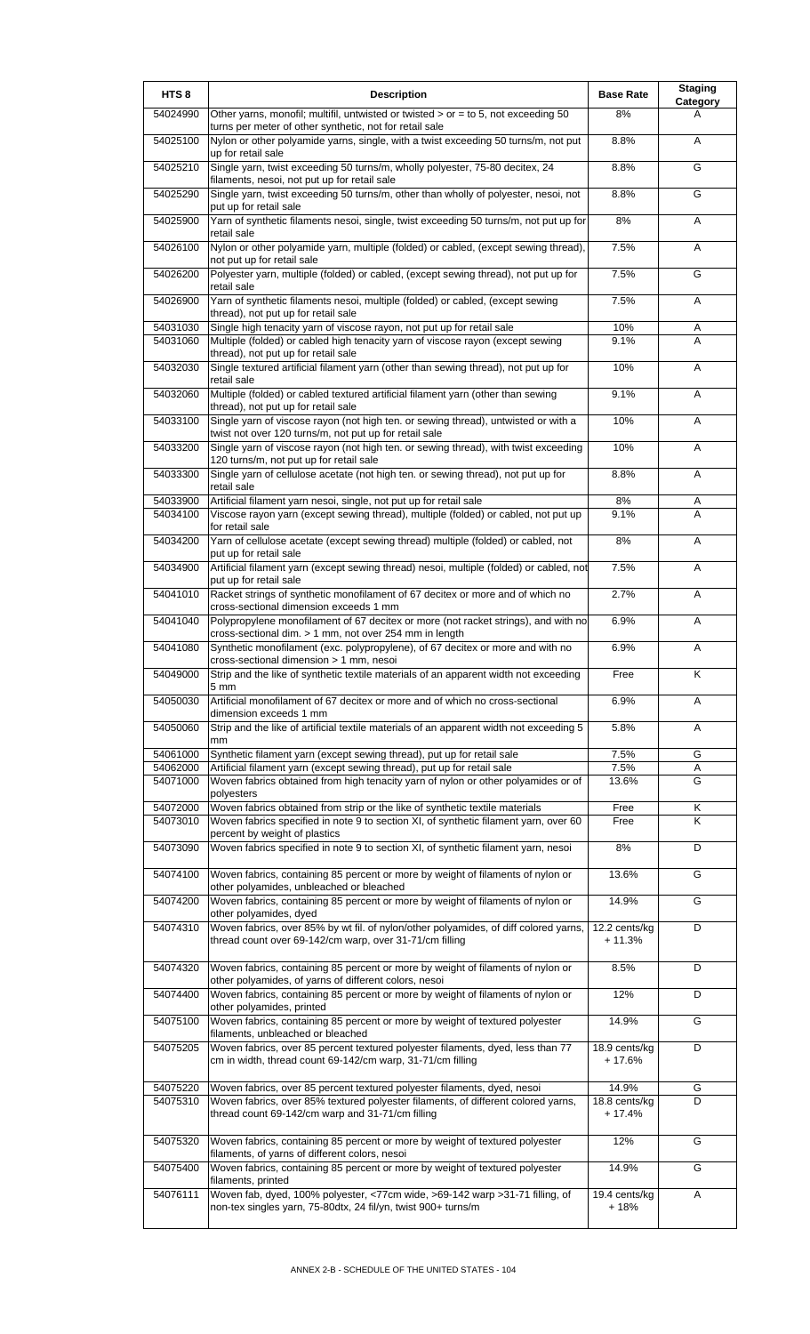| HTS <sub>8</sub>     | <b>Description</b>                                                                                                                                                          | <b>Base Rate</b>          | <b>Staging</b><br>Category |
|----------------------|-----------------------------------------------------------------------------------------------------------------------------------------------------------------------------|---------------------------|----------------------------|
| 54024990             | Other yarns, monofil; multifil, untwisted or twisted $>$ or = to 5, not exceeding 50<br>turns per meter of other synthetic, not for retail sale                             | 8%                        | A                          |
| 54025100             | Nylon or other polyamide yarns, single, with a twist exceeding 50 turns/m, not put<br>up for retail sale                                                                    | 8.8%                      | A                          |
| 54025210             | Single yarn, twist exceeding 50 turns/m, wholly polyester, 75-80 decitex, 24<br>filaments, nesoi, not put up for retail sale                                                | 8.8%                      | G                          |
| 54025290             | Single yarn, twist exceeding 50 turns/m, other than wholly of polyester, nesoi, not<br>put up for retail sale                                                               | 8.8%                      | G                          |
| 54025900             | Yarn of synthetic filaments nesoi, single, twist exceeding 50 turns/m, not put up for<br>retail sale                                                                        | $8\%$                     | Α                          |
| 54026100             | Nylon or other polyamide yarn, multiple (folded) or cabled, (except sewing thread),<br>not put up for retail sale                                                           | 7.5%                      | A                          |
| 54026200             | Polyester yarn, multiple (folded) or cabled, (except sewing thread), not put up for<br>retail sale                                                                          | 7.5%                      | G                          |
| 54026900             | Yarn of synthetic filaments nesoi, multiple (folded) or cabled, (except sewing<br>thread), not put up for retail sale                                                       | 7.5%                      | Α                          |
| 54031030<br>54031060 | Single high tenacity yarn of viscose rayon, not put up for retail sale<br>Multiple (folded) or cabled high tenacity yarn of viscose rayon (except sewing                    | 10%<br>9.1%               | Α<br>A                     |
| 54032030             | thread), not put up for retail sale<br>Single textured artificial filament yarn (other than sewing thread), not put up for                                                  | 10%                       | A                          |
| 54032060             | retail sale<br>Multiple (folded) or cabled textured artificial filament yarn (other than sewing                                                                             | 9.1%                      | A                          |
|                      | thread), not put up for retail sale                                                                                                                                         |                           |                            |
| 54033100             | Single yarn of viscose rayon (not high ten. or sewing thread), untwisted or with a<br>twist not over 120 turns/m, not put up for retail sale                                | 10%                       | A                          |
| 54033200             | Single yarn of viscose rayon (not high ten. or sewing thread), with twist exceeding<br>120 turns/m, not put up for retail sale                                              | 10%                       | A                          |
| 54033300             | Single yarn of cellulose acetate (not high ten. or sewing thread), not put up for<br>retail sale                                                                            | 8.8%                      | A                          |
| 54033900<br>54034100 | Artificial filament yarn nesoi, single, not put up for retail sale<br>Viscose rayon yarn (except sewing thread), multiple (folded) or cabled, not put up<br>for retail sale | 8%<br>9.1%                | A<br>A                     |
| 54034200             | Yarn of cellulose acetate (except sewing thread) multiple (folded) or cabled, not<br>put up for retail sale                                                                 | 8%                        | A                          |
| 54034900             | Artificial filament yarn (except sewing thread) nesoi, multiple (folded) or cabled, not<br>put up for retail sale                                                           | 7.5%                      | A                          |
| 54041010             | Racket strings of synthetic monofilament of 67 decitex or more and of which no<br>cross-sectional dimension exceeds 1 mm                                                    | 2.7%                      | Α                          |
| 54041040             | Polypropylene monofilament of 67 decitex or more (not racket strings), and with no<br>cross-sectional dim. > 1 mm, not over 254 mm in length                                | 6.9%                      | A                          |
| 54041080             | Synthetic monofilament (exc. polypropylene), of 67 decitex or more and with no<br>cross-sectional dimension > 1 mm, nesoi                                                   | 6.9%                      | Α                          |
| 54049000             | Strip and the like of synthetic textile materials of an apparent width not exceeding<br>5 mm                                                                                | Free                      | Κ                          |
| 54050030             | Artificial monofilament of 67 decitex or more and of which no cross-sectional<br>dimension exceeds 1 mm                                                                     | 6.9%                      | A                          |
| 54050060             | Strip and the like of artificial textile materials of an apparent width not exceeding 5<br>mm                                                                               | 5.8%                      | Α                          |
| 54061000             | Synthetic filament yarn (except sewing thread), put up for retail sale                                                                                                      | 7.5%                      | G                          |
| 54062000<br>54071000 | Artificial filament yarn (except sewing thread), put up for retail sale<br>Woven fabrics obtained from high tenacity yarn of nylon or other polyamides or of                | 7.5%<br>13.6%             | Α<br>G                     |
| 54072000             | polyesters<br>Woven fabrics obtained from strip or the like of synthetic textile materials                                                                                  | Free                      | Κ                          |
| 54073010             | Woven fabrics specified in note 9 to section XI, of synthetic filament yarn, over 60<br>percent by weight of plastics                                                       | Free                      | K                          |
| 54073090             | Woven fabrics specified in note 9 to section XI, of synthetic filament yarn, nesoi                                                                                          | $8\%$                     | D                          |
| 54074100             | Woven fabrics, containing 85 percent or more by weight of filaments of nylon or<br>other polyamides, unbleached or bleached                                                 | 13.6%                     | G                          |
| 54074200             | Woven fabrics, containing 85 percent or more by weight of filaments of nylon or<br>other polyamides, dyed                                                                   | 14.9%                     | G                          |
| 54074310             | Woven fabrics, over 85% by wt fil. of nylon/other polyamides, of diff colored yarns,<br>thread count over 69-142/cm warp, over 31-71/cm filling                             | 12.2 cents/kg<br>$+11.3%$ | D                          |
| 54074320             | Woven fabrics, containing 85 percent or more by weight of filaments of nylon or<br>other polyamides, of yarns of different colors, nesoi                                    | 8.5%                      | D                          |
| 54074400             | Woven fabrics, containing 85 percent or more by weight of filaments of nylon or<br>other polyamides, printed                                                                | 12%                       | D                          |
| 54075100             | Woven fabrics, containing 85 percent or more by weight of textured polyester<br>filaments, unbleached or bleached                                                           | 14.9%                     | G                          |
| 54075205             | Woven fabrics, over 85 percent textured polyester filaments, dyed, less than 77<br>cm in width, thread count 69-142/cm warp, 31-71/cm filling                               | 18.9 cents/kg<br>$+17.6%$ | D                          |
| 54075220             | Woven fabrics, over 85 percent textured polyester filaments, dyed, nesoi                                                                                                    | 14.9%                     | G                          |
| 54075310             | Woven fabrics, over 85% textured polyester filaments, of different colored yarns,<br>thread count 69-142/cm warp and 31-71/cm filling                                       | 18.8 cents/kg<br>$+17.4%$ | D                          |
| 54075320             | Woven fabrics, containing 85 percent or more by weight of textured polyester<br>filaments, of yarns of different colors, nesoi                                              | 12%                       | G                          |
| 54075400             | Woven fabrics, containing 85 percent or more by weight of textured polyester<br>filaments, printed                                                                          | 14.9%                     | G                          |
| 54076111             | Woven fab, dyed, 100% polyester, <77cm wide, >69-142 warp >31-71 filling, of<br>non-tex singles yarn, 75-80dtx, 24 fil/yn, twist 900+ turns/m                               | 19.4 cents/kg<br>$+18%$   | Α                          |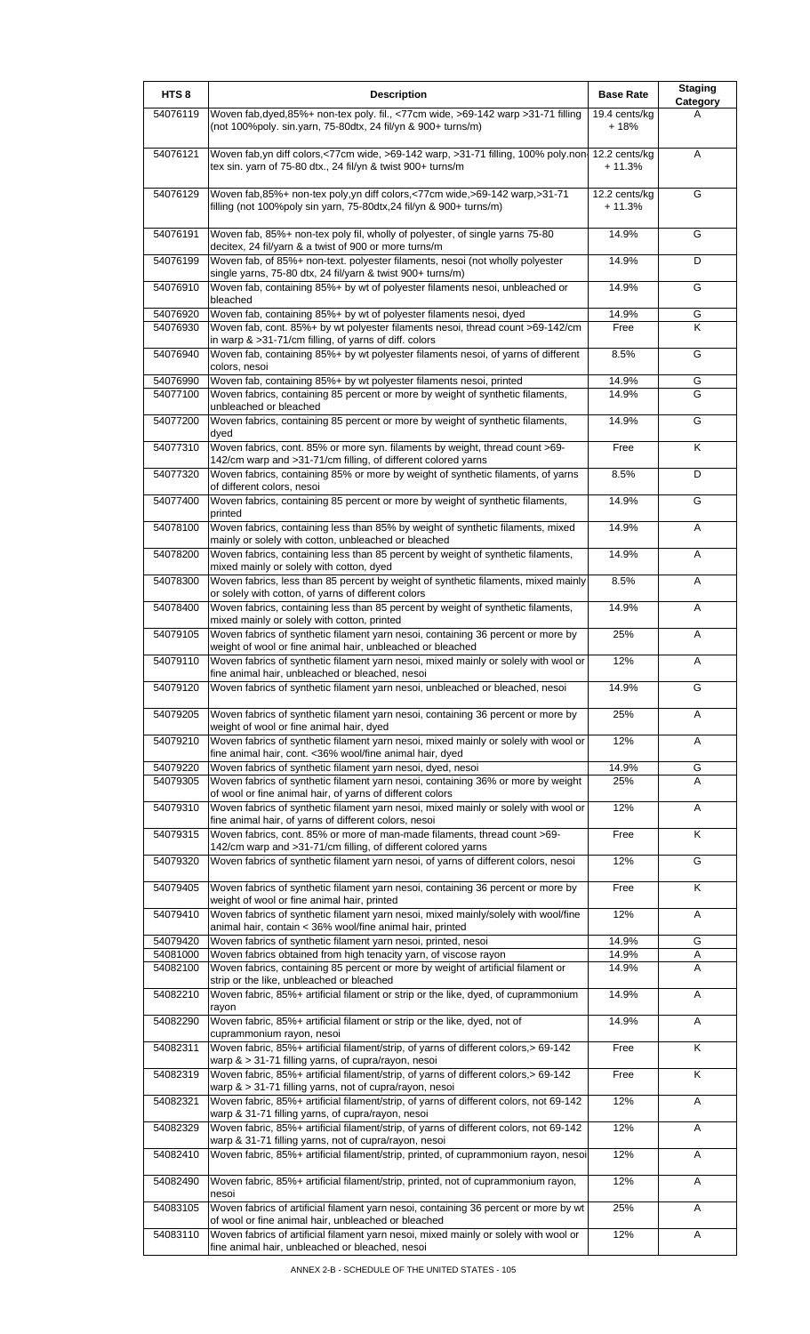| HTS <sub>8</sub>     | <b>Description</b>                                                                                                                                                                                   | <b>Base Rate</b>          | <b>Staging</b><br>Category |
|----------------------|------------------------------------------------------------------------------------------------------------------------------------------------------------------------------------------------------|---------------------------|----------------------------|
| 54076119             | Woven fab, dyed, 85%+ non-tex poly. fil., <77cm wide, >69-142 warp > 31-71 filling<br>(not 100%poly. sin.yarn, 75-80dtx, 24 fil/yn & 900+ turns/m)                                                   | 19.4 cents/kg<br>$+18%$   | A                          |
| 54076121             | Woven fab, yn diff colors, <77cm wide, >69-142 warp, >31-71 filling, 100% poly.non<br>tex sin. yarn of 75-80 dtx., 24 fil/yn & twist 900+ turns/m                                                    | 12.2 cents/kg<br>$+11.3%$ | Α                          |
| 54076129             | Woven fab, 85%+ non-tex poly, yn diff colors, <77cm wide, >69-142 warp, >31-71<br>filling (not 100%poly sin yarn, 75-80dtx, 24 fil/yn & 900+ turns/m)                                                | 12.2 cents/kg<br>$+11.3%$ | G                          |
| 54076191             | Woven fab, 85%+ non-tex poly fil, wholly of polyester, of single yarns 75-80                                                                                                                         | 14.9%                     | G                          |
| 54076199             | decitex, 24 fil/yarn & a twist of 900 or more turns/m<br>Woven fab, of 85%+ non-text. polyester filaments, nesoi (not wholly polyester<br>single yarns, 75-80 dtx, 24 fil/yarn & twist 900+ turns/m) | 14.9%                     | D                          |
| 54076910             | Woven fab, containing 85%+ by wt of polyester filaments nesoi, unbleached or<br>bleached                                                                                                             | 14.9%                     | G                          |
| 54076920<br>54076930 | Woven fab, containing 85%+ by wt of polyester filaments nesoi, dyed<br>Woven fab, cont. 85%+ by wt polyester filaments nesoi, thread count >69-142/cm                                                | 14.9%<br>Free             | G<br>Κ                     |
| 54076940             | in warp & >31-71/cm filling, of yarns of diff. colors<br>Woven fab, containing 85%+ by wt polyester filaments nesoi, of yarns of different                                                           | 8.5%                      | G                          |
| 54076990             | colors, nesoi<br>Woven fab, containing 85%+ by wt polyester filaments nesoi, printed                                                                                                                 | 14.9%                     | G                          |
| 54077100             | Woven fabrics, containing 85 percent or more by weight of synthetic filaments,<br>unbleached or bleached                                                                                             | 14.9%                     | G                          |
| 54077200             | Woven fabrics, containing 85 percent or more by weight of synthetic filaments,<br>dyed                                                                                                               | 14.9%                     | G                          |
| 54077310             | Woven fabrics, cont. 85% or more syn. filaments by weight, thread count >69-<br>142/cm warp and >31-71/cm filling, of different colored yarns                                                        | Free                      | Κ                          |
| 54077320             | Woven fabrics, containing 85% or more by weight of synthetic filaments, of yarns<br>of different colors, nesoi                                                                                       | 8.5%                      | D                          |
| 54077400             | Woven fabrics, containing 85 percent or more by weight of synthetic filaments,<br>printed                                                                                                            | 14.9%                     | G                          |
| 54078100             | Woven fabrics, containing less than 85% by weight of synthetic filaments, mixed<br>mainly or solely with cotton, unbleached or bleached                                                              | 14.9%                     | Α                          |
| 54078200             | Woven fabrics, containing less than 85 percent by weight of synthetic filaments,<br>mixed mainly or solely with cotton, dyed                                                                         | 14.9%                     | Α                          |
| 54078300             | Woven fabrics, less than 85 percent by weight of synthetic filaments, mixed mainly<br>or solely with cotton, of yarns of different colors                                                            | 8.5%                      | Α                          |
| 54078400             | Woven fabrics, containing less than 85 percent by weight of synthetic filaments,<br>mixed mainly or solely with cotton, printed                                                                      | 14.9%                     | A                          |
| 54079105             | Woven fabrics of synthetic filament yarn nesoi, containing 36 percent or more by<br>weight of wool or fine animal hair, unbleached or bleached                                                       | 25%                       | Α                          |
| 54079110             | Woven fabrics of synthetic filament yarn nesoi, mixed mainly or solely with wool or<br>fine animal hair, unbleached or bleached, nesoi                                                               | 12%                       | Α                          |
| 54079120             | Woven fabrics of synthetic filament yarn nesoi, unbleached or bleached, nesoi                                                                                                                        | 14.9%                     | G                          |
| 54079205             | Woven fabrics of synthetic filament yarn nesoi, containing 36 percent or more by<br>weight of wool or fine animal hair, dyed                                                                         | 25%                       | Α                          |
| 54079210             | Woven fabrics of synthetic filament yarn nesoi, mixed mainly or solely with wool or<br>fine animal hair, cont. < 36% wool/fine animal hair, dyed                                                     | 12%                       | A                          |
| 54079220<br>54079305 | Woven fabrics of synthetic filament yarn nesoi, dyed, nesoi                                                                                                                                          | 14.9%                     | G                          |
|                      | Woven fabrics of synthetic filament yarn nesoi, containing 36% or more by weight<br>of wool or fine animal hair, of yarns of different colors                                                        | 25%                       | A                          |
| 54079310             | Woven fabrics of synthetic filament yarn nesoi, mixed mainly or solely with wool or<br>fine animal hair, of yarns of different colors, nesoi                                                         | 12%                       | A                          |
| 54079315             | Woven fabrics, cont. 85% or more of man-made filaments, thread count >69-<br>142/cm warp and >31-71/cm filling, of different colored yarns                                                           | Free                      | Κ                          |
| 54079320             | Woven fabrics of synthetic filament yarn nesoi, of yarns of different colors, nesoi                                                                                                                  | 12%                       | G                          |
| 54079405             | Woven fabrics of synthetic filament yarn nesoi, containing 36 percent or more by<br>weight of wool or fine animal hair, printed                                                                      | Free                      | K                          |
| 54079410             | Woven fabrics of synthetic filament yarn nesoi, mixed mainly/solely with wool/fine<br>animal hair, contain < 36% wool/fine animal hair, printed                                                      | 12%                       | Α                          |
| 54079420             | Woven fabrics of synthetic filament yarn nesoi, printed, nesoi                                                                                                                                       | 14.9%                     | G                          |
| 54081000<br>54082100 | Woven fabrics obtained from high tenacity yarn, of viscose rayon<br>Woven fabrics, containing 85 percent or more by weight of artificial filament or                                                 | 14.9%<br>14.9%            | Α<br>A                     |
| 54082210             | strip or the like, unbleached or bleached<br>Woven fabric, 85%+ artificial filament or strip or the like, dyed, of cuprammonium                                                                      | 14.9%                     | A                          |
| 54082290             | rayon<br>Woven fabric, 85%+ artificial filament or strip or the like, dyed, not of                                                                                                                   | 14.9%                     | A                          |
| 54082311             | cuprammonium rayon, nesoi<br>Woven fabric, 85%+ artificial filament/strip, of yarns of different colors,> 69-142                                                                                     | Free                      | K                          |
| 54082319             | warp $\&$ > 31-71 filling yarns, of cupra/rayon, nesoi<br>Woven fabric, 85%+ artificial filament/strip, of yarns of different colors,> 69-142                                                        | Free                      | K                          |
| 54082321             | warp & > 31-71 filling yarns, not of cupra/rayon, nesoi<br>Woven fabric, 85%+ artificial filament/strip, of yarns of different colors, not 69-142                                                    | 12%                       | A                          |
| 54082329             | warp & 31-71 filling yarns, of cupra/rayon, nesoi<br>Woven fabric, 85%+ artificial filament/strip, of yarns of different colors, not 69-142                                                          | 12%                       | Α                          |
| 54082410             | warp & 31-71 filling yarns, not of cupra/rayon, nesoi<br>Woven fabric, 85%+ artificial filament/strip, printed, of cuprammonium rayon, nesoi                                                         | 12%                       | Α                          |
| 54082490             | Woven fabric, 85%+ artificial filament/strip, printed, not of cuprammonium rayon,                                                                                                                    | 12%                       | A                          |
| 54083105             | nesoi<br>Woven fabrics of artificial filament yarn nesoi, containing 36 percent or more by wt<br>of wool or fine animal hair, unbleached or bleached                                                 | 25%                       | Α                          |
| 54083110             | Woven fabrics of artificial filament yarn nesoi, mixed mainly or solely with wool or<br>fine animal hair, unbleached or bleached, nesoi                                                              | 12%                       | A                          |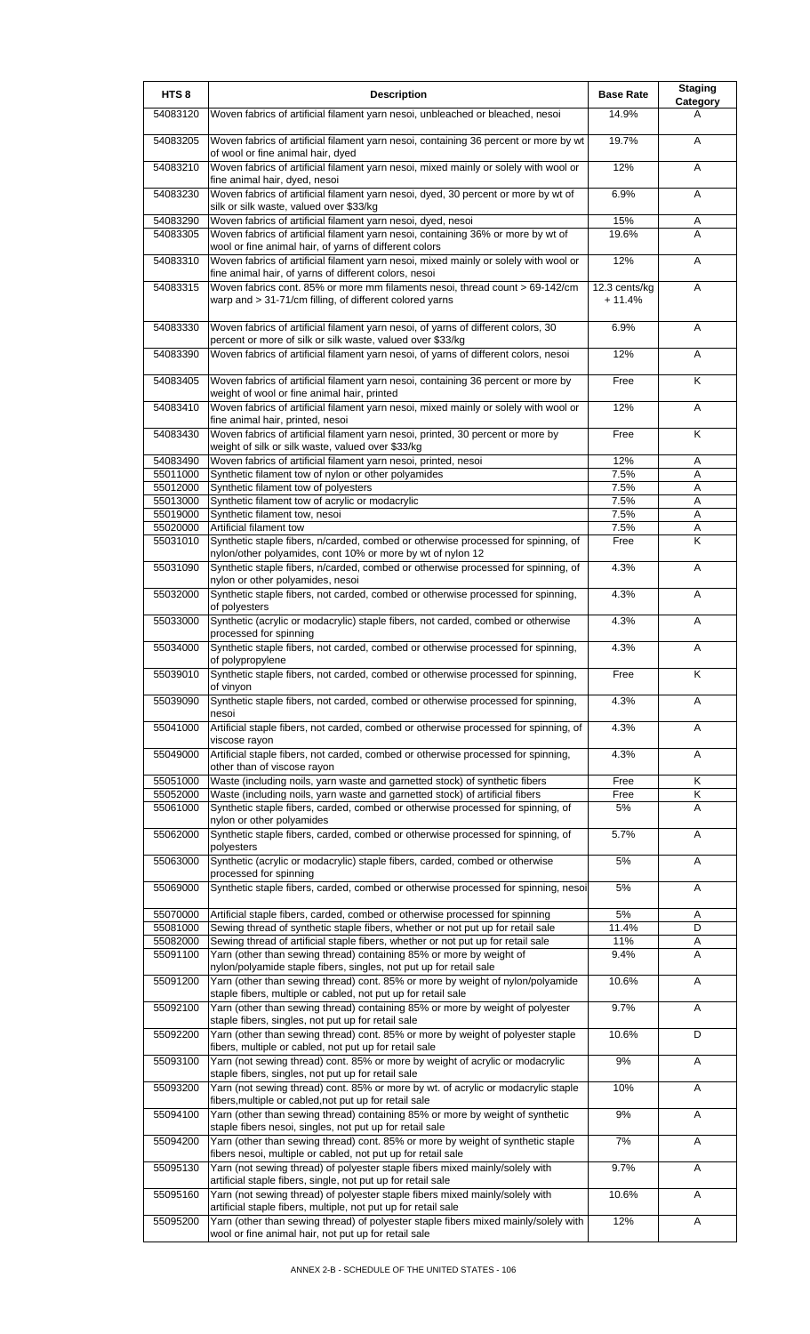| HTS <sub>8</sub>     | <b>Description</b>                                                                                                                                                  | <b>Base Rate</b>          | <b>Staging</b><br>Category |
|----------------------|---------------------------------------------------------------------------------------------------------------------------------------------------------------------|---------------------------|----------------------------|
| 54083120             | Woven fabrics of artificial filament yarn nesoi, unbleached or bleached, nesoi                                                                                      | 14.9%                     | A                          |
| 54083205             | Woven fabrics of artificial filament yarn nesoi, containing 36 percent or more by wt<br>of wool or fine animal hair, dyed                                           | 19.7%                     | A                          |
| 54083210             | Woven fabrics of artificial filament yarn nesoi, mixed mainly or solely with wool or<br>fine animal hair, dyed, nesoi                                               | 12%                       | A                          |
| 54083230             | Woven fabrics of artificial filament yarn nesoi, dyed, 30 percent or more by wt of<br>silk or silk waste, valued over \$33/kg                                       | 6.9%                      | A                          |
| 54083290             | Woven fabrics of artificial filament yarn nesoi, dyed, nesoi                                                                                                        | 15%                       | Α                          |
| 54083305             | Woven fabrics of artificial filament yarn nesoi, containing 36% or more by wt of<br>wool or fine animal hair, of yarns of different colors                          | 19.6%                     | A                          |
| 54083310             | Woven fabrics of artificial filament yarn nesoi, mixed mainly or solely with wool or<br>fine animal hair, of yarns of different colors, nesoi                       | 12%                       | A                          |
| 54083315             | Woven fabrics cont. 85% or more mm filaments nesoi, thread count > 69-142/cm<br>warp and > 31-71/cm filling, of different colored yarns                             | 12.3 cents/kg<br>$+11.4%$ | A                          |
| 54083330             | Woven fabrics of artificial filament yarn nesoi, of yarns of different colors, 30<br>percent or more of silk or silk waste, valued over \$33/kg                     | 6.9%                      | A                          |
| 54083390             | Woven fabrics of artificial filament yarn nesoi, of yarns of different colors, nesoi                                                                                | 12%                       | A                          |
| 54083405             | Woven fabrics of artificial filament yarn nesoi, containing 36 percent or more by<br>weight of wool or fine animal hair, printed                                    | Free                      | K                          |
| 54083410             | Woven fabrics of artificial filament yarn nesoi, mixed mainly or solely with wool or<br>fine animal hair, printed, nesoi                                            | 12%                       | A                          |
| 54083430             | Woven fabrics of artificial filament yarn nesoi, printed, 30 percent or more by<br>weight of silk or silk waste, valued over \$33/kg                                | Free                      | K                          |
| 54083490             | Woven fabrics of artificial filament yarn nesoi, printed, nesoi                                                                                                     | 12%                       | Α                          |
| 55011000             | Synthetic filament tow of nylon or other polyamides                                                                                                                 | 7.5%                      | A                          |
| 55012000<br>55013000 | Synthetic filament tow of polyesters<br>Synthetic filament tow of acrylic or modacrylic                                                                             | 7.5%<br>7.5%              | A<br>A                     |
| 55019000             | Synthetic filament tow, nesoi                                                                                                                                       | 7.5%                      | A                          |
| 55020000             | Artificial filament tow                                                                                                                                             | 7.5%                      | Α                          |
| 55031010             | Synthetic staple fibers, n/carded, combed or otherwise processed for spinning, of<br>nylon/other polyamides, cont 10% or more by wt of nylon 12                     | Free                      | K                          |
| 55031090             | Synthetic staple fibers, n/carded, combed or otherwise processed for spinning, of<br>nylon or other polyamides, nesoi                                               | 4.3%                      | A                          |
| 55032000             | Synthetic staple fibers, not carded, combed or otherwise processed for spinning,<br>of polyesters                                                                   | 4.3%                      | A                          |
| 55033000             | Synthetic (acrylic or modacrylic) staple fibers, not carded, combed or otherwise<br>processed for spinning                                                          | 4.3%                      | A                          |
| 55034000             | Synthetic staple fibers, not carded, combed or otherwise processed for spinning,<br>of polypropylene                                                                | 4.3%                      | A                          |
| 55039010             | Synthetic staple fibers, not carded, combed or otherwise processed for spinning,<br>of vinyon                                                                       | Free                      | Κ                          |
| 55039090             | Synthetic staple fibers, not carded, combed or otherwise processed for spinning,<br>nesoi                                                                           | 4.3%                      | A                          |
| 55041000             | Artificial staple fibers, not carded, combed or otherwise processed for spinning, of<br>viscose rayon                                                               | 4.3%                      | Α                          |
| 55049000             | Artificial staple fibers, not carded, combed or otherwise processed for spinning,<br>other than of viscose rayon                                                    | 4.3%                      | Α                          |
| 55051000             | Waste (including noils, yarn waste and garnetted stock) of synthetic fibers                                                                                         | Free                      | Κ                          |
| 55052000<br>55061000 | Waste (including noils, yarn waste and garnetted stock) of artificial fibers<br>Synthetic staple fibers, carded, combed or otherwise processed for spinning, of     | Free<br>5%                | Κ<br>Α                     |
| 55062000             | nylon or other polyamides<br>Synthetic staple fibers, carded, combed or otherwise processed for spinning, of                                                        | 5.7%                      | Α                          |
| 55063000             | polyesters<br>Synthetic (acrylic or modacrylic) staple fibers, carded, combed or otherwise                                                                          | 5%                        | Α                          |
| 55069000             | processed for spinning<br>Synthetic staple fibers, carded, combed or otherwise processed for spinning, nesoi                                                        | 5%                        | Α                          |
| 55070000             | Artificial staple fibers, carded, combed or otherwise processed for spinning                                                                                        | 5%                        | Α                          |
| 55081000<br>55082000 | Sewing thread of synthetic staple fibers, whether or not put up for retail sale<br>Sewing thread of artificial staple fibers, whether or not put up for retail sale | 11.4%<br>11%              | D<br>Α                     |
| 55091100             | Yarn (other than sewing thread) containing 85% or more by weight of<br>nylon/polyamide staple fibers, singles, not put up for retail sale                           | 9.4%                      | A                          |
| 55091200             | Yarn (other than sewing thread) cont. 85% or more by weight of nylon/polyamide<br>staple fibers, multiple or cabled, not put up for retail sale                     | 10.6%                     | A                          |
| 55092100             | Yarn (other than sewing thread) containing 85% or more by weight of polyester<br>staple fibers, singles, not put up for retail sale                                 | 9.7%                      | Α                          |
| 55092200             | Yarn (other than sewing thread) cont. 85% or more by weight of polyester staple<br>fibers, multiple or cabled, not put up for retail sale                           | 10.6%                     | D                          |
| 55093100             | Yarn (not sewing thread) cont. 85% or more by weight of acrylic or modacrylic<br>staple fibers, singles, not put up for retail sale                                 | 9%                        | Α                          |
| 55093200             | Yarn (not sewing thread) cont. 85% or more by wt. of acrylic or modacrylic staple<br>fibers, multiple or cabled, not put up for retail sale                         | 10%                       | Α                          |
| 55094100             | Yarn (other than sewing thread) containing 85% or more by weight of synthetic<br>staple fibers nesoi, singles, not put up for retail sale                           | 9%                        | Α                          |
| 55094200             | Yarn (other than sewing thread) cont. 85% or more by weight of synthetic staple<br>fibers nesoi, multiple or cabled, not put up for retail sale                     | 7%                        | Α                          |
| 55095130             | Yarn (not sewing thread) of polyester staple fibers mixed mainly/solely with<br>artificial staple fibers, single, not put up for retail sale                        | 9.7%                      | Α                          |
| 55095160             | Yarn (not sewing thread) of polyester staple fibers mixed mainly/solely with<br>artificial staple fibers, multiple, not put up for retail sale                      | 10.6%                     | Α                          |
| 55095200             | Yarn (other than sewing thread) of polyester staple fibers mixed mainly/solely with<br>wool or fine animal hair, not put up for retail sale                         | 12%                       | Α                          |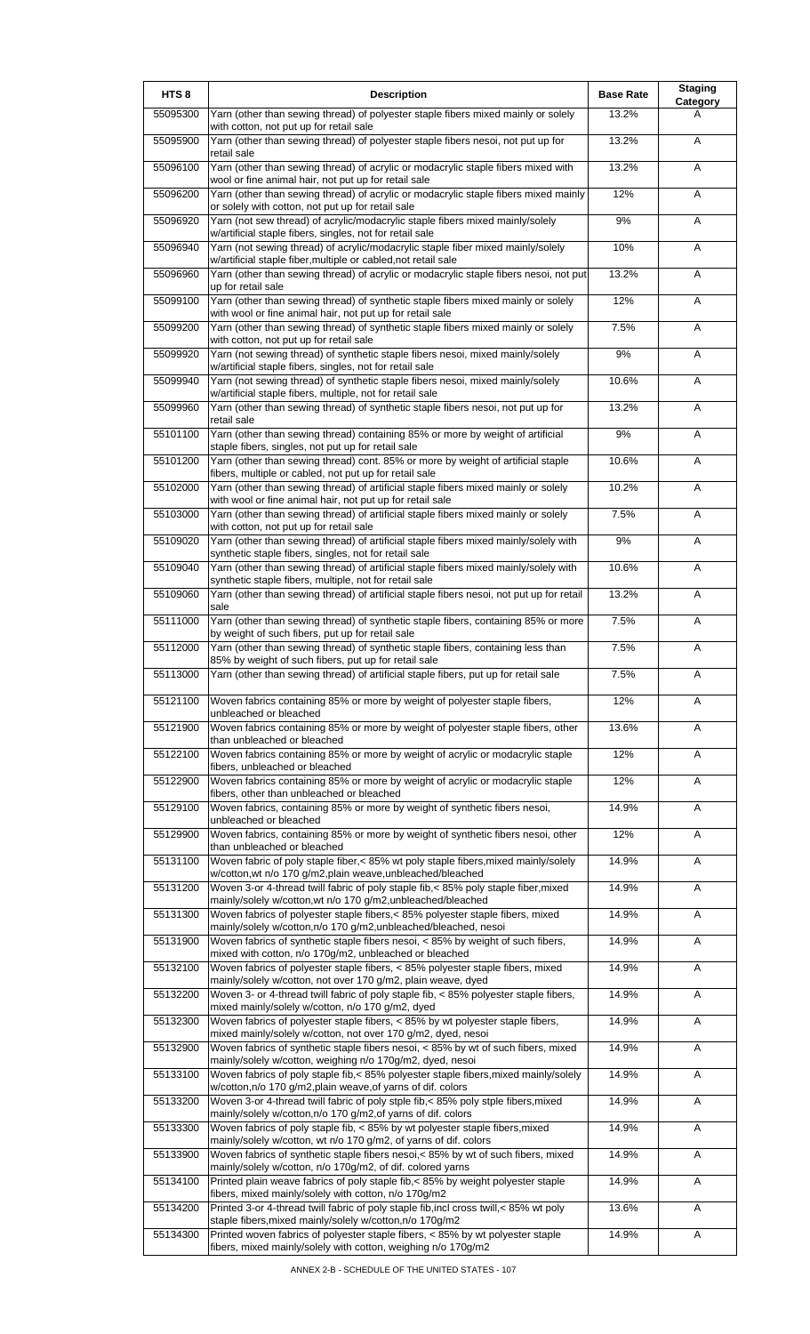| HTS <sub>8</sub> | <b>Description</b>                                                                                                                                      | <b>Base Rate</b> | <b>Staging</b><br>Category |
|------------------|---------------------------------------------------------------------------------------------------------------------------------------------------------|------------------|----------------------------|
| 55095300         | Yarn (other than sewing thread) of polyester staple fibers mixed mainly or solely<br>with cotton, not put up for retail sale                            | 13.2%            | A                          |
| 55095900         | Yarn (other than sewing thread) of polyester staple fibers nesoi, not put up for<br>retail sale                                                         | 13.2%            | A                          |
| 55096100         | Yarn (other than sewing thread) of acrylic or modacrylic staple fibers mixed with<br>wool or fine animal hair, not put up for retail sale               | 13.2%            | Α                          |
| 55096200         | Yarn (other than sewing thread) of acrylic or modacrylic staple fibers mixed mainly                                                                     | 12%              | Α                          |
| 55096920         | or solely with cotton, not put up for retail sale<br>Yarn (not sew thread) of acrylic/modacrylic staple fibers mixed mainly/solely                      | 9%               | Α                          |
| 55096940         | w/artificial staple fibers, singles, not for retail sale<br>Yarn (not sewing thread) of acrylic/modacrylic staple fiber mixed mainly/solely             | 10%              | Α                          |
| 55096960         | w/artificial staple fiber, multiple or cabled, not retail sale<br>Yarn (other than sewing thread) of acrylic or modacrylic staple fibers nesoi, not put | 13.2%            | A                          |
| 55099100         | up for retail sale<br>Yarn (other than sewing thread) of synthetic staple fibers mixed mainly or solely                                                 | 12%              | Α                          |
| 55099200         | with wool or fine animal hair, not put up for retail sale<br>Yarn (other than sewing thread) of synthetic staple fibers mixed mainly or solely          | 7.5%             | A                          |
| 55099920         | with cotton, not put up for retail sale<br>Yarn (not sewing thread) of synthetic staple fibers nesoi, mixed mainly/solely                               | 9%               | Α                          |
| 55099940         | w/artificial staple fibers, singles, not for retail sale<br>Yarn (not sewing thread) of synthetic staple fibers nesoi, mixed mainly/solely              | 10.6%            | Α                          |
| 55099960         | w/artificial staple fibers, multiple, not for retail sale<br>Yarn (other than sewing thread) of synthetic staple fibers nesoi, not put up for           | 13.2%            | A                          |
| 55101100         | retail sale<br>Yarn (other than sewing thread) containing 85% or more by weight of artificial                                                           | 9%               | A                          |
| 55101200         | staple fibers, singles, not put up for retail sale<br>Yarn (other than sewing thread) cont. 85% or more by weight of artificial staple                  | 10.6%            | Α                          |
| 55102000         | fibers, multiple or cabled, not put up for retail sale<br>Yarn (other than sewing thread) of artificial staple fibers mixed mainly or solely            | 10.2%            | Α                          |
| 55103000         | with wool or fine animal hair, not put up for retail sale<br>Yarn (other than sewing thread) of artificial staple fibers mixed mainly or solely         | 7.5%             | A                          |
|                  | with cotton, not put up for retail sale                                                                                                                 |                  |                            |
| 55109020         | Yarn (other than sewing thread) of artificial staple fibers mixed mainly/solely with<br>synthetic staple fibers, singles, not for retail sale           | $9%$             | Α                          |
| 55109040         | Yarn (other than sewing thread) of artificial staple fibers mixed mainly/solely with<br>synthetic staple fibers, multiple, not for retail sale          | 10.6%            | A                          |
| 55109060         | Yarn (other than sewing thread) of artificial staple fibers nesoi, not put up for retail<br>sale                                                        | 13.2%            | Α                          |
| 55111000         | Yarn (other than sewing thread) of synthetic staple fibers, containing 85% or more<br>by weight of such fibers, put up for retail sale                  | 7.5%             | A                          |
| 55112000         | Yarn (other than sewing thread) of synthetic staple fibers, containing less than<br>85% by weight of such fibers, put up for retail sale                | 7.5%             | A                          |
| 55113000         | Yarn (other than sewing thread) of artificial staple fibers, put up for retail sale                                                                     | 7.5%             | A                          |
| 55121100         | Woven fabrics containing 85% or more by weight of polyester staple fibers,<br>unbleached or bleached                                                    | 12%              | A                          |
| 55121900         | Woven fabrics containing 85% or more by weight of polyester staple fibers, other<br>than unbleached or bleached                                         | 13.6%            | Α                          |
| 55122100         | Woven fabrics containing 85% or more by weight of acrylic or modacrylic staple<br>fibers, unbleached or bleached                                        | 12%              | Α                          |
| 55122900         | Woven fabrics containing 85% or more by weight of acrylic or modacrylic staple<br>fibers, other than unbleached or bleached                             | 12%              | A                          |
| 55129100         | Woven fabrics, containing 85% or more by weight of synthetic fibers nesoi,<br>unbleached or bleached                                                    | 14.9%            | Α                          |
| 55129900         | Woven fabrics, containing 85% or more by weight of synthetic fibers nesoi, other                                                                        | 12%              | A                          |
| 55131100         | than unbleached or bleached<br>Woven fabric of poly staple fiber,< 85% wt poly staple fibers, mixed mainly/solely                                       | 14.9%            | A                          |
| 55131200         | w/cotton, wt n/o 170 g/m2, plain weave, unbleached/bleached<br>Woven 3-or 4-thread twill fabric of poly staple fib, < 85% poly staple fiber, mixed      | 14.9%            | Α                          |
| 55131300         | mainly/solely w/cotton, wt n/o 170 g/m2, unbleached/bleached<br>Woven fabrics of polyester staple fibers,< 85% polyester staple fibers, mixed           | 14.9%            | Α                          |
| 55131900         | mainly/solely w/cotton,n/o 170 g/m2,unbleached/bleached, nesoi<br>Woven fabrics of synthetic staple fibers nesoi, < 85% by weight of such fibers,       | 14.9%            | Α                          |
| 55132100         | mixed with cotton, n/o 170g/m2, unbleached or bleached<br>Woven fabrics of polyester staple fibers, < 85% polyester staple fibers, mixed                | 14.9%            | A                          |
| 55132200         | mainly/solely w/cotton, not over 170 g/m2, plain weave, dyed<br>Woven 3- or 4-thread twill fabric of poly staple fib, < 85% polyester staple fibers,    | 14.9%            | A                          |
| 55132300         | mixed mainly/solely w/cotton, n/o 170 g/m2, dyed<br>Woven fabrics of polyester staple fibers, < 85% by wt polyester staple fibers,                      | 14.9%            | A                          |
| 55132900         | mixed mainly/solely w/cotton, not over 170 g/m2, dyed, nesoi<br>Woven fabrics of synthetic staple fibers nesoi, < 85% by wt of such fibers, mixed       | 14.9%            | Α                          |
| 55133100         | mainly/solely w/cotton, weighing n/o 170g/m2, dyed, nesoi<br>Woven fabrics of poly staple fib,< 85% polyester staple fibers, mixed mainly/solely        | 14.9%            | Α                          |
| 55133200         | w/cotton, n/o 170 g/m2, plain weave, of yarns of dif. colors<br>Woven 3-or 4-thread twill fabric of poly stple fib,< 85% poly stple fibers, mixed       | 14.9%            | A                          |
| 55133300         | mainly/solely w/cotton,n/o 170 g/m2,of yarns of dif. colors<br>Woven fabrics of poly staple fib, < 85% by wt polyester staple fibers, mixed             | 14.9%            | A                          |
| 55133900         | mainly/solely w/cotton, wt n/o 170 g/m2, of yarns of dif. colors<br>Woven fabrics of synthetic staple fibers nesoi,< 85% by wt of such fibers, mixed    | 14.9%            | Α                          |
|                  | mainly/solely w/cotton, n/o 170g/m2, of dif. colored yarns                                                                                              |                  |                            |
| 55134100         | Printed plain weave fabrics of poly staple fib, < 85% by weight polyester staple<br>fibers, mixed mainly/solely with cotton, n/o 170g/m2                | 14.9%            | Α                          |
| 55134200         | Printed 3-or 4-thread twill fabric of poly staple fib, incl cross twill, < 85% wt poly<br>staple fibers, mixed mainly/solely w/cotton, n/o 170g/m2      | 13.6%            | A                          |
| 55134300         | Printed woven fabrics of polyester staple fibers, < 85% by wt polyester staple<br>fibers, mixed mainly/solely with cotton, weighing n/o 170g/m2         | 14.9%            | A                          |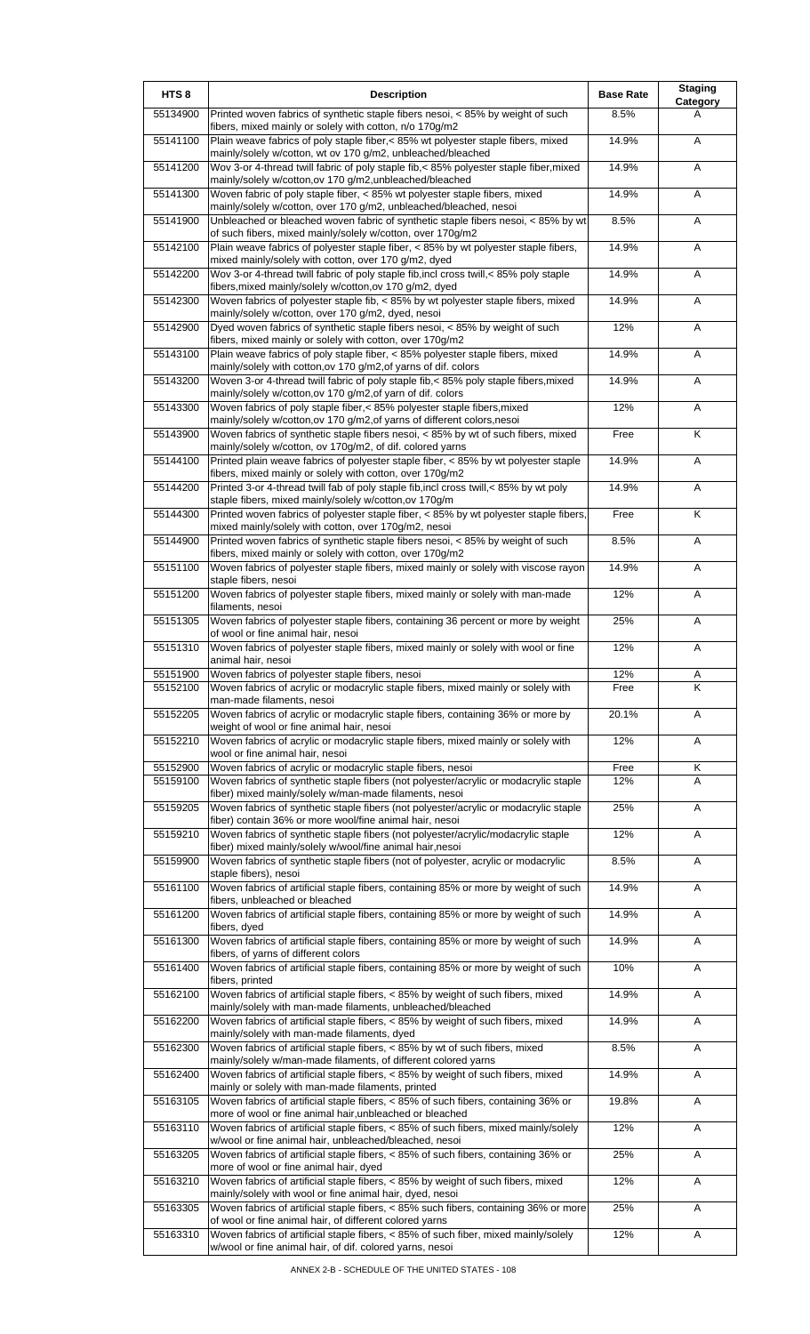| HTS <sub>8</sub> | <b>Description</b>                                                                                                                                            | <b>Base Rate</b> | <b>Staging</b><br>Category |
|------------------|---------------------------------------------------------------------------------------------------------------------------------------------------------------|------------------|----------------------------|
| 55134900         | Printed woven fabrics of synthetic staple fibers nesoi, < 85% by weight of such<br>fibers, mixed mainly or solely with cotton, n/o 170g/m2                    | 8.5%             | A                          |
| 55141100         | Plain weave fabrics of poly staple fiber,< 85% wt polyester staple fibers, mixed<br>mainly/solely w/cotton, wt ov 170 g/m2, unbleached/bleached               | 14.9%            | A                          |
| 55141200         | Wov 3-or 4-thread twill fabric of poly staple fib,< 85% polyester staple fiber, mixed<br>mainly/solely w/cotton,ov 170 g/m2,unbleached/bleached               | 14.9%            | Α                          |
| 55141300         | Woven fabric of poly staple fiber, < 85% wt polyester staple fibers, mixed                                                                                    | 14.9%            | Α                          |
| 55141900         | mainly/solely w/cotton, over 170 g/m2, unbleached/bleached, nesoi<br>Unbleached or bleached woven fabric of synthetic staple fibers nesoi, < 85% by wt        | 8.5%             | Α                          |
| 55142100         | of such fibers, mixed mainly/solely w/cotton, over 170g/m2<br>Plain weave fabrics of polyester staple fiber, < 85% by wt polyester staple fibers,             | 14.9%            | Α                          |
| 55142200         | mixed mainly/solely with cotton, over 170 g/m2, dyed<br>Wov 3-or 4-thread twill fabric of poly staple fib, incl cross twill, < 85% poly staple                | 14.9%            | A                          |
| 55142300         | fibers, mixed mainly/solely w/cotton, ov 170 g/m2, dyed<br>Woven fabrics of polyester staple fib, < 85% by wt polyester staple fibers, mixed                  | 14.9%            | Α                          |
| 55142900         | mainly/solely w/cotton, over 170 g/m2, dyed, nesoi<br>Dyed woven fabrics of synthetic staple fibers nesoi, < 85% by weight of such                            | 12%              | A                          |
| 55143100         | fibers, mixed mainly or solely with cotton, over 170g/m2<br>Plain weave fabrics of poly staple fiber, < 85% polyester staple fibers, mixed                    | 14.9%            | Α                          |
| 55143200         | mainly/solely with cotton, ov 170 g/m2, of yarns of dif. colors<br>Woven 3-or 4-thread twill fabric of poly staple fib.< 85% poly staple fibers, mixed        | 14.9%            | Α                          |
| 55143300         | mainly/solely w/cotton, ov 170 g/m2, of yarn of dif. colors<br>Woven fabrics of poly staple fiber,< 85% polyester staple fibers, mixed                        | 12%              | A                          |
| 55143900         | mainly/solely w/cotton, ov 170 g/m2, of yarns of different colors, nesoi<br>Woven fabrics of synthetic staple fibers nesoi, < 85% by wt of such fibers, mixed | Free             | K                          |
|                  | mainly/solely w/cotton, ov 170g/m2, of dif. colored yarns                                                                                                     |                  |                            |
| 55144100         | Printed plain weave fabrics of polyester staple fiber, < 85% by wt polyester staple<br>fibers, mixed mainly or solely with cotton, over 170g/m2               | 14.9%            | Α                          |
| 55144200         | Printed 3-or 4-thread twill fab of poly staple fib, incl cross twill, < 85% by wt poly<br>staple fibers, mixed mainly/solely w/cotton, ov 170g/m              | 14.9%            | Α                          |
| 55144300         | Printed woven fabrics of polyester staple fiber, < 85% by wt polyester staple fibers,<br>mixed mainly/solely with cotton, over 170g/m2, nesoi                 | Free             | K                          |
| 55144900         | Printed woven fabrics of synthetic staple fibers nesoi, < 85% by weight of such<br>fibers, mixed mainly or solely with cotton, over 170g/m2                   | 8.5%             | Α                          |
| 55151100         | Woven fabrics of polyester staple fibers, mixed mainly or solely with viscose rayon<br>staple fibers, nesoi                                                   | 14.9%            | A                          |
| 55151200         | Woven fabrics of polyester staple fibers, mixed mainly or solely with man-made<br>filaments, nesoi                                                            | 12%              | Α                          |
| 55151305         | Woven fabrics of polyester staple fibers, containing 36 percent or more by weight<br>of wool or fine animal hair, nesoi                                       | 25%              | Α                          |
| 55151310         | Woven fabrics of polyester staple fibers, mixed mainly or solely with wool or fine<br>animal hair, nesoi                                                      | 12%              | A                          |
| 55151900         | Woven fabrics of polyester staple fibers, nesoi                                                                                                               | 12%              | $\overline{A}$             |
| 55152100         | Woven fabrics of acrylic or modacrylic staple fibers, mixed mainly or solely with<br>man-made filaments, nesoi                                                | Free             | $\overline{\mathsf{K}}$    |
| 55152205         | Woven fabrics of acrylic or modacrylic staple fibers, containing 36% or more by<br>weight of wool or fine animal hair, nesoi                                  | 20.1%            | Α                          |
| 55152210         | Woven fabrics of acrylic or modacrylic staple fibers, mixed mainly or solely with<br>wool or fine animal hair, nesoi                                          | 12%              | A                          |
| 55152900         | Woven fabrics of acrylic or modacrylic staple fibers, nesoi                                                                                                   | Free             | Κ                          |
| 55159100         | Woven fabrics of synthetic staple fibers (not polyester/acrylic or modacrylic staple<br>fiber) mixed mainly/solely w/man-made filaments, nesoi                | 12%              | A                          |
| 55159205         | Woven fabrics of synthetic staple fibers (not polyester/acrylic or modacrylic staple<br>fiber) contain 36% or more wool/fine animal hair, nesoi               | 25%              | A                          |
| 55159210         | Woven fabrics of synthetic staple fibers (not polyester/acrylic/modacrylic staple<br>fiber) mixed mainly/solely w/wool/fine animal hair,nesoi                 | 12%              | A                          |
| 55159900         | Woven fabrics of synthetic staple fibers (not of polyester, acrylic or modacrylic                                                                             | 8.5%             | Α                          |
| 55161100         | staple fibers), nesoi<br>Woven fabrics of artificial staple fibers, containing 85% or more by weight of such                                                  | 14.9%            | Α                          |
| 55161200         | fibers, unbleached or bleached<br>Woven fabrics of artificial staple fibers, containing 85% or more by weight of such                                         | 14.9%            | Α                          |
| 55161300         | fibers, dyed<br>Woven fabrics of artificial staple fibers, containing 85% or more by weight of such                                                           | 14.9%            | Α                          |
| 55161400         | fibers, of yarns of different colors<br>Woven fabrics of artificial staple fibers, containing 85% or more by weight of such                                   | 10%              | Α                          |
| 55162100         | fibers, printed<br>Woven fabrics of artificial staple fibers, < 85% by weight of such fibers, mixed                                                           | 14.9%            | A                          |
| 55162200         | mainly/solely with man-made filaments, unbleached/bleached<br>Woven fabrics of artificial staple fibers, < 85% by weight of such fibers, mixed                | 14.9%            | A                          |
| 55162300         | mainly/solely with man-made filaments, dyed<br>Woven fabrics of artificial staple fibers, < 85% by wt of such fibers, mixed                                   | 8.5%             | Α                          |
| 55162400         | mainly/solely w/man-made filaments, of different colored yarns<br>Woven fabrics of artificial staple fibers, < 85% by weight of such fibers, mixed            | 14.9%            | A                          |
| 55163105         | mainly or solely with man-made filaments, printed<br>Woven fabrics of artificial staple fibers, < 85% of such fibers, containing 36% or                       | 19.8%            | Α                          |
| 55163110         | more of wool or fine animal hair, unbleached or bleached<br>Woven fabrics of artificial staple fibers, < 85% of such fibers, mixed mainly/solely              | 12%              | A                          |
| 55163205         | w/wool or fine animal hair, unbleached/bleached, nesoi<br>Woven fabrics of artificial staple fibers, < 85% of such fibers, containing 36% or                  | 25%              | Α                          |
| 55163210         | more of wool or fine animal hair, dyed<br>Woven fabrics of artificial staple fibers, < 85% by weight of such fibers, mixed                                    | 12%              | A                          |
|                  | mainly/solely with wool or fine animal hair, dyed, nesoi                                                                                                      |                  |                            |
| 55163305         | Woven fabrics of artificial staple fibers, < 85% such fibers, containing 36% or more<br>of wool or fine animal hair, of different colored yarns               | 25%              | Α                          |
| 55163310         | Woven fabrics of artificial staple fibers, < 85% of such fiber, mixed mainly/solely<br>w/wool or fine animal hair, of dif. colored yarns, nesoi               | 12%              | A                          |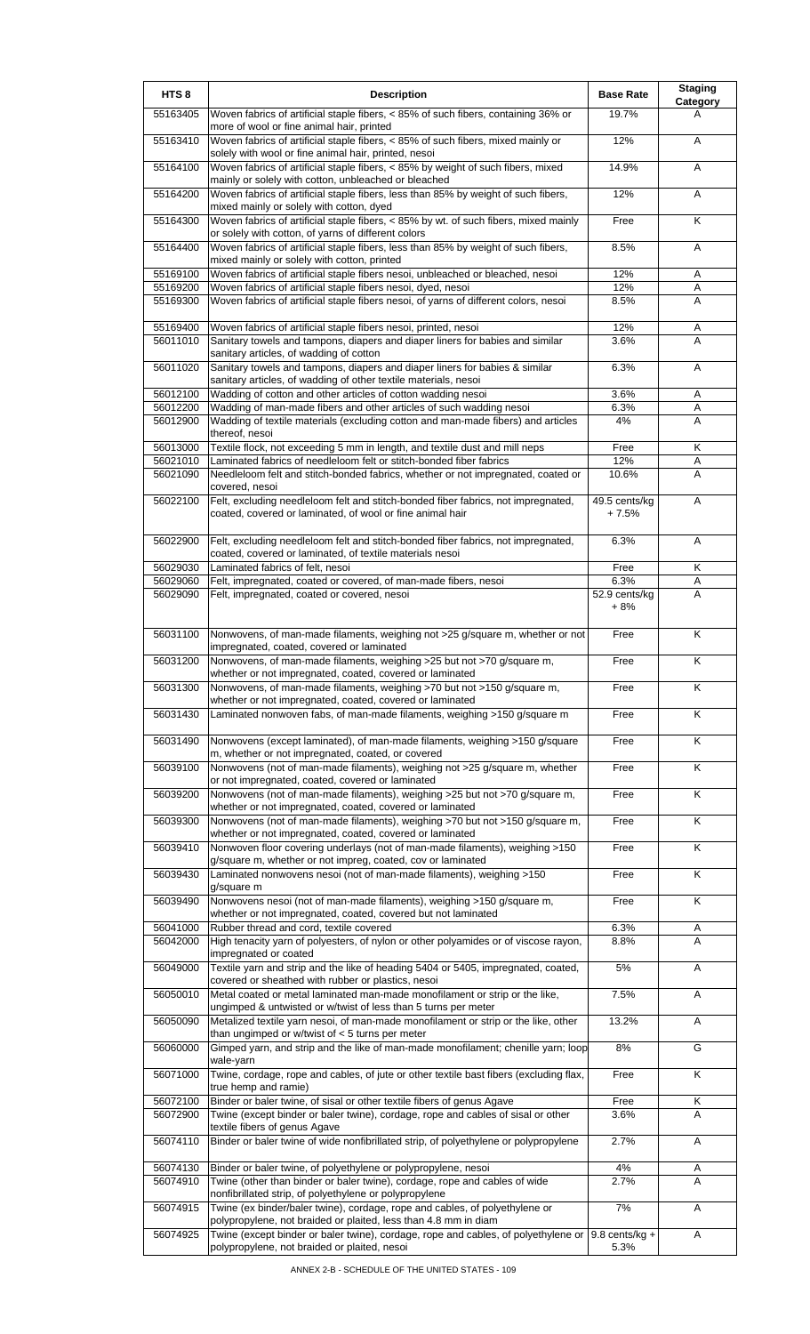| HTS <sub>8</sub>     | <b>Description</b>                                                                                                                                                                                        | <b>Base Rate</b>         | <b>Staging</b><br><b>Category</b> |
|----------------------|-----------------------------------------------------------------------------------------------------------------------------------------------------------------------------------------------------------|--------------------------|-----------------------------------|
| 55163405             | Woven fabrics of artificial staple fibers, < 85% of such fibers, containing 36% or<br>more of wool or fine animal hair, printed                                                                           | 19.7%                    | A                                 |
| 55163410             | Woven fabrics of artificial staple fibers, < 85% of such fibers, mixed mainly or<br>solely with wool or fine animal hair, printed, nesoi                                                                  | 12%                      | A                                 |
| 55164100             | Woven fabrics of artificial staple fibers, < 85% by weight of such fibers, mixed<br>mainly or solely with cotton, unbleached or bleached                                                                  | 14.9%                    | Α                                 |
| 55164200             | Woven fabrics of artificial staple fibers, less than 85% by weight of such fibers,<br>mixed mainly or solely with cotton, dyed                                                                            | 12%                      | A                                 |
| 55164300             | Woven fabrics of artificial staple fibers, < 85% by wt. of such fibers, mixed mainly<br>or solely with cotton, of yarns of different colors                                                               | Free                     | K                                 |
| 55164400             | Woven fabrics of artificial staple fibers, less than 85% by weight of such fibers,<br>mixed mainly or solely with cotton, printed                                                                         | 8.5%                     | Α                                 |
| 55169100             | Woven fabrics of artificial staple fibers nesoi, unbleached or bleached, nesoi                                                                                                                            | 12%                      | Α                                 |
| 55169200<br>55169300 | Woven fabrics of artificial staple fibers nesoi, dyed, nesoi<br>Woven fabrics of artificial staple fibers nesoi, of yarns of different colors, nesoi                                                      | 12%<br>8.5%              | Α<br>A                            |
|                      |                                                                                                                                                                                                           |                          |                                   |
| 55169400<br>56011010 | Woven fabrics of artificial staple fibers nesoi, printed, nesoi<br>Sanitary towels and tampons, diapers and diaper liners for babies and similar                                                          | 12%<br>3.6%              | Α<br>A                            |
|                      | sanitary articles, of wadding of cotton                                                                                                                                                                   |                          |                                   |
| 56011020             | Sanitary towels and tampons, diapers and diaper liners for babies & similar<br>sanitary articles, of wadding of other textile materials, nesoi                                                            | 6.3%                     | Α                                 |
| 56012100             | Wadding of cotton and other articles of cotton wadding nesoi                                                                                                                                              | 3.6%                     | Α                                 |
| 56012200             | Wadding of man-made fibers and other articles of such wadding nesoi                                                                                                                                       | 6.3%                     | A                                 |
| 56012900             | Wadding of textile materials (excluding cotton and man-made fibers) and articles<br>thereof, nesoi                                                                                                        | 4%                       | A                                 |
| 56013000             | Textile flock, not exceeding 5 mm in length, and textile dust and mill neps                                                                                                                               | Free                     | Κ                                 |
| 56021010             | Laminated fabrics of needleloom felt or stitch-bonded fiber fabrics                                                                                                                                       | 12%                      | Α                                 |
| 56021090             | Needleloom felt and stitch-bonded fabrics, whether or not impregnated, coated or<br>covered, nesoi                                                                                                        | 10.6%                    | A                                 |
| 56022100             | Felt, excluding needleloom felt and stitch-bonded fiber fabrics, not impregnated,<br>coated, covered or laminated, of wool or fine animal hair                                                            | 49.5 cents/kg<br>+ 7.5%  | Α                                 |
| 56022900             | Felt, excluding needleloom felt and stitch-bonded fiber fabrics, not impregnated,<br>coated, covered or laminated, of textile materials nesoi                                                             | 6.3%                     | Α                                 |
| 56029030             | Laminated fabrics of felt, nesoi                                                                                                                                                                          | Free                     | Κ                                 |
| 56029060             | Felt, impregnated, coated or covered, of man-made fibers, nesoi                                                                                                                                           | 6.3%                     | Α                                 |
| 56029090             | Felt, impregnated, coated or covered, nesoi                                                                                                                                                               | 52.9 cents/kg<br>$+8%$   | A                                 |
| 56031100             | Nonwovens, of man-made filaments, weighing not >25 g/square m, whether or not<br>impregnated, coated, covered or laminated                                                                                | Free                     | K                                 |
| 56031200             | Nonwovens, of man-made filaments, weighing >25 but not >70 g/square m,<br>whether or not impregnated, coated, covered or laminated                                                                        | Free                     | Κ                                 |
| 56031300             | Nonwovens, of man-made filaments, weighing >70 but not >150 g/square m,<br>whether or not impregnated, coated, covered or laminated                                                                       | Free                     | K                                 |
| 56031430             | Laminated nonwoven fabs, of man-made filaments, weighing >150 g/square m                                                                                                                                  | Free                     | K                                 |
| 56031490             | Nonwovens (except laminated), of man-made filaments, weighing >150 g/square<br>m, whether or not impregnated, coated, or covered                                                                          | Free                     | K                                 |
| 56039100             | Nonwovens (not of man-made filaments), weighing not >25 g/square m, whether<br>or not impregnated, coated, covered or laminated                                                                           | Free                     | $\overline{\mathsf{K}}$           |
| 56039200             | Nonwovens (not of man-made filaments), weighing >25 but not >70 g/square m,<br>whether or not impregnated, coated, covered or laminated                                                                   | Free                     | Κ                                 |
| 56039300             | Nonwovens (not of man-made filaments), weighing >70 but not >150 g/square m,<br>whether or not impregnated, coated, covered or laminated                                                                  | Free                     | $\overline{\mathsf{K}}$           |
| 56039410             | Nonwoven floor covering underlays (not of man-made filaments), weighing >150<br>g/square m, whether or not impreg, coated, cov or laminated                                                               | Free                     | $\overline{\mathsf{K}}$           |
| 56039430             | Laminated nonwovens nesoi (not of man-made filaments), weighing >150<br>g/square m                                                                                                                        | Free                     | K                                 |
| 56039490             | Nonwovens nesoi (not of man-made filaments), weighing >150 g/square m,<br>whether or not impregnated, coated, covered but not laminated                                                                   | Free                     | K                                 |
| 56041000<br>56042000 | Rubber thread and cord, textile covered<br>High tenacity yarn of polyesters, of nylon or other polyamides or of viscose rayon,                                                                            | 6.3%<br>8.8%             | Α<br>A                            |
| 56049000             | impregnated or coated<br>Textile yarn and strip and the like of heading 5404 or 5405, impregnated, coated,                                                                                                | 5%                       | A                                 |
| 56050010             | covered or sheathed with rubber or plastics, nesoi<br>Metal coated or metal laminated man-made monofilament or strip or the like,                                                                         | 7.5%                     | Α                                 |
| 56050090             | ungimped & untwisted or w/twist of less than 5 turns per meter<br>Metalized textile yarn nesoi, of man-made monofilament or strip or the like, other<br>than ungimped or w/twist of $<$ 5 turns per meter | 13.2%                    | Α                                 |
| 56060000             | Gimped yarn, and strip and the like of man-made monofilament; chenille yarn; loop<br>wale-yarn                                                                                                            | 8%                       | G                                 |
| 56071000             | Twine, cordage, rope and cables, of jute or other textile bast fibers (excluding flax,<br>true hemp and ramie)                                                                                            | Free                     | K                                 |
| 56072100<br>56072900 | Binder or baler twine, of sisal or other textile fibers of genus Agave<br>Twine (except binder or baler twine), cordage, rope and cables of sisal or other<br>textile fibers of genus Agave               | Free<br>3.6%             | Κ<br>A                            |
| 56074110             | Binder or baler twine of wide nonfibrillated strip, of polyethylene or polypropylene                                                                                                                      | 2.7%                     | Α                                 |
| 56074130             | Binder or baler twine, of polyethylene or polypropylene, nesoi                                                                                                                                            | 4%                       | Α                                 |
| 56074910             | Twine (other than binder or baler twine), cordage, rope and cables of wide                                                                                                                                | 2.7%                     | A                                 |
| 56074915             | nonfibrillated strip, of polyethylene or polypropylene<br>Twine (ex binder/baler twine), cordage, rope and cables, of polyethylene or<br>polypropylene, not braided or plaited, less than 4.8 mm in diam  | 7%                       | Α                                 |
| 56074925             | Twine (except binder or baler twine), cordage, rope and cables, of polyethylene or<br>polypropylene, not braided or plaited, nesoi                                                                        | $9.8$ cents/kg +<br>5.3% | Α                                 |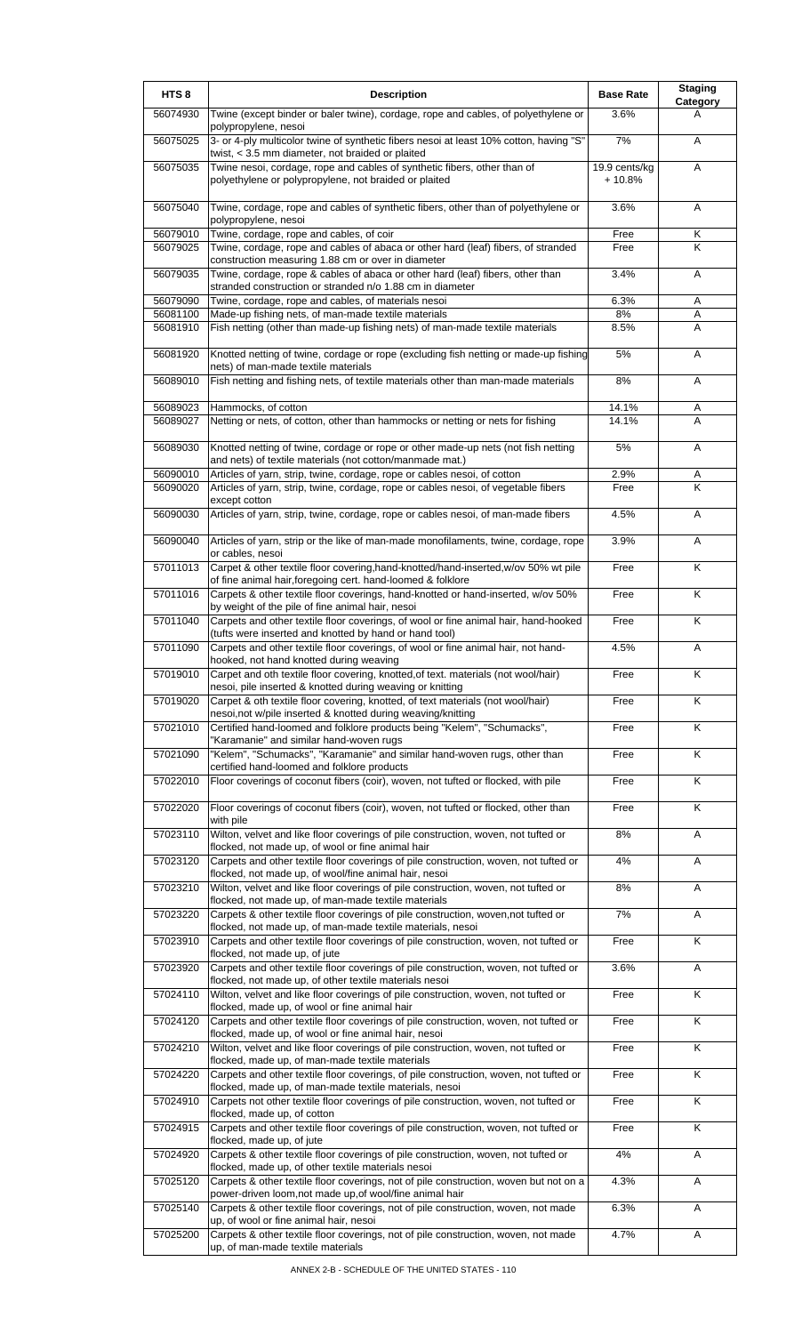| HTS <sub>8</sub>     | <b>Description</b>                                                                                                                                 | <b>Base Rate</b>          | <b>Staging</b><br>Category |
|----------------------|----------------------------------------------------------------------------------------------------------------------------------------------------|---------------------------|----------------------------|
| 56074930             | Twine (except binder or baler twine), cordage, rope and cables, of polyethylene or<br>polypropylene, nesoi                                         | 3.6%                      | A                          |
| 56075025             | 3- or 4-ply multicolor twine of synthetic fibers nesoi at least 10% cotton, having "S"<br>twist, < 3.5 mm diameter, not braided or plaited         | 7%                        | A                          |
| 56075035             | Twine nesoi, cordage, rope and cables of synthetic fibers, other than of<br>polyethylene or polypropylene, not braided or plaited                  | 19.9 cents/kg<br>$+10.8%$ | Α                          |
| 56075040             | Twine, cordage, rope and cables of synthetic fibers, other than of polyethylene or<br>polypropylene, nesoi                                         | 3.6%                      | Α                          |
| 56079010             | Twine, cordage, rope and cables, of coir                                                                                                           | Free                      | Κ                          |
| 56079025             | Twine, cordage, rope and cables of abaca or other hard (leaf) fibers, of stranded<br>construction measuring 1.88 cm or over in diameter            | Free                      | K                          |
| 56079035             | Twine, cordage, rope & cables of abaca or other hard (leaf) fibers, other than<br>stranded construction or stranded n/o 1.88 cm in diameter        | 3.4%                      | A                          |
| 56079090<br>56081100 | Twine, cordage, rope and cables, of materials nesoi<br>Made-up fishing nets, of man-made textile materials                                         | 6.3%<br>8%                | A<br>Α                     |
| 56081910             | Fish netting (other than made-up fishing nets) of man-made textile materials                                                                       | 8.5%                      | A                          |
| 56081920             | Knotted netting of twine, cordage or rope (excluding fish netting or made-up fishing<br>nets) of man-made textile materials                        | 5%                        | A                          |
| 56089010             | Fish netting and fishing nets, of textile materials other than man-made materials                                                                  | 8%                        | A                          |
| 56089023             | Hammocks, of cotton                                                                                                                                | 14.1%                     | Α                          |
| 56089027             | Netting or nets, of cotton, other than hammocks or netting or nets for fishing                                                                     | 14.1%                     | A                          |
| 56089030             | Knotted netting of twine, cordage or rope or other made-up nets (not fish netting<br>and nets) of textile materials (not cotton/manmade mat.)      | 5%                        | A                          |
| 56090010             | Articles of yarn, strip, twine, cordage, rope or cables nesoi, of cotton                                                                           | 2.9%                      | A                          |
| 56090020             | Articles of yarn, strip, twine, cordage, rope or cables nesoi, of vegetable fibers<br>except cotton                                                | Free                      | K                          |
| 56090030             | Articles of yarn, strip, twine, cordage, rope or cables nesoi, of man-made fibers                                                                  | 4.5%                      | A                          |
| 56090040             | Articles of yarn, strip or the like of man-made monofilaments, twine, cordage, rope<br>or cables, nesoi                                            | 3.9%                      | A                          |
| 57011013             | Carpet & other textile floor covering, hand-knotted/hand-inserted, w/ov 50% wt pile<br>of fine animal hair, foregoing cert. hand-loomed & folklore | Free                      | K                          |
| 57011016             | Carpets & other textile floor coverings, hand-knotted or hand-inserted, w/ov 50%<br>by weight of the pile of fine animal hair, nesoi               | Free                      | K                          |
| 57011040             | Carpets and other textile floor coverings, of wool or fine animal hair, hand-hooked<br>(tufts were inserted and knotted by hand or hand tool)      | Free                      | K                          |
| 57011090             | Carpets and other textile floor coverings, of wool or fine animal hair, not hand-<br>hooked, not hand knotted during weaving                       | 4.5%                      | Α                          |
| 57019010             | Carpet and oth textile floor covering, knotted,of text. materials (not wool/hair)<br>nesoi, pile inserted & knotted during weaving or knitting     | Free                      | ĸ                          |
| 57019020             | Carpet & oth textile floor covering, knotted, of text materials (not wool/hair)<br>nesoi, not w/pile inserted & knotted during weaving/knitting    | Free                      | Κ                          |
| 57021010             | Certified hand-loomed and folklore products being "Kelem", "Schumacks",<br>"Karamanie" and similar hand-woven rugs                                 | Free                      | K                          |
| 57021090             | "Kelem", "Schumacks", "Karamanie" and similar hand-woven rugs, other than<br>certified hand-loomed and folklore products                           | Free                      | K                          |
| 57022010             | Floor coverings of coconut fibers (coir), woven, not tufted or flocked, with pile                                                                  | Free                      | Κ                          |
| 57022020             | Floor coverings of coconut fibers (coir), woven, not tufted or flocked, other than<br>with pile                                                    | Free                      | K                          |
| 57023110             | Wilton, velvet and like floor coverings of pile construction, woven, not tufted or<br>flocked, not made up, of wool or fine animal hair            | 8%                        | Α                          |
| 57023120             | Carpets and other textile floor coverings of pile construction, woven, not tufted or<br>flocked, not made up, of wool/fine animal hair, nesoi      | 4%                        | Α                          |
| 57023210             | Wilton, velvet and like floor coverings of pile construction, woven, not tufted or<br>flocked, not made up, of man-made textile materials          | 8%                        | Α                          |
| 57023220             | Carpets & other textile floor coverings of pile construction, woven, not tufted or<br>flocked, not made up, of man-made textile materials, nesoi   | 7%                        | Α                          |
| 57023910             | Carpets and other textile floor coverings of pile construction, woven, not tufted or<br>flocked, not made up, of jute                              | Free                      | K                          |
| 57023920             | Carpets and other textile floor coverings of pile construction, woven, not tufted or<br>flocked, not made up, of other textile materials nesoi     | 3.6%                      | Α                          |
| 57024110             | Wilton, velvet and like floor coverings of pile construction, woven, not tufted or<br>flocked, made up, of wool or fine animal hair                | Free                      | K                          |
| 57024120             | Carpets and other textile floor coverings of pile construction, woven, not tufted or<br>flocked, made up, of wool or fine animal hair, nesoi       | Free                      | K                          |
| 57024210             | Wilton, velvet and like floor coverings of pile construction, woven, not tufted or<br>flocked, made up, of man-made textile materials              | Free                      | K                          |
| 57024220             | Carpets and other textile floor coverings, of pile construction, woven, not tufted or<br>flocked, made up, of man-made textile materials, nesoi    | Free                      | K                          |
| 57024910             | Carpets not other textile floor coverings of pile construction, woven, not tufted or<br>flocked, made up, of cotton                                | Free                      | $\overline{\mathsf{x}}$    |
| 57024915             | Carpets and other textile floor coverings of pile construction, woven, not tufted or<br>flocked, made up, of jute                                  | Free                      | K                          |
| 57024920             | Carpets & other textile floor coverings of pile construction, woven, not tufted or<br>flocked, made up, of other textile materials nesoi           | 4%                        | Α                          |
| 57025120             | Carpets & other textile floor coverings, not of pile construction, woven but not on a<br>power-driven loom, not made up, of wool/fine animal hair  | 4.3%                      | Α                          |
| 57025140             | Carpets & other textile floor coverings, not of pile construction, woven, not made<br>up, of wool or fine animal hair, nesoi                       | 6.3%                      | Α                          |
| 57025200             | Carpets & other textile floor coverings, not of pile construction, woven, not made<br>up, of man-made textile materials                            | 4.7%                      | Α                          |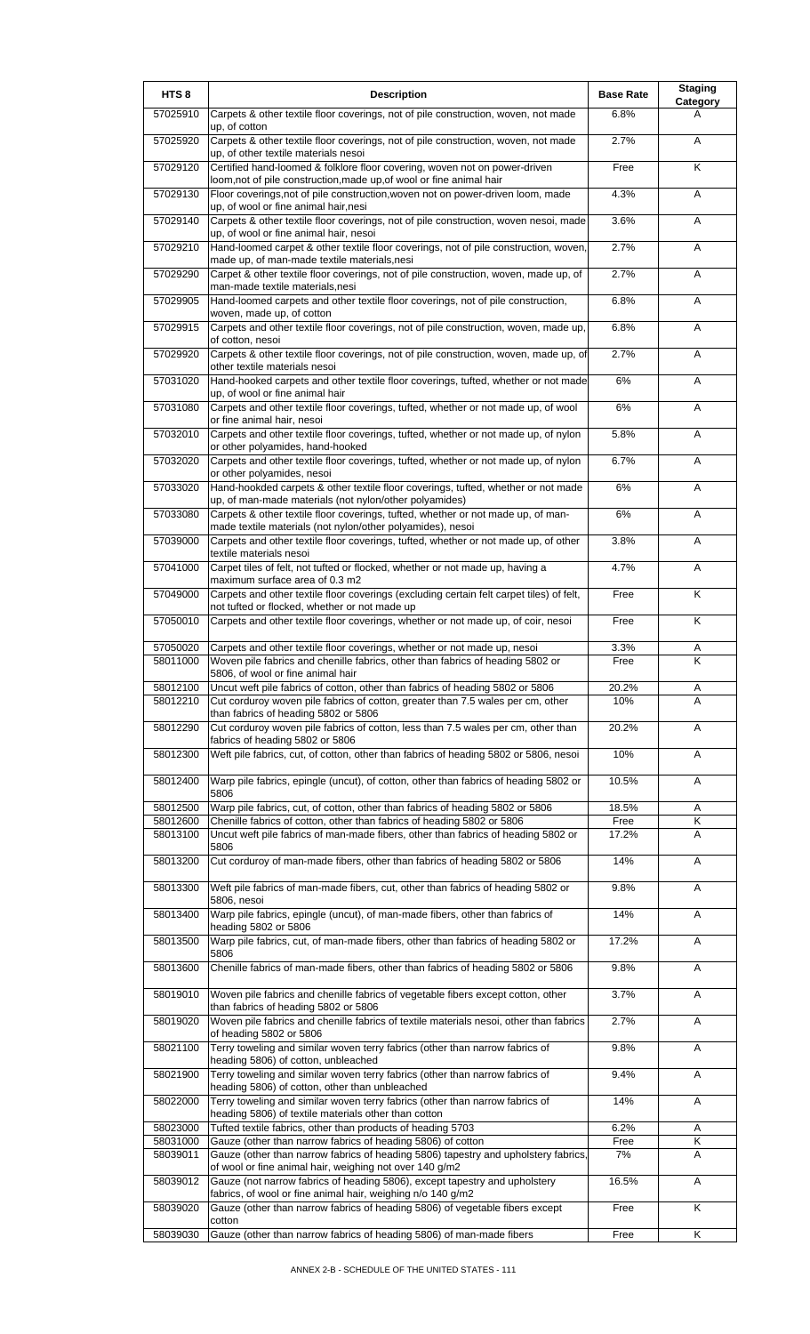| HTS <sub>8</sub>     | <b>Description</b>                                                                                                                                               | <b>Base Rate</b> | <b>Staging</b><br>Category   |
|----------------------|------------------------------------------------------------------------------------------------------------------------------------------------------------------|------------------|------------------------------|
| 57025910             | Carpets & other textile floor coverings, not of pile construction, woven, not made<br>up, of cotton                                                              | 6.8%             | A                            |
| 57025920             | Carpets & other textile floor coverings, not of pile construction, woven, not made<br>up, of other textile materials nesoi                                       | 2.7%             | A                            |
| 57029120             | Certified hand-loomed & folklore floor covering, woven not on power-driven<br>loom,not of pile construction,made up,of wool or fine animal hair                  | Free             | K                            |
| 57029130             | Floor coverings, not of pile construction, woven not on power-driven loom, made<br>up, of wool or fine animal hair, nesi                                         | 4.3%             | Α                            |
| 57029140             | Carpets & other textile floor coverings, not of pile construction, woven nesoi, made<br>up, of wool or fine animal hair, nesoi                                   | 3.6%             | A                            |
| 57029210             | Hand-loomed carpet & other textile floor coverings, not of pile construction, woven,<br>made up, of man-made textile materials, nesi                             | 2.7%             | Α                            |
| 57029290             | Carpet & other textile floor coverings, not of pile construction, woven, made up, of<br>man-made textile materials,nesi                                          | 2.7%             | Α                            |
| 57029905             | Hand-loomed carpets and other textile floor coverings, not of pile construction,<br>woven, made up, of cotton                                                    | 6.8%             | Α                            |
| 57029915             | Carpets and other textile floor coverings, not of pile construction, woven, made up,<br>of cotton, nesoi                                                         | 6.8%             | A                            |
| 57029920             | Carpets & other textile floor coverings, not of pile construction, woven, made up, of<br>other textile materials nesoi                                           | 2.7%             | A                            |
| 57031020             | Hand-hooked carpets and other textile floor coverings, tufted, whether or not made<br>up, of wool or fine animal hair                                            | $6\%$            | Α                            |
| 57031080             | Carpets and other textile floor coverings, tufted, whether or not made up, of wool<br>or fine animal hair, nesoi                                                 | 6%               | A                            |
| 57032010             | Carpets and other textile floor coverings, tufted, whether or not made up, of nylon<br>or other polyamides, hand-hooked                                          | 5.8%             | A                            |
| 57032020             | Carpets and other textile floor coverings, tufted, whether or not made up, of nylon<br>or other polyamides, nesoi                                                | 6.7%             | Α                            |
| 57033020             | Hand-hookded carpets & other textile floor coverings, tufted, whether or not made<br>up, of man-made materials (not nylon/other polyamides)                      | 6%               | A                            |
| 57033080             | Carpets & other textile floor coverings, tufted, whether or not made up, of man-<br>made textile materials (not nylon/other polyamides), nesoi                   | 6%               | A                            |
| 57039000             | Carpets and other textile floor coverings, tufted, whether or not made up, of other<br>textile materials nesoi                                                   | 3.8%             | Α                            |
| 57041000             | Carpet tiles of felt, not tufted or flocked, whether or not made up, having a<br>maximum surface area of 0.3 m2                                                  | 4.7%             | Α                            |
| 57049000             | Carpets and other textile floor coverings (excluding certain felt carpet tiles) of felt,<br>not tufted or flocked, whether or not made up                        | Free             | K                            |
| 57050010             | Carpets and other textile floor coverings, whether or not made up, of coir, nesoi                                                                                | Free             | Κ                            |
| 57050020             | Carpets and other textile floor coverings, whether or not made up, nesoi                                                                                         | 3.3%             | Α                            |
| 58011000             | Woven pile fabrics and chenille fabrics, other than fabrics of heading 5802 or<br>5806, of wool or fine animal hair                                              | Free             | K                            |
| 58012100<br>58012210 | Uncut weft pile fabrics of cotton, other than fabrics of heading 5802 or 5806<br>Cut corduroy woven pile fabrics of cotton, greater than 7.5 wales per cm, other | 20.2%<br>10%     | A<br>A                       |
| 58012290             | than fabrics of heading 5802 or 5806<br>Cut corduroy woven pile fabrics of cotton, less than 7.5 wales per cm, other than                                        | 20.2%            | A                            |
| 58012300             | fabrics of heading 5802 or 5806<br>Weft pile fabrics, cut, of cotton, other than fabrics of heading 5802 or 5806, nesoi                                          | 10%              | Α                            |
| 58012400             | Warp pile fabrics, epingle (uncut), of cotton, other than fabrics of heading 5802 or                                                                             | 10.5%            | A                            |
| 58012500             | 5806<br>Warp pile fabrics, cut, of cotton, other than fabrics of heading 5802 or 5806                                                                            | 18.5%            | Α                            |
| 58012600<br>58013100 | Chenille fabrics of cotton, other than fabrics of heading 5802 or 5806<br>Uncut weft pile fabrics of man-made fibers, other than fabrics of heading 5802 or      | Free<br>17.2%    | $\overline{\mathsf{K}}$<br>A |
|                      | 5806                                                                                                                                                             |                  |                              |
| 58013200             | Cut corduroy of man-made fibers, other than fabrics of heading 5802 or 5806                                                                                      | 14%              | Α                            |
| 58013300             | Weft pile fabrics of man-made fibers, cut, other than fabrics of heading 5802 or<br>5806, nesoi                                                                  | 9.8%             | A                            |
| 58013400             | Warp pile fabrics, epingle (uncut), of man-made fibers, other than fabrics of<br>heading 5802 or 5806                                                            | 14%              | Α                            |
| 58013500             | Warp pile fabrics, cut, of man-made fibers, other than fabrics of heading 5802 or<br>5806                                                                        | 17.2%            | Α                            |
| 58013600             | Chenille fabrics of man-made fibers, other than fabrics of heading 5802 or 5806                                                                                  | 9.8%             | A                            |
| 58019010             | Woven pile fabrics and chenille fabrics of vegetable fibers except cotton, other<br>than fabrics of heading 5802 or 5806                                         | 3.7%             | Α                            |
| 58019020             | Woven pile fabrics and chenille fabrics of textile materials nesoi, other than fabrics<br>of heading 5802 or 5806                                                | 2.7%             | Α                            |
| 58021100             | Terry toweling and similar woven terry fabrics (other than narrow fabrics of<br>heading 5806) of cotton, unbleached                                              | 9.8%             | Α                            |
| 58021900             | Terry toweling and similar woven terry fabrics (other than narrow fabrics of<br>heading 5806) of cotton, other than unbleached                                   | 9.4%             | A                            |
| 58022000             | Terry toweling and similar woven terry fabrics (other than narrow fabrics of<br>heading 5806) of textile materials other than cotton                             | 14%              | Α                            |
| 58023000             | Tufted textile fabrics, other than products of heading 5703                                                                                                      | 6.2%             | Α                            |
| 58031000<br>58039011 | Gauze (other than narrow fabrics of heading 5806) of cotton<br>Gauze (other than narrow fabrics of heading 5806) tapestry and upholstery fabrics                 | Free<br>7%       | Κ<br>A                       |
| 58039012             | of wool or fine animal hair, weighing not over 140 g/m2<br>Gauze (not narrow fabrics of heading 5806), except tapestry and upholstery                            | 16.5%            | A                            |
| 58039020             | fabrics, of wool or fine animal hair, weighing n/o 140 g/m2<br>Gauze (other than narrow fabrics of heading 5806) of vegetable fibers except                      | Free             | K                            |
| 58039030             | cotton<br>Gauze (other than narrow fabrics of heading 5806) of man-made fibers                                                                                   | Free             | Κ                            |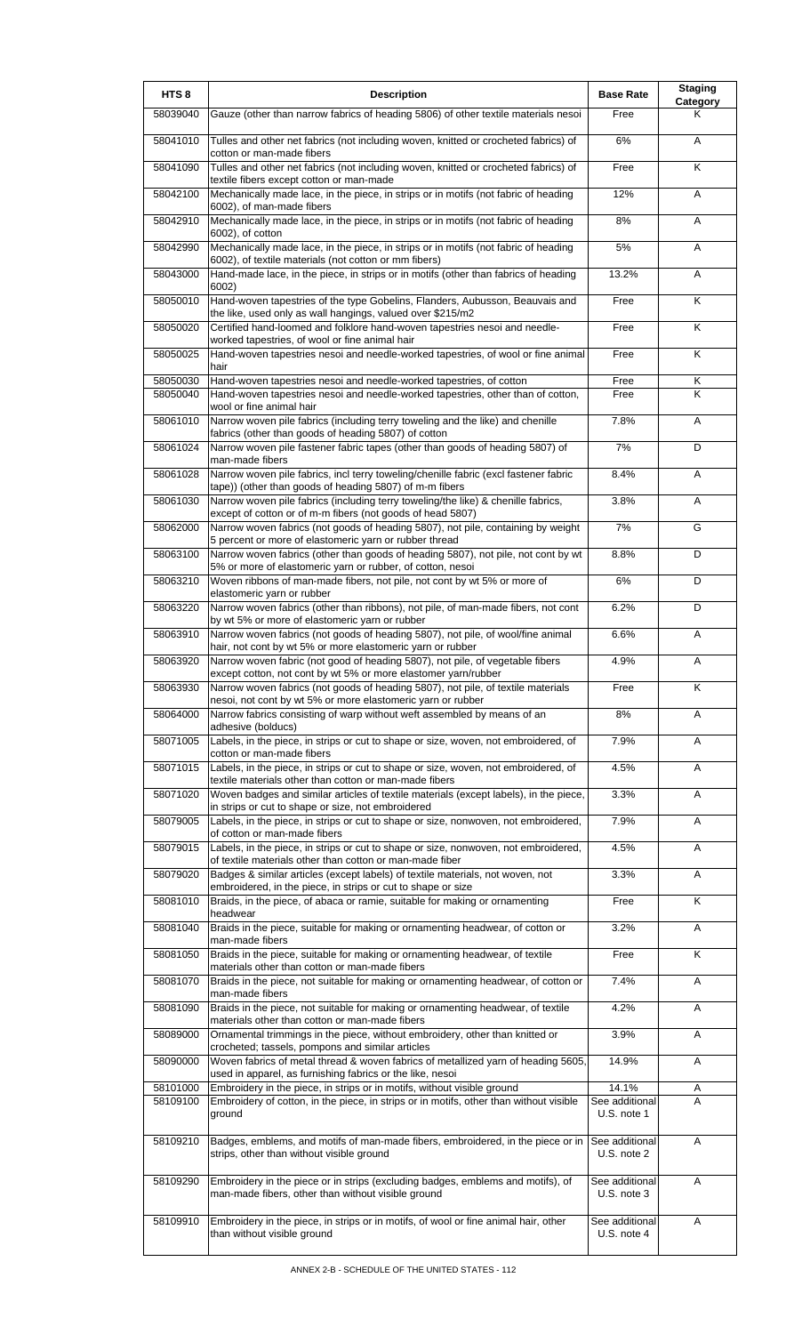| HTS <sub>8</sub> | <b>Description</b>                                                                                                                              | <b>Base Rate</b>              | <b>Staging</b><br>Category |
|------------------|-------------------------------------------------------------------------------------------------------------------------------------------------|-------------------------------|----------------------------|
| 58039040         | Gauze (other than narrow fabrics of heading 5806) of other textile materials nesoi                                                              | Free                          | Κ                          |
| 58041010         | Tulles and other net fabrics (not including woven, knitted or crocheted fabrics) of<br>cotton or man-made fibers                                | 6%                            | A                          |
| 58041090         | Tulles and other net fabrics (not including woven, knitted or crocheted fabrics) of<br>textile fibers except cotton or man-made                 | Free                          | Κ                          |
| 58042100         | Mechanically made lace, in the piece, in strips or in motifs (not fabric of heading<br>6002), of man-made fibers                                | 12%                           | Α                          |
| 58042910         | Mechanically made lace, in the piece, in strips or in motifs (not fabric of heading<br>6002), of cotton                                         | 8%                            | Α                          |
| 58042990         | Mechanically made lace, in the piece, in strips or in motifs (not fabric of heading<br>6002), of textile materials (not cotton or mm fibers)    | 5%                            | Α                          |
| 58043000         | Hand-made lace, in the piece, in strips or in motifs (other than fabrics of heading<br>6002)                                                    | 13.2%                         | A                          |
| 58050010         | Hand-woven tapestries of the type Gobelins, Flanders, Aubusson, Beauvais and<br>the like, used only as wall hangings, valued over \$215/m2      | Free                          | Κ                          |
| 58050020         | Certified hand-loomed and folklore hand-woven tapestries nesoi and needle-<br>worked tapestries, of wool or fine animal hair                    | Free                          | Κ                          |
| 58050025         | Hand-woven tapestries nesoi and needle-worked tapestries, of wool or fine animal<br>hair                                                        | Free                          | Κ                          |
| 58050030         | Hand-woven tapestries nesoi and needle-worked tapestries, of cotton                                                                             | Free                          | Κ                          |
| 58050040         | Hand-woven tapestries nesoi and needle-worked tapestries, other than of cotton,<br>wool or fine animal hair                                     | Free                          | K                          |
| 58061010         | Narrow woven pile fabrics (including terry toweling and the like) and chenille<br>fabrics (other than goods of heading 5807) of cotton          | 7.8%                          | Α                          |
| 58061024         | Narrow woven pile fastener fabric tapes (other than goods of heading 5807) of<br>man-made fibers                                                | 7%                            | D                          |
| 58061028         | Narrow woven pile fabrics, incl terry toweling/chenille fabric (excl fastener fabric<br>tape)) (other than goods of heading 5807) of m-m fibers | 8.4%                          | A                          |
| 58061030         | Narrow woven pile fabrics (including terry toweling/the like) & chenille fabrics,<br>except of cotton or of m-m fibers (not goods of head 5807) | 3.8%                          | Α                          |
| 58062000         | Narrow woven fabrics (not goods of heading 5807), not pile, containing by weight<br>5 percent or more of elastomeric yarn or rubber thread      | 7%                            | G                          |
| 58063100         | Narrow woven fabrics (other than goods of heading 5807), not pile, not cont by wt<br>5% or more of elastomeric yarn or rubber, of cotton, nesoi | 8.8%                          | D                          |
| 58063210         | Woven ribbons of man-made fibers, not pile, not cont by wt 5% or more of<br>elastomeric yarn or rubber                                          | 6%                            | D                          |
| 58063220         | Narrow woven fabrics (other than ribbons), not pile, of man-made fibers, not cont<br>by wt 5% or more of elastomeric yarn or rubber             | 6.2%                          | D                          |
| 58063910         | Narrow woven fabrics (not goods of heading 5807), not pile, of wool/fine animal<br>hair, not cont by wt 5% or more elastomeric yarn or rubber   | 6.6%                          | Α                          |
| 58063920         | Narrow woven fabric (not good of heading 5807), not pile, of vegetable fibers<br>except cotton, not cont by wt 5% or more elastomer yarn/rubber | 4.9%                          | Α                          |
| 58063930         | Narrow woven fabrics (not goods of heading 5807), not pile, of textile materials<br>nesoi, not cont by wt 5% or more elastomeric yarn or rubber | Free                          | K                          |
| 58064000         | Narrow fabrics consisting of warp without weft assembled by means of an<br>adhesive (bolducs)                                                   | 8%                            | Α                          |
| 58071005         | Labels, in the piece, in strips or cut to shape or size, woven, not embroidered, of<br>cotton or man-made fibers                                | 7.9%                          | A                          |
| 58071015         | Labels, in the piece, in strips or cut to shape or size, woven, not embroidered, of<br>textile materials other than cotton or man-made fibers   | 4.5%                          | Α                          |
| 58071020         | Woven badges and similar articles of textile materials (except labels), in the piece,<br>in strips or cut to shape or size, not embroidered     | 3.3%                          | Α                          |
| 58079005         | Labels, in the piece, in strips or cut to shape or size, nonwoven, not embroidered,<br>of cotton or man-made fibers                             | 7.9%                          | Α                          |
| 58079015         | Labels, in the piece, in strips or cut to shape or size, nonwoven, not embroidered,<br>of textile materials other than cotton or man-made fiber | 4.5%                          | A                          |
| 58079020         | Badges & similar articles (except labels) of textile materials, not woven, not                                                                  | 3.3%                          | Α                          |
| 58081010         | embroidered, in the piece, in strips or cut to shape or size<br>Braids, in the piece, of abaca or ramie, suitable for making or ornamenting     | Free                          | K                          |
| 58081040         | headwear<br>Braids in the piece, suitable for making or ornamenting headwear, of cotton or                                                      | 3.2%                          | Α                          |
| 58081050         | man-made fibers<br>Braids in the piece, suitable for making or ornamenting headwear, of textile                                                 | Free                          | Κ                          |
| 58081070         | materials other than cotton or man-made fibers<br>Braids in the piece, not suitable for making or ornamenting headwear, of cotton or            | 7.4%                          | A                          |
| 58081090         | man-made fibers<br>Braids in the piece, not suitable for making or ornamenting headwear, of textile                                             | 4.2%                          | Α                          |
| 58089000         | materials other than cotton or man-made fibers<br>Ornamental trimmings in the piece, without embroidery, other than knitted or                  | 3.9%                          | A                          |
| 58090000         | crocheted; tassels, pompons and similar articles<br>Woven fabrics of metal thread & woven fabrics of metallized yarn of heading 5605,           | 14.9%                         | A                          |
| 58101000         | used in apparel, as furnishing fabrics or the like, nesoi<br>Embroidery in the piece, in strips or in motifs, without visible ground            | 14.1%                         | Α                          |
| 58109100         | Embroidery of cotton, in the piece, in strips or in motifs, other than without visible<br>ground                                                | See additional<br>U.S. note 1 | A                          |
| 58109210         | Badges, emblems, and motifs of man-made fibers, embroidered, in the piece or in                                                                 | See additional                | A                          |
|                  | strips, other than without visible ground                                                                                                       | U.S. note 2                   |                            |
| 58109290         | Embroidery in the piece or in strips (excluding badges, emblems and motifs), of<br>man-made fibers, other than without visible ground           | See additional<br>U.S. note 3 | A                          |
| 58109910         | Embroidery in the piece, in strips or in motifs, of wool or fine animal hair, other<br>than without visible ground                              | See additional<br>U.S. note 4 | Α                          |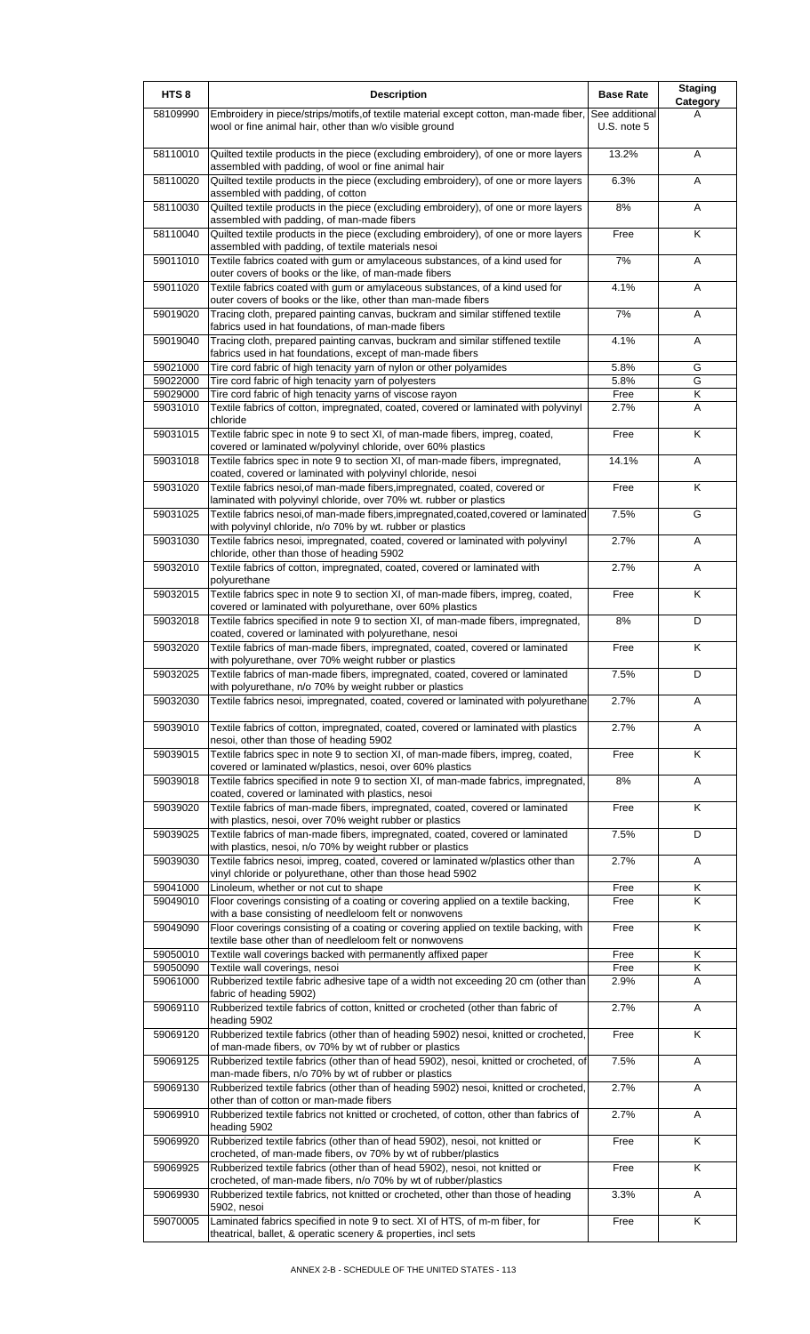| HTS <sub>8</sub>     | <b>Description</b>                                                                                                                                                                                               | <b>Base Rate</b>              | <b>Staging</b><br>Category |
|----------------------|------------------------------------------------------------------------------------------------------------------------------------------------------------------------------------------------------------------|-------------------------------|----------------------------|
| 58109990             | Embroidery in piece/strips/motifs, of textile material except cotton, man-made fiber,<br>wool or fine animal hair, other than w/o visible ground                                                                 | See additional<br>U.S. note 5 | А                          |
| 58110010             | Quilted textile products in the piece (excluding embroidery), of one or more layers<br>assembled with padding, of wool or fine animal hair                                                                       | 13.2%                         | A                          |
| 58110020             | Quilted textile products in the piece (excluding embroidery), of one or more layers<br>assembled with padding, of cotton                                                                                         | 6.3%                          | A                          |
| 58110030             | Quilted textile products in the piece (excluding embroidery), of one or more layers<br>assembled with padding, of man-made fibers                                                                                | 8%                            | Α                          |
| 58110040             | Quilted textile products in the piece (excluding embroidery), of one or more layers<br>assembled with padding, of textile materials nesoi                                                                        | Free                          | K                          |
| 59011010             | Textile fabrics coated with gum or amylaceous substances, of a kind used for<br>outer covers of books or the like, of man-made fibers                                                                            | 7%                            | A                          |
| 59011020             | Textile fabrics coated with gum or amylaceous substances, of a kind used for<br>outer covers of books or the like, other than man-made fibers                                                                    | 4.1%                          | Α                          |
| 59019020             | Tracing cloth, prepared painting canvas, buckram and similar stiffened textile<br>fabrics used in hat foundations, of man-made fibers                                                                            | 7%                            | A                          |
| 59019040             | Tracing cloth, prepared painting canvas, buckram and similar stiffened textile<br>fabrics used in hat foundations, except of man-made fibers                                                                     | 4.1%                          | Α                          |
| 59021000             | Tire cord fabric of high tenacity yarn of nylon or other polyamides                                                                                                                                              | 5.8%                          | G                          |
| 59022000             | Tire cord fabric of high tenacity yarn of polyesters                                                                                                                                                             | 5.8%                          | G                          |
| 59029000             | Tire cord fabric of high tenacity yarns of viscose rayon                                                                                                                                                         | Free                          | Κ                          |
| 59031010             | Textile fabrics of cotton, impregnated, coated, covered or laminated with polyvinyl<br>chloride                                                                                                                  | 2.7%                          | A                          |
| 59031015             | Textile fabric spec in note 9 to sect XI, of man-made fibers, impreg, coated,<br>covered or laminated w/polyvinyl chloride, over 60% plastics                                                                    | Free                          | Κ                          |
| 59031018             | Textile fabrics spec in note 9 to section XI, of man-made fibers, impregnated,<br>coated, covered or laminated with polyvinyl chloride, nesoi                                                                    | 14.1%                         | Α                          |
| 59031020             | Textile fabrics nesoi, of man-made fibers, impregnated, coated, covered or<br>laminated with polyvinyl chloride, over 70% wt. rubber or plastics                                                                 | Free                          | K                          |
| 59031025             | Textile fabrics nesoi, of man-made fibers, impregnated, coated, covered or laminated<br>with polyvinyl chloride, n/o 70% by wt. rubber or plastics                                                               | 7.5%                          | G                          |
| 59031030             | Textile fabrics nesoi, impregnated, coated, covered or laminated with polyvinyl<br>chloride, other than those of heading 5902                                                                                    | 2.7%                          | Α                          |
| 59032010             | Textile fabrics of cotton, impregnated, coated, covered or laminated with                                                                                                                                        | 2.7%                          | Α                          |
| 59032015             | polyurethane<br>Textile fabrics spec in note 9 to section XI, of man-made fibers, impreg, coated,<br>covered or laminated with polyurethane, over 60% plastics                                                   | Free                          | K                          |
| 59032018             | Textile fabrics specified in note 9 to section XI, of man-made fibers, impregnated,<br>coated, covered or laminated with polyurethane, nesoi                                                                     | 8%                            | D                          |
| 59032020             | Textile fabrics of man-made fibers, impregnated, coated, covered or laminated<br>with polyurethane, over 70% weight rubber or plastics                                                                           | Free                          | K                          |
| 59032025             | Textile fabrics of man-made fibers, impregnated, coated, covered or laminated<br>with polyurethane, n/o 70% by weight rubber or plastics                                                                         | 7.5%                          | D                          |
| 59032030             | Textile fabrics nesoi, impregnated, coated, covered or laminated with polyurethane                                                                                                                               | 2.7%                          | A                          |
| 59039010             | Textile fabrics of cotton, impregnated, coated, covered or laminated with plastics<br>nesoi, other than those of heading 5902                                                                                    | 2.7%                          | A                          |
| 59039015             | Textile fabrics spec in note 9 to section XI, of man-made fibers, impreg, coated,<br>covered or laminated w/plastics, nesoi, over 60% plastics                                                                   | Free                          | K                          |
| 59039018             | Textile fabrics specified in note 9 to section XI, of man-made fabrics, impregnated,<br>coated, covered or laminated with plastics, nesoi                                                                        | 8%                            | Α                          |
| 59039020             | Textile fabrics of man-made fibers, impregnated, coated, covered or laminated<br>with plastics, nesoi, over 70% weight rubber or plastics                                                                        | Free                          | Κ                          |
| 59039025             | Textile fabrics of man-made fibers, impregnated, coated, covered or laminated                                                                                                                                    | 7.5%                          | D                          |
| 59039030             | with plastics, nesoi, n/o 70% by weight rubber or plastics<br>Textile fabrics nesoi, impreg, coated, covered or laminated w/plastics other than                                                                  | 2.7%                          | Α                          |
| 59041000             | vinyl chloride or polyurethane, other than those head 5902<br>Linoleum, whether or not cut to shape                                                                                                              | Free                          | Κ                          |
| 59049010             | Floor coverings consisting of a coating or covering applied on a textile backing,<br>with a base consisting of needleloom felt or nonwovens                                                                      | Free                          | Κ                          |
| 59049090             | Floor coverings consisting of a coating or covering applied on textile backing, with<br>textile base other than of needleloom felt or nonwovens                                                                  | Free                          | K                          |
| 59050010             | Textile wall coverings backed with permanently affixed paper                                                                                                                                                     | Free                          | Κ                          |
| 59050090<br>59061000 | Textile wall coverings, nesoi<br>Rubberized textile fabric adhesive tape of a width not exceeding 20 cm (other than                                                                                              | Free<br>2.9%                  | Κ<br>A                     |
| 59069110             | fabric of heading 5902)<br>Rubberized textile fabrics of cotton, knitted or crocheted (other than fabric of                                                                                                      | 2.7%                          | Α                          |
| 59069120             | heading 5902<br>Rubberized textile fabrics (other than of heading 5902) nesoi, knitted or crocheted,                                                                                                             | Free                          | K                          |
| 59069125             | of man-made fibers, ov 70% by wt of rubber or plastics<br>Rubberized textile fabrics (other than of head 5902), nesoi, knitted or crocheted, of                                                                  | 7.5%                          | Α                          |
| 59069130             | man-made fibers, n/o 70% by wt of rubber or plastics<br>Rubberized textile fabrics (other than of heading 5902) nesoi, knitted or crocheted,                                                                     | 2.7%                          | Α                          |
| 59069910             | other than of cotton or man-made fibers<br>Rubberized textile fabrics not knitted or crocheted, of cotton, other than fabrics of                                                                                 | 2.7%                          | Α                          |
| 59069920             | heading 5902<br>Rubberized textile fabrics (other than of head 5902), nesoi, not knitted or                                                                                                                      | Free                          | K                          |
| 59069925             | crocheted, of man-made fibers, ov 70% by wt of rubber/plastics<br>Rubberized textile fabrics (other than of head 5902), nesoi, not knitted or<br>crocheted, of man-made fibers, n/o 70% by wt of rubber/plastics | Free                          | Κ                          |
| 59069930             | Rubberized textile fabrics, not knitted or crocheted, other than those of heading                                                                                                                                | 3.3%                          | Α                          |
| 59070005             | 5902, nesoi<br>Laminated fabrics specified in note 9 to sect. XI of HTS, of m-m fiber, for<br>theatrical, ballet, & operatic scenery & properties, incl sets                                                     | Free                          | K                          |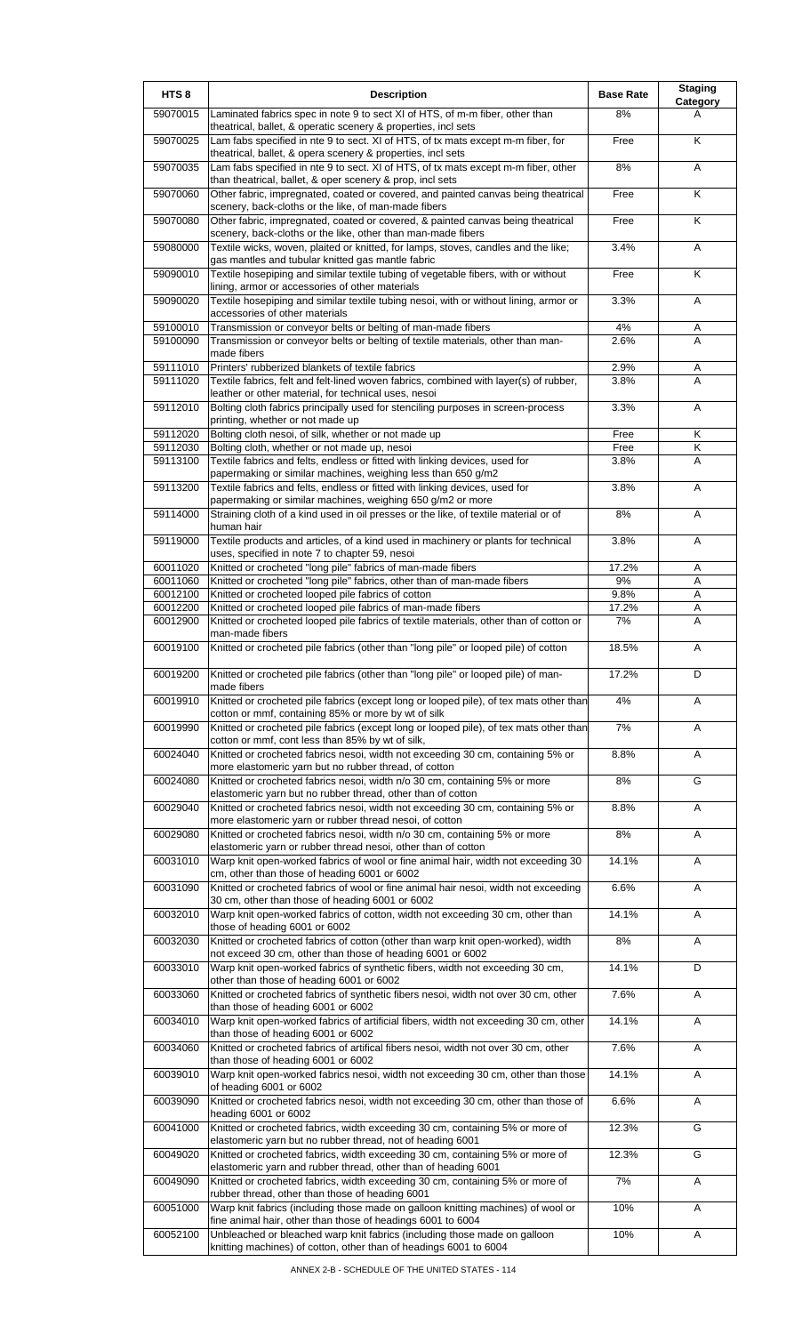| HTS <sub>8</sub>     | <b>Description</b>                                                                                                                                                                                     | <b>Base Rate</b> | <b>Staging</b><br>Category |
|----------------------|--------------------------------------------------------------------------------------------------------------------------------------------------------------------------------------------------------|------------------|----------------------------|
| 59070015             | Laminated fabrics spec in note 9 to sect XI of HTS, of m-m fiber, other than<br>theatrical, ballet, & operatic scenery & properties, incl sets                                                         | 8%               | A                          |
| 59070025             | Lam fabs specified in nte 9 to sect. XI of HTS, of tx mats except m-m fiber, for                                                                                                                       | Free             | K                          |
| 59070035             | theatrical, ballet, & opera scenery & properties, incl sets<br>Lam fabs specified in nte 9 to sect. XI of HTS, of tx mats except m-m fiber, other                                                      | 8%               | A                          |
| 59070060             | than theatrical, ballet, & oper scenery & prop, incl sets<br>Other fabric, impregnated, coated or covered, and painted canvas being theatrical<br>scenery, back-cloths or the like, of man-made fibers | Free             | K                          |
| 59070080             | Other fabric, impregnated, coated or covered, & painted canvas being theatrical<br>scenery, back-cloths or the like, other than man-made fibers                                                        | Free             | K                          |
| 59080000             | Textile wicks, woven, plaited or knitted, for lamps, stoves, candles and the like;<br>gas mantles and tubular knitted gas mantle fabric                                                                | 3.4%             | A                          |
| 59090010             | Textile hosepiping and similar textile tubing of vegetable fibers, with or without<br>lining, armor or accessories of other materials                                                                  | Free             | K                          |
| 59090020             | Textile hosepiping and similar textile tubing nesoi, with or without lining, armor or<br>accessories of other materials                                                                                | 3.3%             | A                          |
| 59100010<br>59100090 | Transmission or conveyor belts or belting of man-made fibers<br>Transmission or conveyor belts or belting of textile materials, other than man-                                                        | 4%<br>2.6%       | A<br>A                     |
| 59111010             | made fibers<br>Printers' rubberized blankets of textile fabrics                                                                                                                                        | 2.9%             | Α                          |
| 59111020             | Textile fabrics, felt and felt-lined woven fabrics, combined with layer(s) of rubber,                                                                                                                  | 3.8%             | A                          |
| 59112010             | leather or other material, for technical uses, nesoi<br>Bolting cloth fabrics principally used for stenciling purposes in screen-process                                                               | 3.3%             | A                          |
| 59112020             | printing, whether or not made up<br>Bolting cloth nesoi, of silk, whether or not made up                                                                                                               | Free             | Κ                          |
| 59112030             | Bolting cloth, whether or not made up, nesoi                                                                                                                                                           | Free             | Κ                          |
| 59113100             | Textile fabrics and felts, endless or fitted with linking devices, used for                                                                                                                            | 3.8%             | A                          |
| 59113200             | papermaking or similar machines, weighing less than 650 g/m2<br>Textile fabrics and felts, endless or fitted with linking devices, used for                                                            | 3.8%             | A                          |
| 59114000             | papermaking or similar machines, weighing 650 g/m2 or more<br>Straining cloth of a kind used in oil presses or the like, of textile material or of                                                     | 8%               | A                          |
|                      | human hair                                                                                                                                                                                             |                  |                            |
| 59119000             | Textile products and articles, of a kind used in machinery or plants for technical<br>uses, specified in note 7 to chapter 59, nesoi                                                                   | 3.8%             | Α                          |
| 60011020             | Knitted or crocheted "long pile" fabrics of man-made fibers                                                                                                                                            | 17.2%            | Α                          |
| 60011060             | Knitted or crocheted "long pile" fabrics, other than of man-made fibers                                                                                                                                | 9%               | Α                          |
| 60012100<br>60012200 | Knitted or crocheted looped pile fabrics of cotton<br>Knitted or crocheted looped pile fabrics of man-made fibers                                                                                      | 9.8%<br>17.2%    | Α<br>A                     |
| 60012900             | Knitted or crocheted looped pile fabrics of textile materials, other than of cotton or                                                                                                                 | 7%               | A                          |
| 60019100             | man-made fibers<br>Knitted or crocheted pile fabrics (other than "long pile" or looped pile) of cotton                                                                                                 | 18.5%            | A                          |
| 60019200             | Knitted or crocheted pile fabrics (other than "long pile" or looped pile) of man-                                                                                                                      | 17.2%            | D                          |
| 60019910             | made fibers<br>Knitted or crocheted pile fabrics (except long or looped pile), of tex mats other than<br>cotton or mmf, containing 85% or more by wt of silk                                           | 4%               | A                          |
| 60019990             | Knitted or crocheted pile fabrics (except long or looped pile), of tex mats other than<br>cotton or mmf, cont less than 85% by wt of silk,                                                             | 7%               | A                          |
| 60024040             | Knitted or crocheted fabrics nesoi, width not exceeding 30 cm, containing 5% or                                                                                                                        | 8.8%             | Α                          |
| 60024080             | more elastomeric yarn but no rubber thread, of cotton<br>Knitted or crocheted fabrics nesoi, width n/o 30 cm, containing 5% or more                                                                    | 8%               | G                          |
| 60029040             | elastomeric yarn but no rubber thread, other than of cotton<br>Knitted or crocheted fabrics nesoi, width not exceeding 30 cm, containing 5% or                                                         | 8.8%             | Α                          |
| 60029080             | more elastomeric yarn or rubber thread nesoi, of cotton<br>Knitted or crocheted fabrics nesoi, width n/o 30 cm, containing 5% or more                                                                  | 8%               | Α                          |
| 60031010             | elastomeric yarn or rubber thread nesoi, other than of cotton<br>Warp knit open-worked fabrics of wool or fine animal hair, width not exceeding 30                                                     | 14.1%            | Α                          |
| 60031090             | cm, other than those of heading 6001 or 6002<br>Knitted or crocheted fabrics of wool or fine animal hair nesoi, width not exceeding                                                                    | 6.6%             | A                          |
| 60032010             | 30 cm, other than those of heading 6001 or 6002<br>Warp knit open-worked fabrics of cotton, width not exceeding 30 cm, other than                                                                      | 14.1%            | A                          |
| 60032030             | those of heading 6001 or 6002<br>Knitted or crocheted fabrics of cotton (other than warp knit open-worked), width                                                                                      | 8%               | Α                          |
| 60033010             | not exceed 30 cm, other than those of heading 6001 or 6002<br>Warp knit open-worked fabrics of synthetic fibers, width not exceeding 30 cm,                                                            | 14.1%            | D                          |
| 60033060             | other than those of heading 6001 or 6002<br>Knitted or crocheted fabrics of synthetic fibers nesoi, width not over 30 cm, other                                                                        | 7.6%             | Α                          |
| 60034010             | than those of heading 6001 or 6002<br>Warp knit open-worked fabrics of artificial fibers, width not exceeding 30 cm, other                                                                             | 14.1%            | Α                          |
| 60034060             | than those of heading 6001 or 6002<br>Knitted or crocheted fabrics of artifical fibers nesoi, width not over 30 cm, other                                                                              | 7.6%             | Α                          |
|                      | than those of heading 6001 or 6002                                                                                                                                                                     |                  |                            |
| 60039010             | Warp knit open-worked fabrics nesoi, width not exceeding 30 cm, other than those<br>of heading 6001 or 6002                                                                                            | 14.1%            | A                          |
| 60039090             | Knitted or crocheted fabrics nesoi, width not exceeding 30 cm, other than those of<br>heading 6001 or 6002                                                                                             | 6.6%             | Α                          |
| 60041000             | Knitted or crocheted fabrics, width exceeding 30 cm, containing 5% or more of<br>elastomeric yarn but no rubber thread, not of heading 6001                                                            | 12.3%            | G                          |
| 60049020             | Knitted or crocheted fabrics, width exceeding 30 cm, containing 5% or more of<br>elastomeric yarn and rubber thread, other than of heading 6001                                                        | 12.3%            | G                          |
| 60049090             | Knitted or crocheted fabrics, width exceeding 30 cm, containing 5% or more of<br>rubber thread, other than those of heading 6001                                                                       | 7%               | A                          |
| 60051000             | Warp knit fabrics (including those made on galloon knitting machines) of wool or<br>fine animal hair, other than those of headings 6001 to 6004                                                        | 10%              | Α                          |
| 60052100             | Unbleached or bleached warp knit fabrics (including those made on galloon<br>knitting machines) of cotton, other than of headings 6001 to 6004                                                         | 10%              | Α                          |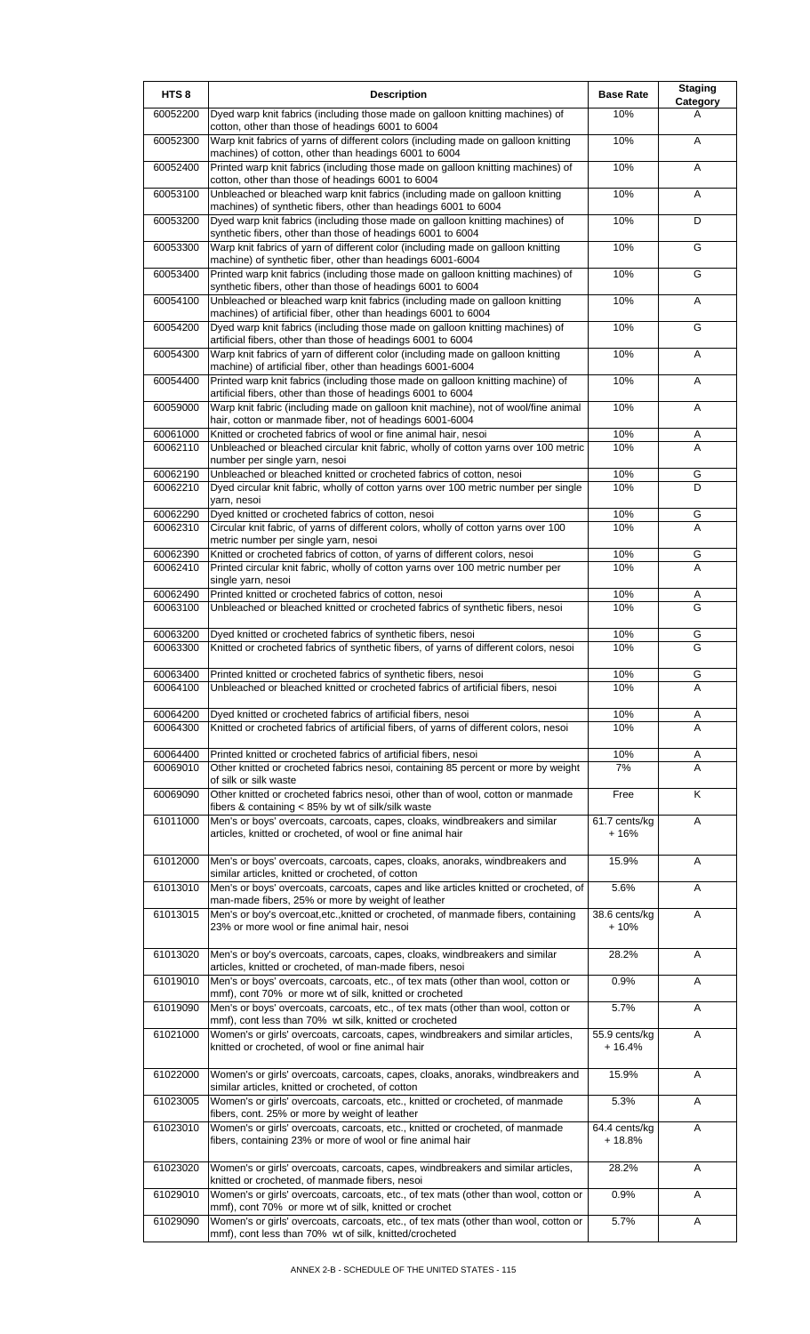| HTS <sub>8</sub>     | <b>Description</b>                                                                                                                                                                                      | <b>Base Rate</b>          | <b>Staging</b><br>Category |
|----------------------|---------------------------------------------------------------------------------------------------------------------------------------------------------------------------------------------------------|---------------------------|----------------------------|
| 60052200             | Dyed warp knit fabrics (including those made on galloon knitting machines) of<br>cotton, other than those of headings 6001 to 6004                                                                      | 10%                       | A                          |
| 60052300             | Warp knit fabrics of yarns of different colors (including made on galloon knitting<br>machines) of cotton, other than headings 6001 to 6004                                                             | 10%                       | A                          |
| 60052400             | Printed warp knit fabrics (including those made on galloon knitting machines) of                                                                                                                        | 10%                       | A                          |
| 60053100             | cotton, other than those of headings 6001 to 6004<br>Unbleached or bleached warp knit fabrics (including made on galloon knitting                                                                       | 10%                       | A                          |
| 60053200             | machines) of synthetic fibers, other than headings 6001 to 6004<br>Dyed warp knit fabrics (including those made on galloon knitting machines) of                                                        | 10%                       | D                          |
| 60053300             | synthetic fibers, other than those of headings 6001 to 6004<br>Warp knit fabrics of yarn of different color (including made on galloon knitting                                                         | 10%                       | G                          |
| 60053400             | machine) of synthetic fiber, other than headings 6001-6004<br>Printed warp knit fabrics (including those made on galloon knitting machines) of                                                          | 10%                       | G                          |
| 60054100             | synthetic fibers, other than those of headings 6001 to 6004<br>Unbleached or bleached warp knit fabrics (including made on galloon knitting                                                             | 10%                       | Α                          |
| 60054200             | machines) of artificial fiber, other than headings 6001 to 6004<br>Dyed warp knit fabrics (including those made on galloon knitting machines) of                                                        | 10%                       | G                          |
| 60054300             | artificial fibers, other than those of headings 6001 to 6004<br>Warp knit fabrics of yarn of different color (including made on galloon knitting                                                        | 10%                       | A                          |
| 60054400             | machine) of artificial fiber, other than headings 6001-6004<br>Printed warp knit fabrics (including those made on galloon knitting machine) of                                                          | 10%                       | Α                          |
| 60059000             | artificial fibers, other than those of headings 6001 to 6004<br>Warp knit fabric (including made on galloon knit machine), not of wool/fine animal                                                      | 10%                       | A                          |
|                      | hair, cotton or manmade fiber, not of headings 6001-6004                                                                                                                                                | 10%                       |                            |
| 60061000<br>60062110 | Knitted or crocheted fabrics of wool or fine animal hair, nesoi<br>Unbleached or bleached circular knit fabric, wholly of cotton yarns over 100 metric<br>number per single yarn, nesoi                 | 10%                       | Α<br>A                     |
| 60062190             | Unbleached or bleached knitted or crocheted fabrics of cotton, nesoi                                                                                                                                    | 10%                       | G                          |
| 60062210             | Dyed circular knit fabric, wholly of cotton yarns over 100 metric number per single<br>yarn, nesoi                                                                                                      | 10%                       | D                          |
| 60062290<br>60062310 | Dyed knitted or crocheted fabrics of cotton, nesoi<br>Circular knit fabric, of yarns of different colors, wholly of cotton yarns over 100                                                               | 10%<br>10%                | G<br>A                     |
|                      | metric number per single yarn, nesoi                                                                                                                                                                    |                           |                            |
| 60062390<br>60062410 | Knitted or crocheted fabrics of cotton, of yarns of different colors, nesoi<br>Printed circular knit fabric, wholly of cotton yarns over 100 metric number per<br>single yarn, nesoi                    | 10%<br>10%                | G<br>$\overline{A}$        |
| 60062490<br>60063100 | Printed knitted or crocheted fabrics of cotton, nesoi<br>Unbleached or bleached knitted or crocheted fabrics of synthetic fibers, nesoi                                                                 | 10%<br>10%                | Α<br>G                     |
|                      |                                                                                                                                                                                                         |                           |                            |
| 60063200<br>60063300 | Dyed knitted or crocheted fabrics of synthetic fibers, nesoi<br>Knitted or crocheted fabrics of synthetic fibers, of yarns of different colors, nesoi                                                   | 10%<br>10%                | G<br>G                     |
|                      |                                                                                                                                                                                                         |                           |                            |
| 60063400<br>60064100 | Printed knitted or crocheted fabrics of synthetic fibers, nesoi<br>Unbleached or bleached knitted or crocheted fabrics of artificial fibers, nesoi                                                      | 10%<br>10%                | G<br>A                     |
| 60064200             | Dyed knitted or crocheted fabrics of artificial fibers, nesoi                                                                                                                                           | 10%                       | Α                          |
| 60064300             | Knitted or crocheted fabrics of artificial fibers, of yarns of different colors, nesoi                                                                                                                  | 10%                       | A                          |
| 60064400<br>60069010 | Printed knitted or crocheted fabrics of artificial fibers, nesoi<br>Other knitted or crocheted fabrics nesoi, containing 85 percent or more by weight                                                   | 10%<br>7%                 | A<br>A                     |
| 60069090             | of silk or silk waste<br>Other knitted or crocheted fabrics nesoi, other than of wool, cotton or manmade                                                                                                | Free                      | Κ                          |
| 61011000             | fibers & containing < 85% by wt of silk/silk waste<br>Men's or boys' overcoats, carcoats, capes, cloaks, windbreakers and similar                                                                       | 61.7 cents/kg             | A                          |
|                      | articles, knitted or crocheted, of wool or fine animal hair                                                                                                                                             | $+16%$                    |                            |
| 61012000             | Men's or boys' overcoats, carcoats, capes, cloaks, anoraks, windbreakers and<br>similar articles, knitted or crocheted, of cotton                                                                       | 15.9%                     | Α                          |
| 61013010             | Men's or boys' overcoats, carcoats, capes and like articles knitted or crocheted, of<br>man-made fibers, 25% or more by weight of leather                                                               | 5.6%                      | Α                          |
| 61013015             | Men's or boy's overcoat, etc., knitted or crocheted, of manmade fibers, containing<br>23% or more wool or fine animal hair, nesoi                                                                       | 38.6 cents/kg<br>$+10%$   | A                          |
| 61013020             | Men's or boy's overcoats, carcoats, capes, cloaks, windbreakers and similar                                                                                                                             | 28.2%                     | Α                          |
| 61019010             | articles, knitted or crocheted, of man-made fibers, nesoi<br>Men's or boys' overcoats, carcoats, etc., of tex mats (other than wool, cotton or                                                          | 0.9%                      | A                          |
| 61019090             | mmf), cont 70% or more wt of silk, knitted or crocheted<br>Men's or boys' overcoats, carcoats, etc., of tex mats (other than wool, cotton or                                                            | 5.7%                      | Α                          |
| 61021000             | mmf), cont less than 70% wt silk, knitted or crocheted<br>Women's or girls' overcoats, carcoats, capes, windbreakers and similar articles,<br>knitted or crocheted, of wool or fine animal hair         | 55.9 cents/kg<br>$+16.4%$ | A                          |
| 61022000             | Women's or girls' overcoats, carcoats, capes, cloaks, anoraks, windbreakers and                                                                                                                         | 15.9%                     | A                          |
| 61023005             | similar articles, knitted or crocheted, of cotton<br>Women's or girls' overcoats, carcoats, etc., knitted or crocheted, of manmade                                                                      | 5.3%                      | A                          |
| 61023010             | fibers, cont. 25% or more by weight of leather<br>Women's or girls' overcoats, carcoats, etc., knitted or crocheted, of manmade<br>fibers, containing 23% or more of wool or fine animal hair           | 64.4 cents/kg<br>$+18.8%$ | Α                          |
| 61023020             | Women's or girls' overcoats, carcoats, capes, windbreakers and similar articles,                                                                                                                        | 28.2%                     | Α                          |
| 61029010             | knitted or crocheted, of manmade fibers, nesoi<br>Women's or girls' overcoats, carcoats, etc., of tex mats (other than wool, cotton or                                                                  | 0.9%                      | A                          |
| 61029090             | mmf), cont 70% or more wt of silk, knitted or crochet<br>Women's or girls' overcoats, carcoats, etc., of tex mats (other than wool, cotton or<br>mmf), cont less than 70% wt of silk, knitted/crocheted | 5.7%                      | Α                          |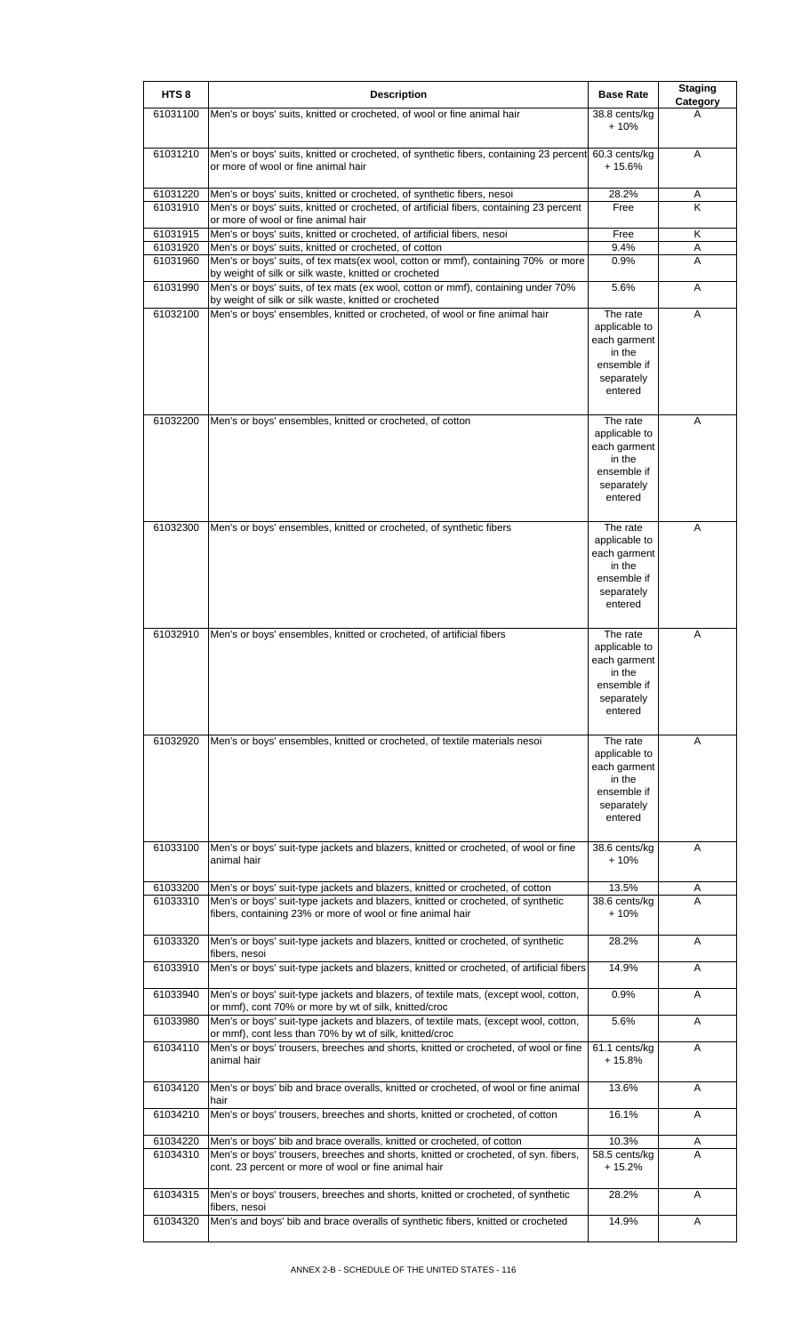| HTS <sub>8</sub>     | <b>Description</b>                                                                                                                                                                                                              | <b>Base Rate</b>                                                                            | <b>Staging</b><br>Category |
|----------------------|---------------------------------------------------------------------------------------------------------------------------------------------------------------------------------------------------------------------------------|---------------------------------------------------------------------------------------------|----------------------------|
| 61031100             | Men's or boys' suits, knitted or crocheted, of wool or fine animal hair                                                                                                                                                         | 38.8 cents/kg<br>$+10%$                                                                     | A                          |
| 61031210             | Men's or boys' suits, knitted or crocheted, of synthetic fibers, containing 23 percent 60.3 cents/kg<br>or more of wool or fine animal hair                                                                                     | $+15.6%$                                                                                    | A                          |
| 61031220             | Men's or boys' suits, knitted or crocheted, of synthetic fibers, nesoi                                                                                                                                                          | 28.2%                                                                                       | A                          |
| 61031910             | Men's or boys' suits, knitted or crocheted, of artificial fibers, containing 23 percent<br>or more of wool or fine animal hair                                                                                                  | Free                                                                                        | K                          |
| 61031915             | Men's or boys' suits, knitted or crocheted, of artificial fibers, nesoi                                                                                                                                                         | Free                                                                                        | Κ                          |
| 61031920             | Men's or boys' suits, knitted or crocheted, of cotton                                                                                                                                                                           | 9.4%                                                                                        | A                          |
| 61031960             | Men's or boys' suits, of tex mats(ex wool, cotton or mmf), containing 70% or more<br>by weight of silk or silk waste, knitted or crocheted                                                                                      | 0.9%                                                                                        | A                          |
| 61031990             | Men's or boys' suits, of tex mats (ex wool, cotton or mmf), containing under 70%<br>by weight of silk or silk waste, knitted or crocheted                                                                                       | 5.6%                                                                                        | Α                          |
| 61032100             | Men's or boys' ensembles, knitted or crocheted, of wool or fine animal hair                                                                                                                                                     | The rate<br>applicable to<br>each garment<br>in the<br>ensemble if<br>separately<br>entered | Α                          |
| 61032200             | Men's or boys' ensembles, knitted or crocheted, of cotton                                                                                                                                                                       | The rate<br>applicable to<br>each garment<br>in the<br>ensemble if<br>separately<br>entered | Α                          |
| 61032300             | Men's or boys' ensembles, knitted or crocheted, of synthetic fibers                                                                                                                                                             | The rate<br>applicable to<br>each garment<br>in the<br>ensemble if<br>separately<br>entered | A                          |
| 61032910             | Men's or boys' ensembles, knitted or crocheted, of artificial fibers                                                                                                                                                            | The rate<br>applicable to<br>each garment<br>in the<br>ensemble if<br>separately<br>entered | A                          |
| 61032920             | Men's or boys' ensembles, knitted or crocheted, of textile materials nesoi                                                                                                                                                      | The rate<br>applicable to<br>each garment<br>in the<br>ensemble if<br>separately<br>entered | A                          |
| 61033100             | Men's or boys' suit-type jackets and blazers, knitted or crocheted, of wool or fine<br>animal hair                                                                                                                              | 38.6 cents/kg<br>$+10%$                                                                     | A                          |
| 61033200<br>61033310 | Men's or boys' suit-type jackets and blazers, knitted or crocheted, of cotton<br>Men's or boys' suit-type jackets and blazers, knitted or crocheted, of synthetic<br>fibers, containing 23% or more of wool or fine animal hair | 13.5%<br>38.6 cents/kg<br>+ 10%                                                             | A<br>A                     |
| 61033320             | Men's or boys' suit-type jackets and blazers, knitted or crocheted, of synthetic<br>fibers, nesoi                                                                                                                               | 28.2%                                                                                       | Α                          |
| 61033910             | Men's or boys' suit-type jackets and blazers, knitted or crocheted, of artificial fibers                                                                                                                                        | 14.9%                                                                                       | A                          |
| 61033940             | Men's or boys' suit-type jackets and blazers, of textile mats, (except wool, cotton,<br>or mmf), cont 70% or more by wt of silk, knitted/croc                                                                                   | 0.9%                                                                                        | Α                          |
| 61033980             | Men's or boys' suit-type jackets and blazers, of textile mats, (except wool, cotton,<br>or mmf), cont less than 70% by wt of silk, knitted/croc                                                                                 | 5.6%                                                                                        | A                          |
| 61034110             | Men's or boys' trousers, breeches and shorts, knitted or crocheted, of wool or fine<br>animal hair                                                                                                                              | 61.1 cents/kg<br>$+15.8%$                                                                   | A                          |
| 61034120             | Men's or boys' bib and brace overalls, knitted or crocheted, of wool or fine animal                                                                                                                                             | 13.6%                                                                                       | A                          |
| 61034210             | hair<br>Men's or boys' trousers, breeches and shorts, knitted or crocheted, of cotton                                                                                                                                           | 16.1%                                                                                       | Α                          |
| 61034220<br>61034310 | Men's or boys' bib and brace overalls, knitted or crocheted, of cotton<br>Men's or boys' trousers, breeches and shorts, knitted or crocheted, of syn. fibers,<br>cont. 23 percent or more of wool or fine animal hair           | 10.3%<br>58.5 cents/kg<br>$+15.2%$                                                          | A<br>A                     |
| 61034315             | Men's or boys' trousers, breeches and shorts, knitted or crocheted, of synthetic<br>fibers, nesoi                                                                                                                               | 28.2%                                                                                       | Α                          |
| 61034320             | Men's and boys' bib and brace overalls of synthetic fibers, knitted or crocheted                                                                                                                                                | 14.9%                                                                                       | Α                          |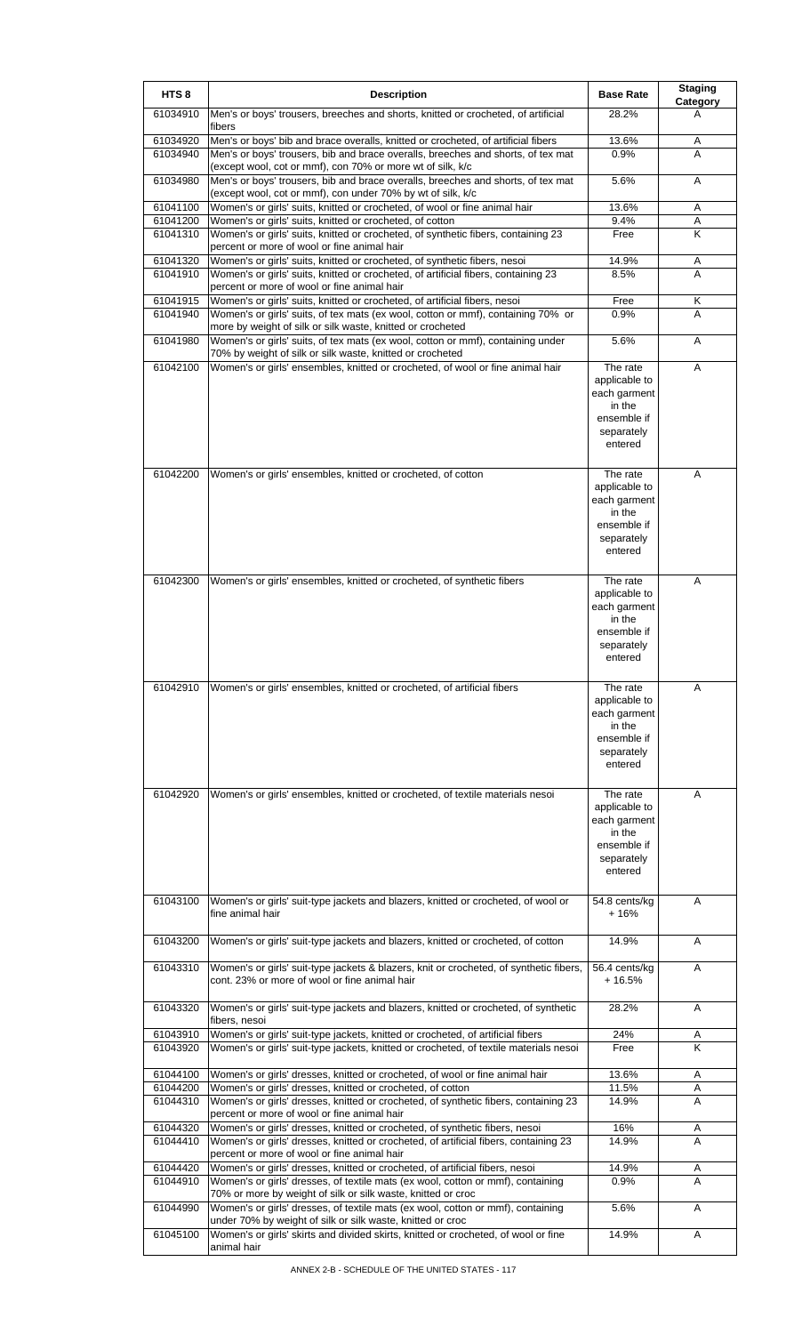| HTS <sub>8</sub>     | <b>Description</b>                                                                                                                                                                                             | <b>Base Rate</b>                                                                            | <b>Staging</b><br>Category |
|----------------------|----------------------------------------------------------------------------------------------------------------------------------------------------------------------------------------------------------------|---------------------------------------------------------------------------------------------|----------------------------|
| 61034910             | Men's or boys' trousers, breeches and shorts, knitted or crocheted, of artificial<br>fibers                                                                                                                    | 28.2%                                                                                       | A                          |
| 61034920<br>61034940 | Men's or boys' bib and brace overalls, knitted or crocheted, of artificial fibers<br>Men's or boys' trousers, bib and brace overalls, breeches and shorts, of tex mat                                          | 13.6%<br>0.9%                                                                               | Α<br>A                     |
| 61034980             | (except wool, cot or mmf), con 70% or more wt of silk, k/c<br>Men's or boys' trousers, bib and brace overalls, breeches and shorts, of tex mat                                                                 | 5.6%                                                                                        | A                          |
| 61041100             | (except wool, cot or mmf), con under 70% by wt of silk, k/c<br>Women's or girls' suits, knitted or crocheted, of wool or fine animal hair                                                                      | 13.6%                                                                                       | Α                          |
| 61041200<br>61041310 | Women's or girls' suits, knitted or crocheted, of cotton<br>Women's or girls' suits, knitted or crocheted, of synthetic fibers, containing 23                                                                  | 9.4%<br>Free                                                                                | Α<br>K                     |
|                      | percent or more of wool or fine animal hair                                                                                                                                                                    |                                                                                             |                            |
| 61041320<br>61041910 | Women's or girls' suits, knitted or crocheted, of synthetic fibers, nesoi<br>Women's or girls' suits, knitted or crocheted, of artificial fibers, containing 23<br>percent or more of wool or fine animal hair | 14.9%<br>8.5%                                                                               | Α<br>A                     |
| 61041915<br>61041940 | Women's or girls' suits, knitted or crocheted, of artificial fibers, nesoi<br>Women's or girls' suits, of tex mats (ex wool, cotton or mmf), containing 70% or                                                 | Free<br>0.9%                                                                                | Κ<br>A                     |
| 61041980             | more by weight of silk or silk waste, knitted or crocheted<br>Women's or girls' suits, of tex mats (ex wool, cotton or mmf), containing under<br>70% by weight of silk or silk waste, knitted or crocheted     | 5.6%                                                                                        | Α                          |
| 61042100             | Women's or girls' ensembles, knitted or crocheted, of wool or fine animal hair                                                                                                                                 | The rate<br>applicable to<br>each garment<br>in the<br>ensemble if<br>separately<br>entered | A                          |
| 61042200             | Women's or girls' ensembles, knitted or crocheted, of cotton                                                                                                                                                   | The rate<br>applicable to<br>each garment<br>in the<br>ensemble if<br>separately<br>entered | A                          |
| 61042300             | Women's or girls' ensembles, knitted or crocheted, of synthetic fibers                                                                                                                                         | The rate<br>applicable to<br>each garment<br>in the<br>ensemble if<br>separately<br>entered | A                          |
| 61042910             | Women's or girls' ensembles, knitted or crocheted, of artificial fibers                                                                                                                                        | The rate<br>applicable to<br>each garment<br>in the<br>ensemble if<br>separately<br>entered | A                          |
| 61042920             | Women's or girls' ensembles, knitted or crocheted, of textile materials nesoi                                                                                                                                  | The rate<br>applicable to<br>each garment<br>in the<br>ensemble if<br>separately<br>entered | Α                          |
| 61043100             | Women's or girls' suit-type jackets and blazers, knitted or crocheted, of wool or<br>fine animal hair                                                                                                          | 54.8 cents/kg<br>$+16%$                                                                     | A                          |
| 61043200             | Women's or girls' suit-type jackets and blazers, knitted or crocheted, of cotton                                                                                                                               | 14.9%                                                                                       | A                          |
| 61043310             | Women's or girls' suit-type jackets & blazers, knit or crocheted, of synthetic fibers,<br>cont. 23% or more of wool or fine animal hair                                                                        | 56.4 cents/kg<br>$+16.5%$                                                                   | A                          |
| 61043320             | Women's or girls' suit-type jackets and blazers, knitted or crocheted, of synthetic<br>fibers, nesoi                                                                                                           | 28.2%                                                                                       | Α                          |
| 61043910<br>61043920 | Women's or girls' suit-type jackets, knitted or crocheted, of artificial fibers<br>Women's or girls' suit-type jackets, knitted or crocheted, of textile materials nesoi                                       | 24%<br>Free                                                                                 | A<br>Κ                     |
|                      |                                                                                                                                                                                                                |                                                                                             |                            |
| 61044100<br>61044200 | Women's or girls' dresses, knitted or crocheted, of wool or fine animal hair<br>Women's or girls' dresses, knitted or crocheted, of cotton                                                                     | 13.6%<br>11.5%                                                                              | A<br>A                     |
| 61044310             | Women's or girls' dresses, knitted or crocheted, of synthetic fibers, containing 23<br>percent or more of wool or fine animal hair                                                                             | 14.9%                                                                                       | A                          |
| 61044320             | Women's or girls' dresses, knitted or crocheted, of synthetic fibers, nesoi                                                                                                                                    | 16%                                                                                         | A                          |
| 61044410             | Women's or girls' dresses, knitted or crocheted, of artificial fibers, containing 23<br>percent or more of wool or fine animal hair                                                                            | 14.9%                                                                                       | A                          |
| 61044420<br>61044910 | Women's or girls' dresses, knitted or crocheted, of artificial fibers, nesoi<br>Women's or girls' dresses, of textile mats (ex wool, cotton or mmf), containing                                                | 14.9%<br>0.9%                                                                               | A<br>A                     |
| 61044990             | 70% or more by weight of silk or silk waste, knitted or croc<br>Women's or girls' dresses, of textile mats (ex wool, cotton or mmf), containing                                                                | 5.6%                                                                                        | A                          |
| 61045100             | under 70% by weight of silk or silk waste, knitted or croc<br>Women's or girls' skirts and divided skirts, knitted or crocheted, of wool or fine<br>animal hair                                                | 14.9%                                                                                       | A                          |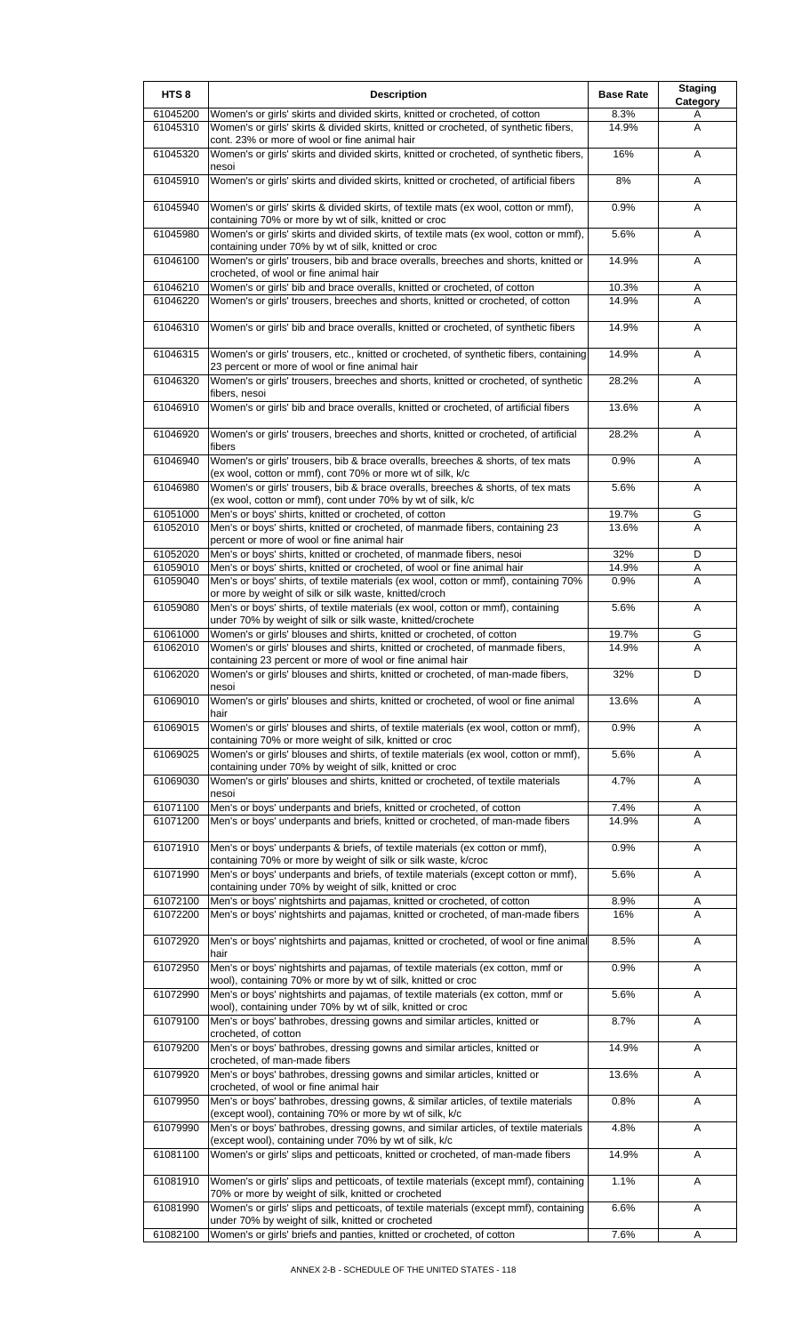| HTS <sub>8</sub>     | <b>Description</b>                                                                                                                                            | <b>Base Rate</b> | <b>Staging</b><br>Category |
|----------------------|---------------------------------------------------------------------------------------------------------------------------------------------------------------|------------------|----------------------------|
| 61045200             | Women's or girls' skirts and divided skirts, knitted or crocheted, of cotton                                                                                  | 8.3%             | A                          |
| 61045310             | Women's or girls' skirts & divided skirts, knitted or crocheted, of synthetic fibers,<br>cont. 23% or more of wool or fine animal hair                        | 14.9%            | A                          |
| 61045320             | Women's or girls' skirts and divided skirts, knitted or crocheted, of synthetic fibers,<br>nesoi                                                              | 16%              | Α                          |
| 61045910             | Women's or girls' skirts and divided skirts, knitted or crocheted, of artificial fibers                                                                       | 8%               | Α                          |
| 61045940             | Women's or girls' skirts & divided skirts, of textile mats (ex wool, cotton or mmf),<br>containing 70% or more by wt of silk, knitted or croc                 | 0.9%             | Α                          |
| 61045980             | Women's or girls' skirts and divided skirts, of textile mats (ex wool, cotton or mmf),<br>containing under 70% by wt of silk, knitted or croc                 | 5.6%             | A                          |
| 61046100             | Women's or girls' trousers, bib and brace overalls, breeches and shorts, knitted or<br>crocheted, of wool or fine animal hair                                 | 14.9%            | A                          |
| 61046210<br>61046220 | Women's or girls' bib and brace overalls, knitted or crocheted, of cotton<br>Women's or girls' trousers, breeches and shorts, knitted or crocheted, of cotton | 10.3%<br>14.9%   | A<br>A                     |
| 61046310             | Women's or girls' bib and brace overalls, knitted or crocheted, of synthetic fibers                                                                           | 14.9%            | Α                          |
| 61046315             | Women's or girls' trousers, etc., knitted or crocheted, of synthetic fibers, containing                                                                       | 14.9%            | Α                          |
|                      | 23 percent or more of wool or fine animal hair                                                                                                                |                  |                            |
| 61046320             | Women's or girls' trousers, breeches and shorts, knitted or crocheted, of synthetic<br>fibers, nesoi                                                          | 28.2%            | A                          |
| 61046910             | Women's or girls' bib and brace overalls, knitted or crocheted, of artificial fibers                                                                          | 13.6%            | Α                          |
| 61046920             | Women's or girls' trousers, breeches and shorts, knitted or crocheted, of artificial<br>fibers                                                                | 28.2%            | A                          |
| 61046940             | Women's or girls' trousers, bib & brace overalls, breeches & shorts, of tex mats<br>(ex wool, cotton or mmf), cont 70% or more wt of silk, k/c                | 0.9%             | Α                          |
| 61046980             | Women's or girls' trousers, bib & brace overalls, breeches & shorts, of tex mats<br>(ex wool, cotton or mmf), cont under 70% by wt of silk, k/c               | 5.6%             | A                          |
| 61051000             | Men's or boys' shirts, knitted or crocheted, of cotton                                                                                                        | 19.7%            | G                          |
| 61052010             | Men's or boys' shirts, knitted or crocheted, of manmade fibers, containing 23<br>percent or more of wool or fine animal hair                                  | 13.6%            | A                          |
| 61052020             | Men's or boys' shirts, knitted or crocheted, of manmade fibers, nesoi                                                                                         | 32%              | D                          |
| 61059010             | Men's or boys' shirts, knitted or crocheted, of wool or fine animal hair                                                                                      | 14.9%            | Α                          |
| 61059040             | Men's or boys' shirts, of textile materials (ex wool, cotton or mmf), containing 70%<br>or more by weight of silk or silk waste, knitted/croch                | 0.9%             | A                          |
| 61059080             | Men's or boys' shirts, of textile materials (ex wool, cotton or mmf), containing<br>under 70% by weight of silk or silk waste, knitted/crochete               | 5.6%             | A                          |
| 61061000             | Women's or girls' blouses and shirts, knitted or crocheted, of cotton                                                                                         | 19.7%            | G                          |
| 61062010             | Women's or girls' blouses and shirts, knitted or crocheted, of manmade fibers,<br>containing 23 percent or more of wool or fine animal hair                   | 14.9%            | A                          |
| 61062020             | Women's or girls' blouses and shirts, knitted or crocheted, of man-made fibers,<br>nesoi                                                                      | 32%              | υ                          |
| 61069010             | Women's or girls' blouses and shirts, knitted or crocheted, of wool or fine animal<br>hair                                                                    | 13.6%            | Α                          |
| 61069015             | Women's or girls' blouses and shirts, of textile materials (ex wool, cotton or mmf),<br>containing 70% or more weight of silk, knitted or croc                | 0.9%             | Α                          |
| 61069025             | Women's or girls' blouses and shirts, of textile materials (ex wool, cotton or mmf),                                                                          | 5.6%             | Α                          |
| 61069030             | containing under 70% by weight of silk, knitted or croc<br>Women's or girls' blouses and shirts, knitted or crocheted, of textile materials                   | 4.7%             | Α                          |
| 61071100             | nesoi<br>Men's or boys' underpants and briefs, knitted or crocheted, of cotton                                                                                | 7.4%             | A                          |
| 61071200             | Men's or boys' underpants and briefs, knitted or crocheted, of man-made fibers                                                                                | 14.9%            | A                          |
| 61071910             | Men's or boys' underpants & briefs, of textile materials (ex cotton or mmf),                                                                                  | 0.9%             | A                          |
| 61071990             | containing 70% or more by weight of silk or silk waste, k/croc<br>Men's or boys' underpants and briefs, of textile materials (except cotton or mmf),          | 5.6%             | Α                          |
|                      | containing under 70% by weight of silk, knitted or croc                                                                                                       |                  |                            |
| 61072100<br>61072200 | Men's or boys' nightshirts and pajamas, knitted or crocheted, of cotton<br>Men's or boys' nightshirts and pajamas, knitted or crocheted, of man-made fibers   | 8.9%<br>16%      | A<br>A                     |
| 61072920             | Men's or boys' nightshirts and pajamas, knitted or crocheted, of wool or fine animal                                                                          | 8.5%             | Α                          |
| 61072950             | hair<br>Men's or boys' nightshirts and pajamas, of textile materials (ex cotton, mmf or                                                                       | 0.9%             | Α                          |
| 61072990             | wool), containing 70% or more by wt of silk, knitted or croc<br>Men's or boys' nightshirts and pajamas, of textile materials (ex cotton, mmf or               | 5.6%             | Α                          |
| 61079100             | wool), containing under 70% by wt of silk, knitted or croc<br>Men's or boys' bathrobes, dressing gowns and similar articles, knitted or                       | 8.7%             | Α                          |
| 61079200             | crocheted, of cotton<br>Men's or boys' bathrobes, dressing gowns and similar articles, knitted or                                                             | 14.9%            | A                          |
| 61079920             | crocheted, of man-made fibers<br>Men's or boys' bathrobes, dressing gowns and similar articles, knitted or                                                    | 13.6%            | Α                          |
| 61079950             | crocheted, of wool or fine animal hair<br>Men's or boys' bathrobes, dressing gowns, & similar articles, of textile materials                                  | 0.8%             | Α                          |
|                      | (except wool), containing 70% or more by wt of silk, k/c                                                                                                      |                  |                            |
| 61079990             | Men's or boys' bathrobes, dressing gowns, and similar articles, of textile materials<br>(except wool), containing under 70% by wt of silk, k/c                | 4.8%             | Α                          |
| 61081100             | Women's or girls' slips and petticoats, knitted or crocheted, of man-made fibers                                                                              | 14.9%            | Α                          |
| 61081910             | Women's or girls' slips and petticoats, of textile materials (except mmf), containing<br>70% or more by weight of silk, knitted or crocheted                  | 1.1%             | Α                          |
| 61081990             | Women's or girls' slips and petticoats, of textile materials (except mmf), containing<br>under 70% by weight of silk, knitted or crocheted                    | 6.6%             | Α                          |
| 61082100             | Women's or girls' briefs and panties, knitted or crocheted, of cotton                                                                                         | 7.6%             | Α                          |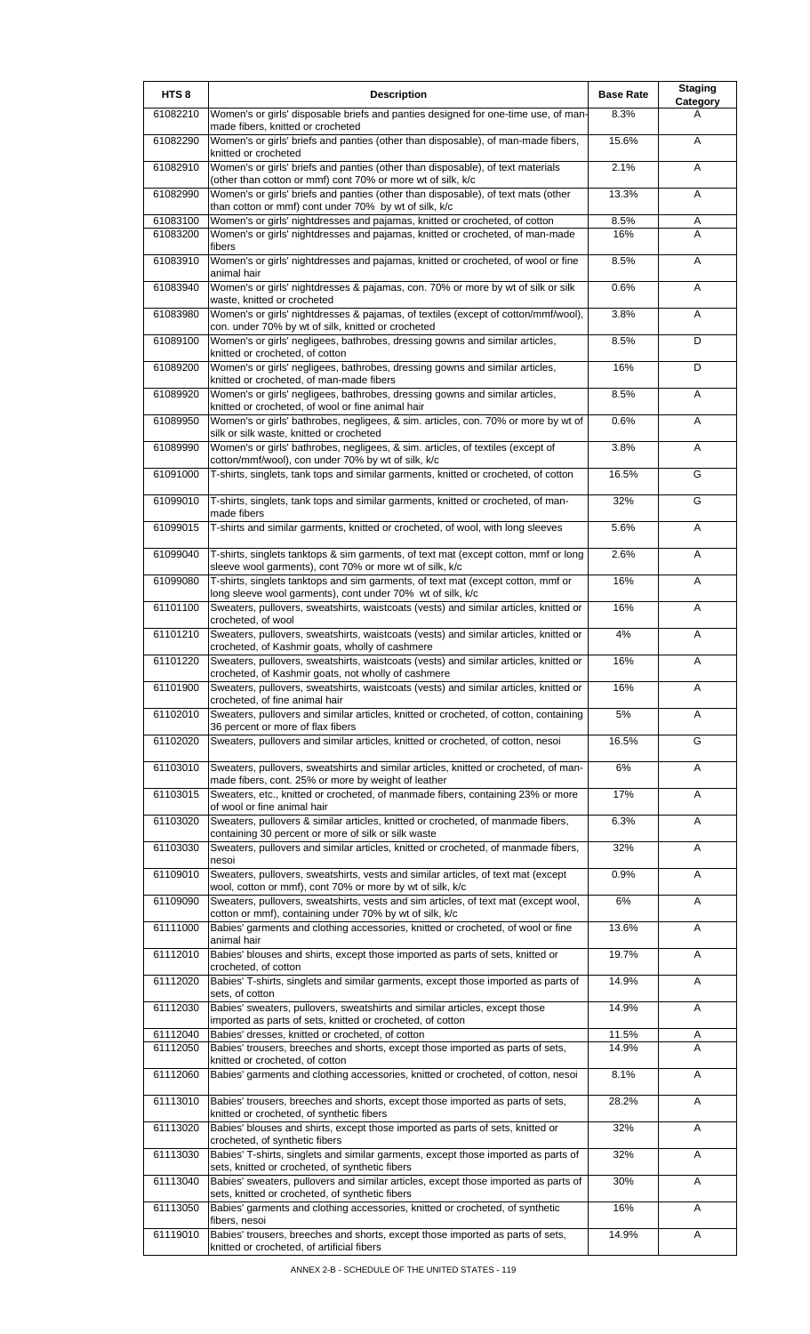| HTS <sub>8</sub>     | <b>Description</b>                                                                                                                             | <b>Base Rate</b> | <b>Staging</b><br>Category |
|----------------------|------------------------------------------------------------------------------------------------------------------------------------------------|------------------|----------------------------|
| 61082210             | Women's or girls' disposable briefs and panties designed for one-time use, of man-<br>made fibers, knitted or crocheted                        | 8.3%             | A                          |
| 61082290             | Women's or girls' briefs and panties (other than disposable), of man-made fibers,<br>knitted or crocheted                                      | 15.6%            | A                          |
| 61082910             | Women's or girls' briefs and panties (other than disposable), of text materials<br>(other than cotton or mmf) cont 70% or more wt of silk, k/c | 2.1%             | Α                          |
| 61082990             | Women's or girls' briefs and panties (other than disposable), of text mats (other<br>than cotton or mmf) cont under 70% by wt of silk, k/c     | 13.3%            | Α                          |
| 61083100             | Women's or girls' nightdresses and pajamas, knitted or crocheted, of cotton                                                                    | 8.5%             | Α                          |
| 61083200             | Women's or girls' nightdresses and pajamas, knitted or crocheted, of man-made<br>fibers                                                        | 16%              | A                          |
| 61083910             | Women's or girls' nightdresses and pajamas, knitted or crocheted, of wool or fine<br>animal hair                                               | 8.5%             | A                          |
| 61083940             | Women's or girls' nightdresses & pajamas, con. 70% or more by wt of silk or silk<br>waste, knitted or crocheted                                | 0.6%             | A                          |
| 61083980             | Women's or girls' nightdresses & pajamas, of textiles (except of cotton/mmf/wool),<br>con. under 70% by wt of silk, knitted or crocheted       | 3.8%             | Α                          |
| 61089100             | Women's or girls' negligees, bathrobes, dressing gowns and similar articles,<br>knitted or crocheted, of cotton                                | 8.5%             | D                          |
| 61089200             | Women's or girls' negligees, bathrobes, dressing gowns and similar articles,<br>knitted or crocheted, of man-made fibers                       | 16%              | D                          |
| 61089920             | Women's or girls' negligees, bathrobes, dressing gowns and similar articles,<br>knitted or crocheted, of wool or fine animal hair              | 8.5%             | Α                          |
| 61089950             | Women's or girls' bathrobes, negligees, & sim. articles, con. 70% or more by wt of<br>silk or silk waste, knitted or crocheted                 | 0.6%             | Α                          |
| 61089990             | Women's or girls' bathrobes, negligees, & sim. articles, of textiles (except of<br>cotton/mmf/wool), con under 70% by wt of silk, k/c          | 3.8%             | Α                          |
| 61091000             | T-shirts, singlets, tank tops and similar garments, knitted or crocheted, of cotton                                                            | 16.5%            | G                          |
| 61099010             | T-shirts, singlets, tank tops and similar garments, knitted or crocheted, of man-<br>made fibers                                               | 32%              | G                          |
| 61099015             | T-shirts and similar garments, knitted or crocheted, of wool, with long sleeves                                                                | 5.6%             | Α                          |
| 61099040             | T-shirts, singlets tanktops & sim garments, of text mat (except cotton, mmf or long<br>sleeve wool garments), cont 70% or more wt of silk, k/c | 2.6%             | Α                          |
| 61099080             | T-shirts, singlets tanktops and sim garments, of text mat (except cotton, mmf or<br>long sleeve wool garments), cont under 70% wt of silk, k/c | 16%              | Α                          |
| 61101100             | Sweaters, pullovers, sweatshirts, waistcoats (vests) and similar articles, knitted or<br>crocheted, of wool                                    | 16%              | A                          |
| 61101210             | Sweaters, pullovers, sweatshirts, waistcoats (vests) and similar articles, knitted or<br>crocheted, of Kashmir goats, wholly of cashmere       | 4%               | Α                          |
| 61101220             | Sweaters, pullovers, sweatshirts, waistcoats (vests) and similar articles, knitted or<br>crocheted, of Kashmir goats, not wholly of cashmere   | 16%              | Α                          |
| 61101900             | Sweaters, pullovers, sweatshirts, waistcoats (vests) and similar articles, knitted or<br>crocheted, of fine animal hair                        | 16%              | A                          |
| 61102010             | Sweaters, pullovers and similar articles, knitted or crocheted, of cotton, containing<br>36 percent or more of flax fibers                     | 5%               | Α                          |
| 61102020             | Sweaters, pullovers and similar articles, knitted or crocheted, of cotton, nesoi                                                               | 16.5%            | G                          |
| 61103010             | Sweaters, pullovers, sweatshirts and similar articles, knitted or crocheted, of man-<br>made fibers, cont. 25% or more by weight of leather    | 6%               | A                          |
| 61103015             | Sweaters, etc., knitted or crocheted, of manmade fibers, containing 23% or more<br>of wool or fine animal hair                                 | 17%              | Α                          |
| 61103020             | Sweaters, pullovers & similar articles, knitted or crocheted, of manmade fibers,<br>containing 30 percent or more of silk or silk waste        | 6.3%             | Α                          |
| 61103030             | Sweaters, pullovers and similar articles, knitted or crocheted, of manmade fibers,<br>nesoi                                                    | 32%              | A                          |
| 61109010             | Sweaters, pullovers, sweatshirts, vests and similar articles, of text mat (except<br>wool, cotton or mmf), cont 70% or more by wt of silk, k/c | 0.9%             | A                          |
| 61109090             | Sweaters, pullovers, sweatshirts, vests and sim articles, of text mat (except wool,<br>cotton or mmf), containing under 70% by wt of silk, k/c | 6%               | A                          |
| 61111000             | Babies' garments and clothing accessories, knitted or crocheted, of wool or fine<br>animal hair                                                | 13.6%            | Α                          |
| 61112010             | Babies' blouses and shirts, except those imported as parts of sets, knitted or<br>crocheted, of cotton                                         | 19.7%            | Α                          |
| 61112020             | Babies' T-shirts, singlets and similar garments, except those imported as parts of<br>sets, of cotton                                          | 14.9%            | A                          |
| 61112030             | Babies' sweaters, pullovers, sweatshirts and similar articles, except those<br>imported as parts of sets, knitted or crocheted, of cotton      | 14.9%            | Α                          |
| 61112040<br>61112050 | Babies' dresses, knitted or crocheted, of cotton<br>Babies' trousers, breeches and shorts, except those imported as parts of sets,             | 11.5%<br>14.9%   | Α<br>A                     |
| 61112060             | knitted or crocheted, of cotton<br>Babies' garments and clothing accessories, knitted or crocheted, of cotton, nesoi                           | 8.1%             | A                          |
| 61113010             | Babies' trousers, breeches and shorts, except those imported as parts of sets,                                                                 | 28.2%            | A                          |
| 61113020             | knitted or crocheted, of synthetic fibers<br>Babies' blouses and shirts, except those imported as parts of sets, knitted or                    | 32%              | Α                          |
| 61113030             | crocheted, of synthetic fibers<br>Babies' T-shirts, singlets and similar garments, except those imported as parts of                           | 32%              | Α                          |
|                      | sets, knitted or crocheted, of synthetic fibers                                                                                                |                  |                            |
| 61113040             | Babies' sweaters, pullovers and similar articles, except those imported as parts of<br>sets, knitted or crocheted, of synthetic fibers         | 30%              | A                          |
| 61113050             | Babies' garments and clothing accessories, knitted or crocheted, of synthetic<br>fibers, nesoi                                                 | 16%              | Α                          |
| 61119010             | Babies' trousers, breeches and shorts, except those imported as parts of sets,<br>knitted or crocheted, of artificial fibers                   | 14.9%            | A                          |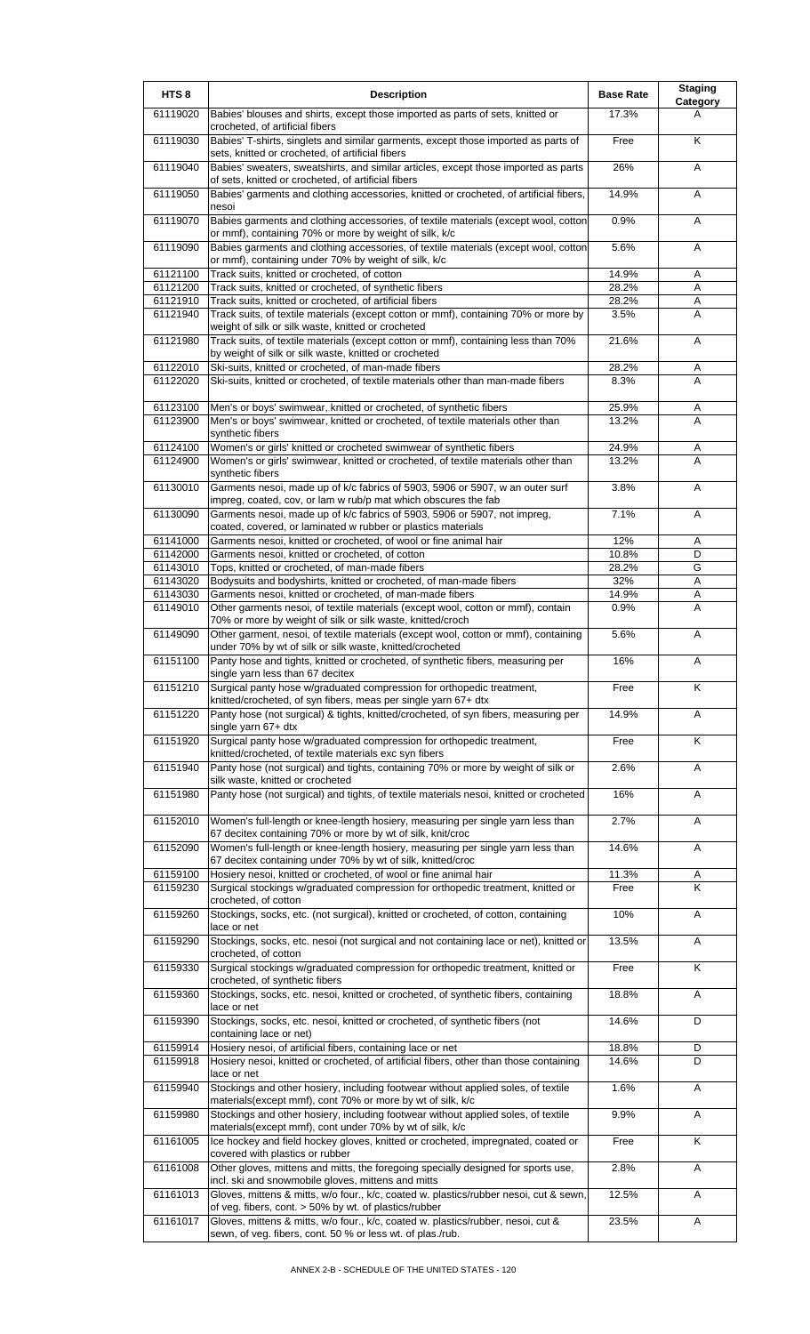| HTS <sub>8</sub> | <b>Description</b>                                                                                                                              | <b>Base Rate</b> | <b>Staging</b><br>Category |
|------------------|-------------------------------------------------------------------------------------------------------------------------------------------------|------------------|----------------------------|
| 61119020         | Babies' blouses and shirts, except those imported as parts of sets, knitted or<br>crocheted, of artificial fibers                               | 17.3%            | A                          |
| 61119030         | Babies' T-shirts, singlets and similar garments, except those imported as parts of<br>sets, knitted or crocheted, of artificial fibers          | Free             | Κ                          |
| 61119040         | Babies' sweaters, sweatshirts, and similar articles, except those imported as parts<br>of sets, knitted or crocheted, of artificial fibers      | 26%              | Α                          |
| 61119050         | Babies' garments and clothing accessories, knitted or crocheted, of artificial fibers,<br>nesoi                                                 | 14.9%            | Α                          |
| 61119070         | Babies garments and clothing accessories, of textile materials (except wool, cotton<br>or mmf), containing 70% or more by weight of silk, k/c   | 0.9%             | Α                          |
| 61119090         | Babies garments and clothing accessories, of textile materials (except wool, cotton<br>or mmf), containing under 70% by weight of silk, k/c     | 5.6%             | Α                          |
| 61121100         | Track suits, knitted or crocheted, of cotton                                                                                                    | 14.9%            | Α                          |
| 61121200         | Track suits, knitted or crocheted, of synthetic fibers                                                                                          | 28.2%            | Α                          |
| 61121910         | Track suits, knitted or crocheted, of artificial fibers                                                                                         | 28.2%            | Α                          |
| 61121940         | Track suits, of textile materials (except cotton or mmf), containing 70% or more by<br>weight of silk or silk waste, knitted or crocheted       | 3.5%             | A                          |
| 61121980         | Track suits, of textile materials (except cotton or mmf), containing less than 70%<br>by weight of silk or silk waste, knitted or crocheted     | 21.6%            | Α                          |
| 61122010         | Ski-suits, knitted or crocheted, of man-made fibers                                                                                             | 28.2%            | Α                          |
| 61122020         | Ski-suits, knitted or crocheted, of textile materials other than man-made fibers                                                                | 8.3%             | A                          |
| 61123100         | Men's or boys' swimwear, knitted or crocheted, of synthetic fibers                                                                              | 25.9%            | Α                          |
| 61123900         | Men's or boys' swimwear, knitted or crocheted, of textile materials other than<br>synthetic fibers                                              | 13.2%            | A                          |
| 61124100         | Women's or girls' knitted or crocheted swimwear of synthetic fibers                                                                             | 24.9%            | Α                          |
| 61124900         | Women's or girls' swimwear, knitted or crocheted, of textile materials other than<br>synthetic fibers                                           | 13.2%            | A                          |
| 61130010         | Garments nesoi, made up of k/c fabrics of 5903, 5906 or 5907, w an outer surf<br>impreg, coated, cov, or lam w rub/p mat which obscures the fab | 3.8%             | A                          |
| 61130090         | Garments nesoi, made up of k/c fabrics of 5903, 5906 or 5907, not impreg,                                                                       | 7.1%             | Α                          |
| 61141000         | coated, covered, or laminated w rubber or plastics materials<br>Garments nesoi, knitted or crocheted, of wool or fine animal hair               | 12%              | Α                          |
| 61142000         | Garments nesoi, knitted or crocheted, of cotton                                                                                                 | 10.8%            | D                          |
| 61143010         | Tops, knitted or crocheted, of man-made fibers                                                                                                  | 28.2%            | G                          |
| 61143020         | Bodysuits and bodyshirts, knitted or crocheted, of man-made fibers                                                                              | 32%              | Α                          |
| 61143030         | Garments nesoi, knitted or crocheted, of man-made fibers                                                                                        | 14.9%            | A                          |
| 61149010         | Other garments nesoi, of textile materials (except wool, cotton or mmf), contain                                                                | 0.9%             | Α                          |
|                  | 70% or more by weight of silk or silk waste, knitted/croch                                                                                      |                  |                            |
| 61149090         | Other garment, nesoi, of textile materials (except wool, cotton or mmf), containing<br>under 70% by wt of silk or silk waste, knitted/crocheted | 5.6%             | Α                          |
| 61151100         | Panty hose and tights, knitted or crocheted, of synthetic fibers, measuring per<br>single yarn less than 67 decitex                             | 16%              | Α                          |
| 61151210         | Surgical panty hose w/graduated compression for orthopedic treatment,<br>knitted/crocheted, of syn fibers, meas per single yarn 67+ dtx         | Free             | K                          |
| 61151220         | Panty hose (not surgical) & tights, knitted/crocheted, of syn fibers, measuring per<br>single yarn $67+$ dtx                                    | 14.9%            | Α                          |
| 61151920         | Surgical panty hose w/graduated compression for orthopedic treatment,<br>knitted/crocheted, of textile materials exc syn fibers                 | Free             | K                          |
| 61151940         | Panty hose (not surgical) and tights, containing 70% or more by weight of silk or<br>silk waste, knitted or crocheted                           | 2.6%             | A                          |
| 61151980         | Panty hose (not surgical) and tights, of textile materials nesoi, knitted or crocheted                                                          | 16%              | Α                          |
| 61152010         | Women's full-length or knee-length hosiery, measuring per single yarn less than<br>67 decitex containing 70% or more by wt of silk, knit/croc   | 2.7%             | A                          |
| 61152090         | Women's full-length or knee-length hosiery, measuring per single yarn less than<br>67 decitex containing under 70% by wt of silk, knitted/croc  | 14.6%            | Α                          |
| 61159100         | Hosiery nesoi, knitted or crocheted, of wool or fine animal hair                                                                                | 11.3%            | A                          |
| 61159230         | Surgical stockings w/graduated compression for orthopedic treatment, knitted or                                                                 | Free             | Κ                          |
| 61159260         | crocheted, of cotton<br>Stockings, socks, etc. (not surgical), knitted or crocheted, of cotton, containing                                      | 10%              | Α                          |
| 61159290         | lace or net<br>Stockings, socks, etc. nesoi (not surgical and not containing lace or net), knitted or                                           | 13.5%            | Α                          |
| 61159330         | crocheted, of cotton<br>Surgical stockings w/graduated compression for orthopedic treatment, knitted or                                         | Free             | K                          |
| 61159360         | crocheted, of synthetic fibers<br>Stockings, socks, etc. nesoi, knitted or crocheted, of synthetic fibers, containing                           | 18.8%            | Α                          |
| 61159390         | lace or net<br>Stockings, socks, etc. nesoi, knitted or crocheted, of synthetic fibers (not                                                     | 14.6%            | D                          |
| 61159914         | containing lace or net)<br>Hosiery nesoi, of artificial fibers, containing lace or net                                                          | 18.8%            | D                          |
| 61159918         | Hosiery nesoi, knitted or crocheted, of artificial fibers, other than those containing                                                          | 14.6%            | D                          |
| 61159940         | lace or net<br>Stockings and other hosiery, including footwear without applied soles, of textile                                                | 1.6%             | Α                          |
| 61159980         | materials(except mmf), cont 70% or more by wt of silk, k/c<br>Stockings and other hosiery, including footwear without applied soles, of textile | 9.9%             | Α                          |
| 61161005         | materials (except mmf), cont under 70% by wt of silk, k/c<br>Ice hockey and field hockey gloves, knitted or crocheted, impregnated, coated or   | Free             | K                          |
| 61161008         | covered with plastics or rubber<br>Other gloves, mittens and mitts, the foregoing specially designed for sports use,                            | 2.8%             | Α                          |
| 61161013         | incl. ski and snowmobile gloves, mittens and mitts<br>Gloves, mittens & mitts, w/o four., k/c, coated w. plastics/rubber nesoi, cut & sewn,     | 12.5%            | Α                          |
|                  | of veg. fibers, cont. > 50% by wt. of plastics/rubber                                                                                           |                  |                            |
| 61161017         | Gloves, mittens & mitts, w/o four., k/c, coated w. plastics/rubber, nesoi, cut &<br>sewn, of veg. fibers, cont. 50 % or less wt. of plas./rub.  | 23.5%            | Α                          |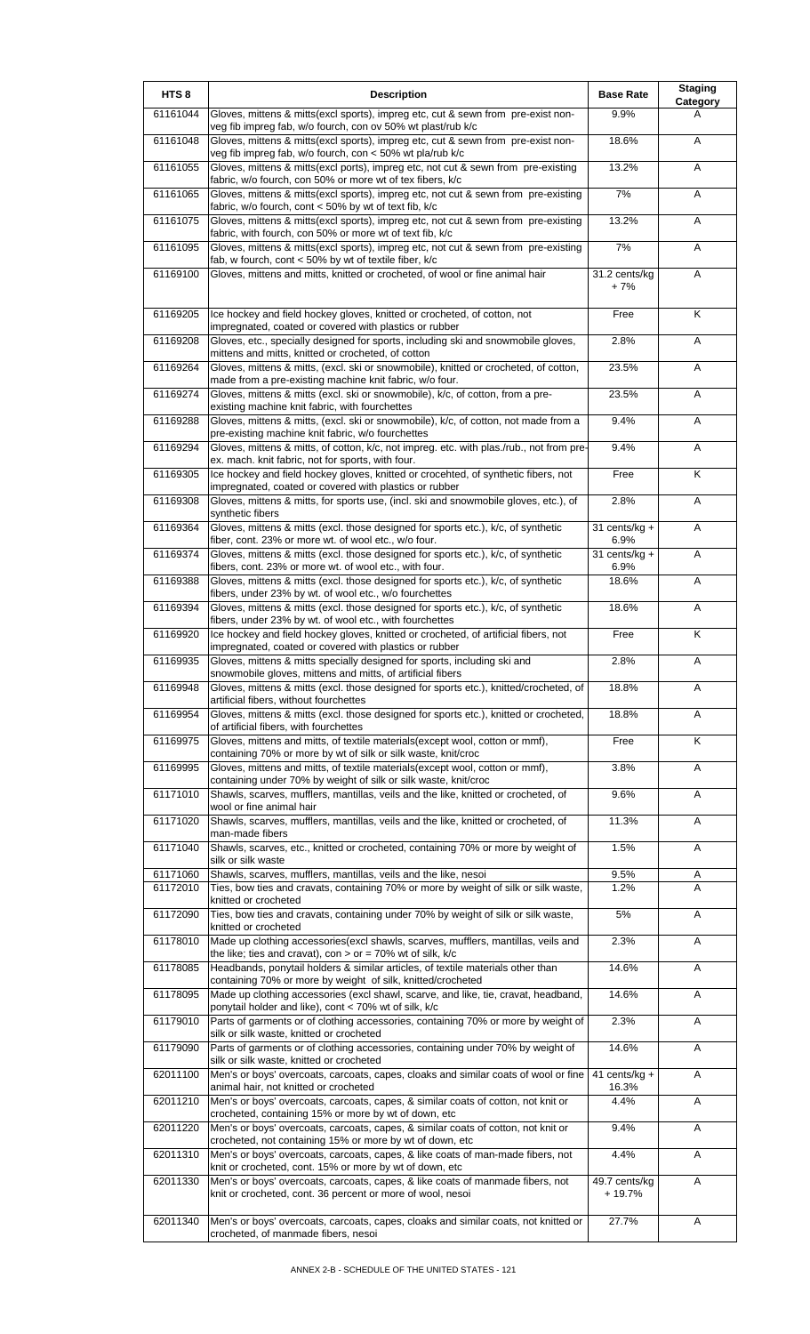| HTS <sub>8</sub>     | <b>Description</b>                                                                                                                                     | <b>Base Rate</b>          | <b>Staging</b><br>Category |
|----------------------|--------------------------------------------------------------------------------------------------------------------------------------------------------|---------------------------|----------------------------|
| 61161044             | Gloves, mittens & mitts(excl sports), impreg etc, cut & sewn from pre-exist non-<br>veg fib impreg fab, w/o fourch, con ov 50% wt plast/rub k/c        | 9.9%                      | A                          |
| 61161048             | Gloves, mittens & mitts(excl sports), impreg etc, cut & sewn from pre-exist non-<br>veg fib impreg fab, w/o fourch, con < 50% wt pla/rub k/c           | 18.6%                     | Α                          |
| 61161055             | Gloves, mittens & mitts(excl ports), impreg etc, not cut & sewn from pre-existing<br>fabric, w/o fourch, con 50% or more wt of tex fibers, k/c         | 13.2%                     | Α                          |
| 61161065             | Gloves, mittens & mitts(excl sports), impreg etc, not cut & sewn from pre-existing<br>fabric, w/o fourch, cont < 50% by wt of text fib, k/c            | 7%                        | Α                          |
| 61161075             | Gloves, mittens & mitts(excl sports), impreg etc, not cut & sewn from pre-existing<br>fabric, with fourch, con 50% or more wt of text fib, k/c         | 13.2%                     | A                          |
| 61161095             | Gloves, mittens & mitts(excl sports), impreg etc, not cut & sewn from pre-existing<br>fab, w fourch, cont $<$ 50% by wt of textile fiber, k/c          | 7%                        | A                          |
| 61169100             | Gloves, mittens and mitts, knitted or crocheted, of wool or fine animal hair                                                                           | 31.2 cents/kg<br>$+7%$    | A                          |
| 61169205             | Ice hockey and field hockey gloves, knitted or crocheted, of cotton, not<br>impregnated, coated or covered with plastics or rubber                     | Free                      | K                          |
| 61169208             | Gloves, etc., specially designed for sports, including ski and snowmobile gloves,<br>mittens and mitts, knitted or crocheted, of cotton                | 2.8%                      | Α                          |
| 61169264             | Gloves, mittens & mitts, (excl. ski or snowmobile), knitted or crocheted, of cotton,<br>made from a pre-existing machine knit fabric, w/o four.        | 23.5%                     | A                          |
| 61169274             | Gloves, mittens & mitts (excl. ski or snowmobile), k/c, of cotton, from a pre-<br>existing machine knit fabric, with fourchettes                       | 23.5%                     | A                          |
| 61169288             | Gloves, mittens & mitts, (excl. ski or snowmobile), k/c, of cotton, not made from a<br>pre-existing machine knit fabric, w/o fourchettes               | 9.4%                      | Α                          |
| 61169294             | Gloves, mittens & mitts, of cotton, k/c, not impreg. etc. with plas./rub., not from pre-<br>ex. mach. knit fabric, not for sports, with four.          | 9.4%                      | Α                          |
| 61169305             | Ice hockey and field hockey gloves, knitted or crocehted, of synthetic fibers, not<br>impregnated, coated or covered with plastics or rubber           | Free                      | Κ                          |
| 61169308             | Gloves, mittens & mitts, for sports use, (incl. ski and snowmobile gloves, etc.), of<br>synthetic fibers                                               | 2.8%                      | Α                          |
| 61169364             | Gloves, mittens & mitts (excl. those designed for sports etc.), k/c, of synthetic<br>fiber, cont. 23% or more wt. of wool etc., w/o four.              | 31 cents/kg +<br>6.9%     | Α                          |
| 61169374             | Gloves, mittens & mitts (excl. those designed for sports etc.), k/c, of synthetic<br>fibers, cont. 23% or more wt. of wool etc., with four.            | 31 cents/ $kg +$<br>6.9%  | Α                          |
| 61169388             | Gloves, mittens & mitts (excl. those designed for sports etc.), k/c, of synthetic<br>fibers, under 23% by wt. of wool etc., w/o fourchettes            | 18.6%                     | A                          |
| 61169394             | Gloves, mittens & mitts (excl. those designed for sports etc.), k/c, of synthetic<br>fibers, under 23% by wt. of wool etc., with fourchettes           | 18.6%                     | Α                          |
| 61169920             | Ice hockey and field hockey gloves, knitted or crocheted, of artificial fibers, not<br>impregnated, coated or covered with plastics or rubber          | Free                      | K                          |
| 61169935             | Gloves, mittens & mitts specially designed for sports, including ski and<br>snowmobile gloves, mittens and mitts, of artificial fibers                 | 2.8%                      | A                          |
| 61169948             | Gloves, mittens & mitts (excl. those designed for sports etc.), knitted/crocheted, of<br>artificial fibers, without fourchettes                        | 18.8%                     | A                          |
| 61169954             | Gloves, mittens & mitts (excl. those designed for sports etc.), knitted or crocheted,<br>of artificial fibers, with fourchettes                        | 18.8%                     | Α                          |
| 61169975             | Gloves, mittens and mitts, of textile materials(except wool, cotton or mmf),<br>containing 70% or more by wt of silk or silk waste, knit/croc          | Free                      | K                          |
| 61169995             | Gloves, mittens and mitts, of textile materials(except wool, cotton or mmf),<br>containing under 70% by weight of silk or silk waste, knit/croc        | 3.8%                      | Α                          |
| 61171010             | Shawls, scarves, mufflers, mantillas, veils and the like, knitted or crocheted, of<br>wool or fine animal hair                                         | 9.6%                      | Α                          |
| 61171020             | Shawls, scarves, mufflers, mantillas, veils and the like, knitted or crocheted, of<br>man-made fibers                                                  | 11.3%                     | A                          |
| 61171040             | Shawls, scarves, etc., knitted or crocheted, containing 70% or more by weight of<br>silk or silk waste                                                 | 1.5%                      | A                          |
| 61171060<br>61172010 | Shawls, scarves, mufflers, mantillas, veils and the like, nesoi<br>Ties, bow ties and cravats, containing 70% or more by weight of silk or silk waste, | 9.5%<br>1.2%              | Α<br>A                     |
|                      | knitted or crocheted                                                                                                                                   |                           |                            |
| 61172090             | Ties, bow ties and cravats, containing under 70% by weight of silk or silk waste,<br>knitted or crocheted                                              | $5\%$                     | Α                          |
| 61178010             | Made up clothing accessories(excl shawls, scarves, mufflers, mantillas, veils and<br>the like; ties and cravat), con $>$ or = 70% wt of silk, k/c      | 2.3%                      | Α                          |
| 61178085<br>61178095 | Headbands, ponytail holders & similar articles, of textile materials other than<br>containing 70% or more by weight of silk, knitted/crocheted         | 14.6%<br>14.6%            | Α                          |
|                      | Made up clothing accessories (excl shawl, scarve, and like, tie, cravat, headband,<br>ponytail holder and like), cont < 70% wt of silk, k/c            |                           | Α                          |
| 61179010             | Parts of garments or of clothing accessories, containing 70% or more by weight of<br>silk or silk waste, knitted or crocheted                          | 2.3%                      | Α                          |
| 61179090             | Parts of garments or of clothing accessories, containing under 70% by weight of<br>silk or silk waste, knitted or crocheted                            | 14.6%                     | Α                          |
| 62011100             | Men's or boys' overcoats, carcoats, capes, cloaks and similar coats of wool or fine<br>animal hair, not knitted or crocheted                           | 41 cents/ $kg +$<br>16.3% | A                          |
| 62011210             | Men's or boys' overcoats, carcoats, capes, & similar coats of cotton, not knit or<br>crocheted, containing 15% or more by wt of down, etc              | 4.4%                      | Α                          |
| 62011220             | Men's or boys' overcoats, carcoats, capes, & similar coats of cotton, not knit or<br>crocheted, not containing 15% or more by wt of down, etc          | 9.4%                      | Α                          |
| 62011310             | Men's or boys' overcoats, carcoats, capes, & like coats of man-made fibers, not<br>knit or crocheted, cont. 15% or more by wt of down, etc             | 4.4%                      | Α                          |
| 62011330             | Men's or boys' overcoats, carcoats, capes, & like coats of manmade fibers, not<br>knit or crocheted, cont. 36 percent or more of wool, nesoi           | 49.7 cents/kg<br>+ 19.7%  | Α                          |
| 62011340             | Men's or boys' overcoats, carcoats, capes, cloaks and similar coats, not knitted or<br>crocheted, of manmade fibers, nesoi                             | 27.7%                     | A                          |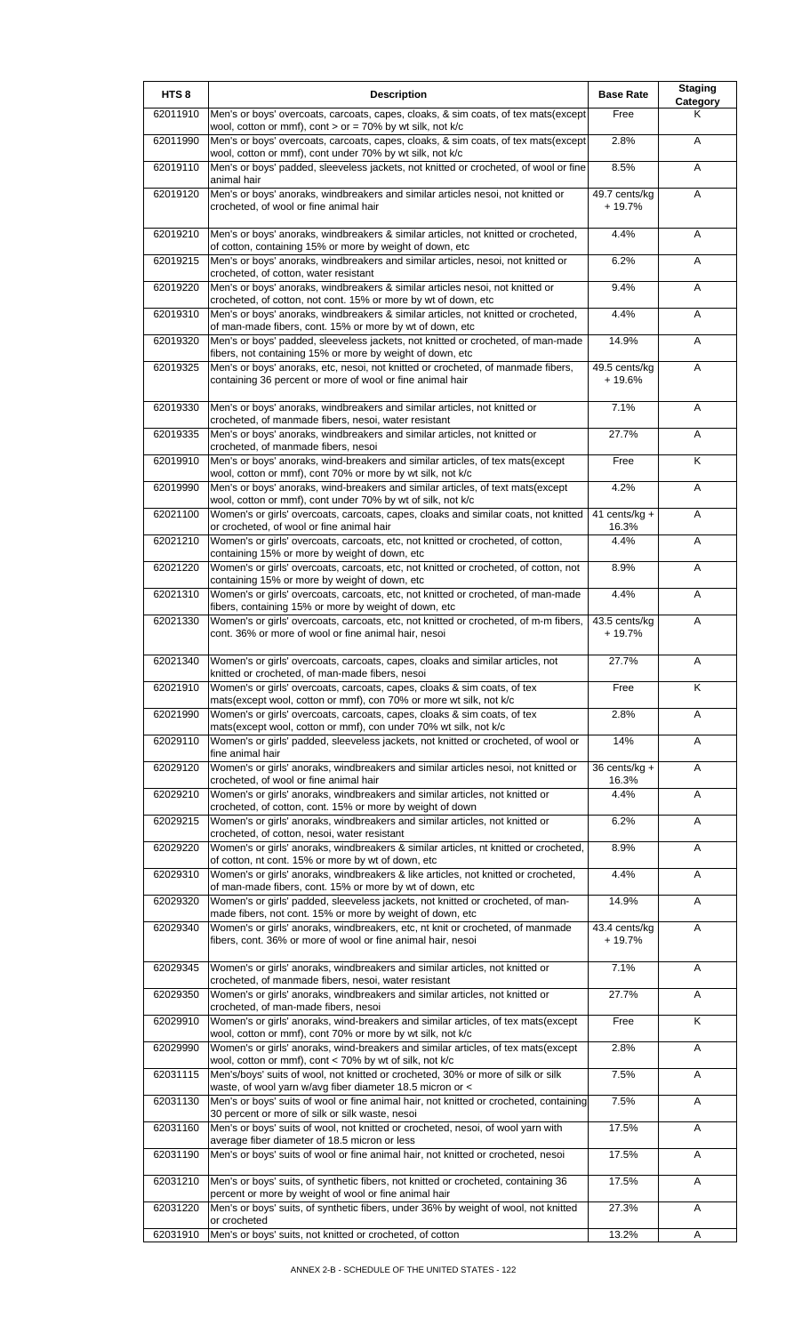| HTS <sub>8</sub> | <b>Description</b>                                                                                                                                                                                        | <b>Base Rate</b>          | <b>Staging</b><br>Category |
|------------------|-----------------------------------------------------------------------------------------------------------------------------------------------------------------------------------------------------------|---------------------------|----------------------------|
| 62011910         | Men's or boys' overcoats, carcoats, capes, cloaks, & sim coats, of tex mats(except<br>wool, cotton or mmf), cont > or = $70\%$ by wt silk, not k/c                                                        | Free                      | Κ                          |
| 62011990         | Men's or boys' overcoats, carcoats, capes, cloaks, & sim coats, of tex mats(except<br>wool, cotton or mmf), cont under 70% by wt silk, not k/c                                                            | 2.8%                      | A                          |
| 62019110         | Men's or boys' padded, sleeveless jackets, not knitted or crocheted, of wool or fine<br>animal hair                                                                                                       | 8.5%                      | Α                          |
| 62019120         | Men's or boys' anoraks, windbreakers and similar articles nesoi, not knitted or<br>crocheted, of wool or fine animal hair                                                                                 | 49.7 cents/kg<br>$+19.7%$ | A                          |
| 62019210         | Men's or boys' anoraks, windbreakers & similar articles, not knitted or crocheted,<br>of cotton, containing 15% or more by weight of down, etc                                                            | 4.4%                      | Α                          |
| 62019215         | Men's or boys' anoraks, windbreakers and similar articles, nesoi, not knitted or<br>crocheted, of cotton, water resistant                                                                                 | 6.2%                      | Α                          |
| 62019220         | Men's or boys' anoraks, windbreakers & similar articles nesoi, not knitted or<br>crocheted, of cotton, not cont. 15% or more by wt of down, etc                                                           | 9.4%                      | Α                          |
| 62019310         | Men's or boys' anoraks, windbreakers & similar articles, not knitted or crocheted,<br>of man-made fibers, cont. 15% or more by wt of down, etc                                                            | 4.4%                      | Α                          |
| 62019320         | Men's or boys' padded, sleeveless jackets, not knitted or crocheted, of man-made<br>fibers, not containing 15% or more by weight of down, etc                                                             | 14.9%                     | Α                          |
| 62019325         | Men's or boys' anoraks, etc, nesoi, not knitted or crocheted, of manmade fibers,<br>containing 36 percent or more of wool or fine animal hair                                                             | 49.5 cents/kg<br>+ 19.6%  | Α                          |
| 62019330         | Men's or boys' anoraks, windbreakers and similar articles, not knitted or<br>crocheted, of manmade fibers, nesoi, water resistant                                                                         | 7.1%                      | A                          |
| 62019335         | Men's or boys' anoraks, windbreakers and similar articles, not knitted or<br>crocheted, of manmade fibers, nesoi                                                                                          | 27.7%                     | A                          |
| 62019910         | Men's or boys' anoraks, wind-breakers and similar articles, of tex mats(except<br>wool, cotton or mmf), cont 70% or more by wt silk, not k/c                                                              | Free                      | Κ                          |
| 62019990         | Men's or boys' anoraks, wind-breakers and similar articles, of text mats(except<br>wool, cotton or mmf), cont under 70% by wt of silk, not k/c                                                            | 4.2%                      | A                          |
| 62021100         | Women's or girls' overcoats, carcoats, capes, cloaks and similar coats, not knitted<br>or crocheted, of wool or fine animal hair                                                                          | 41 cents/ $kg +$<br>16.3% | Α                          |
| 62021210         | Women's or girls' overcoats, carcoats, etc, not knitted or crocheted, of cotton,<br>containing 15% or more by weight of down, etc                                                                         | 4.4%                      | Α                          |
| 62021220         | Women's or girls' overcoats, carcoats, etc, not knitted or crocheted, of cotton, not<br>containing 15% or more by weight of down, etc                                                                     | 8.9%                      | Α                          |
| 62021310         | Women's or girls' overcoats, carcoats, etc, not knitted or crocheted, of man-made<br>fibers, containing 15% or more by weight of down, etc                                                                | 4.4%                      | Α                          |
| 62021330         | Women's or girls' overcoats, carcoats, etc, not knitted or crocheted, of m-m fibers,<br>cont. 36% or more of wool or fine animal hair, nesoi                                                              | 43.5 cents/kg<br>$+19.7%$ | A                          |
| 62021340         | Women's or girls' overcoats, carcoats, capes, cloaks and similar articles, not<br>knitted or crocheted, of man-made fibers, nesoi                                                                         | 27.7%                     | Α                          |
| 62021910         | Women's or girls' overcoats, carcoats, capes, cloaks & sim coats, of tex<br>mats(except wool, cotton or mmf), con 70% or more wt silk, not k/c                                                            | Free                      | K                          |
| 62021990         | Women's or girls' overcoats, carcoats, capes, cloaks & sim coats, of tex<br>mats(except wool, cotton or mmf), con under 70% wt silk, not k/c                                                              | 2.8%                      | A                          |
| 62029110         | Women's or girls' padded, sleeveless jackets, not knitted or crocheted, of wool or<br>fine animal hair                                                                                                    | 14%                       | A                          |
| 62029120         | Women's or girls' anoraks, windbreakers and similar articles nesoi, not knitted or<br>crocheted, of wool or fine animal hair                                                                              | 36 cents/kg +<br>16.3%    | Α                          |
| 62029210         | Women's or girls' anoraks, windbreakers and similar articles, not knitted or<br>crocheted, of cotton, cont. 15% or more by weight of down                                                                 | 4.4%                      | Α                          |
| 62029215         | Women's or girls' anoraks, windbreakers and similar articles, not knitted or<br>crocheted, of cotton, nesoi, water resistant                                                                              | 6.2%                      | A                          |
| 62029220         | Women's or girls' anoraks, windbreakers & similar articles, nt knitted or crocheted,<br>of cotton, nt cont. 15% or more by wt of down, etc                                                                | 8.9%                      | Α                          |
| 62029310         | Women's or girls' anoraks, windbreakers & like articles, not knitted or crocheted,                                                                                                                        | 4.4%                      | Α                          |
| 62029320         | of man-made fibers, cont. 15% or more by wt of down, etc<br>Women's or girls' padded, sleeveless jackets, not knitted or crocheted, of man-<br>made fibers, not cont. 15% or more by weight of down, etc. | 14.9%                     | Α                          |
| 62029340         | Women's or girls' anoraks, windbreakers, etc, nt knit or crocheted, of manmade<br>fibers, cont. 36% or more of wool or fine animal hair, nesoi                                                            | 43.4 cents/kg<br>$+19.7%$ | A                          |
| 62029345         | Women's or girls' anoraks, windbreakers and similar articles, not knitted or                                                                                                                              | 7.1%                      | A                          |
| 62029350         | crocheted, of manmade fibers, nesoi, water resistant<br>Women's or girls' anoraks, windbreakers and similar articles, not knitted or                                                                      | 27.7%                     | A                          |
| 62029910         | crocheted, of man-made fibers, nesoi<br>Women's or girls' anoraks, wind-breakers and similar articles, of tex mats(except<br>wool, cotton or mmf), cont 70% or more by wt silk, not k/c                   | Free                      | K                          |
| 62029990         | Women's or girls' anoraks, wind-breakers and similar articles, of tex mats(except                                                                                                                         | 2.8%                      | Α                          |
| 62031115         | wool, cotton or mmf), cont < 70% by wt of silk, not k/c<br>Men's/boys' suits of wool, not knitted or crocheted, 30% or more of silk or silk<br>waste, of wool yarn w/avg fiber diameter 18.5 micron or <  | 7.5%                      | Α                          |
| 62031130         | Men's or boys' suits of wool or fine animal hair, not knitted or crocheted, containing<br>30 percent or more of silk or silk waste, nesoi                                                                 | 7.5%                      | Α                          |
| 62031160         | Men's or boys' suits of wool, not knitted or crocheted, nesoi, of wool yarn with<br>average fiber diameter of 18.5 micron or less                                                                         | 17.5%                     | Α                          |
| 62031190         | Men's or boys' suits of wool or fine animal hair, not knitted or crocheted, nesoi                                                                                                                         | 17.5%                     | A                          |
| 62031210         | Men's or boys' suits, of synthetic fibers, not knitted or crocheted, containing 36<br>percent or more by weight of wool or fine animal hair                                                               | 17.5%                     | Α                          |
| 62031220         | Men's or boys' suits, of synthetic fibers, under 36% by weight of wool, not knitted<br>or crocheted                                                                                                       | 27.3%                     | Α                          |
| 62031910         | Men's or boys' suits, not knitted or crocheted, of cotton                                                                                                                                                 | 13.2%                     | Α                          |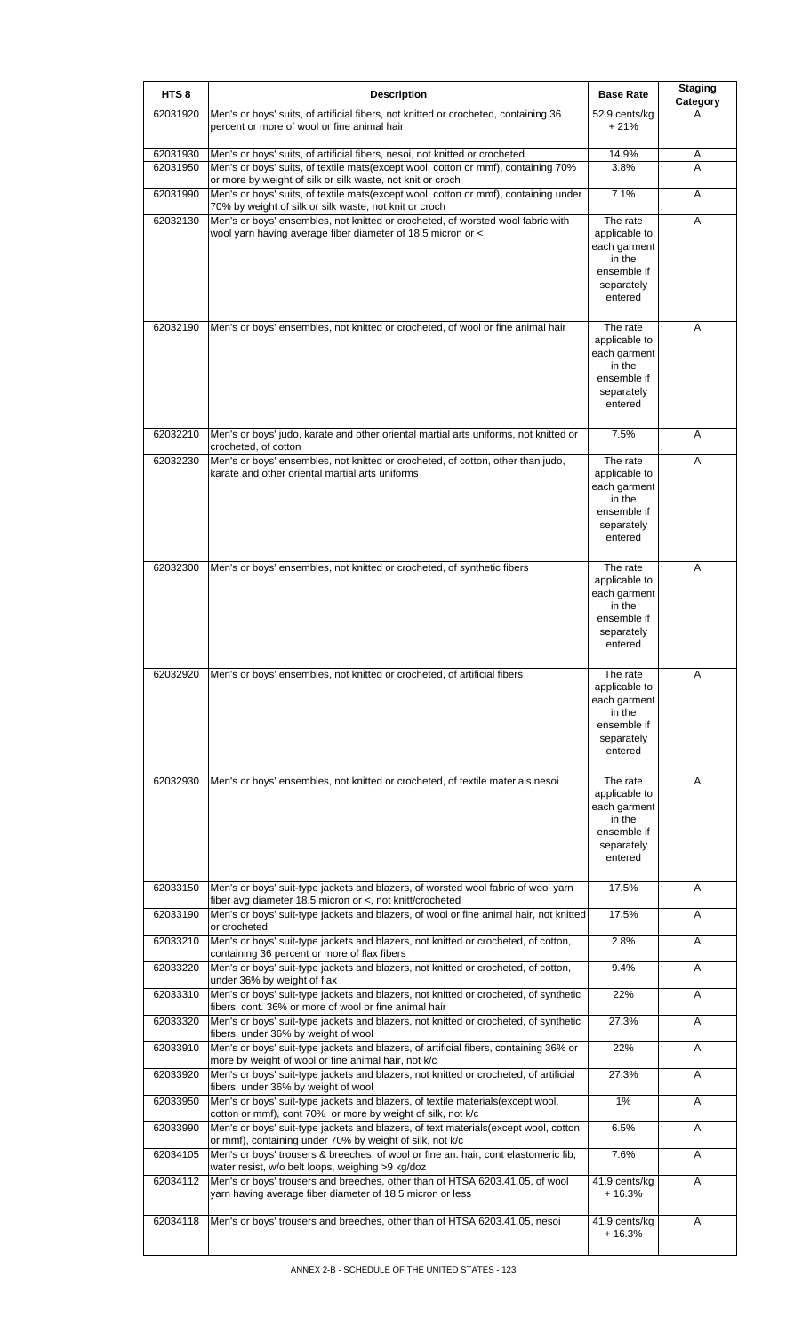| Men's or boys' suits, of artificial fibers, not knitted or crocheted, containing 36<br>62031920<br>52.9 cents/kg<br>A<br>percent or more of wool or fine animal hair<br>$+21%$<br>14.9%<br>62031930<br>Men's or boys' suits, of artificial fibers, nesoi, not knitted or crocheted<br>A<br>3.8%<br>62031950<br>Men's or boys' suits, of textile mats(except wool, cotton or mmf), containing 70%<br>A<br>or more by weight of silk or silk waste, not knit or croch<br>Men's or boys' suits, of textile mats(except wool, cotton or mmf), containing under<br>7.1%<br>62031990<br>A<br>70% by weight of silk or silk waste, not knit or croch<br>Men's or boys' ensembles, not knitted or crocheted, of worsted wool fabric with<br>The rate<br>62032130<br>Α<br>wool yarn having average fiber diameter of 18.5 micron or <<br>applicable to<br>each garment<br>in the<br>ensemble if<br>separately<br>entered<br>62032190<br>Men's or boys' ensembles, not knitted or crocheted, of wool or fine animal hair<br>The rate<br>A<br>applicable to<br>each garment<br>in the<br>ensemble if<br>separately<br>entered<br>7.5%<br>62032210<br>Men's or boys' judo, karate and other oriental martial arts uniforms, not knitted or<br>A<br>crocheted, of cotton<br>Men's or boys' ensembles, not knitted or crocheted, of cotton, other than judo,<br>The rate<br>62032230<br>Α<br>karate and other oriental martial arts uniforms<br>applicable to<br>each garment<br>in the<br>ensemble if<br>separately<br>entered<br>The rate<br>62032300<br>Men's or boys' ensembles, not knitted or crocheted, of synthetic fibers<br>A<br>applicable to<br>each garment<br>in the<br>ensemble if<br>separately<br>entered<br>62032920<br>Men's or boys' ensembles, not knitted or crocheted, of artificial fibers<br>The rate<br>A<br>applicable to<br>each garment<br>in the<br>ensemble if<br>separately<br>entered<br>62032930<br>Men's or boys' ensembles, not knitted or crocheted, of textile materials nesoi<br>The rate<br>A<br>applicable to<br>each garment<br>in the<br>ensemble if<br>separately<br>entered<br>Men's or boys' suit-type jackets and blazers, of worsted wool fabric of wool yarn<br>62033150<br>17.5%<br>Α<br>fiber avg diameter 18.5 micron or <, not knitt/crocheted<br>Men's or boys' suit-type jackets and blazers, of wool or fine animal hair, not knitted<br>17.5%<br>62033190<br>Α<br>or crocheted<br>Men's or boys' suit-type jackets and blazers, not knitted or crocheted, of cotton,<br>2.8%<br>62033210<br>Α<br>containing 36 percent or more of flax fibers<br>Men's or boys' suit-type jackets and blazers, not knitted or crocheted, of cotton,<br>62033220<br>9.4%<br>A<br>under 36% by weight of flax<br>Men's or boys' suit-type jackets and blazers, not knitted or crocheted, of synthetic<br>62033310<br>22%<br>Α<br>fibers, cont. 36% or more of wool or fine animal hair<br>Men's or boys' suit-type jackets and blazers, not knitted or crocheted, of synthetic<br>27.3%<br>62033320<br>Α<br>fibers, under 36% by weight of wool<br>Men's or boys' suit-type jackets and blazers, of artificial fibers, containing 36% or<br>22%<br>62033910<br>Α<br>more by weight of wool or fine animal hair, not k/c<br>Men's or boys' suit-type jackets and blazers, not knitted or crocheted, of artificial<br>27.3%<br>62033920<br>Α<br>fibers, under 36% by weight of wool<br>Men's or boys' suit-type jackets and blazers, of textile materials(except wool,<br>62033950<br>1%<br>Α<br>cotton or mmf), cont 70% or more by weight of silk, not k/c<br>Men's or boys' suit-type jackets and blazers, of text materials(except wool, cotton<br>62033990<br>6.5%<br>Α<br>or mmf), containing under 70% by weight of silk, not k/c<br>Men's or boys' trousers & breeches, of wool or fine an. hair, cont elastomeric fib,<br>7.6%<br>62034105<br>A<br>water resist, w/o belt loops, weighing >9 kg/doz<br>62034112<br>Men's or boys' trousers and breeches, other than of HTSA 6203.41.05, of wool<br>41.9 cents/kg<br>Α<br>yarn having average fiber diameter of 18.5 micron or less<br>$+16.3%$<br>Men's or boys' trousers and breeches, other than of HTSA 6203.41.05, nesoi<br>62034118<br>41.9 cents/kg<br>Α<br>$+16.3%$ | HTS <sub>8</sub> | <b>Description</b> | <b>Base Rate</b> | <b>Staging</b><br>Category |
|------------------------------------------------------------------------------------------------------------------------------------------------------------------------------------------------------------------------------------------------------------------------------------------------------------------------------------------------------------------------------------------------------------------------------------------------------------------------------------------------------------------------------------------------------------------------------------------------------------------------------------------------------------------------------------------------------------------------------------------------------------------------------------------------------------------------------------------------------------------------------------------------------------------------------------------------------------------------------------------------------------------------------------------------------------------------------------------------------------------------------------------------------------------------------------------------------------------------------------------------------------------------------------------------------------------------------------------------------------------------------------------------------------------------------------------------------------------------------------------------------------------------------------------------------------------------------------------------------------------------------------------------------------------------------------------------------------------------------------------------------------------------------------------------------------------------------------------------------------------------------------------------------------------------------------------------------------------------------------------------------------------------------------------------------------------------------------------------------------------------------------------------------------------------------------------------------------------------------------------------------------------------------------------------------------------------------------------------------------------------------------------------------------------------------------------------------------------------------------------------------------------------------------------------------------------------------------------------------------------------------------------------------------------------------------------------------------------------------------------------------------------------------------------------------------------------------------------------------------------------------------------------------------------------------------------------------------------------------------------------------------------------------------------------------------------------------------------------------------------------------------------------------------------------------------------------------------------------------------------------------------------------------------------------------------------------------------------------------------------------------------------------------------------------------------------------------------------------------------------------------------------------------------------------------------------------------------------------------------------------------------------------------------------------------------------------------------------------------------------------------------------------------------------------------------------------------------------------------------------------------------------------------------------------------------------------------------------------------------------------------------------------------------------------------------------------------------------------------------------------------------------------------------------------------------------------------------------------------------------------------------|------------------|--------------------|------------------|----------------------------|
|                                                                                                                                                                                                                                                                                                                                                                                                                                                                                                                                                                                                                                                                                                                                                                                                                                                                                                                                                                                                                                                                                                                                                                                                                                                                                                                                                                                                                                                                                                                                                                                                                                                                                                                                                                                                                                                                                                                                                                                                                                                                                                                                                                                                                                                                                                                                                                                                                                                                                                                                                                                                                                                                                                                                                                                                                                                                                                                                                                                                                                                                                                                                                                                                                                                                                                                                                                                                                                                                                                                                                                                                                                                                                                                                                                                                                                                                                                                                                                                                                                                                                                                                                                                                                                                            |                  |                    |                  |                            |
|                                                                                                                                                                                                                                                                                                                                                                                                                                                                                                                                                                                                                                                                                                                                                                                                                                                                                                                                                                                                                                                                                                                                                                                                                                                                                                                                                                                                                                                                                                                                                                                                                                                                                                                                                                                                                                                                                                                                                                                                                                                                                                                                                                                                                                                                                                                                                                                                                                                                                                                                                                                                                                                                                                                                                                                                                                                                                                                                                                                                                                                                                                                                                                                                                                                                                                                                                                                                                                                                                                                                                                                                                                                                                                                                                                                                                                                                                                                                                                                                                                                                                                                                                                                                                                                            |                  |                    |                  |                            |
|                                                                                                                                                                                                                                                                                                                                                                                                                                                                                                                                                                                                                                                                                                                                                                                                                                                                                                                                                                                                                                                                                                                                                                                                                                                                                                                                                                                                                                                                                                                                                                                                                                                                                                                                                                                                                                                                                                                                                                                                                                                                                                                                                                                                                                                                                                                                                                                                                                                                                                                                                                                                                                                                                                                                                                                                                                                                                                                                                                                                                                                                                                                                                                                                                                                                                                                                                                                                                                                                                                                                                                                                                                                                                                                                                                                                                                                                                                                                                                                                                                                                                                                                                                                                                                                            |                  |                    |                  |                            |
|                                                                                                                                                                                                                                                                                                                                                                                                                                                                                                                                                                                                                                                                                                                                                                                                                                                                                                                                                                                                                                                                                                                                                                                                                                                                                                                                                                                                                                                                                                                                                                                                                                                                                                                                                                                                                                                                                                                                                                                                                                                                                                                                                                                                                                                                                                                                                                                                                                                                                                                                                                                                                                                                                                                                                                                                                                                                                                                                                                                                                                                                                                                                                                                                                                                                                                                                                                                                                                                                                                                                                                                                                                                                                                                                                                                                                                                                                                                                                                                                                                                                                                                                                                                                                                                            |                  |                    |                  |                            |
|                                                                                                                                                                                                                                                                                                                                                                                                                                                                                                                                                                                                                                                                                                                                                                                                                                                                                                                                                                                                                                                                                                                                                                                                                                                                                                                                                                                                                                                                                                                                                                                                                                                                                                                                                                                                                                                                                                                                                                                                                                                                                                                                                                                                                                                                                                                                                                                                                                                                                                                                                                                                                                                                                                                                                                                                                                                                                                                                                                                                                                                                                                                                                                                                                                                                                                                                                                                                                                                                                                                                                                                                                                                                                                                                                                                                                                                                                                                                                                                                                                                                                                                                                                                                                                                            |                  |                    |                  |                            |
|                                                                                                                                                                                                                                                                                                                                                                                                                                                                                                                                                                                                                                                                                                                                                                                                                                                                                                                                                                                                                                                                                                                                                                                                                                                                                                                                                                                                                                                                                                                                                                                                                                                                                                                                                                                                                                                                                                                                                                                                                                                                                                                                                                                                                                                                                                                                                                                                                                                                                                                                                                                                                                                                                                                                                                                                                                                                                                                                                                                                                                                                                                                                                                                                                                                                                                                                                                                                                                                                                                                                                                                                                                                                                                                                                                                                                                                                                                                                                                                                                                                                                                                                                                                                                                                            |                  |                    |                  |                            |
|                                                                                                                                                                                                                                                                                                                                                                                                                                                                                                                                                                                                                                                                                                                                                                                                                                                                                                                                                                                                                                                                                                                                                                                                                                                                                                                                                                                                                                                                                                                                                                                                                                                                                                                                                                                                                                                                                                                                                                                                                                                                                                                                                                                                                                                                                                                                                                                                                                                                                                                                                                                                                                                                                                                                                                                                                                                                                                                                                                                                                                                                                                                                                                                                                                                                                                                                                                                                                                                                                                                                                                                                                                                                                                                                                                                                                                                                                                                                                                                                                                                                                                                                                                                                                                                            |                  |                    |                  |                            |
|                                                                                                                                                                                                                                                                                                                                                                                                                                                                                                                                                                                                                                                                                                                                                                                                                                                                                                                                                                                                                                                                                                                                                                                                                                                                                                                                                                                                                                                                                                                                                                                                                                                                                                                                                                                                                                                                                                                                                                                                                                                                                                                                                                                                                                                                                                                                                                                                                                                                                                                                                                                                                                                                                                                                                                                                                                                                                                                                                                                                                                                                                                                                                                                                                                                                                                                                                                                                                                                                                                                                                                                                                                                                                                                                                                                                                                                                                                                                                                                                                                                                                                                                                                                                                                                            |                  |                    |                  |                            |
|                                                                                                                                                                                                                                                                                                                                                                                                                                                                                                                                                                                                                                                                                                                                                                                                                                                                                                                                                                                                                                                                                                                                                                                                                                                                                                                                                                                                                                                                                                                                                                                                                                                                                                                                                                                                                                                                                                                                                                                                                                                                                                                                                                                                                                                                                                                                                                                                                                                                                                                                                                                                                                                                                                                                                                                                                                                                                                                                                                                                                                                                                                                                                                                                                                                                                                                                                                                                                                                                                                                                                                                                                                                                                                                                                                                                                                                                                                                                                                                                                                                                                                                                                                                                                                                            |                  |                    |                  |                            |
|                                                                                                                                                                                                                                                                                                                                                                                                                                                                                                                                                                                                                                                                                                                                                                                                                                                                                                                                                                                                                                                                                                                                                                                                                                                                                                                                                                                                                                                                                                                                                                                                                                                                                                                                                                                                                                                                                                                                                                                                                                                                                                                                                                                                                                                                                                                                                                                                                                                                                                                                                                                                                                                                                                                                                                                                                                                                                                                                                                                                                                                                                                                                                                                                                                                                                                                                                                                                                                                                                                                                                                                                                                                                                                                                                                                                                                                                                                                                                                                                                                                                                                                                                                                                                                                            |                  |                    |                  |                            |
|                                                                                                                                                                                                                                                                                                                                                                                                                                                                                                                                                                                                                                                                                                                                                                                                                                                                                                                                                                                                                                                                                                                                                                                                                                                                                                                                                                                                                                                                                                                                                                                                                                                                                                                                                                                                                                                                                                                                                                                                                                                                                                                                                                                                                                                                                                                                                                                                                                                                                                                                                                                                                                                                                                                                                                                                                                                                                                                                                                                                                                                                                                                                                                                                                                                                                                                                                                                                                                                                                                                                                                                                                                                                                                                                                                                                                                                                                                                                                                                                                                                                                                                                                                                                                                                            |                  |                    |                  |                            |
|                                                                                                                                                                                                                                                                                                                                                                                                                                                                                                                                                                                                                                                                                                                                                                                                                                                                                                                                                                                                                                                                                                                                                                                                                                                                                                                                                                                                                                                                                                                                                                                                                                                                                                                                                                                                                                                                                                                                                                                                                                                                                                                                                                                                                                                                                                                                                                                                                                                                                                                                                                                                                                                                                                                                                                                                                                                                                                                                                                                                                                                                                                                                                                                                                                                                                                                                                                                                                                                                                                                                                                                                                                                                                                                                                                                                                                                                                                                                                                                                                                                                                                                                                                                                                                                            |                  |                    |                  |                            |
|                                                                                                                                                                                                                                                                                                                                                                                                                                                                                                                                                                                                                                                                                                                                                                                                                                                                                                                                                                                                                                                                                                                                                                                                                                                                                                                                                                                                                                                                                                                                                                                                                                                                                                                                                                                                                                                                                                                                                                                                                                                                                                                                                                                                                                                                                                                                                                                                                                                                                                                                                                                                                                                                                                                                                                                                                                                                                                                                                                                                                                                                                                                                                                                                                                                                                                                                                                                                                                                                                                                                                                                                                                                                                                                                                                                                                                                                                                                                                                                                                                                                                                                                                                                                                                                            |                  |                    |                  |                            |
|                                                                                                                                                                                                                                                                                                                                                                                                                                                                                                                                                                                                                                                                                                                                                                                                                                                                                                                                                                                                                                                                                                                                                                                                                                                                                                                                                                                                                                                                                                                                                                                                                                                                                                                                                                                                                                                                                                                                                                                                                                                                                                                                                                                                                                                                                                                                                                                                                                                                                                                                                                                                                                                                                                                                                                                                                                                                                                                                                                                                                                                                                                                                                                                                                                                                                                                                                                                                                                                                                                                                                                                                                                                                                                                                                                                                                                                                                                                                                                                                                                                                                                                                                                                                                                                            |                  |                    |                  |                            |
|                                                                                                                                                                                                                                                                                                                                                                                                                                                                                                                                                                                                                                                                                                                                                                                                                                                                                                                                                                                                                                                                                                                                                                                                                                                                                                                                                                                                                                                                                                                                                                                                                                                                                                                                                                                                                                                                                                                                                                                                                                                                                                                                                                                                                                                                                                                                                                                                                                                                                                                                                                                                                                                                                                                                                                                                                                                                                                                                                                                                                                                                                                                                                                                                                                                                                                                                                                                                                                                                                                                                                                                                                                                                                                                                                                                                                                                                                                                                                                                                                                                                                                                                                                                                                                                            |                  |                    |                  |                            |
|                                                                                                                                                                                                                                                                                                                                                                                                                                                                                                                                                                                                                                                                                                                                                                                                                                                                                                                                                                                                                                                                                                                                                                                                                                                                                                                                                                                                                                                                                                                                                                                                                                                                                                                                                                                                                                                                                                                                                                                                                                                                                                                                                                                                                                                                                                                                                                                                                                                                                                                                                                                                                                                                                                                                                                                                                                                                                                                                                                                                                                                                                                                                                                                                                                                                                                                                                                                                                                                                                                                                                                                                                                                                                                                                                                                                                                                                                                                                                                                                                                                                                                                                                                                                                                                            |                  |                    |                  |                            |
|                                                                                                                                                                                                                                                                                                                                                                                                                                                                                                                                                                                                                                                                                                                                                                                                                                                                                                                                                                                                                                                                                                                                                                                                                                                                                                                                                                                                                                                                                                                                                                                                                                                                                                                                                                                                                                                                                                                                                                                                                                                                                                                                                                                                                                                                                                                                                                                                                                                                                                                                                                                                                                                                                                                                                                                                                                                                                                                                                                                                                                                                                                                                                                                                                                                                                                                                                                                                                                                                                                                                                                                                                                                                                                                                                                                                                                                                                                                                                                                                                                                                                                                                                                                                                                                            |                  |                    |                  |                            |
|                                                                                                                                                                                                                                                                                                                                                                                                                                                                                                                                                                                                                                                                                                                                                                                                                                                                                                                                                                                                                                                                                                                                                                                                                                                                                                                                                                                                                                                                                                                                                                                                                                                                                                                                                                                                                                                                                                                                                                                                                                                                                                                                                                                                                                                                                                                                                                                                                                                                                                                                                                                                                                                                                                                                                                                                                                                                                                                                                                                                                                                                                                                                                                                                                                                                                                                                                                                                                                                                                                                                                                                                                                                                                                                                                                                                                                                                                                                                                                                                                                                                                                                                                                                                                                                            |                  |                    |                  |                            |
|                                                                                                                                                                                                                                                                                                                                                                                                                                                                                                                                                                                                                                                                                                                                                                                                                                                                                                                                                                                                                                                                                                                                                                                                                                                                                                                                                                                                                                                                                                                                                                                                                                                                                                                                                                                                                                                                                                                                                                                                                                                                                                                                                                                                                                                                                                                                                                                                                                                                                                                                                                                                                                                                                                                                                                                                                                                                                                                                                                                                                                                                                                                                                                                                                                                                                                                                                                                                                                                                                                                                                                                                                                                                                                                                                                                                                                                                                                                                                                                                                                                                                                                                                                                                                                                            |                  |                    |                  |                            |
|                                                                                                                                                                                                                                                                                                                                                                                                                                                                                                                                                                                                                                                                                                                                                                                                                                                                                                                                                                                                                                                                                                                                                                                                                                                                                                                                                                                                                                                                                                                                                                                                                                                                                                                                                                                                                                                                                                                                                                                                                                                                                                                                                                                                                                                                                                                                                                                                                                                                                                                                                                                                                                                                                                                                                                                                                                                                                                                                                                                                                                                                                                                                                                                                                                                                                                                                                                                                                                                                                                                                                                                                                                                                                                                                                                                                                                                                                                                                                                                                                                                                                                                                                                                                                                                            |                  |                    |                  |                            |
|                                                                                                                                                                                                                                                                                                                                                                                                                                                                                                                                                                                                                                                                                                                                                                                                                                                                                                                                                                                                                                                                                                                                                                                                                                                                                                                                                                                                                                                                                                                                                                                                                                                                                                                                                                                                                                                                                                                                                                                                                                                                                                                                                                                                                                                                                                                                                                                                                                                                                                                                                                                                                                                                                                                                                                                                                                                                                                                                                                                                                                                                                                                                                                                                                                                                                                                                                                                                                                                                                                                                                                                                                                                                                                                                                                                                                                                                                                                                                                                                                                                                                                                                                                                                                                                            |                  |                    |                  |                            |
|                                                                                                                                                                                                                                                                                                                                                                                                                                                                                                                                                                                                                                                                                                                                                                                                                                                                                                                                                                                                                                                                                                                                                                                                                                                                                                                                                                                                                                                                                                                                                                                                                                                                                                                                                                                                                                                                                                                                                                                                                                                                                                                                                                                                                                                                                                                                                                                                                                                                                                                                                                                                                                                                                                                                                                                                                                                                                                                                                                                                                                                                                                                                                                                                                                                                                                                                                                                                                                                                                                                                                                                                                                                                                                                                                                                                                                                                                                                                                                                                                                                                                                                                                                                                                                                            |                  |                    |                  |                            |
|                                                                                                                                                                                                                                                                                                                                                                                                                                                                                                                                                                                                                                                                                                                                                                                                                                                                                                                                                                                                                                                                                                                                                                                                                                                                                                                                                                                                                                                                                                                                                                                                                                                                                                                                                                                                                                                                                                                                                                                                                                                                                                                                                                                                                                                                                                                                                                                                                                                                                                                                                                                                                                                                                                                                                                                                                                                                                                                                                                                                                                                                                                                                                                                                                                                                                                                                                                                                                                                                                                                                                                                                                                                                                                                                                                                                                                                                                                                                                                                                                                                                                                                                                                                                                                                            |                  |                    |                  |                            |
|                                                                                                                                                                                                                                                                                                                                                                                                                                                                                                                                                                                                                                                                                                                                                                                                                                                                                                                                                                                                                                                                                                                                                                                                                                                                                                                                                                                                                                                                                                                                                                                                                                                                                                                                                                                                                                                                                                                                                                                                                                                                                                                                                                                                                                                                                                                                                                                                                                                                                                                                                                                                                                                                                                                                                                                                                                                                                                                                                                                                                                                                                                                                                                                                                                                                                                                                                                                                                                                                                                                                                                                                                                                                                                                                                                                                                                                                                                                                                                                                                                                                                                                                                                                                                                                            |                  |                    |                  |                            |
|                                                                                                                                                                                                                                                                                                                                                                                                                                                                                                                                                                                                                                                                                                                                                                                                                                                                                                                                                                                                                                                                                                                                                                                                                                                                                                                                                                                                                                                                                                                                                                                                                                                                                                                                                                                                                                                                                                                                                                                                                                                                                                                                                                                                                                                                                                                                                                                                                                                                                                                                                                                                                                                                                                                                                                                                                                                                                                                                                                                                                                                                                                                                                                                                                                                                                                                                                                                                                                                                                                                                                                                                                                                                                                                                                                                                                                                                                                                                                                                                                                                                                                                                                                                                                                                            |                  |                    |                  |                            |
|                                                                                                                                                                                                                                                                                                                                                                                                                                                                                                                                                                                                                                                                                                                                                                                                                                                                                                                                                                                                                                                                                                                                                                                                                                                                                                                                                                                                                                                                                                                                                                                                                                                                                                                                                                                                                                                                                                                                                                                                                                                                                                                                                                                                                                                                                                                                                                                                                                                                                                                                                                                                                                                                                                                                                                                                                                                                                                                                                                                                                                                                                                                                                                                                                                                                                                                                                                                                                                                                                                                                                                                                                                                                                                                                                                                                                                                                                                                                                                                                                                                                                                                                                                                                                                                            |                  |                    |                  |                            |
|                                                                                                                                                                                                                                                                                                                                                                                                                                                                                                                                                                                                                                                                                                                                                                                                                                                                                                                                                                                                                                                                                                                                                                                                                                                                                                                                                                                                                                                                                                                                                                                                                                                                                                                                                                                                                                                                                                                                                                                                                                                                                                                                                                                                                                                                                                                                                                                                                                                                                                                                                                                                                                                                                                                                                                                                                                                                                                                                                                                                                                                                                                                                                                                                                                                                                                                                                                                                                                                                                                                                                                                                                                                                                                                                                                                                                                                                                                                                                                                                                                                                                                                                                                                                                                                            |                  |                    |                  |                            |
|                                                                                                                                                                                                                                                                                                                                                                                                                                                                                                                                                                                                                                                                                                                                                                                                                                                                                                                                                                                                                                                                                                                                                                                                                                                                                                                                                                                                                                                                                                                                                                                                                                                                                                                                                                                                                                                                                                                                                                                                                                                                                                                                                                                                                                                                                                                                                                                                                                                                                                                                                                                                                                                                                                                                                                                                                                                                                                                                                                                                                                                                                                                                                                                                                                                                                                                                                                                                                                                                                                                                                                                                                                                                                                                                                                                                                                                                                                                                                                                                                                                                                                                                                                                                                                                            |                  |                    |                  |                            |
|                                                                                                                                                                                                                                                                                                                                                                                                                                                                                                                                                                                                                                                                                                                                                                                                                                                                                                                                                                                                                                                                                                                                                                                                                                                                                                                                                                                                                                                                                                                                                                                                                                                                                                                                                                                                                                                                                                                                                                                                                                                                                                                                                                                                                                                                                                                                                                                                                                                                                                                                                                                                                                                                                                                                                                                                                                                                                                                                                                                                                                                                                                                                                                                                                                                                                                                                                                                                                                                                                                                                                                                                                                                                                                                                                                                                                                                                                                                                                                                                                                                                                                                                                                                                                                                            |                  |                    |                  |                            |
|                                                                                                                                                                                                                                                                                                                                                                                                                                                                                                                                                                                                                                                                                                                                                                                                                                                                                                                                                                                                                                                                                                                                                                                                                                                                                                                                                                                                                                                                                                                                                                                                                                                                                                                                                                                                                                                                                                                                                                                                                                                                                                                                                                                                                                                                                                                                                                                                                                                                                                                                                                                                                                                                                                                                                                                                                                                                                                                                                                                                                                                                                                                                                                                                                                                                                                                                                                                                                                                                                                                                                                                                                                                                                                                                                                                                                                                                                                                                                                                                                                                                                                                                                                                                                                                            |                  |                    |                  |                            |
|                                                                                                                                                                                                                                                                                                                                                                                                                                                                                                                                                                                                                                                                                                                                                                                                                                                                                                                                                                                                                                                                                                                                                                                                                                                                                                                                                                                                                                                                                                                                                                                                                                                                                                                                                                                                                                                                                                                                                                                                                                                                                                                                                                                                                                                                                                                                                                                                                                                                                                                                                                                                                                                                                                                                                                                                                                                                                                                                                                                                                                                                                                                                                                                                                                                                                                                                                                                                                                                                                                                                                                                                                                                                                                                                                                                                                                                                                                                                                                                                                                                                                                                                                                                                                                                            |                  |                    |                  |                            |
|                                                                                                                                                                                                                                                                                                                                                                                                                                                                                                                                                                                                                                                                                                                                                                                                                                                                                                                                                                                                                                                                                                                                                                                                                                                                                                                                                                                                                                                                                                                                                                                                                                                                                                                                                                                                                                                                                                                                                                                                                                                                                                                                                                                                                                                                                                                                                                                                                                                                                                                                                                                                                                                                                                                                                                                                                                                                                                                                                                                                                                                                                                                                                                                                                                                                                                                                                                                                                                                                                                                                                                                                                                                                                                                                                                                                                                                                                                                                                                                                                                                                                                                                                                                                                                                            |                  |                    |                  |                            |
|                                                                                                                                                                                                                                                                                                                                                                                                                                                                                                                                                                                                                                                                                                                                                                                                                                                                                                                                                                                                                                                                                                                                                                                                                                                                                                                                                                                                                                                                                                                                                                                                                                                                                                                                                                                                                                                                                                                                                                                                                                                                                                                                                                                                                                                                                                                                                                                                                                                                                                                                                                                                                                                                                                                                                                                                                                                                                                                                                                                                                                                                                                                                                                                                                                                                                                                                                                                                                                                                                                                                                                                                                                                                                                                                                                                                                                                                                                                                                                                                                                                                                                                                                                                                                                                            |                  |                    |                  |                            |
|                                                                                                                                                                                                                                                                                                                                                                                                                                                                                                                                                                                                                                                                                                                                                                                                                                                                                                                                                                                                                                                                                                                                                                                                                                                                                                                                                                                                                                                                                                                                                                                                                                                                                                                                                                                                                                                                                                                                                                                                                                                                                                                                                                                                                                                                                                                                                                                                                                                                                                                                                                                                                                                                                                                                                                                                                                                                                                                                                                                                                                                                                                                                                                                                                                                                                                                                                                                                                                                                                                                                                                                                                                                                                                                                                                                                                                                                                                                                                                                                                                                                                                                                                                                                                                                            |                  |                    |                  |                            |
|                                                                                                                                                                                                                                                                                                                                                                                                                                                                                                                                                                                                                                                                                                                                                                                                                                                                                                                                                                                                                                                                                                                                                                                                                                                                                                                                                                                                                                                                                                                                                                                                                                                                                                                                                                                                                                                                                                                                                                                                                                                                                                                                                                                                                                                                                                                                                                                                                                                                                                                                                                                                                                                                                                                                                                                                                                                                                                                                                                                                                                                                                                                                                                                                                                                                                                                                                                                                                                                                                                                                                                                                                                                                                                                                                                                                                                                                                                                                                                                                                                                                                                                                                                                                                                                            |                  |                    |                  |                            |
|                                                                                                                                                                                                                                                                                                                                                                                                                                                                                                                                                                                                                                                                                                                                                                                                                                                                                                                                                                                                                                                                                                                                                                                                                                                                                                                                                                                                                                                                                                                                                                                                                                                                                                                                                                                                                                                                                                                                                                                                                                                                                                                                                                                                                                                                                                                                                                                                                                                                                                                                                                                                                                                                                                                                                                                                                                                                                                                                                                                                                                                                                                                                                                                                                                                                                                                                                                                                                                                                                                                                                                                                                                                                                                                                                                                                                                                                                                                                                                                                                                                                                                                                                                                                                                                            |                  |                    |                  |                            |
|                                                                                                                                                                                                                                                                                                                                                                                                                                                                                                                                                                                                                                                                                                                                                                                                                                                                                                                                                                                                                                                                                                                                                                                                                                                                                                                                                                                                                                                                                                                                                                                                                                                                                                                                                                                                                                                                                                                                                                                                                                                                                                                                                                                                                                                                                                                                                                                                                                                                                                                                                                                                                                                                                                                                                                                                                                                                                                                                                                                                                                                                                                                                                                                                                                                                                                                                                                                                                                                                                                                                                                                                                                                                                                                                                                                                                                                                                                                                                                                                                                                                                                                                                                                                                                                            |                  |                    |                  |                            |
|                                                                                                                                                                                                                                                                                                                                                                                                                                                                                                                                                                                                                                                                                                                                                                                                                                                                                                                                                                                                                                                                                                                                                                                                                                                                                                                                                                                                                                                                                                                                                                                                                                                                                                                                                                                                                                                                                                                                                                                                                                                                                                                                                                                                                                                                                                                                                                                                                                                                                                                                                                                                                                                                                                                                                                                                                                                                                                                                                                                                                                                                                                                                                                                                                                                                                                                                                                                                                                                                                                                                                                                                                                                                                                                                                                                                                                                                                                                                                                                                                                                                                                                                                                                                                                                            |                  |                    |                  |                            |
|                                                                                                                                                                                                                                                                                                                                                                                                                                                                                                                                                                                                                                                                                                                                                                                                                                                                                                                                                                                                                                                                                                                                                                                                                                                                                                                                                                                                                                                                                                                                                                                                                                                                                                                                                                                                                                                                                                                                                                                                                                                                                                                                                                                                                                                                                                                                                                                                                                                                                                                                                                                                                                                                                                                                                                                                                                                                                                                                                                                                                                                                                                                                                                                                                                                                                                                                                                                                                                                                                                                                                                                                                                                                                                                                                                                                                                                                                                                                                                                                                                                                                                                                                                                                                                                            |                  |                    |                  |                            |
|                                                                                                                                                                                                                                                                                                                                                                                                                                                                                                                                                                                                                                                                                                                                                                                                                                                                                                                                                                                                                                                                                                                                                                                                                                                                                                                                                                                                                                                                                                                                                                                                                                                                                                                                                                                                                                                                                                                                                                                                                                                                                                                                                                                                                                                                                                                                                                                                                                                                                                                                                                                                                                                                                                                                                                                                                                                                                                                                                                                                                                                                                                                                                                                                                                                                                                                                                                                                                                                                                                                                                                                                                                                                                                                                                                                                                                                                                                                                                                                                                                                                                                                                                                                                                                                            |                  |                    |                  |                            |
|                                                                                                                                                                                                                                                                                                                                                                                                                                                                                                                                                                                                                                                                                                                                                                                                                                                                                                                                                                                                                                                                                                                                                                                                                                                                                                                                                                                                                                                                                                                                                                                                                                                                                                                                                                                                                                                                                                                                                                                                                                                                                                                                                                                                                                                                                                                                                                                                                                                                                                                                                                                                                                                                                                                                                                                                                                                                                                                                                                                                                                                                                                                                                                                                                                                                                                                                                                                                                                                                                                                                                                                                                                                                                                                                                                                                                                                                                                                                                                                                                                                                                                                                                                                                                                                            |                  |                    |                  |                            |
|                                                                                                                                                                                                                                                                                                                                                                                                                                                                                                                                                                                                                                                                                                                                                                                                                                                                                                                                                                                                                                                                                                                                                                                                                                                                                                                                                                                                                                                                                                                                                                                                                                                                                                                                                                                                                                                                                                                                                                                                                                                                                                                                                                                                                                                                                                                                                                                                                                                                                                                                                                                                                                                                                                                                                                                                                                                                                                                                                                                                                                                                                                                                                                                                                                                                                                                                                                                                                                                                                                                                                                                                                                                                                                                                                                                                                                                                                                                                                                                                                                                                                                                                                                                                                                                            |                  |                    |                  |                            |
|                                                                                                                                                                                                                                                                                                                                                                                                                                                                                                                                                                                                                                                                                                                                                                                                                                                                                                                                                                                                                                                                                                                                                                                                                                                                                                                                                                                                                                                                                                                                                                                                                                                                                                                                                                                                                                                                                                                                                                                                                                                                                                                                                                                                                                                                                                                                                                                                                                                                                                                                                                                                                                                                                                                                                                                                                                                                                                                                                                                                                                                                                                                                                                                                                                                                                                                                                                                                                                                                                                                                                                                                                                                                                                                                                                                                                                                                                                                                                                                                                                                                                                                                                                                                                                                            |                  |                    |                  |                            |
|                                                                                                                                                                                                                                                                                                                                                                                                                                                                                                                                                                                                                                                                                                                                                                                                                                                                                                                                                                                                                                                                                                                                                                                                                                                                                                                                                                                                                                                                                                                                                                                                                                                                                                                                                                                                                                                                                                                                                                                                                                                                                                                                                                                                                                                                                                                                                                                                                                                                                                                                                                                                                                                                                                                                                                                                                                                                                                                                                                                                                                                                                                                                                                                                                                                                                                                                                                                                                                                                                                                                                                                                                                                                                                                                                                                                                                                                                                                                                                                                                                                                                                                                                                                                                                                            |                  |                    |                  |                            |
|                                                                                                                                                                                                                                                                                                                                                                                                                                                                                                                                                                                                                                                                                                                                                                                                                                                                                                                                                                                                                                                                                                                                                                                                                                                                                                                                                                                                                                                                                                                                                                                                                                                                                                                                                                                                                                                                                                                                                                                                                                                                                                                                                                                                                                                                                                                                                                                                                                                                                                                                                                                                                                                                                                                                                                                                                                                                                                                                                                                                                                                                                                                                                                                                                                                                                                                                                                                                                                                                                                                                                                                                                                                                                                                                                                                                                                                                                                                                                                                                                                                                                                                                                                                                                                                            |                  |                    |                  |                            |
|                                                                                                                                                                                                                                                                                                                                                                                                                                                                                                                                                                                                                                                                                                                                                                                                                                                                                                                                                                                                                                                                                                                                                                                                                                                                                                                                                                                                                                                                                                                                                                                                                                                                                                                                                                                                                                                                                                                                                                                                                                                                                                                                                                                                                                                                                                                                                                                                                                                                                                                                                                                                                                                                                                                                                                                                                                                                                                                                                                                                                                                                                                                                                                                                                                                                                                                                                                                                                                                                                                                                                                                                                                                                                                                                                                                                                                                                                                                                                                                                                                                                                                                                                                                                                                                            |                  |                    |                  |                            |
|                                                                                                                                                                                                                                                                                                                                                                                                                                                                                                                                                                                                                                                                                                                                                                                                                                                                                                                                                                                                                                                                                                                                                                                                                                                                                                                                                                                                                                                                                                                                                                                                                                                                                                                                                                                                                                                                                                                                                                                                                                                                                                                                                                                                                                                                                                                                                                                                                                                                                                                                                                                                                                                                                                                                                                                                                                                                                                                                                                                                                                                                                                                                                                                                                                                                                                                                                                                                                                                                                                                                                                                                                                                                                                                                                                                                                                                                                                                                                                                                                                                                                                                                                                                                                                                            |                  |                    |                  |                            |
|                                                                                                                                                                                                                                                                                                                                                                                                                                                                                                                                                                                                                                                                                                                                                                                                                                                                                                                                                                                                                                                                                                                                                                                                                                                                                                                                                                                                                                                                                                                                                                                                                                                                                                                                                                                                                                                                                                                                                                                                                                                                                                                                                                                                                                                                                                                                                                                                                                                                                                                                                                                                                                                                                                                                                                                                                                                                                                                                                                                                                                                                                                                                                                                                                                                                                                                                                                                                                                                                                                                                                                                                                                                                                                                                                                                                                                                                                                                                                                                                                                                                                                                                                                                                                                                            |                  |                    |                  |                            |
|                                                                                                                                                                                                                                                                                                                                                                                                                                                                                                                                                                                                                                                                                                                                                                                                                                                                                                                                                                                                                                                                                                                                                                                                                                                                                                                                                                                                                                                                                                                                                                                                                                                                                                                                                                                                                                                                                                                                                                                                                                                                                                                                                                                                                                                                                                                                                                                                                                                                                                                                                                                                                                                                                                                                                                                                                                                                                                                                                                                                                                                                                                                                                                                                                                                                                                                                                                                                                                                                                                                                                                                                                                                                                                                                                                                                                                                                                                                                                                                                                                                                                                                                                                                                                                                            |                  |                    |                  |                            |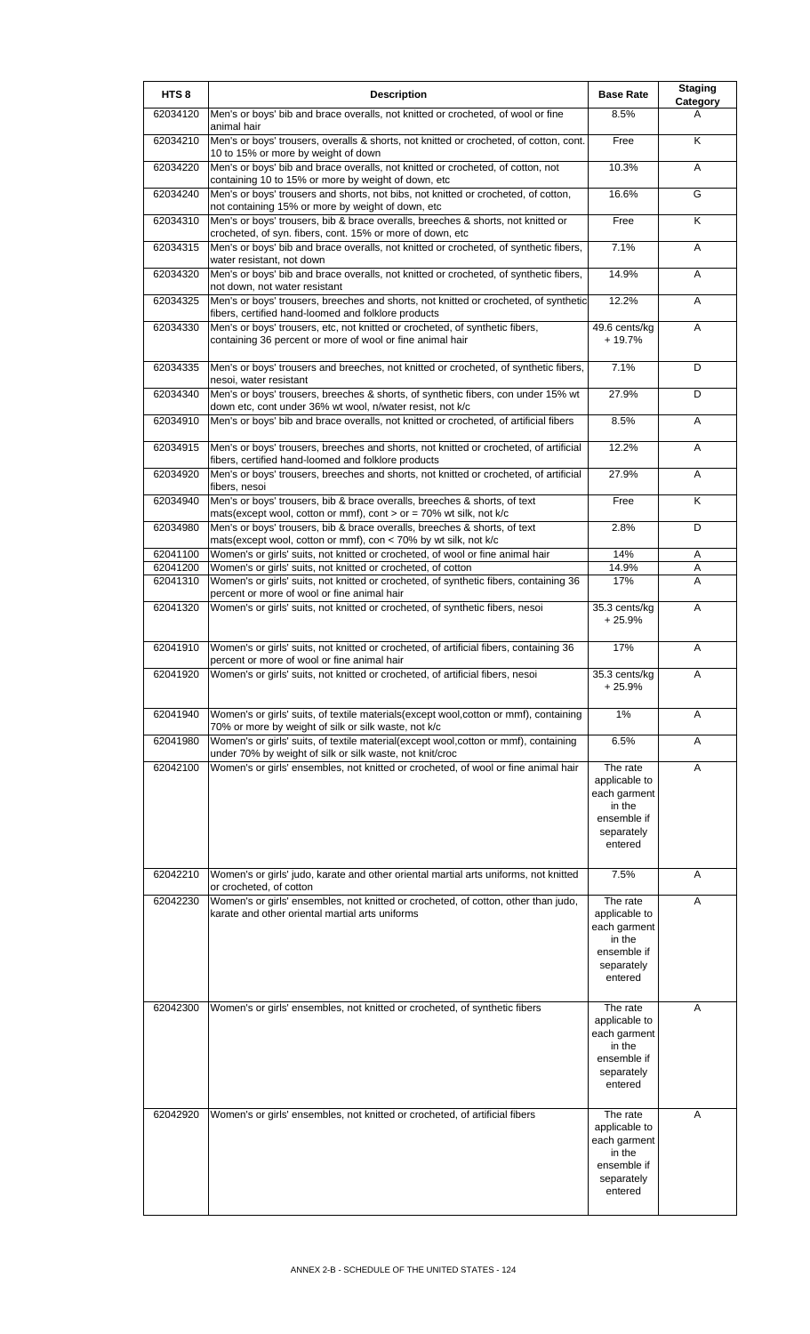| HTS <sub>8</sub>     | <b>Description</b>                                                                                                                                    | <b>Base Rate</b>                                                                            | <b>Staging</b><br>Category |
|----------------------|-------------------------------------------------------------------------------------------------------------------------------------------------------|---------------------------------------------------------------------------------------------|----------------------------|
| 62034120             | Men's or boys' bib and brace overalls, not knitted or crocheted, of wool or fine<br>animal hair                                                       | 8.5%                                                                                        | A                          |
| 62034210             | Men's or boys' trousers, overalls & shorts, not knitted or crocheted, of cotton, cont.<br>10 to 15% or more by weight of down                         | Free                                                                                        | K                          |
| 62034220             | Men's or boys' bib and brace overalls, not knitted or crocheted, of cotton, not<br>containing 10 to 15% or more by weight of down, etc                | 10.3%                                                                                       | A                          |
| 62034240             | Men's or boys' trousers and shorts, not bibs, not knitted or crocheted, of cotton,<br>not containing 15% or more by weight of down, etc               | 16.6%                                                                                       | G                          |
| 62034310             | Men's or boys' trousers, bib & brace overalls, breeches & shorts, not knitted or<br>crocheted, of syn. fibers, cont. 15% or more of down, etc         | Free                                                                                        | Κ                          |
| 62034315             | Men's or boys' bib and brace overalls, not knitted or crocheted, of synthetic fibers,<br>water resistant, not down                                    | 7.1%                                                                                        | A                          |
| 62034320             | Men's or boys' bib and brace overalls, not knitted or crocheted, of synthetic fibers,<br>not down, not water resistant                                | 14.9%                                                                                       | A                          |
| 62034325             | Men's or boys' trousers, breeches and shorts, not knitted or crocheted, of synthetic<br>fibers, certified hand-loomed and folklore products           | 12.2%                                                                                       | A                          |
| 62034330             | Men's or boys' trousers, etc, not knitted or crocheted, of synthetic fibers,<br>containing 36 percent or more of wool or fine animal hair             | 49.6 cents/kg<br>$+19.7%$                                                                   | A                          |
| 62034335             | Men's or boys' trousers and breeches, not knitted or crocheted, of synthetic fibers,<br>nesoi, water resistant                                        | 7.1%                                                                                        | D                          |
| 62034340             | Men's or boys' trousers, breeches & shorts, of synthetic fibers, con under 15% wt<br>down etc, cont under 36% wt wool, n/water resist, not k/c        | 27.9%                                                                                       | D                          |
| 62034910             | Men's or boys' bib and brace overalls, not knitted or crocheted, of artificial fibers                                                                 | 8.5%                                                                                        | A                          |
| 62034915             | Men's or boys' trousers, breeches and shorts, not knitted or crocheted, of artificial<br>fibers, certified hand-loomed and folklore products          | 12.2%                                                                                       | A                          |
| 62034920             | Men's or boys' trousers, breeches and shorts, not knitted or crocheted, of artificial<br>fibers, nesoi                                                | 27.9%                                                                                       | A                          |
| 62034940             | Men's or boys' trousers, bib & brace overalls, breeches & shorts, of text<br>mats(except wool, cotton or mmf), cont $>$ or = 70% wt silk, not k/c     | Free                                                                                        | K                          |
| 62034980             | Men's or boys' trousers, bib & brace overalls, breeches & shorts, of text<br>mats(except wool, cotton or mmf), con < 70% by wt silk, not k/c          | 2.8%                                                                                        | D                          |
| 62041100             | Women's or girls' suits, not knitted or crocheted, of wool or fine animal hair                                                                        | 14%                                                                                         | Α                          |
| 62041200<br>62041310 | Women's or girls' suits, not knitted or crocheted, of cotton<br>Women's or girls' suits, not knitted or crocheted, of synthetic fibers, containing 36 | 14.9%<br>17%                                                                                | Α<br>A                     |
| 62041320             | percent or more of wool or fine animal hair<br>Women's or girls' suits, not knitted or crocheted, of synthetic fibers, nesoi                          | 35.3 cents/kg<br>$+25.9%$                                                                   | A                          |
| 62041910             | Women's or girls' suits, not knitted or crocheted, of artificial fibers, containing 36<br>percent or more of wool or fine animal hair                 | 17%                                                                                         | A                          |
| 62041920             | Women's or girls' suits, not knitted or crocheted, of artificial fibers, nesoi                                                                        | 35.3 cents/kg<br>+ 25.9%                                                                    | A                          |
| 62041940             | Women's or girls' suits, of textile materials(except wool, cotton or mmf), containing<br>70% or more by weight of silk or silk waste, not k/c         | 1%                                                                                          | Α                          |
| 62041980             | Women's or girls' suits, of textile material(except wool, cotton or mmf), containing<br>under 70% by weight of silk or silk waste, not knit/croc      | 6.5%                                                                                        | Α                          |
| 62042100             | Women's or girls' ensembles, not knitted or crocheted, of wool or fine animal hair                                                                    | The rate<br>applicable to<br>each garment<br>in the<br>ensemble if<br>separately<br>entered | Α                          |
| 62042210             | Women's or girls' judo, karate and other oriental martial arts uniforms, not knitted<br>or crocheted, of cotton                                       | 7.5%                                                                                        | A                          |
| 62042230             | Women's or girls' ensembles, not knitted or crocheted, of cotton, other than judo,<br>karate and other oriental martial arts uniforms                 | The rate<br>applicable to<br>each garment<br>in the<br>ensemble if<br>separately<br>entered | A                          |
| 62042300             | Women's or girls' ensembles, not knitted or crocheted, of synthetic fibers                                                                            | The rate<br>applicable to<br>each garment<br>in the<br>ensemble if<br>separately<br>entered | Α                          |
| 62042920             | Women's or girls' ensembles, not knitted or crocheted, of artificial fibers                                                                           | The rate<br>applicable to<br>each garment<br>in the<br>ensemble if<br>separately<br>entered | A                          |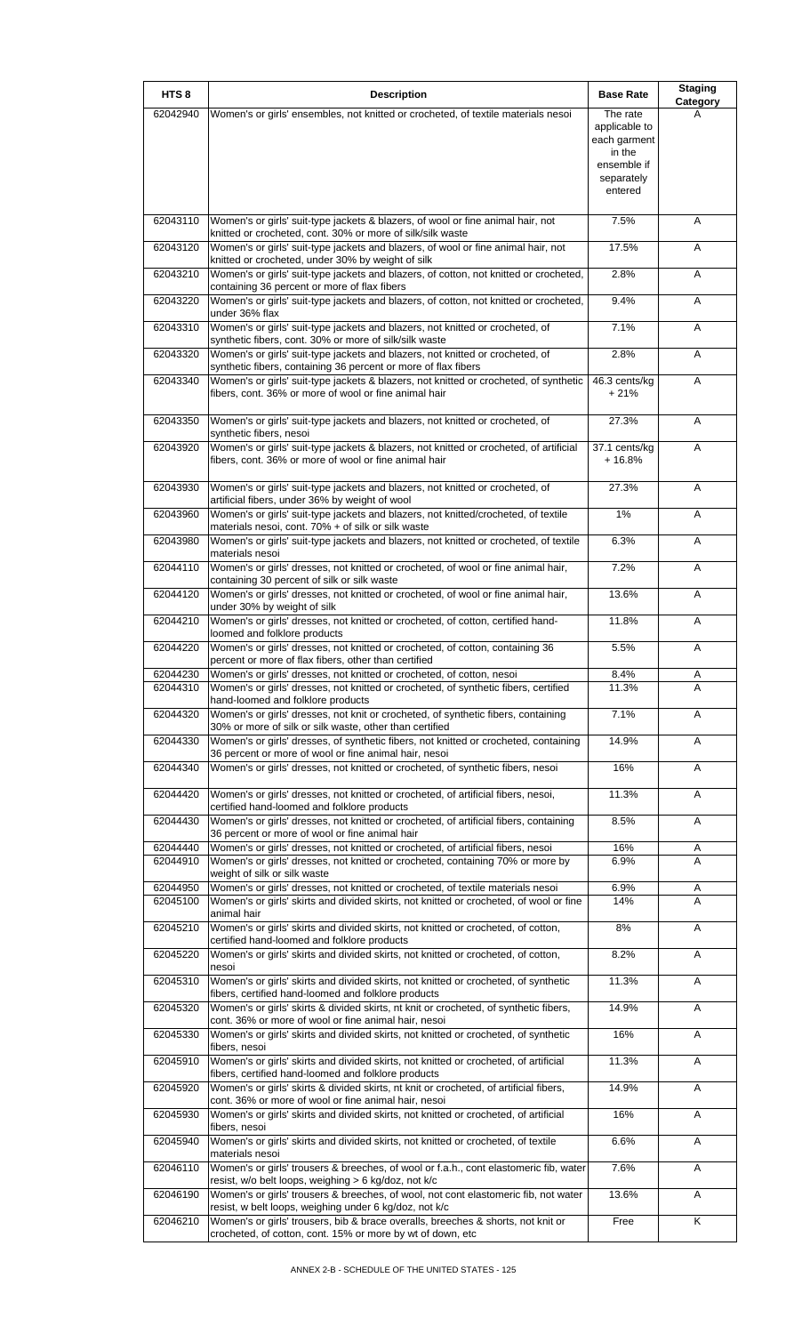| HTS <sub>8</sub>     | <b>Description</b>                                                                                                                                                                                       | <b>Base Rate</b>          | <b>Staging</b> |
|----------------------|----------------------------------------------------------------------------------------------------------------------------------------------------------------------------------------------------------|---------------------------|----------------|
| 62042940             | Women's or girls' ensembles, not knitted or crocheted, of textile materials nesoi                                                                                                                        | The rate<br>applicable to | Category<br>А  |
|                      |                                                                                                                                                                                                          | each garment<br>in the    |                |
|                      |                                                                                                                                                                                                          | ensemble if<br>separately |                |
|                      |                                                                                                                                                                                                          | entered                   |                |
| 62043110             | Women's or girls' suit-type jackets & blazers, of wool or fine animal hair, not                                                                                                                          | 7.5%                      | Α              |
| 62043120             | knitted or crocheted, cont. 30% or more of silk/silk waste<br>Women's or girls' suit-type jackets and blazers, of wool or fine animal hair, not<br>knitted or crocheted, under 30% by weight of silk     | 17.5%                     | Α              |
| 62043210             | Women's or girls' suit-type jackets and blazers, of cotton, not knitted or crocheted,                                                                                                                    | 2.8%                      | Α              |
| 62043220             | containing 36 percent or more of flax fibers<br>Women's or girls' suit-type jackets and blazers, of cotton, not knitted or crocheted,<br>under 36% flax                                                  | 9.4%                      | A              |
| 62043310             | Women's or girls' suit-type jackets and blazers, not knitted or crocheted, of<br>synthetic fibers, cont. 30% or more of silk/silk waste                                                                  | 7.1%                      | Α              |
| 62043320             | Women's or girls' suit-type jackets and blazers, not knitted or crocheted, of                                                                                                                            | 2.8%                      | A              |
| 62043340             | synthetic fibers, containing 36 percent or more of flax fibers<br>Women's or girls' suit-type jackets & blazers, not knitted or crocheted, of synthetic                                                  | 46.3 cents/kg             | A              |
|                      | fibers, cont. 36% or more of wool or fine animal hair                                                                                                                                                    | $+21%$                    |                |
| 62043350             | Women's or girls' suit-type jackets and blazers, not knitted or crocheted, of<br>synthetic fibers, nesoi                                                                                                 | 27.3%                     | Α              |
| 62043920             | Women's or girls' suit-type jackets & blazers, not knitted or crocheted, of artificial<br>fibers, cont. 36% or more of wool or fine animal hair                                                          | 37.1 cents/kg<br>$+16.8%$ | A              |
| 62043930             | Women's or girls' suit-type jackets and blazers, not knitted or crocheted, of                                                                                                                            | 27.3%                     | A              |
| 62043960             | artificial fibers, under 36% by weight of wool<br>Women's or girls' suit-type jackets and blazers, not knitted/crocheted, of textile                                                                     | 1%                        | A              |
| 62043980             | materials nesoi, cont. 70% + of silk or silk waste<br>Women's or girls' suit-type jackets and blazers, not knitted or crocheted, of textile                                                              | 6.3%                      | Α              |
|                      | materials nesoi                                                                                                                                                                                          |                           |                |
| 62044110             | Women's or girls' dresses, not knitted or crocheted, of wool or fine animal hair,<br>containing 30 percent of silk or silk waste                                                                         | 7.2%                      | Α              |
| 62044120             | Women's or girls' dresses, not knitted or crocheted, of wool or fine animal hair,<br>under 30% by weight of silk                                                                                         | 13.6%                     | A              |
| 62044210             | Women's or girls' dresses, not knitted or crocheted, of cotton, certified hand-<br>loomed and folklore products                                                                                          | 11.8%                     | Α              |
| 62044220             | Women's or girls' dresses, not knitted or crocheted, of cotton, containing 36<br>percent or more of flax fibers, other than certified                                                                    | 5.5%                      | Α              |
| 62044230<br>62044310 | Women's or girls' dresses, not knitted or crocheted, of cotton, nesoi<br>Women's or girls' dresses, not knitted or crocheted, of synthetic fibers, certified                                             | 8.4%<br>11.3%             | A<br>A         |
| 62044320             | hand-loomed and folklore products<br>Women's or girls' dresses, not knit or crocheted, of synthetic fibers, containing                                                                                   | 7.1%                      | A              |
| 62044330             | 30% or more of silk or silk waste, other than certified<br>Women's or girls' dresses, of synthetic fibers, not knitted or crocheted, containing                                                          | 14.9%                     | A              |
| 62044340             | 36 percent or more of wool or fine animal hair, nesoi<br>Women's or girls' dresses, not knitted or crocheted, of synthetic fibers, nesoi                                                                 | 16%                       | Α              |
| 62044420             | Women's or girls' dresses, not knitted or crocheted, of artificial fibers, nesoi,                                                                                                                        | 11.3%                     | Α              |
| 62044430             | certified hand-loomed and folklore products<br>Women's or girls' dresses, not knitted or crocheted, of artificial fibers, containing                                                                     | 8.5%                      | A              |
| 62044440             | 36 percent or more of wool or fine animal hair<br>Women's or girls' dresses, not knitted or crocheted, of artificial fibers, nesoi                                                                       | 16%                       | Α              |
| 62044910             | Women's or girls' dresses, not knitted or crocheted, containing 70% or more by                                                                                                                           | 6.9%                      | A              |
| 62044950             | weight of silk or silk waste<br>Women's or girls' dresses, not knitted or crocheted, of textile materials nesoi                                                                                          | 6.9%                      | Α              |
| 62045100             | Women's or girls' skirts and divided skirts, not knitted or crocheted, of wool or fine<br>animal hair                                                                                                    | 14%                       | A              |
| 62045210             | Women's or girls' skirts and divided skirts, not knitted or crocheted, of cotton,<br>certified hand-loomed and folklore products                                                                         | 8%                        | Α              |
| 62045220             | Women's or girls' skirts and divided skirts, not knitted or crocheted, of cotton,<br>nesoi                                                                                                               | 8.2%                      | Α              |
| 62045310             | Women's or girls' skirts and divided skirts, not knitted or crocheted, of synthetic<br>fibers, certified hand-loomed and folklore products                                                               | 11.3%                     | Α              |
| 62045320             | Women's or girls' skirts & divided skirts, nt knit or crocheted, of synthetic fibers,<br>cont. 36% or more of wool or fine animal hair, nesoi                                                            | 14.9%                     | Α              |
| 62045330             | Women's or girls' skirts and divided skirts, not knitted or crocheted, of synthetic<br>fibers, nesoi                                                                                                     | 16%                       | Α              |
| 62045910             | Women's or girls' skirts and divided skirts, not knitted or crocheted, of artificial<br>fibers, certified hand-loomed and folklore products                                                              | 11.3%                     | A              |
| 62045920             | Women's or girls' skirts & divided skirts, nt knit or crocheted, of artificial fibers,<br>cont. 36% or more of wool or fine animal hair, nesoi                                                           | 14.9%                     | Α              |
| 62045930             | Women's or girls' skirts and divided skirts, not knitted or crocheted, of artificial<br>fibers, nesoi                                                                                                    | 16%                       | Α              |
| 62045940             | Women's or girls' skirts and divided skirts, not knitted or crocheted, of textile<br>materials nesoi                                                                                                     | 6.6%                      | Α              |
| 62046110             | Women's or girls' trousers & breeches, of wool or f.a.h., cont elastomeric fib, water<br>resist, w/o belt loops, weighing > 6 kg/doz, not k/c                                                            | 7.6%                      | Α              |
| 62046190             | Women's or girls' trousers & breeches, of wool, not cont elastomeric fib, not water                                                                                                                      | 13.6%                     | A              |
| 62046210             | resist, w belt loops, weighing under 6 kg/doz, not k/c<br>Women's or girls' trousers, bib & brace overalls, breeches & shorts, not knit or<br>crocheted, of cotton, cont. 15% or more by wt of down, etc | Free                      | Κ              |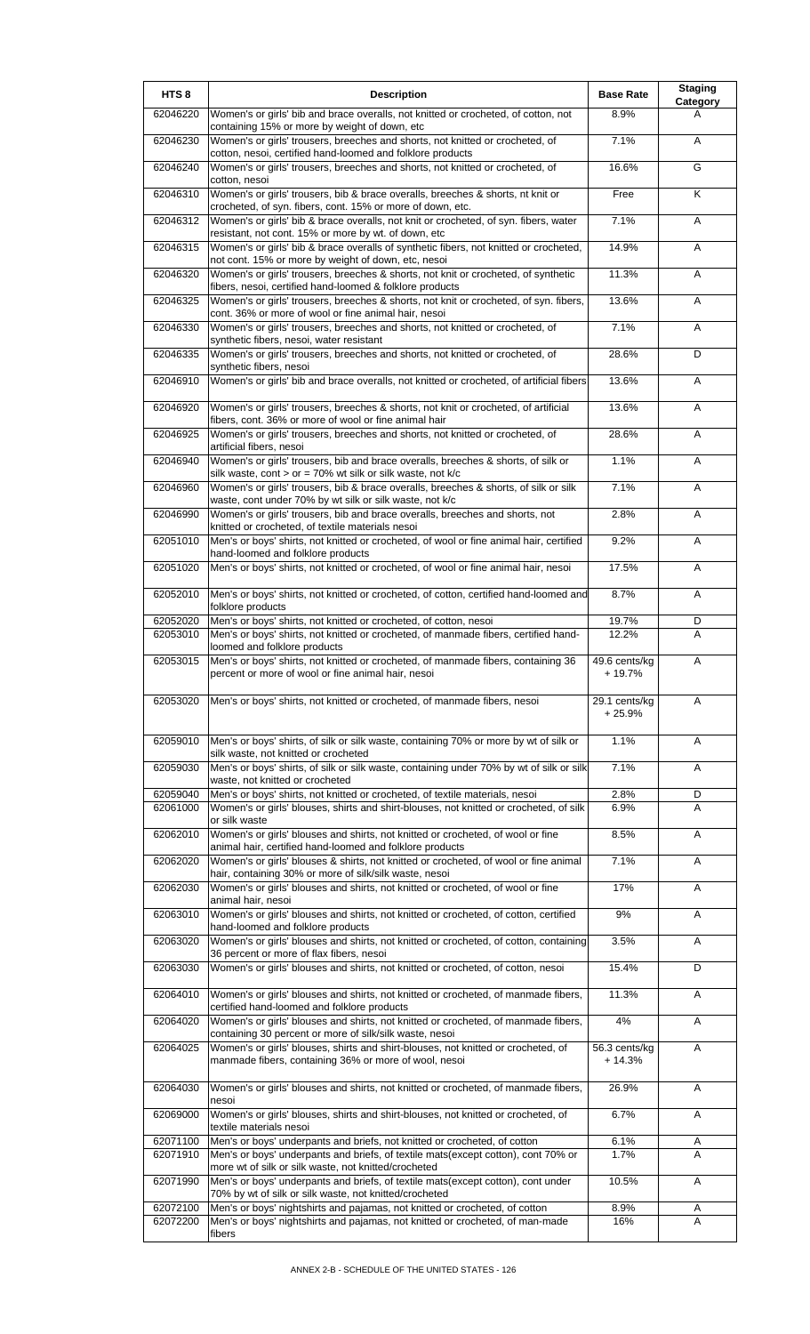| HTS <sub>8</sub> | <b>Description</b>                                                                                                                                                      | <b>Base Rate</b>          | <b>Staging</b><br>Category |
|------------------|-------------------------------------------------------------------------------------------------------------------------------------------------------------------------|---------------------------|----------------------------|
| 62046220         | Women's or girls' bib and brace overalls, not knitted or crocheted, of cotton, not<br>containing 15% or more by weight of down, etc                                     | 8.9%                      | A                          |
| 62046230         | Women's or girls' trousers, breeches and shorts, not knitted or crocheted, of<br>cotton, nesoi, certified hand-loomed and folklore products                             | 7.1%                      | A                          |
| 62046240         | Women's or girls' trousers, breeches and shorts, not knitted or crocheted, of<br>cotton, nesoi                                                                          | 16.6%                     | G                          |
| 62046310         | Women's or girls' trousers, bib & brace overalls, breeches & shorts, nt knit or<br>crocheted, of syn. fibers, cont. 15% or more of down, etc.                           | Free                      | K                          |
| 62046312         | Women's or girls' bib & brace overalls, not knit or crocheted, of syn. fibers, water<br>resistant, not cont. 15% or more by wt. of down, etc                            | 7.1%                      | Α                          |
| 62046315         | Women's or girls' bib & brace overalls of synthetic fibers, not knitted or crocheted,<br>not cont. 15% or more by weight of down, etc, nesoi                            | 14.9%                     | Α                          |
| 62046320         | Women's or girls' trousers, breeches & shorts, not knit or crocheted, of synthetic<br>fibers, nesoi, certified hand-loomed & folklore products                          | 11.3%                     | Α                          |
| 62046325         | Women's or girls' trousers, breeches & shorts, not knit or crocheted, of syn. fibers,<br>cont. 36% or more of wool or fine animal hair, nesoi                           | 13.6%                     | A                          |
| 62046330         | Women's or girls' trousers, breeches and shorts, not knitted or crocheted, of<br>synthetic fibers, nesoi, water resistant                                               | 7.1%                      | Α                          |
| 62046335         | Women's or girls' trousers, breeches and shorts, not knitted or crocheted, of<br>synthetic fibers, nesoi                                                                | 28.6%                     | D                          |
| 62046910         | Women's or girls' bib and brace overalls, not knitted or crocheted, of artificial fibers                                                                                | 13.6%                     | Α                          |
| 62046920         | Women's or girls' trousers, breeches & shorts, not knit or crocheted, of artificial<br>fibers, cont. 36% or more of wool or fine animal hair                            | 13.6%                     | Α                          |
| 62046925         | Women's or girls' trousers, breeches and shorts, not knitted or crocheted, of<br>artificial fibers, nesoi                                                               | 28.6%                     | A                          |
| 62046940         | Women's or girls' trousers, bib and brace overalls, breeches & shorts, of silk or<br>silk waste, cont > or = $70\%$ wt silk or silk waste, not k/c                      | 1.1%                      | Α                          |
| 62046960         | Women's or girls' trousers, bib & brace overalls, breeches & shorts, of silk or silk<br>waste, cont under 70% by wt silk or silk waste, not k/c                         | 7.1%                      | A                          |
| 62046990         | Women's or girls' trousers, bib and brace overalls, breeches and shorts, not<br>knitted or crocheted, of textile materials nesoi                                        | 2.8%                      | A                          |
| 62051010         | Men's or boys' shirts, not knitted or crocheted, of wool or fine animal hair, certified<br>hand-loomed and folklore products                                            | 9.2%                      | Α                          |
| 62051020         | Men's or boys' shirts, not knitted or crocheted, of wool or fine animal hair, nesoi                                                                                     | 17.5%                     | Α                          |
| 62052010         | Men's or boys' shirts, not knitted or crocheted, of cotton, certified hand-loomed and<br>folklore products                                                              | 8.7%                      | A                          |
| 62052020         | Men's or boys' shirts, not knitted or crocheted, of cotton, nesoi                                                                                                       | 19.7%                     | D                          |
| 62053010         | Men's or boys' shirts, not knitted or crocheted, of manmade fibers, certified hand-                                                                                     | 12.2%                     | A                          |
| 62053015         | loomed and folklore products<br>Men's or boys' shirts, not knitted or crocheted, of manmade fibers, containing 36<br>percent or more of wool or fine animal hair, nesoi | 49.6 cents/kg<br>+ 19.7%  | Α                          |
| 62053020         | Men's or boys' shirts, not knitted or crocheted, of manmade fibers, nesoi                                                                                               | 29.1 cents/kg<br>$+25.9%$ | A                          |
| 62059010         | Men's or boys' shirts, of silk or silk waste, containing 70% or more by wt of silk or<br>silk waste, not knitted or crocheted                                           | 1.1%                      | A                          |
| 62059030         | Men's or boys' shirts, of silk or silk waste, containing under 70% by wt of silk or silk<br>waste, not knitted or crocheted                                             | 7.1%                      | A                          |
| 62059040         | Men's or boys' shirts, not knitted or crocheted, of textile materials, nesoi                                                                                            | 2.8%                      | D                          |
| 62061000         | Women's or girls' blouses, shirts and shirt-blouses, not knitted or crocheted, of silk<br>or silk waste                                                                 | 6.9%                      | A                          |
| 62062010         | Women's or girls' blouses and shirts, not knitted or crocheted, of wool or fine<br>animal hair, certified hand-loomed and folklore products                             | 8.5%                      | Α                          |
| 62062020         | Women's or girls' blouses & shirts, not knitted or crocheted, of wool or fine animal<br>hair, containing 30% or more of silk/silk waste, nesoi                          | 7.1%                      | A                          |
| 62062030         | Women's or girls' blouses and shirts, not knitted or crocheted, of wool or fine<br>animal hair, nesoi                                                                   | 17%                       | Α                          |
| 62063010         | Women's or girls' blouses and shirts, not knitted or crocheted, of cotton, certified<br>hand-loomed and folklore products                                               | 9%                        | Α                          |
| 62063020         | Women's or girls' blouses and shirts, not knitted or crocheted, of cotton, containing<br>36 percent or more of flax fibers, nesoi                                       | 3.5%                      | Α                          |
| 62063030         | Women's or girls' blouses and shirts, not knitted or crocheted, of cotton, nesoi                                                                                        | 15.4%                     | D                          |
| 62064010         | Women's or girls' blouses and shirts, not knitted or crocheted, of manmade fibers,<br>certified hand-loomed and folklore products                                       | 11.3%                     | Α                          |
| 62064020         | Women's or girls' blouses and shirts, not knitted or crocheted, of manmade fibers,<br>containing 30 percent or more of silk/silk waste, nesoi                           | 4%                        | A                          |
| 62064025         | Women's or girls' blouses, shirts and shirt-blouses, not knitted or crocheted, of<br>manmade fibers, containing 36% or more of wool, nesoi                              | 56.3 cents/kg<br>$+14.3%$ | A                          |
| 62064030         | Women's or girls' blouses and shirts, not knitted or crocheted, of manmade fibers,<br>nesoi                                                                             | 26.9%                     | Α                          |
| 62069000         | Women's or girls' blouses, shirts and shirt-blouses, not knitted or crocheted, of<br>textile materials nesoi                                                            | 6.7%                      | A                          |
| 62071100         | Men's or boys' underpants and briefs, not knitted or crocheted, of cotton                                                                                               | 6.1%                      | A                          |
| 62071910         | Men's or boys' underpants and briefs, of textile mats(except cotton), cont 70% or<br>more wt of silk or silk waste, not knitted/crocheted                               | 1.7%                      | A                          |
| 62071990         | Men's or boys' underpants and briefs, of textile mats(except cotton), cont under<br>70% by wt of silk or silk waste, not knitted/crocheted                              | 10.5%                     | A                          |
| 62072100         | Men's or boys' nightshirts and pajamas, not knitted or crocheted, of cotton                                                                                             | 8.9%                      | A                          |
| 62072200         | Men's or boys' nightshirts and pajamas, not knitted or crocheted, of man-made<br>fibers                                                                                 | 16%                       | A                          |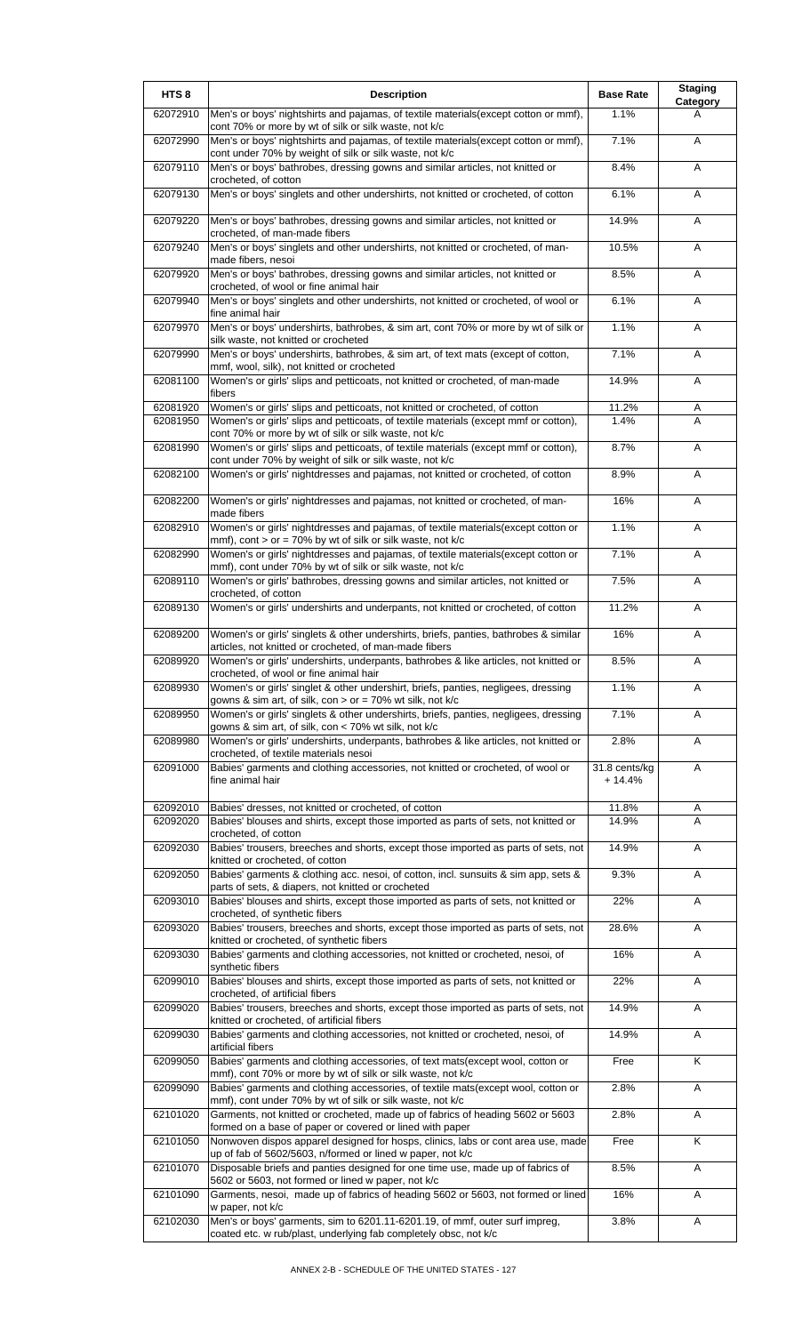| HTS <sub>8</sub>     | <b>Description</b>                                                                                                                                                  | <b>Base Rate</b>          | <b>Staging</b><br>Category |
|----------------------|---------------------------------------------------------------------------------------------------------------------------------------------------------------------|---------------------------|----------------------------|
| 62072910             | Men's or boys' nightshirts and pajamas, of textile materials(except cotton or mmf),<br>cont 70% or more by wt of silk or silk waste, not k/c                        | 1.1%                      | A                          |
| 62072990             | Men's or boys' nightshirts and pajamas, of textile materials(except cotton or mmf),<br>cont under 70% by weight of silk or silk waste, not k/c                      | 7.1%                      | A                          |
| 62079110             | Men's or boys' bathrobes, dressing gowns and similar articles, not knitted or<br>crocheted, of cotton                                                               | 8.4%                      | Α                          |
| 62079130             | Men's or boys' singlets and other undershirts, not knitted or crocheted, of cotton                                                                                  | 6.1%                      | Α                          |
| 62079220             | Men's or boys' bathrobes, dressing gowns and similar articles, not knitted or<br>crocheted, of man-made fibers                                                      | 14.9%                     | A                          |
| 62079240             | Men's or boys' singlets and other undershirts, not knitted or crocheted, of man-<br>made fibers, nesoi                                                              | 10.5%                     | Α                          |
| 62079920             | Men's or boys' bathrobes, dressing gowns and similar articles, not knitted or<br>crocheted, of wool or fine animal hair                                             | 8.5%                      | Α                          |
| 62079940             | Men's or boys' singlets and other undershirts, not knitted or crocheted, of wool or<br>fine animal hair                                                             | 6.1%                      | A                          |
| 62079970             | Men's or boys' undershirts, bathrobes, & sim art, cont 70% or more by wt of silk or<br>silk waste, not knitted or crocheted                                         | 1.1%                      | A                          |
| 62079990             | Men's or boys' undershirts, bathrobes, & sim art, of text mats (except of cotton,<br>mmf, wool, silk), not knitted or crocheted                                     | 7.1%                      | A                          |
| 62081100             | Women's or girls' slips and petticoats, not knitted or crocheted, of man-made<br>fibers                                                                             | 14.9%                     | Α                          |
| 62081920             | Women's or girls' slips and petticoats, not knitted or crocheted, of cotton                                                                                         | 11.2%                     | Α                          |
| 62081950             | Women's or girls' slips and petticoats, of textile materials (except mmf or cotton),<br>cont 70% or more by wt of silk or silk waste, not k/c                       | 1.4%                      | A                          |
| 62081990             | Women's or girls' slips and petticoats, of textile materials (except mmf or cotton),<br>cont under 70% by weight of silk or silk waste, not k/c                     | 8.7%                      | A                          |
| 62082100             | Women's or girls' nightdresses and pajamas, not knitted or crocheted, of cotton                                                                                     | 8.9%                      | Α                          |
| 62082200             | Women's or girls' nightdresses and pajamas, not knitted or crocheted, of man-<br>made fibers                                                                        | 16%                       | Α                          |
| 62082910             | Women's or girls' nightdresses and pajamas, of textile materials(except cotton or<br>mmf), cont > or = 70% by wt of silk or silk waste, not $k/c$                   | 1.1%                      | Α                          |
| 62082990             | Women's or girls' nightdresses and pajamas, of textile materials(except cotton or<br>mmf), cont under 70% by wt of silk or silk waste, not k/c                      | 7.1%                      | A                          |
| 62089110             | Women's or girls' bathrobes, dressing gowns and similar articles, not knitted or<br>crocheted, of cotton                                                            | 7.5%                      | Α                          |
| 62089130             | Women's or girls' undershirts and underpants, not knitted or crocheted, of cotton                                                                                   | 11.2%                     | Α                          |
| 62089200             | Women's or girls' singlets & other undershirts, briefs, panties, bathrobes & similar<br>articles, not knitted or crocheted, of man-made fibers                      | 16%                       | A                          |
| 62089920             | Women's or girls' undershirts, underpants, bathrobes & like articles, not knitted or<br>crocheted, of wool or fine animal hair                                      | 8.5%                      | A                          |
| 62089930             | Women's or girls' singlet & other undershirt, briefs, panties, negligees, dressing<br>gowns & sim art, of silk, con > or = $70\%$ wt silk, not k/c                  | 1.1%                      | A                          |
| 62089950             | Women's or girls' singlets & other undershirts, briefs, panties, negligees, dressing<br>gowns & sim art, of silk, con $<$ 70% wt silk, not k/c                      | 7.1%                      | Α                          |
| 62089980             | Women's or girls' undershirts, underpants, bathrobes & like articles, not knitted or<br>crocheted, of textile materials nesoi                                       | 2.8%                      | A                          |
| 62091000             | Babies' garments and clothing accessories, not knitted or crocheted, of wool or<br>fine animal hair                                                                 | 31.8 cents/kg<br>$+14.4%$ | A                          |
|                      |                                                                                                                                                                     |                           |                            |
| 62092010<br>62092020 | Babies' dresses, not knitted or crocheted, of cotton<br>Babies' blouses and shirts, except those imported as parts of sets, not knitted or                          | 11.8%<br>14.9%            | A<br>A                     |
| 62092030             | crocheted, of cotton<br>Babies' trousers, breeches and shorts, except those imported as parts of sets, not                                                          | 14.9%                     | Α                          |
|                      | knitted or crocheted, of cotton                                                                                                                                     |                           |                            |
| 62092050             | Babies' garments & clothing acc. nesoi, of cotton, incl. sunsuits & sim app, sets &<br>parts of sets, & diapers, not knitted or crocheted                           | 9.3%                      | Α                          |
| 62093010             | Babies' blouses and shirts, except those imported as parts of sets, not knitted or<br>crocheted, of synthetic fibers                                                | 22%                       | Α                          |
| 62093020             | Babies' trousers, breeches and shorts, except those imported as parts of sets, not<br>knitted or crocheted, of synthetic fibers                                     | 28.6%                     | A                          |
| 62093030             | Babies' garments and clothing accessories, not knitted or crocheted, nesoi, of<br>synthetic fibers                                                                  | 16%                       | Α                          |
| 62099010             | Babies' blouses and shirts, except those imported as parts of sets, not knitted or<br>crocheted, of artificial fibers                                               | 22%                       | A                          |
| 62099020             | Babies' trousers, breeches and shorts, except those imported as parts of sets, not<br>knitted or crocheted, of artificial fibers                                    | 14.9%                     | Α                          |
| 62099030             | Babies' garments and clothing accessories, not knitted or crocheted, nesoi, of<br>artificial fibers                                                                 | 14.9%                     | Α                          |
| 62099050             | Babies' garments and clothing accessories, of text mats(except wool, cotton or<br>mmf), cont 70% or more by wt of silk or silk waste, not k/c                       | Free                      | K                          |
| 62099090             | Babies' garments and clothing accessories, of textile mats(except wool, cotton or<br>mmf), cont under 70% by wt of silk or silk waste, not k/c                      | 2.8%                      | Α                          |
| 62101020             | Garments, not knitted or crocheted, made up of fabrics of heading 5602 or 5603<br>formed on a base of paper or covered or lined with paper                          | 2.8%                      | Α                          |
| 62101050             | Nonwoven dispos apparel designed for hosps, clinics, labs or cont area use, made<br>up of fab of 5602/5603, n/formed or lined w paper, not k/c                      | Free                      | K                          |
| 62101070             | Disposable briefs and panties designed for one time use, made up of fabrics of<br>5602 or 5603, not formed or lined w paper, not k/c                                | 8.5%                      | Α                          |
| 62101090             | Garments, nesoi, made up of fabrics of heading 5602 or 5603, not formed or lined                                                                                    | 16%                       | Α                          |
| 62102030             | w paper, not k/c<br>Men's or boys' garments, sim to 6201.11-6201.19, of mmf, outer surf impreg,<br>coated etc. w rub/plast, underlying fab completely obsc, not k/c | 3.8%                      | A                          |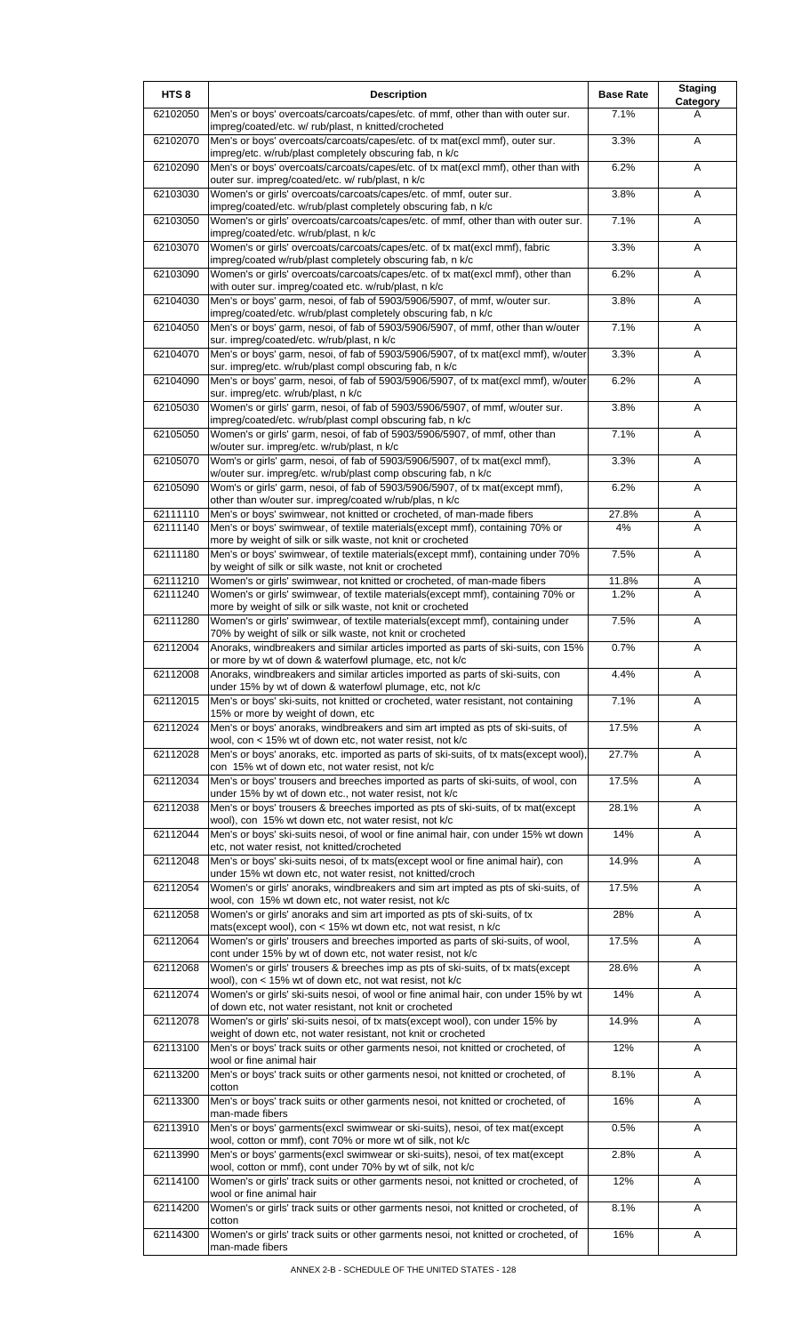| HTS <sub>8</sub>     | <b>Description</b>                                                                                                                                          | <b>Base Rate</b> | <b>Staging</b><br>Category |
|----------------------|-------------------------------------------------------------------------------------------------------------------------------------------------------------|------------------|----------------------------|
| 62102050             | Men's or boys' overcoats/carcoats/capes/etc. of mmf, other than with outer sur.<br>impreg/coated/etc. w/ rub/plast, n knitted/crocheted                     | 7.1%             | A                          |
| 62102070             | Men's or boys' overcoats/carcoats/capes/etc. of tx mat(excl mmf), outer sur.<br>impreg/etc. w/rub/plast completely obscuring fab, n k/c                     | 3.3%             | Α                          |
| 62102090             | Men's or boys' overcoats/carcoats/capes/etc. of tx mat(excl mmf), other than with<br>outer sur. impreg/coated/etc. w/ rub/plast, n k/c                      | 6.2%             | Α                          |
| 62103030             | Women's or girls' overcoats/carcoats/capes/etc. of mmf, outer sur.                                                                                          | 3.8%             | Α                          |
| 62103050             | impreg/coated/etc. w/rub/plast completely obscuring fab, n k/c<br>Women's or girls' overcoats/carcoats/capes/etc. of mmf, other than with outer sur.        | 7.1%             | Α                          |
| 62103070             | impreg/coated/etc. w/rub/plast, n k/c<br>Women's or girls' overcoats/carcoats/capes/etc. of tx mat(excl mmf), fabric                                        | 3.3%             | Α                          |
| 62103090             | impreg/coated w/rub/plast completely obscuring fab, n k/c<br>Women's or girls' overcoats/carcoats/capes/etc. of tx mat(excl mmf), other than                | 6.2%             | Α                          |
| 62104030             | with outer sur. impreg/coated etc. w/rub/plast, n k/c<br>Men's or boys' garm, nesoi, of fab of 5903/5906/5907, of mmf, w/outer sur.                         | 3.8%             | A                          |
| 62104050             | impreg/coated/etc. w/rub/plast completely obscuring fab, n k/c<br>Men's or boys' garm, nesoi, of fab of 5903/5906/5907, of mmf, other than w/outer          | 7.1%             | Α                          |
| 62104070             | sur. impreg/coated/etc. w/rub/plast, n k/c<br>Men's or boys' garm, nesoi, of fab of 5903/5906/5907, of tx mat(excl mmf), w/outer                            | 3.3%             | Α                          |
| 62104090             | sur. impreg/etc. w/rub/plast compl obscuring fab, n k/c<br>Men's or boys' garm, nesoi, of fab of 5903/5906/5907, of tx mat(excl mmf), w/outer               | 6.2%             | Α                          |
|                      | sur. impreg/etc. w/rub/plast, n k/c                                                                                                                         |                  |                            |
| 62105030             | Women's or girls' garm, nesoi, of fab of 5903/5906/5907, of mmf, w/outer sur.<br>impreg/coated/etc. w/rub/plast compl obscuring fab, n k/c                  | 3.8%             | Α                          |
| 62105050             | Women's or girls' garm, nesoi, of fab of 5903/5906/5907, of mmf, other than<br>w/outer sur. impreg/etc. w/rub/plast, n k/c                                  | 7.1%             | A                          |
| 62105070             | Wom's or girls' garm, nesoi, of fab of 5903/5906/5907, of tx mat(excl mmf),<br>w/outer sur. impreg/etc. w/rub/plast comp obscuring fab, n k/c               | 3.3%             | Α                          |
| 62105090             | Wom's or girls' garm, nesoi, of fab of 5903/5906/5907, of tx mat(except mmf),<br>other than w/outer sur. impreg/coated w/rub/plas, n k/c                    | 6.2%             | A                          |
| 62111110<br>62111140 | Men's or boys' swimwear, not knitted or crocheted, of man-made fibers<br>Men's or boys' swimwear, of textile materials(except mmf), containing 70% or       | 27.8%<br>4%      | Α<br>A                     |
| 62111180             | more by weight of silk or silk waste, not knit or crocheted<br>Men's or boys' swimwear, of textile materials(except mmf), containing under 70%              | 7.5%             | Α                          |
|                      | by weight of silk or silk waste, not knit or crocheted                                                                                                      |                  |                            |
| 62111210<br>62111240 | Women's or girls' swimwear, not knitted or crocheted, of man-made fibers<br>Women's or girls' swimwear, of textile materials(except mmf), containing 70% or | 11.8%<br>1.2%    | A<br>A                     |
| 62111280             | more by weight of silk or silk waste, not knit or crocheted<br>Women's or girls' swimwear, of textile materials(except mmf), containing under               | 7.5%             | Α                          |
| 62112004             | 70% by weight of silk or silk waste, not knit or crocheted<br>Anoraks, windbreakers and similar articles imported as parts of ski-suits, con 15%            | 0.7%             | A                          |
| 62112008             | or more by wt of down & waterfowl plumage, etc, not k/c<br>Anoraks, windbreakers and similar articles imported as parts of ski-suits, con                   | 4.4%             | A                          |
| 62112015             | under 15% by wt of down & waterfowl plumage, etc, not k/c<br>Men's or boys' ski-suits, not knitted or crocheted, water resistant, not containing            | 7.1%             | Α                          |
| 62112024             | 15% or more by weight of down, etc<br>Men's or boys' anoraks, windbreakers and sim art impted as pts of ski-suits, of                                       | 17.5%            | Α                          |
| 62112028             | wool, con < 15% wt of down etc, not water resist, not k/c<br>Men's or boys' anoraks, etc. imported as parts of ski-suits, of tx mats(except wool)           | 27.7%            | Α                          |
| 62112034             | con 15% wt of down etc, not water resist, not k/c<br>Men's or boys' trousers and breeches imported as parts of ski-suits, of wool, con                      | 17.5%            | Α                          |
|                      | under 15% by wt of down etc., not water resist, not k/c                                                                                                     |                  |                            |
| 62112038             | Men's or boys' trousers & breeches imported as pts of ski-suits, of tx mat(except<br>wool), con 15% wt down etc, not water resist, not k/c                  | 28.1%            | Α                          |
| 62112044             | Men's or boys' ski-suits nesoi, of wool or fine animal hair, con under 15% wt down<br>etc, not water resist, not knitted/crocheted                          | 14%              | Α                          |
| 62112048             | Men's or boys' ski-suits nesoi, of tx mats(except wool or fine animal hair), con<br>under 15% wt down etc, not water resist, not knitted/croch              | 14.9%            | A                          |
| 62112054             | Women's or girls' anoraks, windbreakers and sim art impted as pts of ski-suits, of<br>wool, con 15% wt down etc, not water resist, not k/c                  | 17.5%            | Α                          |
| 62112058             | Women's or girls' anoraks and sim art imported as pts of ski-suits, of tx<br>mats(except wool), con < 15% wt down etc, not wat resist, n k/c                | 28%              | Α                          |
| 62112064             | Women's or girls' trousers and breeches imported as parts of ski-suits, of wool,<br>cont under 15% by wt of down etc, not water resist, not k/c             | 17.5%            | Α                          |
| 62112068             | Women's or girls' trousers & breeches imp as pts of ski-suits, of tx mats(except<br>wool), con < 15% wt of down etc, not wat resist, not k/c                | 28.6%            | Α                          |
| 62112074             | Women's or girls' ski-suits nesoi, of wool or fine animal hair, con under 15% by wt                                                                         | 14%              | Α                          |
| 62112078             | of down etc, not water resistant, not knit or crocheted<br>Women's or girls' ski-suits nesoi, of tx mats(except wool), con under 15% by                     | 14.9%            | A                          |
| 62113100             | weight of down etc, not water resistant, not knit or crocheted<br>Men's or boys' track suits or other garments nesoi, not knitted or crocheted, of          | 12%              | Α                          |
| 62113200             | wool or fine animal hair<br>Men's or boys' track suits or other garments nesoi, not knitted or crocheted, of                                                | 8.1%             | A                          |
| 62113300             | cotton<br>Men's or boys' track suits or other garments nesoi, not knitted or crocheted, of                                                                  | 16%              | Α                          |
| 62113910             | man-made fibers<br>Men's or boys' garments(excl swimwear or ski-suits), nesoi, of tex mat(except                                                            | 0.5%             | Α                          |
| 62113990             | wool, cotton or mmf), cont 70% or more wt of silk, not k/c<br>Men's or boys' garments(excl swimwear or ski-suits), nesoi, of tex mat(except                 | 2.8%             | Α                          |
| 62114100             | wool, cotton or mmf), cont under 70% by wt of silk, not k/c<br>Women's or girls' track suits or other garments nesoi, not knitted or crocheted, of          | 12%              | Α                          |
| 62114200             | wool or fine animal hair<br>Women's or girls' track suits or other garments nesoi, not knitted or crocheted, of                                             | 8.1%             |                            |
|                      | cotton                                                                                                                                                      |                  | Α                          |
| 62114300             | Women's or girls' track suits or other garments nesoi, not knitted or crocheted, of<br>man-made fibers                                                      | 16%              | Α                          |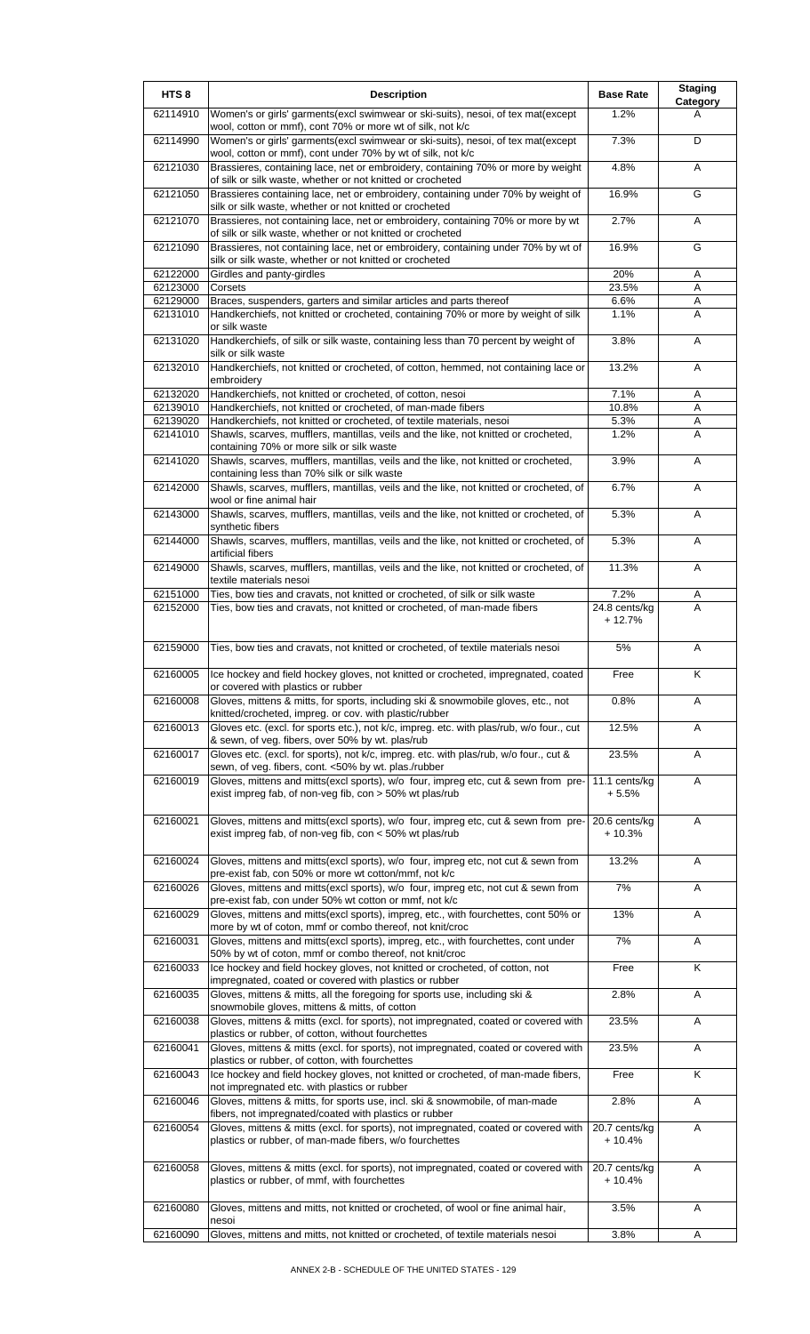| HTS <sub>8</sub> | <b>Description</b>                                                                                                                                                                                       | <b>Base Rate</b>          | <b>Staging</b><br>Category |
|------------------|----------------------------------------------------------------------------------------------------------------------------------------------------------------------------------------------------------|---------------------------|----------------------------|
| 62114910         | Women's or girls' garments(excl swimwear or ski-suits), nesoi, of tex mat(except<br>wool, cotton or mmf), cont 70% or more wt of silk, not k/c                                                           | 1.2%                      | A                          |
| 62114990         | Women's or girls' garments(excl swimwear or ski-suits), nesoi, of tex mat(except<br>wool, cotton or mmf), cont under 70% by wt of silk, not k/c                                                          | 7.3%                      | D                          |
| 62121030         | Brassieres, containing lace, net or embroidery, containing 70% or more by weight<br>of silk or silk waste, whether or not knitted or crocheted                                                           | 4.8%                      | A                          |
| 62121050         | Brassieres containing lace, net or embroidery, containing under 70% by weight of<br>silk or silk waste, whether or not knitted or crocheted                                                              | 16.9%                     | G                          |
| 62121070         | Brassieres, not containing lace, net or embroidery, containing 70% or more by wt<br>of silk or silk waste, whether or not knitted or crocheted                                                           | 2.7%                      | A                          |
| 62121090         | Brassieres, not containing lace, net or embroidery, containing under 70% by wt of<br>silk or silk waste, whether or not knitted or crocheted                                                             | 16.9%                     | G                          |
| 62122000         | Girdles and panty-girdles                                                                                                                                                                                | 20%                       | A                          |
| 62123000         | Corsets                                                                                                                                                                                                  | 23.5%                     | Α                          |
| 62129000         | Braces, suspenders, garters and similar articles and parts thereof                                                                                                                                       | 6.6%                      | Α                          |
| 62131010         | Handkerchiefs, not knitted or crocheted, containing 70% or more by weight of silk<br>or silk waste                                                                                                       | 1.1%                      | A                          |
| 62131020         | Handkerchiefs, of silk or silk waste, containing less than 70 percent by weight of<br>silk or silk waste                                                                                                 | 3.8%                      | Α                          |
| 62132010         | Handkerchiefs, not knitted or crocheted, of cotton, hemmed, not containing lace or<br>embroidery                                                                                                         | 13.2%                     | A                          |
| 62132020         | Handkerchiefs, not knitted or crocheted, of cotton, nesoi                                                                                                                                                | 7.1%                      | A                          |
| 62139010         | Handkerchiefs, not knitted or crocheted, of man-made fibers                                                                                                                                              | 10.8%                     | A                          |
| 62139020         | Handkerchiefs, not knitted or crocheted, of textile materials, nesoi                                                                                                                                     | 5.3%                      | Α<br>A                     |
| 62141010         | Shawls, scarves, mufflers, mantillas, veils and the like, not knitted or crocheted,<br>containing 70% or more silk or silk waste                                                                         | 1.2%                      |                            |
| 62141020         | Shawls, scarves, mufflers, mantillas, veils and the like, not knitted or crocheted,<br>containing less than 70% silk or silk waste                                                                       | 3.9%                      | A                          |
| 62142000         | Shawls, scarves, mufflers, mantillas, veils and the like, not knitted or crocheted, of<br>wool or fine animal hair                                                                                       | 6.7%                      | A                          |
| 62143000         | Shawls, scarves, mufflers, mantillas, veils and the like, not knitted or crocheted, of<br>synthetic fibers                                                                                               | 5.3%                      | A                          |
| 62144000         | Shawls, scarves, mufflers, mantillas, veils and the like, not knitted or crocheted, of<br>artificial fibers                                                                                              | 5.3%                      | Α                          |
| 62149000         | Shawls, scarves, mufflers, mantillas, veils and the like, not knitted or crocheted, of<br>textile materials nesoi                                                                                        | 11.3%                     | A                          |
| 62151000         | Ties, bow ties and cravats, not knitted or crocheted, of silk or silk waste                                                                                                                              | 7.2%                      | Α                          |
| 62152000         | Ties, bow ties and cravats, not knitted or crocheted, of man-made fibers                                                                                                                                 | 24.8 cents/kg<br>$+12.7%$ | A                          |
| 62159000         | Ties, bow ties and cravats, not knitted or crocheted, of textile materials nesoi                                                                                                                         | 5%                        | A                          |
| 62160005         | Ice hockey and field hockey gloves, not knitted or crocheted, impregnated, coated<br>or covered with plastics or rubber                                                                                  | Free                      | Κ                          |
| 62160008         | Gloves, mittens & mitts, for sports, including ski & snowmobile gloves, etc., not<br>knitted/crocheted, impreg. or cov. with plastic/rubber                                                              | 0.8%                      | Α                          |
| 62160013         | Gloves etc. (excl. for sports etc.), not k/c, impreg. etc. with plas/rub, w/o four., cut<br>& sewn, of veg. fibers, over 50% by wt. plas/rub                                                             | 12.5%                     | Α                          |
| 62160017         | Gloves etc. (excl. for sports), not k/c, impreg. etc. with plas/rub, w/o four., cut &<br>sewn, of veg. fibers, cont. <50% by wt. plas./rubber                                                            | 23.5%                     | Α                          |
| 62160019         | Gloves, mittens and mitts(excl sports), w/o four, impreg etc, cut & sewn from pre-<br>exist impreg fab, of non-veg fib, con > 50% wt plas/rub                                                            | 11.1 cents/kg<br>$+5.5%$  | Α                          |
| 62160021         | Gloves, mittens and mitts(excl sports), w/o four, impreg etc, cut & sewn from pre-<br>exist impreg fab, of non-veg fib, con < 50% wt plas/rub                                                            | 20.6 cents/kg<br>+ 10.3%  | A                          |
| 62160024         | Gloves, mittens and mitts(excl sports), w/o four, impreg etc, not cut & sewn from                                                                                                                        | 13.2%                     | A                          |
| 62160026         | pre-exist fab, con 50% or more wt cotton/mmf, not k/c<br>Gloves, mittens and mitts(excl sports), w/o four, impreg etc, not cut & sewn from                                                               | 7%                        | A                          |
| 62160029         | pre-exist fab, con under 50% wt cotton or mmf, not k/c<br>Gloves, mittens and mitts(excl sports), impreg, etc., with fourchettes, cont 50% or                                                            | 13%                       | Α                          |
| 62160031         | more by wt of coton, mmf or combo thereof, not knit/croc<br>Gloves, mittens and mitts(excl sports), impreg, etc., with fourchettes, cont under                                                           | 7%                        | Α                          |
| 62160033         | 50% by wt of coton, mmf or combo thereof, not knit/croc<br>Ice hockey and field hockey gloves, not knitted or crocheted, of cotton, not                                                                  | Free                      | K                          |
| 62160035         | impregnated, coated or covered with plastics or rubber<br>Gloves, mittens & mitts, all the foregoing for sports use, including ski &                                                                     | 2.8%                      | Α                          |
| 62160038         | snowmobile gloves, mittens & mitts, of cotton<br>Gloves, mittens & mitts (excl. for sports), not impregnated, coated or covered with                                                                     | 23.5%                     | Α                          |
| 62160041         | plastics or rubber, of cotton, without fourchettes<br>Gloves, mittens & mitts (excl. for sports), not impregnated, coated or covered with                                                                | 23.5%                     | Α                          |
| 62160043         | plastics or rubber, of cotton, with fourchettes<br>Ice hockey and field hockey gloves, not knitted or crocheted, of man-made fibers,                                                                     | Free                      | K                          |
| 62160046         | not impregnated etc. with plastics or rubber<br>Gloves, mittens & mitts, for sports use, incl. ski & snowmobile, of man-made                                                                             | 2.8%                      | Α                          |
| 62160054         | fibers, not impregnated/coated with plastics or rubber<br>Gloves, mittens & mitts (excl. for sports), not impregnated, coated or covered with<br>plastics or rubber, of man-made fibers, w/o fourchettes | 20.7 cents/kg<br>$+10.4%$ | Α                          |
| 62160058         | Gloves, mittens & mitts (excl. for sports), not impregnated, coated or covered with                                                                                                                      | 20.7 cents/kg             | Α                          |
|                  | plastics or rubber, of mmf, with fourchettes                                                                                                                                                             | $+10.4%$                  |                            |
| 62160080         | Gloves, mittens and mitts, not knitted or crocheted, of wool or fine animal hair,<br>nesoi                                                                                                               | 3.5%                      | Α                          |
| 62160090         | Gloves, mittens and mitts, not knitted or crocheted, of textile materials nesoi                                                                                                                          | 3.8%                      | Α                          |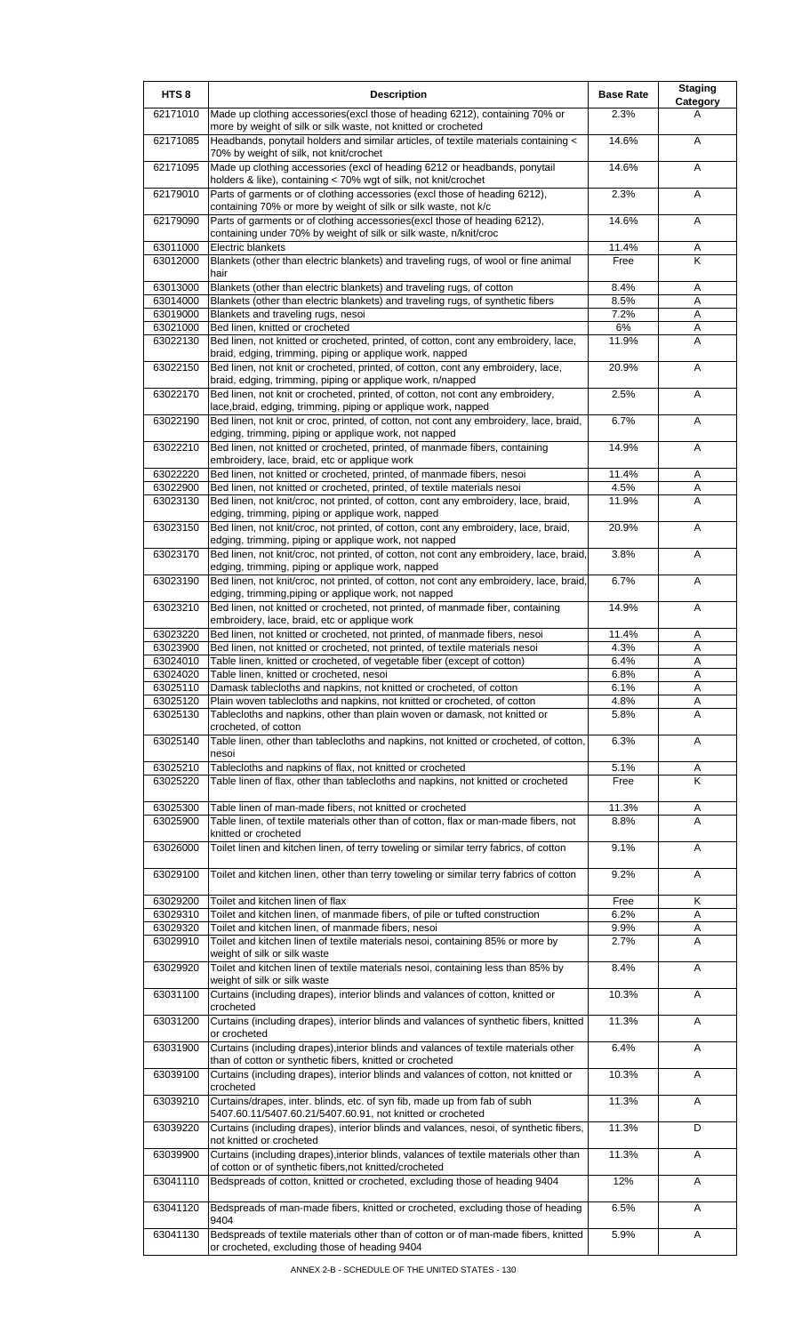| HTS <sub>8</sub>     | <b>Description</b>                                                                                                                                                               | <b>Base Rate</b> | <b>Staging</b><br>Category |
|----------------------|----------------------------------------------------------------------------------------------------------------------------------------------------------------------------------|------------------|----------------------------|
| 62171010             | Made up clothing accessories(excl those of heading 6212), containing 70% or<br>more by weight of silk or silk waste, not knitted or crocheted                                    | 2.3%             | A                          |
| 62171085             | Headbands, ponytail holders and similar articles, of textile materials containing <<br>70% by weight of silk, not knit/crochet                                                   | 14.6%            | A                          |
| 62171095             | Made up clothing accessories (excl of heading 6212 or headbands, ponytail<br>holders & like), containing < 70% wgt of silk, not knit/crochet                                     | 14.6%            | Α                          |
| 62179010             | Parts of garments or of clothing accessories (excl those of heading 6212),<br>containing 70% or more by weight of silk or silk waste, not k/c                                    | 2.3%             | Α                          |
| 62179090             | Parts of garments or of clothing accessories(excl those of heading 6212),<br>containing under 70% by weight of silk or silk waste, n/knit/croc                                   | 14.6%            | Α                          |
| 63011000<br>63012000 | Electric blankets<br>Blankets (other than electric blankets) and traveling rugs, of wool or fine animal                                                                          | 11.4%<br>Free    | Α<br>K                     |
| 63013000             | hair<br>Blankets (other than electric blankets) and traveling rugs, of cotton                                                                                                    | 8.4%             | Α                          |
| 63014000             | Blankets (other than electric blankets) and traveling rugs, of synthetic fibers                                                                                                  | 8.5%             | Α                          |
| 63019000             | Blankets and traveling rugs, nesoi                                                                                                                                               | 7.2%             | A                          |
| 63021000             | Bed linen, knitted or crocheted                                                                                                                                                  | 6%               | A                          |
| 63022130             | Bed linen, not knitted or crocheted, printed, of cotton, cont any embroidery, lace,<br>braid, edging, trimming, piping or applique work, napped                                  | 11.9%            | A                          |
| 63022150             | Bed linen, not knit or crocheted, printed, of cotton, cont any embroidery, lace,<br>braid, edging, trimming, piping or applique work, n/napped                                   | 20.9%            | A                          |
| 63022170             | Bed linen, not knit or crocheted, printed, of cotton, not cont any embroidery,<br>lace, braid, edging, trimming, piping or applique work, napped                                 | 2.5%             | Α                          |
| 63022190             | Bed linen, not knit or croc, printed, of cotton, not cont any embroidery, lace, braid,<br>edging, trimming, piping or applique work, not napped                                  | 6.7%             | Α                          |
| 63022210             | Bed linen, not knitted or crocheted, printed, of manmade fibers, containing<br>embroidery, lace, braid, etc or applique work                                                     | 14.9%            | Α                          |
| 63022220             | Bed linen, not knitted or crocheted, printed, of manmade fibers, nesoi                                                                                                           | 11.4%            | A                          |
| 63022900             | Bed linen, not knitted or crocheted, printed, of textile materials nesoi                                                                                                         | 4.5%             | Α                          |
| 63023130             | Bed linen, not knit/croc, not printed, of cotton, cont any embroidery, lace, braid,<br>edging, trimming, piping or applique work, napped                                         | 11.9%            | Α                          |
| 63023150             | Bed linen, not knit/croc, not printed, of cotton, cont any embroidery, lace, braid,<br>edging, trimming, piping or applique work, not napped                                     | 20.9%            | A                          |
| 63023170             | Bed linen, not knit/croc, not printed, of cotton, not cont any embroidery, lace, braid,<br>edging, trimming, piping or applique work, napped                                     | 3.8%             | Α                          |
| 63023190             | Bed linen, not knit/croc, not printed, of cotton, not cont any embroidery, lace, braid,<br>edging, trimming, piping or applique work, not napped                                 | 6.7%             | Α                          |
| 63023210             | Bed linen, not knitted or crocheted, not printed, of manmade fiber, containing<br>embroidery, lace, braid, etc or applique work                                                  | 14.9%            | A                          |
| 63023220             | Bed linen, not knitted or crocheted, not printed, of manmade fibers, nesoi                                                                                                       | 11.4%            | Α                          |
| 63023900<br>63024010 | Bed linen, not knitted or crocheted, not printed, of textile materials nesoi                                                                                                     | 4.3%<br>6.4%     | A<br>A                     |
| 63024020             | Table linen, knitted or crocheted, of vegetable fiber (except of cotton)<br>Table linen, knitted or crocheted, nesoi                                                             | 6.8%             | A                          |
| 63025110             | Damask tablecloths and napkins, not knitted or crocheted, of cotton                                                                                                              | 6.1%             | A                          |
| 63025120             | Plain woven tablecloths and napkins, not knitted or crocheted, of cotton                                                                                                         | 4.8%             | Α                          |
| 63025130             | Tablecloths and napkins, other than plain woven or damask, not knitted or<br>crocheted, of cotton                                                                                | 5.8%             | A                          |
| 63025140             | Table linen, other than tablecloths and napkins, not knitted or crocheted, of cotton,<br>nesoi                                                                                   | 6.3%             | A                          |
| 63025210<br>63025220 | Tablecloths and napkins of flax, not knitted or crocheted<br>Table linen of flax, other than tablecloths and napkins, not knitted or crocheted                                   | 5.1%<br>Free     | Α<br>K                     |
|                      |                                                                                                                                                                                  |                  |                            |
| 63025300<br>63025900 | Table linen of man-made fibers, not knitted or crocheted<br>Table linen, of textile materials other than of cotton, flax or man-made fibers, not                                 | 11.3%<br>8.8%    | Α<br>A                     |
| 63026000             | knitted or crocheted<br>Toilet linen and kitchen linen, of terry toweling or similar terry fabrics, of cotton                                                                    | 9.1%             | A                          |
| 63029100             | Toilet and kitchen linen, other than terry toweling or similar terry fabrics of cotton                                                                                           | 9.2%             | A                          |
| 63029200             | Toilet and kitchen linen of flax                                                                                                                                                 | Free             | Κ                          |
| 63029310             | Toilet and kitchen linen, of manmade fibers, of pile or tufted construction                                                                                                      | 6.2%             | Α                          |
| 63029320<br>63029910 | Toilet and kitchen linen, of manmade fibers, nesoi<br>Toilet and kitchen linen of textile materials nesoi, containing 85% or more by                                             | 9.9%<br>2.7%     | Α<br>A                     |
| 63029920             | weight of silk or silk waste<br>Toilet and kitchen linen of textile materials nesoi, containing less than 85% by                                                                 | 8.4%             | Α                          |
| 63031100             | weight of silk or silk waste<br>Curtains (including drapes), interior blinds and valances of cotton, knitted or<br>crocheted                                                     | 10.3%            | A                          |
| 63031200             | Curtains (including drapes), interior blinds and valances of synthetic fibers, knitted<br>or crocheted                                                                           | 11.3%            | A                          |
| 63031900             | Curtains (including drapes), interior blinds and valances of textile materials other                                                                                             | 6.4%             | Α                          |
| 63039100             | than of cotton or synthetic fibers, knitted or crocheted<br>Curtains (including drapes), interior blinds and valances of cotton, not knitted or                                  | 10.3%            | A                          |
| 63039210             | crocheted<br>Curtains/drapes, inter. blinds, etc. of syn fib, made up from fab of subh                                                                                           | 11.3%            | A                          |
| 63039220             | 5407.60.11/5407.60.21/5407.60.91, not knitted or crocheted<br>Curtains (including drapes), interior blinds and valances, nesoi, of synthetic fibers,<br>not knitted or crocheted | 11.3%            | D                          |
| 63039900             | Curtains (including drapes), interior blinds, valances of textile materials other than                                                                                           | 11.3%            | Α                          |
| 63041110             | of cotton or of synthetic fibers, not knitted/crocheted<br>Bedspreads of cotton, knitted or crocheted, excluding those of heading 9404                                           | 12%              | A                          |
| 63041120             | Bedspreads of man-made fibers, knitted or crocheted, excluding those of heading                                                                                                  | 6.5%             | Α                          |
| 63041130             | 9404<br>Bedspreads of textile materials other than of cotton or of man-made fibers, knitted<br>or crocheted, excluding those of heading 9404                                     | 5.9%             | A                          |
|                      |                                                                                                                                                                                  |                  |                            |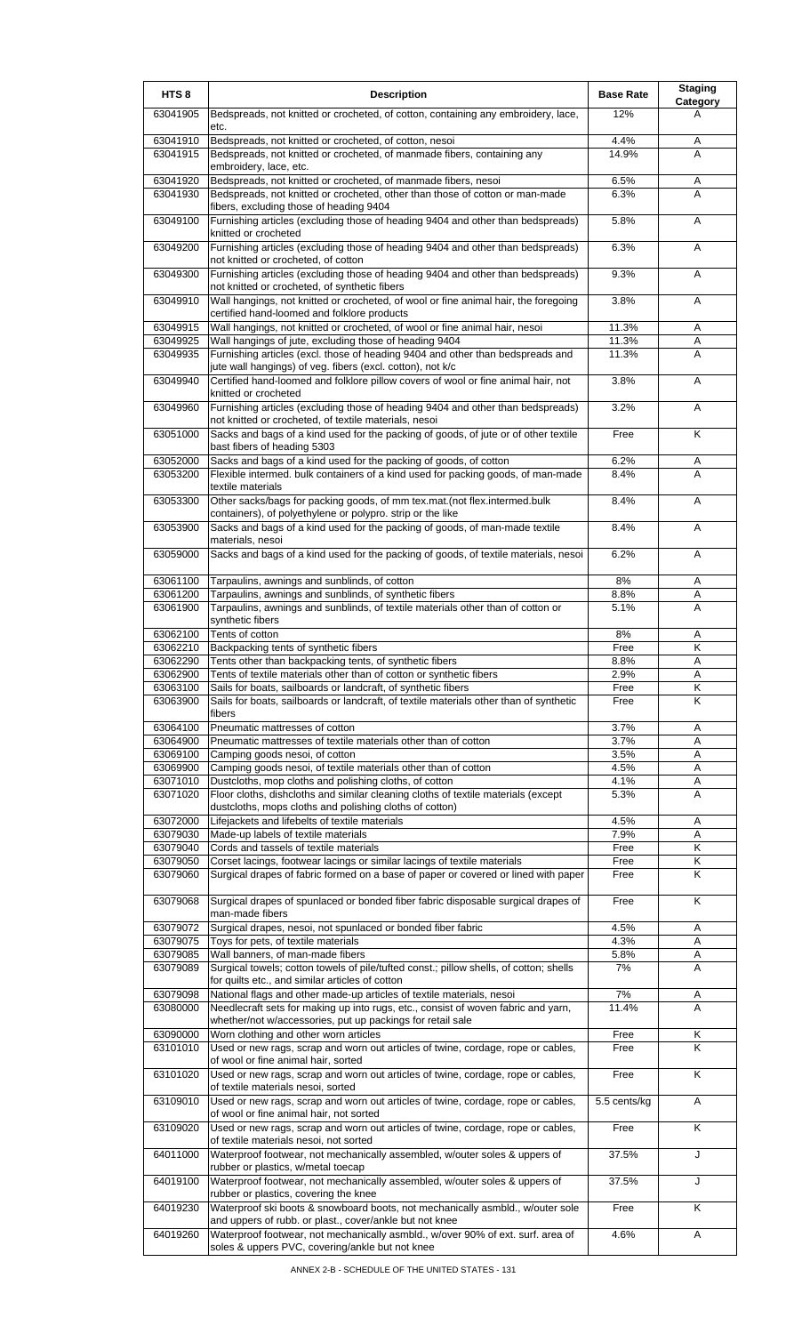| HTS <sub>8</sub>     | <b>Description</b>                                                                                                                                             | <b>Base Rate</b> | <b>Staging</b><br>Category |
|----------------------|----------------------------------------------------------------------------------------------------------------------------------------------------------------|------------------|----------------------------|
| 63041905             | Bedspreads, not knitted or crocheted, of cotton, containing any embroidery, lace,<br>etc.                                                                      | 12%              | A                          |
| 63041910             | Bedspreads, not knitted or crocheted, of cotton, nesoi                                                                                                         | 4.4%             | Α                          |
| 63041915             | Bedspreads, not knitted or crocheted, of manmade fibers, containing any<br>embroidery, lace, etc.                                                              | 14.9%            | A                          |
| 63041920             | Bedspreads, not knitted or crocheted, of manmade fibers, nesoi                                                                                                 | 6.5%             | Α                          |
| 63041930             | Bedspreads, not knitted or crocheted, other than those of cotton or man-made                                                                                   | 6.3%             | A                          |
| 63049100             | fibers, excluding those of heading 9404<br>Furnishing articles (excluding those of heading 9404 and other than bedspreads)                                     | 5.8%             | A                          |
| 63049200             | knitted or crocheted<br>Furnishing articles (excluding those of heading 9404 and other than bedspreads)                                                        | 6.3%             | Α                          |
| 63049300             | not knitted or crocheted, of cotton<br>Furnishing articles (excluding those of heading 9404 and other than bedspreads)                                         | 9.3%             | A                          |
| 63049910             | not knitted or crocheted, of synthetic fibers<br>Wall hangings, not knitted or crocheted, of wool or fine animal hair, the foregoing                           | 3.8%             | A                          |
| 63049915             | certified hand-loomed and folklore products<br>Wall hangings, not knitted or crocheted, of wool or fine animal hair, nesoi                                     | 11.3%            | Α                          |
| 63049925             | Wall hangings of jute, excluding those of heading 9404                                                                                                         | 11.3%            | Α                          |
| 63049935             | Furnishing articles (excl. those of heading 9404 and other than bedspreads and                                                                                 | 11.3%            | A                          |
|                      | jute wall hangings) of veg. fibers (excl. cotton), not k/c                                                                                                     |                  |                            |
| 63049940             | Certified hand-loomed and folklore pillow covers of wool or fine animal hair, not<br>knitted or crocheted                                                      | 3.8%             | Α                          |
| 63049960             | Furnishing articles (excluding those of heading 9404 and other than bedspreads)<br>not knitted or crocheted, of textile materials, nesoi                       | 3.2%             | A                          |
| 63051000             | Sacks and bags of a kind used for the packing of goods, of jute or of other textile<br>bast fibers of heading 5303                                             | Free             | K                          |
| 63052000             | Sacks and bags of a kind used for the packing of goods, of cotton                                                                                              | 6.2%             | Α                          |
| 63053200             | Flexible intermed. bulk containers of a kind used for packing goods, of man-made<br>textile materials                                                          | 8.4%             | Α                          |
| 63053300             | Other sacks/bags for packing goods, of mm tex.mat.(not flex.intermed.bulk<br>containers), of polyethylene or polypro. strip or the like                        | 8.4%             | A                          |
| 63053900             | Sacks and bags of a kind used for the packing of goods, of man-made textile<br>materials, nesoi                                                                | 8.4%             | A                          |
| 63059000             | Sacks and bags of a kind used for the packing of goods, of textile materials, nesoi                                                                            | 6.2%             | A                          |
| 63061100             | Tarpaulins, awnings and sunblinds, of cotton                                                                                                                   | 8%               | Α                          |
| 63061200<br>63061900 | Tarpaulins, awnings and sunblinds, of synthetic fibers<br>Tarpaulins, awnings and sunblinds, of textile materials other than of cotton or                      | 8.8%<br>5.1%     | Α<br>Α                     |
|                      | synthetic fibers                                                                                                                                               |                  |                            |
| 63062100             | Tents of cotton                                                                                                                                                | 8%               | Α                          |
| 63062210             | Backpacking tents of synthetic fibers                                                                                                                          | Free             | Κ                          |
| 63062290<br>63062900 | Tents other than backpacking tents, of synthetic fibers<br>Tents of textile materials other than of cotton or synthetic fibers                                 | 8.8%<br>2.9%     | Α<br>A                     |
| 63063100             | Sails for boats, sailboards or landcraft, of synthetic fibers                                                                                                  | Free             | Κ                          |
| 63063900             | Sails for boats, sailboards or landcraft, of textile materials other than of synthetic<br>fibers                                                               | Free             | Κ                          |
| 63064100             | Pneumatic mattresses of cotton                                                                                                                                 | 3.7%             | Α                          |
| 63064900             | Pneumatic mattresses of textile materials other than of cotton                                                                                                 | 3.7%             | A                          |
| 63069100<br>63069900 | Camping goods nesoi, of cotton<br>Camping goods nesoi, of textile materials other than of cotton                                                               | 3.5%<br>4.5%     | Α<br>A                     |
| 63071010             | Dustcloths, mop cloths and polishing cloths, of cotton                                                                                                         | 4.1%             | Α                          |
| 63071020             | Floor cloths, dishcloths and similar cleaning cloths of textile materials (except<br>dustcloths, mops cloths and polishing cloths of cotton)                   | 5.3%             | Α                          |
| 63072000             | Lifejackets and lifebelts of textile materials                                                                                                                 | 4.5%             | A                          |
| 63079030             | Made-up labels of textile materials                                                                                                                            | 7.9%             | Α                          |
| 63079040<br>63079050 | Cords and tassels of textile materials                                                                                                                         | Free<br>Free     | Κ<br>κ                     |
| 63079060             | Corset lacings, footwear lacings or similar lacings of textile materials<br>Surgical drapes of fabric formed on a base of paper or covered or lined with paper | Free             | K                          |
| 63079068             | Surgical drapes of spunlaced or bonded fiber fabric disposable surgical drapes of                                                                              | Free             | Κ                          |
| 63079072             | man-made fibers<br>Surgical drapes, nesoi, not spunlaced or bonded fiber fabric                                                                                | 4.5%             | A                          |
| 63079075             | Toys for pets, of textile materials                                                                                                                            | 4.3%             | A                          |
| 63079085             | Wall banners, of man-made fibers                                                                                                                               | 5.8%             | Α                          |
| 63079089             | Surgical towels; cotton towels of pile/tufted const.; pillow shells, of cotton; shells<br>for quilts etc., and similar articles of cotton                      | 7%               | Α                          |
| 63079098             | National flags and other made-up articles of textile materials, nesoi                                                                                          | 7%               | Α                          |
| 63080000             | Needlecraft sets for making up into rugs, etc., consist of woven fabric and yarn,<br>whether/not w/accessories, put up packings for retail sale                | 11.4%            | Α                          |
| 63090000             | Worn clothing and other worn articles                                                                                                                          | Free             | Κ                          |
| 63101010             | Used or new rags, scrap and worn out articles of twine, cordage, rope or cables,                                                                               | Free             | Κ                          |
| 63101020             | of wool or fine animal hair, sorted<br>Used or new rags, scrap and worn out articles of twine, cordage, rope or cables,                                        | Free             | K                          |
| 63109010             | of textile materials nesoi, sorted<br>Used or new rags, scrap and worn out articles of twine, cordage, rope or cables,                                         | 5.5 cents/kg     | A                          |
| 63109020             | of wool or fine animal hair, not sorted<br>Used or new rags, scrap and worn out articles of twine, cordage, rope or cables,                                    | Free             | K                          |
| 64011000             | of textile materials nesoi, not sorted<br>Waterproof footwear, not mechanically assembled, w/outer soles & uppers of                                           | 37.5%            | J                          |
| 64019100             | rubber or plastics, w/metal toecap<br>Waterproof footwear, not mechanically assembled, w/outer soles & uppers of                                               | 37.5%            | J                          |
| 64019230             | rubber or plastics, covering the knee<br>Waterproof ski boots & snowboard boots, not mechanically asmbld., w/outer sole                                        | Free             | Κ                          |
| 64019260             | and uppers of rubb. or plast., cover/ankle but not knee<br>Waterproof footwear, not mechanically asmbld., w/over 90% of ext. surf. area of                     | 4.6%             | Α                          |
|                      | soles & uppers PVC, covering/ankle but not knee                                                                                                                |                  |                            |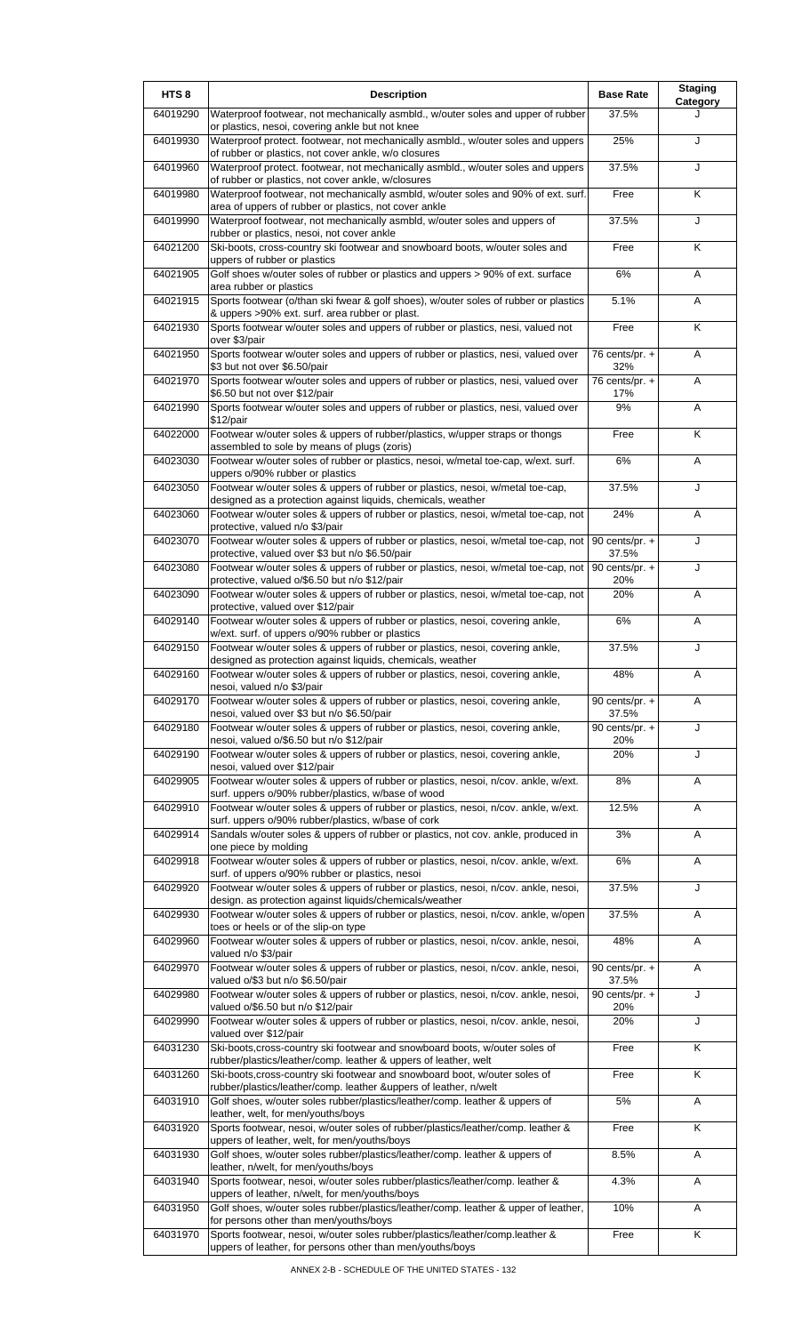| HTS <sub>8</sub> | <b>Description</b>                                                                                                                                 | <b>Base Rate</b>                   | <b>Staging</b><br>Category |
|------------------|----------------------------------------------------------------------------------------------------------------------------------------------------|------------------------------------|----------------------------|
| 64019290         | Waterproof footwear, not mechanically asmbld., w/outer soles and upper of rubber<br>or plastics, nesoi, covering ankle but not knee                | 37.5%                              |                            |
| 64019930         | Waterproof protect. footwear, not mechanically asmbld., w/outer soles and uppers<br>of rubber or plastics, not cover ankle, w/o closures           | 25%                                | J                          |
| 64019960         | Waterproof protect. footwear, not mechanically asmbld., w/outer soles and uppers<br>of rubber or plastics, not cover ankle, w/closures             | 37.5%                              | J                          |
| 64019980         | Waterproof footwear, not mechanically asmbld, w/outer soles and 90% of ext. surf.<br>area of uppers of rubber or plastics, not cover ankle         | Free                               | K                          |
| 64019990         | Waterproof footwear, not mechanically asmbld, w/outer soles and uppers of                                                                          | 37.5%                              | J                          |
| 64021200         | rubber or plastics, nesoi, not cover ankle<br>Ski-boots, cross-country ski footwear and snowboard boots, w/outer soles and                         | Free                               | K                          |
| 64021905         | uppers of rubber or plastics<br>Golf shoes w/outer soles of rubber or plastics and uppers > 90% of ext. surface                                    | 6%                                 | A                          |
| 64021915         | area rubber or plastics<br>Sports footwear (o/than ski fwear & golf shoes), w/outer soles of rubber or plastics                                    | 5.1%                               | Α                          |
| 64021930         | & uppers >90% ext. surf. area rubber or plast.<br>Sports footwear w/outer soles and uppers of rubber or plastics, nesi, valued not                 | Free                               | K                          |
| 64021950         | over \$3/pair<br>Sports footwear w/outer soles and uppers of rubber or plastics, nesi, valued over                                                 | 76 cents/pr. $+$                   | A                          |
| 64021970         | \$3 but not over \$6.50/pair<br>Sports footwear w/outer soles and uppers of rubber or plastics, nesi, valued over                                  | 32%<br>76 cents/pr. $+$            | Α                          |
| 64021990         | \$6.50 but not over \$12/pair<br>Sports footwear w/outer soles and uppers of rubber or plastics, nesi, valued over                                 | 17%<br>9%                          | A                          |
| 64022000         | $$12$ /pair<br>Footwear w/outer soles & uppers of rubber/plastics, w/upper straps or thongs                                                        | Free                               | K                          |
| 64023030         | assembled to sole by means of plugs (zoris)<br>Footwear w/outer soles of rubber or plastics, nesoi, w/metal toe-cap, w/ext. surf.                  | 6%                                 | Α                          |
| 64023050         | uppers o/90% rubber or plastics<br>Footwear w/outer soles & uppers of rubber or plastics, nesoi, w/metal toe-cap,                                  | 37.5%                              | J                          |
| 64023060         | designed as a protection against liquids, chemicals, weather<br>Footwear w/outer soles & uppers of rubber or plastics, nesoi, w/metal toe-cap, not | 24%                                | A                          |
| 64023070         | protective, valued n/o \$3/pair<br>Footwear w/outer soles & uppers of rubber or plastics, nesoi, w/metal toe-cap, not                              | 90 cents/pr. +                     | J                          |
|                  | protective, valued over \$3 but n/o \$6.50/pair                                                                                                    | 37.5%                              |                            |
| 64023080         | Footwear w/outer soles & uppers of rubber or plastics, nesoi, w/metal toe-cap, not<br>protective, valued o/\$6.50 but n/o \$12/pair                | $\overline{90}$ cents/pr. +<br>20% | J                          |
| 64023090         | Footwear w/outer soles & uppers of rubber or plastics, nesoi, w/metal toe-cap, not<br>protective, valued over \$12/pair                            | 20%                                | A                          |
| 64029140         | Footwear w/outer soles & uppers of rubber or plastics, nesoi, covering ankle,<br>w/ext. surf. of uppers o/90% rubber or plastics                   | 6%                                 | A                          |
| 64029150         | Footwear w/outer soles & uppers of rubber or plastics, nesoi, covering ankle,<br>designed as protection against liquids, chemicals, weather        | 37.5%                              | J                          |
| 64029160         | Footwear w/outer soles & uppers of rubber or plastics, nesoi, covering ankle,<br>nesoi, valued n/o \$3/pair                                        | 48%                                | A                          |
| 64029170         | Footwear w/outer soles & uppers of rubber or plastics, nesoi, covering ankle,<br>nesoi, valued over \$3 but n/o \$6.50/pair                        | 90 cents/pr. +<br>37.5%            | A                          |
| 64029180         | Footwear w/outer soles & uppers of rubber or plastics, nesoi, covering ankle,<br>nesoi, valued o/\$6.50 but n/o \$12/pair                          | 90 cents/pr. $+$<br>20%            | J                          |
| 64029190         | Footwear w/outer soles & uppers of rubber or plastics, nesoi, covering ankle,<br>nesoi, valued over \$12/pair                                      | 20%                                | J                          |
| 64029905         | Footwear w/outer soles & uppers of rubber or plastics, nesoi, n/cov. ankle, w/ext.<br>surf. uppers o/90% rubber/plastics, w/base of wood           | 8%                                 | Α                          |
| 64029910         | Footwear w/outer soles & uppers of rubber or plastics, nesoi, n/cov. ankle, w/ext.<br>surf. uppers o/90% rubber/plastics, w/base of cork           | 12.5%                              | A                          |
| 64029914         | Sandals w/outer soles & uppers of rubber or plastics, not cov. ankle, produced in<br>one piece by molding                                          | 3%                                 | Α                          |
| 64029918         | Footwear w/outer soles & uppers of rubber or plastics, nesoi, n/cov. ankle, w/ext.<br>surf. of uppers o/90% rubber or plastics, nesoi              | 6%                                 | Α                          |
| 64029920         | Footwear w/outer soles & uppers of rubber or plastics, nesoi, n/cov. ankle, nesoi,                                                                 | 37.5%                              | J                          |
| 64029930         | design. as protection against liquids/chemicals/weather<br>Footwear w/outer soles & uppers of rubber or plastics, nesoi, n/cov. ankle, w/open      | 37.5%                              | Α                          |
| 64029960         | toes or heels or of the slip-on type<br>Footwear w/outer soles & uppers of rubber or plastics, nesoi, n/cov. ankle, nesoi,                         | 48%                                | Α                          |
| 64029970         | valued n/o \$3/pair<br>Footwear w/outer soles & uppers of rubber or plastics, nesoi, n/cov. ankle, nesoi,                                          | 90 cents/pr. +                     | Α                          |
| 64029980         | valued o/\$3 but n/o \$6.50/pair<br>Footwear w/outer soles & uppers of rubber or plastics, nesoi, n/cov. ankle, nesoi,                             | 37.5%<br>90 cents/pr. +            | J                          |
| 64029990         | valued o/\$6.50 but n/o \$12/pair<br>Footwear w/outer soles & uppers of rubber or plastics, nesoi, n/cov. ankle, nesoi,                            | 20%<br>20%                         | J                          |
| 64031230         | valued over \$12/pair<br>Ski-boots, cross-country ski footwear and snowboard boots, w/outer soles of                                               | Free                               | K                          |
| 64031260         | rubber/plastics/leather/comp. leather & uppers of leather, welt<br>Ski-boots, cross-country ski footwear and snowboard boot, w/outer soles of      | Free                               | K                          |
| 64031910         | rubber/plastics/leather/comp. leather &uppers of leather, n/welt<br>Golf shoes, w/outer soles rubber/plastics/leather/comp. leather & uppers of    | 5%                                 | Α                          |
| 64031920         | leather, welt, for men/youths/boys<br>Sports footwear, nesoi, w/outer soles of rubber/plastics/leather/comp. leather &                             | Free                               | Κ                          |
| 64031930         | uppers of leather, welt, for men/youths/boys<br>Golf shoes, w/outer soles rubber/plastics/leather/comp. leather & uppers of                        | 8.5%                               | Α                          |
| 64031940         | leather, n/welt, for men/youths/boys<br>Sports footwear, nesoi, w/outer soles rubber/plastics/leather/comp. leather &                              | 4.3%                               | Α                          |
| 64031950         | uppers of leather, n/welt, for men/youths/boys<br>Golf shoes, w/outer soles rubber/plastics/leather/comp. leather & upper of leather,              | 10%                                | Α                          |
|                  | for persons other than men/youths/boys                                                                                                             |                                    |                            |
| 64031970         | Sports footwear, nesoi, w/outer soles rubber/plastics/leather/comp.leather &<br>uppers of leather, for persons other than men/youths/boys          | Free                               | Κ                          |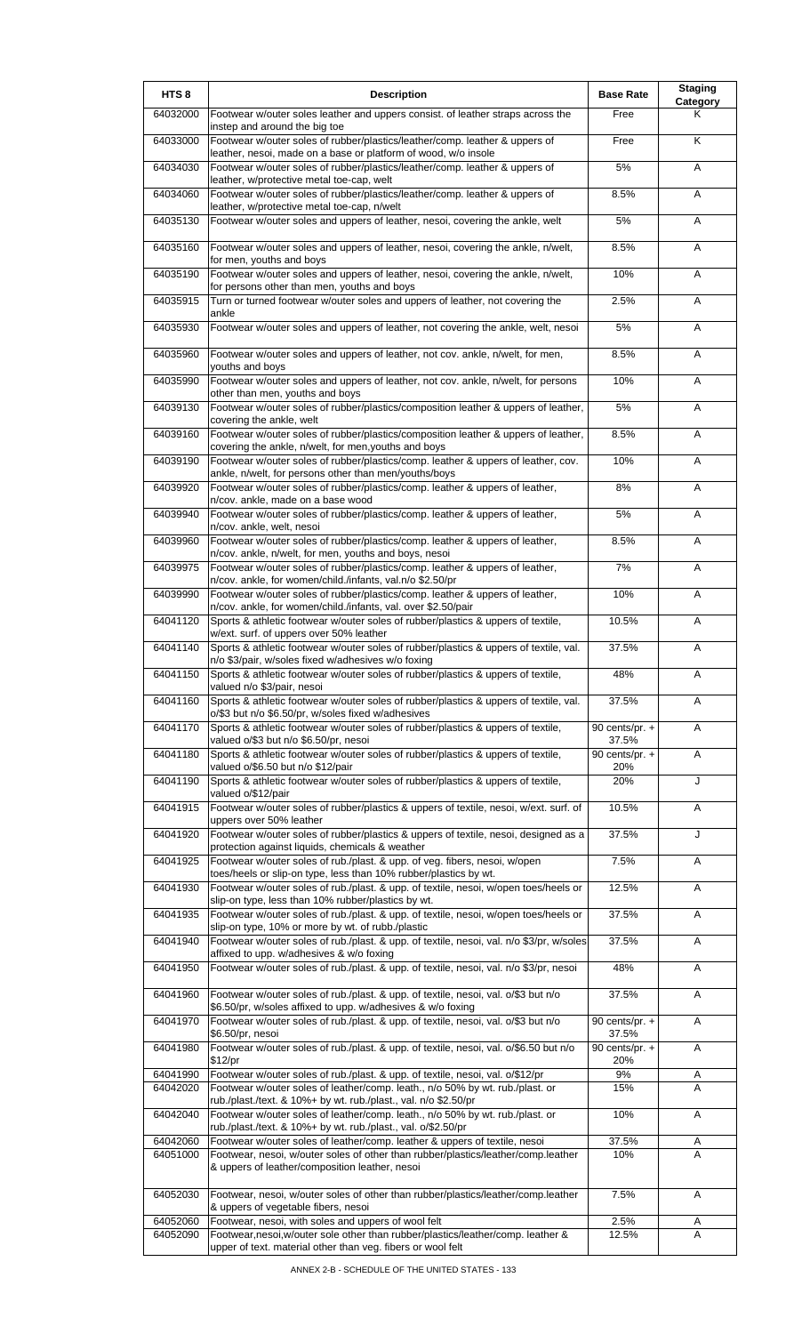| HTS <sub>8</sub>     | <b>Description</b>                                                                                                                                                                                     | <b>Base Rate</b>        | <b>Staging</b><br>Category |
|----------------------|--------------------------------------------------------------------------------------------------------------------------------------------------------------------------------------------------------|-------------------------|----------------------------|
| 64032000             | Footwear w/outer soles leather and uppers consist. of leather straps across the<br>instep and around the big toe                                                                                       | Free                    | Κ                          |
| 64033000             | Footwear w/outer soles of rubber/plastics/leather/comp. leather & uppers of<br>leather, nesoi, made on a base or platform of wood, w/o insole                                                          | Free                    | K                          |
| 64034030             | Footwear w/outer soles of rubber/plastics/leather/comp. leather & uppers of<br>leather, w/protective metal toe-cap, welt                                                                               | 5%                      | Α                          |
| 64034060             | Footwear w/outer soles of rubber/plastics/leather/comp. leather & uppers of<br>leather, w/protective metal toe-cap, n/welt                                                                             | 8.5%                    | A                          |
| 64035130             | Footwear w/outer soles and uppers of leather, nesoi, covering the ankle, welt                                                                                                                          | 5%                      | A                          |
| 64035160             | Footwear w/outer soles and uppers of leather, nesoi, covering the ankle, n/welt,<br>for men, youths and boys                                                                                           | 8.5%                    | Α                          |
| 64035190             | Footwear w/outer soles and uppers of leather, nesoi, covering the ankle, n/welt,<br>for persons other than men, youths and boys                                                                        | 10%                     | A                          |
| 64035915             | Turn or turned footwear w/outer soles and uppers of leather, not covering the<br>ankle                                                                                                                 | 2.5%                    | A                          |
| 64035930             | Footwear w/outer soles and uppers of leather, not covering the ankle, welt, nesoi                                                                                                                      | 5%                      | Α                          |
| 64035960             | Footwear w/outer soles and uppers of leather, not cov. ankle, n/welt, for men,<br>youths and boys                                                                                                      | 8.5%                    | A                          |
| 64035990             | Footwear w/outer soles and uppers of leather, not cov. ankle, n/welt, for persons                                                                                                                      | 10%                     | Α                          |
| 64039130             | other than men, youths and boys<br>Footwear w/outer soles of rubber/plastics/composition leather & uppers of leather,                                                                                  | 5%                      | Α                          |
| 64039160             | covering the ankle, welt<br>Footwear w/outer soles of rubber/plastics/composition leather & uppers of leather,                                                                                         | 8.5%                    | A                          |
| 64039190             | covering the ankle, n/welt, for men, youths and boys<br>Footwear w/outer soles of rubber/plastics/comp. leather & uppers of leather, cov.                                                              | 10%                     | Α                          |
| 64039920             | ankle, n/welt, for persons other than men/youths/boys<br>Footwear w/outer soles of rubber/plastics/comp. leather & uppers of leather,                                                                  | 8%                      | A                          |
| 64039940             | n/cov. ankle, made on a base wood<br>Footwear w/outer soles of rubber/plastics/comp. leather & uppers of leather,                                                                                      | 5%                      | A                          |
| 64039960             | n/cov. ankle, welt, nesoi<br>Footwear w/outer soles of rubber/plastics/comp. leather & uppers of leather,                                                                                              | 8.5%                    | Α                          |
| 64039975             | n/cov. ankle, n/welt, for men, youths and boys, nesoi<br>Footwear w/outer soles of rubber/plastics/comp. leather & uppers of leather,                                                                  | 7%                      | Α                          |
| 64039990             | n/cov. ankle, for women/child./infants, val.n/o \$2.50/pr<br>Footwear w/outer soles of rubber/plastics/comp. leather & uppers of leather,                                                              | 10%                     | A                          |
| 64041120             | n/cov. ankle, for women/child./infants, val. over \$2.50/pair<br>Sports & athletic footwear w/outer soles of rubber/plastics & uppers of textile,                                                      | 10.5%                   | Α                          |
| 64041140             | w/ext. surf. of uppers over 50% leather<br>Sports & athletic footwear w/outer soles of rubber/plastics & uppers of textile, val.                                                                       | 37.5%                   | A                          |
| 64041150             | n/o \$3/pair, w/soles fixed w/adhesives w/o foxing<br>Sports & athletic footwear w/outer soles of rubber/plastics & uppers of textile,                                                                 | 48%                     | A                          |
| 64041160             | valued n/o \$3/pair, nesoi<br>Sports & athletic footwear w/outer soles of rubber/plastics & uppers of textile, val.                                                                                    | 37.5%                   | Α                          |
| 64041170             | o/\$3 but n/o \$6.50/pr, w/soles fixed w/adhesives<br>Sports & athletic footwear w/outer soles of rubber/plastics & uppers of textile,                                                                 | 90 cents/pr. $+$        | A                          |
|                      | valued o/\$3 but n/o \$6.50/pr, nesoi                                                                                                                                                                  | 37.5%                   |                            |
| 64041180             | Sports & athletic footwear w/outer soles of rubber/plastics & uppers of textile,<br>valued o/\$6.50 but n/o \$12/pair                                                                                  | 90 cents/pr. $+$<br>20% | Α                          |
| 64041190             | Sports & athletic footwear w/outer soles of rubber/plastics & uppers of textile,<br>valued o/\$12/pair                                                                                                 | 20%                     | J                          |
| 64041915             | Footwear w/outer soles of rubber/plastics & uppers of textile, nesoi, w/ext. surf. of<br>uppers over 50% leather                                                                                       | 10.5%                   | Α                          |
| 64041920             | Footwear w/outer soles of rubber/plastics & uppers of textile, nesoi, designed as a<br>protection against liquids, chemicals & weather                                                                 | 37.5%                   | J                          |
| 64041925             | Footwear w/outer soles of rub./plast. & upp. of veg. fibers, nesoi, w/open<br>toes/heels or slip-on type, less than 10% rubber/plastics by wt.                                                         | 7.5%                    | A                          |
| 64041930             | Footwear w/outer soles of rub./plast. & upp. of textile, nesoi, w/open toes/heels or<br>slip-on type, less than 10% rubber/plastics by wt.                                                             | 12.5%                   | Α                          |
| 64041935             | Footwear w/outer soles of rub./plast. & upp. of textile, nesoi, w/open toes/heels or<br>slip-on type, 10% or more by wt. of rubb./plastic                                                              | 37.5%                   | Α                          |
| 64041940             | Footwear w/outer soles of rub./plast. & upp. of textile, nesoi, val. n/o \$3/pr, w/soles<br>affixed to upp. w/adhesives & w/o foxing                                                                   | 37.5%                   | Α                          |
| 64041950             | Footwear w/outer soles of rub./plast. & upp. of textile, nesoi, val. n/o \$3/pr, nesoi                                                                                                                 | 48%                     | Α                          |
| 64041960             | Footwear w/outer soles of rub./plast. & upp. of textile, nesoi, val. o/\$3 but n/o<br>\$6.50/pr, w/soles affixed to upp. w/adhesives & w/o foxing                                                      | 37.5%                   | Α                          |
| 64041970             | Footwear w/outer soles of rub./plast. & upp. of textile, nesoi, val. o/\$3 but n/o<br>\$6.50/pr, nesoi                                                                                                 | 90 cents/pr. +<br>37.5% | A                          |
| 64041980             | Footwear w/outer soles of rub./plast. & upp. of textile, nesoi, val. o/\$6.50 but n/o<br>\$12/pr                                                                                                       | 90 cents/pr. $+$<br>20% | A                          |
| 64041990<br>64042020 | Footwear w/outer soles of rub./plast. & upp. of textile, nesoi, val. o/\$12/pr<br>Footwear w/outer soles of leather/comp. leath., n/o 50% by wt. rub./plast. or                                        | 9%<br>15%               | Α<br>A                     |
| 64042040             | rub./plast./text. & 10%+ by wt. rub./plast., val. n/o \$2.50/pr<br>Footwear w/outer soles of leather/comp. leath., n/o 50% by wt. rub./plast. or                                                       | 10%                     | Α                          |
|                      | rub./plast./text. & 10%+ by wt. rub./plast., val. o/\$2.50/pr                                                                                                                                          |                         |                            |
| 64042060<br>64051000 | Footwear w/outer soles of leather/comp. leather & uppers of textile, nesoi<br>Footwear, nesoi, w/outer soles of other than rubber/plastics/leather/comp.leather                                        | 37.5%<br>10%            | A<br>A                     |
|                      | & uppers of leather/composition leather, nesoi                                                                                                                                                         |                         |                            |
| 64052030             | Footwear, nesoi, w/outer soles of other than rubber/plastics/leather/comp.leather<br>& uppers of vegetable fibers, nesoi                                                                               | 7.5%                    | Α                          |
| 64052060<br>64052090 | Footwear, nesoi, with soles and uppers of wool felt<br>Footwear, nesoi, w/outer sole other than rubber/plastics/leather/comp. leather &<br>upper of text. material other than veg. fibers or wool felt | 2.5%<br>12.5%           | Α<br>A                     |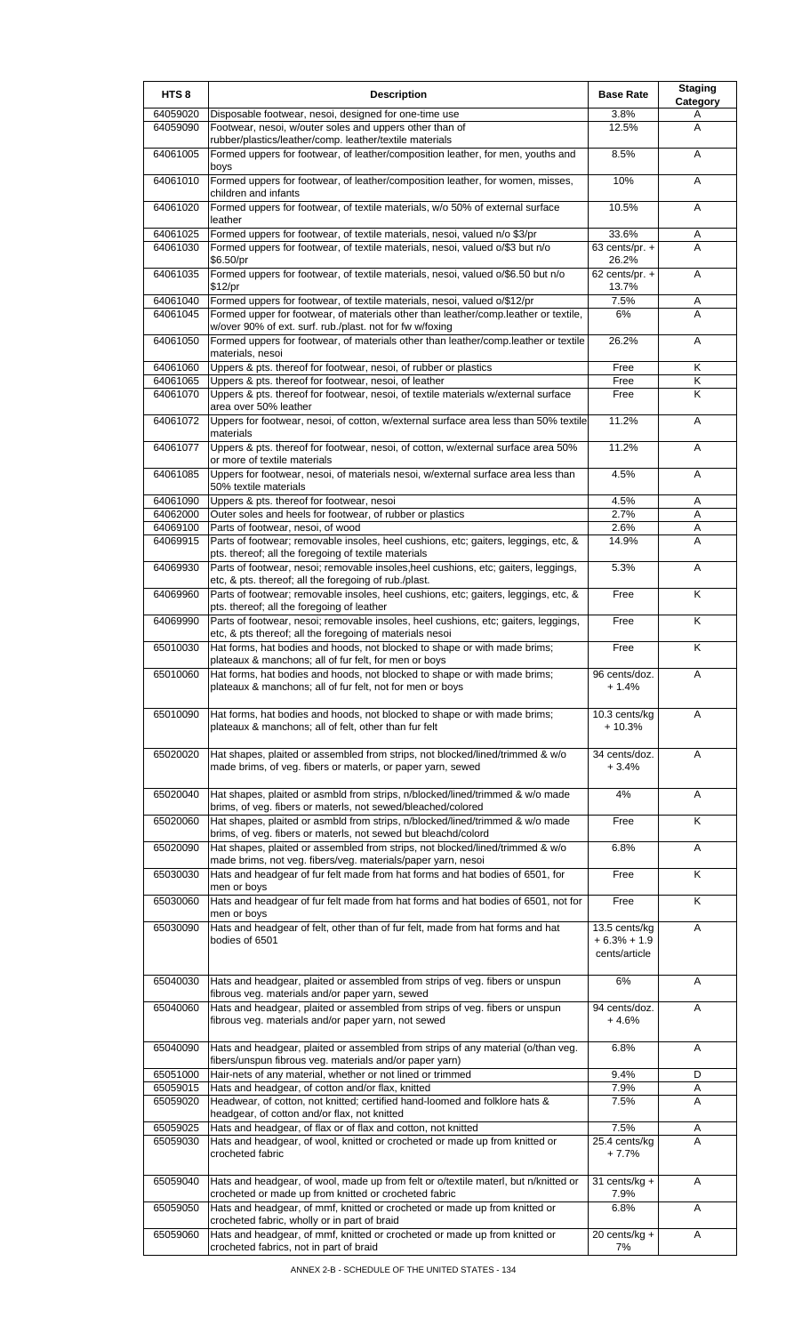| HTS <sub>8</sub>     | <b>Description</b>                                                                                                                              | <b>Base Rate</b>                                | <b>Staging</b><br>Category   |
|----------------------|-------------------------------------------------------------------------------------------------------------------------------------------------|-------------------------------------------------|------------------------------|
| 64059020             | Disposable footwear, nesoi, designed for one-time use                                                                                           | 3.8%                                            | A                            |
| 64059090             | Footwear, nesoi, w/outer soles and uppers other than of<br>rubber/plastics/leather/comp. leather/textile materials                              | 12.5%                                           | A                            |
| 64061005             | Formed uppers for footwear, of leather/composition leather, for men, youths and<br>boys                                                         | 8.5%                                            | A                            |
| 64061010             | Formed uppers for footwear, of leather/composition leather, for women, misses,<br>children and infants                                          | 10%                                             | A                            |
| 64061020             | Formed uppers for footwear, of textile materials, w/o 50% of external surface<br>leather                                                        | 10.5%                                           | Α                            |
| 64061025             | Formed uppers for footwear, of textile materials, nesoi, valued n/o \$3/pr                                                                      | 33.6%                                           | Α                            |
| 64061030             | Formed uppers for footwear, of textile materials, nesoi, valued o/\$3 but n/o<br>\$6.50/pr                                                      | $63$ cents/pr. $+$<br>26.2%                     | A                            |
| 64061035             | Formed uppers for footwear, of textile materials, nesoi, valued o/\$6.50 but n/o<br>\$12/pr                                                     | 62 cents/pr. $+$<br>13.7%                       | A                            |
| 64061040             | Formed uppers for footwear, of textile materials, nesoi, valued o/\$12/pr                                                                       | 7.5%                                            | Α                            |
| 64061045             | Formed upper for footwear, of materials other than leather/comp.leather or textile,<br>w/over 90% of ext. surf. rub./plast. not for fw w/foxing | 6%                                              | A                            |
| 64061050             | Formed uppers for footwear, of materials other than leather/comp.leather or textile<br>materials, nesoi                                         | 26.2%                                           | Α                            |
| 64061060             | Uppers & pts. thereof for footwear, nesoi, of rubber or plastics                                                                                | Free                                            | Κ                            |
| 64061065<br>64061070 | Uppers & pts. thereof for footwear, nesoi, of leather<br>Uppers & pts. thereof for footwear, nesoi, of textile materials w/external surface     | Free<br>Free                                    | Κ<br>$\overline{\mathsf{K}}$ |
|                      | area over 50% leather                                                                                                                           |                                                 |                              |
| 64061072             | Uppers for footwear, nesoi, of cotton, w/external surface area less than 50% textile<br>materials                                               | 11.2%                                           | A                            |
| 64061077             | Uppers & pts. thereof for footwear, nesoi, of cotton, w/external surface area 50%<br>or more of textile materials                               | 11.2%                                           | A                            |
| 64061085             | Uppers for footwear, nesoi, of materials nesoi, w/external surface area less than<br>50% textile materials                                      | 4.5%                                            | A                            |
| 64061090             | Uppers & pts. thereof for footwear, nesoi                                                                                                       | 4.5%                                            | Α                            |
| 64062000<br>64069100 | Outer soles and heels for footwear, of rubber or plastics<br>Parts of footwear, nesoi, of wood                                                  | 2.7%<br>2.6%                                    | A<br>Α                       |
| 64069915             | Parts of footwear; removable insoles, heel cushions, etc; gaiters, leggings, etc, &                                                             | 14.9%                                           | A                            |
| 64069930             | pts. thereof; all the foregoing of textile materials<br>Parts of footwear, nesoi; removable insoles, heel cushions, etc; gaiters, leggings,     | 5.3%                                            | Α                            |
| 64069960             | etc, & pts. thereof; all the foregoing of rub./plast.<br>Parts of footwear; removable insoles, heel cushions, etc; gaiters, leggings, etc, &    | Free                                            | K                            |
| 64069990             | pts. thereof; all the foregoing of leather<br>Parts of footwear, nesoi; removable insoles, heel cushions, etc; gaiters, leggings,               | Free                                            | Κ                            |
| 65010030             | etc, & pts thereof; all the foregoing of materials nesoi<br>Hat forms, hat bodies and hoods, not blocked to shape or with made brims;           | Free                                            | K                            |
| 65010060             | plateaux & manchons; all of fur felt, for men or boys<br>Hat forms, hat bodies and hoods, not blocked to shape or with made brims;              | 96 cents/doz.                                   | A                            |
|                      | plateaux & manchons; all of fur felt, not for men or boys                                                                                       | + 1.4%                                          |                              |
| 65010090             | Hat forms, hat bodies and hoods, not blocked to shape or with made brims;<br>plateaux & manchons; all of felt, other than fur felt              | 10.3 cents/kg<br>$+10.3%$                       | Α                            |
| 65020020             | Hat shapes, plaited or assembled from strips, not blocked/lined/trimmed & w/o<br>made brims, of veg. fibers or materls, or paper yarn, sewed    | 34 cents/doz.<br>$+3.4%$                        | Α                            |
| 65020040             | Hat shapes, plaited or asmbld from strips, n/blocked/lined/trimmed & w/o made<br>brims, of veg. fibers or materls, not sewed/bleached/colored   | 4%                                              | A                            |
| 65020060             | Hat shapes, plaited or asmbld from strips, n/blocked/lined/trimmed & w/o made<br>brims, of veg. fibers or materls, not sewed but bleachd/colord | Free                                            | $\overline{\mathsf{K}}$      |
| 65020090             | Hat shapes, plaited or assembled from strips, not blocked/lined/trimmed & w/o                                                                   | 6.8%                                            | A                            |
| 65030030             | made brims, not veg. fibers/veg. materials/paper yarn, nesoi<br>Hats and headgear of fur felt made from hat forms and hat bodies of 6501, for   | Free                                            | K                            |
| 65030060             | men or boys<br>Hats and headgear of fur felt made from hat forms and hat bodies of 6501, not for                                                | Free                                            | K                            |
|                      | men or boys                                                                                                                                     |                                                 |                              |
| 65030090             | Hats and headgear of felt, other than of fur felt, made from hat forms and hat<br>bodies of 6501                                                | 13.5 cents/kg<br>$+6.3% + 1.9$<br>cents/article | A                            |
| 65040030             | Hats and headgear, plaited or assembled from strips of veg. fibers or unspun<br>fibrous veg. materials and/or paper yarn, sewed                 | 6%                                              | A                            |
| 65040060             | Hats and headgear, plaited or assembled from strips of veg. fibers or unspun<br>fibrous veg. materials and/or paper yarn, not sewed             | 94 cents/doz.<br>+ 4.6%                         | A                            |
| 65040090             | Hats and headgear, plaited or assembled from strips of any material (o/than veg.<br>fibers/unspun fibrous veg. materials and/or paper yarn)     | 6.8%                                            | Α                            |
| 65051000             | Hair-nets of any material, whether or not lined or trimmed                                                                                      | 9.4%                                            | D                            |
| 65059015<br>65059020 | Hats and headgear, of cotton and/or flax, knitted<br>Headwear, of cotton, not knitted; certified hand-loomed and folklore hats &                | 7.9%<br>7.5%                                    | Α<br>A                       |
|                      | headgear, of cotton and/or flax, not knitted                                                                                                    |                                                 |                              |
| 65059025<br>65059030 | Hats and headgear, of flax or of flax and cotton, not knitted<br>Hats and headgear, of wool, knitted or crocheted or made up from knitted or    | 7.5%<br>25.4 cents/kg                           | A<br>A                       |
|                      | crocheted fabric                                                                                                                                | $+7.7%$                                         |                              |
| 65059040             | Hats and headgear, of wool, made up from felt or o/textile materl, but n/knitted or<br>crocheted or made up from knitted or crocheted fabric    | 31 cents/ $kg +$<br>7.9%                        | A                            |
| 65059050             | Hats and headgear, of mmf, knitted or crocheted or made up from knitted or                                                                      | 6.8%                                            | A                            |
| 65059060             | crocheted fabric, wholly or in part of braid<br>Hats and headgear, of mmf, knitted or crocheted or made up from knitted or                      | 20 cents/kg +                                   | Α                            |
|                      | crocheted fabrics, not in part of braid                                                                                                         | 7%                                              |                              |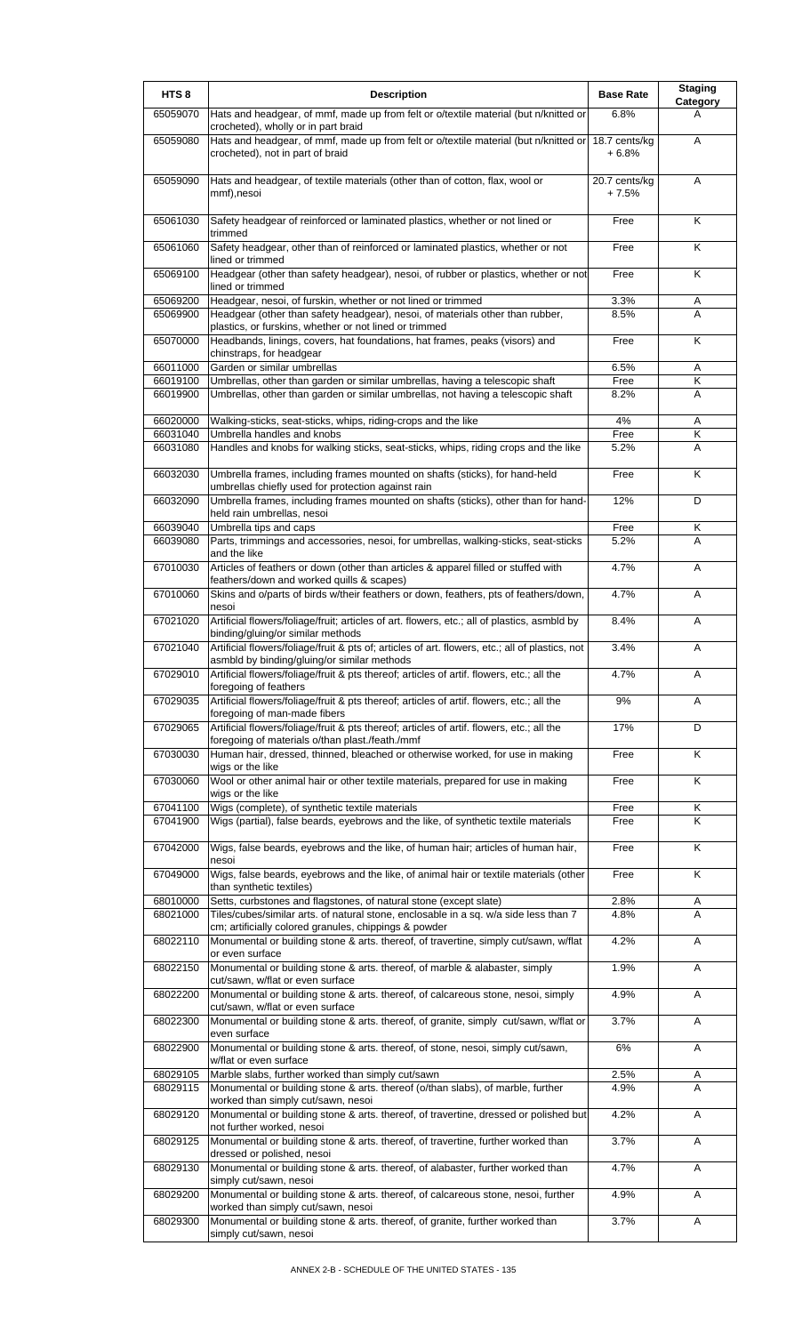| HTS <sub>8</sub>     | <b>Description</b>                                                                                                                             | <b>Base Rate</b>         | <b>Staging</b>       |
|----------------------|------------------------------------------------------------------------------------------------------------------------------------------------|--------------------------|----------------------|
| 65059070             | Hats and headgear, of mmf, made up from felt or o/textile material (but n/knitted or<br>crocheted), wholly or in part braid                    | 6.8%                     | <b>Category</b><br>А |
| 65059080             | Hats and headgear, of mmf, made up from felt or o/textile material (but n/knitted or<br>crocheted), not in part of braid                       | 18.7 cents/kg<br>$+6.8%$ | A                    |
| 65059090             | Hats and headgear, of textile materials (other than of cotton, flax, wool or<br>mmf),nesoi                                                     | 20.7 cents/kg<br>$+7.5%$ | A                    |
| 65061030             | Safety headgear of reinforced or laminated plastics, whether or not lined or<br>trimmed                                                        | Free                     | K                    |
| 65061060             | Safety headgear, other than of reinforced or laminated plastics, whether or not<br>lined or trimmed                                            | Free                     | Κ                    |
| 65069100             | Headgear (other than safety headgear), nesoi, of rubber or plastics, whether or not<br>lined or trimmed                                        | Free                     | Κ                    |
| 65069200<br>65069900 | Headgear, nesoi, of furskin, whether or not lined or trimmed<br>Headgear (other than safety headgear), nesoi, of materials other than rubber,  | 3.3%<br>8.5%             | Α<br>A               |
| 65070000             | plastics, or furskins, whether or not lined or trimmed<br>Headbands, linings, covers, hat foundations, hat frames, peaks (visors) and          | Free                     | K                    |
| 66011000             | chinstraps, for headgear<br>Garden or similar umbrellas                                                                                        | 6.5%                     | Α                    |
| 66019100             | Umbrellas, other than garden or similar umbrellas, having a telescopic shaft                                                                   | Free                     | Κ                    |
| 66019900             | Umbrellas, other than garden or similar umbrellas, not having a telescopic shaft                                                               | 8.2%                     | A                    |
| 66020000             | Walking-sticks, seat-sticks, whips, riding-crops and the like                                                                                  | 4%                       | Α                    |
| 66031040<br>66031080 | Umbrella handles and knobs<br>Handles and knobs for walking sticks, seat-sticks, whips, riding crops and the like                              | Free<br>5.2%             | Κ<br>A               |
| 66032030             | Umbrella frames, including frames mounted on shafts (sticks), for hand-held                                                                    | Free                     | K                    |
|                      | umbrellas chiefly used for protection against rain                                                                                             |                          |                      |
| 66032090             | Umbrella frames, including frames mounted on shafts (sticks), other than for hand-<br>held rain umbrellas, nesoi                               | 12%                      | D                    |
| 66039040<br>66039080 | Umbrella tips and caps<br>Parts, trimmings and accessories, nesoi, for umbrellas, walking-sticks, seat-sticks                                  | Free<br>5.2%             | Κ<br>Α               |
|                      | and the like                                                                                                                                   |                          |                      |
| 67010030             | Articles of feathers or down (other than articles & apparel filled or stuffed with<br>feathers/down and worked quills & scapes)                | 4.7%                     | Α                    |
| 67010060             | Skins and o/parts of birds w/their feathers or down, feathers, pts of feathers/down,<br>nesoi                                                  | 4.7%                     | Α                    |
| 67021020             | Artificial flowers/foliage/fruit; articles of art. flowers, etc.; all of plastics, asmbld by<br>binding/gluing/or similar methods              | 8.4%                     | Α                    |
| 67021040             | Artificial flowers/foliage/fruit & pts of; articles of art. flowers, etc.; all of plastics, not<br>asmbld by binding/gluing/or similar methods | 3.4%                     | Α                    |
| 67029010             | Artificial flowers/foliage/fruit & pts thereof; articles of artif. flowers, etc.; all the<br>foregoing of feathers                             | 4.7%                     | Α                    |
| 67029035             | Artificial flowers/foliage/fruit & pts thereof; articles of artif. flowers, etc.; all the<br>foregoing of man-made fibers                      | 9%                       | Α                    |
| 67029065             | Artificial flowers/foliage/fruit & pts thereof; articles of artif. flowers, etc.; all the<br>foregoing of materials o/than plast./feath./mmf   | 17%                      | D                    |
| 67030030             | Human hair, dressed, thinned, bleached or otherwise worked, for use in making                                                                  | Free                     | Κ                    |
| 67030060             | wigs or the like<br>Wool or other animal hair or other textile materials, prepared for use in making<br>wigs or the like                       | Free                     | K                    |
| 67041100             | Wigs (complete), of synthetic textile materials                                                                                                | Free                     | Κ                    |
| 67041900             | Wigs (partial), false beards, eyebrows and the like, of synthetic textile materials                                                            | Free                     | K                    |
| 67042000             | Wigs, false beards, eyebrows and the like, of human hair; articles of human hair,<br>nesoi                                                     | Free                     | Κ                    |
| 67049000             | Wigs, false beards, eyebrows and the like, of animal hair or textile materials (other<br>than synthetic textiles)                              | Free                     | Κ                    |
| 68010000             | Setts, curbstones and flagstones, of natural stone (except slate)                                                                              | 2.8%                     | A                    |
| 68021000             | Tiles/cubes/similar arts. of natural stone, enclosable in a sq. w/a side less than 7<br>cm; artificially colored granules, chippings & powder  | 4.8%                     | A                    |
| 68022110             | Monumental or building stone & arts. thereof, of travertine, simply cut/sawn, w/flat<br>or even surface                                        | 4.2%                     | Α                    |
| 68022150             | Monumental or building stone & arts. thereof, of marble & alabaster, simply<br>cut/sawn, w/flat or even surface                                | 1.9%                     | Α                    |
| 68022200             | Monumental or building stone & arts. thereof, of calcareous stone, nesoi, simply<br>cut/sawn, w/flat or even surface                           | 4.9%                     | Α                    |
| 68022300             | Monumental or building stone & arts. thereof, of granite, simply cut/sawn, w/flat or                                                           | 3.7%                     | A                    |
| 68022900             | even surface<br>Monumental or building stone & arts. thereof, of stone, nesoi, simply cut/sawn,                                                | 6%                       | A                    |
| 68029105             | w/flat or even surface<br>Marble slabs, further worked than simply cut/sawn                                                                    | 2.5%                     | Α                    |
| 68029115             | Monumental or building stone & arts. thereof (o/than slabs), of marble, further                                                                | 4.9%                     | A                    |
| 68029120             | worked than simply cut/sawn, nesoi<br>Monumental or building stone & arts. thereof, of travertine, dressed or polished but                     | 4.2%                     | Α                    |
| 68029125             | not further worked, nesoi<br>Monumental or building stone & arts. thereof, of travertine, further worked than                                  | 3.7%                     | Α                    |
|                      | dressed or polished, nesoi                                                                                                                     | 4.7%                     |                      |
| 68029130             | Monumental or building stone & arts. thereof, of alabaster, further worked than<br>simply cut/sawn, nesoi                                      |                          | Α                    |
| 68029200             | Monumental or building stone & arts. thereof, of calcareous stone, nesoi, further<br>worked than simply cut/sawn, nesoi                        | 4.9%                     | Α                    |
| 68029300             | Monumental or building stone & arts. thereof, of granite, further worked than<br>simply cut/sawn, nesoi                                        | 3.7%                     | Α                    |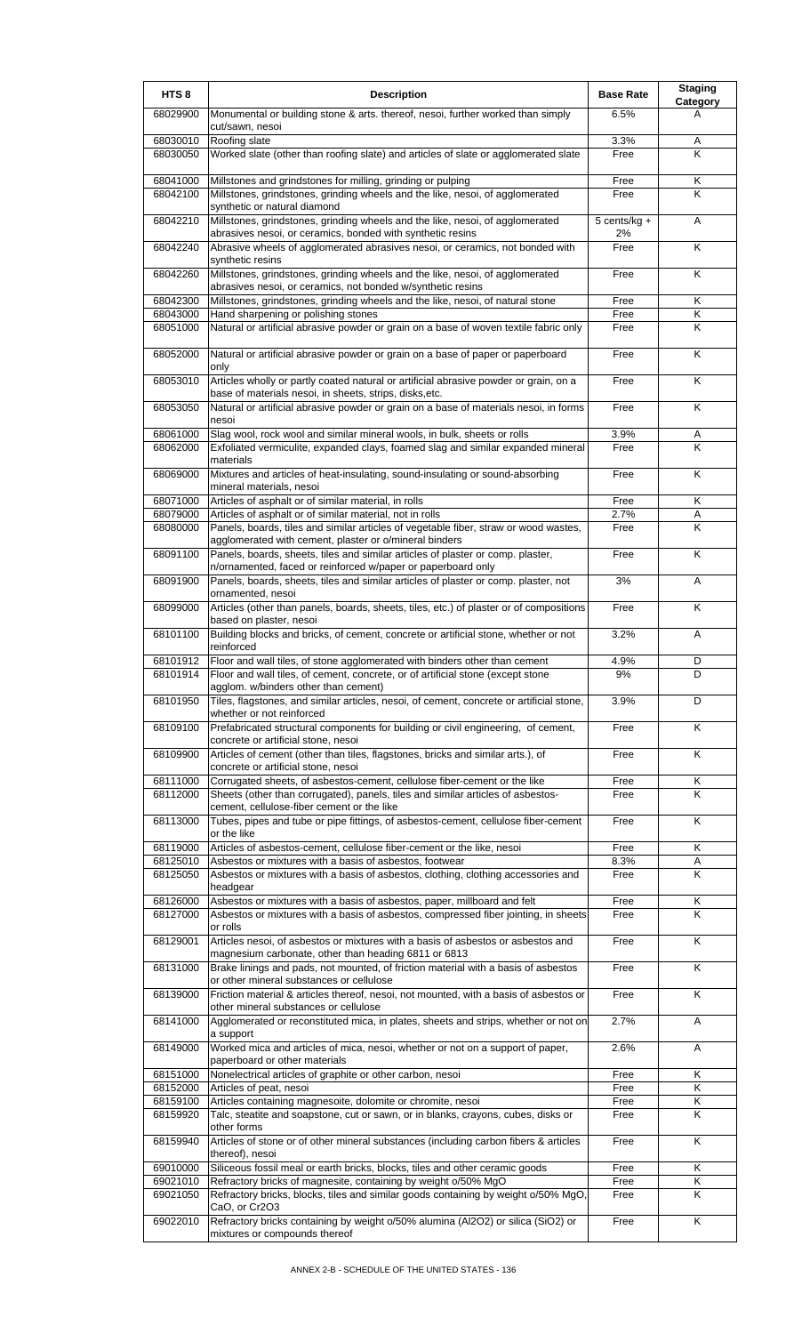| HTS <sub>8</sub>     | <b>Description</b>                                                                                                                                                        | <b>Base Rate</b>   | <b>Staging</b><br>Category |
|----------------------|---------------------------------------------------------------------------------------------------------------------------------------------------------------------------|--------------------|----------------------------|
| 68029900             | Monumental or building stone & arts. thereof, nesoi, further worked than simply<br>cut/sawn, nesoi                                                                        | 6.5%               | A                          |
| 68030010             | Roofing slate                                                                                                                                                             | 3.3%               | Α<br>K                     |
| 68030050             | Worked slate (other than roofing slate) and articles of slate or agglomerated slate                                                                                       | Free               |                            |
| 68041000<br>68042100 | Millstones and grindstones for milling, grinding or pulping<br>Millstones, grindstones, grinding wheels and the like, nesoi, of agglomerated                              | Free<br>Free       | Κ<br>Κ                     |
|                      | synthetic or natural diamond                                                                                                                                              |                    |                            |
| 68042210             | Millstones, grindstones, grinding wheels and the like, nesoi, of agglomerated<br>abrasives nesoi, or ceramics, bonded with synthetic resins                               | 5 cents/kg +<br>2% | A                          |
| 68042240             | Abrasive wheels of agglomerated abrasives nesoi, or ceramics, not bonded with<br>synthetic resins                                                                         | Free               | K                          |
| 68042260             | Millstones, grindstones, grinding wheels and the like, nesoi, of agglomerated<br>abrasives nesoi, or ceramics, not bonded w/synthetic resins                              | Free               | K                          |
| 68042300             | Millstones, grindstones, grinding wheels and the like, nesoi, of natural stone                                                                                            | Free<br>Free       | K<br>K                     |
| 68043000<br>68051000 | Hand sharpening or polishing stones<br>Natural or artificial abrasive powder or grain on a base of woven textile fabric only                                              | Free               | Κ                          |
| 68052000             | Natural or artificial abrasive powder or grain on a base of paper or paperboard                                                                                           | Free               | K                          |
| 68053010             | only<br>Articles wholly or partly coated natural or artificial abrasive powder or grain, on a                                                                             | Free               | Κ                          |
| 68053050             | base of materials nesoi, in sheets, strips, disks, etc.<br>Natural or artificial abrasive powder or grain on a base of materials nesoi, in forms                          | Free               | K                          |
|                      | nesoi                                                                                                                                                                     |                    |                            |
| 68061000<br>68062000 | Slag wool, rock wool and similar mineral wools, in bulk, sheets or rolls<br>Exfoliated vermiculite, expanded clays, foamed slag and similar expanded mineral<br>materials | 3.9%<br>Free       | Α<br>K                     |
| 68069000             | Mixtures and articles of heat-insulating, sound-insulating or sound-absorbing<br>mineral materials, nesoi                                                                 | Free               | K                          |
| 68071000             | Articles of asphalt or of similar material, in rolls                                                                                                                      | Free               | Κ                          |
| 68079000<br>68080000 | Articles of asphalt or of similar material, not in rolls<br>Panels, boards, tiles and similar articles of vegetable fiber, straw or wood wastes,                          | 2.7%<br>Free       | Α<br>K                     |
|                      | agglomerated with cement, plaster or o/mineral binders                                                                                                                    |                    |                            |
| 68091100             | Panels, boards, sheets, tiles and similar articles of plaster or comp. plaster,<br>n/ornamented, faced or reinforced w/paper or paperboard only                           | Free               | K                          |
| 68091900             | Panels, boards, sheets, tiles and similar articles of plaster or comp. plaster, not<br>ornamented, nesoi                                                                  | 3%                 | Α                          |
| 68099000             | Articles (other than panels, boards, sheets, tiles, etc.) of plaster or of compositions<br>based on plaster, nesoi                                                        | Free               | K                          |
| 68101100             | Building blocks and bricks, of cement, concrete or artificial stone, whether or not<br>reinforced                                                                         | 3.2%               | A                          |
| 68101912             | Floor and wall tiles, of stone agglomerated with binders other than cement                                                                                                | 4.9%               | D                          |
| 68101914             | [Floor and wall tiles, of cement, concrete, or of artificial stone (except stone<br>agglom. w/binders other than cement)                                                  | 9%                 | D                          |
| 68101950             | Tiles, flagstones, and similar articles, nesoi, of cement, concrete or artificial stone,<br>whether or not reinforced                                                     | 3.9%               | D                          |
| 68109100             | Prefabricated structural components for building or civil engineering, of cement,<br>concrete or artificial stone, nesoi                                                  | Free               | K                          |
| 68109900             | Articles of cement (other than tiles, flagstones, bricks and similar arts.), of                                                                                           | Free               | Κ                          |
| 68111000             | concrete or artificial stone, nesoi<br>Corrugated sheets, of asbestos-cement, cellulose fiber-cement or the like                                                          | Free               | Κ                          |
| 68112000             | Sheets (other than corrugated), panels, tiles and similar articles of asbestos-<br>cement, cellulose-fiber cement or the like                                             | Free               | Κ                          |
| 68113000             | Tubes, pipes and tube or pipe fittings, of asbestos-cement, cellulose fiber-cement<br>or the like                                                                         | Free               | K                          |
| 68119000             | Articles of asbestos-cement, cellulose fiber-cement or the like, nesoi                                                                                                    | Free               | Κ                          |
| 68125010             | Asbestos or mixtures with a basis of asbestos, footwear                                                                                                                   | 8.3%               | Α                          |
| 68125050             | Asbestos or mixtures with a basis of asbestos, clothing, clothing accessories and<br>headgear                                                                             | Free               | K                          |
| 68126000             | Asbestos or mixtures with a basis of asbestos, paper, millboard and felt                                                                                                  | Free               | Κ                          |
| 68127000             | Asbestos or mixtures with a basis of asbestos, compressed fiber jointing, in sheets<br>or rolls                                                                           | Free               | K                          |
| 68129001             | Articles nesoi, of asbestos or mixtures with a basis of asbestos or asbestos and<br>magnesium carbonate, other than heading 6811 or 6813                                  | Free               | K                          |
| 68131000             | Brake linings and pads, not mounted, of friction material with a basis of asbestos<br>or other mineral substances or cellulose                                            | Free               | K                          |
| 68139000             | Friction material & articles thereof, nesoi, not mounted, with a basis of asbestos or<br>other mineral substances or cellulose                                            | Free               | K                          |
| 68141000             | Agglomerated or reconstituted mica, in plates, sheets and strips, whether or not on<br>a support                                                                          | 2.7%               | Α                          |
| 68149000             | Worked mica and articles of mica, nesoi, whether or not on a support of paper,<br>paperboard or other materials                                                           | 2.6%               | Α                          |
| 68151000             | Nonelectrical articles of graphite or other carbon, nesoi                                                                                                                 | Free               | Κ                          |
| 68152000<br>68159100 | Articles of peat, nesoi<br>Articles containing magnesoite, dolomite or chromite, nesoi                                                                                    | Free<br>Free       | Κ<br>Κ                     |
| 68159920             | Talc, steatite and soapstone, cut or sawn, or in blanks, crayons, cubes, disks or                                                                                         | Free               | K                          |
| 68159940             | other forms<br>Articles of stone or of other mineral substances (including carbon fibers & articles                                                                       | Free               | Κ                          |
| 69010000             | thereof), nesoi<br>Siliceous fossil meal or earth bricks, blocks, tiles and other ceramic goods                                                                           | Free               | Κ                          |
| 69021010             | Refractory bricks of magnesite, containing by weight o/50% MgO                                                                                                            | Free               | Κ                          |
| 69021050             | Refractory bricks, blocks, tiles and similar goods containing by weight o/50% MgO                                                                                         | Free               | K                          |
| 69022010             | CaO, or Cr2O3<br>Refractory bricks containing by weight o/50% alumina (Al2O2) or silica (SiO2) or<br>mixtures or compounds thereof                                        | Free               | K                          |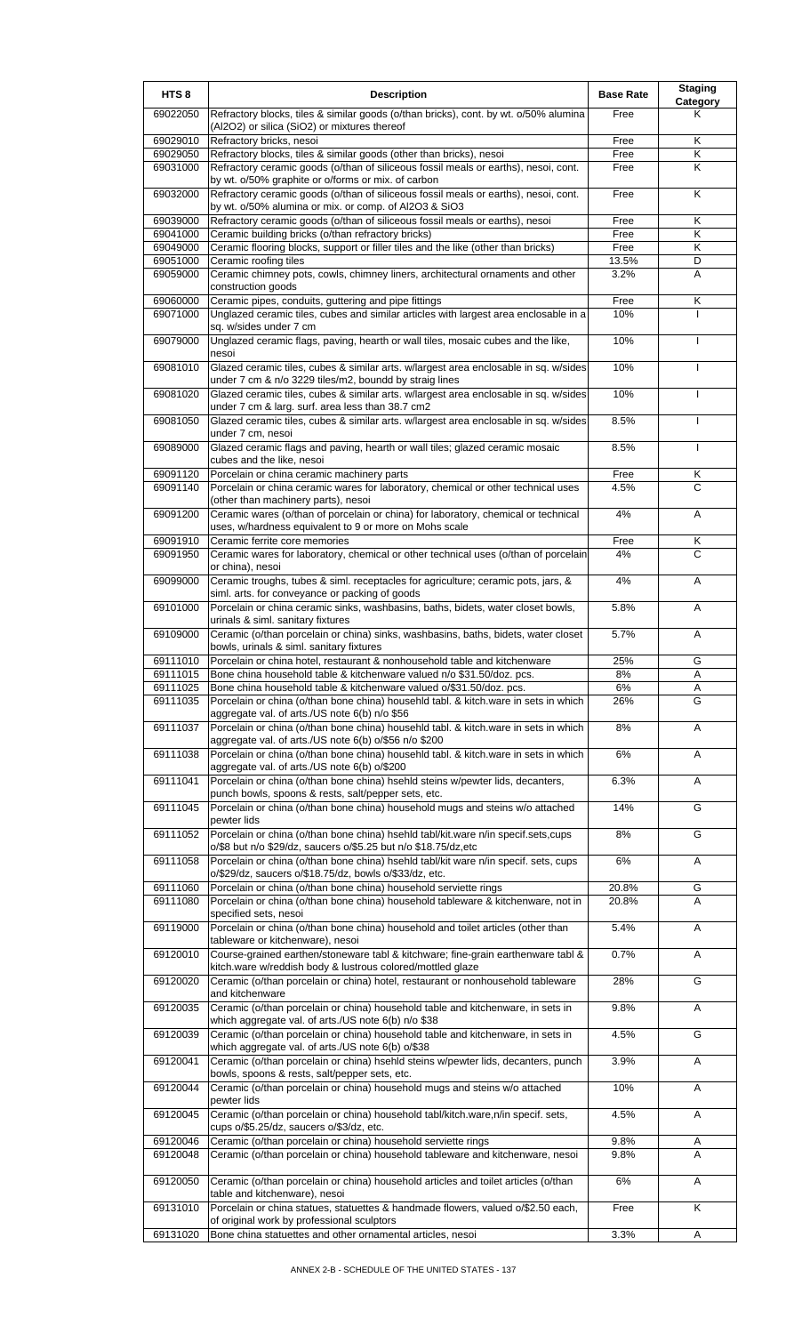| HTS <sub>8</sub>     | <b>Description</b>                                                                                                                                                                                 | <b>Base Rate</b> | <b>Staging</b><br>Category |
|----------------------|----------------------------------------------------------------------------------------------------------------------------------------------------------------------------------------------------|------------------|----------------------------|
| 69022050             | Refractory blocks, tiles & similar goods (o/than bricks), cont. by wt. o/50% alumina<br>(Al2O2) or silica (SiO2) or mixtures thereof                                                               | Free             | Κ                          |
| 69029010             | Refractory bricks, nesoi                                                                                                                                                                           | Free             | Κ                          |
| 69029050             | Refractory blocks, tiles & similar goods (other than bricks), nesoi                                                                                                                                | Free             | K                          |
| 69031000             | Refractory ceramic goods (o/than of siliceous fossil meals or earths), nesoi, cont.                                                                                                                | Free             | Κ                          |
| 69032000             | by wt. o/50% graphite or o/forms or mix. of carbon<br>Refractory ceramic goods (o/than of siliceous fossil meals or earths), nesoi, cont.<br>by wt. o/50% alumina or mix. or comp. of Al2O3 & SiO3 | Free             | K                          |
| 69039000             | Refractory ceramic goods (o/than of siliceous fossil meals or earths), nesoi                                                                                                                       | Free             | Κ                          |
| 69041000             | Ceramic building bricks (o/than refractory bricks)                                                                                                                                                 | Free             | K                          |
| 69049000             | Ceramic flooring blocks, support or filler tiles and the like (other than bricks)                                                                                                                  | Free             | K                          |
| 69051000             | Ceramic roofing tiles                                                                                                                                                                              | 13.5%            | D                          |
| 69059000             | Ceramic chimney pots, cowls, chimney liners, architectural ornaments and other<br>construction goods                                                                                               | 3.2%             | Α                          |
| 69060000<br>69071000 | Ceramic pipes, conduits, guttering and pipe fittings<br>Unglazed ceramic tiles, cubes and similar articles with largest area enclosable in a                                                       | Free<br>10%      | Κ                          |
| 69079000             | sq. w/sides under 7 cm<br>Unglazed ceramic flags, paving, hearth or wall tiles, mosaic cubes and the like,<br>nesoi                                                                                | 10%              |                            |
| 69081010             | Glazed ceramic tiles, cubes & similar arts. w/largest area enclosable in sq. w/sides<br>under 7 cm & n/o 3229 tiles/m2, boundd by straig lines                                                     | 10%              |                            |
| 69081020             | Glazed ceramic tiles, cubes & similar arts. w/largest area enclosable in sq. w/sides<br>under 7 cm & larg. surf. area less than 38.7 cm2                                                           | 10%              |                            |
| 69081050             | Glazed ceramic tiles, cubes & similar arts. w/largest area enclosable in sq. w/sides<br>under 7 cm, nesoi                                                                                          | 8.5%             |                            |
| 69089000             | Glazed ceramic flags and paving, hearth or wall tiles; glazed ceramic mosaic<br>cubes and the like, nesoi                                                                                          | 8.5%             | T                          |
| 69091120             | Porcelain or china ceramic machinery parts                                                                                                                                                         | Free             | Κ                          |
| 69091140             | Porcelain or china ceramic wares for laboratory, chemical or other technical uses                                                                                                                  | 4.5%             | C                          |
| 69091200             | (other than machinery parts), nesoi<br>Ceramic wares (o/than of porcelain or china) for laboratory, chemical or technical                                                                          | 4%               | A                          |
|                      | uses, w/hardness equivalent to 9 or more on Mohs scale                                                                                                                                             |                  |                            |
| 69091910             | Ceramic ferrite core memories                                                                                                                                                                      | Free             | κ                          |
| 69091950             | Ceramic wares for laboratory, chemical or other technical uses (o/than of porcelain<br>or china), nesoi                                                                                            | 4%               | C                          |
| 69099000             | Ceramic troughs, tubes & siml. receptacles for agriculture; ceramic pots, jars, &<br>siml. arts. for conveyance or packing of goods                                                                | 4%               | Α                          |
| 69101000             | Porcelain or china ceramic sinks, washbasins, baths, bidets, water closet bowls,<br>urinals & siml. sanitary fixtures                                                                              | 5.8%             | A                          |
| 69109000             | Ceramic (o/than porcelain or china) sinks, washbasins, baths, bidets, water closet<br>bowls, urinals & siml. sanitary fixtures                                                                     | 5.7%             | A                          |
| 69111010             | Porcelain or china hotel, restaurant & nonhousehold table and kitchenware                                                                                                                          | 25%              | G                          |
| 69111015             | Bone china household table & kitchenware valued n/o \$31.50/doz. pcs.                                                                                                                              | 8%               | A                          |
| 69111025             | Bone china household table & kitchenware valued o/\$31.50/doz. pcs.                                                                                                                                | 6%               | A                          |
| 69111035             | Porcelain or china (o/than bone china) househld tabl. & kitch.ware in sets in which<br>aggregate val. of arts./US note 6(b) n/o \$56                                                               | 26%              | G                          |
| 69111037             | Porcelain or china (o/than bone china) househld tabl. & kitch.ware in sets in which<br>aggregate val. of arts./US note 6(b) o/\$56 n/o \$200                                                       | 8%               | A                          |
| 69111038             | Porcelain or china (o/than bone china) househld tabl. & kitch ware in sets in which<br>aggregate val. of arts./US note 6(b) o/\$200                                                                | $6\%$            | Α                          |
| 69111041             | Porcelain or china (o/than bone china) hsehld steins w/pewter lids, decanters,<br>punch bowls, spoons & rests, salt/pepper sets, etc.                                                              | 6.3%             | A                          |
| 69111045             | Porcelain or china (o/than bone china) household mugs and steins w/o attached<br>pewter lids                                                                                                       | 14%              | G                          |
| 69111052             | Porcelain or china (o/than bone china) hsehld tabl/kit.ware n/in specif.sets,cups<br>o/\$8 but n/o \$29/dz, saucers o/\$5.25 but n/o \$18.75/dz,etc                                                | 8%               | G                          |
| 69111058             | Porcelain or china (o/than bone china) hsehld tabl/kit ware n/in specif. sets, cups<br>o/\$29/dz, saucers o/\$18.75/dz, bowls o/\$33/dz, etc.                                                      | 6%               | A                          |
| 69111060             | Porcelain or china (o/than bone china) household serviette rings                                                                                                                                   | 20.8%            | G                          |
| 69111080             | Porcelain or china (o/than bone china) household tableware & kitchenware, not in<br>specified sets, nesoi                                                                                          | 20.8%            | A                          |
| 69119000             | Porcelain or china (o/than bone china) household and toilet articles (other than<br>tableware or kitchenware), nesoi                                                                               | 5.4%             | Α                          |
| 69120010             | Course-grained earthen/stoneware tabl & kitchware; fine-grain earthenware tabl &<br>kitch.ware w/reddish body & lustrous colored/mottled glaze                                                     | 0.7%             | Α                          |
| 69120020             | Ceramic (o/than porcelain or china) hotel, restaurant or nonhousehold tableware<br>and kitchenware                                                                                                 | 28%              | G                          |
| 69120035             | Ceramic (o/than porcelain or china) household table and kitchenware, in sets in<br>which aggregate val. of arts./US note 6(b) n/o \$38                                                             | 9.8%             | Α                          |
| 69120039             | Ceramic (o/than porcelain or china) household table and kitchenware, in sets in<br>which aggregate val. of arts./US note 6(b) o/\$38                                                               | 4.5%             | G                          |
| 69120041             | Ceramic (o/than porcelain or china) hsehld steins w/pewter lids, decanters, punch<br>bowls, spoons & rests, salt/pepper sets, etc.                                                                 | 3.9%             | A                          |
| 69120044             | Ceramic (o/than porcelain or china) household mugs and steins w/o attached<br>pewter lids                                                                                                          | 10%              | Α                          |
| 69120045             | Ceramic (o/than porcelain or china) household tabl/kitch.ware,n/in specif. sets,<br>cups o/\$5.25/dz, saucers o/\$3/dz, etc.                                                                       | 4.5%             | Α                          |
| 69120046             | Ceramic (o/than porcelain or china) household serviette rings                                                                                                                                      | 9.8%             | A                          |
| 69120048             | Ceramic (o/than porcelain or china) household tableware and kitchenware, nesoi                                                                                                                     | 9.8%             | A                          |
| 69120050             | Ceramic (o/than porcelain or china) household articles and toilet articles (o/than<br>table and kitchenware), nesoi                                                                                | 6%               | Α                          |
| 69131010             | Porcelain or china statues, statuettes & handmade flowers, valued o/\$2.50 each,<br>of original work by professional sculptors                                                                     | Free             | Κ                          |
| 69131020             | Bone china statuettes and other ornamental articles, nesoi                                                                                                                                         | 3.3%             | A                          |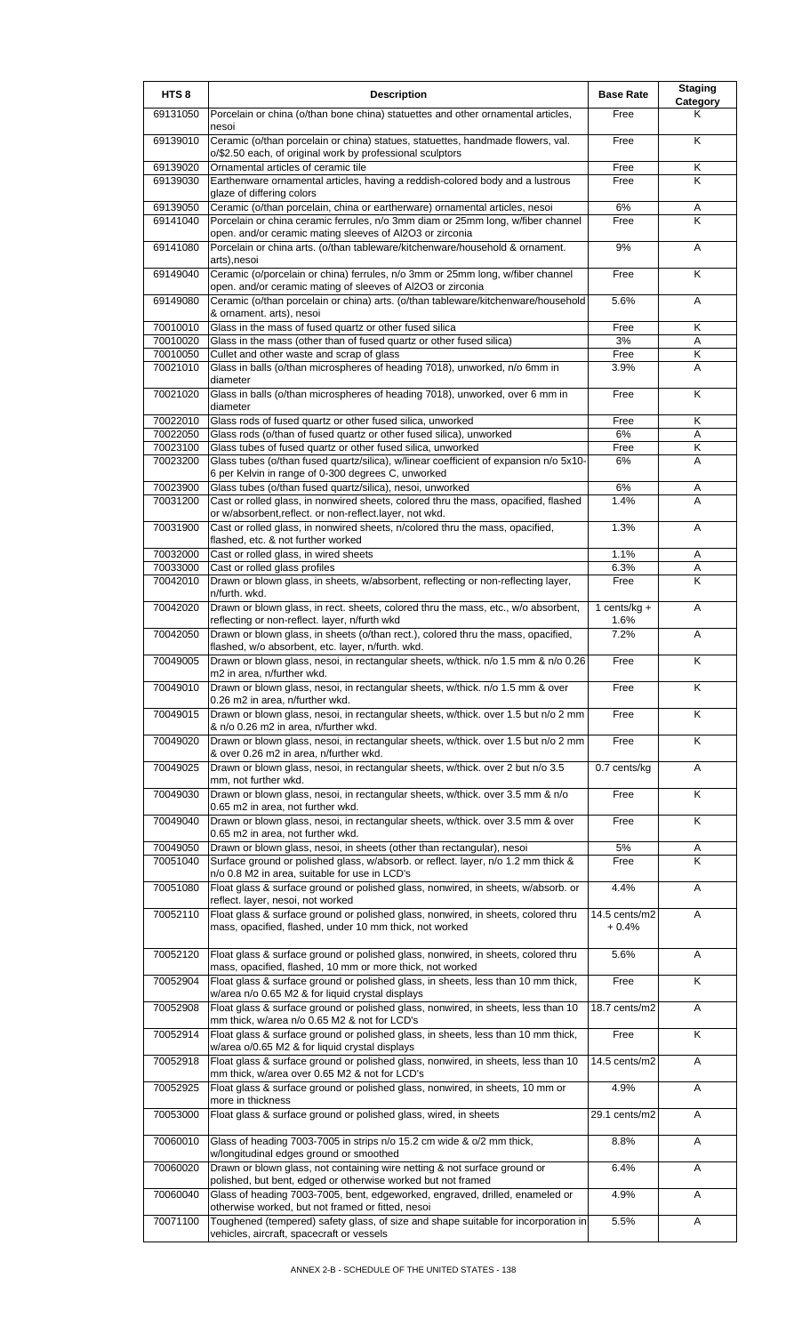| HTS <sub>8</sub>     | <b>Description</b>                                                                                                                             | <b>Base Rate</b>        | <b>Staging</b><br>Category |
|----------------------|------------------------------------------------------------------------------------------------------------------------------------------------|-------------------------|----------------------------|
| 69131050             | Porcelain or china (o/than bone china) statuettes and other ornamental articles,<br>nesoi                                                      | Free                    | Κ                          |
| 69139010             | Ceramic (o/than porcelain or china) statues, statuettes, handmade flowers, val.<br>o/\$2.50 each, of original work by professional sculptors   | Free                    | K                          |
| 69139020<br>69139030 | Ornamental articles of ceramic tile<br>Earthenware ornamental articles, having a reddish-colored body and a lustrous                           | Free<br>Free            | Κ<br>Κ                     |
| 69139050             | glaze of differing colors<br>Ceramic (o/than porcelain, china or eartherware) ornamental articles, nesoi                                       | 6%                      | A                          |
| 69141040             | Porcelain or china ceramic ferrules, n/o 3mm diam or 25mm long, w/fiber channel<br>open. and/or ceramic mating sleeves of Al2O3 or zirconia    | Free                    | K                          |
| 69141080             | Porcelain or china arts. (o/than tableware/kitchenware/household & ornament.<br>arts), nesoi                                                   | 9%                      | A                          |
| 69149040             | Ceramic (o/porcelain or china) ferrules, n/o 3mm or 25mm long, w/fiber channel<br>open. and/or ceramic mating of sleeves of Al2O3 or zirconia  | Free                    | K                          |
| 69149080             | Ceramic (o/than porcelain or china) arts. (o/than tableware/kitchenware/household<br>& ornament. arts), nesoi                                  | 5.6%                    | Α                          |
| 70010010             | Glass in the mass of fused quartz or other fused silica                                                                                        | Free                    | Κ                          |
| 70010020             | Glass in the mass (other than of fused quartz or other fused silica)                                                                           | 3%                      | Α                          |
| 70010050             | Cullet and other waste and scrap of glass                                                                                                      | Free                    | Κ                          |
| 70021010             | Glass in balls (o/than microspheres of heading 7018), unworked, n/o 6mm in<br>diameter                                                         | 3.9%                    | Α                          |
| 70021020             | Glass in balls (o/than microspheres of heading 7018), unworked, over 6 mm in<br>diameter                                                       | Free                    | K                          |
| 70022010             | Glass rods of fused quartz or other fused silica, unworked                                                                                     | Free                    | Κ                          |
| 70022050             | Glass rods (o/than of fused quartz or other fused silica), unworked                                                                            | 6%                      | Α                          |
| 70023100<br>70023200 | Glass tubes of fused quartz or other fused silica, unworked                                                                                    | Free                    | Κ                          |
|                      | Glass tubes (o/than fused quartz/silica), w/linear coefficient of expansion n/o 5x10-<br>6 per Kelvin in range of 0-300 degrees C, unworked    | 6%                      | A                          |
| 70023900             | Glass tubes (o/than fused quartz/silica), nesoi, unworked                                                                                      | 6%                      | Α                          |
| 70031200             | Cast or rolled glass, in nonwired sheets, colored thru the mass, opacified, flashed                                                            | 1.4%                    | A                          |
| 70031900             | or w/absorbent, reflect. or non-reflect.layer, not wkd.<br>Cast or rolled glass, in nonwired sheets, n/colored thru the mass, opacified,       | 1.3%                    | Α                          |
|                      | flashed, etc. & not further worked                                                                                                             |                         |                            |
| 70032000             | Cast or rolled glass, in wired sheets                                                                                                          | 1.1%                    | Α                          |
| 70033000<br>70042010 | Cast or rolled glass profiles<br>Drawn or blown glass, in sheets, w/absorbent, reflecting or non-reflecting layer,                             | 6.3%<br>Free            | Α<br>Κ                     |
|                      | n/furth. wkd.                                                                                                                                  |                         |                            |
| 70042020             | Drawn or blown glass, in rect. sheets, colored thru the mass, etc., w/o absorbent,<br>reflecting or non-reflect. layer, n/furth wkd            | 1 cents/ $kg +$<br>1.6% | A                          |
| 70042050             | Drawn or blown glass, in sheets (o/than rect.), colored thru the mass, opacified,<br>flashed, w/o absorbent, etc. layer, n/furth. wkd.         | 7.2%                    | Α                          |
| 70049005             | Drawn or blown glass, nesoi, in rectangular sheets, w/thick. n/o 1.5 mm & n/o 0.26<br>m2 in area, n/further wkd.                               | Free                    | K                          |
| 70049010             | Drawn or blown glass, nesoi, in rectangular sheets, w/thick. n/o 1.5 mm & over<br>0.26 m2 in area, n/further wkd.                              | Free                    | K                          |
| 70049015             | Drawn or blown glass, nesoi, in rectangular sheets, w/thick. over 1.5 but n/o 2 mm<br>& n/o 0.26 m2 in area, n/further wkd.                    | Free                    | Κ                          |
| 70049020             | Drawn or blown glass, nesoi, in rectangular sheets, w/thick. over 1.5 but n/o 2 mm<br>& over 0.26 m2 in area, n/further wkd.                   | Free                    | $\overline{\mathsf{K}}$    |
| 70049025             | Drawn or blown glass, nesoi, in rectangular sheets, w/thick. over 2 but n/o 3.5<br>mm, not further wkd.                                        | 0.7 cents/kg            | Α                          |
| 70049030             | Drawn or blown glass, nesoi, in rectangular sheets, w/thick. over 3.5 mm & n/o<br>0.65 m2 in area, not further wkd.                            | Free                    | K                          |
| 70049040             | Drawn or blown glass, nesoi, in rectangular sheets, w/thick. over 3.5 mm & over<br>0.65 m2 in area, not further wkd.                           | Free                    | $\overline{\mathsf{K}}$    |
| 70049050             | Drawn or blown glass, nesoi, in sheets (other than rectangular), nesoi                                                                         | 5%                      | Α                          |
| 70051040             | Surface ground or polished glass, w/absorb. or reflect. layer, n/o 1.2 mm thick &<br>n/o 0.8 M2 in area, suitable for use in LCD's             | Free                    | K                          |
| 70051080             | Float glass & surface ground or polished glass, nonwired, in sheets, w/absorb. or<br>reflect. layer, nesoi, not worked                         | 4.4%                    | A                          |
| 70052110             | Float glass & surface ground or polished glass, nonwired, in sheets, colored thru<br>mass, opacified, flashed, under 10 mm thick, not worked   | 14.5 cents/m2<br>+ 0.4% | A                          |
| 70052120             | Float glass & surface ground or polished glass, nonwired, in sheets, colored thru<br>mass, opacified, flashed, 10 mm or more thick, not worked | 5.6%                    | Α                          |
| 70052904             | Float glass & surface ground or polished glass, in sheets, less than 10 mm thick,<br>w/area n/o 0.65 M2 & for liquid crystal displays          | Free                    | K                          |
| 70052908             | Float glass & surface ground or polished glass, nonwired, in sheets, less than 10<br>mm thick, w/area n/o 0.65 M2 & not for LCD's              | 18.7 cents/m2           | Α                          |
| 70052914             | Float glass & surface ground or polished glass, in sheets, less than 10 mm thick,<br>w/area o/0.65 M2 & for liquid crystal displays            | Free                    | K                          |
| 70052918             | Float glass & surface ground or polished glass, nonwired, in sheets, less than 10<br>mm thick, w/area over 0.65 M2 & not for LCD's             | 14.5 cents/m2           | A                          |
| 70052925             | Float glass & surface ground or polished glass, nonwired, in sheets, 10 mm or<br>more in thickness                                             | 4.9%                    | Α                          |
| 70053000             | Float glass & surface ground or polished glass, wired, in sheets                                                                               | 29.1 cents/m2           | A                          |
| 70060010             | Glass of heading 7003-7005 in strips n/o 15.2 cm wide & o/2 mm thick,<br>w/longitudinal edges ground or smoothed                               | 8.8%                    | Α                          |
| 70060020             | Drawn or blown glass, not containing wire netting & not surface ground or<br>polished, but bent, edged or otherwise worked but not framed      | 6.4%                    | Α                          |
| 70060040             | Glass of heading 7003-7005, bent, edgeworked, engraved, drilled, enameled or<br>otherwise worked, but not framed or fitted, nesoi              | 4.9%                    | Α                          |
| 70071100             | Toughened (tempered) safety glass, of size and shape suitable for incorporation in<br>vehicles, aircraft, spacecraft or vessels                | 5.5%                    | A                          |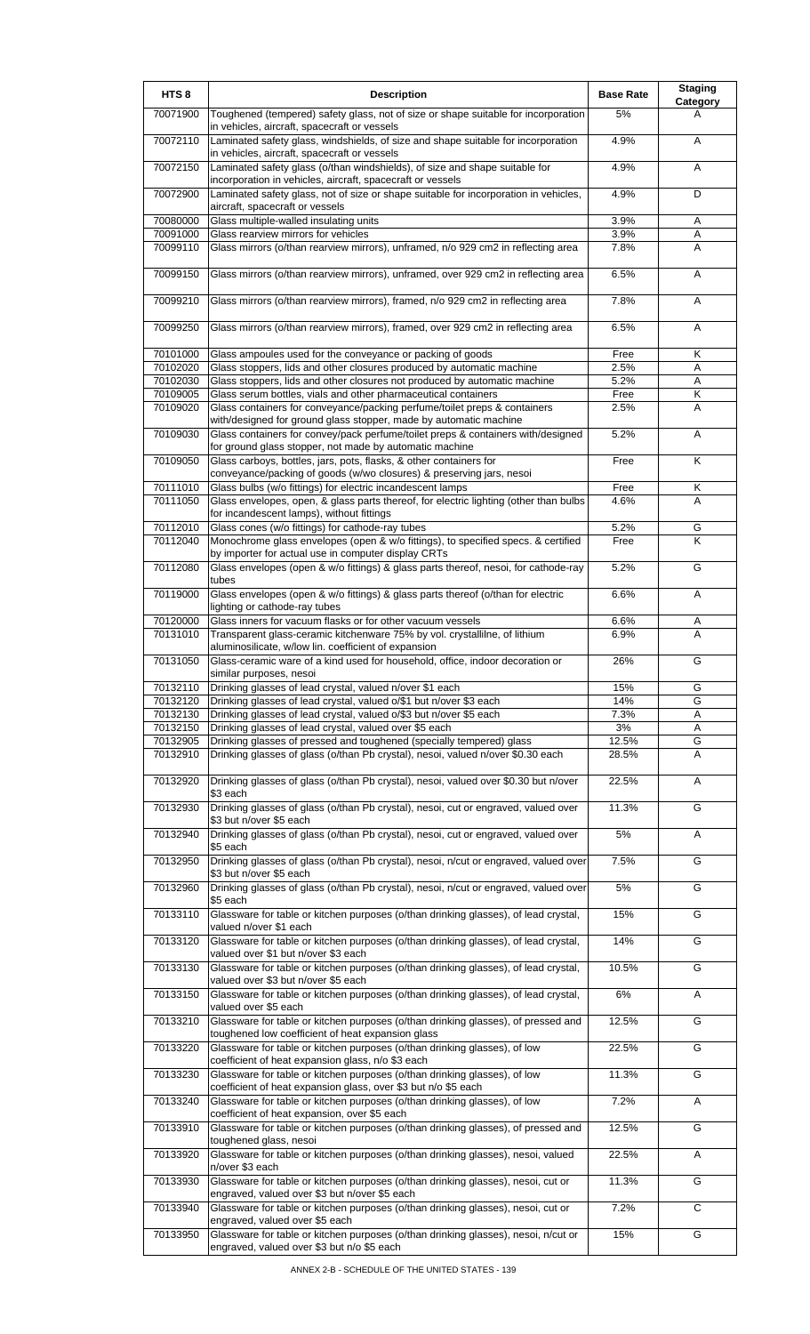| HTS <sub>8</sub>     | <b>Description</b>                                                                                                                                  | <b>Base Rate</b> | <b>Staging</b><br>Category |
|----------------------|-----------------------------------------------------------------------------------------------------------------------------------------------------|------------------|----------------------------|
| 70071900             | Toughened (tempered) safety glass, not of size or shape suitable for incorporation<br>in vehicles, aircraft, spacecraft or vessels                  | 5%               | A                          |
| 70072110             | Laminated safety glass, windshields, of size and shape suitable for incorporation<br>in vehicles, aircraft, spacecraft or vessels                   | 4.9%             | A                          |
| 70072150             | Laminated safety glass (o/than windshields), of size and shape suitable for<br>incorporation in vehicles, aircraft, spacecraft or vessels           | 4.9%             | Α                          |
| 70072900             | Laminated safety glass, not of size or shape suitable for incorporation in vehicles,<br>aircraft, spacecraft or vessels                             | 4.9%             | D                          |
| 70080000             | Glass multiple-walled insulating units                                                                                                              | 3.9%             | Α                          |
| 70091000             | Glass rearview mirrors for vehicles                                                                                                                 | 3.9%             | A                          |
| 70099110             | Glass mirrors (o/than rearview mirrors), unframed, n/o 929 cm2 in reflecting area                                                                   | 7.8%             | A                          |
| 70099150             | Glass mirrors (o/than rearview mirrors), unframed, over 929 cm2 in reflecting area                                                                  | 6.5%             | A                          |
| 70099210             | Glass mirrors (o/than rearview mirrors), framed, n/o 929 cm2 in reflecting area                                                                     | 7.8%             | Α                          |
| 70099250             | Glass mirrors (o/than rearview mirrors), framed, over 929 cm2 in reflecting area                                                                    | 6.5%             | Α                          |
| 70101000             | Glass ampoules used for the conveyance or packing of goods                                                                                          | Free             | Κ                          |
| 70102020             | Glass stoppers, lids and other closures produced by automatic machine                                                                               | 2.5%             | Α                          |
| 70102030<br>70109005 | Glass stoppers, lids and other closures not produced by automatic machine<br>Glass serum bottles, vials and other pharmaceutical containers         | 5.2%<br>Free     | Α<br>Κ                     |
| 70109020             | Glass containers for conveyance/packing perfume/toilet preps & containers                                                                           | 2.5%             | Α                          |
|                      | with/designed for ground glass stopper, made by automatic machine                                                                                   |                  |                            |
| 70109030             | Glass containers for convey/pack perfume/toilet preps & containers with/designed<br>for ground glass stopper, not made by automatic machine         | 5.2%             | A                          |
| 70109050             | Glass carboys, bottles, jars, pots, flasks, & other containers for                                                                                  | Free             | K                          |
|                      | conveyance/packing of goods (w/wo closures) & preserving jars, nesoi                                                                                |                  |                            |
| 70111010<br>70111050 | Glass bulbs (w/o fittings) for electric incandescent lamps<br>Glass envelopes, open, & glass parts thereof, for electric lighting (other than bulbs | Free<br>4.6%     | Κ<br>A                     |
|                      | for incandescent lamps), without fittings                                                                                                           |                  |                            |
| 70112010             | Glass cones (w/o fittings) for cathode-ray tubes                                                                                                    | 5.2%             | G                          |
| 70112040             | Monochrome glass envelopes (open & w/o fittings), to specified specs. & certified                                                                   | Free             | Κ                          |
|                      | by importer for actual use in computer display CRTs                                                                                                 |                  |                            |
| 70112080             | Glass envelopes (open & w/o fittings) & glass parts thereof, nesoi, for cathode-ray<br>tubes                                                        | 5.2%             | G                          |
| 70119000             | Glass envelopes (open & w/o fittings) & glass parts thereof (o/than for electric<br>lighting or cathode-ray tubes                                   | 6.6%             | A                          |
| 70120000             | Glass inners for vacuum flasks or for other vacuum vessels                                                                                          | 6.6%             | Α                          |
| 70131010             | Transparent glass-ceramic kitchenware 75% by vol. crystallilne, of lithium                                                                          | 6.9%             | A                          |
|                      | aluminosilicate, w/low lin. coefficient of expansion                                                                                                |                  |                            |
| 70131050             | Glass-ceramic ware of a kind used for household, office, indoor decoration or<br>similar purposes, nesoi                                            | 26%              | G                          |
| 70132110             | Drinking glasses of lead crystal, valued n/over \$1 each                                                                                            | 15%              | G                          |
| 70132120             | Drinking glasses of lead crystal, valued o/\$1 but n/over \$3 each                                                                                  | 14%              | G                          |
| 70132130             | Drinking glasses of lead crystal, valued o/\$3 but n/over \$5 each                                                                                  | 7.3%             | Α                          |
| 70132150             | Drinking glasses of lead crystal, valued over \$5 each                                                                                              | 3%               | Α                          |
| 70132905             | Drinking glasses of pressed and toughened (specially tempered) glass                                                                                | 12.5%            | G                          |
| 70132910             | Drinking glasses of glass (o/than Pb crystal), nesoi, valued n/over \$0.30 each                                                                     | 28.5%            | A                          |
| 70132920             | Drinking glasses of glass (o/than Pb crystal), nesoi, valued over \$0.30 but n/over<br>\$3 each                                                     | 22.5%            | Α                          |
| 70132930             | Drinking glasses of glass (o/than Pb crystal), nesoi, cut or engraved, valued over<br>\$3 but n/over \$5 each                                       | 11.3%            | G                          |
| 70132940             | Drinking glasses of glass (o/than Pb crystal), nesoi, cut or engraved, valued over<br>\$5 each                                                      | 5%               | Α                          |
| 70132950             | Drinking glasses of glass (o/than Pb crystal), nesoi, n/cut or engraved, valued over<br>\$3 but n/over \$5 each                                     | 7.5%             | G                          |
| 70132960             | Drinking glasses of glass (o/than Pb crystal), nesoi, n/cut or engraved, valued over<br>\$5 each                                                    | 5%               | G                          |
| 70133110             | Glassware for table or kitchen purposes (o/than drinking glasses), of lead crystal,<br>valued n/over \$1 each                                       | 15%              | G                          |
| 70133120             | Glassware for table or kitchen purposes (o/than drinking glasses), of lead crystal,<br>valued over \$1 but n/over \$3 each                          | 14%              | G                          |
| 70133130             | Glassware for table or kitchen purposes (o/than drinking glasses), of lead crystal,<br>valued over \$3 but n/over \$5 each                          | 10.5%            | G                          |
| 70133150             | Glassware for table or kitchen purposes (o/than drinking glasses), of lead crystal,<br>valued over \$5 each                                         | 6%               | Α                          |
| 70133210             | Glassware for table or kitchen purposes (o/than drinking glasses), of pressed and                                                                   | 12.5%            | G                          |
| 70133220             | toughened low coefficient of heat expansion glass<br>Glassware for table or kitchen purposes (o/than drinking glasses), of low                      | 22.5%            | G                          |
| 70133230             | coefficient of heat expansion glass, n/o \$3 each<br>Glassware for table or kitchen purposes (o/than drinking glasses), of low                      | 11.3%            | G                          |
| 70133240             | coefficient of heat expansion glass, over \$3 but n/o \$5 each<br>Glassware for table or kitchen purposes (o/than drinking glasses), of low         | 7.2%             | Α                          |
|                      | coefficient of heat expansion, over \$5 each                                                                                                        |                  |                            |
| 70133910             | Glassware for table or kitchen purposes (o/than drinking glasses), of pressed and<br>toughened glass, nesoi                                         | 12.5%            | G                          |
| 70133920             | Glassware for table or kitchen purposes (o/than drinking glasses), nesoi, valued<br>n/over \$3 each                                                 | 22.5%            | Α                          |
| 70133930             | Glassware for table or kitchen purposes (o/than drinking glasses), nesoi, cut or<br>engraved, valued over \$3 but n/over \$5 each                   | 11.3%            | G                          |
| 70133940             | Glassware for table or kitchen purposes (o/than drinking glasses), nesoi, cut or<br>engraved, valued over \$5 each                                  | 7.2%             | C                          |
| 70133950             | Glassware for table or kitchen purposes (o/than drinking glasses), nesoi, n/cut or<br>engraved, valued over \$3 but n/o \$5 each                    | 15%              | G                          |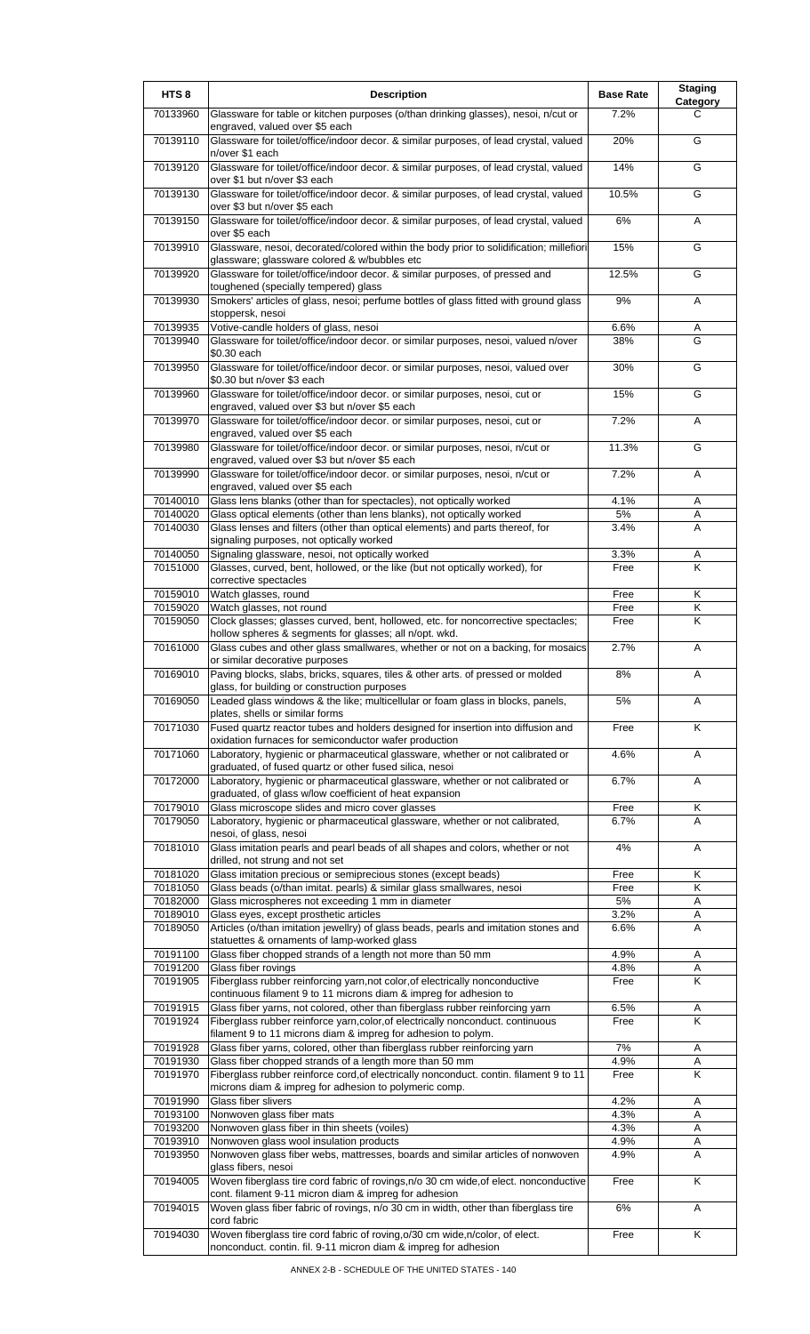| HTS <sub>8</sub>     | <b>Description</b>                                                                                                                                     | <b>Base Rate</b> | <b>Staging</b><br>Category   |
|----------------------|--------------------------------------------------------------------------------------------------------------------------------------------------------|------------------|------------------------------|
| 70133960             | Glassware for table or kitchen purposes (o/than drinking glasses), nesoi, n/cut or                                                                     | 7.2%             | C                            |
| 70139110             | engraved, valued over \$5 each<br>Glassware for toilet/office/indoor decor. & similar purposes, of lead crystal, valued                                | 20%              | G                            |
| 70139120             | n/over \$1 each<br>Glassware for toilet/office/indoor decor. & similar purposes, of lead crystal, valued                                               | 14%              | G                            |
| 70139130             | over \$1 but n/over \$3 each<br>Glassware for toilet/office/indoor decor. & similar purposes, of lead crystal, valued                                  | 10.5%            | G                            |
| 70139150             | over \$3 but n/over \$5 each<br>Glassware for toilet/office/indoor decor. & similar purposes, of lead crystal, valued                                  | 6%               | A                            |
| 70139910             | over \$5 each<br>Glassware, nesoi, decorated/colored within the body prior to solidification; millefiori                                               | 15%              | G                            |
| 70139920             | glassware; glassware colored & w/bubbles etc<br>Glassware for toilet/office/indoor decor. & similar purposes, of pressed and                           | 12.5%            | G                            |
| 70139930             | toughened (specially tempered) glass<br>Smokers' articles of glass, nesoi; perfume bottles of glass fitted with ground glass                           | 9%               | Α                            |
| 70139935             | stoppersk, nesoi<br>Votive-candle holders of glass, nesoi                                                                                              | 6.6%             | Α                            |
| 70139940             | Glassware for toilet/office/indoor decor. or similar purposes, nesoi, valued n/over<br>\$0.30 each                                                     | 38%              | G                            |
| 70139950             | Glassware for toilet/office/indoor decor. or similar purposes, nesoi, valued over<br>\$0.30 but n/over \$3 each                                        | 30%              | G                            |
| 70139960             | Glassware for toilet/office/indoor decor. or similar purposes, nesoi, cut or<br>engraved, valued over \$3 but n/over \$5 each                          | 15%              | G                            |
| 70139970             | Glassware for toilet/office/indoor decor. or similar purposes, nesoi, cut or<br>engraved, valued over \$5 each                                         | 7.2%             | A                            |
| 70139980             | Glassware for toilet/office/indoor decor. or similar purposes, nesoi, n/cut or<br>engraved, valued over \$3 but n/over \$5 each                        | 11.3%            | G                            |
| 70139990             | Glassware for toilet/office/indoor decor. or similar purposes, nesoi, n/cut or<br>engraved, valued over \$5 each                                       | 7.2%             | A                            |
| 70140010             | Glass lens blanks (other than for spectacles), not optically worked                                                                                    | 4.1%             | Α                            |
| 70140020<br>70140030 | Glass optical elements (other than lens blanks), not optically worked<br>Glass lenses and filters (other than optical elements) and parts thereof, for | 5%<br>3.4%       | Α<br>A                       |
| 70140050             | signaling purposes, not optically worked<br>Signaling glassware, nesoi, not optically worked                                                           | 3.3%             | A                            |
| 70151000             | Glasses, curved, bent, hollowed, or the like (but not optically worked), for<br>corrective spectacles                                                  | Free             | K                            |
| 70159010             | Watch glasses, round                                                                                                                                   | Free             | Κ                            |
| 70159020<br>70159050 | Watch glasses, not round<br>Clock glasses; glasses curved, bent, hollowed, etc. for noncorrective spectacles;                                          | Free<br>Free     | $\overline{\mathsf{K}}$<br>Κ |
| 70161000             | hollow spheres & segments for glasses; all n/opt. wkd.<br>Glass cubes and other glass smallwares, whether or not on a backing, for mosaics             | 2.7%             | A                            |
|                      | or similar decorative purposes                                                                                                                         |                  |                              |
| 70169010             | Paving blocks, slabs, bricks, squares, tiles & other arts. of pressed or molded<br>glass, for building or construction purposes                        | 8%               | A                            |
| 70169050             | Leaded glass windows & the like; multicellular or foam glass in blocks, panels,<br>plates, shells or similar forms                                     | 5%               | A                            |
| 70171030             | Fused quartz reactor tubes and holders designed for insertion into diffusion and<br>oxidation furnaces for semiconductor wafer production              | Free             | Κ                            |
| 70171060             | Laboratory, hygienic or pharmaceutical glassware, whether or not calibrated or<br>graduated, of fused quartz or other fused silica, nesoi              | 4.6%             | Α                            |
| 70172000             | Laboratory, hygienic or pharmaceutical glassware, whether or not calibrated or<br>graduated, of glass w/low coefficient of heat expansion              | 6.7%             | Α                            |
| 70179010<br>70179050 | Glass microscope slides and micro cover glasses<br>Laboratory, hygienic or pharmaceutical glassware, whether or not calibrated,                        | Free<br>6.7%     | Κ<br>Α                       |
|                      | nesoi, of glass, nesoi                                                                                                                                 |                  |                              |
| 70181010             | Glass imitation pearls and pearl beads of all shapes and colors, whether or not<br>drilled, not strung and not set                                     | 4%               | Α                            |
| 70181020<br>70181050 | Glass imitation precious or semiprecious stones (except beads)                                                                                         | Free             | Κ<br>Κ                       |
| 70182000             | Glass beads (o/than imitat. pearls) & similar glass smallwares, nesoi<br>Glass microspheres not exceeding 1 mm in diameter                             | Free<br>5%       | Α                            |
| 70189010             | Glass eyes, except prosthetic articles                                                                                                                 | 3.2%             | Α                            |
| 70189050             | Articles (o/than imitation jewellry) of glass beads, pearls and imitation stones and<br>statuettes & ornaments of lamp-worked glass                    | 6.6%             | A                            |
| 70191100             | Glass fiber chopped strands of a length not more than 50 mm                                                                                            | 4.9%             | Α                            |
| 70191200<br>70191905 | Glass fiber rovings<br>Fiberglass rubber reinforcing yarn, not color, of electrically nonconductive                                                    | 4.8%<br>Free     | Α<br>K                       |
|                      | continuous filament 9 to 11 microns diam & impreg for adhesion to                                                                                      |                  |                              |
| 70191915             | Glass fiber yarns, not colored, other than fiberglass rubber reinforcing yarn                                                                          | 6.5%             | Α                            |
| 70191924             | Fiberglass rubber reinforce yarn, color, of electrically nonconduct. continuous<br>filament 9 to 11 microns diam & impreg for adhesion to polym.       | Free             | K                            |
| 70191928             | Glass fiber yarns, colored, other than fiberglass rubber reinforcing yarn                                                                              | $7\%$            | Α                            |
| 70191930<br>70191970 | Glass fiber chopped strands of a length more than 50 mm<br>Fiberglass rubber reinforce cord, of electrically nonconduct. contin. filament 9 to 11      | 4.9%<br>Free     | Α<br>K                       |
|                      | microns diam & impreg for adhesion to polymeric comp.                                                                                                  |                  |                              |
| 70191990<br>70193100 | Glass fiber slivers<br>Nonwoven glass fiber mats                                                                                                       | 4.2%<br>4.3%     | Α<br>A                       |
| 70193200             | Nonwoven glass fiber in thin sheets (voiles)                                                                                                           | 4.3%             | Α                            |
| 70193910             | Nonwoven glass wool insulation products                                                                                                                | 4.9%             | Α                            |
| 70193950             | Nonwoven glass fiber webs, mattresses, boards and similar articles of nonwoven                                                                         | 4.9%             | A                            |
| 70194005             | glass fibers, nesoi<br>Woven fiberglass tire cord fabric of rovings, n/o 30 cm wide, of elect. nonconductive                                           | Free             | Κ                            |
| 70194015             | cont. filament 9-11 micron diam & impreg for adhesion<br>Woven glass fiber fabric of rovings, n/o 30 cm in width, other than fiberglass tire           | 6%               | Α                            |
| 70194030             | cord fabric<br>Woven fiberglass tire cord fabric of roving, o/30 cm wide, n/color, of elect.                                                           | Free             | K                            |
|                      | nonconduct. contin. fil. 9-11 micron diam & impreg for adhesion                                                                                        |                  |                              |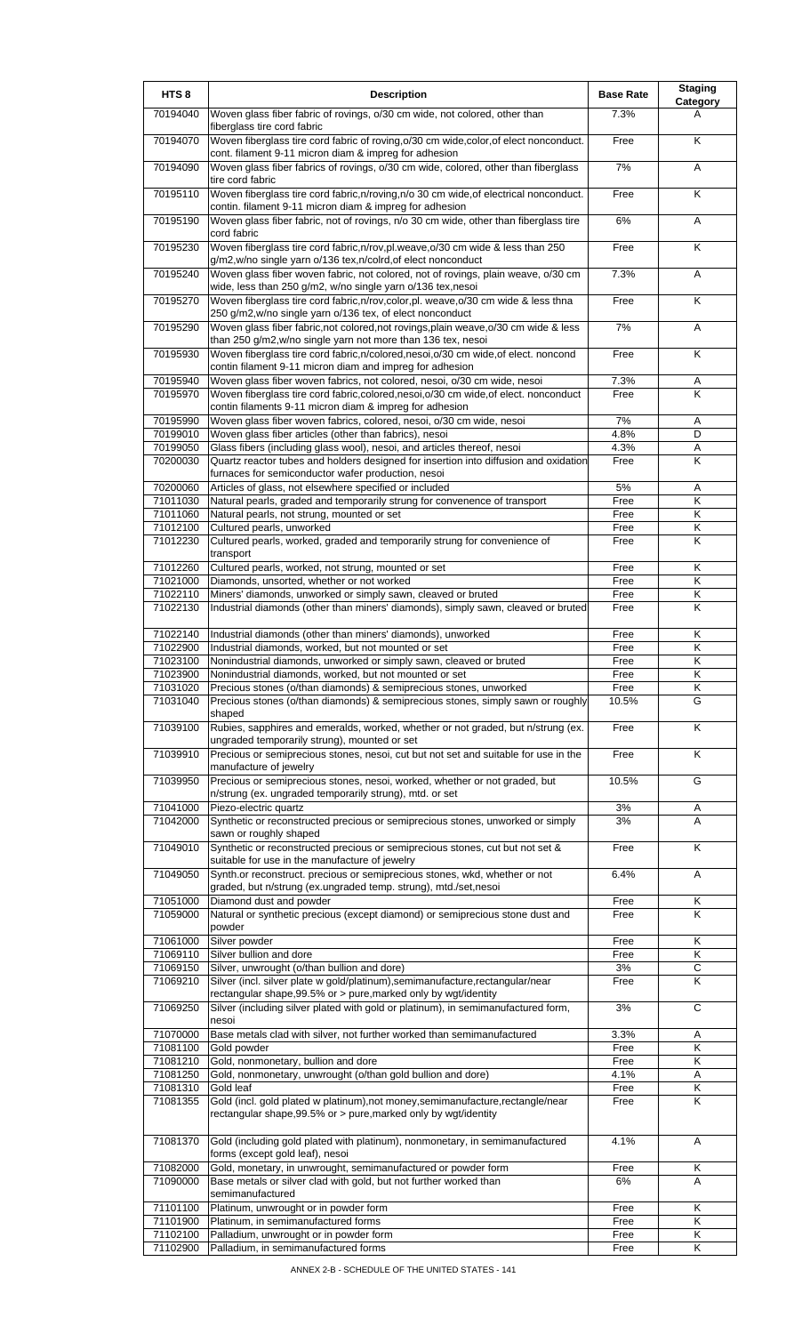| HTS <sub>8</sub>     | <b>Description</b>                                                                                                                                                | <b>Base Rate</b> | <b>Staging</b><br>Category |
|----------------------|-------------------------------------------------------------------------------------------------------------------------------------------------------------------|------------------|----------------------------|
| 70194040             | Woven glass fiber fabric of rovings, o/30 cm wide, not colored, other than<br>fiberglass tire cord fabric                                                         | 7.3%             | A                          |
| 70194070             | Woven fiberglass tire cord fabric of roving, o/30 cm wide, color, of elect nonconduct.<br>cont. filament 9-11 micron diam & impreg for adhesion                   | Free             | K                          |
| 70194090             | Woven glass fiber fabrics of rovings, o/30 cm wide, colored, other than fiberglass<br>tire cord fabric                                                            | 7%               | Α                          |
| 70195110             | Woven fiberglass tire cord fabric, n/roving, n/o 30 cm wide, of electrical nonconduct.                                                                            | Free             | K                          |
| 70195190             | contin. filament 9-11 micron diam & impreg for adhesion<br>Woven glass fiber fabric, not of rovings, n/o 30 cm wide, other than fiberglass tire<br>cord fabric    | 6%               | Α                          |
| 70195230             | Woven fiberglass tire cord fabric, n/rov, pl.weave, o/30 cm wide & less than 250<br>g/m2,w/no single yarn o/136 tex,n/colrd, of elect nonconduct                  | Free             | Κ                          |
| 70195240             | Woven glass fiber woven fabric, not colored, not of rovings, plain weave, o/30 cm<br>wide, less than 250 g/m2, w/no single yarn o/136 tex,nesoi                   | 7.3%             | Α                          |
| 70195270             | Woven fiberglass tire cord fabric, n/rov, color, pl. weave, o/30 cm wide & less thna<br>250 g/m2, w/no single yarn o/136 tex, of elect nonconduct                 | Free             | K                          |
| 70195290             | Woven glass fiber fabric, not colored, not rovings, plain weave, o/30 cm wide & less<br>than 250 g/m2, w/no single yarn not more than 136 tex, nesoi              | 7%               | Α                          |
| 70195930             | Woven fiberglass tire cord fabric, n/colored, nesoi, o/30 cm wide, of elect. noncond<br>contin filament 9-11 micron diam and impreg for adhesion                  | Free             | Κ                          |
| 70195940<br>70195970 | Woven glass fiber woven fabrics, not colored, nesoi, o/30 cm wide, nesoi<br>Woven fiberglass tire cord fabric, colored, nesoi, o/30 cm wide, of elect. nonconduct | 7.3%<br>Free     | Α<br>K                     |
| 70195990             | contin filaments 9-11 micron diam & impreg for adhesion<br>Woven glass fiber woven fabrics, colored, nesoi, o/30 cm wide, nesoi                                   | $7\%$            | Α                          |
| 70199010             | Woven glass fiber articles (other than fabrics), nesoi                                                                                                            | 4.8%             | D                          |
| 70199050             | Glass fibers (including glass wool), nesoi, and articles thereof, nesoi                                                                                           | 4.3%             | Α                          |
| 70200030             | Quartz reactor tubes and holders designed for insertion into diffusion and oxidation                                                                              | Free             | Κ                          |
|                      | furnaces for semiconductor wafer production, nesoi                                                                                                                |                  |                            |
| 70200060             | Articles of glass, not elsewhere specified or included                                                                                                            | 5%               | Α                          |
| 71011030<br>71011060 | Natural pearls, graded and temporarily strung for convenence of transport                                                                                         | Free<br>Free     | Κ<br>Κ                     |
| 71012100             | Natural pearls, not strung, mounted or set<br>Cultured pearls, unworked                                                                                           | Free             | Κ                          |
| 71012230             | Cultured pearls, worked, graded and temporarily strung for convenience of                                                                                         | Free             | Κ                          |
|                      | transport                                                                                                                                                         |                  |                            |
| 71012260             | Cultured pearls, worked, not strung, mounted or set                                                                                                               | Free             | Κ                          |
| 71021000             | Diamonds, unsorted, whether or not worked                                                                                                                         | Free             | Κ                          |
| 71022110             | Miners' diamonds, unworked or simply sawn, cleaved or bruted                                                                                                      | Free             | Κ                          |
| 71022130             | Industrial diamonds (other than miners' diamonds), simply sawn, cleaved or bruted                                                                                 | Free             | Κ                          |
| 71022140<br>71022900 | Industrial diamonds (other than miners' diamonds), unworked<br>Industrial diamonds, worked, but not mounted or set                                                | Free<br>Free     | Κ<br>K                     |
| 71023100             | Nonindustrial diamonds, unworked or simply sawn, cleaved or bruted                                                                                                | Free             | Κ                          |
| 71023900             | Nonindustrial diamonds, worked, but not mounted or set                                                                                                            | Free             | ĸ                          |
| 71031020             | Precious stones (o/than diamonds) & semiprecious stones, unworked                                                                                                 | Free             | Κ                          |
| 71031040             | Precious stones (o/than diamonds) & semiprecious stones, simply sawn or roughly<br>shaped                                                                         | 10.5%            | G                          |
| 71039100             | Rubies, sapphires and emeralds, worked, whether or not graded, but n/strung (ex.<br>ungraded temporarily strung), mounted or set                                  | Free             | K                          |
| 71039910             | Precious or semiprecious stones, nesoi, cut but not set and suitable for use in the<br>manufacture of jewelry                                                     | Free             | Κ                          |
| 71039950             | Precious or semiprecious stones, nesoi, worked, whether or not graded, but<br>n/strung (ex. ungraded temporarily strung), mtd. or set                             | 10.5%            | G                          |
| 71041000             | Piezo-electric quartz                                                                                                                                             | 3%               | Α                          |
| 71042000             | Synthetic or reconstructed precious or semiprecious stones, unworked or simply<br>sawn or roughly shaped                                                          | 3%               | A                          |
| 71049010             | Synthetic or reconstructed precious or semiprecious stones, cut but not set &<br>suitable for use in the manufacture of jewelry                                   | Free             | Κ                          |
| 71049050             | Synth.or reconstruct. precious or semiprecious stones, wkd, whether or not<br>graded, but n/strung (ex.ungraded temp. strung), mtd./set,nesoi                     | 6.4%             | Α                          |
| 71051000<br>71059000 | Diamond dust and powder<br>Natural or synthetic precious (except diamond) or semiprecious stone dust and                                                          | Free<br>Free     | Κ<br>K                     |
|                      | powder                                                                                                                                                            |                  |                            |
| 71061000             | Silver powder                                                                                                                                                     | Free             | Κ                          |
| 71069110<br>71069150 | Silver bullion and dore<br>Silver, unwrought (o/than bullion and dore)                                                                                            | Free<br>3%       | Κ<br>С                     |
| 71069210             | Silver (incl. silver plate w gold/platinum), semimanufacture, rectangular/near                                                                                    | Free             | K                          |
| 71069250             | rectangular shape, 99.5% or > pure, marked only by wgt/identity<br>Silver (including silver plated with gold or platinum), in semimanufactured form,              | 3%               | C                          |
| 71070000             | nesoi<br>Base metals clad with silver, not further worked than semimanufactured                                                                                   | 3.3%             | Α                          |
| 71081100             | Gold powder                                                                                                                                                       | Free             | Κ                          |
| 71081210             | Gold, nonmonetary, bullion and dore                                                                                                                               | Free             | Κ                          |
| 71081250             | Gold, nonmonetary, unwrought (o/than gold bullion and dore)                                                                                                       | 4.1%             | A                          |
| 71081310             | Gold leaf                                                                                                                                                         | Free             | Κ                          |
| 71081355             | Gold (incl. gold plated w platinum), not money, semimanufacture, rectangle/near<br>rectangular shape, 99.5% or > pure, marked only by wgt/identity                | Free             | K                          |
| 71081370             | Gold (including gold plated with platinum), nonmonetary, in semimanufactured<br>forms (except gold leaf), nesoi                                                   | 4.1%             | A                          |
| 71082000             | Gold, monetary, in unwrought, semimanufactured or powder form                                                                                                     | Free             | Κ                          |
| 71090000             | Base metals or silver clad with gold, but not further worked than<br>semimanufactured                                                                             | 6%               | A                          |
| 71101100             | Platinum, unwrought or in powder form                                                                                                                             | Free             | Κ                          |
| 71101900             | Platinum, in semimanufactured forms                                                                                                                               | Free             | Κ                          |
| 71102100             | Palladium, unwrought or in powder form                                                                                                                            | Free             | Κ                          |
| 71102900             | Palladium, in semimanufactured forms                                                                                                                              | Free             | κ                          |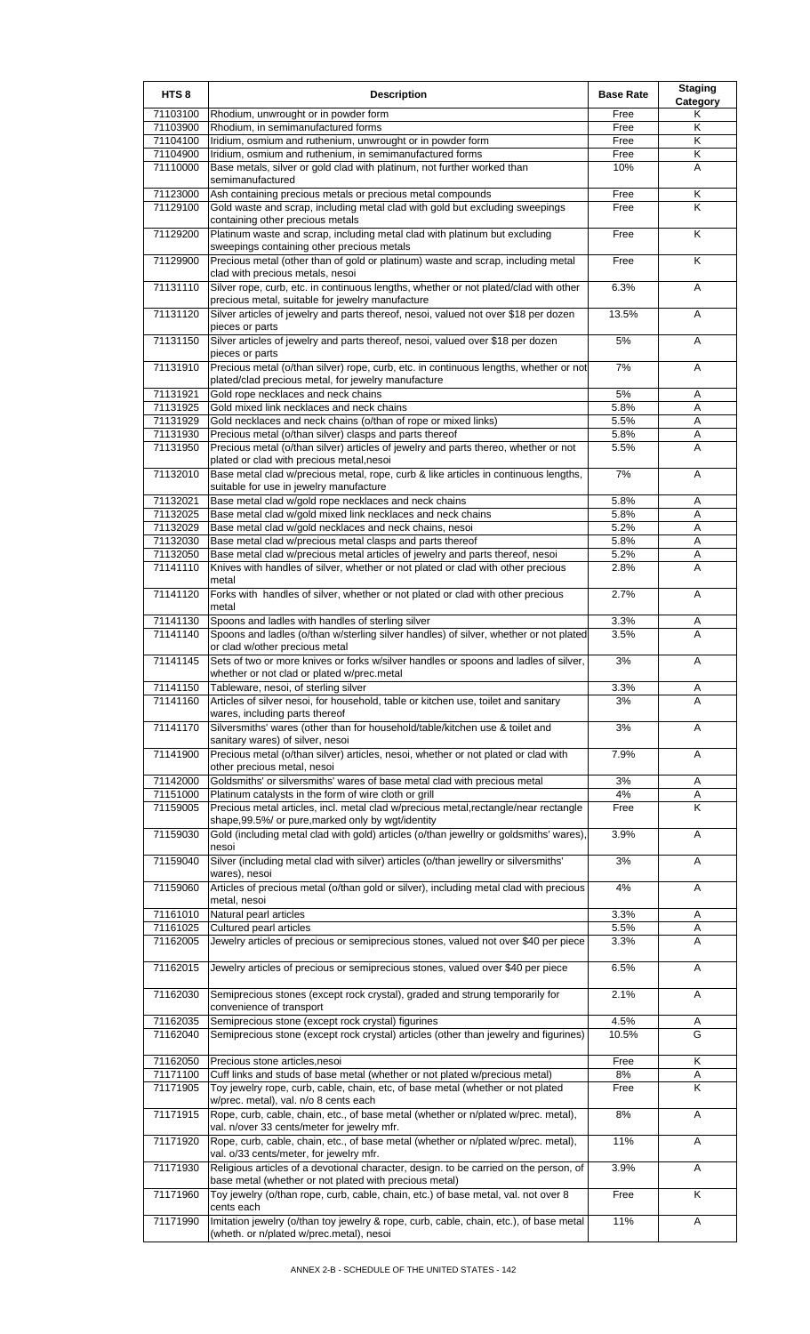| HTS <sub>8</sub>     | <b>Description</b>                                                                                                                           | <b>Base Rate</b> | <b>Staging</b><br>Category |
|----------------------|----------------------------------------------------------------------------------------------------------------------------------------------|------------------|----------------------------|
| 71103100             | Rhodium, unwrought or in powder form                                                                                                         | Free             | Κ                          |
| 71103900             | Rhodium, in semimanufactured forms                                                                                                           | Free             | Κ                          |
| 71104100             | Iridium, osmium and ruthenium, unwrought or in powder form                                                                                   | Free             | Κ                          |
| 71104900<br>71110000 | Iridium, osmium and ruthenium, in semimanufactured forms                                                                                     | Free<br>10%      | Κ<br>A                     |
|                      | Base metals, silver or gold clad with platinum, not further worked than<br>semimanufactured                                                  |                  |                            |
| 71123000             | Ash containing precious metals or precious metal compounds                                                                                   | Free             | Κ                          |
| 71129100             | Gold waste and scrap, including metal clad with gold but excluding sweepings                                                                 | Free             | K                          |
|                      | containing other precious metals                                                                                                             |                  |                            |
| 71129200             | Platinum waste and scrap, including metal clad with platinum but excluding                                                                   | Free             | K                          |
|                      | sweepings containing other precious metals                                                                                                   |                  |                            |
| 71129900             | Precious metal (other than of gold or platinum) waste and scrap, including metal<br>clad with precious metals, nesoi                         | Free             | K                          |
| 71131110             | Silver rope, curb, etc. in continuous lengths, whether or not plated/clad with other                                                         | 6.3%             | Α                          |
|                      | precious metal, suitable for jewelry manufacture                                                                                             |                  |                            |
| 71131120             | Silver articles of jewelry and parts thereof, nesoi, valued not over \$18 per dozen                                                          | 13.5%            | Α                          |
|                      | pieces or parts                                                                                                                              |                  |                            |
| 71131150             | Silver articles of jewelry and parts thereof, nesoi, valued over \$18 per dozen                                                              | 5%               | Α                          |
|                      | pieces or parts                                                                                                                              |                  |                            |
| 71131910             | Precious metal (o/than silver) rope, curb, etc. in continuous lengths, whether or not                                                        | 7%               | Α                          |
| 71131921             | plated/clad precious metal, for jewelry manufacture<br>Gold rope necklaces and neck chains                                                   | 5%               | Α                          |
| 71131925             | Gold mixed link necklaces and neck chains                                                                                                    | 5.8%             | Α                          |
| 71131929             | Gold necklaces and neck chains (o/than of rope or mixed links)                                                                               | 5.5%             | Α                          |
| 71131930             | Precious metal (o/than silver) clasps and parts thereof                                                                                      | 5.8%             | A                          |
| 71131950             | Precious metal (o/than silver) articles of jewelry and parts thereo, whether or not                                                          | 5.5%             | A                          |
|                      | plated or clad with precious metal, nesoi                                                                                                    |                  |                            |
| 71132010             | Base metal clad w/precious metal, rope, curb & like articles in continuous lengths,                                                          | 7%               | A                          |
|                      | suitable for use in jewelry manufacture                                                                                                      |                  |                            |
| 71132021<br>71132025 | Base metal clad w/gold rope necklaces and neck chains<br>Base metal clad w/gold mixed link necklaces and neck chains                         | 5.8%<br>5.8%     | Α<br>Α                     |
| 71132029             | Base metal clad w/gold necklaces and neck chains, nesoi                                                                                      | 5.2%             | A                          |
| 71132030             | Base metal clad w/precious metal clasps and parts thereof                                                                                    | 5.8%             | A                          |
| 71132050             | Base metal clad w/precious metal articles of jewelry and parts thereof, nesoi                                                                | 5.2%             | Α                          |
| 71141110             | Knives with handles of silver, whether or not plated or clad with other precious                                                             | 2.8%             | Α                          |
|                      | metal                                                                                                                                        |                  |                            |
| 71141120             | Forks with handles of silver, whether or not plated or clad with other precious                                                              | 2.7%             | A                          |
| 71141130             | metal<br>Spoons and ladles with handles of sterling silver                                                                                   | 3.3%             |                            |
| 71141140             | Spoons and ladles (o/than w/sterling silver handles) of silver, whether or not plated                                                        | 3.5%             | Α<br>A                     |
|                      | or clad w/other precious metal                                                                                                               |                  |                            |
| 71141145             | Sets of two or more knives or forks w/silver handles or spoons and ladles of silver,                                                         | 3%               | Α                          |
|                      | whether or not clad or plated w/prec.metal                                                                                                   |                  |                            |
| 71141150             | Tableware, nesoi, of sterling silver                                                                                                         | 3.3%             | Α                          |
| 71141160             | Articles of silver nesoi, for household, table or kitchen use, toilet and sanitary                                                           | 3%               | A                          |
|                      | wares, including parts thereof                                                                                                               |                  |                            |
| 71141170             | Silversmiths' wares (other than for household/table/kitchen use & toilet and<br>sanitary wares) of silver, nesoi                             | 3%               | A                          |
| 71141900             | Precious metal (o/than silver) articles, nesoi, whether or not plated or clad with                                                           | 7.9%             | Α                          |
|                      | other precious metal, nesoi                                                                                                                  |                  |                            |
| 71142000             | Goldsmiths' or silversmiths' wares of base metal clad with precious metal                                                                    | 3%               | Α                          |
| 71151000             | Platinum catalysts in the form of wire cloth or grill                                                                                        | 4%               | A                          |
| 71159005             | Precious metal articles, incl. metal clad w/precious metal, rectangle/near rectangle                                                         | Free             | K                          |
|                      | shape, 99.5%/ or pure, marked only by wgt/identity                                                                                           |                  |                            |
| 71159030             | Gold (including metal clad with gold) articles (o/than jewellry or goldsmiths' wares),<br>nesoi                                              | 3.9%             | Α                          |
| 71159040             | Silver (including metal clad with silver) articles (o/than jewellry or silversmiths'                                                         | 3%               | A                          |
|                      | wares), nesoi                                                                                                                                |                  |                            |
| 71159060             | Articles of precious metal (o/than gold or silver), including metal clad with precious                                                       | 4%               | A                          |
|                      | metal, nesoi                                                                                                                                 |                  |                            |
| 71161010             | Natural pearl articles                                                                                                                       | 3.3%             | A                          |
| 71161025             | Cultured pearl articles                                                                                                                      | 5.5%             | Α                          |
| 71162005             | Jewelry articles of precious or semiprecious stones, valued not over \$40 per piece                                                          | 3.3%             | Α                          |
| 71162015             | Jewelry articles of precious or semiprecious stones, valued over \$40 per piece                                                              | 6.5%             | A                          |
|                      |                                                                                                                                              |                  |                            |
| 71162030             | Semiprecious stones (except rock crystal), graded and strung temporarily for                                                                 | 2.1%             | Α                          |
|                      | convenience of transport                                                                                                                     |                  |                            |
| 71162035             | Semiprecious stone (except rock crystal) figurines                                                                                           | 4.5%             | Α                          |
| 71162040             | Semiprecious stone (except rock crystal) articles (other than jewelry and figurines)                                                         | 10.5%            | G                          |
|                      |                                                                                                                                              |                  |                            |
| 71162050<br>71171100 | Precious stone articles, nesoi<br>Cuff links and studs of base metal (whether or not plated w/precious metal)                                | Free<br>8%       | Κ                          |
| 71171905             | Toy jewelry rope, curb, cable, chain, etc, of base metal (whether or not plated                                                              | Free             | Α<br>K                     |
|                      | w/prec. metal), val. n/o 8 cents each                                                                                                        |                  |                            |
| 71171915             | Rope, curb, cable, chain, etc., of base metal (whether or n/plated w/prec. metal),                                                           | 8%               | A                          |
|                      | val. n/over 33 cents/meter for jewelry mfr.                                                                                                  |                  |                            |
| 71171920             | Rope, curb, cable, chain, etc., of base metal (whether or n/plated w/prec. metal),                                                           | 11%              | Α                          |
|                      | val. o/33 cents/meter, for jewelry mfr.                                                                                                      |                  |                            |
| 71171930             | Religious articles of a devotional character, design. to be carried on the person, of                                                        | 3.9%             | Α                          |
|                      | base metal (whether or not plated with precious metal)<br>Toy jewelry (o/than rope, curb, cable, chain, etc.) of base metal, val. not over 8 |                  | K                          |
| 71171960             | cents each                                                                                                                                   | Free             |                            |
| 71171990             | Imitation jewelry (o/than toy jewelry & rope, curb, cable, chain, etc.), of base metal                                                       | 11%              | Α                          |
|                      | (wheth. or n/plated w/prec.metal), nesoi                                                                                                     |                  |                            |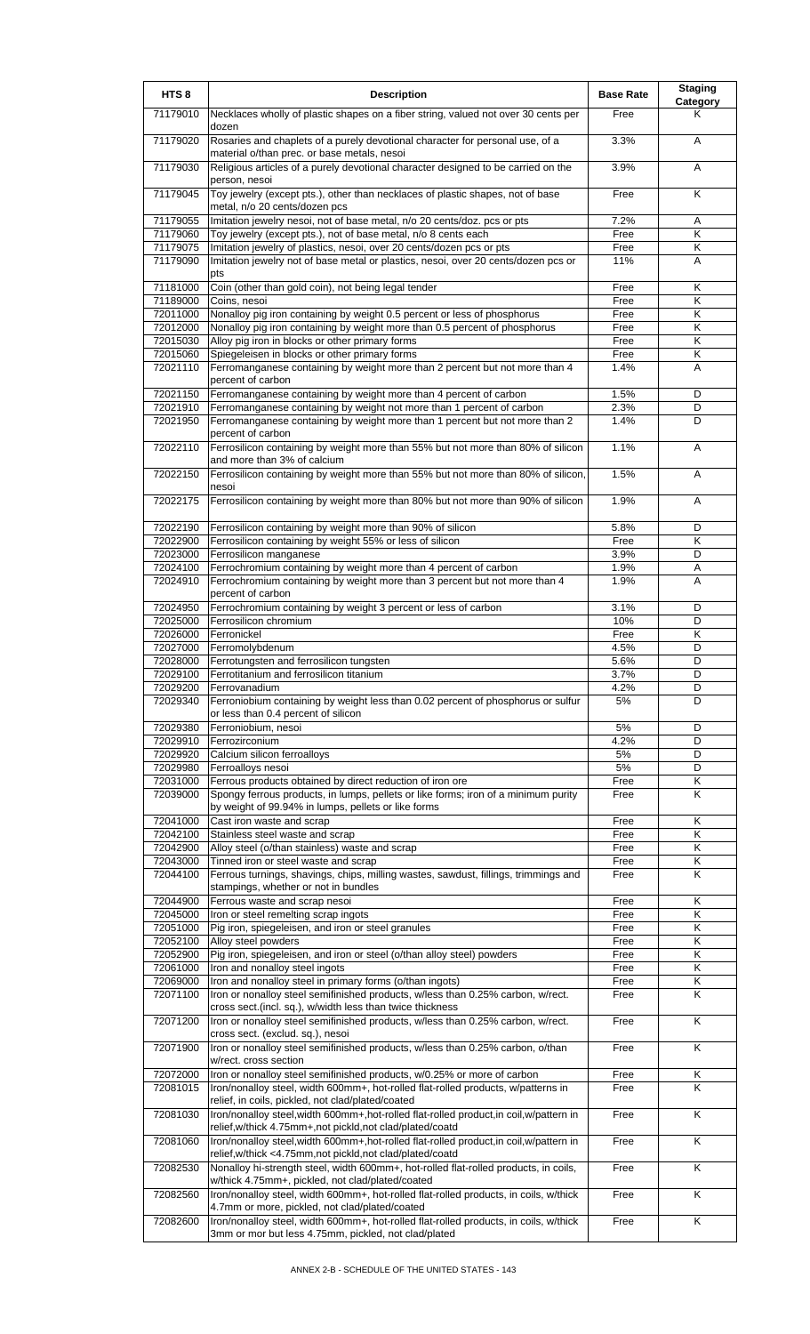| HTS <sub>8</sub> | <b>Description</b>                                                                                                                                     | <b>Base Rate</b> | <b>Staging</b>          |
|------------------|--------------------------------------------------------------------------------------------------------------------------------------------------------|------------------|-------------------------|
| 71179010         | Necklaces wholly of plastic shapes on a fiber string, valued not over 30 cents per<br>dozen                                                            | Free             | Category<br>Κ           |
| 71179020         | Rosaries and chaplets of a purely devotional character for personal use, of a<br>material o/than prec. or base metals, nesoi                           | 3.3%             | A                       |
| 71179030         | Religious articles of a purely devotional character designed to be carried on the<br>person, nesoi                                                     | 3.9%             | A                       |
| 71179045         | Toy jewelry (except pts.), other than necklaces of plastic shapes, not of base<br>metal, n/o 20 cents/dozen pcs                                        | Free             | $\overline{\mathsf{K}}$ |
| 71179055         | Imitation jewelry nesoi, not of base metal, n/o 20 cents/doz. pcs or pts                                                                               | 7.2%             | Α                       |
| 71179060         | Toy jewelry (except pts.), not of base metal, n/o 8 cents each                                                                                         | Free             | K                       |
| 71179075         | Imitation jewelry of plastics, nesoi, over 20 cents/dozen pcs or pts                                                                                   | Free             | Κ                       |
| 71179090         | Imitation jewelry not of base metal or plastics, nesoi, over 20 cents/dozen pcs or<br>pts                                                              | 11%              | A                       |
| 71181000         | Coin (other than gold coin), not being legal tender                                                                                                    | Free             | Κ                       |
| 71189000         | Coins, nesoi                                                                                                                                           | Free             | Κ                       |
| 72011000         | Nonalloy pig iron containing by weight 0.5 percent or less of phosphorus                                                                               | Free             | K                       |
| 72012000         | Nonalloy pig iron containing by weight more than 0.5 percent of phosphorus                                                                             | Free             | Κ                       |
| 72015030         | Alloy pig iron in blocks or other primary forms                                                                                                        | Free             | Κ                       |
| 72015060         | Spiegeleisen in blocks or other primary forms                                                                                                          | Free             | Κ                       |
| 72021110         | Ferromanganese containing by weight more than 2 percent but not more than 4<br>percent of carbon                                                       | 1.4%             | A                       |
| 72021150         | Ferromanganese containing by weight more than 4 percent of carbon                                                                                      | 1.5%             | D                       |
| 72021910         | Ferromanganese containing by weight not more than 1 percent of carbon                                                                                  | 2.3%             | D                       |
| 72021950         | Ferromanganese containing by weight more than 1 percent but not more than 2<br>percent of carbon                                                       | 1.4%             | D                       |
| 72022110         | Ferrosilicon containing by weight more than 55% but not more than 80% of silicon<br>and more than 3% of calcium                                        | 1.1%             | A                       |
| 72022150         | Ferrosilicon containing by weight more than 55% but not more than 80% of silicon,<br>nesoi                                                             | 1.5%             | A                       |
| 72022175         | Ferrosilicon containing by weight more than 80% but not more than 90% of silicon                                                                       | 1.9%             | A                       |
| 72022190         | Ferrosilicon containing by weight more than 90% of silicon                                                                                             | 5.8%             | D                       |
| 72022900         | Ferrosilicon containing by weight 55% or less of silicon                                                                                               | Free             | Κ                       |
| 72023000         | Ferrosilicon manganese                                                                                                                                 | 3.9%             | D                       |
| 72024100         | Ferrochromium containing by weight more than 4 percent of carbon                                                                                       | 1.9%             | Α                       |
| 72024910         | Ferrochromium containing by weight more than 3 percent but not more than 4<br>percent of carbon                                                        | 1.9%             | A                       |
| 72024950         | Ferrochromium containing by weight 3 percent or less of carbon                                                                                         | 3.1%             | D                       |
| 72025000         | Ferrosilicon chromium                                                                                                                                  | 10%              | D                       |
| 72026000         | Ferronickel                                                                                                                                            | Free             | Κ                       |
| 72027000         | Ferromolybdenum                                                                                                                                        | 4.5%             | D                       |
| 72028000         | Ferrotungsten and ferrosilicon tungsten                                                                                                                | 5.6%             | D                       |
| 72029100         | Ferrotitanium and ferrosilicon titanium                                                                                                                | 3.7%             | D                       |
| 72029200         | Ferrovanadium                                                                                                                                          | 4.2%             | D                       |
| 72029340         | Ferroniobium containing by weight less than 0.02 percent of phosphorus or sulfur<br>or less than 0.4 percent of silicon                                | 5%               | D                       |
| 72029380         | Ferroniobium, nesoi                                                                                                                                    | 5%               | D                       |
| 72029910         | Ferrozirconium                                                                                                                                         | 4.2%             | D                       |
| 72029920         | Calcium silicon ferroalloys                                                                                                                            | 5%               | D                       |
| 72029980         | Ferroalloys nesoi                                                                                                                                      | 5%               | D                       |
| 72031000         | Ferrous products obtained by direct reduction of iron ore                                                                                              | Free             | Κ                       |
| 72039000         | Spongy ferrous products, in lumps, pellets or like forms; iron of a minimum purity<br>by weight of 99.94% in lumps, pellets or like forms              | Free             | Κ                       |
| 72041000         | Cast iron waste and scrap                                                                                                                              | Free             | Κ                       |
| 72042100         | Stainless steel waste and scrap                                                                                                                        | Free             | Κ                       |
| 72042900         | Alloy steel (o/than stainless) waste and scrap                                                                                                         | Free             | Κ                       |
| 72043000         | Tinned iron or steel waste and scrap                                                                                                                   | Free             | Κ                       |
| 72044100         | Ferrous turnings, shavings, chips, milling wastes, sawdust, fillings, trimmings and<br>stampings, whether or not in bundles                            | Free             | Κ                       |
| 72044900         | Ferrous waste and scrap nesoi                                                                                                                          | Free             | Κ                       |
| 72045000         | Iron or steel remelting scrap ingots                                                                                                                   | Free             | Κ                       |
| 72051000         | Pig iron, spiegeleisen, and iron or steel granules                                                                                                     | Free             | Κ                       |
| 72052100         | Alloy steel powders                                                                                                                                    | Free             | Κ                       |
| 72052900         | Pig iron, spiegeleisen, and iron or steel (o/than alloy steel) powders                                                                                 | Free             | Κ                       |
| 72061000         | Iron and nonalloy steel ingots                                                                                                                         | Free             | Κ                       |
| 72069000         | Iron and nonalloy steel in primary forms (o/than ingots)                                                                                               | Free             | Κ                       |
| 72071100         | Iron or nonalloy steel semifinished products, w/less than 0.25% carbon, w/rect.<br>cross sect. (incl. sq.), w/width less than twice thickness          | Free             | Κ                       |
| 72071200         | Iron or nonalloy steel semifinished products, w/less than 0.25% carbon, w/rect.<br>cross sect. (exclud. sq.), nesoi                                    | Free             | K                       |
| 72071900         | Iron or nonalloy steel semifinished products, w/less than 0.25% carbon, o/than<br>w/rect. cross section                                                | Free             | K                       |
| 72072000         | Iron or nonalloy steel semifinished products, w/0.25% or more of carbon                                                                                | Free             | Κ                       |
| 72081015         | Iron/nonalloy steel, width 600mm+, hot-rolled flat-rolled products, w/patterns in                                                                      | Free             | Κ                       |
| 72081030         | relief, in coils, pickled, not clad/plated/coated<br>Iron/nonalloy steel, width 600mm+, hot-rolled flat-rolled product, in coil, w/pattern in          | Free             | K                       |
|                  | relief, w/thick 4.75mm+, not pickld, not clad/plated/coatd                                                                                             |                  |                         |
| 72081060         | Iron/nonalloy steel, width 600mm+, hot-rolled flat-rolled product, in coil, w/pattern in<br>relief, w/thick <4.75mm, not pickld, not clad/plated/coatd | Free             | K                       |
| 72082530         | Nonalloy hi-strength steel, width 600mm+, hot-rolled flat-rolled products, in coils,<br>w/thick 4.75mm+, pickled, not clad/plated/coated               | Free             | Κ                       |
| 72082560         | Iron/nonalloy steel, width 600mm+, hot-rolled flat-rolled products, in coils, w/thick<br>4.7mm or more, pickled, not clad/plated/coated                | Free             | Κ                       |
| 72082600         | Iron/nonalloy steel, width 600mm+, hot-rolled flat-rolled products, in coils, w/thick<br>3mm or mor but less 4.75mm, pickled, not clad/plated          | Free             | Κ                       |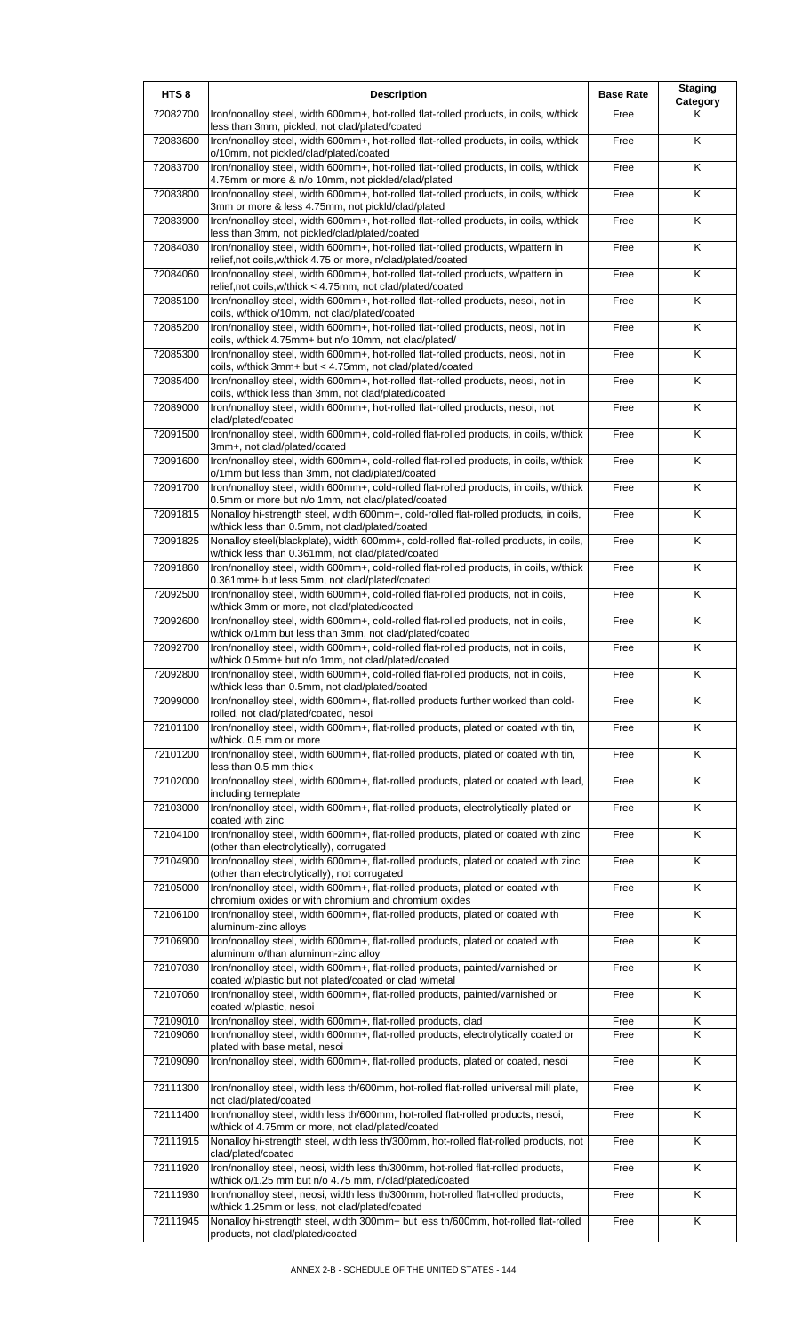| HTS <sub>8</sub>     | <b>Description</b>                                                                                                                                                                                               | <b>Base Rate</b> | <b>Staging</b><br>Category |
|----------------------|------------------------------------------------------------------------------------------------------------------------------------------------------------------------------------------------------------------|------------------|----------------------------|
| 72082700             | Iron/nonalloy steel, width 600mm+, hot-rolled flat-rolled products, in coils, w/thick<br>less than 3mm, pickled, not clad/plated/coated                                                                          | Free             | Κ                          |
| 72083600             | Iron/nonalloy steel, width 600mm+, hot-rolled flat-rolled products, in coils, w/thick<br>o/10mm, not pickled/clad/plated/coated                                                                                  | Free             | K                          |
| 72083700             | Iron/nonalloy steel, width 600mm+, hot-rolled flat-rolled products, in coils, w/thick<br>4.75mm or more & n/o 10mm, not pickled/clad/plated                                                                      | Free             | Κ                          |
| 72083800             | Iron/nonalloy steel, width 600mm+, hot-rolled flat-rolled products, in coils, w/thick<br>3mm or more & less 4.75mm, not pickld/clad/plated                                                                       | Free             | $\overline{\mathsf{K}}$    |
| 72083900             | Iron/nonalloy steel, width 600mm+, hot-rolled flat-rolled products, in coils, w/thick<br>less than 3mm, not pickled/clad/plated/coated                                                                           | Free             | K                          |
| 72084030             | Iron/nonalloy steel, width 600mm+, hot-rolled flat-rolled products, w/pattern in                                                                                                                                 | Free             | K                          |
| 72084060             | relief, not coils, w/thick 4.75 or more, n/clad/plated/coated<br>Iron/nonalloy steel, width 600mm+, hot-rolled flat-rolled products, w/pattern in<br>relief, not coils, w/thick < 4.75mm, not clad/plated/coated | Free             | K                          |
| 72085100             | Iron/nonalloy steel, width 600mm+, hot-rolled flat-rolled products, nesoi, not in<br>coils, w/thick o/10mm, not clad/plated/coated                                                                               | Free             | K                          |
| 72085200             | Iron/nonalloy steel, width 600mm+, hot-rolled flat-rolled products, neosi, not in<br>coils, w/thick 4.75mm+ but n/o 10mm, not clad/plated/                                                                       | Free             | K                          |
| 72085300             | Iron/nonalloy steel, width 600mm+, hot-rolled flat-rolled products, neosi, not in<br>coils, w/thick 3mm+ but < 4.75mm, not clad/plated/coated                                                                    | Free             | K                          |
| 72085400             | Iron/nonalloy steel, width 600mm+, hot-rolled flat-rolled products, neosi, not in<br>coils, w/thick less than 3mm, not clad/plated/coated                                                                        | Free             | K                          |
| 72089000             | Iron/nonalloy steel, width 600mm+, hot-rolled flat-rolled products, nesoi, not<br>clad/plated/coated                                                                                                             | Free             | K                          |
| 72091500             | Iron/nonalloy steel, width 600mm+, cold-rolled flat-rolled products, in coils, w/thick                                                                                                                           | Free             | K                          |
| 72091600             | 3mm+, not clad/plated/coated<br>Iron/nonalloy steel, width 600mm+, cold-rolled flat-rolled products, in coils, w/thick                                                                                           | Free             | K                          |
| 72091700             | o/1mm but less than 3mm, not clad/plated/coated<br>Iron/nonalloy steel, width 600mm+, cold-rolled flat-rolled products, in coils, w/thick                                                                        | Free             | $\overline{\mathsf{K}}$    |
| 72091815             | 0.5mm or more but n/o 1mm, not clad/plated/coated<br>Nonalloy hi-strength steel, width 600mm+, cold-rolled flat-rolled products, in coils,                                                                       | Free             | K                          |
| 72091825             | w/thick less than 0.5mm, not clad/plated/coated<br>Nonalloy steel(blackplate), width 600mm+, cold-rolled flat-rolled products, in coils,                                                                         | Free             | $\overline{\mathsf{K}}$    |
| 72091860             | w/thick less than 0.361mm, not clad/plated/coated<br>Iron/nonalloy steel, width 600mm+, cold-rolled flat-rolled products, in coils, w/thick                                                                      | Free             | K                          |
| 72092500             | 0.361mm+ but less 5mm, not clad/plated/coated<br>Iron/nonalloy steel, width 600mm+, cold-rolled flat-rolled products, not in coils,                                                                              | Free             | K                          |
| 72092600             | w/thick 3mm or more, not clad/plated/coated<br>Iron/nonalloy steel, width 600mm+, cold-rolled flat-rolled products, not in coils,                                                                                | Free             | K                          |
| 72092700             | w/thick o/1mm but less than 3mm, not clad/plated/coated<br>Iron/nonalloy steel, width 600mm+, cold-rolled flat-rolled products, not in coils,                                                                    | Free             | $\overline{\mathsf{K}}$    |
| 72092800             | w/thick 0.5mm+ but n/o 1mm, not clad/plated/coated<br>Iron/nonalloy steel, width 600mm+, cold-rolled flat-rolled products, not in coils,                                                                         | Free             | Κ                          |
| 72099000             | w/thick less than 0.5mm, not clad/plated/coated<br>Iron/nonalloy steel, width 600mm+, flat-rolled products further worked than cold-                                                                             | Free             | K                          |
|                      | rolled, not clad/plated/coated, nesoi<br>Iron/nonalloy steel, width 600mm+, flat-rolled products, plated or coated with tin,                                                                                     |                  | K                          |
| 72101100             | w/thick. 0.5 mm or more                                                                                                                                                                                          | Free             |                            |
| 72101200             | Iron/nonalloy steel, width 600mm+, flat-rolled products, plated or coated with tin,<br>less than 0.5 mm thick                                                                                                    | Free             | Κ                          |
| 72102000             | Iron/nonalloy steel, width 600mm+, flat-rolled products, plated or coated with lead,<br>including terneplate                                                                                                     | Free             | Κ                          |
| 72103000             | Iron/nonalloy steel, width 600mm+, flat-rolled products, electrolytically plated or<br>coated with zinc                                                                                                          | Free             | K                          |
| 72104100             | Iron/nonalloy steel, width 600mm+, flat-rolled products, plated or coated with zinc<br>(other than electrolytically), corrugated                                                                                 | Free             | Κ                          |
| 72104900             | Iron/nonalloy steel, width 600mm+, flat-rolled products, plated or coated with zinc<br>(other than electrolytically), not corrugated                                                                             | Free             | K                          |
| 72105000             | Iron/nonalloy steel, width 600mm+, flat-rolled products, plated or coated with<br>chromium oxides or with chromium and chromium oxides                                                                           | Free             | K                          |
| 72106100             | Iron/nonalloy steel, width 600mm+, flat-rolled products, plated or coated with<br>aluminum-zinc alloys                                                                                                           | Free             | K                          |
| 72106900             | Iron/nonalloy steel, width 600mm+, flat-rolled products, plated or coated with<br>aluminum o/than aluminum-zinc alloy                                                                                            | Free             | K                          |
| 72107030             | Iron/nonalloy steel, width 600mm+, flat-rolled products, painted/varnished or<br>coated w/plastic but not plated/coated or clad w/metal                                                                          | Free             | Κ                          |
| 72107060             | Iron/nonalloy steel, width 600mm+, flat-rolled products, painted/varnished or<br>coated w/plastic, nesoi                                                                                                         | Free             | K                          |
| 72109010<br>72109060 | Iron/nonalloy steel, width 600mm+, flat-rolled products, clad<br>Iron/nonalloy steel, width 600mm+, flat-rolled products, electrolytically coated or                                                             | Free<br>Free     | Κ<br>K                     |
|                      | plated with base metal, nesoi<br>Iron/nonalloy steel, width 600mm+, flat-rolled products, plated or coated, nesoi                                                                                                |                  |                            |
| 72109090             |                                                                                                                                                                                                                  | Free             | Κ                          |
| 72111300             | Iron/nonalloy steel, width less th/600mm, hot-rolled flat-rolled universal mill plate,<br>not clad/plated/coated                                                                                                 | Free             | Κ                          |
| 72111400             | Iron/nonalloy steel, width less th/600mm, hot-rolled flat-rolled products, nesoi,<br>w/thick of 4.75mm or more, not clad/plated/coated                                                                           | Free             | Κ                          |
| 72111915             | Nonalloy hi-strength steel, width less th/300mm, hot-rolled flat-rolled products, not<br>clad/plated/coated                                                                                                      | Free             | K                          |
| 72111920             | Iron/nonalloy steel, neosi, width less th/300mm, hot-rolled flat-rolled products,<br>w/thick o/1.25 mm but n/o 4.75 mm, n/clad/plated/coated                                                                     | Free             | Κ                          |
| 72111930             | Iron/nonalloy steel, neosi, width less th/300mm, hot-rolled flat-rolled products,<br>w/thick 1.25mm or less, not clad/plated/coated                                                                              | Free             | $\overline{\mathsf{K}}$    |
| 72111945             | Nonalloy hi-strength steel, width 300mm+ but less th/600mm, hot-rolled flat-rolled<br>products, not clad/plated/coated                                                                                           | Free             | K                          |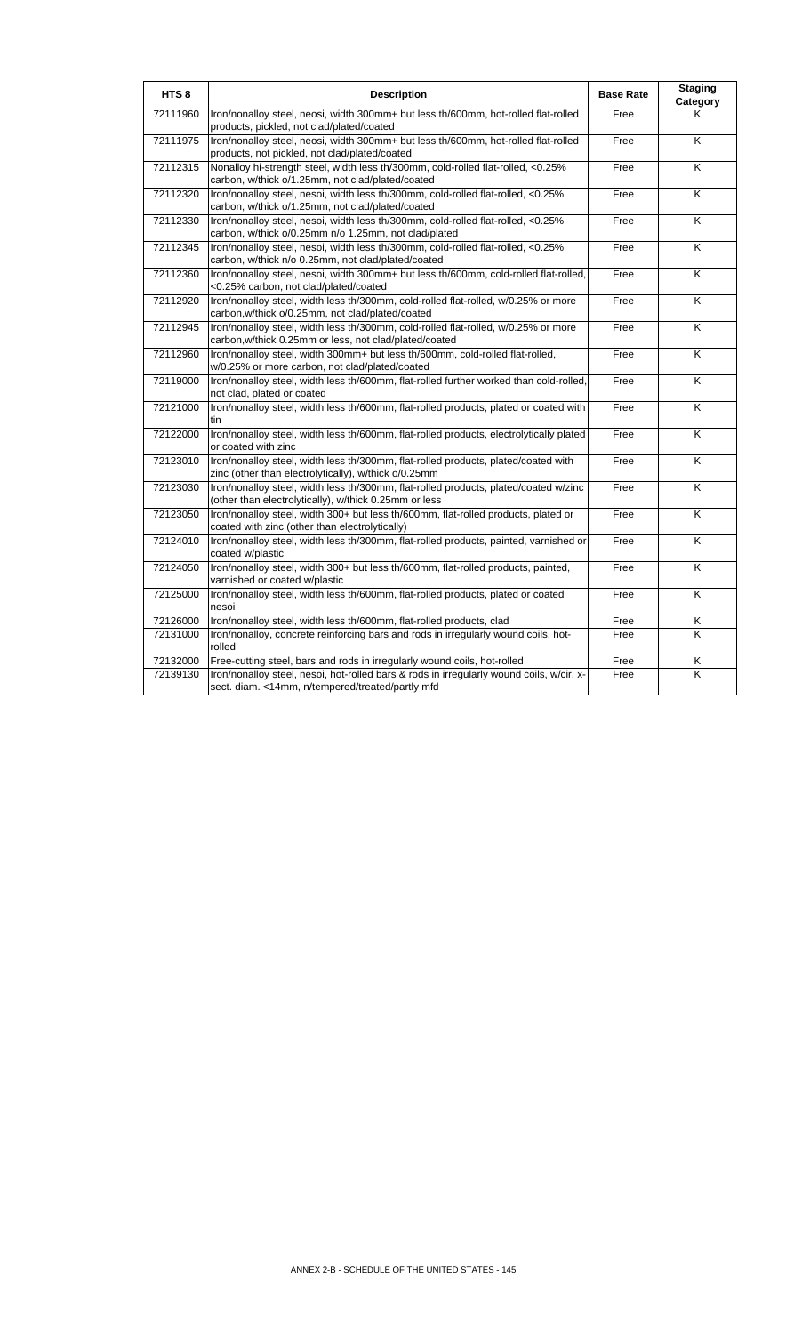| HTS <sub>8</sub> | <b>Description</b>                                                                                                                            | <b>Base Rate</b> | <b>Staging</b><br>Category |
|------------------|-----------------------------------------------------------------------------------------------------------------------------------------------|------------------|----------------------------|
| 72111960         | Iron/nonalloy steel, neosi, width 300mm+ but less th/600mm, hot-rolled flat-rolled<br>products, pickled, not clad/plated/coated               | Free             | ĸ                          |
| 72111975         | Iron/nonalloy steel, neosi, width 300mm+ but less th/600mm, hot-rolled flat-rolled<br>products, not pickled, not clad/plated/coated           | Free             | K                          |
| 72112315         | Nonalloy hi-strength steel, width less th/300mm, cold-rolled flat-rolled, <0.25%<br>carbon, w/thick o/1.25mm, not clad/plated/coated          | Free             | K                          |
| 72112320         | Iron/nonalloy steel, nesoi, width less th/300mm, cold-rolled flat-rolled, <0.25%<br>carbon, w/thick o/1.25mm, not clad/plated/coated          | Free             | K                          |
| 72112330         | Iron/nonalloy steel, nesoi, width less th/300mm, cold-rolled flat-rolled, <0.25%<br>carbon, w/thick o/0.25mm n/o 1.25mm, not clad/plated      | Free             | K                          |
| 72112345         | Iron/nonalloy steel, nesoi, width less th/300mm, cold-rolled flat-rolled, <0.25%<br>carbon, w/thick n/o 0.25mm, not clad/plated/coated        | Free             | K                          |
| 72112360         | Iron/nonalloy steel, nesoi, width 300mm+ but less th/600mm, cold-rolled flat-rolled,<br><0.25% carbon, not clad/plated/coated                 | Free             | K                          |
| 72112920         | Iron/nonalloy steel, width less th/300mm, cold-rolled flat-rolled, w/0.25% or more<br>carbon, w/thick o/0.25mm, not clad/plated/coated        | Free             | K                          |
| 72112945         | Iron/nonalloy steel, width less th/300mm, cold-rolled flat-rolled, w/0.25% or more<br>carbon, w/thick 0.25mm or less, not clad/plated/coated  | Free             | K                          |
| 72112960         | Iron/nonalloy steel, width 300mm+ but less th/600mm, cold-rolled flat-rolled,<br>w/0.25% or more carbon, not clad/plated/coated               | Free             | K                          |
| 72119000         | Iron/nonalloy steel, width less th/600mm, flat-rolled further worked than cold-rolled,<br>not clad, plated or coated                          | Free             | K                          |
| 72121000         | Iron/nonalloy steel, width less th/600mm, flat-rolled products, plated or coated with<br>tin                                                  | Free             | $\overline{\mathsf{x}}$    |
| 72122000         | Iron/nonalloy steel, width less th/600mm, flat-rolled products, electrolytically plated<br>or coated with zinc                                | Free             | $\overline{\mathsf{x}}$    |
| 72123010         | Iron/nonalloy steel, width less th/300mm, flat-rolled products, plated/coated with<br>zinc (other than electrolytically), w/thick o/0.25mm    | Free             | K                          |
| 72123030         | Iron/nonalloy steel, width less th/300mm, flat-rolled products, plated/coated w/zinc<br>(other than electrolytically), w/thick 0.25mm or less | Free             | $\overline{\mathsf{K}}$    |
| 72123050         | Iron/nonalloy steel, width 300+ but less th/600mm, flat-rolled products, plated or<br>coated with zinc (other than electrolytically)          | Free             | K                          |
| 72124010         | Iron/nonalloy steel, width less th/300mm, flat-rolled products, painted, varnished or<br>coated w/plastic                                     | Free             | K                          |
| 72124050         | Iron/nonalloy steel, width 300+ but less th/600mm, flat-rolled products, painted,<br>varnished or coated w/plastic                            | Free             | K                          |
| 72125000         | Iron/nonalloy steel, width less th/600mm, flat-rolled products, plated or coated<br>nesoi                                                     | Free             | K                          |
| 72126000         | Iron/nonalloy steel, width less th/600mm, flat-rolled products, clad                                                                          | Free             | Κ                          |
| 72131000         | Iron/nonalloy, concrete reinforcing bars and rods in irregularly wound coils, hot-<br>rolled                                                  | Free             | K                          |
| 72132000         | Free-cutting steel, bars and rods in irregularly wound coils, hot-rolled                                                                      | Free             | Κ                          |
| 72139130         | Iron/nonalloy steel, nesoi, hot-rolled bars & rods in irregularly wound coils, w/cir. x-<br>sect. diam. <14mm, n/tempered/treated/partly mfd  | Free             | K                          |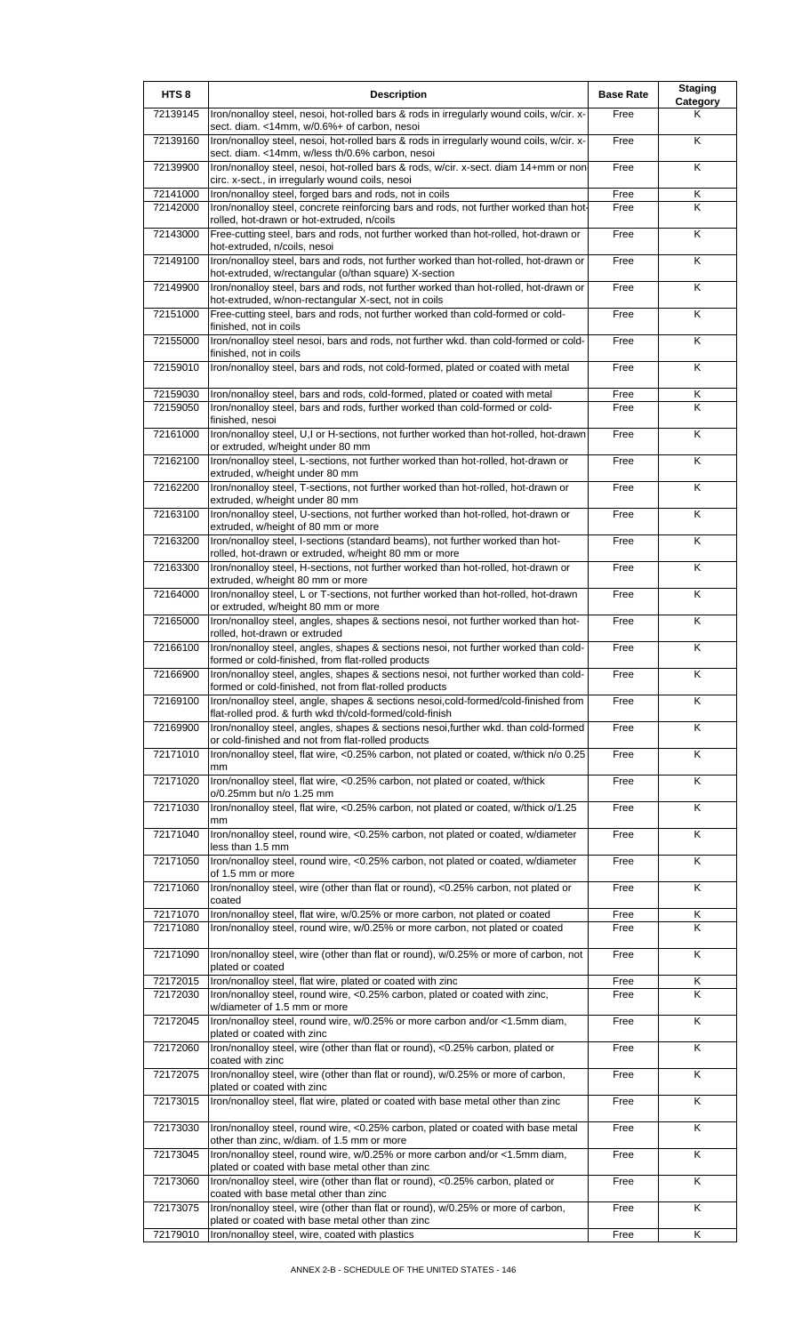| HTS <sub>8</sub> | <b>Description</b>                                                                                                                              | <b>Base Rate</b> | <b>Staging</b><br>Category |
|------------------|-------------------------------------------------------------------------------------------------------------------------------------------------|------------------|----------------------------|
| 72139145         | Iron/nonalloy steel, nesoi, hot-rolled bars & rods in irregularly wound coils, w/cir. x-<br>sect. diam. <14mm, w/0.6%+ of carbon, nesoi         | Free             | Κ                          |
| 72139160         | Iron/nonalloy steel, nesoi, hot-rolled bars & rods in irregularly wound coils, w/cir. x-<br>sect. diam. <14mm, w/less th/0.6% carbon, nesoi     | Free             | Κ                          |
| 72139900         | Iron/nonalloy steel, nesoi, hot-rolled bars & rods, w/cir. x-sect. diam 14+mm or non                                                            | Free             | K                          |
| 72141000         | circ. x-sect., in irregularly wound coils, nesoi<br>Iron/nonalloy steel, forged bars and rods, not in coils                                     | Free             | $\overline{\mathsf{K}}$    |
| 72142000         | Iron/nonalloy steel, concrete reinforcing bars and rods, not further worked than hot-<br>rolled, hot-drawn or hot-extruded, n/coils             | Free             | Κ                          |
| 72143000         | Free-cutting steel, bars and rods, not further worked than hot-rolled, hot-drawn or<br>hot-extruded, n/coils, nesoi                             | Free             | Κ                          |
| 72149100         | Iron/nonalloy steel, bars and rods, not further worked than hot-rolled, hot-drawn or<br>hot-extruded, w/rectangular (o/than square) X-section   | Free             | Κ                          |
| 72149900         | Iron/nonalloy steel, bars and rods, not further worked than hot-rolled, hot-drawn or<br>hot-extruded, w/non-rectangular X-sect, not in coils    | Free             | $\overline{\mathsf{K}}$    |
| 72151000         | Free-cutting steel, bars and rods, not further worked than cold-formed or cold-<br>finished, not in coils                                       | Free             | K                          |
| 72155000         | Iron/nonalloy steel nesoi, bars and rods, not further wkd. than cold-formed or cold-<br>finished, not in coils                                  | Free             | K                          |
| 72159010         | Iron/nonalloy steel, bars and rods, not cold-formed, plated or coated with metal                                                                | Free             | Κ                          |
| 72159030         | Iron/nonalloy steel, bars and rods, cold-formed, plated or coated with metal                                                                    | Free             | Κ                          |
| 72159050         | Iron/nonalloy steel, bars and rods, further worked than cold-formed or cold-<br>finished, nesoi                                                 | Free             | K                          |
| 72161000         | Iron/nonalloy steel, U,I or H-sections, not further worked than hot-rolled, hot-drawn<br>or extruded, w/height under 80 mm                      | Free             | $\overline{\mathsf{K}}$    |
| 72162100         | Iron/nonalloy steel, L-sections, not further worked than hot-rolled, hot-drawn or<br>extruded, w/height under 80 mm                             | Free             | Κ                          |
| 72162200         | Iron/nonalloy steel, T-sections, not further worked than hot-rolled, hot-drawn or<br>extruded, w/height under 80 mm                             | Free             | $\overline{\mathsf{K}}$    |
| 72163100         | Iron/nonalloy steel, U-sections, not further worked than hot-rolled, hot-drawn or<br>extruded, w/height of 80 mm or more                        | Free             | Κ                          |
| 72163200         | Iron/nonalloy steel, I-sections (standard beams), not further worked than hot-<br>rolled, hot-drawn or extruded, w/height 80 mm or more         | Free             | Κ                          |
| 72163300         | Iron/nonalloy steel, H-sections, not further worked than hot-rolled, hot-drawn or<br>extruded, w/height 80 mm or more                           | Free             | Κ                          |
| 72164000         | Iron/nonalloy steel, L or T-sections, not further worked than hot-rolled, hot-drawn<br>or extruded, w/height 80 mm or more                      | Free             | Κ                          |
| 72165000         | Iron/nonalloy steel, angles, shapes & sections nesoi, not further worked than hot-<br>rolled, hot-drawn or extruded                             | Free             | Κ                          |
| 72166100         | Iron/nonalloy steel, angles, shapes & sections nesoi, not further worked than cold-<br>formed or cold-finished, from flat-rolled products       | Free             | Κ                          |
| 72166900         | Iron/nonalloy steel, angles, shapes & sections nesol, not further worked than cold-<br>formed or cold-finished, not from flat-rolled products   | Free             | ĸ                          |
| 72169100         | Iron/nonalloy steel, angle, shapes & sections nesoi, cold-formed/cold-finished from<br>flat-rolled prod. & furth wkd th/cold-formed/cold-finish | Free             | Κ                          |
| 72169900         | Iron/nonalloy steel, angles, shapes & sections nesoi, further wkd. than cold-formed<br>or cold-finished and not from flat-rolled products       | Free             | K                          |
| 72171010         | Iron/nonalloy steel, flat wire, <0.25% carbon, not plated or coated, w/thick n/o 0.25<br>mm                                                     | Free             | Κ                          |
| 72171020         | Iron/nonalloy steel, flat wire, <0.25% carbon, not plated or coated, w/thick<br>o/0.25mm but n/o 1.25 mm                                        | Free             | K                          |
| 72171030         | Iron/nonalloy steel, flat wire, <0.25% carbon, not plated or coated, w/thick o/1.25<br>mm                                                       | Free             | Κ                          |
| 72171040         | Iron/nonalloy steel, round wire, <0.25% carbon, not plated or coated, w/diameter<br>less than 1.5 mm                                            | Free             | Κ                          |
| 72171050         | Iron/nonalloy steel, round wire, <0.25% carbon, not plated or coated, w/diameter<br>of 1.5 mm or more                                           | Free             | K                          |
| 72171060         | Iron/nonalloy steel, wire (other than flat or round), <0.25% carbon, not plated or<br>coated                                                    | Free             | Κ                          |
| 72171070         | Iron/nonalloy steel, flat wire, w/0.25% or more carbon, not plated or coated                                                                    | Free             | Κ                          |
| 72171080         | Iron/nonalloy steel, round wire, w/0.25% or more carbon, not plated or coated                                                                   | Free             | K                          |
| 72171090         | Iron/nonalloy steel, wire (other than flat or round), w/0.25% or more of carbon, not<br>plated or coated                                        | Free             | K                          |
| 72172015         | Iron/nonalloy steel, flat wire, plated or coated with zinc                                                                                      | Free             | Κ                          |
| 72172030         | Iron/nonalloy steel, round wire, <0.25% carbon, plated or coated with zinc,<br>w/diameter of 1.5 mm or more                                     | Free             | K                          |
| 72172045         | Iron/nonalloy steel, round wire, w/0.25% or more carbon and/or <1.5mm diam,<br>plated or coated with zinc                                       | Free             | K                          |
| 72172060         | Iron/nonalloy steel, wire (other than flat or round), <0.25% carbon, plated or<br>coated with zinc                                              | Free             | K                          |
| 72172075         | Iron/nonalloy steel, wire (other than flat or round), w/0.25% or more of carbon,<br>plated or coated with zinc                                  | Free             | Κ                          |
| 72173015         | Iron/nonalloy steel, flat wire, plated or coated with base metal other than zinc                                                                | Free             | $\overline{\mathsf{K}}$    |
| 72173030         | Iron/nonalloy steel, round wire, <0.25% carbon, plated or coated with base metal<br>other than zinc, w/diam. of 1.5 mm or more                  | Free             | Κ                          |
| 72173045         | Iron/nonalloy steel, round wire, w/0.25% or more carbon and/or <1.5mm diam,<br>plated or coated with base metal other than zinc                 | Free             | Κ                          |
| 72173060         | Iron/nonalloy steel, wire (other than flat or round), <0.25% carbon, plated or<br>coated with base metal other than zinc                        | Free             | Κ                          |
| 72173075         | Iron/nonalloy steel, wire (other than flat or round), w/0.25% or more of carbon,<br>plated or coated with base metal other than zinc            | Free             | Κ                          |
| 72179010         | Iron/nonalloy steel, wire, coated with plastics                                                                                                 | Free             | $\overline{\mathsf{K}}$    |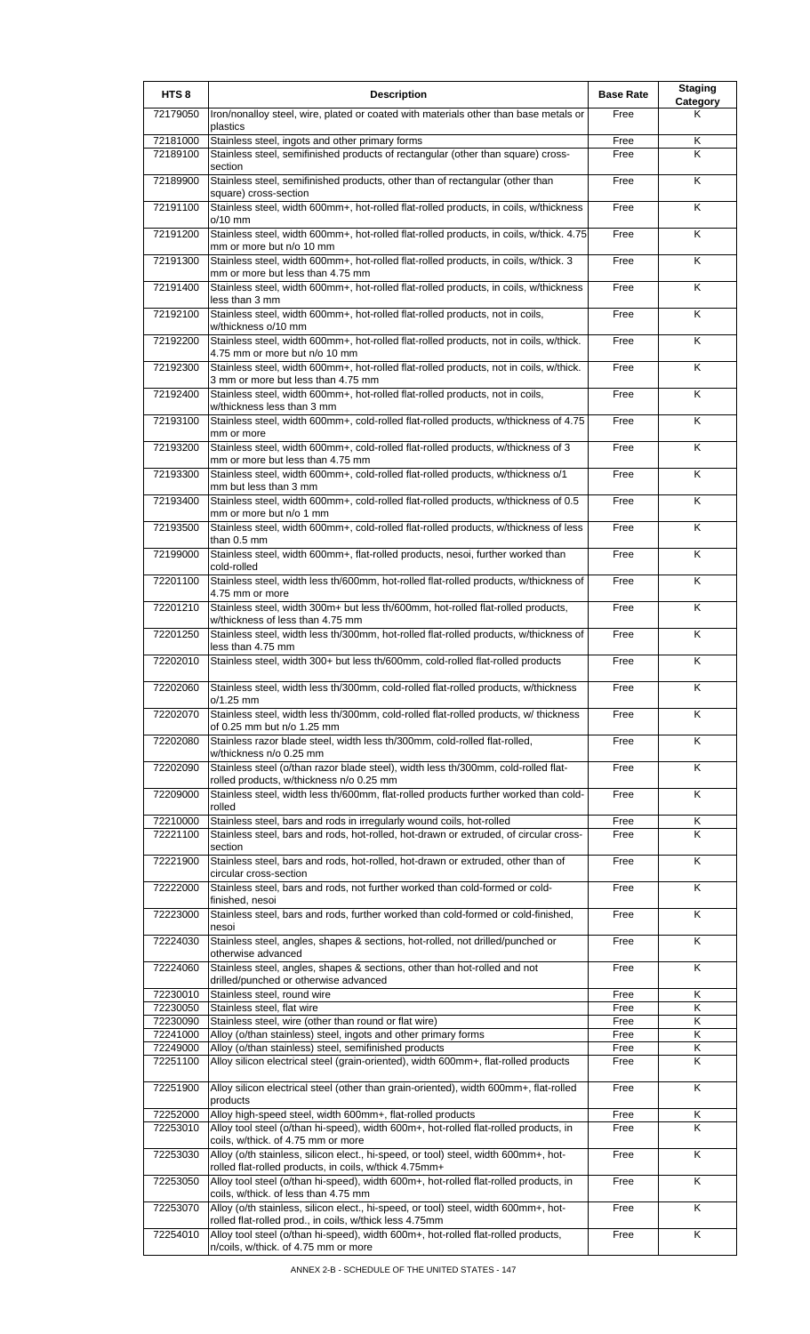| HTS <sub>8</sub>     | <b>Description</b>                                                                                                                                             | <b>Base Rate</b> | <b>Staging</b><br>Category |
|----------------------|----------------------------------------------------------------------------------------------------------------------------------------------------------------|------------------|----------------------------|
| 72179050             | Iron/nonalloy steel, wire, plated or coated with materials other than base metals or<br>plastics                                                               | Free             | ĸ                          |
| 72181000             | Stainless steel, ingots and other primary forms                                                                                                                | Free             | Κ                          |
| 72189100             | Stainless steel, semifinished products of rectangular (other than square) cross-<br>section                                                                    | Free             | K                          |
| 72189900             | Stainless steel, semifinished products, other than of rectangular (other than<br>square) cross-section                                                         | Free             | K                          |
| 72191100             | Stainless steel, width 600mm+, hot-rolled flat-rolled products, in coils, w/thickness<br>o/10 mm                                                               | Free             | Κ                          |
| 72191200             | Stainless steel, width 600mm+, hot-rolled flat-rolled products, in coils, w/thick. 4.75<br>mm or more but n/o 10 mm                                            | Free             | K                          |
| 72191300             | Stainless steel, width 600mm+, hot-rolled flat-rolled products, in coils, w/thick. 3<br>mm or more but less than 4.75 mm                                       | Free             | K                          |
| 72191400             | Stainless steel, width 600mm+, hot-rolled flat-rolled products, in coils, w/thickness<br>less than 3 mm                                                        | Free             | Κ                          |
| 72192100             | Stainless steel, width 600mm+, hot-rolled flat-rolled products, not in coils,<br>w/thickness o/10 mm                                                           | Free             | Κ                          |
| 72192200             | Stainless steel, width 600mm+, hot-rolled flat-rolled products, not in coils, w/thick.<br>4.75 mm or more but n/o 10 mm                                        | Free             | Κ                          |
| 72192300             | Stainless steel, width 600mm+, hot-rolled flat-rolled products, not in coils, w/thick.<br>3 mm or more but less than 4.75 mm                                   | Free             | Κ                          |
| 72192400             | Stainless steel, width 600mm+, hot-rolled flat-rolled products, not in coils,<br>w/thickness less than 3 mm                                                    | Free             | $\overline{\mathsf{K}}$    |
| 72193100             | Stainless steel, width 600mm+, cold-rolled flat-rolled products, w/thickness of 4.75<br>mm or more                                                             | Free             | K                          |
| 72193200             | Stainless steel, width 600mm+, cold-rolled flat-rolled products, w/thickness of 3<br>mm or more but less than 4.75 mm                                          | Free             | K                          |
| 72193300             | Stainless steel, width 600mm+, cold-rolled flat-rolled products, w/thickness o/1<br>mm but less than 3 mm                                                      | Free             | Κ                          |
| 72193400             | Stainless steel, width 600mm+, cold-rolled flat-rolled products, w/thickness of 0.5<br>mm or more but n/o 1 mm                                                 | Free             | K                          |
| 72193500             | Stainless steel, width 600mm+, cold-rolled flat-rolled products, w/thickness of less<br>than 0.5 mm                                                            | Free             | Κ                          |
| 72199000             | Stainless steel, width 600mm+, flat-rolled products, nesoi, further worked than<br>cold-rolled                                                                 | Free             | K                          |
| 72201100             | Stainless steel, width less th/600mm, hot-rolled flat-rolled products, w/thickness of<br>4.75 mm or more                                                       | Free             | Κ                          |
| 72201210             | Stainless steel, width 300m+ but less th/600mm, hot-rolled flat-rolled products,<br>w/thickness of less than 4.75 mm                                           | Free             | K                          |
| 72201250             | Stainless steel, width less th/300mm, hot-rolled flat-rolled products, w/thickness of<br>less than 4.75 mm                                                     | Free             | K                          |
| 72202010             | Stainless steel, width 300+ but less th/600mm, cold-rolled flat-rolled products                                                                                | Free             | Κ                          |
| 72202060             | Stainless steel, width less th/300mm, cold-rolled flat-rolled products, w/thickness<br>$o/1.25$ mm                                                             | Free             | K                          |
| 72202070             | Stainless steel, width less th/300mm, cold-rolled flat-rolled products, w/ thickness<br>of 0.25 mm but n/o 1.25 mm                                             | Free             | Κ                          |
| 72202080             | Stainless razor blade steel, width less th/300mm, cold-rolled flat-rolled,<br>w/thickness n/o 0.25 mm                                                          | Free             | $\overline{\mathsf{K}}$    |
| 72202090             | Stainless steel (o/than razor blade steel), width less th/300mm, cold-rolled flat-<br>rolled products, w/thickness n/o 0.25 mm                                 | Free             | K                          |
| 72209000             | Stainless steel, width less th/600mm, flat-rolled products further worked than cold-<br>rolled                                                                 | Free             | Κ                          |
| 72210000<br>72221100 | Stainless steel, bars and rods in irregularly wound coils, hot-rolled<br>Stainless steel, bars and rods, hot-rolled, hot-drawn or extruded, of circular cross- | Free<br>Free     | K<br>K                     |
| 72221900             | section<br>Stainless steel, bars and rods, hot-rolled, hot-drawn or extruded, other than of                                                                    | Free             | K                          |
| 72222000             | circular cross-section<br>Stainless steel, bars and rods, not further worked than cold-formed or cold-                                                         | Free             | K                          |
|                      | finished, nesoi                                                                                                                                                |                  |                            |
| 72223000             | Stainless steel, bars and rods, further worked than cold-formed or cold-finished,<br>nesoi                                                                     | Free             | Κ                          |
| 72224030             | Stainless steel, angles, shapes & sections, hot-rolled, not drilled/punched or<br>otherwise advanced                                                           | Free             | K                          |
| 72224060             | Stainless steel, angles, shapes & sections, other than hot-rolled and not<br>drilled/punched or otherwise advanced                                             | Free             | K                          |
| 72230010<br>72230050 | Stainless steel, round wire<br>Stainless steel, flat wire                                                                                                      | Free<br>Free     | Κ<br>Κ                     |
| 72230090             | Stainless steel, wire (other than round or flat wire)                                                                                                          | Free             | K                          |
| 72241000             | Alloy (o/than stainless) steel, ingots and other primary forms                                                                                                 | Free             | Κ                          |
| 72249000<br>72251100 | Alloy (o/than stainless) steel, semifinished products<br>Alloy silicon electrical steel (grain-oriented), width 600mm+, flat-rolled products                   | Free<br>Free     | Κ<br>K                     |
| 72251900             | Alloy silicon electrical steel (other than grain-oriented), width 600mm+, flat-rolled                                                                          | Free             | Κ                          |
| 72252000             | products<br>Alloy high-speed steel, width 600mm+, flat-rolled products                                                                                         | Free             | Κ                          |
| 72253010             | Alloy tool steel (o/than hi-speed), width 600m+, hot-rolled flat-rolled products, in<br>coils, w/thick. of 4.75 mm or more                                     | Free             | Κ                          |
| 72253030             | Alloy (o/th stainless, silicon elect., hi-speed, or tool) steel, width 600mm+, hot-<br>rolled flat-rolled products, in coils, w/thick 4.75mm+                  | Free             | K                          |
| 72253050             | Alloy tool steel (o/than hi-speed), width 600m+, hot-rolled flat-rolled products, in<br>coils, w/thick. of less than 4.75 mm                                   | Free             | Κ                          |
| 72253070             | Alloy (o/th stainless, silicon elect., hi-speed, or tool) steel, width 600mm+, hot-<br>rolled flat-rolled prod., in coils, w/thick less 4.75mm                 | Free             | K                          |
| 72254010             | Alloy tool steel (o/than hi-speed), width 600m+, hot-rolled flat-rolled products,<br>n/coils, w/thick. of 4.75 mm or more                                      | Free             | K                          |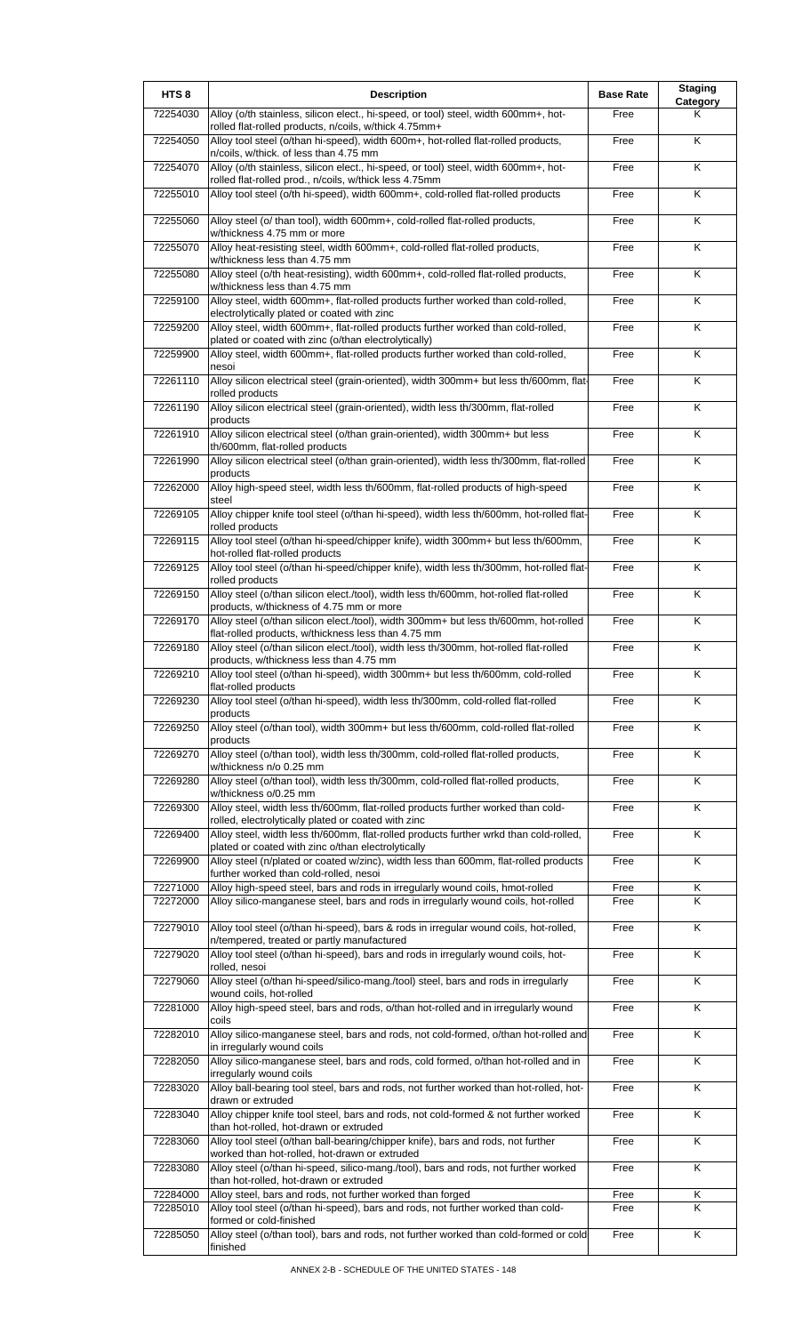| HTS <sub>8</sub>     | <b>Description</b>                                                                                                                                                  | <b>Base Rate</b> | <b>Staging</b><br>Category |
|----------------------|---------------------------------------------------------------------------------------------------------------------------------------------------------------------|------------------|----------------------------|
| 72254030             | Alloy (o/th stainless, silicon elect., hi-speed, or tool) steel, width 600mm+, hot-<br>rolled flat-rolled products, n/coils, w/thick 4.75mm+                        | Free             | Κ                          |
| 72254050             | Alloy tool steel (o/than hi-speed), width 600m+, hot-rolled flat-rolled products,<br>n/coils, w/thick. of less than 4.75 mm                                         | Free             | K                          |
| 72254070             | Alloy (o/th stainless, silicon elect., hi-speed, or tool) steel, width 600mm+, hot-<br>rolled flat-rolled prod., n/coils, w/thick less 4.75mm                       | Free             | K                          |
| 72255010             | Alloy tool steel (o/th hi-speed), width 600mm+, cold-rolled flat-rolled products                                                                                    | Free             | $\overline{\mathsf{K}}$    |
| 72255060             | Alloy steel (o/ than tool), width 600mm+, cold-rolled flat-rolled products,<br>w/thickness 4.75 mm or more                                                          | Free             | K                          |
| 72255070             | Alloy heat-resisting steel, width 600mm+, cold-rolled flat-rolled products,<br>w/thickness less than 4.75 mm                                                        | Free             | Κ                          |
| 72255080             | Alloy steel (o/th heat-resisting), width 600mm+, cold-rolled flat-rolled products,<br>w/thickness less than 4.75 mm                                                 | Free             | K                          |
| 72259100             | Alloy steel, width 600mm+, flat-rolled products further worked than cold-rolled,<br>electrolytically plated or coated with zinc                                     | Free             | K                          |
| 72259200             | Alloy steel, width 600mm+, flat-rolled products further worked than cold-rolled,<br>plated or coated with zinc (o/than electrolytically)                            | Free             | K                          |
| 72259900             | Alloy steel, width 600mm+, flat-rolled products further worked than cold-rolled,<br>nesoi                                                                           | Free             | K                          |
| 72261110             | Alloy silicon electrical steel (grain-oriented), width 300mm+ but less th/600mm, flat-                                                                              | Free             | K                          |
| 72261190             | rolled products<br>Alloy silicon electrical steel (grain-oriented), width less th/300mm, flat-rolled                                                                | Free             | K                          |
| 72261910             | products<br>Alloy silicon electrical steel (o/than grain-oriented), width 300mm+ but less                                                                           | Free             | K                          |
| 72261990             | th/600mm, flat-rolled products<br>Alloy silicon electrical steel (o/than grain-oriented), width less th/300mm, flat-rolled                                          | Free             | Κ                          |
| 72262000             | products<br>Alloy high-speed steel, width less th/600mm, flat-rolled products of high-speed                                                                         | Free             | K                          |
| 72269105             | steel<br>Alloy chipper knife tool steel (o/than hi-speed), width less th/600mm, hot-rolled flat-                                                                    | Free             | K                          |
| 72269115             | rolled products<br>Alloy tool steel (o/than hi-speed/chipper knife), width 300mm+ but less th/600mm,                                                                | Free             | K                          |
| 72269125             | hot-rolled flat-rolled products<br>Alloy tool steel (o/than hi-speed/chipper knife), width less th/300mm, hot-rolled flat-                                          | Free             | K                          |
| 72269150             | rolled products<br>Alloy steel (o/than silicon elect./tool), width less th/600mm, hot-rolled flat-rolled                                                            | Free             | K                          |
| 72269170             | products, w/thickness of 4.75 mm or more<br>Alloy steel (o/than silicon elect./tool), width 300mm+ but less th/600mm, hot-rolled                                    | Free             | Κ                          |
| 72269180             | flat-rolled products, w/thickness less than 4.75 mm<br>Alloy steel (o/than silicon elect./tool), width less th/300mm, hot-rolled flat-rolled                        | Free             | K                          |
| 72269210             | products, w/thickness less than 4.75 mm<br>Alloy tool steel (o/than hi-speed), width 300mm+ but less th/600mm, cold-rolled                                          | Free             | ĸ                          |
| 72269230             | flat-rolled products<br>Alloy tool steel (o/than hi-speed), width less th/300mm, cold-rolled flat-rolled                                                            | Free             | Κ                          |
| 72269250             | products<br>Alloy steel (o/than tool), width 300mm+ but less th/600mm, cold-rolled flat-rolled                                                                      | Free             | K                          |
| 72269270             | products<br>Alloy steel (o/than tool), width less th/300mm, cold-rolled flat-rolled products,                                                                       | Free             | K                          |
| 72269280             | w/thickness n/o 0.25 mm<br>Alloy steel (o/than tool), width less th/300mm, cold-rolled flat-rolled products,                                                        | Free             | K                          |
| 72269300             | w/thickness o/0.25 mm<br>Alloy steel, width less th/600mm, flat-rolled products further worked than cold-                                                           | Free             | K                          |
| 72269400             | rolled, electrolytically plated or coated with zinc<br>Alloy steel, width less th/600mm, flat-rolled products further wrkd than cold-rolled,                        | Free             | Κ                          |
| 72269900             | plated or coated with zinc o/than electrolytically<br>Alloy steel (n/plated or coated w/zinc), width less than 600mm, flat-rolled products                          |                  | $\overline{\mathsf{K}}$    |
|                      | further worked than cold-rolled, nesoi                                                                                                                              | Free             |                            |
| 72271000<br>72272000 | Alloy high-speed steel, bars and rods in irregularly wound coils, hmot-rolled<br>Alloy silico-manganese steel, bars and rods in irregularly wound coils, hot-rolled | Free<br>Free     | Κ<br>K                     |
| 72279010             | Alloy tool steel (o/than hi-speed), bars & rods in irregular wound coils, hot-rolled,                                                                               | Free             | $\overline{\mathsf{K}}$    |
| 72279020             | n/tempered, treated or partly manufactured<br>Alloy tool steel (o/than hi-speed), bars and rods in irregularly wound coils, hot-                                    | Free             | K                          |
| 72279060             | rolled, nesoi<br>Alloy steel (o/than hi-speed/silico-mang./tool) steel, bars and rods in irregularly                                                                | Free             | K                          |
| 72281000             | wound coils, hot-rolled<br>Alloy high-speed steel, bars and rods, o/than hot-rolled and in irregularly wound                                                        | Free             | K                          |
| 72282010             | coils<br>Alloy silico-manganese steel, bars and rods, not cold-formed, o/than hot-rolled and                                                                        | Free             | K                          |
| 72282050             | in irregularly wound coils<br>Alloy silico-manganese steel, bars and rods, cold formed, o/than hot-rolled and in                                                    | Free             | K                          |
| 72283020             | irregularly wound coils<br>Alloy ball-bearing tool steel, bars and rods, not further worked than hot-rolled, hot-                                                   | Free             | K                          |
| 72283040             | drawn or extruded<br>Alloy chipper knife tool steel, bars and rods, not cold-formed & not further worked                                                            | Free             | K                          |
| 72283060             | than hot-rolled, hot-drawn or extruded<br>Alloy tool steel (o/than ball-bearing/chipper knife), bars and rods, not further                                          | Free             | K                          |
| 72283080             | worked than hot-rolled, hot-drawn or extruded<br>Alloy steel (o/than hi-speed, silico-mang./tool), bars and rods, not further worked                                | Free             | Κ                          |
| 72284000             | than hot-rolled, hot-drawn or extruded<br>Alloy steel, bars and rods, not further worked than forged                                                                | Free             | Κ                          |
| 72285010             | Alloy tool steel (o/than hi-speed), bars and rods, not further worked than cold-<br>formed or cold-finished                                                         | Free             | Κ                          |
| 72285050             | Alloy steel (o/than tool), bars and rods, not further worked than cold-formed or cold<br>finished                                                                   | Free             | Κ                          |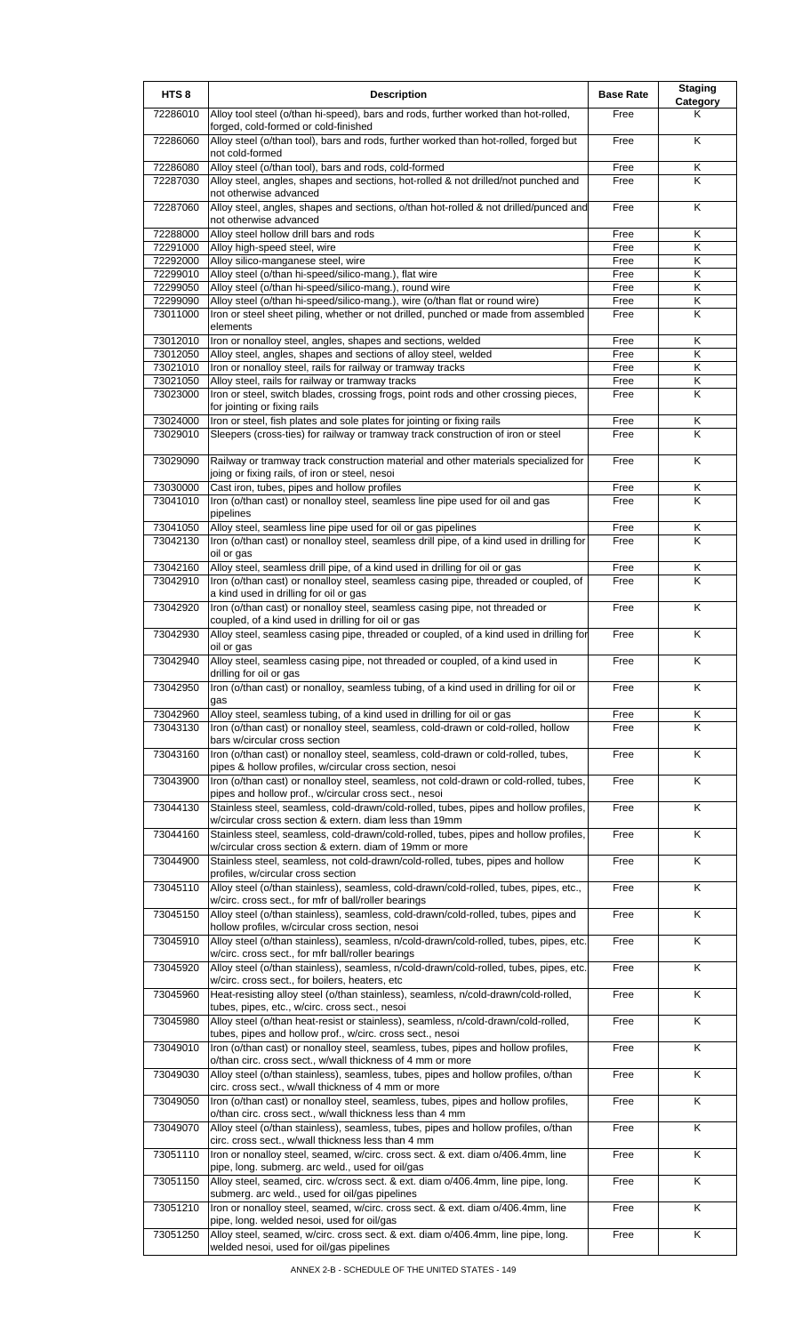| HTS <sub>8</sub>     | <b>Description</b>                                                                                                                                                         | <b>Base Rate</b> | <b>Staging</b><br><b>Category</b> |
|----------------------|----------------------------------------------------------------------------------------------------------------------------------------------------------------------------|------------------|-----------------------------------|
| 72286010             | Alloy tool steel (o/than hi-speed), bars and rods, further worked than hot-rolled,<br>forged, cold-formed or cold-finished                                                 | Free             | Κ                                 |
| 72286060             | Alloy steel (o/than tool), bars and rods, further worked than hot-rolled, forged but<br>not cold-formed                                                                    | Free             | K                                 |
| 72286080             | Alloy steel (o/than tool), bars and rods, cold-formed                                                                                                                      | Free             | Κ                                 |
| 72287030             | Alloy steel, angles, shapes and sections, hot-rolled & not drilled/not punched and<br>not otherwise advanced                                                               | Free             | K                                 |
| 72287060             | Alloy steel, angles, shapes and sections, o/than hot-rolled & not drilled/punced and<br>not otherwise advanced                                                             | Free             | K                                 |
| 72288000<br>72291000 | Alloy steel hollow drill bars and rods<br>Alloy high-speed steel, wire                                                                                                     | Free<br>Free     | Κ<br>Κ                            |
| 72292000             | Alloy silico-manganese steel, wire                                                                                                                                         | Free             | Κ                                 |
| 72299010             | Alloy steel (o/than hi-speed/silico-mang.), flat wire                                                                                                                      | Free             | K                                 |
| 72299050             | Alloy steel (o/than hi-speed/silico-mang.), round wire                                                                                                                     | Free             | Κ                                 |
| 72299090             | Alloy steel (o/than hi-speed/silico-mang.), wire (o/than flat or round wire)                                                                                               | Free             | Κ<br>Κ                            |
| 73011000             | Iron or steel sheet piling, whether or not drilled, punched or made from assembled<br>elements                                                                             | Free             |                                   |
| 73012010             | Iron or nonalloy steel, angles, shapes and sections, welded                                                                                                                | Free             | Κ                                 |
| 73012050<br>73021010 | Alloy steel, angles, shapes and sections of alloy steel, welded<br>Iron or nonalloy steel, rails for railway or tramway tracks                                             | Free<br>Free     | Κ<br>Κ                            |
| 73021050             | Alloy steel, rails for railway or tramway tracks                                                                                                                           | Free             | Κ                                 |
| 73023000             | Iron or steel, switch blades, crossing frogs, point rods and other crossing pieces,                                                                                        | Free             | K                                 |
|                      | for jointing or fixing rails                                                                                                                                               |                  |                                   |
| 73024000             | Iron or steel, fish plates and sole plates for jointing or fixing rails                                                                                                    | Free             | Κ                                 |
| 73029010             | Sleepers (cross-ties) for railway or tramway track construction of iron or steel                                                                                           | Free             | K                                 |
| 73029090             | Railway or tramway track construction material and other materials specialized for<br>joing or fixing rails, of iron or steel, nesoi                                       | Free             | K                                 |
| 73030000             | Cast iron, tubes, pipes and hollow profiles                                                                                                                                | Free             | Κ                                 |
| 73041010             | Iron (o/than cast) or nonalloy steel, seamless line pipe used for oil and gas<br>pipelines                                                                                 | Free             | Κ                                 |
| 73041050             | Alloy steel, seamless line pipe used for oil or gas pipelines                                                                                                              | Free             | Κ                                 |
| 73042130             | Iron (o/than cast) or nonalloy steel, seamless drill pipe, of a kind used in drilling for                                                                                  | Free             | K                                 |
| 73042160             | oil or gas<br>Alloy steel, seamless drill pipe, of a kind used in drilling for oil or gas                                                                                  | Free             | Κ                                 |
| 73042910             | Iron (o/than cast) or nonalloy steel, seamless casing pipe, threaded or coupled, of                                                                                        | Free             | K                                 |
|                      | a kind used in drilling for oil or gas                                                                                                                                     |                  |                                   |
| 73042920             | Iron (o/than cast) or nonalloy steel, seamless casing pipe, not threaded or<br>coupled, of a kind used in drilling for oil or gas                                          | Free             | K                                 |
| 73042930             | Alloy steel, seamless casing pipe, threaded or coupled, of a kind used in drilling for<br>oil or gas                                                                       | Free             | K                                 |
| 73042940             | Alloy steel, seamless casing pipe, not threaded or coupled, of a kind used in<br>drilling for oil or gas                                                                   | Free             | K                                 |
| 73042950             | Iron (o/than cast) or nonalloy, seamless tubing, of a kind used in drilling for oil or<br>gas                                                                              | Free             | Κ                                 |
| 73042960             | Alloy steel, seamless tubing, of a kind used in drilling for oil or gas                                                                                                    | Free             | Κ                                 |
| 73043130             | Iron (o/than cast) or nonalloy steel, seamless, cold-drawn or cold-rolled, hollow                                                                                          | Free             | $\overline{\mathsf{K}}$           |
| 73043160             | bars w/circular cross section<br>Iron (o/than cast) or nonalloy steel, seamless, cold-drawn or cold-rolled, tubes,                                                         | Free             | Κ                                 |
| 73043900             | pipes & hollow profiles, w/circular cross section, nesoi<br>Iron (o/than cast) or nonalloy steel, seamless, not cold-drawn or cold-rolled, tubes,                          | Free             | Κ                                 |
| 73044130             | pipes and hollow prof., w/circular cross sect., nesoi<br>Stainless steel, seamless, cold-drawn/cold-rolled, tubes, pipes and hollow profiles,                              | Free             | K                                 |
| 73044160             | w/circular cross section & extern. diam less than 19mm<br>Stainless steel, seamless, cold-drawn/cold-rolled, tubes, pipes and hollow profiles,                             | Free             | K                                 |
|                      | w/circular cross section & extern. diam of 19mm or more                                                                                                                    |                  |                                   |
| 73044900             | Stainless steel, seamless, not cold-drawn/cold-rolled, tubes, pipes and hollow<br>profiles, w/circular cross section                                                       | Free             | K                                 |
| 73045110             | Alloy steel (o/than stainless), seamless, cold-drawn/cold-rolled, tubes, pipes, etc.,<br>w/circ. cross sect., for mfr of ball/roller bearings                              | Free             | K                                 |
| 73045150             | Alloy steel (o/than stainless), seamless, cold-drawn/cold-rolled, tubes, pipes and<br>hollow profiles, w/circular cross section, nesoi                                     | Free             | Κ                                 |
| 73045910             | Alloy steel (o/than stainless), seamless, n/cold-drawn/cold-rolled, tubes, pipes, etc.<br>w/circ. cross sect., for mfr ball/roller bearings                                | Free             | $\overline{\mathsf{x}}$           |
| 73045920             | Alloy steel (o/than stainless), seamless, n/cold-drawn/cold-rolled, tubes, pipes, etc.<br>w/circ. cross sect., for boilers, heaters, etc                                   | Free             | K                                 |
| 73045960             | Heat-resisting alloy steel (o/than stainless), seamless, n/cold-drawn/cold-rolled,<br>tubes, pipes, etc., w/circ. cross sect., nesoi                                       | Free             | Κ                                 |
| 73045980             | Alloy steel (o/than heat-resist or stainless), seamless, n/cold-drawn/cold-rolled,<br>tubes, pipes and hollow prof., w/circ. cross sect., nesoi                            | Free             | Κ                                 |
| 73049010             | Iron (o/than cast) or nonalloy steel, seamless, tubes, pipes and hollow profiles,<br>o/than circ. cross sect., w/wall thickness of 4 mm or more                            | Free             | K                                 |
| 73049030             | Alloy steel (o/than stainless), seamless, tubes, pipes and hollow profiles, o/than<br>circ. cross sect., w/wall thickness of 4 mm or more                                  | Free             | K                                 |
| 73049050             | Iron (o/than cast) or nonalloy steel, seamless, tubes, pipes and hollow profiles,<br>o/than circ. cross sect., w/wall thickness less than 4 mm                             | Free             | K                                 |
| 73049070             | Alloy steel (o/than stainless), seamless, tubes, pipes and hollow profiles, o/than<br>circ. cross sect., w/wall thickness less than 4 mm                                   | Free             | Κ                                 |
| 73051110             | Iron or nonalloy steel, seamed, w/circ. cross sect. & ext. diam o/406.4mm, line<br>pipe, long. submerg. arc weld., used for oil/gas                                        | Free             | Κ                                 |
| 73051150             | Alloy steel, seamed, circ. w/cross sect. & ext. diam o/406.4mm, line pipe, long.                                                                                           | Free             | $\overline{\mathsf{K}}$           |
| 73051210             | submerg. arc weld., used for oil/gas pipelines<br>Iron or nonalloy steel, seamed, w/circ. cross sect. & ext. diam o/406.4mm, line                                          | Free             | Κ                                 |
| 73051250             | pipe, long. welded nesoi, used for oil/gas<br>Alloy steel, seamed, w/circ. cross sect. & ext. diam o/406.4mm, line pipe, long.<br>welded nesoi, used for oil/gas pipelines | Free             | K                                 |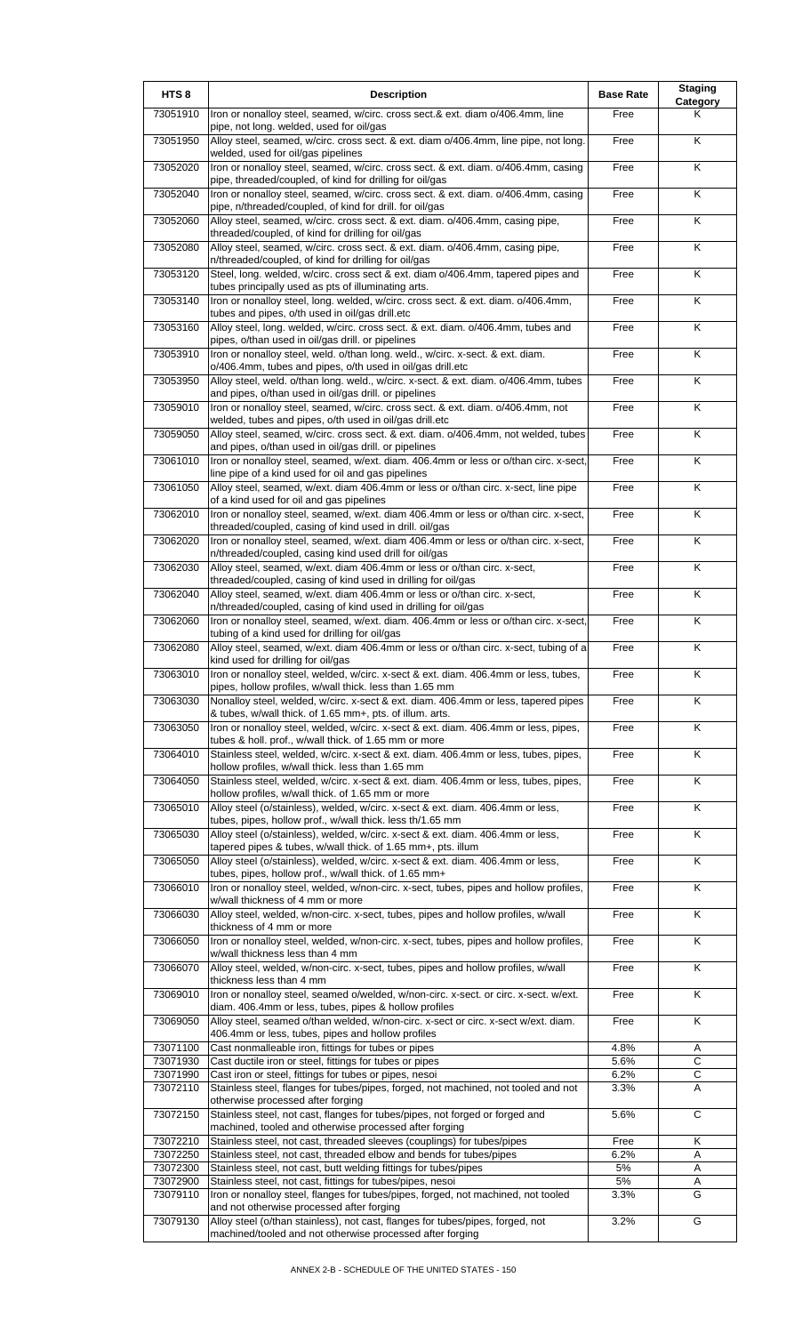| HTS <sub>8</sub>     | <b>Description</b>                                                                                                                                                                       | <b>Base Rate</b> | <b>Staging</b><br>Category |
|----------------------|------------------------------------------------------------------------------------------------------------------------------------------------------------------------------------------|------------------|----------------------------|
| 73051910             | Iron or nonalloy steel, seamed, w/circ. cross sect.& ext. diam o/406.4mm, line<br>pipe, not long. welded, used for oil/gas                                                               | Free             | Κ                          |
| 73051950             | Alloy steel, seamed, w/circ. cross sect. & ext. diam o/406.4mm, line pipe, not long.<br>welded, used for oil/gas pipelines                                                               | Free             | K                          |
| 73052020             | Iron or nonalloy steel, seamed, w/circ. cross sect. & ext. diam. o/406.4mm, casing<br>pipe, threaded/coupled, of kind for drilling for oil/gas                                           | Free             | Κ                          |
| 73052040             | Iron or nonalloy steel, seamed, w/circ. cross sect. & ext. diam. o/406.4mm, casing<br>pipe, n/threaded/coupled, of kind for drill. for oil/gas                                           | Free             | Κ                          |
| 73052060             | Alloy steel, seamed, w/circ. cross sect. & ext. diam. o/406.4mm, casing pipe,<br>threaded/coupled, of kind for drilling for oil/gas                                                      | Free             | K                          |
| 73052080             | Alloy steel, seamed, w/circ. cross sect. & ext. diam. o/406.4mm, casing pipe,<br>n/threaded/coupled, of kind for drilling for oil/gas                                                    | Free             | Κ                          |
| 73053120             | Steel, long. welded, w/circ. cross sect & ext. diam o/406.4mm, tapered pipes and<br>tubes principally used as pts of illuminating arts.                                                  | Free             | Κ                          |
| 73053140             | Iron or nonalloy steel, long. welded, w/circ. cross sect. & ext. diam. o/406.4mm,<br>tubes and pipes, o/th used in oil/gas drill.etc                                                     | Free             | Κ                          |
| 73053160             | Alloy steel, long. welded, w/circ. cross sect. & ext. diam. o/406.4mm, tubes and<br>pipes, o/than used in oil/gas drill. or pipelines                                                    | Free             | K                          |
| 73053910             | Iron or nonalloy steel, weld. o/than long. weld., w/circ. x-sect. & ext. diam.<br>o/406.4mm, tubes and pipes, o/th used in oil/gas drill.etc                                             | Free             | Κ                          |
| 73053950             | Alloy steel, weld. o/than long. weld., w/circ. x-sect. & ext. diam. o/406.4mm, tubes<br>and pipes, o/than used in oil/gas drill. or pipelines                                            | Free             | Κ                          |
| 73059010             | Iron or nonalloy steel, seamed, w/circ. cross sect. & ext. diam. o/406.4mm, not<br>welded, tubes and pipes, o/th used in oil/gas drill.etc                                               | Free             | $\overline{\mathsf{K}}$    |
| 73059050             | Alloy steel, seamed, w/circ. cross sect. & ext. diam. o/406.4mm, not welded, tubes<br>and pipes, o/than used in oil/gas drill. or pipelines                                              | Free             | K                          |
| 73061010             | Iron or nonalloy steel, seamed, w/ext. diam. 406.4mm or less or o/than circ. x-sect,<br>line pipe of a kind used for oil and gas pipelines                                               | Free             | Κ                          |
| 73061050             | Alloy steel, seamed, w/ext. diam 406.4mm or less or o/than circ. x-sect, line pipe<br>of a kind used for oil and gas pipelines                                                           | Free             | Κ                          |
| 73062010             | Iron or nonalloy steel, seamed, w/ext. diam 406.4mm or less or o/than circ. x-sect,<br>threaded/coupled, casing of kind used in drill. oil/gas                                           | Free             | K                          |
| 73062020             | Iron or nonalloy steel, seamed, w/ext. diam 406.4mm or less or o/than circ. x-sect,<br>n/threaded/coupled, casing kind used drill for oil/gas                                            | Free             | Κ                          |
| 73062030             | Alloy steel, seamed, w/ext. diam 406.4mm or less or o/than circ. x-sect,<br>threaded/coupled, casing of kind used in drilling for oil/gas                                                | Free             | K                          |
| 73062040             | Alloy steel, seamed, w/ext. diam 406.4mm or less or o/than circ. x-sect,                                                                                                                 | Free             | K                          |
| 73062060             | n/threaded/coupled, casing of kind used in drilling for oil/gas<br>Iron or nonalloy steel, seamed, w/ext. diam. 406.4mm or less or o/than circ. x-sect,                                  | Free             | Κ                          |
| 73062080             | tubing of a kind used for drilling for oil/gas<br>Alloy steel, seamed, w/ext. diam 406.4mm or less or o/than circ. x-sect, tubing of a                                                   | Free             | $\overline{\mathsf{K}}$    |
| 73063010             | kind used for drilling for oil/gas<br>Iron or nonalloy steel, welded, w/circ. x-sect & ext. diam. 406.4mm or less, tubes,                                                                | Free             | Κ                          |
| 73063030             | pipes, hollow profiles, w/wall thick. less than 1.65 mm<br>Nonalloy steel, welded, w/circ. x-sect & ext. diam. 406.4mm or less, tapered pipes                                            | Free             | K                          |
| 73063050             | & tubes, w/wall thick. of 1.65 mm+, pts. of illum. arts.<br>Iron or nonalloy steel, welded, w/circ. x-sect & ext. diam. 406.4mm or less, pipes,                                          | Free             | Κ                          |
| 73064010             | tubes & holl. prof., w/wall thick. of 1.65 mm or more<br>Stainless steel, welded, w/circ. x-sect & ext. diam. 406.4mm or less, tubes, pipes,                                             | Free             | Κ                          |
| 73064050             | hollow profiles, w/wall thick. less than 1.65 mm<br>Stainless steel, welded, w/circ. x-sect & ext. diam. 406.4mm or less, tubes, pipes,                                                  | Free             | Κ                          |
| 73065010             | hollow profiles, w/wall thick. of 1.65 mm or more<br>Alloy steel (o/stainless), welded, w/circ. x-sect & ext. diam. 406.4mm or less,                                                     | Free             | Κ                          |
| 73065030             | tubes, pipes, hollow prof., w/wall thick. less th/1.65 mm<br>Alloy steel (o/stainless), welded, w/circ. x-sect & ext. diam. 406.4mm or less,                                             | Free             | Κ                          |
| 73065050             | tapered pipes & tubes, w/wall thick. of 1.65 mm+, pts. illum<br>Alloy steel (o/stainless), welded, w/circ. x-sect & ext. diam. 406.4mm or less,                                          | Free             | K                          |
| 73066010             | tubes, pipes, hollow prof., w/wall thick. of 1.65 mm+<br>Iron or nonalloy steel, welded, w/non-circ. x-sect, tubes, pipes and hollow profiles,                                           | Free             | Κ                          |
| 73066030             | w/wall thickness of 4 mm or more<br>Alloy steel, welded, w/non-circ. x-sect, tubes, pipes and hollow profiles, w/wall                                                                    | Free             | Κ                          |
| 73066050             | thickness of 4 mm or more<br>Iron or nonalloy steel, welded, w/non-circ. x-sect, tubes, pipes and hollow profiles,                                                                       | Free             | Κ                          |
| 73066070             | w/wall thickness less than 4 mm<br>Alloy steel, welded, w/non-circ. x-sect, tubes, pipes and hollow profiles, w/wall                                                                     | Free             | Κ                          |
| 73069010             | thickness less than 4 mm<br>Iron or nonalloy steel, seamed o/welded, w/non-circ. x-sect. or circ. x-sect. w/ext.                                                                         | Free             | Κ                          |
| 73069050             | diam. 406.4mm or less, tubes, pipes & hollow profiles<br>Alloy steel, seamed o/than welded, w/non-circ. x-sect or circ. x-sect w/ext. diam.                                              | Free             | Κ                          |
| 73071100             | 406.4mm or less, tubes, pipes and hollow profiles<br>Cast nonmalleable iron, fittings for tubes or pipes                                                                                 | 4.8%             | Α                          |
| 73071930<br>73071990 | Cast ductile iron or steel, fittings for tubes or pipes<br>Cast iron or steel, fittings for tubes or pipes, nesoi                                                                        | 5.6%<br>6.2%     | C<br>$\overline{c}$        |
| 73072110             | Stainless steel, flanges for tubes/pipes, forged, not machined, not tooled and not                                                                                                       | 3.3%             | Α                          |
| 73072150             | otherwise processed after forging<br>Stainless steel, not cast, flanges for tubes/pipes, not forged or forged and<br>machined, tooled and otherwise processed after forging              | 5.6%             | $\mathsf{C}$               |
| 73072210             | Stainless steel, not cast, threaded sleeves (couplings) for tubes/pipes                                                                                                                  | Free             | Κ                          |
| 73072250             | Stainless steel, not cast, threaded elbow and bends for tubes/pipes                                                                                                                      | 6.2%             | Α                          |
| 73072300             | Stainless steel, not cast, butt welding fittings for tubes/pipes                                                                                                                         | 5%               | Α                          |
| 73072900<br>73079110 | Stainless steel, not cast, fittings for tubes/pipes, nesoi<br>Iron or nonalloy steel, flanges for tubes/pipes, forged, not machined, not tooled                                          | 5%<br>3.3%       | Α<br>G                     |
| 73079130             | and not otherwise processed after forging<br>Alloy steel (o/than stainless), not cast, flanges for tubes/pipes, forged, not<br>machined/tooled and not otherwise processed after forging | 3.2%             | G                          |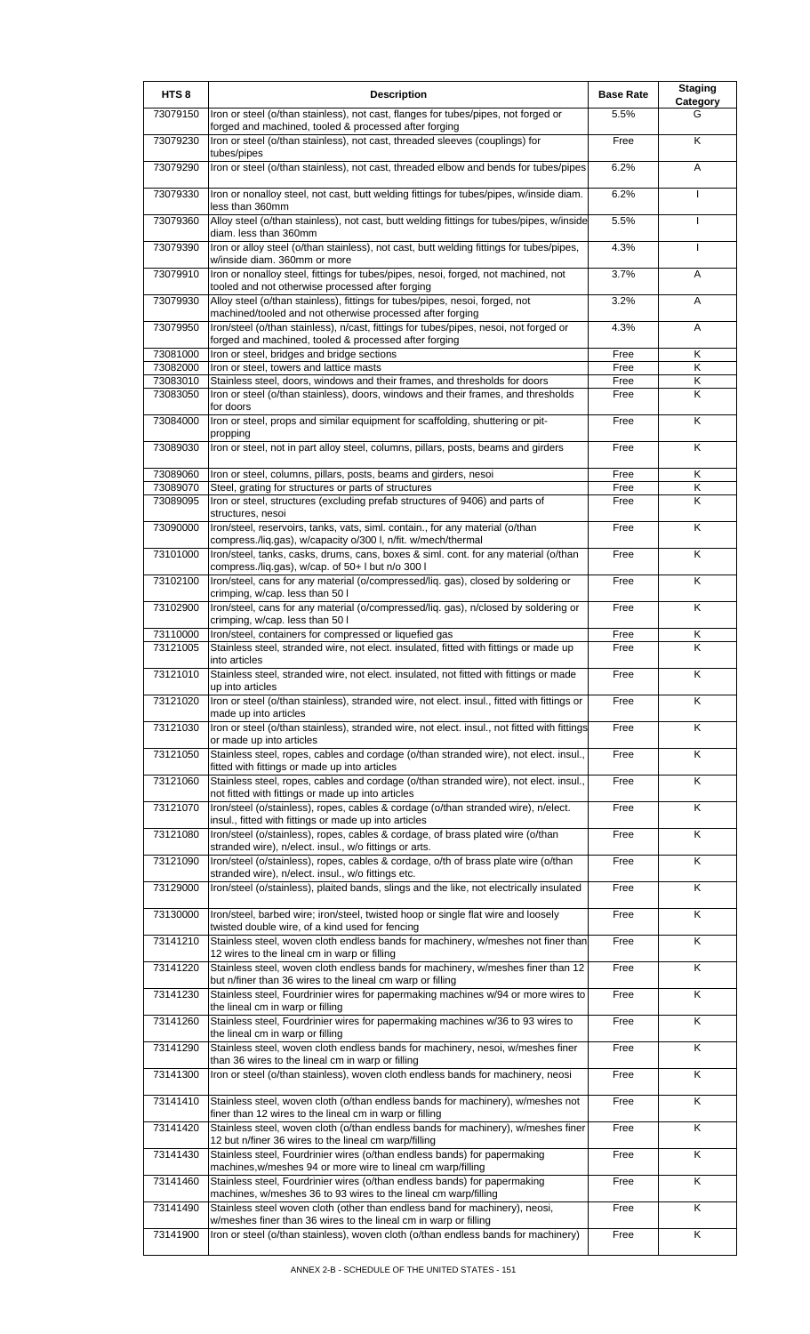| HTS <sub>8</sub>     | <b>Description</b>                                                                                                                                               | <b>Base Rate</b> | <b>Staging</b><br>Category   |
|----------------------|------------------------------------------------------------------------------------------------------------------------------------------------------------------|------------------|------------------------------|
| 73079150             | Iron or steel (o/than stainless), not cast, flanges for tubes/pipes, not forged or<br>forged and machined, tooled & processed after forging                      | 5.5%             | G                            |
| 73079230             | Iron or steel (o/than stainless), not cast, threaded sleeves (couplings) for                                                                                     | Free             | K                            |
| 73079290             | tubes/pipes<br>Iron or steel (o/than stainless), not cast, threaded elbow and bends for tubes/pipes                                                              | 6.2%             | A                            |
| 73079330             | Iron or nonalloy steel, not cast, butt welding fittings for tubes/pipes, w/inside diam.<br>less than 360mm                                                       | 6.2%             | <b>I</b>                     |
| 73079360             | Alloy steel (o/than stainless), not cast, butt welding fittings for tubes/pipes, w/inside<br>diam. less than 360mm                                               | 5.5%             | $\mathbf{I}$                 |
| 73079390             | Iron or alloy steel (o/than stainless), not cast, butt welding fittings for tubes/pipes,<br>w/inside diam. 360mm or more                                         | 4.3%             | $\mathbf{I}$                 |
| 73079910             | Iron or nonalloy steel, fittings for tubes/pipes, nesoi, forged, not machined, not<br>tooled and not otherwise processed after forging                           | 3.7%             | Α                            |
| 73079930             | Alloy steel (o/than stainless), fittings for tubes/pipes, nesoi, forged, not<br>machined/tooled and not otherwise processed after forging                        | 3.2%             | A                            |
| 73079950             | Iron/steel (o/than stainless), n/cast, fittings for tubes/pipes, nesoi, not forged or<br>forged and machined, tooled & processed after forging                   | 4.3%             | A                            |
| 73081000             | Iron or steel, bridges and bridge sections                                                                                                                       | Free             | Κ                            |
| 73082000<br>73083010 | Iron or steel, towers and lattice masts<br>Stainless steel, doors, windows and their frames, and thresholds for doors                                            | Free<br>Free     | Κ<br>Κ                       |
| 73083050             | Iron or steel (o/than stainless), doors, windows and their frames, and thresholds<br>for doors                                                                   | Free             | K                            |
| 73084000             | Iron or steel, props and similar equipment for scaffolding, shuttering or pit-<br>propping                                                                       | Free             | K                            |
| 73089030             | Iron or steel, not in part alloy steel, columns, pillars, posts, beams and girders                                                                               | Free             | K                            |
| 73089060             | Iron or steel, columns, pillars, posts, beams and girders, nesoi                                                                                                 | Free             | Κ                            |
| 73089070             | Steel, grating for structures or parts of structures                                                                                                             | Free             | Κ                            |
| 73089095             | Iron or steel, structures (excluding prefab structures of 9406) and parts of<br>structures, nesoi                                                                | Free             | K                            |
| 73090000             | Iron/steel, reservoirs, tanks, vats, siml. contain., for any material (o/than<br>compress./liq.gas), w/capacity o/300 l, n/fit. w/mech/thermal                   | Free             | K                            |
| 73101000             | Iron/steel, tanks, casks, drums, cans, boxes & siml. cont. for any material (o/than<br>compress./liq.gas), w/cap. of 50+ I but n/o 300 I                         | Free             | K                            |
| 73102100             | Iron/steel, cans for any material (o/compressed/liq. gas), closed by soldering or<br>crimping, w/cap. less than 50 l                                             | Free             | Κ                            |
| 73102900             | Iron/steel, cans for any material (o/compressed/liq. gas), n/closed by soldering or<br>crimping, w/cap. less than 50 l                                           | Free             | K                            |
| 73110000<br>73121005 | Iron/steel, containers for compressed or liquefied gas<br>Stainless steel, stranded wire, not elect. insulated, fitted with fittings or made up<br>into articles | Free<br>Free     | Κ<br>$\overline{\mathsf{K}}$ |
| 73121010             | Stainless steel, stranded wire, not elect. insulated, not fitted with fittings or made<br>up into articles                                                       | Free             | Κ                            |
| 73121020             | Iron or steel (o/than stainless), stranded wire, not elect. insul., fitted with fittings or<br>made up into articles                                             | Free             | Κ                            |
| 73121030             | Iron or steel (o/than stainless), stranded wire, not elect. insul., not fitted with fittings<br>or made up into articles                                         | Free             | $\overline{\mathsf{K}}$      |
| 73121050             | Stainless steel, ropes, cables and cordage (o/than stranded wire), not elect. insul.,<br>fitted with fittings or made up into articles                           | Free             | Κ                            |
| 73121060             | Stainless steel, ropes, cables and cordage (o/than stranded wire), not elect. insul.,<br>not fitted with fittings or made up into articles                       | Free             | K                            |
| 73121070             | Iron/steel (o/stainless), ropes, cables & cordage (o/than stranded wire), n/elect.<br>insul., fitted with fittings or made up into articles                      | Free             | Κ                            |
| 73121080             | Iron/steel (o/stainless), ropes, cables & cordage, of brass plated wire (o/than<br>stranded wire), n/elect. insul., w/o fittings or arts.                        | Free             | Κ                            |
| 73121090             | Iron/steel (o/stainless), ropes, cables & cordage, o/th of brass plate wire (o/than<br>stranded wire), n/elect. insul., w/o fittings etc.                        | Free             | $\overline{\mathsf{K}}$      |
| 73129000             | Iron/steel (o/stainless), plaited bands, slings and the like, not electrically insulated                                                                         | Free             | K                            |
| 73130000             | Iron/steel, barbed wire; iron/steel, twisted hoop or single flat wire and loosely<br>twisted double wire, of a kind used for fencing                             | Free             | Κ                            |
| 73141210             | Stainless steel, woven cloth endless bands for machinery, w/meshes not finer than<br>12 wires to the lineal cm in warp or filling                                | Free             | $\overline{\mathsf{K}}$      |
| 73141220             | Stainless steel, woven cloth endless bands for machinery, w/meshes finer than 12<br>but n/finer than 36 wires to the lineal cm warp or filling                   | Free             | Κ                            |
| 73141230             | Stainless steel, Fourdrinier wires for papermaking machines w/94 or more wires to<br>the lineal cm in warp or filling                                            | Free             | $\overline{\mathsf{K}}$      |
| 73141260             | Stainless steel, Fourdrinier wires for papermaking machines w/36 to 93 wires to<br>the lineal cm in warp or filling                                              | Free             | Κ                            |
| 73141290             | Stainless steel, woven cloth endless bands for machinery, nesoi, w/meshes finer<br>than 36 wires to the lineal cm in warp or filling                             | Free             | Κ                            |
| 73141300             | Iron or steel (o/than stainless), woven cloth endless bands for machinery, neosi                                                                                 | Free             | $\overline{\mathsf{K}}$      |
| 73141410             | Stainless steel, woven cloth (o/than endless bands for machinery), w/meshes not<br>finer than 12 wires to the lineal cm in warp or filling                       | Free             | $\overline{\mathsf{K}}$      |
| 73141420             | Stainless steel, woven cloth (o/than endless bands for machinery), w/meshes finer<br>12 but n/finer 36 wires to the lineal cm warp/filling                       | Free             | K                            |
| 73141430             | Stainless steel, Fourdrinier wires (o/than endless bands) for papermaking<br>machines, w/meshes 94 or more wire to lineal cm warp/filling                        | Free             | Κ                            |
| 73141460             | Stainless steel, Fourdrinier wires (o/than endless bands) for papermaking<br>machines, w/meshes 36 to 93 wires to the lineal cm warp/filling                     | Free             | $\overline{\mathsf{x}}$      |
| 73141490             | Stainless steel woven cloth (other than endless band for machinery), neosi,<br>w/meshes finer than 36 wires to the lineal cm in warp or filling                  | Free             | Κ                            |
| 73141900             | Iron or steel (o/than stainless), woven cloth (o/than endless bands for machinery)                                                                               | Free             | Κ                            |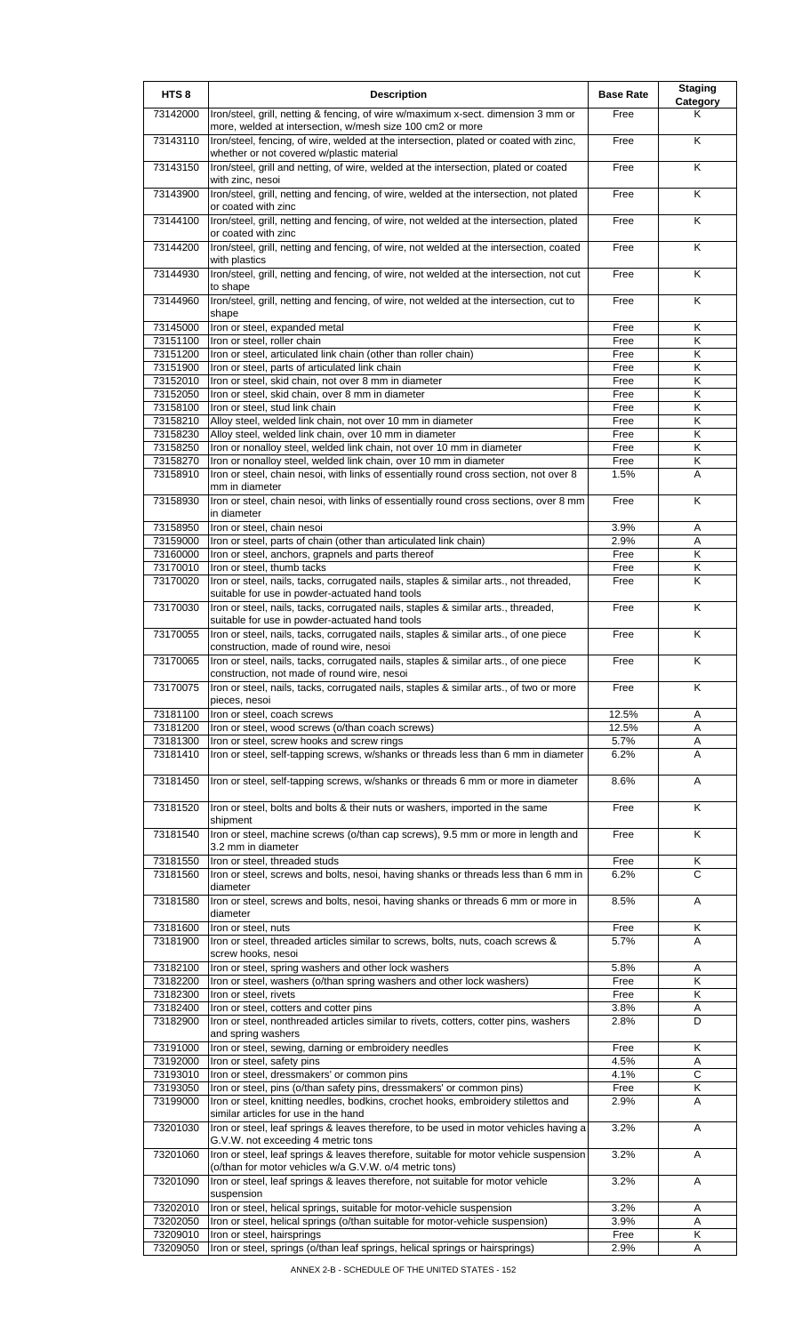| HTS <sub>8</sub>     | <b>Description</b>                                                                                                                                               | <b>Base Rate</b> | <b>Staging</b><br><b>Category</b> |
|----------------------|------------------------------------------------------------------------------------------------------------------------------------------------------------------|------------------|-----------------------------------|
| 73142000             | Iron/steel, grill, netting & fencing, of wire w/maximum x-sect. dimension 3 mm or<br>more, welded at intersection, w/mesh size 100 cm2 or more                   | Free             | Κ                                 |
| 73143110             | Iron/steel, fencing, of wire, welded at the intersection, plated or coated with zinc,<br>whether or not covered w/plastic material                               | Free             | K                                 |
| 73143150             | Iron/steel, grill and netting, of wire, welded at the intersection, plated or coated                                                                             | Free             | K                                 |
| 73143900             | with zinc, nesoi<br>Iron/steel, grill, netting and fencing, of wire, welded at the intersection, not plated                                                      | Free             | K                                 |
| 73144100             | or coated with zinc<br>Iron/steel, grill, netting and fencing, of wire, not welded at the intersection, plated<br>or coated with zinc                            | Free             | Κ                                 |
| 73144200             | Iron/steel, grill, netting and fencing, of wire, not welded at the intersection, coated<br>with plastics                                                         | Free             | Κ                                 |
| 73144930             | Iron/steel, grill, netting and fencing, of wire, not welded at the intersection, not cut<br>to shape                                                             | Free             | Κ                                 |
| 73144960             | Iron/steel, grill, netting and fencing, of wire, not welded at the intersection, cut to<br>shape                                                                 | Free             | K                                 |
| 73145000<br>73151100 | Iron or steel, expanded metal<br>Iron or steel, roller chain                                                                                                     | Free<br>Free     | Κ<br>Κ                            |
| 73151200             | Iron or steel, articulated link chain (other than roller chain)                                                                                                  | Free             | K                                 |
| 73151900             | Iron or steel, parts of articulated link chain                                                                                                                   | Free             | Κ                                 |
| 73152010             | Iron or steel, skid chain, not over 8 mm in diameter                                                                                                             | Free             | Κ                                 |
| 73152050             | Iron or steel, skid chain, over 8 mm in diameter                                                                                                                 | Free             | Κ                                 |
| 73158100             | Iron or steel, stud link chain                                                                                                                                   | Free             | Κ                                 |
| 73158210             | Alloy steel, welded link chain, not over 10 mm in diameter                                                                                                       | Free             | κ                                 |
| 73158230             | Alloy steel, welded link chain, over 10 mm in diameter                                                                                                           | Free             | Κ                                 |
| 73158250             | Iron or nonalloy steel, welded link chain, not over 10 mm in diameter                                                                                            | Free             | Κ                                 |
|                      |                                                                                                                                                                  |                  |                                   |
| 73158270<br>73158910 | Iron or nonalloy steel, welded link chain, over 10 mm in diameter<br>Iron or steel, chain nesoi, with links of essentially round cross section, not over 8       | Free<br>1.5%     | Κ<br>A                            |
| 73158930             | mm in diameter<br>Iron or steel, chain nesoi, with links of essentially round cross sections, over 8 mm                                                          | Free             | Κ                                 |
|                      | in diameter                                                                                                                                                      |                  |                                   |
| 73158950             | Iron or steel, chain nesoi                                                                                                                                       | 3.9%             | Α                                 |
| 73159000             | Iron or steel, parts of chain (other than articulated link chain)                                                                                                | 2.9%             | Α                                 |
| 73160000             | Iron or steel, anchors, grapnels and parts thereof                                                                                                               | Free             | Κ                                 |
| 73170010             | Iron or steel, thumb tacks                                                                                                                                       | Free             | Κ                                 |
| 73170020             | Iron or steel, nails, tacks, corrugated nails, staples & similar arts., not threaded,<br>suitable for use in powder-actuated hand tools                          | Free             | Κ                                 |
| 73170030             | Iron or steel, nails, tacks, corrugated nails, staples & similar arts., threaded,<br>suitable for use in powder-actuated hand tools                              | Free             | Κ                                 |
| 73170055             | Iron or steel, nails, tacks, corrugated nails, staples & similar arts., of one piece<br>construction, made of round wire, nesoi                                  | Free             | K                                 |
| 73170065             | Iron or steel, nails, tacks, corrugated nails, staples & similar arts., of one piece<br>construction, not made of round wire, nesoi                              | Free             | Κ                                 |
| 73170075             | Iron or steel, nails, tacks, corrugated nails, staples & similar arts., of two or more<br>pieces, nesoi                                                          | Free             | Κ                                 |
| 73181100             | Iron or steel, coach screws                                                                                                                                      | 12.5%            | A                                 |
| 73181200             | Iron or steel, wood screws (o/than coach screws)                                                                                                                 | 12.5%            | A                                 |
| 73181300             | Iron or steel, screw hooks and screw rings                                                                                                                       | 5.7%             | A                                 |
| 73181410             | Iron or steel, self-tapping screws, w/shanks or threads less than 6 mm in diameter                                                                               | 6.2%             | A<br>A                            |
| 73181450<br>73181520 | Iron or steel, self-tapping screws, w/shanks or threads 6 mm or more in diameter<br>Iron or steel, bolts and bolts & their nuts or washers, imported in the same | 8.6%<br>Free     | Κ                                 |
| 73181540             | shipment<br>Iron or steel, machine screws (o/than cap screws), 9.5 mm or more in length and                                                                      | Free             | Κ                                 |
| 73181550             | 3.2 mm in diameter<br>Iron or steel, threaded studs                                                                                                              | Free             | Κ                                 |
| 73181560             | Iron or steel, screws and bolts, nesoi, having shanks or threads less than 6 mm in<br>diameter                                                                   | 6.2%             | C                                 |
| 73181580             | Iron or steel, screws and bolts, nesoi, having shanks or threads 6 mm or more in<br>diameter                                                                     | 8.5%             | Α                                 |
| 73181600             | Iron or steel, nuts                                                                                                                                              | Free             | Κ                                 |
| 73181900             | Iron or steel, threaded articles similar to screws, bolts, nuts, coach screws &<br>screw hooks, nesoi                                                            | 5.7%             | A                                 |
| 73182100             | Iron or steel, spring washers and other lock washers                                                                                                             | 5.8%             | Α                                 |
| 73182200             | Iron or steel, washers (o/than spring washers and other lock washers)                                                                                            | Free             | Κ                                 |
| 73182300             | Iron or steel, rivets                                                                                                                                            | Free             | Κ                                 |
| 73182400             | Iron or steel, cotters and cotter pins                                                                                                                           | 3.8%             | Α                                 |
| 73182900             | Iron or steel, nonthreaded articles similar to rivets, cotters, cotter pins, washers<br>and spring washers                                                       | 2.8%             | D                                 |
| 73191000             | Iron or steel, sewing, darning or embroidery needles                                                                                                             | Free             | K                                 |
| 73192000             | Iron or steel, safety pins                                                                                                                                       | 4.5%             | Α                                 |
| 73193010             | Iron or steel, dressmakers' or common pins                                                                                                                       | 4.1%             | $\overline{c}$                    |
|                      |                                                                                                                                                                  |                  |                                   |
| 73193050<br>73199000 | Iron or steel, pins (o/than safety pins, dressmakers' or common pins)<br>Iron or steel, knitting needles, bodkins, crochet hooks, embroidery stilettos and       | Free<br>2.9%     | Κ<br>Α                            |
| 73201030             | similar articles for use in the hand<br>Iron or steel, leaf springs & leaves therefore, to be used in motor vehicles having a                                    | 3.2%             | Α                                 |
| 73201060             | G.V.W. not exceeding 4 metric tons<br>Iron or steel, leaf springs & leaves therefore, suitable for motor vehicle suspension                                      | 3.2%             | A                                 |
| 73201090             | (o/than for motor vehicles w/a G.V.W. o/4 metric tons)<br>Iron or steel, leaf springs & leaves therefore, not suitable for motor vehicle                         | 3.2%             | Α                                 |
| 73202010             | suspension<br>Iron or steel, helical springs, suitable for motor-vehicle suspension                                                                              | 3.2%             | Α                                 |
| 73202050             | Iron or steel, helical springs (o/than suitable for motor-vehicle suspension)                                                                                    | 3.9%             | Α                                 |
| 73209010             | Iron or steel, hairsprings                                                                                                                                       | Free             | Κ                                 |
| 73209050             | Iron or steel, springs (o/than leaf springs, helical springs or hairsprings)                                                                                     | 2.9%             | Α                                 |
|                      |                                                                                                                                                                  |                  |                                   |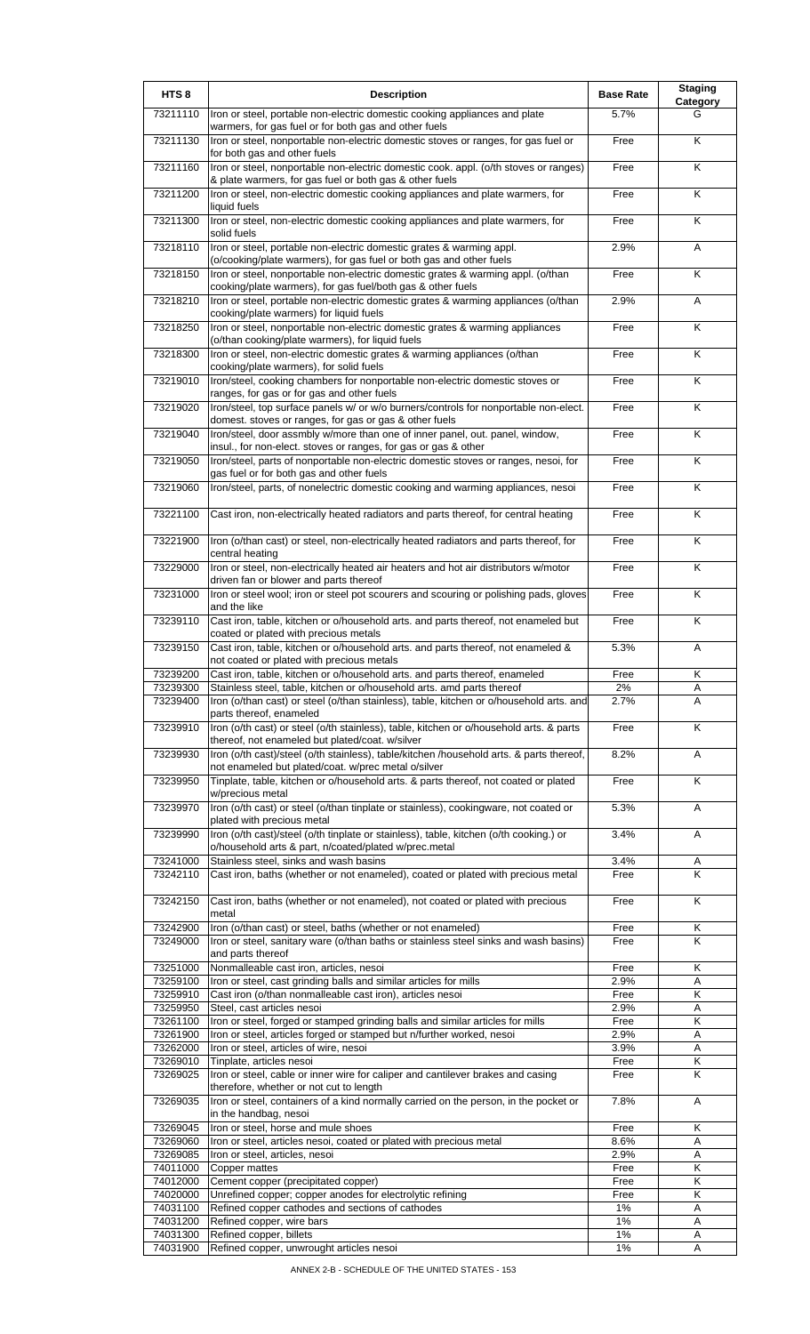| HTS <sub>8</sub>     | <b>Description</b>                                                                                                                                                | <b>Base Rate</b> | <b>Staging</b><br>Category |
|----------------------|-------------------------------------------------------------------------------------------------------------------------------------------------------------------|------------------|----------------------------|
| 73211110             | Iron or steel, portable non-electric domestic cooking appliances and plate<br>warmers, for gas fuel or for both gas and other fuels                               | 5.7%             | G                          |
| 73211130             | Iron or steel, nonportable non-electric domestic stoves or ranges, for gas fuel or<br>for both gas and other fuels                                                | Free             | K                          |
| 73211160             | Iron or steel, nonportable non-electric domestic cook. appl. (o/th stoves or ranges)<br>& plate warmers, for gas fuel or both gas & other fuels                   | Free             | K                          |
| 73211200             | Iron or steel, non-electric domestic cooking appliances and plate warmers, for<br>liquid fuels                                                                    | Free             | K                          |
| 73211300             | Iron or steel, non-electric domestic cooking appliances and plate warmers, for<br>solid fuels                                                                     | Free             | K                          |
| 73218110             | Iron or steel, portable non-electric domestic grates & warming appl.<br>(o/cooking/plate warmers), for gas fuel or both gas and other fuels                       | 2.9%             | Α                          |
| 73218150             | Iron or steel, nonportable non-electric domestic grates & warming appl. (o/than<br>cooking/plate warmers), for gas fuel/both gas & other fuels                    | Free             | K                          |
| 73218210             | Iron or steel, portable non-electric domestic grates & warming appliances (o/than<br>cooking/plate warmers) for liquid fuels                                      | 2.9%             | Α                          |
| 73218250             | Iron or steel, nonportable non-electric domestic grates & warming appliances<br>(o/than cooking/plate warmers), for liquid fuels                                  | Free             | K                          |
| 73218300             | Iron or steel, non-electric domestic grates & warming appliances (o/than<br>cooking/plate warmers), for solid fuels                                               | Free             | Κ                          |
| 73219010             | Iron/steel, cooking chambers for nonportable non-electric domestic stoves or<br>ranges, for gas or for gas and other fuels                                        | Free             | Κ                          |
| 73219020             | Iron/steel, top surface panels w/ or w/o burners/controls for nonportable non-elect.<br>domest. stoves or ranges, for gas or gas & other fuels                    | Free             | $\overline{\mathsf{K}}$    |
| 73219040             | Iron/steel, door assmbly w/more than one of inner panel, out. panel, window,<br>insul., for non-elect. stoves or ranges, for gas or gas & other                   | Free             | K                          |
| 73219050             | Iron/steel, parts of nonportable non-electric domestic stoves or ranges, nesoi, for<br>gas fuel or for both gas and other fuels                                   | Free             | Κ                          |
| 73219060             | Iron/steel, parts, of nonelectric domestic cooking and warming appliances, nesoi                                                                                  | Free             | Κ                          |
| 73221100             | Cast iron, non-electrically heated radiators and parts thereof, for central heating                                                                               | Free             | K                          |
| 73221900             | Iron (o/than cast) or steel, non-electrically heated radiators and parts thereof, for<br>central heating                                                          | Free             | Κ                          |
| 73229000             | Iron or steel, non-electrically heated air heaters and hot air distributors w/motor<br>driven fan or blower and parts thereof                                     | Free             | K                          |
| 73231000             | Iron or steel wool; iron or steel pot scourers and scouring or polishing pads, gloves<br>and the like                                                             | Free             | K                          |
| 73239110             | Cast iron, table, kitchen or o/household arts. and parts thereof, not enameled but<br>coated or plated with precious metals                                       | Free             | Κ                          |
| 73239150             | Cast iron, table, kitchen or o/household arts. and parts thereof, not enameled &<br>not coated or plated with precious metals                                     | 5.3%             | Α                          |
| 73239200             | Cast iron, table, kitchen or o/household arts. and parts thereof, enameled                                                                                        | Free             | Κ                          |
| 73239300<br>73239400 | Stainless steel, table, kitchen or o/household arts. amd parts thereof<br>Iron (o/than cast) or steel (o/than stainless), table, kitchen or o/household arts. and | 2%<br>2.7%       | Α<br>Α                     |
| 73239910             | parts thereof, enameled<br>Iron (o/th cast) or steel (o/th stainless), table, kitchen or o/household arts. & parts                                                | Free             | K                          |
| 73239930             | thereof, not enameled but plated/coat. w/silver<br>Iron (o/th cast)/steel (o/th stainless), table/kitchen /household arts. & parts thereof,                       | 8.2%             | Α                          |
| 73239950             | not enameled but plated/coat. w/prec metal o/silver<br>Tinplate, table, kitchen or o/household arts. & parts thereof, not coated or plated                        | Free             | K                          |
| 73239970             | w/precious metal<br>Iron (o/th cast) or steel (o/than tinplate or stainless), cookingware, not coated or                                                          | 5.3%             | A                          |
| 73239990             | plated with precious metal<br>Iron (o/th cast)/steel (o/th tinplate or stainless), table, kitchen (o/th cooking.) or                                              | 3.4%             | Α                          |
| 73241000             | o/household arts & part, n/coated/plated w/prec.metal<br>Stainless steel, sinks and wash basins                                                                   | 3.4%             | Α                          |
| 73242110             | Cast iron, baths (whether or not enameled), coated or plated with precious metal                                                                                  | Free             | K                          |
| 73242150             | Cast iron, baths (whether or not enameled), not coated or plated with precious<br>metal                                                                           | Free             | K                          |
| 73242900             | Iron (o/than cast) or steel, baths (whether or not enameled)                                                                                                      | Free             | Κ                          |
| 73249000             | Iron or steel, sanitary ware (o/than baths or stainless steel sinks and wash basins)<br>and parts thereof                                                         | Free             | K                          |
| 73251000             | Nonmalleable cast iron, articles, nesoi                                                                                                                           | Free             | Κ                          |
| 73259100<br>73259910 | Iron or steel, cast grinding balls and similar articles for mills<br>Cast iron (o/than nonmalleable cast iron), articles nesoi                                    | 2.9%<br>Free     | A<br>Κ                     |
| 73259950             | Steel, cast articles nesoi                                                                                                                                        | 2.9%             | Α                          |
| 73261100             | Iron or steel, forged or stamped grinding balls and similar articles for mills                                                                                    | Free             | Κ                          |
| 73261900             | Iron or steel, articles forged or stamped but n/further worked, nesoi                                                                                             | 2.9%             | Α                          |
| 73262000             | Iron or steel, articles of wire, nesoi                                                                                                                            | 3.9%             | Α                          |
| 73269010<br>73269025 | Tinplate, articles nesoi<br>Iron or steel, cable or inner wire for caliper and cantilever brakes and casing                                                       | Free<br>Free     | Κ<br>K                     |
| 73269035             | therefore, whether or not cut to length<br>Iron or steel, containers of a kind normally carried on the person, in the pocket or                                   | 7.8%             | Α                          |
| 73269045             | in the handbag, nesoi<br>Iron or steel, horse and mule shoes                                                                                                      | Free             | Κ                          |
| 73269060             | Iron or steel, articles nesoi, coated or plated with precious metal                                                                                               | 8.6%             | Α                          |
| 73269085             | Iron or steel, articles, nesoi                                                                                                                                    | 2.9%             | Α                          |
| 74011000             | Copper mattes                                                                                                                                                     | Free             | Κ                          |
| 74012000             | Cement copper (precipitated copper)                                                                                                                               | Free             | Κ                          |
| 74020000             | Unrefined copper; copper anodes for electrolytic refining                                                                                                         | Free             | K                          |
| 74031100<br>74031200 | Refined copper cathodes and sections of cathodes<br>Refined copper, wire bars                                                                                     | 1%<br>1%         | Α<br>Α                     |
| 74031300             | Refined copper, billets                                                                                                                                           | 1%               | Α                          |
| 74031900             | Refined copper, unwrought articles nesoi                                                                                                                          | 1%               | Α                          |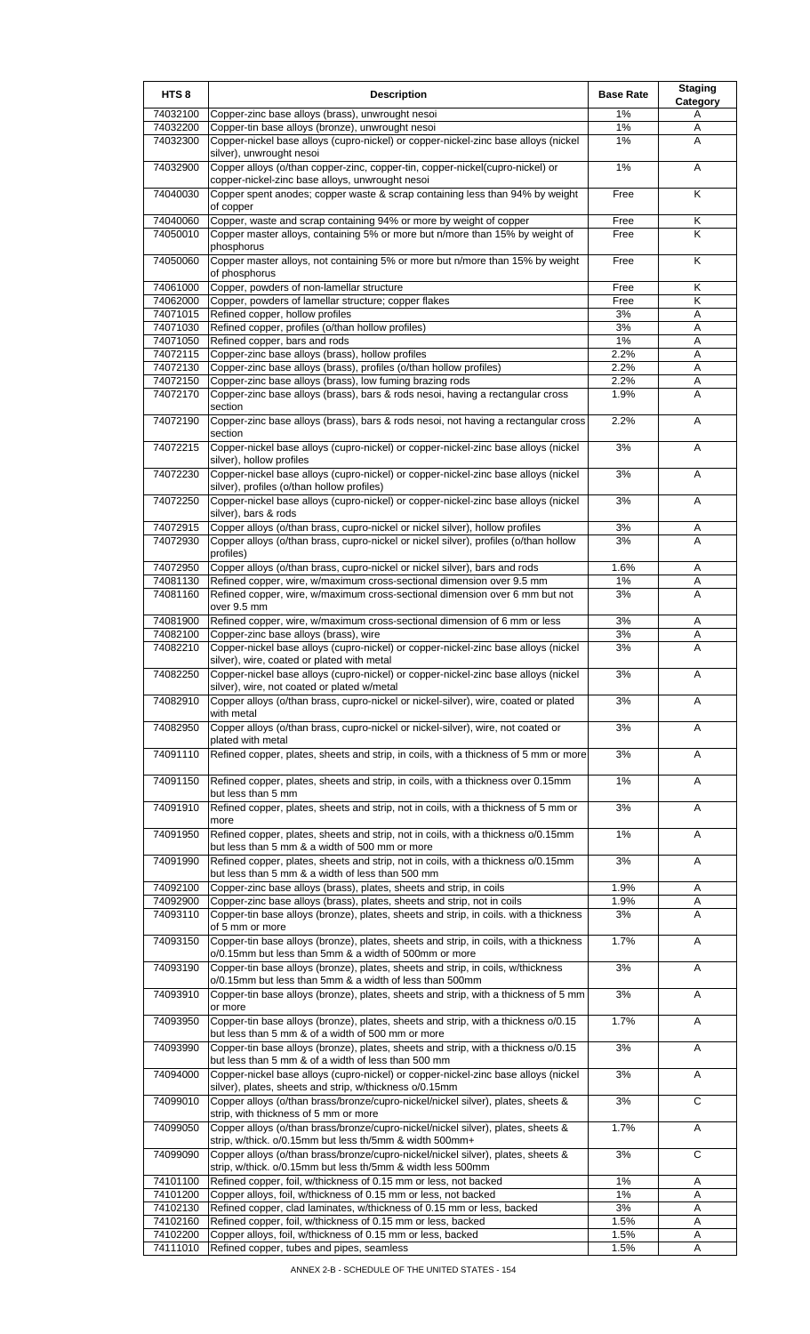| HTS <sub>8</sub>     | <b>Description</b>                                                                                                                                 | <b>Base Rate</b> | <b>Staging</b><br>Category |
|----------------------|----------------------------------------------------------------------------------------------------------------------------------------------------|------------------|----------------------------|
| 74032100             | Copper-zinc base alloys (brass), unwrought nesoi                                                                                                   | 1%               | A                          |
| 74032200             | Copper-tin base alloys (bronze), unwrought nesoi                                                                                                   | 1%               | Α                          |
| 74032300             | Copper-nickel base alloys (cupro-nickel) or copper-nickel-zinc base alloys (nickel<br>silver), unwrought nesoi                                     | 1%               | A                          |
| 74032900             | Copper alloys (o/than copper-zinc, copper-tin, copper-nickel(cupro-nickel) or                                                                      | 1%               | A                          |
| 74040030             | copper-nickel-zinc base alloys, unwrought nesoi<br>Copper spent anodes; copper waste & scrap containing less than 94% by weight                    | Free             | K                          |
|                      | of copper                                                                                                                                          |                  |                            |
| 74040060<br>74050010 | Copper, waste and scrap containing 94% or more by weight of copper<br>Copper master alloys, containing 5% or more but n/more than 15% by weight of | Free<br>Free     | Κ<br>K                     |
|                      | phosphorus                                                                                                                                         |                  |                            |
| 74050060             | Copper master alloys, not containing 5% or more but n/more than 15% by weight<br>of phosphorus                                                     | Free             | Κ                          |
| 74061000             | Copper, powders of non-lamellar structure                                                                                                          | Free             | Κ                          |
| 74062000             | Copper, powders of lamellar structure; copper flakes                                                                                               | Free             | Κ                          |
| 74071015             | Refined copper, hollow profiles                                                                                                                    | 3%               | Α                          |
| 74071030<br>74071050 | Refined copper, profiles (o/than hollow profiles)<br>Refined copper, bars and rods                                                                 | 3%<br>1%         | Α<br>Α                     |
| 74072115             | Copper-zinc base alloys (brass), hollow profiles                                                                                                   | 2.2%             | Α                          |
| 74072130             | Copper-zinc base alloys (brass), profiles (o/than hollow profiles)                                                                                 | 2.2%             | Α                          |
| 74072150             | Copper-zinc base alloys (brass), low fuming brazing rods                                                                                           | 2.2%             | Α                          |
| 74072170             | Copper-zinc base alloys (brass), bars & rods nesoi, having a rectangular cross                                                                     | 1.9%             | Α                          |
|                      | section                                                                                                                                            |                  |                            |
| 74072190             | Copper-zinc base alloys (brass), bars & rods nesoi, not having a rectangular cross<br>section                                                      | 2.2%             | A                          |
| 74072215             | Copper-nickel base alloys (cupro-nickel) or copper-nickel-zinc base alloys (nickel<br>silver), hollow profiles                                     | 3%               | Α                          |
| 74072230             | Copper-nickel base alloys (cupro-nickel) or copper-nickel-zinc base alloys (nickel                                                                 | 3%               | Α                          |
| 74072250             | silver), profiles (o/than hollow profiles)<br>Copper-nickel base alloys (cupro-nickel) or copper-nickel-zinc base alloys (nickel                   | 3%               | Α                          |
|                      | silver), bars & rods                                                                                                                               |                  |                            |
| 74072915             | Copper alloys (o/than brass, cupro-nickel or nickel silver), hollow profiles                                                                       | 3%               | Α                          |
| 74072930             | Copper alloys (o/than brass, cupro-nickel or nickel silver), profiles (o/than hollow<br>profiles)                                                  | 3%               | A                          |
| 74072950             | Copper alloys (o/than brass, cupro-nickel or nickel silver), bars and rods                                                                         | 1.6%             | Α                          |
| 74081130             | Refined copper, wire, w/maximum cross-sectional dimension over 9.5 mm                                                                              | 1%               | Α                          |
| 74081160             | Refined copper, wire, w/maximum cross-sectional dimension over 6 mm but not<br>over 9.5 mm                                                         | 3%               | A                          |
| 74081900             | Refined copper, wire, w/maximum cross-sectional dimension of 6 mm or less                                                                          | 3%               | Α                          |
| 74082100             | Copper-zinc base alloys (brass), wire                                                                                                              | 3%               | Α                          |
| 74082210             | Copper-nickel base alloys (cupro-nickel) or copper-nickel-zinc base alloys (nickel                                                                 | 3%               | A                          |
| 74082250             | silver), wire, coated or plated with metal<br>Copper-nickel base alloys (cupro-nickel) or copper-nickel-zinc base alloys (nickel                   | 3%               | A                          |
| 74082910             | silver), wire, not coated or plated w/metal<br>Copper alloys (o/than brass, cupro-nickel or nickel-silver), wire, coated or plated                 | 3%               | Α                          |
|                      | with metal                                                                                                                                         |                  |                            |
| 74082950             | Copper alloys (o/than brass, cupro-nickel or nickel-silver), wire, not coated or<br>plated with metal                                              | 3%               | Α                          |
| 74091110             | Refined copper, plates, sheets and strip, in coils, with a thickness of 5 mm or more                                                               | 3%               | Α                          |
| 74091150             | Refined copper, plates, sheets and strip, in coils, with a thickness over 0.15mm                                                                   | 1%               | Α                          |
| 74091910             | but less than 5 mm<br>Refined copper, plates, sheets and strip, not in coils, with a thickness of 5 mm or                                          | 3%               | Α                          |
| 74091950             | more<br>Refined copper, plates, sheets and strip, not in coils, with a thickness o/0.15mm                                                          | 1%               | Α                          |
|                      | but less than 5 mm & a width of 500 mm or more                                                                                                     |                  |                            |
| 74091990             | Refined copper, plates, sheets and strip, not in coils, with a thickness o/0.15mm<br>but less than 5 mm & a width of less than 500 mm              | 3%               | Α                          |
| 74092100             | Copper-zinc base alloys (brass), plates, sheets and strip, in coils                                                                                | 1.9%             | Α                          |
| 74092900             | Copper-zinc base alloys (brass), plates, sheets and strip, not in coils                                                                            | 1.9%             | Α                          |
| 74093110             | Copper-tin base alloys (bronze), plates, sheets and strip, in coils. with a thickness<br>of 5 mm or more                                           | 3%               | A                          |
| 74093150             | Copper-tin base alloys (bronze), plates, sheets and strip, in coils, with a thickness<br>o/0.15mm but less than 5mm & a width of 500mm or more     | 1.7%             | Α                          |
| 74093190             | Copper-tin base alloys (bronze), plates, sheets and strip, in coils, w/thickness                                                                   | 3%               | Α                          |
| 74093910             | o/0.15mm but less than 5mm & a width of less than 500mm<br>Copper-tin base alloys (bronze), plates, sheets and strip, with a thickness of 5 mm     | 3%               | Α                          |
| 74093950             | or more<br>Copper-tin base alloys (bronze), plates, sheets and strip, with a thickness o/0.15                                                      | 1.7%             | Α                          |
| 74093990             | but less than 5 mm & of a width of 500 mm or more<br>Copper-tin base alloys (bronze), plates, sheets and strip, with a thickness o/0.15            | 3%               | Α                          |
|                      | but less than 5 mm & of a width of less than 500 mm                                                                                                |                  |                            |
| 74094000             | Copper-nickel base alloys (cupro-nickel) or copper-nickel-zinc base alloys (nickel<br>silver), plates, sheets and strip, w/thickness o/0.15mm      | 3%               | Α                          |
| 74099010             | Copper alloys (o/than brass/bronze/cupro-nickel/nickel silver), plates, sheets &<br>strip, with thickness of 5 mm or more                          | 3%               | C                          |
| 74099050             | Copper alloys (o/than brass/bronze/cupro-nickel/nickel silver), plates, sheets &                                                                   | 1.7%             | Α                          |
| 74099090             | strip, w/thick. o/0.15mm but less th/5mm & width 500mm+<br>Copper alloys (o/than brass/bronze/cupro-nickel/nickel silver), plates, sheets &        | 3%               | C                          |
|                      | strip, w/thick. o/0.15mm but less th/5mm & width less 500mm                                                                                        |                  |                            |
| 74101100             | Refined copper, foil, w/thickness of 0.15 mm or less, not backed                                                                                   | 1%               | Α                          |
| 74101200<br>74102130 | Copper alloys, foil, w/thickness of 0.15 mm or less, not backed<br>Refined copper, clad laminates, w/thickness of 0.15 mm or less, backed          | $1\%$<br>3%      | Α<br>Α                     |
| 74102160             | Refined copper, foil, w/thickness of 0.15 mm or less, backed                                                                                       | 1.5%             | Α                          |
| 74102200             | Copper alloys, foil, w/thickness of 0.15 mm or less, backed                                                                                        | 1.5%             | Α                          |
| 74111010             | Refined copper, tubes and pipes, seamless                                                                                                          | 1.5%             | Α                          |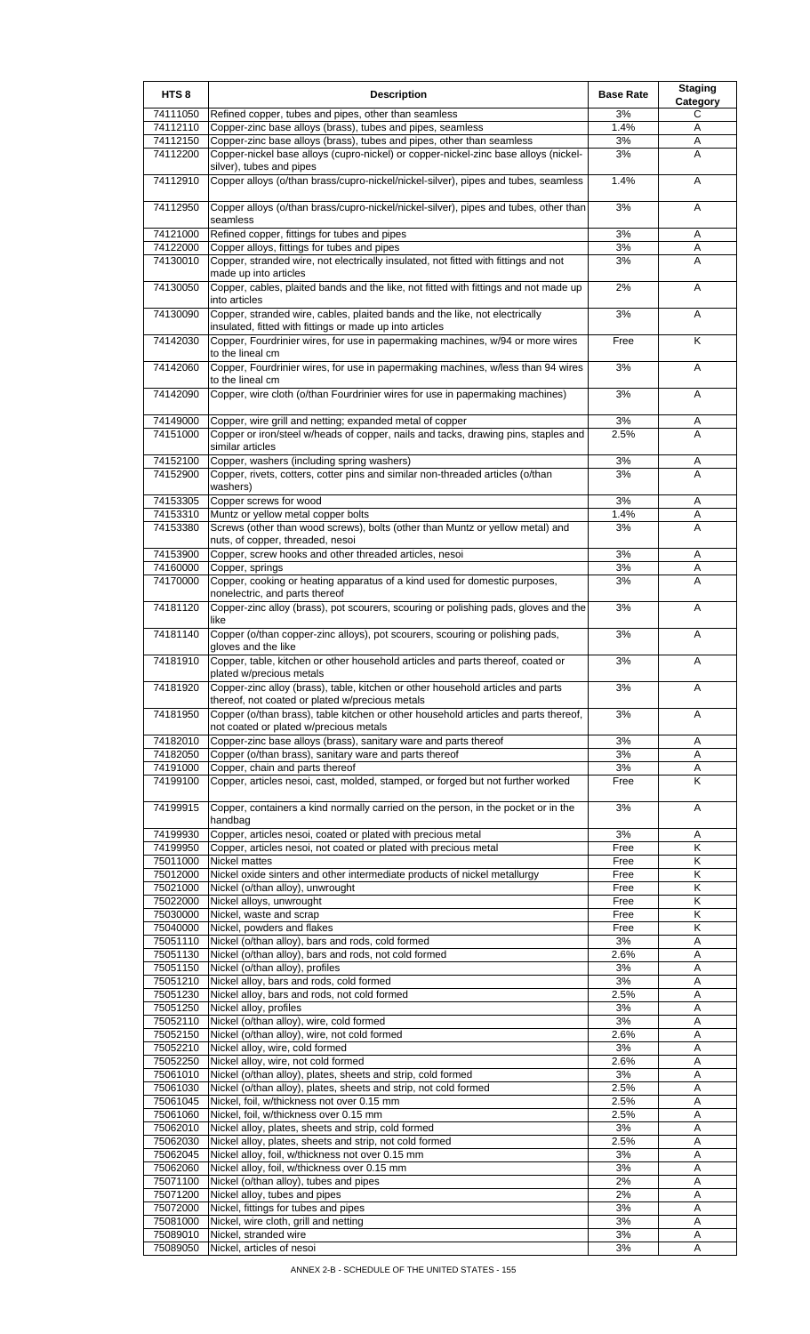| HTS <sub>8</sub>     | <b>Description</b>                                                                                                                                                                             | <b>Base Rate</b> | <b>Staging</b><br>Category |
|----------------------|------------------------------------------------------------------------------------------------------------------------------------------------------------------------------------------------|------------------|----------------------------|
| 74111050             | Refined copper, tubes and pipes, other than seamless                                                                                                                                           | 3%               | С                          |
| 74112110<br>74112150 | Copper-zinc base alloys (brass), tubes and pipes, seamless<br>Copper-zinc base alloys (brass), tubes and pipes, other than seamless                                                            | 1.4%<br>3%       | Α<br>Α                     |
| 74112200             | Copper-nickel base alloys (cupro-nickel) or copper-nickel-zinc base alloys (nickel-<br>silver), tubes and pipes                                                                                | 3%               | Α                          |
| 74112910             | Copper alloys (o/than brass/cupro-nickel/nickel-silver), pipes and tubes, seamless                                                                                                             | 1.4%             | A                          |
| 74112950             | Copper alloys (o/than brass/cupro-nickel/nickel-silver), pipes and tubes, other than<br>seamless                                                                                               | 3%               | Α                          |
| 74121000             | Refined copper, fittings for tubes and pipes                                                                                                                                                   | 3%               | Α                          |
| 74122000<br>74130010 | Copper alloys, fittings for tubes and pipes<br>Copper, stranded wire, not electrically insulated, not fitted with fittings and not<br>made up into articles                                    | 3%<br>3%         | Α<br>Α                     |
| 74130050             | Copper, cables, plaited bands and the like, not fitted with fittings and not made up<br>into articles                                                                                          | 2%               | Α                          |
| 74130090             | Copper, stranded wire, cables, plaited bands and the like, not electrically<br>insulated, fitted with fittings or made up into articles                                                        | 3%               | A                          |
| 74142030             | Copper, Fourdrinier wires, for use in papermaking machines, w/94 or more wires<br>to the lineal cm                                                                                             | Free             | Κ                          |
| 74142060             | Copper, Fourdrinier wires, for use in papermaking machines, w/less than 94 wires<br>to the lineal cm                                                                                           | 3%               | Α                          |
| 74142090             | Copper, wire cloth (o/than Fourdrinier wires for use in papermaking machines)                                                                                                                  | 3%               | Α                          |
| 74149000<br>74151000 | Copper, wire grill and netting; expanded metal of copper<br>Copper or iron/steel w/heads of copper, nails and tacks, drawing pins, staples and                                                 | 3%<br>2.5%       | Α<br>А                     |
|                      | similar articles                                                                                                                                                                               |                  |                            |
| 74152100             | Copper, washers (including spring washers)                                                                                                                                                     | 3%               | Α                          |
| 74152900             | Copper, rivets, cotters, cotter pins and similar non-threaded articles (o/than<br>washers)                                                                                                     | 3%               | A                          |
| 74153305<br>74153310 | Copper screws for wood<br>Muntz or yellow metal copper bolts                                                                                                                                   | 3%<br>1.4%       | Α<br>Α                     |
| 74153380             | Screws (other than wood screws), bolts (other than Muntz or yellow metal) and<br>nuts, of copper, threaded, nesoi                                                                              | 3%               | A                          |
| 74153900             | Copper, screw hooks and other threaded articles, nesoi                                                                                                                                         | 3%               | Α                          |
| 74160000             | Copper, springs                                                                                                                                                                                | 3%               | Α                          |
| 74170000             | Copper, cooking or heating apparatus of a kind used for domestic purposes,<br>nonelectric, and parts thereof                                                                                   | 3%               | A                          |
| 74181120             | Copper-zinc alloy (brass), pot scourers, scouring or polishing pads, gloves and the<br>like                                                                                                    | 3%               | A                          |
| 74181140             | Copper (o/than copper-zinc alloys), pot scourers, scouring or polishing pads,<br>gloves and the like                                                                                           | 3%               | Α                          |
| 74181910<br>74181920 | Copper, table, kitchen or other household articles and parts thereof, coated or<br>plated w/precious metals<br>Copper-zinc alloy (brass), table, kitchen or other household articles and parts | 3%<br>3%         | A<br>Α                     |
| 74181950             | thereof, not coated or plated w/precious metals<br>Copper (o/than brass), table kitchen or other household articles and parts thereof,                                                         | 3%               | Α                          |
| 74182010             | not coated or plated w/precious metals<br>Copper-zinc base alloys (brass), sanitary ware and parts thereof                                                                                     | 3%               | Α                          |
| 74182050             | Copper (o/than brass), sanitary ware and parts thereof                                                                                                                                         | 3%               | A                          |
| 74191000             | Copper, chain and parts thereof                                                                                                                                                                | 3%               | Α                          |
| 74199100             | Copper, articles nesoi, cast, molded, stamped, or forged but not further worked                                                                                                                | Free             | Κ                          |
| 74199915             | Copper, containers a kind normally carried on the person, in the pocket or in the<br>handbag                                                                                                   | 3%<br>3%         | Α                          |
| 74199930<br>74199950 | Copper, articles nesoi, coated or plated with precious metal<br>Copper, articles nesoi, not coated or plated with precious metal                                                               | Free             | Α<br>Κ                     |
| 75011000             | <b>Nickel mattes</b>                                                                                                                                                                           | Free             | κ                          |
| 75012000             | Nickel oxide sinters and other intermediate products of nickel metallurgy                                                                                                                      | Free             | κ                          |
| 75021000             | Nickel (o/than alloy), unwrought                                                                                                                                                               | Free             | Κ<br>Κ                     |
| 75022000<br>75030000 | Nickel alloys, unwrought<br>Nickel, waste and scrap                                                                                                                                            | Free<br>Free     | Κ                          |
| 75040000             | Nickel, powders and flakes                                                                                                                                                                     | Free             | Κ                          |
| 75051110             | Nickel (o/than alloy), bars and rods, cold formed                                                                                                                                              | 3%               | Α                          |
| 75051130             | Nickel (o/than alloy), bars and rods, not cold formed                                                                                                                                          | 2.6%             | Α                          |
| 75051150<br>75051210 | Nickel (o/than alloy), profiles<br>Nickel alloy, bars and rods, cold formed                                                                                                                    | 3%<br>3%         | Α<br>Α                     |
| 75051230             | Nickel alloy, bars and rods, not cold formed                                                                                                                                                   | 2.5%             | Α                          |
| 75051250             | Nickel alloy, profiles                                                                                                                                                                         | 3%               | Α                          |
| 75052110             | Nickel (o/than alloy), wire, cold formed                                                                                                                                                       | 3%               | A                          |
| 75052150             | Nickel (o/than alloy), wire, not cold formed                                                                                                                                                   | 2.6%             | Α                          |
| 75052210<br>75052250 | Nickel alloy, wire, cold formed<br>Nickel alloy, wire, not cold formed                                                                                                                         | 3%<br>2.6%       | Α<br>Α                     |
| 75061010             | Nickel (o/than alloy), plates, sheets and strip, cold formed                                                                                                                                   | 3%               | Α                          |
| 75061030             | Nickel (o/than alloy), plates, sheets and strip, not cold formed                                                                                                                               | 2.5%             | Α                          |
| 75061045             | Nickel, foil, w/thickness not over 0.15 mm                                                                                                                                                     | 2.5%             | Α                          |
| 75061060             | Nickel, foil, w/thickness over 0.15 mm                                                                                                                                                         | 2.5%             | Α                          |
| 75062010<br>75062030 | Nickel alloy, plates, sheets and strip, cold formed<br>Nickel alloy, plates, sheets and strip, not cold formed                                                                                 | 3%<br>2.5%       | Α<br>Α                     |
| 75062045             | Nickel alloy, foil, w/thickness not over 0.15 mm                                                                                                                                               | 3%               | Α                          |
| 75062060             | Nickel alloy, foil, w/thickness over 0.15 mm                                                                                                                                                   | 3%               | Α                          |
| 75071100             | Nickel (o/than alloy), tubes and pipes                                                                                                                                                         | 2%               | A                          |
| 75071200             | Nickel alloy, tubes and pipes                                                                                                                                                                  | 2%               | Α                          |
| 75072000<br>75081000 | Nickel, fittings for tubes and pipes<br>Nickel, wire cloth, grill and netting                                                                                                                  | 3%<br>3%         | Α<br>Α                     |
| 75089010             | Nickel, stranded wire                                                                                                                                                                          | 3%               | Α                          |
| 75089050             | Nickel, articles of nesoi                                                                                                                                                                      | 3%               | Α                          |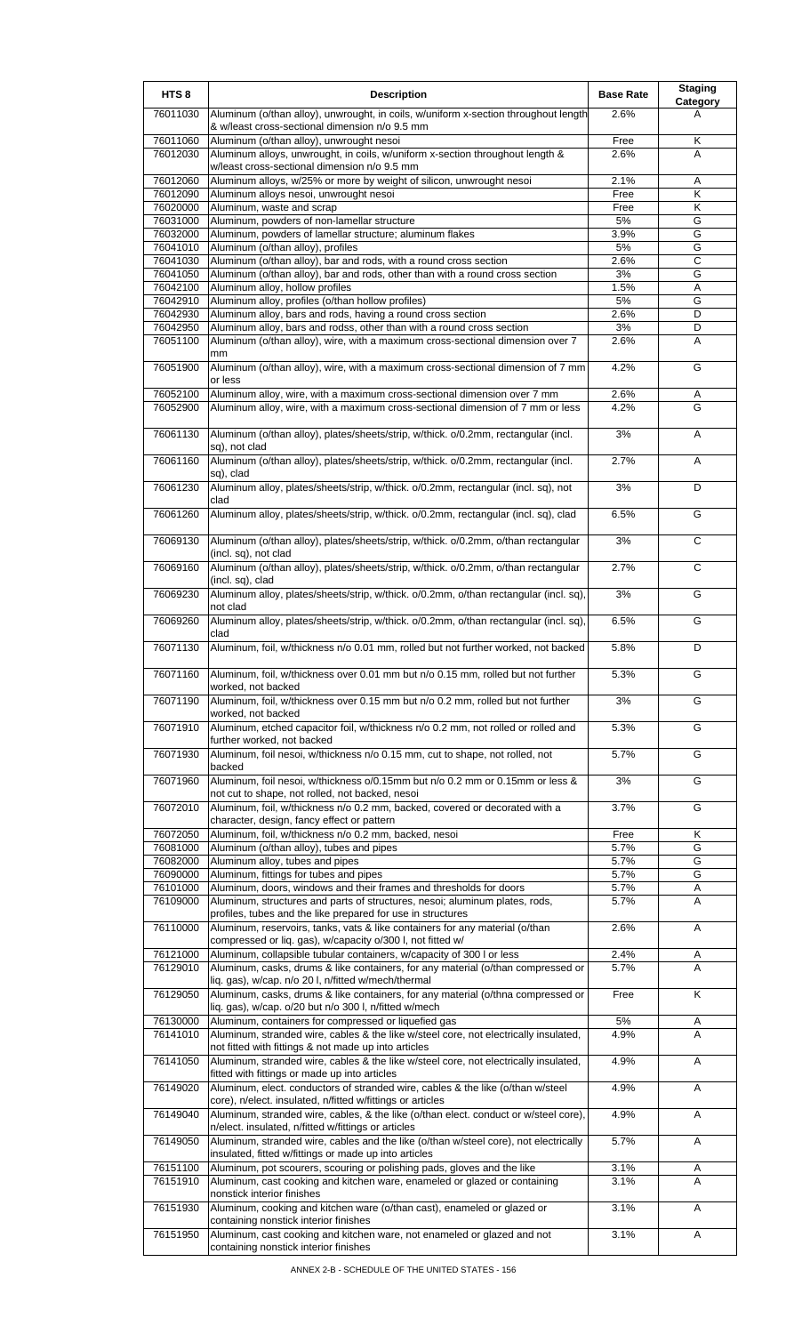| HTS <sub>8</sub>     | <b>Description</b>                                                                                                                                                                                                                    | <b>Base Rate</b> | <b>Staging</b><br><b>Category</b> |
|----------------------|---------------------------------------------------------------------------------------------------------------------------------------------------------------------------------------------------------------------------------------|------------------|-----------------------------------|
| 76011030             | Aluminum (o/than alloy), unwrought, in coils, w/uniform x-section throughout length<br>& w/least cross-sectional dimension n/o 9.5 mm                                                                                                 | 2.6%             | A                                 |
| 76011060             | Aluminum (o/than alloy), unwrought nesoi                                                                                                                                                                                              | Free             | Κ                                 |
| 76012030             | Aluminum alloys, unwrought, in coils, w/uniform x-section throughout length &<br>w/least cross-sectional dimension n/o 9.5 mm                                                                                                         | 2.6%             | A                                 |
| 76012060             | Aluminum alloys, w/25% or more by weight of silicon, unwrought nesoi                                                                                                                                                                  | 2.1%             | Α                                 |
| 76012090             | Aluminum alloys nesoi, unwrought nesoi                                                                                                                                                                                                | Free             | K                                 |
| 76020000             | Aluminum, waste and scrap                                                                                                                                                                                                             | Free             | Κ<br>G                            |
| 76031000<br>76032000 | Aluminum, powders of non-lamellar structure<br>Aluminum, powders of lamellar structure; aluminum flakes                                                                                                                               | 5%<br>3.9%       | G                                 |
| 76041010             | Aluminum (o/than alloy), profiles                                                                                                                                                                                                     | 5%               | G                                 |
| 76041030             | Aluminum (o/than alloy), bar and rods, with a round cross section                                                                                                                                                                     | 2.6%             | $\overline{C}$                    |
| 76041050<br>76042100 | Aluminum (o/than alloy), bar and rods, other than with a round cross section<br>Aluminum alloy, hollow profiles                                                                                                                       | 3%<br>1.5%       | G<br>Α                            |
| 76042910             | Aluminum alloy, profiles (o/than hollow profiles)                                                                                                                                                                                     | 5%               | G                                 |
| 76042930             | Aluminum alloy, bars and rods, having a round cross section                                                                                                                                                                           | 2.6%             | D                                 |
| 76042950<br>76051100 | Aluminum alloy, bars and rodss, other than with a round cross section<br>Aluminum (o/than alloy), wire, with a maximum cross-sectional dimension over 7                                                                               | 3%<br>2.6%       | D<br>A                            |
|                      | mm                                                                                                                                                                                                                                    |                  |                                   |
| 76051900             | Aluminum (o/than alloy), wire, with a maximum cross-sectional dimension of 7 mm<br>or less                                                                                                                                            | 4.2%             | G                                 |
| 76052100             | Aluminum alloy, wire, with a maximum cross-sectional dimension over 7 mm                                                                                                                                                              | 2.6%             | Α                                 |
| 76052900             | Aluminum alloy, wire, with a maximum cross-sectional dimension of 7 mm or less                                                                                                                                                        | 4.2%             | G                                 |
| 76061130             | Aluminum (o/than alloy), plates/sheets/strip, w/thick. o/0.2mm, rectangular (incl.<br>sq), not clad                                                                                                                                   | 3%               | A                                 |
| 76061160             | Aluminum (o/than alloy), plates/sheets/strip, w/thick. o/0.2mm, rectangular (incl.<br>sq), clad                                                                                                                                       | 2.7%             | Α                                 |
| 76061230             | Aluminum alloy, plates/sheets/strip, w/thick. o/0.2mm, rectangular (incl. sq), not<br>clad                                                                                                                                            | 3%               | D                                 |
| 76061260             | Aluminum alloy, plates/sheets/strip, w/thick. o/0.2mm, rectangular (incl. sq), clad                                                                                                                                                   | 6.5%             | G                                 |
| 76069130             | Aluminum (o/than alloy), plates/sheets/strip, w/thick. o/0.2mm, o/than rectangular<br>(incl. sq), not clad                                                                                                                            | 3%               | C                                 |
| 76069160             | Aluminum (o/than alloy), plates/sheets/strip, w/thick. o/0.2mm, o/than rectangular<br>(incl. sq), clad                                                                                                                                | 2.7%             | C                                 |
| 76069230             | Aluminum alloy, plates/sheets/strip, w/thick. o/0.2mm, o/than rectangular (incl. sq),<br>not clad                                                                                                                                     | 3%               | G                                 |
| 76069260             | Aluminum alloy, plates/sheets/strip, w/thick. o/0.2mm, o/than rectangular (incl. sq),<br>clad                                                                                                                                         | 6.5%             | G                                 |
| 76071130             | Aluminum, foil, w/thickness n/o 0.01 mm, rolled but not further worked, not backed                                                                                                                                                    | 5.8%             | D                                 |
| 76071160             | Aluminum, foil, w/thickness over 0.01 mm but n/o 0.15 mm, rolled but not further<br>worked, not backed                                                                                                                                | 5.3%             | G                                 |
| 76071190             | Aluminum, foil, w/thickness over 0.15 mm but n/o 0.2 mm, rolled but not further<br>worked, not backed                                                                                                                                 | 3%               | G                                 |
| 76071910             | Aluminum, etched capacitor foil, w/thickness n/o 0.2 mm, not rolled or rolled and<br>further worked, not backed                                                                                                                       | 5.3%             | G                                 |
| 76071930             | Aluminum, foil nesoi, w/thickness n/o 0.15 mm, cut to shape, not rolled, not<br>backed                                                                                                                                                | 5.7%             | G                                 |
| 76071960             | Aluminum, foil nesoi, w/thickness o/0.15mm but n/o 0.2 mm or 0.15mm or less &<br>not cut to shape, not rolled, not backed, nesoi                                                                                                      | 3%               | G                                 |
| 76072010             | Aluminum, foil, w/thickness n/o 0.2 mm, backed, covered or decorated with a<br>character, design, fancy effect or pattern                                                                                                             | 3.7%             | G                                 |
| 76072050             | Aluminum, foil, w/thickness n/o 0.2 mm, backed, nesoi                                                                                                                                                                                 | Free<br>5.7%     | Κ<br>G                            |
| 76081000<br>76082000 | Aluminum (o/than alloy), tubes and pipes<br>Aluminum alloy, tubes and pipes                                                                                                                                                           | 5.7%             | G                                 |
| 76090000             | Aluminum, fittings for tubes and pipes                                                                                                                                                                                                | 5.7%             | G                                 |
| 76101000             | Aluminum, doors, windows and their frames and thresholds for doors                                                                                                                                                                    | 5.7%             | Α                                 |
| 76109000             | Aluminum, structures and parts of structures, nesoi; aluminum plates, rods,<br>profiles, tubes and the like prepared for use in structures                                                                                            | 5.7%             | A                                 |
| 76110000             | Aluminum, reservoirs, tanks, vats & like containers for any material (o/than<br>compressed or liq. gas), w/capacity o/300 l, not fitted w/                                                                                            | 2.6%             | Α                                 |
| 76121000<br>76129010 | Aluminum, collapsible tubular containers, w/capacity of 300 l or less<br>Aluminum, casks, drums & like containers, for any material (o/than compressed or                                                                             | 2.4%<br>5.7%     | Α<br>Α                            |
| 76129050             | liq. gas), w/cap. n/o 20 l, n/fitted w/mech/thermal<br>Aluminum, casks, drums & like containers, for any material (o/thna compressed or                                                                                               | Free             | Κ                                 |
|                      | liq. gas), w/cap. o/20 but n/o 300 l, n/fitted w/mech                                                                                                                                                                                 |                  |                                   |
| 76130000<br>76141010 | Aluminum, containers for compressed or liquefied gas<br>Aluminum, stranded wire, cables & the like w/steel core, not electrically insulated,                                                                                          | 5%<br>4.9%       | A<br>A                            |
| 76141050             | not fitted with fittings & not made up into articles                                                                                                                                                                                  | 4.9%             |                                   |
| 76149020             | Aluminum, stranded wire, cables & the like w/steel core, not electrically insulated,<br>fitted with fittings or made up into articles                                                                                                 | 4.9%             | Α                                 |
| 76149040             | Aluminum, elect. conductors of stranded wire, cables & the like (o/than w/steel<br>core), n/elect. insulated, n/fitted w/fittings or articles<br>Aluminum, stranded wire, cables, & the like (o/than elect. conduct or w/steel core), | 4.9%             | Α                                 |
|                      | n/elect. insulated, n/fitted w/fittings or articles                                                                                                                                                                                   |                  | Α                                 |
| 76149050             | Aluminum, stranded wire, cables and the like (o/than w/steel core), not electrically<br>insulated, fitted w/fittings or made up into articles                                                                                         | 5.7%             | Α                                 |
| 76151100<br>76151910 | Aluminum, pot scourers, scouring or polishing pads, gloves and the like<br>Aluminum, cast cooking and kitchen ware, enameled or glazed or containing                                                                                  | 3.1%<br>3.1%     | A<br>A                            |
| 76151930             | nonstick interior finishes<br>Aluminum, cooking and kitchen ware (o/than cast), enameled or glazed or                                                                                                                                 | 3.1%             | Α                                 |
| 76151950             | containing nonstick interior finishes<br>Aluminum, cast cooking and kitchen ware, not enameled or glazed and not                                                                                                                      | 3.1%             | Α                                 |
|                      | containing nonstick interior finishes                                                                                                                                                                                                 |                  |                                   |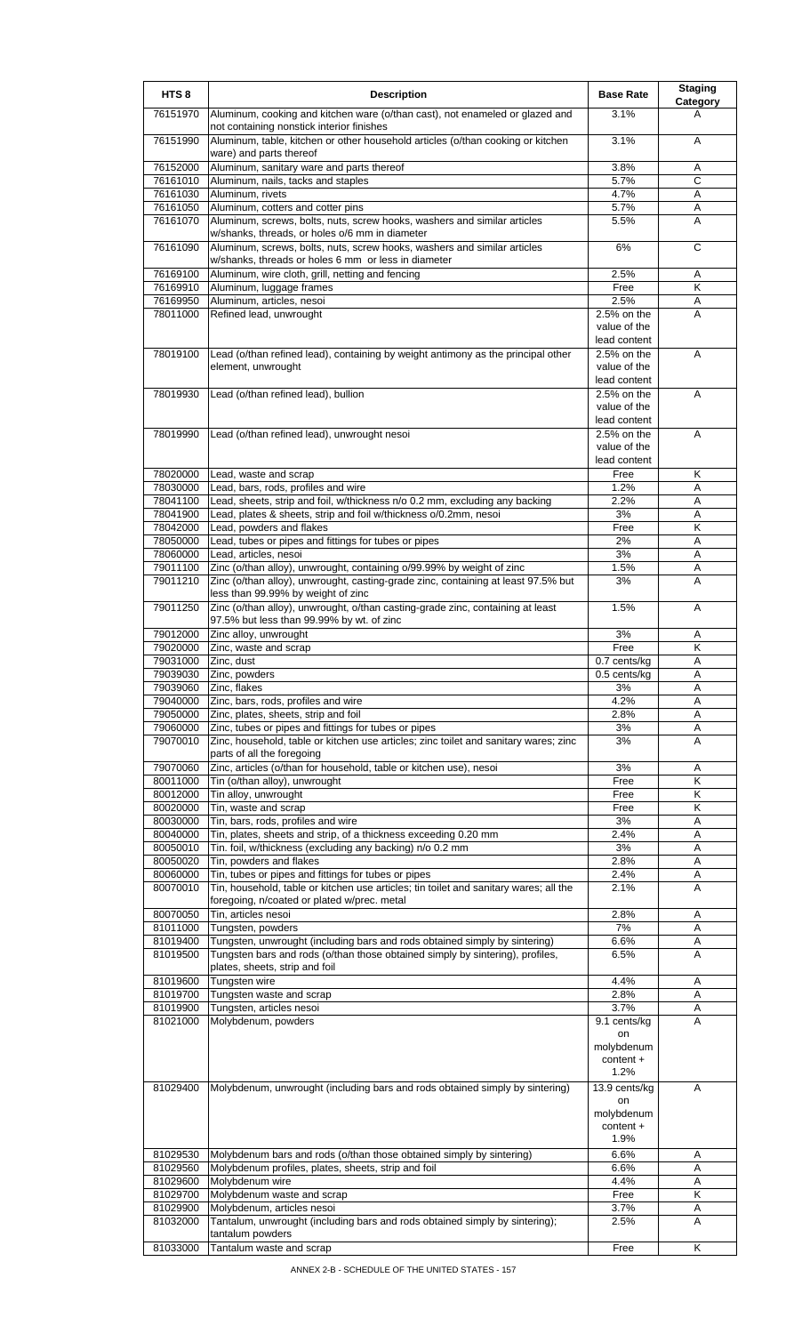| HTS <sub>8</sub>     | <b>Description</b>                                                                                                                                                                | <b>Base Rate</b>                               | <b>Staging</b><br>Category |
|----------------------|-----------------------------------------------------------------------------------------------------------------------------------------------------------------------------------|------------------------------------------------|----------------------------|
| 76151970             | Aluminum, cooking and kitchen ware (o/than cast), not enameled or glazed and<br>not containing nonstick interior finishes                                                         | 3.1%                                           | A                          |
| 76151990             | Aluminum, table, kitchen or other household articles (o/than cooking or kitchen<br>ware) and parts thereof                                                                        | 3.1%                                           | A                          |
| 76152000             | Aluminum, sanitary ware and parts thereof                                                                                                                                         | 3.8%                                           | A                          |
| 76161010             | Aluminum, nails, tacks and staples                                                                                                                                                | 5.7%                                           | C                          |
| 76161030             | Aluminum, rivets                                                                                                                                                                  | 4.7%                                           | A                          |
| 76161050             | Aluminum, cotters and cotter pins                                                                                                                                                 | 5.7%                                           | Α                          |
| 76161070             | Aluminum, screws, bolts, nuts, screw hooks, washers and similar articles                                                                                                          | 5.5%                                           | A                          |
| 76161090             | w/shanks, threads, or holes o/6 mm in diameter<br>Aluminum, screws, bolts, nuts, screw hooks, washers and similar articles<br>w/shanks, threads or holes 6 mm or less in diameter | 6%                                             | C                          |
| 76169100             | Aluminum, wire cloth, grill, netting and fencing                                                                                                                                  | 2.5%                                           | A                          |
| 76169910             | Aluminum, luggage frames                                                                                                                                                          | Free                                           | K                          |
| 76169950             | Aluminum, articles, nesoi                                                                                                                                                         | 2.5%                                           | Α                          |
| 78011000             | Refined lead, unwrought                                                                                                                                                           | 2.5% on the                                    | A                          |
|                      |                                                                                                                                                                                   | value of the<br>lead content                   |                            |
| 78019100             | Lead (o/than refined lead), containing by weight antimony as the principal other<br>element, unwrought                                                                            | 2.5% on the<br>value of the<br>lead content    | A                          |
| 78019930             | Lead (o/than refined lead), bullion                                                                                                                                               | 2.5% on the                                    | A                          |
|                      |                                                                                                                                                                                   | value of the<br>lead content                   |                            |
| 78019990             | Lead (o/than refined lead), unwrought nesoi                                                                                                                                       | 2.5% on the                                    | A                          |
|                      |                                                                                                                                                                                   | value of the<br>lead content                   |                            |
| 78020000             | Lead, waste and scrap                                                                                                                                                             | Free                                           | Κ                          |
| 78030000             | Lead, bars, rods, profiles and wire                                                                                                                                               | 1.2%                                           | Α                          |
| 78041100             | Lead, sheets, strip and foil, w/thickness n/o 0.2 mm, excluding any backing                                                                                                       | 2.2%                                           | A                          |
| 78041900<br>78042000 | Lead, plates & sheets, strip and foil w/thickness o/0.2mm, nesoi<br>Lead, powders and flakes                                                                                      | 3%<br>Free                                     | A<br>Κ                     |
| 78050000             | Lead, tubes or pipes and fittings for tubes or pipes                                                                                                                              | 2%                                             | Α                          |
| 78060000             | Lead, articles, nesoi                                                                                                                                                             | 3%                                             | A                          |
| 79011100             | Zinc (o/than alloy), unwrought, containing o/99.99% by weight of zinc                                                                                                             | 1.5%                                           | A                          |
| 79011210             | Zinc (o/than alloy), unwrought, casting-grade zinc, containing at least 97.5% but<br>less than 99.99% by weight of zinc                                                           | 3%                                             | A                          |
| 79011250             | Zinc (o/than alloy), unwrought, o/than casting-grade zinc, containing at least<br>97.5% but less than 99.99% by wt. of zinc                                                       | 1.5%                                           | A                          |
| 79012000             | Zinc alloy, unwrought                                                                                                                                                             | 3%                                             | Α                          |
| 79020000             | Zinc, waste and scrap                                                                                                                                                             | Free                                           | $\overline{\mathsf{K}}$    |
| 79031000             | Zinc, dust                                                                                                                                                                        | 0.7 cents/kg                                   | Α                          |
| 79039030             | Zinc, powders                                                                                                                                                                     | $0.5$ cents/kg                                 | A                          |
| 79039060<br>79040000 | Zinc, flakes<br>Zinc, bars, rods, profiles and wire                                                                                                                               | 3%<br>4.2%                                     | A<br>Α                     |
| 79050000             | Zinc, plates, sheets, strip and foil                                                                                                                                              | 2.8%                                           | Α                          |
| 79060000             | Zinc, tubes or pipes and fittings for tubes or pipes                                                                                                                              | 3%                                             | Α                          |
| 79070010             | Zinc, household, table or kitchen use articles; zinc toilet and sanitary wares; zinc<br>parts of all the foregoing                                                                | 3%                                             | Α                          |
| 79070060             | Zinc, articles (o/than for household, table or kitchen use), nesoi                                                                                                                | 3%                                             | Α                          |
| 80011000             | Tin (o/than alloy), unwrought                                                                                                                                                     | Free                                           | Κ                          |
| 80012000             | Tin alloy, unwrought                                                                                                                                                              | Free                                           | Κ                          |
| 80020000<br>80030000 | Tin, waste and scrap<br>Tin, bars, rods, profiles and wire                                                                                                                        | Free<br>3%                                     | K<br>A                     |
| 80040000             | Tin, plates, sheets and strip, of a thickness exceeding 0.20 mm                                                                                                                   | 2.4%                                           | Α                          |
| 80050010             | Tin. foil, w/thickness (excluding any backing) n/o 0.2 mm                                                                                                                         | 3%                                             | A                          |
| 80050020             | Tin, powders and flakes                                                                                                                                                           | 2.8%                                           | Α                          |
| 80060000             | Tin, tubes or pipes and fittings for tubes or pipes                                                                                                                               | 2.4%                                           | Α                          |
| 80070010             | Tin, household, table or kitchen use articles; tin toilet and sanitary wares; all the<br>foregoing, n/coated or plated w/prec. metal                                              | 2.1%                                           | A                          |
| 80070050             | Tin, articles nesoi                                                                                                                                                               | 2.8%                                           | A                          |
| 81011000             | Tungsten, powders                                                                                                                                                                 | 7%                                             | A                          |
| 81019400             | Tungsten, unwrought (including bars and rods obtained simply by sintering)                                                                                                        | 6.6%                                           | Α                          |
| 81019500             | Tungsten bars and rods (o/than those obtained simply by sintering), profiles,<br>plates, sheets, strip and foil                                                                   | 6.5%                                           | A                          |
| 81019600<br>81019700 | Tungsten wire<br>Tungsten waste and scrap                                                                                                                                         | 4.4%<br>2.8%                                   | A<br>Α                     |
| 81019900             | Tungsten, articles nesoi                                                                                                                                                          | 3.7%                                           | Α                          |
| 81021000             | Molybdenum, powders                                                                                                                                                               | 9.1 cents/kg                                   | A                          |
|                      |                                                                                                                                                                                   | on<br>molybdenum<br>content +<br>1.2%          |                            |
| 81029400             | Molybdenum, unwrought (including bars and rods obtained simply by sintering)                                                                                                      | 13.9 cents/kg<br>on<br>molybdenum<br>content + | A                          |
|                      |                                                                                                                                                                                   | 1.9%                                           |                            |
| 81029530<br>81029560 | Molybdenum bars and rods (o/than those obtained simply by sintering)                                                                                                              | 6.6%                                           | A                          |
| 81029600             | Molybdenum profiles, plates, sheets, strip and foil<br>Molybdenum wire                                                                                                            | 6.6%<br>4.4%                                   | Α<br>Α                     |
| 81029700             | Molybdenum waste and scrap                                                                                                                                                        | Free                                           | Κ                          |
| 81029900             | Molybdenum, articles nesoi                                                                                                                                                        | 3.7%                                           | Α                          |
| 81032000             | Tantalum, unwrought (including bars and rods obtained simply by sintering);<br>tantalum powders                                                                                   | 2.5%                                           | A                          |
| 81033000             | Tantalum waste and scrap                                                                                                                                                          | Free                                           | Κ                          |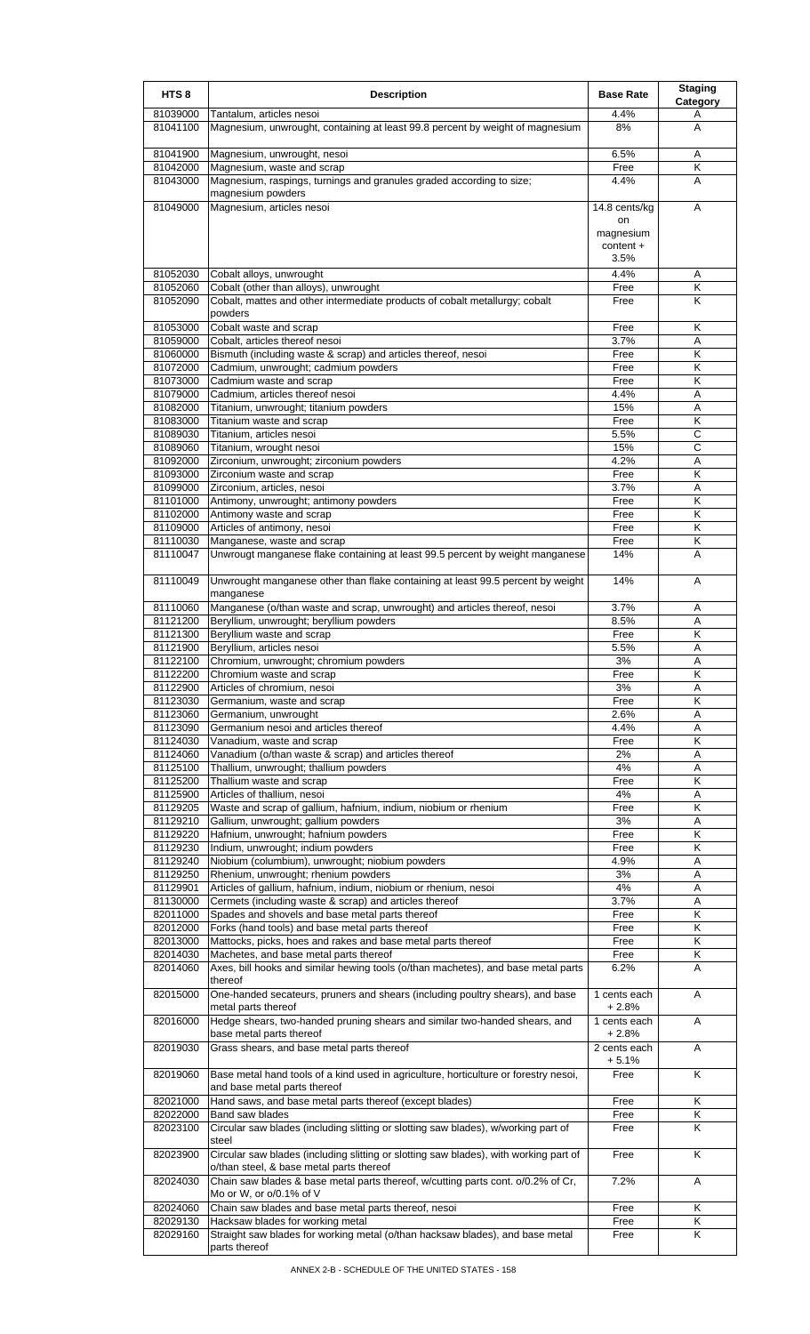| HTS <sub>8</sub>     | <b>Description</b>                                                                                                           | <b>Base Rate</b>        | <b>Staging</b><br>Category   |
|----------------------|------------------------------------------------------------------------------------------------------------------------------|-------------------------|------------------------------|
| 81039000             | Tantalum, articles nesoi                                                                                                     | 4.4%                    | A                            |
| 81041100             | Magnesium, unwrought, containing at least 99.8 percent by weight of magnesium                                                | 8%                      | A                            |
| 81041900             | Magnesium, unwrought, nesoi                                                                                                  | 6.5%                    | Α                            |
| 81042000             | Magnesium, waste and scrap                                                                                                   | Free                    | Κ                            |
| 81043000             | Magnesium, raspings, turnings and granules graded according to size;                                                         | 4.4%                    | A                            |
|                      | magnesium powders                                                                                                            |                         |                              |
| 81049000             | Magnesium, articles nesoi                                                                                                    | 14.8 cents/kg<br>on     | A                            |
|                      |                                                                                                                              | magnesium               |                              |
|                      |                                                                                                                              | content +               |                              |
|                      |                                                                                                                              | 3.5%                    |                              |
| 81052030             | Cobalt alloys, unwrought                                                                                                     | 4.4%                    | Α                            |
| 81052060             | Cobalt (other than alloys), unwrought                                                                                        | Free                    | Κ<br>$\overline{\mathsf{K}}$ |
| 81052090             | Cobalt, mattes and other intermediate products of cobalt metallurgy; cobalt<br>powders                                       | Free                    |                              |
| 81053000             | Cobalt waste and scrap                                                                                                       | Free                    | Κ                            |
| 81059000             | Cobalt, articles thereof nesoi                                                                                               | 3.7%                    | A                            |
| 81060000             | Bismuth (including waste & scrap) and articles thereof, nesoi                                                                | Free                    | K                            |
| 81072000             | Cadmium, unwrought; cadmium powders                                                                                          | Free                    | Κ                            |
| 81073000<br>81079000 | Cadmium waste and scrap<br>Cadmium, articles thereof nesoi                                                                   | Free<br>4.4%            | Κ<br>A                       |
| 81082000             | Titanium, unwrought; titanium powders                                                                                        | 15%                     | Α                            |
| 81083000             | Titanium waste and scrap                                                                                                     | Free                    | Κ                            |
| 81089030             | Titanium, articles nesoi                                                                                                     | 5.5%                    | $\mathsf{C}$                 |
| 81089060             | Titanium, wrought nesoi                                                                                                      | 15%                     | С                            |
| 81092000             | Zirconium, unwrought; zirconium powders                                                                                      | 4.2%                    | Α                            |
| 81093000<br>81099000 | Zirconium waste and scrap<br>Zirconium, articles, nesoi                                                                      | Free<br>3.7%            | Κ<br>Α                       |
| 81101000             | Antimony, unwrought; antimony powders                                                                                        | Free                    | Κ                            |
| 81102000             | Antimony waste and scrap                                                                                                     | Free                    | K                            |
| 81109000             | Articles of antimony, nesoi                                                                                                  | Free                    | Κ                            |
| 81110030             | Manganese, waste and scrap                                                                                                   | Free                    | Κ                            |
| 81110047             | Unwrougt manganese flake containing at least 99.5 percent by weight manganese                                                | 14%                     | A                            |
| 81110049             | Unwrought manganese other than flake containing at least 99.5 percent by weight                                              | 14%                     | Α                            |
| 81110060             | manganese<br>Manganese (o/than waste and scrap, unwrought) and articles thereof, nesoi                                       | 3.7%                    | Α                            |
| 81121200             | Beryllium, unwrought; beryllium powders                                                                                      | 8.5%                    | Α                            |
| 81121300             | Beryllium waste and scrap                                                                                                    | Free                    | $\overline{\mathsf{K}}$      |
| 81121900             | Beryllium, articles nesoi                                                                                                    | 5.5%                    | A                            |
| 81122100             | Chromium, unwrought; chromium powders                                                                                        | 3%                      | Α                            |
| 81122200             | Chromium waste and scrap                                                                                                     | Free                    | $\overline{\mathsf{K}}$      |
| 81122900<br>81123030 | Articles of chromium, nesoi<br>Germanium, waste and scrap                                                                    | 3%<br>Free              | A<br>Κ                       |
| 81123060             | Germanium, unwrought                                                                                                         | 2.6%                    | Α                            |
| 81123090             | Germanium nesoi and articles thereof                                                                                         | 4.4%                    | A                            |
| 81124030             | Vanadium, waste and scrap                                                                                                    | Free                    | Κ                            |
| 81124060             | Vanadium (o/than waste & scrap) and articles thereof                                                                         | 2%                      | Α                            |
| 81125100<br>81125200 | Thallium, unwrought; thallium powders<br>Thallium waste and scrap                                                            | 4%<br>Free              | A<br>Κ                       |
| 81125900             | Articles of thallium, nesoi                                                                                                  | 4%                      | Α                            |
| 81129205             | Waste and scrap of gallium, hafnium, indium, niobium or rhenium                                                              | Free                    | Κ                            |
| 81129210             | Gallium, unwrought; gallium powders                                                                                          | 3%                      | Α                            |
| 81129220             | Hafnium, unwrought; hafnium powders                                                                                          | Free                    | K                            |
| 81129230<br>81129240 | Indium, unwrought; indium powders<br>Niobium (columbium), unwrought; niobium powders                                         | Free<br>4.9%            | K<br>Α                       |
| 81129250             | Rhenium, unwrought; rhenium powders                                                                                          | 3%                      | Α                            |
| 81129901             | Articles of gallium, hafnium, indium, niobium or rhenium, nesoi                                                              | 4%                      | Α                            |
| 81130000             | Cermets (including waste & scrap) and articles thereof                                                                       | 3.7%                    | Α                            |
| 82011000             | Spades and shovels and base metal parts thereof                                                                              | Free                    | K                            |
| 82012000             | Forks (hand tools) and base metal parts thereof                                                                              | Free                    | K                            |
| 82013000<br>82014030 | Mattocks, picks, hoes and rakes and base metal parts thereof<br>Machetes, and base metal parts thereof                       | Free<br>Free            | Κ<br>Κ                       |
| 82014060             | Axes, bill hooks and similar hewing tools (o/than machetes), and base metal parts<br>thereof                                 | 6.2%                    | A                            |
| 82015000             | One-handed secateurs, pruners and shears (including poultry shears), and base<br>metal parts thereof                         | 1 cents each<br>+ 2.8%  | Α                            |
| 82016000             | Hedge shears, two-handed pruning shears and similar two-handed shears, and<br>base metal parts thereof                       | 1 cents each<br>$+2.8%$ | A                            |
| 82019030             | Grass shears, and base metal parts thereof                                                                                   | 2 cents each<br>+ 5.1%  | A                            |
| 82019060             | Base metal hand tools of a kind used in agriculture, horticulture or forestry nesoi,<br>and base metal parts thereof         | Free                    | K                            |
| 82021000             | Hand saws, and base metal parts thereof (except blades)                                                                      | Free                    | Κ                            |
| 82022000<br>82023100 | <b>Band saw blades</b><br>Circular saw blades (including slitting or slotting saw blades), w/working part of                 | Free<br>Free            | Κ<br>Κ                       |
| 82023900             | steel<br>Circular saw blades (including slitting or slotting saw blades), with working part of                               | Free                    | K                            |
| 82024030             | o/than steel, & base metal parts thereof<br>Chain saw blades & base metal parts thereof, w/cutting parts cont. o/0.2% of Cr, | 7.2%                    | Α                            |
|                      | Mo or W, or o/0.1% of V                                                                                                      |                         |                              |
| 82024060<br>82029130 | Chain saw blades and base metal parts thereof, nesoi<br>Hacksaw blades for working metal                                     | Free<br>Free            | Κ<br>Κ                       |
| 82029160             | Straight saw blades for working metal (o/than hacksaw blades), and base metal                                                | Free                    | Κ                            |
|                      | parts thereof                                                                                                                |                         |                              |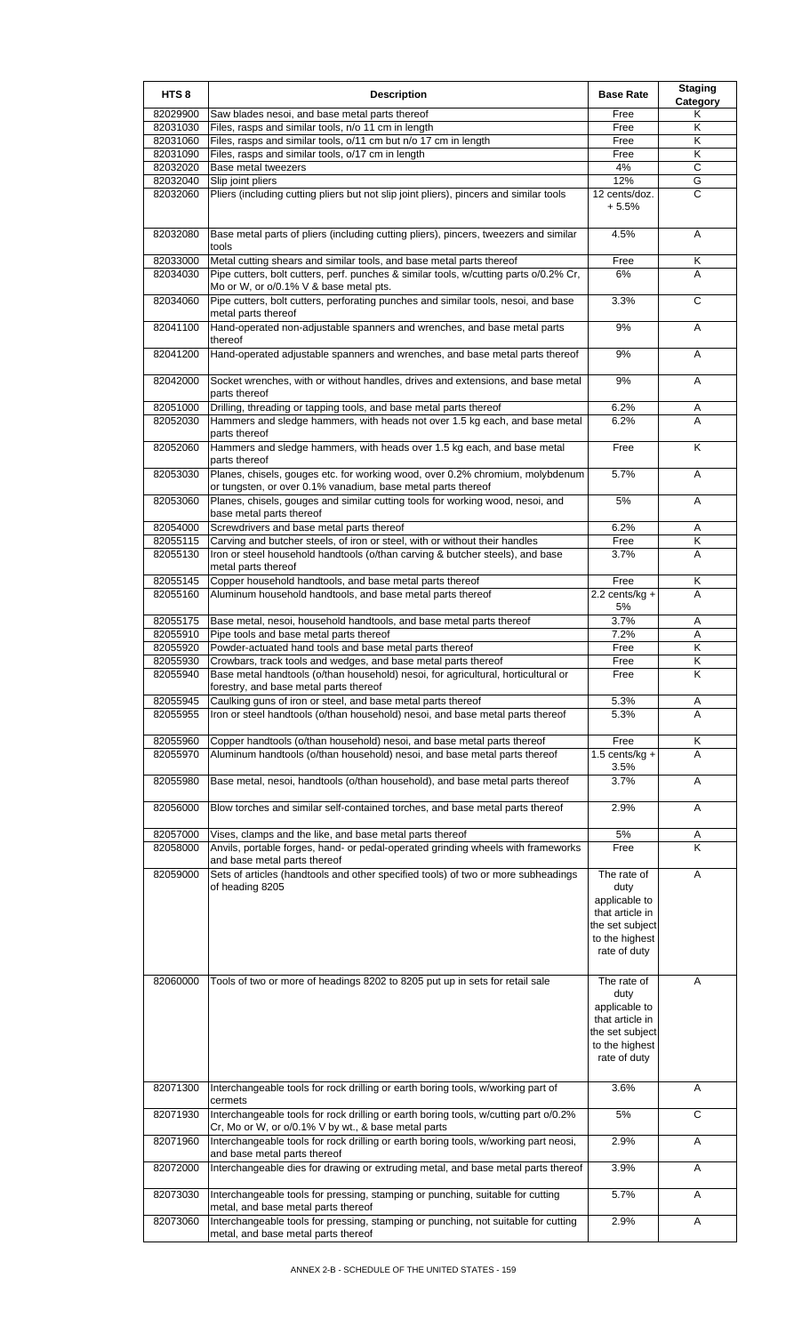| HTS <sub>8</sub>     | <b>Description</b>                                                                                                                                                                                          | <b>Base Rate</b>                                                                                             | <b>Staging</b><br>Category |
|----------------------|-------------------------------------------------------------------------------------------------------------------------------------------------------------------------------------------------------------|--------------------------------------------------------------------------------------------------------------|----------------------------|
| 82029900             | Saw blades nesoi, and base metal parts thereof                                                                                                                                                              | Free                                                                                                         | Κ                          |
| 82031030             | Files, rasps and similar tools, n/o 11 cm in length                                                                                                                                                         | Free                                                                                                         | Κ                          |
| 82031060             | Files, rasps and similar tools, o/11 cm but n/o 17 cm in length                                                                                                                                             | Free                                                                                                         | K                          |
| 82031090             | Files, rasps and similar tools, o/17 cm in length                                                                                                                                                           | Free                                                                                                         | Κ                          |
| 82032020             | Base metal tweezers                                                                                                                                                                                         | 4%                                                                                                           | C<br>G                     |
| 82032040<br>82032060 | Slip joint pliers<br>Pliers (including cutting pliers but not slip joint pliers), pincers and similar tools                                                                                                 | 12%<br>12 cents/doz.                                                                                         | C                          |
|                      |                                                                                                                                                                                                             | $+5.5%$                                                                                                      |                            |
| 82032080             | Base metal parts of pliers (including cutting pliers), pincers, tweezers and similar<br>tools                                                                                                               | 4.5%                                                                                                         | A                          |
| 82033000<br>82034030 | Metal cutting shears and similar tools, and base metal parts thereof<br>Pipe cutters, bolt cutters, perf. punches & similar tools, w/cutting parts o/0.2% Cr,<br>Mo or W, or o/0.1% V & base metal pts.     | Free<br>6%                                                                                                   | Κ<br>A                     |
| 82034060             | Pipe cutters, bolt cutters, perforating punches and similar tools, nesoi, and base<br>metal parts thereof                                                                                                   | 3.3%                                                                                                         | С                          |
| 82041100             | Hand-operated non-adjustable spanners and wrenches, and base metal parts<br>thereof                                                                                                                         | 9%                                                                                                           | Α                          |
| 82041200             | Hand-operated adjustable spanners and wrenches, and base metal parts thereof                                                                                                                                | 9%                                                                                                           | Α                          |
| 82042000<br>82051000 | Socket wrenches, with or without handles, drives and extensions, and base metal<br>parts thereof                                                                                                            | 9%<br>6.2%                                                                                                   | Α                          |
| 82052030             | Drilling, threading or tapping tools, and base metal parts thereof<br>Hammers and sledge hammers, with heads not over 1.5 kg each, and base metal<br>parts thereof                                          | 6.2%                                                                                                         | A<br>A                     |
| 82052060             | Hammers and sledge hammers, with heads over 1.5 kg each, and base metal<br>parts thereof                                                                                                                    | Free                                                                                                         | Κ                          |
| 82053030             | Planes, chisels, gouges etc. for working wood, over 0.2% chromium, molybdenum<br>or tungsten, or over 0.1% vanadium, base metal parts thereof                                                               | 5.7%                                                                                                         | A                          |
| 82053060             | Planes, chisels, gouges and similar cutting tools for working wood, nesoi, and<br>base metal parts thereof                                                                                                  | 5%                                                                                                           | A                          |
| 82054000             | Screwdrivers and base metal parts thereof                                                                                                                                                                   | 6.2%                                                                                                         | Α                          |
| 82055115             | Carving and butcher steels, of iron or steel, with or without their handles                                                                                                                                 | Free                                                                                                         | Κ                          |
| 82055130             | Iron or steel household handtools (o/than carving & butcher steels), and base<br>metal parts thereof                                                                                                        | 3.7%                                                                                                         | Α                          |
| 82055145<br>82055160 | Copper household handtools, and base metal parts thereof<br>Aluminum household handtools, and base metal parts thereof                                                                                      | Free<br>$2.2$ cents/kg +<br>5%                                                                               | Κ<br>A                     |
| 82055175             | Base metal, nesoi, household handtools, and base metal parts thereof                                                                                                                                        | 3.7%                                                                                                         | Α                          |
| 82055910             | Pipe tools and base metal parts thereof                                                                                                                                                                     | 7.2%                                                                                                         | Α                          |
| 82055920             | Powder-actuated hand tools and base metal parts thereof                                                                                                                                                     | Free                                                                                                         | Κ                          |
| 82055930             | Crowbars, track tools and wedges, and base metal parts thereof                                                                                                                                              | Free                                                                                                         | Κ                          |
| 82055940             | Base metal handtools (o/than household) nesoi, for agricultural, horticultural or                                                                                                                           | Free                                                                                                         | Κ                          |
| 82055945             | forestry, and base metal parts thereof<br>Caulking guns of iron or steel, and base metal parts thereof                                                                                                      | 5.3%                                                                                                         |                            |
| 82055955             | Iron or steel handtools (o/than household) nesoi, and base metal parts thereof                                                                                                                              | 5.3%                                                                                                         | A<br>A                     |
| 82055960             | Copper handtools (o/than household) nesoi, and base metal parts thereof                                                                                                                                     | Free                                                                                                         | Κ                          |
| 82055970             | Aluminum handtools (o/than household) nesoi, and base metal parts thereof                                                                                                                                   | 1.5 cents/kg $+$<br>3.5%                                                                                     | A                          |
| 82055980             | Base metal, nesoi, handtools (o/than household), and base metal parts thereof                                                                                                                               | 3.7%                                                                                                         | Α                          |
| 82056000             | Blow torches and similar self-contained torches, and base metal parts thereof                                                                                                                               | 2.9%                                                                                                         | A                          |
| 82057000             | Vises, clamps and the like, and base metal parts thereof                                                                                                                                                    | 5%                                                                                                           | Α<br>K                     |
| 82058000             | Anvils, portable forges, hand- or pedal-operated grinding wheels with frameworks<br>and base metal parts thereof                                                                                            | Free                                                                                                         |                            |
| 82059000             | Sets of articles (handtools and other specified tools) of two or more subheadings<br>of heading 8205                                                                                                        | The rate of<br>duty<br>applicable to<br>that article in<br>the set subject<br>to the highest<br>rate of duty | Α                          |
| 82060000             | Tools of two or more of headings 8202 to 8205 put up in sets for retail sale                                                                                                                                | The rate of<br>duty<br>applicable to<br>that article in<br>the set subject<br>to the highest<br>rate of duty | A                          |
| 82071300             | Interchangeable tools for rock drilling or earth boring tools, w/working part of<br>cermets                                                                                                                 | 3.6%                                                                                                         | A                          |
| 82071930             | Interchangeable tools for rock drilling or earth boring tools, w/cutting part o/0.2%<br>Cr, Mo or W, or o/0.1% V by wt., & base metal parts                                                                 | 5%                                                                                                           | C                          |
| 82071960             | Interchangeable tools for rock drilling or earth boring tools, w/working part neosi,<br>and base metal parts thereof                                                                                        | 2.9%                                                                                                         | Α                          |
| 82072000             | Interchangeable dies for drawing or extruding metal, and base metal parts thereof                                                                                                                           | 3.9%                                                                                                         | Α                          |
| 82073030<br>82073060 | Interchangeable tools for pressing, stamping or punching, suitable for cutting<br>metal, and base metal parts thereof<br>Interchangeable tools for pressing, stamping or punching, not suitable for cutting | 5.7%<br>2.9%                                                                                                 | Α                          |
|                      | metal, and base metal parts thereof                                                                                                                                                                         |                                                                                                              | Α                          |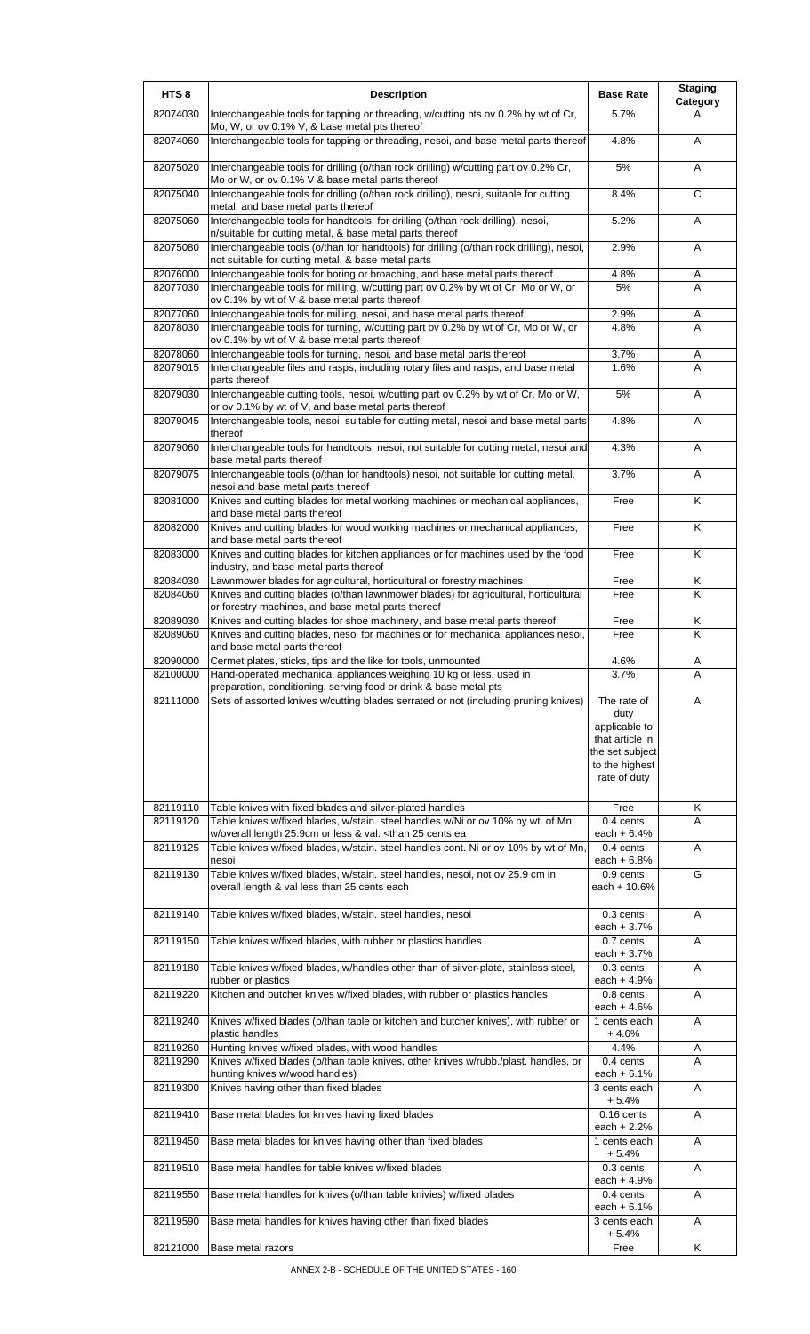| HTS <sub>8</sub>     | <b>Description</b>                                                                                                                                              | <b>Base Rate</b>                   | <b>Staging</b><br>Category |
|----------------------|-----------------------------------------------------------------------------------------------------------------------------------------------------------------|------------------------------------|----------------------------|
| 82074030             | Interchangeable tools for tapping or threading, w/cutting pts ov 0.2% by wt of Cr,<br>Mo, W, or ov 0.1% V, & base metal pts thereof                             | 5.7%                               | A                          |
| 82074060             | Interchangeable tools for tapping or threading, nesoi, and base metal parts thereof                                                                             | 4.8%                               | A                          |
| 82075020             | Interchangeable tools for drilling (o/than rock drilling) w/cutting part ov 0.2% Cr,<br>Mo or W, or ov 0.1% V & base metal parts thereof                        | 5%                                 | Α                          |
| 82075040             | Interchangeable tools for drilling (o/than rock drilling), nesoi, suitable for cutting<br>metal, and base metal parts thereof                                   | 8.4%                               | C                          |
| 82075060             | Interchangeable tools for handtools, for drilling (o/than rock drilling), nesoi,<br>n/suitable for cutting metal, & base metal parts thereof                    | 5.2%                               | A                          |
| 82075080             | Interchangeable tools (o/than for handtools) for drilling (o/than rock drilling), nesoi,<br>not suitable for cutting metal, & base metal parts                  | 2.9%                               | A                          |
| 82076000             | Interchangeable tools for boring or broaching, and base metal parts thereof                                                                                     | 4.8%                               | A                          |
| 82077030             | Interchangeable tools for milling, w/cutting part ov 0.2% by wt of Cr, Mo or W, or<br>ov 0.1% by wt of V & base metal parts thereof                             | 5%                                 | A                          |
| 82077060             | Interchangeable tools for milling, nesoi, and base metal parts thereof                                                                                          | 2.9%                               | A                          |
| 82078030             | Interchangeable tools for turning, w/cutting part ov 0.2% by wt of Cr, Mo or W, or<br>ov 0.1% by wt of V & base metal parts thereof                             | 4.8%                               | Α                          |
| 82078060<br>82079015 | Interchangeable tools for turning, nesoi, and base metal parts thereof<br>Interchangeable files and rasps, including rotary files and rasps, and base metal     | 3.7%<br>1.6%                       | Α<br>A                     |
|                      | parts thereof                                                                                                                                                   |                                    |                            |
| 82079030             | Interchangeable cutting tools, nesoi, w/cutting part ov 0.2% by wt of Cr, Mo or W,<br>or ov 0.1% by wt of V, and base metal parts thereof                       | 5%                                 | A                          |
| 82079045             | Interchangeable tools, nesoi, suitable for cutting metal, nesoi and base metal parts<br>thereof                                                                 | 4.8%                               | A                          |
| 82079060             | Interchangeable tools for handtools, nesoi, not suitable for cutting metal, nesoi and<br>base metal parts thereof                                               | 4.3%                               | Α                          |
| 82079075             | Interchangeable tools (o/than for handtools) nesoi, not suitable for cutting metal,<br>nesoi and base metal parts thereof                                       | 3.7%                               | A                          |
| 82081000             | Knives and cutting blades for metal working machines or mechanical appliances,<br>and base metal parts thereof                                                  | Free                               | Κ                          |
| 82082000             | Knives and cutting blades for wood working machines or mechanical appliances,<br>and base metal parts thereof                                                   | Free                               | K                          |
| 82083000             | Knives and cutting blades for kitchen appliances or for machines used by the food<br>industry, and base metal parts thereof                                     | Free                               | Κ                          |
| 82084030             | Lawnmower blades for agricultural, horticultural or forestry machines                                                                                           | Free                               | Κ                          |
| 82084060             | Knives and cutting blades (o/than lawnmower blades) for agricultural, horticultural<br>or forestry machines, and base metal parts thereof                       | Free                               | Κ                          |
| 82089030<br>82089060 | Knives and cutting blades for shoe machinery, and base metal parts thereof<br>Knives and cutting blades, nesoi for machines or for mechanical appliances nesoi, | Free<br>Free                       | Κ<br>K                     |
|                      | and base metal parts thereof                                                                                                                                    |                                    |                            |
| 82090000<br>82100000 | Cermet plates, sticks, tips and the like for tools, unmounted<br>Hand-operated mechanical appliances weighing 10 kg or less, used in                            | 4.6%<br>3.7%                       | Α<br>Α                     |
| 82111000             | preparation, conditioning, serving food or drink & base metal pts<br>Sets of assorted knives w/cutting blades serrated or not (including pruning knives)        | The rate of                        | Α                          |
|                      |                                                                                                                                                                 | duty<br>applicable to              |                            |
|                      |                                                                                                                                                                 | that article in<br>the set subject |                            |
|                      |                                                                                                                                                                 | to the highest                     |                            |
|                      |                                                                                                                                                                 | rate of duty                       |                            |
| 82119110             | Table knives with fixed blades and silver-plated handles                                                                                                        | Free                               | Κ                          |
| 82119120             | Table knives w/fixed blades, w/stain. steel handles w/Ni or ov 10% by wt. of Mn,                                                                                | 0.4 cents                          | A                          |
| 82119125             | w/overall length 25.9cm or less & val. <than 25="" cents="" ea<br="">Table knives w/fixed blades, w/stain. steel handles cont. Ni or ov 10% by wt of Mn,</than> | each $+6.4%$<br>0.4 cents          | Α                          |
|                      | nesoi                                                                                                                                                           | each $+ 6.8%$                      |                            |
| 82119130             | Table knives w/fixed blades, w/stain. steel handles, nesoi, not ov 25.9 cm in<br>overall length & val less than 25 cents each                                   | 0.9 cents<br>each + 10.6%          | G                          |
| 82119140             | Table knives w/fixed blades, w/stain. steel handles, nesoi                                                                                                      | 0.3 cents                          | Α                          |
| 82119150             | Table knives w/fixed blades, with rubber or plastics handles                                                                                                    | each $+3.7%$<br>0.7 cents          | Α                          |
| 82119180             | Table knives w/fixed blades, w/handles other than of silver-plate, stainless steel,                                                                             | each $+3.7%$<br>$0.3$ cents        | A                          |
| 82119220             | rubber or plastics<br>Kitchen and butcher knives w/fixed blades, with rubber or plastics handles                                                                | each + $4.9%$<br>0.8 cents         | Α                          |
| 82119240             | Knives w/fixed blades (o/than table or kitchen and butcher knives), with rubber or                                                                              | each $+4.6%$<br>1 cents each       | A                          |
| 82119260             | plastic handles<br>Hunting knives w/fixed blades, with wood handles                                                                                             | $+4.6%$<br>4.4%                    | Α                          |
| 82119290             | Knives w/fixed blades (o/than table knives, other knives w/rubb./plast. handles, or                                                                             | 0.4 cents                          | A                          |
| 82119300             | hunting knives w/wood handles)<br>Knives having other than fixed blades                                                                                         | each $+ 6.1%$<br>3 cents each      | Α                          |
| 82119410             | Base metal blades for knives having fixed blades                                                                                                                | $+5.4%$<br>$0.16$ cents            | A                          |
| 82119450             | Base metal blades for knives having other than fixed blades                                                                                                     | each + 2.2%<br>1 cents each        | Α                          |
| 82119510             | Base metal handles for table knives w/fixed blades                                                                                                              | $+5.4%$<br>$0.3$ cents             | Α                          |
| 82119550             | Base metal handles for knives (o/than table knivies) w/fixed blades                                                                                             | each + 4.9%<br>0.4 cents           | A                          |
| 82119590             | Base metal handles for knives having other than fixed blades                                                                                                    | each $+ 6.1%$<br>3 cents each      | Α                          |
| 82121000             | Base metal razors                                                                                                                                               | $+5.4%$<br>Free                    | Κ                          |
|                      |                                                                                                                                                                 |                                    |                            |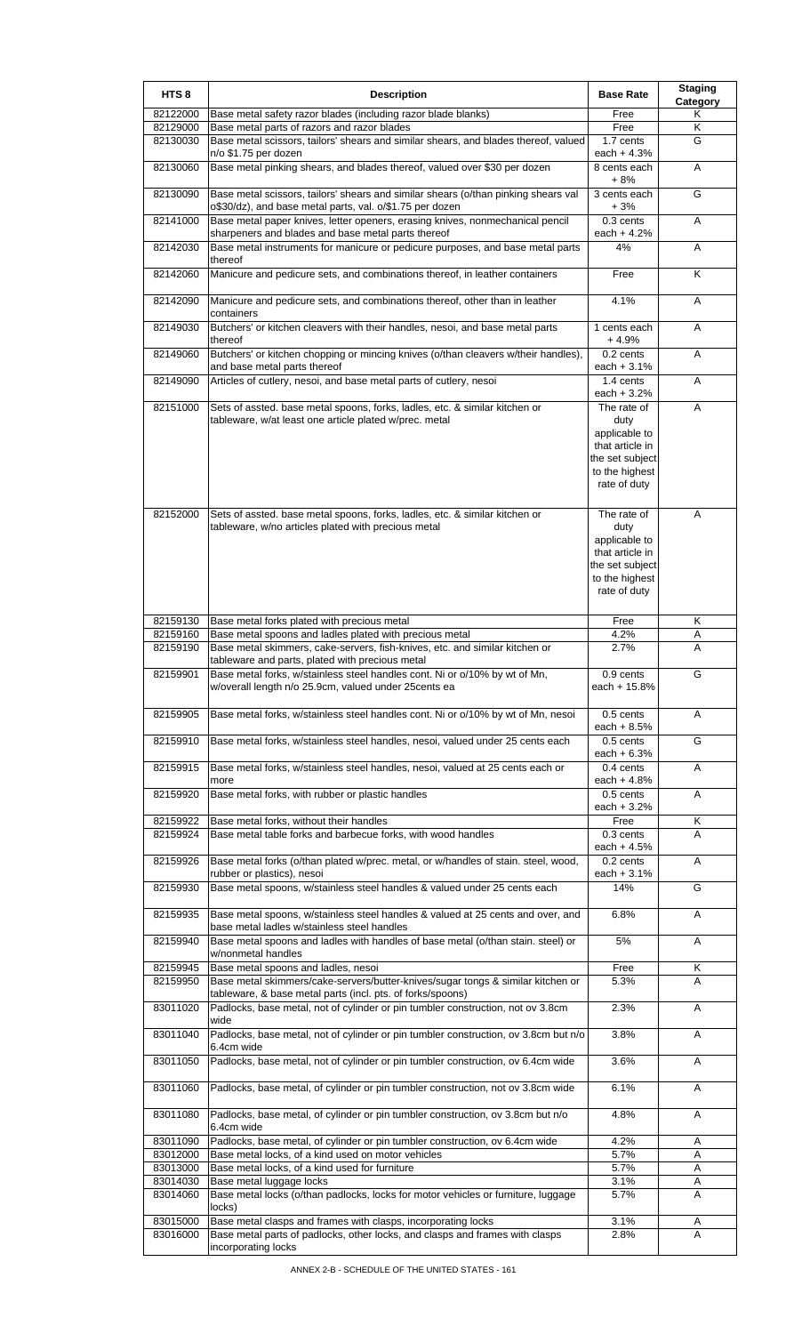| HTS <sub>8</sub>     | <b>Description</b>                                                                                                                                                                                           | <b>Base Rate</b>                                                                                             | <b>Staging</b><br><b>Category</b> |
|----------------------|--------------------------------------------------------------------------------------------------------------------------------------------------------------------------------------------------------------|--------------------------------------------------------------------------------------------------------------|-----------------------------------|
| 82122000             | Base metal safety razor blades (including razor blade blanks)                                                                                                                                                | Free                                                                                                         | Κ                                 |
| 82129000<br>82130030 | Base metal parts of razors and razor blades<br>Base metal scissors, tailors' shears and similar shears, and blades thereof, valued                                                                           | Free<br>1.7 cents                                                                                            | Κ<br>G                            |
|                      | n/o \$1.75 per dozen                                                                                                                                                                                         | each $+4.3%$                                                                                                 |                                   |
| 82130060             | Base metal pinking shears, and blades thereof, valued over \$30 per dozen                                                                                                                                    | 8 cents each<br>$+8%$                                                                                        | Α                                 |
| 82130090             | Base metal scissors, tailors' shears and similar shears (o/than pinking shears val<br>o\$30/dz), and base metal parts, val. o/\$1.75 per dozen                                                               | 3 cents each<br>+3%                                                                                          | G                                 |
| 82141000             | Base metal paper knives, letter openers, erasing knives, nonmechanical pencil                                                                                                                                | 0.3 cents                                                                                                    | A                                 |
| 82142030             | sharpeners and blades and base metal parts thereof<br>Base metal instruments for manicure or pedicure purposes, and base metal parts                                                                         | each $+4.2%$<br>4%                                                                                           | Α                                 |
|                      | thereof                                                                                                                                                                                                      |                                                                                                              |                                   |
| 82142060             | Manicure and pedicure sets, and combinations thereof, in leather containers                                                                                                                                  | Free                                                                                                         | K                                 |
| 82142090             | Manicure and pedicure sets, and combinations thereof, other than in leather<br>containers                                                                                                                    | 4.1%                                                                                                         | Α                                 |
| 82149030             | Butchers' or kitchen cleavers with their handles, nesoi, and base metal parts<br>thereof                                                                                                                     | 1 cents each<br>+ 4.9%                                                                                       | Α                                 |
| 82149060             | Butchers' or kitchen chopping or mincing knives (o/than cleavers w/their handles),<br>and base metal parts thereof                                                                                           | 0.2 cents<br>each $+3.1%$                                                                                    | Α                                 |
| 82149090             | Articles of cutlery, nesoi, and base metal parts of cutlery, nesoi                                                                                                                                           | 1.4 cents<br>each $+3.2%$                                                                                    | A                                 |
| 82151000             | Sets of assted. base metal spoons, forks, ladles, etc. & similar kitchen or                                                                                                                                  | The rate of                                                                                                  | Α                                 |
|                      | tableware, w/at least one article plated w/prec. metal                                                                                                                                                       | duty<br>applicable to<br>that article in<br>the set subject<br>to the highest<br>rate of duty                |                                   |
| 82152000             | Sets of assted. base metal spoons, forks, ladles, etc. & similar kitchen or<br>tableware, w/no articles plated with precious metal                                                                           | The rate of<br>duty<br>applicable to<br>that article in<br>the set subject<br>to the highest<br>rate of duty | A                                 |
| 82159130             | Base metal forks plated with precious metal                                                                                                                                                                  | Free                                                                                                         | Κ                                 |
| 82159160             | Base metal spoons and ladles plated with precious metal                                                                                                                                                      | 4.2%                                                                                                         | Α                                 |
| 82159190<br>82159901 | Base metal skimmers, cake-servers, fish-knives, etc. and similar kitchen or<br>tableware and parts, plated with precious metal<br>Base metal forks, w/stainless steel handles cont. Ni or o/10% by wt of Mn, | 2.7%                                                                                                         | Α                                 |
|                      | w/overall length n/o 25.9cm, valued under 25cents ea                                                                                                                                                         | 0.9 cents<br>each + 15.8%                                                                                    | G                                 |
| 82159905             | Base metal forks, w/stainless steel handles cont. Ni or o/10% by wt of Mn, nesoi                                                                                                                             | 0.5 cents<br>each + $8.5%$                                                                                   | A                                 |
| 82159910             | Base metal forks, w/stainless steel handles, nesoi, valued under 25 cents each                                                                                                                               | 0.5 cents<br>each $+6.3%$                                                                                    | G                                 |
| 82159915             | Base metal forks, w/stainless steel handles, nesoi, valued at 25 cents each or<br>more                                                                                                                       | 0.4 cents<br>each $+4.8%$                                                                                    | A                                 |
| 82159920             | Base metal forks, with rubber or plastic handles                                                                                                                                                             | 0.5 cents<br>each $+3.2%$                                                                                    | Α                                 |
| 82159922             | Base metal forks, without their handles                                                                                                                                                                      | Free                                                                                                         | Κ                                 |
| 82159924             | Base metal table forks and barbecue forks, with wood handles                                                                                                                                                 | $0.3$ cents<br>each $+4.5%$                                                                                  | A                                 |
| 82159926             | Base metal forks (o/than plated w/prec. metal, or w/handles of stain. steel, wood,                                                                                                                           | $0.2$ cents                                                                                                  | A                                 |
| 82159930             | rubber or plastics), nesoi<br>Base metal spoons, w/stainless steel handles & valued under 25 cents each                                                                                                      | each $+3.1%$<br>14%                                                                                          | G                                 |
|                      |                                                                                                                                                                                                              |                                                                                                              |                                   |
| 82159935             | Base metal spoons, w/stainless steel handles & valued at 25 cents and over, and<br>base metal ladles w/stainless steel handles                                                                               | 6.8%                                                                                                         | Α                                 |
| 82159940             | Base metal spoons and ladles with handles of base metal (o/than stain. steel) or<br>w/nonmetal handles                                                                                                       | 5%                                                                                                           | A                                 |
| 82159945             | Base metal spoons and ladles, nesoi                                                                                                                                                                          | Free                                                                                                         | Κ                                 |
| 82159950             | Base metal skimmers/cake-servers/butter-knives/sugar tongs & similar kitchen or<br>tableware, & base metal parts (incl. pts. of forks/spoons)                                                                | 5.3%                                                                                                         | A                                 |
| 83011020<br>83011040 | Padlocks, base metal, not of cylinder or pin tumbler construction, not ov 3.8cm<br>wide<br>Padlocks, base metal, not of cylinder or pin tumbler construction, ov 3.8cm but n/o                               | 2.3%<br>3.8%                                                                                                 | A                                 |
| 83011050             | 6.4cm wide<br>Padlocks, base metal, not of cylinder or pin tumbler construction, ov 6.4cm wide                                                                                                               | 3.6%                                                                                                         | Α<br>A                            |
|                      |                                                                                                                                                                                                              |                                                                                                              |                                   |
| 83011060<br>83011080 | Padlocks, base metal, of cylinder or pin tumbler construction, not ov 3.8cm wide<br>Padlocks, base metal, of cylinder or pin tumbler construction, ov 3.8cm but n/o                                          | 6.1%<br>4.8%                                                                                                 | A<br>Α                            |
|                      | 6.4cm wide                                                                                                                                                                                                   |                                                                                                              |                                   |
| 83011090<br>83012000 | Padlocks, base metal, of cylinder or pin tumbler construction, ov 6.4cm wide<br>Base metal locks, of a kind used on motor vehicles                                                                           | 4.2%<br>5.7%                                                                                                 | Α<br>Α                            |
| 83013000             | Base metal locks, of a kind used for furniture                                                                                                                                                               | 5.7%                                                                                                         | Α                                 |
| 83014030             | Base metal luggage locks                                                                                                                                                                                     | 3.1%                                                                                                         | Α                                 |
| 83014060             | Base metal locks (o/than padlocks, locks for motor vehicles or furniture, luggage<br>locks)                                                                                                                  | 5.7%                                                                                                         | A                                 |
| 83015000             | Base metal clasps and frames with clasps, incorporating locks                                                                                                                                                | 3.1%                                                                                                         | Α                                 |
| 83016000             | Base metal parts of padlocks, other locks, and clasps and frames with clasps<br>incorporating locks                                                                                                          | 2.8%                                                                                                         | A                                 |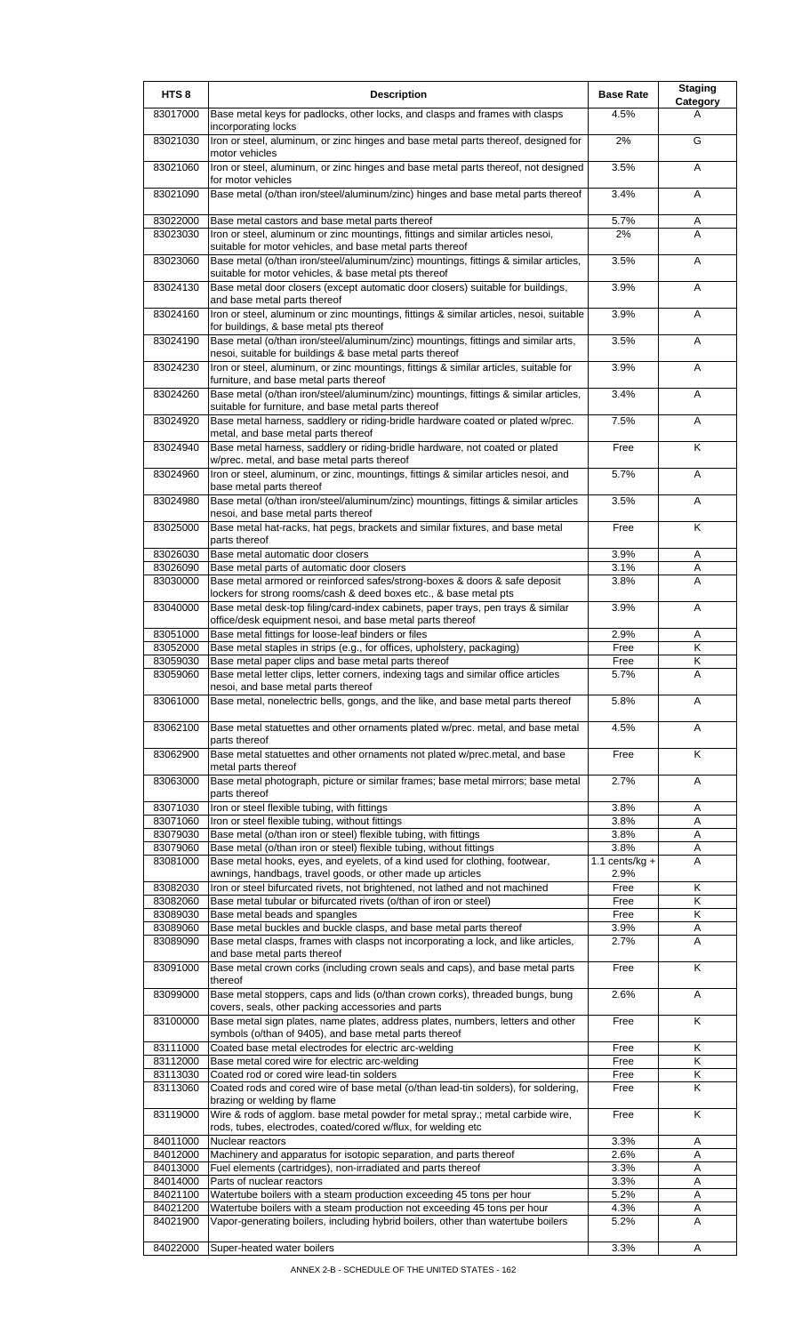| HTS <sub>8</sub>     | <b>Description</b>                                                                                                                                                                           | <b>Base Rate</b>            | <b>Staging</b> |
|----------------------|----------------------------------------------------------------------------------------------------------------------------------------------------------------------------------------------|-----------------------------|----------------|
| 83017000             | Base metal keys for padlocks, other locks, and clasps and frames with clasps                                                                                                                 | 4.5%                        | Category<br>А  |
| 83021030             | incorporating locks<br>Iron or steel, aluminum, or zinc hinges and base metal parts thereof, designed for                                                                                    | 2%                          | G              |
| 83021060             | motor vehicles<br>Iron or steel, aluminum, or zinc hinges and base metal parts thereof, not designed                                                                                         | 3.5%                        | A              |
| 83021090             | for motor vehicles<br>Base metal (o/than iron/steel/aluminum/zinc) hinges and base metal parts thereof                                                                                       | 3.4%                        | A              |
| 83022000             | Base metal castors and base metal parts thereof                                                                                                                                              | 5.7%                        | Α              |
| 83023030             | Iron or steel, aluminum or zinc mountings, fittings and similar articles nesoi,                                                                                                              | 2%                          | A              |
| 83023060             | suitable for motor vehicles, and base metal parts thereof<br>Base metal (o/than iron/steel/aluminum/zinc) mountings, fittings & similar articles,                                            | 3.5%                        | A              |
| 83024130             | suitable for motor vehicles, & base metal pts thereof<br>Base metal door closers (except automatic door closers) suitable for buildings,                                                     | 3.9%                        | Α              |
| 83024160             | and base metal parts thereof<br>Iron or steel, aluminum or zinc mountings, fittings & similar articles, nesoi, suitable                                                                      | 3.9%                        | A              |
| 83024190             | for buildings, & base metal pts thereof<br>Base metal (o/than iron/steel/aluminum/zinc) mountings, fittings and similar arts,                                                                | 3.5%                        | Α              |
| 83024230             | nesoi, suitable for buildings & base metal parts thereof<br>Iron or steel, aluminum, or zinc mountings, fittings & similar articles, suitable for<br>furniture, and base metal parts thereof | 3.9%                        | Α              |
| 83024260             | Base metal (o/than iron/steel/aluminum/zinc) mountings, fittings & similar articles,                                                                                                         | 3.4%                        | A              |
| 83024920             | suitable for furniture, and base metal parts thereof<br>Base metal harness, saddlery or riding-bridle hardware coated or plated w/prec.                                                      | 7.5%                        | A              |
| 83024940             | metal, and base metal parts thereof<br>Base metal harness, saddlery or riding-bridle hardware, not coated or plated                                                                          | Free                        | K              |
| 83024960             | w/prec. metal, and base metal parts thereof<br>Iron or steel, aluminum, or zinc, mountings, fittings & similar articles nesoi, and                                                           | 5.7%                        | Α              |
| 83024980             | base metal parts thereof<br>Base metal (o/than iron/steel/aluminum/zinc) mountings, fittings & similar articles                                                                              | 3.5%                        | A              |
| 83025000             | nesoi, and base metal parts thereof<br>Base metal hat-racks, hat pegs, brackets and similar fixtures, and base metal<br>parts thereof                                                        | Free                        | K              |
| 83026030             | Base metal automatic door closers                                                                                                                                                            | 3.9%                        | Α              |
| 83026090<br>83030000 | Base metal parts of automatic door closers<br>Base metal armored or reinforced safes/strong-boxes & doors & safe deposit                                                                     | 3.1%<br>3.8%                | Α<br>Α         |
| 83040000             | lockers for strong rooms/cash & deed boxes etc., & base metal pts<br>Base metal desk-top filing/card-index cabinets, paper trays, pen trays & similar                                        | 3.9%                        | Α              |
|                      | office/desk equipment nesoi, and base metal parts thereof                                                                                                                                    |                             |                |
| 83051000<br>83052000 | Base metal fittings for loose-leaf binders or files<br>Base metal staples in strips (e.g., for offices, upholstery, packaging)                                                               | 2.9%<br>Free                | Α<br>Κ         |
| 83059030<br>83059060 | Base metal paper clips and base metal parts thereof<br>Base metal letter clips, letter corners, indexing tags and similar office articles                                                    | Free<br>5.7%                | Κ<br>Α         |
| 83061000             | nesoi, and base metal parts thereof<br>Base metal, nonelectric bells, gongs, and the like, and base metal parts thereof                                                                      | 5.8%                        | A              |
| 83062100             | Base metal statuettes and other ornaments plated w/prec. metal, and base metal                                                                                                               | 4.5%                        | A              |
| 83062900             | parts thereof<br>Base metal statuettes and other ornaments not plated w/prec.metal, and base                                                                                                 | Free                        | Κ              |
| 83063000             | metal parts thereof<br>Base metal photograph, picture or similar frames; base metal mirrors; base metal<br>parts thereof                                                                     | 2.7%                        | A              |
| 83071030             | Iron or steel flexible tubing, with fittings                                                                                                                                                 | 3.8%                        | Α              |
| 83071060             | Iron or steel flexible tubing, without fittings                                                                                                                                              | 3.8%                        | A              |
| 83079030<br>83079060 | Base metal (o/than iron or steel) flexible tubing, with fittings<br>Base metal (o/than iron or steel) flexible tubing, without fittings                                                      | 3.8%<br>3.8%                | Α<br>Α         |
| 83081000             | Base metal hooks, eyes, and eyelets, of a kind used for clothing, footwear,                                                                                                                  | $\overline{1.1}$ cents/kg + | Α              |
|                      | awnings, handbags, travel goods, or other made up articles                                                                                                                                   | 2.9%                        |                |
| 83082030             | Iron or steel bifurcated rivets, not brightened, not lathed and not machined                                                                                                                 | Free                        | Κ              |
| 83082060             | Base metal tubular or bifurcated rivets (o/than of iron or steel)                                                                                                                            | Free                        | κ              |
| 83089030<br>83089060 | Base metal beads and spangles<br>Base metal buckles and buckle clasps, and base metal parts thereof                                                                                          | Free<br>3.9%                | Κ<br>Α         |
| 83089090             | Base metal clasps, frames with clasps not incorporating a lock, and like articles,<br>and base metal parts thereof                                                                           | 2.7%                        | Α              |
| 83091000             | Base metal crown corks (including crown seals and caps), and base metal parts<br>thereof                                                                                                     | Free                        | K              |
| 83099000             | Base metal stoppers, caps and lids (o/than crown corks), threaded bungs, bung<br>covers, seals, other packing accessories and parts                                                          | 2.6%                        | Α              |
| 83100000             | Base metal sign plates, name plates, address plates, numbers, letters and other<br>symbols (o/than of 9405), and base metal parts thereof                                                    | Free                        | K              |
| 83111000             | Coated base metal electrodes for electric arc-welding                                                                                                                                        | Free                        | Κ              |
| 83112000             | Base metal cored wire for electric arc-welding                                                                                                                                               | Free                        | Κ              |
| 83113030<br>83113060 | Coated rod or cored wire lead-tin solders<br>Coated rods and cored wire of base metal (o/than lead-tin solders), for soldering,                                                              | Free<br>Free                | Κ<br>Κ         |
| 83119000             | brazing or welding by flame<br>Wire & rods of agglom. base metal powder for metal spray.; metal carbide wire,<br>rods, tubes, electrodes, coated/cored w/flux, for welding etc               | Free                        | K              |
| 84011000             | Nuclear reactors                                                                                                                                                                             | 3.3%                        | Α              |
| 84012000             | Machinery and apparatus for isotopic separation, and parts thereof                                                                                                                           | 2.6%                        | A              |
| 84013000             | Fuel elements (cartridges), non-irradiated and parts thereof                                                                                                                                 | 3.3%                        | Α              |
| 84014000             | Parts of nuclear reactors                                                                                                                                                                    | 3.3%                        | Α              |
| 84021100             | Watertube boilers with a steam production exceeding 45 tons per hour                                                                                                                         | 5.2%                        | Α              |
| 84021200<br>84021900 | Watertube boilers with a steam production not exceeding 45 tons per hour<br>Vapor-generating boilers, including hybrid boilers, other than watertube boilers                                 | 4.3%<br>5.2%                | Α<br>A         |
|                      |                                                                                                                                                                                              |                             |                |
| 84022000             | Super-heated water boilers                                                                                                                                                                   | 3.3%                        | Α              |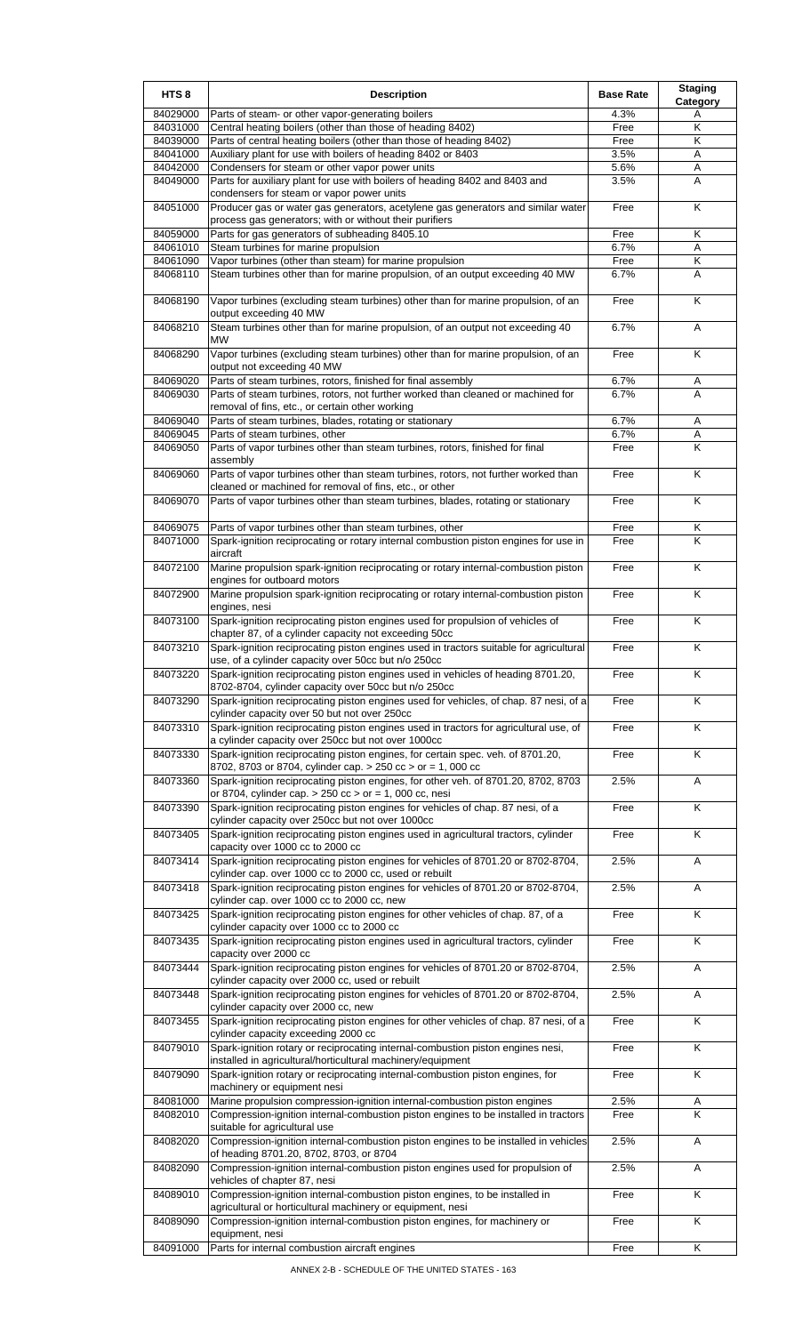| HTS <sub>8</sub>     | <b>Description</b>                                                                                                                                                                                                                | <b>Base Rate</b> | <b>Staging</b><br>Category |
|----------------------|-----------------------------------------------------------------------------------------------------------------------------------------------------------------------------------------------------------------------------------|------------------|----------------------------|
| 84029000             | Parts of steam- or other vapor-generating boilers                                                                                                                                                                                 | 4.3%             | Α                          |
| 84031000             | Central heating boilers (other than those of heading 8402)                                                                                                                                                                        | Free             | Κ                          |
| 84039000             | Parts of central heating boilers (other than those of heading 8402)                                                                                                                                                               | Free             | Κ                          |
| 84041000             | Auxiliary plant for use with boilers of heading 8402 or 8403                                                                                                                                                                      | 3.5%             | Α                          |
| 84042000<br>84049000 | Condensers for steam or other vapor power units<br>Parts for auxiliary plant for use with boilers of heading 8402 and 8403 and                                                                                                    | 5.6%<br>3.5%     | Α<br>A                     |
| 84051000             | condensers for steam or vapor power units                                                                                                                                                                                         | Free             | K                          |
|                      | Producer gas or water gas generators, acetylene gas generators and similar water<br>process gas generators; with or without their purifiers                                                                                       |                  |                            |
| 84059000             | Parts for gas generators of subheading 8405.10                                                                                                                                                                                    | Free             | Κ                          |
| 84061010<br>84061090 | Steam turbines for marine propulsion<br>Vapor turbines (other than steam) for marine propulsion                                                                                                                                   | 6.7%<br>Free     | Α<br>Κ                     |
| 84068110             | Steam turbines other than for marine propulsion, of an output exceeding 40 MW                                                                                                                                                     | 6.7%             | Α                          |
| 84068190             | Vapor turbines (excluding steam turbines) other than for marine propulsion, of an<br>output exceeding 40 MW                                                                                                                       | Free             | K                          |
| 84068210             | Steam turbines other than for marine propulsion, of an output not exceeding 40<br>МW                                                                                                                                              | 6.7%             | Α                          |
| 84068290             | Vapor turbines (excluding steam turbines) other than for marine propulsion, of an<br>output not exceeding 40 MW                                                                                                                   | Free             | K                          |
| 84069020             | Parts of steam turbines, rotors, finished for final assembly<br>Parts of steam turbines, rotors, not further worked than cleaned or machined for                                                                                  | 6.7%<br>6.7%     | A<br>A                     |
| 84069030             | removal of fins, etc., or certain other working                                                                                                                                                                                   |                  |                            |
| 84069040             | Parts of steam turbines, blades, rotating or stationary                                                                                                                                                                           | 6.7%             | Α                          |
| 84069045             | Parts of steam turbines, other                                                                                                                                                                                                    | 6.7%             | Α                          |
| 84069050             | Parts of vapor turbines other than steam turbines, rotors, finished for final<br>assembly                                                                                                                                         | Free             | Κ                          |
| 84069060             | Parts of vapor turbines other than steam turbines, rotors, not further worked than<br>cleaned or machined for removal of fins, etc., or other                                                                                     | Free             | K                          |
| 84069070             | Parts of vapor turbines other than steam turbines, blades, rotating or stationary                                                                                                                                                 | Free             | Κ                          |
| 84069075             | Parts of vapor turbines other than steam turbines, other                                                                                                                                                                          | Free             | Κ                          |
| 84071000             | Spark-ignition reciprocating or rotary internal combustion piston engines for use in<br>aircraft                                                                                                                                  | Free             | Κ                          |
| 84072100             | Marine propulsion spark-ignition reciprocating or rotary internal-combustion piston<br>engines for outboard motors                                                                                                                | Free             | K                          |
| 84072900             | Marine propulsion spark-ignition reciprocating or rotary internal-combustion piston<br>engines, nesi                                                                                                                              | Free             | K                          |
| 84073100             | Spark-ignition reciprocating piston engines used for propulsion of vehicles of<br>chapter 87, of a cylinder capacity not exceeding 50cc                                                                                           | Free             | Κ                          |
| 84073210<br>84073220 | Spark-ignition reciprocating piston engines used in tractors suitable for agricultural<br>use, of a cylinder capacity over 50cc but n/o 250cc<br>Spark-ignition reciprocating piston engines used in vehicles of heading 8701.20, | Free<br>Free     | K<br>Κ                     |
| 84073290             | 8702-8704, cylinder capacity over 50cc but n/o 250cc<br>Spark-ignition reciprocating piston engines used for vehicles, of chap. 87 nesi, of a                                                                                     | Free             | Κ                          |
| 84073310             | cylinder capacity over 50 but not over 250cc<br>Spark-ignition reciprocating piston engines used in tractors for agricultural use, of                                                                                             | Free             | K                          |
| 84073330             | a cylinder capacity over 250cc but not over 1000cc<br>Spark-ignition reciprocating piston engines, for certain spec. veh. of 8701.20,                                                                                             | Free             | K                          |
| 84073360             | 8702, 8703 or 8704, cylinder cap. > 250 cc > or = 1, 000 cc<br>Spark-ignition reciprocating piston engines, for other veh. of 8701.20, 8702, 8703                                                                                 | 2.5%             | Α                          |
| 84073390             | or 8704, cylinder cap. $> 250$ cc $>$ or = 1, 000 cc, nesi<br>Spark-ignition reciprocating piston engines for vehicles of chap. 87 nesi, of a                                                                                     | Free             | K                          |
| 84073405             | cylinder capacity over 250cc but not over 1000cc<br>Spark-ignition reciprocating piston engines used in agricultural tractors, cylinder                                                                                           | Free             | K                          |
| 84073414             | capacity over 1000 cc to 2000 cc<br>Spark-ignition reciprocating piston engines for vehicles of 8701.20 or 8702-8704,                                                                                                             | 2.5%             | Α                          |
| 84073418             | cylinder cap. over 1000 cc to 2000 cc, used or rebuilt<br>Spark-ignition reciprocating piston engines for vehicles of 8701.20 or 8702-8704,                                                                                       | 2.5%             | A                          |
| 84073425             | cylinder cap. over 1000 cc to 2000 cc, new<br>Spark-ignition reciprocating piston engines for other vehicles of chap. 87, of a                                                                                                    | Free             | K                          |
| 84073435             | cylinder capacity over 1000 cc to 2000 cc<br>Spark-ignition reciprocating piston engines used in agricultural tractors, cylinder                                                                                                  | Free             | K                          |
| 84073444             | capacity over 2000 cc<br>Spark-ignition reciprocating piston engines for vehicles of 8701.20 or 8702-8704,<br>cylinder capacity over 2000 cc, used or rebuilt                                                                     | 2.5%             | A                          |
| 84073448             | Spark-ignition reciprocating piston engines for vehicles of 8701.20 or 8702-8704,<br>cylinder capacity over 2000 cc, new                                                                                                          | 2.5%             | Α                          |
| 84073455             | Spark-ignition reciprocating piston engines for other vehicles of chap. 87 nesi, of a<br>cylinder capacity exceeding 2000 cc                                                                                                      | Free             | K                          |
| 84079010             | Spark-ignition rotary or reciprocating internal-combustion piston engines nesi,<br>installed in agricultural/horticultural machinery/equipment                                                                                    | Free             | K                          |
| 84079090             | Spark-ignition rotary or reciprocating internal-combustion piston engines, for<br>machinery or equipment nesi                                                                                                                     | Free             | Κ                          |
| 84081000<br>84082010 | Marine propulsion compression-ignition internal-combustion piston engines<br>Compression-ignition internal-combustion piston engines to be installed in tractors                                                                  | 2.5%<br>Free     | A<br>K                     |
| 84082020             | suitable for agricultural use<br>Compression-ignition internal-combustion piston engines to be installed in vehicles                                                                                                              | 2.5%             | Α                          |
| 84082090             | of heading 8701.20, 8702, 8703, or 8704<br>Compression-ignition internal-combustion piston engines used for propulsion of                                                                                                         | 2.5%             | A                          |
| 84089010             | vehicles of chapter 87, nesi<br>Compression-ignition internal-combustion piston engines, to be installed in                                                                                                                       | Free             | K                          |
| 84089090             | agricultural or horticultural machinery or equipment, nesi<br>Compression-ignition internal-combustion piston engines, for machinery or                                                                                           | Free             | K                          |
| 84091000             | equipment, nesi<br>Parts for internal combustion aircraft engines                                                                                                                                                                 | Free             | Κ                          |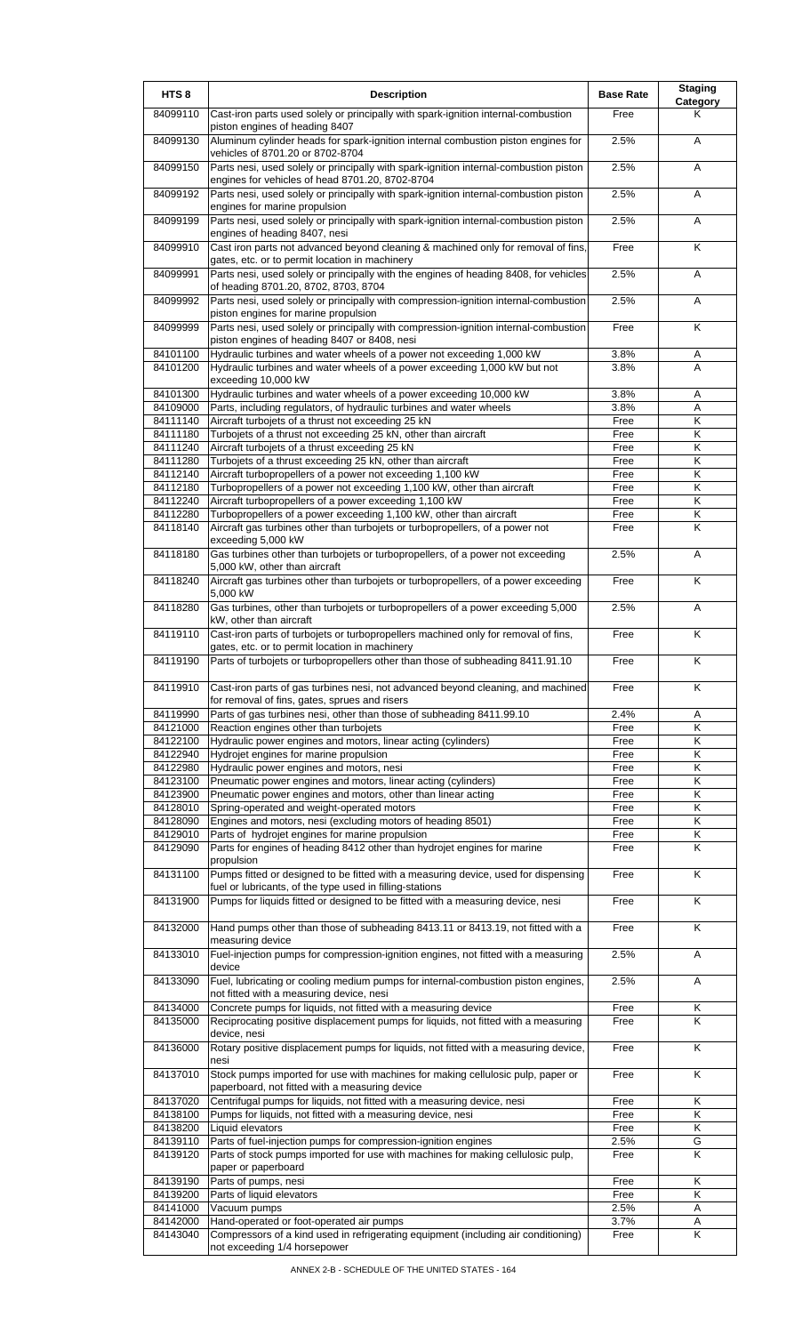| HTS <sub>8</sub>     | <b>Description</b>                                                                                                                                  | <b>Base Rate</b> | <b>Staging</b><br>Category |
|----------------------|-----------------------------------------------------------------------------------------------------------------------------------------------------|------------------|----------------------------|
| 84099110             | Cast-iron parts used solely or principally with spark-ignition internal-combustion<br>piston engines of heading 8407                                | Free             | Κ                          |
| 84099130             | Aluminum cylinder heads for spark-ignition internal combustion piston engines for<br>vehicles of 8701.20 or 8702-8704                               | 2.5%             | A                          |
| 84099150             | Parts nesi, used solely or principally with spark-ignition internal-combustion piston<br>engines for vehicles of head 8701.20, 8702-8704            | 2.5%             | A                          |
| 84099192             | Parts nesi, used solely or principally with spark-ignition internal-combustion piston<br>engines for marine propulsion                              | 2.5%             | A                          |
| 84099199             | Parts nesi, used solely or principally with spark-ignition internal-combustion piston<br>engines of heading 8407, nesi                              | 2.5%             | Α                          |
| 84099910             | Cast iron parts not advanced beyond cleaning & machined only for removal of fins,<br>gates, etc. or to permit location in machinery                 | Free             | Κ                          |
| 84099991             | Parts nesi, used solely or principally with the engines of heading 8408, for vehicles<br>of heading 8701.20, 8702, 8703, 8704                       | 2.5%             | A                          |
| 84099992             | Parts nesi, used solely or principally with compression-ignition internal-combustion<br>piston engines for marine propulsion                        | 2.5%             | Α                          |
| 84099999             | Parts nesi, used solely or principally with compression-ignition internal-combustion<br>piston engines of heading 8407 or 8408, nesi                | Free             | K                          |
| 84101100             | Hydraulic turbines and water wheels of a power not exceeding 1,000 kW                                                                               | 3.8%             | Α                          |
| 84101200             | Hydraulic turbines and water wheels of a power exceeding 1,000 kW but not                                                                           | 3.8%             | A                          |
|                      | exceeding 10,000 kW                                                                                                                                 |                  |                            |
| 84101300<br>84109000 | Hydraulic turbines and water wheels of a power exceeding 10,000 kW<br>Parts, including regulators, of hydraulic turbines and water wheels           | 3.8%<br>3.8%     | Α<br>A                     |
| 84111140             | Aircraft turbojets of a thrust not exceeding 25 kN                                                                                                  | Free             | Κ                          |
| 84111180             | Turbojets of a thrust not exceeding 25 kN, other than aircraft                                                                                      | Free             | Κ                          |
| 84111240             | Aircraft turbojets of a thrust exceeding 25 kN                                                                                                      | Free             | Κ                          |
| 84111280             | Turbojets of a thrust exceeding 25 kN, other than aircraft                                                                                          | Free             | Κ                          |
| 84112140             | Aircraft turbopropellers of a power not exceeding 1,100 kW                                                                                          | Free             | Κ                          |
| 84112180             | Turbopropellers of a power not exceeding 1,100 kW, other than aircraft                                                                              | Free             | Κ                          |
| 84112240             | Aircraft turbopropellers of a power exceeding 1,100 kW                                                                                              | Free             | Κ                          |
| 84112280<br>84118140 | Turbopropellers of a power exceeding 1,100 kW, other than aircraft<br>Aircraft gas turbines other than turbojets or turbopropellers, of a power not | Free<br>Free     | Κ<br>K                     |
| 84118180             | exceeding 5,000 kW<br>Gas turbines other than turbojets or turbopropellers, of a power not exceeding                                                | 2.5%             | Α                          |
| 84118240             | 5,000 kW, other than aircraft<br>Aircraft gas turbines other than turbojets or turbopropellers, of a power exceeding                                | Free             | Κ                          |
| 84118280             | 5,000 kW<br>Gas turbines, other than turbojets or turbopropellers of a power exceeding 5,000                                                        | 2.5%             | A                          |
| 84119110             | kW, other than aircraft<br>Cast-iron parts of turbojets or turbopropellers machined only for removal of fins,                                       | Free             | Κ                          |
| 84119190             | gates, etc. or to permit location in machinery<br>Parts of turbojets or turbopropellers other than those of subheading 8411.91.10                   | Free             | Κ                          |
| 84119910             | Cast-iron parts of gas turbines nesi, not advanced beyond cleaning, and machined                                                                    | Free             | K                          |
| 84119990             | for removal of fins, gates, sprues and risers<br>Parts of gas turbines nesi, other than those of subheading 8411.99.10                              | 2.4%             | Α                          |
| 84121000             | Reaction engines other than turbojets                                                                                                               | Free             | Κ                          |
| 84122100             | Hydraulic power engines and motors, linear acting (cylinders)                                                                                       | Free             | K                          |
| 84122940             | Hydrojet engines for marine propulsion                                                                                                              | Free             | K                          |
| 84122980             | Hydraulic power engines and motors, nesi                                                                                                            | Free             | Κ                          |
| 84123100             | Pneumatic power engines and motors, linear acting (cylinders)                                                                                       | Free             | Κ                          |
| 84123900<br>84128010 | Pneumatic power engines and motors, other than linear acting                                                                                        | Free             | Κ<br>Κ                     |
| 84128090             | Spring-operated and weight-operated motors<br>Engines and motors, nesi (excluding motors of heading 8501)                                           | Free<br>Free     | Κ                          |
| 84129010             | Parts of hydrojet engines for marine propulsion                                                                                                     | Free             | Κ                          |
| 84129090             | Parts for engines of heading 8412 other than hydrojet engines for marine<br>propulsion                                                              | Free             | K                          |
| 84131100             | Pumps fitted or designed to be fitted with a measuring device, used for dispensing<br>fuel or lubricants, of the type used in filling-stations      | Free             | K                          |
| 84131900             | Pumps for liquids fitted or designed to be fitted with a measuring device, nesi                                                                     | Free             | K                          |
| 84132000             | Hand pumps other than those of subheading 8413.11 or 8413.19, not fitted with a<br>measuring device                                                 | Free             | K                          |
| 84133010             | Fuel-injection pumps for compression-ignition engines, not fitted with a measuring<br>device                                                        | 2.5%             | A                          |
| 84133090             | Fuel, lubricating or cooling medium pumps for internal-combustion piston engines,<br>not fitted with a measuring device, nesi                       | 2.5%             | A                          |
| 84134000             | Concrete pumps for liquids, not fitted with a measuring device                                                                                      | Free             | Κ                          |
| 84135000             | Reciprocating positive displacement pumps for liquids, not fitted with a measuring<br>device, nesi                                                  | Free             | K                          |
| 84136000             | Rotary positive displacement pumps for liquids, not fitted with a measuring device,<br>nesi                                                         | Free             | Κ                          |
| 84137010             | Stock pumps imported for use with machines for making cellulosic pulp, paper or<br>paperboard, not fitted with a measuring device                   | Free             | K                          |
| 84137020<br>84138100 | Centrifugal pumps for liquids, not fitted with a measuring device, nesi<br>Pumps for liquids, not fitted with a measuring device, nesi              | Free<br>Free     | Κ<br>K                     |
| 84138200             | Liquid elevators                                                                                                                                    | Free             | Κ                          |
| 84139110             | Parts of fuel-injection pumps for compression-ignition engines                                                                                      | 2.5%             | G                          |
| 84139120             | Parts of stock pumps imported for use with machines for making cellulosic pulp,                                                                     | Free             | Κ                          |
|                      | paper or paperboard                                                                                                                                 |                  |                            |
| 84139190             | Parts of pumps, nesi                                                                                                                                | Free             | Κ                          |
| 84139200<br>84141000 | Parts of liquid elevators<br>Vacuum pumps                                                                                                           | Free<br>2.5%     | K<br>Α                     |
| 84142000             | Hand-operated or foot-operated air pumps                                                                                                            | 3.7%             | Α                          |
| 84143040             | Compressors of a kind used in refrigerating equipment (including air conditioning)<br>not exceeding 1/4 horsepower                                  | Free             | K                          |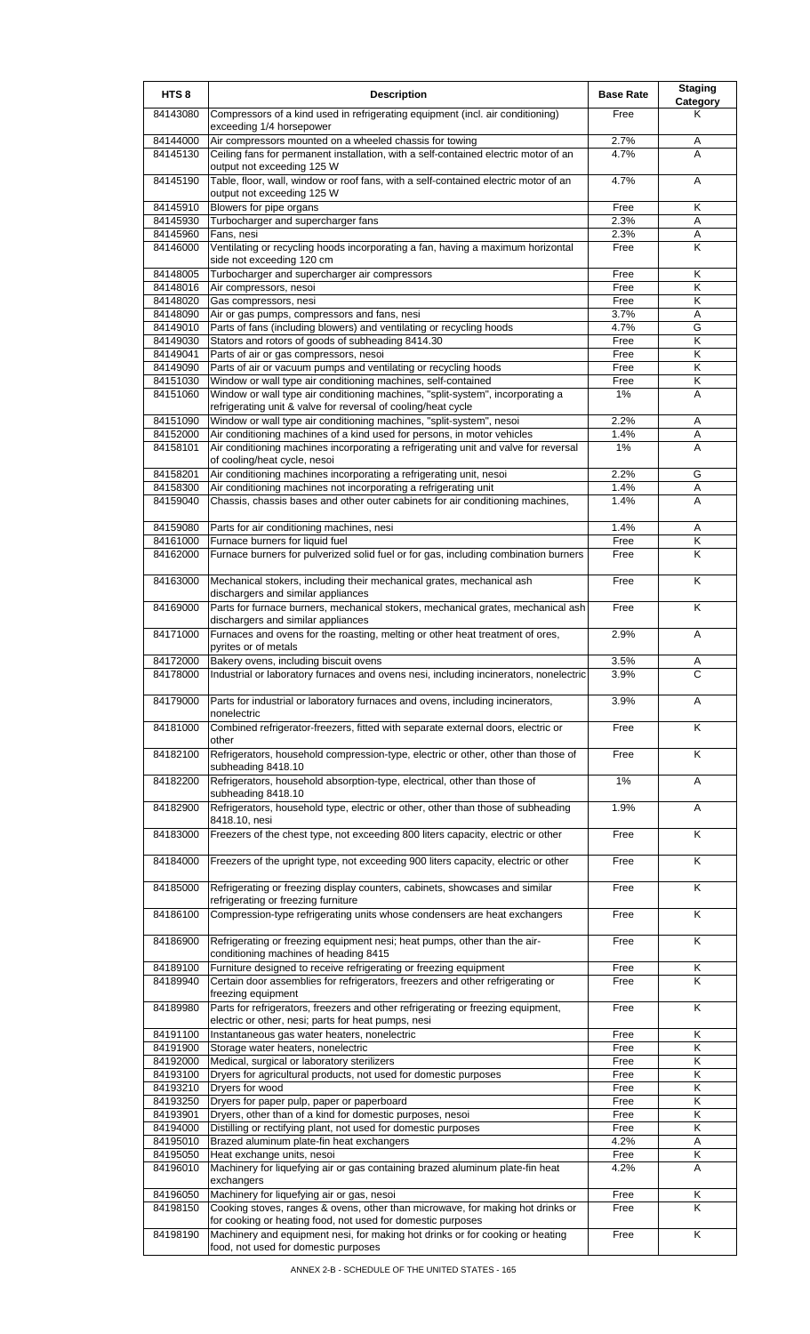| HTS <sub>8</sub>     | <b>Description</b>                                                                                                                            | <b>Base Rate</b> | <b>Staging</b><br><b>Category</b> |
|----------------------|-----------------------------------------------------------------------------------------------------------------------------------------------|------------------|-----------------------------------|
| 84143080             | Compressors of a kind used in refrigerating equipment (incl. air conditioning)<br>exceeding 1/4 horsepower                                    | Free             | Κ                                 |
| 84144000             | Air compressors mounted on a wheeled chassis for towing                                                                                       | 2.7%             | Α                                 |
| 84145130             | Ceiling fans for permanent installation, with a self-contained electric motor of an<br>output not exceeding 125 W                             | 4.7%             | A                                 |
| 84145190             | Table, floor, wall, window or roof fans, with a self-contained electric motor of an<br>output not exceeding 125 W                             | 4.7%             | Α                                 |
| 84145910             | Blowers for pipe organs                                                                                                                       | Free             | Κ                                 |
| 84145930<br>84145960 | Turbocharger and supercharger fans<br>Fans, nesi                                                                                              | 2.3%<br>2.3%     | A<br>A                            |
| 84146000             | Ventilating or recycling hoods incorporating a fan, having a maximum horizontal                                                               | Free             | Κ                                 |
| 84148005             | side not exceeding 120 cm<br>Turbocharger and supercharger air compressors                                                                    | Free             | K                                 |
| 84148016             | Air compressors, nesoi                                                                                                                        | Free             | Κ                                 |
| 84148020             | Gas compressors, nesi                                                                                                                         | Free             | Κ                                 |
| 84148090             | Air or gas pumps, compressors and fans, nesi                                                                                                  | 3.7%             | Α                                 |
| 84149010             | Parts of fans (including blowers) and ventilating or recycling hoods                                                                          | 4.7%             | G                                 |
| 84149030             | Stators and rotors of goods of subheading 8414.30                                                                                             | Free             | Κ                                 |
| 84149041             | Parts of air or gas compressors, nesoi                                                                                                        | Free             | Κ<br>Κ                            |
| 84149090<br>84151030 | Parts of air or vacuum pumps and ventilating or recycling hoods<br>Window or wall type air conditioning machines, self-contained              | Free<br>Free     | Κ                                 |
| 84151060             | Window or wall type air conditioning machines, "split-system", incorporating a                                                                | 1%               | Α                                 |
|                      | refrigerating unit & valve for reversal of cooling/heat cycle                                                                                 |                  |                                   |
| 84151090             | Window or wall type air conditioning machines, "split-system", nesoi                                                                          | 2.2%             | Α                                 |
| 84152000             | Air conditioning machines of a kind used for persons, in motor vehicles                                                                       | 1.4%             | Α                                 |
| 84158101             | Air conditioning machines incorporating a refrigerating unit and valve for reversal<br>of cooling/heat cycle, nesoi                           | 1%               | Α                                 |
| 84158201             | Air conditioning machines incorporating a refrigerating unit, nesoi                                                                           | 2.2%             | G                                 |
| 84158300             | Air conditioning machines not incorporating a refrigerating unit                                                                              | 1.4%             | Α                                 |
| 84159040             | Chassis, chassis bases and other outer cabinets for air conditioning machines,                                                                | 1.4%             | Α                                 |
| 84159080             | Parts for air conditioning machines, nesi                                                                                                     | 1.4%             | Α                                 |
| 84161000             | Furnace burners for liquid fuel                                                                                                               | Free             | Κ                                 |
| 84162000             | Furnace burners for pulverized solid fuel or for gas, including combination burners                                                           | Free             | K                                 |
| 84163000             | Mechanical stokers, including their mechanical grates, mechanical ash<br>dischargers and similar appliances                                   | Free             | K                                 |
| 84169000             | Parts for furnace burners, mechanical stokers, mechanical grates, mechanical ash<br>dischargers and similar appliances                        | Free             | K                                 |
| 84171000             | Furnaces and ovens for the roasting, melting or other heat treatment of ores,<br>pyrites or of metals                                         | 2.9%             | Α                                 |
| 84172000<br>84178000 | Bakery ovens, including biscuit ovens<br>[Industrial or laboratory furnaces and ovens nesi, including incinerators, nonelectric               | 3.5%<br>3.9%     | Α<br>С                            |
| 84179000             | Parts for industrial or laboratory furnaces and ovens, including incinerators,<br>nonelectric                                                 | 3.9%             | A                                 |
| 84181000             | Combined refrigerator-freezers, fitted with separate external doors, electric or<br>other                                                     | Free             | K                                 |
| 84182100             | Refrigerators, household compression-type, electric or other, other than those of<br>subheading 8418.10                                       | Free             | K                                 |
| 84182200             | Refrigerators, household absorption-type, electrical, other than those of<br>subheading 8418.10                                               | 1%               | Α                                 |
| 84182900             | Refrigerators, household type, electric or other, other than those of subheading<br>8418.10, nesi                                             | 1.9%             | Α                                 |
| 84183000             | Freezers of the chest type, not exceeding 800 liters capacity, electric or other                                                              | Free             | Κ                                 |
| 84184000             | Freezers of the upright type, not exceeding 900 liters capacity, electric or other                                                            | Free             | K                                 |
| 84185000             | Refrigerating or freezing display counters, cabinets, showcases and similar<br>refrigerating or freezing furniture                            | Free             | K                                 |
| 84186100             | Compression-type refrigerating units whose condensers are heat exchangers                                                                     | Free             | K                                 |
| 84186900             | Refrigerating or freezing equipment nesi; heat pumps, other than the air-<br>conditioning machines of heading 8415                            | Free             | $\overline{\mathsf{K}}$           |
| 84189100             | Furniture designed to receive refrigerating or freezing equipment                                                                             | Free             | Κ                                 |
| 84189940             | Certain door assemblies for refrigerators, freezers and other refrigerating or<br>freezing equipment                                          | Free             | Κ                                 |
| 84189980             | Parts for refrigerators, freezers and other refrigerating or freezing equipment,<br>electric or other, nesi; parts for heat pumps, nesi       | Free             | K                                 |
| 84191100             | Instantaneous gas water heaters, nonelectric                                                                                                  | Free             | Κ                                 |
| 84191900             | Storage water heaters, nonelectric                                                                                                            | Free             | Κ                                 |
| 84192000             | Medical, surgical or laboratory sterilizers                                                                                                   | Free             | K                                 |
| 84193100<br>84193210 | Dryers for agricultural products, not used for domestic purposes<br>Dryers for wood                                                           | Free<br>Free     | Κ<br>Κ                            |
| 84193250             | Dryers for paper pulp, paper or paperboard                                                                                                    | Free             | Κ                                 |
| 84193901             | Dryers, other than of a kind for domestic purposes, nesoi                                                                                     | Free             | Κ                                 |
| 84194000             | Distilling or rectifying plant, not used for domestic purposes                                                                                | Free             | Κ                                 |
| 84195010             | Brazed aluminum plate-fin heat exchangers                                                                                                     | 4.2%             | Α                                 |
| 84195050             | Heat exchange units, nesoi                                                                                                                    | Free             | Κ                                 |
| 84196010             | Machinery for liquefying air or gas containing brazed aluminum plate-fin heat<br>exchangers                                                   | 4.2%             | Α                                 |
| 84196050             | Machinery for liquefying air or gas, nesoi                                                                                                    | Free             | Κ                                 |
| 84198150             | Cooking stoves, ranges & ovens, other than microwave, for making hot drinks or<br>for cooking or heating food, not used for domestic purposes | Free             | Κ                                 |
| 84198190             | Machinery and equipment nesi, for making hot drinks or for cooking or heating<br>food, not used for domestic purposes                         | Free             | Κ                                 |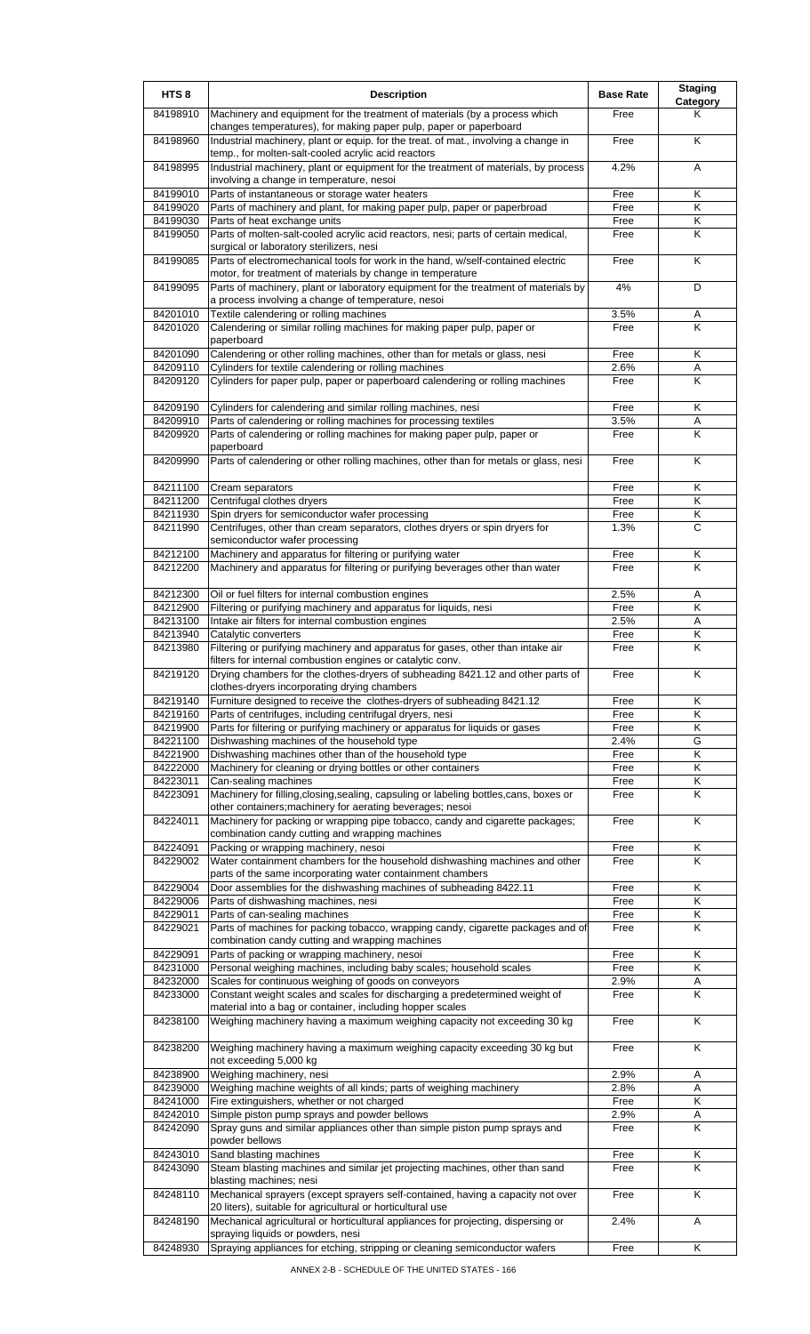| HTS <sub>8</sub>     | <b>Description</b>                                                                                                                                                                            | <b>Base Rate</b> | <b>Staging</b><br>Category |
|----------------------|-----------------------------------------------------------------------------------------------------------------------------------------------------------------------------------------------|------------------|----------------------------|
| 84198910             | Machinery and equipment for the treatment of materials (by a process which<br>changes temperatures), for making paper pulp, paper or paperboard                                               | Free             | Κ                          |
| 84198960             | Industrial machinery, plant or equip. for the treat. of mat., involving a change in<br>temp., for molten-salt-cooled acrylic acid reactors                                                    | Free             | K                          |
| 84198995             | Industrial machinery, plant or equipment for the treatment of materials, by process<br>involving a change in temperature, nesoi                                                               | 4.2%             | A                          |
| 84199010             | Parts of instantaneous or storage water heaters                                                                                                                                               | Free             | $\overline{\mathsf{K}}$    |
| 84199020             | Parts of machinery and plant, for making paper pulp, paper or paperbroad                                                                                                                      | Free             | Κ                          |
| 84199030<br>84199050 | Parts of heat exchange units<br>Parts of molten-salt-cooled acrylic acid reactors, nesi; parts of certain medical,                                                                            | Free<br>Free     | Κ<br>Κ                     |
|                      | surgical or laboratory sterilizers, nesi                                                                                                                                                      |                  |                            |
| 84199085             | Parts of electromechanical tools for work in the hand, w/self-contained electric<br>motor, for treatment of materials by change in temperature                                                | Free             | Κ                          |
| 84199095             | Parts of machinery, plant or laboratory equipment for the treatment of materials by<br>a process involving a change of temperature, nesoi                                                     | 4%               | D                          |
| 84201010<br>84201020 | Textile calendering or rolling machines<br>Calendering or similar rolling machines for making paper pulp, paper or                                                                            | 3.5%<br>Free     | Α<br>K                     |
| 84201090             | paperboard<br>Calendering or other rolling machines, other than for metals or glass, nesi                                                                                                     | Free             | Κ                          |
| 84209110             | Cylinders for textile calendering or rolling machines                                                                                                                                         | 2.6%             | Α                          |
| 84209120             | Cylinders for paper pulp, paper or paperboard calendering or rolling machines                                                                                                                 | Free             | Κ                          |
| 84209190             | Cylinders for calendering and similar rolling machines, nesi                                                                                                                                  | Free             | Κ                          |
| 84209910             | Parts of calendering or rolling machines for processing textiles                                                                                                                              | 3.5%             | Α                          |
| 84209920             | Parts of calendering or rolling machines for making paper pulp, paper or<br>paperboard                                                                                                        | Free             | K                          |
| 84209990             | Parts of calendering or other rolling machines, other than for metals or glass, nesi                                                                                                          | Free             | Κ                          |
| 84211100             | Cream separators                                                                                                                                                                              | Free             | Κ                          |
| 84211200             | Centrifugal clothes dryers                                                                                                                                                                    | Free             | Κ                          |
| 84211930             | Spin dryers for semiconductor wafer processing                                                                                                                                                | Free             | Κ                          |
| 84211990             | Centrifuges, other than cream separators, clothes dryers or spin dryers for<br>semiconductor wafer processing                                                                                 | 1.3%             | C                          |
| 84212100             | Machinery and apparatus for filtering or purifying water                                                                                                                                      | Free             | Κ                          |
| 84212200             | Machinery and apparatus for filtering or purifying beverages other than water                                                                                                                 | Free             | K                          |
| 84212300             | Oil or fuel filters for internal combustion engines                                                                                                                                           | 2.5%             | A                          |
| 84212900<br>84213100 | Filtering or purifying machinery and apparatus for liquids, nesi<br>Intake air filters for internal combustion engines                                                                        | Free<br>2.5%     | Κ<br>Α                     |
| 84213940             | Catalytic converters                                                                                                                                                                          | Free             | Κ                          |
| 84213980             | Filtering or purifying machinery and apparatus for gases, other than intake air                                                                                                               | Free             | K                          |
| 84219120             | filters for internal combustion engines or catalytic conv.<br>Drying chambers for the clothes-dryers of subheading 8421.12 and other parts of<br>clothes-dryers incorporating drying chambers | Free             | ĸ                          |
| 84219140             | Furniture designed to receive the clothes-dryers of subheading 8421.12                                                                                                                        | Free             | Κ                          |
| 84219160             | Parts of centrifuges, including centrifugal dryers, nesi                                                                                                                                      | Free             | Κ                          |
| 84219900             | Parts for filtering or purifying machinery or apparatus for liquids or gases                                                                                                                  | Free             | Κ                          |
| 84221100<br>84221900 | Dishwashing machines of the household type<br>Dishwashing machines other than of the household type                                                                                           | 2.4%<br>Free     | G<br>Κ                     |
| 84222000             | Machinery for cleaning or drying bottles or other containers                                                                                                                                  | Free             | Κ                          |
| 84223011             | Can-sealing machines                                                                                                                                                                          | Free             | Κ                          |
| 84223091             | Machinery for filling, closing, sealing, capsuling or labeling bottles, cans, boxes or<br>other containers; machinery for aerating beverages; nesoi                                           | Free             | Κ                          |
| 84224011             | Machinery for packing or wrapping pipe tobacco, candy and cigarette packages;<br>combination candy cutting and wrapping machines                                                              | Free             | Κ                          |
| 84224091             | Packing or wrapping machinery, nesoi                                                                                                                                                          | Free             | Κ                          |
| 84229002             | Water containment chambers for the household dishwashing machines and other<br>parts of the same incorporating water containment chambers                                                     | Free             | K                          |
| 84229004             | Door assemblies for the dishwashing machines of subheading 8422.11                                                                                                                            | Free             | Κ                          |
| 84229006             | Parts of dishwashing machines, nesi                                                                                                                                                           | Free             | Κ                          |
| 84229011<br>84229021 | Parts of can-sealing machines<br>Parts of machines for packing tobacco, wrapping candy, cigarette packages and of                                                                             | Free<br>Free     | Κ<br>Κ                     |
| 84229091             | combination candy cutting and wrapping machines<br>Parts of packing or wrapping machinery, nesoi                                                                                              | Free             | Κ                          |
| 84231000             | Personal weighing machines, including baby scales; household scales                                                                                                                           | Free             | Κ                          |
| 84232000             | Scales for continuous weighing of goods on conveyors                                                                                                                                          | 2.9%             | A                          |
| 84233000             | Constant weight scales and scales for discharging a predetermined weight of<br>material into a bag or container, including hopper scales                                                      | Free             | Κ                          |
| 84238100             | Weighing machinery having a maximum weighing capacity not exceeding 30 kg                                                                                                                     | Free             | K                          |
| 84238200             | Weighing machinery having a maximum weighing capacity exceeding 30 kg but<br>not exceeding 5,000 kg                                                                                           | Free             | K                          |
| 84238900             | Weighing machinery, nesi                                                                                                                                                                      | 2.9%             | Α                          |
| 84239000             | Weighing machine weights of all kinds; parts of weighing machinery                                                                                                                            | 2.8%             | Α<br>Κ                     |
| 84241000<br>84242010 | Fire extinguishers, whether or not charged<br>Simple piston pump sprays and powder bellows                                                                                                    | Free<br>2.9%     | Α                          |
| 84242090             | Spray guns and similar appliances other than simple piston pump sprays and<br>powder bellows                                                                                                  | Free             | Κ                          |
| 84243010             | Sand blasting machines                                                                                                                                                                        | Free             | Κ                          |
| 84243090             | Steam blasting machines and similar jet projecting machines, other than sand<br>blasting machines; nesi                                                                                       | Free             | Κ                          |
| 84248110             | Mechanical sprayers (except sprayers self-contained, having a capacity not over<br>20 liters), suitable for agricultural or horticultural use                                                 | Free             | Κ                          |
| 84248190             | Mechanical agricultural or horticultural appliances for projecting, dispersing or<br>spraying liquids or powders, nesi                                                                        | 2.4%             | Α                          |
| 84248930             | Spraying appliances for etching, stripping or cleaning semiconductor wafers                                                                                                                   | Free             | Κ                          |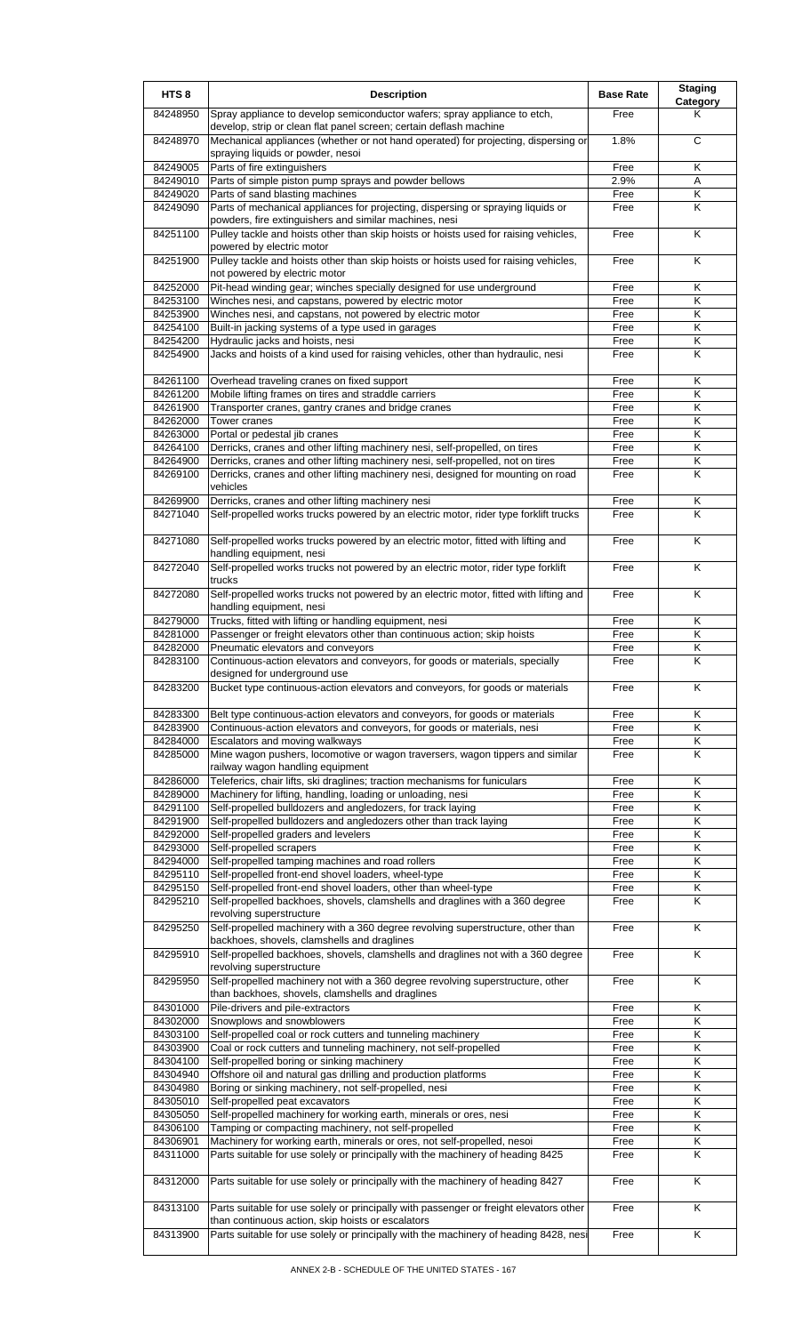| HTS <sub>8</sub>     | <b>Description</b>                                                                                                                                                                                                 | <b>Base Rate</b> | <b>Staging</b><br><b>Category</b> |
|----------------------|--------------------------------------------------------------------------------------------------------------------------------------------------------------------------------------------------------------------|------------------|-----------------------------------|
| 84248950             | Spray appliance to develop semiconductor wafers; spray appliance to etch,<br>develop, strip or clean flat panel screen; certain deflash machine                                                                    | Free             | Κ                                 |
| 84248970             | Mechanical appliances (whether or not hand operated) for projecting, dispersing or<br>spraying liquids or powder, nesoi                                                                                            | 1.8%             | $\mathsf{C}$                      |
| 84249005             | Parts of fire extinguishers                                                                                                                                                                                        | Free             | Κ                                 |
| 84249010             | Parts of simple piston pump sprays and powder bellows                                                                                                                                                              | 2.9%             | Α                                 |
| 84249020             | Parts of sand blasting machines                                                                                                                                                                                    | Free             | K                                 |
| 84249090             | Parts of mechanical appliances for projecting, dispersing or spraying liquids or<br>powders, fire extinguishers and similar machines, nesi                                                                         | Free             | Κ                                 |
| 84251100             | Pulley tackle and hoists other than skip hoists or hoists used for raising vehicles,<br>powered by electric motor                                                                                                  | Free             | K                                 |
| 84251900             | Pulley tackle and hoists other than skip hoists or hoists used for raising vehicles,<br>not powered by electric motor                                                                                              | Free             | Κ                                 |
| 84252000             | Pit-head winding gear; winches specially designed for use underground                                                                                                                                              | Free             | Κ                                 |
| 84253100             | Winches nesi, and capstans, powered by electric motor                                                                                                                                                              | Free             | Κ                                 |
| 84253900<br>84254100 | Winches nesi, and capstans, not powered by electric motor<br>Built-in jacking systems of a type used in garages                                                                                                    | Free<br>Free     | Κ<br>Κ                            |
| 84254200             | Hydraulic jacks and hoists, nesi                                                                                                                                                                                   | Free             | Κ                                 |
| 84254900             | Jacks and hoists of a kind used for raising vehicles, other than hydraulic, nesi                                                                                                                                   | Free             | ĸ                                 |
| 84261100             | Overhead traveling cranes on fixed support                                                                                                                                                                         | Free             | Κ                                 |
| 84261200             | Mobile lifting frames on tires and straddle carriers                                                                                                                                                               | Free             | $\overline{\mathsf{K}}$           |
| 84261900<br>84262000 | Transporter cranes, gantry cranes and bridge cranes<br>Tower cranes                                                                                                                                                | Free<br>Free     | Κ<br>Κ                            |
| 84263000             | Portal or pedestal jib cranes                                                                                                                                                                                      | Free             | K                                 |
| 84264100             | Derricks, cranes and other lifting machinery nesi, self-propelled, on tires                                                                                                                                        | Free             | Κ                                 |
| 84264900             | Derricks, cranes and other lifting machinery nesi, self-propelled, not on tires                                                                                                                                    | Free             | Κ                                 |
| 84269100             | Derricks, cranes and other lifting machinery nesi, designed for mounting on road<br>vehicles                                                                                                                       | Free             | Κ                                 |
| 84269900             | Derricks, cranes and other lifting machinery nesi                                                                                                                                                                  | Free             | Κ<br>κ                            |
| 84271040             | Self-propelled works trucks powered by an electric motor, rider type forklift trucks                                                                                                                               | Free             |                                   |
| 84271080             | Self-propelled works trucks powered by an electric motor, fitted with lifting and<br>handling equipment, nesi                                                                                                      | Free             | K                                 |
| 84272040             | Self-propelled works trucks not powered by an electric motor, rider type forklift<br>trucks                                                                                                                        | Free             | K                                 |
| 84272080             | Self-propelled works trucks not powered by an electric motor, fitted with lifting and<br>handling equipment, nesi                                                                                                  | Free             | K                                 |
| 84279000<br>84281000 | Trucks, fitted with lifting or handling equipment, nesi<br>Passenger or freight elevators other than continuous action; skip hoists                                                                                | Free<br>Free     | Κ<br>Κ                            |
| 84282000             | Pneumatic elevators and conveyors                                                                                                                                                                                  | Free             | Κ                                 |
| 84283100             | Continuous-action elevators and conveyors, for goods or materials, specially                                                                                                                                       | Free             | Κ                                 |
| 84283200             | designed for underground use<br>Bucket type continuous-action elevators and conveyors, for goods or materials                                                                                                      | Free             | Κ                                 |
|                      |                                                                                                                                                                                                                    |                  |                                   |
| 84283300<br>84283900 | Belt type continuous-action elevators and conveyors, for goods or materials<br>Continuous-action elevators and conveyors, for goods or materials, nesi                                                             | Free<br>Free     | Κ<br>$\overline{\mathsf{K}}$      |
| 84284000             | Escalators and moving walkways                                                                                                                                                                                     | Free             | Κ                                 |
| 84285000             | Mine wagon pushers, locomotive or wagon traversers, wagon tippers and similar<br>railway wagon handling equipment                                                                                                  | Free             | K                                 |
| 84286000             | Teleferics, chair lifts, ski draglines; traction mechanisms for funiculars                                                                                                                                         | Free             | Κ                                 |
| 84289000             | Machinery for lifting, handling, loading or unloading, nesi                                                                                                                                                        | Free             | Κ                                 |
| 84291100             | Self-propelled bulldozers and angledozers, for track laying                                                                                                                                                        | Free             | Κ                                 |
| 84291900<br>84292000 | Self-propelled bulldozers and angledozers other than track laying<br>Self-propelled graders and levelers                                                                                                           | Free<br>Free     | Κ<br>κ                            |
| 84293000             | Self-propelled scrapers                                                                                                                                                                                            | Free             | Κ                                 |
| 84294000             | Self-propelled tamping machines and road rollers                                                                                                                                                                   | Free             | K                                 |
| 84295110             | Self-propelled front-end shovel loaders, wheel-type                                                                                                                                                                | Free             | κ                                 |
| 84295150<br>84295210 | Self-propelled front-end shovel loaders, other than wheel-type<br>Self-propelled backhoes, shovels, clamshells and draglines with a 360 degree                                                                     | Free<br>Free     | Κ<br>K                            |
| 84295250             | revolving superstructure                                                                                                                                                                                           |                  | Κ                                 |
| 84295910             | Self-propelled machinery with a 360 degree revolving superstructure, other than<br>backhoes, shovels, clamshells and draglines<br>Self-propelled backhoes, shovels, clamshells and draglines not with a 360 degree | Free<br>Free     | Κ                                 |
|                      | revolving superstructure                                                                                                                                                                                           |                  |                                   |
| 84295950             | Self-propelled machinery not with a 360 degree revolving superstructure, other<br>than backhoes, shovels, clamshells and draglines                                                                                 | Free             | K                                 |
| 84301000<br>84302000 | Pile-drivers and pile-extractors<br>Snowplows and snowblowers                                                                                                                                                      | Free<br>Free     | Κ<br>K                            |
| 84303100             | Self-propelled coal or rock cutters and tunneling machinery                                                                                                                                                        | Free             | Κ                                 |
| 84303900             | Coal or rock cutters and tunneling machinery, not self-propelled                                                                                                                                                   | Free             | Κ                                 |
| 84304100             | Self-propelled boring or sinking machinery                                                                                                                                                                         | Free             | Κ                                 |
| 84304940<br>84304980 | Offshore oil and natural gas drilling and production platforms<br>Boring or sinking machinery, not self-propelled, nesi                                                                                            | Free<br>Free     | Κ<br>κ                            |
| 84305010             | Self-propelled peat excavators                                                                                                                                                                                     | Free             | K                                 |
| 84305050             | Self-propelled machinery for working earth, minerals or ores, nesi                                                                                                                                                 | Free             | Κ                                 |
| 84306100             | Tamping or compacting machinery, not self-propelled                                                                                                                                                                | Free             | Κ                                 |
| 84306901             | Machinery for working earth, minerals or ores, not self-propelled, nesoi                                                                                                                                           | Free             | Κ                                 |
| 84311000             | Parts suitable for use solely or principally with the machinery of heading 8425                                                                                                                                    | Free             | K                                 |
| 84312000             | Parts suitable for use solely or principally with the machinery of heading 8427                                                                                                                                    | Free             | Κ                                 |
| 84313100             | Parts suitable for use solely or principally with passenger or freight elevators other<br>than continuous action, skip hoists or escalators                                                                        | Free             | K                                 |
| 84313900             | Parts suitable for use solely or principally with the machinery of heading 8428, nesi                                                                                                                              | Free             | Κ                                 |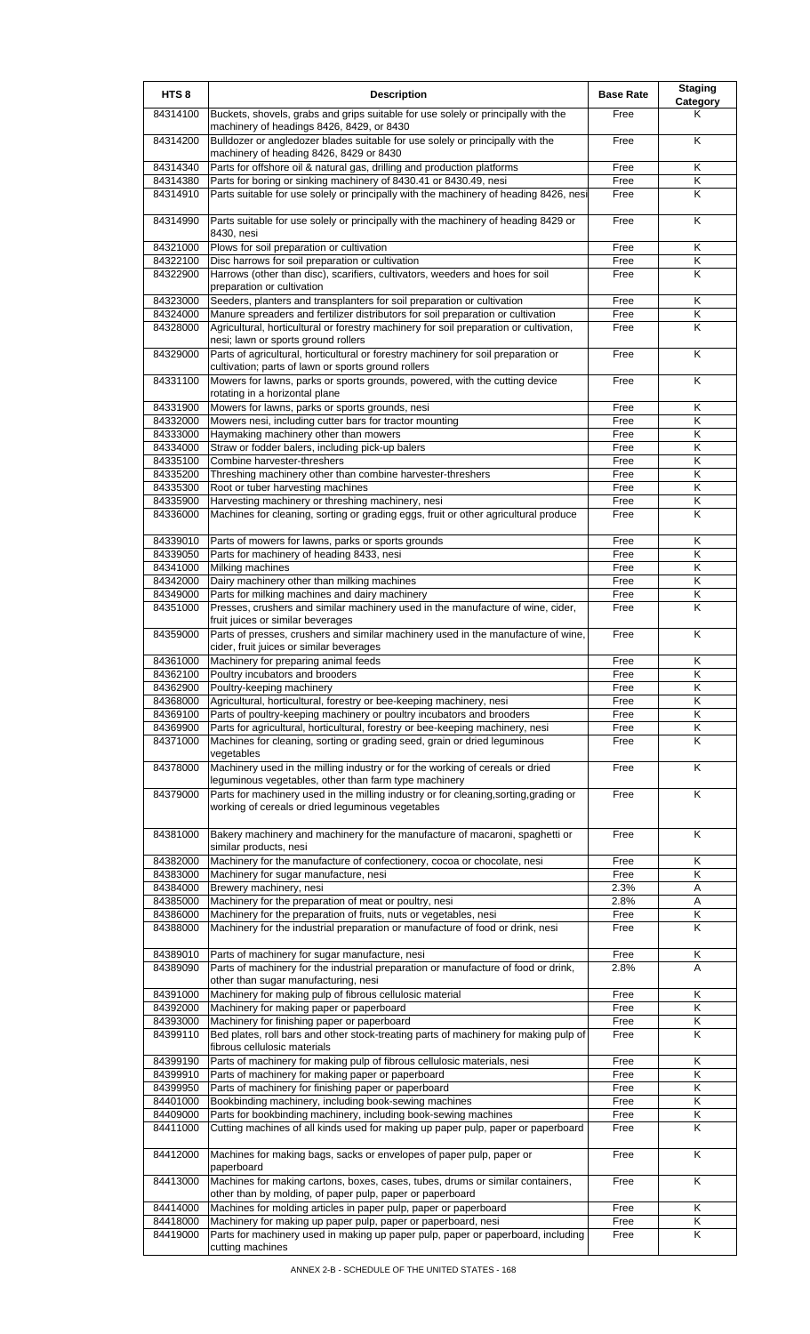| HTS <sub>8</sub>     | <b>Description</b>                                                                                                                                                          | <b>Base Rate</b> | <b>Staging</b><br><b>Category</b> |
|----------------------|-----------------------------------------------------------------------------------------------------------------------------------------------------------------------------|------------------|-----------------------------------|
| 84314100             | Buckets, shovels, grabs and grips suitable for use solely or principally with the<br>machinery of headings 8426, 8429, or 8430                                              | Free             | Κ                                 |
| 84314200             | Bulldozer or angledozer blades suitable for use solely or principally with the<br>machinery of heading 8426, 8429 or 8430                                                   | Free             | K                                 |
| 84314340             | Parts for offshore oil & natural gas, drilling and production platforms                                                                                                     | Free             | K                                 |
| 84314380             | Parts for boring or sinking machinery of 8430.41 or 8430.49, nesi                                                                                                           | Free             | K<br>K                            |
| 84314910             | Parts suitable for use solely or principally with the machinery of heading 8426, nesi<br>Parts suitable for use solely or principally with the machinery of heading 8429 or | Free             |                                   |
| 84314990             | 8430, nesi                                                                                                                                                                  | Free             | Κ                                 |
| 84321000<br>84322100 | Plows for soil preparation or cultivation<br>Disc harrows for soil preparation or cultivation                                                                               | Free<br>Free     | Κ<br>Κ                            |
| 84322900             | Harrows (other than disc), scarifiers, cultivators, weeders and hoes for soil                                                                                               | Free             | K                                 |
|                      | preparation or cultivation                                                                                                                                                  |                  |                                   |
| 84323000<br>84324000 | Seeders, planters and transplanters for soil preparation or cultivation<br>Manure spreaders and fertilizer distributors for soil preparation or cultivation                 | Free<br>Free     | Κ<br>K                            |
| 84328000             | Agricultural, horticultural or forestry machinery for soil preparation or cultivation,<br>nesi; lawn or sports ground rollers                                               | Free             | Κ                                 |
| 84329000             | Parts of agricultural, horticultural or forestry machinery for soil preparation or<br>cultivation; parts of lawn or sports ground rollers                                   | Free             | Κ                                 |
| 84331100             | Mowers for lawns, parks or sports grounds, powered, with the cutting device<br>rotating in a horizontal plane                                                               | Free             | Κ                                 |
| 84331900             | Mowers for lawns, parks or sports grounds, nesi                                                                                                                             | Free             | Κ                                 |
| 84332000             | Mowers nesi, including cutter bars for tractor mounting                                                                                                                     | Free             | Κ<br>Κ                            |
| 84333000<br>84334000 | Haymaking machinery other than mowers<br>Straw or fodder balers, including pick-up balers                                                                                   | Free<br>Free     | Κ                                 |
| 84335100             | Combine harvester-threshers                                                                                                                                                 | Free             | Κ                                 |
| 84335200             | Threshing machinery other than combine harvester-threshers                                                                                                                  | Free             | Κ                                 |
| 84335300             | Root or tuber harvesting machines                                                                                                                                           | Free             | Κ                                 |
| 84335900<br>84336000 | Harvesting machinery or threshing machinery, nesi<br>Machines for cleaning, sorting or grading eggs, fruit or other agricultural produce                                    | Free<br>Free     | Κ<br>K                            |
|                      |                                                                                                                                                                             |                  |                                   |
| 84339010<br>84339050 | Parts of mowers for lawns, parks or sports grounds<br>Parts for machinery of heading 8433, nesi                                                                             | Free<br>Free     | Κ<br>K                            |
| 84341000             | Milking machines                                                                                                                                                            | Free             | Κ                                 |
| 84342000             | Dairy machinery other than milking machines                                                                                                                                 | Free             | Κ                                 |
| 84349000             | Parts for milking machines and dairy machinery                                                                                                                              | Free             | Κ                                 |
| 84351000             | Presses, crushers and similar machinery used in the manufacture of wine, cider,<br>fruit juices or similar beverages                                                        | Free             | K                                 |
| 84359000             | Parts of presses, crushers and similar machinery used in the manufacture of wine,<br>cider, fruit juices or similar beverages                                               | Free             | Κ                                 |
| 84361000<br>84362100 | Machinery for preparing animal feeds<br>Poultry incubators and brooders                                                                                                     | Free             | Κ<br>Κ                            |
| 84362900             | Poultry-keeping machinery                                                                                                                                                   | Free<br>Free     | Κ                                 |
| 84368000             | Agricultural, horticultural, forestry or bee-keeping machinery, nesi                                                                                                        | Free             | Κ                                 |
| 84369100             | Parts of poultry-keeping machinery or poultry incubators and brooders                                                                                                       | Free             | Κ                                 |
| 84369900<br>84371000 | Parts for agricultural, horticultural, forestry or bee-keeping machinery, nesi<br>Machines for cleaning, sorting or grading seed, grain or dried leguminous                 | Free<br>Free     | Κ<br>Κ                            |
| 84378000             | vegetables<br>Machinery used in the milling industry or for the working of cereals or dried                                                                                 | Free             | K                                 |
| 84379000             | leguminous vegetables, other than farm type machinery<br>Parts for machinery used in the milling industry or for cleaning, sorting, grading or                              | Free             | K                                 |
|                      | working of cereals or dried leguminous vegetables                                                                                                                           |                  |                                   |
| 84381000             | Bakery machinery and machinery for the manufacture of macaroni, spaghetti or<br>similar products, nesi                                                                      | Free             | Κ                                 |
| 84382000             | Machinery for the manufacture of confectionery, cocoa or chocolate, nesi                                                                                                    | Free             | Κ                                 |
| 84383000<br>84384000 | Machinery for sugar manufacture, nesi<br>Brewery machinery, nesi                                                                                                            | Free<br>2.3%     | Κ<br>Α                            |
| 84385000             | Machinery for the preparation of meat or poultry, nesi                                                                                                                      | 2.8%             | A                                 |
| 84386000             | Machinery for the preparation of fruits, nuts or vegetables, nesi                                                                                                           | Free             | Κ                                 |
| 84388000             | Machinery for the industrial preparation or manufacture of food or drink, nesi                                                                                              | Free             | K                                 |
| 84389010<br>84389090 | Parts of machinery for sugar manufacture, nesi<br>Parts of machinery for the industrial preparation or manufacture of food or drink,                                        | Free<br>2.8%     | Κ<br>Α                            |
| 84391000             | other than sugar manufacturing, nesi<br>Machinery for making pulp of fibrous cellulosic material                                                                            | Free             | Κ                                 |
| 84392000             | Machinery for making paper or paperboard                                                                                                                                    | Free             | Κ                                 |
| 84393000             | Machinery for finishing paper or paperboard                                                                                                                                 | Free             | $\overline{\mathsf{K}}$           |
| 84399110             | Bed plates, roll bars and other stock-treating parts of machinery for making pulp of<br>fibrous cellulosic materials                                                        | Free             | Κ                                 |
| 84399190             | Parts of machinery for making pulp of fibrous cellulosic materials, nesi                                                                                                    | Free             | Κ                                 |
| 84399910<br>84399950 | Parts of machinery for making paper or paperboard<br>Parts of machinery for finishing paper or paperboard                                                                   | Free<br>Free     | Κ<br>Κ                            |
| 84401000             | Bookbinding machinery, including book-sewing machines                                                                                                                       | Free             | Κ                                 |
| 84409000             | Parts for bookbinding machinery, including book-sewing machines                                                                                                             | Free             | Κ                                 |
| 84411000             | Cutting machines of all kinds used for making up paper pulp, paper or paperboard                                                                                            | Free             | Κ                                 |
| 84412000             | Machines for making bags, sacks or envelopes of paper pulp, paper or<br>paperboard                                                                                          | Free             | Κ                                 |
| 84413000             | Machines for making cartons, boxes, cases, tubes, drums or similar containers,<br>other than by molding, of paper pulp, paper or paperboard                                 | Free             | K                                 |
| 84414000<br>84418000 | Machines for molding articles in paper pulp, paper or paperboard<br>Machinery for making up paper pulp, paper or paperboard, nesi                                           | Free<br>Free     | Κ<br>Κ                            |
| 84419000             | Parts for machinery used in making up paper pulp, paper or paperboard, including<br>cutting machines                                                                        | Free             | Κ                                 |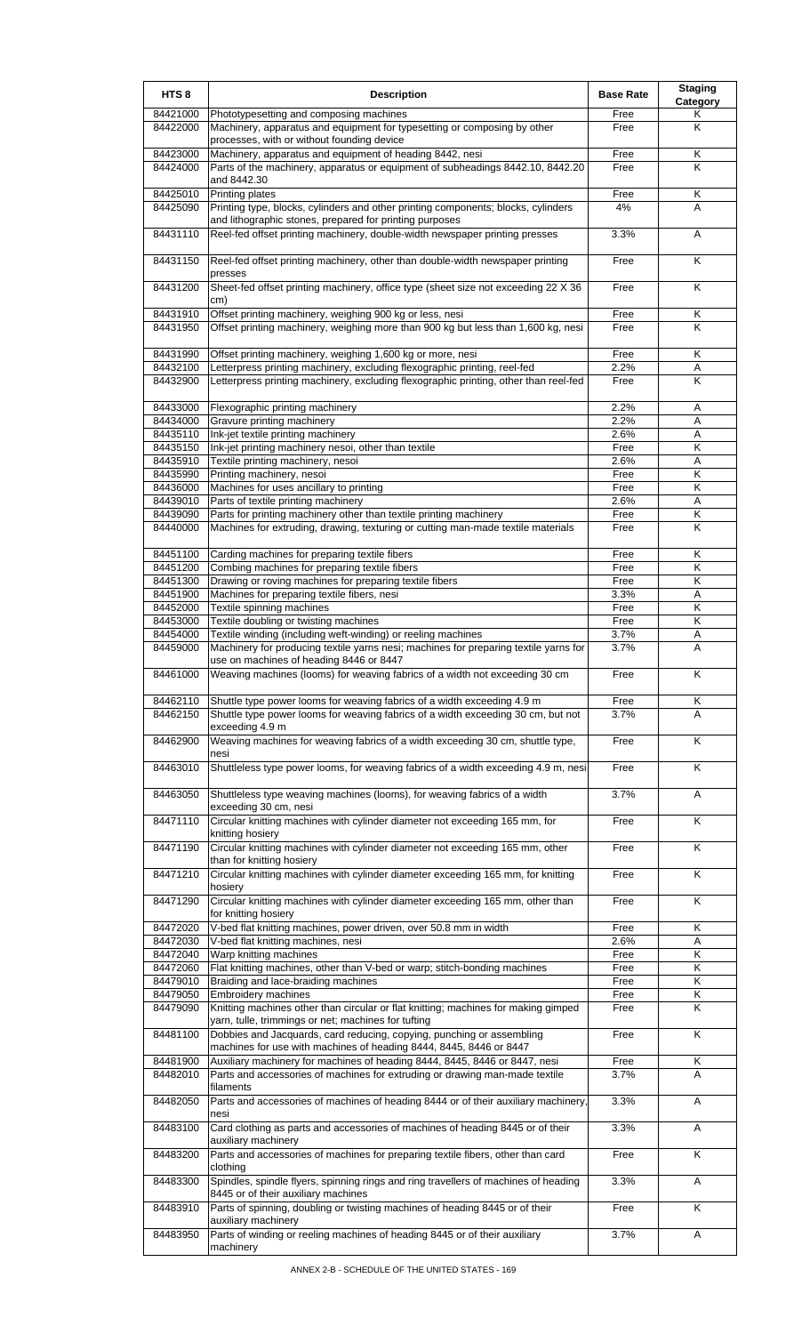| HTS <sub>8</sub>     | <b>Description</b>                                                                                                                            | <b>Base Rate</b> | <b>Staging</b><br>Category |
|----------------------|-----------------------------------------------------------------------------------------------------------------------------------------------|------------------|----------------------------|
| 84421000<br>84422000 | Phototypesetting and composing machines<br>Machinery, apparatus and equipment for typesetting or composing by other                           | Free<br>Free     | Κ<br>K                     |
|                      | processes, with or without founding device                                                                                                    |                  |                            |
| 84423000<br>84424000 | Machinery, apparatus and equipment of heading 8442, nesi<br>Parts of the machinery, apparatus or equipment of subheadings 8442.10, 8442.20    | Free<br>Free     | Κ<br>Κ                     |
|                      | and 8442.30                                                                                                                                   |                  |                            |
| 84425010<br>84425090 | <b>Printing plates</b><br>Printing type, blocks, cylinders and other printing components; blocks, cylinders                                   | Free<br>4%       | Κ<br>A                     |
|                      | and lithographic stones, prepared for printing purposes                                                                                       |                  |                            |
| 84431110             | Reel-fed offset printing machinery, double-width newspaper printing presses                                                                   | 3.3%             | A                          |
| 84431150             | Reel-fed offset printing machinery, other than double-width newspaper printing<br>presses                                                     | Free             | Κ                          |
| 84431200             | Sheet-fed offset printing machinery, office type (sheet size not exceeding 22 X 36<br>cm)                                                     | Free             | K                          |
| 84431910<br>84431950 | Offset printing machinery, weighing 900 kg or less, nesi<br>Offset printing machinery, weighing more than 900 kg but less than 1,600 kg, nesi | Free<br>Free     | Κ<br>K                     |
| 84431990<br>84432100 | Offset printing machinery, weighing 1,600 kg or more, nesi<br>Letterpress printing machinery, excluding flexographic printing, reel-fed       | Free<br>2.2%     | K<br>Α                     |
| 84432900             | Letterpress printing machinery, excluding flexographic printing, other than reel-fed                                                          | Free             | K                          |
| 84433000             | Flexographic printing machinery                                                                                                               | 2.2%             | Α                          |
| 84434000             | Gravure printing machinery                                                                                                                    | 2.2%             | Α                          |
| 84435110             | Ink-jet textile printing machinery                                                                                                            | 2.6%             | Α                          |
| 84435150             | Ink-jet printing machinery nesoi, other than textile                                                                                          | Free             | Κ                          |
| 84435910<br>84435990 | Textile printing machinery, nesoi<br>Printing machinery, nesoi                                                                                | 2.6%<br>Free     | Α<br>K                     |
| 84436000             | Machines for uses ancillary to printing                                                                                                       | Free             | Κ                          |
| 84439010             | Parts of textile printing machinery                                                                                                           | 2.6%             | Α                          |
| 84439090             | Parts for printing machinery other than textile printing machinery                                                                            | Free             | Κ                          |
| 84440000             | Machines for extruding, drawing, texturing or cutting man-made textile materials                                                              | Free             | K                          |
| 84451100             | Carding machines for preparing textile fibers                                                                                                 | Free             | Κ                          |
| 84451200             | Combing machines for preparing textile fibers                                                                                                 | Free             | Κ                          |
| 84451300<br>84451900 | Drawing or roving machines for preparing textile fibers<br>Machines for preparing textile fibers, nesi                                        | Free<br>3.3%     | Κ<br>Α                     |
| 84452000             | Textile spinning machines                                                                                                                     | Free             | K                          |
| 84453000             | Textile doubling or twisting machines                                                                                                         | Free             | Κ                          |
| 84454000             | Textile winding (including weft-winding) or reeling machines                                                                                  | 3.7%             | Α                          |
| 84459000             | Machinery for producing textile yarns nesi; machines for preparing textile yarns for<br>use on machines of heading 8446 or 8447               | 3.7%             | Α                          |
| 84461000             | Weaving machines (looms) for weaving fabrics of a width not exceeding 30 cm                                                                   | Free             | Κ                          |
| 84462110             | Shuttle type power looms for weaving fabrics of a width exceeding 4.9 m                                                                       | Free             | Κ                          |
| 84462150             | Shuttle type power looms for weaving fabrics of a width exceeding 30 cm, but not<br>exceeding 4.9 m                                           | 3.7%             | A                          |
| 84462900             | Weaving machines for weaving fabrics of a width exceeding 30 cm, shuttle type,<br>nesi                                                        | Free             | Κ                          |
| 84463010             | Shuttleless type power looms, for weaving fabrics of a width exceeding 4.9 m, nesi                                                            | Free             | K                          |
| 84463050             | Shuttleless type weaving machines (looms), for weaving fabrics of a width<br>exceeding 30 cm, nesi                                            | 3.7%             | Α                          |
| 84471110             | Circular knitting machines with cylinder diameter not exceeding 165 mm, for<br>knitting hosiery                                               | Free             | $\overline{\mathsf{K}}$    |
| 84471190             | Circular knitting machines with cylinder diameter not exceeding 165 mm, other<br>than for knitting hosiery                                    | Free             | $\overline{\mathsf{K}}$    |
| 84471210             | Circular knitting machines with cylinder diameter exceeding 165 mm, for knitting<br>hosiery                                                   | Free             | K                          |
| 84471290             | Circular knitting machines with cylinder diameter exceeding 165 mm, other than<br>for knitting hosiery                                        | Free             | K                          |
| 84472020<br>84472030 | V-bed flat knitting machines, power driven, over 50.8 mm in width<br>V-bed flat knitting machines, nesi                                       | Free<br>2.6%     | Κ<br>A                     |
| 84472040             | Warp knitting machines                                                                                                                        | Free             | Κ                          |
| 84472060             | Flat knitting machines, other than V-bed or warp; stitch-bonding machines                                                                     | Free             | Κ                          |
| 84479010             | Braiding and lace-braiding machines                                                                                                           | Free             | Κ                          |
| 84479050             | <b>Embroidery machines</b>                                                                                                                    | Free             | Κ<br>K                     |
| 84479090             | Knitting machines other than circular or flat knitting; machines for making gimped<br>yarn, tulle, trimmings or net; machines for tufting     | Free             |                            |
| 84481100             | Dobbies and Jacquards, card reducing, copying, punching or assembling<br>machines for use with machines of heading 8444, 8445, 8446 or 8447   | Free             | K                          |
| 84481900<br>84482010 | Auxiliary machinery for machines of heading 8444, 8445, 8446 or 8447, nesi                                                                    | Free             | Κ<br>A                     |
|                      | Parts and accessories of machines for extruding or drawing man-made textile<br>filaments                                                      | 3.7%             |                            |
| 84482050             | Parts and accessories of machines of heading 8444 or of their auxiliary machinery,<br>nesi                                                    | 3.3%             | A                          |
| 84483100             | Card clothing as parts and accessories of machines of heading 8445 or of their<br>auxiliary machinery                                         | 3.3%             | Α                          |
| 84483200             | Parts and accessories of machines for preparing textile fibers, other than card<br>clothing                                                   | Free             | Κ                          |
| 84483300             | Spindles, spindle flyers, spinning rings and ring travellers of machines of heading<br>8445 or of their auxiliary machines                    | 3.3%             | A                          |
| 84483910             | Parts of spinning, doubling or twisting machines of heading 8445 or of their<br>auxiliary machinery                                           | Free             | Κ                          |
| 84483950             | Parts of winding or reeling machines of heading 8445 or of their auxiliary<br>machinery                                                       | 3.7%             | Α                          |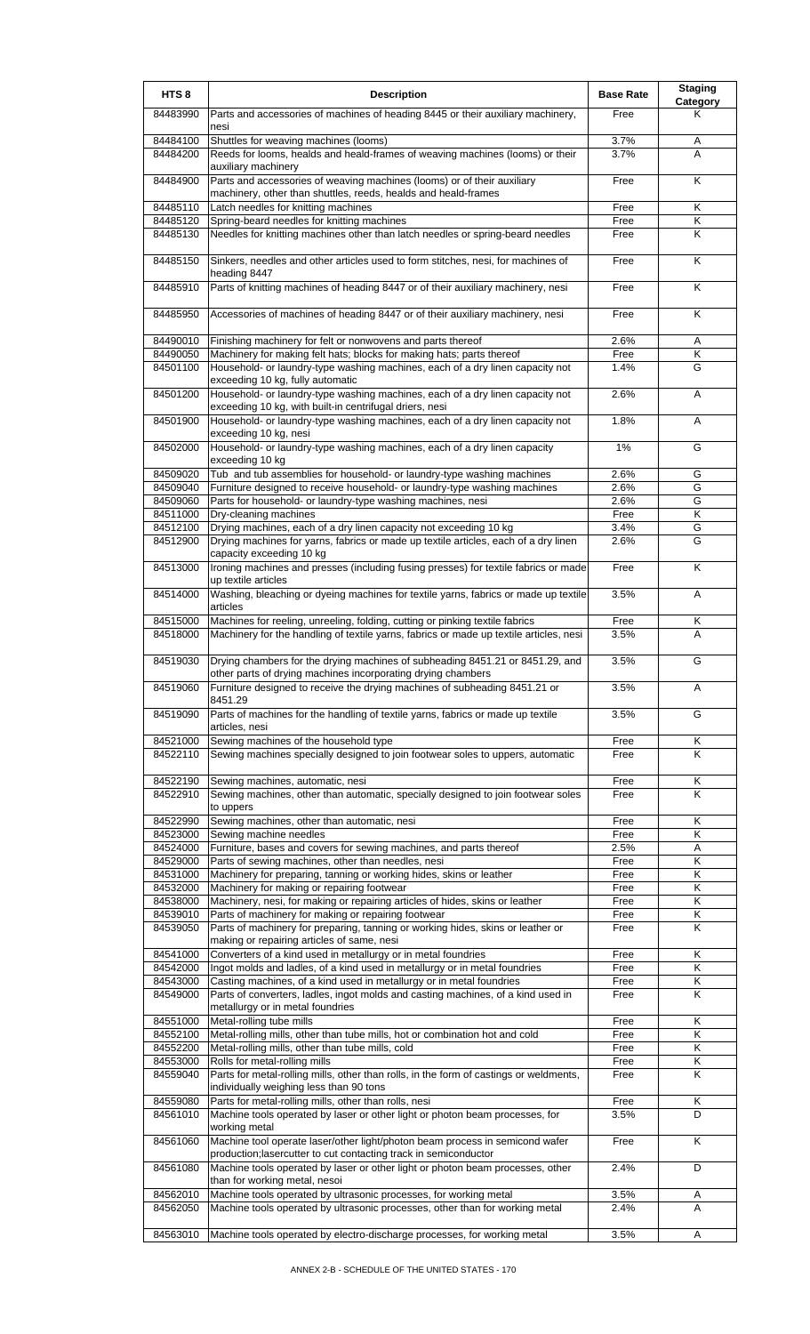| HTS <sub>8</sub>     | <b>Description</b>                                                                                                                                                     | <b>Base Rate</b> | <b>Staging</b><br><b>Category</b> |
|----------------------|------------------------------------------------------------------------------------------------------------------------------------------------------------------------|------------------|-----------------------------------|
| 84483990             | Parts and accessories of machines of heading 8445 or their auxiliary machinery,<br>nesi                                                                                | Free             | Κ                                 |
| 84484100             | Shuttles for weaving machines (looms)                                                                                                                                  | 3.7%             | Α                                 |
| 84484200             | Reeds for looms, healds and heald-frames of weaving machines (looms) or their<br>auxiliary machinery                                                                   | 3.7%             | A                                 |
| 84484900             | Parts and accessories of weaving machines (looms) or of their auxiliary<br>machinery, other than shuttles, reeds, healds and heald-frames                              | Free             | K                                 |
| 84485110             | Latch needles for knitting machines                                                                                                                                    | Free             | Κ                                 |
| 84485120             | Spring-beard needles for knitting machines                                                                                                                             | Free             | Κ                                 |
| 84485130             | Needles for knitting machines other than latch needles or spring-beard needles                                                                                         | Free             | K                                 |
| 84485150             | Sinkers, needles and other articles used to form stitches, nesi, for machines of<br>heading 8447                                                                       | Free             | Κ                                 |
| 84485910             | Parts of knitting machines of heading 8447 or of their auxiliary machinery, nesi                                                                                       | Free             | Κ                                 |
| 84485950             | Accessories of machines of heading 8447 or of their auxiliary machinery, nesi                                                                                          | Free             | K                                 |
| 84490010             | Finishing machinery for felt or nonwovens and parts thereof                                                                                                            | 2.6%             | Α                                 |
| 84490050             | Machinery for making felt hats; blocks for making hats; parts thereof                                                                                                  | Free             | Κ                                 |
| 84501100             | Household- or laundry-type washing machines, each of a dry linen capacity not<br>exceeding 10 kg, fully automatic                                                      | 1.4%             | G                                 |
| 84501200             | Household- or laundry-type washing machines, each of a dry linen capacity not<br>exceeding 10 kg, with built-in centrifugal driers, nesi                               | 2.6%             | A                                 |
| 84501900             | Household- or laundry-type washing machines, each of a dry linen capacity not<br>exceeding 10 kg, nesi                                                                 | 1.8%             | Α                                 |
| 84502000             | Household- or laundry-type washing machines, each of a dry linen capacity<br>exceeding 10 kg                                                                           | 1%               | G                                 |
| 84509020             | Tub and tub assemblies for household- or laundry-type washing machines                                                                                                 | 2.6%             | G                                 |
| 84509040             | Furniture designed to receive household- or laundry-type washing machines                                                                                              | 2.6%             | G                                 |
| 84509060             | Parts for household- or laundry-type washing machines, nesi                                                                                                            | 2.6%             | G                                 |
| 84511000             | Dry-cleaning machines                                                                                                                                                  | Free             | $\overline{\mathsf{K}}$           |
|                      |                                                                                                                                                                        |                  |                                   |
| 84512100<br>84512900 | Drying machines, each of a dry linen capacity not exceeding 10 kg<br>Drying machines for yarns, fabrics or made up textile articles, each of a dry linen               | 3.4%<br>2.6%     | G<br>G                            |
| 84513000             | capacity exceeding 10 kg<br>Ironing machines and presses (including fusing presses) for textile fabrics or made                                                        | Free             | K                                 |
| 84514000             | up textile articles<br>Washing, bleaching or dyeing machines for textile yarns, fabrics or made up textile                                                             | 3.5%             | A                                 |
|                      | articles                                                                                                                                                               |                  |                                   |
| 84515000<br>84518000 | Machines for reeling, unreeling, folding, cutting or pinking textile fabrics<br>Machinery for the handling of textile yarns, fabrics or made up textile articles, nesi | Free<br>3.5%     | Κ<br>A                            |
| 84519030             | Drying chambers for the drying machines of subheading 8451.21 or 8451.29, and<br>other parts of drying machines incorporating drying chambers                          | 3.5%             | G                                 |
| 84519060             | Furniture designed to receive the drying machines of subheading 8451.21 or<br>8451.29                                                                                  | 3.5%             | A                                 |
| 84519090             | Parts of machines for the handling of textile yarns, fabrics or made up textile<br>articles, nesi                                                                      | 3.5%             | G                                 |
| 84521000             | Sewing machines of the household type                                                                                                                                  | Free             | Κ                                 |
| 84522110             | Sewing machines specially designed to join footwear soles to uppers, automatic                                                                                         | Free             | K                                 |
| 84522190             | Sewing machines, automatic, nesi                                                                                                                                       | Free             | Κ                                 |
| 84522910             | Sewing machines, other than automatic, specially designed to join footwear soles<br>to uppers                                                                          | Free             | Κ                                 |
| 84522990             | Sewing machines, other than automatic, nesi                                                                                                                            | Free             | Κ                                 |
| 84523000             | Sewing machine needles                                                                                                                                                 | Free             | Κ                                 |
| 84524000             | Furniture, bases and covers for sewing machines, and parts thereof                                                                                                     | 2.5%             | Α                                 |
| 84529000             | Parts of sewing machines, other than needles, nesi                                                                                                                     | Free             | $\overline{\mathsf{K}}$           |
| 84531000             | Machinery for preparing, tanning or working hides, skins or leather                                                                                                    | Free             | Κ                                 |
| 84532000             | Machinery for making or repairing footwear                                                                                                                             | Free             | Κ                                 |
| 84538000             | Machinery, nesi, for making or repairing articles of hides, skins or leather                                                                                           | Free             | Κ                                 |
| 84539010             | Parts of machinery for making or repairing footwear                                                                                                                    | Free             | Κ                                 |
| 84539050             | Parts of machinery for preparing, tanning or working hides, skins or leather or<br>making or repairing articles of same, nesi                                          | Free             | Κ                                 |
| 84541000             | Converters of a kind used in metallurgy or in metal foundries                                                                                                          | Free             | Κ                                 |
| 84542000             | Ingot molds and ladles, of a kind used in metallurgy or in metal foundries                                                                                             | Free             | Κ                                 |
| 84543000             | Casting machines, of a kind used in metallurgy or in metal foundries                                                                                                   | Free             | Κ                                 |
| 84549000             | Parts of converters, ladles, ingot molds and casting machines, of a kind used in<br>metallurgy or in metal foundries                                                   | Free             | K                                 |
| 84551000             | Metal-rolling tube mills                                                                                                                                               | Free             | K                                 |
| 84552100             | Metal-rolling mills, other than tube mills, hot or combination hot and cold                                                                                            | Free             | Κ                                 |
| 84552200             | Metal-rolling mills, other than tube mills, cold                                                                                                                       | Free             | Κ                                 |
| 84553000             | Rolls for metal-rolling mills                                                                                                                                          | Free             | Κ                                 |
| 84559040             | Parts for metal-rolling mills, other than rolls, in the form of castings or weldments,<br>individually weighing less than 90 tons                                      | Free             | Κ                                 |
| 84559080             | Parts for metal-rolling mills, other than rolls, nesi                                                                                                                  | Free             | Κ                                 |
| 84561010             | Machine tools operated by laser or other light or photon beam processes, for                                                                                           | 3.5%             | D                                 |
| 84561060             | working metal<br>Machine tool operate laser/other light/photon beam process in semicond wafer<br>production; lasercutter to cut contacting track in semiconductor      | Free             | K                                 |
| 84561080             | Machine tools operated by laser or other light or photon beam processes, other<br>than for working metal, nesoi                                                        | 2.4%             | D                                 |
| 84562010             | Machine tools operated by ultrasonic processes, for working metal                                                                                                      | 3.5%             | Α                                 |
| 84562050             | Machine tools operated by ultrasonic processes, other than for working metal                                                                                           | 2.4%             | A                                 |
|                      |                                                                                                                                                                        |                  |                                   |
| 84563010             | Machine tools operated by electro-discharge processes, for working metal                                                                                               | 3.5%             | A                                 |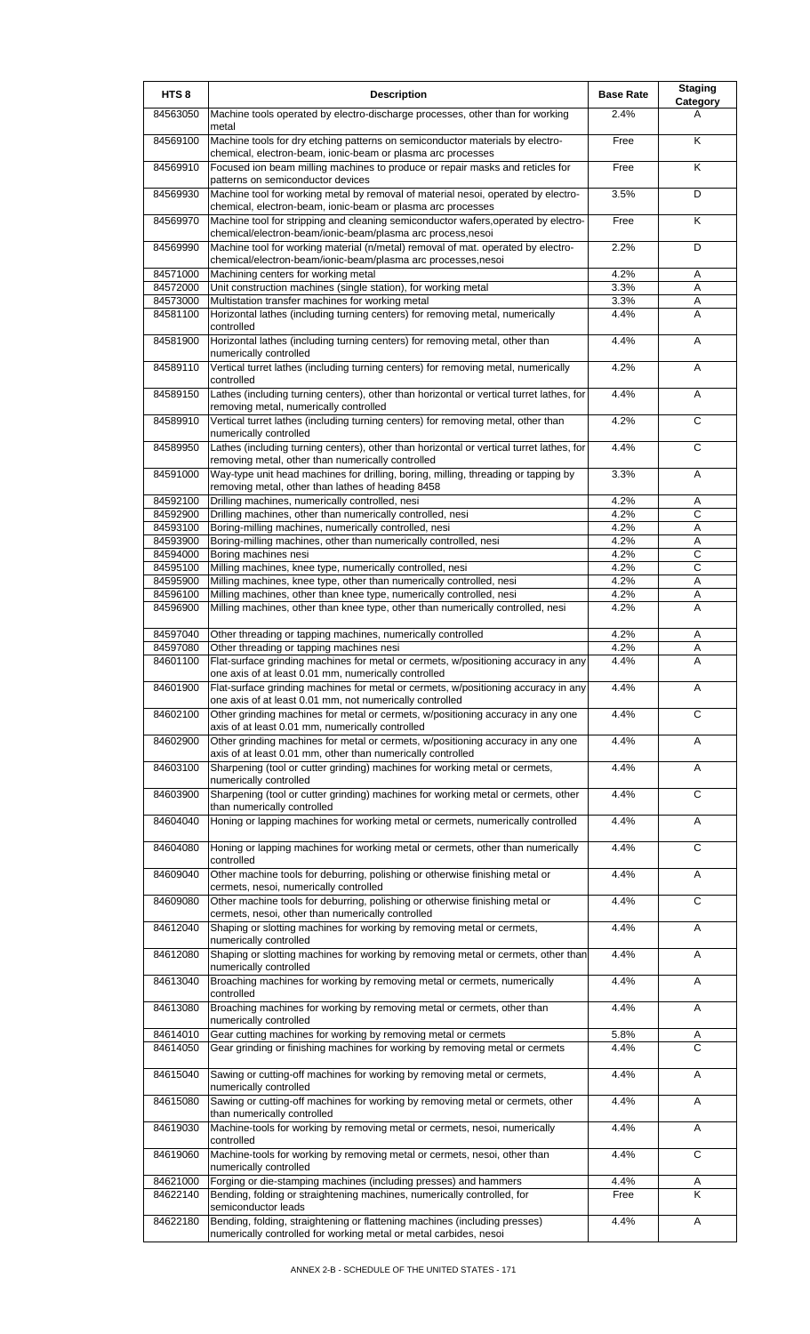| HTS <sub>8</sub> | <b>Description</b>                                                                                                                                                     | <b>Base Rate</b> | <b>Staging</b><br>Category |
|------------------|------------------------------------------------------------------------------------------------------------------------------------------------------------------------|------------------|----------------------------|
| 84563050         | Machine tools operated by electro-discharge processes, other than for working<br>metal                                                                                 | 2.4%             | A                          |
| 84569100         | Machine tools for dry etching patterns on semiconductor materials by electro-<br>chemical, electron-beam, ionic-beam or plasma arc processes                           | Free             | Κ                          |
| 84569910         | Focused ion beam milling machines to produce or repair masks and reticles for<br>patterns on semiconductor devices                                                     | Free             | Κ                          |
| 84569930         | Machine tool for working metal by removal of material nesoi, operated by electro-<br>chemical, electron-beam, ionic-beam or plasma arc processes                       | 3.5%             | D                          |
| 84569970         | Machine tool for stripping and cleaning semiconductor wafers, operated by electro-<br>chemical/electron-beam/ionic-beam/plasma arc process,nesoi                       | Free             | Κ                          |
| 84569990         | Machine tool for working material (n/metal) removal of mat. operated by electro-<br>chemical/electron-beam/ionic-beam/plasma arc processes,nesoi                       | 2.2%             | D                          |
| 84571000         | Machining centers for working metal                                                                                                                                    | 4.2%             | Α                          |
| 84572000         | Unit construction machines (single station), for working metal                                                                                                         | 3.3%             | A                          |
| 84573000         | Multistation transfer machines for working metal                                                                                                                       | 3.3%             | Α                          |
| 84581100         | Horizontal lathes (including turning centers) for removing metal, numerically<br>controlled                                                                            | 4.4%             | A                          |
| 84581900         | Horizontal lathes (including turning centers) for removing metal, other than<br>numerically controlled                                                                 | 4.4%             | Α                          |
| 84589110         | Vertical turret lathes (including turning centers) for removing metal, numerically<br>controlled                                                                       | 4.2%             | Α                          |
| 84589150         | Lathes (including turning centers), other than horizontal or vertical turret lathes, for<br>removing metal, numerically controlled                                     | 4.4%             | A                          |
| 84589910         | Vertical turret lathes (including turning centers) for removing metal, other than<br>numerically controlled                                                            | 4.2%             | С                          |
| 84589950         | Lathes (including turning centers), other than horizontal or vertical turret lathes, for<br>removing metal, other than numerically controlled                          | 4.4%             | $\mathsf{C}$               |
| 84591000         | Way-type unit head machines for drilling, boring, milling, threading or tapping by<br>removing metal, other than lathes of heading 8458                                | 3.3%             | Α                          |
| 84592100         | Drilling machines, numerically controlled, nesi                                                                                                                        | 4.2%             | Α                          |
| 84592900         | Drilling machines, other than numerically controlled, nesi                                                                                                             | 4.2%             | C                          |
| 84593100         | Boring-milling machines, numerically controlled, nesi                                                                                                                  | 4.2%             | Α                          |
| 84593900         | Boring-milling machines, other than numerically controlled, nesi                                                                                                       | 4.2%             | Α                          |
| 84594000         | Boring machines nesi                                                                                                                                                   | 4.2%             | C                          |
| 84595100         | Milling machines, knee type, numerically controlled, nesi                                                                                                              | 4.2%             | C                          |
| 84595900         | Milling machines, knee type, other than numerically controlled, nesi                                                                                                   | 4.2%             | Α                          |
| 84596100         | Milling machines, other than knee type, numerically controlled, nesi                                                                                                   | 4.2%             | Α                          |
| 84596900         | Milling machines, other than knee type, other than numerically controlled, nesi                                                                                        | 4.2%             | A                          |
| 84597040         | Other threading or tapping machines, numerically controlled                                                                                                            | 4.2%             | Α                          |
| 84597080         | Other threading or tapping machines nesi                                                                                                                               | 4.2%             | Α                          |
| 84601100         | Flat-surface grinding machines for metal or cermets, w/positioning accuracy in any<br>one axis of at least 0.01 mm, numerically controlled                             | 4.4%             | Α                          |
| 84601900         | Flat-surface grinding machines for metal or cermets, w/positioning accuracy in any<br>one axis of at least 0.01 mm, not numerically controlled                         | 4.4%             | A                          |
| 84602100         | Other grinding machines for metal or cermets, w/positioning accuracy in any one<br>axis of at least 0.01 mm, numerically controlled                                    | 4.4%             | C                          |
| 84602900         | Other grinding machines for metal or cermets, w/positioning accuracy in any one<br>axis of at least 0.01 mm, other than numerically controlled                         | 4.4%             | Α                          |
| 84603100         | Sharpening (tool or cutter grinding) machines for working metal or cermets,<br>numerically controlled                                                                  | 4.4%             | Α                          |
| 84603900         | Sharpening (tool or cutter grinding) machines for working metal or cermets, other<br>than numerically controlled                                                       | 4.4%             | C                          |
| 84604040         | Honing or lapping machines for working metal or cermets, numerically controlled                                                                                        | 4.4%             | A                          |
| 84604080         | Honing or lapping machines for working metal or cermets, other than numerically<br>controlled                                                                          | 4.4%             | C                          |
| 84609040         | Other machine tools for deburring, polishing or otherwise finishing metal or<br>cermets, nesoi, numerically controlled                                                 | 4.4%             | Α                          |
| 84609080         | Other machine tools for deburring, polishing or otherwise finishing metal or<br>cermets, nesoi, other than numerically controlled                                      | 4.4%             | C                          |
| 84612040         | Shaping or slotting machines for working by removing metal or cermets,<br>numerically controlled                                                                       | 4.4%             | Α                          |
| 84612080         | Shaping or slotting machines for working by removing metal or cermets, other than<br>numerically controlled                                                            | 4.4%             | Α                          |
| 84613040         | Broaching machines for working by removing metal or cermets, numerically<br>controlled                                                                                 | 4.4%             | A                          |
| 84613080         | Broaching machines for working by removing metal or cermets, other than<br>numerically controlled                                                                      | 4.4%             | Α                          |
| 84614010         | Gear cutting machines for working by removing metal or cermets                                                                                                         | 5.8%             | Α                          |
| 84614050         | Gear grinding or finishing machines for working by removing metal or cermets                                                                                           | 4.4%             | C                          |
| 84615040         | Sawing or cutting-off machines for working by removing metal or cermets,                                                                                               | 4.4%             | A                          |
| 84615080         | numerically controlled<br>Sawing or cutting-off machines for working by removing metal or cermets, other                                                               | 4.4%             | A                          |
| 84619030         | than numerically controlled<br>Machine-tools for working by removing metal or cermets, nesoi, numerically                                                              | 4.4%             | Α                          |
| 84619060         | controlled<br>Machine-tools for working by removing metal or cermets, nesoi, other than                                                                                | 4.4%             | C                          |
|                  | numerically controlled                                                                                                                                                 |                  |                            |
| 84621000         | Forging or die-stamping machines (including presses) and hammers                                                                                                       | 4.4%             | Α                          |
| 84622140         | Bending, folding or straightening machines, numerically controlled, for                                                                                                | Free             | K                          |
| 84622180         | semiconductor leads<br>Bending, folding, straightening or flattening machines (including presses)<br>numerically controlled for working metal or metal carbides, nesoi | 4.4%             | Α                          |
|                  |                                                                                                                                                                        |                  |                            |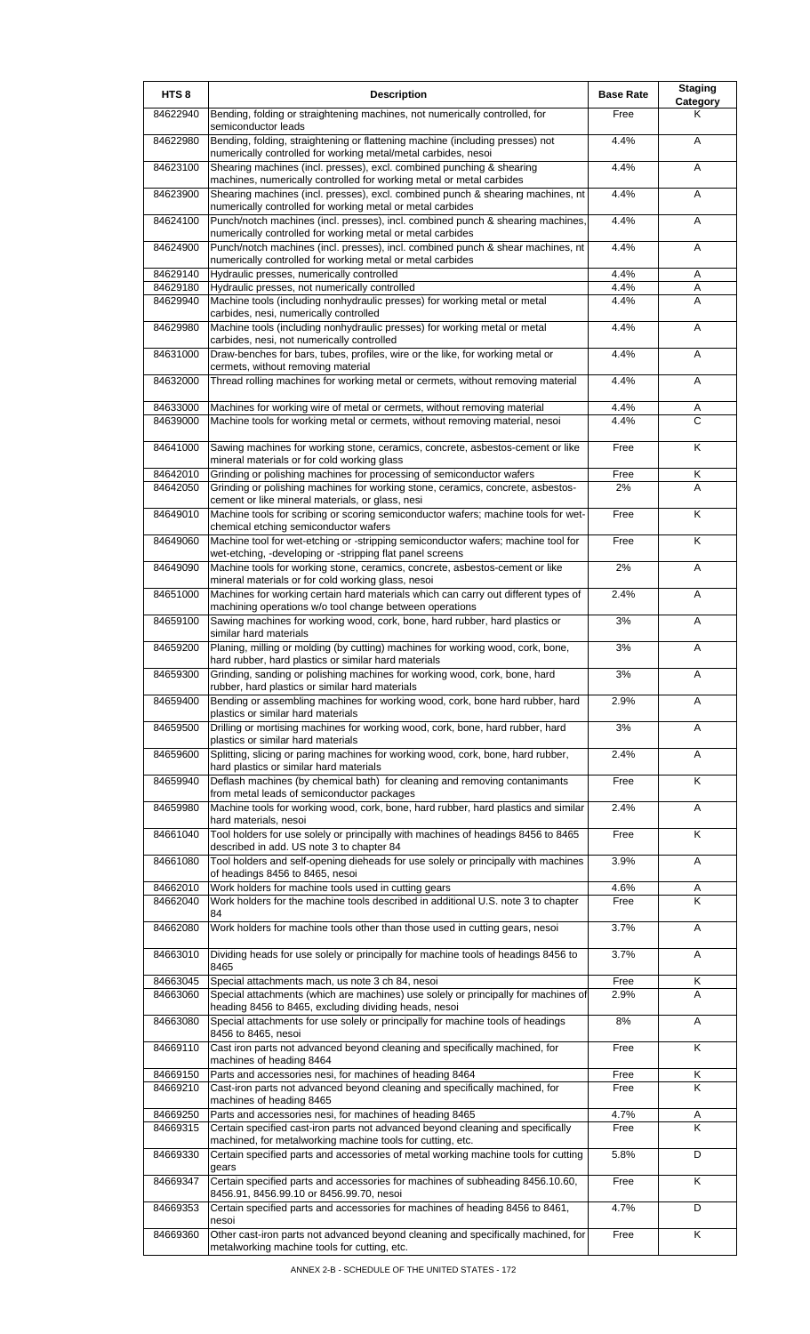| HTS <sub>8</sub>     | <b>Description</b>                                                                                                                                                                                          | <b>Base Rate</b> | <b>Staging</b><br>Category |
|----------------------|-------------------------------------------------------------------------------------------------------------------------------------------------------------------------------------------------------------|------------------|----------------------------|
| 84622940             | Bending, folding or straightening machines, not numerically controlled, for<br>semiconductor leads                                                                                                          | Free             | Κ                          |
| 84622980             | Bending, folding, straightening or flattening machine (including presses) not<br>numerically controlled for working metal/metal carbides, nesoi                                                             | 4.4%             | A                          |
| 84623100             | Shearing machines (incl. presses), excl. combined punching & shearing                                                                                                                                       | 4.4%             | Α                          |
| 84623900             | machines, numerically controlled for working metal or metal carbides<br>Shearing machines (incl. presses), excl. combined punch & shearing machines, nt                                                     | 4.4%             | A                          |
| 84624100             | numerically controlled for working metal or metal carbides<br>Punch/notch machines (incl. presses), incl. combined punch & shearing machines,                                                               | 4.4%             | A                          |
| 84624900             | numerically controlled for working metal or metal carbides<br>Punch/notch machines (incl. presses), incl. combined punch & shear machines, nt<br>numerically controlled for working metal or metal carbides | 4.4%             | A                          |
| 84629140             | Hydraulic presses, numerically controlled                                                                                                                                                                   | 4.4%             | Α                          |
| 84629180<br>84629940 | Hydraulic presses, not numerically controlled<br>Machine tools (including nonhydraulic presses) for working metal or metal                                                                                  | 4.4%<br>4.4%     | Α<br>A                     |
| 84629980             | carbides, nesi, numerically controlled<br>Machine tools (including nonhydraulic presses) for working metal or metal                                                                                         | 4.4%             | A                          |
| 84631000             | carbides, nesi, not numerically controlled<br>Draw-benches for bars, tubes, profiles, wire or the like, for working metal or                                                                                | 4.4%             | A                          |
| 84632000             | cermets, without removing material<br>Thread rolling machines for working metal or cermets, without removing material                                                                                       | 4.4%             | Α                          |
|                      |                                                                                                                                                                                                             |                  |                            |
| 84633000<br>84639000 | Machines for working wire of metal or cermets, without removing material<br>Machine tools for working metal or cermets, without removing material, nesoi                                                    | 4.4%<br>4.4%     | Α<br>C                     |
| 84641000             | Sawing machines for working stone, ceramics, concrete, asbestos-cement or like<br>mineral materials or for cold working glass                                                                               | Free             | K                          |
| 84642010             | Grinding or polishing machines for processing of semiconductor wafers                                                                                                                                       | Free<br>2%       | Κ<br>A                     |
| 84642050             | Grinding or polishing machines for working stone, ceramics, concrete, asbestos-<br>cement or like mineral materials, or glass, nesi                                                                         |                  |                            |
| 84649010             | Machine tools for scribing or scoring semiconductor wafers; machine tools for wet-<br>chemical etching semiconductor wafers                                                                                 | Free             | K                          |
| 84649060             | Machine tool for wet-etching or -stripping semiconductor wafers; machine tool for<br>wet-etching, -developing or -stripping flat panel screens                                                              | Free             | Κ                          |
| 84649090             | Machine tools for working stone, ceramics, concrete, asbestos-cement or like<br>mineral materials or for cold working glass, nesoi                                                                          | 2%               | Α                          |
| 84651000             | Machines for working certain hard materials which can carry out different types of<br>machining operations w/o tool change between operations                                                               | 2.4%             | A                          |
| 84659100             | Sawing machines for working wood, cork, bone, hard rubber, hard plastics or<br>similar hard materials                                                                                                       | 3%               | Α                          |
| 84659200             | Planing, milling or molding (by cutting) machines for working wood, cork, bone,<br>hard rubber, hard plastics or similar hard materials                                                                     | 3%               | Α                          |
| 84659300             | Grinding, sanding or polishing machines for working wood, cork, bone, hard<br>rubber, hard plastics or similar hard materials                                                                               | 3%               | A                          |
| 84659400             | Bending or assembling machines for working wood, cork, bone hard rubber, hard<br>plastics or similar hard materials                                                                                         | 2.9%             | A                          |
| 84659500             | Drilling or mortising machines for working wood, cork, bone, hard rubber, hard<br>plastics or similar hard materials                                                                                        | 3%               | A                          |
| 84659600             | Splitting, slicing or paring machines for working wood, cork, bone, hard rubber,                                                                                                                            | 2.4%             | Α                          |
| 84659940             | hard plastics or similar hard materials<br>Deflash machines (by chemical bath) for cleaning and removing contanimants                                                                                       | Free             | K                          |
| 84659980             | from metal leads of semiconductor packages<br>Machine tools for working wood, cork, bone, hard rubber, hard plastics and similar                                                                            | 2.4%             | Α                          |
| 84661040             | hard materials, nesoi<br>Tool holders for use solely or principally with machines of headings 8456 to 8465                                                                                                  | Free             | Κ                          |
| 84661080             | described in add. US note 3 to chapter 84<br>Tool holders and self-opening dieheads for use solely or principally with machines                                                                             | 3.9%             | A                          |
|                      | of headings 8456 to 8465, nesoi                                                                                                                                                                             |                  |                            |
| 84662010<br>84662040 | Work holders for machine tools used in cutting gears<br>Work holders for the machine tools described in additional U.S. note 3 to chapter                                                                   | 4.6%<br>Free     | Α<br>Κ                     |
| 84662080             | 84<br>Work holders for machine tools other than those used in cutting gears, nesoi                                                                                                                          | 3.7%             | A                          |
| 84663010             | Dividing heads for use solely or principally for machine tools of headings 8456 to                                                                                                                          | 3.7%             | Α                          |
| 84663045             | 8465<br>Special attachments mach, us note 3 ch 84, nesoi                                                                                                                                                    | Free             | Κ                          |
| 84663060             | Special attachments (which are machines) use solely or principally for machines of<br>heading 8456 to 8465, excluding dividing heads, nesoi                                                                 | 2.9%             | A                          |
| 84663080             | Special attachments for use solely or principally for machine tools of headings<br>8456 to 8465, nesoi                                                                                                      | 8%               | Α                          |
| 84669110             | Cast iron parts not advanced beyond cleaning and specifically machined, for<br>machines of heading 8464                                                                                                     | Free             | Κ                          |
| 84669150             | Parts and accessories nesi, for machines of heading 8464                                                                                                                                                    | Free             | Κ                          |
| 84669210             | Cast-iron parts not advanced beyond cleaning and specifically machined, for<br>machines of heading 8465                                                                                                     | Free             | Κ                          |
| 84669250             | Parts and accessories nesi, for machines of heading 8465                                                                                                                                                    | 4.7%             | A                          |
| 84669315             | Certain specified cast-iron parts not advanced beyond cleaning and specifically<br>machined, for metalworking machine tools for cutting, etc.                                                               | Free             | Κ                          |
| 84669330             | Certain specified parts and accessories of metal working machine tools for cutting                                                                                                                          | 5.8%             | D                          |
| 84669347             | gears<br>Certain specified parts and accessories for machines of subheading 8456.10.60,<br>8456.91, 8456.99.10 or 8456.99.70, nesoi                                                                         | Free             | Κ                          |
| 84669353             | Certain specified parts and accessories for machines of heading 8456 to 8461,                                                                                                                               | 4.7%             | D                          |
| 84669360             | nesoi<br>Other cast-iron parts not advanced beyond cleaning and specifically machined, for<br>metalworking machine tools for cutting, etc.                                                                  | Free             | Κ                          |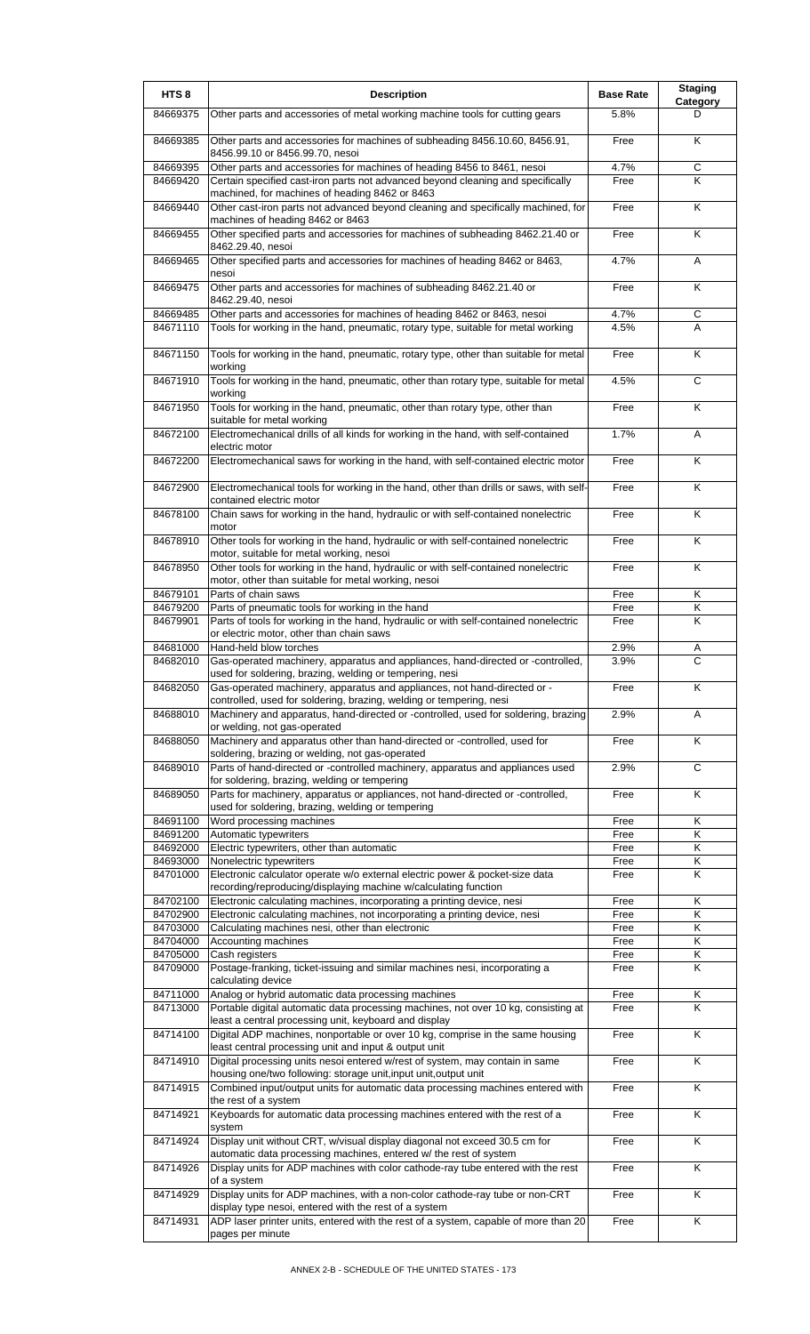| HTS <sub>8</sub>     | <b>Description</b>                                                                                                                                                                                             | <b>Base Rate</b> | <b>Staging</b><br>Category |
|----------------------|----------------------------------------------------------------------------------------------------------------------------------------------------------------------------------------------------------------|------------------|----------------------------|
| 84669375             | Other parts and accessories of metal working machine tools for cutting gears                                                                                                                                   | 5.8%             | D                          |
| 84669385             | Other parts and accessories for machines of subheading 8456.10.60, 8456.91,<br>8456.99.10 or 8456.99.70, nesoi                                                                                                 | Free             | K                          |
| 84669395<br>84669420 | Other parts and accessories for machines of heading 8456 to 8461, nesoi<br>Certain specified cast-iron parts not advanced beyond cleaning and specifically                                                     | 4.7%<br>Free     | С<br>Κ                     |
| 84669440             | machined, for machines of heading 8462 or 8463<br>Other cast-iron parts not advanced beyond cleaning and specifically machined, for<br>machines of heading 8462 or 8463                                        | Free             | Κ                          |
| 84669455             | Other specified parts and accessories for machines of subheading 8462.21.40 or<br>8462.29.40, nesoi                                                                                                            | Free             | K                          |
| 84669465             | Other specified parts and accessories for machines of heading 8462 or 8463,<br>nesoi                                                                                                                           | 4.7%             | A                          |
| 84669475             | Other parts and accessories for machines of subheading 8462.21.40 or<br>8462.29.40, nesoi                                                                                                                      | Free             | K                          |
| 84669485<br>84671110 | Other parts and accessories for machines of heading 8462 or 8463, nesoi<br>Tools for working in the hand, pneumatic, rotary type, suitable for metal working                                                   | 4.7%<br>4.5%     | C<br>A                     |
| 84671150             | Tools for working in the hand, pneumatic, rotary type, other than suitable for metal<br>working                                                                                                                | Free             | K                          |
| 84671910             | Tools for working in the hand, pneumatic, other than rotary type, suitable for metal<br>working                                                                                                                | 4.5%             | С                          |
| 84671950             | Tools for working in the hand, pneumatic, other than rotary type, other than<br>suitable for metal working                                                                                                     | Free             | K                          |
| 84672100             | Electromechanical drills of all kinds for working in the hand, with self-contained<br>electric motor                                                                                                           | 1.7%             | A                          |
| 84672200             | Electromechanical saws for working in the hand, with self-contained electric motor                                                                                                                             | Free             | K                          |
| 84672900             | Electromechanical tools for working in the hand, other than drills or saws, with self-<br>contained electric motor                                                                                             | Free             | K                          |
| 84678100             | Chain saws for working in the hand, hydraulic or with self-contained nonelectric<br>motor                                                                                                                      | Free             | K                          |
| 84678910             | Other tools for working in the hand, hydraulic or with self-contained nonelectric<br>motor, suitable for metal working, nesoi                                                                                  | Free             | Κ                          |
| 84678950             | Other tools for working in the hand, hydraulic or with self-contained nonelectric<br>motor, other than suitable for metal working, nesoi                                                                       | Free             | K                          |
| 84679101<br>84679200 | Parts of chain saws<br>Parts of pneumatic tools for working in the hand                                                                                                                                        | Free<br>Free     | K<br>K                     |
| 84679901             | Parts of tools for working in the hand, hydraulic or with self-contained nonelectric<br>or electric motor, other than chain saws                                                                               | Free             | K                          |
| 84681000             | Hand-held blow torches                                                                                                                                                                                         | 2.9%             | Α                          |
| 84682010             | Gas-operated machinery, apparatus and appliances, hand-directed or -controlled,<br>used for soldering, brazing, welding or tempering, nesi                                                                     | 3.9%             | $\overline{c}$             |
| 84682050             | Gas-operated machinery, apparatus and appliances, not hand-directed or -<br>controlled, used for soldering, brazing, welding or tempering, nesi                                                                | Free             | Κ                          |
| 84688010             | Machinery and apparatus, hand-directed or -controlled, used for soldering, brazing<br>or welding, not gas-operated                                                                                             | 2.9%             | Α                          |
| 84688050             | Machinery and apparatus other than hand-directed or -controlled, used for<br>soldering, brazing or welding, not gas-operated<br>Parts of hand-directed or -controlled machinery, apparatus and appliances used | Free             | K<br>$\overline{c}$        |
| 84689010<br>84689050 | for soldering, brazing, welding or tempering<br>Parts for machinery, apparatus or appliances, not hand-directed or -controlled,                                                                                | 2.9%<br>Free     | K                          |
|                      | used for soldering, brazing, welding or tempering                                                                                                                                                              |                  |                            |
| 84691100<br>84691200 | Word processing machines<br>Automatic typewriters                                                                                                                                                              | Free<br>Free     | K<br>Κ                     |
| 84692000             | Electric typewriters, other than automatic                                                                                                                                                                     | Free             | Κ                          |
| 84693000             | Nonelectric typewriters                                                                                                                                                                                        | Free             | Κ                          |
| 84701000             | Electronic calculator operate w/o external electric power & pocket-size data<br>recording/reproducing/displaying machine w/calculating function                                                                | Free             | Κ                          |
| 84702100             | Electronic calculating machines, incorporating a printing device, nesi                                                                                                                                         | Free             | Κ                          |
| 84702900<br>84703000 | Electronic calculating machines, not incorporating a printing device, nesi<br>Calculating machines nesi, other than electronic                                                                                 | Free<br>Free     | Κ<br>Κ                     |
| 84704000             | Accounting machines                                                                                                                                                                                            | Free             | $\overline{\mathsf{K}}$    |
| 84705000             | Cash registers                                                                                                                                                                                                 | Free             | Κ                          |
| 84709000             | Postage-franking, ticket-issuing and similar machines nesi, incorporating a<br>calculating device                                                                                                              | Free             | K                          |
| 84711000<br>84713000 | Analog or hybrid automatic data processing machines<br>Portable digital automatic data processing machines, not over 10 kg, consisting at                                                                      | Free<br>Free     | Κ<br>Κ                     |
| 84714100             | least a central processing unit, keyboard and display<br>Digital ADP machines, nonportable or over 10 kg, comprise in the same housing                                                                         | Free             | Κ                          |
| 84714910             | least central processing unit and input & output unit<br>Digital processing units nesoi entered w/rest of system, may contain in same                                                                          | Free             | K                          |
| 84714915             | housing one/two following: storage unit, input unit, output unit<br>Combined input/output units for automatic data processing machines entered with<br>the rest of a system                                    | Free             | K                          |
| 84714921             | Keyboards for automatic data processing machines entered with the rest of a<br>system                                                                                                                          | Free             | K                          |
| 84714924             | Display unit without CRT, w/visual display diagonal not exceed 30.5 cm for<br>automatic data processing machines, entered w/ the rest of system                                                                | Free             | K                          |
| 84714926             | Display units for ADP machines with color cathode-ray tube entered with the rest<br>of a system                                                                                                                | Free             | K                          |
| 84714929             | Display units for ADP machines, with a non-color cathode-ray tube or non-CRT<br>display type nesoi, entered with the rest of a system                                                                          | Free             | K                          |
| 84714931             | ADP laser printer units, entered with the rest of a system, capable of more than 20<br>pages per minute                                                                                                        | Free             | K                          |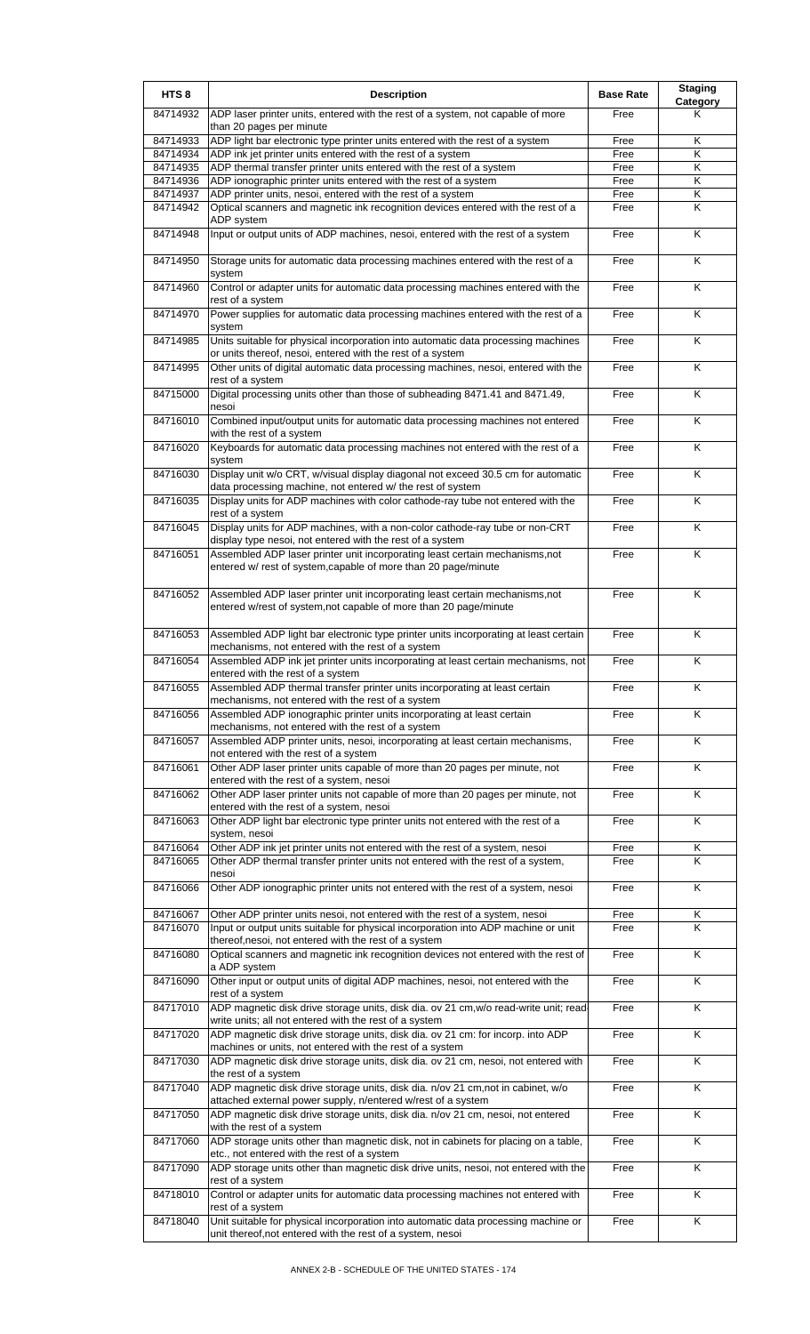| HTS <sub>8</sub>     | <b>Description</b>                                                                                                                                                       | <b>Base Rate</b> | <b>Staging</b><br>Category |
|----------------------|--------------------------------------------------------------------------------------------------------------------------------------------------------------------------|------------------|----------------------------|
| 84714932             | ADP laser printer units, entered with the rest of a system, not capable of more<br>than 20 pages per minute                                                              | Free             | Κ                          |
| 84714933             | ADP light bar electronic type printer units entered with the rest of a system                                                                                            | Free             | Κ                          |
| 84714934             | ADP ink jet printer units entered with the rest of a system                                                                                                              | Free             | K                          |
| 84714935             | ADP thermal transfer printer units entered with the rest of a system                                                                                                     | Free             | Κ                          |
| 84714936<br>84714937 | ADP ionographic printer units entered with the rest of a system<br>ADP printer units, nesoi, entered with the rest of a system                                           | Free<br>Free     | Κ<br>Κ                     |
| 84714942             | Optical scanners and magnetic ink recognition devices entered with the rest of a                                                                                         | Free             | Κ                          |
| 84714948             | ADP system<br>Input or output units of ADP machines, nesoi, entered with the rest of a system                                                                            | Free             | Κ                          |
| 84714950             | Storage units for automatic data processing machines entered with the rest of a                                                                                          | Free             | K                          |
| 84714960             | system                                                                                                                                                                   |                  | Κ                          |
|                      | Control or adapter units for automatic data processing machines entered with the<br>rest of a system                                                                     | Free             |                            |
| 84714970             | Power supplies for automatic data processing machines entered with the rest of a<br>system                                                                               | Free             | K                          |
| 84714985             | Units suitable for physical incorporation into automatic data processing machines<br>or units thereof, nesoi, entered with the rest of a system                          | Free             | Κ                          |
| 84714995             | Other units of digital automatic data processing machines, nesoi, entered with the<br>rest of a system                                                                   | Free             | Κ                          |
| 84715000             | Digital processing units other than those of subheading 8471.41 and 8471.49,<br>nesoi                                                                                    | Free             | K                          |
| 84716010             | Combined input/output units for automatic data processing machines not entered<br>with the rest of a system                                                              | Free             | Κ                          |
| 84716020             | Keyboards for automatic data processing machines not entered with the rest of a<br>system                                                                                | Free             | K                          |
| 84716030             | Display unit w/o CRT, w/visual display diagonal not exceed 30.5 cm for automatic<br>data processing machine, not entered w/ the rest of system                           | Free             | K                          |
| 84716035             | Display units for ADP machines with color cathode-ray tube not entered with the<br>rest of a system                                                                      | Free             | Κ                          |
| 84716045             | Display units for ADP machines, with a non-color cathode-ray tube or non-CRT<br>display type nesol, not entered with the rest of a system                                | Free             | Κ                          |
| 84716051             | Assembled ADP laser printer unit incorporating least certain mechanisms, not<br>entered w/ rest of system, capable of more than 20 page/minute                           | Free             | Κ                          |
| 84716052             | Assembled ADP laser printer unit incorporating least certain mechanisms, not<br>entered w/rest of system, not capable of more than 20 page/minute                        | Free             | Κ                          |
| 84716053             | Assembled ADP light bar electronic type printer units incorporating at least certain<br>mechanisms, not entered with the rest of a system                                | Free             | Κ                          |
| 84716054             | Assembled ADP ink jet printer units incorporating at least certain mechanisms, not<br>entered with the rest of a system                                                  | Free             | Κ                          |
| 84716055             | Assembled ADP thermal transfer printer units incorporating at least certain<br>mechanisms, not entered with the rest of a system                                         | Free             | K                          |
| 84716056             | Assembled ADP ionographic printer units incorporating at least certain<br>mechanisms, not entered with the rest of a system                                              | Free             | K                          |
| 84716057             | Assembled ADP printer units, nesoi, incorporating at least certain mechanisms,<br>not entered with the rest of a system                                                  | Free             | Κ                          |
| 84716061             | Other ADP laser printer units capable of more than 20 pages per minute, not<br>entered with the rest of a system, nesoi                                                  | Free             | $\overline{\mathsf{K}}$    |
| 84716062             | Other ADP laser printer units not capable of more than 20 pages per minute, not<br>entered with the rest of a system, nesoi                                              | Free             | Κ                          |
| 84716063             | Other ADP light bar electronic type printer units not entered with the rest of a<br>system, nesoi                                                                        | Free             | K                          |
| 84716064<br>84716065 | Other ADP ink jet printer units not entered with the rest of a system, nesoi<br>Other ADP thermal transfer printer units not entered with the rest of a system,<br>nesoi | Free<br>Free     | Κ<br>K                     |
| 84716066             | Other ADP ionographic printer units not entered with the rest of a system, nesoi                                                                                         | Free             | Κ                          |
| 84716067             | Other ADP printer units nesoi, not entered with the rest of a system, nesoi                                                                                              | Free             | Κ                          |
| 84716070             | Input or output units suitable for physical incorporation into ADP machine or unit<br>thereof, nesoi, not entered with the rest of a system                              | Free             | Κ                          |
| 84716080             | Optical scanners and magnetic ink recognition devices not entered with the rest of<br>a ADP system                                                                       | Free             | Κ                          |
| 84716090             | Other input or output units of digital ADP machines, nesoi, not entered with the<br>rest of a system                                                                     | Free             | K                          |
| 84717010             | ADP magnetic disk drive storage units, disk dia. ov 21 cm, w/o read-write unit; read<br>write units; all not entered with the rest of a system                           | Free             | K                          |
| 84717020             | ADP magnetic disk drive storage units, disk dia. ov 21 cm: for incorp. into ADP<br>machines or units, not entered with the rest of a system                              | Free             | Κ                          |
| 84717030             | ADP magnetic disk drive storage units, disk dia. ov 21 cm, nesoi, not entered with<br>the rest of a system                                                               | Free             | Κ                          |
| 84717040             | ADP magnetic disk drive storage units, disk dia. n/ov 21 cm, not in cabinet, w/o<br>attached external power supply, n/entered w/rest of a system                         | Free             | Κ                          |
| 84717050             | ADP magnetic disk drive storage units, disk dia. n/ov 21 cm, nesoi, not entered<br>with the rest of a system                                                             | Free             | K                          |
| 84717060             | ADP storage units other than magnetic disk, not in cabinets for placing on a table,<br>etc., not entered with the rest of a system                                       | Free             | Κ                          |
| 84717090             | ADP storage units other than magnetic disk drive units, nesoi, not entered with the<br>rest of a system                                                                  | Free             | Κ                          |
| 84718010             | Control or adapter units for automatic data processing machines not entered with<br>rest of a system                                                                     | Free             | $\overline{\mathsf{K}}$    |
| 84718040             | Unit suitable for physical incorporation into automatic data processing machine or<br>unit thereof, not entered with the rest of a system, nesoi                         | Free             | Κ                          |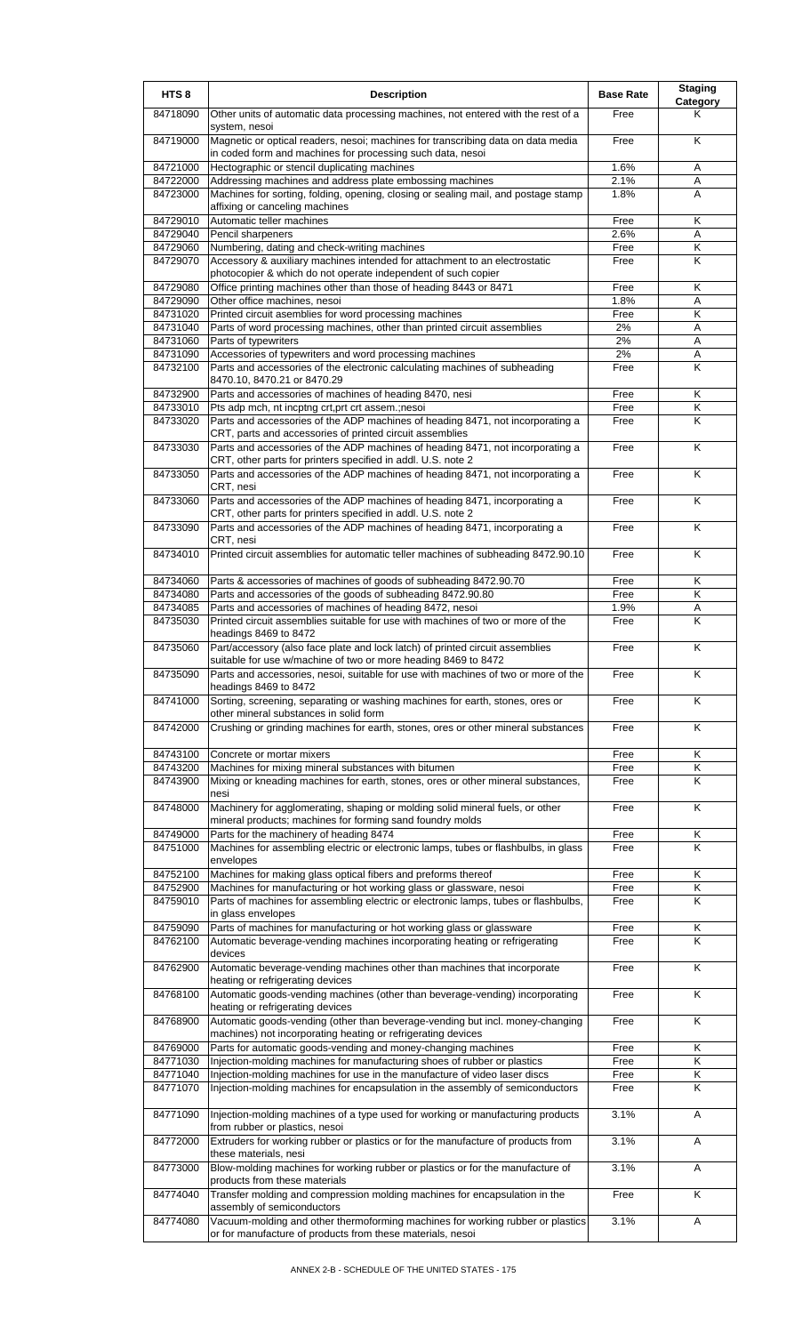| HTS <sub>8</sub>     | <b>Description</b>                                                                                                                                           | <b>Base Rate</b> | <b>Staging</b><br><b>Category</b> |
|----------------------|--------------------------------------------------------------------------------------------------------------------------------------------------------------|------------------|-----------------------------------|
| 84718090             | Other units of automatic data processing machines, not entered with the rest of a<br>system, nesoi                                                           | Free             | Κ                                 |
| 84719000             | Magnetic or optical readers, nesoi; machines for transcribing data on data media<br>in coded form and machines for processing such data, nesoi               | Free             | K                                 |
| 84721000             | Hectographic or stencil duplicating machines                                                                                                                 | 1.6%             | Α                                 |
| 84722000             | Addressing machines and address plate embossing machines                                                                                                     | 2.1%             | Α                                 |
| 84723000             | Machines for sorting, folding, opening, closing or sealing mail, and postage stamp<br>affixing or canceling machines                                         | 1.8%             | A                                 |
| 84729010<br>84729040 | Automatic teller machines<br>Pencil sharpeners                                                                                                               | Free<br>2.6%     | Κ<br>Α                            |
| 84729060             | Numbering, dating and check-writing machines                                                                                                                 | Free             | Κ                                 |
| 84729070             | Accessory & auxiliary machines intended for attachment to an electrostatic                                                                                   | Free             | Κ                                 |
| 84729080             | photocopier & which do not operate independent of such copier<br>Office printing machines other than those of heading 8443 or 8471                           | Free             | Κ                                 |
| 84729090             | Other office machines, nesoi                                                                                                                                 | 1.8%             | Α                                 |
| 84731020             | Printed circuit asemblies for word processing machines                                                                                                       | Free             | $\overline{\mathsf{K}}$           |
| 84731040             | Parts of word processing machines, other than printed circuit assemblies                                                                                     | 2%               | A                                 |
| 84731060             | Parts of typewriters                                                                                                                                         | 2%               | Α                                 |
| 84731090<br>84732100 | Accessories of typewriters and word processing machines<br>Parts and accessories of the electronic calculating machines of subheading                        | 2%<br>Free       | Α<br>K                            |
|                      | 8470.10, 8470.21 or 8470.29                                                                                                                                  |                  |                                   |
| 84732900             | Parts and accessories of machines of heading 8470, nesi                                                                                                      | Free             | K                                 |
| 84733010             | Pts adp mch, nt incptng crt, prt crt assem.; nesoi                                                                                                           | Free             | Κ                                 |
| 84733020             | Parts and accessories of the ADP machines of heading 8471, not incorporating a<br>CRT, parts and accessories of printed circuit assemblies                   | Free             | Κ                                 |
| 84733030             | Parts and accessories of the ADP machines of heading 8471, not incorporating a<br>CRT, other parts for printers specified in addl. U.S. note 2               | Free             | K                                 |
| 84733050             | Parts and accessories of the ADP machines of heading 8471, not incorporating a                                                                               | Free             | K                                 |
| 84733060             | CRT, nesi<br>Parts and accessories of the ADP machines of heading 8471, incorporating a                                                                      | Free             | K                                 |
|                      | CRT, other parts for printers specified in addl. U.S. note 2                                                                                                 |                  |                                   |
| 84733090             | Parts and accessories of the ADP machines of heading 8471, incorporating a                                                                                   | Free             | K                                 |
| 84734010             | CRT, nesi<br>Printed circuit assemblies for automatic teller machines of subheading 8472.90.10                                                               | Free             | Κ                                 |
|                      |                                                                                                                                                              |                  |                                   |
| 84734060             | Parts & accessories of machines of goods of subheading 8472.90.70                                                                                            | Free             | Κ                                 |
| 84734080             | Parts and accessories of the goods of subheading 8472.90.80                                                                                                  | Free             | Κ                                 |
| 84734085<br>84735030 | Parts and accessories of machines of heading 8472, nesoi<br>Printed circuit assemblies suitable for use with machines of two or more of the                  | 1.9%<br>Free     | Α<br>K                            |
|                      | headings 8469 to 8472                                                                                                                                        |                  |                                   |
| 84735060             | Part/accessory (also face plate and lock latch) of printed circuit assemblies<br>suitable for use w/machine of two or more heading 8469 to 8472              | Free             | K                                 |
| 84735090             | Parts and accessories, nesoi, suitable for use with machines of two or more of the                                                                           | Free             | ĸ                                 |
| 84741000             | headings 8469 to 8472<br>Sorting, screening, separating or washing machines for earth, stones, ores or                                                       | Free             | Κ                                 |
| 84742000             | other mineral substances in solid form<br>Crushing or grinding machines for earth, stones, ores or other mineral substances                                  | Free             | Κ                                 |
|                      |                                                                                                                                                              |                  |                                   |
| 84743100<br>84743200 | Concrete or mortar mixers<br>Machines for mixing mineral substances with bitumen                                                                             | Free<br>Free     | Κ<br>$\overline{\mathsf{K}}$      |
| 84743900             | Mixing or kneading machines for earth, stones, ores or other mineral substances,                                                                             | Free             | K                                 |
| 84748000             | nesi<br>Machinery for agglomerating, shaping or molding solid mineral fuels, or other                                                                        | Free             | Κ                                 |
|                      | mineral products; machines for forming sand foundry molds                                                                                                    |                  |                                   |
| 84749000<br>84751000 | Parts for the machinery of heading 8474<br>Machines for assembling electric or electronic lamps, tubes or flashbulbs, in glass                               | Free<br>Free     | Κ<br>K                            |
|                      | envelopes                                                                                                                                                    |                  |                                   |
| 84752100             | Machines for making glass optical fibers and preforms thereof                                                                                                | Free             | Κ                                 |
| 84752900             | Machines for manufacturing or hot working glass or glassware, nesoi                                                                                          | Free             | Κ                                 |
| 84759010             | Parts of machines for assembling electric or electronic lamps, tubes or flashbulbs,<br>in glass envelopes                                                    | Free             | K                                 |
| 84759090             | Parts of machines for manufacturing or hot working glass or glassware                                                                                        | Free             | Κ                                 |
| 84762100             | Automatic beverage-vending machines incorporating heating or refrigerating                                                                                   | Free             | K                                 |
| 84762900             | devices<br>Automatic beverage-vending machines other than machines that incorporate                                                                          | Free             | K                                 |
| 84768100             | heating or refrigerating devices<br>Automatic goods-vending machines (other than beverage-vending) incorporating                                             | Free             | Κ                                 |
|                      | heating or refrigerating devices                                                                                                                             |                  |                                   |
| 84768900             | Automatic goods-vending (other than beverage-vending but incl. money-changing<br>machines) not incorporating heating or refrigerating devices                | Free             | K                                 |
| 84769000             | Parts for automatic goods-vending and money-changing machines                                                                                                | Free             | K                                 |
| 84771030             | Injection-molding machines for manufacturing shoes of rubber or plastics                                                                                     | Free             | $\overline{\mathsf{K}}$           |
| 84771040<br>84771070 | Injection-molding machines for use in the manufacture of video laser discs<br>Injection-molding machines for encapsulation in the assembly of semiconductors | Free<br>Free     | Κ<br>Κ                            |
| 84771090             | Injection-molding machines of a type used for working or manufacturing products                                                                              | 3.1%             | Α                                 |
|                      | from rubber or plastics, nesoi                                                                                                                               |                  |                                   |
| 84772000             | Extruders for working rubber or plastics or for the manufacture of products from<br>these materials, nesi                                                    | 3.1%             | Α                                 |
| 84773000             | Blow-molding machines for working rubber or plastics or for the manufacture of<br>products from these materials                                              | 3.1%             | Α                                 |
| 84774040             | Transfer molding and compression molding machines for encapsulation in the<br>assembly of semiconductors                                                     | Free             | K                                 |
| 84774080             | Vacuum-molding and other thermoforming machines for working rubber or plastics<br>or for manufacture of products from these materials, nesoi                 | 3.1%             | Α                                 |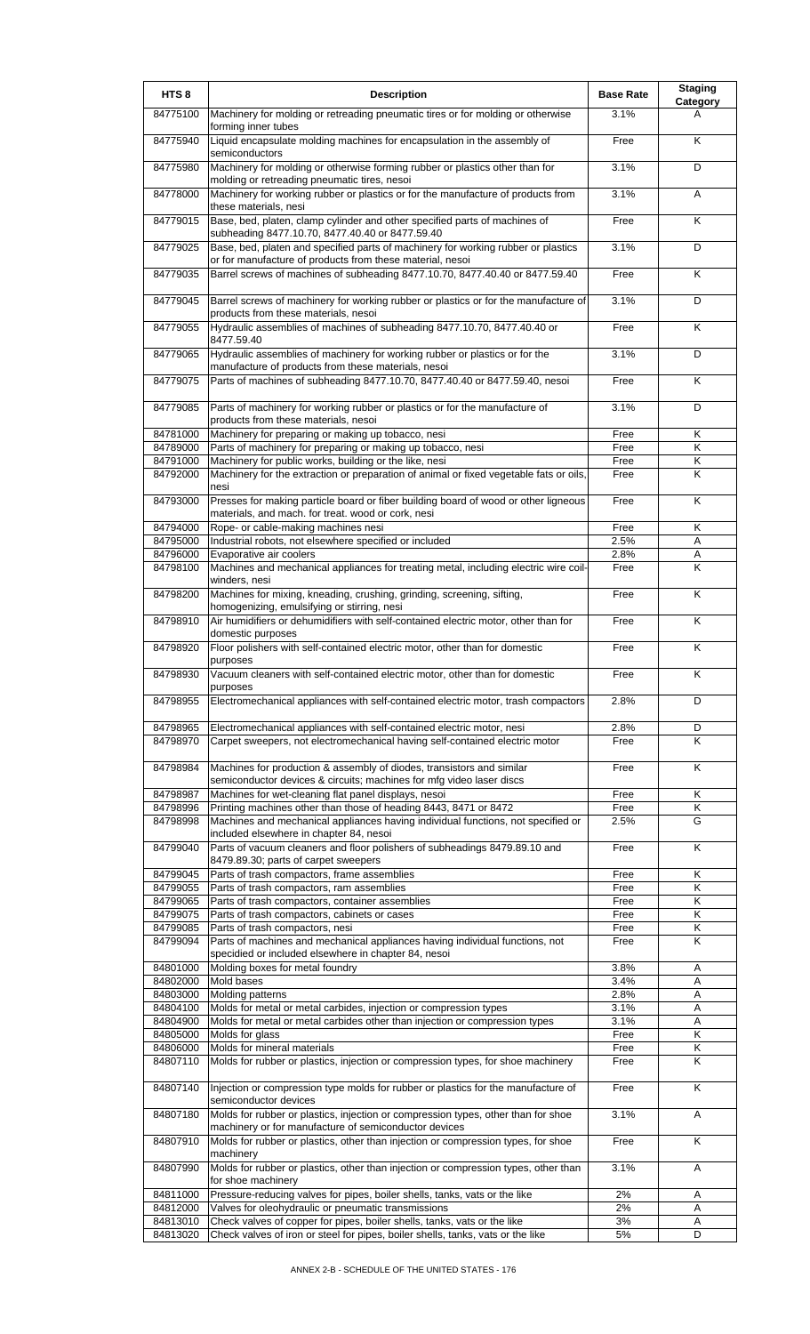| HTS <sub>8</sub>     | <b>Description</b>                                                                                                                                   | <b>Base Rate</b> | <b>Staging</b><br>Category |
|----------------------|------------------------------------------------------------------------------------------------------------------------------------------------------|------------------|----------------------------|
| 84775100             | Machinery for molding or retreading pneumatic tires or for molding or otherwise<br>forming inner tubes                                               | 3.1%             | A                          |
| 84775940             | Liquid encapsulate molding machines for encapsulation in the assembly of<br>semiconductors                                                           | Free             | K                          |
| 84775980             | Machinery for molding or otherwise forming rubber or plastics other than for<br>molding or retreading pneumatic tires, nesoi                         | 3.1%             | D                          |
| 84778000             | Machinery for working rubber or plastics or for the manufacture of products from<br>these materials, nesi                                            | 3.1%             | A                          |
| 84779015             | Base, bed, platen, clamp cylinder and other specified parts of machines of<br>subheading 8477.10.70, 8477.40.40 or 8477.59.40                        | Free             | K                          |
| 84779025             | Base, bed, platen and specified parts of machinery for working rubber or plastics<br>or for manufacture of products from these material, nesoi       | 3.1%             | D                          |
| 84779035             | Barrel screws of machines of subheading 8477.10.70, 8477.40.40 or 8477.59.40                                                                         | Free             | Κ                          |
| 84779045             | Barrel screws of machinery for working rubber or plastics or for the manufacture of<br>products from these materials, nesoi                          | 3.1%             | D                          |
| 84779055             | Hydraulic assemblies of machines of subheading 8477.10.70, 8477.40.40 or<br>8477.59.40                                                               | Free             | K                          |
| 84779065             | Hydraulic assemblies of machinery for working rubber or plastics or for the<br>manufacture of products from these materials, nesoi                   | 3.1%             | D                          |
| 84779075             | Parts of machines of subheading 8477.10.70, 8477.40.40 or 8477.59.40, nesoi                                                                          | Free             | K                          |
| 84779085             | Parts of machinery for working rubber or plastics or for the manufacture of<br>products from these materials, nesoi                                  | 3.1%             | D                          |
| 84781000             | Machinery for preparing or making up tobacco, nesi                                                                                                   | Free             | Κ                          |
| 84789000             | Parts of machinery for preparing or making up tobacco, nesi                                                                                          | Free             | K                          |
| 84791000             | Machinery for public works, building or the like, nesi                                                                                               | Free             | Κ                          |
| 84792000             | Machinery for the extraction or preparation of animal or fixed vegetable fats or oils,<br>nesi                                                       | Free             | K                          |
| 84793000             | Presses for making particle board or fiber building board of wood or other ligneous<br>materials, and mach. for treat. wood or cork, nesi            | Free             | K                          |
| 84794000             | Rope- or cable-making machines nesi                                                                                                                  | Free             | K                          |
| 84795000             | Industrial robots, not elsewhere specified or included                                                                                               | 2.5%             | A                          |
| 84796000<br>84798100 | Evaporative air coolers<br>Machines and mechanical appliances for treating metal, including electric wire coil-                                      | 2.8%<br>Free     | Α<br>K                     |
| 84798200             | winders, nesi<br>Machines for mixing, kneading, crushing, grinding, screening, sifting,                                                              | Free             | K                          |
| 84798910             | homogenizing, emulsifying or stirring, nesi<br>Air humidifiers or dehumidifiers with self-contained electric motor, other than for                   | Free             | K                          |
| 84798920             | domestic purposes<br>Floor polishers with self-contained electric motor, other than for domestic                                                     | Free             | K                          |
| 84798930             | purposes<br>Vacuum cleaners with self-contained electric motor, other than for domestic                                                              | Free             | Κ                          |
| 84798955             | purposes<br>Electromechanical appliances with self-contained electric motor, trash compactors                                                        | 2.8%             | D                          |
| 84798965<br>84798970 | Electromechanical appliances with self-contained electric motor, nesi<br>Carpet sweepers, not electromechanical having self-contained electric motor | 2.8%<br>Free     | D<br>K                     |
| 84798984             | Machines for production & assembly of diodes, transistors and similar                                                                                | Free             | K                          |
|                      | semiconductor devices & circuits; machines for mfg video laser discs                                                                                 |                  |                            |
| 84798987<br>84798996 | Machines for wet-cleaning flat panel displays, nesoi<br>Printing machines other than those of heading 8443, 8471 or 8472                             | Free<br>Free     | Κ<br>Κ                     |
| 84798998             | Machines and mechanical appliances having individual functions, not specified or                                                                     | 2.5%             | G                          |
| 84799040             | included elsewhere in chapter 84, nesoi<br>Parts of vacuum cleaners and floor polishers of subheadings 8479.89.10 and                                | Free             | K                          |
|                      | 8479.89.30; parts of carpet sweepers                                                                                                                 |                  |                            |
| 84799045<br>84799055 | Parts of trash compactors, frame assemblies<br>Parts of trash compactors, ram assemblies                                                             | Free             | Κ<br>Κ                     |
| 84799065             | Parts of trash compactors, container assemblies                                                                                                      | Free<br>Free     | K                          |
| 84799075             | Parts of trash compactors, cabinets or cases                                                                                                         | Free             | Κ                          |
| 84799085             | Parts of trash compactors, nesi                                                                                                                      | Free             | K                          |
| 84799094             | Parts of machines and mechanical appliances having individual functions, not<br>specidied or included elsewhere in chapter 84, nesoi                 | Free             | K                          |
| 84801000             | Molding boxes for metal foundry                                                                                                                      | 3.8%             | Α                          |
| 84802000             | Mold bases                                                                                                                                           | 3.4%             | A                          |
| 84803000             | Molding patterns                                                                                                                                     | 2.8%             | A                          |
| 84804100<br>84804900 | Molds for metal or metal carbides, injection or compression types<br>Molds for metal or metal carbides other than injection or compression types     | 3.1%<br>3.1%     | Α<br>A                     |
| 84805000             | Molds for glass                                                                                                                                      | Free             | K                          |
| 84806000             | Molds for mineral materials                                                                                                                          | Free             | Κ                          |
| 84807110             | Molds for rubber or plastics, injection or compression types, for shoe machinery                                                                     | Free             | K                          |
| 84807140             | Injection or compression type molds for rubber or plastics for the manufacture of<br>semiconductor devices                                           | Free             | K                          |
| 84807180             | Molds for rubber or plastics, injection or compression types, other than for shoe<br>machinery or for manufacture of semiconductor devices           | 3.1%             | A                          |
| 84807910             | Molds for rubber or plastics, other than injection or compression types, for shoe<br>machinery                                                       | Free             | K                          |
| 84807990             | Molds for rubber or plastics, other than injection or compression types, other than<br>for shoe machinery                                            | 3.1%             | Α                          |
| 84811000             | Pressure-reducing valves for pipes, boiler shells, tanks, vats or the like                                                                           | 2%               | Α                          |
| 84812000             | Valves for oleohydraulic or pneumatic transmissions                                                                                                  | 2%               | Α                          |
| 84813010             | Check valves of copper for pipes, boiler shells, tanks, vats or the like                                                                             | 3%               | Α                          |
| 84813020             | Check valves of iron or steel for pipes, boiler shells, tanks, vats or the like                                                                      | 5%               | D                          |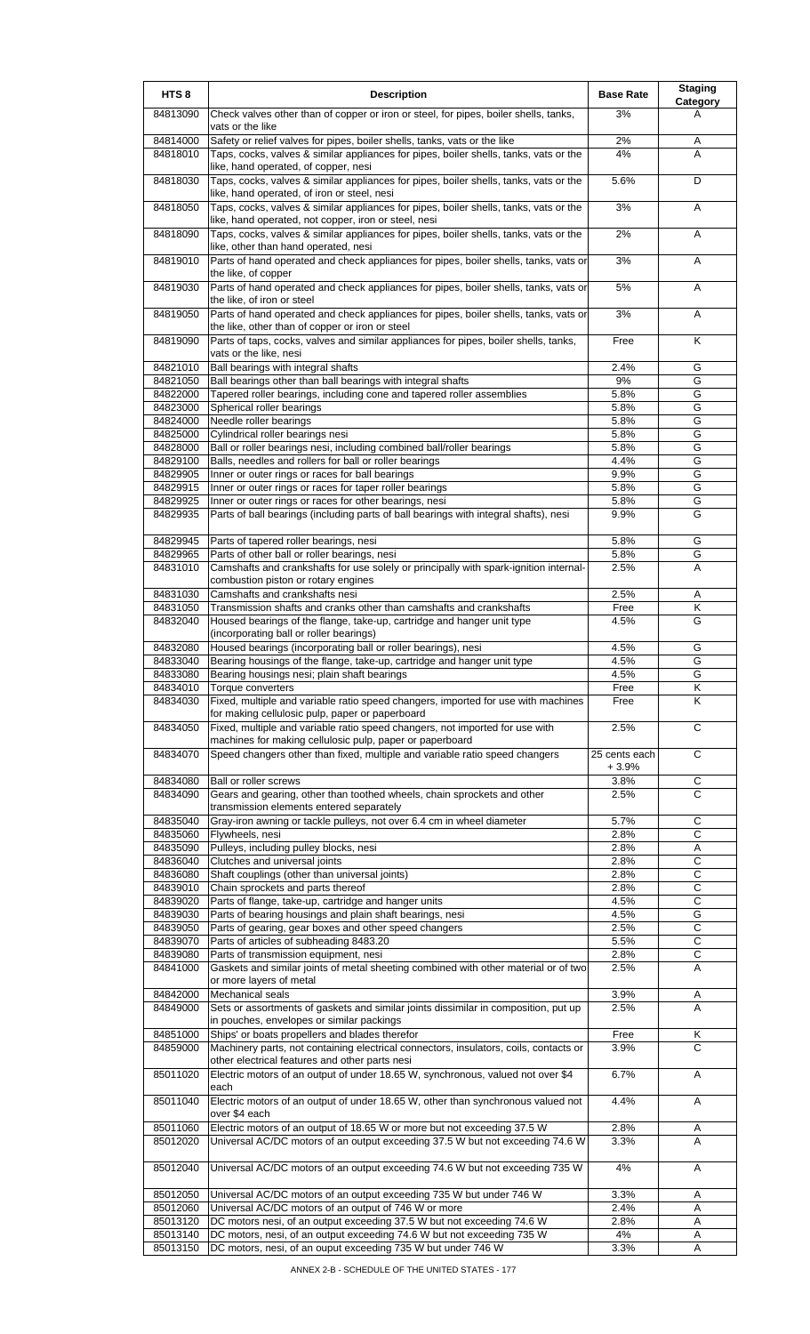| HTS <sub>8</sub>     | <b>Description</b>                                                                                                                                        | <b>Base Rate</b> | <b>Staging</b><br>Category |
|----------------------|-----------------------------------------------------------------------------------------------------------------------------------------------------------|------------------|----------------------------|
| 84813090             | Check valves other than of copper or iron or steel, for pipes, boiler shells, tanks,<br>vats or the like                                                  | 3%               | A                          |
| 84814000             | Safety or relief valves for pipes, boiler shells, tanks, vats or the like                                                                                 | 2%               | Α                          |
| 84818010             | Taps, cocks, valves & similar appliances for pipes, boiler shells, tanks, vats or the<br>like, hand operated, of copper, nesi                             | 4%               | A                          |
| 84818030             | Taps, cocks, valves & similar appliances for pipes, boiler shells, tanks, vats or the<br>like, hand operated, of iron or steel, nesi                      | 5.6%             | D                          |
| 84818050             | Taps, cocks, valves & similar appliances for pipes, boiler shells, tanks, vats or the<br>like, hand operated, not copper, iron or steel, nesi             | 3%               | A                          |
| 84818090             | Taps, cocks, valves & similar appliances for pipes, boiler shells, tanks, vats or the                                                                     | 2%               | A                          |
| 84819010             | like, other than hand operated, nesi<br>Parts of hand operated and check appliances for pipes, boiler shells, tanks, vats or                              | 3%               | Α                          |
| 84819030             | the like, of copper<br>Parts of hand operated and check appliances for pipes, boiler shells, tanks, vats or                                               | 5%               | A                          |
| 84819050             | the like, of iron or steel<br>Parts of hand operated and check appliances for pipes, boiler shells, tanks, vats or                                        | 3%               | Α                          |
| 84819090             | the like, other than of copper or iron or steel<br>Parts of taps, cocks, valves and similar appliances for pipes, boiler shells, tanks,                   | Free             | Κ                          |
| 84821010             | vats or the like, nesi<br>Ball bearings with integral shafts                                                                                              | 2.4%             | G                          |
| 84821050             | Ball bearings other than ball bearings with integral shafts                                                                                               | 9%               | G                          |
| 84822000             | Tapered roller bearings, including cone and tapered roller assemblies                                                                                     | 5.8%             | G                          |
| 84823000             | Spherical roller bearings                                                                                                                                 | 5.8%             | G                          |
| 84824000<br>84825000 | Needle roller bearings<br>Cylindrical roller bearings nesi                                                                                                | 5.8%<br>5.8%     | G<br>G                     |
| 84828000             | Ball or roller bearings nesi, including combined ball/roller bearings                                                                                     | 5.8%             | G                          |
| 84829100             | Balls, needles and rollers for ball or roller bearings                                                                                                    | 4.4%             | G                          |
| 84829905             | Inner or outer rings or races for ball bearings                                                                                                           | 9.9%             | G                          |
| 84829915             | Inner or outer rings or races for taper roller bearings                                                                                                   | 5.8%             | G                          |
| 84829925             | Inner or outer rings or races for other bearings, nesi                                                                                                    | 5.8%             | G                          |
| 84829935             | Parts of ball bearings (including parts of ball bearings with integral shafts), nesi                                                                      | 9.9%             | G                          |
| 84829945             | Parts of tapered roller bearings, nesi                                                                                                                    | 5.8%             | G                          |
| 84829965             | Parts of other ball or roller bearings, nesi                                                                                                              | 5.8%             | G                          |
| 84831010             | Camshafts and crankshafts for use solely or principally with spark-ignition internal-<br>combustion piston or rotary engines                              | 2.5%             | Α                          |
| 84831030             | Camshafts and crankshafts nesi                                                                                                                            | 2.5%             | A                          |
| 84831050             | Transmission shafts and cranks other than camshafts and crankshafts                                                                                       | Free             | Κ                          |
| 84832040             | Housed bearings of the flange, take-up, cartridge and hanger unit type<br>(incorporating ball or roller bearings)                                         | 4.5%             | G                          |
| 84832080             | Housed bearings (incorporating ball or roller bearings), nesi                                                                                             | 4.5%             | G                          |
| 84833040             | Bearing housings of the flange, take-up, cartridge and hanger unit type                                                                                   | 4.5%             | G                          |
| 84833080<br>84834010 | Bearing housings nesi; plain shaft bearings<br>Torque converters                                                                                          | 4.5%<br>Free     | G<br>Κ                     |
| 84834030             | Fixed, multiple and variable ratio speed changers, imported for use with machines                                                                         | Free             | Κ                          |
| 84834050             | for making cellulosic pulp, paper or paperboard<br>Fixed, multiple and variable ratio speed changers, not imported for use with                           | 2.5%             | C                          |
| 84834070             | machines for making cellulosic pulp, paper or paperboard<br>Speed changers other than fixed, multiple and variable ratio speed changers                   | 25 cents each    | C                          |
|                      |                                                                                                                                                           | $+3.9%$<br>3.8%  |                            |
| 84834080<br>84834090 | Ball or roller screws<br>Gears and gearing, other than toothed wheels, chain sprockets and other                                                          | 2.5%             | $\overline{C}$<br>С        |
|                      | transmission elements entered separately                                                                                                                  |                  |                            |
| 84835040             | Gray-iron awning or tackle pulleys, not over 6.4 cm in wheel diameter                                                                                     | 5.7%             | С<br>C                     |
| 84835060<br>84835090 | Flywheels, nesi<br>Pulleys, including pulley blocks, nesi                                                                                                 | 2.8%<br>2.8%     | Α                          |
| 84836040             | Clutches and universal joints                                                                                                                             | 2.8%             | $\overline{C}$             |
| 84836080             | Shaft couplings (other than universal joints)                                                                                                             | 2.8%             | С                          |
| 84839010             | Chain sprockets and parts thereof                                                                                                                         | 2.8%             | C                          |
| 84839020             | Parts of flange, take-up, cartridge and hanger units                                                                                                      | 4.5%             | $\mathsf C$                |
| 84839030             | Parts of bearing housings and plain shaft bearings, nesi                                                                                                  | 4.5%             | G                          |
| 84839050             | Parts of gearing, gear boxes and other speed changers                                                                                                     | 2.5%             | $\overline{C}$             |
| 84839070<br>84839080 | Parts of articles of subheading 8483.20<br>Parts of transmission equipment, nesi                                                                          | 5.5%<br>2.8%     | C<br>C                     |
| 84841000             | Gaskets and similar joints of metal sheeting combined with other material or of two<br>or more layers of metal                                            | 2.5%             | Α                          |
| 84842000             | <b>Mechanical seals</b>                                                                                                                                   | 3.9%             | A                          |
| 84849000             | Sets or assortments of gaskets and similar joints dissimilar in composition, put up<br>in pouches, envelopes or similar packings                          | 2.5%             | A                          |
| 84851000             | Ships' or boats propellers and blades therefor                                                                                                            | Free             | Κ                          |
| 84859000             | Machinery parts, not containing electrical connectors, insulators, coils, contacts or                                                                     | 3.9%             | C                          |
| 85011020             | other electrical features and other parts nesi<br>Electric motors of an output of under 18.65 W, synchronous, valued not over \$4                         | 6.7%             | Α                          |
|                      | each                                                                                                                                                      |                  |                            |
| 85011040             | Electric motors of an output of under 18.65 W, other than synchronous valued not<br>over \$4 each                                                         | 4.4%             | A                          |
| 85011060<br>85012020 | Electric motors of an output of 18.65 W or more but not exceeding 37.5 W<br>Universal AC/DC motors of an output exceeding 37.5 W but not exceeding 74.6 W | 2.8%<br>3.3%     | Α<br>A                     |
| 85012040             | Universal AC/DC motors of an output exceeding 74.6 W but not exceeding 735 W                                                                              | 4%               | Α                          |
| 85012050             | Universal AC/DC motors of an output exceeding 735 W but under 746 W                                                                                       | 3.3%             | Α                          |
| 85012060             | Universal AC/DC motors of an output of 746 W or more                                                                                                      | 2.4%             | Α                          |
| 85013120             | DC motors nesi, of an output exceeding 37.5 W but not exceeding 74.6 W                                                                                    | 2.8%             | Α                          |
| 85013140             | DC motors, nesi, of an output exceeding 74.6 W but not exceeding 735 W                                                                                    | 4%               | Α                          |
| 85013150             | DC motors, nesi, of an ouput exceeding 735 W but under 746 W                                                                                              | 3.3%             | Α                          |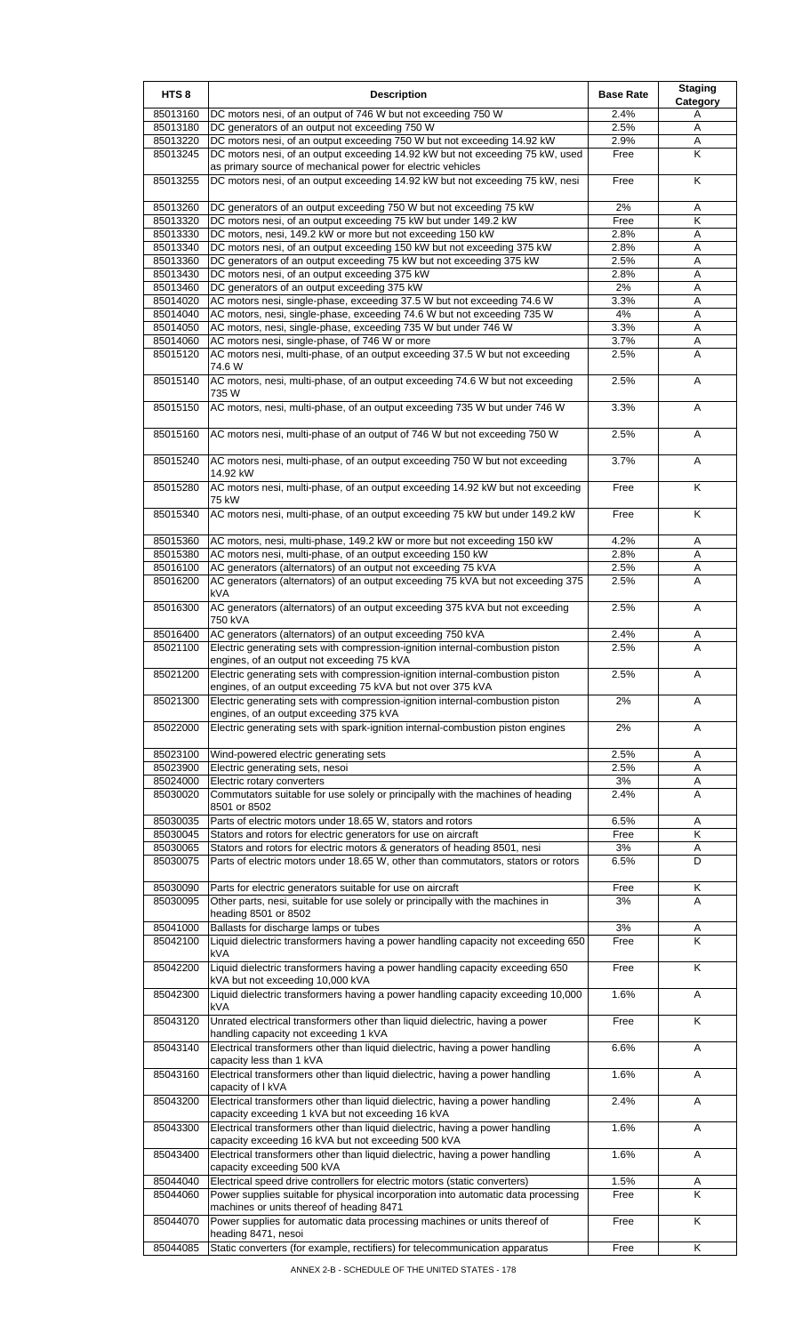| HTS <sub>8</sub>     | <b>Description</b>                                                                                                                                 | <b>Base Rate</b> | <b>Staging</b><br>Category |
|----------------------|----------------------------------------------------------------------------------------------------------------------------------------------------|------------------|----------------------------|
| 85013160             | DC motors nesi, of an output of 746 W but not exceeding 750 W                                                                                      | 2.4%             | A                          |
| 85013180<br>85013220 | DC generators of an output not exceeding 750 W<br>DC motors nesi, of an output exceeding 750 W but not exceeding 14.92 kW                          | 2.5%<br>2.9%     | Α<br>Α                     |
| 85013245             | DC motors nesi, of an output exceeding 14.92 kW but not exceeding 75 kW, used                                                                      | Free             | K                          |
| 85013255             | as primary source of mechanical power for electric vehicles<br>DC motors nesi, of an output exceeding 14.92 kW but not exceeding 75 kW, nesi       | Free             | K                          |
|                      |                                                                                                                                                    |                  |                            |
| 85013260             | DC generators of an output exceeding 750 W but not exceeding 75 kW                                                                                 | 2%               | Α                          |
| 85013320             | DC motors nesi, of an output exceeding 75 kW but under 149.2 kW                                                                                    | Free             | Κ                          |
| 85013330<br>85013340 | DC motors, nesi, 149.2 kW or more but not exceeding 150 kW<br>DC motors nesi, of an output exceeding 150 kW but not exceeding 375 kW               | 2.8%<br>2.8%     | A<br>Α                     |
| 85013360             | DC generators of an output exceeding 75 kW but not exceeding 375 kW                                                                                | 2.5%             | A                          |
| 85013430             | DC motors nesi, of an output exceeding 375 kW                                                                                                      | 2.8%             | Α                          |
| 85013460             | DC generators of an output exceeding 375 kW                                                                                                        | 2%               | Α                          |
| 85014020<br>85014040 | AC motors nesi, single-phase, exceeding 37.5 W but not exceeding 74.6 W<br>AC motors, nesi, single-phase, exceeding 74.6 W but not exceeding 735 W | 3.3%<br>4%       | Α<br>A                     |
| 85014050             | AC motors, nesi, single-phase, exceeding 735 W but under 746 W                                                                                     | 3.3%             | Α                          |
| 85014060             | AC motors nesi, single-phase, of 746 W or more                                                                                                     | 3.7%             | Α                          |
| 85015120             | AC motors nesi, multi-phase, of an output exceeding 37.5 W but not exceeding<br>74.6 W                                                             | 2.5%             | Α                          |
| 85015140             | AC motors, nesi, multi-phase, of an output exceeding 74.6 W but not exceeding<br>735 W                                                             | 2.5%             | Α                          |
| 85015150             | AC motors, nesi, multi-phase, of an output exceeding 735 W but under 746 W                                                                         | 3.3%             | Α                          |
| 85015160             | AC motors nesi, multi-phase of an output of 746 W but not exceeding 750 W                                                                          | 2.5%             | A                          |
| 85015240             | AC motors nesi, multi-phase, of an output exceeding 750 W but not exceeding<br>14.92 kW                                                            | 3.7%             | A                          |
| 85015280             | AC motors nesi, multi-phase, of an output exceeding 14.92 kW but not exceeding<br>75 kW                                                            | Free             | K                          |
| 85015340             | AC motors nesi, multi-phase, of an output exceeding 75 kW but under 149.2 kW                                                                       | Free             | Κ                          |
| 85015360             | AC motors, nesi, multi-phase, 149.2 kW or more but not exceeding 150 kW                                                                            | 4.2%             | Α                          |
| 85015380             | AC motors nesi, multi-phase, of an output exceeding 150 kW                                                                                         | 2.8%             | Α                          |
| 85016100<br>85016200 | AC generators (alternators) of an output not exceeding 75 kVA<br>AC generators (alternators) of an output exceeding 75 kVA but not exceeding 375   | 2.5%<br>2.5%     | Α<br>A                     |
| 85016300             | kVA<br>AC generators (alternators) of an output exceeding 375 kVA but not exceeding                                                                | 2.5%             | A                          |
| 85016400             | 750 kVA<br>AC generators (alternators) of an output exceeding 750 kVA                                                                              | 2.4%             | A                          |
| 85021100             | Electric generating sets with compression-ignition internal-combustion piston<br>engines, of an output not exceeding 75 kVA                        | 2.5%             | A                          |
| 85021200             | Electric generating sets with compression-ignition internal-combustion piston<br>engines, of an output exceeding 75 kVA but not over 375 kVA       | 2.5%             | A                          |
| 85021300             | Electric generating sets with compression-ignition internal-combustion piston<br>engines, of an output exceeding 375 kVA                           | 2%               | Α                          |
| 85022000             | Electric generating sets with spark-ignition internal-combustion piston engines                                                                    | 2%               | Α                          |
| 85023100             | Wind-powered electric generating sets                                                                                                              | 2.5%             | Α                          |
| 85023900<br>85024000 | Electric generating sets, nesoi<br>Electric rotary converters                                                                                      | 2.5%<br>3%       | Α                          |
| 85030020             | Commutators suitable for use solely or principally with the machines of heading                                                                    | 2.4%             | Α<br>A                     |
| 85030035             | 8501 or 8502<br>Parts of electric motors under 18.65 W, stators and rotors                                                                         | 6.5%             | Α                          |
| 85030045             | Stators and rotors for electric generators for use on aircraft                                                                                     | Free             | K                          |
| 85030065             | Stators and rotors for electric motors & generators of heading 8501, nesi                                                                          | 3%               | Α                          |
| 85030075             | Parts of electric motors under 18.65 W, other than commutators, stators or rotors                                                                  | 6.5%             | D                          |
| 85030090             | Parts for electric generators suitable for use on aircraft                                                                                         | Free             | Κ                          |
| 85030095             | Other parts, nesi, suitable for use solely or principally with the machines in                                                                     | 3%               | A                          |
| 85041000             | heading 8501 or 8502<br>Ballasts for discharge lamps or tubes                                                                                      | $3%$             | A                          |
| 85042100             | Liquid dielectric transformers having a power handling capacity not exceeding 650<br>kVA                                                           | Free             | K                          |
| 85042200             | Liquid dielectric transformers having a power handling capacity exceeding 650<br>kVA but not exceeding 10,000 kVA                                  | Free             | Κ                          |
| 85042300             | Liquid dielectric transformers having a power handling capacity exceeding 10,000<br>kVA                                                            | 1.6%             | Α                          |
| 85043120             | Unrated electrical transformers other than liquid dielectric, having a power<br>handling capacity not exceeding 1 kVA                              | Free             | Κ                          |
| 85043140             | Electrical transformers other than liquid dielectric, having a power handling<br>capacity less than 1 kVA                                          | 6.6%             | A                          |
| 85043160             | Electrical transformers other than liquid dielectric, having a power handling<br>capacity of I kVA                                                 | 1.6%             | Α                          |
| 85043200             | Electrical transformers other than liquid dielectric, having a power handling<br>capacity exceeding 1 kVA but not exceeding 16 kVA                 | 2.4%             | Α                          |
| 85043300             | Electrical transformers other than liquid dielectric, having a power handling<br>capacity exceeding 16 kVA but not exceeding 500 kVA               | 1.6%             | Α                          |
| 85043400             | Electrical transformers other than liquid dielectric, having a power handling<br>capacity exceeding 500 kVA                                        | 1.6%             | Α                          |
| 85044040             | Electrical speed drive controllers for electric motors (static converters)                                                                         | 1.5%             | Α                          |
| 85044060             | Power supplies suitable for physical incorporation into automatic data processing                                                                  | Free             | K                          |
| 85044070             | machines or units thereof of heading 8471<br>Power supplies for automatic data processing machines or units thereof of<br>heading 8471, nesoi      | Free             | K                          |
| 85044085             | Static converters (for example, rectifiers) for telecommunication apparatus                                                                        | Free             | Κ                          |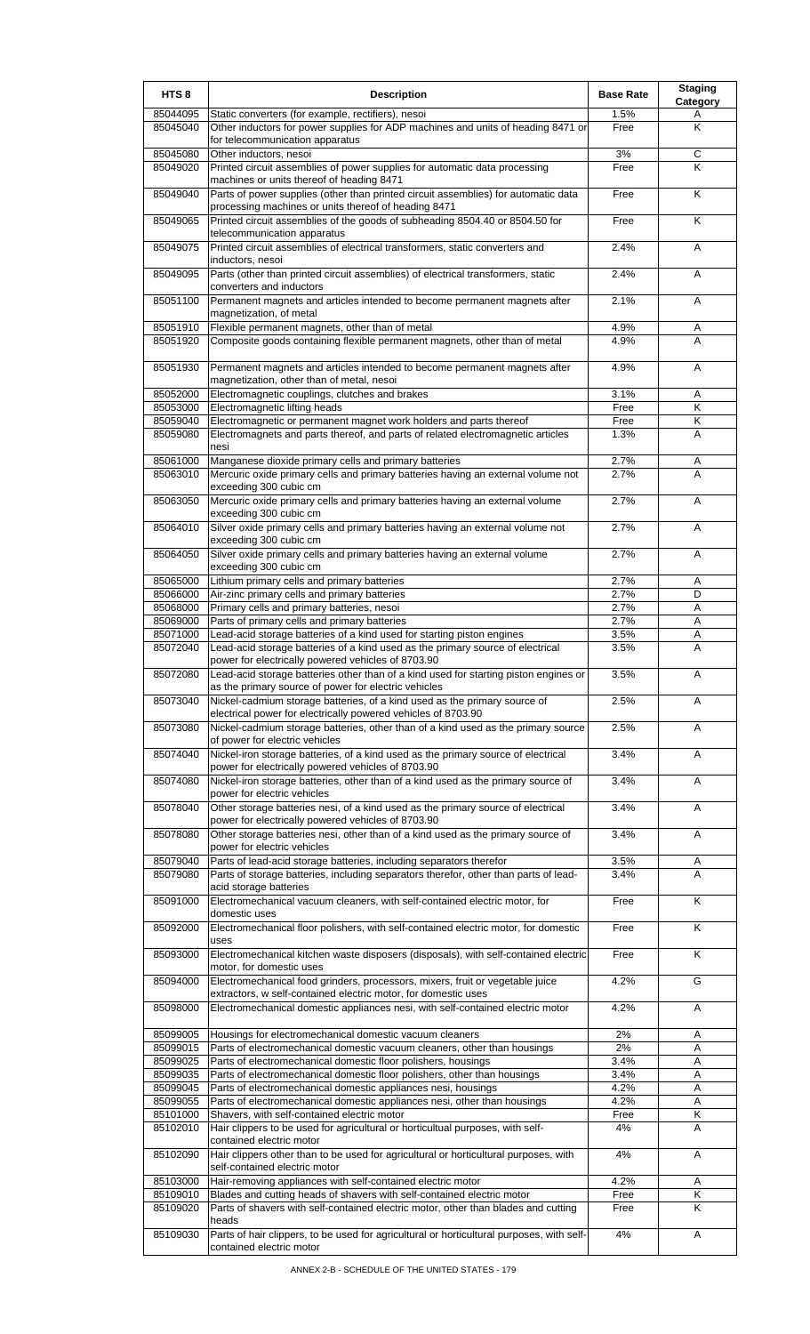| 85044095<br>Static converters (for example, rectifiers), nesoi<br>Other inductors for power supplies for ADP machines and units of heading 8471 or<br>85045040<br>for telecommunication apparatus<br>85045080<br>Other inductors, nesoi<br>Printed circuit assemblies of power supplies for automatic data processing<br>85049020<br>machines or units thereof of heading 8471 | 1.5%<br>Free<br>3%<br>Free | Category<br>Α<br>K<br>C |
|--------------------------------------------------------------------------------------------------------------------------------------------------------------------------------------------------------------------------------------------------------------------------------------------------------------------------------------------------------------------------------|----------------------------|-------------------------|
|                                                                                                                                                                                                                                                                                                                                                                                |                            |                         |
|                                                                                                                                                                                                                                                                                                                                                                                |                            |                         |
|                                                                                                                                                                                                                                                                                                                                                                                |                            |                         |
|                                                                                                                                                                                                                                                                                                                                                                                |                            | Κ                       |
| 85049040<br>Parts of power supplies (other than printed circuit assemblies) for automatic data                                                                                                                                                                                                                                                                                 | Free                       | K                       |
| processing machines or units thereof of heading 8471<br>Printed circuit assemblies of the goods of subheading 8504.40 or 8504.50 for<br>85049065                                                                                                                                                                                                                               | Free                       | K                       |
| telecommunication apparatus<br>85049075<br>Printed circuit assemblies of electrical transformers, static converters and                                                                                                                                                                                                                                                        | 2.4%                       | A                       |
| inductors, nesoi<br>Parts (other than printed circuit assemblies) of electrical transformers, static<br>85049095                                                                                                                                                                                                                                                               | 2.4%                       | A                       |
| converters and inductors<br>Permanent magnets and articles intended to become permanent magnets after<br>85051100                                                                                                                                                                                                                                                              | 2.1%                       | A                       |
| magnetization, of metal                                                                                                                                                                                                                                                                                                                                                        |                            |                         |
| 85051910<br>Flexible permanent magnets, other than of metal<br>Composite goods containing flexible permanent magnets, other than of metal<br>85051920                                                                                                                                                                                                                          | 4.9%<br>4.9%               | Α<br>A                  |
|                                                                                                                                                                                                                                                                                                                                                                                |                            |                         |
| Permanent magnets and articles intended to become permanent magnets after<br>85051930<br>magnetization, other than of metal, nesoi                                                                                                                                                                                                                                             | 4.9%                       | Α                       |
| 85052000<br>Electromagnetic couplings, clutches and brakes                                                                                                                                                                                                                                                                                                                     | 3.1%                       | A                       |
| 85053000<br>Electromagnetic lifting heads                                                                                                                                                                                                                                                                                                                                      | Free                       | Κ                       |
| 85059040<br>Electromagnetic or permanent magnet work holders and parts thereof                                                                                                                                                                                                                                                                                                 | Free                       | Κ                       |
| 85059080<br>Electromagnets and parts thereof, and parts of related electromagnetic articles<br>nesi                                                                                                                                                                                                                                                                            | 1.3%                       | A                       |
| Manganese dioxide primary cells and primary batteries<br>85061000                                                                                                                                                                                                                                                                                                              | 2.7%                       | A                       |
| 85063010<br>Mercuric oxide primary cells and primary batteries having an external volume not<br>exceeding 300 cubic cm                                                                                                                                                                                                                                                         | 2.7%                       | A                       |
| 85063050<br>Mercuric oxide primary cells and primary batteries having an external volume<br>exceeding 300 cubic cm                                                                                                                                                                                                                                                             | 2.7%                       | Α                       |
| 85064010<br>Silver oxide primary cells and primary batteries having an external volume not<br>exceeding 300 cubic cm                                                                                                                                                                                                                                                           | 2.7%                       | A                       |
| Silver oxide primary cells and primary batteries having an external volume<br>85064050<br>exceeding 300 cubic cm                                                                                                                                                                                                                                                               | 2.7%                       | Α                       |
| Lithium primary cells and primary batteries<br>85065000                                                                                                                                                                                                                                                                                                                        | 2.7%                       | Α                       |
| 85066000<br>Air-zinc primary cells and primary batteries                                                                                                                                                                                                                                                                                                                       | 2.7%                       | D                       |
| 85068000<br>Primary cells and primary batteries, nesoi                                                                                                                                                                                                                                                                                                                         | 2.7%                       | Α                       |
| 85069000<br>Parts of primary cells and primary batteries<br>85071000<br>Lead-acid storage batteries of a kind used for starting piston engines                                                                                                                                                                                                                                 | 2.7%<br>3.5%               | A<br>A                  |
| 85072040<br>Lead-acid storage batteries of a kind used as the primary source of electrical                                                                                                                                                                                                                                                                                     | 3.5%                       | $\overline{A}$          |
| power for electrically powered vehicles of 8703.90<br>85072080<br>Lead-acid storage batteries other than of a kind used for starting piston engines or<br>as the primary source of power for electric vehicles                                                                                                                                                                 | 3.5%                       | A                       |
| Nickel-cadmium storage batteries, of a kind used as the primary source of<br>85073040<br>electrical power for electrically powered vehicles of 8703.90                                                                                                                                                                                                                         | 2.5%                       | Α                       |
| 85073080<br>Nickel-cadmium storage batteries, other than of a kind used as the primary source<br>of power for electric vehicles                                                                                                                                                                                                                                                | 2.5%                       | A                       |
| 85074040<br>Nickel-iron storage batteries, of a kind used as the primary source of electrical                                                                                                                                                                                                                                                                                  | 3.4%                       | Α                       |
| power for electrically powered vehicles of 8703.90<br>Nickel-iron storage batteries, other than of a kind used as the primary source of<br>85074080                                                                                                                                                                                                                            | 3.4%                       | A                       |
| power for electric vehicles<br>85078040<br>Other storage batteries nesi, of a kind used as the primary source of electrical                                                                                                                                                                                                                                                    | 3.4%                       | Α                       |
| power for electrically powered vehicles of 8703.90<br>85078080<br>Other storage batteries nesi, other than of a kind used as the primary source of                                                                                                                                                                                                                             | 3.4%                       | Α                       |
| power for electric vehicles<br>85079040<br>Parts of lead-acid storage batteries, including separators therefor                                                                                                                                                                                                                                                                 | 3.5%                       | Α                       |
| Parts of storage batteries, including separators therefor, other than parts of lead-<br>85079080                                                                                                                                                                                                                                                                               | 3.4%                       | A                       |
| acid storage batteries<br>85091000<br>Electromechanical vacuum cleaners, with self-contained electric motor, for                                                                                                                                                                                                                                                               | Free                       | K                       |
| domestic uses<br>85092000<br>Electromechanical floor polishers, with self-contained electric motor, for domestic                                                                                                                                                                                                                                                               | Free                       | K                       |
| uses<br>85093000<br>Electromechanical kitchen waste disposers (disposals), with self-contained electric                                                                                                                                                                                                                                                                        | Free                       | Κ                       |
| motor, for domestic uses<br>85094000<br>Electromechanical food grinders, processors, mixers, fruit or vegetable juice                                                                                                                                                                                                                                                          | 4.2%                       | G                       |
| extractors, w self-contained electric motor, for domestic uses<br>85098000<br>Electromechanical domestic appliances nesi, with self-contained electric motor                                                                                                                                                                                                                   | 4.2%                       | Α                       |
|                                                                                                                                                                                                                                                                                                                                                                                |                            |                         |
| 85099005<br>Housings for electromechanical domestic vacuum cleaners<br>85099015<br>Parts of electromechanical domestic vacuum cleaners, other than housings                                                                                                                                                                                                                    | 2%<br>2%                   | Α<br>Α                  |
| 85099025<br>Parts of electromechanical domestic floor polishers, housings                                                                                                                                                                                                                                                                                                      | 3.4%                       | Α                       |
| 85099035<br>Parts of electromechanical domestic floor polishers, other than housings                                                                                                                                                                                                                                                                                           | 3.4%                       | A                       |
| Parts of electromechanical domestic appliances nesi, housings<br>85099045                                                                                                                                                                                                                                                                                                      | 4.2%                       | Α                       |
| 85099055<br>Parts of electromechanical domestic appliances nesi, other than housings                                                                                                                                                                                                                                                                                           | 4.2%                       | Α                       |
| 85101000<br>Shavers, with self-contained electric motor<br>Hair clippers to be used for agricultural or horticultual purposes, with self-<br>85102010                                                                                                                                                                                                                          | Free<br>4%                 | Κ<br>Α                  |
| contained electric motor<br>Hair clippers other than to be used for agricultural or horticultural purposes, with<br>85102090                                                                                                                                                                                                                                                   | 4%                         | A                       |
| self-contained electric motor                                                                                                                                                                                                                                                                                                                                                  | 4.2%                       |                         |
| 85103000<br>Hair-removing appliances with self-contained electric motor<br>85109010<br>Blades and cutting heads of shavers with self-contained electric motor                                                                                                                                                                                                                  | Free                       | Α<br>Κ                  |
| 85109020<br>Parts of shavers with self-contained electric motor, other than blades and cutting                                                                                                                                                                                                                                                                                 | Free                       | K                       |
| heads<br>85109030<br>Parts of hair clippers, to be used for agricultural or horticultural purposes, with self-<br>contained electric motor                                                                                                                                                                                                                                     | 4%                         | Α                       |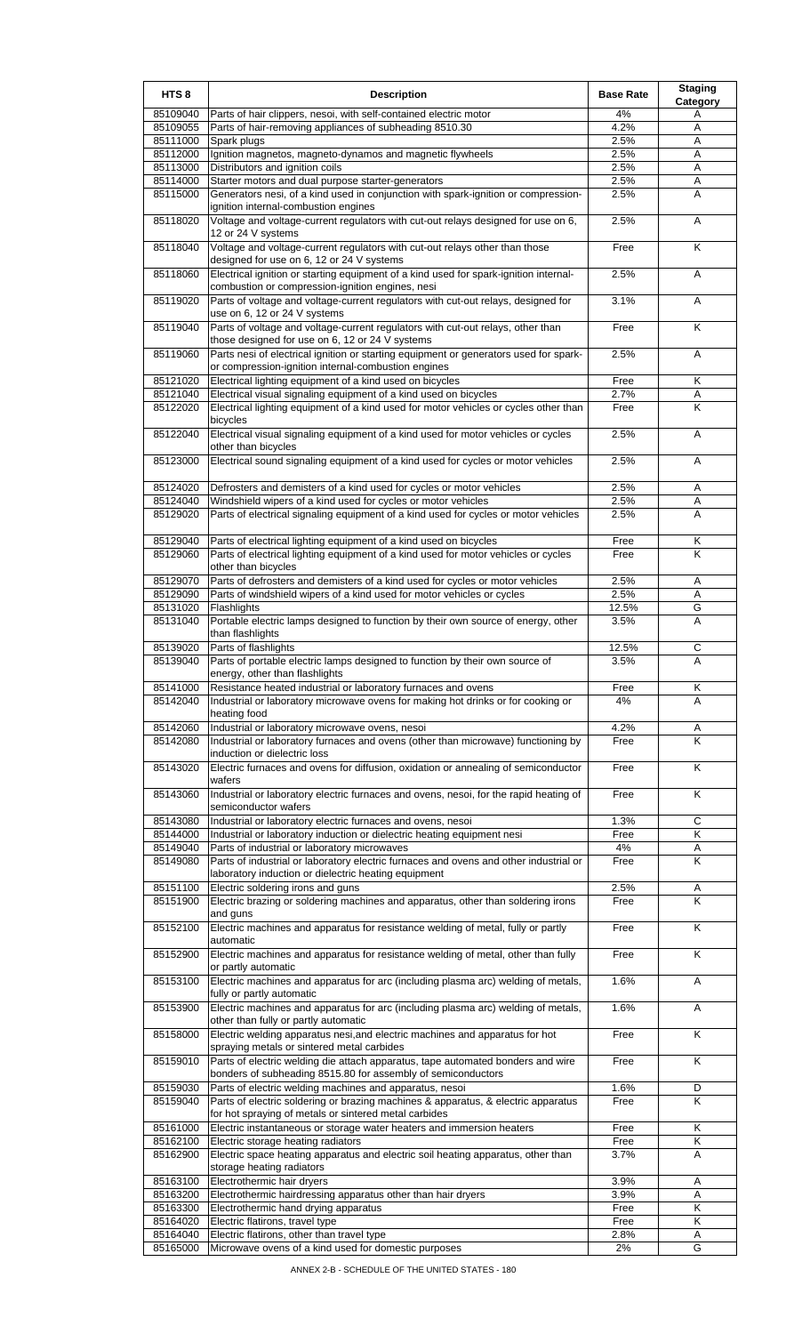| HTS <sub>8</sub>     | <b>Description</b>                                                                                                                                                 | <b>Base Rate</b> | <b>Staging</b><br><b>Category</b> |
|----------------------|--------------------------------------------------------------------------------------------------------------------------------------------------------------------|------------------|-----------------------------------|
| 85109040             | Parts of hair clippers, nesoi, with self-contained electric motor                                                                                                  | $4\%$            | Α                                 |
| 85109055             | Parts of hair-removing appliances of subheading 8510.30                                                                                                            | 4.2%             | Α                                 |
| 85111000<br>85112000 | Spark plugs<br>Ignition magnetos, magneto-dynamos and magnetic flywheels                                                                                           | 2.5%<br>2.5%     | Α<br>Α                            |
| 85113000             | Distributors and ignition coils                                                                                                                                    | 2.5%             | Α                                 |
| 85114000             | Starter motors and dual purpose starter-generators                                                                                                                 | 2.5%             | Α                                 |
| 85115000             | Generators nesi, of a kind used in conjunction with spark-ignition or compression-                                                                                 | 2.5%             | Α                                 |
| 85118020             | ignition internal-combustion engines<br>Voltage and voltage-current regulators with cut-out relays designed for use on 6,                                          | 2.5%             | Α                                 |
| 85118040             | 12 or 24 V systems<br>Voltage and voltage-current regulators with cut-out relays other than those                                                                  | Free             | Κ                                 |
| 85118060             | designed for use on 6, 12 or 24 V systems<br>Electrical ignition or starting equipment of a kind used for spark-ignition internal-                                 | 2.5%             | Α                                 |
| 85119020             | combustion or compression-ignition engines, nesi<br>Parts of voltage and voltage-current regulators with cut-out relays, designed for                              | 3.1%             | A                                 |
| 85119040             | use on 6, 12 or 24 V systems<br>Parts of voltage and voltage-current regulators with cut-out relays, other than<br>those designed for use on 6, 12 or 24 V systems | Free             | Κ                                 |
| 85119060             | Parts nesi of electrical ignition or starting equipment or generators used for spark-<br>or compression-ignition internal-combustion engines                       | 2.5%             | Α                                 |
| 85121020             | Electrical lighting equipment of a kind used on bicycles                                                                                                           | Free             | Κ                                 |
| 85121040             | Electrical visual signaling equipment of a kind used on bicycles                                                                                                   | 2.7%             | Α                                 |
| 85122020             | Electrical lighting equipment of a kind used for motor vehicles or cycles other than                                                                               | Free             | Κ                                 |
| 85122040             | bicycles<br>Electrical visual signaling equipment of a kind used for motor vehicles or cycles                                                                      | 2.5%             | Α                                 |
| 85123000             | other than bicycles<br>Electrical sound signaling equipment of a kind used for cycles or motor vehicles                                                            | 2.5%             | Α                                 |
|                      |                                                                                                                                                                    |                  |                                   |
| 85124020             | Defrosters and demisters of a kind used for cycles or motor vehicles                                                                                               | 2.5%             | Α                                 |
| 85124040<br>85129020 | Windshield wipers of a kind used for cycles or motor vehicles<br>Parts of electrical signaling equipment of a kind used for cycles or motor vehicles               | 2.5%<br>2.5%     | Α<br>A                            |
|                      |                                                                                                                                                                    |                  |                                   |
| 85129040             | Parts of electrical lighting equipment of a kind used on bicycles                                                                                                  | Free             | Κ                                 |
| 85129060             | Parts of electrical lighting equipment of a kind used for motor vehicles or cycles<br>other than bicycles                                                          | Free             | K                                 |
| 85129070             | Parts of defrosters and demisters of a kind used for cycles or motor vehicles                                                                                      | 2.5%             | Α                                 |
| 85129090             | Parts of windshield wipers of a kind used for motor vehicles or cycles                                                                                             | 2.5%             | Α                                 |
| 85131020             | Flashlights                                                                                                                                                        | 12.5%            | G                                 |
| 85131040             | Portable electric lamps designed to function by their own source of energy, other<br>than flashlights                                                              | 3.5%             | Α                                 |
| 85139020<br>85139040 | Parts of flashlights<br>Parts of portable electric lamps designed to function by their own source of                                                               | 12.5%<br>3.5%    | C<br>Α                            |
|                      | energy, other than flashlights                                                                                                                                     |                  |                                   |
| 85141000             | Resistance heated industrial or laboratory furnaces and ovens                                                                                                      | Free             | Κ                                 |
| 85142040             | Industrial or laboratory microwave ovens for making hot drinks or for cooking or<br>heating food                                                                   | 4%               | A                                 |
| 85142060             | Industrial or laboratory microwave ovens, nesoi                                                                                                                    | 4.2%             | Α                                 |
| 85142080             | Industrial or laboratory furnaces and ovens (other than microwave) functioning by<br>induction or dielectric loss                                                  | Free             | K                                 |
| 85143020             | Electric furnaces and ovens for diffusion, oxidation or annealing of semiconductor<br>wafers                                                                       | Free             | Κ                                 |
| 85143060             | Industrial or laboratory electric furnaces and ovens, nesoi, for the rapid heating of<br>semiconductor wafers                                                      | Free             | Κ                                 |
| 85143080             | Industrial or laboratory electric furnaces and ovens, nesoi                                                                                                        | 1.3%             | C                                 |
| 85144000<br>85149040 | Industrial or laboratory induction or dielectric heating equipment nesi<br>Parts of industrial or laboratory microwaves                                            | Free<br>4%       | Κ<br>Α                            |
| 85149080             | Parts of industrial or laboratory electric furnaces and ovens and other industrial or                                                                              | Free             | Κ                                 |
|                      | laboratory induction or dielectric heating equipment                                                                                                               |                  |                                   |
| 85151100<br>85151900 | Electric soldering irons and guns<br>Electric brazing or soldering machines and apparatus, other than soldering irons                                              | 2.5%<br>Free     | Α<br>K                            |
|                      | and guns                                                                                                                                                           |                  |                                   |
| 85152100             | Electric machines and apparatus for resistance welding of metal, fully or partly<br>automatic                                                                      | Free             | Κ                                 |
| 85152900             | Electric machines and apparatus for resistance welding of metal, other than fully<br>or partly automatic                                                           | Free             | Κ                                 |
| 85153100             | Electric machines and apparatus for arc (including plasma arc) welding of metals,<br>fully or partly automatic                                                     | 1.6%             | A                                 |
| 85153900             | Electric machines and apparatus for arc (including plasma arc) welding of metals,<br>other than fully or partly automatic                                          | 1.6%             | A                                 |
| 85158000             | Electric welding apparatus nesi, and electric machines and apparatus for hot<br>spraying metals or sintered metal carbides                                         | Free             | Κ                                 |
| 85159010             | Parts of electric welding die attach apparatus, tape automated bonders and wire<br>bonders of subheading 8515.80 for assembly of semiconductors                    | Free             | K                                 |
| 85159030<br>85159040 | Parts of electric welding machines and apparatus, nesoi<br>Parts of electric soldering or brazing machines & apparatus, & electric apparatus                       | 1.6%<br>Free     | D<br>K                            |
|                      | for hot spraying of metals or sintered metal carbides                                                                                                              |                  |                                   |
| 85161000             | Electric instantaneous or storage water heaters and immersion heaters                                                                                              | Free             | Κ                                 |
| 85162100<br>85162900 | Electric storage heating radiators<br>Electric space heating apparatus and electric soil heating apparatus, other than                                             | Free<br>3.7%     | Κ<br>Α                            |
|                      | storage heating radiators                                                                                                                                          |                  |                                   |
| 85163100             | Electrothermic hair dryers                                                                                                                                         | 3.9%             | Α                                 |
| 85163200             | Electrothermic hairdressing apparatus other than hair dryers                                                                                                       | 3.9%             | Α                                 |
| 85163300<br>85164020 | Electrothermic hand drying apparatus<br>Electric flatirons, travel type                                                                                            | Free<br>Free     | Κ<br>Κ                            |
| 85164040             | Electric flatirons, other than travel type                                                                                                                         | 2.8%             | Α                                 |
| 85165000             | Microwave ovens of a kind used for domestic purposes                                                                                                               | 2%               | G                                 |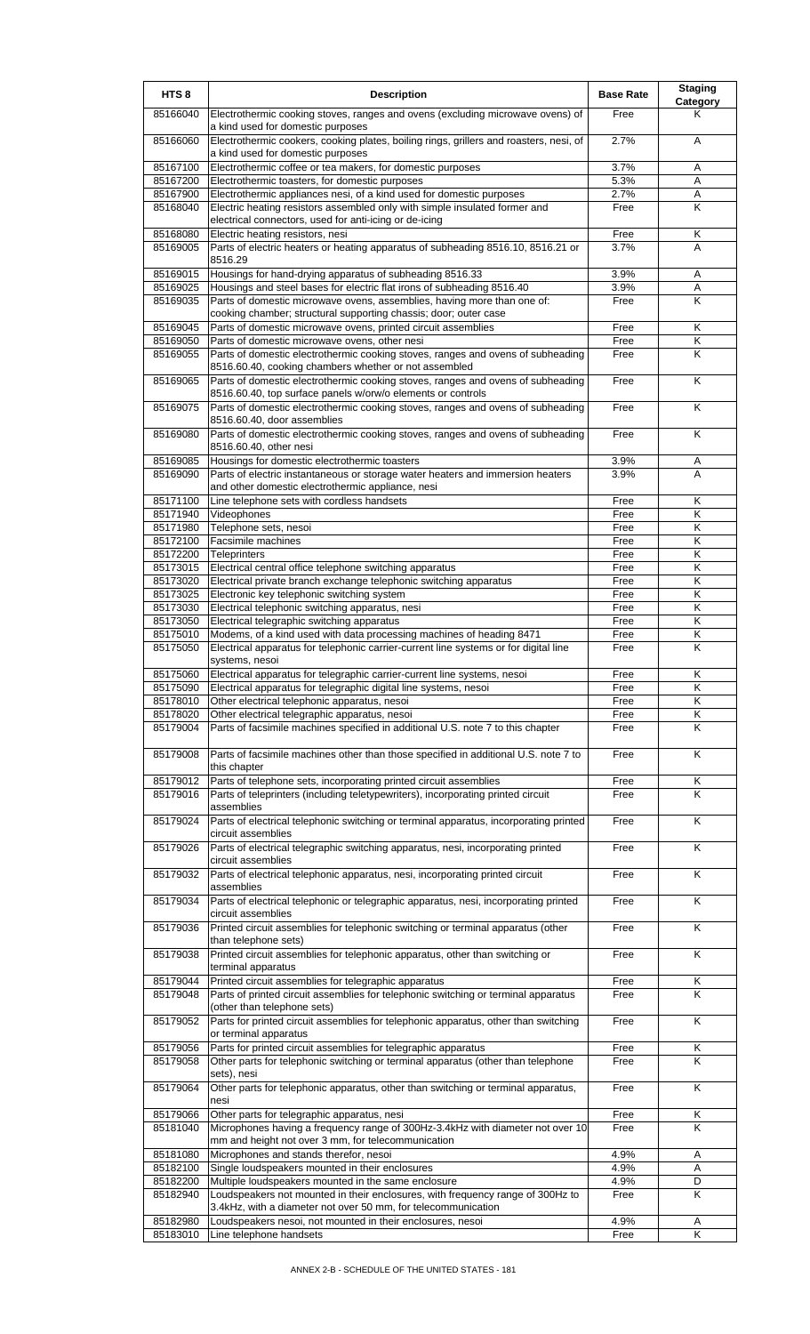| HTS <sub>8</sub>     | <b>Description</b>                                                                                                                                | <b>Base Rate</b> | <b>Staging</b><br>Category |
|----------------------|---------------------------------------------------------------------------------------------------------------------------------------------------|------------------|----------------------------|
| 85166040             | Electrothermic cooking stoves, ranges and ovens (excluding microwave ovens) of<br>a kind used for domestic purposes                               | Free             | Κ                          |
| 85166060             | Electrothermic cookers, cooking plates, boiling rings, grillers and roasters, nesi, of<br>a kind used for domestic purposes                       | 2.7%             | A                          |
| 85167100             | Electrothermic coffee or tea makers, for domestic purposes                                                                                        | 3.7%             | A                          |
| 85167200             | Electrothermic toasters, for domestic purposes                                                                                                    | 5.3%             | A                          |
| 85167900             | Electrothermic appliances nesi, of a kind used for domestic purposes                                                                              | 2.7%             | Α                          |
| 85168040             | Electric heating resistors assembled only with simple insulated former and<br>electrical connectors, used for anti-icing or de-icing              | Free             | K                          |
| 85168080             | Electric heating resistors, nesi                                                                                                                  | Free             | Κ                          |
| 85169005             | Parts of electric heaters or heating apparatus of subheading 8516.10, 8516.21 or<br>8516.29                                                       | 3.7%             | A                          |
| 85169015             | Housings for hand-drying apparatus of subheading 8516.33                                                                                          | 3.9%             | A                          |
| 85169025<br>85169035 | Housings and steel bases for electric flat irons of subheading 8516.40<br>Parts of domestic microwave ovens, assemblies, having more than one of: | 3.9%<br>Free     | Α<br>K                     |
| 85169045             | cooking chamber; structural supporting chassis; door; outer case<br>Parts of domestic microwave ovens, printed circuit assemblies                 | Free             | Κ                          |
| 85169050             | Parts of domestic microwave ovens, other nesi                                                                                                     | Free             | Κ                          |
| 85169055             | Parts of domestic electrothermic cooking stoves, ranges and ovens of subheading                                                                   | Free             | K                          |
|                      | 8516.60.40, cooking chambers whether or not assembled                                                                                             |                  |                            |
| 85169065             | Parts of domestic electrothermic cooking stoves, ranges and ovens of subheading<br>8516.60.40, top surface panels w/orw/o elements or controls    | Free             | Κ                          |
| 85169075             | Parts of domestic electrothermic cooking stoves, ranges and ovens of subheading<br>8516.60.40, door assemblies                                    | Free             | K                          |
| 85169080             | Parts of domestic electrothermic cooking stoves, ranges and ovens of subheading<br>8516.60.40, other nesi                                         | Free             | Κ                          |
| 85169085             | Housings for domestic electrothermic toasters                                                                                                     | 3.9%             | Α                          |
| 85169090             | Parts of electric instantaneous or storage water heaters and immersion heaters<br>and other domestic electrothermic appliance, nesi               | 3.9%             | A                          |
| 85171100             | Line telephone sets with cordless handsets                                                                                                        | Free             | Κ                          |
| 85171940             | Videophones                                                                                                                                       | Free             | K                          |
| 85171980             | Telephone sets, nesoi                                                                                                                             | Free             | Κ                          |
| 85172100             | <b>Facsimile machines</b>                                                                                                                         | Free             | Κ                          |
| 85172200             | Teleprinters                                                                                                                                      | Free             | K                          |
| 85173015<br>85173020 | Electrical central office telephone switching apparatus<br>Electrical private branch exchange telephonic switching apparatus                      | Free<br>Free     | Κ<br>Κ                     |
| 85173025             | Electronic key telephonic switching system                                                                                                        | Free             | Κ                          |
| 85173030             | Electrical telephonic switching apparatus, nesi                                                                                                   | Free             | K                          |
| 85173050             | Electrical telegraphic switching apparatus                                                                                                        | Free             | Κ                          |
| 85175010             | Modems, of a kind used with data processing machines of heading 8471                                                                              | Free             | Κ                          |
| 85175050             | Electrical apparatus for telephonic carrier-current line systems or for digital line<br>systems, nesoi                                            | Free             | K                          |
| 85175060             | Electrical apparatus for telegraphic carrier-current line systems, nesoi                                                                          | Free             | ĸ                          |
| 85175090             | Electrical apparatus for telegraphic digital line systems, nesoi                                                                                  | Free             | K                          |
| 85178010<br>85178020 | Other electrical telephonic apparatus, nesoi<br>Other electrical telegraphic apparatus, nesoi                                                     | Free<br>Free     | Κ<br>Κ                     |
| 85179004             | Parts of facsimile machines specified in additional U.S. note 7 to this chapter                                                                   | Free             | K                          |
| 85179008             | Parts of facsimile machines other than those specified in additional U.S. note 7 to                                                               | Free             | Κ                          |
|                      | this chapter                                                                                                                                      |                  |                            |
| 85179012             | Parts of telephone sets, incorporating printed circuit assemblies                                                                                 | Free             | Κ                          |
| 85179016             | Parts of teleprinters (including teletypewriters), incorporating printed circuit<br>assemblies                                                    | Free             | K                          |
| 85179024             | Parts of electrical telephonic switching or terminal apparatus, incorporating printed<br>circuit assemblies                                       | Free             | K                          |
| 85179026             | Parts of electrical telegraphic switching apparatus, nesi, incorporating printed<br>circuit assemblies                                            | Free             | Κ                          |
| 85179032             | Parts of electrical telephonic apparatus, nesi, incorporating printed circuit<br>assemblies                                                       | Free             | K                          |
| 85179034             | Parts of electrical telephonic or telegraphic apparatus, nesi, incorporating printed<br>circuit assemblies                                        | Free             | Κ                          |
| 85179036             | Printed circuit assemblies for telephonic switching or terminal apparatus (other                                                                  | Free             | K                          |
| 85179038             | than telephone sets)<br>Printed circuit assemblies for telephonic apparatus, other than switching or                                              | Free             | Κ                          |
| 85179044             | terminal apparatus<br>Printed circuit assemblies for telegraphic apparatus                                                                        | Free             | Κ                          |
| 85179048             | Parts of printed circuit assemblies for telephonic switching or terminal apparatus                                                                | Free             | K                          |
| 85179052             | (other than telephone sets)<br>Parts for printed circuit assemblies for telephonic apparatus, other than switching                                | Free             | K                          |
| 85179056             | or terminal apparatus<br>Parts for printed circuit assemblies for telegraphic apparatus                                                           | Free             | Κ                          |
| 85179058             | Other parts for telephonic switching or terminal apparatus (other than telephone<br>sets), nesi                                                   | Free             | K                          |
| 85179064             | Other parts for telephonic apparatus, other than switching or terminal apparatus,<br>nesi                                                         | Free             | Κ                          |
| 85179066             | Other parts for telegraphic apparatus, nesi                                                                                                       | Free             | Κ                          |
| 85181040             | Microphones having a frequency range of 300Hz-3.4kHz with diameter not over 10                                                                    | Free             | K                          |
| 85181080             | mm and height not over 3 mm, for telecommunication<br>Microphones and stands therefor, nesoi                                                      | 4.9%             | Α                          |
| 85182100             | Single loudspeakers mounted in their enclosures                                                                                                   | 4.9%             | Α                          |
| 85182200             | Multiple loudspeakers mounted in the same enclosure                                                                                               | 4.9%             | D                          |
| 85182940             | Loudspeakers not mounted in their enclosures, with frequency range of 300Hz to                                                                    | Free             | Κ                          |
|                      | 3.4kHz, with a diameter not over 50 mm, for telecommunication                                                                                     |                  |                            |
| 85182980             | Loudspeakers nesoi, not mounted in their enclosures, nesoi                                                                                        | 4.9%             | Α                          |
| 85183010             | Line telephone handsets                                                                                                                           | Free             | Κ                          |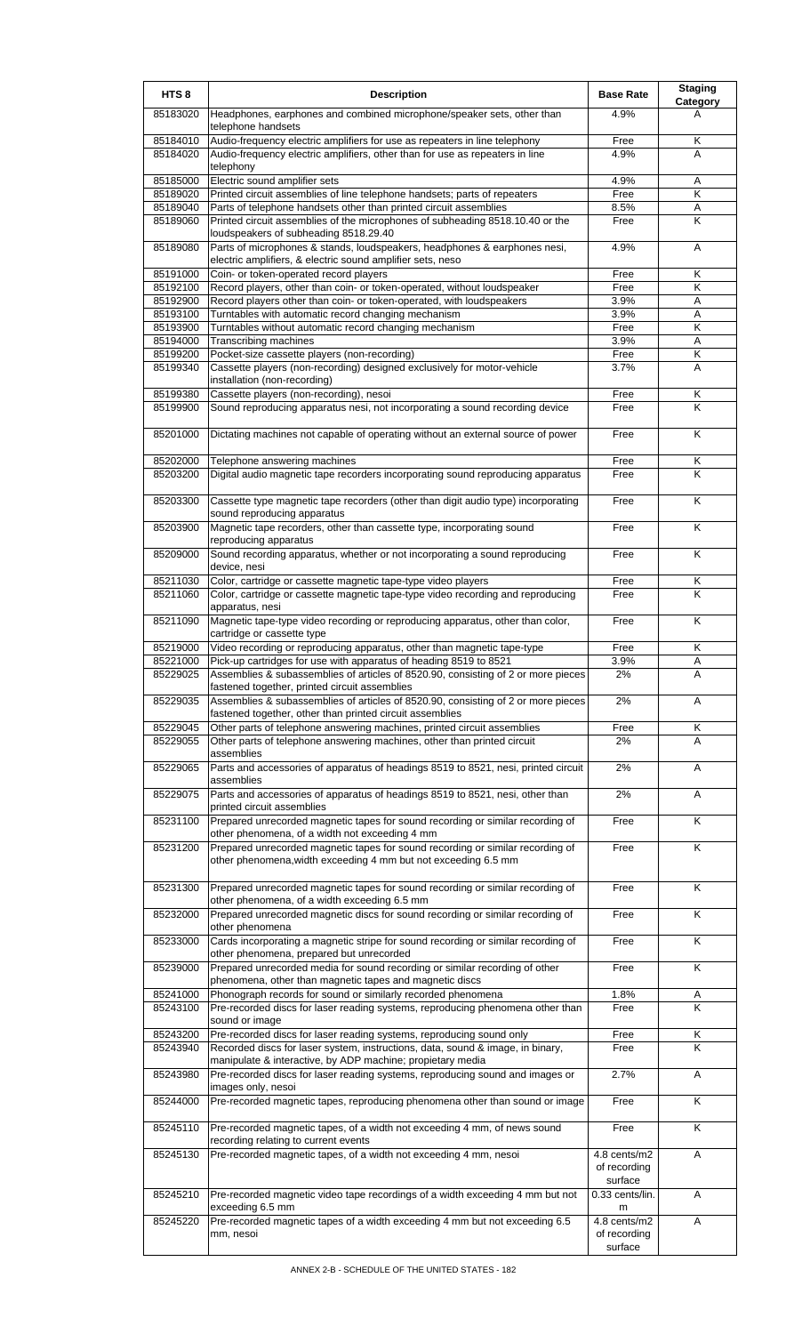| HTS <sub>8</sub>     | <b>Description</b>                                                                                                                                 | <b>Base Rate</b>                        | <b>Staging</b><br>Category |
|----------------------|----------------------------------------------------------------------------------------------------------------------------------------------------|-----------------------------------------|----------------------------|
| 85183020             | Headphones, earphones and combined microphone/speaker sets, other than<br>telephone handsets                                                       | 4.9%                                    | А                          |
| 85184010             | Audio-frequency electric amplifiers for use as repeaters in line telephony                                                                         | Free                                    | Κ                          |
| 85184020             | Audio-frequency electric amplifiers, other than for use as repeaters in line<br>telephony                                                          | 4.9%                                    | A                          |
| 85185000             | Electric sound amplifier sets                                                                                                                      | 4.9%                                    | Α                          |
| 85189020             | Printed circuit assemblies of line telephone handsets; parts of repeaters                                                                          | Free                                    | K                          |
| 85189040             | Parts of telephone handsets other than printed circuit assemblies                                                                                  | 8.5%                                    | Α                          |
| 85189060             | Printed circuit assemblies of the microphones of subheading 8518.10.40 or the<br>loudspeakers of subheading 8518.29.40                             | Free                                    | Κ                          |
| 85189080             | Parts of microphones & stands, loudspeakers, headphones & earphones nesi,<br>electric amplifiers, & electric sound amplifier sets, neso            | 4.9%                                    | Α                          |
| 85191000<br>85192100 | Coin- or token-operated record players<br>Record players, other than coin- or token-operated, without loudspeaker                                  | Free<br>Free                            | Κ<br>K                     |
| 85192900             |                                                                                                                                                    | 3.9%                                    | Α                          |
| 85193100             | Record players other than coin- or token-operated, with loudspeakers<br>Turntables with automatic record changing mechanism                        | 3.9%                                    | A                          |
| 85193900             | Turntables without automatic record changing mechanism                                                                                             | Free                                    | Κ                          |
| 85194000             | <b>Transcribing machines</b>                                                                                                                       | 3.9%                                    | Α                          |
| 85199200             | Pocket-size cassette players (non-recording)                                                                                                       | Free                                    | Κ                          |
| 85199340             | Cassette players (non-recording) designed exclusively for motor-vehicle                                                                            | 3.7%                                    | Α                          |
|                      | installation (non-recording)                                                                                                                       |                                         |                            |
| 85199380             | Cassette players (non-recording), nesoi                                                                                                            | Free                                    | Κ                          |
| 85199900             | Sound reproducing apparatus nesi, not incorporating a sound recording device                                                                       | Free                                    | K                          |
| 85201000             | Dictating machines not capable of operating without an external source of power                                                                    | Free                                    | K                          |
| 85202000             | Telephone answering machines                                                                                                                       | Free                                    | Κ                          |
| 85203200             | Digital audio magnetic tape recorders incorporating sound reproducing apparatus                                                                    | Free                                    | K                          |
| 85203300             | Cassette type magnetic tape recorders (other than digit audio type) incorporating<br>sound reproducing apparatus                                   | Free                                    | Κ                          |
| 85203900             | Magnetic tape recorders, other than cassette type, incorporating sound<br>reproducing apparatus                                                    | Free                                    | K                          |
| 85209000             | Sound recording apparatus, whether or not incorporating a sound reproducing<br>device, nesi                                                        | Free                                    | K                          |
| 85211030             | Color, cartridge or cassette magnetic tape-type video players                                                                                      | Free                                    | Κ                          |
| 85211060             | Color, cartridge or cassette magnetic tape-type video recording and reproducing<br>apparatus, nesi                                                 | Free                                    | Κ                          |
| 85211090             | Magnetic tape-type video recording or reproducing apparatus, other than color,<br>cartridge or cassette type                                       | Free                                    | K                          |
| 85219000             | Video recording or reproducing apparatus, other than magnetic tape-type                                                                            | Free                                    | Κ                          |
| 85221000             | Pick-up cartridges for use with apparatus of heading 8519 to 8521                                                                                  | 3.9%                                    | A                          |
| 85229025             | Assemblies & subassemblies of articles of 8520.90, consisting of 2 or more pieces                                                                  | 2%                                      | Α                          |
| 85229035             | fastened together, printed circuit assemblies<br>Assemblies & subassemblies of articles of 8520.90, consisting of 2 or more pieces                 | 2%                                      | Α                          |
|                      | fastened together, other than printed circuit assemblies                                                                                           |                                         |                            |
| 85229045<br>85229055 | Other parts of telephone answering machines, printed circuit assemblies<br>Other parts of telephone answering machines, other than printed circuit | Free<br>2%                              | Κ<br>A                     |
| 85229065             | assemblies<br>Parts and accessories of apparatus of headings 8519 to 8521, nesi, printed circuit                                                   | 2%                                      |                            |
|                      | assemblies                                                                                                                                         |                                         | Α                          |
| 85229075             | Parts and accessories of apparatus of headings 8519 to 8521, nesi, other than<br>printed circuit assemblies                                        | 2%                                      | Α                          |
| 85231100             | Prepared unrecorded magnetic tapes for sound recording or similar recording of<br>other phenomena, of a width not exceeding 4 mm                   | Free                                    | K                          |
| 85231200             | Prepared unrecorded magnetic tapes for sound recording or similar recording of<br>other phenomena, width exceeding 4 mm but not exceeding 6.5 mm   | Free                                    | Κ                          |
| 85231300             | Prepared unrecorded magnetic tapes for sound recording or similar recording of<br>other phenomena, of a width exceeding 6.5 mm                     | Free                                    | Κ                          |
| 85232000             | Prepared unrecorded magnetic discs for sound recording or similar recording of<br>other phenomena                                                  | Free                                    | Κ                          |
| 85233000             | Cards incorporating a magnetic stripe for sound recording or similar recording of<br>other phenomena, prepared but unrecorded                      | Free                                    | Κ                          |
| 85239000             | Prepared unrecorded media for sound recording or similar recording of other<br>phenomena, other than magnetic tapes and magnetic discs             | Free                                    | K                          |
| 85241000             | Phonograph records for sound or similarly recorded phenomena                                                                                       | 1.8%                                    | Α                          |
| 85243100             | Pre-recorded discs for laser reading systems, reproducing phenomena other than<br>sound or image                                                   | Free                                    | K                          |
| 85243200             | Pre-recorded discs for laser reading systems, reproducing sound only                                                                               | Free                                    | Κ                          |
| 85243940             | Recorded discs for laser system, instructions, data, sound & image, in binary,                                                                     | Free                                    | Κ                          |
|                      | manipulate & interactive, by ADP machine; propietary media                                                                                         |                                         |                            |
| 85243980             | Pre-recorded discs for laser reading systems, reproducing sound and images or<br>images only, nesoi                                                | 2.7%                                    | A                          |
| 85244000             | Pre-recorded magnetic tapes, reproducing phenomena other than sound or image                                                                       | Free                                    | K                          |
| 85245110             | Pre-recorded magnetic tapes, of a width not exceeding 4 mm, of news sound<br>recording relating to current events                                  | Free                                    | Κ                          |
| 85245130             | Pre-recorded magnetic tapes, of a width not exceeding 4 mm, nesoi                                                                                  | 4.8 cents/m2<br>of recording<br>surface | A                          |
| 85245210             | Pre-recorded magnetic video tape recordings of a width exceeding 4 mm but not                                                                      | 0.33 cents/lin.                         | A                          |
|                      | exceeding 6.5 mm                                                                                                                                   | m                                       |                            |
| 85245220             | Pre-recorded magnetic tapes of a width exceeding 4 mm but not exceeding 6.5<br>mm, nesoi                                                           | 4.8 cents/m2<br>of recording<br>surface | Α                          |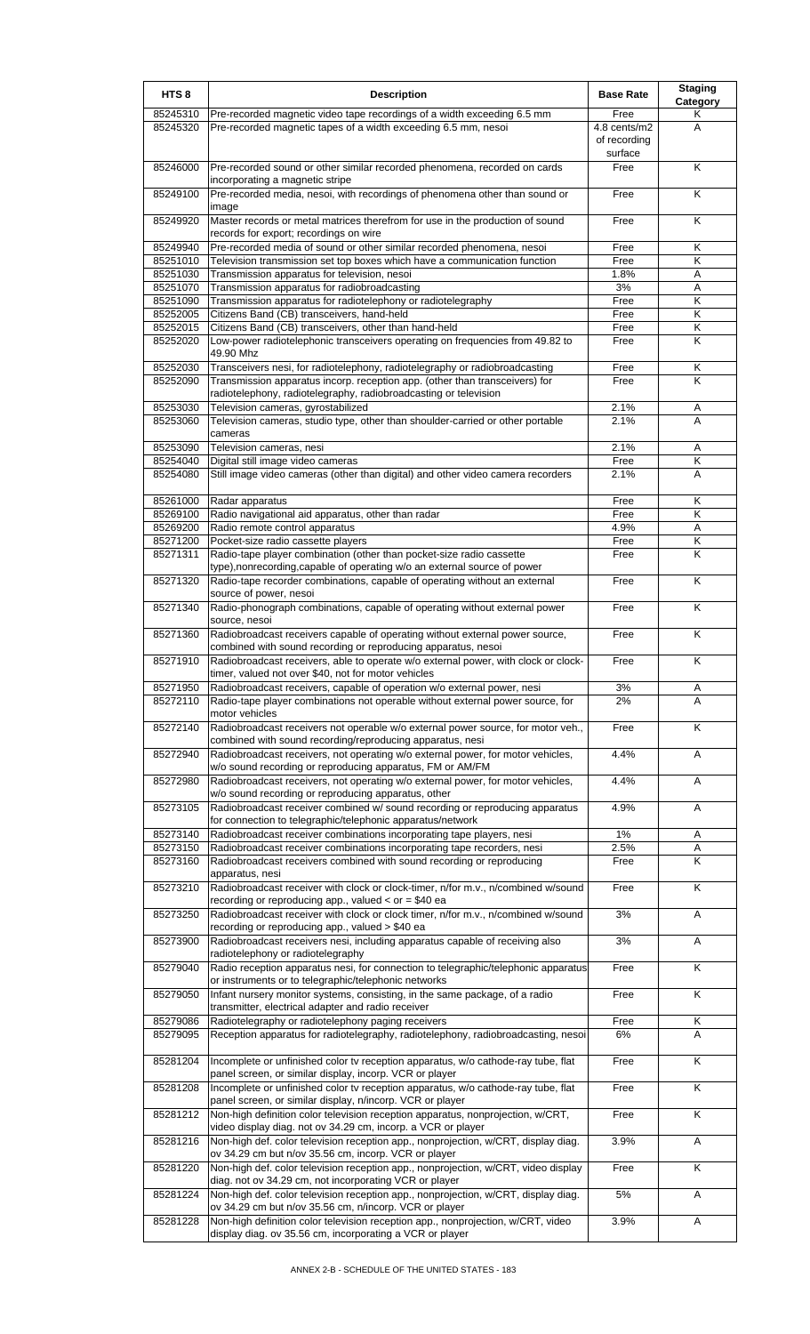| HTS <sub>8</sub>     | <b>Description</b>                                                                                                                                  | <b>Base Rate</b>        | <b>Staging</b> |
|----------------------|-----------------------------------------------------------------------------------------------------------------------------------------------------|-------------------------|----------------|
| 85245310             | Pre-recorded magnetic video tape recordings of a width exceeding 6.5 mm                                                                             | Free                    | Category<br>Κ  |
| 85245320             | Pre-recorded magnetic tapes of a width exceeding 6.5 mm, nesoi                                                                                      | 4.8 cents/m2            | A              |
|                      |                                                                                                                                                     | of recording<br>surface |                |
| 85246000             | Pre-recorded sound or other similar recorded phenomena, recorded on cards                                                                           | Free                    | K              |
|                      | incorporating a magnetic stripe                                                                                                                     |                         |                |
| 85249100             | Pre-recorded media, nesoi, with recordings of phenomena other than sound or<br>image                                                                | Free                    | K              |
| 85249920             | Master records or metal matrices therefrom for use in the production of sound                                                                       | Free                    | Κ              |
|                      | records for export; recordings on wire                                                                                                              |                         |                |
| 85249940<br>85251010 | Pre-recorded media of sound or other similar recorded phenomena, nesoi<br>Television transmission set top boxes which have a communication function | Free<br>Free            | Κ<br>Κ         |
| 85251030             | Transmission apparatus for television, nesoi                                                                                                        | 1.8%                    | Α              |
| 85251070             | Transmission apparatus for radiobroadcasting                                                                                                        | 3%                      | Α              |
| 85251090<br>85252005 | Transmission apparatus for radiotelephony or radiotelegraphy<br>Citizens Band (CB) transceivers, hand-held                                          | Free<br>Free            | K<br>K         |
| 85252015             | Citizens Band (CB) transceivers, other than hand-held                                                                                               | Free                    | Κ              |
| 85252020             | Low-power radiotelephonic transceivers operating on frequencies from 49.82 to<br>49.90 Mhz                                                          | Free                    | Κ              |
| 85252030             | Transceivers nesi, for radiotelephony, radiotelegraphy or radiobroadcasting                                                                         | Free                    | Κ              |
| 85252090             | Transmission apparatus incorp. reception app. (other than transceivers) for                                                                         | Free                    | K              |
| 85253030             | radiotelephony, radiotelegraphy, radiobroadcasting or television<br>Television cameras, gyrostabilized                                              | 2.1%                    |                |
| 85253060             | Television cameras, studio type, other than shoulder-carried or other portable                                                                      | 2.1%                    | Α<br>A         |
|                      | cameras                                                                                                                                             |                         |                |
| 85253090             | Television cameras, nesi<br>Digital still image video cameras                                                                                       | 2.1%                    | Α<br>Κ         |
| 85254040<br>85254080 | Still image video cameras (other than digital) and other video camera recorders                                                                     | Free<br>2.1%            | A              |
|                      |                                                                                                                                                     |                         |                |
| 85261000<br>85269100 | Radar apparatus                                                                                                                                     | Free<br>Free            | Κ<br>Κ         |
| 85269200             | Radio navigational aid apparatus, other than radar<br>Radio remote control apparatus                                                                | 4.9%                    | Α              |
| 85271200             | Pocket-size radio cassette players                                                                                                                  | Free                    | Κ              |
| 85271311             | Radio-tape player combination (other than pocket-size radio cassette<br>type), nonrecording, capable of operating w/o an external source of power   | Free                    | Κ              |
| 85271320             | Radio-tape recorder combinations, capable of operating without an external                                                                          | Free                    | K              |
|                      | source of power, nesoi                                                                                                                              |                         |                |
| 85271340             | Radio-phonograph combinations, capable of operating without external power<br>source, nesoi                                                         | Free                    | Κ              |
| 85271360             | Radiobroadcast receivers capable of operating without external power source,                                                                        | Free                    | K              |
|                      | combined with sound recording or reproducing apparatus, nesoi                                                                                       |                         |                |
| 85271910             | Radiobroadcast receivers, able to operate w/o external power, with clock or clock-<br>timer, valued not over \$40, not for motor vehicles           | Free                    | Κ              |
| 85271950             | Radiobroadcast receivers, capable of operation w/o external power, nesi                                                                             | 3%                      | A              |
| 85272110             | Radio-tape player combinations not operable without external power source, for                                                                      | 2%                      | A              |
| 85272140             | motor vehicles<br>Radiobroadcast receivers not operable w/o external power source, for motor veh.,                                                  | Free                    | K              |
|                      | combined with sound recording/reproducing apparatus, nesi                                                                                           |                         |                |
| 85272940             | Radiobroadcast receivers, not operating w/o external power, for motor vehicles,<br>w/o sound recording or reproducing apparatus, FM or AM/FM        | 4.4%                    | Α              |
| 85272980             | Radiobroadcast receivers, not operating w/o external power, for motor vehicles,                                                                     | 4.4%                    | A              |
|                      | w/o sound recording or reproducing apparatus, other                                                                                                 |                         |                |
| 85273105             | Radiobroadcast receiver combined w/ sound recording or reproducing apparatus<br>for connection to telegraphic/telephonic apparatus/network          | 4.9%                    | Α              |
| 85273140             | Radiobroadcast receiver combinations incorporating tape players, nesi                                                                               | 1%                      | Α              |
| 85273150             | Radiobroadcast receiver combinations incorporating tape recorders, nesi                                                                             | 2.5%                    | Α              |
| 85273160             | Radiobroadcast receivers combined with sound recording or reproducing<br>apparatus, nesi                                                            | Free                    | K              |
| 85273210             | Radiobroadcast receiver with clock or clock-timer, n/for m.v., n/combined w/sound                                                                   | Free                    | K              |
|                      | recording or reproducing app., valued $<$ or $=$ \$40 ea                                                                                            |                         |                |
| 85273250             | Radiobroadcast receiver with clock or clock timer, n/for m.v., n/combined w/sound<br>recording or reproducing app., valued > \$40 ea                | 3%                      | A              |
| 85273900             | Radiobroadcast receivers nesi, including apparatus capable of receiving also                                                                        | 3%                      | Α              |
|                      | radiotelephony or radiotelegraphy                                                                                                                   |                         | K              |
| 85279040             | Radio reception apparatus nesi, for connection to telegraphic/telephonic apparatus<br>or instruments or to telegraphic/telephonic networks          | Free                    |                |
| 85279050             | Infant nursery monitor systems, consisting, in the same package, of a radio                                                                         | Free                    | Κ              |
| 85279086             | transmitter, electrical adapter and radio receiver<br>Radiotelegraphy or radiotelephony paging receivers                                            | Free                    | Κ              |
| 85279095             | Reception apparatus for radiotelegraphy, radiotelephony, radiobroadcasting, nesoi                                                                   | 6%                      | A              |
|                      |                                                                                                                                                     |                         |                |
| 85281204             | Incomplete or unfinished color tv reception apparatus, w/o cathode-ray tube, flat<br>panel screen, or similar display, incorp. VCR or player        | Free                    | K              |
| 85281208             | Incomplete or unfinished color tv reception apparatus, w/o cathode-ray tube, flat                                                                   | Free                    | K              |
|                      | panel screen, or similar display, n/incorp. VCR or player                                                                                           |                         |                |
| 85281212             | Non-high definition color television reception apparatus, nonprojection, w/CRT,<br>video display diag. not ov 34.29 cm, incorp. a VCR or player     | Free                    | K              |
| 85281216             | Non-high def. color television reception app., nonprojection, w/CRT, display diag.                                                                  | 3.9%                    | A              |
| 85281220             | ov 34.29 cm but n/ov 35.56 cm, incorp. VCR or player<br>Non-high def. color television reception app., nonprojection, w/CRT, video display          | Free                    | K              |
|                      | diag. not ov 34.29 cm, not incorporating VCR or player                                                                                              |                         |                |
| 85281224             | Non-high def. color television reception app., nonprojection, w/CRT, display diag.                                                                  | 5%                      | A              |
| 85281228             | ov 34.29 cm but n/ov 35.56 cm, n/incorp. VCR or player<br>Non-high definition color television reception app., nonprojection, w/CRT, video          | 3.9%                    | Α              |
|                      | display diag. ov 35.56 cm, incorporating a VCR or player                                                                                            |                         |                |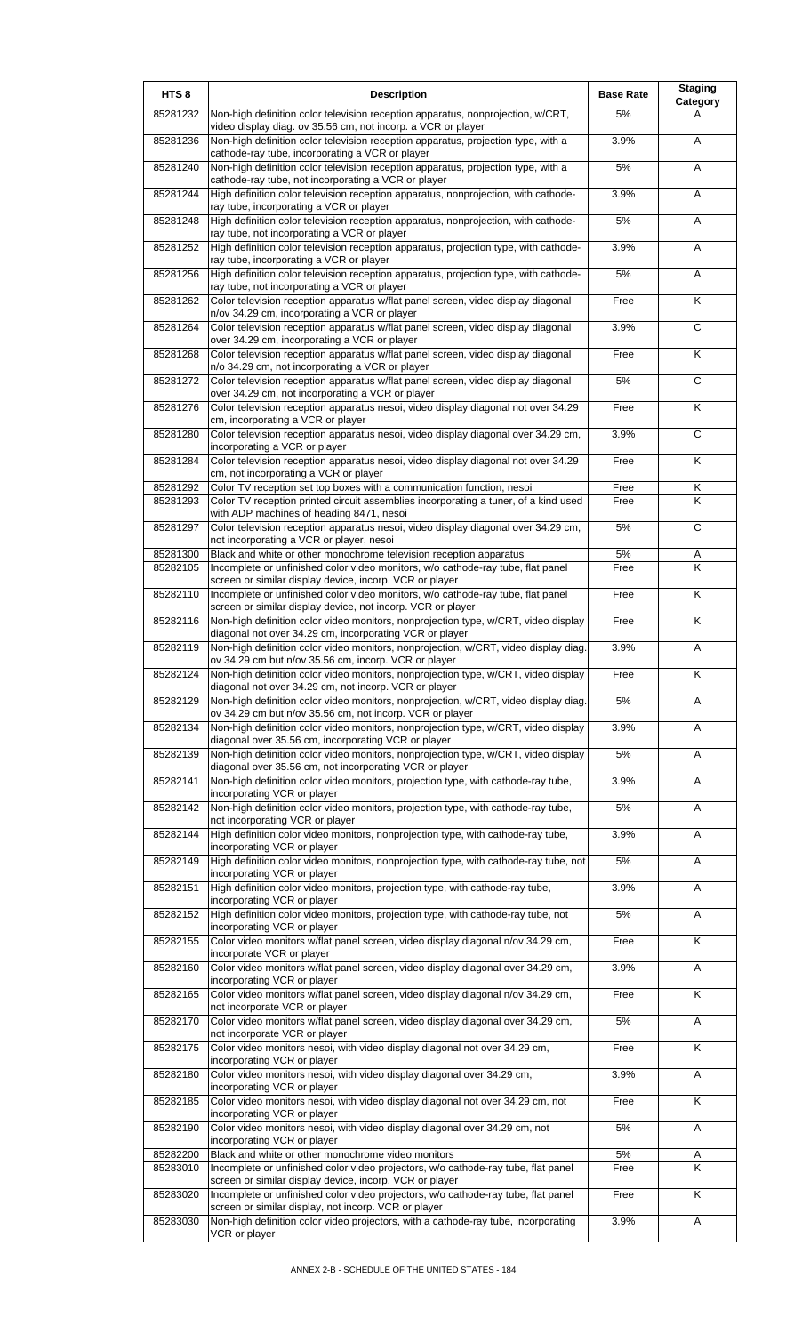| HTS <sub>8</sub>     | <b>Description</b>                                                                                                                                | <b>Base Rate</b> | <b>Staging</b><br>Category   |
|----------------------|---------------------------------------------------------------------------------------------------------------------------------------------------|------------------|------------------------------|
| 85281232             | Non-high definition color television reception apparatus, nonprojection, w/CRT,<br>video display diag. ov 35.56 cm, not incorp. a VCR or player   | 5%               | A                            |
| 85281236             | Non-high definition color television reception apparatus, projection type, with a<br>cathode-ray tube, incorporating a VCR or player              | 3.9%             | A                            |
| 85281240             | Non-high definition color television reception apparatus, projection type, with a<br>cathode-ray tube, not incorporating a VCR or player          | 5%               | Α                            |
| 85281244             | High definition color television reception apparatus, nonprojection, with cathode-<br>ray tube, incorporating a VCR or player                     | 3.9%             | Α                            |
| 85281248             | High definition color television reception apparatus, nonprojection, with cathode-<br>ray tube, not incorporating a VCR or player                 | 5%               | Α                            |
| 85281252             | High definition color television reception apparatus, projection type, with cathode-                                                              | 3.9%             | Α                            |
| 85281256             | ray tube, incorporating a VCR or player<br>High definition color television reception apparatus, projection type, with cathode-                   | 5%               | A                            |
| 85281262             | ray tube, not incorporating a VCR or player<br>Color television reception apparatus w/flat panel screen, video display diagonal                   | Free             | K                            |
| 85281264             | n/ov 34.29 cm, incorporating a VCR or player<br>Color television reception apparatus w/flat panel screen, video display diagonal                  | 3.9%             | $\overline{c}$               |
| 85281268             | over 34.29 cm, incorporating a VCR or player<br>Color television reception apparatus w/flat panel screen, video display diagonal                  | Free             | Κ                            |
| 85281272             | n/o 34.29 cm, not incorporating a VCR or player<br>Color television reception apparatus w/flat panel screen, video display diagonal               | 5%               | C                            |
| 85281276             | over 34.29 cm, not incorporating a VCR or player<br>Color television reception apparatus nesoi, video display diagonal not over 34.29             | Free             | $\overline{\mathsf{K}}$      |
| 85281280             | cm, incorporating a VCR or player<br>Color television reception apparatus nesoi, video display diagonal over 34.29 cm,                            | 3.9%             | $\overline{c}$               |
| 85281284             | incorporating a VCR or player<br>Color television reception apparatus nesoi, video display diagonal not over 34.29                                | Free             | Κ                            |
| 85281292             | cm, not incorporating a VCR or player<br>Color TV reception set top boxes with a communication function, nesoi                                    | Free             | Κ                            |
| 85281293             | Color TV reception printed circuit assemblies incorporating a tuner, of a kind used                                                               | Free             | K                            |
| 85281297             | with ADP machines of heading 8471, nesoi<br>Color television reception apparatus nesoi, video display diagonal over 34.29 cm,                     | 5%               | $\overline{c}$               |
| 85281300             | not incorporating a VCR or player, nesoi<br>Black and white or other monochrome television reception apparatus                                    | 5%               |                              |
| 85282105             | Incomplete or unfinished color video monitors, w/o cathode-ray tube, flat panel                                                                   | Free             | Α<br>$\overline{\mathsf{K}}$ |
| 85282110             | screen or similar display device, incorp. VCR or player<br>Incomplete or unfinished color video monitors, w/o cathode-ray tube, flat panel        | Free             | K                            |
| 85282116             | screen or similar display device, not incorp. VCR or player<br>Non-high definition color video monitors, nonprojection type, w/CRT, video display | Free             | K                            |
| 85282119             | diagonal not over 34.29 cm, incorporating VCR or player<br>Non-high definition color video monitors, nonprojection, w/CRT, video display diag.    | 3.9%             | Α                            |
| 85282124             | ov 34.29 cm but n/ov 35.56 cm, incorp. VCR or player<br>Non-high definition color video monitors, nonprojection type, w/CRT, video display        | Free             | Κ                            |
| 85282129             | diagonal not over 34.29 cm, not incorp. VCR or player<br>Non-high definition color video monitors, nonprojection, w/CRT, video display diag.      | 5%               | A                            |
| 85282134             | ov 34.29 cm but n/ov 35.56 cm, not incorp. VCR or player<br>Non-high definition color video monitors, nonprojection type, w/CRT, video display    | 3.9%             | Α                            |
| 85282139             | diagonal over 35.56 cm, incorporating VCR or player<br>Non-high definition color video monitors, nonprojection type, w/CRT, video display         | 5%               | Α                            |
| 85282141             | diagonal over 35.56 cm, not incorporating VCR or player<br>Non-high definition color video monitors, projection type, with cathode-ray tube,      | 3.9%             | Α                            |
| 85282142             | incorporating VCR or player<br>Non-high definition color video monitors, projection type, with cathode-ray tube,                                  | 5%               | A                            |
| 85282144             | not incorporating VCR or player<br>High definition color video monitors, nonprojection type, with cathode-ray tube,                               | 3.9%             | Α                            |
| 85282149             | incorporating VCR or player<br>High definition color video monitors, nonprojection type, with cathode-ray tube, not                               | 5%               | Α                            |
| 85282151             | incorporating VCR or player<br>High definition color video monitors, projection type, with cathode-ray tube,                                      | 3.9%             | Α                            |
| 85282152             | incorporating VCR or player<br>High definition color video monitors, projection type, with cathode-ray tube, not                                  | 5%               | Α                            |
| 85282155             | incorporating VCR or player<br>Color video monitors w/flat panel screen, video display diagonal n/ov 34.29 cm,                                    | Free             | K                            |
| 85282160             | incorporate VCR or player<br>Color video monitors w/flat panel screen, video display diagonal over 34.29 cm,                                      | 3.9%             | Α                            |
| 85282165             | incorporating VCR or player                                                                                                                       |                  | K                            |
|                      | Color video monitors w/flat panel screen, video display diagonal n/ov 34.29 cm,<br>not incorporate VCR or player                                  | Free             |                              |
| 85282170             | Color video monitors w/flat panel screen, video display diagonal over 34.29 cm,<br>not incorporate VCR or player                                  | 5%               | A                            |
| 85282175             | Color video monitors nesoi, with video display diagonal not over 34.29 cm,<br>incorporating VCR or player                                         | Free             | K                            |
| 85282180             | Color video monitors nesoi, with video display diagonal over 34.29 cm,<br>incorporating VCR or player                                             | 3.9%             | A                            |
| 85282185             | Color video monitors nesoi, with video display diagonal not over 34.29 cm, not<br>incorporating VCR or player                                     | Free             | K                            |
| 85282190             | Color video monitors nesoi, with video display diagonal over 34.29 cm, not<br>incorporating VCR or player                                         | 5%               | Α                            |
| 85282200<br>85283010 | Black and white or other monochrome video monitors<br>Incomplete or unfinished color video projectors, w/o cathode-ray tube, flat panel           | $5\%$<br>Free    | A<br>K                       |
|                      | screen or similar display device, incorp. VCR or player                                                                                           |                  | $\overline{\mathsf{K}}$      |
| 85283020             | Incomplete or unfinished color video projectors, w/o cathode-ray tube, flat panel<br>screen or similar display, not incorp. VCR or player         | Free             |                              |
| 85283030             | Non-high definition color video projectors, with a cathode-ray tube, incorporating<br>VCR or player                                               | 3.9%             | A                            |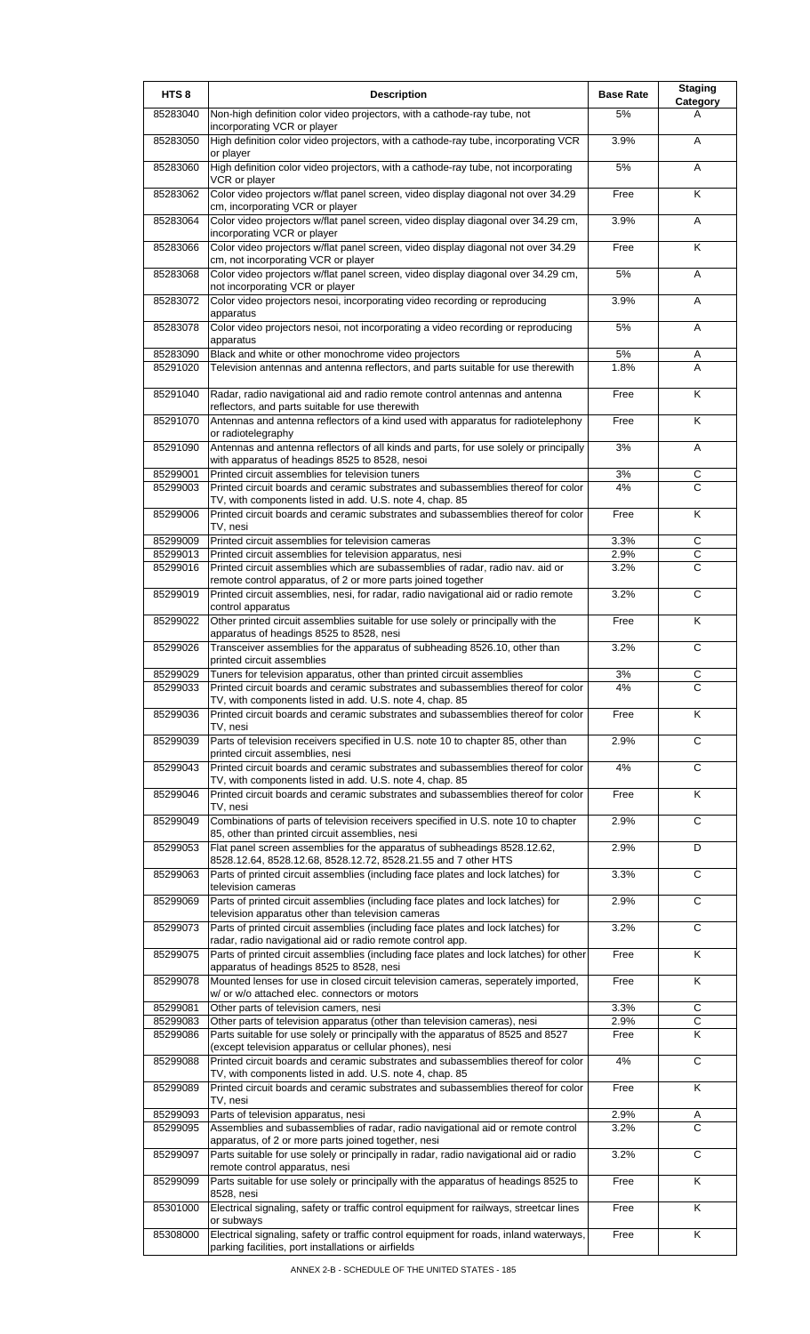| HTS <sub>8</sub>     | <b>Description</b>                                                                                                                                   | <b>Base Rate</b> | <b>Staging</b><br>Category |
|----------------------|------------------------------------------------------------------------------------------------------------------------------------------------------|------------------|----------------------------|
| 85283040             | Non-high definition color video projectors, with a cathode-ray tube, not<br>incorporating VCR or player                                              | 5%               | А                          |
| 85283050             | High definition color video projectors, with a cathode-ray tube, incorporating VCR<br>or player                                                      | 3.9%             | A                          |
| 85283060             | High definition color video projectors, with a cathode-ray tube, not incorporating<br>VCR or player                                                  | 5%               | A                          |
| 85283062             | Color video projectors w/flat panel screen, video display diagonal not over 34.29<br>cm, incorporating VCR or player                                 | Free             | K                          |
| 85283064             | Color video projectors w/flat panel screen, video display diagonal over 34.29 cm,<br>incorporating VCR or player                                     | 3.9%             | A                          |
| 85283066             | Color video projectors w/flat panel screen, video display diagonal not over 34.29<br>cm, not incorporating VCR or player                             | Free             | Κ                          |
| 85283068             | Color video projectors w/flat panel screen, video display diagonal over 34.29 cm,<br>not incorporating VCR or player                                 | 5%               | A                          |
| 85283072             | Color video projectors nesoi, incorporating video recording or reproducing<br>apparatus                                                              | 3.9%             | A                          |
| 85283078             | Color video projectors nesoi, not incorporating a video recording or reproducing<br>apparatus                                                        | 5%               | Α                          |
| 85283090<br>85291020 | Black and white or other monochrome video projectors<br>Television antennas and antenna reflectors, and parts suitable for use therewith             | 5%<br>1.8%       | Α<br>A                     |
|                      |                                                                                                                                                      |                  |                            |
| 85291040             | Radar, radio navigational aid and radio remote control antennas and antenna<br>reflectors, and parts suitable for use therewith                      | Free             | K                          |
| 85291070             | Antennas and antenna reflectors of a kind used with apparatus for radiotelephony<br>or radiotelegraphy                                               | Free             | Κ                          |
| 85291090             | Antennas and antenna reflectors of all kinds and parts, for use solely or principally<br>with apparatus of headings 8525 to 8528, nesoi              | 3%               | A                          |
| 85299001<br>85299003 | Printed circuit assemblies for television tuners<br>Printed circuit boards and ceramic substrates and subassemblies thereof for color                | 3%<br>4%         | С<br>C                     |
|                      | TV, with components listed in add. U.S. note 4, chap. 85                                                                                             |                  |                            |
| 85299006             | Printed circuit boards and ceramic substrates and subassemblies thereof for color<br>TV, nesi                                                        | Free             | Κ                          |
| 85299009             | Printed circuit assemblies for television cameras                                                                                                    | 3.3%             | C                          |
| 85299013             | Printed circuit assemblies for television apparatus, nesi                                                                                            | 2.9%             | C                          |
| 85299016             | Printed circuit assemblies which are subassemblies of radar, radio nav. aid or<br>remote control apparatus, of 2 or more parts joined together       | 3.2%             | $\mathsf{C}$               |
| 85299019             | Printed circuit assemblies, nesi, for radar, radio navigational aid or radio remote<br>control apparatus                                             | 3.2%             | $\overline{c}$             |
| 85299022             | Other printed circuit assemblies suitable for use solely or principally with the<br>apparatus of headings 8525 to 8528, nesi                         | Free             | K                          |
| 85299026             | Transceiver assemblies for the apparatus of subheading 8526.10, other than<br>printed circuit assemblies                                             | 3.2%             | $\overline{c}$             |
| 85299029             | I uners for television apparatus, other than printed circuit assemblies                                                                              | 3%               |                            |
| 85299033             | Printed circuit boards and ceramic substrates and subassemblies thereof for color                                                                    | 4%               | C                          |
| 85299036             | TV, with components listed in add. U.S. note 4, chap. 85<br>Printed circuit boards and ceramic substrates and subassemblies thereof for color        | Free             | K                          |
| 85299039             | TV, nesi<br>Parts of television receivers specified in U.S. note 10 to chapter 85, other than<br>printed circuit assemblies, nesi                    | 2.9%             | $\overline{c}$             |
| 85299043             | Printed circuit boards and ceramic substrates and subassemblies thereof for color<br>TV, with components listed in add. U.S. note 4, chap. 85        | 4%               | $\overline{c}$             |
| 85299046             | Printed circuit boards and ceramic substrates and subassemblies thereof for color<br>TV, nesi                                                        | Free             | Κ                          |
| 85299049             | Combinations of parts of television receivers specified in U.S. note 10 to chapter<br>85, other than printed circuit assemblies, nesi                | 2.9%             | $\overline{c}$             |
| 85299053             | Flat panel screen assemblies for the apparatus of subheadings 8528.12.62,                                                                            | 2.9%             | D                          |
| 85299063             | 8528.12.64, 8528.12.68, 8528.12.72, 8528.21.55 and 7 other HTS<br>Parts of printed circuit assemblies (including face plates and lock latches) for   | 3.3%             | C                          |
| 85299069             | television cameras<br>Parts of printed circuit assemblies (including face plates and lock latches) for                                               | 2.9%             | C                          |
| 85299073             | television apparatus other than television cameras<br>Parts of printed circuit assemblies (including face plates and lock latches) for               | 3.2%             | $\overline{c}$             |
| 85299075             | radar, radio navigational aid or radio remote control app.<br>Parts of printed circuit assemblies (including face plates and lock latches) for other | Free             | Κ                          |
| 85299078             | apparatus of headings 8525 to 8528, nesi<br>Mounted lenses for use in closed circuit television cameras, seperately imported,                        | Free             | Κ                          |
|                      | w/ or w/o attached elec. connectors or motors                                                                                                        |                  |                            |
| 85299081<br>85299083 | Other parts of television camers, nesi<br>Other parts of television apparatus (other than television cameras), nesi                                  | 3.3%<br>2.9%     | C<br>$\mathsf C$           |
| 85299086             | Parts suitable for use solely or principally with the apparatus of 8525 and 8527<br>(except television apparatus or cellular phones), nesi           | Free             | Κ                          |
| 85299088             | Printed circuit boards and ceramic substrates and subassemblies thereof for color                                                                    | 4%               | C                          |
| 85299089             | TV, with components listed in add. U.S. note 4, chap. 85<br>Printed circuit boards and ceramic substrates and subassemblies thereof for color        | Free             | Κ                          |
| 85299093             | TV, nesi<br>Parts of television apparatus, nesi                                                                                                      | 2.9%             |                            |
| 85299095             | Assemblies and subassemblies of radar, radio navigational aid or remote control                                                                      | $3.2\%$          | Α<br>С                     |
| 85299097             | apparatus, of 2 or more parts joined together, nesi<br>Parts suitable for use solely or principally in radar, radio navigational aid or radio        | 3.2%             | $\overline{c}$             |
| 85299099             | remote control apparatus, nesi<br>Parts suitable for use solely or principally with the apparatus of headings 8525 to                                | Free             | $\overline{\mathsf{K}}$    |
| 85301000             | 8528, nesi<br>Electrical signaling, safety or traffic control equipment for railways, streetcar lines                                                | Free             | Κ                          |
| 85308000             | or subways<br>Electrical signaling, safety or traffic control equipment for roads, inland waterways,                                                 | Free             | Κ                          |
|                      | parking facilities, port installations or airfields                                                                                                  |                  |                            |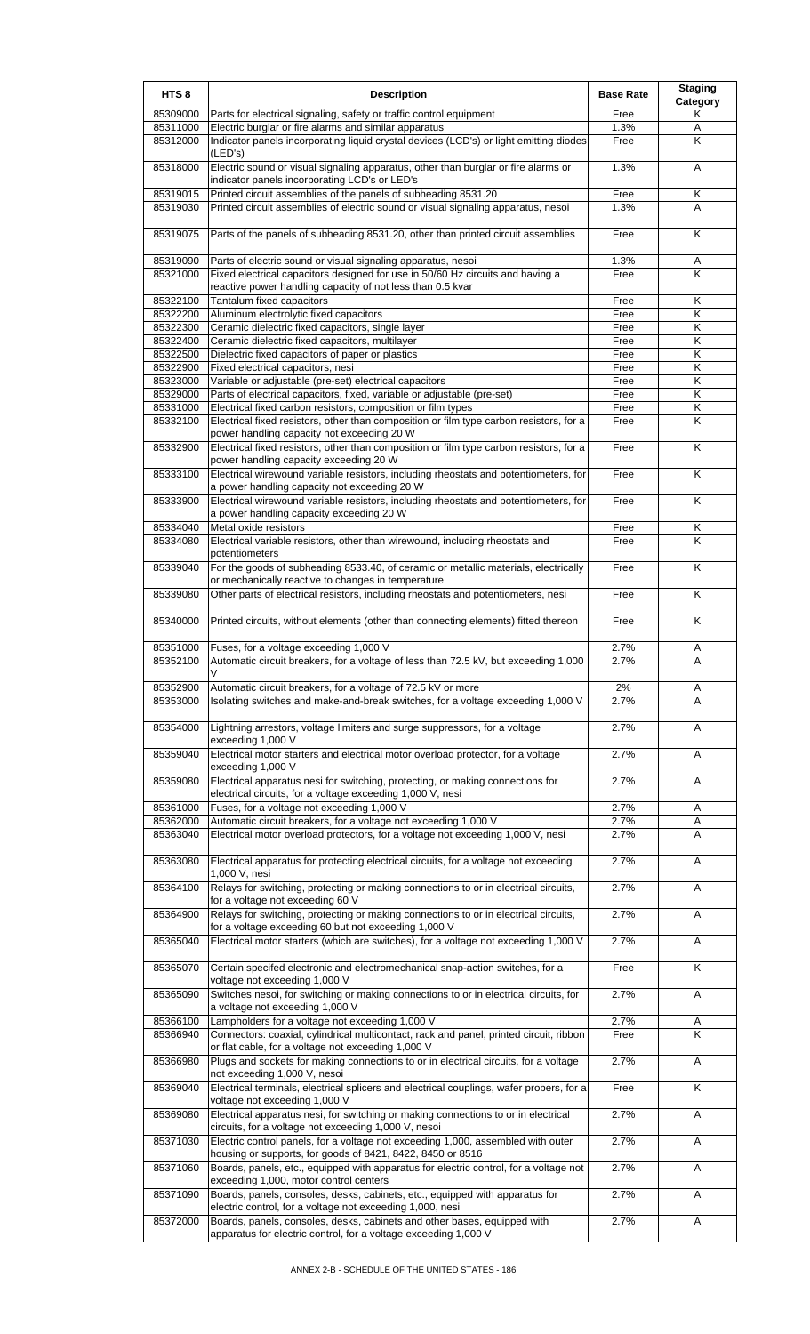| HTS <sub>8</sub>     | <b>Description</b>                                                                                                                                  | <b>Base Rate</b> | <b>Staging</b><br>Category |
|----------------------|-----------------------------------------------------------------------------------------------------------------------------------------------------|------------------|----------------------------|
| 85309000             | Parts for electrical signaling, safety or traffic control equipment                                                                                 | Free             | Κ                          |
| 85311000             | Electric burglar or fire alarms and similar apparatus                                                                                               | 1.3%             | Α                          |
| 85312000             | Indicator panels incorporating liquid crystal devices (LCD's) or light emitting diodes<br>(LED's)                                                   | Free             | K                          |
| 85318000             | Electric sound or visual signaling apparatus, other than burglar or fire alarms or<br>indicator panels incorporating LCD's or LED's                 | 1.3%             | Α                          |
| 85319015             | Printed circuit assemblies of the panels of subheading 8531.20                                                                                      | Free             | Κ                          |
| 85319030             | Printed circuit assemblies of electric sound or visual signaling apparatus, nesoi                                                                   | 1.3%             | A                          |
| 85319075             | Parts of the panels of subheading 8531.20, other than printed circuit assemblies                                                                    | Free             | K                          |
| 85319090             | Parts of electric sound or visual signaling apparatus, nesoi                                                                                        | 1.3%             | Α                          |
| 85321000             | Fixed electrical capacitors designed for use in 50/60 Hz circuits and having a<br>reactive power handling capacity of not less than 0.5 kvar        | Free             | K                          |
| 85322100             | Tantalum fixed capacitors                                                                                                                           | Free             | Κ                          |
| 85322200             | Aluminum electrolytic fixed capacitors                                                                                                              | Free             | Κ                          |
| 85322300             | Ceramic dielectric fixed capacitors, single layer                                                                                                   | Free             | Κ                          |
| 85322400<br>85322500 | Ceramic dielectric fixed capacitors, multilayer<br>Dielectric fixed capacitors of paper or plastics                                                 | Free<br>Free     | Κ<br>Κ                     |
| 85322900             | Fixed electrical capacitors, nesi                                                                                                                   | Free             | Κ                          |
| 85323000             | Variable or adjustable (pre-set) electrical capacitors                                                                                              | Free             | Κ                          |
| 85329000             | Parts of electrical capacitors, fixed, variable or adjustable (pre-set)                                                                             | Free             | K                          |
| 85331000             | Electrical fixed carbon resistors, composition or film types                                                                                        | Free             | Κ                          |
| 85332100             | Electrical fixed resistors, other than composition or film type carbon resistors, for a<br>power handling capacity not exceeding 20 W               | Free             | K                          |
| 85332900             | Electrical fixed resistors, other than composition or film type carbon resistors, for a<br>power handling capacity exceeding 20 W                   | Free             | Κ                          |
| 85333100             | Electrical wirewound variable resistors, including rheostats and potentiometers, for<br>a power handling capacity not exceeding 20 W                | Free             | K                          |
| 85333900             | Electrical wirewound variable resistors, including rheostats and potentiometers, for<br>a power handling capacity exceeding 20 W                    | Free             | Κ                          |
| 85334040             | Metal oxide resistors                                                                                                                               | Free             | Κ                          |
| 85334080             | Electrical variable resistors, other than wirewound, including rheostats and<br>potentiometers                                                      | Free             | K                          |
| 85339040             | For the goods of subheading 8533.40, of ceramic or metallic materials, electrically<br>or mechanically reactive to changes in temperature           | Free             | K                          |
| 85339080             | Other parts of electrical resistors, including rheostats and potentiometers, nesi                                                                   | Free             | K                          |
| 85340000             | Printed circuits, without elements (other than connecting elements) fitted thereon                                                                  | Free             | Κ                          |
| 85351000             | Fuses, for a voltage exceeding 1,000 V                                                                                                              | 2.7%             | A                          |
| 85352100             | Automatic circuit breakers, for a voltage of less than 72.5 kV, but exceeding 1,000                                                                 | 2.7%             | A                          |
| 85352900             | Automatic circuit breakers, for a voltage of 72.5 kV or more                                                                                        | 2%               | A                          |
| 85353000             | Isolating switches and make-and-break switches, for a voltage exceeding 1,000 V                                                                     | 2.7%             | A                          |
| 85354000             | Lightning arrestors, voltage limiters and surge suppressors, for a voltage<br>exceeding 1,000 V                                                     | 2.7%             | A                          |
| 85359040             | Electrical motor starters and electrical motor overload protector, for a voltage<br>exceeding 1,000 V                                               | 2.7%             | Α                          |
| 85359080             | Electrical apparatus nesi for switching, protecting, or making connections for<br>electrical circuits, for a voltage exceeding 1,000 V, nesi        | 2.7%             | Α                          |
| 85361000             | Fuses, for a voltage not exceeding 1,000 V                                                                                                          | 2.7%<br>2.7%     | Α                          |
| 85362000<br>85363040 | Automatic circuit breakers, for a voltage not exceeding 1,000 V<br>Electrical motor overload protectors, for a voltage not exceeding 1,000 V, nesi  | 2.7%             | Α<br>A                     |
| 85363080             | Electrical apparatus for protecting electrical circuits, for a voltage not exceeding                                                                | 2.7%             | A                          |
| 85364100             | 1,000 V, nesi<br>Relays for switching, protecting or making connections to or in electrical circuits,                                               | 2.7%             | A                          |
| 85364900             | for a voltage not exceeding 60 V<br>Relays for switching, protecting or making connections to or in electrical circuits,                            | 2.7%             | Α                          |
| 85365040             | for a voltage exceeding 60 but not exceeding 1,000 V<br>Electrical motor starters (which are switches), for a voltage not exceeding 1,000 V         | 2.7%             | A                          |
| 85365070             | Certain specifed electronic and electromechanical snap-action switches, for a                                                                       | Free             | K                          |
|                      | voltage not exceeding 1,000 V                                                                                                                       |                  |                            |
| 85365090             | Switches nesoi, for switching or making connections to or in electrical circuits, for<br>a voltage not exceeding 1,000 V                            | 2.7%             | Α                          |
| 85366100             | Lampholders for a voltage not exceeding 1,000 V                                                                                                     | 2.7%             | A                          |
| 85366940             | Connectors: coaxial, cylindrical multicontact, rack and panel, printed circuit, ribbon<br>or flat cable, for a voltage not exceeding 1,000 V        | Free             | K                          |
| 85366980             | Plugs and sockets for making connections to or in electrical circuits, for a voltage                                                                | 2.7%             | A                          |
| 85369040             | not exceeding 1,000 V, nesoi<br>Electrical terminals, electrical splicers and electrical couplings, wafer probers, for a                            | Free             | K                          |
| 85369080             | voltage not exceeding 1,000 V<br>Electrical apparatus nesi, for switching or making connections to or in electrical                                 | 2.7%             | Α                          |
| 85371030             | circuits, for a voltage not exceeding 1,000 V, nesoi<br>Electric control panels, for a voltage not exceeding 1,000, assembled with outer            | 2.7%             | A                          |
| 85371060             | housing or supports, for goods of 8421, 8422, 8450 or 8516<br>Boards, panels, etc., equipped with apparatus for electric control, for a voltage not | 2.7%             | Α                          |
| 85371090             | exceeding 1,000, motor control centers<br>Boards, panels, consoles, desks, cabinets, etc., equipped with apparatus for                              | 2.7%             | A                          |
| 85372000             | electric control, for a voltage not exceeding 1,000, nesi<br>Boards, panels, consoles, desks, cabinets and other bases, equipped with               | 2.7%             | A                          |
|                      | apparatus for electric control, for a voltage exceeding 1,000 V                                                                                     |                  |                            |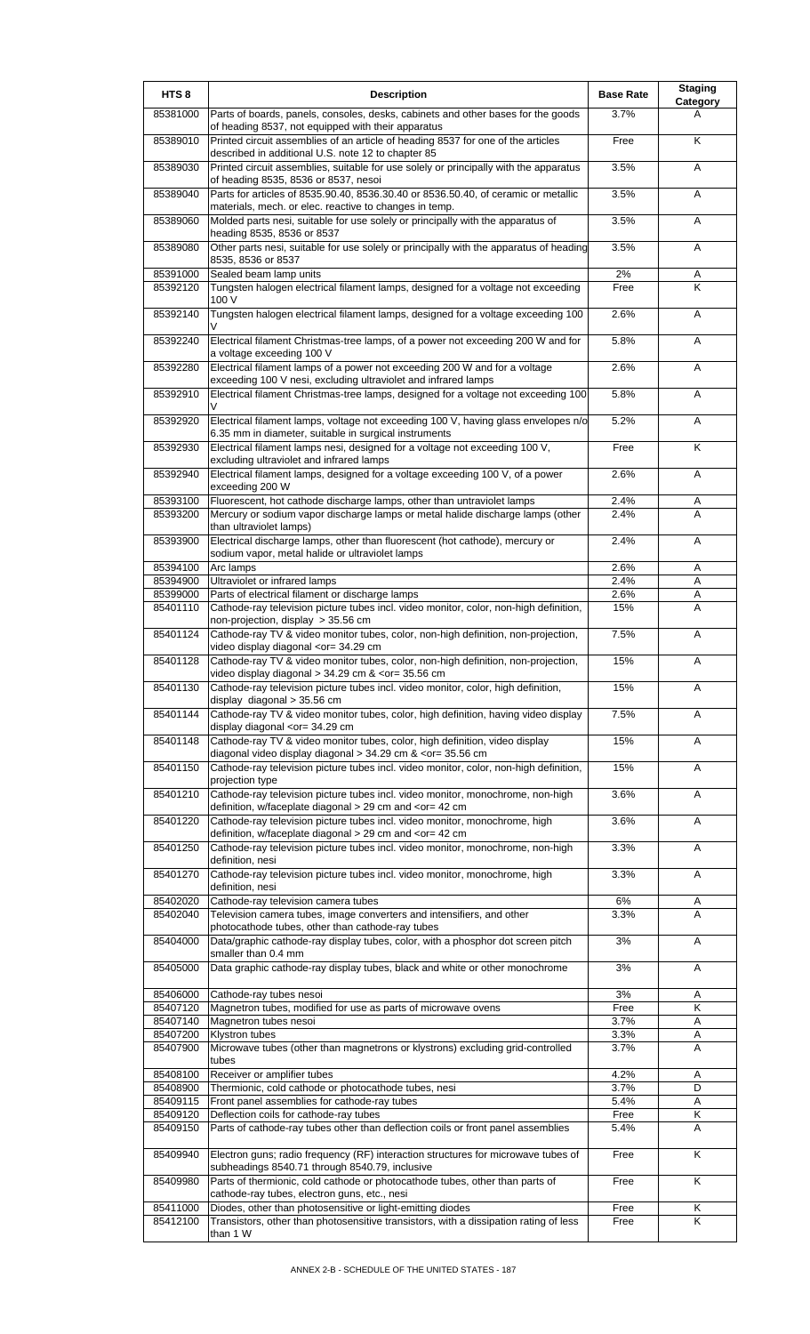| HTS <sub>8</sub>     | <b>Description</b>                                                                                                                                              | <b>Base Rate</b> | <b>Staging</b><br>Category |
|----------------------|-----------------------------------------------------------------------------------------------------------------------------------------------------------------|------------------|----------------------------|
| 85381000             | Parts of boards, panels, consoles, desks, cabinets and other bases for the goods<br>of heading 8537, not equipped with their apparatus                          | 3.7%             | A                          |
| 85389010             | Printed circuit assemblies of an article of heading 8537 for one of the articles<br>described in additional U.S. note 12 to chapter 85                          | Free             | K                          |
| 85389030             | Printed circuit assemblies, suitable for use solely or principally with the apparatus                                                                           | 3.5%             | Α                          |
| 85389040             | of heading 8535, 8536 or 8537, nesoi<br>Parts for articles of 8535.90.40, 8536.30.40 or 8536.50.40, of ceramic or metallic                                      | 3.5%             | Α                          |
| 85389060             | materials, mech. or elec. reactive to changes in temp.<br>Molded parts nesi, suitable for use solely or principally with the apparatus of                       | 3.5%             | Α                          |
| 85389080             | heading 8535, 8536 or 8537<br>Other parts nesi, suitable for use solely or principally with the apparatus of heading                                            | 3.5%             | Α                          |
| 85391000             | 8535, 8536 or 8537<br>Sealed beam lamp units                                                                                                                    | 2%               | Α                          |
| 85392120             | Tungsten halogen electrical filament lamps, designed for a voltage not exceeding                                                                                | Free             | K                          |
| 85392140             | 100 V<br>Tungsten halogen electrical filament lamps, designed for a voltage exceeding 100                                                                       | 2.6%             | Α                          |
| 85392240             | Electrical filament Christmas-tree lamps, of a power not exceeding 200 W and for<br>a voltage exceeding 100 V                                                   | 5.8%             | Α                          |
| 85392280             | Electrical filament lamps of a power not exceeding 200 W and for a voltage<br>exceeding 100 V nesi, excluding ultraviolet and infrared lamps                    | 2.6%             | A                          |
| 85392910             | Electrical filament Christmas-tree lamps, designed for a voltage not exceeding 100                                                                              | 5.8%             | Α                          |
| 85392920             | Electrical filament lamps, voltage not exceeding 100 V, having glass envelopes n/o<br>6.35 mm in diameter, suitable in surgical instruments                     | 5.2%             | Α                          |
| 85392930             | Electrical filament lamps nesi, designed for a voltage not exceeding 100 V,<br>excluding ultraviolet and infrared lamps                                         | Free             | K                          |
| 85392940             | Electrical filament lamps, designed for a voltage exceeding 100 V, of a power<br>exceeding 200 W                                                                | 2.6%             | A                          |
| 85393100             | Fluorescent, hot cathode discharge lamps, other than untraviolet lamps                                                                                          | 2.4%             | A                          |
| 85393200             | Mercury or sodium vapor discharge lamps or metal halide discharge lamps (other<br>than ultraviolet lamps)                                                       | 2.4%             | A                          |
| 85393900             | Electrical discharge lamps, other than fluorescent (hot cathode), mercury or<br>sodium vapor, metal halide or ultraviolet lamps                                 | 2.4%             | Α                          |
| 85394100             | Arc lamps                                                                                                                                                       | 2.6%             | Α                          |
| 85394900             | Ultraviolet or infrared lamps                                                                                                                                   | 2.4%             | A                          |
| 85399000<br>85401110 | Parts of electrical filament or discharge lamps<br>Cathode-ray television picture tubes incl. video monitor, color, non-high definition,                        | 2.6%<br>15%      | Α<br>A                     |
| 85401124             | non-projection, display > 35.56 cm<br>Cathode-ray TV & video monitor tubes, color, non-high definition, non-projection,                                         | 7.5%             | Α                          |
| 85401128             | video display diagonal <or= 34.29="" cm<br="">Cathode-ray TV &amp; video monitor tubes, color, non-high definition, non-projection,</or=>                       | 15%              | Α                          |
| 85401130             | video display diagonal > 34.29 cm & <or= 35.56="" cm<br="">Cathode-ray television picture tubes incl. video monitor, color, high definition,</or=>              | 15%              | A                          |
| 85401144             | display diagonal $>$ 35.56 cm<br>Cathode-ray TV & video monitor tubes, color, high definition, having video display                                             | 7.5%             | Α                          |
| 85401148             | display diagonal <or= 34.29="" cm<br="">Cathode-ray TV &amp; video monitor tubes, color, high definition, video display</or=>                                   | 15%              | A                          |
| 85401150             | diagonal video display diagonal > 34.29 cm & <or= 35.56="" cm<br="">Cathode-ray television picture tubes incl. video monitor, color, non-high definition,</or=> | 15%              | A                          |
| 85401210             | projection type<br>Cathode-ray television picture tubes incl. video monitor, monochrome, non-high                                                               | 3.6%             | Α                          |
| 85401220             | definition, w/faceplate diagonal > 29 cm and <or= 42="" cm<br="">Cathode-ray television picture tubes incl. video monitor, monochrome, high</or=>               | 3.6%             | A                          |
| 85401250             | definition, w/faceplate diagonal > 29 cm and <or= 42="" cm<br="">Cathode-ray television picture tubes incl. video monitor, monochrome, non-high</or=>           | 3.3%             | A                          |
| 85401270             | definition, nesi<br>Cathode-ray television picture tubes incl. video monitor, monochrome, high                                                                  | 3.3%             | A                          |
| 85402020             | definition, nesi<br>Cathode-ray television camera tubes                                                                                                         | 6%               | A                          |
| 85402040             | Television camera tubes, image converters and intensifiers, and other                                                                                           | 3.3%             | A                          |
| 85404000             | photocathode tubes, other than cathode-ray tubes<br>Data/graphic cathode-ray display tubes, color, with a phosphor dot screen pitch                             | 3%               | Α                          |
| 85405000             | smaller than 0.4 mm<br>Data graphic cathode-ray display tubes, black and white or other monochrome                                                              | 3%               | Α                          |
| 85406000             | Cathode-ray tubes nesoi                                                                                                                                         | 3%               | Α                          |
| 85407120             | Magnetron tubes, modified for use as parts of microwave ovens                                                                                                   | Free             | Κ                          |
| 85407140             | Magnetron tubes nesoi                                                                                                                                           | 3.7%             | A                          |
| 85407200             | Klystron tubes                                                                                                                                                  | 3.3%             | Α                          |
| 85407900             | Microwave tubes (other than magnetrons or klystrons) excluding grid-controlled<br>tubes                                                                         | 3.7%             | A                          |
| 85408100             | Receiver or amplifier tubes                                                                                                                                     | 4.2%             | A                          |
| 85408900             | Thermionic, cold cathode or photocathode tubes, nesi                                                                                                            | 3.7%             | D                          |
| 85409115<br>85409120 | Front panel assemblies for cathode-ray tubes<br>Deflection coils for cathode-ray tubes                                                                          | 5.4%<br>Free     | Α<br>Κ                     |
| 85409150             | Parts of cathode-ray tubes other than deflection coils or front panel assemblies                                                                                | 5.4%             | A                          |
| 85409940             | Electron guns; radio frequency (RF) interaction structures for microwave tubes of<br>subheadings 8540.71 through 8540.79, inclusive                             | Free             | Κ                          |
| 85409980             | Parts of thermionic, cold cathode or photocathode tubes, other than parts of<br>cathode-ray tubes, electron guns, etc., nesi                                    | Free             | K                          |
| 85411000             | Diodes, other than photosensitive or light-emitting diodes                                                                                                      | Free             | Κ                          |
| 85412100             | Transistors, other than photosensitive transistors, with a dissipation rating of less<br>than 1 W                                                               | Free             | K                          |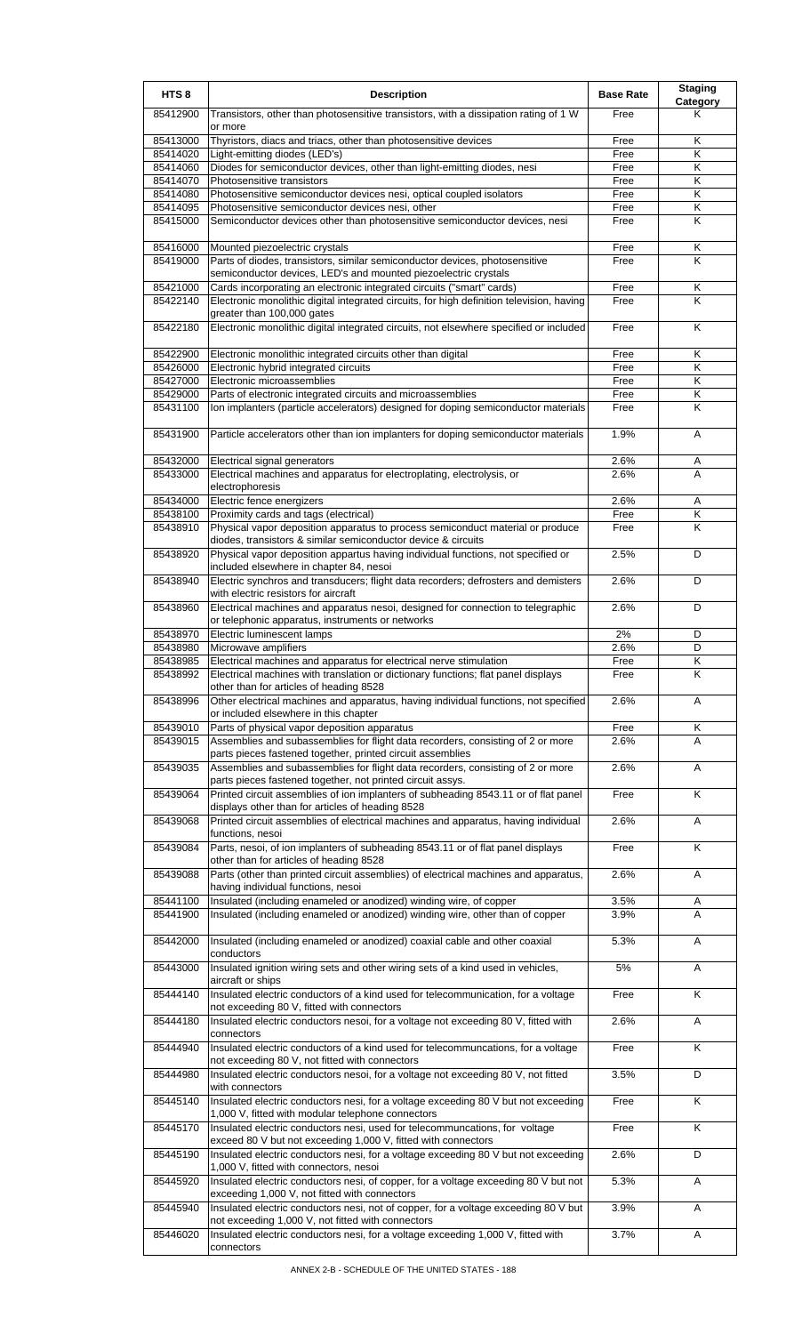| HTS <sub>8</sub>     | <b>Description</b>                                                                                                                                  | <b>Base Rate</b> | <b>Staging</b><br><b>Category</b> |
|----------------------|-----------------------------------------------------------------------------------------------------------------------------------------------------|------------------|-----------------------------------|
| 85412900             | Transistors, other than photosensitive transistors, with a dissipation rating of 1 W<br>or more                                                     | Free             | Κ                                 |
| 85413000             | Thyristors, diacs and triacs, other than photosensitive devices                                                                                     | Free             | Κ                                 |
| 85414020<br>85414060 | Light-emitting diodes (LED's)<br>Diodes for semiconductor devices, other than light-emitting diodes, nesi                                           | Free<br>Free     | Κ<br>Κ                            |
| 85414070             | Photosensitive transistors                                                                                                                          | Free             | $\overline{\mathsf{K}}$           |
| 85414080             | Photosensitive semiconductor devices nesi, optical coupled isolators                                                                                | Free             | K                                 |
| 85414095<br>85415000 | Photosensitive semiconductor devices nesi, other<br>Semiconductor devices other than photosensitive semiconductor devices, nesi                     | Free<br>Free     | Κ<br>K                            |
|                      |                                                                                                                                                     |                  |                                   |
| 85416000<br>85419000 | Mounted piezoelectric crystals<br>Parts of diodes, transistors, similar semiconductor devices, photosensitive                                       | Free<br>Free     | Κ<br>ĸ                            |
|                      | semiconductor devices, LED's and mounted piezoelectric crystals                                                                                     |                  |                                   |
| 85421000             | Cards incorporating an electronic integrated circuits ("smart" cards)                                                                               | Free             | Κ<br>K                            |
| 85422140             | Electronic monolithic digital integrated circuits, for high definition television, having<br>greater than 100,000 gates                             | Free             |                                   |
| 85422180             | Electronic monolithic digital integrated circuits, not elsewhere specified or included                                                              | Free             | K                                 |
| 85422900             | Electronic monolithic integrated circuits other than digital                                                                                        | Free             | Κ                                 |
| 85426000<br>85427000 | Electronic hybrid integrated circuits<br>Electronic microassemblies                                                                                 | Free<br>Free     | Κ<br>Κ                            |
| 85429000             | Parts of electronic integrated circuits and microassemblies                                                                                         | Free             | K                                 |
| 85431100             | Ion implanters (particle accelerators) designed for doping semiconductor materials                                                                  | Free             | Κ                                 |
| 85431900             | Particle accelerators other than ion implanters for doping semiconductor materials                                                                  | 1.9%             | A                                 |
|                      |                                                                                                                                                     |                  |                                   |
| 85432000<br>85433000 | Electrical signal generators<br>Electrical machines and apparatus for electroplating, electrolysis, or                                              | 2.6%<br>2.6%     | Α<br>A                            |
| 85434000             | electrophoresis<br>Electric fence energizers                                                                                                        | 2.6%             | Α                                 |
| 85438100             | Proximity cards and tags (electrical)                                                                                                               | Free             | K                                 |
| 85438910             | Physical vapor deposition apparatus to process semiconduct material or produce<br>diodes, transistors & similar semiconductor device & circuits     | Free             | K                                 |
| 85438920             | Physical vapor deposition appartus having individual functions, not specified or<br>included elsewhere in chapter 84, nesoi                         | 2.5%             | D                                 |
| 85438940             | Electric synchros and transducers; flight data recorders; defrosters and demisters<br>with electric resistors for aircraft                          | 2.6%             | D                                 |
| 85438960             | Electrical machines and apparatus nesoi, designed for connection to telegraphic<br>or telephonic apparatus, instruments or networks                 | 2.6%             | D                                 |
| 85438970             | Electric luminescent lamps                                                                                                                          | 2%               | D                                 |
| 85438980<br>85438985 | Microwave amplifiers<br>Electrical machines and apparatus for electrical nerve stimulation                                                          | 2.6%<br>Free     | D<br>Κ                            |
| 85438992             | Electrical machines with translation or dictionary functions; flat panel displays<br>other than for articles of heading 8528                        | Free             | K                                 |
| 85438996             | Other electrical machines and apparatus, having individual functions, not specified<br>or included elsewhere in this chapter                        | 2.6%             | A                                 |
| 85439010             | Parts of physical vapor deposition apparatus                                                                                                        | Free             | Κ                                 |
| 85439015             | Assemblies and subassemblies for flight data recorders, consisting of 2 or more<br>parts pieces fastened together, printed circuit assemblies       | 2.6%             | A                                 |
| 85439035             | Assemblies and subassemblies for flight data recorders, consisting of 2 or more<br>parts pieces fastened together, not printed circuit assys.       | 2.6%             | A                                 |
| 85439064             | Printed circuit assemblies of ion implanters of subheading 8543.11 or of flat panel<br>displays other than for articles of heading 8528             | Free             | Κ                                 |
| 85439068             | Printed circuit assemblies of electrical machines and apparatus, having individual                                                                  | 2.6%             | Α                                 |
| 85439084             | functions, nesoi<br>Parts, nesoi, of ion implanters of subheading 8543.11 or of flat panel displays                                                 | Free             | $\overline{\mathsf{K}}$           |
| 85439088             | other than for articles of heading 8528<br>Parts (other than printed circuit assemblies) of electrical machines and apparatus,                      | 2.6%             | Α                                 |
|                      | having individual functions, nesoi                                                                                                                  |                  |                                   |
| 85441100<br>85441900 | Insulated (including enameled or anodized) winding wire, of copper<br>Insulated (including enameled or anodized) winding wire, other than of copper | 3.5%<br>3.9%     | A<br>A                            |
| 85442000             | Insulated (including enameled or anodized) coaxial cable and other coaxial                                                                          | 5.3%             | A                                 |
| 85443000             | conductors<br>Insulated ignition wiring sets and other wiring sets of a kind used in vehicles,                                                      | 5%               | A                                 |
| 85444140             | aircraft or ships<br>Insulated electric conductors of a kind used for telecommunication, for a voltage                                              | Free             | Κ                                 |
| 85444180             | not exceeding 80 V, fitted with connectors<br>Insulated electric conductors nesoi, for a voltage not exceeding 80 V, fitted with                    | 2.6%             | Α                                 |
| 85444940             | connectors<br>Insulated electric conductors of a kind used for telecommuncations, for a voltage                                                     | Free             | K                                 |
|                      | not exceeding 80 V, not fitted with connectors                                                                                                      |                  |                                   |
| 85444980             | Insulated electric conductors nesoi, for a voltage not exceeding 80 V, not fitted<br>with connectors                                                | 3.5%             | D                                 |
| 85445140             | Insulated electric conductors nesi, for a voltage exceeding 80 V but not exceeding<br>1,000 V, fitted with modular telephone connectors             | Free             | K                                 |
| 85445170             | Insulated electric conductors nesi, used for telecommuncations, for voltage<br>exceed 80 V but not exceeding 1,000 V, fitted with connectors        | Free             | Κ                                 |
| 85445190             | Insulated electric conductors nesi, for a voltage exceeding 80 V but not exceeding<br>1,000 V, fitted with connectors, nesoi                        | 2.6%             | D                                 |
| 85445920             | Insulated electric conductors nesi, of copper, for a voltage exceeding 80 V but not<br>exceeding 1,000 V, not fitted with connectors                | 5.3%             | A                                 |
| 85445940             | Insulated electric conductors nesi, not of copper, for a voltage exceeding 80 V but<br>not exceeding 1,000 V, not fitted with connectors            | 3.9%             | Α                                 |
| 85446020             | Insulated electric conductors nesi, for a voltage exceeding 1,000 V, fitted with<br>connectors                                                      | 3.7%             | Α                                 |
|                      |                                                                                                                                                     |                  |                                   |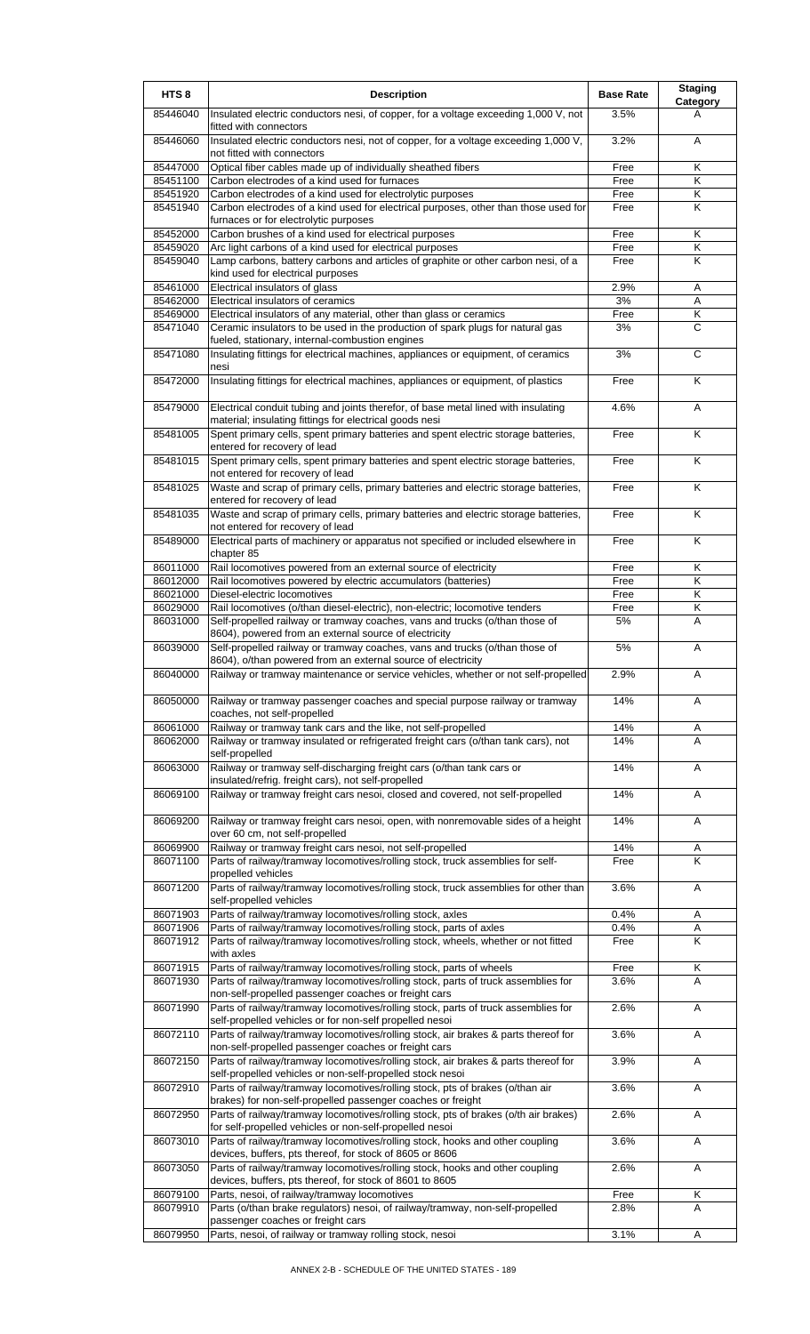| HTS <sub>8</sub>     | <b>Description</b>                                                                                                                                 | <b>Base Rate</b> | <b>Staging</b><br>Category |
|----------------------|----------------------------------------------------------------------------------------------------------------------------------------------------|------------------|----------------------------|
| 85446040             | Insulated electric conductors nesi, of copper, for a voltage exceeding 1,000 V, not<br>fitted with connectors                                      | 3.5%             | А                          |
| 85446060             | Insulated electric conductors nesi, not of copper, for a voltage exceeding 1,000 V,<br>not fitted with connectors                                  | 3.2%             | A                          |
| 85447000             | Optical fiber cables made up of individually sheathed fibers                                                                                       | Free             | Κ                          |
| 85451100             | Carbon electrodes of a kind used for furnaces                                                                                                      | Free             | Κ                          |
| 85451920             | Carbon electrodes of a kind used for electrolytic purposes                                                                                         | Free             | Κ                          |
| 85451940             | Carbon electrodes of a kind used for electrical purposes, other than those used for<br>furnaces or for electrolytic purposes                       | Free             | K                          |
| 85452000             | Carbon brushes of a kind used for electrical purposes                                                                                              | Free             | Κ                          |
| 85459020             | Arc light carbons of a kind used for electrical purposes                                                                                           | Free             | Κ                          |
| 85459040             | Lamp carbons, battery carbons and articles of graphite or other carbon nesi, of a<br>kind used for electrical purposes                             | Free             | K                          |
| 85461000             | Electrical insulators of glass                                                                                                                     | 2.9%             | Α                          |
| 85462000             | Electrical insulators of ceramics                                                                                                                  | 3%               | Α                          |
| 85469000             | Electrical insulators of any material, other than glass or ceramics                                                                                | Free             | Κ                          |
| 85471040             | Ceramic insulators to be used in the production of spark plugs for natural gas<br>fueled, stationary, internal-combustion engines                  | 3%               | C                          |
| 85471080             | Insulating fittings for electrical machines, appliances or equipment, of ceramics<br>nesi                                                          | 3%               | C                          |
| 85472000             | Insulating fittings for electrical machines, appliances or equipment, of plastics                                                                  | Free             | Κ                          |
| 85479000             | Electrical conduit tubing and joints therefor, of base metal lined with insulating<br>material; insulating fittings for electrical goods nesi      | 4.6%             | A                          |
| 85481005             | Spent primary cells, spent primary batteries and spent electric storage batteries,<br>entered for recovery of lead                                 | Free             | K                          |
| 85481015             | Spent primary cells, spent primary batteries and spent electric storage batteries,                                                                 | Free             | Κ                          |
| 85481025             | not entered for recovery of lead<br>Waste and scrap of primary cells, primary batteries and electric storage batteries,                            | Free             | K                          |
| 85481035             | entered for recovery of lead<br>Waste and scrap of primary cells, primary batteries and electric storage batteries,                                | Free             | Κ                          |
| 85489000             | not entered for recovery of lead<br>Electrical parts of machinery or apparatus not specified or included elsewhere in                              | Free             | Κ                          |
|                      | chapter 85                                                                                                                                         |                  |                            |
| 86011000             | Rail locomotives powered from an external source of electricity                                                                                    | Free             | Κ                          |
| 86012000             | Rail locomotives powered by electric accumulators (batteries)                                                                                      | Free             | Κ                          |
| 86021000<br>86029000 | Diesel-electric locomotives<br>Rail locomotives (o/than diesel-electric), non-electric; locomotive tenders                                         | Free             | Κ<br>Κ                     |
| 86031000             | Self-propelled railway or tramway coaches, vans and trucks (o/than those of                                                                        | Free<br>5%       | A                          |
|                      | 8604), powered from an external source of electricity                                                                                              |                  |                            |
| 86039000             | Self-propelled railway or tramway coaches, vans and trucks (o/than those of<br>8604), o/than powered from an external source of electricity        | 5%               | A                          |
| 86040000             | [Railway or tramway maintenance or service vehicles, whether or not self-propelled]                                                                | 2.9%             | A                          |
| 86050000             | Railway or tramway passenger coaches and special purpose railway or tramway<br>coaches, not self-propelled                                         | 14%              | Α                          |
| 86061000             | Railway or tramway tank cars and the like, not self-propelled                                                                                      | 14%              | Α                          |
| 86062000             | Railway or tramway insulated or refrigerated freight cars (o/than tank cars), not<br>self-propelled                                                | 14%              | A                          |
| 86063000             | Railway or tramway self-discharging freight cars (o/than tank cars or<br>insulated/refrig. freight cars), not self-propelled                       | 14%              | Α                          |
| 86069100             | Railway or tramway freight cars nesoi, closed and covered, not self-propelled                                                                      | 14%              | Α                          |
| 86069200             | Railway or tramway freight cars nesoi, open, with nonremovable sides of a height<br>over 60 cm, not self-propelled                                 | 14%              | A                          |
| 86069900             | Railway or tramway freight cars nesoi, not self-propelled                                                                                          | 14%              | Α                          |
| 86071100             | Parts of railway/tramway locomotives/rolling stock, truck assemblies for self-<br>propelled vehicles                                               | Free             | K                          |
| 86071200             | Parts of railway/tramway locomotives/rolling stock, truck assemblies for other than<br>self-propelled vehicles                                     | 3.6%             | Α                          |
| 86071903             | Parts of railway/tramway locomotives/rolling stock, axles                                                                                          | 0.4%             | Α                          |
| 86071906             | Parts of railway/tramway locomotives/rolling stock, parts of axles                                                                                 | 0.4%             | Α                          |
| 86071912             | Parts of railway/tramway locomotives/rolling stock, wheels, whether or not fitted<br>with axles                                                    | Free             | Κ                          |
| 86071915             | Parts of railway/tramway locomotives/rolling stock, parts of wheels                                                                                | Free             | $\overline{\mathsf{K}}$    |
| 86071930             | Parts of railway/tramway locomotives/rolling stock, parts of truck assemblies for<br>non-self-propelled passenger coaches or freight cars          | 3.6%             | A                          |
| 86071990             | Parts of railway/tramway locomotives/rolling stock, parts of truck assemblies for<br>self-propelled vehicles or for non-self propelled nesoi       | 2.6%             | Α                          |
| 86072110             | Parts of railway/tramway locomotives/rolling stock, air brakes & parts thereof for                                                                 | 3.6%             | Α                          |
| 86072150             | non-self-propelled passenger coaches or freight cars<br>Parts of railway/tramway locomotives/rolling stock, air brakes & parts thereof for         | 3.9%             | A                          |
| 86072910             | self-propelled vehicles or non-self-propelled stock nesoi<br>Parts of railway/tramway locomotives/rolling stock, pts of brakes (o/than air         | 3.6%             | Α                          |
| 86072950             | brakes) for non-self-propelled passenger coaches or freight<br>Parts of railway/tramway locomotives/rolling stock, pts of brakes (o/th air brakes) | 2.6%             | Α                          |
| 86073010             | for self-propelled vehicles or non-self-propelled nesoi<br>Parts of railway/tramway locomotives/rolling stock, hooks and other coupling            | 3.6%             | Α                          |
| 86073050             | devices, buffers, pts thereof, for stock of 8605 or 8606<br>Parts of railway/tramway locomotives/rolling stock, hooks and other coupling           | 2.6%             | Α                          |
|                      | devices, buffers, pts thereof, for stock of 8601 to 8605                                                                                           |                  |                            |
| 86079100             | Parts, nesoi, of railway/tramway locomotives                                                                                                       | Free             | Κ                          |
| 86079910             | Parts (o/than brake regulators) nesoi, of railway/tramway, non-self-propelled<br>passenger coaches or freight cars                                 | 2.8%             | A                          |
| 86079950             | Parts, nesoi, of railway or tramway rolling stock, nesoi                                                                                           | 3.1%             | A                          |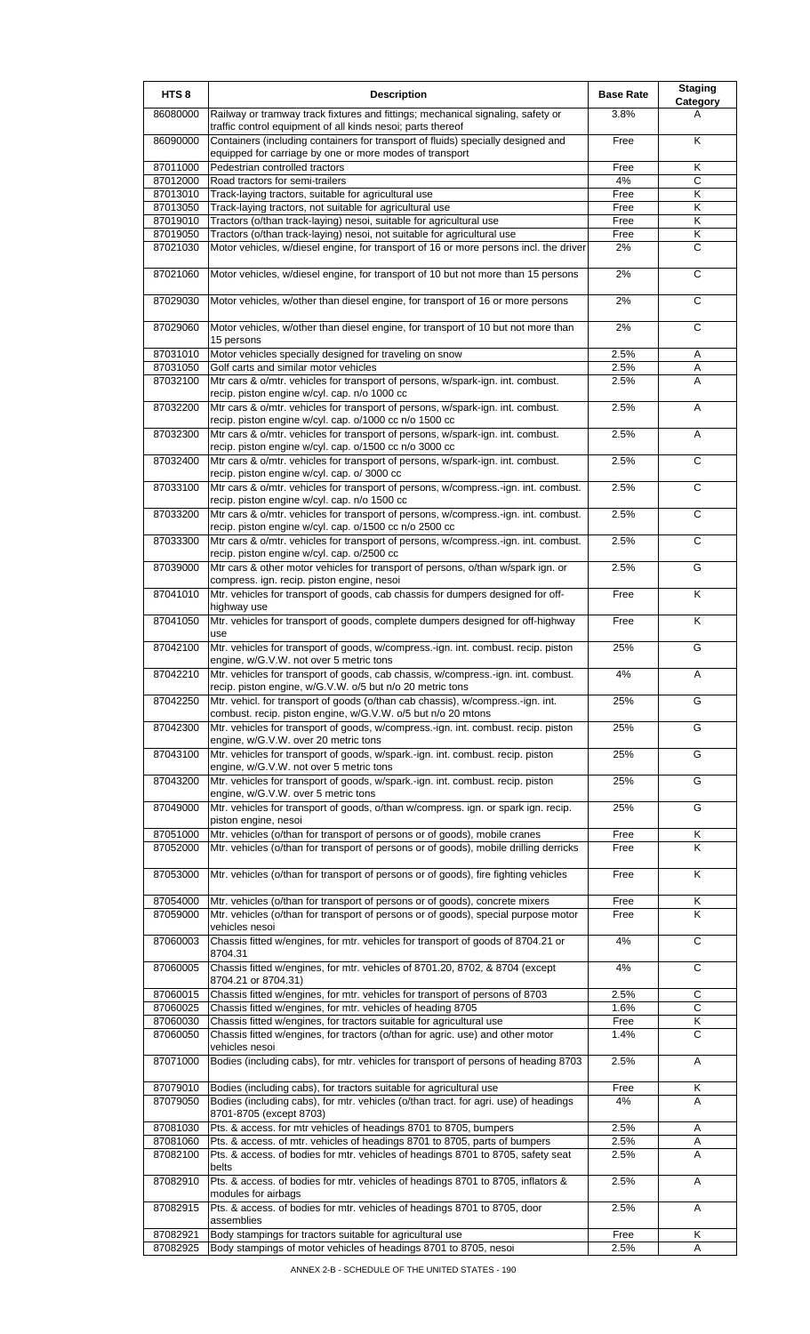| HTS <sub>8</sub>     | <b>Description</b>                                                                                                                                                  | <b>Base Rate</b> | <b>Staging</b><br>Category |
|----------------------|---------------------------------------------------------------------------------------------------------------------------------------------------------------------|------------------|----------------------------|
| 86080000             | Railway or tramway track fixtures and fittings; mechanical signaling, safety or<br>traffic control equipment of all kinds nesoi; parts thereof                      | 3.8%             | A                          |
| 86090000             | Containers (including containers for transport of fluids) specially designed and<br>equipped for carriage by one or more modes of transport                         | Free             | Κ                          |
| 87011000             | Pedestrian controlled tractors                                                                                                                                      | Free             | Κ                          |
| 87012000             | Road tractors for semi-trailers                                                                                                                                     | 4%               | C                          |
| 87013010             | Track-laying tractors, suitable for agricultural use                                                                                                                | Free             | $\overline{\mathsf{K}}$    |
| 87013050<br>87019010 | Track-laying tractors, not suitable for agricultural use<br>Tractors (o/than track-laying) nesoi, suitable for agricultural use                                     | Free<br>Free     | Κ<br>Κ                     |
| 87019050             | Tractors (o/than track-laying) nesoi, not suitable for agricultural use                                                                                             | Free             | $\overline{\mathsf{K}}$    |
| 87021030             | Motor vehicles, w/diesel engine, for transport of 16 or more persons incl. the driver                                                                               | 2%               | С                          |
| 87021060             | Motor vehicles, w/diesel engine, for transport of 10 but not more than 15 persons                                                                                   | 2%               | C                          |
| 87029030             | Motor vehicles, w/other than diesel engine, for transport of 16 or more persons                                                                                     | 2%               | C                          |
| 87029060             | Motor vehicles, w/other than diesel engine, for transport of 10 but not more than                                                                                   | 2%               | C                          |
| 87031010             | 15 persons<br>Motor vehicles specially designed for traveling on snow                                                                                               | 2.5%             | Α                          |
| 87031050             | Golf carts and similar motor vehicles                                                                                                                               | 2.5%             | Α                          |
| 87032100             | Mtr cars & o/mtr. vehicles for transport of persons, w/spark-ign. int. combust.                                                                                     | 2.5%             | A                          |
|                      | recip. piston engine w/cyl. cap. n/o 1000 cc                                                                                                                        |                  |                            |
| 87032200             | Mtr cars & o/mtr. vehicles for transport of persons, w/spark-ign. int. combust.<br>recip. piston engine w/cyl. cap. o/1000 cc n/o 1500 cc                           | 2.5%             | Α                          |
| 87032300             | Mtr cars & o/mtr. vehicles for transport of persons, w/spark-ign. int. combust.                                                                                     | 2.5%             | A                          |
| 87032400             | recip. piston engine w/cyl. cap. o/1500 cc n/o 3000 cc<br>Mtr cars & o/mtr. vehicles for transport of persons, w/spark-ign. int. combust.                           | 2.5%             | С                          |
| 87033100             | recip. piston engine w/cyl. cap. o/ 3000 cc<br>Mtr cars & o/mtr. vehicles for transport of persons, w/compress.-ign. int. combust.                                  | 2.5%             | $\overline{c}$             |
| 87033200             | recip. piston engine w/cyl. cap. n/o 1500 cc<br>Mtr cars & o/mtr. vehicles for transport of persons, w/compress.-ign. int. combust.                                 | 2.5%             | C                          |
| 87033300             | recip. piston engine w/cyl. cap. o/1500 cc n/o 2500 cc<br>Mtr cars & o/mtr. vehicles for transport of persons, w/compress.-ign. int. combust.                       | 2.5%             | С                          |
| 87039000             | recip. piston engine w/cyl. cap. o/2500 cc<br>Mtr cars & other motor vehicles for transport of persons, o/than w/spark ign. or                                      | 2.5%             | G                          |
| 87041010             | compress. ign. recip. piston engine, nesoi<br>Mtr. vehicles for transport of goods, cab chassis for dumpers designed for off-                                       | Free             | Κ                          |
|                      | highway use                                                                                                                                                         |                  |                            |
| 87041050             | Mtr. vehicles for transport of goods, complete dumpers designed for off-highway<br>use                                                                              | Free             | Κ                          |
| 87042100             | Mtr. vehicles for transport of goods, w/compress.-ign. int. combust. recip. piston<br>engine, w/G.V.W. not over 5 metric tons                                       | 25%              | G                          |
| 87042210             | Mtr. vehicles for transport of goods, cab chassis, w/compress.-ign. int. combust.<br>recip. piston engine, w/G.V.W. o/5 but n/o 20 metric tons                      | 4%               | A                          |
| 87042250             | Mtr. vehicl. for transport of goods (o/than cab chassis), w/compress.-ign. int.<br>combust. recip. piston engine, w/G.V.W. o/5 but n/o 20 mtons                     | 25%              | G                          |
| 87042300             | Mtr. vehicles for transport of goods, w/compress.-ign. int. combust. recip. piston<br>engine, w/G.V.W. over 20 metric tons                                          | 25%              | G                          |
| 87043100             | Mtr. vehicles for transport of goods, w/spark.-ign. int. combust. recip. piston<br>engine, w/G.V.W. not over 5 metric tons                                          | 25%              | G                          |
| 87043200             | Mtr. vehicles for transport of goods, w/spark.-ign. int. combust. recip. piston<br>engine, w/G.V.W. over 5 metric tons                                              | 25%              | G                          |
| 87049000             | Mtr. vehicles for transport of goods, o/than w/compress. ign. or spark ign. recip.<br>piston engine, nesoi                                                          | 25%              | G                          |
| 87051000<br>87052000 | Mtr. vehicles (o/than for transport of persons or of goods), mobile cranes<br>Mtr. vehicles (o/than for transport of persons or of goods), mobile drilling derricks | Free<br>Free     | Κ<br>K                     |
|                      |                                                                                                                                                                     |                  |                            |
| 87053000             | Mtr. vehicles (o/than for transport of persons or of goods), fire fighting vehicles                                                                                 | Free             | K                          |
| 87054000<br>87059000 | Mtr. vehicles (o/than for transport of persons or of goods), concrete mixers<br>Mtr. vehicles (o/than for transport of persons or of goods), special purpose motor  | Free<br>Free     | Κ<br>K                     |
|                      | vehicles nesoi                                                                                                                                                      |                  | C                          |
| 87060003             | Chassis fitted w/engines, for mtr. vehicles for transport of goods of 8704.21 or<br>8704.31                                                                         | 4%               |                            |
| 87060005             | Chassis fitted w/engines, for mtr. vehicles of 8701.20, 8702, & 8704 (except<br>8704.21 or 8704.31)                                                                 | 4%               | C                          |
| 87060015<br>87060025 | Chassis fitted w/engines, for mtr. vehicles for transport of persons of 8703<br>Chassis fitted w/engines, for mtr. vehicles of heading 8705                         | 2.5%<br>1.6%     | C<br>C                     |
| 87060030             | Chassis fitted w/engines, for tractors suitable for agricultural use                                                                                                | Free             | Κ                          |
| 87060050             | Chassis fitted w/engines, for tractors (o/than for agric. use) and other motor<br>vehicles nesoi                                                                    | 1.4%             | C                          |
| 87071000             | Bodies (including cabs), for mtr. vehicles for transport of persons of heading 8703                                                                                 | 2.5%             | Α                          |
| 87079010             | Bodies (including cabs), for tractors suitable for agricultural use                                                                                                 | Free             | Κ                          |
| 87079050             | Bodies (including cabs), for mtr. vehicles (o/than tract. for agri. use) of headings<br>8701-8705 (except 8703)                                                     | 4%               | A                          |
| 87081030             | Pts. & access. for mtr vehicles of headings 8701 to 8705, bumpers                                                                                                   | 2.5%             | Α                          |
| 87081060             | Pts. & access. of mtr. vehicles of headings 8701 to 8705, parts of bumpers                                                                                          | 2.5%             | Α                          |
| 87082100             | Pts. & access. of bodies for mtr. vehicles of headings 8701 to 8705, safety seat<br>belts                                                                           | 2.5%             | A                          |
| 87082910             | Pts. & access. of bodies for mtr. vehicles of headings 8701 to 8705, inflators &<br>modules for airbags                                                             | 2.5%             | Α                          |
| 87082915             | Pts. & access. of bodies for mtr. vehicles of headings 8701 to 8705, door                                                                                           | 2.5%             | Α                          |
| 87082921             | assemblies<br>Body stampings for tractors suitable for agricultural use                                                                                             | Free             | Κ                          |
| 87082925             | Body stampings of motor vehicles of headings 8701 to 8705, nesoi                                                                                                    | 2.5%             | A                          |
|                      |                                                                                                                                                                     |                  |                            |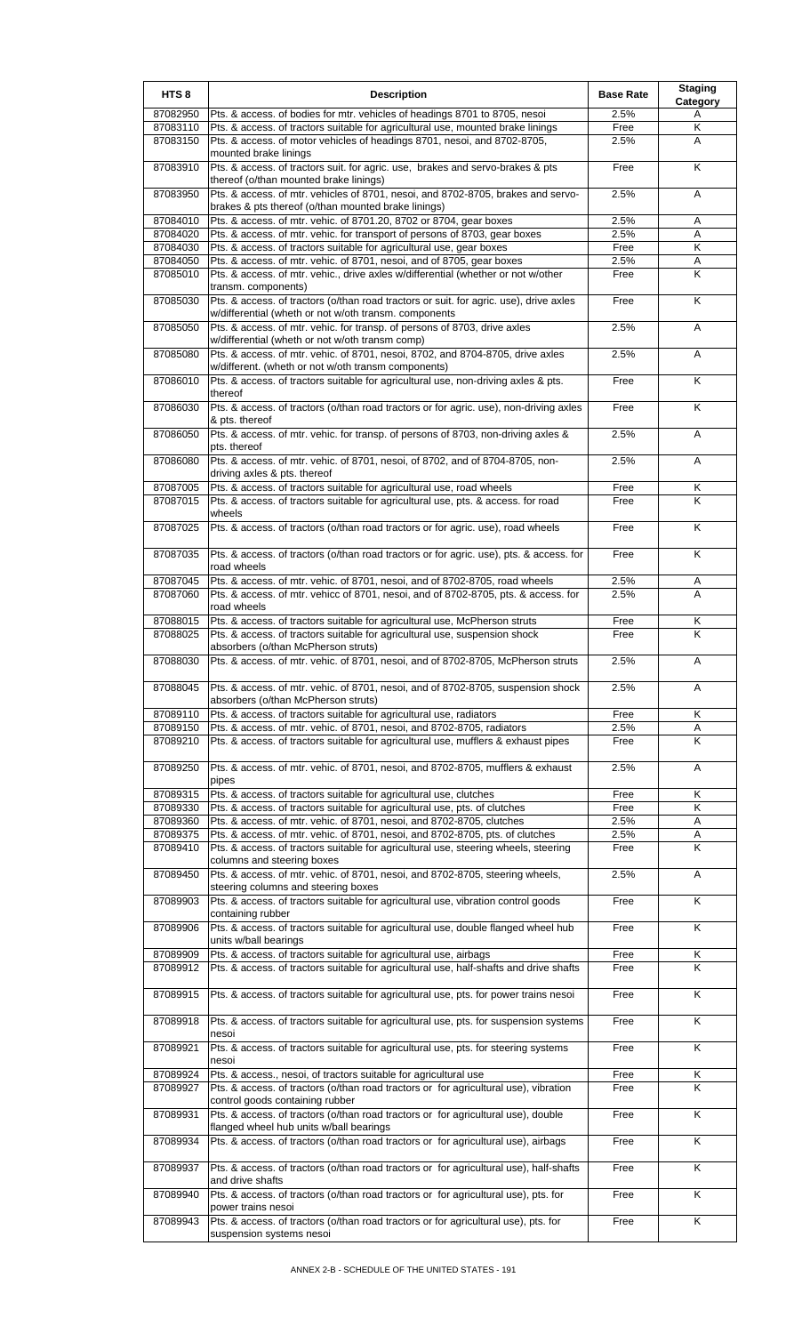| HTS <sub>8</sub>     | <b>Description</b>                                                                                                                                                     | <b>Base Rate</b> | <b>Staging</b><br>Category |
|----------------------|------------------------------------------------------------------------------------------------------------------------------------------------------------------------|------------------|----------------------------|
| 87082950             | Pts. & access. of bodies for mtr. vehicles of headings 8701 to 8705, nesoi                                                                                             | 2.5%             | Α                          |
| 87083110             | Pts. & access. of tractors suitable for agricultural use, mounted brake linings                                                                                        | Free             | Κ                          |
| 87083150             | Pts. & access. of motor vehicles of headings 8701, nesoi, and 8702-8705,<br>mounted brake linings                                                                      | 2.5%             | A                          |
| 87083910             | Pts. & access. of tractors suit. for agric. use, brakes and servo-brakes & pts<br>thereof (o/than mounted brake linings)                                               | Free             | K                          |
| 87083950             | Pts. & access. of mtr. vehicles of 8701, nesoi, and 8702-8705, brakes and servo-<br>brakes & pts thereof (o/than mounted brake linings)                                | 2.5%             | A                          |
| 87084010             | Pts. & access. of mtr. vehic. of 8701.20, 8702 or 8704, gear boxes                                                                                                     | 2.5%             | Α                          |
| 87084020             | Pts. & access. of mtr. vehic. for transport of persons of 8703, gear boxes                                                                                             | 2.5%             | A                          |
| 87084030             | Pts. & access. of tractors suitable for agricultural use, gear boxes                                                                                                   | Free             | Κ                          |
| 87084050<br>87085010 | Pts. & access. of mtr. vehic. of 8701, nesoi, and of 8705, gear boxes<br>Pts. & access. of mtr. vehic., drive axles w/differential (whether or not w/other             | 2.5%<br>Free     | A<br>K                     |
| 87085030             | transm. components)<br>Pts. & access. of tractors (o/than road tractors or suit. for agric. use), drive axles<br>w/differential (wheth or not w/oth transm. components | Free             | K                          |
| 87085050             | Pts. & access. of mtr. vehic. for transp. of persons of 8703, drive axles<br>w/differential (wheth or not w/oth transm comp)                                           | 2.5%             | A                          |
| 87085080             | Pts. & access. of mtr. vehic. of 8701, nesoi, 8702, and 8704-8705, drive axles<br>w/different. (wheth or not w/oth transm components)                                  | 2.5%             | A                          |
| 87086010             | Pts. & access. of tractors suitable for agricultural use, non-driving axles & pts.<br>thereof                                                                          | Free             | K                          |
| 87086030             | Pts. & access. of tractors (o/than road tractors or for agric. use), non-driving axles<br>& pts. thereof                                                               | Free             | K                          |
| 87086050             | Pts. & access. of mtr. vehic. for transp. of persons of 8703, non-driving axles &<br>pts. thereof                                                                      | 2.5%             | A                          |
| 87086080             | Pts. & access. of mtr. vehic. of 8701, nesoi, of 8702, and of 8704-8705, non-<br>driving axles & pts. thereof                                                          | 2.5%             | Α                          |
| 87087005             | Pts. & access. of tractors suitable for agricultural use, road wheels                                                                                                  | Free             | Κ                          |
| 87087015             | Pts. & access. of tractors suitable for agricultural use, pts. & access. for road<br>wheels                                                                            | Free             | Κ                          |
| 87087025             | Pts. & access. of tractors (o/than road tractors or for agric. use), road wheels                                                                                       | Free             | K                          |
| 87087035             | Pts. & access. of tractors (o/than road tractors or for agric. use), pts. & access. for<br>road wheels                                                                 | Free             | K                          |
| 87087045<br>87087060 | Pts. & access. of mtr. vehic. of 8701, nesoi, and of 8702-8705, road wheels<br>Pts. & access. of mtr. vehicc of 8701, nesoi, and of 8702-8705, pts. & access. for      | 2.5%<br>2.5%     | A<br>A                     |
|                      | road wheels                                                                                                                                                            |                  |                            |
| 87088015<br>87088025 | Pts. & access. of tractors suitable for agricultural use, McPherson struts<br>Pts. & access. of tractors suitable for agricultural use, suspension shock               | Free<br>Free     | Κ<br>K                     |
| 87088030             | absorbers (o/than McPherson struts)<br>Pts. & access. of mtr. vehic. of 8701, nesoi, and of 8702-8705, McPherson struts                                                | 2.5%             | Α                          |
| 87088045             | Pts. & access. of mtr. vehic. of 8701, nesoi, and of 8702-8705, suspension shock<br>absorbers (o/than McPherson struts)                                                | 2.5%             | A                          |
| 87089110             | Pts. & access. of tractors suitable for agricultural use, radiators                                                                                                    | Free             | K                          |
| 87089150             | Pts. & access. of mtr. vehic. of 8701, nesoi, and 8702-8705, radiators                                                                                                 | 2.5%             | Α                          |
| 87089210             | Pts. & access. of tractors suitable for agricultural use, mufflers & exhaust pipes                                                                                     | Free             | K                          |
| 87089250             | Pts. & access. of mtr. vehic. of 8701, nesoi, and 8702-8705, mufflers & exhaust<br>pipes                                                                               | 2.5%             | A                          |
| 87089315             | Pts. & access. of tractors suitable for agricultural use, clutches                                                                                                     | Free             | Κ                          |
| 87089330<br>87089360 | Pts. & access. of tractors suitable for agricultural use, pts. of clutches<br>Pts. & access. of mtr. vehic. of 8701, nesoi, and 8702-8705, clutches                    | Free<br>2.5%     | K<br>A                     |
| 87089375             | Pts. & access. of mtr. vehic. of 8701, nesoi, and 8702-8705, pts. of clutches                                                                                          | 2.5%             | Α                          |
| 87089410             | Pts. & access. of tractors suitable for agricultural use, steering wheels, steering                                                                                    | Free             | $\overline{\mathsf{K}}$    |
| 87089450             | columns and steering boxes<br>Pts. & access. of mtr. vehic. of 8701, nesoi, and 8702-8705, steering wheels,                                                            | 2.5%             | A                          |
| 87089903             | steering columns and steering boxes<br>Pts. & access. of tractors suitable for agricultural use, vibration control goods                                               | Free             | K                          |
| 87089906             | containing rubber<br>Pts. & access. of tractors suitable for agricultural use, double flanged wheel hub                                                                | Free             | $\overline{\mathsf{K}}$    |
| 87089909             | units w/ball bearings<br>Pts. & access. of tractors suitable for agricultural use, airbags                                                                             | Free             | Κ                          |
| 87089912             | Pts. & access. of tractors suitable for agricultural use, half-shafts and drive shafts                                                                                 | Free             | κ                          |
| 87089915             | Pts. & access. of tractors suitable for agricultural use, pts. for power trains nesoi                                                                                  | Free             | Κ                          |
| 87089918             | Pts. & access. of tractors suitable for agricultural use, pts. for suspension systems<br>nesoi                                                                         | Free             | K                          |
| 87089921             | Pts. & access. of tractors suitable for agricultural use, pts. for steering systems<br>nesoi                                                                           | Free             | K                          |
| 87089924             | Pts. & access., nesoi, of tractors suitable for agricultural use                                                                                                       | Free             | Κ                          |
| 87089927             | Pts. & access. of tractors (o/than road tractors or for agricultural use), vibration<br>control goods containing rubber                                                | Free             | K                          |
| 87089931             | Pts. & access. of tractors (o/than road tractors or for agricultural use), double<br>flanged wheel hub units w/ball bearings                                           | Free             | K                          |
| 87089934             | Pts. & access. of tractors (o/than road tractors or for agricultural use), airbags                                                                                     | Free             | K                          |
| 87089937             | Pts. & access. of tractors (o/than road tractors or for agricultural use), half-shafts<br>and drive shafts                                                             | Free             | K                          |
| 87089940             | Pts. & access. of tractors (o/than road tractors or for agricultural use), pts. for<br>power trains nesoi                                                              | Free             | $\overline{\mathsf{K}}$    |
| 87089943             | Pts. & access. of tractors (o/than road tractors or for agricultural use), pts. for<br>suspension systems nesoi                                                        | Free             | Κ                          |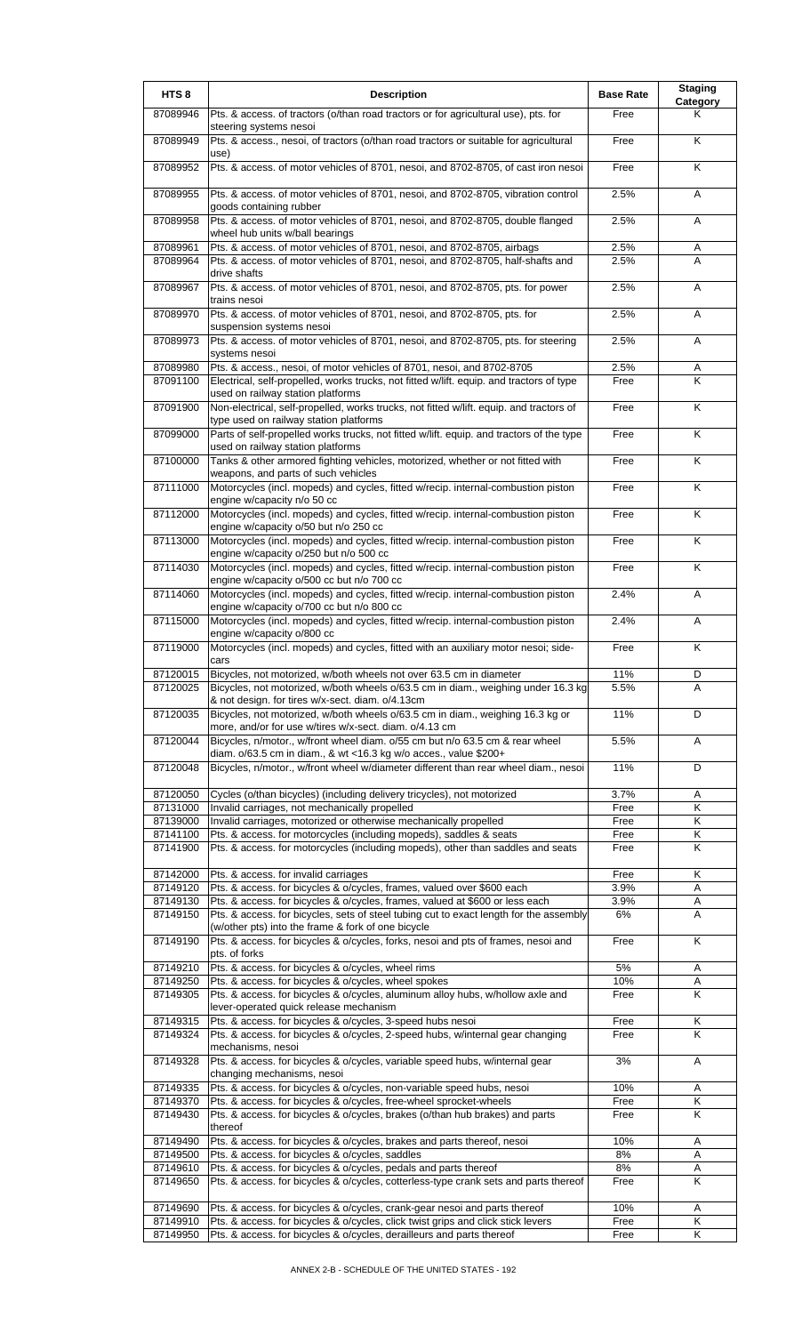| HTS <sub>8</sub>     | <b>Description</b>                                                                                                                                                     | <b>Base Rate</b> | <b>Staging</b><br>Category |
|----------------------|------------------------------------------------------------------------------------------------------------------------------------------------------------------------|------------------|----------------------------|
| 87089946             | Pts. & access. of tractors (o/than road tractors or for agricultural use), pts. for<br>steering systems nesoi                                                          | Free             | Κ                          |
| 87089949             | Pts. & access., nesoi, of tractors (o/than road tractors or suitable for agricultural                                                                                  | Free             | K                          |
| 87089952             | use)<br>Pts. & access. of motor vehicles of 8701, nesoi, and 8702-8705, of cast iron nesoi                                                                             | Free             | K                          |
| 87089955             | Pts. & access. of motor vehicles of 8701, nesoi, and 8702-8705, vibration control<br>goods containing rubber                                                           | 2.5%             | A                          |
| 87089958             | Pts. & access. of motor vehicles of 8701, nesoi, and 8702-8705, double flanged<br>wheel hub units w/ball bearings                                                      | 2.5%             | A                          |
| 87089961             | Pts. & access. of motor vehicles of 8701, nesoi, and 8702-8705, airbags                                                                                                | 2.5%             | Α                          |
| 87089964             | Pts. & access. of motor vehicles of 8701, nesoi, and 8702-8705, half-shafts and<br>drive shafts                                                                        | 2.5%             | A                          |
| 87089967             | Pts. & access. of motor vehicles of 8701, nesoi, and 8702-8705, pts. for power<br>trains nesoi                                                                         | 2.5%             | A                          |
| 87089970             | Pts. & access. of motor vehicles of 8701, nesoi, and 8702-8705, pts. for<br>suspension systems nesoi                                                                   | 2.5%             | A                          |
| 87089973             | Pts. & access. of motor vehicles of 8701, nesoi, and 8702-8705, pts. for steering<br>systems nesoi                                                                     | 2.5%             | Α                          |
| 87089980             | Pts. & access., nesoi, of motor vehicles of 8701, nesoi, and 8702-8705                                                                                                 | 2.5%             | Α                          |
| 87091100             | Electrical, self-propelled, works trucks, not fitted w/lift. equip. and tractors of type<br>used on railway station platforms                                          | Free             | K                          |
| 87091900             | Non-electrical, self-propelled, works trucks, not fitted w/lift. equip. and tractors of<br>type used on railway station platforms                                      | Free             | $\overline{\mathsf{K}}$    |
| 87099000             | Parts of self-propelled works trucks, not fitted w/lift. equip. and tractors of the type<br>used on railway station platforms                                          | Free             | K                          |
| 87100000             | Tanks & other armored fighting vehicles, motorized, whether or not fitted with<br>weapons, and parts of such vehicles                                                  | Free             | K                          |
| 87111000             | Motorcycles (incl. mopeds) and cycles, fitted w/recip. internal-combustion piston<br>engine w/capacity n/o 50 cc                                                       | Free             | K                          |
| 87112000             | Motorcycles (incl. mopeds) and cycles, fitted w/recip. internal-combustion piston<br>engine w/capacity o/50 but n/o 250 cc                                             | Free             | K                          |
| 87113000             | Motorcycles (incl. mopeds) and cycles, fitted w/recip. internal-combustion piston<br>engine w/capacity o/250 but n/o 500 cc                                            | Free             | K                          |
| 87114030             | Motorcycles (incl. mopeds) and cycles, fitted w/recip. internal-combustion piston<br>engine w/capacity o/500 cc but n/o 700 cc                                         | Free             | K                          |
| 87114060             | Motorcycles (incl. mopeds) and cycles, fitted w/recip. internal-combustion piston<br>engine w/capacity o/700 cc but n/o 800 cc                                         | 2.4%             | A                          |
| 87115000             | Motorcycles (incl. mopeds) and cycles, fitted w/recip. internal-combustion piston<br>engine w/capacity o/800 cc                                                        | 2.4%             | A                          |
| 87119000             | Motorcycles (incl. mopeds) and cycles, fitted with an auxiliary motor nesoi; side-<br>cars                                                                             | Free             | $\overline{\mathsf{K}}$    |
| 87120015             | Bicycles, not motorized, w/both wheels not over 63.5 cm in diameter                                                                                                    | 11%              | D                          |
| 87120025             | Bicycles, not motorized, w/both wheels o/63.5 cm in diam., weighing under 16.3 kg<br>& not design. for tires w/x-sect. diam. o/4.13cm                                  | 5.5%             | A                          |
| 87120035             | Bicycles, not motorized, w/both wheels o/63.5 cm in diam., weighing 16.3 kg or<br>more, and/or for use w/tires w/x-sect. diam. o/4.13 cm                               | 11%              | D                          |
| 87120044             | Bicycles, n/motor., w/front wheel diam. o/55 cm but n/o 63.5 cm & rear wheel<br>diam. o/63.5 cm in diam., & wt <16.3 kg w/o acces., value \$200+                       | 5.5%             | A                          |
| 87120048             | Bicycles, n/motor., w/front wheel w/diameter different than rear wheel diam., nesoi                                                                                    | 11%              | D                          |
| 87120050             | Cycles (o/than bicycles) (including delivery tricycles), not motorized                                                                                                 | 3.7%             | Α                          |
| 87131000<br>87139000 | Invalid carriages, not mechanically propelled<br>Invalid carriages, motorized or otherwise mechanically propelled                                                      | Free<br>Free     | Κ<br>Κ                     |
| 87141100             | Pts. & access. for motorcycles (including mopeds), saddles & seats                                                                                                     | Free             | Κ                          |
| 87141900             | Pts. & access. for motorcycles (including mopeds), other than saddles and seats                                                                                        | Free             | Κ                          |
| 87142000             | Pts. & access. for invalid carriages                                                                                                                                   | Free             | Κ                          |
| 87149120             | Pts. & access. for bicycles & o/cycles, frames, valued over \$600 each                                                                                                 | 3.9%             | A                          |
| 87149130<br>87149150 | Pts. & access. for bicycles & o/cycles, frames, valued at \$600 or less each<br>Pts. & access. for bicycles, sets of steel tubing cut to exact length for the assembly | 3.9%<br>6%       | Α<br>Α                     |
| 87149190             | (w/other pts) into the frame & fork of one bicycle<br>Pts. & access. for bicycles & o/cycles, forks, nesoi and pts of frames, nesoi and                                | Free             | K                          |
| 87149210             | pts. of forks<br>Pts. & access. for bicycles & o/cycles, wheel rims                                                                                                    | 5%               | Α                          |
| 87149250             | Pts. & access. for bicycles & o/cycles, wheel spokes                                                                                                                   | 10%              | Α                          |
| 87149305             | Pts. & access. for bicycles & o/cycles, aluminum alloy hubs, w/hollow axle and<br>lever-operated quick release mechanism                                               | Free             | K                          |
| 87149315             | Pts. & access. for bicycles & o/cycles, 3-speed hubs nesoi                                                                                                             | Free             | Κ                          |
| 87149324             | Pts. & access. for bicycles & o/cycles, 2-speed hubs, w/internal gear changing<br>mechanisms, nesoi                                                                    | Free             | K                          |
| 87149328             | Pts. & access. for bicycles & o/cycles, variable speed hubs, w/internal gear<br>changing mechanisms, nesoi                                                             | 3%               | A                          |
| 87149335<br>87149370 | Pts. & access. for bicycles & o/cycles, non-variable speed hubs, nesoi<br>Pts. & access. for bicycles & o/cycles, free-wheel sprocket-wheels                           | 10%<br>Free      | A<br>Κ                     |
| 87149430             | Pts. & access. for bicycles & o/cycles, brakes (o/than hub brakes) and parts<br>thereof                                                                                | Free             | K                          |
| 87149490             | Pts. & access. for bicycles & o/cycles, brakes and parts thereof, nesoi                                                                                                | 10%              | Α                          |
| 87149500             | Pts. & access. for bicycles & o/cycles, saddles                                                                                                                        | 8%               | Α                          |
| 87149610             | Pts. & access. for bicycles & o/cycles, pedals and parts thereof                                                                                                       | 8%               | Α                          |
| 87149650             | Pts. & access. for bicycles & o/cycles, cotterless-type crank sets and parts thereof                                                                                   | Free             | K                          |
| 87149690<br>87149910 | Pts. & access. for bicycles & o/cycles, crank-gear nesoi and parts thereof<br>Pts. & access. for bicycles & o/cycles, click twist grips and click stick levers         | 10%<br>Free      | A<br>Κ                     |
| 87149950             | Pts. & access. for bicycles & o/cycles, derailleurs and parts thereof                                                                                                  | Free             | Κ                          |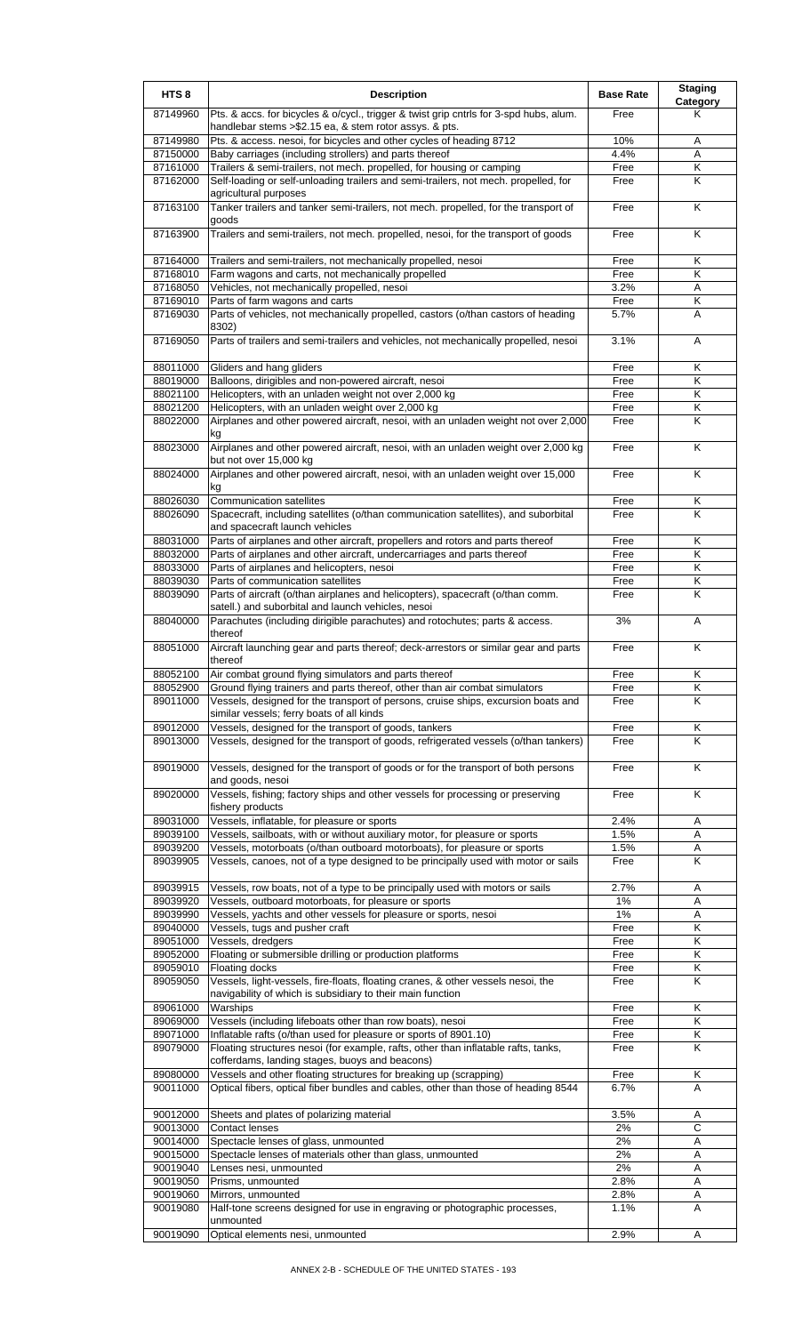| HTS <sub>8</sub>     | <b>Description</b>                                                                                                                                      | <b>Base Rate</b> | <b>Staging</b><br><b>Category</b> |
|----------------------|---------------------------------------------------------------------------------------------------------------------------------------------------------|------------------|-----------------------------------|
| 87149960             | Pts. & accs. for bicycles & o/cycl., trigger & twist grip cntrls for 3-spd hubs, alum.<br>handlebar stems > \$2.15 ea, & stem rotor assys. & pts.       | Free             | Κ                                 |
| 87149980             | Pts. & access. nesoi, for bicycles and other cycles of heading 8712                                                                                     | 10%              | Α                                 |
| 87150000             | Baby carriages (including strollers) and parts thereof                                                                                                  | 4.4%             | Α                                 |
| 87161000             | Trailers & semi-trailers, not mech. propelled, for housing or camping                                                                                   | Free             | Κ                                 |
| 87162000             | Self-loading or self-unloading trailers and semi-trailers, not mech. propelled, for<br>agricultural purposes                                            | Free             | K                                 |
| 87163100             | Tanker trailers and tanker semi-trailers, not mech. propelled, for the transport of<br>goods                                                            | Free             | Κ                                 |
| 87163900             | Trailers and semi-trailers, not mech. propelled, nesoi, for the transport of goods                                                                      | Free             | K                                 |
| 87164000             | Trailers and semi-trailers, not mechanically propelled, nesoi                                                                                           | Free             | Κ                                 |
| 87168010<br>87168050 | Farm wagons and carts, not mechanically propelled<br>Vehicles, not mechanically propelled, nesoi                                                        | Free<br>3.2%     | Κ<br>Α                            |
| 87169010             | Parts of farm wagons and carts                                                                                                                          | Free             | Κ                                 |
| 87169030             | Parts of vehicles, not mechanically propelled, castors (o/than castors of heading                                                                       | 5.7%             | A                                 |
| 87169050             | 8302)<br>Parts of trailers and semi-trailers and vehicles, not mechanically propelled, nesoi                                                            | 3.1%             | Α                                 |
| 88011000             | Gliders and hang gliders                                                                                                                                | Free             | Κ                                 |
| 88019000             | Balloons, dirigibles and non-powered aircraft, nesoi                                                                                                    | Free             | Κ                                 |
| 88021100             | Helicopters, with an unladen weight not over 2,000 kg                                                                                                   | Free             | Κ                                 |
| 88021200             | Helicopters, with an unladen weight over 2,000 kg                                                                                                       | Free             | Κ                                 |
| 88022000             | Airplanes and other powered aircraft, nesoi, with an unladen weight not over 2,000<br>kg                                                                | Free             | Κ                                 |
| 88023000             | Airplanes and other powered aircraft, nesoi, with an unladen weight over 2,000 kg<br>but not over 15,000 kg                                             | Free             | Κ                                 |
| 88024000             | Airplanes and other powered aircraft, nesoi, with an unladen weight over 15,000<br>kg                                                                   | Free             | K                                 |
| 88026030             | Communication satellites                                                                                                                                | Free             | Κ                                 |
| 88026090             | Spacecraft, including satellites (o/than communication satellites), and suborbital<br>and spacecraft launch vehicles                                    | Free             | K                                 |
| 88031000             | Parts of airplanes and other aircraft, propellers and rotors and parts thereof                                                                          | Free             | Κ                                 |
| 88032000             | Parts of airplanes and other aircraft, undercarriages and parts thereof                                                                                 | Free             | K                                 |
| 88033000             | Parts of airplanes and helicopters, nesoi                                                                                                               | Free             | Κ                                 |
| 88039030<br>88039090 | Parts of communication satellites<br>Parts of aircraft (o/than airplanes and helicopters), spacecraft (o/than comm.                                     | Free<br>Free     | Κ<br>K                            |
| 88040000             | satell.) and suborbital and launch vehicles, nesoi<br>Parachutes (including dirigible parachutes) and rotochutes; parts & access.                       | 3%               | Α                                 |
| 88051000             | thereof<br>Aircraft launching gear and parts thereof; deck-arrestors or similar gear and parts                                                          | Free             | K                                 |
| 88052100             | thereof<br>Air combat ground flying simulators and parts thereof                                                                                        | Free             |                                   |
| 88052900             | Ground flying trainers and parts thereof, other than air combat simulators                                                                              | Free             | Κ<br>Κ                            |
| 89011000             | Vessels, designed for the transport of persons, cruise ships, excursion boats and<br>similar vessels; ferry boats of all kinds                          | Free             | Κ                                 |
| 89012000<br>89013000 | Vessels, designed for the transport of goods, tankers<br>Vessels, designed for the transport of goods, refrigerated vessels (o/than tankers)            | Free<br>Free     | Κ<br>K                            |
| 89019000             | Vessels, designed for the transport of goods or for the transport of both persons                                                                       | Free             | Κ                                 |
| 89020000             | and goods, nesoi<br>Vessels, fishing; factory ships and other vessels for processing or preserving                                                      | Free             | Κ                                 |
|                      | fishery products                                                                                                                                        |                  |                                   |
| 89031000             | Vessels, inflatable, for pleasure or sports                                                                                                             | 2.4%             | Α                                 |
| 89039100<br>89039200 | Vessels, sailboats, with or without auxiliary motor, for pleasure or sports<br>Vessels, motorboats (o/than outboard motorboats), for pleasure or sports | 1.5%<br>1.5%     | A<br>Α                            |
| 89039905             | Vessels, canoes, not of a type designed to be principally used with motor or sails                                                                      | Free             | Κ                                 |
| 89039915             | Vessels, row boats, not of a type to be principally used with motors or sails                                                                           | 2.7%             | Α                                 |
| 89039920             | Vessels, outboard motorboats, for pleasure or sports                                                                                                    | 1%               | Α                                 |
| 89039990<br>89040000 | Vessels, yachts and other vessels for pleasure or sports, nesoi                                                                                         | 1%<br>Free       | Α<br>K                            |
| 89051000             | Vessels, tugs and pusher craft<br>Vessels, dredgers                                                                                                     | Free             | Κ                                 |
| 89052000             | Floating or submersible drilling or production platforms                                                                                                | Free             | Κ                                 |
| 89059010             | Floating docks                                                                                                                                          | Free             | Κ                                 |
| 89059050             | Vessels, light-vessels, fire-floats, floating cranes, & other vessels nesoi, the<br>navigability of which is subsidiary to their main function          | Free             | K                                 |
| 89061000             | Warships                                                                                                                                                | Free             | Κ                                 |
| 89069000             | Vessels (including lifeboats other than row boats), nesoi                                                                                               | Free             | Κ                                 |
| 89071000             | Inflatable rafts (o/than used for pleasure or sports of 8901.10)                                                                                        | Free             | Κ                                 |
| 89079000             | Floating structures nesoi (for example, rafts, other than inflatable rafts, tanks,<br>cofferdams, landing stages, buoys and beacons)                    | Free             | Κ                                 |
| 89080000             | Vessels and other floating structures for breaking up (scrapping)                                                                                       | Free             | Κ                                 |
| 90011000             | Optical fibers, optical fiber bundles and cables, other than those of heading 8544                                                                      | 6.7%             | A                                 |
| 90012000             | Sheets and plates of polarizing material                                                                                                                | 3.5%             | Α                                 |
| 90013000             | Contact lenses                                                                                                                                          | 2%               | С                                 |
| 90014000             | Spectacle lenses of glass, unmounted                                                                                                                    | 2%               | Α                                 |
| 90015000             | Spectacle lenses of materials other than glass, unmounted                                                                                               | 2%               | Α                                 |
| 90019040<br>90019050 | Lenses nesi, unmounted                                                                                                                                  | 2%<br>2.8%       | Α                                 |
| 90019060             | Prisms, unmounted<br>Mirrors, unmounted                                                                                                                 | 2.8%             | Α<br>Α                            |
| 90019080             | Half-tone screens designed for use in engraving or photographic processes,                                                                              | 1.1%             | A                                 |
|                      | unmounted                                                                                                                                               |                  |                                   |
| 90019090             | Optical elements nesi, unmounted                                                                                                                        | 2.9%             | A                                 |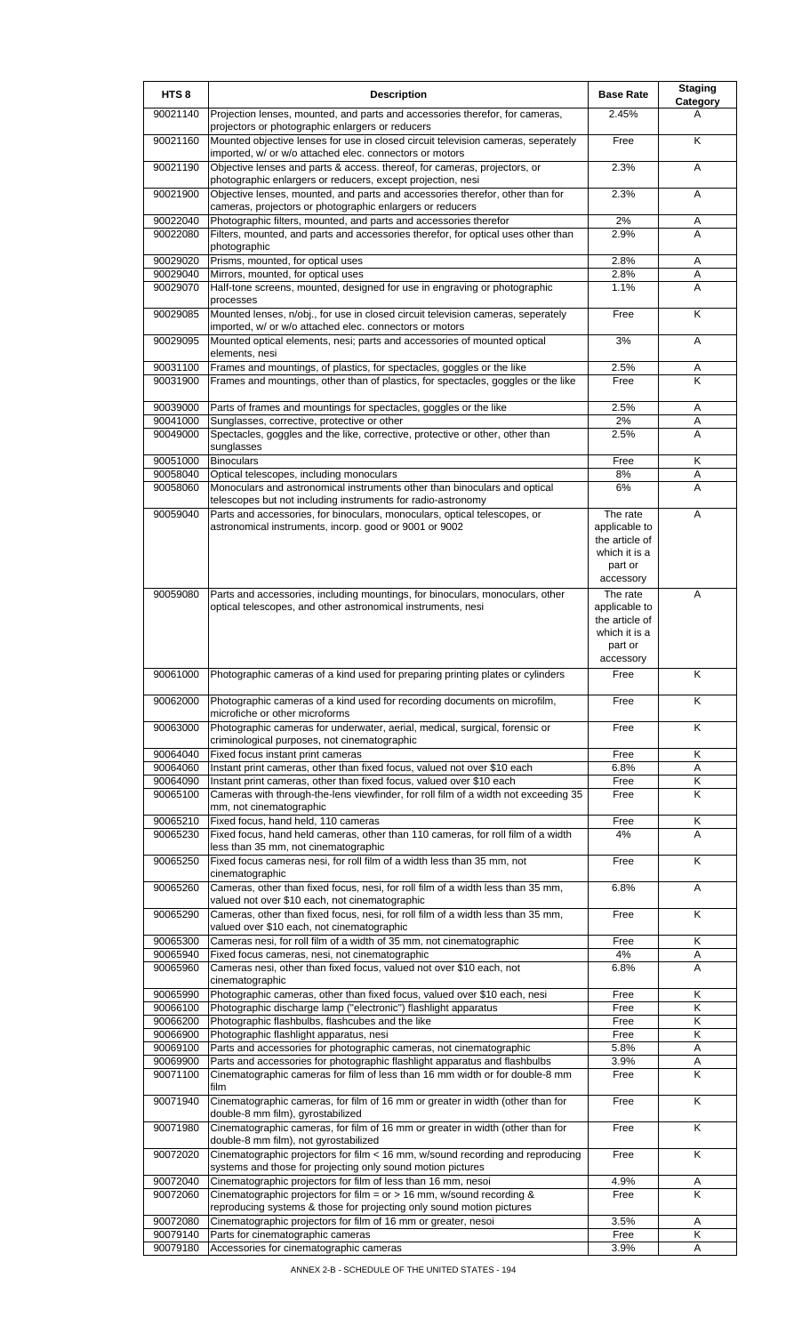| HTS <sub>8</sub>     | <b>Description</b>                                                                                                                                          | <b>Base Rate</b>                | <b>Staging</b><br>Category |
|----------------------|-------------------------------------------------------------------------------------------------------------------------------------------------------------|---------------------------------|----------------------------|
| 90021140             | Projection lenses, mounted, and parts and accessories therefor, for cameras,<br>projectors or photographic enlargers or reducers                            | 2.45%                           | A                          |
| 90021160             | Mounted objective lenses for use in closed circuit television cameras, seperately<br>imported, w/ or w/o attached elec. connectors or motors                | Free                            | K                          |
| 90021190             | Objective lenses and parts & access. thereof, for cameras, projectors, or                                                                                   | 2.3%                            | A                          |
| 90021900             | photographic enlargers or reducers, except projection, nesi<br>Objective lenses, mounted, and parts and accessories therefor, other than for                | 2.3%                            | A                          |
| 90022040             | cameras, projectors or photographic enlargers or reducers<br>Photographic filters, mounted, and parts and accessories therefor                              | 2%                              | Α                          |
| 90022080             | Filters, mounted, and parts and accessories therefor, for optical uses other than                                                                           | 2.9%                            | A                          |
| 90029020             | photographic<br>Prisms, mounted, for optical uses                                                                                                           | 2.8%                            | Α                          |
| 90029040             | Mirrors, mounted, for optical uses                                                                                                                          | 2.8%                            | Α                          |
| 90029070             | Half-tone screens, mounted, designed for use in engraving or photographic<br>processes                                                                      | 1.1%                            | A                          |
| 90029085             | Mounted lenses, n/obj., for use in closed circuit television cameras, seperately<br>imported, w/ or w/o attached elec. connectors or motors                 | Free                            | K                          |
| 90029095             | Mounted optical elements, nesi; parts and accessories of mounted optical<br>elements, nesi                                                                  | 3%                              | A                          |
| 90031100<br>90031900 | Frames and mountings, of plastics, for spectacles, goggles or the like<br>Frames and mountings, other than of plastics, for spectacles, goggles or the like | 2.5%<br>Free                    | Α<br>K                     |
|                      |                                                                                                                                                             |                                 |                            |
| 90039000             | Parts of frames and mountings for spectacles, goggles or the like                                                                                           | 2.5%                            | A                          |
| 90041000<br>90049000 | Sunglasses, corrective, protective or other<br>Spectacles, goggles and the like, corrective, protective or other, other than                                | 2%<br>2.5%                      | Α<br>A                     |
|                      | sunglasses                                                                                                                                                  |                                 |                            |
| 90051000<br>90058040 | <b>Binoculars</b><br>Optical telescopes, including monoculars                                                                                               | Free<br>8%                      | Κ<br>Α                     |
| 90058060             | Monoculars and astronomical instruments other than binoculars and optical                                                                                   | 6%                              | A                          |
|                      | telescopes but not including instruments for radio-astronomy                                                                                                |                                 |                            |
| 90059040             | Parts and accessories, for binoculars, monoculars, optical telescopes, or<br>astronomical instruments, incorp. good or 9001 or 9002                         | The rate<br>applicable to       | A                          |
|                      |                                                                                                                                                             | the article of                  |                            |
|                      |                                                                                                                                                             | which it is a<br>part or        |                            |
|                      |                                                                                                                                                             | accessory                       |                            |
| 90059080             | Parts and accessories, including mountings, for binoculars, monoculars, other                                                                               | The rate                        | A                          |
|                      | optical telescopes, and other astronomical instruments, nesi                                                                                                | applicable to<br>the article of |                            |
|                      |                                                                                                                                                             | which it is a                   |                            |
|                      |                                                                                                                                                             | part or<br>accessory            |                            |
| 90061000             | Photographic cameras of a kind used for preparing printing plates or cylinders                                                                              | Free                            | Κ                          |
| 90062000             | Photographic cameras of a kind used for recording documents on microfilm,<br>microfiche or other microforms                                                 | Free                            | K                          |
| 90063000             | Photographic cameras for underwater, aerial, medical, surgical, forensic or                                                                                 | Free                            | K                          |
| 90064040             | criminological purposes, not cinematographic<br>Fixed focus instant print cameras                                                                           | Free                            | Κ                          |
| 90064060             | Instant print cameras, other than fixed focus, valued not over \$10 each                                                                                    | 6.8%                            | A                          |
| 90064090             | Instant print cameras, other than fixed focus, valued over \$10 each                                                                                        | Free                            | K                          |
| 90065100             | Cameras with through-the-lens viewfinder, for roll film of a width not exceeding 35<br>mm, not cinematographic                                              | Free                            | K                          |
| 90065210<br>90065230 | Fixed focus, hand held, 110 cameras<br>Fixed focus, hand held cameras, other than 110 cameras, for roll film of a width                                     | Free<br>4%                      | Κ<br>A                     |
|                      | less than 35 mm, not cinematographic                                                                                                                        |                                 |                            |
| 90065250             | Fixed focus cameras nesi, for roll film of a width less than 35 mm, not<br>cinematographic                                                                  | Free                            | K                          |
| 90065260             | Cameras, other than fixed focus, nesi, for roll film of a width less than 35 mm,                                                                            | 6.8%                            | A                          |
| 90065290             | valued not over \$10 each, not cinematographic<br>Cameras, other than fixed focus, nesi, for roll film of a width less than 35 mm,                          | Free                            | Κ                          |
|                      | valued over \$10 each, not cinematographic                                                                                                                  |                                 |                            |
| 90065300<br>90065940 | Cameras nesi, for roll film of a width of 35 mm, not cinematographic<br>Fixed focus cameras, nesi, not cinematographic                                      | Free<br>4%                      | K<br>Α                     |
| 90065960             | Cameras nesi, other than fixed focus, valued not over \$10 each, not                                                                                        | 6.8%                            | A                          |
| 90065990             | cinematographic<br>Photographic cameras, other than fixed focus, valued over \$10 each, nesi                                                                | Free                            | Κ                          |
| 90066100             | Photographic discharge lamp ("electronic") flashlight apparatus                                                                                             | Free                            | K                          |
| 90066200             | Photographic flashbulbs, flashcubes and the like                                                                                                            | Free                            | Κ                          |
| 90066900<br>90069100 | Photographic flashlight apparatus, nesi<br>Parts and accessories for photographic cameras, not cinematographic                                              | Free<br>5.8%                    | Κ<br>Α                     |
| 90069900             | Parts and accessories for photographic flashlight apparatus and flashbulbs                                                                                  | 3.9%                            | Α                          |
| 90071100             | Cinematographic cameras for film of less than 16 mm width or for double-8 mm                                                                                | Free                            | K                          |
| 90071940             | film<br>Cinematographic cameras, for film of 16 mm or greater in width (other than for                                                                      | Free                            | K                          |
| 90071980             | double-8 mm film), gyrostabilized<br>Cinematographic cameras, for film of 16 mm or greater in width (other than for                                         | Free                            | K                          |
| 90072020             | double-8 mm film), not gyrostabilized<br>Cinematographic projectors for film < 16 mm, w/sound recording and reproducing                                     | Free                            | K                          |
|                      | systems and those for projecting only sound motion pictures                                                                                                 |                                 |                            |
| 90072040             | Cinematographic projectors for film of less than 16 mm, nesoi                                                                                               | 4.9%                            | Α                          |
| 90072060             | Cinematographic projectors for film = $or$ > 16 mm, w/sound recording &<br>reproducing systems & those for projecting only sound motion pictures            | Free                            | K                          |
| 90072080             | Cinematographic projectors for film of 16 mm or greater, nesoi                                                                                              | 3.5%                            | Α                          |
| 90079140<br>90079180 | Parts for cinematographic cameras<br>Accessories for cinematographic cameras                                                                                | Free<br>3.9%                    | Κ<br>A                     |
|                      |                                                                                                                                                             |                                 |                            |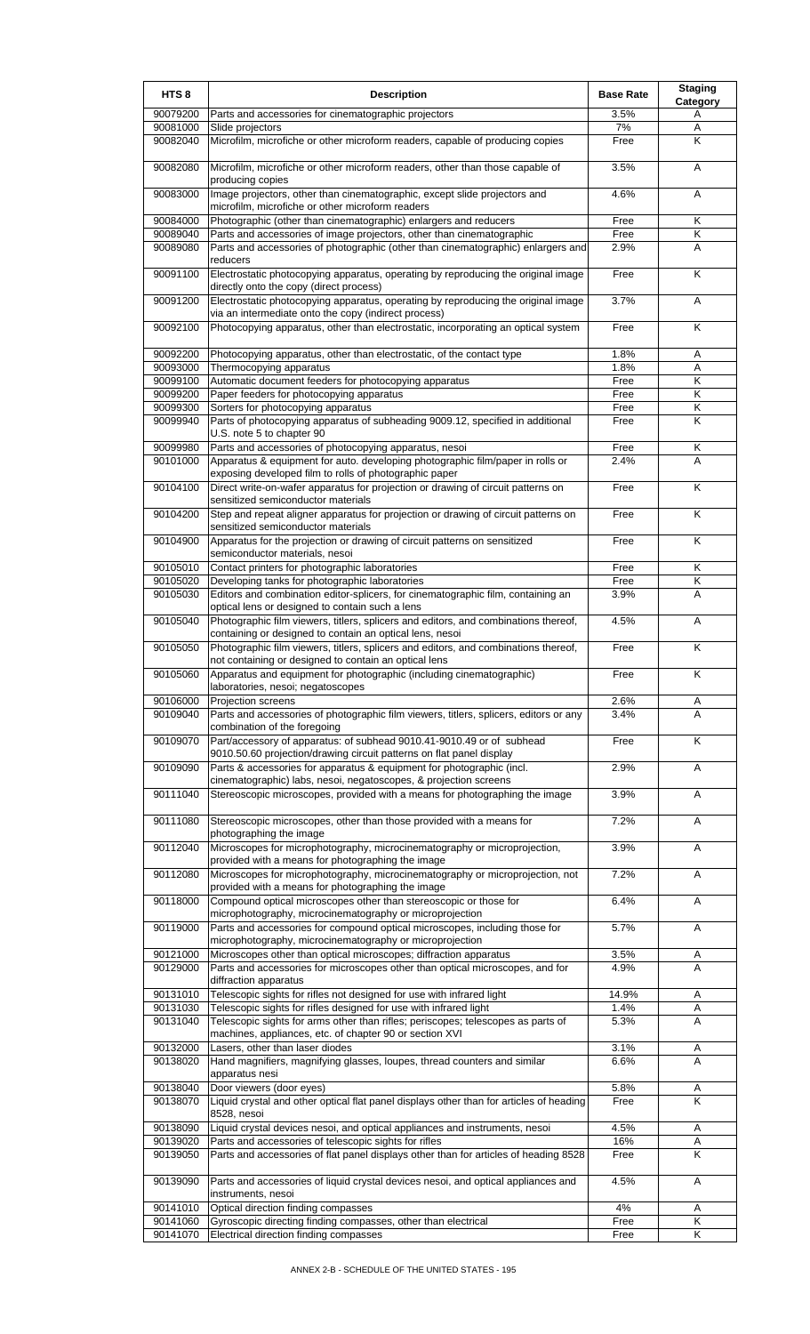| HTS <sub>8</sub>     | <b>Description</b>                                                                                                                                                            | <b>Base Rate</b> | <b>Staging</b><br><b>Category</b> |
|----------------------|-------------------------------------------------------------------------------------------------------------------------------------------------------------------------------|------------------|-----------------------------------|
| 90079200             | Parts and accessories for cinematographic projectors                                                                                                                          | 3.5%             | A                                 |
| 90081000             | Slide projectors                                                                                                                                                              | 7%               | Α                                 |
| 90082040             | Microfilm, microfiche or other microform readers, capable of producing copies                                                                                                 | Free             | K                                 |
| 90082080             | Microfilm, microfiche or other microform readers, other than those capable of<br>producing copies                                                                             | 3.5%             | Α                                 |
| 90083000             | Image projectors, other than cinematographic, except slide projectors and<br>microfilm, microfiche or other microform readers                                                 | 4.6%             | A                                 |
| 90084000             | Photographic (other than cinematographic) enlargers and reducers                                                                                                              | Free             | Κ                                 |
| 90089040             | Parts and accessories of image projectors, other than cinematographic                                                                                                         | Free             | Κ                                 |
| 90089080             | Parts and accessories of photographic (other than cinematographic) enlargers and                                                                                              | 2.9%             | A                                 |
| 90091100             | reducers<br>Electrostatic photocopying apparatus, operating by reproducing the original image<br>directly onto the copy (direct process)                                      | Free             | K                                 |
| 90091200             | Electrostatic photocopying apparatus, operating by reproducing the original image<br>via an intermediate onto the copy (indirect process)                                     | 3.7%             | A                                 |
| 90092100             | Photocopying apparatus, other than electrostatic, incorporating an optical system                                                                                             | Free             | Κ                                 |
| 90092200             | Photocopying apparatus, other than electrostatic, of the contact type                                                                                                         | 1.8%             | A                                 |
| 90093000             | Thermocopying apparatus                                                                                                                                                       | 1.8%             | Α                                 |
| 90099100             | Automatic document feeders for photocopying apparatus                                                                                                                         | Free             | K                                 |
| 90099200             | Paper feeders for photocopying apparatus                                                                                                                                      | Free             | $\overline{\mathsf{K}}$           |
| 90099300             | Sorters for photocopying apparatus                                                                                                                                            | Free             | Κ                                 |
| 90099940             | Parts of photocopying apparatus of subheading 9009.12, specified in additional<br>U.S. note 5 to chapter 90                                                                   | Free             | K                                 |
| 90099980             | Parts and accessories of photocopying apparatus, nesoi                                                                                                                        | Free             | Κ                                 |
| 90101000             | Apparatus & equipment for auto. developing photographic film/paper in rolls or                                                                                                | 2.4%             | A                                 |
|                      | exposing developed film to rolls of photographic paper                                                                                                                        |                  |                                   |
| 90104100             | Direct write-on-wafer apparatus for projection or drawing of circuit patterns on                                                                                              | Free             | K                                 |
|                      | sensitized semiconductor materials                                                                                                                                            |                  |                                   |
| 90104200             | Step and repeat aligner apparatus for projection or drawing of circuit patterns on<br>sensitized semiconductor materials                                                      | Free             | K                                 |
| 90104900             | Apparatus for the projection or drawing of circuit patterns on sensitized<br>semiconductor materials, nesoi                                                                   | Free             | K                                 |
| 90105010             | Contact printers for photographic laboratories                                                                                                                                | Free             | Κ                                 |
| 90105020             | Developing tanks for photographic laboratories                                                                                                                                | Free             | Κ                                 |
| 90105030             | Editors and combination editor-splicers, for cinematographic film, containing an<br>optical lens or designed to contain such a lens                                           | 3.9%             | A                                 |
| 90105040             | Photographic film viewers, titlers, splicers and editors, and combinations thereof,<br>containing or designed to contain an optical lens, nesoi                               | 4.5%             | Α                                 |
| 90105050             | Photographic film viewers, titlers, splicers and editors, and combinations thereof,<br>not containing or designed to contain an optical lens                                  | Free             | K                                 |
| 90105060             | Apparatus and equipment for photographic (including cinematographic)<br>laboratories, nesoi; negatoscopes                                                                     | Free             | Κ                                 |
| 90106000             | Projection screens                                                                                                                                                            | 2.6%             | A                                 |
| 90109040             | Parts and accessories of photographic film viewers, titlers, splicers, editors or any                                                                                         | 3.4%             | A                                 |
| 90109070             | combination of the foregoing<br>Part/accessory of apparatus: of subhead 9010.41-9010.49 or of subhead<br>9010.50.60 projection/drawing circuit patterns on flat panel display | Free             | K                                 |
| 90109090             | Parts & accessories for apparatus & equipment for photographic (incl.                                                                                                         | 2.9%             | Α                                 |
| 90111040             | cinematographic) labs, nesoi, negatoscopes, & projection screens<br>Stereoscopic microscopes, provided with a means for photographing the image                               | 3.9%             | Α                                 |
| 90111080             | Stereoscopic microscopes, other than those provided with a means for                                                                                                          | 7.2%             | A                                 |
| 90112040             | photographing the image<br>Microscopes for microphotography, microcinematography or microprojection,                                                                          | 3.9%             | A                                 |
| 90112080             | provided with a means for photographing the image<br>Microscopes for microphotography, microcinematography or microprojection, not                                            | 7.2%             | Α                                 |
|                      | provided with a means for photographing the image                                                                                                                             |                  |                                   |
| 90118000             | Compound optical microscopes other than stereoscopic or those for<br>microphotography, microcinematography or microprojection                                                 | 6.4%             | Α                                 |
| 90119000             | Parts and accessories for compound optical microscopes, including those for<br>microphotography, microcinematography or microprojection                                       | 5.7%             | Α                                 |
| 90121000             | Microscopes other than optical microscopes; diffraction apparatus                                                                                                             | 3.5%             | A                                 |
| 90129000             | Parts and accessories for microscopes other than optical microscopes, and for<br>diffraction apparatus                                                                        | 4.9%             | A                                 |
| 90131010             | Telescopic sights for rifles not designed for use with infrared light                                                                                                         | 14.9%            | Α                                 |
| 90131030             | Telescopic sights for rifles designed for use with infrared light                                                                                                             | 1.4%             | Α                                 |
| 90131040             | Telescopic sights for arms other than rifles; periscopes; telescopes as parts of<br>machines, appliances, etc. of chapter 90 or section XVI                                   | 5.3%             | A                                 |
| 90132000             | Lasers, other than laser diodes                                                                                                                                               | 3.1%             | Α                                 |
| 90138020             | Hand magnifiers, magnifying glasses, loupes, thread counters and similar<br>apparatus nesi                                                                                    | 6.6%             | A                                 |
| 90138040<br>90138070 | Door viewers (door eyes)<br>Liquid crystal and other optical flat panel displays other than for articles of heading                                                           | 5.8%<br>Free     | Α<br>$\overline{\mathsf{K}}$      |
|                      | 8528, nesoi                                                                                                                                                                   |                  |                                   |
| 90138090<br>90139020 | Liquid crystal devices nesoi, and optical appliances and instruments, nesoi<br>Parts and accessories of telescopic sights for rifles                                          | 4.5%<br>16%      | Α<br>Α                            |
| 90139050             | Parts and accessories of flat panel displays other than for articles of heading 8528                                                                                          | Free             | Κ                                 |
| 90139090             | Parts and accessories of liquid crystal devices nesoi, and optical appliances and                                                                                             | 4.5%             | Α                                 |
|                      | instruments, nesoi                                                                                                                                                            |                  |                                   |
| 90141010             | Optical direction finding compasses                                                                                                                                           | 4%               | Α                                 |
| 90141060             | Gyroscopic directing finding compasses, other than electrical                                                                                                                 | Free             | Κ<br>Κ                            |
| 90141070             | Electrical direction finding compasses                                                                                                                                        | Free             |                                   |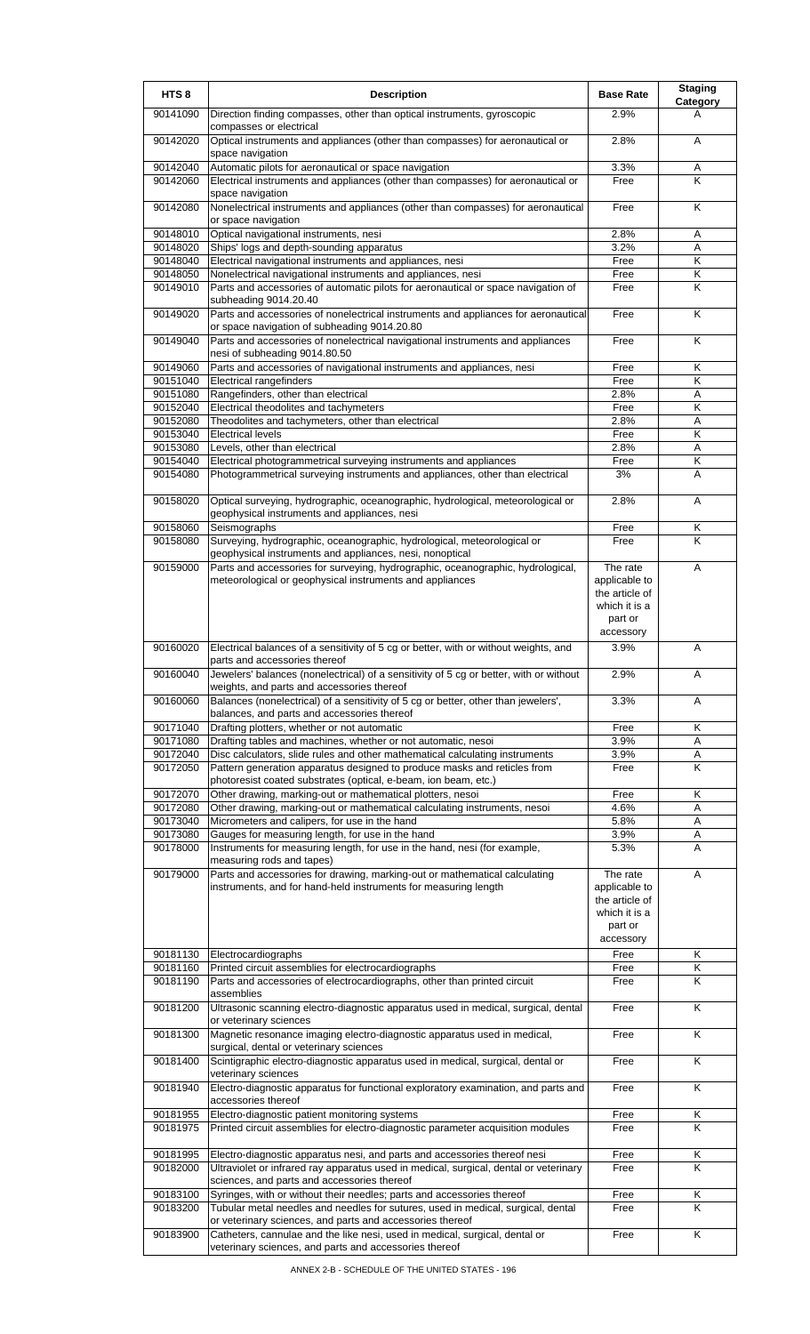| HTS <sub>8</sub>     | <b>Description</b>                                                                                                                            | <b>Base Rate</b>                                                                     | <b>Staging</b><br>Category |
|----------------------|-----------------------------------------------------------------------------------------------------------------------------------------------|--------------------------------------------------------------------------------------|----------------------------|
| 90141090             | Direction finding compasses, other than optical instruments, gyroscopic<br>compasses or electrical                                            | 2.9%                                                                                 | A                          |
| 90142020             | Optical instruments and appliances (other than compasses) for aeronautical or<br>space navigation                                             | 2.8%                                                                                 | A                          |
| 90142040             | Automatic pilots for aeronautical or space navigation                                                                                         | 3.3%                                                                                 | Α                          |
| 90142060             | Electrical instruments and appliances (other than compasses) for aeronautical or<br>space navigation                                          | Free                                                                                 | K                          |
| 90142080             | Nonelectrical instruments and appliances (other than compasses) for aeronautical<br>or space navigation                                       | Free                                                                                 | Κ                          |
| 90148010             | Optical navigational instruments, nesi                                                                                                        | 2.8%                                                                                 | Α                          |
| 90148020             | Ships' logs and depth-sounding apparatus                                                                                                      | 3.2%                                                                                 | Α                          |
| 90148040             | Electrical navigational instruments and appliances, nesi                                                                                      | Free                                                                                 | K                          |
| 90148050<br>90149010 | Nonelectrical navigational instruments and appliances, nesi                                                                                   | Free                                                                                 | Κ<br>K                     |
|                      | Parts and accessories of automatic pilots for aeronautical or space navigation of<br>subheading 9014.20.40                                    | Free                                                                                 |                            |
| 90149020             | Parts and accessories of nonelectrical instruments and appliances for aeronautical<br>or space navigation of subheading 9014.20.80            | Free                                                                                 | K                          |
| 90149040             | Parts and accessories of nonelectrical navigational instruments and appliances<br>nesi of subheading 9014.80.50                               | Free                                                                                 | K                          |
| 90149060             | Parts and accessories of navigational instruments and appliances, nesi                                                                        | Free                                                                                 | Κ                          |
| 90151040<br>90151080 | Electrical rangefinders<br>Rangefinders, other than electrical                                                                                | Free                                                                                 | K                          |
| 90152040             | Electrical theodolites and tachymeters                                                                                                        | 2.8%<br>Free                                                                         | A<br>Κ                     |
| 90152080             | Theodolites and tachymeters, other than electrical                                                                                            | 2.8%                                                                                 | Α                          |
| 90153040             | <b>Electrical levels</b>                                                                                                                      | Free                                                                                 | $\overline{\mathsf{K}}$    |
| 90153080             | Levels, other than electrical                                                                                                                 | 2.8%                                                                                 | A                          |
| 90154040             | Electrical photogrammetrical surveying instruments and appliances                                                                             | Free                                                                                 | Κ                          |
| 90154080             | Photogrammetrical surveying instruments and appliances, other than electrical                                                                 | 3%                                                                                   | A                          |
| 90158020             | Optical surveying, hydrographic, oceanographic, hydrological, meteorological or<br>geophysical instruments and appliances, nesi               | 2.8%                                                                                 | A                          |
| 90158060             | Seismographs                                                                                                                                  | Free                                                                                 | Κ                          |
| 90158080             | Surveying, hydrographic, oceanographic, hydrological, meteorological or<br>geophysical instruments and appliances, nesi, nonoptical           | Free                                                                                 | K                          |
| 90159000             | Parts and accessories for surveying, hydrographic, oceanographic, hydrological,<br>meteorological or geophysical instruments and appliances   | The rate<br>applicable to<br>the article of<br>which it is a<br>part or              | A                          |
| 90160020             | Electrical balances of a sensitivity of 5 cg or better, with or without weights, and                                                          | accessory<br>3.9%                                                                    | A                          |
| 90160040             | parts and accessories thereof<br>Jewelers' balances (nonelectrical) of a sensitivity of 5 cg or better, with or without                       | 2.9%                                                                                 | A                          |
| 90160060             | weights, and parts and accessories thereof<br>Balances (nonelectrical) of a sensitivity of 5 cg or better, other than jewelers',              | 3.3%                                                                                 | Α                          |
|                      | balances, and parts and accessories thereof                                                                                                   |                                                                                      |                            |
| 90171040             | Drafting plotters, whether or not automatic                                                                                                   | Free                                                                                 | K                          |
| 90171080<br>90172040 | Drafting tables and machines, whether or not automatic, nesoi<br>Disc calculators, slide rules and other mathematical calculating instruments | 3.9%<br>3.9%                                                                         | Α                          |
| 90172050             | Pattern generation apparatus designed to produce masks and reticles from<br>photoresist coated substrates (optical, e-beam, ion beam, etc.)   | Free                                                                                 | Α<br>K                     |
| 90172070             | Other drawing, marking-out or mathematical plotters, nesoi                                                                                    | Free                                                                                 | Κ                          |
| 90172080             | Other drawing, marking-out or mathematical calculating instruments, nesoi                                                                     | 4.6%                                                                                 | Α                          |
| 90173040             | Micrometers and calipers, for use in the hand                                                                                                 | 5.8%                                                                                 | Α                          |
| 90173080             | Gauges for measuring length, for use in the hand                                                                                              | 3.9%                                                                                 | Α                          |
| 90178000             | Instruments for measuring length, for use in the hand, nesi (for example,<br>measuring rods and tapes)                                        | 5.3%                                                                                 | A                          |
| 90179000             | Parts and accessories for drawing, marking-out or mathematical calculating<br>instruments, and for hand-held instruments for measuring length | The rate<br>applicable to<br>the article of<br>which it is a<br>part or<br>accessory | Α                          |
| 90181130             | Electrocardiographs                                                                                                                           | Free                                                                                 | Κ                          |
| 90181160             | Printed circuit assemblies for electrocardiographs                                                                                            | Free                                                                                 | Κ                          |
| 90181190             | Parts and accessories of electrocardiographs, other than printed circuit<br>assemblies                                                        | Free                                                                                 | K                          |
| 90181200             | Ultrasonic scanning electro-diagnostic apparatus used in medical, surgical, dental<br>or veterinary sciences                                  | Free                                                                                 | K                          |
| 90181300             | Magnetic resonance imaging electro-diagnostic apparatus used in medical,<br>surgical, dental or veterinary sciences                           | Free                                                                                 | K                          |
| 90181400             | Scintigraphic electro-diagnostic apparatus used in medical, surgical, dental or<br>veterinary sciences                                        | Free                                                                                 | K                          |
| 90181940             | Electro-diagnostic apparatus for functional exploratory examination, and parts and<br>accessories thereof                                     | Free                                                                                 | Κ                          |
| 90181955<br>90181975 | Electro-diagnostic patient monitoring systems<br>Printed circuit assemblies for electro-diagnostic parameter acquisition modules              | Free<br>Free                                                                         | Κ<br>Κ                     |
| 90181995             | Electro-diagnostic apparatus nesi, and parts and accessories thereof nesi                                                                     | Free                                                                                 | Κ                          |
| 90182000             | Ultraviolet or infrared ray apparatus used in medical, surgical, dental or veterinary<br>sciences, and parts and accessories thereof          | Free                                                                                 | K                          |
| 90183100             | Syringes, with or without their needles; parts and accessories thereof                                                                        | Free                                                                                 | Κ                          |
| 90183200             | Tubular metal needles and needles for sutures, used in medical, surgical, dental<br>or veterinary sciences, and parts and accessories thereof | Free                                                                                 | Κ                          |
| 90183900             | Catheters, cannulae and the like nesi, used in medical, surgical, dental or<br>veterinary sciences, and parts and accessories thereof         | Free                                                                                 | K                          |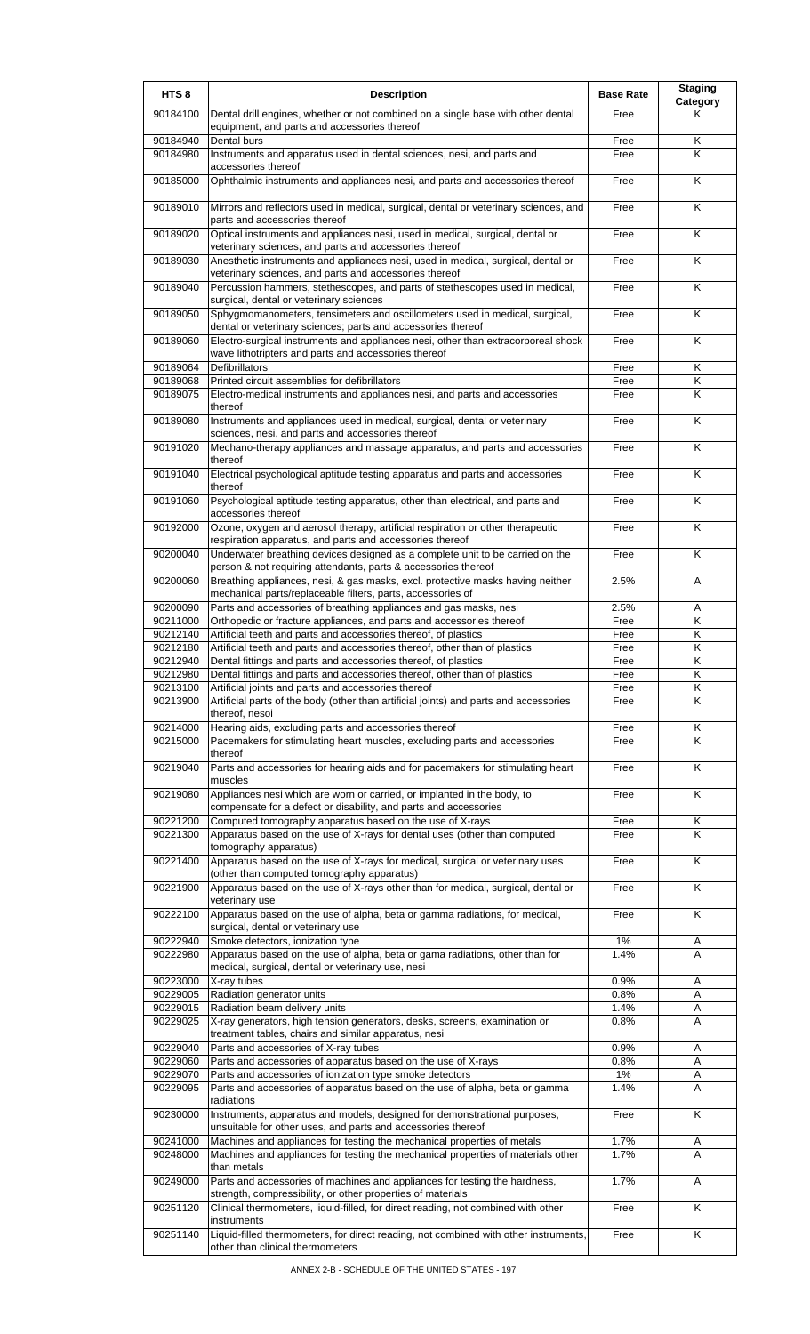| HTS <sub>8</sub>     | <b>Description</b>                                                                                                                                             | <b>Base Rate</b> | <b>Staging</b><br>Category |
|----------------------|----------------------------------------------------------------------------------------------------------------------------------------------------------------|------------------|----------------------------|
| 90184100             | Dental drill engines, whether or not combined on a single base with other dental<br>equipment, and parts and accessories thereof                               | Free             | Κ                          |
| 90184940             | Dental burs                                                                                                                                                    | Free             | Κ                          |
| 90184980             | Instruments and apparatus used in dental sciences, nesi, and parts and<br>accessories thereof                                                                  | Free             | K                          |
| 90185000             | Ophthalmic instruments and appliances nesi, and parts and accessories thereof                                                                                  | Free             | K                          |
| 90189010             | Mirrors and reflectors used in medical, surgical, dental or veterinary sciences, and<br>parts and accessories thereof                                          | Free             | K                          |
| 90189020             | Optical instruments and appliances nesi, used in medical, surgical, dental or<br>veterinary sciences, and parts and accessories thereof                        | Free             | K                          |
| 90189030             | Anesthetic instruments and appliances nesi, used in medical, surgical, dental or<br>veterinary sciences, and parts and accessories thereof                     | Free             | K                          |
| 90189040             | Percussion hammers, stethescopes, and parts of stethescopes used in medical,<br>surgical, dental or veterinary sciences                                        | Free             | K                          |
| 90189050             | Sphygmomanometers, tensimeters and oscillometers used in medical, surgical,<br>dental or veterinary sciences; parts and accessories thereof                    | Free             | K                          |
| 90189060             | Electro-surgical instruments and appliances nesi, other than extracorporeal shock<br>wave lithotripters and parts and accessories thereof                      | Free             | K                          |
| 90189064             | <b>Defibrillators</b>                                                                                                                                          | Free             | Κ                          |
| 90189068<br>90189075 | Printed circuit assemblies for defibrillators<br>Electro-medical instruments and appliances nesi, and parts and accessories                                    | Free<br>Free     | Κ<br>Κ                     |
| 90189080             | thereof<br>Instruments and appliances used in medical, surgical, dental or veterinary<br>sciences, nesi, and parts and accessories thereof                     | Free             | K                          |
| 90191020             | Mechano-therapy appliances and massage apparatus, and parts and accessories<br>thereof                                                                         | Free             | Κ                          |
| 90191040             | Electrical psychological aptitude testing apparatus and parts and accessories<br>thereof                                                                       | Free             | K                          |
| 90191060             | Psychological aptitude testing apparatus, other than electrical, and parts and<br>accessories thereof                                                          | Free             | K                          |
| 90192000             | Ozone, oxygen and aerosol therapy, artificial respiration or other therapeutic<br>respiration apparatus, and parts and accessories thereof                     | Free             | Κ                          |
| 90200040             | Underwater breathing devices designed as a complete unit to be carried on the<br>person & not requiring attendants, parts & accessories thereof                | Free             | K                          |
| 90200060             | Breathing appliances, nesi, & gas masks, excl. protective masks having neither<br>mechanical parts/replaceable filters, parts, accessories of                  | 2.5%             | Α                          |
| 90200090<br>90211000 | Parts and accessories of breathing appliances and gas masks, nesi<br>Orthopedic or fracture appliances, and parts and accessories thereof                      | 2.5%<br>Free     | Α<br>Κ                     |
| 90212140             | Artificial teeth and parts and accessories thereof, of plastics                                                                                                | Free             | Κ                          |
| 90212180             | Artificial teeth and parts and accessories thereof, other than of plastics                                                                                     | Free             | Κ                          |
| 90212940             | Dental fittings and parts and accessories thereof, of plastics                                                                                                 | Free             | Κ                          |
| 90212980             | Dental fittings and parts and accessories thereof, other than of plastics                                                                                      | Free             | Κ                          |
| 90213100<br>90213900 | Artificial joints and parts and accessories thereof<br>Artificial parts of the body (other than artificial joints) and parts and accessories<br>thereof, nesoi | Free<br>Free     | Κ<br>Κ                     |
| 90214000             | Hearing aids, excluding parts and accessories thereof                                                                                                          | Free             | Κ                          |
| 90215000             | Pacemakers for stimulating heart muscles, excluding parts and accessories<br>thereof                                                                           | Free             | K                          |
| 90219040             | Parts and accessories for hearing aids and for pacemakers for stimulating heart<br>muscles                                                                     | Free             | K                          |
| 90219080             | Appliances nesi which are worn or carried, or implanted in the body, to<br>compensate for a defect or disability, and parts and accessories                    | Free             | K                          |
| 90221200             | Computed tomography apparatus based on the use of X-rays                                                                                                       | Free             | Κ                          |
| 90221300             | Apparatus based on the use of X-rays for dental uses (other than computed<br>tomography apparatus)                                                             | Free             | Κ                          |
| 90221400             | Apparatus based on the use of X-rays for medical, surgical or veterinary uses<br>(other than computed tomography apparatus)                                    | Free             | Κ                          |
| 90221900             | Apparatus based on the use of X-rays other than for medical, surgical, dental or<br>veterinary use                                                             | Free             | K                          |
| 90222100             | Apparatus based on the use of alpha, beta or gamma radiations, for medical,<br>surgical, dental or veterinary use                                              | Free             | Κ                          |
| 90222940<br>90222980 | Smoke detectors, ionization type<br>Apparatus based on the use of alpha, beta or gama radiations, other than for                                               | 1%<br>1.4%       | Α<br>A                     |
|                      | medical, surgical, dental or veterinary use, nesi                                                                                                              |                  |                            |
| 90223000<br>90229005 | X-ray tubes<br>Radiation generator units                                                                                                                       | 0.9%<br>0.8%     | A                          |
| 90229015             | Radiation beam delivery units                                                                                                                                  | 1.4%             | Α<br>Α                     |
| 90229025             | X-ray generators, high tension generators, desks, screens, examination or<br>treatment tables, chairs and similar apparatus, nesi                              | 0.8%             | Α                          |
| 90229040             | Parts and accessories of X-ray tubes                                                                                                                           | 0.9%             | Α                          |
| 90229060             | Parts and accessories of apparatus based on the use of X-rays                                                                                                  | 0.8%             | Α                          |
| 90229070<br>90229095 | Parts and accessories of ionization type smoke detectors<br>Parts and accessories of apparatus based on the use of alpha, beta or gamma                        | 1%<br>1.4%       | Α<br>A                     |
| 90230000             | radiations<br>Instruments, apparatus and models, designed for demonstrational purposes,<br>unsuitable for other uses, and parts and accessories thereof        | Free             | K                          |
| 90241000             | Machines and appliances for testing the mechanical properties of metals                                                                                        | 1.7%             | Α                          |
| 90248000             | Machines and appliances for testing the mechanical properties of materials other<br>than metals                                                                | 1.7%             | A                          |
| 90249000             | Parts and accessories of machines and appliances for testing the hardness,<br>strength, compressibility, or other properties of materials                      | 1.7%             | A                          |
| 90251120             | Clinical thermometers, liquid-filled, for direct reading, not combined with other<br>instruments                                                               | Free             | Κ                          |
| 90251140             | Liquid-filled thermometers, for direct reading, not combined with other instruments,<br>other than clinical thermometers                                       | Free             | K                          |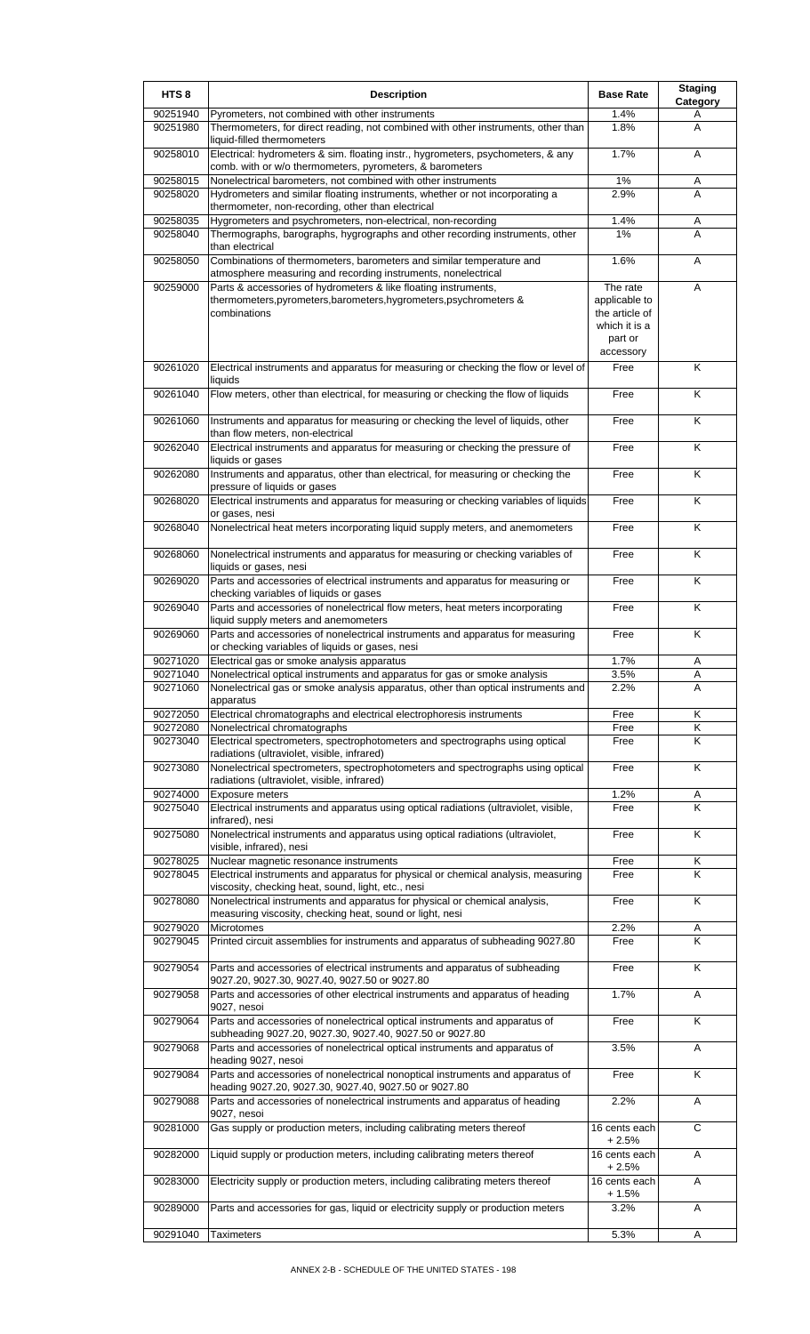| HTS <sub>8</sub>     | <b>Description</b>                                                                                                                                                                                                     | <b>Base Rate</b>                                                        | <b>Staging</b><br>Category   |
|----------------------|------------------------------------------------------------------------------------------------------------------------------------------------------------------------------------------------------------------------|-------------------------------------------------------------------------|------------------------------|
| 90251940             | Pyrometers, not combined with other instruments                                                                                                                                                                        | 1.4%                                                                    | A                            |
| 90251980             | Thermometers, for direct reading, not combined with other instruments, other than<br>liquid-filled thermometers                                                                                                        | 1.8%                                                                    | A                            |
| 90258010             | Electrical: hydrometers & sim. floating instr., hygrometers, psychometers, & any<br>comb. with or w/o thermometers, pyrometers, & barometers                                                                           | 1.7%                                                                    | A                            |
| 90258015             | Nonelectrical barometers, not combined with other instruments                                                                                                                                                          | 1%                                                                      | Α                            |
| 90258020             | Hydrometers and similar floating instruments, whether or not incorporating a<br>thermometer, non-recording, other than electrical                                                                                      | 2.9%                                                                    | A                            |
| 90258035<br>90258040 | Hygrometers and psychrometers, non-electrical, non-recording<br>Thermographs, barographs, hygrographs and other recording instruments, other                                                                           | 1.4%<br>1%                                                              | Α<br>A                       |
|                      | than electrical                                                                                                                                                                                                        |                                                                         |                              |
| 90258050             | Combinations of thermometers, barometers and similar temperature and                                                                                                                                                   | 1.6%                                                                    | A                            |
| 90259000             | atmosphere measuring and recording instruments, nonelectrical<br>Parts & accessories of hydrometers & like floating instruments,<br>thermometers, pyrometers, barometers, hygrometers, psychrometers &<br>combinations | The rate<br>applicable to<br>the article of<br>which it is a<br>part or | Α                            |
| 90261020             | Electrical instruments and apparatus for measuring or checking the flow or level of                                                                                                                                    | accessory<br>Free                                                       | K                            |
|                      | liquids                                                                                                                                                                                                                |                                                                         |                              |
| 90261040             | Flow meters, other than electrical, for measuring or checking the flow of liquids                                                                                                                                      | Free                                                                    | K                            |
| 90261060             | Instruments and apparatus for measuring or checking the level of liquids, other<br>than flow meters, non-electrical                                                                                                    | Free                                                                    | K                            |
| 90262040             | Electrical instruments and apparatus for measuring or checking the pressure of<br>liquids or gases                                                                                                                     | Free                                                                    | Κ                            |
| 90262080             | Instruments and apparatus, other than electrical, for measuring or checking the<br>pressure of liquids or gases                                                                                                        | Free                                                                    | K                            |
| 90268020             | Electrical instruments and apparatus for measuring or checking variables of liquids<br>or gases, nesi                                                                                                                  | Free                                                                    | Κ                            |
| 90268040             | Nonelectrical heat meters incorporating liquid supply meters, and anemometers                                                                                                                                          | Free                                                                    | K                            |
| 90268060             | Nonelectrical instruments and apparatus for measuring or checking variables of<br>liquids or gases, nesi                                                                                                               | Free                                                                    | K                            |
| 90269020             | Parts and accessories of electrical instruments and apparatus for measuring or<br>checking variables of liquids or gases                                                                                               | Free                                                                    | K                            |
| 90269040             | Parts and accessories of nonelectrical flow meters, heat meters incorporating<br>liquid supply meters and anemometers                                                                                                  | Free                                                                    | K                            |
| 90269060             | Parts and accessories of nonelectrical instruments and apparatus for measuring<br>or checking variables of liquids or gases, nesi                                                                                      | Free                                                                    | K                            |
| 90271020             | Electrical gas or smoke analysis apparatus                                                                                                                                                                             | 1.7%                                                                    | Α                            |
| 90271040             | Nonelectrical optical instruments and apparatus for gas or smoke analysis                                                                                                                                              | $3.5\%$                                                                 |                              |
| 90271060             | Nonelectrical gas or smoke analysis apparatus, other than optical instruments and<br>apparatus                                                                                                                         | 2.2%                                                                    | A                            |
| 90272050<br>90272080 | Electrical chromatographs and electrical electrophoresis instruments<br>Nonelectrical chromatographs                                                                                                                   | Free<br>Free                                                            | Κ<br>Κ                       |
| 90273040             | Electrical spectrometers, spectrophotometers and spectrographs using optical<br>radiations (ultraviolet, visible, infrared)                                                                                            | Free                                                                    | Κ                            |
| 90273080             | Nonelectrical spectrometers, spectrophotometers and spectrographs using optical<br>radiations (ultraviolet, visible, infrared)                                                                                         | Free                                                                    | K                            |
| 90274000             | Exposure meters                                                                                                                                                                                                        | 1.2%                                                                    | A                            |
| 90275040             | Electrical instruments and apparatus using optical radiations (ultraviolet, visible,<br>infrared), nesi                                                                                                                | Free                                                                    | $\overline{\mathsf{K}}$      |
| 90275080             | Nonelectrical instruments and apparatus using optical radiations (ultraviolet,<br>visible, infrared), nesi                                                                                                             | Free                                                                    | K                            |
| 90278025             | Nuclear magnetic resonance instruments                                                                                                                                                                                 | Free                                                                    | Κ                            |
| 90278045             | Electrical instruments and apparatus for physical or chemical analysis, measuring<br>viscosity, checking heat, sound, light, etc., nesi                                                                                | Free                                                                    | Κ                            |
| 90278080             | Nonelectrical instruments and apparatus for physical or chemical analysis,<br>measuring viscosity, checking heat, sound or light, nesi                                                                                 | Free                                                                    | K                            |
| 90279020<br>90279045 | Microtomes<br>Printed circuit assemblies for instruments and apparatus of subheading 9027.80                                                                                                                           | 2.2%<br>Free                                                            | Α<br>$\overline{\mathsf{K}}$ |
| 90279054             | Parts and accessories of electrical instruments and apparatus of subheading                                                                                                                                            | Free                                                                    | K                            |
| 90279058             | 9027.20, 9027.30, 9027.40, 9027.50 or 9027.80<br>Parts and accessories of other electrical instruments and apparatus of heading                                                                                        | 1.7%                                                                    | Α                            |
|                      | 9027, nesoi                                                                                                                                                                                                            |                                                                         |                              |
| 90279064             | Parts and accessories of nonelectrical optical instruments and apparatus of<br>subheading 9027.20, 9027.30, 9027.40, 9027.50 or 9027.80                                                                                | Free                                                                    | K                            |
| 90279068             | Parts and accessories of nonelectrical optical instruments and apparatus of<br>heading 9027, nesoi                                                                                                                     | 3.5%                                                                    | A                            |
| 90279084             | Parts and accessories of nonelectrical nonoptical instruments and apparatus of<br>heading 9027.20, 9027.30, 9027.40, 9027.50 or 9027.80                                                                                | Free                                                                    | Κ                            |
| 90279088             | Parts and accessories of nonelectrical instruments and apparatus of heading<br>9027, nesoi                                                                                                                             | 2.2%                                                                    | Α                            |
| 90281000             | Gas supply or production meters, including calibrating meters thereof                                                                                                                                                  | 16 cents each<br>$+2.5%$                                                | C                            |
| 90282000             | Liquid supply or production meters, including calibrating meters thereof                                                                                                                                               | 16 cents each<br>+ 2.5%                                                 | A                            |
| 90283000             | Electricity supply or production meters, including calibrating meters thereof                                                                                                                                          | 16 cents each<br>+ 1.5%                                                 | A                            |
| 90289000             | Parts and accessories for gas, liquid or electricity supply or production meters                                                                                                                                       | 3.2%                                                                    | Α                            |
| 90291040             | <b>Taximeters</b>                                                                                                                                                                                                      | 5.3%                                                                    | A                            |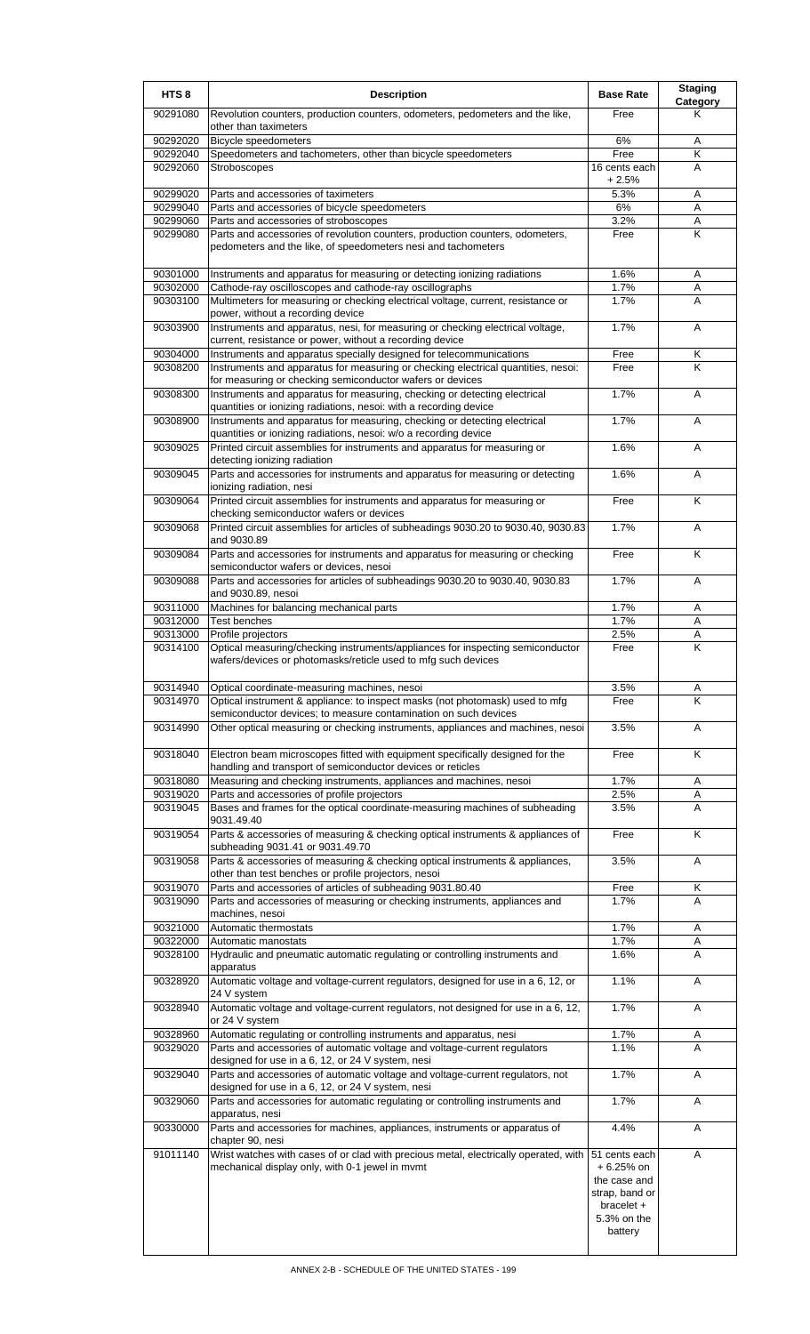| HTS <sub>8</sub>     | <b>Description</b>                                                                                                                                       | <b>Base Rate</b>                                                                                       | <b>Staging</b><br><b>Category</b> |
|----------------------|----------------------------------------------------------------------------------------------------------------------------------------------------------|--------------------------------------------------------------------------------------------------------|-----------------------------------|
| 90291080             | Revolution counters, production counters, odometers, pedometers and the like,<br>other than taximeters                                                   | Free                                                                                                   | Κ                                 |
| 90292020             | <b>Bicycle speedometers</b>                                                                                                                              | 6%                                                                                                     | Α                                 |
| 90292040             | Speedometers and tachometers, other than bicycle speedometers                                                                                            | Free                                                                                                   | Κ                                 |
| 90292060             | Stroboscopes                                                                                                                                             | 16 cents each<br>$+2.5%$                                                                               | A                                 |
| 90299020             | Parts and accessories of taximeters                                                                                                                      | 5.3%                                                                                                   | A                                 |
| 90299040             | Parts and accessories of bicycle speedometers                                                                                                            | 6%                                                                                                     | A                                 |
| 90299060<br>90299080 | Parts and accessories of stroboscopes<br>Parts and accessories of revolution counters, production counters, odometers,                                   | 3.2%<br>Free                                                                                           | Α<br>K                            |
|                      | pedometers and the like, of speedometers nesi and tachometers                                                                                            |                                                                                                        |                                   |
| 90301000             | Instruments and apparatus for measuring or detecting ionizing radiations                                                                                 | 1.6%                                                                                                   | A                                 |
| 90302000<br>90303100 | Cathode-ray oscilloscopes and cathode-ray oscillographs<br>Multimeters for measuring or checking electrical voltage, current, resistance or              | 1.7%<br>1.7%                                                                                           | Α<br>A                            |
| 90303900             | power, without a recording device<br>Instruments and apparatus, nesi, for measuring or checking electrical voltage,                                      | 1.7%                                                                                                   | A                                 |
|                      | current, resistance or power, without a recording device                                                                                                 |                                                                                                        |                                   |
| 90304000<br>90308200 | Instruments and apparatus specially designed for telecommunications<br>Instruments and apparatus for measuring or checking electrical quantities, nesoi: | Free<br>Free                                                                                           | Κ<br>K                            |
|                      | for measuring or checking semiconductor wafers or devices                                                                                                |                                                                                                        |                                   |
| 90308300             | Instruments and apparatus for measuring, checking or detecting electrical<br>quantities or ionizing radiations, nesoi: with a recording device           | 1.7%                                                                                                   | A                                 |
| 90308900             | Instruments and apparatus for measuring, checking or detecting electrical<br>quantities or ionizing radiations, nesoi: w/o a recording device            | 1.7%                                                                                                   | A                                 |
| 90309025             | Printed circuit assemblies for instruments and apparatus for measuring or<br>detecting ionizing radiation                                                | 1.6%                                                                                                   | A                                 |
| 90309045             | Parts and accessories for instruments and apparatus for measuring or detecting<br>ionizing radiation, nesi                                               | 1.6%                                                                                                   | A                                 |
| 90309064             | Printed circuit assemblies for instruments and apparatus for measuring or<br>checking semiconductor wafers or devices                                    | Free                                                                                                   | Κ                                 |
| 90309068             | Printed circuit assemblies for articles of subheadings 9030.20 to 9030.40, 9030.83<br>and 9030.89                                                        | 1.7%                                                                                                   | A                                 |
| 90309084             | Parts and accessories for instruments and apparatus for measuring or checking<br>semiconductor wafers or devices, nesoi                                  | Free                                                                                                   | K                                 |
| 90309088             | Parts and accessories for articles of subheadings 9030.20 to 9030.40, 9030.83<br>and 9030.89, nesoi                                                      | 1.7%                                                                                                   | A                                 |
| 90311000<br>90312000 | Machines for balancing mechanical parts<br><b>Test benches</b>                                                                                           | 1.7%<br>1.7%                                                                                           | A<br>Α                            |
| 90313000             | Profile projectors                                                                                                                                       | 2.5%                                                                                                   | Α                                 |
| 90314100             | Optical measuring/checking instruments/appliances for inspecting semiconductor<br>wafers/devices or photomasks/reticle used to mfg such devices          | Free                                                                                                   | K                                 |
| 90314940             | Optical coordinate-measuring machines, nesoi<br>Optical instrument & appliance: to inspect masks (not photomask) used to mfg                             | 3.5%                                                                                                   | Α<br>K                            |
| 90314970             | semiconductor devices; to measure contamination on such devices                                                                                          | Free                                                                                                   |                                   |
| 90314990             | Other optical measuring or checking instruments, appliances and machines, nesoi                                                                          | 3.5%                                                                                                   | A                                 |
| 90318040             | Electron beam microscopes fitted with equipment specifically designed for the<br>handling and transport of semiconductor devices or reticles             | Free                                                                                                   | Κ                                 |
| 90318080             | Measuring and checking instruments, appliances and machines, nesoi                                                                                       | 1.7%                                                                                                   | Α                                 |
| 90319020<br>90319045 | Parts and accessories of profile projectors<br>Bases and frames for the optical coordinate-measuring machines of subheading                              | 2.5%<br>3.5%                                                                                           | Α<br>A                            |
| 90319054             | 9031.49.40<br>Parts & accessories of measuring & checking optical instruments & appliances of                                                            | Free                                                                                                   | Κ                                 |
| 90319058             | subheading 9031.41 or 9031.49.70<br>Parts & accessories of measuring & checking optical instruments & appliances,                                        | 3.5%                                                                                                   | A                                 |
|                      | other than test benches or profile projectors, nesoi                                                                                                     |                                                                                                        |                                   |
| 90319070<br>90319090 | Parts and accessories of articles of subheading 9031.80.40<br>Parts and accessories of measuring or checking instruments, appliances and                 | Free<br>1.7%                                                                                           | Κ<br>A                            |
| 90321000             | machines, nesoi<br>Automatic thermostats                                                                                                                 | 1.7%                                                                                                   | Α                                 |
| 90322000             | Automatic manostats                                                                                                                                      | 1.7%                                                                                                   | Α                                 |
| 90328100             | Hydraulic and pneumatic automatic regulating or controlling instruments and<br>apparatus                                                                 | 1.6%                                                                                                   | A                                 |
| 90328920             | Automatic voltage and voltage-current regulators, designed for use in a 6, 12, or<br>24 V system                                                         | 1.1%                                                                                                   | Α                                 |
| 90328940             | Automatic voltage and voltage-current regulators, not designed for use in a 6, 12,<br>or 24 V system                                                     | 1.7%                                                                                                   | A                                 |
| 90328960             | Automatic regulating or controlling instruments and apparatus, nesi                                                                                      | 1.7%                                                                                                   | Α                                 |
| 90329020             | Parts and accessories of automatic voltage and voltage-current regulators<br>designed for use in a 6, 12, or 24 V system, nesi                           | 1.1%                                                                                                   | A                                 |
| 90329040             | Parts and accessories of automatic voltage and voltage-current regulators, not<br>designed for use in a 6, 12, or 24 V system, nesi                      | 1.7%                                                                                                   | Α                                 |
| 90329060             | Parts and accessories for automatic regulating or controlling instruments and<br>apparatus, nesi                                                         | 1.7%                                                                                                   | Α                                 |
| 90330000             | Parts and accessories for machines, appliances, instruments or apparatus of<br>chapter 90, nesi                                                          | 4.4%                                                                                                   | Α                                 |
| 91011140             | Wrist watches with cases of or clad with precious metal, electrically operated, with<br>mechanical display only, with 0-1 jewel in mvmt                  | 51 cents each<br>$+6.25%$ on<br>the case and<br>strap, band or<br>bracelet +<br>5.3% on the<br>battery | A                                 |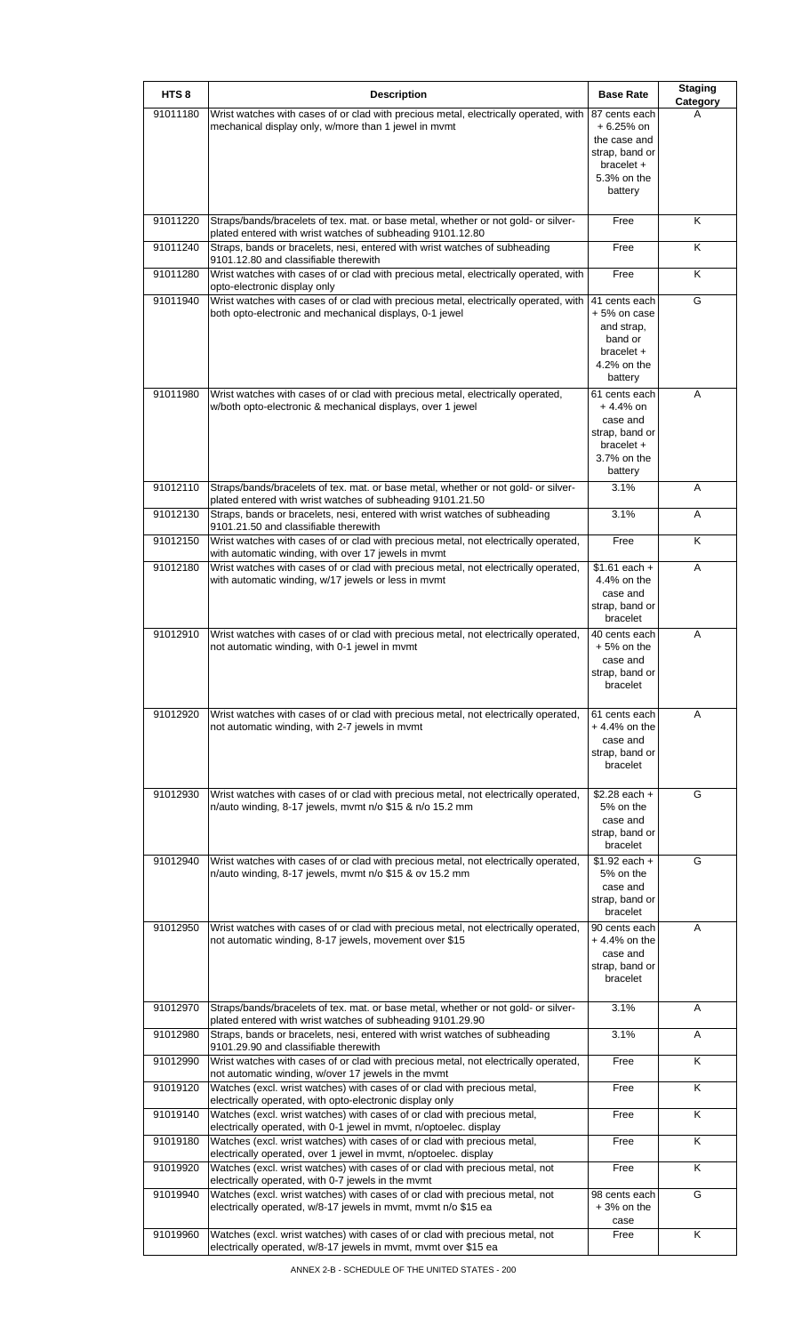| HTS <sub>8</sub> |                                                                                                                                                                    | <b>Base Rate</b>                      | <b>Staging</b> |
|------------------|--------------------------------------------------------------------------------------------------------------------------------------------------------------------|---------------------------------------|----------------|
| 91011180         | <b>Description</b><br>Wrist watches with cases of or clad with precious metal, electrically operated, with<br>mechanical display only, w/more than 1 jewel in mvmt | 87 cents each<br>$+6.25%$ on          | Category       |
|                  |                                                                                                                                                                    | the case and                          |                |
|                  |                                                                                                                                                                    | strap, band or<br>bracelet +          |                |
|                  |                                                                                                                                                                    | 5.3% on the<br>battery                |                |
|                  |                                                                                                                                                                    |                                       |                |
| 91011220         | Straps/bands/bracelets of tex. mat. or base metal, whether or not gold- or silver-<br>plated entered with wrist watches of subheading 9101.12.80                   | Free                                  | Κ              |
| 91011240         | Straps, bands or bracelets, nesi, entered with wrist watches of subheading<br>9101.12.80 and classifiable therewith                                                | Free                                  | Κ              |
| 91011280         | Wrist watches with cases of or clad with precious metal, electrically operated, with<br>opto-electronic display only                                               | Free                                  | Κ              |
| 91011940         | Wrist watches with cases of or clad with precious metal, electrically operated, with<br>both opto-electronic and mechanical displays, 0-1 jewel                    | 41 cents each<br>+5% on case          | G              |
|                  |                                                                                                                                                                    | and strap,<br>band or                 |                |
|                  |                                                                                                                                                                    | $bracket +$<br>4.2% on the            |                |
|                  |                                                                                                                                                                    | battery                               |                |
| 91011980         | Wrist watches with cases of or clad with precious metal, electrically operated,<br>w/both opto-electronic & mechanical displays, over 1 jewel                      | 61 cents each<br>$+4.4%$ on           | A              |
|                  |                                                                                                                                                                    | case and<br>strap, band or            |                |
|                  |                                                                                                                                                                    | $bracket +$                           |                |
|                  |                                                                                                                                                                    | 3.7% on the<br>battery                |                |
| 91012110         | Straps/bands/bracelets of tex. mat. or base metal, whether or not gold- or silver-<br>plated entered with wrist watches of subheading 9101.21.50                   | 3.1%                                  | A              |
| 91012130         | Straps, bands or bracelets, nesi, entered with wrist watches of subheading                                                                                         | 3.1%                                  | Α              |
| 91012150         | 9101.21.50 and classifiable therewith<br>Wrist watches with cases of or clad with precious metal, not electrically operated,                                       | Free                                  | Κ              |
| 91012180         | with automatic winding, with over 17 jewels in mvmt<br>Wrist watches with cases of or clad with precious metal, not electrically operated,                         | $\overline{$1.61}$ each +             | A              |
|                  | with automatic winding, w/17 jewels or less in mvmt                                                                                                                | 4.4% on the<br>case and               |                |
|                  |                                                                                                                                                                    | strap, band or<br>bracelet            |                |
| 91012910         | Wrist watches with cases of or clad with precious metal, not electrically operated,                                                                                | 40 cents each                         | A              |
|                  | not automatic winding, with 0-1 jewel in mymt                                                                                                                      | $+5%$ on the<br>case and              |                |
|                  |                                                                                                                                                                    | strap, band or<br>bracelet            |                |
| 91012920         | Wrist watches with cases of or clad with precious metal, not electrically operated,                                                                                |                                       | A              |
|                  | not automatic winding, with 2-7 jewels in mvmt                                                                                                                     | 61 cents each<br>+ 4.4% on the        |                |
|                  |                                                                                                                                                                    | case and<br>strap, band or            |                |
|                  |                                                                                                                                                                    | bracelet                              |                |
| 91012930         | Wrist watches with cases of or clad with precious metal, not electrically operated,<br>n/auto winding, 8-17 jewels, mvmt n/o \$15 & n/o 15.2 mm                    | $$2.28$ each +<br>5% on the           | G              |
|                  |                                                                                                                                                                    | case and                              |                |
|                  |                                                                                                                                                                    | strap, band or<br>bracelet            |                |
| 91012940         | Wrist watches with cases of or clad with precious metal, not electrically operated,<br>n/auto winding, 8-17 jewels, mvmt n/o \$15 & ov 15.2 mm                     | $$1.92$ each +<br>5% on the           | G              |
|                  |                                                                                                                                                                    | case and                              |                |
|                  |                                                                                                                                                                    | strap, band or<br>bracelet            |                |
| 91012950         | Wrist watches with cases of or clad with precious metal, not electrically operated,<br>not automatic winding, 8-17 jewels, movement over \$15                      | 90 cents each<br>$+4.4%$ on the       | Α              |
|                  |                                                                                                                                                                    | case and<br>strap, band or            |                |
|                  |                                                                                                                                                                    | bracelet                              |                |
| 91012970         | Straps/bands/bracelets of tex. mat. or base metal, whether or not gold- or silver-                                                                                 | 3.1%                                  | Α              |
| 91012980         | plated entered with wrist watches of subheading 9101.29.90<br>Straps, bands or bracelets, nesi, entered with wrist watches of subheading                           | 3.1%                                  | Α              |
| 91012990         | 9101.29.90 and classifiable therewith<br>Wrist watches with cases of or clad with precious metal, not electrically operated,                                       | Free                                  | Κ              |
| 91019120         | not automatic winding, w/over 17 jewels in the mvmt<br>Watches (excl. wrist watches) with cases of or clad with precious metal,                                    | Free                                  | Κ              |
| 91019140         | electrically operated, with opto-electronic display only<br>Watches (excl. wrist watches) with cases of or clad with precious metal,                               | Free                                  | Κ              |
| 91019180         | electrically operated, with 0-1 jewel in mvmt, n/optoelec. display<br>Watches (excl. wrist watches) with cases of or clad with precious metal,                     | Free                                  | Κ              |
| 91019920         | electrically operated, over 1 jewel in mvmt, n/optoelec. display<br>Watches (excl. wrist watches) with cases of or clad with precious metal, not                   | Free                                  | Κ              |
|                  | electrically operated, with 0-7 jewels in the mvmt                                                                                                                 |                                       |                |
| 91019940         | Watches (excl. wrist watches) with cases of or clad with precious metal, not<br>electrically operated, w/8-17 jewels in mvmt, mvmt n/o \$15 ea                     | 98 cents each<br>$+3%$ on the<br>case | G              |
| 91019960         | Watches (excl. wrist watches) with cases of or clad with precious metal, not<br>electrically operated, w/8-17 jewels in mvmt, mvmt over \$15 ea                    | Free                                  | K              |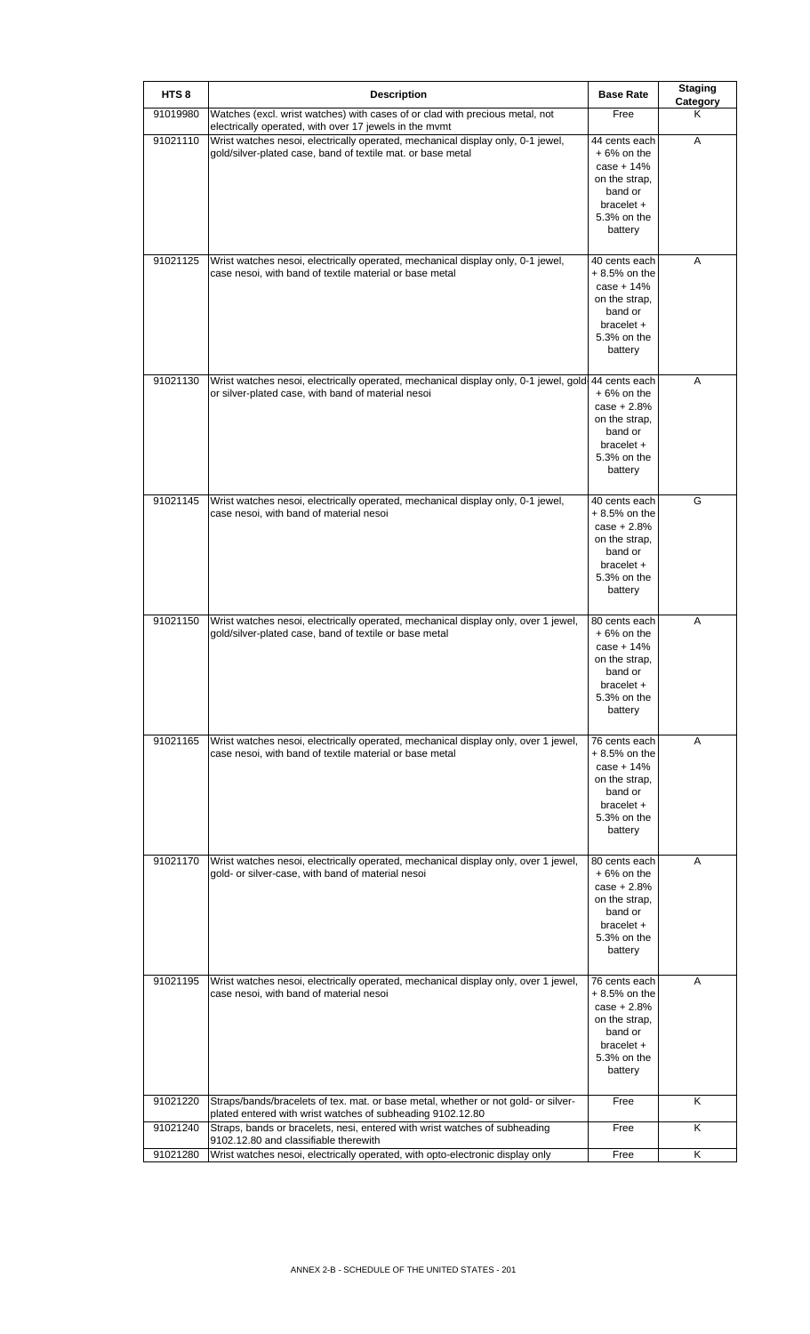| HTS <sub>8</sub> | <b>Description</b>                                                                                                                               | <b>Base Rate</b>                                                                                                       | <b>Staging</b><br>Category |
|------------------|--------------------------------------------------------------------------------------------------------------------------------------------------|------------------------------------------------------------------------------------------------------------------------|----------------------------|
| 91019980         | Watches (excl. wrist watches) with cases of or clad with precious metal, not<br>electrically operated, with over 17 jewels in the mvmt           | Free                                                                                                                   | Κ                          |
| 91021110         | Wrist watches nesoi, electrically operated, mechanical display only, 0-1 jewel,<br>gold/silver-plated case, band of textile mat. or base metal   | 44 cents each<br>$+6%$ on the<br>$case + 14%$<br>on the strap,<br>band or<br>$bracelet +$<br>5.3% on the<br>battery    | A                          |
| 91021125         | Wrist watches nesoi, electrically operated, mechanical display only, 0-1 jewel,<br>case nesoi, with band of textile material or base metal       | 40 cents each<br>+ 8.5% on the<br>$case + 14%$<br>on the strap,<br>band or<br>bracelet +<br>5.3% on the<br>battery     | Α                          |
| 91021130         | Wrist watches nesoi, electrically operated, mechanical display only, 0-1 jewel, gold<br>or silver-plated case, with band of material nesoi       | 44 cents each<br>$+6%$ on the<br>$case + 2.8%$<br>on the strap,<br>band or<br>bracelet +<br>5.3% on the<br>battery     | Α                          |
| 91021145         | Wrist watches nesoi, electrically operated, mechanical display only, 0-1 jewel,<br>case nesoi, with band of material nesoi                       | 40 cents each<br>+ 8.5% on the<br>$case + 2.8%$<br>on the strap,<br>band or<br>$bracelet +$<br>5.3% on the<br>battery  | G                          |
| 91021150         | Wrist watches nesoi, electrically operated, mechanical display only, over 1 jewel,<br>gold/silver-plated case, band of textile or base metal     | 80 cents each<br>$+6%$ on the<br>$case + 14%$<br>on the strap,<br>band or<br>bracelet +<br>5.3% on the<br>battery      | Α                          |
| 91021165         | Wrist watches nesoi, electrically operated, mechanical display only, over 1 jewel,<br>case nesoi, with band of textile material or base metal    | 76 cents each<br>$+8.5%$ on the<br>$case + 14%$<br>on the strap,<br>band or<br>bracelet +<br>5.3% on the<br>battery    | A                          |
| 91021170         | Wrist watches nesoi, electrically operated, mechanical display only, over 1 jewel,<br>gold- or silver-case, with band of material nesoi          | 80 cents each<br>$+6%$ on the<br>$case + 2.8%$<br>on the strap,<br>band or<br>$bracelet +$<br>5.3% on the<br>battery   | Α                          |
| 91021195         | Wrist watches nesoi, electrically operated, mechanical display only, over 1 jewel,<br>case nesoi, with band of material nesoi                    | 76 cents each<br>$+8.5%$ on the<br>$case + 2.8%$<br>on the strap,<br>band or<br>$bracelet +$<br>5.3% on the<br>battery | A                          |
| 91021220         | Straps/bands/bracelets of tex. mat. or base metal, whether or not gold- or silver-<br>plated entered with wrist watches of subheading 9102.12.80 | Free                                                                                                                   | Κ                          |
| 91021240         | Straps, bands or bracelets, nesi, entered with wrist watches of subheading<br>9102.12.80 and classifiable therewith                              | Free                                                                                                                   | Κ                          |
| 91021280         | Wrist watches nesoi, electrically operated, with opto-electronic display only                                                                    | Free                                                                                                                   | Κ                          |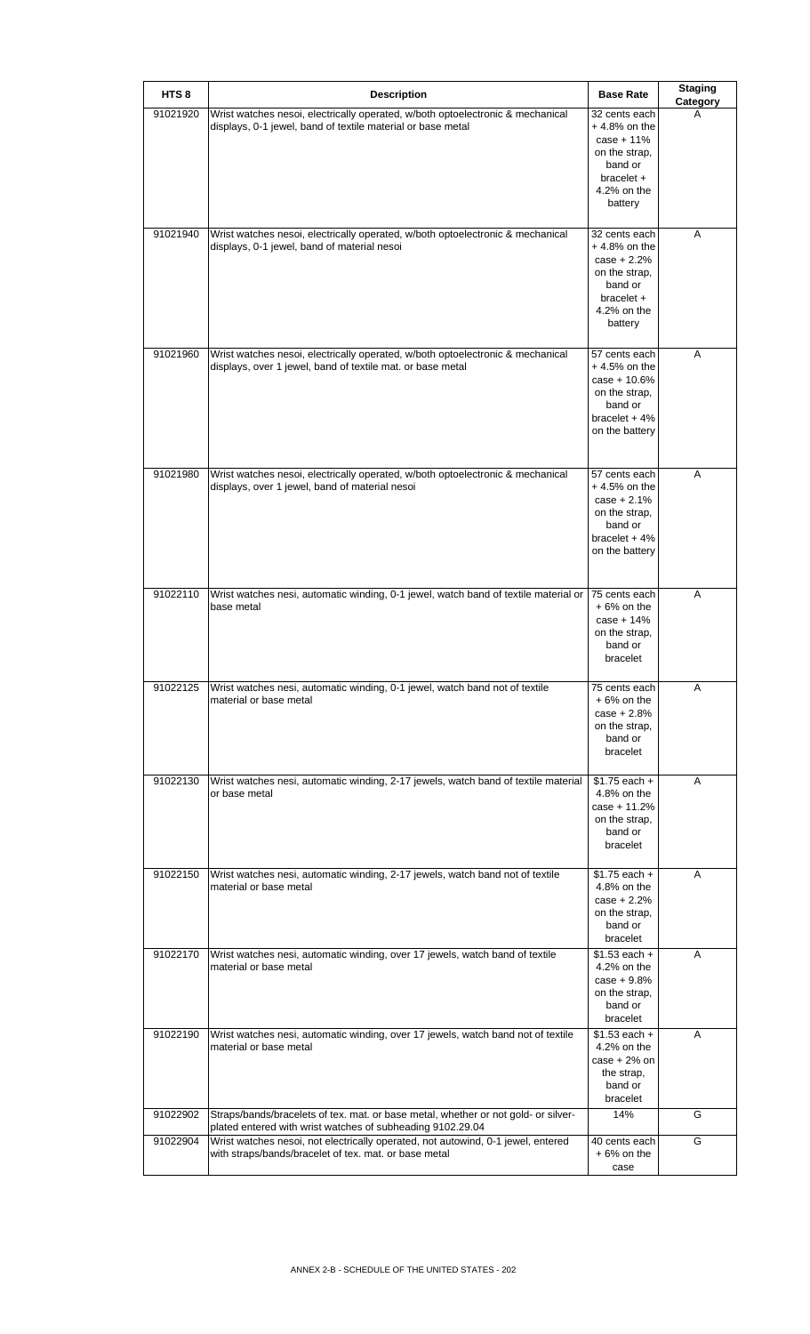| HTS <sub>8</sub> | <b>Description</b>                                                                                                                               | <b>Base Rate</b>                                                                                                      | <b>Staging</b><br>Category |
|------------------|--------------------------------------------------------------------------------------------------------------------------------------------------|-----------------------------------------------------------------------------------------------------------------------|----------------------------|
| 91021920         | Wrist watches nesoi, electrically operated, w/both optoelectronic & mechanical<br>displays, 0-1 jewel, band of textile material or base metal    | 32 cents each<br>$+4.8\%$ on the<br>$case + 11%$<br>on the strap,<br>band or<br>bracelet +<br>4.2% on the<br>battery  | A                          |
| 91021940         | Wrist watches nesoi, electrically operated, w/both optoelectronic & mechanical<br>displays, 0-1 jewel, band of material nesoi                    | 32 cents each<br>$+4.8\%$ on the<br>$case + 2.2%$<br>on the strap,<br>band or<br>bracelet +<br>4.2% on the<br>battery | A                          |
| 91021960         | Wrist watches nesoi, electrically operated, w/both optoelectronic & mechanical<br>displays, over 1 jewel, band of textile mat. or base metal     | 57 cents each<br>$+4.5%$ on the<br>$case + 10.6%$<br>on the strap,<br>band or<br>bracelet $+4%$<br>on the battery     | Α                          |
| 91021980         | Wrist watches nesoi, electrically operated, w/both optoelectronic & mechanical<br>displays, over 1 jewel, band of material nesoi                 | 57 cents each<br>$+4.5%$ on the<br>case $+2.1%$<br>on the strap,<br>band or<br>bracelet $+4%$<br>on the battery       | A                          |
| 91022110         | Wrist watches nesi, automatic winding, 0-1 jewel, watch band of textile material or<br>base metal                                                | 75 cents each<br>$+6%$ on the<br>$case + 14%$<br>on the strap.<br>band or<br>bracelet                                 | A                          |
| 91022125         | Wrist watches nesi, automatic winding, 0-1 jewel, watch band not of textile<br>material or base metal                                            | 75 cents each<br>$+6%$ on the<br>$case + 2.8%$<br>on the strap,<br>band or<br>bracelet                                | A                          |
| 91022130         | Wrist watches nesi, automatic winding, 2-17 jewels, watch band of textile material<br>or base metal                                              | $$1.75$ each +<br>4.8% on the<br>case + 11.2%<br>on the strap,<br>band or<br>bracelet                                 | A                          |
| 91022150         | Wrist watches nesi, automatic winding, 2-17 jewels, watch band not of textile<br>material or base metal                                          | $$1.75$ each +<br>4.8% on the<br>$case + 2.2%$<br>on the strap,<br>band or<br>bracelet                                | A                          |
| 91022170         | Wrist watches nesi, automatic winding, over 17 jewels, watch band of textile<br>material or base metal                                           | $$1.53$ each +<br>4.2% on the<br>$case + 9.8%$<br>on the strap,<br>band or<br>bracelet                                | A                          |
| 91022190         | Wrist watches nesi, automatic winding, over 17 jewels, watch band not of textile<br>material or base metal                                       | $$1.53$ each +<br>4.2% on the<br>$case + 2%$ on<br>the strap,<br>band or<br>bracelet                                  | A                          |
| 91022902         | Straps/bands/bracelets of tex. mat. or base metal, whether or not gold- or silver-<br>plated entered with wrist watches of subheading 9102.29.04 | 14%                                                                                                                   | G                          |
| 91022904         | Wrist watches nesoi, not electrically operated, not autowind, 0-1 jewel, entered<br>with straps/bands/bracelet of tex. mat. or base metal        | 40 cents each<br>$+6%$ on the<br>case                                                                                 | G                          |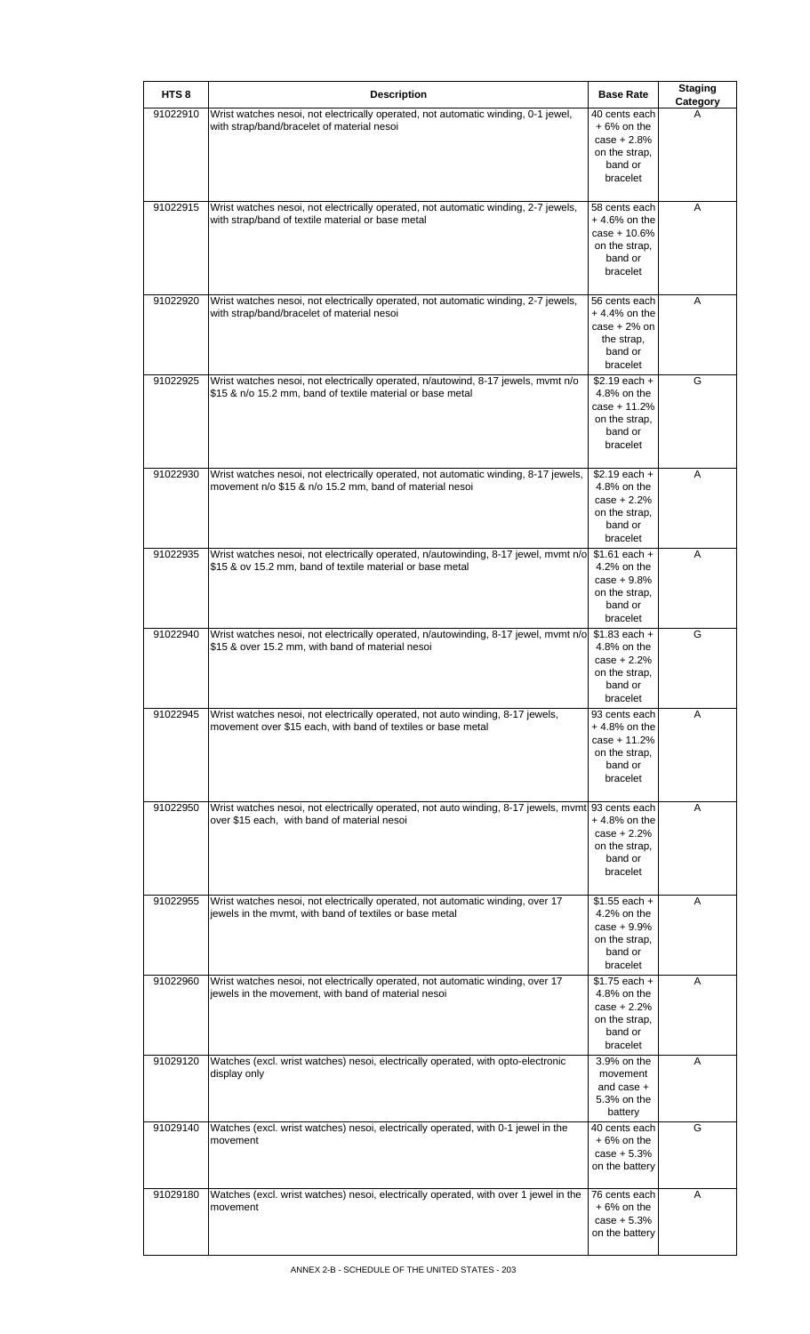| HTS <sub>8</sub> | <b>Description</b>                                                                                                                                             | <b>Base Rate</b>                                                                          | <b>Staging</b><br>Category |
|------------------|----------------------------------------------------------------------------------------------------------------------------------------------------------------|-------------------------------------------------------------------------------------------|----------------------------|
| 91022910         | Wrist watches nesoi, not electrically operated, not automatic winding, 0-1 jewel,<br>with strap/band/bracelet of material nesoi                                | 40 cents each<br>$+6%$ on the<br>$case + 2.8%$<br>on the strap,<br>band or<br>bracelet    | A                          |
| 91022915         | Wrist watches nesoi, not electrically operated, not automatic winding, 2-7 jewels,<br>with strap/band of textile material or base metal                        | 58 cents each<br>$+4.6%$ on the<br>$case + 10.6%$<br>on the strap,<br>band or<br>bracelet | Α                          |
| 91022920         | Wrist watches nesoi, not electrically operated, not automatic winding, 2-7 jewels,<br>with strap/band/bracelet of material nesoi                               | 56 cents each<br>$+4.4%$ on the<br>$case + 2%$ on<br>the strap,<br>band or<br>bracelet    | A                          |
| 91022925         | Wrist watches nesoi, not electrically operated, n/autowind, 8-17 jewels, mvmt n/o<br>\$15 & n/o 15.2 mm, band of textile material or base metal                | $$2.19$ each +<br>4.8% on the<br>case + 11.2%<br>on the strap.<br>band or<br>bracelet     | G                          |
| 91022930         | Wrist watches nesoi, not electrically operated, not automatic winding, 8-17 jewels,<br>movement n/o \$15 & n/o 15.2 mm, band of material nesoi                 | $$2.19$ each +<br>4.8% on the<br>$case + 2.2%$<br>on the strap,<br>band or<br>bracelet    | A                          |
| 91022935         | Wrist watches nesoi, not electrically operated, n/autowinding, 8-17 jewel, mvmt n/o \$1.61 each +<br>\$15 & ov 15.2 mm, band of textile material or base metal | 4.2% on the<br>$case + 9.8%$<br>on the strap,<br>band or<br>bracelet                      | A                          |
| 91022940         | Wrist watches nesoi, not electrically operated, n/autowinding, 8-17 jewel, mvmt n/o \$1.83 each +<br>\$15 & over 15.2 mm, with band of material nesoi          | 4.8% on the<br>$case + 2.2%$<br>on the strap,<br>band or<br>bracelet                      | G                          |
| 91022945         | Wrist watches nesoi, not electrically operated, not auto winding, 8-17 jewels,<br>movement over \$15 each, with band of textiles or base metal                 | 93 cents each<br>$+4.8%$ on the<br>$case + 11.2%$<br>on the strap,<br>band or<br>bracelet | A                          |
| 91022950         | Wrist watches nesoi, not electrically operated, not auto winding, 8-17 jewels, mvmt 93 cents each<br>over \$15 each, with band of material nesoi               | $+4.8\%$ on the<br>$case + 2.2%$<br>on the strap,<br>band or<br>bracelet                  | Α                          |
| 91022955         | Wrist watches nesoi, not electrically operated, not automatic winding, over 17<br>jewels in the mvmt, with band of textiles or base metal                      | $$1.55$ each +<br>4.2% on the<br>$case + 9.9%$<br>on the strap,<br>band or<br>bracelet    | A                          |
| 91022960         | Wrist watches nesoi, not electrically operated, not automatic winding, over 17<br>jewels in the movement, with band of material nesoi                          | $$1.75$ each +<br>4.8% on the<br>$case + 2.2%$<br>on the strap,<br>band or<br>bracelet    | Α                          |
| 91029120         | Watches (excl. wrist watches) nesoi, electrically operated, with opto-electronic<br>display only                                                               | 3.9% on the<br>movement<br>and case +<br>5.3% on the<br>battery                           | Α                          |
| 91029140         | Watches (excl. wrist watches) nesoi, electrically operated, with 0-1 jewel in the<br>movement                                                                  | 40 cents each<br>$+6%$ on the<br>$case + 5.3%$<br>on the battery                          | G                          |
| 91029180         | Watches (excl. wrist watches) nesoi, electrically operated, with over 1 jewel in the<br>movement                                                               | 76 cents each<br>$+6%$ on the<br>$case + 5.3%$<br>on the battery                          | A                          |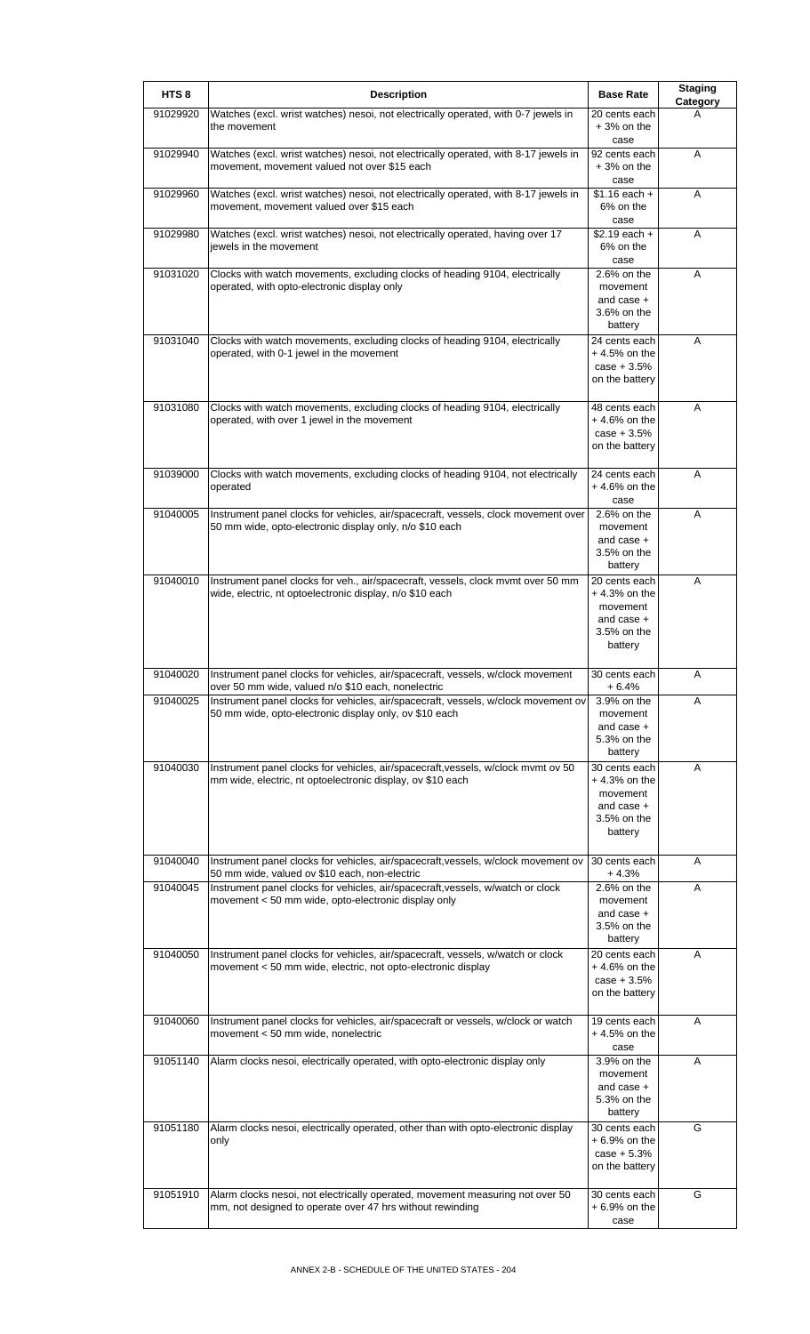| HTS <sub>8</sub> | <b>Description</b>                                                                                                                              | <b>Base Rate</b>                                                                      | <b>Staging</b><br>Category |
|------------------|-------------------------------------------------------------------------------------------------------------------------------------------------|---------------------------------------------------------------------------------------|----------------------------|
| 91029920         | Watches (excl. wrist watches) nesoi, not electrically operated, with 0-7 jewels in<br>the movement                                              | 20 cents each<br>$+3%$ on the<br>case                                                 | A                          |
| 91029940         | Watches (excl. wrist watches) nesoi, not electrically operated, with 8-17 jewels in<br>movement, movement valued not over \$15 each             | 92 cents each<br>$+3%$ on the<br>case                                                 | A                          |
| 91029960         | Watches (excl. wrist watches) nesoi, not electrically operated, with 8-17 jewels in<br>movement, movement valued over \$15 each                 | $$1.16$ each +<br>6% on the<br>case                                                   | A                          |
| 91029980         | Watches (excl. wrist watches) nesol, not electrically operated, having over 17<br>jewels in the movement                                        | $$2.19$ each +<br>6% on the<br>case                                                   | A                          |
| 91031020         | Clocks with watch movements, excluding clocks of heading 9104, electrically<br>operated, with opto-electronic display only                      | $2.6%$ on the<br>movement<br>and case $+$<br>3.6% on the<br>battery                   | A                          |
| 91031040         | Clocks with watch movements, excluding clocks of heading 9104, electrically<br>operated, with 0-1 jewel in the movement                         | 24 cents each<br>$+4.5%$ on the<br>$case + 3.5%$<br>on the battery                    | Α                          |
| 91031080         | Clocks with watch movements, excluding clocks of heading 9104, electrically<br>operated, with over 1 jewel in the movement                      | 48 cents each<br>$+4.6%$ on the<br>$case + 3.5%$<br>on the battery                    | A                          |
| 91039000         | Clocks with watch movements, excluding clocks of heading 9104, not electrically<br>operated                                                     | 24 cents each<br>$+4.6%$ on the<br>case                                               | A                          |
| 91040005         | Instrument panel clocks for vehicles, air/spacecraft, vessels, clock movement over<br>50 mm wide, opto-electronic display only, n/o \$10 each   | $2.6%$ on the<br>movement<br>and case +<br>3.5% on the<br>battery                     | A                          |
| 91040010         | Instrument panel clocks for veh., air/spacecraft, vessels, clock mvmt over 50 mm<br>wide, electric, nt optoelectronic display, n/o \$10 each    | 20 cents each<br>$+4.3%$ on the<br>movement<br>and case +<br>3.5% on the<br>battery   | A                          |
| 91040020         | Instrument panel clocks for vehicles, air/spacecraft, vessels, w/clock movement<br>over 50 mm wide, valued n/o \$10 each, nonelectric           | 30 cents each<br>+ 6.4%                                                               | A                          |
| 91040025         | Instrument panel clocks for vehicles, air/spacecraft, vessels, w/clock movement ov<br>50 mm wide, opto-electronic display only, ov \$10 each    | 3.9% on the<br>movement<br>and case $+$<br>5.3% on the<br>battery                     | A                          |
| 91040030         | Instrument panel clocks for vehicles, air/spacecraft, vessels, w/clock mvmt ov 50<br>mm wide, electric, nt optoelectronic display, ov \$10 each | 30 cents each<br>$+4.3%$ on the<br>movement<br>and case $+$<br>3.5% on the<br>battery | Α                          |
| 91040040         | Instrument panel clocks for vehicles, air/spacecraft, vessels, w/clock movement ov<br>50 mm wide, valued ov \$10 each, non-electric             | 30 cents each<br>+4.3%                                                                | Α                          |
| 91040045         | Instrument panel clocks for vehicles, air/spacecraft, vessels, w/watch or clock<br>movement < 50 mm wide, opto-electronic display only          | 2.6% on the<br>movement<br>and case +<br>3.5% on the<br>battery                       | Α                          |
| 91040050         | Instrument panel clocks for vehicles, air/spacecraft, vessels, w/watch or clock<br>movement < 50 mm wide, electric, not opto-electronic display | 20 cents each<br>$+4.6%$ on the<br>$case + 3.5%$<br>on the battery                    | Α                          |
| 91040060         | Instrument panel clocks for vehicles, air/spacecraft or vessels, w/clock or watch<br>movement < 50 mm wide, nonelectric                         | 19 cents each<br>$+4.5%$ on the<br>case                                               | A                          |
| 91051140         | Alarm clocks nesoi, electrically operated, with opto-electronic display only                                                                    | 3.9% on the<br>movement<br>and case +<br>5.3% on the<br>battery                       | A                          |
| 91051180         | Alarm clocks nesoi, electrically operated, other than with opto-electronic display<br>only                                                      | 30 cents each<br>$+6.9%$ on the<br>$case + 5.3%$<br>on the battery                    | G                          |
| 91051910         | Alarm clocks nesoi, not electrically operated, movement measuring not over 50<br>mm, not designed to operate over 47 hrs without rewinding      | 30 cents each<br>$+6.9%$ on the<br>case                                               | G                          |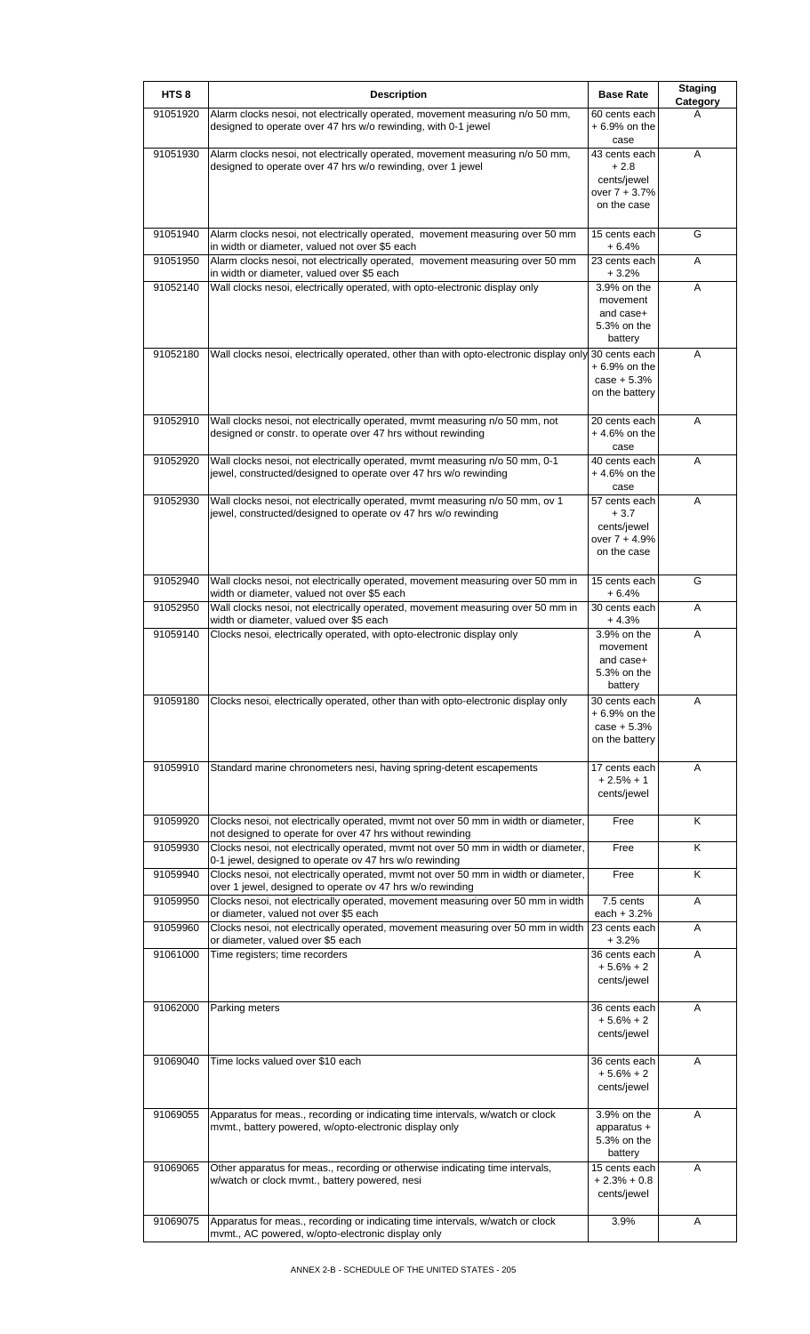| HTS <sub>8</sub> | <b>Description</b>                                                                                                                              | <b>Base Rate</b>                                                         | <b>Staging</b><br>Category |
|------------------|-------------------------------------------------------------------------------------------------------------------------------------------------|--------------------------------------------------------------------------|----------------------------|
| 91051920         | Alarm clocks nesoi, not electrically operated, movement measuring n/o 50 mm,<br>designed to operate over 47 hrs w/o rewinding, with 0-1 jewel   | 60 cents each<br>$+6.9%$ on the<br>case                                  | A                          |
| 91051930         | Alarm clocks nesoi, not electrically operated, movement measuring n/o 50 mm,<br>designed to operate over 47 hrs w/o rewinding, over 1 jewel     | 43 cents each<br>$+2.8$<br>cents/jewel<br>over $7 + 3.7%$<br>on the case | A                          |
| 91051940         | Alarm clocks nesoi, not electrically operated, movement measuring over 50 mm<br>in width or diameter, valued not over \$5 each                  | 15 cents each<br>$+6.4%$                                                 | G                          |
| 91051950         | Alarm clocks nesoi, not electrically operated, movement measuring over 50 mm<br>in width or diameter, valued over \$5 each                      | 23 cents each<br>$+3.2%$                                                 | Α                          |
| 91052140         | Wall clocks nesoi, electrically operated, with opto-electronic display only                                                                     | 3.9% on the<br>movement<br>and case+<br>5.3% on the<br>battery           | A                          |
| 91052180         | Wall clocks nesoi, electrically operated, other than with opto-electronic display only 30 cents each                                            | $+6.9%$ on the<br>$case + 5.3%$<br>on the battery                        | A                          |
| 91052910         | Wall clocks nesoi, not electrically operated, mvmt measuring n/o 50 mm, not<br>designed or constr. to operate over 47 hrs without rewinding     | 20 cents each<br>$+4.6%$ on the<br>case                                  | Α                          |
| 91052920         | Wall clocks nesoi, not electrically operated, mvmt measuring n/o 50 mm, 0-1<br>jewel, constructed/designed to operate over 47 hrs w/o rewinding | 40 cents each<br>$+4.6%$ on the<br>case                                  | Α                          |
| 91052930         | Wall clocks nesoi, not electrically operated, mvmt measuring n/o 50 mm, ov 1<br>jewel, constructed/designed to operate ov 47 hrs w/o rewinding  | 57 cents each<br>$+3.7$<br>cents/jewel<br>over 7 + 4.9%<br>on the case   | Α                          |
| 91052940         | Wall clocks nesoi, not electrically operated, movement measuring over 50 mm in<br>width or diameter, valued not over \$5 each                   | 15 cents each<br>$+6.4%$                                                 | G                          |
| 91052950         | Wall clocks nesoi, not electrically operated, movement measuring over 50 mm in<br>width or diameter, valued over \$5 each                       | 30 cents each<br>$+4.3%$                                                 | A                          |
| 91059140         | Clocks nesoi, electrically operated, with opto-electronic display only                                                                          | 3.9% on the<br>movement<br>and case+<br>5.3% on the<br>battery           | A                          |
| 91059180         | Clocks nesoi, electrically operated, other than with opto-electronic display only                                                               | 30 cents each<br>$+6.9%$ on the<br>$case + 5.3%$<br>on the battery       | A                          |
| 91059910         | Standard marine chronometers nesi, having spring-detent escapements                                                                             | 17 cents each<br>$+2.5% + 1$<br>cents/jewel                              | A                          |
| 91059920         | Clocks nesoi, not electrically operated, mvmt not over 50 mm in width or diameter,<br>not designed to operate for over 47 hrs without rewinding | Free                                                                     | Κ                          |
| 91059930         | Clocks nesoi, not electrically operated, mvmt not over 50 mm in width or diameter,<br>0-1 jewel, designed to operate ov 47 hrs w/o rewinding    | Free                                                                     | Κ                          |
| 91059940         | Clocks nesoi, not electrically operated, mvmt not over 50 mm in width or diameter,<br>over 1 jewel, designed to operate ov 47 hrs w/o rewinding | Free                                                                     | Κ                          |
| 91059950         | Clocks nesoi, not electrically operated, movement measuring over 50 mm in width<br>or diameter, valued not over \$5 each                        | 7.5 cents<br>each $+3.2%$                                                | A                          |
| 91059960         | Clocks nesoi, not electrically operated, movement measuring over 50 mm in width<br>or diameter, valued over \$5 each                            | 23 cents each<br>$+3.2%$                                                 | A                          |
| 91061000         | Time registers; time recorders                                                                                                                  | 36 cents each<br>$+5.6% + 2$<br>cents/jewel                              | A                          |
| 91062000         | Parking meters                                                                                                                                  | 36 cents each<br>$+5.6% + 2$<br>cents/jewel                              | Α                          |
| 91069040         | Time locks valued over \$10 each                                                                                                                | 36 cents each<br>$+5.6% + 2$<br>cents/jewel                              | A                          |
| 91069055         | Apparatus for meas., recording or indicating time intervals, w/watch or clock<br>mvmt., battery powered, w/opto-electronic display only         | 3.9% on the<br>apparatus +<br>5.3% on the<br>battery                     | A                          |
| 91069065         | Other apparatus for meas., recording or otherwise indicating time intervals,<br>w/watch or clock mvmt., battery powered, nesi                   | 15 cents each<br>$+2.3% + 0.8$<br>cents/jewel                            | A                          |
| 91069075         | Apparatus for meas., recording or indicating time intervals, w/watch or clock<br>mvmt., AC powered, w/opto-electronic display only              | 3.9%                                                                     | A                          |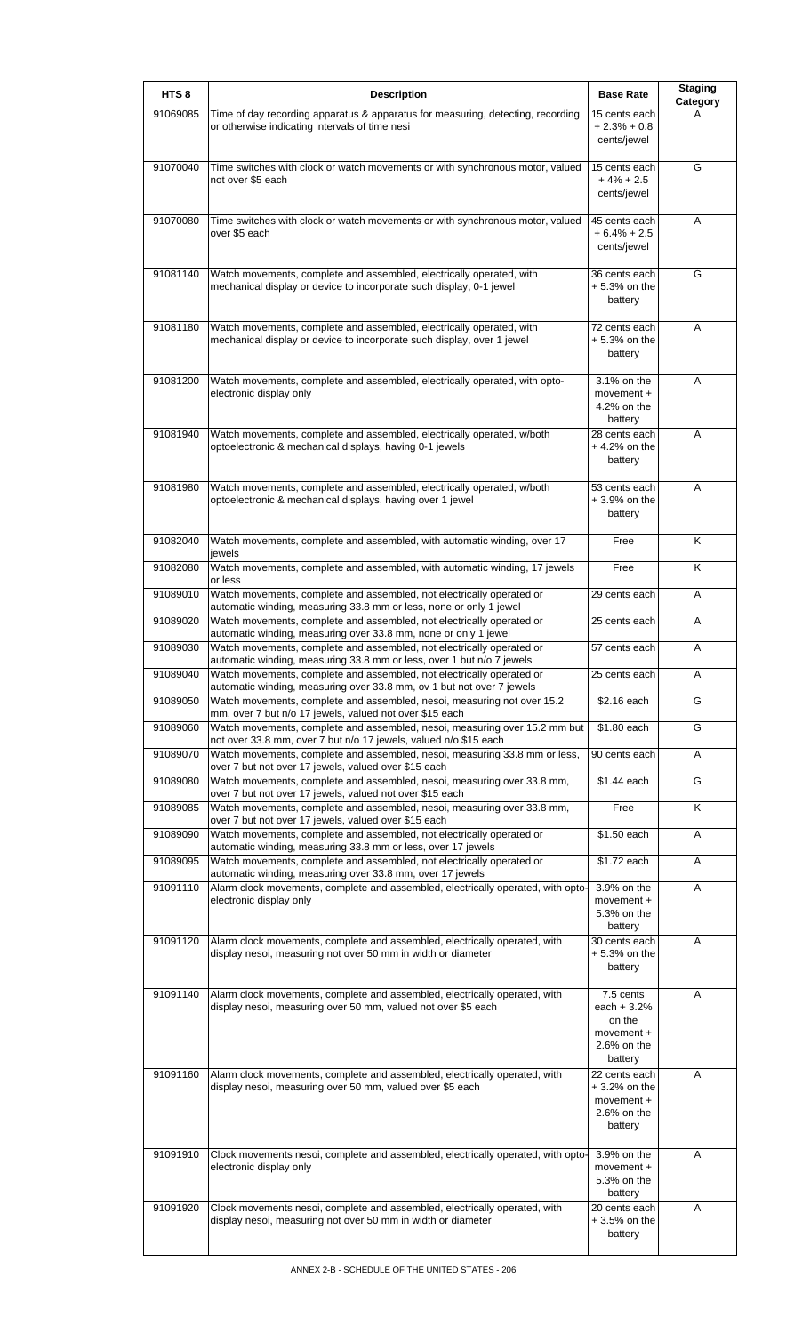| HTS <sub>8</sub> | <b>Description</b>                                                                                                                             | <b>Base Rate</b>                                                           | <b>Staging</b><br><b>Category</b> |
|------------------|------------------------------------------------------------------------------------------------------------------------------------------------|----------------------------------------------------------------------------|-----------------------------------|
| 91069085         | Time of day recording apparatus & apparatus for measuring, detecting, recording<br>or otherwise indicating intervals of time nesi              | 15 cents each<br>$+2.3% + 0.8$<br>cents/jewel                              | А                                 |
| 91070040         | Time switches with clock or watch movements or with synchronous motor, valued<br>not over \$5 each                                             | 15 cents each<br>$+4% + 2.5$<br>cents/jewel                                | G                                 |
| 91070080         | Time switches with clock or watch movements or with synchronous motor, valued<br>over \$5 each                                                 | 45 cents each<br>$+6.4% + 2.5$<br>cents/jewel                              | Α                                 |
| 91081140         | Watch movements, complete and assembled, electrically operated, with<br>mechanical display or device to incorporate such display, 0-1 jewel    | 36 cents each<br>$+5.3%$ on the<br>battery                                 | G                                 |
| 91081180         | Watch movements, complete and assembled, electrically operated, with<br>mechanical display or device to incorporate such display, over 1 jewel | 72 cents each<br>$+5.3%$ on the<br>battery                                 | A                                 |
| 91081200         | Watch movements, complete and assembled, electrically operated, with opto-<br>electronic display only                                          | 3.1% on the<br>movement +<br>4.2% on the<br>battery                        | A                                 |
| 91081940         | Watch movements, complete and assembled, electrically operated, w/both<br>optoelectronic & mechanical displays, having 0-1 jewels              | 28 cents each<br>$+4.2%$ on the<br>battery                                 | A                                 |
| 91081980         | Watch movements, complete and assembled, electrically operated, w/both<br>optoelectronic & mechanical displays, having over 1 jewel            | 53 cents each<br>$+3.9%$ on the<br>battery                                 | Α                                 |
| 91082040         | Watch movements, complete and assembled, with automatic winding, over 17<br>jewels                                                             | Free                                                                       | Κ                                 |
| 91082080         | Watch movements, complete and assembled, with automatic winding, 17 jewels<br>or less                                                          | Free                                                                       | K                                 |
| 91089010         | Watch movements, complete and assembled, not electrically operated or<br>automatic winding, measuring 33.8 mm or less, none or only 1 jewel    | 29 cents each                                                              | A                                 |
| 91089020         | Watch movements, complete and assembled, not electrically operated or<br>automatic winding, measuring over 33.8 mm, none or only 1 jewel       | 25 cents each                                                              | Α                                 |
| 91089030         | Watch movements, complete and assembled, not electrically operated or<br>automatic winding, measuring 33.8 mm or less, over 1 but n/o 7 jewels | 57 cents each                                                              | Α                                 |
| 91089040         | Watch movements, complete and assembled, not electrically operated or<br>automatic winding, measuring over 33.8 mm, ov 1 but not over 7 jewels | $25$ cents each                                                            | A                                 |
| 91089050         | Watch movements, complete and assembled, nesoi, measuring not over 15.2<br>mm, over 7 but n/o 17 jewels, valued not over \$15 each             | \$2.16 each                                                                | G                                 |
| 91089060         | Watch movements, complete and assembled, nesoi, measuring over 15.2 mm but<br>not over 33.8 mm, over 7 but n/o 17 jewels, valued n/o \$15 each | \$1.80 each                                                                | G                                 |
| 91089070         | Watch movements, complete and assembled, nesoi, measuring 33.8 mm or less,<br>over 7 but not over 17 jewels, valued over \$15 each             | 90 cents each                                                              | Α                                 |
| 91089080         | Watch movements, complete and assembled, nesoi, measuring over 33.8 mm,<br>over 7 but not over 17 jewels, valued not over \$15 each            | \$1.44 each                                                                | G                                 |
| 91089085         | Watch movements, complete and assembled, nesoi, measuring over 33.8 mm,<br>over 7 but not over 17 jewels, valued over \$15 each                | Free                                                                       | K                                 |
| 91089090         | Watch movements, complete and assembled, not electrically operated or<br>automatic winding, measuring 33.8 mm or less, over 17 jewels          | \$1.50 each                                                                | Α                                 |
| 91089095         | Watch movements, complete and assembled, not electrically operated or<br>automatic winding, measuring over 33.8 mm, over 17 jewels             | \$1.72 each                                                                | A                                 |
| 91091110         | Alarm clock movements, complete and assembled, electrically operated, with opto-<br>electronic display only                                    | 3.9% on the<br>movement +<br>5.3% on the<br>battery                        | Α                                 |
| 91091120         | Alarm clock movements, complete and assembled, electrically operated, with<br>display nesoi, measuring not over 50 mm in width or diameter     | 30 cents each<br>+ 5.3% on the<br>battery                                  | A                                 |
| 91091140         | Alarm clock movements, complete and assembled, electrically operated, with<br>display nesoi, measuring over 50 mm, valued not over \$5 each    | 7.5 cents<br>each + 3.2%<br>on the<br>movement +<br>2.6% on the<br>battery | Α                                 |
| 91091160         | Alarm clock movements, complete and assembled, electrically operated, with<br>display nesoi, measuring over 50 mm, valued over \$5 each        | 22 cents each<br>$+3.2%$ on the<br>movement +<br>2.6% on the<br>battery    | Α                                 |
| 91091910         | Clock movements nesoi, complete and assembled, electrically operated, with opto-<br>electronic display only                                    | 3.9% on the<br>movement +<br>5.3% on the<br>battery                        | Α                                 |
| 91091920         | Clock movements nesoi, complete and assembled, electrically operated, with<br>display nesoi, measuring not over 50 mm in width or diameter     | 20 cents each<br>$+3.5%$ on the<br>battery                                 | Α                                 |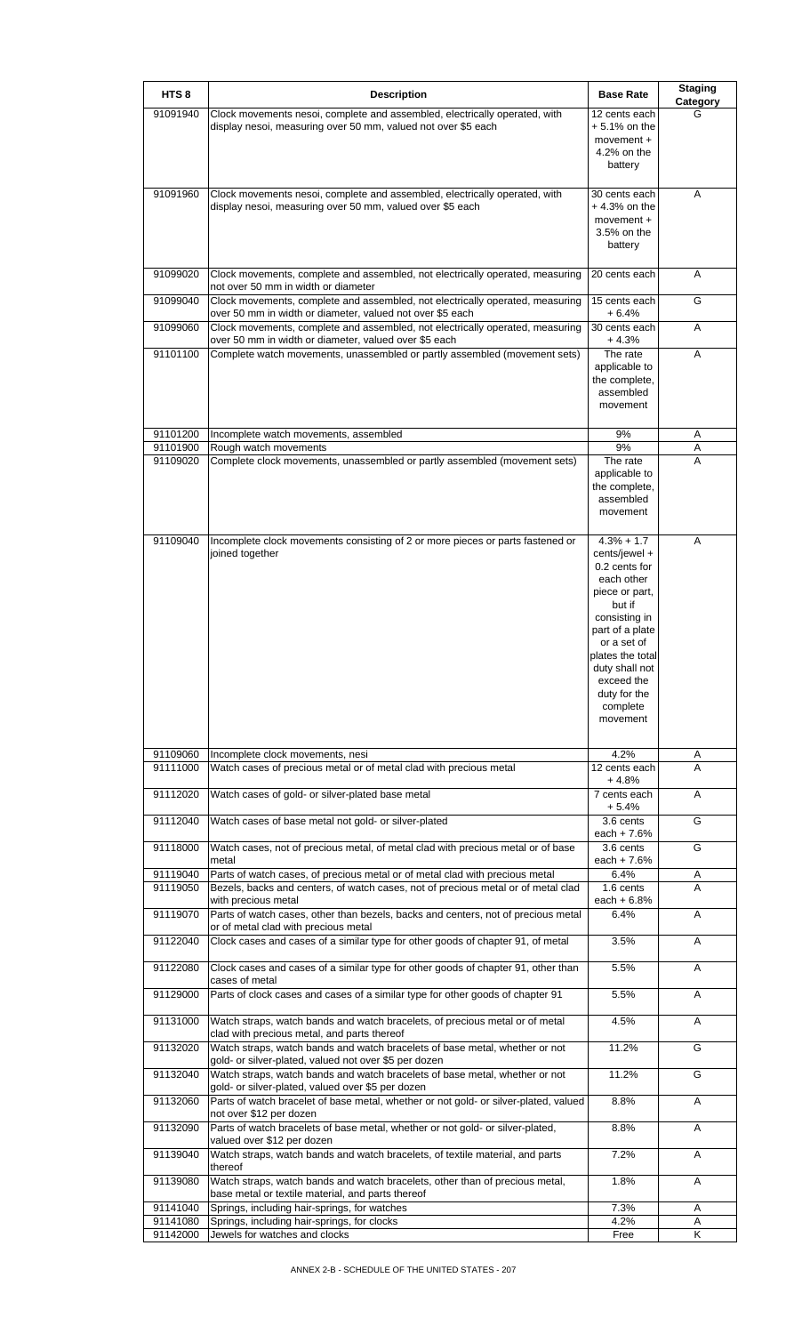| HTS <sub>8</sub>     | <b>Description</b>                                                                                                                                                                | <b>Base Rate</b>                   | <b>Staging</b><br>Category |
|----------------------|-----------------------------------------------------------------------------------------------------------------------------------------------------------------------------------|------------------------------------|----------------------------|
| 91091940             | Clock movements nesoi, complete and assembled, electrically operated, with<br>display nesoi, measuring over 50 mm, valued not over \$5 each                                       | 12 cents each<br>+ 5.1% on the     | G                          |
|                      |                                                                                                                                                                                   | movement +<br>4.2% on the          |                            |
|                      |                                                                                                                                                                                   | battery                            |                            |
| 91091960             | Clock movements nesoi, complete and assembled, electrically operated, with                                                                                                        | 30 cents each                      | A                          |
|                      | display nesoi, measuring over 50 mm, valued over \$5 each                                                                                                                         | $+4.3%$ on the<br>movement +       |                            |
|                      |                                                                                                                                                                                   | 3.5% on the<br>battery             |                            |
| 91099020             | Clock movements, complete and assembled, not electrically operated, measuring                                                                                                     | 20 cents each                      | A                          |
| 91099040             | not over 50 mm in width or diameter<br>Clock movements, complete and assembled, not electrically operated, measuring<br>over 50 mm in width or diameter, valued not over \$5 each | 15 cents each<br>+ 6.4%            | G                          |
| 91099060             | Clock movements, complete and assembled, not electrically operated, measuring<br>over 50 mm in width or diameter, valued over \$5 each                                            | 30 cents each<br>$+4.3%$           | A                          |
| 91101100             | Complete watch movements, unassembled or partly assembled (movement sets)                                                                                                         | The rate                           | Α                          |
|                      |                                                                                                                                                                                   | applicable to<br>the complete,     |                            |
|                      |                                                                                                                                                                                   | assembled<br>movement              |                            |
|                      |                                                                                                                                                                                   |                                    |                            |
| 91101200             | Incomplete watch movements, assembled                                                                                                                                             | 9%                                 | Α                          |
| 91101900<br>91109020 | Rough watch movements<br>Complete clock movements, unassembled or partly assembled (movement sets)                                                                                | 9%<br>The rate                     | Α<br>A                     |
|                      |                                                                                                                                                                                   | applicable to<br>the complete,     |                            |
|                      |                                                                                                                                                                                   | assembled                          |                            |
|                      |                                                                                                                                                                                   | movement                           |                            |
| 91109040             | Incomplete clock movements consisting of 2 or more pieces or parts fastened or                                                                                                    | $4.3% + 1.7$                       | A                          |
|                      | joined together                                                                                                                                                                   | cents/jewel +<br>0.2 cents for     |                            |
|                      |                                                                                                                                                                                   | each other                         |                            |
|                      |                                                                                                                                                                                   | piece or part,<br>but if           |                            |
|                      |                                                                                                                                                                                   | consisting in<br>part of a plate   |                            |
|                      |                                                                                                                                                                                   | or a set of                        |                            |
|                      |                                                                                                                                                                                   | plates the total<br>duty shall not |                            |
|                      |                                                                                                                                                                                   | exceed the                         |                            |
|                      |                                                                                                                                                                                   | duty for the<br>complete           |                            |
|                      |                                                                                                                                                                                   | movement                           |                            |
|                      |                                                                                                                                                                                   |                                    |                            |
| 91109060<br>91111000 | Incomplete clock movements, nesi<br>Watch cases of precious metal or of metal clad with precious metal                                                                            | 4.2%<br>12 cents each              | A<br>A                     |
| 91112020             | Watch cases of gold- or silver-plated base metal                                                                                                                                  | $+4.8%$<br>7 cents each            | Α                          |
| 91112040             | Watch cases of base metal not gold- or silver-plated                                                                                                                              | $+5.4%$<br>3.6 cents               | G                          |
|                      |                                                                                                                                                                                   | each + $7.6%$                      |                            |
| 91118000             | Watch cases, not of precious metal, of metal clad with precious metal or of base<br>metal                                                                                         | 3.6 cents<br>each + $7.6%$         | G                          |
| 91119040             | Parts of watch cases, of precious metal or of metal clad with precious metal                                                                                                      | 6.4%                               | A                          |
| 91119050             | Bezels, backs and centers, of watch cases, not of precious metal or of metal clad<br>with precious metal                                                                          | 1.6 cents<br>each $+6.8%$          | A                          |
| 91119070             | Parts of watch cases, other than bezels, backs and centers, not of precious metal<br>or of metal clad with precious metal                                                         | 6.4%                               | Α                          |
| 91122040             | Clock cases and cases of a similar type for other goods of chapter 91, of metal                                                                                                   | 3.5%                               | Α                          |
| 91122080             | Clock cases and cases of a similar type for other goods of chapter 91, other than<br>cases of metal                                                                               | 5.5%                               | Α                          |
| 91129000             | Parts of clock cases and cases of a similar type for other goods of chapter 91                                                                                                    | 5.5%                               | A                          |
| 91131000             | Watch straps, watch bands and watch bracelets, of precious metal or of metal<br>clad with precious metal, and parts thereof                                                       | 4.5%                               | A                          |
| 91132020             | Watch straps, watch bands and watch bracelets of base metal, whether or not<br>gold- or silver-plated, valued not over \$5 per dozen                                              | 11.2%                              | G                          |
| 91132040             | Watch straps, watch bands and watch bracelets of base metal, whether or not<br>gold- or silver-plated, valued over \$5 per dozen                                                  | 11.2%                              | G                          |
| 91132060             | Parts of watch bracelet of base metal, whether or not gold- or silver-plated, valued<br>not over \$12 per dozen                                                                   | 8.8%                               | A                          |
| 91132090             | Parts of watch bracelets of base metal, whether or not gold- or silver-plated,<br>valued over \$12 per dozen                                                                      | 8.8%                               | Α                          |
| 91139040             | Watch straps, watch bands and watch bracelets, of textile material, and parts<br>thereof                                                                                          | 7.2%                               | Α                          |
| 91139080             | Watch straps, watch bands and watch bracelets, other than of precious metal,<br>base metal or textile material, and parts thereof                                                 | 1.8%                               | A                          |
| 91141040<br>91141080 | Springs, including hair-springs, for watches<br>Springs, including hair-springs, for clocks                                                                                       | 7.3%<br>4.2%                       | Α                          |
| 91142000             | Jewels for watches and clocks                                                                                                                                                     | Free                               | Α<br>K                     |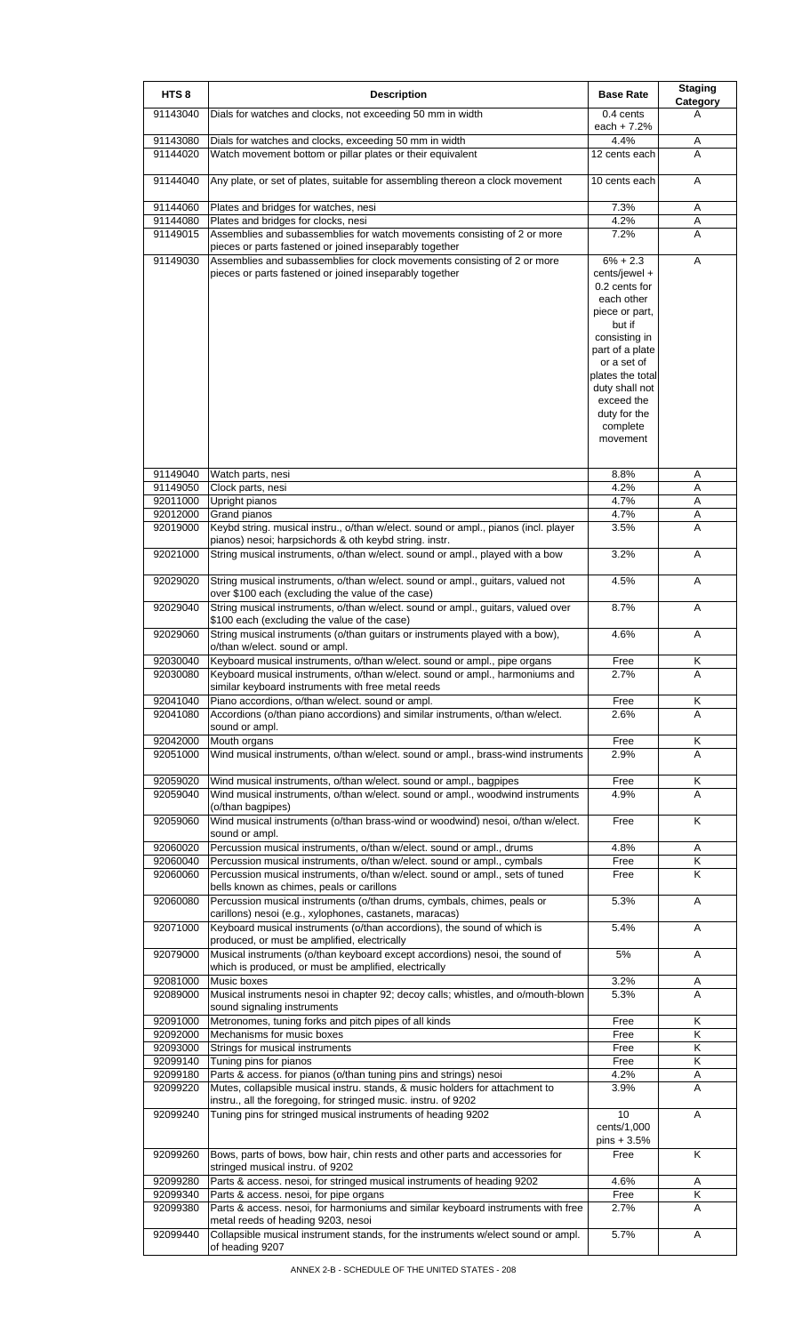| HTS <sub>8</sub>     | <b>Description</b>                                                                                                                                                                                              | <b>Base Rate</b>                                                                                                                                                                                                        | <b>Staging</b><br>Category |
|----------------------|-----------------------------------------------------------------------------------------------------------------------------------------------------------------------------------------------------------------|-------------------------------------------------------------------------------------------------------------------------------------------------------------------------------------------------------------------------|----------------------------|
| 91143040             | Dials for watches and clocks, not exceeding 50 mm in width                                                                                                                                                      | 0.4 cents                                                                                                                                                                                                               | A                          |
| 91143080             | Dials for watches and clocks, exceeding 50 mm in width                                                                                                                                                          | each $+ 7.2%$<br>4.4%                                                                                                                                                                                                   | Α                          |
| 91144020             | Watch movement bottom or pillar plates or their equivalent                                                                                                                                                      | 12 cents each                                                                                                                                                                                                           | A                          |
| 91144040             | Any plate, or set of plates, suitable for assembling thereon a clock movement                                                                                                                                   | 10 cents each                                                                                                                                                                                                           | Α                          |
| 91144060             | Plates and bridges for watches, nesi                                                                                                                                                                            | 7.3%                                                                                                                                                                                                                    | Α                          |
| 91144080<br>91149015 | Plates and bridges for clocks, nesi<br>Assemblies and subassemblies for watch movements consisting of 2 or more                                                                                                 | 4.2%<br>7.2%                                                                                                                                                                                                            | Α<br>Α                     |
| 91149030             | pieces or parts fastened or joined inseparably together<br>Assemblies and subassemblies for clock movements consisting of 2 or more                                                                             | $6\% + 2.3$                                                                                                                                                                                                             | Α                          |
|                      | pieces or parts fastened or joined inseparably together                                                                                                                                                         | cents/jewel +<br>0.2 cents for<br>each other<br>piece or part,<br>but if<br>consisting in<br>part of a plate<br>or a set of<br>plates the total<br>duty shall not<br>exceed the<br>duty for the<br>complete<br>movement |                            |
| 91149040             | Watch parts, nesi                                                                                                                                                                                               | 8.8%                                                                                                                                                                                                                    | A                          |
| 91149050<br>92011000 | Clock parts, nesi<br>Upright pianos                                                                                                                                                                             | 4.2%<br>4.7%                                                                                                                                                                                                            | Α<br>Α                     |
| 92012000             | Grand pianos                                                                                                                                                                                                    | 4.7%                                                                                                                                                                                                                    | Α                          |
| 92019000             | Keybd string. musical instru., o/than w/elect. sound or ampl., pianos (incl. player<br>pianos) nesoi; harpsichords & oth keybd string. instr.                                                                   | 3.5%                                                                                                                                                                                                                    | Α                          |
| 92021000             | String musical instruments, o/than w/elect. sound or ampl., played with a bow                                                                                                                                   | 3.2%                                                                                                                                                                                                                    | Α                          |
| 92029020             | String musical instruments, o/than w/elect. sound or ampl., guitars, valued not<br>over \$100 each (excluding the value of the case)                                                                            | 4.5%                                                                                                                                                                                                                    | Α                          |
| 92029040             | String musical instruments, o/than w/elect. sound or ampl., guitars, valued over<br>\$100 each (excluding the value of the case)                                                                                | 8.7%                                                                                                                                                                                                                    | Α                          |
| 92029060             | String musical instruments (o/than guitars or instruments played with a bow),<br>o/than w/elect. sound or ampl.                                                                                                 | 4.6%                                                                                                                                                                                                                    | Α                          |
| 92030040<br>92030080 | Keyboard musical instruments, o/than w/elect. sound or ampl., pipe organs<br>Keyboard musical instruments, o/than w/elect. sound or ampl., harmoniums and<br>similar keyboard instruments with free metal reeds | Free<br>2.7%                                                                                                                                                                                                            | Κ<br>A                     |
| 92041040             | Piano accordions, o/than w/elect. sound or ampl.                                                                                                                                                                | Free                                                                                                                                                                                                                    | Κ                          |
| 92041080             | Accordions (o/than piano accordions) and similar instruments, o/than w/elect.<br>sound or ampl.                                                                                                                 | 2.6%                                                                                                                                                                                                                    | A                          |
| 92042000<br>92051000 | Mouth organs<br>Wind musical instruments, o/than w/elect. sound or ampl., brass-wind instruments                                                                                                                | Free<br>2.9%                                                                                                                                                                                                            | Κ<br>A                     |
| 92059020             | Wind musical instruments, o/than w/elect. sound or ampl., bagpipes                                                                                                                                              | Free                                                                                                                                                                                                                    | Κ                          |
| 92059040             | Wind musical instruments, o/than w/elect. sound or ampl., woodwind instruments<br>(o/than bagpipes)                                                                                                             | 4.9%                                                                                                                                                                                                                    | A                          |
| 92059060             | Wind musical instruments (o/than brass-wind or woodwind) nesoi, o/than w/elect.<br>sound or ampl.                                                                                                               | Free                                                                                                                                                                                                                    | Κ                          |
| 92060020<br>92060040 | Percussion musical instruments, o/than w/elect. sound or ampl., drums<br>Percussion musical instruments, o/than w/elect. sound or ampl., cymbals                                                                | 4.8%<br>Free                                                                                                                                                                                                            | Α<br>Κ                     |
| 92060060             | Percussion musical instruments, o/than w/elect. sound or ampl., sets of tuned                                                                                                                                   | Free                                                                                                                                                                                                                    | K                          |
| 92060080             | bells known as chimes, peals or carillons<br>Percussion musical instruments (o/than drums, cymbals, chimes, peals or                                                                                            | 5.3%                                                                                                                                                                                                                    | Α                          |
| 92071000             | carillons) nesoi (e.g., xylophones, castanets, maracas)<br>Keyboard musical instruments (o/than accordions), the sound of which is                                                                              | 5.4%                                                                                                                                                                                                                    | A                          |
| 92079000             | produced, or must be amplified, electrically<br>Musical instruments (o/than keyboard except accordions) nesoi, the sound of<br>which is produced, or must be amplified, electrically                            | 5%                                                                                                                                                                                                                      | Α                          |
| 92081000<br>92089000 | Music boxes<br>Musical instruments nesoi in chapter 92; decoy calls; whistles, and o/mouth-blown                                                                                                                | 3.2%<br>5.3%                                                                                                                                                                                                            | Α<br>A                     |
| 92091000             | sound signaling instruments<br>Metronomes, tuning forks and pitch pipes of all kinds                                                                                                                            | Free                                                                                                                                                                                                                    | Κ                          |
| 92092000             | Mechanisms for music boxes                                                                                                                                                                                      | Free                                                                                                                                                                                                                    | Κ                          |
| 92093000             | Strings for musical instruments                                                                                                                                                                                 | Free                                                                                                                                                                                                                    | Κ                          |
| 92099140<br>92099180 | Tuning pins for pianos                                                                                                                                                                                          | Free<br>4.2%                                                                                                                                                                                                            | Κ                          |
| 92099220             | Parts & access. for pianos (o/than tuning pins and strings) nesoi<br>Mutes, collapsible musical instru. stands, & music holders for attachment to                                                               | 3.9%                                                                                                                                                                                                                    | A<br>A                     |
| 92099240             | instru., all the foregoing, for stringed music. instru. of 9202<br>Tuning pins for stringed musical instruments of heading 9202                                                                                 | 10<br>cents/1,000                                                                                                                                                                                                       | Α                          |
| 92099260             | Bows, parts of bows, bow hair, chin rests and other parts and accessories for                                                                                                                                   | $pins + 3.5%$<br>Free                                                                                                                                                                                                   | K                          |
| 92099280             | stringed musical instru. of 9202<br>Parts & access. nesoi, for stringed musical instruments of heading 9202                                                                                                     | 4.6%                                                                                                                                                                                                                    | Α                          |
| 92099340             | Parts & access. nesoi, for pipe organs                                                                                                                                                                          | Free                                                                                                                                                                                                                    | Κ                          |
| 92099380             | Parts & access. nesoi, for harmoniums and similar keyboard instruments with free                                                                                                                                | 2.7%                                                                                                                                                                                                                    | Α                          |
| 92099440             | metal reeds of heading 9203, nesoi<br>Collapsible musical instrument stands, for the instruments w/elect sound or ampl.<br>of heading 9207                                                                      | 5.7%                                                                                                                                                                                                                    | Α                          |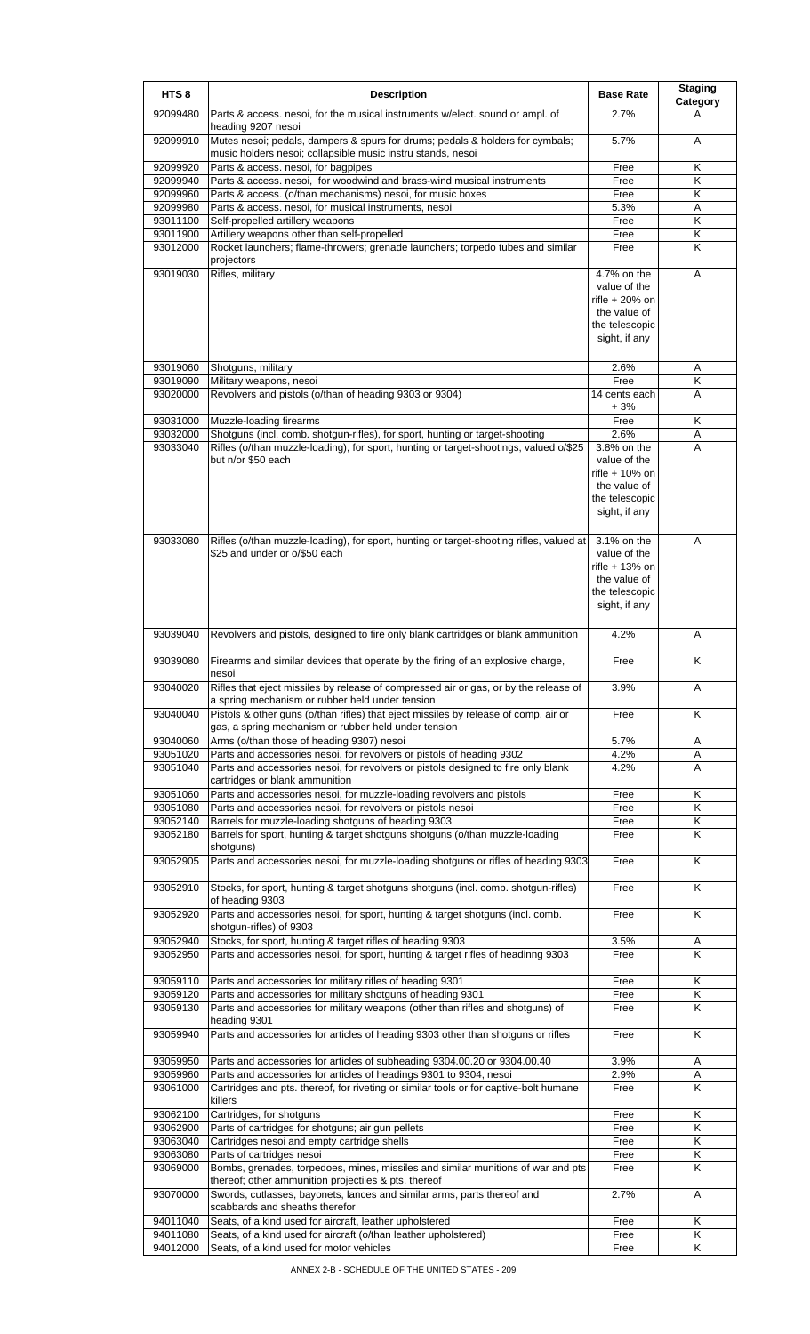| HTS <sub>8</sub>     | <b>Description</b>                                                                                                                                         | <b>Base Rate</b>                                                                                  | <b>Staging</b><br><b>Category</b> |
|----------------------|------------------------------------------------------------------------------------------------------------------------------------------------------------|---------------------------------------------------------------------------------------------------|-----------------------------------|
| 92099480             | Parts & access. nesoi, for the musical instruments w/elect. sound or ampl. of<br>heading 9207 nesoi                                                        | 2.7%                                                                                              | A                                 |
| 92099910             | Mutes nesoi; pedals, dampers & spurs for drums; pedals & holders for cymbals;<br>music holders nesoi; collapsible music instru stands, nesoi               | 5.7%                                                                                              | A                                 |
| 92099920             | Parts & access. nesoi, for bagpipes                                                                                                                        | Free                                                                                              | κ                                 |
| 92099940             | Parts & access. nesoi, for woodwind and brass-wind musical instruments                                                                                     | Free                                                                                              | Κ                                 |
| 92099960             | Parts & access. (o/than mechanisms) nesoi, for music boxes                                                                                                 | Free                                                                                              | K                                 |
| 92099980             | Parts & access. nesoi, for musical instruments, nesoi                                                                                                      | 5.3%                                                                                              | Α                                 |
| 93011100             | Self-propelled artillery weapons                                                                                                                           | Free                                                                                              | Κ                                 |
| 93011900             | Artillery weapons other than self-propelled                                                                                                                | Free                                                                                              | Κ                                 |
| 93012000             | Rocket launchers; flame-throwers; grenade launchers; torpedo tubes and similar<br>projectors                                                               | Free                                                                                              | Κ                                 |
| 93019030             | Rifles, military                                                                                                                                           | 4.7% on the<br>value of the<br>rifle $+20%$ on<br>the value of<br>the telescopic<br>sight, if any | A                                 |
| 93019060             | Shotquns, military                                                                                                                                         | 2.6%                                                                                              | Α                                 |
| 93019090             | Military weapons, nesoi                                                                                                                                    | Free                                                                                              | Κ                                 |
| 93020000             | Revolvers and pistols (o/than of heading 9303 or 9304)                                                                                                     | 14 cents each<br>$+3%$                                                                            | A                                 |
| 93031000             | Muzzle-loading firearms                                                                                                                                    | Free                                                                                              | Κ                                 |
| 93032000             | Shotguns (incl. comb. shotgun-rifles), for sport, hunting or target-shooting                                                                               | 2.6%                                                                                              | A                                 |
| 93033040             | Rifles (o/than muzzle-loading), for sport, hunting or target-shootings, valued o/\$25<br>but n/or \$50 each                                                | 3.8% on the<br>value of the<br>rifle + 10% on<br>the value of<br>the telescopic<br>sight, if any  | A                                 |
| 93033080             | Rifles (o/than muzzle-loading), for sport, hunting or target-shooting rifles, valued at<br>\$25 and under or o/\$50 each                                   | 3.1% on the<br>value of the<br>rifle + 13% on<br>the value of<br>the telescopic<br>sight, if any  | A                                 |
| 93039040             | Revolvers and pistols, designed to fire only blank cartridges or blank ammunition                                                                          | 4.2%                                                                                              | A                                 |
| 93039080             | Firearms and similar devices that operate by the firing of an explosive charge,<br>nesol                                                                   | Free                                                                                              | Κ                                 |
| 93040020             | Rifles that eject missiles by release of compressed air or gas, or by the release of<br>a spring mechanism or rubber held under tension                    | 3.9%                                                                                              | A                                 |
| 93040040             | Pistols & other guns (o/than rifles) that eject missiles by release of comp. air or<br>gas, a spring mechanism or rubber held under tension                | Free                                                                                              | K                                 |
| 93040060             | Arms (o/than those of heading 9307) nesoi                                                                                                                  | 5.7%                                                                                              | Α                                 |
| 93051020<br>93051040 | Parts and accessories nesoi, for revolvers or pistols of heading 9302<br>Parts and accessories nesoi, for revolvers or pistols designed to fire only blank | 4.2%<br>4.2%                                                                                      | Α<br>A                            |
|                      | cartridges or blank ammunition                                                                                                                             |                                                                                                   |                                   |
| 93051060             | Parts and accessories nesoi, for muzzle-loading revolvers and pistols                                                                                      | Free                                                                                              | Κ                                 |
| 93051080<br>93052140 | Parts and accessories nesoi, for revolvers or pistols nesoi<br>Barrels for muzzle-loading shotguns of heading 9303                                         | Free<br>Free                                                                                      | Κ<br>Κ                            |
| 93052180             | Barrels for sport, hunting & target shotguns shotguns (o/than muzzle-loading                                                                               | Free                                                                                              | Κ                                 |
|                      | shotguns)                                                                                                                                                  |                                                                                                   |                                   |
| 93052905             | Parts and accessories nesoi, for muzzle-loading shotguns or rifles of heading 9303                                                                         | Free                                                                                              | K                                 |
| 93052910             | Stocks, for sport, hunting & target shotguns shotguns (incl. comb. shotgun-rifles)<br>of heading 9303                                                      | Free                                                                                              | Κ                                 |
| 93052920             | Parts and accessories nesoi, for sport, hunting & target shotguns (incl. comb.<br>shotgun-rifles) of 9303                                                  | Free                                                                                              | Κ                                 |
| 93052940             | Stocks, for sport, hunting & target rifles of heading 9303                                                                                                 | 3.5%                                                                                              | Α                                 |
| 93052950             | Parts and accessories nesoi, for sport, hunting & target rifles of headinng 9303                                                                           | Free                                                                                              | K                                 |
| 93059110             | Parts and accessories for military rifles of heading 9301                                                                                                  | Free                                                                                              | Κ                                 |
| 93059120             | Parts and accessories for military shotguns of heading 9301                                                                                                | Free                                                                                              | Κ                                 |
| 93059130             | Parts and accessories for military weapons (other than rifles and shotguns) of<br>heading 9301                                                             | Free                                                                                              | Κ                                 |
| 93059940             | Parts and accessories for articles of heading 9303 other than shotguns or rifles                                                                           | Free                                                                                              | Κ                                 |
| 93059950             | Parts and accessories for articles of subheading 9304.00.20 or 9304.00.40                                                                                  | 3.9%                                                                                              | Α                                 |
| 93059960             | Parts and accessories for articles of headings 9301 to 9304, nesoi                                                                                         | 2.9%                                                                                              | Α                                 |
| 93061000             | Cartridges and pts. thereof, for riveting or similar tools or for captive-bolt humane<br>killers                                                           | Free                                                                                              | Κ                                 |
| 93062100             | Cartridges, for shotguns                                                                                                                                   | Free                                                                                              | Κ                                 |
| 93062900             | Parts of cartridges for shotguns; air gun pellets                                                                                                          | Free                                                                                              | Κ                                 |
| 93063040             | Cartridges nesoi and empty cartridge shells                                                                                                                | Free                                                                                              | Κ                                 |
| 93063080             | Parts of cartridges nesoi                                                                                                                                  | Free                                                                                              | Κ                                 |
| 93069000             | Bombs, grenades, torpedoes, mines, missiles and similar munitions of war and pts<br>thereof; other ammunition projectiles & pts. thereof                   | Free                                                                                              | Κ                                 |
| 93070000             | Swords, cutlasses, bayonets, lances and similar arms, parts thereof and<br>scabbards and sheaths therefor                                                  | 2.7%                                                                                              | A                                 |
| 94011040             | Seats, of a kind used for aircraft, leather upholstered                                                                                                    | Free                                                                                              | Κ                                 |
| 94011080             | Seats, of a kind used for aircraft (o/than leather upholstered)                                                                                            | Free                                                                                              | Κ                                 |
| 94012000             | Seats, of a kind used for motor vehicles                                                                                                                   | Free                                                                                              | Κ                                 |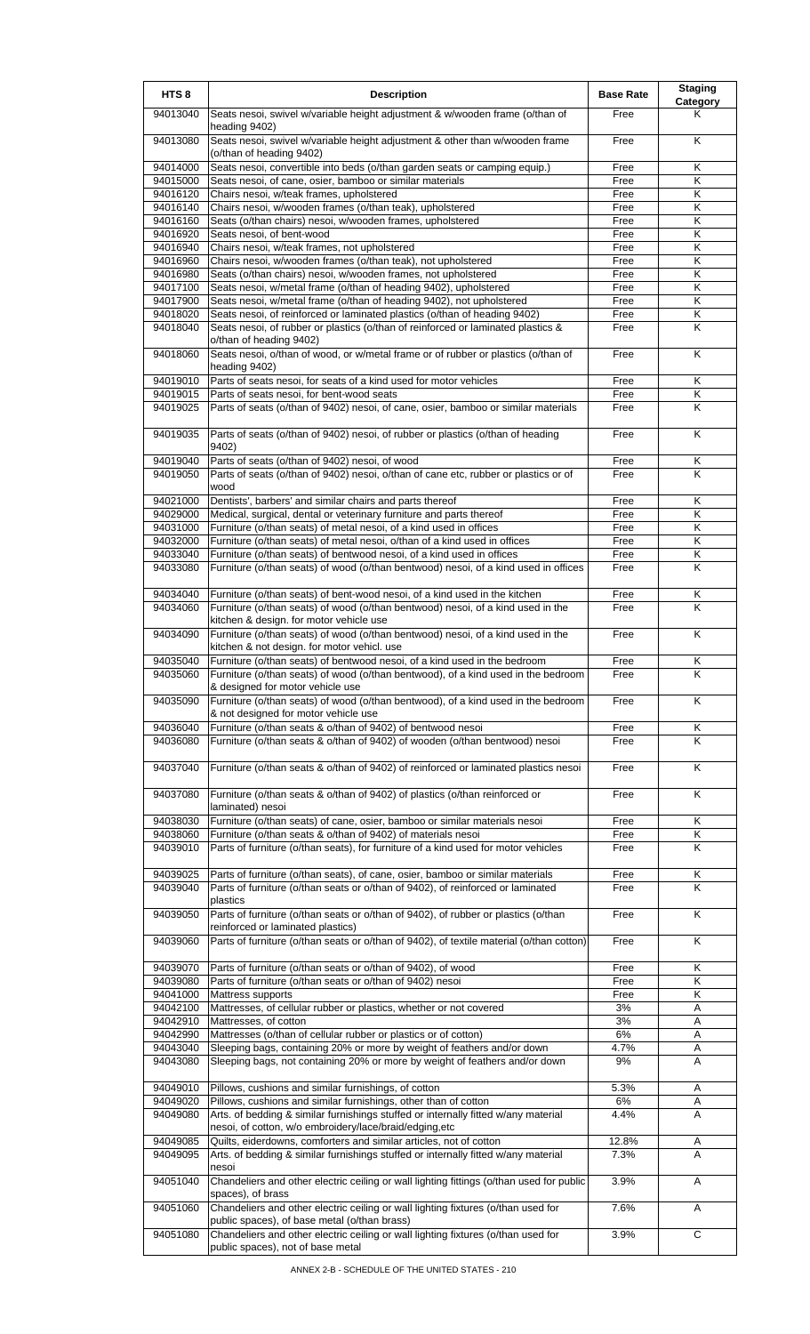| HTS <sub>8</sub>     | <b>Description</b>                                                                                                                                                                                 | <b>Base Rate</b> | <b>Staging</b><br>Category |
|----------------------|----------------------------------------------------------------------------------------------------------------------------------------------------------------------------------------------------|------------------|----------------------------|
| 94013040             | Seats nesoi, swivel w/variable height adjustment & w/wooden frame (o/than of<br>heading 9402)                                                                                                      | Free             | Κ                          |
| 94013080             | Seats nesoi, swivel w/variable height adjustment & other than w/wooden frame<br>(o/than of heading 9402)                                                                                           | Free             | K                          |
| 94014000             | Seats nesoi, convertible into beds (o/than garden seats or camping equip.)                                                                                                                         | Free             | Κ                          |
| 94015000             | Seats nesoi, of cane, osier, bamboo or similar materials                                                                                                                                           | Free             | Κ                          |
| 94016120             | Chairs nesoi, w/teak frames, upholstered                                                                                                                                                           | Free             | K                          |
| 94016140             | Chairs nesoi, w/wooden frames (o/than teak), upholstered                                                                                                                                           | Free             | Κ                          |
| 94016160             | Seats (o/than chairs) nesoi, w/wooden frames, upholstered                                                                                                                                          | Free             | Κ                          |
| 94016920             | Seats nesoi, of bent-wood                                                                                                                                                                          | Free             | Κ                          |
| 94016940             | Chairs nesoi, w/teak frames, not upholstered                                                                                                                                                       | Free             | Κ                          |
| 94016960             | Chairs nesoi, w/wooden frames (o/than teak), not upholstered                                                                                                                                       | Free             | Κ                          |
| 94016980             | Seats (o/than chairs) nesoi, w/wooden frames, not upholstered                                                                                                                                      | Free             | Κ                          |
| 94017100             | Seats nesoi, w/metal frame (o/than of heading 9402), upholstered                                                                                                                                   | Free             | Κ                          |
| 94017900             | Seats nesoi, w/metal frame (o/than of heading 9402), not upholstered                                                                                                                               | Free             | K                          |
| 94018020             | Seats nesoi, of reinforced or laminated plastics (o/than of heading 9402)                                                                                                                          | Free             | Κ                          |
| 94018040             | Seats nesoi, of rubber or plastics (o/than of reinforced or laminated plastics &<br>o/than of heading 9402)                                                                                        | Free             | Κ                          |
| 94018060<br>94019010 | Seats nesoi, o/than of wood, or w/metal frame or of rubber or plastics (o/than of<br>heading 9402)<br>Parts of seats nesoi, for seats of a kind used for motor vehicles                            | Free<br>Free     | K<br>K                     |
| 94019015             | Parts of seats nesoi, for bent-wood seats                                                                                                                                                          | Free             | $\overline{\mathsf{K}}$    |
| 94019025             | Parts of seats (o/than of 9402) nesoi, of cane, osier, bamboo or similar materials                                                                                                                 | Free             | Κ                          |
|                      |                                                                                                                                                                                                    |                  |                            |
| 94019035             | Parts of seats (o/than of 9402) nesoi, of rubber or plastics (o/than of heading<br>9402)                                                                                                           | Free             | K                          |
| 94019040             | Parts of seats (o/than of 9402) nesoi, of wood                                                                                                                                                     | Free             | Κ                          |
| 94019050             | Parts of seats (o/than of 9402) nesoi, o/than of cane etc, rubber or plastics or of<br>wood                                                                                                        | Free             | K                          |
| 94021000             | Dentists', barbers' and similar chairs and parts thereof                                                                                                                                           | Free             | Κ                          |
| 94029000             | Medical, surgical, dental or veterinary furniture and parts thereof                                                                                                                                | Free             | Κ                          |
| 94031000             | Furniture (o/than seats) of metal nesoi, of a kind used in offices                                                                                                                                 | Free             | K                          |
| 94032000             | Furniture (o/than seats) of metal nesoi, o/than of a kind used in offices                                                                                                                          | Free             | Κ                          |
| 94033040             | Furniture (o/than seats) of bentwood nesol, of a kind used in offices                                                                                                                              | Free             | Κ                          |
| 94033080             | Furniture (o/than seats) of wood (o/than bentwood) nesoi, of a kind used in offices                                                                                                                | Free             | K                          |
| 94034040             | Furniture (o/than seats) of bent-wood nesol, of a kind used in the kitchen                                                                                                                         | Free             | Κ                          |
| 94034060             | Furniture (o/than seats) of wood (o/than bentwood) nesoi, of a kind used in the                                                                                                                    | Free             | K                          |
|                      | kitchen & design. for motor vehicle use                                                                                                                                                            |                  |                            |
| 94034090             | Furniture (o/than seats) of wood (o/than bentwood) nesoi, of a kind used in the<br>kitchen & not design. for motor vehicl. use                                                                     | Free             | K                          |
| 94035040<br>94035060 | Furniture (o/than seats) of bentwood nesoi, of a kind used in the bedroom<br>Furniture (o/than seats) of wood (o/than bentwood), of a kind used in the bedroom<br>& designed for motor vehicle use | Free<br>Free     | Κ<br>ĸ                     |
| 94035090             | Furniture (o/than seats) of wood (o/than bentwood), of a kind used in the bedroom<br>& not designed for motor vehicle use                                                                          | Free             | Κ                          |
| 94036040             | Furniture (o/than seats & o/than of 9402) of bentwood nesoi                                                                                                                                        | Free             | Κ                          |
| 94036080             | Furniture (o/than seats & o/than of 9402) of wooden (o/than bentwood) nesoi                                                                                                                        | Free             | K                          |
| 94037040             | Furniture (o/than seats & o/than of 9402) of reinforced or laminated plastics nesoi                                                                                                                | Free             | K                          |
| 94037080             | Furniture (o/than seats & o/than of 9402) of plastics (o/than reinforced or                                                                                                                        | Free             | Κ                          |
|                      | laminated) nesoi                                                                                                                                                                                   |                  |                            |
| 94038030             | Furniture (o/than seats) of cane, osier, bamboo or similar materials nesoi                                                                                                                         | Free             | K                          |
| 94038060             | Furniture (o/than seats & o/than of 9402) of materials nesoi                                                                                                                                       | Free             | Κ                          |
| 94039010             | Parts of furniture (o/than seats), for furniture of a kind used for motor vehicles                                                                                                                 | Free             | K                          |
| 94039025             | Parts of furniture (o/than seats), of cane, osier, bamboo or similar materials                                                                                                                     | Free             | Κ                          |
| 94039040             | Parts of furniture (o/than seats or o/than of 9402), of reinforced or laminated                                                                                                                    | Free             | Κ                          |
| 94039050             | plastics<br>Parts of furniture (o/than seats or o/than of 9402), of rubber or plastics (o/than                                                                                                     | Free             | K                          |
| 94039060             | reinforced or laminated plastics)<br>Parts of furniture (o/than seats or o/than of 9402), of textile material (o/than cotton)                                                                      | Free             | Κ                          |
|                      |                                                                                                                                                                                                    |                  |                            |
| 94039070             | Parts of furniture (o/than seats or o/than of 9402), of wood                                                                                                                                       | Free             | K                          |
| 94039080             | Parts of furniture (o/than seats or o/than of 9402) nesoi                                                                                                                                          | Free             | K                          |
| 94041000             | Mattress supports                                                                                                                                                                                  | Free             | Κ                          |
| 94042100             | Mattresses, of cellular rubber or plastics, whether or not covered                                                                                                                                 | 3%               | Α                          |
| 94042910             | Mattresses, of cotton                                                                                                                                                                              | 3%               | A                          |
| 94042990             | Mattresses (o/than of cellular rubber or plastics or of cotton)                                                                                                                                    | 6%               | Α                          |
| 94043040<br>94043080 | Sleeping bags, containing 20% or more by weight of feathers and/or down<br>Sleeping bags, not containing 20% or more by weight of feathers and/or down                                             | 4.7%<br>9%       | Α<br>A                     |
| 94049010             | Pillows, cushions and similar furnishings, of cotton                                                                                                                                               | 5.3%             | Α                          |
| 94049020             | Pillows, cushions and similar furnishings, other than of cotton                                                                                                                                    | 6%               | Α                          |
| 94049080             | Arts. of bedding & similar furnishings stuffed or internally fitted w/any material<br>nesoi, of cotton, w/o embroidery/lace/braid/edging,etc                                                       | 4.4%             | A                          |
| 94049085             | Quilts, eiderdowns, comforters and similar articles, not of cotton                                                                                                                                 | 12.8%            | A                          |
| 94049095             | Arts. of bedding & similar furnishings stuffed or internally fitted w/any material                                                                                                                 | 7.3%             | A                          |
| 94051040             | nesoi<br>Chandeliers and other electric ceiling or wall lighting fittings (o/than used for public<br>spaces), of brass                                                                             | 3.9%             | Α                          |
| 94051060             | Chandeliers and other electric ceiling or wall lighting fixtures (o/than used for                                                                                                                  | 7.6%             | Α                          |
| 94051080             | public spaces), of base metal (o/than brass)<br>Chandeliers and other electric ceiling or wall lighting fixtures (o/than used for                                                                  | 3.9%             | C                          |
|                      | public spaces), not of base metal                                                                                                                                                                  |                  |                            |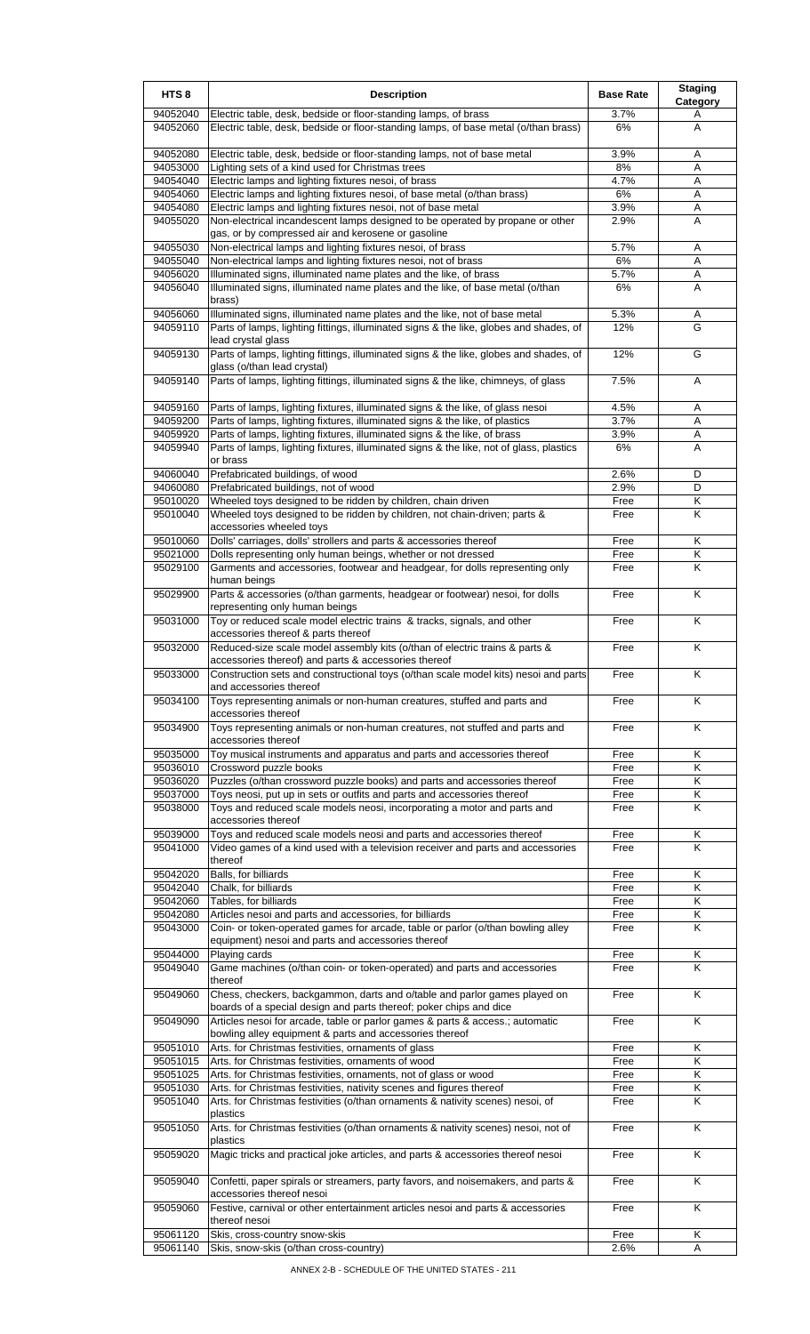| HTS <sub>8</sub>     | <b>Description</b>                                                                                                                                                   | <b>Base Rate</b> | <b>Staging</b><br>Category   |
|----------------------|----------------------------------------------------------------------------------------------------------------------------------------------------------------------|------------------|------------------------------|
| 94052040<br>94052060 | Electric table, desk, bedside or floor-standing lamps, of brass<br>Electric table, desk, bedside or floor-standing lamps, of base metal (o/than brass)               | 3.7%<br>6%       | A<br>A                       |
|                      |                                                                                                                                                                      |                  |                              |
| 94052080<br>94053000 | Electric table, desk, bedside or floor-standing lamps, not of base metal<br>Lighting sets of a kind used for Christmas trees                                         | 3.9%<br>8%       | A<br>Α                       |
| 94054040             | Electric lamps and lighting fixtures nesoi, of brass                                                                                                                 | 4.7%             | A                            |
| 94054060             | Electric lamps and lighting fixtures nesoi, of base metal (o/than brass)                                                                                             | 6%               | A                            |
| 94054080<br>94055020 | Electric lamps and lighting fixtures nesoi, not of base metal<br>Non-electrical incandescent lamps designed to be operated by propane or other                       | 3.9%<br>2.9%     | Α<br>A                       |
|                      | gas, or by compressed air and kerosene or gasoline                                                                                                                   |                  |                              |
| 94055030<br>94055040 | Non-electrical lamps and lighting fixtures nesoi, of brass<br>Non-electrical lamps and lighting fixtures nesoi, not of brass                                         | 5.7%<br>6%       | Α<br>A                       |
| 94056020             | Illuminated signs, illuminated name plates and the like, of brass                                                                                                    | 5.7%             | Α                            |
| 94056040             | Illuminated signs, illuminated name plates and the like, of base metal (o/than<br>brass)                                                                             | 6%               | A                            |
| 94056060<br>94059110 | Illuminated signs, illuminated name plates and the like, not of base metal<br>Parts of lamps, lighting fittings, illuminated signs & the like, globes and shades, of | 5.3%<br>12%      | Α<br>G                       |
| 94059130             | lead crystal glass<br>Parts of lamps, lighting fittings, illuminated signs & the like, globes and shades, of                                                         | 12%              | G                            |
|                      | glass (o/than lead crystal)                                                                                                                                          |                  |                              |
| 94059140             | Parts of lamps, lighting fittings, illuminated signs & the like, chimneys, of glass                                                                                  | 7.5%             | Α                            |
| 94059160<br>94059200 | Parts of lamps, lighting fixtures, illuminated signs & the like, of glass nesoi<br>Parts of lamps, lighting fixtures, illuminated signs & the like, of plastics      | 4.5%<br>3.7%     | A<br>Α                       |
| 94059920             | Parts of lamps, lighting fixtures, illuminated signs & the like, of brass                                                                                            | 3.9%             | Α                            |
| 94059940             | Parts of lamps, lighting fixtures, illuminated signs & the like, not of glass, plastics<br>or brass                                                                  | 6%               | A                            |
| 94060040             | Prefabricated buildings, of wood                                                                                                                                     | 2.6%             | D                            |
| 94060080             | Prefabricated buildings, not of wood                                                                                                                                 | 2.9%             | D                            |
| 95010020<br>95010040 | Wheeled toys designed to be ridden by children, chain driven<br>Wheeled toys designed to be ridden by children, not chain-driven; parts &                            | Free<br>Free     | Κ<br>Κ                       |
|                      | accessories wheeled toys                                                                                                                                             |                  |                              |
| 95010060<br>95021000 | Dolls' carriages, dolls' strollers and parts & accessories thereof                                                                                                   | Free<br>Free     | Κ<br>Κ                       |
| 95029100             | Dolls representing only human beings, whether or not dressed<br>Garments and accessories, footwear and headgear, for dolls representing only                         | Free             | K                            |
| 95029900             | human beings<br>Parts & accessories (o/than garments, headgear or footwear) nesoi, for dolls                                                                         | Free             | K                            |
| 95031000             | representing only human beings<br>Toy or reduced scale model electric trains & tracks, signals, and other                                                            | Free             | Κ                            |
|                      | accessories thereof & parts thereof                                                                                                                                  | Free             |                              |
| 95032000             | Reduced-size scale model assembly kits (o/than of electric trains & parts &<br>accessories thereof) and parts & accessories thereof                                  |                  | K                            |
| 95033000             | Construction sets and constructional toys (o/than scale model kits) nesoi and parts<br>and accessories thereof                                                       | Free             | Κ                            |
| 95034100             | Toys representing animals or non-human creatures, stuffed and parts and<br>accessories thereof                                                                       | Free             | K                            |
| 95034900             | Toys representing animals or non-human creatures, not stuffed and parts and<br>accessories thereof                                                                   | Free             | K                            |
| 95035000             | Toy musical instruments and apparatus and parts and accessories thereof                                                                                              | Free             | Κ                            |
| 95036010<br>95036020 | Crossword puzzle books<br>Puzzles (o/than crossword puzzle books) and parts and accessories thereof                                                                  | Free<br>Free     | Κ<br>Κ                       |
| 95037000             | Toys neosi, put up in sets or outfits and parts and accessories thereof                                                                                              | Free             | Κ                            |
| 95038000             | Toys and reduced scale models neosi, incorporating a motor and parts and                                                                                             | Free             | Κ                            |
| 95039000             | accessories thereof<br>Toys and reduced scale models neosi and parts and accessories thereof                                                                         | Free             | Κ                            |
| 95041000             | Video games of a kind used with a television receiver and parts and accessories<br>thereof                                                                           | Free             | K                            |
| 95042020             | Balls, for billiards                                                                                                                                                 | Free             | Κ                            |
| 95042040             | Chalk, for billiards                                                                                                                                                 | Free             | K                            |
| 95042060<br>95042080 | Tables, for billiards<br>Articles nesoi and parts and accessories, for billiards                                                                                     | Free<br>Free     | K<br>Κ                       |
| 95043000             | Coin- or token-operated games for arcade, table or parlor (o/than bowling alley<br>equipment) nesoi and parts and accessories thereof                                | Free             | K                            |
| 95044000             | Playing cards                                                                                                                                                        | Free             | Κ                            |
| 95049040             | Game machines (o/than coin- or token-operated) and parts and accessories<br>thereof                                                                                  | Free             | Κ                            |
| 95049060             | Chess, checkers, backgammon, darts and o/table and parlor games played on<br>boards of a special design and parts thereof; poker chips and dice                      | Free             | K                            |
| 95049090             | Articles nesoi for arcade, table or parlor games & parts & access.; automatic<br>bowling alley equipment & parts and accessories thereof                             | Free             | K                            |
| 95051010             | Arts. for Christmas festivities, ornaments of glass                                                                                                                  | Free             | Κ                            |
| 95051015<br>95051025 | Arts. for Christmas festivities, ornaments of wood<br>Arts. for Christmas festivities, ornaments, not of glass or wood                                               | Free<br>Free     | $\overline{\mathsf{K}}$<br>K |
| 95051030             | Arts. for Christmas festivities, nativity scenes and figures thereof                                                                                                 | Free             | Κ                            |
| 95051040             | Arts. for Christmas festivities (o/than ornaments & nativity scenes) nesoi, of<br>plastics                                                                           | Free             | K                            |
| 95051050             | Arts. for Christmas festivities (o/than ornaments & nativity scenes) nesoi, not of<br>plastics                                                                       | Free             | K                            |
| 95059020             | Magic tricks and practical joke articles, and parts & accessories thereof nesoi                                                                                      | Free             | K                            |
| 95059040             | Confetti, paper spirals or streamers, party favors, and noisemakers, and parts &<br>accessories thereof nesoi                                                        | Free             | K                            |
| 95059060             | Festive, carnival or other entertainment articles nesoi and parts & accessories<br>thereof nesoi                                                                     | Free             | K                            |
| 95061120             | Skis, cross-country snow-skis                                                                                                                                        | Free             | K                            |
| 95061140             | Skis, snow-skis (o/than cross-country)                                                                                                                               | 2.6%             | Α                            |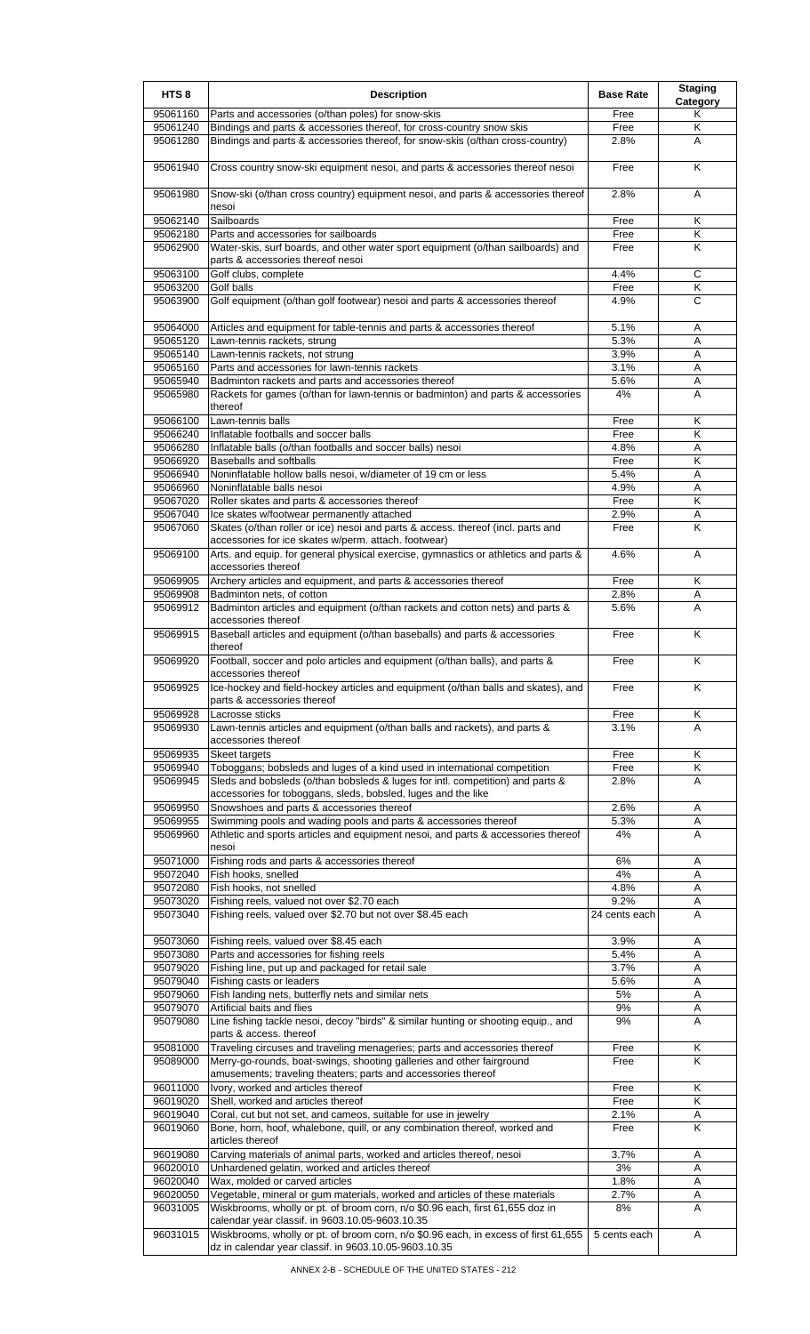| HTS <sub>8</sub>     | <b>Description</b>                                                                                                                                           | <b>Base Rate</b> | <b>Staging</b><br>Category |
|----------------------|--------------------------------------------------------------------------------------------------------------------------------------------------------------|------------------|----------------------------|
| 95061160             | Parts and accessories (o/than poles) for snow-skis                                                                                                           | Free             | Κ                          |
| 95061240             | Bindings and parts & accessories thereof, for cross-country snow skis                                                                                        | Free             | Κ                          |
| 95061280             | Bindings and parts & accessories thereof, for snow-skis (o/than cross-country)                                                                               | 2.8%             | A                          |
| 95061940             | Cross country snow-ski equipment nesoi, and parts & accessories thereof nesoi                                                                                | Free             | K                          |
| 95061980             | Snow-ski (o/than cross country) equipment nesoi, and parts & accessories thereof                                                                             | 2.8%             | A                          |
| 95062140             | nesoi<br>Sailboards                                                                                                                                          | Free             | Κ                          |
| 95062180             | Parts and accessories for sailboards                                                                                                                         | Free             | Κ                          |
| 95062900             | Water-skis, surf boards, and other water sport equipment (o/than sailboards) and                                                                             | Free             | Κ                          |
|                      | parts & accessories thereof nesoi                                                                                                                            |                  |                            |
| 95063100             | Golf clubs, complete                                                                                                                                         | 4.4%             | C                          |
| 95063200<br>95063900 | Golf balls<br>Golf equipment (o/than golf footwear) nesoi and parts & accessories thereof                                                                    | Free<br>4.9%     | Κ<br>C                     |
|                      |                                                                                                                                                              |                  |                            |
| 95064000<br>95065120 | Articles and equipment for table-tennis and parts & accessories thereof<br>Lawn-tennis rackets, strung                                                       | 5.1%<br>5.3%     | Α<br>Α                     |
| 95065140             | Lawn-tennis rackets, not strung                                                                                                                              | 3.9%             | A                          |
| 95065160             | Parts and accessories for lawn-tennis rackets                                                                                                                | 3.1%             | Α                          |
| 95065940             | Badminton rackets and parts and accessories thereof                                                                                                          | 5.6%             | Α                          |
| 95065980             | Rackets for games (o/than for lawn-tennis or badminton) and parts & accessories<br>thereof                                                                   | 4%               | A                          |
| 95066100             | Lawn-tennis balls                                                                                                                                            | Free             | Κ                          |
| 95066240             | Inflatable footballs and soccer balls                                                                                                                        | Free             | K                          |
| 95066280<br>95066920 | Inflatable balls (o/than footballs and soccer balls) nesoi<br><b>Baseballs and softballs</b>                                                                 | 4.8%             | Α                          |
| 95066940             | Noninflatable hollow balls nesoi, w/diameter of 19 cm or less                                                                                                | Free<br>5.4%     | Κ<br>A                     |
| 95066960             | Noninflatable balls nesoi                                                                                                                                    | 4.9%             | Α                          |
| 95067020             | Roller skates and parts & accessories thereof                                                                                                                | Free             | Κ                          |
| 95067040             | Ice skates w/footwear permanently attached                                                                                                                   | 2.9%             | Α                          |
| 95067060             | Skates (o/than roller or ice) nesoi and parts & access. thereof (incl. parts and<br>accessories for ice skates w/perm. attach. footwear)                     | Free             | Κ                          |
| 95069100             | Arts. and equip. for general physical exercise, gymnastics or athletics and parts &<br>accessories thereof                                                   | 4.6%             | A                          |
| 95069905             | Archery articles and equipment, and parts & accessories thereof                                                                                              | Free             | Κ                          |
| 95069908             | Badminton nets, of cotton                                                                                                                                    | 2.8%             | Α                          |
| 95069912             | Badminton articles and equipment (o/than rackets and cotton nets) and parts &<br>accessories thereof                                                         | 5.6%             | A                          |
| 95069915             | Baseball articles and equipment (o/than baseballs) and parts & accessories<br>thereof                                                                        | Free             | K                          |
| 95069920             | Football, soccer and polo articles and equipment (o/than balls), and parts &<br>accessories thereof                                                          | Free             | Κ                          |
| 95069925             | Ice-hockey and field-hockey articles and equipment (o/than balls and skates), and<br>parts & accessories thereof                                             | Free             | K                          |
| 95069928<br>95069930 | Lacrosse sticks<br>Lawn-tennis articles and equipment (o/than balls and rackets), and parts &                                                                | Free<br>3.1%     | Κ<br>A                     |
| 95069935             | accessories thereof<br>Skeet targets                                                                                                                         | Free             | Κ                          |
| 95069940             | Toboggans; bobsleds and luges of a kind used in international competition                                                                                    | Free             | K                          |
| 95069945             | Sleds and bobsleds (o/than bobsleds & luges for intl. competition) and parts &<br>accessories for toboggans, sleds, bobsled, luges and the like              | 2.8%             | A                          |
| 95069950             | Snowshoes and parts & accessories thereof                                                                                                                    | 2.6%             | Α                          |
| 95069955             | Swimming pools and wading pools and parts & accessories thereof                                                                                              | 5.3%             | Α                          |
| 95069960             | Athletic and sports articles and equipment nesoi, and parts & accessories thereof<br>nesoi                                                                   | 4%               | A                          |
| 95071000             | Fishing rods and parts & accessories thereof                                                                                                                 | 6%               | Α                          |
| 95072040             | Fish hooks, snelled                                                                                                                                          | 4%               | Α                          |
| 95072080<br>95073020 | Fish hooks, not snelled<br>Fishing reels, valued not over \$2.70 each                                                                                        | 4.8%<br>9.2%     | Α<br>A                     |
| 95073040             | Fishing reels, valued over \$2.70 but not over \$8.45 each                                                                                                   | 24 cents each    | A                          |
| 95073060             | Fishing reels, valued over \$8.45 each                                                                                                                       | 3.9%             | Α                          |
| 95073080             | Parts and accessories for fishing reels                                                                                                                      | 5.4%             | A                          |
| 95079020             | Fishing line, put up and packaged for retail sale                                                                                                            | 3.7%             | Α                          |
| 95079040             | Fishing casts or leaders                                                                                                                                     | 5.6%             | A                          |
| 95079060<br>95079070 | Fish landing nets, butterfly nets and similar nets<br>Artificial baits and flies                                                                             | 5%<br>9%         | Α<br>Α                     |
| 95079080             | Line fishing tackle nesoi, decoy "birds" & similar hunting or shooting equip., and<br>parts & access. thereof                                                | 9%               | A                          |
| 95081000             | Traveling circuses and traveling menageries; parts and accessories thereof                                                                                   | Free             | Κ                          |
| 95089000             | Merry-go-rounds, boat-swings, shooting galleries and other fairground<br>amusements; traveling theaters; parts and accessories thereof                       | Free             | Κ                          |
| 96011000             | Ivory, worked and articles thereof                                                                                                                           | Free             | Κ                          |
| 96019020             | Shell, worked and articles thereof                                                                                                                           | Free<br>2.1%     | K                          |
| 96019040<br>96019060 | Coral, cut but not set, and cameos, suitable for use in jewelry<br>Bone, horn, hoof, whalebone, quill, or any combination thereof, worked and                | Free             | Α<br>K                     |
| 96019080             | articles thereof<br>Carving materials of animal parts, worked and articles thereof, nesoi                                                                    | 3.7%             | Α                          |
| 96020010             | Unhardened gelatin, worked and articles thereof                                                                                                              | 3%               | A                          |
| 96020040             | Wax, molded or carved articles                                                                                                                               | 1.8%             | A                          |
| 96020050<br>96031005 | Vegetable, mineral or gum materials, worked and articles of these materials<br>Wiskbrooms, wholly or pt. of broom corn, n/o \$0.96 each, first 61,655 doz in | 2.7%<br>8%       | Α<br>Α                     |
|                      | calendar year classif. in 9603.10.05-9603.10.35                                                                                                              |                  |                            |
| 96031015             | Wiskbrooms, wholly or pt. of broom corn, n/o \$0.96 each, in excess of first 61,655<br>dz in calendar year classif. in 9603.10.05-9603.10.35                 | 5 cents each     | A                          |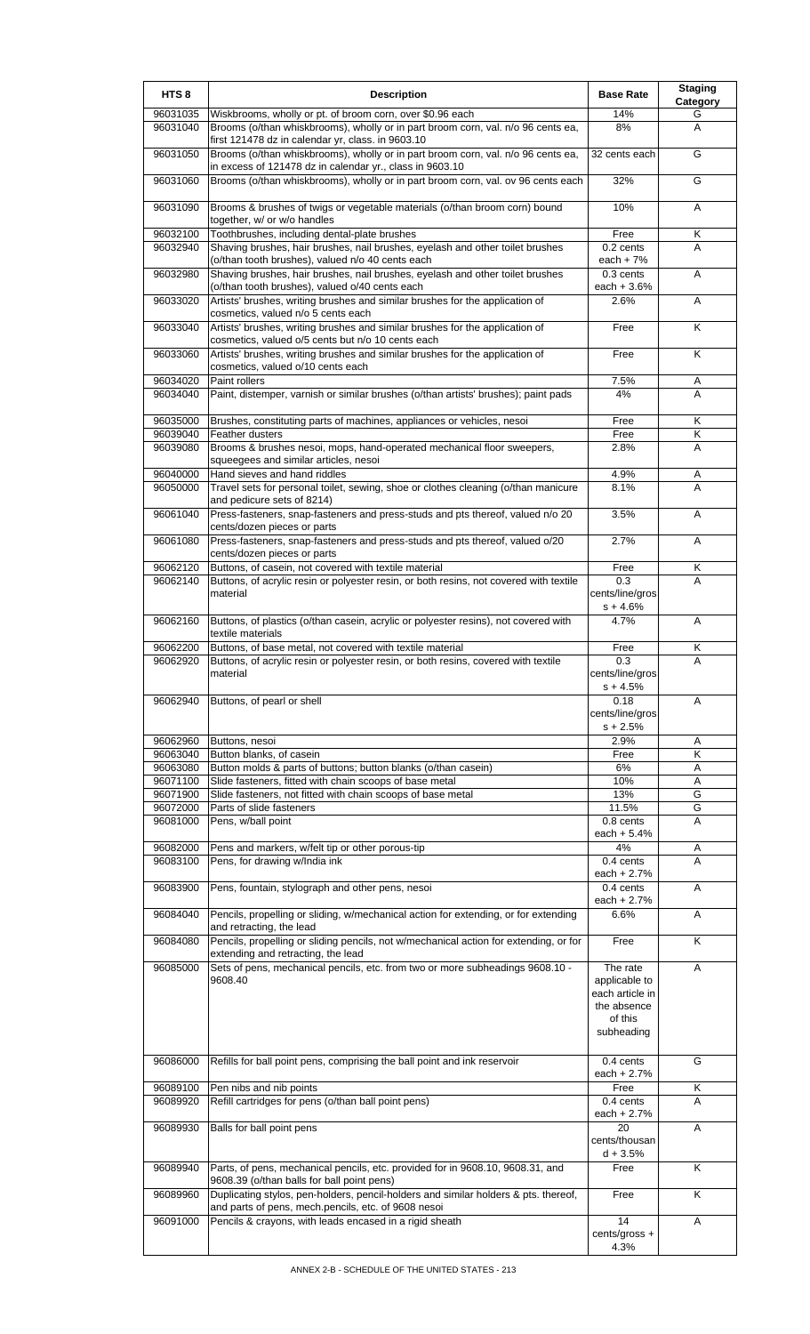| HTS <sub>8</sub>     | <b>Description</b>                                                                                                                                                                                       | <b>Base Rate</b>              | <b>Staging</b><br>Category |
|----------------------|----------------------------------------------------------------------------------------------------------------------------------------------------------------------------------------------------------|-------------------------------|----------------------------|
| 96031035             | Wiskbrooms, wholly or pt. of broom corn, over \$0.96 each                                                                                                                                                | 14%                           | G                          |
| 96031040             | Brooms (o/than whiskbrooms), wholly or in part broom corn, val. n/o 96 cents ea,<br>first 121478 dz in calendar yr, class. in 9603.10                                                                    | 8%                            | A                          |
| 96031050             | Brooms (o/than whiskbrooms), wholly or in part broom corn, val. n/o 96 cents ea,<br>in excess of 121478 dz in calendar yr., class in 9603.10                                                             | 32 cents each                 | G                          |
| 96031060             | Brooms (o/than whiskbrooms), wholly or in part broom corn, val. ov 96 cents each                                                                                                                         | 32%                           | G                          |
| 96031090             | Brooms & brushes of twigs or vegetable materials (o/than broom corn) bound<br>together, w/ or w/o handles                                                                                                | 10%                           | A                          |
| 96032100             | Toothbrushes, including dental-plate brushes                                                                                                                                                             | Free                          | Κ                          |
| 96032940             | Shaving brushes, hair brushes, nail brushes, eyelash and other toilet brushes                                                                                                                            | 0.2 cents                     | A                          |
|                      | (o/than tooth brushes), valued n/o 40 cents each                                                                                                                                                         | each $+7%$                    |                            |
| 96032980             | Shaving brushes, hair brushes, nail brushes, eyelash and other toilet brushes<br>(o/than tooth brushes), valued o/40 cents each                                                                          | $0.3$ cents<br>each $+3.6%$   | A                          |
| 96033020             | Artists' brushes, writing brushes and similar brushes for the application of<br>cosmetics, valued n/o 5 cents each                                                                                       | 2.6%                          | A                          |
| 96033040             | Artists' brushes, writing brushes and similar brushes for the application of<br>cosmetics, valued o/5 cents but n/o 10 cents each                                                                        | Free                          | Κ                          |
| 96033060             | Artists' brushes, writing brushes and similar brushes for the application of<br>cosmetics, valued o/10 cents each                                                                                        | Free                          | K                          |
| 96034020             | Paint rollers                                                                                                                                                                                            | 7.5%                          | Α                          |
| 96034040             | Paint, distemper, varnish or similar brushes (o/than artists' brushes); paint pads                                                                                                                       | 4%                            | A                          |
| 96035000             | Brushes, constituting parts of machines, appliances or vehicles, nesoi                                                                                                                                   | Free                          | Κ                          |
| 96039040             | Feather dusters                                                                                                                                                                                          | Free                          | Κ                          |
| 96039080             | Brooms & brushes nesoi, mops, hand-operated mechanical floor sweepers,<br>squeegees and similar articles, nesoi                                                                                          | 2.8%                          | Α                          |
| 96040000<br>96050000 | Hand sieves and hand riddles<br>Travel sets for personal toilet, sewing, shoe or clothes cleaning (o/than manicure                                                                                       | 4.9%<br>8.1%                  | Α<br>A                     |
|                      | and pedicure sets of 8214)                                                                                                                                                                               |                               |                            |
| 96061040             | Press-fasteners, snap-fasteners and press-studs and pts thereof, valued n/o 20<br>cents/dozen pieces or parts                                                                                            | 3.5%                          | Α                          |
| 96061080             | Press-fasteners, snap-fasteners and press-studs and pts thereof, valued o/20<br>cents/dozen pieces or parts                                                                                              | 2.7%                          | A                          |
| 96062120             | Buttons, of casein, not covered with textile material                                                                                                                                                    | Free                          | Κ                          |
| 96062140             | Buttons, of acrylic resin or polyester resin, or both resins, not covered with textile<br>material                                                                                                       | 0.3<br>cents/line/gros        | A                          |
| 96062160             | Buttons, of plastics (o/than casein, acrylic or polyester resins), not covered with                                                                                                                      | $s + 4.6%$<br>4.7%            | A                          |
| 96062200             | textile materials<br>Buttons, of base metal, not covered with textile material                                                                                                                           | Free                          | Κ                          |
| 96062920             | Buttons, of acrylic resin or polyester resin, or both resins, covered with textile                                                                                                                       | 0.3                           | Α                          |
|                      | material                                                                                                                                                                                                 | cents/line/gros<br>$s + 4.5%$ |                            |
| 96062940             | Buttons, of pearl or shell                                                                                                                                                                               | 0.18                          | A                          |
|                      |                                                                                                                                                                                                          | cents/line/gros<br>$s + 2.5%$ |                            |
| 96062960             | Buttons, nesoi                                                                                                                                                                                           | 2.9%                          | Α                          |
| 96063040             | Button blanks, of casein                                                                                                                                                                                 | Free                          | κ                          |
| 96063080             | Button molds & parts of buttons; button blanks (o/than casein)                                                                                                                                           | $6\%$                         | Α                          |
| 96071100             | Slide fasteners, fitted with chain scoops of base metal                                                                                                                                                  | 10%                           | Α                          |
| 96071900<br>96072000 | Slide fasteners, not fitted with chain scoops of base metal<br>Parts of slide fasteners                                                                                                                  | 13%<br>11.5%                  | G<br>G                     |
| 96081000             | Pens, w/ball point                                                                                                                                                                                       | 0.8 cents                     | A                          |
|                      |                                                                                                                                                                                                          | each $+ 5.4%$                 |                            |
| 96082000             | Pens and markers, w/felt tip or other porous-tip                                                                                                                                                         | 4%                            | Α                          |
| 96083100             | Pens, for drawing w/India ink                                                                                                                                                                            | 0.4 cents                     | A                          |
| 96083900             | Pens, fountain, stylograph and other pens, nesoi                                                                                                                                                         | each $+2.7%$<br>0.4 cents     | Α                          |
|                      |                                                                                                                                                                                                          | each $+2.7%$                  |                            |
| 96084040<br>96084080 | Pencils, propelling or sliding, w/mechanical action for extending, or for extending<br>and retracting, the lead<br>Pencils, propelling or sliding pencils, not w/mechanical action for extending, or for | 6.6%<br>Free                  | Α<br>Κ                     |
|                      | extending and retracting, the lead                                                                                                                                                                       |                               |                            |
| 96085000             | Sets of pens, mechanical pencils, etc. from two or more subheadings 9608.10 -<br>9608.40                                                                                                                 | The rate<br>applicable to     | A                          |
|                      |                                                                                                                                                                                                          | each article in               |                            |
|                      |                                                                                                                                                                                                          | the absence                   |                            |
|                      |                                                                                                                                                                                                          | of this                       |                            |
|                      |                                                                                                                                                                                                          | subheading                    |                            |
| 96086000             | Refills for ball point pens, comprising the ball point and ink reservoir                                                                                                                                 | 0.4 cents<br>each $+2.7%$     | G                          |
| 96089100             | Pen nibs and nib points                                                                                                                                                                                  | Free                          | Κ                          |
| 96089920             | Refill cartridges for pens (o/than ball point pens)                                                                                                                                                      | 0.4 cents                     | Α                          |
| 96089930             | Balls for ball point pens                                                                                                                                                                                | each + 2.7%<br>20             | Α                          |
|                      |                                                                                                                                                                                                          | cents/thousan<br>$d + 3.5%$   |                            |
| 96089940             | Parts, of pens, mechanical pencils, etc. provided for in 9608.10, 9608.31, and                                                                                                                           | Free                          | Κ                          |
| 96089960             | 9608.39 (o/than balls for ball point pens)<br>Duplicating stylos, pen-holders, pencil-holders and similar holders & pts. thereof,                                                                        | Free                          | K                          |
| 96091000             | and parts of pens, mech.pencils, etc. of 9608 nesoi<br>Pencils & crayons, with leads encased in a rigid sheath                                                                                           | 14                            | Α                          |
|                      |                                                                                                                                                                                                          | cents/gross +                 |                            |
|                      |                                                                                                                                                                                                          | 4.3%                          |                            |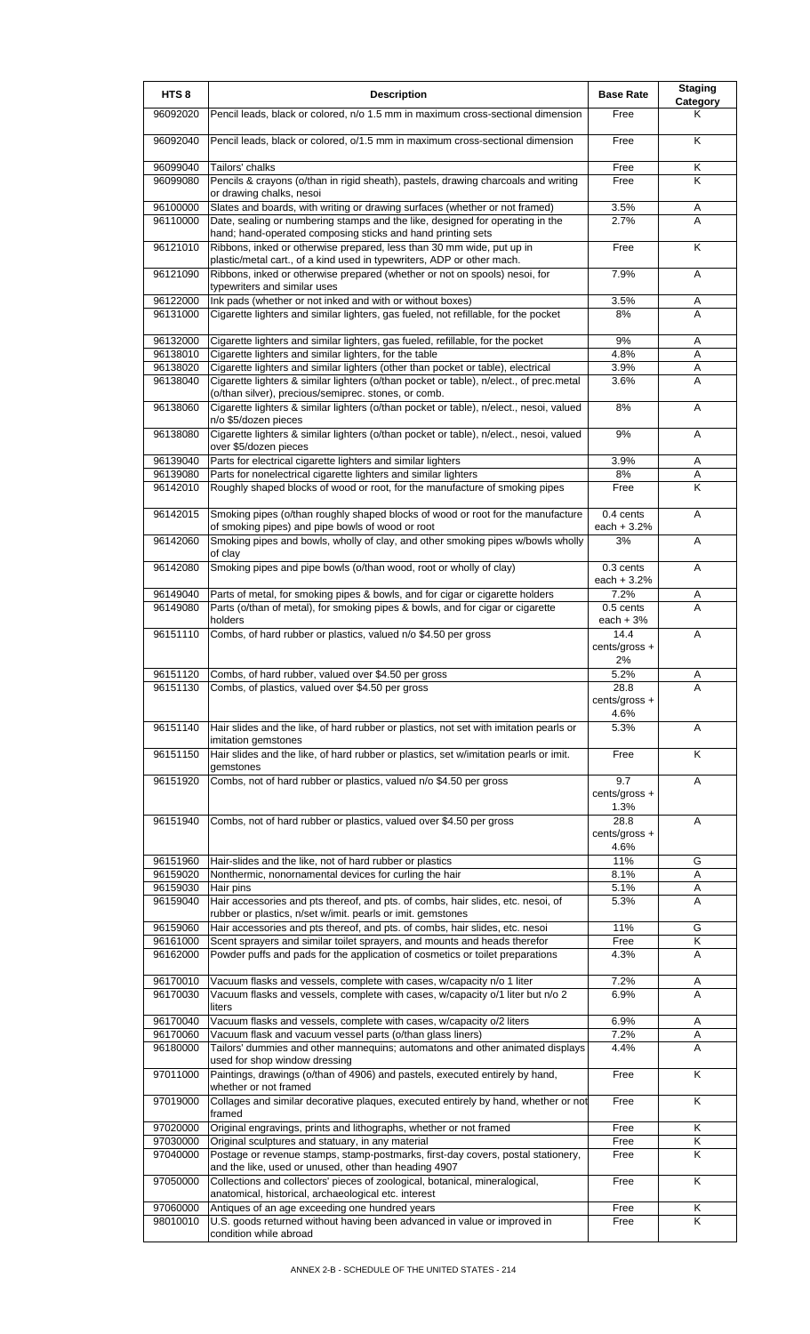| HTS <sub>8</sub>     | <b>Description</b>                                                                                                                                           | <b>Base Rate</b>           | <b>Staging</b><br>Category |
|----------------------|--------------------------------------------------------------------------------------------------------------------------------------------------------------|----------------------------|----------------------------|
| 96092020             | Pencil leads, black or colored, n/o 1.5 mm in maximum cross-sectional dimension                                                                              | Free                       | Κ                          |
| 96092040             | Pencil leads, black or colored, o/1.5 mm in maximum cross-sectional dimension                                                                                | Free                       | K                          |
| 96099040             | Tailors' chalks                                                                                                                                              | Free                       | Κ                          |
| 96099080             | Pencils & crayons (o/than in rigid sheath), pastels, drawing charcoals and writing<br>or drawing chalks, nesoi                                               | Free                       | Κ                          |
| 96100000<br>96110000 | Slates and boards, with writing or drawing surfaces (whether or not framed)<br>Date, sealing or numbering stamps and the like, designed for operating in the | 3.5%<br>2.7%               | A<br>A                     |
| 96121010             | hand; hand-operated composing sticks and hand printing sets<br>Ribbons, inked or otherwise prepared, less than 30 mm wide, put up in                         | Free                       | K                          |
| 96121090             | plastic/metal cart., of a kind used in typewriters, ADP or other mach.<br>Ribbons, inked or otherwise prepared (whether or not on spools) nesoi, for         | 7.9%                       | A                          |
|                      | typewriters and similar uses                                                                                                                                 |                            |                            |
| 96122000<br>96131000 | Ink pads (whether or not inked and with or without boxes)<br>Cigarette lighters and similar lighters, gas fueled, not refillable, for the pocket             | 3.5%<br>8%                 | A<br>A                     |
| 96132000             | Cigarette lighters and similar lighters, gas fueled, refillable, for the pocket                                                                              | 9%                         | Α                          |
| 96138010<br>96138020 | Cigarette lighters and similar lighters, for the table<br>Cigarette lighters and similar lighters (other than pocket or table), electrical                   | 4.8%<br>3.9%               | A<br>Α                     |
| 96138040             | Cigarette lighters & similar lighters (o/than pocket or table), n/elect., of prec.metal                                                                      | 3.6%                       | A                          |
|                      | (o/than silver), precious/semiprec. stones, or comb.                                                                                                         |                            |                            |
| 96138060             | Cigarette lighters & similar lighters (o/than pocket or table), n/elect., nesoi, valued<br>n/o \$5/dozen pieces                                              | 8%                         | A                          |
| 96138080             | Cigarette lighters & similar lighters (o/than pocket or table), n/elect., nesoi, valued<br>over \$5/dozen pieces                                             | 9%                         | A                          |
| 96139040             | Parts for electrical cigarette lighters and similar lighters                                                                                                 | 3.9%                       | Α                          |
| 96139080<br>96142010 | Parts for nonelectrical cigarette lighters and similar lighters<br>Roughly shaped blocks of wood or root, for the manufacture of smoking pipes               | 8%<br>Free                 | Α<br>K                     |
| 96142015             | Smoking pipes (o/than roughly shaped blocks of wood or root for the manufacture                                                                              | 0.4 cents                  | A                          |
| 96142060             | of smoking pipes) and pipe bowls of wood or root<br>Smoking pipes and bowls, wholly of clay, and other smoking pipes w/bowls wholly                          | each $+3.2%$<br>3%         | Α                          |
|                      | of clay                                                                                                                                                      |                            |                            |
| 96142080             | Smoking pipes and pipe bowls (o/than wood, root or wholly of clay)                                                                                           | $0.3$ cents<br>each + 3.2% | A                          |
| 96149040             | Parts of metal, for smoking pipes & bowls, and for cigar or cigarette holders                                                                                | 7.2%                       | Α                          |
| 96149080             | Parts (o/than of metal), for smoking pipes & bowls, and for cigar or cigarette<br>holders                                                                    | $0.5$ cents<br>each $+3%$  | A                          |
| 96151110             | Combs, of hard rubber or plastics, valued n/o \$4.50 per gross                                                                                               | 14.4<br>cents/gross +      | Α                          |
|                      |                                                                                                                                                              | 2%                         |                            |
| 96151120<br>96151130 | Combs, of hard rubber, valued over \$4.50 per gross<br>Combs, of plastics, valued over \$4.50 per gross                                                      | 5.2%<br>28.8               | Α<br>A                     |
|                      |                                                                                                                                                              | cents/gross +<br>4.6%      |                            |
| 96151140             | Hair slides and the like, of hard rubber or plastics, not set with imitation pearls or<br>imitation gemstones                                                | 5.3%                       | A                          |
| 96151150             | Hair slides and the like, of hard rubber or plastics, set w/imitation pearls or imit.<br>gemstones                                                           | Free                       | K                          |
| 96151920             | Combs, not of hard rubber or plastics, valued n/o \$4.50 per gross                                                                                           | 9.7<br>cents/gross +       | A                          |
| 96151940             | Combs, not of hard rubber or plastics, valued over \$4.50 per gross                                                                                          | 1.3%<br>28.8               | A                          |
|                      |                                                                                                                                                              | cents/gross +<br>4.6%      |                            |
| 96151960             | Hair-slides and the like, not of hard rubber or plastics                                                                                                     | 11%                        | G                          |
| 96159020             | Nonthermic, nonornamental devices for curling the hair                                                                                                       | 8.1%                       | Α                          |
| 96159030<br>96159040 | Hair pins<br>Hair accessories and pts thereof, and pts. of combs, hair slides, etc. nesoi, of                                                                | 5.1%<br>5.3%               | Α<br>A                     |
|                      | rubber or plastics, n/set w/imit. pearls or imit. gemstones                                                                                                  |                            |                            |
| 96159060             | Hair accessories and pts thereof, and pts. of combs, hair slides, etc. nesoi                                                                                 | 11%<br>Free                | G<br>K                     |
| 96161000<br>96162000 | Scent sprayers and similar toilet sprayers, and mounts and heads therefor<br>Powder puffs and pads for the application of cosmetics or toilet preparations   | 4.3%                       | A                          |
| 96170010             | Vacuum flasks and vessels, complete with cases, w/capacity n/o 1 liter                                                                                       | 7.2%                       | Α                          |
| 96170030             | Vacuum flasks and vessels, complete with cases, w/capacity o/1 liter but n/o 2                                                                               | 6.9%                       | A                          |
|                      | liters                                                                                                                                                       |                            |                            |
| 96170040             | Vacuum flasks and vessels, complete with cases, w/capacity o/2 liters                                                                                        | 6.9%                       | Α                          |
| 96170060<br>96180000 | Vacuum flask and vacuum vessel parts (o/than glass liners)<br>Tailors' dummies and other mannequins; automatons and other animated displays                  | 7.2%<br>4.4%               | Α<br>A                     |
| 97011000             | used for shop window dressing<br>Paintings, drawings (o/than of 4906) and pastels, executed entirely by hand,                                                | Free                       | K                          |
| 97019000             | whether or not framed<br>Collages and similar decorative plaques, executed entirely by hand, whether or not                                                  | Free                       | K                          |
|                      | framed                                                                                                                                                       |                            |                            |
| 97020000<br>97030000 | Original engravings, prints and lithographs, whether or not framed<br>Original sculptures and statuary, in any material                                      | Free<br>Free               | Κ<br>Κ                     |
| 97040000             | Postage or revenue stamps, stamp-postmarks, first-day covers, postal stationery,                                                                             | Free                       | K                          |
| 97050000             | and the like, used or unused, other than heading 4907<br>Collections and collectors' pieces of zoological, botanical, mineralogical,                         | Free                       | K                          |
|                      | anatomical, historical, archaeological etc. interest                                                                                                         |                            |                            |
| 97060000<br>98010010 | Antiques of an age exceeding one hundred years<br>U.S. goods returned without having been advanced in value or improved in                                   | Free<br>Free               | κ<br>K                     |
|                      | condition while abroad                                                                                                                                       |                            |                            |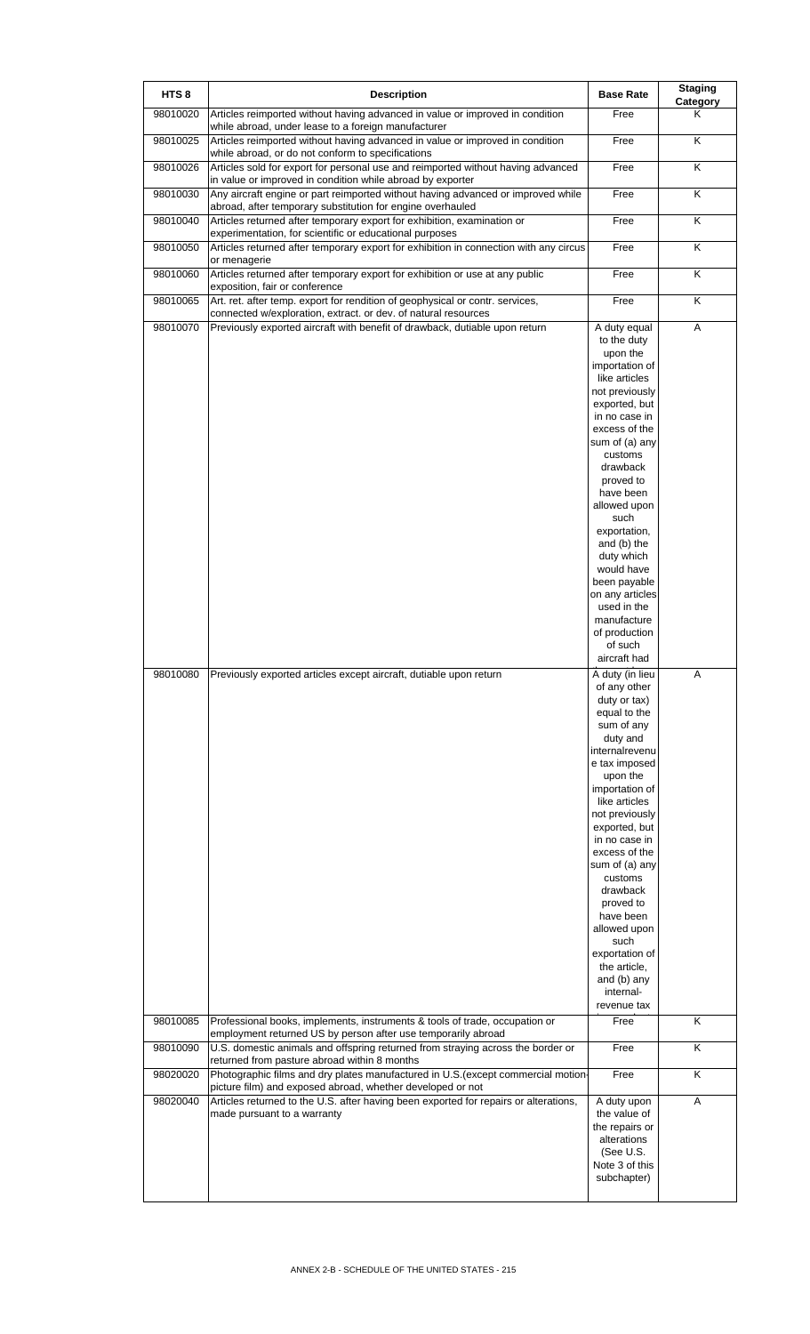| HTS <sub>8</sub> | <b>Description</b>                                                                                                                              | <b>Base Rate</b>                                                                                                                                                                                                                                                                                                                                                                                      | <b>Staging</b><br>Category |
|------------------|-------------------------------------------------------------------------------------------------------------------------------------------------|-------------------------------------------------------------------------------------------------------------------------------------------------------------------------------------------------------------------------------------------------------------------------------------------------------------------------------------------------------------------------------------------------------|----------------------------|
| 98010020         | Articles reimported without having advanced in value or improved in condition<br>while abroad, under lease to a foreign manufacturer            | Free                                                                                                                                                                                                                                                                                                                                                                                                  | Κ                          |
| 98010025         | Articles reimported without having advanced in value or improved in condition<br>while abroad, or do not conform to specifications              | Free                                                                                                                                                                                                                                                                                                                                                                                                  | K                          |
| 98010026         | Articles sold for export for personal use and reimported without having advanced<br>in value or improved in condition while abroad by exporter  | Free                                                                                                                                                                                                                                                                                                                                                                                                  | $\overline{\mathsf{K}}$    |
| 98010030         | Any aircraft engine or part reimported without having advanced or improved while<br>abroad, after temporary substitution for engine overhauled  | Free                                                                                                                                                                                                                                                                                                                                                                                                  | K                          |
| 98010040         | Articles returned after temporary export for exhibition, examination or<br>experimentation, for scientific or educational purposes              | Free                                                                                                                                                                                                                                                                                                                                                                                                  | K                          |
| 98010050         | Articles returned after temporary export for exhibition in connection with any circus<br>or menagerie                                           | Free                                                                                                                                                                                                                                                                                                                                                                                                  | Κ                          |
| 98010060         | Articles returned after temporary export for exhibition or use at any public<br>exposition, fair or conference                                  | Free                                                                                                                                                                                                                                                                                                                                                                                                  | $\overline{\mathsf{K}}$    |
| 98010065         | Art. ret. after temp. export for rendition of geophysical or contr. services,<br>connected w/exploration, extract. or dev. of natural resources | Free                                                                                                                                                                                                                                                                                                                                                                                                  | Κ                          |
| 98010070         | Previously exported aircraft with benefit of drawback, dutiable upon return                                                                     | A duty equal<br>to the duty<br>upon the<br>importation of<br>like articles<br>not previously<br>exported, but<br>in no case in<br>excess of the<br>sum of (a) any<br>customs<br>drawback<br>proved to<br>have been<br>allowed upon<br>such<br>exportation,<br>and (b) the<br>duty which<br>would have<br>been payable<br>on any articles<br>used in the<br>manufacture                                | A                          |
| 98010080         | Previously exported articles except aircraft, dutiable upon return                                                                              | of production<br>of such<br>aircraft had<br>A duty (in lieu                                                                                                                                                                                                                                                                                                                                           | Α                          |
|                  |                                                                                                                                                 | of any other<br>duty or tax)<br>equal to the<br>sum of any<br>duty and<br>internalrevenu<br>e tax imposed<br>upon the<br>importation of<br>like articles<br>not previously<br>exported, but<br>in no case in<br>excess of the<br>sum of (a) any<br>customs<br>drawback<br>proved to<br>have been<br>allowed upon<br>such<br>exportation of<br>the article,<br>and (b) any<br>internal-<br>revenue tax |                            |
| 98010085         | Professional books, implements, instruments & tools of trade, occupation or<br>employment returned US by person after use temporarily abroad    | Free                                                                                                                                                                                                                                                                                                                                                                                                  | K                          |
| 98010090         | U.S. domestic animals and offspring returned from straying across the border or<br>returned from pasture abroad within 8 months                 | Free                                                                                                                                                                                                                                                                                                                                                                                                  | Κ                          |
| 98020020         | Photographic films and dry plates manufactured in U.S. (except commercial motion-<br>picture film) and exposed abroad, whether developed or not | Free                                                                                                                                                                                                                                                                                                                                                                                                  | Κ                          |
| 98020040         | Articles returned to the U.S. after having been exported for repairs or alterations,<br>made pursuant to a warranty                             | A duty upon<br>the value of<br>the repairs or<br>alterations<br>(See U.S.<br>Note 3 of this<br>subchapter)                                                                                                                                                                                                                                                                                            | Α                          |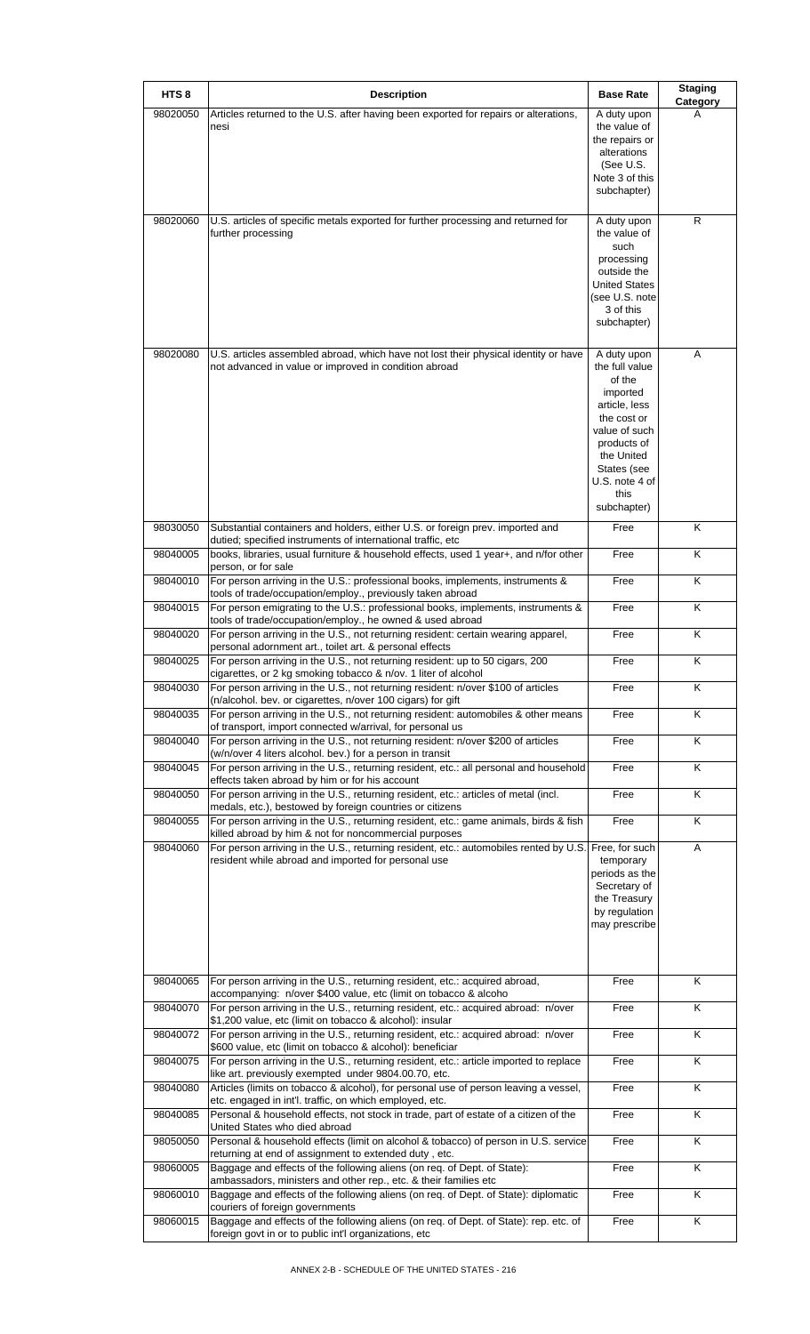| HTS <sub>8</sub> | <b>Description</b>                                                                                                                                                               | <b>Base Rate</b>                    | <b>Staging</b><br>Category |
|------------------|----------------------------------------------------------------------------------------------------------------------------------------------------------------------------------|-------------------------------------|----------------------------|
| 98020050         | Articles returned to the U.S. after having been exported for repairs or alterations,<br>nesi                                                                                     | A duty upon<br>the value of         | A                          |
|                  |                                                                                                                                                                                  | the repairs or<br>alterations       |                            |
|                  |                                                                                                                                                                                  | (See U.S.<br>Note 3 of this         |                            |
|                  |                                                                                                                                                                                  | subchapter)                         |                            |
| 98020060         | U.S. articles of specific metals exported for further processing and returned for                                                                                                | A duty upon                         | R                          |
|                  | further processing                                                                                                                                                               | the value of<br>such                |                            |
|                  |                                                                                                                                                                                  | processing                          |                            |
|                  |                                                                                                                                                                                  | outside the<br><b>United States</b> |                            |
|                  |                                                                                                                                                                                  | (see U.S. note<br>3 of this         |                            |
|                  |                                                                                                                                                                                  | subchapter)                         |                            |
| 98020080         | U.S. articles assembled abroad, which have not lost their physical identity or have                                                                                              | A duty upon                         | A                          |
|                  | not advanced in value or improved in condition abroad                                                                                                                            | the full value<br>of the            |                            |
|                  |                                                                                                                                                                                  | imported<br>article, less           |                            |
|                  |                                                                                                                                                                                  | the cost or                         |                            |
|                  |                                                                                                                                                                                  | value of such<br>products of        |                            |
|                  |                                                                                                                                                                                  | the United                          |                            |
|                  |                                                                                                                                                                                  | States (see<br>U.S. note 4 of       |                            |
|                  |                                                                                                                                                                                  | this<br>subchapter)                 |                            |
| 98030050         | Substantial containers and holders, either U.S. or foreign prev. imported and                                                                                                    | Free                                | Κ                          |
| 98040005         | dutied; specified instruments of international traffic, etc<br>books, libraries, usual furniture & household effects, used 1 year+, and n/for other                              | Free                                | K                          |
| 98040010         | person, or for sale<br>For person arriving in the U.S.: professional books, implements, instruments &                                                                            | Free                                | Κ                          |
| 98040015         | tools of trade/occupation/employ., previously taken abroad<br>For person emigrating to the U.S.: professional books, implements, instruments &                                   | Free                                | K                          |
| 98040020         | tools of trade/occupation/employ., he owned & used abroad<br>For person arriving in the U.S., not returning resident: certain wearing apparel,                                   | Free                                | Κ                          |
| 98040025         | personal adornment art., toilet art. & personal effects<br>For person arriving in the U.S., not returning resident: up to 50 cigars, 200                                         | Free                                | Κ                          |
| 98040030         | cigarettes, or 2 kg smoking tobacco & n/ov. 1 liter of alcohol<br>For person arriving in the U.S., not returning resident: n/over \$100 of articles                              | Free                                | Κ                          |
| 98040035         | (n/alcohol. bev. or cigarettes, n/over 100 cigars) for gift<br>For person arriving in the U.S., not returning resident: automobiles & other means                                | Free                                | Κ                          |
| 98040040         | of transport, import connected w/arrival, for personal us<br>For person arriving in the U.S., not returning resident: n/over \$200 of articles                                   | Free                                | Κ                          |
| 98040045         | (w/n/over 4 liters alcohol. bev.) for a person in transit<br>For person arriving in the U.S., returning resident, etc.: all personal and household                               | Free                                | Κ                          |
| 98040050         | effects taken abroad by him or for his account<br>For person arriving in the U.S., returning resident, etc.: articles of metal (incl.                                            | Free                                | Κ                          |
| 98040055         | medals, etc.), bestowed by foreign countries or citizens<br>For person arriving in the U.S., returning resident, etc.: game animals, birds & fish                                | Free                                | Κ                          |
| 98040060         | killed abroad by him & not for noncommercial purposes<br>For person arriving in the U.S., returning resident, etc.: automobiles rented by U.S. Free, for such                    |                                     | A                          |
|                  | resident while abroad and imported for personal use                                                                                                                              | temporary<br>periods as the         |                            |
|                  |                                                                                                                                                                                  | Secretary of                        |                            |
|                  |                                                                                                                                                                                  | the Treasury<br>by regulation       |                            |
|                  |                                                                                                                                                                                  | may prescribe                       |                            |
|                  |                                                                                                                                                                                  |                                     |                            |
| 98040065         | For person arriving in the U.S., returning resident, etc.: acquired abroad,                                                                                                      | Free                                | K                          |
| 98040070         | accompanying: n/over \$400 value, etc (limit on tobacco & alcoho<br>For person arriving in the U.S., returning resident, etc.: acquired abroad: n/over                           | Free                                | Κ                          |
| 98040072         | \$1,200 value, etc (limit on tobacco & alcohol): insular<br>For person arriving in the U.S., returning resident, etc.: acquired abroad: n/over                                   | Free                                | Κ                          |
| 98040075         | \$600 value, etc (limit on tobacco & alcohol): beneficiar<br>For person arriving in the U.S., returning resident, etc.: article imported to replace                              | Free                                | Κ                          |
| 98040080         | like art. previously exempted under 9804.00.70, etc.<br>Articles (limits on tobacco & alcohol), for personal use of person leaving a vessel,                                     | Free                                | Κ                          |
| 98040085         | etc. engaged in int'l. traffic, on which employed, etc.<br>Personal & household effects, not stock in trade, part of estate of a citizen of the<br>United States who died abroad | Free                                | Κ                          |
| 98050050         | Personal & household effects (limit on alcohol & tobacco) of person in U.S. service<br>returning at end of assignment to extended duty, etc.                                     | Free                                | Κ                          |
| 98060005         | Baggage and effects of the following aliens (on reg. of Dept. of State):<br>ambassadors, ministers and other rep., etc. & their families etc                                     | Free                                | Κ                          |
| 98060010         | Baggage and effects of the following aliens (on req. of Dept. of State): diplomatic<br>couriers of foreign governments                                                           | Free                                | Κ                          |
| 98060015         | Baggage and effects of the following aliens (on req. of Dept. of State): rep. etc. of<br>foreign govt in or to public int'l organizations, etc                                   | Free                                | K                          |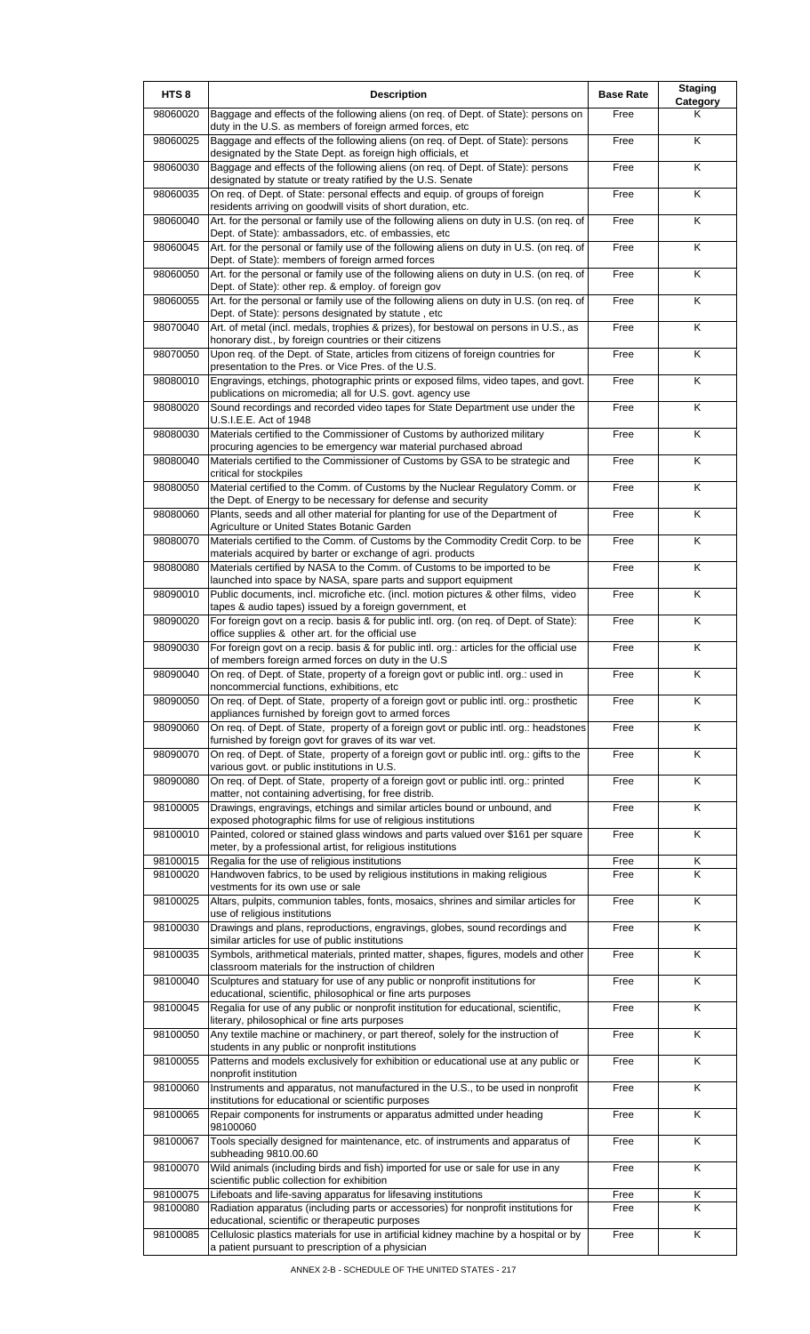| HTS <sub>8</sub> | <b>Description</b>                                                                                                                                    | <b>Base Rate</b> | <b>Staging</b><br>Category |
|------------------|-------------------------------------------------------------------------------------------------------------------------------------------------------|------------------|----------------------------|
| 98060020         | Baggage and effects of the following aliens (on req. of Dept. of State): persons on<br>duty in the U.S. as members of foreign armed forces, etc       | Free             | Κ                          |
| 98060025         | Baggage and effects of the following aliens (on req. of Dept. of State): persons<br>designated by the State Dept. as foreign high officials, et       | Free             | K                          |
| 98060030         | Baggage and effects of the following aliens (on req. of Dept. of State): persons<br>designated by statute or treaty ratified by the U.S. Senate       | Free             | Κ                          |
| 98060035         | On req. of Dept. of State: personal effects and equip. of groups of foreign<br>residents arriving on goodwill visits of short duration, etc.          | Free             | K                          |
| 98060040         | Art. for the personal or family use of the following aliens on duty in U.S. (on req. of<br>Dept. of State): ambassadors, etc. of embassies, etc       | Free             | Κ                          |
| 98060045         | Art. for the personal or family use of the following aliens on duty in U.S. (on req. of<br>Dept. of State): members of foreign armed forces           | Free             | Κ                          |
| 98060050         | Art. for the personal or family use of the following aliens on duty in U.S. (on req. of                                                               | Free             | K                          |
| 98060055         | Dept. of State): other rep. & employ. of foreign gov<br>Art. for the personal or family use of the following aliens on duty in U.S. (on req. of       | Free             | Κ                          |
| 98070040         | Dept. of State): persons designated by statute, etc<br>Art. of metal (incl. medals, trophies & prizes), for bestowal on persons in U.S., as           | Free             | K                          |
| 98070050         | honorary dist., by foreign countries or their citizens<br>Upon req. of the Dept. of State, articles from citizens of foreign countries for            | Free             | K                          |
| 98080010         | presentation to the Pres. or Vice Pres. of the U.S.<br>Engravings, etchings, photographic prints or exposed films, video tapes, and govt.             | Free             | Κ                          |
| 98080020         | publications on micromedia; all for U.S. govt. agency use<br>Sound recordings and recorded video tapes for State Department use under the             | Free             | $\overline{\mathsf{K}}$    |
| 98080030         | U.S.I.E.E. Act of 1948<br>Materials certified to the Commissioner of Customs by authorized military                                                   | Free             | Κ                          |
| 98080040         | procuring agencies to be emergency war material purchased abroad<br>Materials certified to the Commissioner of Customs by GSA to be strategic and     | Free             | Κ                          |
| 98080050         | critical for stockpiles<br>Material certified to the Comm. of Customs by the Nuclear Regulatory Comm. or                                              | Free             | $\overline{\mathsf{K}}$    |
| 98080060         | the Dept. of Energy to be necessary for defense and security<br>Plants, seeds and all other material for planting for use of the Department of        | Free             | K                          |
| 98080070         | Agriculture or United States Botanic Garden<br>Materials certified to the Comm. of Customs by the Commodity Credit Corp. to be                        | Free             | Κ                          |
| 98080080         | materials acquired by barter or exchange of agri. products<br>Materials certified by NASA to the Comm. of Customs to be imported to be                | Free             | K                          |
| 98090010         | launched into space by NASA, spare parts and support equipment<br>Public documents, incl. microfiche etc. (incl. motion pictures & other films, video | Free             | K                          |
| 98090020         | tapes & audio tapes) issued by a foreign government, et<br>For foreign govt on a recip. basis & for public intl. org. (on req. of Dept. of State):    | Free             | Κ                          |
| 98090030         | office supplies & other art. for the official use<br>For foreign govt on a recip. basis & for public intl. org.: articles for the official use        | Free             | $\overline{\mathsf{K}}$    |
| 98090040         | of members foreign armed forces on duty in the U.S<br>On req. of Dept. of State, property of a foreign govt or public intl. org.: used in             | Free             | Κ                          |
| 98090050         | noncommercial functions, exhibitions, etc<br>On req. of Dept. of State, property of a foreign govt or public intl. org.: prosthetic                   | Free             | K                          |
| 98090060         | appliances furnished by foreign govt to armed forces<br>On req. of Dept. of State, property of a foreign govt or public intl. org.: headstones        | Free             | Κ                          |
| 98090070         | furnished by foreign govt for graves of its war vet.<br>On req. of Dept. of State, property of a foreign govt or public intl. org.: gifts to the      | Free             | Κ                          |
| 98090080         | various govt. or public institutions in U.S.<br>On req. of Dept. of State, property of a foreign govt or public intl. org.: printed                   | Free             | Κ                          |
| 98100005         | matter, not containing advertising, for free distrib.<br>Drawings, engravings, etchings and similar articles bound or unbound, and                    | Free             | Κ                          |
| 98100010         | exposed photographic films for use of religious institutions<br>Painted, colored or stained glass windows and parts valued over \$161 per square      | Free             | Κ                          |
| 98100015         | meter, by a professional artist, for religious institutions<br>Regalia for the use of religious institutions                                          | Free             | Κ                          |
| 98100020         | Handwoven fabrics, to be used by religious institutions in making religious                                                                           | Free             | K                          |
| 98100025         | vestments for its own use or sale<br>Altars, pulpits, communion tables, fonts, mosaics, shrines and similar articles for                              | Free             | K                          |
| 98100030         | use of religious institutions<br>Drawings and plans, reproductions, engravings, globes, sound recordings and                                          | Free             | Κ                          |
| 98100035         | similar articles for use of public institutions<br>Symbols, arithmetical materials, printed matter, shapes, figures, models and other                 | Free             | $\overline{\mathsf{K}}$    |
| 98100040         | classroom materials for the instruction of children<br>Sculptures and statuary for use of any public or nonprofit institutions for                    | Free             | K                          |
| 98100045         | educational, scientific, philosophical or fine arts purposes<br>Regalia for use of any public or nonprofit institution for educational, scientific,   | Free             | Κ                          |
| 98100050         | literary, philosophical or fine arts purposes<br>Any textile machine or machinery, or part thereof, solely for the instruction of                     | Free             | K                          |
| 98100055         | students in any public or nonprofit institutions<br>Patterns and models exclusively for exhibition or educational use at any public or                | Free             | Κ                          |
| 98100060         | nonprofit institution<br>Instruments and apparatus, not manufactured in the U.S., to be used in nonprofit                                             | Free             | Κ                          |
| 98100065         | institutions for educational or scientific purposes<br>Repair components for instruments or apparatus admitted under heading                          | Free             | Κ                          |
| 98100067         | 98100060<br>Tools specially designed for maintenance, etc. of instruments and apparatus of                                                            | Free             | Κ                          |
| 98100070         | subheading 9810.00.60<br>Wild animals (including birds and fish) imported for use or sale for use in any                                              | Free             | Κ                          |
| 98100075         | scientific public collection for exhibition<br>Lifeboats and life-saving apparatus for lifesaving institutions                                        | Free             | Κ                          |
| 98100080         | Radiation apparatus (including parts or accessories) for nonprofit institutions for<br>educational, scientific or therapeutic purposes                | Free             | Κ                          |
| 98100085         | Cellulosic plastics materials for use in artificial kidney machine by a hospital or by<br>a patient pursuant to prescription of a physician           | Free             | K                          |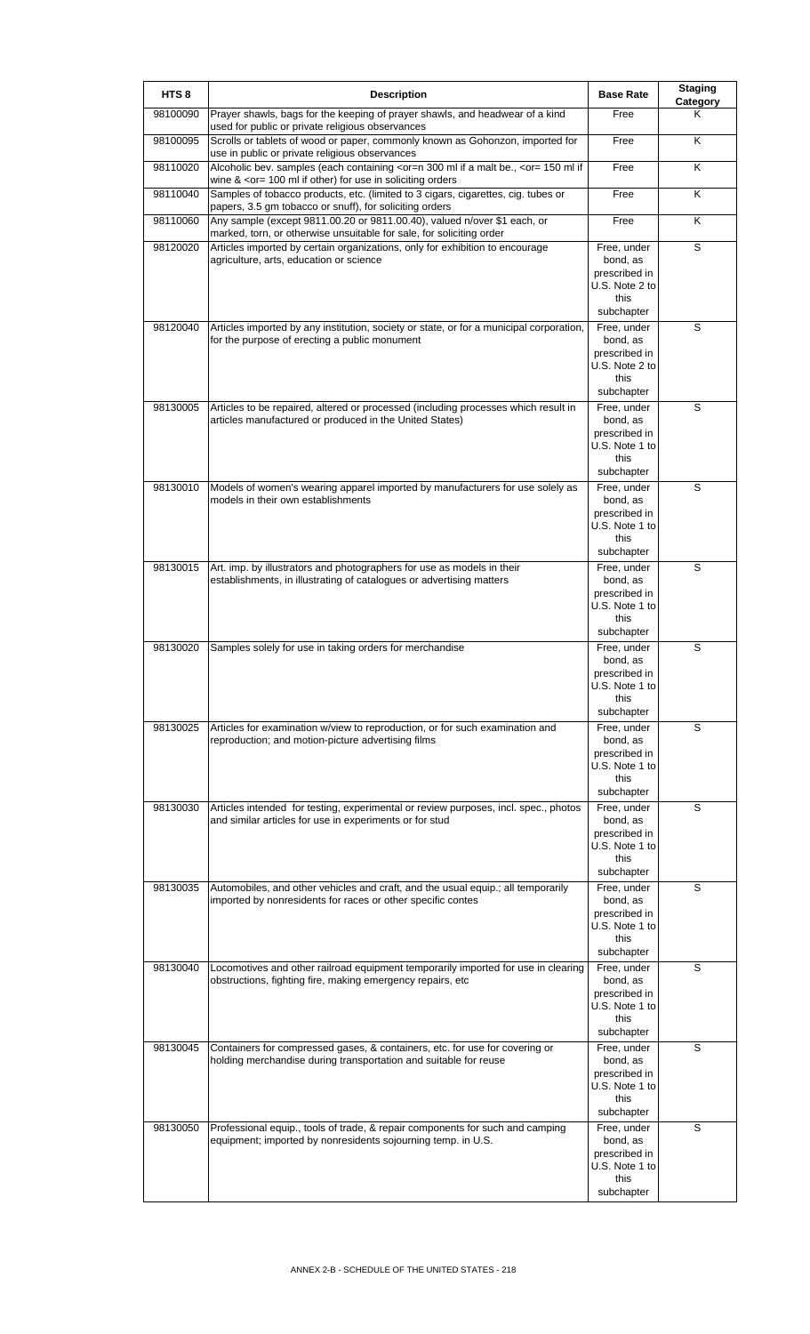| HTS <sub>8</sub> | <b>Description</b>                                                                                                                                                                                                                            | <b>Base Rate</b>                                                                 | <b>Staging</b><br>Category |
|------------------|-----------------------------------------------------------------------------------------------------------------------------------------------------------------------------------------------------------------------------------------------|----------------------------------------------------------------------------------|----------------------------|
| 98100090         | Prayer shawls, bags for the keeping of prayer shawls, and headwear of a kind<br>used for public or private religious observances                                                                                                              | Free                                                                             | Κ                          |
| 98100095         | Scrolls or tablets of wood or paper, commonly known as Gohonzon, imported for<br>use in public or private religious observances                                                                                                               | Free                                                                             | K                          |
| 98110020         | Alcoholic bev. samples (each containing <or=n 300="" <or="150" a="" be.,="" if="" if<br="" malt="" ml="">wine &amp; <or= 100="" for="" if="" in="" ml="" orders<="" other)="" soliciting="" td="" use=""><td>Free</td><td>Κ</td></or=></or=n> | Free                                                                             | Κ                          |
| 98110040         | Samples of tobacco products, etc. (limited to 3 cigars, cigarettes, cig. tubes or<br>papers, 3.5 gm tobacco or snuff), for soliciting orders                                                                                                  | Free                                                                             | K                          |
| 98110060         | Any sample (except 9811.00.20 or 9811.00.40), valued n/over \$1 each, or<br>marked, torn, or otherwise unsuitable for sale, for soliciting order                                                                                              | Free                                                                             | Κ                          |
| 98120020         | Articles imported by certain organizations, only for exhibition to encourage<br>agriculture, arts, education or science                                                                                                                       | Free, under<br>bond, as<br>prescribed in                                         | S                          |
|                  |                                                                                                                                                                                                                                               | U.S. Note 2 to<br>this<br>subchapter                                             |                            |
| 98120040         | Articles imported by any institution, society or state, or for a municipal corporation,<br>for the purpose of erecting a public monument                                                                                                      | Free, under<br>bond, as<br>prescribed in<br>U.S. Note 2 to<br>this<br>subchapter | S                          |
| 98130005         | Articles to be repaired, altered or processed (including processes which result in<br>articles manufactured or produced in the United States)                                                                                                 | Free, under<br>bond, as<br>prescribed in<br>U.S. Note 1 to<br>this<br>subchapter | S                          |
| 98130010         | Models of women's wearing apparel imported by manufacturers for use solely as<br>models in their own establishments                                                                                                                           | Free, under<br>bond, as<br>prescribed in<br>U.S. Note 1 to<br>this<br>subchapter | S                          |
| 98130015         | Art. imp. by illustrators and photographers for use as models in their<br>establishments, in illustrating of catalogues or advertising matters                                                                                                | Free, under<br>bond, as<br>prescribed in<br>U.S. Note 1 to<br>this<br>subchapter | S                          |
| 98130020         | Samples solely for use in taking orders for merchandise                                                                                                                                                                                       | Free, under<br>bond, as<br>prescribed in<br>U.S. Note 1 to<br>this<br>subchapter | S                          |
| 98130025         | Articles for examination w/view to reproduction, or for such examination and<br>reproduction; and motion-picture advertising films                                                                                                            | Free, under<br>bond, as<br>prescribed in<br>U.S. Note 1 to<br>this<br>subchapter | S                          |
| 98130030         | Articles intended for testing, experimental or review purposes, incl. spec., photos<br>and similar articles for use in experiments or for stud                                                                                                | Free, under<br>bond, as<br>prescribed in<br>U.S. Note 1 to<br>this<br>subchapter | S                          |
| 98130035         | Automobiles, and other vehicles and craft, and the usual equip.; all temporarily<br>imported by nonresidents for races or other specific contes                                                                                               | Free, under<br>bond, as<br>prescribed in<br>U.S. Note 1 to<br>this<br>subchapter | S                          |
| 98130040         | Locomotives and other railroad equipment temporarily imported for use in clearing<br>obstructions, fighting fire, making emergency repairs, etc                                                                                               | Free, under<br>bond, as<br>prescribed in<br>U.S. Note 1 to<br>this<br>subchapter | S                          |
| 98130045         | Containers for compressed gases, & containers, etc. for use for covering or<br>holding merchandise during transportation and suitable for reuse                                                                                               | Free, under<br>bond, as<br>prescribed in<br>U.S. Note 1 to<br>this<br>subchapter | S                          |
| 98130050         | Professional equip., tools of trade, & repair components for such and camping<br>equipment; imported by nonresidents sojourning temp. in U.S.                                                                                                 | Free, under<br>bond, as<br>prescribed in<br>U.S. Note 1 to<br>this<br>subchapter | S                          |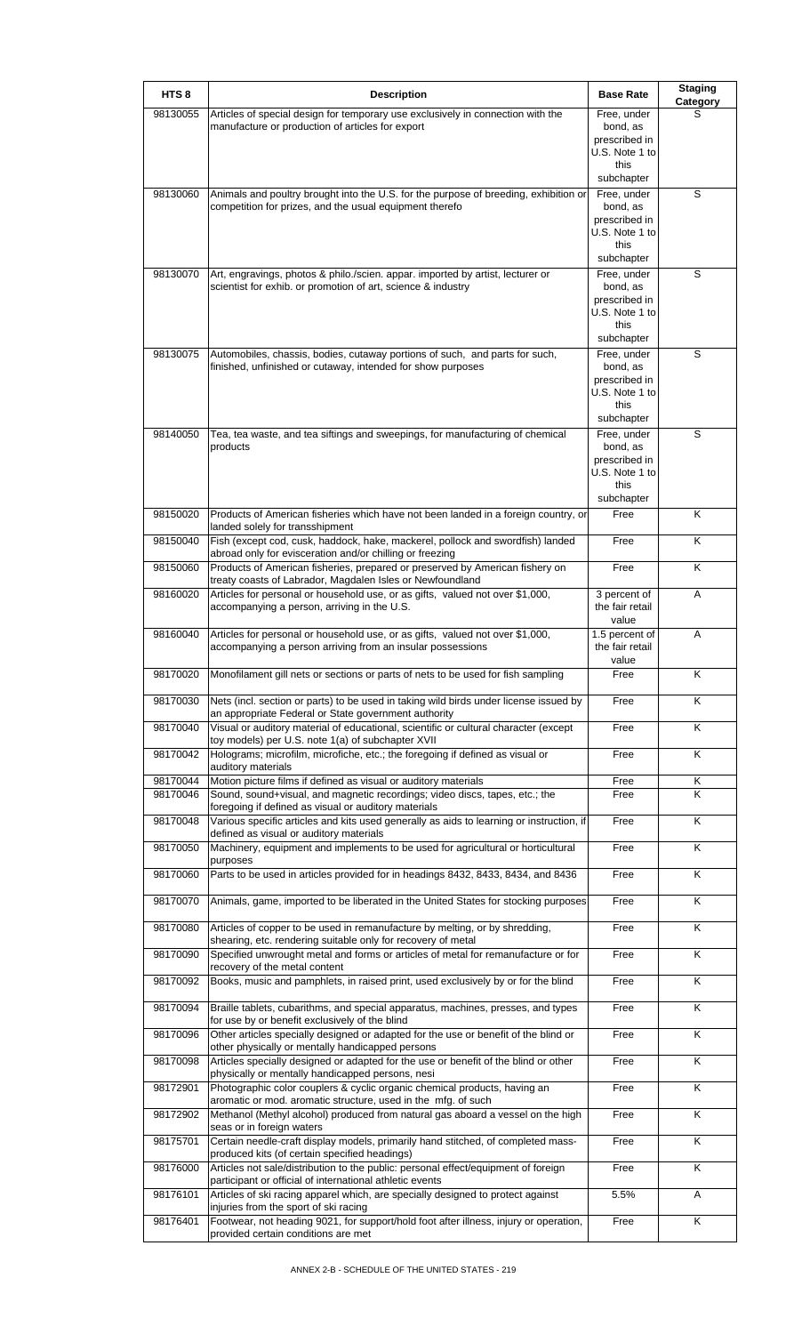| HTS <sub>8</sub> | <b>Description</b>                                                                                                                              | <b>Base Rate</b>                | <b>Staging</b><br>Category |
|------------------|-------------------------------------------------------------------------------------------------------------------------------------------------|---------------------------------|----------------------------|
| 98130055         | Articles of special design for temporary use exclusively in connection with the<br>manufacture or production of articles for export             | Free, under<br>bond, as         | S                          |
|                  |                                                                                                                                                 | prescribed in                   |                            |
|                  |                                                                                                                                                 | U.S. Note 1 to<br>this          |                            |
|                  |                                                                                                                                                 | subchapter                      |                            |
| 98130060         | Animals and poultry brought into the U.S. for the purpose of breeding, exhibition or<br>competition for prizes, and the usual equipment therefo | Free, under<br>bond, as         | S                          |
|                  |                                                                                                                                                 | prescribed in<br>U.S. Note 1 to |                            |
|                  |                                                                                                                                                 | this                            |                            |
| 98130070         | Art, engravings, photos & philo./scien. appar. imported by artist, lecturer or                                                                  | subchapter<br>Free, under       | S                          |
|                  | scientist for exhib. or promotion of art, science & industry                                                                                    | bond, as                        |                            |
|                  |                                                                                                                                                 | prescribed in<br>U.S. Note 1 to |                            |
|                  |                                                                                                                                                 | this<br>subchapter              |                            |
| 98130075         | Automobiles, chassis, bodies, cutaway portions of such, and parts for such,                                                                     | Free, under                     | S                          |
|                  | finished, unfinished or cutaway, intended for show purposes                                                                                     | bond, as<br>prescribed in       |                            |
|                  |                                                                                                                                                 | U.S. Note 1 to                  |                            |
|                  |                                                                                                                                                 | this<br>subchapter              |                            |
| 98140050         | Tea, tea waste, and tea siftings and sweepings, for manufacturing of chemical<br>products                                                       | Free, under<br>bond, as         | S                          |
|                  |                                                                                                                                                 | prescribed in                   |                            |
|                  |                                                                                                                                                 | U.S. Note 1 to<br>this          |                            |
|                  |                                                                                                                                                 | subchapter                      |                            |
| 98150020         | Products of American fisheries which have not been landed in a foreign country, or<br>landed solely for transshipment                           | Free                            | Κ                          |
| 98150040         | Fish (except cod, cusk, haddock, hake, mackerel, pollock and swordfish) landed<br>abroad only for evisceration and/or chilling or freezing      | Free                            | Κ                          |
| 98150060         | Products of American fisheries, prepared or preserved by American fishery on<br>treaty coasts of Labrador, Magdalen Isles or Newfoundland       | Free                            | Κ                          |
| 98160020         | Articles for personal or household use, or as gifts, valued not over \$1,000,<br>accompanying a person, arriving in the U.S.                    | 3 percent of<br>the fair retail | A                          |
| 98160040         | Articles for personal or household use, or as gifts, valued not over \$1,000,                                                                   | value<br>1.5 percent of         | A                          |
|                  | accompanying a person arriving from an insular possessions                                                                                      | the fair retail<br>value        |                            |
| 98170020         | Monofilament gill nets or sections or parts of nets to be used for fish sampling                                                                | Free                            | ĸ                          |
| 98170030         | Nets (incl. section or parts) to be used in taking wild birds under license issued by<br>an appropriate Federal or State government authority   | Free                            | Κ                          |
| 98170040         | Visual or auditory material of educational, scientific or cultural character (except<br>toy models) per U.S. note 1(a) of subchapter XVII       | Free                            | K                          |
| 98170042         | Holograms; microfilm, microfiche, etc.; the foregoing if defined as visual or<br>auditory materials                                             | Free                            | Κ                          |
| 98170044         | Motion picture films if defined as visual or auditory materials                                                                                 | Free                            | Κ                          |
| 98170046         | Sound, sound+visual, and magnetic recordings; video discs, tapes, etc.; the<br>foregoing if defined as visual or auditory materials             | Free                            | Κ                          |
| 98170048         | Various specific articles and kits used generally as aids to learning or instruction, if<br>defined as visual or auditory materials             | Free                            | Κ                          |
| 98170050         | Machinery, equipment and implements to be used for agricultural or horticultural                                                                | Free                            | Κ                          |
| 98170060         | purposes<br>Parts to be used in articles provided for in headings 8432, 8433, 8434, and 8436                                                    | Free                            | Κ                          |
|                  |                                                                                                                                                 | Free                            | Κ                          |
| 98170070         | Animals, game, imported to be liberated in the United States for stocking purposes                                                              |                                 |                            |
| 98170080         | Articles of copper to be used in remanufacture by melting, or by shredding,<br>shearing, etc. rendering suitable only for recovery of metal     | Free                            | $\overline{\mathsf{K}}$    |
| 98170090         | Specified unwrought metal and forms or articles of metal for remanufacture or for<br>recovery of the metal content                              | Free                            | K                          |
| 98170092         | Books, music and pamphlets, in raised print, used exclusively by or for the blind                                                               | Free                            | K                          |
| 98170094         | Braille tablets, cubarithms, and special apparatus, machines, presses, and types<br>for use by or benefit exclusively of the blind              | Free                            | K                          |
| 98170096         | Other articles specially designed or adapted for the use or benefit of the blind or<br>other physically or mentally handicapped persons         | Free                            | Κ                          |
| 98170098         | Articles specially designed or adapted for the use or benefit of the blind or other<br>physically or mentally handicapped persons, nesi         | Free                            | K                          |
| 98172901         | Photographic color couplers & cyclic organic chemical products, having an<br>aromatic or mod. aromatic structure, used in the mfg. of such      | Free                            | Κ                          |
| 98172902         | Methanol (Methyl alcohol) produced from natural gas aboard a vessel on the high<br>seas or in foreign waters                                    | Free                            | Κ                          |
| 98175701         | Certain needle-craft display models, primarily hand stitched, of completed mass-<br>produced kits (of certain specified headings)               | Free                            | Κ                          |
| 98176000         | Articles not sale/distribution to the public: personal effect/equipment of foreign<br>participant or official of international athletic events  | Free                            | Κ                          |
| 98176101         | Articles of ski racing apparel which, are specially designed to protect against<br>injuries from the sport of ski racing                        | 5.5%                            | A                          |
| 98176401         | Footwear, not heading 9021, for support/hold foot after illness, injury or operation,                                                           | Free                            | K                          |
|                  | provided certain conditions are met                                                                                                             |                                 |                            |